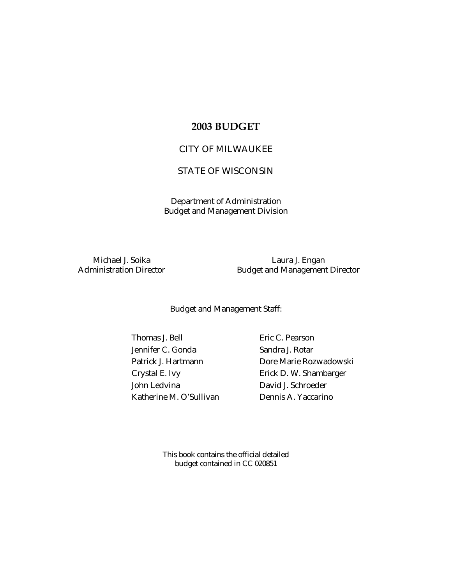## **2003 BUDGET**

## CITY OF MILWAUKEE

# STATE OF WISCONSIN

Department of Administration Budget and Management Division

Michael J. Soika Laura J. Engan Administration Director **Budget and Management Director** 

Budget and Management Staff:

Thomas J. Bell Eric C. Pearson Jennifer C. Gonda Sandra J. Rotar John Ledvina David J. Schroeder Katherine M. O'Sullivan Dennis A. Yaccarino

Patrick J. Hartmann Dore Marie Rozwadowski Crystal E. Ivy **Erick D. W. Shambarger** 

> This book contains the official detailed budget contained in CC 020851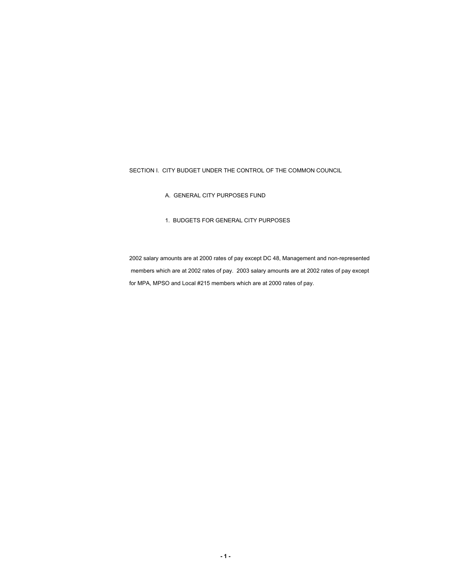### SECTION I. CITY BUDGET UNDER THE CONTROL OF THE COMMON COUNCIL

- A. GENERAL CITY PURPOSES FUND
- 1. BUDGETS FOR GENERAL CITY PURPOSES

2002 salary amounts are at 2000 rates of pay except DC 48, Management and non-represented members which are at 2002 rates of pay. 2003 salary amounts are at 2002 rates of pay except for MPA, MPSO and Local #215 members which are at 2000 rates of pay.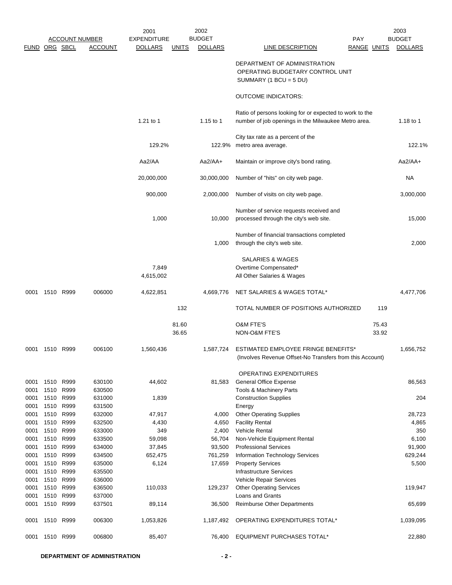|               |              |                       |                  | 2001               |              | 2002           |                                                                                                                |             | 2003           |
|---------------|--------------|-----------------------|------------------|--------------------|--------------|----------------|----------------------------------------------------------------------------------------------------------------|-------------|----------------|
|               |              | <b>ACCOUNT NUMBER</b> |                  | <b>EXPENDITURE</b> |              | <b>BUDGET</b>  |                                                                                                                | PAY         | <b>BUDGET</b>  |
| FUND ORG SBCL |              |                       | ACCOUNT          | <b>DOLLARS</b>     | <u>UNITS</u> | <b>DOLLARS</b> | <b>LINE DESCRIPTION</b>                                                                                        | RANGE UNITS | <b>DOLLARS</b> |
|               |              |                       |                  |                    |              |                | DEPARTMENT OF ADMINISTRATION<br>OPERATING BUDGETARY CONTROL UNIT<br>SUMMARY (1 BCU = $5$ DU)                   |             |                |
|               |              |                       |                  |                    |              |                | <b>OUTCOME INDICATORS:</b>                                                                                     |             |                |
|               |              |                       |                  |                    |              |                |                                                                                                                |             |                |
|               |              |                       |                  | 1.21 to 1          |              | 1.15 to 1      | Ratio of persons looking for or expected to work to the<br>number of job openings in the Milwaukee Metro area. |             | 1.18 to 1      |
|               |              |                       |                  | 129.2%             |              | 122.9%         | City tax rate as a percent of the<br>metro area average.                                                       |             | 122.1%         |
|               |              |                       |                  |                    |              |                |                                                                                                                |             |                |
|               |              |                       |                  | Aa2/AA             |              | $Aa2/AA+$      | Maintain or improve city's bond rating.                                                                        |             | $Aa2/AA+$      |
|               |              |                       |                  | 20,000,000         |              | 30,000,000     | Number of "hits" on city web page.                                                                             |             | NA             |
|               |              |                       |                  | 900,000            |              | 2,000,000      | Number of visits on city web page.                                                                             |             | 3,000,000      |
|               |              |                       |                  |                    |              |                | Number of service requests received and                                                                        |             |                |
|               |              |                       |                  | 1,000              |              | 10,000         | processed through the city's web site.                                                                         |             | 15,000         |
|               |              |                       |                  |                    |              | 1,000          | Number of financial transactions completed<br>through the city's web site.                                     |             | 2,000          |
|               |              |                       |                  |                    |              |                | <b>SALARIES &amp; WAGES</b>                                                                                    |             |                |
|               |              |                       |                  | 7,849              |              |                | Overtime Compensated*                                                                                          |             |                |
|               |              |                       |                  | 4,615,002          |              |                | All Other Salaries & Wages                                                                                     |             |                |
| 0001          | 1510 R999    |                       | 006000           | 4,622,851          |              | 4,669,776      | NET SALARIES & WAGES TOTAL*                                                                                    |             | 4,477,706      |
|               |              |                       |                  |                    | 132          |                | TOTAL NUMBER OF POSITIONS AUTHORIZED                                                                           | 119         |                |
|               |              |                       |                  |                    | 81.60        |                | O&M FTE'S                                                                                                      | 75.43       |                |
|               |              |                       |                  |                    | 36.65        |                | NON-O&M FTE'S                                                                                                  | 33.92       |                |
| 0001          | 1510 R999    |                       | 006100           | 1,560,436          |              | 1,587,724      | ESTIMATED EMPLOYEE FRINGE BENEFITS*<br>(Involves Revenue Offset-No Transfers from this Account)                |             | 1,656,752      |
|               |              |                       |                  |                    |              |                | <b>OPERATING EXPENDITURES</b>                                                                                  |             |                |
| 0001<br>0001  | 1510<br>1510 | R999<br>R999          | 630100<br>630500 | 44,602             |              | 81,583         | General Office Expense<br>Tools & Machinery Parts                                                              |             | 86,563         |
| 0001          | 1510         | R999                  | 631000           | 1,839              |              |                | <b>Construction Supplies</b>                                                                                   |             | 204            |
| 0001          | 1510         | R999                  | 631500           |                    |              |                | Energy                                                                                                         |             |                |
| 0001          | 1510         | R999                  | 632000           | 47,917             |              | 4,000          | <b>Other Operating Supplies</b>                                                                                |             | 28,723         |
| 0001          | 1510         | R999                  | 632500           | 4,430              |              | 4,650          | <b>Facility Rental</b>                                                                                         |             | 4,865          |
| 0001          | 1510         | R999                  | 633000           | 349                |              | 2,400          | <b>Vehicle Rental</b>                                                                                          |             | 350            |
| 0001          | 1510         | R999                  | 633500           | 59,098             |              | 56,704         | Non-Vehicle Equipment Rental                                                                                   |             | 6,100          |
| 0001          | 1510         | R999                  | 634000           | 37,845             |              | 93,500         | <b>Professional Services</b>                                                                                   |             | 91,900         |
| 0001          | 1510         | R999                  | 634500           | 652,475            |              | 761,259        | Information Technology Services                                                                                |             | 629,244        |
| 0001          | 1510         | R999                  | 635000           | 6,124              |              | 17,659         | <b>Property Services</b>                                                                                       |             | 5,500          |
| 0001          | 1510         | R999                  | 635500           |                    |              |                | Infrastructure Services                                                                                        |             |                |
| 0001          | 1510         | R999                  | 636000           |                    |              |                | <b>Vehicle Repair Services</b>                                                                                 |             |                |
| 0001          | 1510         | R999                  | 636500           | 110,033            |              | 129,237        | <b>Other Operating Services</b>                                                                                |             | 119,947        |
| 0001          | 1510         | R999                  | 637000           |                    |              |                | Loans and Grants                                                                                               |             |                |
| 0001          | 1510 R999    |                       | 637501           | 89,114             |              | 36,500         | <b>Reimburse Other Departments</b>                                                                             |             | 65,699         |
| 0001          | 1510         | R999                  | 006300           | 1,053,826          |              | 1,187,492      | OPERATING EXPENDITURES TOTAL*                                                                                  |             | 1,039,095      |
| 0001          | 1510         | R999                  | 006800           | 85,407             |              | 76,400         | <b>EQUIPMENT PURCHASES TOTAL*</b>                                                                              |             | 22,880         |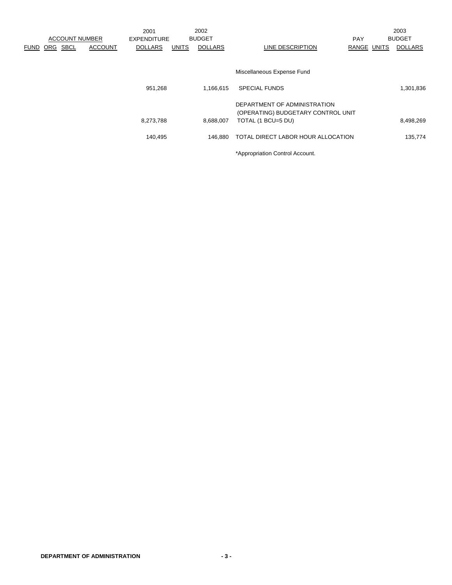|             |            |                               | 2001               |              | 2002           |                                                                    |             | 2003           |
|-------------|------------|-------------------------------|--------------------|--------------|----------------|--------------------------------------------------------------------|-------------|----------------|
|             |            | <b>ACCOUNT NUMBER</b>         | <b>EXPENDITURE</b> |              | <b>BUDGET</b>  |                                                                    | <b>PAY</b>  | <b>BUDGET</b>  |
| <b>FUND</b> | <b>ORG</b> | <b>SBCL</b><br><b>ACCOUNT</b> | <b>DOLLARS</b>     | <b>UNITS</b> | <b>DOLLARS</b> | LINE DESCRIPTION                                                   | RANGE UNITS | <b>DOLLARS</b> |
|             |            |                               |                    |              |                |                                                                    |             |                |
|             |            |                               |                    |              |                | Miscellaneous Expense Fund                                         |             |                |
|             |            |                               | 951,268            |              | 1,166,615      | <b>SPECIAL FUNDS</b>                                               |             | 1,301,836      |
|             |            |                               |                    |              |                | DEPARTMENT OF ADMINISTRATION<br>(OPERATING) BUDGETARY CONTROL UNIT |             |                |
|             |            |                               | 8,273,788          |              | 8,688,007      | TOTAL (1 BCU=5 DU)                                                 |             | 8,498,269      |
|             |            |                               | 140,495            |              | 146.880        | TOTAL DIRECT LABOR HOUR ALLOCATION                                 |             | 135,774        |
|             |            |                               |                    |              |                | *Appropriation Control Account.                                    |             |                |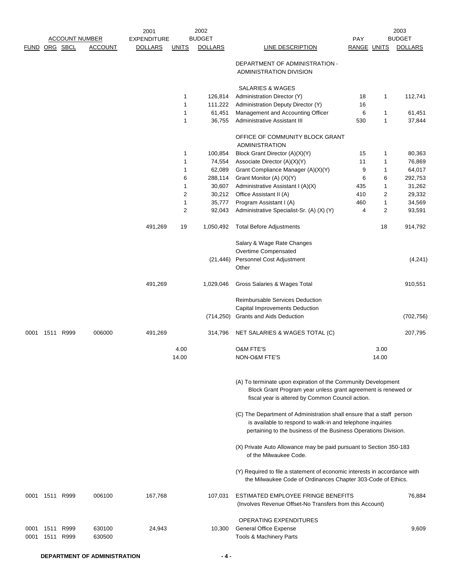|               |                |                       |                  | 2001               |              | 2002           |                                                                                                                                                                                                        |             |       | 2003           |
|---------------|----------------|-----------------------|------------------|--------------------|--------------|----------------|--------------------------------------------------------------------------------------------------------------------------------------------------------------------------------------------------------|-------------|-------|----------------|
|               |                | <b>ACCOUNT NUMBER</b> |                  | <b>EXPENDITURE</b> |              | <b>BUDGET</b>  |                                                                                                                                                                                                        | <b>PAY</b>  |       | <b>BUDGET</b>  |
| FUND ORG SBCL |                |                       | <b>ACCOUNT</b>   | <b>DOLLARS</b>     | <u>UNITS</u> | <b>DOLLARS</b> | LINE DESCRIPTION                                                                                                                                                                                       | RANGE UNITS |       | <b>DOLLARS</b> |
|               |                |                       |                  |                    |              |                | DEPARTMENT OF ADMINISTRATION -<br>ADMINISTRATION DIVISION                                                                                                                                              |             |       |                |
|               |                |                       |                  |                    |              |                | <b>SALARIES &amp; WAGES</b>                                                                                                                                                                            |             |       |                |
|               |                |                       |                  |                    | 1            | 126,814        | Administration Director (Y)                                                                                                                                                                            | 18          | 1     | 112,741        |
|               |                |                       |                  |                    | 1            | 111,222        | Administration Deputy Director (Y)                                                                                                                                                                     | 16          |       |                |
|               |                |                       |                  |                    | 1            | 61,451         | Management and Accounting Officer                                                                                                                                                                      | 6           | 1     | 61,451         |
|               |                |                       |                  |                    | 1            | 36,755         | Administrative Assistant III                                                                                                                                                                           | 530         | 1     | 37,844         |
|               |                |                       |                  |                    |              |                | OFFICE OF COMMUNITY BLOCK GRANT<br><b>ADMINISTRATION</b>                                                                                                                                               |             |       |                |
|               |                |                       |                  |                    | 1            | 100,854        | Block Grant Director (A)(X)(Y)                                                                                                                                                                         | 15          | 1     | 80,363         |
|               |                |                       |                  |                    | 1            | 74,554         | Associate Director (A)(X)(Y)                                                                                                                                                                           | 11          | 1     | 76,869         |
|               |                |                       |                  |                    | 1            | 62,089         | Grant Compliance Manager (A)(X)(Y)                                                                                                                                                                     | 9           | 1     | 64,017         |
|               |                |                       |                  |                    | 6            | 288,114        | Grant Monitor (A) (X)(Y)                                                                                                                                                                               | 6           | 6     | 292,753        |
|               |                |                       |                  |                    | 1            | 30,607         | Administrative Assistant I (A)(X)                                                                                                                                                                      | 435         | 1     | 31,262         |
|               |                |                       |                  |                    | 2            | 30,212         | Office Assistant II (A)                                                                                                                                                                                | 410         | 2     | 29,332         |
|               |                |                       |                  |                    | 1            | 35,777         | Program Assistant I (A)                                                                                                                                                                                | 460         | 1     | 34,569         |
|               |                |                       |                  |                    | 2            | 92,043         | Administrative Specialist-Sr. (A) (X) (Y)                                                                                                                                                              | 4           | 2     | 93,591         |
|               |                |                       |                  | 491,269            | 19           | 1,050,492      | <b>Total Before Adjustments</b>                                                                                                                                                                        |             | 18    | 914,792        |
|               |                |                       |                  |                    |              |                | Salary & Wage Rate Changes                                                                                                                                                                             |             |       |                |
|               |                |                       |                  |                    |              |                | Overtime Compensated                                                                                                                                                                                   |             |       |                |
|               |                |                       |                  |                    |              | (21, 446)      | Personnel Cost Adjustment<br>Other                                                                                                                                                                     |             |       | (4,241)        |
|               |                |                       |                  | 491,269            |              | 1,029,046      | Gross Salaries & Wages Total                                                                                                                                                                           |             |       | 910,551        |
|               |                |                       |                  |                    |              |                | <b>Reimbursable Services Deduction</b><br>Capital Improvements Deduction                                                                                                                               |             |       |                |
|               |                |                       |                  |                    |              | (714, 250)     | Grants and Aids Deduction                                                                                                                                                                              |             |       | (702, 756)     |
| 0001          | 1511 R999      |                       | 006000           | 491,269            |              | 314,796        | NET SALARIES & WAGES TOTAL (C)                                                                                                                                                                         |             |       | 207,795        |
|               |                |                       |                  |                    | 4.00         |                | <b>O&amp;M FTE'S</b>                                                                                                                                                                                   |             | 3.00  |                |
|               |                |                       |                  |                    | 14.00        |                | NON-O&M FTE'S                                                                                                                                                                                          |             | 14.00 |                |
|               |                |                       |                  |                    |              |                | (A) To terminate upon expiration of the Community Development<br>Block Grant Program year unless grant agreement is renewed or<br>fiscal year is altered by Common Council action.                     |             |       |                |
|               |                |                       |                  |                    |              |                | (C) The Department of Administration shall ensure that a staff person<br>is available to respond to walk-in and telephone inquiries<br>pertaining to the business of the Business Operations Division. |             |       |                |
|               |                |                       |                  |                    |              |                | (X) Private Auto Allowance may be paid pursuant to Section 350-183<br>of the Milwaukee Code.                                                                                                           |             |       |                |
|               |                |                       |                  |                    |              |                | (Y) Required to file a statement of economic interests in accordance with<br>the Milwaukee Code of Ordinances Chapter 303-Code of Ethics.                                                              |             |       |                |
|               | 0001 1511 R999 |                       | 006100           | 167,768            |              | 107,031        | ESTIMATED EMPLOYEE FRINGE BENEFITS<br>(Involves Revenue Offset-No Transfers from this Account)                                                                                                         |             |       | 76,884         |
| 0001<br>0001  | 1511<br>1511   | R999<br>R999          | 630100<br>630500 | 24,943             |              | 10,300         | OPERATING EXPENDITURES<br><b>General Office Expense</b><br>Tools & Machinery Parts                                                                                                                     |             |       | 9,609          |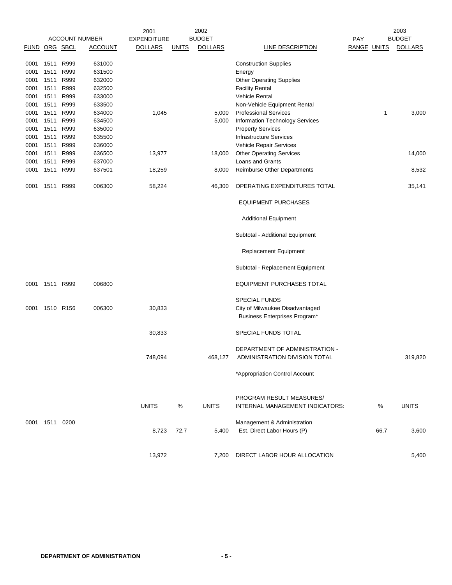|                      |                |      |                       | 2001               |              | 2002           |                                                                 |                    |      | 2003           |
|----------------------|----------------|------|-----------------------|--------------------|--------------|----------------|-----------------------------------------------------------------|--------------------|------|----------------|
|                      |                |      | <b>ACCOUNT NUMBER</b> | <b>EXPENDITURE</b> |              | <b>BUDGET</b>  |                                                                 | PAY                |      | <b>BUDGET</b>  |
| <b>FUND ORG SBCL</b> |                |      | <b>ACCOUNT</b>        | <b>DOLLARS</b>     | <b>UNITS</b> | <b>DOLLARS</b> | LINE DESCRIPTION                                                | <b>RANGE UNITS</b> |      | <b>DOLLARS</b> |
| 0001                 | 1511           | R999 | 631000                |                    |              |                | <b>Construction Supplies</b>                                    |                    |      |                |
| 0001                 | 1511           | R999 | 631500                |                    |              |                | Energy                                                          |                    |      |                |
| 0001                 | 1511           | R999 | 632000                |                    |              |                | <b>Other Operating Supplies</b>                                 |                    |      |                |
| 0001                 | 1511           | R999 | 632500                |                    |              |                | <b>Facility Rental</b>                                          |                    |      |                |
| 0001                 | 1511           | R999 | 633000                |                    |              |                | <b>Vehicle Rental</b>                                           |                    |      |                |
| 0001                 | 1511           | R999 | 633500                |                    |              |                | Non-Vehicle Equipment Rental                                    |                    |      |                |
| 0001                 | 1511 R999      |      | 634000                | 1,045              |              | 5,000          | <b>Professional Services</b>                                    |                    | 1    | 3,000          |
| 0001                 | 1511           | R999 | 634500                |                    |              | 5,000          | <b>Information Technology Services</b>                          |                    |      |                |
| 0001                 | 1511           | R999 | 635000                |                    |              |                | <b>Property Services</b>                                        |                    |      |                |
| 0001                 | 1511           | R999 | 635500                |                    |              |                | <b>Infrastructure Services</b>                                  |                    |      |                |
| 0001                 | 1511           | R999 | 636000                |                    |              |                | Vehicle Repair Services                                         |                    |      |                |
| 0001                 | 1511           | R999 | 636500                | 13,977             |              | 18,000         | <b>Other Operating Services</b>                                 |                    |      | 14,000         |
| 0001                 | 1511           | R999 | 637000                |                    |              |                | Loans and Grants                                                |                    |      |                |
| 0001                 | 1511           | R999 | 637501                | 18,259             |              | 8,000          | <b>Reimburse Other Departments</b>                              |                    |      | 8,532          |
| 0001                 | 1511           | R999 | 006300                | 58,224             |              | 46,300         | OPERATING EXPENDITURES TOTAL                                    |                    |      | 35,141         |
|                      |                |      |                       |                    |              |                | <b>EQUIPMENT PURCHASES</b>                                      |                    |      |                |
|                      |                |      |                       |                    |              |                | <b>Additional Equipment</b>                                     |                    |      |                |
|                      |                |      |                       |                    |              |                | Subtotal - Additional Equipment                                 |                    |      |                |
|                      |                |      |                       |                    |              |                | Replacement Equipment                                           |                    |      |                |
|                      |                |      |                       |                    |              |                | Subtotal - Replacement Equipment                                |                    |      |                |
| 0001                 | 1511           | R999 | 006800                |                    |              |                | <b>EQUIPMENT PURCHASES TOTAL</b>                                |                    |      |                |
|                      |                |      |                       |                    |              |                | <b>SPECIAL FUNDS</b>                                            |                    |      |                |
| 0001                 | 1510 R156      |      | 006300                | 30,833             |              |                | City of Milwaukee Disadvantaged                                 |                    |      |                |
|                      |                |      |                       |                    |              |                | Business Enterprises Program*                                   |                    |      |                |
|                      |                |      |                       | 30,833             |              |                | SPECIAL FUNDS TOTAL                                             |                    |      |                |
|                      |                |      |                       | 748,094            |              | 468,127        | DEPARTMENT OF ADMINISTRATION -<br>ADMINISTRATION DIVISION TOTAL |                    |      | 319,820        |
|                      |                |      |                       |                    |              |                | *Appropriation Control Account                                  |                    |      |                |
|                      |                |      |                       |                    |              |                | PROGRAM RESULT MEASURES/                                        |                    |      |                |
|                      |                |      |                       | <b>UNITS</b>       | $\%$         | <b>UNITS</b>   | INTERNAL MANAGEMENT INDICATORS:                                 |                    | $\%$ | <b>UNITS</b>   |
|                      | 0001 1511 0200 |      |                       |                    |              |                | Management & Administration                                     |                    | 66.7 |                |
|                      |                |      |                       | 8,723              | 72.7         | 5,400          | Est. Direct Labor Hours (P)                                     |                    |      | 3,600          |
|                      |                |      |                       | 13,972             |              | 7,200          | DIRECT LABOR HOUR ALLOCATION                                    |                    |      | 5,400          |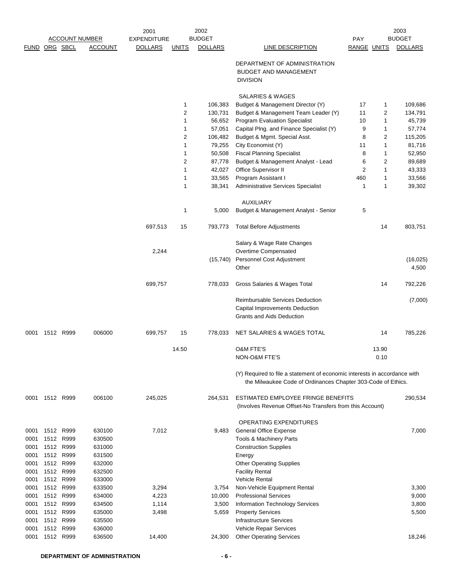|               |      |                   |                       | 2001               |                  | 2002             |                                                                                                                                           |                    |              | 2003               |
|---------------|------|-------------------|-----------------------|--------------------|------------------|------------------|-------------------------------------------------------------------------------------------------------------------------------------------|--------------------|--------------|--------------------|
|               |      |                   | <b>ACCOUNT NUMBER</b> | <b>EXPENDITURE</b> |                  | <b>BUDGET</b>    |                                                                                                                                           | <b>PAY</b>         |              | <b>BUDGET</b>      |
| FUND ORG SBCL |      |                   | <b>ACCOUNT</b>        | <b>DOLLARS</b>     | <b>UNITS</b>     | <b>DOLLARS</b>   | <b>LINE DESCRIPTION</b>                                                                                                                   | <b>RANGE UNITS</b> |              | <b>DOLLARS</b>     |
|               |      |                   |                       |                    |                  |                  | DEPARTMENT OF ADMINISTRATION<br><b>BUDGET AND MANAGEMENT</b>                                                                              |                    |              |                    |
|               |      |                   |                       |                    |                  |                  | <b>DIVISION</b>                                                                                                                           |                    |              |                    |
|               |      |                   |                       |                    |                  |                  | SALARIES & WAGES                                                                                                                          |                    |              |                    |
|               |      |                   |                       |                    | 1                | 106,383          | Budget & Management Director (Y)                                                                                                          | 17                 | 1            | 109,686            |
|               |      |                   |                       |                    | 2                | 130,731          | Budget & Management Team Leader (Y)                                                                                                       | 11                 | 2            | 134,791            |
|               |      |                   |                       |                    | $\mathbf{1}$     | 56,652           | <b>Program Evaluation Specialist</b>                                                                                                      | 10                 | 1            | 45,739             |
|               |      |                   |                       |                    | 1                | 57,051           | Capital Plng. and Finance Specialist (Y)                                                                                                  | 9                  | 1            | 57,774             |
|               |      |                   |                       |                    | 2                | 106,482          | Budget & Mgmt. Special Asst.                                                                                                              | 8                  | 2            | 115,205            |
|               |      |                   |                       |                    | 1                | 79,255           | City Economist (Y)                                                                                                                        | 11                 | 1            | 81,716             |
|               |      |                   |                       |                    | 1                | 50,508           | <b>Fiscal Planning Specialist</b>                                                                                                         | 8                  | 1            | 52,950             |
|               |      |                   |                       |                    | 2                | 87,778           | Budget & Management Analyst - Lead                                                                                                        | 6                  | 2            | 89,689             |
|               |      |                   |                       |                    | 1                | 42,027           | Office Supervisor II                                                                                                                      | $\overline{c}$     | $\mathbf{1}$ | 43,333             |
|               |      |                   |                       |                    | $\mathbf 1$<br>1 | 33,565<br>38,341 | Program Assistant I<br>Administrative Services Specialist                                                                                 | 460<br>1           | 1<br>1       | 33,566<br>39,302   |
|               |      |                   |                       |                    |                  |                  | <b>AUXILIARY</b>                                                                                                                          |                    |              |                    |
|               |      |                   |                       |                    | 1                | 5,000            | Budget & Management Analyst - Senior                                                                                                      | 5                  |              |                    |
|               |      |                   |                       | 697,513            | 15               | 793,773          | <b>Total Before Adjustments</b>                                                                                                           |                    | 14           | 803,751            |
|               |      |                   |                       |                    |                  |                  | Salary & Wage Rate Changes                                                                                                                |                    |              |                    |
|               |      |                   |                       | 2,244              |                  |                  | Overtime Compensated                                                                                                                      |                    |              |                    |
|               |      |                   |                       |                    |                  | (15, 740)        | Personnel Cost Adjustment<br>Other                                                                                                        |                    |              | (16, 025)<br>4,500 |
|               |      |                   |                       | 699,757            |                  | 778,033          | Gross Salaries & Wages Total                                                                                                              |                    | 14           | 792,226            |
|               |      |                   |                       |                    |                  |                  | <b>Reimbursable Services Deduction</b><br>Capital Improvements Deduction                                                                  |                    |              | (7,000)            |
|               |      |                   |                       |                    |                  |                  | <b>Grants and Aids Deduction</b>                                                                                                          |                    |              |                    |
| 0001          |      | 1512 R999         | 006000                | 699,757            | 15               | 778,033          | NET SALARIES & WAGES TOTAL                                                                                                                |                    | 14           | 785,226            |
|               |      |                   |                       |                    | 14.50            |                  | <b>O&amp;M FTE'S</b>                                                                                                                      |                    | 13.90        |                    |
|               |      |                   |                       |                    |                  |                  | NON-O&M FTE'S                                                                                                                             |                    | 0.10         |                    |
|               |      |                   |                       |                    |                  |                  | (Y) Required to file a statement of economic interests in accordance with<br>the Milwaukee Code of Ordinances Chapter 303-Code of Ethics. |                    |              |                    |
| 0001          |      | 1512 R999         | 006100                | 245,025            |                  | 264,531          | ESTIMATED EMPLOYEE FRINGE BENEFITS                                                                                                        |                    |              | 290,534            |
|               |      |                   |                       |                    |                  |                  | (Involves Revenue Offset-No Transfers from this Account)                                                                                  |                    |              |                    |
|               |      |                   |                       |                    |                  |                  | OPERATING EXPENDITURES                                                                                                                    |                    |              |                    |
| 0001          |      | 1512 R999         | 630100                | 7,012              |                  | 9,483            | <b>General Office Expense</b>                                                                                                             |                    |              | 7,000              |
| 0001          | 1512 | R999              | 630500                |                    |                  |                  | <b>Tools &amp; Machinery Parts</b>                                                                                                        |                    |              |                    |
| 0001          | 1512 | R999              | 631000                |                    |                  |                  | <b>Construction Supplies</b>                                                                                                              |                    |              |                    |
| 0001          |      | 1512 R999         | 631500                |                    |                  |                  | Energy                                                                                                                                    |                    |              |                    |
| 0001          | 1512 | R999              | 632000                |                    |                  |                  | <b>Other Operating Supplies</b>                                                                                                           |                    |              |                    |
| 0001          | 1512 | R999              | 632500                |                    |                  |                  | <b>Facility Rental</b>                                                                                                                    |                    |              |                    |
| 0001<br>0001  | 1512 | 1512 R999<br>R999 | 633000<br>633500      | 3,294              |                  | 3,754            | Vehicle Rental<br>Non-Vehicle Equipment Rental                                                                                            |                    |              | 3,300              |
| 0001          | 1512 | R999              | 634000                | 4,223              |                  | 10,000           | <b>Professional Services</b>                                                                                                              |                    |              | 9,000              |
| 0001          |      | 1512 R999         | 634500                | 1,114              |                  | 3,500            | Information Technology Services                                                                                                           |                    |              | 3,800              |
| 0001          |      | 1512 R999         | 635000                | 3,498              |                  | 5,659            | <b>Property Services</b>                                                                                                                  |                    |              | 5,500              |
| 0001          |      | 1512 R999         | 635500                |                    |                  |                  | <b>Infrastructure Services</b>                                                                                                            |                    |              |                    |
| 0001          |      | 1512 R999         | 636000                |                    |                  |                  | Vehicle Repair Services                                                                                                                   |                    |              |                    |
| 0001          |      | 1512 R999         | 636500                | 14,400             |                  | 24,300           | <b>Other Operating Services</b>                                                                                                           |                    |              | 18,246             |
|               |      |                   |                       |                    |                  |                  |                                                                                                                                           |                    |              |                    |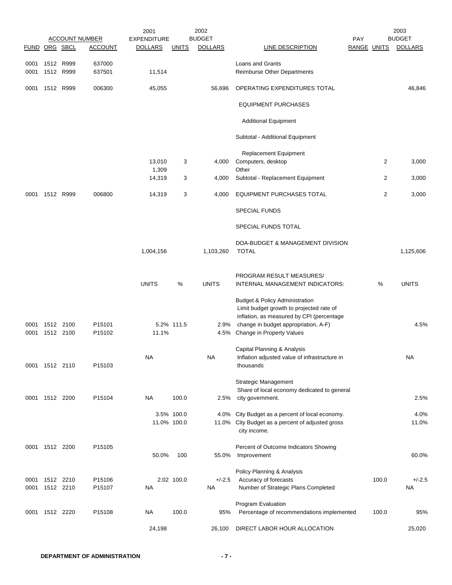|                |                        | <b>ACCOUNT NUMBER</b> | 2001<br><b>EXPENDITURE</b> |              | 2002<br><b>BUDGET</b> |                                                                                                                                                                                                              | <b>PAY</b>         | 2003<br><b>BUDGET</b>   |
|----------------|------------------------|-----------------------|----------------------------|--------------|-----------------------|--------------------------------------------------------------------------------------------------------------------------------------------------------------------------------------------------------------|--------------------|-------------------------|
| FUND ORG SBCL  |                        | <b>ACCOUNT</b>        | <b>DOLLARS</b>             | <u>UNITS</u> | <b>DOLLARS</b>        | LINE DESCRIPTION                                                                                                                                                                                             | <b>RANGE UNITS</b> | <b>DOLLARS</b>          |
| 0001<br>0001   | 1512 R999<br>1512 R999 | 637000<br>637501      | 11,514                     |              |                       | <b>Loans and Grants</b><br><b>Reimburse Other Departments</b>                                                                                                                                                |                    |                         |
| 0001           | 1512 R999              | 006300                | 45,055                     |              | 56,696                | OPERATING EXPENDITURES TOTAL                                                                                                                                                                                 |                    | 46,846                  |
|                |                        |                       |                            |              |                       | <b>EQUIPMENT PURCHASES</b>                                                                                                                                                                                   |                    |                         |
|                |                        |                       |                            |              |                       | <b>Additional Equipment</b>                                                                                                                                                                                  |                    |                         |
|                |                        |                       |                            |              |                       | Subtotal - Additional Equipment                                                                                                                                                                              |                    |                         |
|                |                        |                       |                            |              |                       | <b>Replacement Equipment</b>                                                                                                                                                                                 |                    |                         |
|                |                        |                       | 13,010<br>1,309            | 3            | 4,000                 | Computers, desktop<br>Other                                                                                                                                                                                  |                    | $\overline{2}$<br>3,000 |
|                |                        |                       | 14,319                     | 3            | 4,000                 | Subtotal - Replacement Equipment                                                                                                                                                                             |                    | 2<br>3,000              |
| 0001           | 1512 R999              | 006800                | 14,319                     | 3            | 4,000                 | <b>EQUIPMENT PURCHASES TOTAL</b>                                                                                                                                                                             |                    | 2<br>3,000              |
|                |                        |                       |                            |              |                       | <b>SPECIAL FUNDS</b>                                                                                                                                                                                         |                    |                         |
|                |                        |                       |                            |              |                       | SPECIAL FUNDS TOTAL                                                                                                                                                                                          |                    |                         |
|                |                        |                       | 1,004,156                  |              | 1,103,260             | DOA-BUDGET & MANAGEMENT DIVISION<br><b>TOTAL</b>                                                                                                                                                             |                    | 1,125,606               |
|                |                        |                       | <b>UNITS</b>               | %            | <b>UNITS</b>          | PROGRAM RESULT MEASURES/<br>INTERNAL MANAGEMENT INDICATORS:                                                                                                                                                  | %                  | <b>UNITS</b>            |
| 0001<br>0001   | 1512 2100<br>1512 2100 | P15101<br>P15102      | 11.1%                      | 5.2% 111.5   | 2.9%                  | <b>Budget &amp; Policy Administration</b><br>Limit budget growth to projected rate of<br>inflation, as measured by CPI (percentage<br>change in budget appropriation, A-F)<br>4.5% Change in Property Values |                    | 4.5%                    |
| 0001 1512 2110 |                        | P15103                | <b>NA</b>                  |              | <b>NA</b>             | Capital Planning & Analysis<br>Inflation adjusted value of infrastructure in<br>thousands                                                                                                                    |                    | <b>NA</b>               |
| 0001           | 1512 2200              | P15104                | <b>NA</b>                  | 100.0        | 2.5%                  | <b>Strategic Management</b><br>Share of local economy dedicated to general<br>city government.                                                                                                               |                    | 2.5%                    |
|                |                        |                       | 11.0% 100.0                | 3.5% 100.0   |                       | 4.0% City Budget as a percent of local economy.<br>11.0% City Budget as a percent of adjusted gross<br>city income.                                                                                          |                    | 4.0%<br>11.0%           |
| 0001 1512 2200 |                        | P15105                | 50.0%                      | 100          | 55.0%                 | Percent of Outcome Indicators Showing<br>Improvement                                                                                                                                                         |                    | 60.0%                   |
| 0001<br>0001   | 1512 2210<br>1512 2210 | P15106<br>P15107      | NA                         | 2.02 100.0   | $+/-2.5$<br>NA        | Policy Planning & Analysis<br>Accuracy of forecasts<br>Number of Strategic Plans Completed                                                                                                                   | 100.0              | $+/-2.5$<br>NA          |
|                | 0001 1512 2220         | P15108                | <b>NA</b>                  | 100.0        | 95%                   | Program Evaluation<br>Percentage of recommendations implemented                                                                                                                                              | 100.0              | 95%                     |
|                |                        |                       | 24,198                     |              | 26,100                | DIRECT LABOR HOUR ALLOCATION                                                                                                                                                                                 |                    | 25,020                  |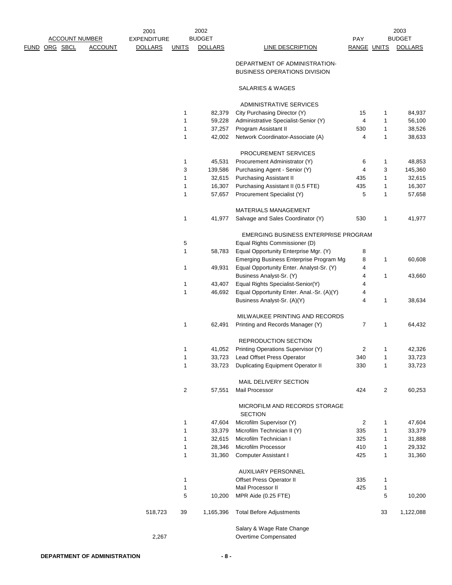2001 EXPENDITURE PAY ACCOUNT NUMBER BUDGET BUDGET FUND ORG SBCL ACCOUNT DOLLARS UNITS DOLLARS LINE DESCRIPTION BANGE UNITS DOLLARS 2002

2003

#### DEPARTMENT OF ADMINISTRATION-BUSINESS OPERATIONS DIVISION

#### SALARIES & WAGES

#### ADMINISTRATIVE SERVICES

|         | 1              | 82,379    | City Purchasing Director (Y)                      | 15  | 1  | 84,937    |
|---------|----------------|-----------|---------------------------------------------------|-----|----|-----------|
|         | 1              | 59,228    | Administrative Specialist-Senior (Y)              | 4   | 1  | 56,100    |
|         | 1              | 37,257    | Program Assistant II                              | 530 | 1  | 38,526    |
|         | 1              | 42,002    | Network Coordinator-Associate (A)                 | 4   | 1  | 38,633    |
|         |                |           | PROCUREMENT SERVICES                              |     |    |           |
|         | 1              | 45,531    | Procurement Administrator (Y)                     | 6   | 1  | 48,853    |
|         | 3              | 139,586   | Purchasing Agent - Senior (Y)                     | 4   | 3  | 145,360   |
|         | 1              | 32,615    | <b>Purchasing Assistant II</b>                    | 435 | 1  | 32,615    |
|         | 1              | 16,307    | Purchasing Assistant II (0.5 FTE)                 | 435 | 1  | 16,307    |
|         | 1              | 57,657    | Procurement Specialist (Y)                        | 5   | 1  | 57,658    |
|         |                |           | MATERIALS MANAGEMENT                              |     |    |           |
|         | 1              | 41,977    | Salvage and Sales Coordinator (Y)                 | 530 | 1  | 41,977    |
|         |                |           | EMERGING BUSINESS ENTERPRISE PROGRAM              |     |    |           |
|         | 5              |           | Equal Rights Commissioner (D)                     |     |    |           |
|         | 1              | 58,783    | Equal Opportunity Enterprise Mgr. (Y)             | 8   |    |           |
|         |                |           | Emerging Business Enterprise Program Mg           | 8   | 1  | 60,608    |
|         | 1              | 49,931    | Equal Opportunity Enter. Analyst-Sr. (Y)          | 4   |    |           |
|         |                |           | Business Analyst-Sr. (Y)                          | 4   | 1  | 43,660    |
|         | 1              | 43,407    | Equal Rights Specialist-Senior(Y)                 | 4   |    |           |
|         | 1              | 46,692    | Equal Opportunity Enter. Anal.-Sr. (A)(Y)         | 4   |    |           |
|         |                |           | Business Analyst-Sr. (A)(Y)                       | 4   | 1  | 38,634    |
|         |                |           | MILWAUKEE PRINTING AND RECORDS                    |     |    |           |
|         | 1              | 62,491    | Printing and Records Manager (Y)                  | 7   | 1  | 64,432    |
|         |                |           | REPRODUCTION SECTION                              |     |    |           |
|         | 1              | 41,052    | Printing Operations Supervisor (Y)                | 2   | 1  | 42,326    |
|         | 1              | 33,723    | Lead Offset Press Operator                        | 340 | 1  | 33,723    |
|         | 1              | 33,723    | <b>Duplicating Equipment Operator II</b>          | 330 | 1  | 33,723    |
|         |                |           | <b>MAIL DELIVERY SECTION</b>                      |     |    |           |
|         | $\overline{c}$ | 57,551    | Mail Processor                                    | 424 | 2  | 60,253    |
|         |                |           | MICROFILM AND RECORDS STORAGE<br><b>SECTION</b>   |     |    |           |
|         | 1              | 47,604    | Microfilm Supervisor (Y)                          | 2   | 1  | 47,604    |
|         | 1              | 33,379    | Microfilm Technician II (Y)                       | 335 | 1  | 33,379    |
|         | 1              | 32,615    | Microfilm Technician I                            | 325 | 1  | 31,888    |
|         | 1              | 28,346    | Microfilm Processor                               | 410 | 1  | 29,332    |
|         | 1              | 31,360    | <b>Computer Assistant I</b>                       | 425 | 1  | 31,360    |
|         |                |           | <b>AUXILIARY PERSONNEL</b>                        |     |    |           |
|         | 1              |           | Offset Press Operator II                          | 335 | 1  |           |
|         | 1              |           | Mail Processor II                                 | 425 | 1  |           |
|         | 5              | 10,200    | MPR Aide (0.25 FTE)                               |     | 5  | 10,200    |
| 518,723 | 39             | 1,165,396 | <b>Total Before Adjustments</b>                   |     | 33 | 1,122,088 |
| 2,267   |                |           | Salary & Wage Rate Change<br>Overtime Compensated |     |    |           |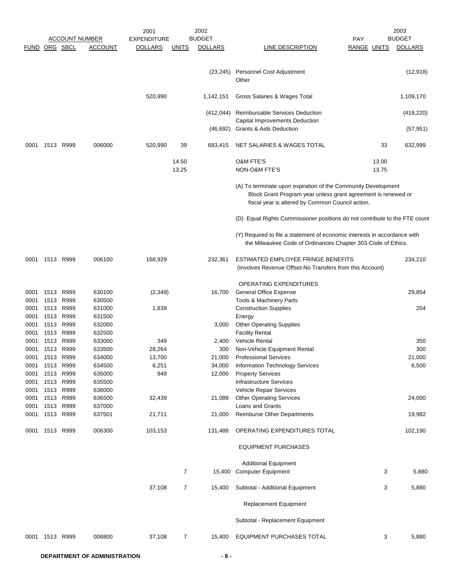|               |                   |                       |                  | 2001               |              | 2002           |                                                                                                                                                                                    |             |       | 2003           |
|---------------|-------------------|-----------------------|------------------|--------------------|--------------|----------------|------------------------------------------------------------------------------------------------------------------------------------------------------------------------------------|-------------|-------|----------------|
|               |                   | <b>ACCOUNT NUMBER</b> |                  | <b>EXPENDITURE</b> |              | <b>BUDGET</b>  |                                                                                                                                                                                    | <b>PAY</b>  |       | <b>BUDGET</b>  |
| FUND ORG SBCL |                   |                       | <b>ACCOUNT</b>   | <b>DOLLARS</b>     | <u>UNITS</u> | <b>DOLLARS</b> | LINE DESCRIPTION                                                                                                                                                                   | RANGE UNITS |       | <b>DOLLARS</b> |
|               |                   |                       |                  |                    |              | (23, 245)      | Personnel Cost Adjustment<br>Other                                                                                                                                                 |             |       | (12, 918)      |
|               |                   |                       |                  | 520,990            |              | 1,142,151      | Gross Salaries & Wages Total                                                                                                                                                       |             |       | 1,109,170      |
|               |                   |                       |                  |                    |              | (412, 044)     | Reimbursable Services Deduction<br>Capital Improvements Deduction                                                                                                                  |             |       | (418, 220)     |
|               |                   |                       |                  |                    |              | (46, 692)      | Grants & Aids Deduction                                                                                                                                                            |             |       | (57, 951)      |
| 0001          | 1513 R999         |                       | 006000           | 520,990            | 39           | 683,415        | NET SALARIES & WAGES TOTAL                                                                                                                                                         |             | 33    | 632,999        |
|               |                   |                       |                  |                    | 14.50        |                | <b>O&amp;M FTE'S</b>                                                                                                                                                               |             | 13.00 |                |
|               |                   |                       |                  |                    | 13.25        |                | NON-O&M FTE'S                                                                                                                                                                      |             | 13.75 |                |
|               |                   |                       |                  |                    |              |                |                                                                                                                                                                                    |             |       |                |
|               |                   |                       |                  |                    |              |                | (A) To terminate upon expiration of the Community Development<br>Block Grant Program year unless grant agreement is renewed or<br>fiscal year is altered by Common Council action. |             |       |                |
|               |                   |                       |                  |                    |              |                | (D) Equal Rights Commissioner positions do not contribute to the FTE count                                                                                                         |             |       |                |
|               |                   |                       |                  |                    |              |                | (Y) Required to file a statement of economic interests in accordance with<br>the Milwaukee Code of Ordinances Chapter 303-Code of Ethics.                                          |             |       |                |
| 0001          | 1513 R999         |                       | 006100           | 168,929            |              | 232,361        | ESTIMATED EMPLOYEE FRINGE BENEFITS<br>(Involves Revenue Offset-No Transfers from this Account)                                                                                     |             |       | 234,210        |
|               |                   |                       |                  |                    |              |                |                                                                                                                                                                                    |             |       |                |
|               |                   |                       |                  |                    |              |                | OPERATING EXPENDITURES                                                                                                                                                             |             |       |                |
| 0001          | 1513 R999         |                       | 630100           | (2, 349)           |              | 16,700         | <b>General Office Expense</b>                                                                                                                                                      |             |       | 29,854         |
| 0001          | 1513              | R999<br>R999          | 630500           |                    |              |                | Tools & Machinery Parts                                                                                                                                                            |             |       | 204            |
| 0001          | 1513<br>1513 R999 |                       | 631000<br>631500 | 1,839              |              |                | <b>Construction Supplies</b>                                                                                                                                                       |             |       |                |
| 0001          |                   | 1513 R999             |                  |                    |              |                | Energy                                                                                                                                                                             |             |       |                |
| 0001<br>0001  | 1513 R999         |                       | 632000<br>632500 |                    |              | 3,000          | <b>Other Operating Supplies</b><br><b>Facility Rental</b>                                                                                                                          |             |       |                |
| 0001          | 1513              | R999                  | 633000           | 349                |              | 2,400          | <b>Vehicle Rental</b>                                                                                                                                                              |             |       | 350            |
| 0001          | 1513 R999         |                       | 633500           | 28,264             |              | 300            | Non-Vehicle Equipment Rental                                                                                                                                                       |             |       | 300            |
| 0001          | 1513              | R999                  | 634000           | 13,700             |              | 21,000         | <b>Professional Services</b>                                                                                                                                                       |             |       | 21,000         |
| 0001          | 1513 R999         |                       | 634500           | 6,251              |              | 34,000         | <b>Information Technology Services</b>                                                                                                                                             |             |       | 6,500          |
| 0001          | 1513 R999         |                       | 635000           | 949                |              | 12,000         | <b>Property Services</b>                                                                                                                                                           |             |       |                |
| 0001          | 1513 R999         |                       | 635500           |                    |              |                | Infrastructure Services                                                                                                                                                            |             |       |                |
| 0001          | 1513              | R999                  | 636000           |                    |              |                | Vehicle Repair Services                                                                                                                                                            |             |       |                |
| 0001          | 1513              | R999                  | 636500           | 32,439             |              | 21,088         | <b>Other Operating Services</b>                                                                                                                                                    |             |       | 24,000         |
| 0001          |                   | 1513 R999             | 637000           |                    |              |                | Loans and Grants                                                                                                                                                                   |             |       |                |
| 0001          |                   | 1513 R999             | 637501           | 21,711             |              | 21,000         | Reimburse Other Departments                                                                                                                                                        |             |       | 19,982         |
| 0001          | 1513 R999         |                       | 006300           | 103,153            |              | 131,488        | OPERATING EXPENDITURES TOTAL                                                                                                                                                       |             |       | 102,190        |
|               |                   |                       |                  |                    |              |                | <b>EQUIPMENT PURCHASES</b>                                                                                                                                                         |             |       |                |
|               |                   |                       |                  |                    |              |                | <b>Additional Equipment</b>                                                                                                                                                        |             |       |                |
|               |                   |                       |                  |                    | 7            |                | 15,400 Computer Equipment                                                                                                                                                          |             | 3     | 5,880          |
|               |                   |                       |                  | 37,108             | 7            | 15,400         | Subtotal - Additional Equipment                                                                                                                                                    |             | 3     | 5,880          |
|               |                   |                       |                  |                    |              |                | <b>Replacement Equipment</b>                                                                                                                                                       |             |       |                |
|               |                   |                       |                  |                    |              |                | Subtotal - Replacement Equipment                                                                                                                                                   |             |       |                |
| 0001          | 1513 R999         |                       | 006800           | 37,108             | 7            | 15,400         | EQUIPMENT PURCHASES TOTAL                                                                                                                                                          |             | 3     | 5,880          |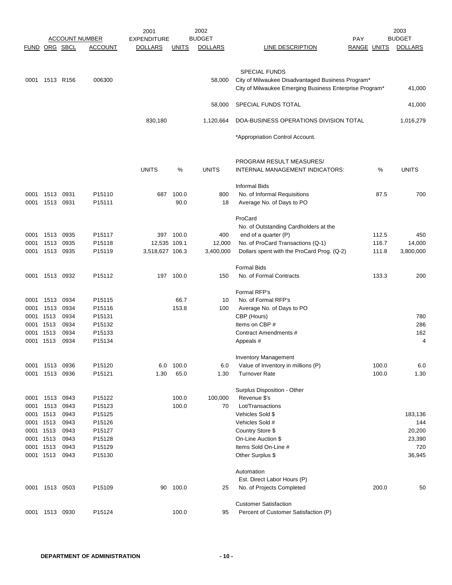| FUND ORG SBCL     |                |              | <b>ACCOUNT NUMBER</b><br><b>ACCOUNT</b> | 2001<br><b>EXPENDITURE</b><br><b>DOLLARS</b> | <b>UNITS</b>   | 2002<br><b>BUDGET</b><br><b>DOLLARS</b> | LINE DESCRIPTION                                                                                                                     | <b>PAY</b><br>RANGE UNITS |       | 2003<br><b>BUDGET</b><br><b>DOLLARS</b> |
|-------------------|----------------|--------------|-----------------------------------------|----------------------------------------------|----------------|-----------------------------------------|--------------------------------------------------------------------------------------------------------------------------------------|---------------------------|-------|-----------------------------------------|
|                   |                |              |                                         |                                              |                |                                         |                                                                                                                                      |                           |       |                                         |
| 0001              | 1513 R156      |              | 006300                                  |                                              |                | 58.000                                  | <b>SPECIAL FUNDS</b><br>City of Milwaukee Disadvantaged Business Program*<br>City of Milwaukee Emerging Business Enterprise Program* |                           |       | 41,000                                  |
|                   |                |              |                                         |                                              |                | 58,000                                  | SPECIAL FUNDS TOTAL                                                                                                                  |                           |       | 41,000                                  |
|                   |                |              |                                         | 830,180                                      |                | 1,120,664                               | DOA-BUSINESS OPERATIONS DIVISION TOTAL                                                                                               |                           |       | 1,016,279                               |
|                   |                |              |                                         |                                              |                |                                         | *Appropriation Control Account.                                                                                                      |                           |       |                                         |
|                   |                |              |                                         | <b>UNITS</b>                                 | %              | <b>UNITS</b>                            | PROGRAM RESULT MEASURES/<br>INTERNAL MANAGEMENT INDICATORS:                                                                          |                           | %     | <b>UNITS</b>                            |
|                   |                |              |                                         |                                              |                |                                         | <b>Informal Bids</b>                                                                                                                 |                           |       |                                         |
| 0001<br>0001      | 1513<br>1513   | 0931<br>0931 | P15110<br>P15111                        | 687                                          | 100.0<br>90.0  | 800<br>18                               | No. of Informal Requisitions<br>Average No. of Days to PO                                                                            |                           | 87.5  | 700                                     |
|                   |                |              |                                         |                                              |                |                                         | ProCard<br>No. of Outstanding Cardholders at the                                                                                     |                           |       |                                         |
| 0001              | 1513           | 0935         | P15117                                  |                                              | 397 100.0      | 400                                     | end of a quarter (P)                                                                                                                 |                           | 112.5 | 450                                     |
| 0001              | 1513           | 0935         | P15118                                  | 12,535 109.1<br>3,518,627 106.3              |                | 12,000                                  | No. of ProCard Transactions (Q-1)                                                                                                    |                           | 116.7 | 14,000                                  |
| 0001              | 1513 0935      |              | P15119                                  |                                              |                | 3,400,000                               | Dollars spent with the ProCard Prog. (Q-2)                                                                                           |                           | 111.8 | 3,800,000                               |
|                   |                |              |                                         |                                              |                |                                         | <b>Formal Bids</b>                                                                                                                   |                           |       |                                         |
| 0001              | 1513 0932      |              | P15112                                  |                                              | 197 100.0      | 150                                     | No. of Formal Contracts                                                                                                              |                           | 133.3 | 200                                     |
|                   |                |              |                                         |                                              |                |                                         | Formal RFP's                                                                                                                         |                           |       |                                         |
| 0001              | 1513           | 0934         | P15115                                  |                                              | 66.7           | 10                                      | No. of Formal RFP's                                                                                                                  |                           |       |                                         |
| 0001              | 1513           | 0934         | P15116                                  |                                              | 153.8          | 100                                     | Average No. of Days to PO                                                                                                            |                           |       |                                         |
| 0001              | 1513           | 0934         | P15131                                  |                                              |                |                                         | CBP (Hours)                                                                                                                          |                           |       | 780                                     |
| 0001              | 1513           | 0934         | P15132                                  |                                              |                |                                         | Items on CBP #                                                                                                                       |                           |       | 286                                     |
| 0001              | 1513           | 0934         | P15133                                  |                                              |                |                                         | Contract Amendments #                                                                                                                |                           |       | 162                                     |
| 0001 1513         |                | 0934         | P15134                                  |                                              |                |                                         | Appeals #                                                                                                                            |                           |       | 4                                       |
|                   |                |              |                                         |                                              |                |                                         | <b>Inventory Management</b>                                                                                                          |                           |       |                                         |
| 0001              | 1513           | 0936         | P15120                                  | 6.0                                          | 100.0          | 6.0                                     | Value of Inventory in millions (P)                                                                                                   |                           | 100.0 | 6.0                                     |
| 0001              | 1513           | 0936         | P15121                                  | 1.30                                         | 65.0           | 1.30                                    | <b>Turnover Rate</b>                                                                                                                 |                           | 100.0 | 1.30                                    |
|                   |                |              |                                         |                                              |                |                                         |                                                                                                                                      |                           |       |                                         |
|                   |                |              |                                         |                                              |                |                                         | Surplus Disposition - Other<br>Revenue \$'s                                                                                          |                           |       |                                         |
| 0001              | 1513<br>1513   | 0943<br>0943 | P15122                                  |                                              | 100.0<br>100.0 | 100,000                                 | Lot/Transactions                                                                                                                     |                           |       |                                         |
| 0001<br>0001 1513 |                | 0943         | P15123<br>P15125                        |                                              |                | 70                                      | Vehicles Sold \$                                                                                                                     |                           |       | 183,136                                 |
| 0001 1513         |                | 0943         | P15126                                  |                                              |                |                                         | Vehicles Sold #                                                                                                                      |                           |       | 144                                     |
| 0001 1513         |                | 0943         | P15127                                  |                                              |                |                                         | Country Store \$                                                                                                                     |                           |       | 20,200                                  |
| 0001 1513         |                | 0943         | P15128                                  |                                              |                |                                         | On-Line Auction \$                                                                                                                   |                           |       | 23,390                                  |
| 0001 1513         |                | 0943         | P15129                                  |                                              |                |                                         | Items Sold On-Line #                                                                                                                 |                           |       | 720                                     |
| 0001 1513         |                | 0943         | P15130                                  |                                              |                |                                         | Other Surplus \$                                                                                                                     |                           |       | 36,945                                  |
|                   |                |              |                                         |                                              |                |                                         | Automation                                                                                                                           |                           |       |                                         |
|                   |                |              |                                         |                                              |                |                                         | Est. Direct Labor Hours (P)                                                                                                          |                           |       |                                         |
| 0001              | 1513 0503      |              | P15109                                  | 90                                           | 100.0          | 25                                      | No. of Projects Completed                                                                                                            |                           | 200.0 | 50                                      |
|                   |                |              |                                         |                                              |                |                                         |                                                                                                                                      |                           |       |                                         |
|                   |                |              |                                         |                                              |                |                                         | <b>Customer Satisfaction</b>                                                                                                         |                           |       |                                         |
|                   | 0001 1513 0930 |              | P15124                                  |                                              | 100.0          | 95                                      | Percent of Customer Satisfaction (P)                                                                                                 |                           |       |                                         |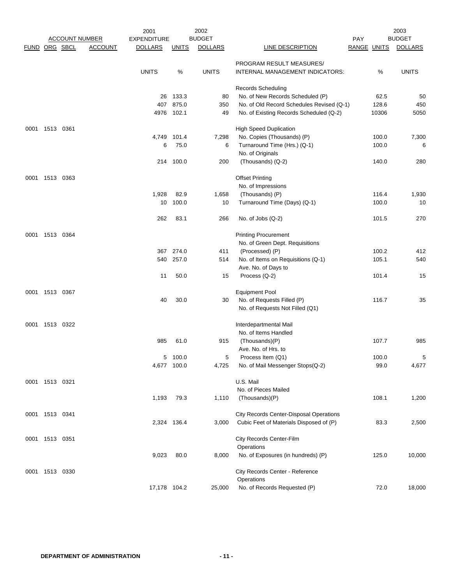|               |                |      |                       | 2001               |              | 2002           |                                                           |                    |       | 2003           |
|---------------|----------------|------|-----------------------|--------------------|--------------|----------------|-----------------------------------------------------------|--------------------|-------|----------------|
|               |                |      | <b>ACCOUNT NUMBER</b> | <b>EXPENDITURE</b> |              | <b>BUDGET</b>  |                                                           | PAY                |       | <b>BUDGET</b>  |
| FUND ORG SBCL |                |      | <b>ACCOUNT</b>        | <b>DOLLARS</b>     | <u>UNITS</u> | <b>DOLLARS</b> | LINE DESCRIPTION                                          | <b>RANGE UNITS</b> |       | <b>DOLLARS</b> |
|               |                |      |                       |                    |              |                | PROGRAM RESULT MEASURES/                                  |                    |       |                |
|               |                |      |                       | <b>UNITS</b>       | %            | <b>UNITS</b>   | INTERNAL MANAGEMENT INDICATORS:                           |                    | %     | <b>UNITS</b>   |
|               |                |      |                       |                    |              |                | <b>Records Scheduling</b>                                 |                    |       |                |
|               |                |      |                       | 26                 | 133.3        | 80             | No. of New Records Scheduled (P)                          |                    | 62.5  | 50             |
|               |                |      |                       | 407                | 875.0        | 350            | No. of Old Record Schedules Revised (Q-1)                 |                    | 128.6 | 450            |
|               |                |      |                       | 4976               | 102.1        | 49             | No. of Existing Records Scheduled (Q-2)                   |                    | 10306 | 5050           |
| 0001          | 1513 0361      |      |                       |                    |              |                | <b>High Speed Duplication</b>                             |                    |       |                |
|               |                |      |                       | 4,749              | 101.4        | 7,298          | No. Copies (Thousands) (P)                                |                    | 100.0 | 7,300          |
|               |                |      |                       | 6                  | 75.0         | 6              | Turnaround Time (Hrs.) (Q-1)<br>No. of Originals          |                    | 100.0 | 6              |
|               |                |      |                       |                    | 214 100.0    | 200            | (Thousands) (Q-2)                                         |                    | 140.0 | 280            |
|               |                |      |                       |                    |              |                |                                                           |                    |       |                |
| 0001          | 1513           | 0363 |                       |                    |              |                | <b>Offset Printing</b>                                    |                    |       |                |
|               |                |      |                       | 1,928              |              |                | No. of Impressions                                        |                    | 116.4 |                |
|               |                |      |                       |                    | 82.9         | 1,658          | (Thousands) (P)                                           |                    | 100.0 | 1,930          |
|               |                |      |                       | 10                 | 100.0        | 10             | Turnaround Time (Days) (Q-1)                              |                    |       | 10             |
|               |                |      |                       | 262                | 83.1         | 266            | No. of Jobs (Q-2)                                         |                    | 101.5 | 270            |
| 0001          | 1513 0364      |      |                       |                    |              |                | <b>Printing Procurement</b>                               |                    |       |                |
|               |                |      |                       |                    |              |                | No. of Green Dept. Requisitions                           |                    |       |                |
|               |                |      |                       | 367                | 274.0        | 411            | (Processed) (P)                                           |                    | 100.2 | 412            |
|               |                |      |                       | 540                | 257.0        | 514            | No. of Items on Requisitions (Q-1)<br>Ave. No. of Days to |                    | 105.1 | 540            |
|               |                |      |                       | 11                 | 50.0         | 15             | Process (Q-2)                                             |                    | 101.4 | 15             |
| 0001          | 1513           | 0367 |                       |                    |              |                | <b>Equipment Pool</b>                                     |                    |       |                |
|               |                |      |                       | 40                 | 30.0         | 30             | No. of Requests Filled (P)                                |                    | 116.7 | 35             |
|               |                |      |                       |                    |              |                | No. of Requests Not Filled (Q1)                           |                    |       |                |
| 0001          | 1513 0322      |      |                       |                    |              |                | Interdepartmental Mail                                    |                    |       |                |
|               |                |      |                       |                    |              |                | No. of Items Handled                                      |                    |       |                |
|               |                |      |                       | 985                | 61.0         | 915            | (Thousands)(P)                                            |                    | 107.7 | 985            |
|               |                |      |                       |                    |              |                | Ave. No. of Hrs. to                                       |                    |       |                |
|               |                |      |                       |                    | 5 100.0      |                | Process Item (Q1)                                         |                    | 100.0 | 5              |
|               |                |      |                       |                    | 4,677 100.0  | 4,725          | No. of Mail Messenger Stops(Q-2)                          |                    | 99.0  | 4,677          |
|               | 0001 1513 0321 |      |                       |                    |              |                | U.S. Mail                                                 |                    |       |                |
|               |                |      |                       |                    |              |                | No. of Pieces Mailed                                      |                    |       |                |
|               |                |      |                       | 1,193              | 79.3         | 1,110          | (Thousands)(P)                                            |                    | 108.1 | 1,200          |
|               | 0001 1513 0341 |      |                       |                    |              |                | City Records Center-Disposal Operations                   |                    |       |                |
|               |                |      |                       |                    | 2,324 136.4  | 3,000          | Cubic Feet of Materials Disposed of (P)                   |                    | 83.3  | 2,500          |
|               | 0001 1513 0351 |      |                       |                    |              |                | City Records Center-Film                                  |                    |       |                |
|               |                |      |                       |                    |              |                | Operations                                                |                    |       |                |
|               |                |      |                       | 9,023              | 80.0         | 8,000          | No. of Exposures (in hundreds) (P)                        |                    | 125.0 | 10,000         |
|               | 0001 1513 0330 |      |                       |                    |              |                | City Records Center - Reference                           |                    |       |                |
|               |                |      |                       |                    |              |                | Operations                                                |                    |       |                |
|               |                |      |                       | 17,178 104.2       |              | 25,000         | No. of Records Requested (P)                              |                    | 72.0  | 18,000         |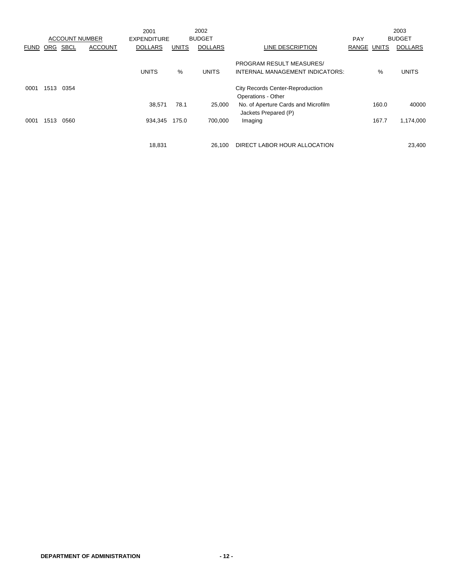|             |      |                       |                | 2001               |              | 2002           |                                                               |             |       | 2003           |
|-------------|------|-----------------------|----------------|--------------------|--------------|----------------|---------------------------------------------------------------|-------------|-------|----------------|
|             |      | <b>ACCOUNT NUMBER</b> |                | <b>EXPENDITURE</b> |              | <b>BUDGET</b>  |                                                               | <b>PAY</b>  |       | <b>BUDGET</b>  |
| <b>FUND</b> | ORG  | <b>SBCL</b>           | <b>ACCOUNT</b> | <b>DOLLARS</b>     | <b>UNITS</b> | <b>DOLLARS</b> | LINE DESCRIPTION                                              | RANGE UNITS |       | <b>DOLLARS</b> |
|             |      |                       |                |                    |              |                | <b>PROGRAM RESULT MEASURES/</b>                               |             |       |                |
|             |      |                       |                | <b>UNITS</b>       | %            | <b>UNITS</b>   | INTERNAL MANAGEMENT INDICATORS:                               |             | %     | <b>UNITS</b>   |
| 0001        | 1513 | 0354                  |                |                    |              |                | <b>City Records Center-Reproduction</b><br>Operations - Other |             |       |                |
|             |      |                       |                | 38,571             | 78.1         | 25,000         | No. of Aperture Cards and Microfilm<br>Jackets Prepared (P)   |             | 160.0 | 40000          |
| 0001        | 1513 | 0560                  |                | 934,345            | 175.0        | 700.000        | Imaging                                                       |             | 167.7 | 1,174,000      |
|             |      |                       |                |                    |              |                |                                                               |             |       |                |
|             |      |                       |                | 18,831             |              | 26.100         | DIRECT LABOR HOUR ALLOCATION                                  |             |       | 23,400         |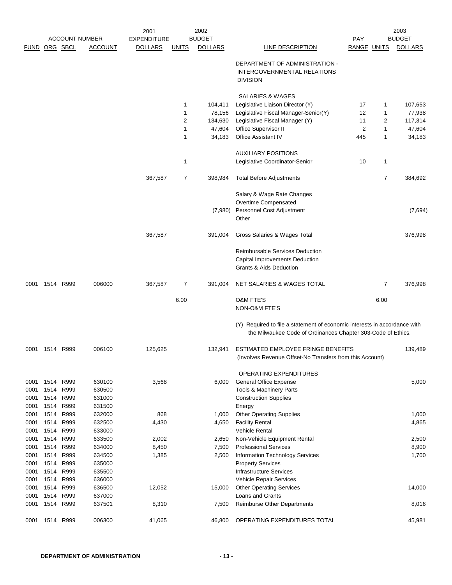|               | <b>ACCOUNT NUMBER</b> |              |                  | 2002<br>2001<br><b>BUDGET</b><br><b>EXPENDITURE</b> |              |                | <b>PAY</b>                                                                                                                                |             |                | 2003<br><b>BUDGET</b> |
|---------------|-----------------------|--------------|------------------|-----------------------------------------------------|--------------|----------------|-------------------------------------------------------------------------------------------------------------------------------------------|-------------|----------------|-----------------------|
| FUND ORG SBCL |                       |              | <b>ACCOUNT</b>   | <b>DOLLARS</b>                                      | <u>UNITS</u> | <b>DOLLARS</b> | LINE DESCRIPTION                                                                                                                          | RANGE UNITS |                | <b>DOLLARS</b>        |
|               |                       |              |                  |                                                     |              |                | DEPARTMENT OF ADMINISTRATION -<br>INTERGOVERNMENTAL RELATIONS<br><b>DIVISION</b>                                                          |             |                |                       |
|               |                       |              |                  |                                                     |              |                | SALARIES & WAGES                                                                                                                          |             |                |                       |
|               |                       |              |                  |                                                     | 1            | 104,411        | Legislative Liaison Director (Y)                                                                                                          | 17          | 1              | 107,653               |
|               |                       |              |                  |                                                     | 1            | 78,156         | Legislative Fiscal Manager-Senior(Y)                                                                                                      | 12          | 1              | 77,938                |
|               |                       |              |                  |                                                     | 2            | 134,630        | Legislative Fiscal Manager (Y)                                                                                                            | 11          | 2              | 117,314               |
|               |                       |              |                  |                                                     | $\mathbf{1}$ | 47,604         | Office Supervisor II                                                                                                                      | 2           | 1              | 47,604                |
|               |                       |              |                  |                                                     | 1            | 34,183         | Office Assistant IV                                                                                                                       | 445         | 1              | 34,183                |
|               |                       |              |                  |                                                     |              |                | <b>AUXILIARY POSITIONS</b>                                                                                                                |             |                |                       |
|               |                       |              |                  |                                                     | 1            |                | Legislative Coordinator-Senior                                                                                                            | 10          | 1              |                       |
|               |                       |              |                  | 367,587                                             | 7            | 398,984        | <b>Total Before Adjustments</b>                                                                                                           |             | $\overline{7}$ | 384,692               |
|               |                       |              |                  |                                                     |              |                | Salary & Wage Rate Changes<br>Overtime Compensated                                                                                        |             |                |                       |
|               |                       |              |                  |                                                     |              | (7,980)        | Personnel Cost Adjustment<br>Other                                                                                                        |             |                | (7,694)               |
|               |                       |              |                  | 367,587                                             |              | 391,004        | Gross Salaries & Wages Total                                                                                                              |             |                | 376,998               |
|               |                       |              |                  |                                                     |              |                | Reimbursable Services Deduction<br>Capital Improvements Deduction<br>Grants & Aids Deduction                                              |             |                |                       |
| 0001          |                       | 1514 R999    | 006000           | 367,587                                             | 7            | 391,004        | NET SALARIES & WAGES TOTAL                                                                                                                |             | 7              | 376,998               |
|               |                       |              |                  |                                                     | 6.00         |                | O&M FTE'S<br>NON-O&M FTE'S                                                                                                                |             | 6.00           |                       |
|               |                       |              |                  |                                                     |              |                | (Y) Required to file a statement of economic interests in accordance with<br>the Milwaukee Code of Ordinances Chapter 303-Code of Ethics. |             |                |                       |
|               | 0001 1514 R999        |              | 006100           | 125,625                                             |              | 132,941        | ESTIMATED EMPLOYEE FRINGE BENEFITS<br>(Involves Revenue Offset-No Transfers from this Account)                                            |             |                | 139,489               |
|               |                       |              |                  |                                                     |              |                | OPERATING EXPENDITURES                                                                                                                    |             |                |                       |
| 0001          | 1514                  | R999         | 630100           | 3,568                                               |              | 6,000          | <b>General Office Expense</b>                                                                                                             |             |                | 5,000                 |
| 0001          | 1514                  | R999         | 630500           |                                                     |              |                | Tools & Machinery Parts                                                                                                                   |             |                |                       |
| 0001          | 1514                  | R999         | 631000           |                                                     |              |                | <b>Construction Supplies</b>                                                                                                              |             |                |                       |
| 0001          | 1514                  | R999         | 631500           |                                                     |              |                | Energy                                                                                                                                    |             |                |                       |
| 0001          | 1514                  | R999         | 632000           | 868                                                 |              | 1,000          | <b>Other Operating Supplies</b>                                                                                                           |             |                | 1,000                 |
| 0001<br>0001  | 1514<br>1514          | R999<br>R999 | 632500<br>633000 | 4,430                                               |              | 4,650          | <b>Facility Rental</b><br><b>Vehicle Rental</b>                                                                                           |             |                | 4,865                 |
| 0001          | 1514                  | R999         | 633500           | 2,002                                               |              | 2,650          | Non-Vehicle Equipment Rental                                                                                                              |             |                | 2,500                 |
| 0001          | 1514                  | R999         | 634000           | 8,450                                               |              | 7,500          | <b>Professional Services</b>                                                                                                              |             |                | 8,900                 |
| 0001          | 1514                  | R999         | 634500           | 1,385                                               |              | 2,500          | Information Technology Services                                                                                                           |             |                | 1,700                 |
| 0001          | 1514                  | R999         | 635000           |                                                     |              |                | <b>Property Services</b>                                                                                                                  |             |                |                       |
| 0001          | 1514                  | R999         | 635500           |                                                     |              |                | <b>Infrastructure Services</b>                                                                                                            |             |                |                       |
| 0001          | 1514                  | R999         | 636000           |                                                     |              |                | Vehicle Repair Services                                                                                                                   |             |                |                       |
| 0001          | 1514                  | R999         | 636500           | 12,052                                              |              | 15,000         | <b>Other Operating Services</b>                                                                                                           |             |                | 14,000                |
| 0001<br>0001  | 1514<br>1514          | R999<br>R999 | 637000<br>637501 | 8,310                                               |              | 7,500          | Loans and Grants<br><b>Reimburse Other Departments</b>                                                                                    |             |                | 8,016                 |
| 0001          | 1514                  | R999         | 006300           | 41,065                                              |              | 46,800         | OPERATING EXPENDITURES TOTAL                                                                                                              |             |                | 45,981                |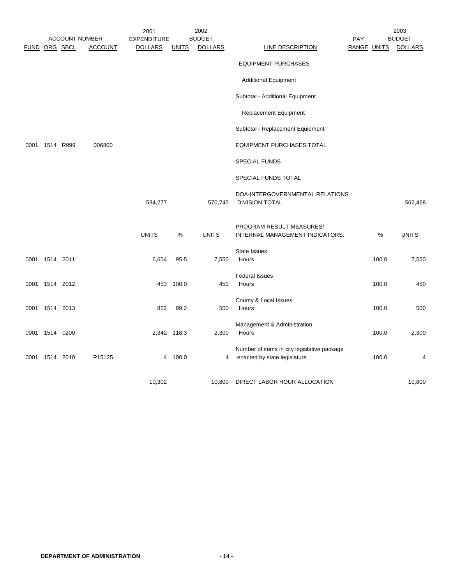|               |                |                       | 2001               |              | 2002           |                                                                             |     |             | 2003           |
|---------------|----------------|-----------------------|--------------------|--------------|----------------|-----------------------------------------------------------------------------|-----|-------------|----------------|
|               |                | <b>ACCOUNT NUMBER</b> | <b>EXPENDITURE</b> |              | <b>BUDGET</b>  |                                                                             | PAY |             | <b>BUDGET</b>  |
| FUND ORG SBCL |                | <b>ACCOUNT</b>        | <b>DOLLARS</b>     | <b>UNITS</b> | <b>DOLLARS</b> | LINE DESCRIPTION                                                            |     | RANGE UNITS | <b>DOLLARS</b> |
|               |                |                       |                    |              |                | <b>EQUIPMENT PURCHASES</b>                                                  |     |             |                |
|               |                |                       |                    |              |                | <b>Additional Equipment</b>                                                 |     |             |                |
|               |                |                       |                    |              |                | Subtotal - Additional Equipment                                             |     |             |                |
|               |                |                       |                    |              |                | <b>Replacement Equipment</b>                                                |     |             |                |
|               |                |                       |                    |              |                | Subtotal - Replacement Equipment                                            |     |             |                |
| 0001          | 1514 R999      | 006800                |                    |              |                | <b>EQUIPMENT PURCHASES TOTAL</b>                                            |     |             |                |
|               |                |                       |                    |              |                | <b>SPECIAL FUNDS</b>                                                        |     |             |                |
|               |                |                       |                    |              |                | SPECIAL FUNDS TOTAL                                                         |     |             |                |
|               |                |                       | 534,277            |              | 570,745        | DOA-INTERGOVERNMENTAL RELATIONS<br><b>DIVISION TOTAL</b>                    |     |             | 562,468        |
|               |                |                       | <b>UNITS</b>       | %            | <b>UNITS</b>   | PROGRAM RESULT MEASURES/<br>INTERNAL MANAGEMENT INDICATORS:                 |     | %           | <b>UNITS</b>   |
|               |                |                       |                    |              |                | State Issues                                                                |     |             |                |
|               | 0001 1514 2011 |                       | 6,654              | 95.5         | 7,550          | Hours                                                                       |     | 100.0       | 7,550          |
|               |                |                       |                    |              |                | <b>Federal Issues</b>                                                       |     |             |                |
|               | 0001 1514 2012 |                       |                    | 453 100.0    | 450            | Hours                                                                       |     | 100.0       | 450            |
|               | 0001 1514 2013 |                       | 852                | 99.2         | 500            | County & Local Issues<br>Hours                                              |     | 100.0       | 500            |
|               |                |                       |                    |              |                |                                                                             |     |             |                |
|               | 0001 1514 0200 |                       |                    | 2,342 118.3  | 2,300          | Management & Administration<br>Hours                                        |     | 100.0       | 2,300          |
|               | 0001 1514 2010 | P15125                |                    | 4 100.0      | 4              | Number of items in city legislative package<br>enacted by state legislature |     | 100.0       | 4              |
|               |                |                       | 10,302             |              | 10,800         | DIRECT LABOR HOUR ALLOCATION                                                |     |             | 10,800         |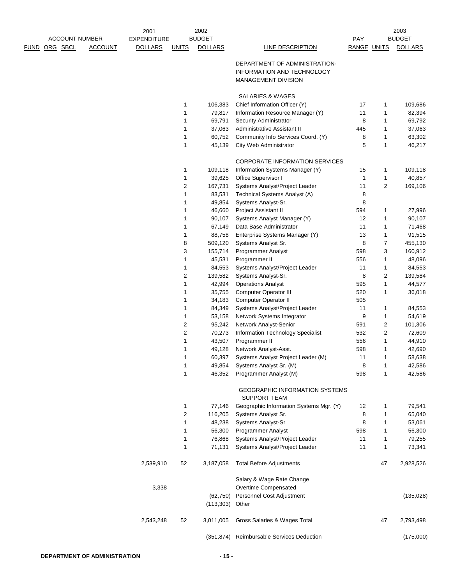|      |                       |                | 2001               |                | 2002           |                                                              |                    |                         | 2003           |
|------|-----------------------|----------------|--------------------|----------------|----------------|--------------------------------------------------------------|--------------------|-------------------------|----------------|
|      | <b>ACCOUNT NUMBER</b> |                | <b>EXPENDITURE</b> |                | <b>BUDGET</b>  |                                                              | PAY                |                         | <b>BUDGET</b>  |
| FUND | ORG SBCL              | <b>ACCOUNT</b> | <u>DOLLARS</u>     | <b>UNITS</b>   | <b>DOLLARS</b> | <b>LINE DESCRIPTION</b>                                      | <b>RANGE UNITS</b> |                         | <b>DOLLARS</b> |
|      |                       |                |                    |                |                | DEPARTMENT OF ADMINISTRATION-                                |                    |                         |                |
|      |                       |                |                    |                |                | INFORMATION AND TECHNOLOGY                                   |                    |                         |                |
|      |                       |                |                    |                |                | <b>MANAGEMENT DIVISION</b>                                   |                    |                         |                |
|      |                       |                |                    |                |                |                                                              |                    |                         |                |
|      |                       |                |                    |                |                | <b>SALARIES &amp; WAGES</b>                                  |                    |                         |                |
|      |                       |                |                    | 1              | 106,383        | Chief Information Officer (Y)                                | 17                 | 1                       | 109,686        |
|      |                       |                |                    | 1              | 79,817         | Information Resource Manager (Y)                             | 11                 | 1                       | 82,394         |
|      |                       |                |                    | 1              | 69,791         | Security Administrator                                       | 8                  | 1                       | 69,792         |
|      |                       |                |                    | 1              | 37,063         | Administrative Assistant II                                  | 445                | 1                       | 37,063         |
|      |                       |                |                    | 1              | 60,752         | Community Info Services Coord. (Y)                           | 8                  | 1                       | 63,302         |
|      |                       |                |                    | $\mathbf{1}$   | 45,139         | City Web Administrator                                       | 5                  | 1                       | 46,217         |
|      |                       |                |                    |                |                | CORPORATE INFORMATION SERVICES                               |                    |                         |                |
|      |                       |                |                    | 1              | 109,118        | Information Systems Manager (Y)                              | 15                 | 1                       | 109,118        |
|      |                       |                |                    | 1              | 39,625         | Office Supervisor I                                          | 1                  | 1                       | 40,857         |
|      |                       |                |                    | $\overline{c}$ | 167,731        | Systems Analyst/Project Leader                               | 11                 | 2                       | 169,106        |
|      |                       |                |                    | 1              | 83,531         | Technical Systems Analyst (A)                                | 8                  |                         |                |
|      |                       |                |                    | 1              | 49,854         | Systems Analyst-Sr.                                          | 8                  |                         |                |
|      |                       |                |                    | 1              | 46,660         | Project Assistant II                                         | 594                | 1                       | 27,996         |
|      |                       |                |                    | 1              | 90,107         | Systems Analyst Manager (Y)                                  | 12                 | $\mathbf{1}$            | 90,107         |
|      |                       |                |                    | 1              | 67,149         | Data Base Administrator                                      | 11                 | 1                       | 71,468         |
|      |                       |                |                    | 1              | 88,758         | Enterprise Systems Manager (Y)                               | 13                 | 1                       | 91,515         |
|      |                       |                |                    | 8              | 509,120        | Systems Analyst Sr.                                          | 8                  | 7                       | 455,130        |
|      |                       |                |                    | 3              | 155,714        | <b>Programmer Analyst</b>                                    | 598                | 3                       | 160,912        |
|      |                       |                |                    | 1              | 45,531         | Programmer II                                                | 556                | 1                       | 48,096         |
|      |                       |                |                    | 1              | 84,553         | Systems Analyst/Project Leader                               | 11                 | 1                       | 84,553         |
|      |                       |                |                    | 2              | 139,582        | Systems Analyst-Sr.                                          | 8                  | 2                       | 139,584        |
|      |                       |                |                    | 1              | 42,994         | <b>Operations Analyst</b>                                    | 595                | 1                       | 44,577         |
|      |                       |                |                    | 1              | 35,755         | Computer Operator III                                        | 520                | 1                       | 36,018         |
|      |                       |                |                    | 1              | 34,183         | Computer Operator II                                         | 505                |                         |                |
|      |                       |                |                    | 1              | 84,349         | Systems Analyst/Project Leader                               | 11                 | 1                       | 84,553         |
|      |                       |                |                    | 1              | 53,158         | Network Systems Integrator                                   | 9                  | 1                       | 54,619         |
|      |                       |                |                    | 2              | 95,242         | Network Analyst-Senior                                       | 591                | $\overline{2}$          | 101,306        |
|      |                       |                |                    | $\overline{c}$ | 70,273         | Information Technology Specialist                            | 532                | $\overline{\mathbf{c}}$ | 72,609         |
|      |                       |                |                    | 1              | 43,507         | Programmer II                                                | 556                | 1                       | 44,910         |
|      |                       |                |                    | 1              | 49,128         | Network Analyst-Asst.                                        | 598                | 1                       | 42,690         |
|      |                       |                |                    | 1              | 60,397         | Systems Analyst Project Leader (M)                           | 11                 | 1                       | 58,638         |
|      |                       |                |                    | 1              | 49,854         | Systems Analyst Sr. (M)                                      | 8                  | 1                       | 42,586         |
|      |                       |                |                    | 1              | 46,352         | Programmer Analyst (M)                                       | 598                | 1                       | 42,586         |
|      |                       |                |                    |                |                | <b>GEOGRAPHIC INFORMATION SYSTEMS</b><br><b>SUPPORT TEAM</b> |                    |                         |                |
|      |                       |                |                    | 1              | 77,146         | Geographic Information Systems Mgr. (Y)                      | 12                 | 1                       | 79,541         |
|      |                       |                |                    | $\sqrt{2}$     | 116,205        | Systems Analyst Sr.                                          | 8                  | $\mathbf{1}$            | 65,040         |
|      |                       |                |                    | 1              | 48,238         | Systems Analyst-Sr                                           | 8                  | 1                       | 53,061         |
|      |                       |                |                    | 1              | 56,300         | Programmer Analyst                                           | 598                | 1                       | 56,300         |
|      |                       |                |                    | 1              | 76,868         | Systems Analyst/Project Leader                               | 11                 | 1                       | 79,255         |
|      |                       |                |                    | 1              | 71,131         | Systems Analyst/Project Leader                               | 11                 | 1                       | 73,341         |
|      |                       |                | 2,539,910          | 52             | 3,187,058      | <b>Total Before Adjustments</b>                              |                    | 47                      | 2,928,526      |
|      |                       |                |                    |                |                | Salary & Wage Rate Change                                    |                    |                         |                |
|      |                       |                | 3,338              |                |                | Overtime Compensated                                         |                    |                         |                |
|      |                       |                |                    |                | (62, 750)      | Personnel Cost Adjustment                                    |                    |                         | (135, 028)     |
|      |                       |                |                    |                | (113, 303)     | Other                                                        |                    |                         |                |
|      |                       |                | 2,543,248          | 52             | 3,011,005      | Gross Salaries & Wages Total                                 |                    | 47                      | 2,793,498      |
|      |                       |                |                    |                |                | (351,874) Reimbursable Services Deduction                    |                    |                         | (175,000)      |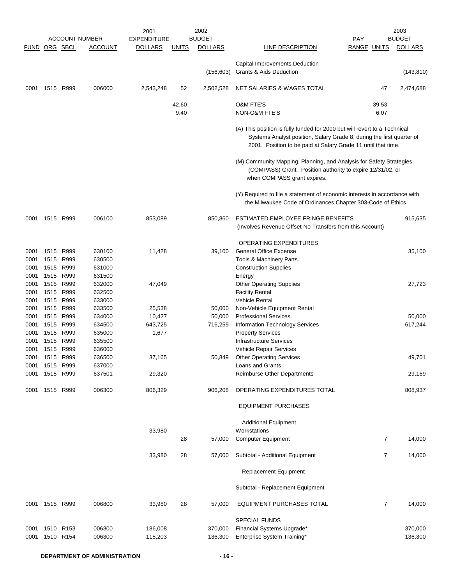|                      |           |                        | <b>ACCOUNT NUMBER</b> | 2001<br><b>EXPENDITURE</b> |              | 2002<br><b>BUDGET</b> |                                                                                                                                                                                                                     | <b>PAY</b>     | 2003<br><b>BUDGET</b> |
|----------------------|-----------|------------------------|-----------------------|----------------------------|--------------|-----------------------|---------------------------------------------------------------------------------------------------------------------------------------------------------------------------------------------------------------------|----------------|-----------------------|
| <b>FUND ORG SBCL</b> |           |                        | <b>ACCOUNT</b>        | <b>DOLLARS</b>             | <b>UNITS</b> | <b>DOLLARS</b>        | LINE DESCRIPTION                                                                                                                                                                                                    | RANGE UNITS    | <b>DOLLARS</b>        |
|                      |           |                        |                       |                            |              |                       |                                                                                                                                                                                                                     |                |                       |
|                      |           |                        |                       |                            |              | (156, 603)            | Capital Improvements Deduction<br>Grants & Aids Deduction                                                                                                                                                           |                | (143, 810)            |
| 0001                 | 1515 R999 |                        | 006000                | 2,543,248                  | 52           | 2,502,528             | NET SALARIES & WAGES TOTAL                                                                                                                                                                                          | 47             | 2,474,688             |
|                      |           |                        |                       |                            | 42.60        |                       | <b>O&amp;M FTE'S</b>                                                                                                                                                                                                | 39.53          |                       |
|                      |           |                        |                       |                            | 9.40         |                       | NON-O&M FTE'S                                                                                                                                                                                                       | 6.07           |                       |
|                      |           |                        |                       |                            |              |                       | (A) This position is fully funded for 2000 but will revert to a Technical<br>Systems Analyst position, Salary Grade 8, during the first quarter of<br>2001. Position to be paid at Salary Grade 11 until that time. |                |                       |
|                      |           |                        |                       |                            |              |                       | (M) Community Mapping, Planning, and Analysis for Safety Strategies<br>(COMPASS) Grant. Position authority to expire 12/31/02, or<br>when COMPASS grant expires.                                                    |                |                       |
|                      |           |                        |                       |                            |              |                       | (Y) Required to file a statement of economic interests in accordance with<br>the Milwaukee Code of Ordinances Chapter 303-Code of Ethics.                                                                           |                |                       |
| 0001                 | 1515 R999 |                        | 006100                | 853,089                    |              | 850,860               | ESTIMATED EMPLOYEE FRINGE BENEFITS<br>(Involves Revenue Offset-No Transfers from this Account)                                                                                                                      |                | 915,635               |
|                      |           |                        |                       |                            |              |                       | OPERATING EXPENDITURES                                                                                                                                                                                              |                |                       |
| 0001                 | 1515      | R999                   | 630100                | 11,428                     |              | 39,100                | <b>General Office Expense</b>                                                                                                                                                                                       |                | 35,100                |
| 0001                 | 1515      | R999                   | 630500                |                            |              |                       | Tools & Machinery Parts                                                                                                                                                                                             |                |                       |
| 0001                 | 1515      | R999                   | 631000                |                            |              |                       | <b>Construction Supplies</b>                                                                                                                                                                                        |                |                       |
| 0001                 |           | 1515 R999              | 631500                |                            |              |                       | Energy                                                                                                                                                                                                              |                |                       |
| 0001                 | 1515      | R999                   | 632000                | 47,049                     |              |                       | <b>Other Operating Supplies</b>                                                                                                                                                                                     |                | 27,723                |
| 0001                 | 1515      | R999                   | 632500                |                            |              |                       | <b>Facility Rental</b>                                                                                                                                                                                              |                |                       |
| 0001                 | 1515      | R999                   | 633000                |                            |              |                       | <b>Vehicle Rental</b>                                                                                                                                                                                               |                |                       |
| 0001                 | 1515      | R999                   | 633500                | 25,538                     |              | 50,000                | Non-Vehicle Equipment Rental                                                                                                                                                                                        |                |                       |
| 0001                 | 1515      | R999                   | 634000                | 10,427                     |              | 50,000                | <b>Professional Services</b>                                                                                                                                                                                        |                | 50,000                |
| 0001<br>0001         |           | 1515 R999<br>1515 R999 | 634500<br>635000      | 643,725<br>1,677           |              | 716,259               | Information Technology Services<br><b>Property Services</b>                                                                                                                                                         |                | 617,244               |
| 0001                 | 1515      | R999                   | 635500                |                            |              |                       | <b>Infrastructure Services</b>                                                                                                                                                                                      |                |                       |
| 0001                 | 1515 R999 |                        | 636000                |                            |              |                       | <b>Vehicle Repair Services</b>                                                                                                                                                                                      |                |                       |
| 0001                 | 1515 R999 |                        | 636500                | 37,165                     |              | 50,849                | <b>Other Operating Services</b>                                                                                                                                                                                     |                | 49,701                |
| 0001                 | 1515 R999 |                        | 637000                |                            |              |                       | Loans and Grants                                                                                                                                                                                                    |                |                       |
| 0001                 |           | 1515 R999              | 637501                | 29,320                     |              |                       | <b>Reimburse Other Departments</b>                                                                                                                                                                                  |                | 29,169                |
| 0001                 | 1515 R999 |                        | 006300                | 806,329                    |              | 906,208               | OPERATING EXPENDITURES TOTAL                                                                                                                                                                                        |                | 808,937               |
|                      |           |                        |                       |                            |              |                       | <b>EQUIPMENT PURCHASES</b>                                                                                                                                                                                          |                |                       |
|                      |           |                        |                       |                            |              |                       | <b>Additional Equipment</b>                                                                                                                                                                                         |                |                       |
|                      |           |                        |                       | 33,980                     |              |                       | Workstations                                                                                                                                                                                                        |                |                       |
|                      |           |                        |                       |                            | 28           | 57,000                | <b>Computer Equipment</b>                                                                                                                                                                                           | 7              | 14,000                |
|                      |           |                        |                       | 33,980                     | 28           | 57,000                | Subtotal - Additional Equipment                                                                                                                                                                                     | 7              | 14,000                |
|                      |           |                        |                       |                            |              |                       | <b>Replacement Equipment</b>                                                                                                                                                                                        |                |                       |
|                      |           |                        |                       |                            |              |                       | Subtotal - Replacement Equipment                                                                                                                                                                                    |                |                       |
| 0001                 | 1515 R999 |                        | 006800                | 33,980                     | 28           | 57,000                | <b>EQUIPMENT PURCHASES TOTAL</b>                                                                                                                                                                                    | $\overline{7}$ | 14,000                |
|                      |           |                        |                       |                            |              |                       | <b>SPECIAL FUNDS</b>                                                                                                                                                                                                |                |                       |
| 0001<br>0001         | 1510 R153 | 1510 R154              | 006300<br>006300      | 186,008<br>115,203         |              | 370,000<br>136,300    | Financial Systems Upgrade*<br>Enterprise System Training*                                                                                                                                                           |                | 370,000<br>136,300    |
|                      |           |                        |                       |                            |              |                       |                                                                                                                                                                                                                     |                |                       |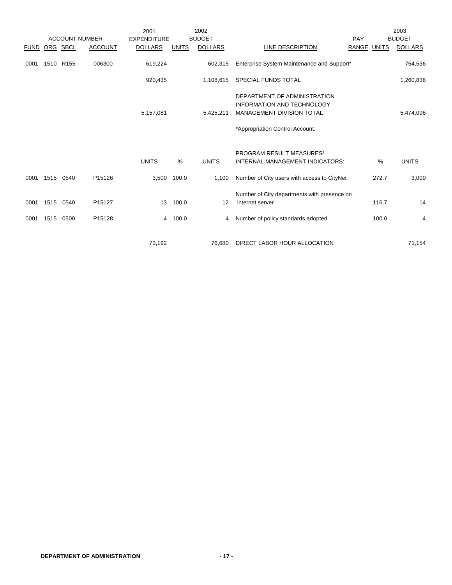|              |              |              |                       | 2001               |                     | 2002           |                                                                                                                                   |                    | 2003           |
|--------------|--------------|--------------|-----------------------|--------------------|---------------------|----------------|-----------------------------------------------------------------------------------------------------------------------------------|--------------------|----------------|
|              |              |              | <b>ACCOUNT NUMBER</b> | <b>EXPENDITURE</b> |                     | <b>BUDGET</b>  | PAY                                                                                                                               |                    | <b>BUDGET</b>  |
| <b>FUND</b>  |              | ORG SBCL     | <b>ACCOUNT</b>        | <b>DOLLARS</b>     | <b>UNITS</b>        | <b>DOLLARS</b> | LINE DESCRIPTION                                                                                                                  | <b>RANGE UNITS</b> | <b>DOLLARS</b> |
| 0001         |              | 1510 R155    | 006300                | 619,224            |                     | 602,315        | Enterprise System Maintenance and Support*                                                                                        |                    | 754,536        |
|              |              |              |                       | 920,435            |                     | 1,108,615      | SPECIAL FUNDS TOTAL                                                                                                               |                    | 1,260,836      |
|              |              |              |                       | 5,157,081          |                     | 5,425,211      | DEPARTMENT OF ADMINISTRATION<br><b>INFORMATION AND TECHNOLOGY</b><br>MANAGEMENT DIVISION TOTAL<br>*Appropriation Control Account. |                    | 5,474,096      |
|              |              |              |                       | <b>UNITS</b>       | %                   | <b>UNITS</b>   | PROGRAM RESULT MEASURES/<br>INTERNAL MANAGEMENT INDICATORS:                                                                       | %                  | <b>UNITS</b>   |
| 0001         | 1515         | 0540         | P15126                | 3,500              | 100.0               | 1,100          | Number of City users with access to CityNet                                                                                       | 272.7              | 3,000          |
| 0001<br>0001 | 1515<br>1515 | 0540<br>0500 | P15127<br>P15128      |                    | 13 100.0<br>4 100.0 | 12<br>4        | Number of City departments with presence on<br>internet server<br>Number of policy standards adopted                              | 116.7<br>100.0     | 14<br>4        |
|              |              |              |                       | 73,192             |                     | 76,680         | DIRECT LABOR HOUR ALLOCATION                                                                                                      |                    | 71,154         |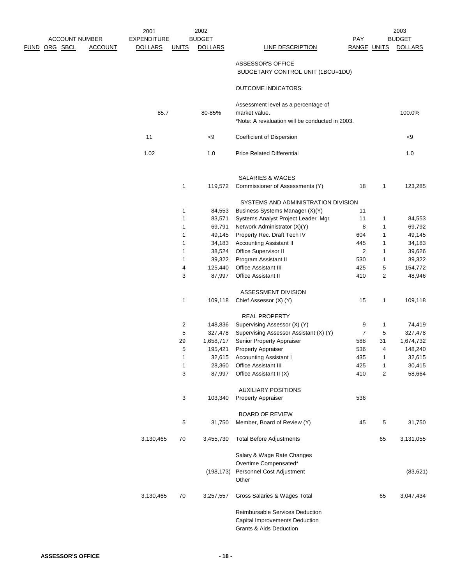|                       |                | 2001               |              | 2002           |                                                 |                |                | 2003           |
|-----------------------|----------------|--------------------|--------------|----------------|-------------------------------------------------|----------------|----------------|----------------|
| <b>ACCOUNT NUMBER</b> |                | <b>EXPENDITURE</b> |              | <b>BUDGET</b>  |                                                 | PAY            |                | <b>BUDGET</b>  |
| <u>FUND ORG SBCL</u>  | <b>ACCOUNT</b> | <b>DOLLARS</b>     | <u>UNITS</u> | <b>DOLLARS</b> | <b>LINE DESCRIPTION</b>                         | RANGE UNITS    |                | <b>DOLLARS</b> |
|                       |                |                    |              |                |                                                 |                |                |                |
|                       |                |                    |              |                | ASSESSOR'S OFFICE                               |                |                |                |
|                       |                |                    |              |                | BUDGETARY CONTROL UNIT (1BCU=1DU)               |                |                |                |
|                       |                |                    |              |                | <b>OUTCOME INDICATORS:</b>                      |                |                |                |
|                       |                |                    |              |                | Assessment level as a percentage of             |                |                |                |
|                       |                | 85.7               |              | 80-85%         | market value.                                   |                |                | 100.0%         |
|                       |                |                    |              |                | *Note: A revaluation will be conducted in 2003. |                |                |                |
|                       |                |                    |              |                |                                                 |                |                |                |
|                       |                | 11                 |              | < 9            | Coefficient of Dispersion                       |                |                | $<$ 9          |
|                       |                | 1.02               |              | 1.0            | <b>Price Related Differential</b>               |                |                | 1.0            |
|                       |                |                    |              |                | <b>SALARIES &amp; WAGES</b>                     |                |                |                |
|                       |                |                    | $\mathbf 1$  | 119,572        | Commissioner of Assessments (Y)                 | 18             | 1              | 123,285        |
|                       |                |                    |              |                |                                                 |                |                |                |
|                       |                |                    |              |                | SYSTEMS AND ADMINISTRATION DIVISION             |                |                |                |
|                       |                |                    | $\mathbf 1$  | 84,553         | Business Systems Manager (X)(Y)                 | 11             |                |                |
|                       |                |                    | 1            | 83,571         | Systems Analyst Project Leader Mgr              | 11             | 1              | 84,553         |
|                       |                |                    | 1            | 69,791         | Network Administrator (X)(Y)                    | 8              | 1              | 69,792         |
|                       |                |                    | 1            | 49,145         | Property Rec. Draft Tech IV                     | 604            | 1              | 49,145         |
|                       |                |                    | 1            | 34,183         | <b>Accounting Assistant II</b>                  | 445            | 1              | 34,183         |
|                       |                |                    | 1            | 38,524         | Office Supervisor II                            | 2              | 1              | 39,626         |
|                       |                |                    | 1            | 39,322         | Program Assistant II                            | 530            | 1              | 39,322         |
|                       |                |                    | 4            | 125,440        | Office Assistant III                            | 425            | 5              | 154,772        |
|                       |                |                    | 3            | 87,997         | Office Assistant II                             | 410            | 2              | 48,946         |
|                       |                |                    |              |                | ASSESSMENT DIVISION                             |                |                |                |
|                       |                |                    | $\mathbf{1}$ | 109,118        | Chief Assessor (X) (Y)                          | 15             | 1              | 109,118        |
|                       |                |                    |              |                | <b>REAL PROPERTY</b>                            |                |                |                |
|                       |                |                    | 2            | 148,836        | Supervising Assessor (X) (Y)                    | 9              | 1              | 74,419         |
|                       |                |                    | 5            | 327,478        | Supervising Assessor Assistant (X) (Y)          | $\overline{7}$ | 5              | 327,478        |
|                       |                |                    | 29           | 1,658,717      | Senior Property Appraiser                       | 588            | 31             | 1,674,732      |
|                       |                |                    | 5            | 195,421        | <b>Property Appraiser</b>                       | 536            | 4              | 148,240        |
|                       |                |                    | $\mathbf{1}$ | 32,615         | <b>Accounting Assistant I</b>                   | 435            | 1              | 32,615         |
|                       |                |                    | $\mathbf{1}$ | 28,360         | Office Assistant III                            | 425            | 1              | 30,415         |
|                       |                |                    | 3            | 87,997         | Office Assistant II (X)                         | 410            | $\overline{2}$ | 58,664         |
|                       |                |                    |              |                | <b>AUXILIARY POSITIONS</b>                      |                |                |                |
|                       |                |                    | 3            | 103,340        | <b>Property Appraiser</b>                       | 536            |                |                |
|                       |                |                    |              |                | <b>BOARD OF REVIEW</b>                          |                |                |                |
|                       |                |                    | $\,$ 5 $\,$  | 31,750         | Member, Board of Review (Y)                     | 45             | 5              | 31,750         |
|                       |                | 3,130,465          | 70           | 3,455,730      | <b>Total Before Adjustments</b>                 |                | 65             | 3,131,055      |
|                       |                |                    |              |                | Salary & Wage Rate Changes                      |                |                |                |
|                       |                |                    |              |                | Overtime Compensated*                           |                |                |                |
|                       |                |                    |              | (198, 173)     | Personnel Cost Adjustment                       |                |                | (83, 621)      |
|                       |                |                    |              |                | Other                                           |                |                |                |
|                       |                | 3,130,465          | 70           | 3,257,557      | Gross Salaries & Wages Total                    |                | 65             | 3,047,434      |
|                       |                |                    |              |                | Reimbursable Services Deduction                 |                |                |                |
|                       |                |                    |              |                | Capital Improvements Deduction                  |                |                |                |
|                       |                |                    |              |                | <b>Grants &amp; Aids Deduction</b>              |                |                |                |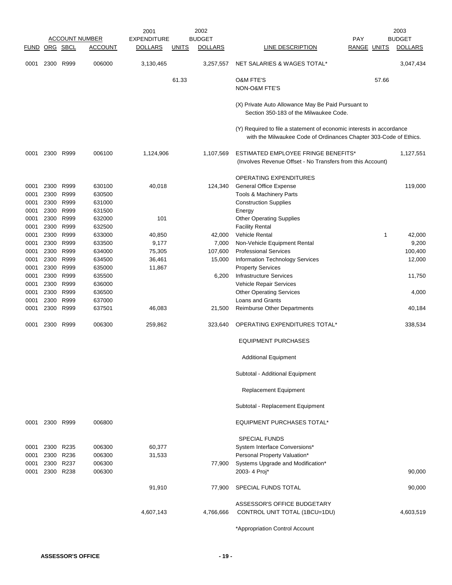|               |              |              |                       | 2001               |              | 2002           |                                                                                                                                           |              | 2003           |
|---------------|--------------|--------------|-----------------------|--------------------|--------------|----------------|-------------------------------------------------------------------------------------------------------------------------------------------|--------------|----------------|
|               |              |              | <b>ACCOUNT NUMBER</b> | <b>EXPENDITURE</b> |              | <b>BUDGET</b>  |                                                                                                                                           | <b>PAY</b>   | <b>BUDGET</b>  |
| FUND ORG SBCL |              |              | <b>ACCOUNT</b>        | <b>DOLLARS</b>     | <u>UNITS</u> | <b>DOLLARS</b> | LINE DESCRIPTION                                                                                                                          | RANGE UNITS  | <b>DOLLARS</b> |
| 0001          | 2300         | R999         | 006000                | 3,130,465          |              | 3,257,557      | NET SALARIES & WAGES TOTAL*                                                                                                               |              | 3,047,434      |
|               |              |              |                       |                    | 61.33        |                | <b>O&amp;M FTE'S</b>                                                                                                                      | 57.66        |                |
|               |              |              |                       |                    |              |                | <b>NON-O&amp;M FTE'S</b>                                                                                                                  |              |                |
|               |              |              |                       |                    |              |                | (X) Private Auto Allowance May Be Paid Pursuant to<br>Section 350-183 of the Milwaukee Code.                                              |              |                |
|               |              |              |                       |                    |              |                | (Y) Required to file a statement of economic interests in accordance<br>with the Milwaukee Code of Ordinances Chapter 303-Code of Ethics. |              |                |
| 0001          | 2300         | R999         | 006100                | 1,124,906          |              | 1,107,569      | ESTIMATED EMPLOYEE FRINGE BENEFITS*<br>(Involves Revenue Offset - No Transfers from this Account)                                         |              | 1,127,551      |
|               |              |              |                       |                    |              |                | OPERATING EXPENDITURES                                                                                                                    |              |                |
| 0001          | 2300         | R999         | 630100                | 40,018             |              | 124,340        | <b>General Office Expense</b>                                                                                                             |              | 119,000        |
| 0001          | 2300         | R999         | 630500                |                    |              |                | Tools & Machinery Parts                                                                                                                   |              |                |
| 0001          | 2300         | R999         | 631000                |                    |              |                | <b>Construction Supplies</b>                                                                                                              |              |                |
| 0001          | 2300         | R999         | 631500                |                    |              |                | Energy                                                                                                                                    |              |                |
| 0001<br>0001  | 2300<br>2300 | R999<br>R999 | 632000<br>632500      | 101                |              |                | <b>Other Operating Supplies</b><br><b>Facility Rental</b>                                                                                 |              |                |
| 0001          | 2300         | R999         | 633000                | 40,850             |              | 42,000         | <b>Vehicle Rental</b>                                                                                                                     | $\mathbf{1}$ | 42,000         |
| 0001          | 2300         | R999         | 633500                | 9,177              |              | 7,000          | Non-Vehicle Equipment Rental                                                                                                              |              | 9,200          |
| 0001          | 2300         | R999         | 634000                | 75,305             |              | 107,600        | <b>Professional Services</b>                                                                                                              |              | 100,400        |
| 0001          | 2300         | R999         | 634500                | 36,461             |              | 15,000         | Information Technology Services                                                                                                           |              | 12,000         |
| 0001          | 2300         | R999         | 635000                | 11,867             |              |                | <b>Property Services</b>                                                                                                                  |              |                |
| 0001          | 2300         | R999         | 635500                |                    |              | 6,200          | Infrastructure Services                                                                                                                   |              | 11,750         |
| 0001          | 2300         | R999         | 636000                |                    |              |                | Vehicle Repair Services                                                                                                                   |              |                |
| 0001          | 2300         | R999         | 636500                |                    |              |                | <b>Other Operating Services</b>                                                                                                           |              | 4,000          |
| 0001          | 2300         | R999         | 637000                |                    |              |                | Loans and Grants                                                                                                                          |              |                |
| 0001          | 2300         | R999         | 637501                | 46,083             |              | 21,500         | <b>Reimburse Other Departments</b>                                                                                                        |              | 40,184         |
| 0001          | 2300 R999    |              | 006300                | 259,862            |              | 323,640        | OPERATING EXPENDITURES TOTAL*                                                                                                             |              | 338,534        |
|               |              |              |                       |                    |              |                | <b>EQUIPMENT PURCHASES</b>                                                                                                                |              |                |
|               |              |              |                       |                    |              |                | <b>Additional Equipment</b>                                                                                                               |              |                |
|               |              |              |                       |                    |              |                | Subtotal - Additional Equipment                                                                                                           |              |                |
|               |              |              |                       |                    |              |                | <b>Replacement Equipment</b>                                                                                                              |              |                |
|               |              |              |                       |                    |              |                | Subtotal - Replacement Equipment                                                                                                          |              |                |
| 0001          | 2300 R999    |              | 006800                |                    |              |                | <b>EQUIPMENT PURCHASES TOTAL*</b>                                                                                                         |              |                |
|               |              |              |                       |                    |              |                | <b>SPECIAL FUNDS</b>                                                                                                                      |              |                |
| 0001          | 2300 R235    |              | 006300                | 60,377             |              |                | System Interface Conversions*                                                                                                             |              |                |
| 0001          | 2300 R236    |              | 006300                | 31,533             |              |                | Personal Property Valuation*                                                                                                              |              |                |
| 0001          | 2300 R237    |              | 006300                |                    |              | 77,900         | Systems Upgrade and Modification*                                                                                                         |              |                |
| 0001          | 2300 R238    |              | 006300                |                    |              |                | 2003- 4 Proj*                                                                                                                             |              | 90,000         |
|               |              |              |                       | 91,910             |              | 77,900         | SPECIAL FUNDS TOTAL                                                                                                                       |              | 90,000         |
|               |              |              |                       |                    |              |                | ASSESSOR'S OFFICE BUDGETARY                                                                                                               |              |                |
|               |              |              |                       | 4,607,143          |              | 4,766,666      | CONTROL UNIT TOTAL (1BCU=1DU)                                                                                                             |              | 4,603,519      |
|               |              |              |                       |                    |              |                |                                                                                                                                           |              |                |

\*Appropriation Control Account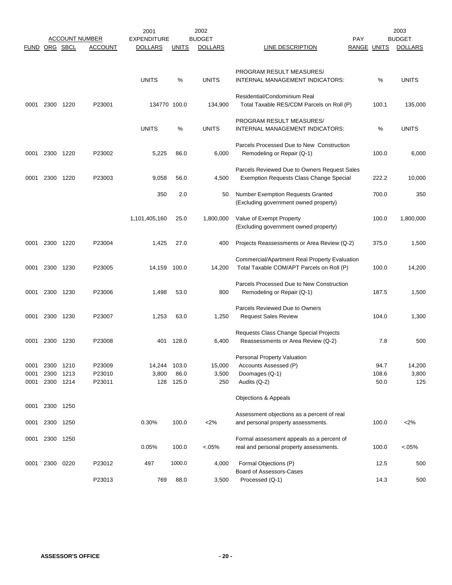|               |      |           | <b>ACCOUNT NUMBER</b> | 2001<br><b>EXPENDITURE</b> |              | 2002<br><b>BUDGET</b> |                                               | <b>PAY</b>  | 2003<br><b>BUDGET</b> |
|---------------|------|-----------|-----------------------|----------------------------|--------------|-----------------------|-----------------------------------------------|-------------|-----------------------|
| FUND ORG SBCL |      |           | <b>ACCOUNT</b>        | <b>DOLLARS</b>             | <u>UNITS</u> | <b>DOLLARS</b>        | LINE DESCRIPTION                              | RANGE UNITS | <b>DOLLARS</b>        |
|               |      |           |                       |                            |              |                       |                                               |             |                       |
|               |      |           |                       |                            |              |                       | PROGRAM RESULT MEASURES/                      |             |                       |
|               |      |           |                       | <b>UNITS</b>               | %            | <b>UNITS</b>          | INTERNAL MANAGEMENT INDICATORS:               | %           | <b>UNITS</b>          |
|               |      |           |                       |                            |              |                       | Residential/Condominium Real                  |             |                       |
| 0001          | 2300 | 1220      | P23001                | 134770 100.0               |              | 134,900               | Total Taxable RES/CDM Parcels on Roll (P)     | 100.1       | 135,000               |
|               |      |           |                       |                            |              |                       | PROGRAM RESULT MEASURES/                      |             |                       |
|               |      |           |                       | <b>UNITS</b>               | %            | <b>UNITS</b>          | INTERNAL MANAGEMENT INDICATORS:               | %           | <b>UNITS</b>          |
|               |      |           |                       |                            |              |                       | Parcels Processed Due to New Construction     |             |                       |
| 0001          | 2300 | 1220      | P23002                | 5,225                      | 86.0         | 6,000                 | Remodeling or Repair (Q-1)                    | 100.0       | 6,000                 |
|               |      |           |                       |                            |              |                       | Parcels Reviewed Due to Owners Request Sales  |             |                       |
| 0001          | 2300 | 1220      | P23003                | 9,058                      | 56.0         | 4,500                 | Exemption Requests Class Change Special       | 222.2       | 10,000                |
|               |      |           |                       | 350                        | 2.0          | 50                    | <b>Number Exemption Requests Granted</b>      | 700.0       | 350                   |
|               |      |           |                       |                            |              |                       | (Excluding government owned property)         |             |                       |
|               |      |           |                       | 1,101,405,160              | 25.0         | 1,800,000             | Value of Exempt Property                      | 100.0       | 1,800,000             |
|               |      |           |                       |                            |              |                       | (Excluding government owned property)         |             |                       |
| 0001          | 2300 | 1220      | P23004                | 1,425                      | 27.0         | 400                   | Projects Reassessments or Area Review (Q-2)   | 375.0       | 1,500                 |
|               |      |           |                       |                            |              |                       | Commercial/Apartment Real Property Evaluation |             |                       |
| 0001          | 2300 | 1230      | P23005                | 14,159                     | 100.0        | 14,200                | Total Taxable COM/APT Parcels on Roll (P)     | 100.0       | 14,200                |
|               |      |           |                       |                            |              |                       | Parcels Processed Due to New Construction     |             |                       |
| 0001          | 2300 | 1230      | P23006                | 1,498                      | 53.0         | 800                   | Remodeling or Repair (Q-1)                    | 187.5       | 1,500                 |
|               |      |           |                       |                            |              |                       | Parcels Reviewed Due to Owners                |             |                       |
| 0001          |      | 2300 1230 | P23007                | 1,253                      | 63.0         | 1,250                 | <b>Request Sales Review</b>                   | 104.0       | 1,300                 |
|               |      |           |                       |                            |              |                       | Requests Class Change Special Projects        |             |                       |
| 0001          | 2300 | 1230      | P23008                | 401                        | 128.0        | 6,400                 | Reassessments or Area Review (Q-2)            | 7.8         | 500                   |
|               |      |           |                       |                            |              |                       | Personal Property Valuation                   |             |                       |
| 0001          | 2300 | 1210      | P23009                | 14,244                     | 103.0        | 15,000                | Accounts Assessed (P)                         | 94.7        | 14,200                |
| 0001          |      | 2300 1213 | P23010                | 3,800                      | 86.0         | 3,500                 | Doomages (Q-1)                                | 108.6       | 3,800                 |
| 0001          |      | 2300 1214 | P23011                | 128                        | 125.0        | 250                   | Audits (Q-2)                                  | 50.0        | 125                   |
|               |      |           |                       |                            |              |                       | Objections & Appeals                          |             |                       |
| 0001          | 2300 | 1250      |                       |                            |              |                       | Assessment objections as a percent of real    |             |                       |
| 0001          |      | 2300 1250 |                       | 0.30%                      | 100.0        | $<$ 2%                | and personal property assessments.            | 100.0       | $<$ 2%                |
| 0001          |      | 2300 1250 |                       |                            |              |                       | Formal assessment appeals as a percent of     |             |                       |
|               |      |           |                       | 0.05%                      | 100.0        | $< 05\%$              | real and personal property assessments.       | 100.0       | $< 05\%$              |
| 0001          |      | 2300 0220 | P23012                | 497                        | 1000.0       | 4,000                 | Formal Objections (P)                         | 12.5        | 500                   |
|               |      |           | P23013                | 769                        | 88.0         | 3,500                 | Board of Assessors-Cases<br>Processed (Q-1)   | 14.3        | 500                   |
|               |      |           |                       |                            |              |                       |                                               |             |                       |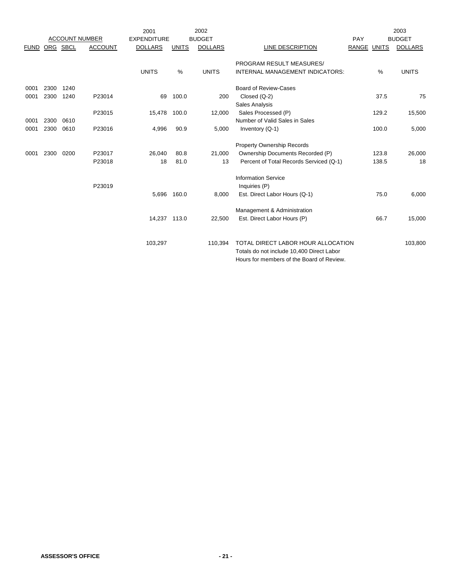|             |      |      |                       | 2001               |              | 2002           |                                           |             |       | 2003           |
|-------------|------|------|-----------------------|--------------------|--------------|----------------|-------------------------------------------|-------------|-------|----------------|
|             |      |      | <b>ACCOUNT NUMBER</b> | <b>EXPENDITURE</b> |              | <b>BUDGET</b>  |                                           | PAY         |       | <b>BUDGET</b>  |
| <b>FUND</b> | ORG  | SBCL | <b>ACCOUNT</b>        | <b>DOLLARS</b>     | <b>UNITS</b> | <b>DOLLARS</b> | LINE DESCRIPTION                          | RANGE UNITS |       | <b>DOLLARS</b> |
|             |      |      |                       |                    |              |                | PROGRAM RESULT MEASURES/                  |             |       |                |
|             |      |      |                       | <b>UNITS</b>       | $\%$         | <b>UNITS</b>   | INTERNAL MANAGEMENT INDICATORS:           |             | %     | <b>UNITS</b>   |
| 0001        | 2300 | 1240 |                       |                    |              |                | <b>Board of Review-Cases</b>              |             |       |                |
| 0001        | 2300 | 1240 | P23014                | 69                 | 100.0        | 200            | Closed $(Q-2)$                            |             | 37.5  | 75             |
|             |      |      |                       |                    |              |                | Sales Analysis                            |             |       |                |
|             |      |      | P23015                | 15,478             | 100.0        | 12,000         | Sales Processed (P)                       |             | 129.2 | 15,500         |
| 0001        | 2300 | 0610 |                       |                    |              |                | Number of Valid Sales in Sales            |             |       |                |
| 0001        | 2300 | 0610 | P23016                | 4,996              | 90.9         | 5,000          | Inventory (Q-1)                           |             | 100.0 | 5,000          |
|             |      |      |                       |                    |              |                | <b>Property Ownership Records</b>         |             |       |                |
| 0001        | 2300 | 0200 | P23017                | 26,040             | 80.8         | 21,000         | Ownership Documents Recorded (P)          |             | 123.8 | 26,000         |
|             |      |      | P23018                | 18                 | 81.0         | 13             | Percent of Total Records Serviced (Q-1)   |             | 138.5 | 18             |
|             |      |      |                       |                    |              |                | <b>Information Service</b>                |             |       |                |
|             |      |      | P23019                |                    |              |                | Inquiries (P)                             |             |       |                |
|             |      |      |                       | 5,696              | 160.0        | 8,000          | Est. Direct Labor Hours (Q-1)             |             | 75.0  | 6,000          |
|             |      |      |                       |                    |              |                | Management & Administration               |             |       |                |
|             |      |      |                       | 14,237 113.0       |              | 22,500         | Est. Direct Labor Hours (P)               |             | 66.7  | 15,000         |
|             |      |      |                       |                    |              |                |                                           |             |       |                |
|             |      |      |                       | 103,297            |              | 110,394        | TOTAL DIRECT LABOR HOUR ALLOCATION        |             |       | 103,800        |
|             |      |      |                       |                    |              |                | Totals do not include 10,400 Direct Labor |             |       |                |
|             |      |      |                       |                    |              |                | Hours for members of the Board of Review. |             |       |                |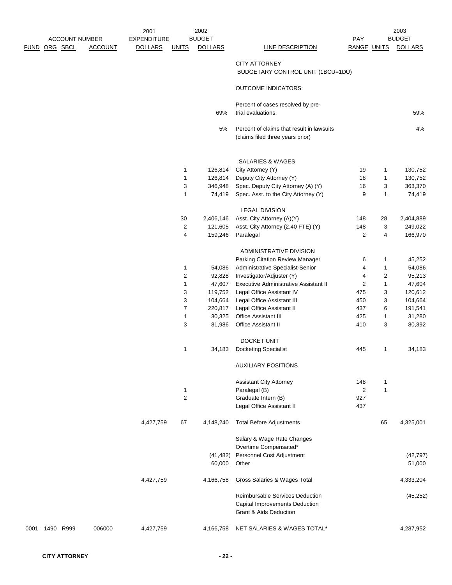|      | FUND ORG SBCL | <b>ACCOUNT NUMBER</b> | <b>ACCOUNT</b> | 2001<br><b>EXPENDITURE</b><br><b>DOLLARS</b> | <b>UNITS</b>   | 2002<br><b>BUDGET</b><br><b>DOLLARS</b> | <b>LINE DESCRIPTION</b>                                                                     | <b>PAY</b><br><b>RANGE UNITS</b> |                | 2003<br><b>BUDGET</b><br><b>DOLLARS</b> |
|------|---------------|-----------------------|----------------|----------------------------------------------|----------------|-----------------------------------------|---------------------------------------------------------------------------------------------|----------------------------------|----------------|-----------------------------------------|
|      |               |                       |                |                                              |                |                                         | <b>CITY ATTORNEY</b><br>BUDGETARY CONTROL UNIT (1BCU=1DU)                                   |                                  |                |                                         |
|      |               |                       |                |                                              |                |                                         | <b>OUTCOME INDICATORS:</b>                                                                  |                                  |                |                                         |
|      |               |                       |                |                                              |                | 69%                                     | Percent of cases resolved by pre-<br>trial evaluations.                                     |                                  |                | 59%                                     |
|      |               |                       |                |                                              |                | 5%                                      | Percent of claims that result in lawsuits<br>(claims filed three years prior)               |                                  |                | 4%                                      |
|      |               |                       |                |                                              |                |                                         |                                                                                             |                                  |                |                                         |
|      |               |                       |                |                                              |                |                                         | SALARIES & WAGES                                                                            |                                  |                |                                         |
|      |               |                       |                |                                              | 1              | 126,814                                 | City Attorney (Y)                                                                           | 19                               | 1              | 130,752                                 |
|      |               |                       |                |                                              | 1              | 126,814                                 | Deputy City Attorney (Y)                                                                    | 18                               | 1              | 130,752                                 |
|      |               |                       |                |                                              | 3              | 346,948                                 | Spec. Deputy City Attorney (A) (Y)                                                          | 16                               | 3              | 363,370                                 |
|      |               |                       |                |                                              | 1              | 74,419                                  | Spec. Asst. to the City Attorney (Y)                                                        | 9                                | $\mathbf{1}$   | 74,419                                  |
|      |               |                       |                |                                              |                |                                         | <b>LEGAL DIVISION</b>                                                                       |                                  |                |                                         |
|      |               |                       |                |                                              | 30             | 2,406,146                               | Asst. City Attorney (A)(Y)                                                                  | 148                              | 28             | 2,404,889                               |
|      |               |                       |                |                                              | $\overline{2}$ | 121,605                                 | Asst. City Attorney (2.40 FTE) (Y)                                                          | 148                              | 3              | 249,022                                 |
|      |               |                       |                |                                              | 4              | 159,246                                 | Paralegal                                                                                   | 2                                | 4              | 166,970                                 |
|      |               |                       |                |                                              |                |                                         | ADMINISTRATIVE DIVISION                                                                     |                                  |                |                                         |
|      |               |                       |                |                                              |                |                                         | Parking Citation Review Manager                                                             | 6                                | 1              | 45,252                                  |
|      |               |                       |                |                                              | 1              | 54,086                                  | Administrative Specialist-Senior                                                            | 4                                | 1              | 54,086                                  |
|      |               |                       |                |                                              | 2              | 92,828                                  | Investigator/Adjuster (Y)                                                                   | 4                                | $\overline{c}$ | 95,213                                  |
|      |               |                       |                |                                              | 1              | 47,607                                  | Executive Administrative Assistant II                                                       | $\overline{\mathbf{c}}$          | 1              | 47,604                                  |
|      |               |                       |                |                                              | 3              | 119,752                                 | Legal Office Assistant IV                                                                   | 475                              | 3              | 120,612                                 |
|      |               |                       |                |                                              | 3              | 104,664                                 | Legal Office Assistant III                                                                  | 450                              | 3              | 104,664                                 |
|      |               |                       |                |                                              | $\overline{7}$ | 220,817                                 | Legal Office Assistant II                                                                   | 437                              | 6              | 191,541                                 |
|      |               |                       |                |                                              | 1              | 30,325                                  | Office Assistant III                                                                        | 425                              | 1              | 31,280                                  |
|      |               |                       |                |                                              | 3              | 81,986                                  | <b>Office Assistant II</b>                                                                  | 410                              | 3              | 80,392                                  |
|      |               |                       |                |                                              |                |                                         | DOCKET UNIT                                                                                 |                                  |                |                                         |
|      |               |                       |                |                                              | 1              | 34,183                                  | <b>Docketing Specialist</b>                                                                 | 445                              | 1              | 34,183                                  |
|      |               |                       |                |                                              |                |                                         | <b>AUXILIARY POSITIONS</b>                                                                  |                                  |                |                                         |
|      |               |                       |                |                                              |                |                                         | <b>Assistant City Attorney</b>                                                              | 148                              | 1              |                                         |
|      |               |                       |                |                                              | $\mathbf{1}$   |                                         | Paralegal (B)                                                                               | $\overline{2}$                   | $\mathbf{1}$   |                                         |
|      |               |                       |                |                                              | $\overline{c}$ |                                         | Graduate Intern (B)                                                                         | 927                              |                |                                         |
|      |               |                       |                |                                              |                |                                         | Legal Office Assistant II                                                                   | 437                              |                |                                         |
|      |               |                       |                | 4,427,759                                    | 67             | 4,148,240                               | <b>Total Before Adjustments</b>                                                             |                                  | 65             | 4,325,001                               |
|      |               |                       |                |                                              |                |                                         | Salary & Wage Rate Changes                                                                  |                                  |                |                                         |
|      |               |                       |                |                                              |                |                                         | Overtime Compensated*                                                                       |                                  |                |                                         |
|      |               |                       |                |                                              |                | (41, 482)                               | Personnel Cost Adjustment                                                                   |                                  |                | (42, 797)                               |
|      |               |                       |                |                                              |                | 60,000                                  | Other                                                                                       |                                  |                | 51,000                                  |
|      |               |                       |                | 4,427,759                                    |                | 4,166,758                               | Gross Salaries & Wages Total                                                                |                                  |                | 4,333,204                               |
|      |               |                       |                |                                              |                |                                         | Reimbursable Services Deduction<br>Capital Improvements Deduction<br>Grant & Aids Deduction |                                  |                | (45, 252)                               |
| 0001 | 1490          | R999                  | 006000         | 4,427,759                                    |                | 4,166,758                               | NET SALARIES & WAGES TOTAL*                                                                 |                                  |                | 4,287,952                               |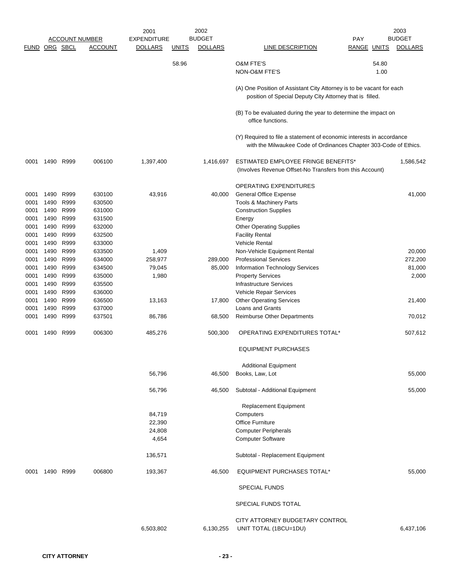|               |              |                       |                  | 2001               |              | 2002           |                                                                                                                                           |                    | 2003           |
|---------------|--------------|-----------------------|------------------|--------------------|--------------|----------------|-------------------------------------------------------------------------------------------------------------------------------------------|--------------------|----------------|
|               |              | <b>ACCOUNT NUMBER</b> |                  | <b>EXPENDITURE</b> |              | <b>BUDGET</b>  |                                                                                                                                           | PAY                | <b>BUDGET</b>  |
| FUND ORG SBCL |              |                       | <b>ACCOUNT</b>   | <b>DOLLARS</b>     | <b>UNITS</b> | <b>DOLLARS</b> | LINE DESCRIPTION                                                                                                                          | <b>RANGE UNITS</b> | <b>DOLLARS</b> |
|               |              |                       |                  |                    | 58.96        |                | <b>O&amp;M FTE'S</b><br>NON-O&M FTE'S                                                                                                     | 54.80<br>1.00      |                |
|               |              |                       |                  |                    |              |                | (A) One Position of Assistant City Attorney is to be vacant for each<br>position of Special Deputy City Attorney that is filled.          |                    |                |
|               |              |                       |                  |                    |              |                | (B) To be evaluated during the year to determine the impact on<br>office functions.                                                       |                    |                |
|               |              |                       |                  |                    |              |                | (Y) Required to file a statement of economic interests in accordance<br>with the Milwaukee Code of Ordinances Chapter 303-Code of Ethics. |                    |                |
| 0001          | 1490 R999    |                       | 006100           | 1,397,400          |              | 1,416,697      | ESTIMATED EMPLOYEE FRINGE BENEFITS*<br>(Involves Revenue Offset-No Transfers from this Account)                                           |                    | 1,586,542      |
|               |              |                       |                  |                    |              |                | <b>OPERATING EXPENDITURES</b>                                                                                                             |                    |                |
| 0001          | 1490         | R999                  | 630100           | 43,916             |              | 40,000         | <b>General Office Expense</b>                                                                                                             |                    | 41,000         |
| 0001          | 1490         | R999                  | 630500           |                    |              |                | <b>Tools &amp; Machinery Parts</b>                                                                                                        |                    |                |
| 0001          | 1490         | R999                  | 631000           |                    |              |                | <b>Construction Supplies</b>                                                                                                              |                    |                |
| 0001          | 1490         | R999                  | 631500           |                    |              |                | Energy                                                                                                                                    |                    |                |
| 0001          | 1490         | R999                  | 632000           |                    |              |                | <b>Other Operating Supplies</b>                                                                                                           |                    |                |
| 0001          | 1490         | R999                  | 632500           |                    |              |                | <b>Facility Rental</b>                                                                                                                    |                    |                |
| 0001          | 1490         | R999                  | 633000           |                    |              |                | Vehicle Rental                                                                                                                            |                    |                |
| 0001          | 1490         | R999                  | 633500           | 1,409              |              |                | Non-Vehicle Equipment Rental                                                                                                              |                    | 20,000         |
| 0001          | 1490         | R999                  | 634000           | 258,977            |              | 289,000        | <b>Professional Services</b>                                                                                                              |                    | 272,200        |
| 0001          | 1490         | R999                  | 634500           | 79,045             |              | 85,000         | Information Technology Services                                                                                                           |                    | 81,000         |
| 0001          | 1490         | R999                  | 635000           | 1,980              |              |                | <b>Property Services</b>                                                                                                                  |                    | 2,000          |
| 0001          | 1490         | R999                  | 635500           |                    |              |                | <b>Infrastructure Services</b>                                                                                                            |                    |                |
| 0001          | 1490         | R999                  | 636000           |                    |              |                | Vehicle Repair Services                                                                                                                   |                    |                |
| 0001          | 1490         | R999                  | 636500           | 13,163             |              | 17,800         | <b>Other Operating Services</b>                                                                                                           |                    | 21,400         |
| 0001<br>0001  | 1490<br>1490 | R999<br>R999          | 637000<br>637501 | 86,786             |              | 68,500         | <b>Loans and Grants</b><br>Reimburse Other Departments                                                                                    |                    | 70,012         |
|               |              |                       |                  |                    |              |                |                                                                                                                                           |                    |                |
| 0001          | 1490         | R999                  | 006300           | 485,276            |              | 500,300        | OPERATING EXPENDITURES TOTAL*                                                                                                             |                    | 507,612        |
|               |              |                       |                  |                    |              |                | <b>EQUIPMENT PURCHASES</b>                                                                                                                |                    |                |
|               |              |                       |                  |                    |              |                | <b>Additional Equipment</b>                                                                                                               |                    |                |
|               |              |                       |                  | 56,796             |              | 46,500         | Books, Law, Lot                                                                                                                           |                    | 55,000         |
|               |              |                       |                  | 56,796             |              | 46,500         | Subtotal - Additional Equipment                                                                                                           |                    | 55,000         |
|               |              |                       |                  |                    |              |                | <b>Replacement Equipment</b>                                                                                                              |                    |                |
|               |              |                       |                  | 84,719             |              |                | Computers                                                                                                                                 |                    |                |
|               |              |                       |                  | 22,390             |              |                | <b>Office Furniture</b>                                                                                                                   |                    |                |
|               |              |                       |                  | 24,808             |              |                | <b>Computer Peripherals</b>                                                                                                               |                    |                |
|               |              |                       |                  | 4,654              |              |                | <b>Computer Software</b>                                                                                                                  |                    |                |
|               |              |                       |                  | 136,571            |              |                | Subtotal - Replacement Equipment                                                                                                          |                    |                |
| 0001          |              | 1490 R999             | 006800           | 193,367            |              | 46,500         | <b>EQUIPMENT PURCHASES TOTAL*</b>                                                                                                         |                    | 55,000         |
|               |              |                       |                  |                    |              |                | <b>SPECIAL FUNDS</b>                                                                                                                      |                    |                |
|               |              |                       |                  |                    |              |                | SPECIAL FUNDS TOTAL                                                                                                                       |                    |                |
|               |              |                       |                  |                    |              |                | CITY ATTORNEY BUDGETARY CONTROL                                                                                                           |                    |                |
|               |              |                       |                  | 6,503,802          |              | 6,130,255      | UNIT TOTAL (1BCU=1DU)                                                                                                                     |                    | 6,437,106      |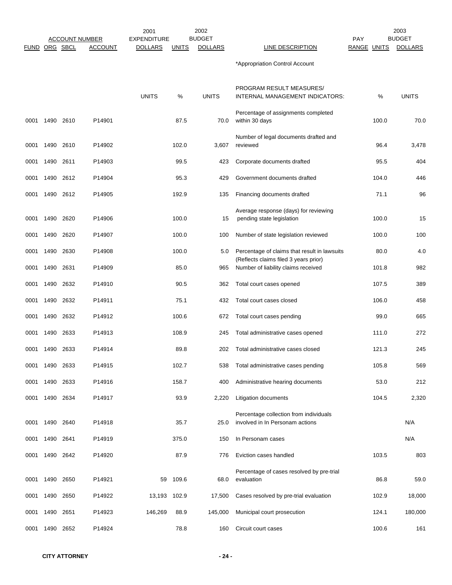|      |                      |           | <b>ACCOUNT NUMBER</b> | 2001<br><b>EXPENDITURE</b> |              | 2002<br><b>BUDGET</b> |                                                                                       | <b>PAY</b>  | 2003<br><b>BUDGET</b> |
|------|----------------------|-----------|-----------------------|----------------------------|--------------|-----------------------|---------------------------------------------------------------------------------------|-------------|-----------------------|
|      | <b>FUND ORG SBCL</b> |           | <b>ACCOUNT</b>        | <b>DOLLARS</b>             | <b>UNITS</b> | <b>DOLLARS</b>        | LINE DESCRIPTION                                                                      | RANGE UNITS | <b>DOLLARS</b>        |
|      |                      |           |                       |                            |              |                       | *Appropriation Control Account                                                        |             |                       |
|      |                      |           |                       | <b>UNITS</b>               | %            | <b>UNITS</b>          | PROGRAM RESULT MEASURES/<br>INTERNAL MANAGEMENT INDICATORS:                           | %           | <b>UNITS</b>          |
| 0001 | 1490 2610            |           | P14901                |                            | 87.5         | 70.0                  | Percentage of assignments completed<br>within 30 days                                 | 100.0       | 70.0                  |
| 0001 | 1490 2610            |           | P14902                |                            | 102.0        | 3,607                 | Number of legal documents drafted and<br>reviewed                                     | 96.4        | 3,478                 |
| 0001 | 1490 2611            |           | P14903                |                            | 99.5         | 423                   | Corporate documents drafted                                                           | 95.5        | 404                   |
| 0001 | 1490 2612            |           | P14904                |                            | 95.3         | 429                   | Government documents drafted                                                          | 104.0       | 446                   |
| 0001 | 1490 2612            |           | P14905                |                            | 192.9        | 135                   | Financing documents drafted                                                           | 71.1        | 96                    |
| 0001 | 1490 2620            |           | P14906                |                            | 100.0        | 15                    | Average response (days) for reviewing<br>pending state legislation                    | 100.0       | 15                    |
| 0001 | 1490                 | 2620      | P14907                |                            | 100.0        | 100                   | Number of state legislation reviewed                                                  | 100.0       | 100                   |
| 0001 | 1490                 | 2630      | P14908                |                            | 100.0        | 5.0                   | Percentage of claims that result in lawsuits<br>(Reflects claims filed 3 years prior) | 80.0        | 4.0                   |
| 0001 | 1490 2631            |           | P14909                |                            | 85.0         | 965                   | Number of liability claims received                                                   | 101.8       | 982                   |
| 0001 | 1490                 | 2632      | P14910                |                            | 90.5         | 362                   | Total court cases opened                                                              | 107.5       | 389                   |
| 0001 | 1490                 | 2632      | P14911                |                            | 75.1         | 432                   | Total court cases closed                                                              | 106.0       | 458                   |
| 0001 |                      | 1490 2632 | P14912                |                            | 100.6        | 672                   | Total court cases pending                                                             | 99.0        | 665                   |
| 0001 |                      | 1490 2633 | P14913                |                            | 108.9        | 245                   | Total administrative cases opened                                                     | 111.0       | 272                   |
| 0001 | 1490                 | 2633      | P14914                |                            | 89.8         | 202                   | Total administrative cases closed                                                     | 121.3       | 245                   |
| 0001 | 1490 2633            |           | P14915                |                            | 102.7        | 538                   | Total administrative cases pending                                                    | 105.8       | 569                   |
| 0001 | 1490 2633            |           | P14916                |                            | 158.7        | 400                   | Administrative hearing documents                                                      | 53.0        | 212                   |
| 0001 | 1490 2634            |           | P14917                |                            | 93.9         | 2,220                 | Litigation documents                                                                  | 104.5       | 2,320                 |
| 0001 | 1490 2640            |           | P14918                |                            | 35.7         | 25.0                  | Percentage collection from individuals<br>involved in In Personam actions             |             | N/A                   |
| 0001 | 1490 2641            |           | P14919                |                            | 375.0        | 150                   | In Personam cases                                                                     |             | N/A                   |
| 0001 | 1490 2642            |           | P14920                |                            | 87.9         | 776                   | Eviction cases handled                                                                | 103.5       | 803                   |
| 0001 | 1490                 | 2650      | P14921                | 59                         | 109.6        | 68.0                  | Percentage of cases resolved by pre-trial<br>evaluation                               | 86.8        | 59.0                  |
| 0001 | 1490 2650            |           | P14922                | 13,193                     | 102.9        | 17,500                | Cases resolved by pre-trial evaluation                                                | 102.9       | 18,000                |
| 0001 | 1490                 | 2651      | P14923                | 146,269                    | 88.9         | 145,000               | Municipal court prosecution                                                           | 124.1       | 180,000               |
| 0001 | 1490 2652            |           | P14924                |                            | 78.8         | 160                   | Circuit court cases                                                                   | 100.6       | 161                   |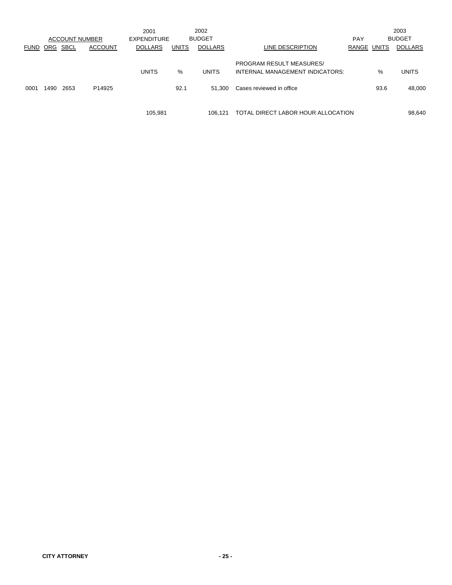|             |            |                       |                    | 2001           |              | 2002           |                                                                    |             |      | 2003           |
|-------------|------------|-----------------------|--------------------|----------------|--------------|----------------|--------------------------------------------------------------------|-------------|------|----------------|
|             |            | <b>ACCOUNT NUMBER</b> |                    | EXPENDITURE    |              | <b>BUDGET</b>  |                                                                    | PAY         |      | <b>BUDGET</b>  |
| <b>FUND</b> | <b>ORG</b> | SBCL                  | <b>ACCOUNT</b>     | <b>DOLLARS</b> | <b>UNITS</b> | <b>DOLLARS</b> | LINE DESCRIPTION                                                   | RANGE UNITS |      | <b>DOLLARS</b> |
|             |            |                       |                    | <b>UNITS</b>   | %            | <b>UNITS</b>   | <b>PROGRAM RESULT MEASURES/</b><br>INTERNAL MANAGEMENT INDICATORS: |             | %    | <b>UNITS</b>   |
| 0001        | 1490       | 2653                  | P <sub>14925</sub> |                | 92.1         | 51.300         | Cases reviewed in office                                           |             | 93.6 | 48,000         |
|             |            |                       |                    | 105.981        |              | 106.121        | TOTAL DIRECT LABOR HOUR ALLOCATION                                 |             |      | 98,640         |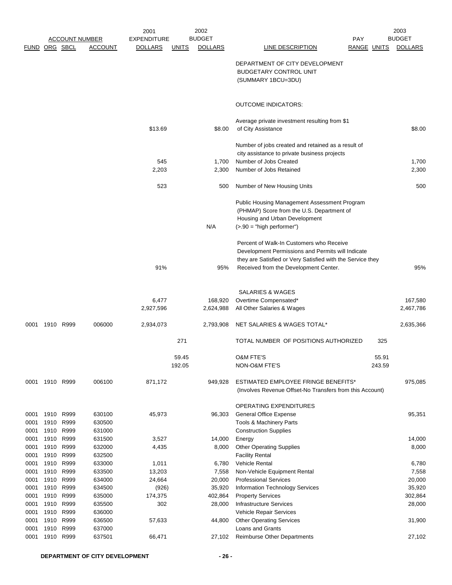|               |              |                       |                  | 2001               |                 | 2002            |                                                                                                                                                                                                      |             |                 | 2003            |
|---------------|--------------|-----------------------|------------------|--------------------|-----------------|-----------------|------------------------------------------------------------------------------------------------------------------------------------------------------------------------------------------------------|-------------|-----------------|-----------------|
|               |              | <b>ACCOUNT NUMBER</b> |                  | <b>EXPENDITURE</b> |                 | <b>BUDGET</b>   |                                                                                                                                                                                                      | <b>PAY</b>  |                 | <b>BUDGET</b>   |
| FUND ORG SBCL |              |                       | <b>ACCOUNT</b>   | <b>DOLLARS</b>     | <b>UNITS</b>    | <b>DOLLARS</b>  | <b>LINE DESCRIPTION</b>                                                                                                                                                                              | RANGE UNITS |                 | <b>DOLLARS</b>  |
|               |              |                       |                  |                    |                 |                 | DEPARTMENT OF CITY DEVELOPMENT<br><b>BUDGETARY CONTROL UNIT</b><br>(SUMMARY 1BCU=3DU)                                                                                                                |             |                 |                 |
|               |              |                       |                  |                    |                 |                 | <b>OUTCOME INDICATORS:</b>                                                                                                                                                                           |             |                 |                 |
|               |              |                       |                  |                    |                 |                 | Average private investment resulting from \$1                                                                                                                                                        |             |                 |                 |
|               |              |                       |                  | \$13.69            |                 | \$8.00          | of City Assistance                                                                                                                                                                                   |             |                 | \$8.00          |
|               |              |                       |                  |                    |                 |                 | Number of jobs created and retained as a result of                                                                                                                                                   |             |                 |                 |
|               |              |                       |                  | 545                |                 | 1,700           | city assistance to private business projects<br>Number of Jobs Created                                                                                                                               |             |                 | 1,700           |
|               |              |                       |                  | 2,203              |                 | 2,300           | Number of Jobs Retained                                                                                                                                                                              |             |                 | 2,300           |
|               |              |                       |                  |                    |                 |                 |                                                                                                                                                                                                      |             |                 |                 |
|               |              |                       |                  | 523                |                 | 500             | Number of New Housing Units                                                                                                                                                                          |             |                 | 500             |
|               |              |                       |                  |                    |                 | N/A             | Public Housing Management Assessment Program<br>(PHMAP) Score from the U.S. Department of<br>Housing and Urban Development<br>$(>.90 = "high performance")$                                          |             |                 |                 |
|               |              |                       |                  | 91%                |                 | 95%             | Percent of Walk-In Customers who Receive<br>Development Permissions and Permits will Indicate<br>they are Satisfied or Very Satisfied with the Service they<br>Received from the Development Center. |             |                 | 95%             |
|               |              |                       |                  |                    |                 |                 | <b>SALARIES &amp; WAGES</b>                                                                                                                                                                          |             |                 |                 |
|               |              |                       |                  | 6,477              |                 | 168,920         | Overtime Compensated*                                                                                                                                                                                |             |                 | 167,580         |
|               |              |                       |                  | 2,927,596          |                 | 2,624,988       | All Other Salaries & Wages                                                                                                                                                                           |             |                 | 2,467,786       |
| 0001          | 1910 R999    |                       | 006000           | 2,934,073          |                 | 2,793,908       | NET SALARIES & WAGES TOTAL*                                                                                                                                                                          |             |                 | 2,635,366       |
|               |              |                       |                  |                    | 271             |                 | TOTAL NUMBER OF POSITIONS AUTHORIZED                                                                                                                                                                 |             | 325             |                 |
|               |              |                       |                  |                    | 59.45<br>192.05 |                 | O&M FTE'S<br>NON-O&M FTE'S                                                                                                                                                                           |             | 55.91<br>243.59 |                 |
| 0001          |              | 1910 R999             | 006100           | 871,172            |                 | 949,928         | ESTIMATED EMPLOYEE FRINGE BENEFITS*<br>(Involves Revenue Offset-No Transfers from this Account)                                                                                                      |             |                 | 975,085         |
|               |              |                       |                  |                    |                 |                 | OPERATING EXPENDITURES                                                                                                                                                                               |             |                 |                 |
| 0001          | 1910         | R999                  | 630100           | 45,973             |                 | 96,303          | General Office Expense                                                                                                                                                                               |             |                 | 95,351          |
| 0001          | 1910         | R999                  | 630500           |                    |                 |                 | Tools & Machinery Parts                                                                                                                                                                              |             |                 |                 |
| 0001          | 1910         | R999                  | 631000           |                    |                 |                 | <b>Construction Supplies</b>                                                                                                                                                                         |             |                 |                 |
| 0001<br>0001  | 1910<br>1910 | R999<br>R999          | 631500<br>632000 | 3,527<br>4,435     |                 | 14,000<br>8,000 | Energy<br><b>Other Operating Supplies</b>                                                                                                                                                            |             |                 | 14,000<br>8,000 |
| 0001          | 1910         | R999                  | 632500           |                    |                 |                 | <b>Facility Rental</b>                                                                                                                                                                               |             |                 |                 |
| 0001          | 1910         | R999                  | 633000           | 1,011              |                 | 6,780           | Vehicle Rental                                                                                                                                                                                       |             |                 | 6,780           |
| 0001          | 1910         | R999                  | 633500           | 13,203             |                 | 7,558           | Non-Vehicle Equipment Rental                                                                                                                                                                         |             |                 | 7,558           |
| 0001          | 1910         | R999                  | 634000           | 24,664             |                 | 20,000          | <b>Professional Services</b>                                                                                                                                                                         |             |                 | 20,000          |
| 0001          | 1910         | R999                  | 634500           | (926)              |                 | 35,920          | Information Technology Services                                                                                                                                                                      |             |                 | 35,920          |
| 0001          | 1910         | R999                  | 635000           | 174,375            |                 | 402,864         | <b>Property Services</b>                                                                                                                                                                             |             |                 | 302,864         |
| 0001          | 1910         | R999                  | 635500           | 302                |                 | 28,000          | Infrastructure Services                                                                                                                                                                              |             |                 | 28,000          |
| 0001          | 1910         | R999                  | 636000           |                    |                 |                 | Vehicle Repair Services                                                                                                                                                                              |             |                 |                 |
| 0001          | 1910         | R999                  | 636500           | 57,633             |                 | 44,800          | <b>Other Operating Services</b>                                                                                                                                                                      |             |                 | 31,900          |
| 0001          | 1910         | R999                  | 637000           |                    |                 |                 | Loans and Grants                                                                                                                                                                                     |             |                 |                 |
| 0001          | 1910         | R999                  | 637501           | 66,471             |                 | 27,102          | Reimburse Other Departments                                                                                                                                                                          |             |                 | 27,102          |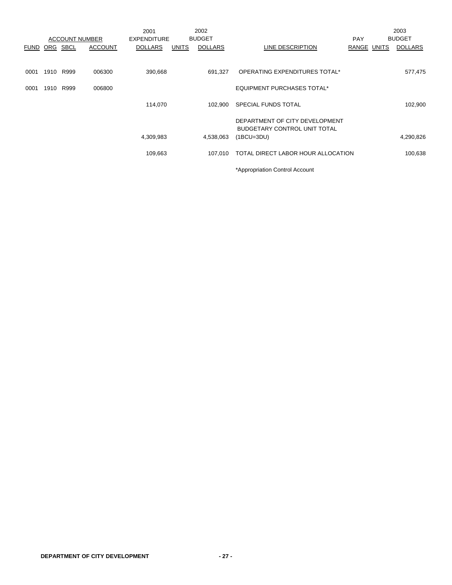|             |      |                       |                | 2001               |              | 2002           |                                                     |             | 2003           |
|-------------|------|-----------------------|----------------|--------------------|--------------|----------------|-----------------------------------------------------|-------------|----------------|
|             |      | <b>ACCOUNT NUMBER</b> |                | <b>EXPENDITURE</b> |              | <b>BUDGET</b>  |                                                     | <b>PAY</b>  | <b>BUDGET</b>  |
| <b>FUND</b> | ORG  | SBCL                  | <b>ACCOUNT</b> | <b>DOLLARS</b>     | <b>UNITS</b> | <b>DOLLARS</b> | LINE DESCRIPTION                                    | RANGE UNITS | <b>DOLLARS</b> |
|             |      |                       |                |                    |              |                |                                                     |             |                |
| 0001        |      | 1910 R999             | 006300         | 390,668            |              | 691.327        | OPERATING EXPENDITURES TOTAL*                       |             | 577,475        |
| 0001        | 1910 | R999                  | 006800         |                    |              |                | <b>EQUIPMENT PURCHASES TOTAL*</b>                   |             |                |
|             |      |                       |                | 114,070            |              | 102.900        | SPECIAL FUNDS TOTAL                                 |             | 102,900        |
|             |      |                       |                |                    |              |                | DEPARTMENT OF CITY DEVELOPMENT                      |             |                |
|             |      |                       |                | 4,309,983          |              | 4,538,063      | <b>BUDGETARY CONTROL UNIT TOTAL</b><br>$(1BCU=3DU)$ |             | 4,290,826      |
|             |      |                       |                |                    |              |                |                                                     |             |                |
|             |      |                       |                | 109,663            |              | 107.010        | TOTAL DIRECT LABOR HOUR ALLOCATION                  |             | 100,638        |
|             |      |                       |                |                    |              |                | *Appropriation Control Account                      |             |                |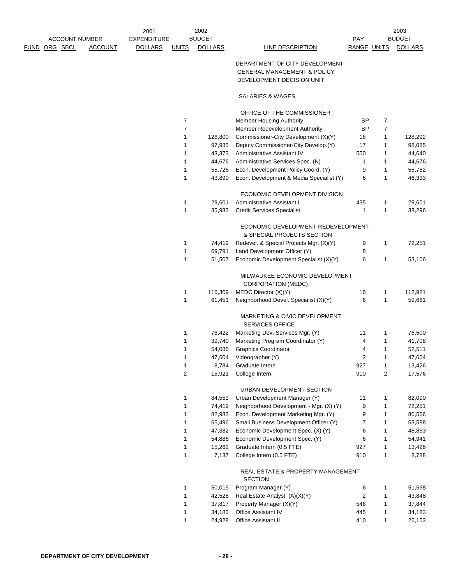|               | <b>ACCOUNT NUMBER</b> |                | 2001<br>EXPENDITURE |              | 2002<br><b>BUDGET</b> |                                        | <b>PAY</b>  | 2003<br><b>BUDGET</b> |
|---------------|-----------------------|----------------|---------------------|--------------|-----------------------|----------------------------------------|-------------|-----------------------|
| FUND ORG SBCL |                       | <b>ACCOUNT</b> | <b>DOLLARS</b>      | <b>UNITS</b> | <b>DOLLARS</b>        | LINE DESCRIPTION                       | RANGE UNITS | <b>DOLLARS</b>        |
|               |                       |                |                     |              |                       | DEPARTMENT OF CITY DEVELOPMENT-        |             |                       |
|               |                       |                |                     |              |                       | <b>GENERAL MANAGEMENT &amp; POLICY</b> |             |                       |
|               |                       |                |                     |              |                       | DEVELOPMENT DECISION UNIT              |             |                       |

### SALARIES & WAGES

|        |                 | OFFICE OF THE COMMISSIONER                                         |     |   |         |
|--------|-----------------|--------------------------------------------------------------------|-----|---|---------|
| 7      |                 | <b>Member Housing Authority</b>                                    | SP  | 7 |         |
| 7      |                 | Member Redevelopment Authority                                     | SP  | 7 |         |
| 1      | 126,800         | Commissioner-City Development (X)(Y)                               | 18  | 1 | 128,292 |
| 1      | 97,985          | Deputy Commissioner-City Develop.(Y)                               | 17  | 1 | 98,085  |
| 1      | 43,373          | Administrative Assistant IV                                        | 550 | 1 | 44,640  |
| 1      | 44,676          | Administrative Services Spec. (N)                                  | 1   | 1 | 44,676  |
| 1      | 55,726          | Econ. Development Policy Coord. (Y)                                | 9   | 1 | 55,782  |
| 1      | 43,890          | Econ. Development & Media Specialist (Y)                           | 6   | 1 | 46,333  |
|        |                 | ECONOMIC DEVELOPMENT DIVISION                                      |     |   |         |
| 1      | 29,601          | Administrative Assistant I                                         | 435 | 1 | 29,601  |
| 1      | 35,983          | <b>Credit Services Specialist</b>                                  | 1   | 1 | 38,296  |
|        |                 | ECONOMIC DEVELOPMENT-REDEVELOPMENT                                 |     |   |         |
|        |                 | & SPECIAL PROJECTS SECTION                                         |     |   |         |
| 1      | 74,419          | Redevel. & Special Projects Mgr. (X)(Y)                            | 9   | 1 | 72,251  |
| 1      | 69,791          | Land Development Officer (Y)                                       | 8   |   |         |
| 1      | 51,507          | Economic Development Specialist (X)(Y)                             | 6   | 1 | 53,106  |
|        |                 | MILWAUKEE ECONOMIC DEVELOPMENT                                     |     |   |         |
|        |                 | <b>CORPORATION (MEDC)</b>                                          |     |   |         |
| 1      | 116,309         | MEDC Director (X)(Y)                                               | 16  | 1 | 112,921 |
| 1      | 61,451          | Neighborhood Devel. Specialist (X)(Y)                              | 6   | 1 | 59,661  |
|        |                 | <b>MARKETING &amp; CIVIC DEVELOPMENT</b><br><b>SERVICES OFFICE</b> |     |   |         |
| 1      | 76,422          | Marketing Dev. Services Mgr. (Y)                                   | 11  | 1 | 76,500  |
| 1      | 39,740          | Marketing Program Coordinator (Y)                                  | 4   | 1 | 41,708  |
| 1      | 54,086          | <b>Graphics Coordinator</b>                                        | 4   | 1 | 52,511  |
| 1      | 47,604          | Videographer (Y)                                                   | 2   | 1 | 47,604  |
| 1      | 8,784           | Graduate Intern                                                    | 927 | 1 | 13,426  |
| 2      | 15,921          | College Intern                                                     | 910 | 2 | 17,576  |
|        |                 | URBAN DEVELOPMENT SECTION                                          |     |   |         |
| 1      | 84,553          | Urban Development Manager (Y)                                      | 11  | 1 | 82,090  |
| 1      | 74,419          | Neighborhood Development - Mgr. (X) (Y)                            | 9   | 1 | 72,251  |
| 1      | 82,983          | Econ. Development Marketing Mgr. (Y)                               | 9   | 1 | 80,566  |
| 1      | 65,496          | Small Business Development Officer (Y)                             | 7   | 1 | 63,588  |
| 1      | 47,382          | Economic Development Spec. (X) (Y)                                 | 6   | 1 | 48,853  |
| 1      | 54,886          | Economic Development Spec. (Y)                                     | 6   | 1 | 54,941  |
|        |                 |                                                                    | 927 | 1 | 13,426  |
| 1<br>1 | 15,262<br>7,137 | Graduate Intern (0.5 FTE)<br>College Intern (0.5 FTE)              | 910 | 1 | 8,788   |
|        |                 |                                                                    |     |   |         |
|        |                 | REAL ESTATE & PROPERTY MANAGEMENT<br><b>SECTION</b>                |     |   |         |
| 1      | 50,015          | Program Manager (Y)                                                | 6   | 1 | 51,568  |
| 1      | 42,528          | Real Estate Analyst (A)(X)(Y)                                      | 2   | 1 | 43,848  |
| 1      | 37,817          | Property Manager (X)(Y)                                            | 546 | 1 | 37,844  |
| 1      | 34,183          | <b>Office Assistant IV</b>                                         | 445 | 1 | 34,183  |
| 1      | 24,928          | <b>Office Assistant II</b>                                         | 410 | 1 | 26,153  |
|        |                 |                                                                    |     |   |         |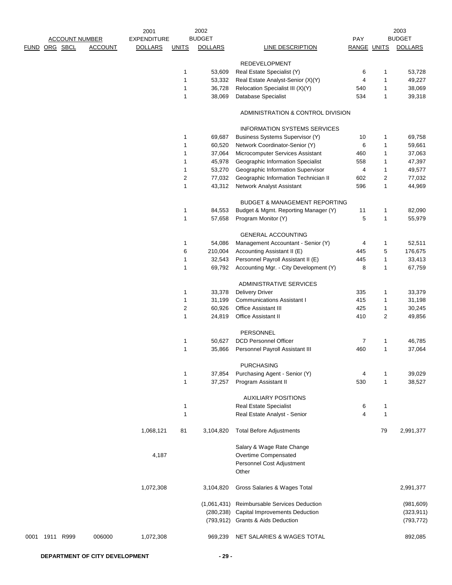|      |           | <b>ACCOUNT NUMBER</b> |                | 2001<br><b>EXPENDITURE</b> |                  | 2002<br><b>BUDGET</b> |                                                    | PAY         |                | 2003<br><b>BUDGET</b> |
|------|-----------|-----------------------|----------------|----------------------------|------------------|-----------------------|----------------------------------------------------|-------------|----------------|-----------------------|
| FUND |           | ORG SBCL              | <b>ACCOUNT</b> | <b>DOLLARS</b>             | <b>UNITS</b>     | <b>DOLLARS</b>        | <b>LINE DESCRIPTION</b>                            | RANGE UNITS |                | <b>DOLLARS</b>        |
|      |           |                       |                |                            |                  |                       |                                                    |             |                |                       |
|      |           |                       |                |                            | 1                | 53,609                | <b>REDEVELOPMENT</b><br>Real Estate Specialist (Y) | 6           | 1              | 53,728                |
|      |           |                       |                |                            | $\mathbf{1}$     | 53,332                | Real Estate Analyst-Senior (X)(Y)                  | 4           | 1              | 49,227                |
|      |           |                       |                |                            | 1                | 36,728                | Relocation Specialist III (X)(Y)                   | 540         | $\mathbf{1}$   | 38,069                |
|      |           |                       |                |                            | $\mathbf{1}$     | 38,069                | Database Specialist                                | 534         | $\mathbf{1}$   | 39,318                |
|      |           |                       |                |                            |                  |                       |                                                    |             |                |                       |
|      |           |                       |                |                            |                  |                       | ADMINISTRATION & CONTROL DIVISION                  |             |                |                       |
|      |           |                       |                |                            |                  |                       | <b>INFORMATION SYSTEMS SERVICES</b>                |             |                |                       |
|      |           |                       |                |                            | $\mathbf{1}$     | 69,687                | Business Systems Supervisor (Y)                    | 10          | 1              | 69,758                |
|      |           |                       |                |                            | 1                | 60,520                | Network Coordinator-Senior (Y)                     | 6           | $\mathbf{1}$   | 59,661                |
|      |           |                       |                |                            | 1                | 37,064                | Microcomputer Services Assistant                   | 460         | 1              | 37,063                |
|      |           |                       |                |                            | 1                | 45,978                | Geographic Information Specialist                  | 558         | 1              | 47,397                |
|      |           |                       |                |                            | 1                | 53,270                | Geographic Information Supervisor                  | 4           | 1              | 49,577                |
|      |           |                       |                |                            | $\sqrt{2}$       | 77,032                | Geographic Information Technician II               | 602         | $\overline{c}$ | 77,032                |
|      |           |                       |                |                            | $\mathbf{1}$     | 43,312                | Network Analyst Assistant                          | 596         | $\mathbf{1}$   | 44,969                |
|      |           |                       |                |                            |                  |                       | <b>BUDGET &amp; MANAGEMENT REPORTING</b>           |             |                |                       |
|      |           |                       |                |                            | 1                | 84,553                | Budget & Mgmt. Reporting Manager (Y)               | 11          | 1              | 82,090                |
|      |           |                       |                |                            | $\mathbf{1}$     | 57,658                | Program Monitor (Y)                                | 5           | 1              | 55,979                |
|      |           |                       |                |                            |                  |                       | <b>GENERAL ACCOUNTING</b>                          |             |                |                       |
|      |           |                       |                |                            | 1                | 54,086                | Management Accountant - Senior (Y)                 | 4           | 1              | 52,511                |
|      |           |                       |                |                            | 6                | 210,004               | Accounting Assistant II (E)                        | 445         | 5              | 176,675               |
|      |           |                       |                |                            | $\mathbf{1}$     | 32,543                | Personnel Payroll Assistant II (E)                 | 445         | 1              | 33,413                |
|      |           |                       |                |                            | $\mathbf{1}$     | 69,792                | Accounting Mgr. - City Development (Y)             | 8           | 1              | 67,759                |
|      |           |                       |                |                            |                  |                       | ADMINISTRATIVE SERVICES                            |             |                |                       |
|      |           |                       |                |                            | 1                | 33,378                | <b>Delivery Driver</b>                             | 335         | 1              | 33,379                |
|      |           |                       |                |                            | $\mathbf{1}$     | 31,199                | <b>Communications Assistant I</b>                  | 415         | 1              | 31,198                |
|      |           |                       |                |                            | $\boldsymbol{2}$ | 60,926                | <b>Office Assistant III</b>                        | 425         | 1              | 30,245                |
|      |           |                       |                |                            | $\mathbf{1}$     | 24,819                | <b>Office Assistant II</b>                         | 410         | $\overline{c}$ | 49,856                |
|      |           |                       |                |                            |                  |                       | PERSONNEL                                          |             |                |                       |
|      |           |                       |                |                            | 1                | 50,627                | <b>DCD Personnel Officer</b>                       | 7           | 1              | 46,785                |
|      |           |                       |                |                            | $\mathbf{1}$     | 35,866                | Personnel Payroll Assistant III                    | 460         | $\mathbf{1}$   | 37,064                |
|      |           |                       |                |                            |                  |                       | <b>PURCHASING</b>                                  |             |                |                       |
|      |           |                       |                |                            | 1                | 37,854                | Purchasing Agent - Senior (Y)                      | 4           | 1              | 39,029                |
|      |           |                       |                |                            | 1                | 37,257                | Program Assistant II                               | 530         | $\mathbf{1}$   | 38,527                |
|      |           |                       |                |                            |                  |                       | <b>AUXILIARY POSITIONS</b>                         |             |                |                       |
|      |           |                       |                |                            | $\mathbf{1}$     |                       | <b>Real Estate Specialist</b>                      | 6           | 1              |                       |
|      |           |                       |                |                            | 1                |                       | Real Estate Analyst - Senior                       | 4           | 1              |                       |
|      |           |                       |                | 1,068,121                  | 81               | 3,104,820             | <b>Total Before Adjustments</b>                    |             | 79             | 2,991,377             |
|      |           |                       |                |                            |                  |                       | Salary & Wage Rate Change                          |             |                |                       |
|      |           |                       |                | 4,187                      |                  |                       | Overtime Compensated                               |             |                |                       |
|      |           |                       |                |                            |                  |                       | Personnel Cost Adjustment<br>Other                 |             |                |                       |
|      |           |                       |                | 1,072,308                  |                  | 3,104,820             | Gross Salaries & Wages Total                       |             |                | 2,991,377             |
|      |           |                       |                |                            |                  | (1,061,431)           | Reimbursable Services Deduction                    |             |                | (981, 609)            |
|      |           |                       |                |                            |                  | (280, 238)            | Capital Improvements Deduction                     |             |                | (323, 911)            |
|      |           |                       |                |                            |                  |                       | (793,912) Grants & Aids Deduction                  |             |                | (793, 772)            |
| 0001 | 1911 R999 |                       | 006000         | 1,072,308                  |                  | 969,239               | NET SALARIES & WAGES TOTAL                         |             |                | 892,085               |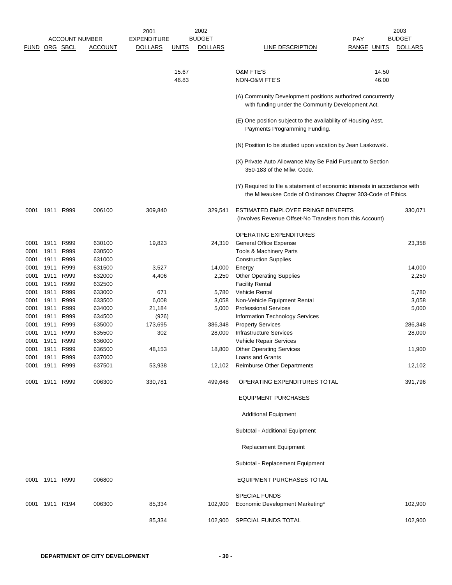|               |                |      |                       | 2001               |              | 2002           |                                                                                                                                           |                    | 2003           |
|---------------|----------------|------|-----------------------|--------------------|--------------|----------------|-------------------------------------------------------------------------------------------------------------------------------------------|--------------------|----------------|
|               |                |      | <b>ACCOUNT NUMBER</b> | <b>EXPENDITURE</b> |              | <b>BUDGET</b>  |                                                                                                                                           | <b>PAY</b>         | <b>BUDGET</b>  |
| FUND ORG SBCL |                |      | <b>ACCOUNT</b>        | <b>DOLLARS</b>     | <u>UNITS</u> | <b>DOLLARS</b> | <b>LINE DESCRIPTION</b>                                                                                                                   | <b>RANGE UNITS</b> | <b>DOLLARS</b> |
|               |                |      |                       |                    |              |                |                                                                                                                                           |                    |                |
|               |                |      |                       |                    | 15.67        |                | <b>O&amp;M FTE'S</b>                                                                                                                      | 14.50              |                |
|               |                |      |                       |                    | 46.83        |                | NON-O&M FTE'S                                                                                                                             | 46.00              |                |
|               |                |      |                       |                    |              |                | (A) Community Development positions authorized concurrently<br>with funding under the Community Development Act.                          |                    |                |
|               |                |      |                       |                    |              |                | (E) One position subject to the availability of Housing Asst.<br>Payments Programming Funding.                                            |                    |                |
|               |                |      |                       |                    |              |                | (N) Position to be studied upon vacation by Jean Laskowski.                                                                               |                    |                |
|               |                |      |                       |                    |              |                | (X) Private Auto Allowance May Be Paid Pursuant to Section<br>350-183 of the Milw. Code.                                                  |                    |                |
|               |                |      |                       |                    |              |                | (Y) Required to file a statement of economic interests in accordance with<br>the Milwaukee Code of Ordinances Chapter 303-Code of Ethics. |                    |                |
| 0001          | 1911 R999      |      | 006100                | 309,840            |              | 329,541        | ESTIMATED EMPLOYEE FRINGE BENEFITS<br>(Involves Revenue Offset-No Transfers from this Account)                                            |                    | 330,071        |
|               |                |      |                       |                    |              |                | OPERATING EXPENDITURES                                                                                                                    |                    |                |
| 0001          | 1911           | R999 | 630100                | 19,823             |              | 24,310         | <b>General Office Expense</b>                                                                                                             |                    | 23,358         |
| 0001          | 1911           | R999 | 630500                |                    |              |                | Tools & Machinery Parts                                                                                                                   |                    |                |
| 0001          | 1911           | R999 | 631000                |                    |              |                | <b>Construction Supplies</b>                                                                                                              |                    |                |
| 0001          | 1911           | R999 | 631500                | 3,527              |              | 14,000         | Energy                                                                                                                                    |                    | 14,000         |
| 0001          | 1911           | R999 | 632000                | 4,406              |              | 2,250          | <b>Other Operating Supplies</b>                                                                                                           |                    | 2,250          |
| 0001          | 1911           | R999 | 632500                |                    |              |                | <b>Facility Rental</b>                                                                                                                    |                    |                |
| 0001          | 1911           | R999 | 633000                | 671                |              | 5,780          | <b>Vehicle Rental</b>                                                                                                                     |                    | 5,780          |
| 0001          | 1911           | R999 | 633500                | 6,008              |              | 3,058          | Non-Vehicle Equipment Rental                                                                                                              |                    | 3,058          |
| 0001          | 1911           | R999 | 634000                | 21,184             |              | 5,000          | <b>Professional Services</b>                                                                                                              |                    | 5,000          |
| 0001          | 1911           | R999 | 634500                | (926)              |              |                | Information Technology Services                                                                                                           |                    |                |
| 0001          | 1911           | R999 | 635000                | 173,695            |              | 386,348        | <b>Property Services</b>                                                                                                                  |                    | 286,348        |
| 0001          | 1911           | R999 | 635500                | 302                |              | 28,000         | Infrastructure Services                                                                                                                   |                    | 28,000         |
| 0001          | 1911           | R999 | 636000                |                    |              |                | <b>Vehicle Repair Services</b>                                                                                                            |                    |                |
| 0001          | 1911           | R999 | 636500                | 48,153             |              | 18,800         | <b>Other Operating Services</b>                                                                                                           |                    | 11,900         |
| 0001          | 1911           | R999 | 637000                |                    |              |                | Loans and Grants                                                                                                                          |                    |                |
| 0001          | 1911           | R999 | 637501                | 53,938             |              | 12,102         | <b>Reimburse Other Departments</b>                                                                                                        |                    | 12,102         |
| 0001          | 1911           | R999 | 006300                | 330,781            |              | 499,648        | OPERATING EXPENDITURES TOTAL                                                                                                              |                    | 391,796        |
|               |                |      |                       |                    |              |                | <b>EQUIPMENT PURCHASES</b>                                                                                                                |                    |                |
|               |                |      |                       |                    |              |                | <b>Additional Equipment</b>                                                                                                               |                    |                |
|               |                |      |                       |                    |              |                | Subtotal - Additional Equipment                                                                                                           |                    |                |
|               |                |      |                       |                    |              |                | <b>Replacement Equipment</b>                                                                                                              |                    |                |
|               |                |      |                       |                    |              |                | Subtotal - Replacement Equipment                                                                                                          |                    |                |
| 0001          | 1911           | R999 | 006800                |                    |              |                | EQUIPMENT PURCHASES TOTAL                                                                                                                 |                    |                |
|               |                |      |                       |                    |              |                |                                                                                                                                           |                    |                |
|               | 0001 1911 R194 |      | 006300                | 85,334             |              | 102,900        | <b>SPECIAL FUNDS</b><br>Economic Development Marketing*                                                                                   |                    | 102,900        |
|               |                |      |                       |                    |              |                |                                                                                                                                           |                    |                |
|               |                |      |                       | 85,334             |              | 102,900        | SPECIAL FUNDS TOTAL                                                                                                                       |                    | 102,900        |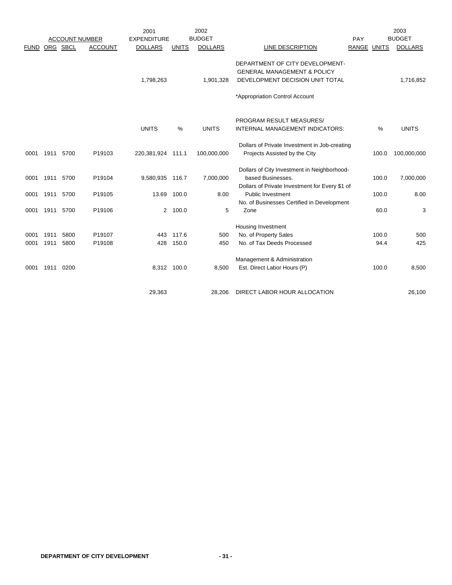|             |      |                       |                | 2001               |              | 2002           |                                                |             |       | 2003           |
|-------------|------|-----------------------|----------------|--------------------|--------------|----------------|------------------------------------------------|-------------|-------|----------------|
|             |      | <b>ACCOUNT NUMBER</b> |                | <b>EXPENDITURE</b> |              | <b>BUDGET</b>  |                                                | PAY         |       | <b>BUDGET</b>  |
| <b>FUND</b> |      | ORG SBCL              | <b>ACCOUNT</b> | <b>DOLLARS</b>     | <b>UNITS</b> | <b>DOLLARS</b> | LINE DESCRIPTION                               | RANGE UNITS |       | <b>DOLLARS</b> |
|             |      |                       |                |                    |              |                | DEPARTMENT OF CITY DEVELOPMENT-                |             |       |                |
|             |      |                       |                |                    |              |                | <b>GENERAL MANAGEMENT &amp; POLICY</b>         |             |       |                |
|             |      |                       |                | 1,798,263          |              | 1,901,328      | DEVELOPMENT DECISION UNIT TOTAL                |             |       | 1,716,852      |
|             |      |                       |                |                    |              |                | *Appropriation Control Account                 |             |       |                |
|             |      |                       |                |                    |              |                |                                                |             |       |                |
|             |      |                       |                |                    |              |                | PROGRAM RESULT MEASURES/                       |             |       |                |
|             |      |                       |                | <b>UNITS</b>       | $\%$         | <b>UNITS</b>   | INTERNAL MANAGEMENT INDICATORS:                |             | $\%$  | <b>UNITS</b>   |
|             |      |                       |                |                    |              |                | Dollars of Private Investment in Job-creating  |             |       |                |
| 0001        |      | 1911 5700             | P19103         | 220,381,924 111.1  |              | 100,000,000    | Projects Assisted by the City                  |             | 100.0 | 100,000,000    |
|             |      |                       |                |                    |              |                | Dollars of City Investment in Neighborhood-    |             |       |                |
| 0001        | 1911 | 5700                  | P19104         | 9,580,935 116.7    |              | 7,000,000      | based Businesses.                              |             | 100.0 | 7,000,000      |
|             |      |                       |                |                    |              |                | Dollars of Private Investment for Every \$1 of |             |       |                |
| 0001        | 1911 | 5700                  | P19105         | 13.69              | 100.0        | 8.00           | Public Investment                              |             | 100.0 | 8.00           |
|             |      |                       |                |                    |              |                | No. of Businesses Certified in Development     |             |       |                |
| 0001        | 1911 | 5700                  | P19106         |                    | 2 100.0      | 5              | Zone                                           |             | 60.0  | 3              |
|             |      |                       |                |                    |              |                | Housing Investment                             |             |       |                |
| 0001        | 1911 | 5800                  | P19107         | 443                | 117.6        | 500            | No. of Property Sales                          |             | 100.0 | 500            |
| 0001        | 1911 | 5800                  | P19108         | 428                | 150.0        | 450            | No. of Tax Deeds Processed                     |             | 94.4  | 425            |
|             |      |                       |                |                    |              |                | Management & Administration                    |             |       |                |
| 0001        | 1911 | 0200                  |                | 8,312 100.0        |              | 8,500          | Est. Direct Labor Hours (P)                    |             | 100.0 | 8,500          |
|             |      |                       |                |                    |              |                |                                                |             |       |                |
|             |      |                       |                | 29,363             |              | 28,206         | DIRECT LABOR HOUR ALLOCATION                   |             |       | 26,100         |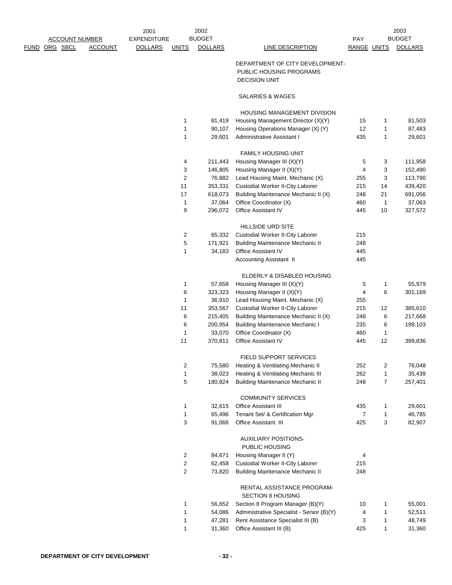| FUND | ORG SBCL | <b>ACCOUNT NUMBER</b><br><b>ACCOUNT</b> | 2001<br><b>EXPENDITURE</b><br><b>DOLLARS</b> | UNITS | 2002<br><b>BUDGET</b><br><b>DOLLARS</b> | LINE DESCRIPTION                                                                   | PAY<br>RANGE UNITS |              | 2003<br><b>BUDGET</b><br><b>DOLLARS</b> |  |
|------|----------|-----------------------------------------|----------------------------------------------|-------|-----------------------------------------|------------------------------------------------------------------------------------|--------------------|--------------|-----------------------------------------|--|
|      |          |                                         |                                              |       |                                         |                                                                                    |                    |              |                                         |  |
|      |          |                                         |                                              |       |                                         | DEPARTMENT OF CITY DEVELOPMENT-<br>PUBLIC HOUSING PROGRAMS<br><b>DECISION UNIT</b> |                    |              |                                         |  |
|      |          |                                         |                                              |       |                                         | <b>SALARIES &amp; WAGES</b>                                                        |                    |              |                                         |  |
|      |          |                                         |                                              |       |                                         | <b>HOUSING MANAGEMENT DIVISION</b>                                                 |                    |              |                                         |  |
|      |          |                                         |                                              | 1     | 81,419                                  | Housing Management Director (X)(Y)                                                 | 15                 | 1            | 81,503                                  |  |
|      |          |                                         |                                              | 1     | 90,107                                  | Housing Operations Manager (X) (Y)                                                 | 12                 | 1            | 87,483                                  |  |
|      |          |                                         |                                              | 1     | 29,601                                  | Administrative Assistant I                                                         | 435                | 1            | 29,601                                  |  |
|      |          |                                         |                                              |       |                                         | <b>FAMILY HOUSING UNIT</b>                                                         |                    |              |                                         |  |
|      |          |                                         |                                              | 4     | 211,443                                 | Housing Manager III (X)(Y)                                                         | 5                  | 3            | 111,958                                 |  |
|      |          |                                         |                                              | 3     | 146,805                                 | Housing Manager II (X)(Y)                                                          | 4                  | 3            | 152,490                                 |  |
|      |          |                                         |                                              | 2     | 76,882                                  | Lead Housing Maint. Mechanic (X)                                                   | 255                | 3            | 113,790                                 |  |
|      |          |                                         |                                              | 11    | 353,331                                 | Custodial Worker II-City Laborer                                                   | 215                | 14           | 439,420                                 |  |
|      |          |                                         |                                              | 17    | 618,073                                 | Building Maintenance Mechanic II (X)                                               | 248                | 21           | 691,056                                 |  |
|      |          |                                         |                                              | 1     | 37,064                                  | Office Coordinator (X)                                                             | 460                | $\mathbf{1}$ | 37,063                                  |  |
|      |          |                                         |                                              | 9     | 296,072                                 | Office Assistant IV                                                                | 445                | 10           | 327,572                                 |  |
|      |          |                                         |                                              |       |                                         | <b>HILLSIDE URD SITE</b>                                                           |                    |              |                                         |  |
|      |          |                                         |                                              | 2     | 65,332                                  | Custodial Worker II-City Laborer                                                   | 215                |              |                                         |  |
|      |          |                                         |                                              | 5     | 171,921                                 | <b>Building Maintenance Mechanic II</b>                                            | 248                |              |                                         |  |
|      |          |                                         |                                              | 1     | 34,183                                  | Office Assistant IV                                                                | 445                |              |                                         |  |
|      |          |                                         |                                              |       |                                         | Accounting Assistant II                                                            | 445                |              |                                         |  |
|      |          |                                         |                                              |       |                                         | ELDERLY & DISABLED HOUSING                                                         |                    |              |                                         |  |
|      |          |                                         |                                              | 1     | 57,658                                  | Housing Manager III (X)(Y)                                                         | 5                  | $\mathbf{1}$ | 55,979                                  |  |
|      |          |                                         |                                              |       |                                         |                                                                                    |                    |              |                                         |  |

|                | 01,000  | 100                                                    |     |                | $\cup$ , $\cup$ , $\cup$ |
|----------------|---------|--------------------------------------------------------|-----|----------------|--------------------------|
| 6              | 323,323 | Housing Manager II (X)(Y)                              | 4   | 6              | 301,169                  |
| 1              | 36,910  | Lead Housing Maint. Mechanic (X)                       | 255 |                |                          |
| 11             | 353,567 | Custodial Worker II-City Laborer                       | 215 | 12             | 385,610                  |
| 6              | 215,405 | Building Maintenance Mechanic II (X)                   | 248 | 6              | 217,668                  |
| 6              | 200,954 | <b>Building Maintenance Mechanic I</b>                 | 235 | 6              | 199,103                  |
| 1              | 33,070  | Office Coordinator (X)                                 | 460 | 1              |                          |
| 11             | 370,811 | <b>Office Assistant IV</b>                             | 445 | 12             | 399,836                  |
|                |         | <b>FIELD SUPPORT SERVICES</b>                          |     |                |                          |
| $\overline{2}$ | 75,580  | Heating & Ventilating Mechanic II                      | 252 | 2              | 76,048                   |
| 1              | 38,023  | Heating & Ventilating Mechanic III                     | 262 | $\mathbf{1}$   | 35,439                   |
| 5              | 180,824 | <b>Building Maintenance Mechanic II</b>                | 248 | $\overline{7}$ | 257,401                  |
|                |         | <b>COMMUNITY SERVICES</b>                              |     |                |                          |
| 1              | 32,615  | <b>Office Assistant III</b>                            | 435 | 1              | 29,601                   |
| 1              | 65,496  | Tenant Sel/ & Certification Mgr.                       | 7   | 1              | 46,785                   |
| 3              | 91,066  | <b>Office Assistant III</b>                            | 425 | 3              | 82,907                   |
|                |         | <b>AUXILIARY POSITIONS-</b><br>PUBLIC HOUSING          |     |                |                          |
| $\overline{2}$ | 84,671  | Housing Manager II (Y)                                 | 4   |                |                          |
| $\overline{2}$ | 62,458  | Custodial Worker II-City Laborer                       | 215 |                |                          |
| 2              | 73,820  | <b>Building Maintenance Mechanic II</b>                | 248 |                |                          |
|                |         | RENTAL ASSISTANCE PROGRAM-<br><b>SECTION 8 HOUSING</b> |     |                |                          |
| 1              | 56,652  | Section 8 Program Manager (B)(Y)                       | 10  | 1              | 55,001                   |

1 54,086 Administrative Specialist - Senior (B)(Y) 4 1 52,511 1 47,281 Rent Assistance Specialist III (B) 3 1 48,749 1 31,360 Office Assistant III (B) 425 1 31,360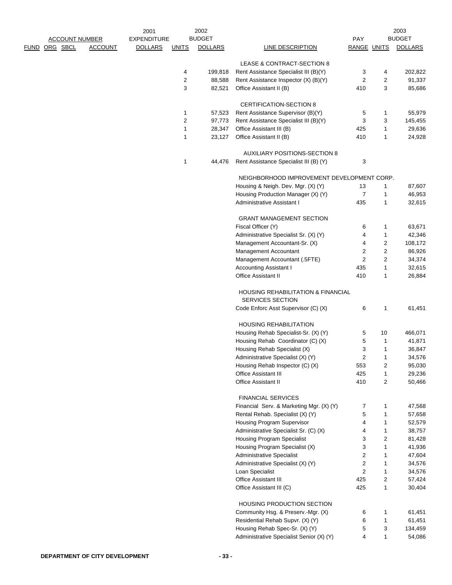|                                           |                | 2001                                 |              | 2002                            |                                                                         |                                |                                | 2003                            |
|-------------------------------------------|----------------|--------------------------------------|--------------|---------------------------------|-------------------------------------------------------------------------|--------------------------------|--------------------------------|---------------------------------|
| <b>ACCOUNT NUMBER</b><br>ORG SBCL<br>FUND | <b>ACCOUNT</b> | <b>EXPENDITURE</b><br><b>DOLLARS</b> | <b>UNITS</b> | <b>BUDGET</b><br><b>DOLLARS</b> | LINE DESCRIPTION                                                        | PAY<br><b>RANGE UNITS</b>      |                                | <b>BUDGET</b><br><b>DOLLARS</b> |
|                                           |                |                                      |              |                                 |                                                                         |                                |                                |                                 |
|                                           |                |                                      |              |                                 | LEASE & CONTRACT-SECTION 8                                              |                                |                                |                                 |
|                                           |                |                                      | 4            | 199,818                         | Rent Assistance Specialist III (B)(Y)                                   | 3                              | 4                              | 202,822                         |
|                                           |                |                                      | 2            | 88,588                          | Rent Assistance Inspector (X) (B)(Y)                                    | $\overline{c}$                 | $\overline{2}$                 | 91,337                          |
|                                           |                |                                      | 3            | 82,521                          | Office Assistant II (B)                                                 | 410                            | 3                              | 85,686                          |
|                                           |                |                                      |              |                                 | CERTIFICATION-SECTION 8                                                 |                                |                                |                                 |
|                                           |                |                                      | 1            | 57,523                          | Rent Assistance Supervisor (B)(Y)                                       | 5                              | $\mathbf{1}$                   | 55,979                          |
|                                           |                |                                      | 2            | 97,773                          | Rent Assistance Specialist III (B)(Y)                                   | 3                              | 3                              | 145,455                         |
|                                           |                |                                      | 1            | 28,347                          | Office Assistant III (B)                                                | 425                            | $\mathbf{1}$                   | 29,636                          |
|                                           |                |                                      | 1            | 23,127                          | Office Assistant II (B)                                                 | 410                            | 1                              | 24,928                          |
|                                           |                |                                      |              |                                 |                                                                         |                                |                                |                                 |
|                                           |                |                                      | 1            | 44,476                          | AUXILIARY POSITIONS-SECTION 8<br>Rent Assistance Specialist III (B) (Y) | 3                              |                                |                                 |
|                                           |                |                                      |              |                                 |                                                                         |                                |                                |                                 |
|                                           |                |                                      |              |                                 | NEIGHBORHOOD IMPROVEMENT DEVELOPMENT CORP.                              |                                |                                |                                 |
|                                           |                |                                      |              |                                 | Housing & Neigh. Dev. Mgr. (X) (Y)                                      | 13                             | 1                              | 87,607                          |
|                                           |                |                                      |              |                                 | Housing Production Manager (X) (Y)                                      | $\overline{7}$                 | 1                              | 46,953                          |
|                                           |                |                                      |              |                                 | Administrative Assistant I                                              | 435                            | 1                              | 32,615                          |
|                                           |                |                                      |              |                                 | <b>GRANT MANAGEMENT SECTION</b>                                         |                                |                                |                                 |
|                                           |                |                                      |              |                                 | Fiscal Officer (Y)                                                      | 6                              | 1                              | 63,671                          |
|                                           |                |                                      |              |                                 | Administrative Specialist Sr. (X) (Y)                                   | 4                              | $\mathbf{1}$                   | 42,346                          |
|                                           |                |                                      |              |                                 | Management Accountant-Sr. (X)                                           | 4                              | $\overline{2}$                 | 108,172                         |
|                                           |                |                                      |              |                                 | Management Accountant                                                   | $\overline{\mathbf{c}}$        | $\overline{2}$                 | 86,926                          |
|                                           |                |                                      |              |                                 | Management Accountant (.5FTE)                                           | $\boldsymbol{2}$               | $\overline{2}$                 | 34,374                          |
|                                           |                |                                      |              |                                 | <b>Accounting Assistant I</b>                                           | 435                            | $\mathbf{1}$                   | 32,615                          |
|                                           |                |                                      |              |                                 | <b>Office Assistant II</b>                                              | 410                            | 1                              | 26,884                          |
|                                           |                |                                      |              |                                 | <b>HOUSING REHABILITATION &amp; FINANCIAL</b><br>SERVICES SECTION       |                                |                                |                                 |
|                                           |                |                                      |              |                                 | Code Enforc Asst Supervisor (C) (X)                                     | 6                              | $\mathbf{1}$                   | 61,451                          |
|                                           |                |                                      |              |                                 | <b>HOUSING REHABILITATION</b>                                           |                                |                                |                                 |
|                                           |                |                                      |              |                                 | Housing Rehab Specialist-Sr. (X) (Y)                                    | 5                              | 10                             | 466,071                         |
|                                           |                |                                      |              |                                 | Housing Rehab Coordinator (C) (X)                                       | 5                              | $\mathbf{1}$                   | 41,871                          |
|                                           |                |                                      |              |                                 | Housing Rehab Specialist (X)                                            | 3                              | $\mathbf{1}$                   | 36,847                          |
|                                           |                |                                      |              |                                 | Administrative Specialist (X) (Y)                                       | $\overline{\mathbf{c}}$        | 1                              | 34,576                          |
|                                           |                |                                      |              |                                 | Housing Rehab Inspector (C) (X)                                         | 553                            | $\overline{2}$                 | 95,030                          |
|                                           |                |                                      |              |                                 | Office Assistant III                                                    | 425                            | $\mathbf{1}$                   | 29,236                          |
|                                           |                |                                      |              |                                 | <b>Office Assistant II</b>                                              | 410                            | $\overline{2}$                 | 50,466                          |
|                                           |                |                                      |              |                                 |                                                                         |                                |                                |                                 |
|                                           |                |                                      |              |                                 | <b>FINANCIAL SERVICES</b>                                               |                                |                                |                                 |
|                                           |                |                                      |              |                                 | Financial Serv. & Marketing Mgr. (X) (Y)                                | 7                              | 1                              | 47,568                          |
|                                           |                |                                      |              |                                 | Rental Rehab. Specialist (X) (Y)                                        | 5                              | 1                              | 57,658                          |
|                                           |                |                                      |              |                                 | Housing Program Supervisor                                              | 4                              | $\mathbf{1}$                   | 52,579                          |
|                                           |                |                                      |              |                                 | Administrative Specialist Sr. (C) (X)                                   | 4                              | 1                              | 38,757                          |
|                                           |                |                                      |              |                                 | <b>Housing Program Specialist</b>                                       | 3                              | 2                              | 81,428                          |
|                                           |                |                                      |              |                                 | Housing Program Specialist (X)                                          | 3                              | 1                              | 41,936                          |
|                                           |                |                                      |              |                                 | Administrative Specialist                                               | $\overline{\mathbf{c}}$        | 1                              | 47,604                          |
|                                           |                |                                      |              |                                 | Administrative Specialist (X) (Y)                                       | $\boldsymbol{2}$               | 1                              | 34,576                          |
|                                           |                |                                      |              |                                 | Loan Specialist<br>Office Assistant III                                 | $\overline{\mathbf{c}}$<br>425 | $\mathbf{1}$<br>$\overline{2}$ | 34,576                          |
|                                           |                |                                      |              |                                 | Office Assistant III (C)                                                | 425                            | 1                              | 57,424<br>30,404                |
|                                           |                |                                      |              |                                 |                                                                         |                                |                                |                                 |
|                                           |                |                                      |              |                                 | HOUSING PRODUCTION SECTION                                              |                                |                                |                                 |
|                                           |                |                                      |              |                                 | Community Hsg. & Preserv.-Mgr. (X)                                      | 6                              | $\mathbf{1}$                   | 61,451                          |
|                                           |                |                                      |              |                                 | Residential Rehab Supvr. (X) (Y)                                        | 6                              | $\mathbf{1}$                   | 61,451                          |
|                                           |                |                                      |              |                                 | Housing Rehab Spec-Sr. (X) (Y)                                          | 5                              | 3                              | 134,459                         |
|                                           |                |                                      |              |                                 | Administrative Specialist Senior (X) (Y)                                | 4                              | $\mathbf{1}$                   | 54,086                          |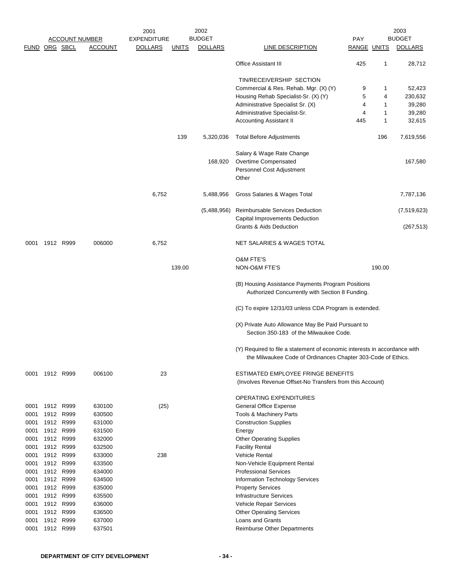|               |                |                   |                       | 2001               |              | 2002           |                                                                                                                                           |             |        | 2003           |
|---------------|----------------|-------------------|-----------------------|--------------------|--------------|----------------|-------------------------------------------------------------------------------------------------------------------------------------------|-------------|--------|----------------|
|               |                |                   | <b>ACCOUNT NUMBER</b> | <b>EXPENDITURE</b> |              | <b>BUDGET</b>  |                                                                                                                                           | <b>PAY</b>  |        | <b>BUDGET</b>  |
| FUND ORG SBCL |                |                   | <b>ACCOUNT</b>        | <b>DOLLARS</b>     | <b>UNITS</b> | <b>DOLLARS</b> | LINE DESCRIPTION                                                                                                                          | RANGE UNITS |        | <b>DOLLARS</b> |
|               |                |                   |                       |                    |              |                | <b>Office Assistant III</b>                                                                                                               | 425         | 1      | 28,712         |
|               |                |                   |                       |                    |              |                | TIN/RECEIVERSHIP SECTION                                                                                                                  |             |        |                |
|               |                |                   |                       |                    |              |                | Commercial & Res. Rehab. Mgr. (X) (Y)                                                                                                     | 9           | 1      | 52,423         |
|               |                |                   |                       |                    |              |                | Housing Rehab Specialist-Sr. (X) (Y)                                                                                                      | 5           | 4      | 230,632        |
|               |                |                   |                       |                    |              |                | Administrative Specialist Sr. (X)                                                                                                         | 4           | 1      | 39,280         |
|               |                |                   |                       |                    |              |                | Administrative Specialist-Sr.                                                                                                             | 4           | 1      | 39,280         |
|               |                |                   |                       |                    |              |                | <b>Accounting Assistant II</b>                                                                                                            | 445         | 1      | 32,615         |
|               |                |                   |                       |                    | 139          | 5,320,036      | Total Before Adjustments                                                                                                                  |             | 196    | 7,619,556      |
|               |                |                   |                       |                    |              |                | Salary & Wage Rate Change                                                                                                                 |             |        |                |
|               |                |                   |                       |                    |              | 168,920        | Overtime Compensated                                                                                                                      |             |        | 167,580        |
|               |                |                   |                       |                    |              |                | Personnel Cost Adjustment<br>Other                                                                                                        |             |        |                |
|               |                |                   |                       | 6,752              |              | 5,488,956      | Gross Salaries & Wages Total                                                                                                              |             |        | 7,787,136      |
|               |                |                   |                       |                    |              | (5,488,956)    | Reimbursable Services Deduction                                                                                                           |             |        | (7, 519, 623)  |
|               |                |                   |                       |                    |              |                | Capital Improvements Deduction                                                                                                            |             |        |                |
|               |                |                   |                       |                    |              |                | Grants & Aids Deduction                                                                                                                   |             |        | (267, 513)     |
| 0001          | 1912 R999      |                   | 006000                | 6,752              |              |                | NET SALARIES & WAGES TOTAL                                                                                                                |             |        |                |
|               |                |                   |                       |                    |              |                | <b>O&amp;M FTE'S</b>                                                                                                                      |             |        |                |
|               |                |                   |                       |                    | 139.00       |                | NON-O&M FTE'S                                                                                                                             |             | 190.00 |                |
|               |                |                   |                       |                    |              |                | (B) Housing Assistance Payments Program Positions<br>Authorized Concurrently with Section 8 Funding.                                      |             |        |                |
|               |                |                   |                       |                    |              |                | (C) To expire 12/31/03 unless CDA Program is extended.                                                                                    |             |        |                |
|               |                |                   |                       |                    |              |                | (X) Private Auto Allowance May Be Paid Pursuant to<br>Section 350-183 of the Milwaukee Code.                                              |             |        |                |
|               |                |                   |                       |                    |              |                | (Y) Required to file a statement of economic interests in accordance with<br>the Milwaukee Code of Ordinances Chapter 303-Code of Ethics. |             |        |                |
|               | 0001 1912 R999 |                   | 006100                | 23                 |              |                | ESTIMATED EMPLOYEE FRINGE BENEFITS<br>(Involves Revenue Offset-No Transfers from this Account)                                            |             |        |                |
|               |                |                   |                       |                    |              |                | OPERATING EXPENDITURES                                                                                                                    |             |        |                |
| 0001          | 1912           | R999              | 630100                | (25)               |              |                | <b>General Office Expense</b>                                                                                                             |             |        |                |
| 0001          | 1912           | R999              | 630500                |                    |              |                | Tools & Machinery Parts                                                                                                                   |             |        |                |
| 0001          |                | 1912 R999         | 631000                |                    |              |                | <b>Construction Supplies</b>                                                                                                              |             |        |                |
| 0001          | 1912           | R999              | 631500                |                    |              |                | Energy                                                                                                                                    |             |        |                |
| 0001          | 1912           | R999              | 632000                |                    |              |                | <b>Other Operating Supplies</b>                                                                                                           |             |        |                |
| 0001          |                | 1912 R999         | 632500                |                    |              |                | <b>Facility Rental</b>                                                                                                                    |             |        |                |
| 0001          | 1912           | R999              | 633000                | 238                |              |                | <b>Vehicle Rental</b>                                                                                                                     |             |        |                |
| 0001          |                | 1912 R999         | 633500                |                    |              |                | Non-Vehicle Equipment Rental                                                                                                              |             |        |                |
| 0001          |                | 1912 R999         | 634000                |                    |              |                | <b>Professional Services</b>                                                                                                              |             |        |                |
| 0001          | 1912           | R999              | 634500                |                    |              |                | Information Technology Services                                                                                                           |             |        |                |
| 0001          |                | 1912 R999         | 635000                |                    |              |                | <b>Property Services</b>                                                                                                                  |             |        |                |
| 0001          |                | 1912 R999         | 635500                |                    |              |                | <b>Infrastructure Services</b>                                                                                                            |             |        |                |
| 0001          | 1912           | R999              | 636000                |                    |              |                | Vehicle Repair Services                                                                                                                   |             |        |                |
| 0001<br>0001  | 1912           | R999<br>1912 R999 | 636500<br>637000      |                    |              |                | <b>Other Operating Services</b><br>Loans and Grants                                                                                       |             |        |                |
| 0001          |                | 1912 R999         | 637501                |                    |              |                | Reimburse Other Departments                                                                                                               |             |        |                |
|               |                |                   |                       |                    |              |                |                                                                                                                                           |             |        |                |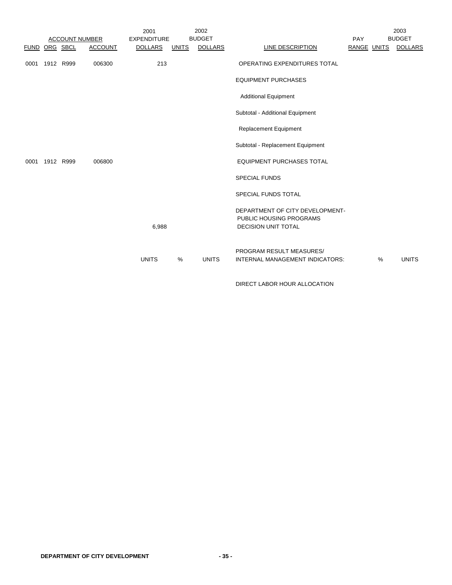|               |                |                       |                | 2001               |              | 2002           |                                                             |             |   | 2003           |
|---------------|----------------|-----------------------|----------------|--------------------|--------------|----------------|-------------------------------------------------------------|-------------|---|----------------|
|               |                | <b>ACCOUNT NUMBER</b> |                | <b>EXPENDITURE</b> |              | <b>BUDGET</b>  |                                                             | <b>PAY</b>  |   | <b>BUDGET</b>  |
| FUND ORG SBCL |                |                       | <b>ACCOUNT</b> | <b>DOLLARS</b>     | <b>UNITS</b> | <b>DOLLARS</b> | LINE DESCRIPTION                                            | RANGE UNITS |   | <b>DOLLARS</b> |
| 0001          | 1912 R999      |                       | 006300         | 213                |              |                | OPERATING EXPENDITURES TOTAL                                |             |   |                |
|               |                |                       |                |                    |              |                | <b>EQUIPMENT PURCHASES</b>                                  |             |   |                |
|               |                |                       |                |                    |              |                | <b>Additional Equipment</b>                                 |             |   |                |
|               |                |                       |                |                    |              |                | Subtotal - Additional Equipment                             |             |   |                |
|               |                |                       |                |                    |              |                | <b>Replacement Equipment</b>                                |             |   |                |
|               |                |                       |                |                    |              |                | Subtotal - Replacement Equipment                            |             |   |                |
|               | 0001 1912 R999 |                       | 006800         |                    |              |                | <b>EQUIPMENT PURCHASES TOTAL</b>                            |             |   |                |
|               |                |                       |                |                    |              |                | <b>SPECIAL FUNDS</b>                                        |             |   |                |
|               |                |                       |                |                    |              |                | <b>SPECIAL FUNDS TOTAL</b>                                  |             |   |                |
|               |                |                       |                |                    |              |                | DEPARTMENT OF CITY DEVELOPMENT-<br>PUBLIC HOUSING PROGRAMS  |             |   |                |
|               |                |                       |                | 6,988              |              |                | <b>DECISION UNIT TOTAL</b>                                  |             |   |                |
|               |                |                       |                | <b>UNITS</b>       | %            | <b>UNITS</b>   | PROGRAM RESULT MEASURES/<br>INTERNAL MANAGEMENT INDICATORS: |             | % | <b>UNITS</b>   |
|               |                |                       |                |                    |              |                |                                                             |             |   |                |

DIRECT LABOR HOUR ALLOCATION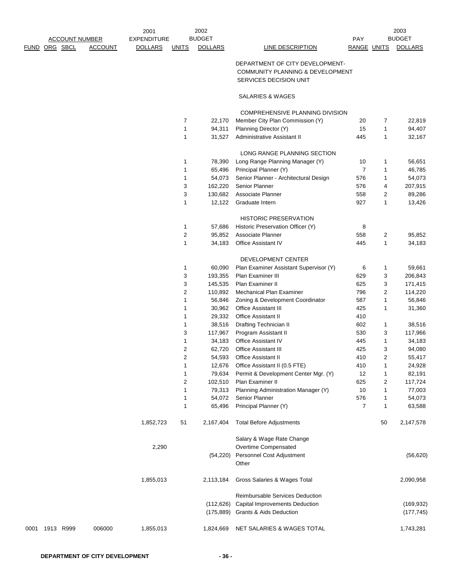|                      |                       |                | 2001           |              | 2002           |                  |             | 2003           |
|----------------------|-----------------------|----------------|----------------|--------------|----------------|------------------|-------------|----------------|
|                      | <b>ACCOUNT NUMBER</b> |                | EXPENDITURE    |              | <b>BUDGET</b>  |                  | <b>PAY</b>  | <b>BUDGET</b>  |
| <b>FUND ORG SBCL</b> |                       | <b>ACCOUNT</b> | <b>DOLLARS</b> | <b>UNITS</b> | <b>DOLLARS</b> | LINE DESCRIPTION | RANGE UNITS | <b>DOLLARS</b> |

# DEPARTMENT OF CITY DEVELOPMENT- COMMUNITY PLANNING & DEVELOPMENT SERVICES DECISION UNIT

SALARIES & WAGES

|           |                  |            | <b>COMPREHENSIVE PLANNING DIVISION</b> |     |                |            |
|-----------|------------------|------------|----------------------------------------|-----|----------------|------------|
|           | 7                | 22,170     | Member City Plan Commission (Y)        | 20  | 7              | 22,819     |
|           | 1                | 94,311     | Planning Director (Y)                  | 15  | 1              | 94,407     |
|           | 1                | 31,527     | Administrative Assistant II            | 445 | 1              | 32,167     |
|           |                  |            | LONG RANGE PLANNING SECTION            |     |                |            |
|           | 1                | 78,390     | Long Range Planning Manager (Y)        | 10  | 1              | 56,651     |
|           | 1                | 65,496     | Principal Planner (Y)                  | 7   | 1              | 46,785     |
|           | 1                | 54,073     | Senior Planner - Architectural Design  | 576 | 1              | 54,073     |
|           | 3                | 162,220    | Senior Planner                         | 576 | 4              | 207,915    |
|           | 3                | 130,682    | Associate Planner                      | 558 | $\overline{c}$ | 89,286     |
|           | 1                | 12,122     | Graduate Intern                        | 927 | 1              | 13,426     |
|           |                  |            |                                        |     |                |            |
|           |                  |            | <b>HISTORIC PRESERVATION</b>           |     |                |            |
|           | 1                | 57,686     | Historic Preservation Officer (Y)      | 8   |                |            |
|           | $\overline{2}$   | 95,852     | Associate Planner                      | 558 | 2              | 95,852     |
|           | 1                | 34,183     | <b>Office Assistant IV</b>             | 445 | 1              | 34,183     |
|           |                  |            | DEVELOPMENT CENTER                     |     |                |            |
|           | 1                | 60,090     | Plan Examiner Assistant Supervisor (Y) | 6   | 1              | 59,661     |
|           | 3                | 193,355    | Plan Examiner III                      | 629 | 3              | 206,843    |
|           | 3                | 145,535    | Plan Examiner II                       | 625 | 3              | 171,415    |
|           | $\overline{2}$   | 110,892    | Mechanical Plan Examiner               | 796 | 2              | 114,220    |
|           | 1                | 56,846     | Zoning & Development Coordinator       | 587 | 1              | 56,846     |
|           | 1                | 30,962     | <b>Office Assistant III</b>            | 425 | 1              | 31,360     |
|           | 1                | 29,332     | <b>Office Assistant II</b>             | 410 |                |            |
|           | 1                | 38,516     | Drafting Technician II                 | 602 | 1              | 38,516     |
|           | 3                | 117,967    | Program Assistant II                   | 530 | 3              | 117,966    |
|           | 1                | 34,183     | <b>Office Assistant IV</b>             | 445 | 1              | 34,183     |
|           | $\overline{2}$   | 62,720     | <b>Office Assistant III</b>            | 425 | 3              | 94,080     |
|           | $\boldsymbol{2}$ | 54,593     | <b>Office Assistant II</b>             | 410 | $\overline{c}$ | 55,417     |
|           | 1                | 12,676     | Office Assistant II (0.5 FTE)          | 410 | 1              | 24,928     |
|           | 1                | 79,634     | Permit & Development Center Mgr. (Y)   | 12  | 1              | 82,191     |
|           | 2                | 102,510    | Plan Examiner II                       | 625 | 2              | 117,724    |
|           | 1                | 79,313     | Planning Administration Manager (Y)    | 10  | 1              | 77,003     |
|           | 1                | 54,072     | Senior Planner                         | 576 | 1              | 54,073     |
|           | 1                | 65,496     | Principal Planner (Y)                  | 7   | 1              | 63,588     |
| 1,852,723 | 51               | 2,167,404  | <b>Total Before Adjustments</b>        |     | 50             | 2,147,578  |
|           |                  |            | Salary & Wage Rate Change              |     |                |            |
| 2,290     |                  |            | Overtime Compensated                   |     |                |            |
|           |                  | (54,220)   | Personnel Cost Adjustment              |     |                | (56, 620)  |
|           |                  |            | Other                                  |     |                |            |
| 1,855,013 |                  | 2,113,184  | Gross Salaries & Wages Total           |     |                | 2,090,958  |
|           |                  |            | <b>Reimbursable Services Deduction</b> |     |                |            |
|           |                  | (112, 626) | Capital Improvements Deduction         |     |                | (169, 932) |
|           |                  | (175,889)  | Grants & Aids Deduction                |     |                | (177, 745) |
| 1,855,013 |                  | 1,824,669  | NET SALARIES & WAGES TOTAL             |     |                | 1,743,281  |
|           |                  |            |                                        |     |                |            |

0001 1913 R999 006000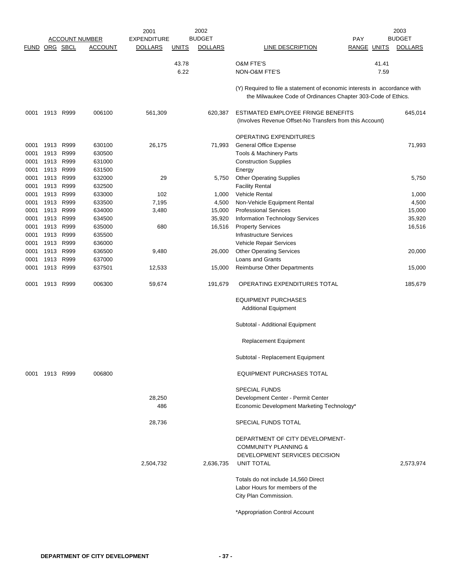|               |              |              |                       | 2001               |              | 2002           |                                                                           |                    |       | 2003           |
|---------------|--------------|--------------|-----------------------|--------------------|--------------|----------------|---------------------------------------------------------------------------|--------------------|-------|----------------|
|               |              |              | <b>ACCOUNT NUMBER</b> | <b>EXPENDITURE</b> |              | <b>BUDGET</b>  |                                                                           | PAY                |       | <b>BUDGET</b>  |
| FUND ORG SBCL |              |              | <b>ACCOUNT</b>        | <b>DOLLARS</b>     | <b>UNITS</b> | <b>DOLLARS</b> | LINE DESCRIPTION                                                          | <b>RANGE UNITS</b> |       | <b>DOLLARS</b> |
|               |              |              |                       |                    | 43.78        |                | <b>O&amp;M FTE'S</b>                                                      |                    | 41.41 |                |
|               |              |              |                       |                    | 6.22         |                | NON-O&M FTE'S                                                             |                    | 7.59  |                |
|               |              |              |                       |                    |              |                |                                                                           |                    |       |                |
|               |              |              |                       |                    |              |                | (Y) Required to file a statement of economic interests in accordance with |                    |       |                |
|               |              |              |                       |                    |              |                | the Milwaukee Code of Ordinances Chapter 303-Code of Ethics.              |                    |       |                |
| 0001          | 1913 R999    |              | 006100                | 561,309            |              | 620,387        | ESTIMATED EMPLOYEE FRINGE BENEFITS                                        |                    |       | 645,014        |
|               |              |              |                       |                    |              |                | (Involves Revenue Offset-No Transfers from this Account)                  |                    |       |                |
|               |              |              |                       |                    |              |                |                                                                           |                    |       |                |
|               |              |              |                       |                    |              |                | OPERATING EXPENDITURES                                                    |                    |       |                |
| 0001          | 1913         | R999         | 630100                | 26,175             |              | 71,993         | <b>General Office Expense</b>                                             |                    |       | 71,993         |
| 0001          | 1913         | R999         | 630500                |                    |              |                | Tools & Machinery Parts                                                   |                    |       |                |
| 0001          | 1913         | R999         | 631000                |                    |              |                | <b>Construction Supplies</b>                                              |                    |       |                |
| 0001<br>0001  | 1913<br>1913 | R999<br>R999 | 631500<br>632000      | 29                 |              | 5,750          | Energy<br><b>Other Operating Supplies</b>                                 |                    |       | 5,750          |
| 0001          | 1913         | R999         | 632500                |                    |              |                | <b>Facility Rental</b>                                                    |                    |       |                |
| 0001          | 1913         | R999         | 633000                | 102                |              | 1,000          | <b>Vehicle Rental</b>                                                     |                    |       | 1,000          |
| 0001          | 1913         | R999         | 633500                | 7,195              |              | 4,500          | Non-Vehicle Equipment Rental                                              |                    |       | 4,500          |
| 0001          | 1913         | R999         | 634000                | 3,480              |              | 15,000         | <b>Professional Services</b>                                              |                    |       | 15,000         |
| 0001          | 1913         | R999         | 634500                |                    |              | 35,920         | Information Technology Services                                           |                    |       | 35,920         |
| 0001          | 1913         | R999         | 635000                | 680                |              | 16,516         | <b>Property Services</b>                                                  |                    |       | 16,516         |
| 0001<br>0001  | 1913<br>1913 | R999<br>R999 | 635500<br>636000      |                    |              |                | Infrastructure Services<br>Vehicle Repair Services                        |                    |       |                |
| 0001          | 1913         | R999         | 636500                | 9,480              |              | 26,000         | <b>Other Operating Services</b>                                           |                    |       | 20,000         |
| 0001          | 1913         | R999         | 637000                |                    |              |                | Loans and Grants                                                          |                    |       |                |
| 0001          | 1913         | R999         | 637501                | 12,533             |              | 15,000         | <b>Reimburse Other Departments</b>                                        |                    |       | 15,000         |
| 0001          | 1913         | R999         | 006300                | 59,674             |              | 191,679        | OPERATING EXPENDITURES TOTAL                                              |                    |       | 185,679        |
|               |              |              |                       |                    |              |                |                                                                           |                    |       |                |
|               |              |              |                       |                    |              |                | <b>EQUIPMENT PURCHASES</b><br><b>Additional Equipment</b>                 |                    |       |                |
|               |              |              |                       |                    |              |                |                                                                           |                    |       |                |
|               |              |              |                       |                    |              |                | Subtotal - Additional Equipment                                           |                    |       |                |
|               |              |              |                       |                    |              |                | <b>Replacement Equipment</b>                                              |                    |       |                |
|               |              |              |                       |                    |              |                | Subtotal - Replacement Equipment                                          |                    |       |                |
| 0001          | 1913 R999    |              | 006800                |                    |              |                | EQUIPMENT PURCHASES TOTAL                                                 |                    |       |                |
|               |              |              |                       |                    |              |                | <b>SPECIAL FUNDS</b>                                                      |                    |       |                |
|               |              |              |                       | 28,250             |              |                | Development Center - Permit Center                                        |                    |       |                |
|               |              |              |                       | 486                |              |                | Economic Development Marketing Technology*                                |                    |       |                |
|               |              |              |                       | 28,736             |              |                | SPECIAL FUNDS TOTAL                                                       |                    |       |                |
|               |              |              |                       |                    |              |                |                                                                           |                    |       |                |
|               |              |              |                       |                    |              |                | DEPARTMENT OF CITY DEVELOPMENT-<br><b>COMMUNITY PLANNING &amp;</b>        |                    |       |                |
|               |              |              |                       |                    |              |                | DEVELOPMENT SERVICES DECISION                                             |                    |       |                |
|               |              |              |                       | 2,504,732          |              | 2,636,735      | UNIT TOTAL                                                                |                    |       | 2,573,974      |
|               |              |              |                       |                    |              |                |                                                                           |                    |       |                |
|               |              |              |                       |                    |              |                | Totals do not include 14,560 Direct                                       |                    |       |                |
|               |              |              |                       |                    |              |                | Labor Hours for members of the<br>City Plan Commission.                   |                    |       |                |
|               |              |              |                       |                    |              |                |                                                                           |                    |       |                |
|               |              |              |                       |                    |              |                | *Appropriation Control Account                                            |                    |       |                |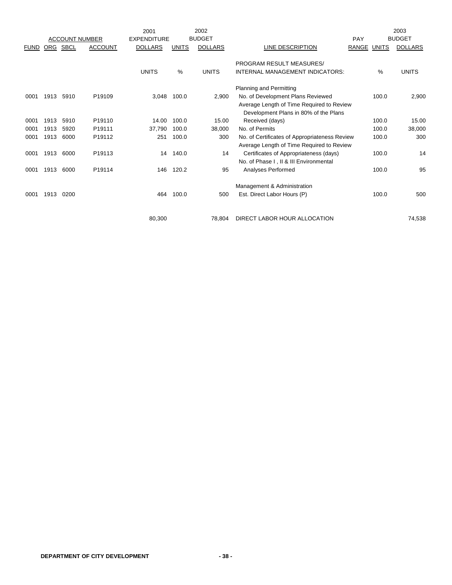|             |            |                       |                    | 2001               |              | 2002           |                                               |                    |       | 2003           |
|-------------|------------|-----------------------|--------------------|--------------------|--------------|----------------|-----------------------------------------------|--------------------|-------|----------------|
|             |            | <b>ACCOUNT NUMBER</b> |                    | <b>EXPENDITURE</b> |              | <b>BUDGET</b>  |                                               | PAY                |       | <b>BUDGET</b>  |
| <b>FUND</b> | <b>ORG</b> | SBCL                  | <b>ACCOUNT</b>     | <b>DOLLARS</b>     | <b>UNITS</b> | <b>DOLLARS</b> | LINE DESCRIPTION                              | <b>RANGE UNITS</b> |       | <b>DOLLARS</b> |
|             |            |                       |                    |                    |              |                | PROGRAM RESULT MEASURES/                      |                    |       |                |
|             |            |                       |                    | <b>UNITS</b>       | %            | <b>UNITS</b>   | INTERNAL MANAGEMENT INDICATORS:               |                    | %     | <b>UNITS</b>   |
|             |            |                       |                    |                    |              |                | Planning and Permitting                       |                    |       |                |
| 0001        | 1913       | 5910                  | P19109             | 3,048              | 100.0        | 2,900          | No. of Development Plans Reviewed             |                    | 100.0 | 2,900          |
|             |            |                       |                    |                    |              |                | Average Length of Time Required to Review     |                    |       |                |
|             |            |                       |                    |                    |              |                | Development Plans in 80% of the Plans         |                    |       |                |
| 0001        | 1913       | 5910                  | P <sub>19110</sub> | 14.00              | 100.0        | 15.00          | Received (days)                               |                    | 100.0 | 15.00          |
| 0001        | 1913       | 5920                  | P19111             | 37,790             | 100.0        | 38,000         | No. of Permits                                |                    | 100.0 | 38,000         |
| 0001        | 1913       | 6000                  | P19112             | 251                | 100.0        | 300            | No. of Certificates of Appropriateness Review |                    | 100.0 | 300            |
|             |            |                       |                    |                    |              |                | Average Length of Time Required to Review     |                    |       |                |
| 0001        | 1913       | 6000                  | P19113             | 14                 | 140.0        | 14             | Certificates of Appropriateness (days)        |                    | 100.0 | 14             |
|             |            |                       |                    |                    |              |                | No. of Phase I, II & III Environmental        |                    |       |                |
| 0001        | 1913       | 6000                  | P19114             | 146                | 120.2        | 95             | Analyses Performed                            |                    | 100.0 | 95             |
|             |            |                       |                    |                    |              |                | Management & Administration                   |                    |       |                |
| 0001        | 1913       | 0200                  |                    | 464                | 100.0        | 500            | Est. Direct Labor Hours (P)                   |                    | 100.0 | 500            |
|             |            |                       |                    |                    |              |                |                                               |                    |       |                |
|             |            |                       |                    | 80,300             |              | 78.804         | DIRECT LABOR HOUR ALLOCATION                  |                    |       | 74.538         |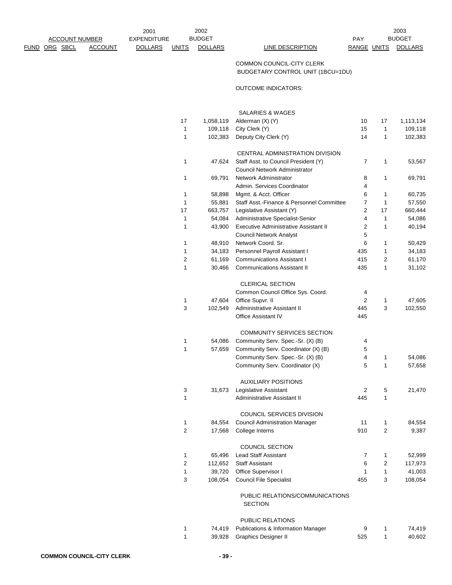2002 2003 PAY BUDGET

# COMMON COUNCIL-CITY CLERK BUDGETARY CONTROL UNIT (1BCU=1DU)

## OUTCOME INDICATORS:

|                         |           | SALARIES & WAGES                                                      |                |                |           |
|-------------------------|-----------|-----------------------------------------------------------------------|----------------|----------------|-----------|
| 17                      | 1,058,119 | Alderman (X) (Y)                                                      | 10             | 17             | 1,113,134 |
| 1                       | 109,118   | City Clerk (Y)                                                        | 15             | 1              | 109,118   |
| 1                       | 102,383   | Deputy City Clerk (Y)                                                 | 14             | 1              | 102,383   |
|                         |           | CENTRAL ADMINISTRATION DIVISION                                       |                |                |           |
| 1                       | 47,624    | Staff Asst. to Council President (Y)<br>Council Network Administrator | 7              | 1              | 53,567    |
| 1                       | 69,791    | Network Administrator<br>Admin, Services Coordinator                  | 8<br>4         | $\mathbf{1}$   | 69,791    |
| 1                       | 58,898    | Mgmt. & Acct. Officer                                                 | 6              | 1              | 60,735    |
| 1                       | 55,881    | Staff Asst.-Finance & Personnel Committee                             | 7              | $\mathbf{1}$   | 57,550    |
| 17                      | 663,757   | Legislative Assistant (Y)                                             | 2              | 17             | 660,444   |
| 1                       | 54,084    | Administrative Specialist-Senior                                      | 4              | $\mathbf{1}$   | 54,086    |
| 1                       | 43,900    | Executive Administrative Assistant II                                 | $\overline{2}$ | 1              | 40,194    |
|                         |           | <b>Council Network Analyst</b>                                        | 5              |                |           |
| 1                       | 48,910    | Network Coord. Sr.                                                    | 6              | 1              | 50,429    |
| 1                       | 34,183    | Personnel Payroll Assistant I                                         | 435            | 1              | 34,183    |
| 2                       | 61,169    | <b>Communications Assistant I</b>                                     | 415            | 2              | 61,170    |
| 1                       | 30,466    | <b>Communications Assistant II</b>                                    | 435            | $\mathbf{1}$   | 31,102    |
|                         |           | <b>CLERICAL SECTION</b>                                               |                |                |           |
|                         |           | Common Council Office Sys. Coord.                                     | 4              |                |           |
| 1                       | 47,604    | Office Supvr. II                                                      | $\overline{2}$ | 1              | 47,605    |
| 3                       | 102,549   | Administrative Assistant II                                           | 445            | 3              | 102,550   |
|                         |           | <b>Office Assistant IV</b>                                            | 445            |                |           |
|                         |           | COMMUNITY SERVICES SECTION                                            |                |                |           |
| 1                       | 54,086    | Community Serv. Spec.-Sr. (X) (B)                                     | 4              |                |           |
| 1                       | 57,659    | Community Serv. Coordinator (X) (B)                                   | 5              |                |           |
|                         |           | Community Serv. Spec.-Sr. (X) (B)                                     | 4              | 1              | 54,086    |
|                         |           | Community Serv. Coordinator (X)                                       | 5              | 1              | 57,658    |
|                         |           | <b>AUXILIARY POSITIONS</b>                                            |                |                |           |
| 3                       | 31,673    | Legislative Assistant                                                 | 2              | 5              | 21,470    |
| 1                       |           | Administrative Assistant II                                           | 445            | 1              |           |
|                         |           | COUNCIL SERVICES DIVISION                                             |                |                |           |
| 1                       | 84,554    | <b>Council Administration Manager</b>                                 | 11             | 1              | 84,554    |
| 2                       | 17,568    | College Interns                                                       | 910            | 2              | 9,387     |
|                         |           | <b>COUNCIL SECTION</b>                                                |                |                |           |
| 1                       | 65,496    | <b>Lead Staff Assistant</b>                                           | 7              | 1              | 52,999    |
| $\overline{\mathbf{c}}$ | 112,652   | <b>Staff Assistant</b>                                                | 6              | $\overline{c}$ | 117,973   |
| 1                       | 39,720    | Office Supervisor I                                                   | 1              | 1              | 41,003    |
| 3                       | 108,054   | <b>Council File Specialist</b>                                        | 455            | 3              | 108,054   |
|                         |           | PUBLIC RELATIONS/COMMUNICATIONS                                       |                |                |           |
|                         |           |                                                                       |                |                |           |

# SECTION

#### PUBLIC RELATIONS

|  | 74,419 Publications & Information Manager |     | 74.419 |
|--|-------------------------------------------|-----|--------|
|  | 39,928 Graphics Designer II               | 525 | 40,602 |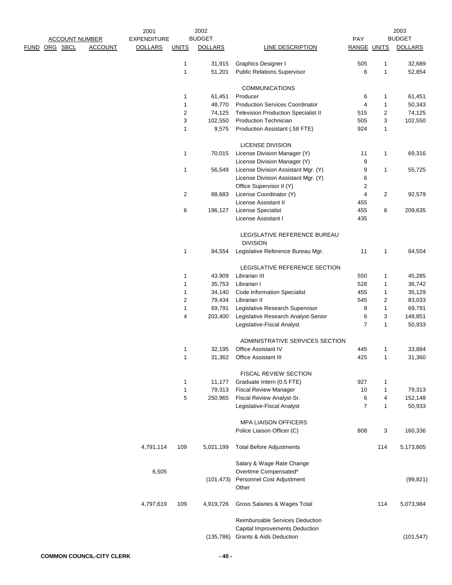|                       |  |                    | 2001           |                | 2002           |                                                           |                |                | 2003           |
|-----------------------|--|--------------------|----------------|----------------|----------------|-----------------------------------------------------------|----------------|----------------|----------------|
| <b>ACCOUNT NUMBER</b> |  | <b>EXPENDITURE</b> | <b>BUDGET</b>  |                |                | <b>PAY</b>                                                |                | <b>BUDGET</b>  |                |
| <u>FUND ORG SBCL</u>  |  | <b>ACCOUNT</b>     | <b>DOLLARS</b> | <b>UNITS</b>   | <b>DOLLARS</b> | LINE DESCRIPTION                                          | RANGE UNITS    |                | <b>DOLLARS</b> |
|                       |  |                    |                |                |                |                                                           |                |                |                |
|                       |  |                    |                | 1              | 31,915         | Graphics Designer I                                       | 505            | 1              | 32,689         |
|                       |  |                    |                | $\mathbf{1}$   | 51,201         | <b>Public Relations Supervisor</b>                        | 6              | $\mathbf{1}$   | 52,854         |
|                       |  |                    |                |                |                | <b>COMMUNICATIONS</b>                                     |                |                |                |
|                       |  |                    |                | 1              | 61,451         | Producer                                                  | 6              | 1              | 61,451         |
|                       |  |                    |                | $\mathbf{1}$   | 48,770         | <b>Production Services Coordinator</b>                    | $\overline{4}$ | 1              | 50,343         |
|                       |  |                    |                | $\overline{2}$ | 74,125         | <b>Television Production Specialist II</b>                | 515            | 2              | 74,125         |
|                       |  |                    |                | 3              | 102,550        | <b>Production Technician</b>                              | 505            | 3              | 102,550        |
|                       |  |                    |                | $\mathbf{1}$   | 9,575          | Production Assistant (.58 FTE)                            | 924            | $\mathbf{1}$   |                |
|                       |  |                    |                |                |                | <b>LICENSE DIVISION</b>                                   |                |                |                |
|                       |  |                    |                | 1              | 70,015         | License Division Manager (Y)                              | 11             | 1              | 69,316         |
|                       |  |                    |                |                |                | License Division Manager (Y)                              | 9              |                |                |
|                       |  |                    |                | 1              | 56,549         | License Division Assistant Mgr. (Y)                       | 9              | 1              | 55,725         |
|                       |  |                    |                |                |                | License Division Assistant Mgr. (Y)                       | 6              |                |                |
|                       |  |                    |                |                |                | Office Supervisor II (Y)                                  | $\overline{c}$ |                |                |
|                       |  |                    |                | 2              | 88,683         | License Coordinator (Y)                                   | 4              | $\overline{2}$ | 92,579         |
|                       |  |                    |                |                |                | License Assistant II                                      | 455            |                |                |
|                       |  |                    |                |                |                |                                                           |                |                |                |
|                       |  |                    |                | 6              | 196,127        | License Specialist                                        | 455            | 6              | 209,635        |
|                       |  |                    |                |                |                | License Assistant I                                       | 435            |                |                |
|                       |  |                    |                |                |                | LEGISLATIVE REFERENCE BUREAU<br><b>DIVISION</b>           |                |                |                |
|                       |  |                    |                | 1              | 84,554         | Legislative Reference Bureau Mgr.                         | 11             | 1              | 84,554         |
|                       |  |                    |                |                |                | LEGISLATIVE REFERENCE SECTION                             |                |                |                |
|                       |  |                    |                | 1              | 43,909         | Librarian III                                             | 550            | 1              | 45,285         |
|                       |  |                    |                | 1              | 35,753         | Librarian I                                               | 528            | 1              | 36,742         |
|                       |  |                    |                | 1              | 34,140         | <b>Code Information Specialist</b>                        | 455            | 1              | 35,129         |
|                       |  |                    |                | $\overline{2}$ | 79,434         | Librarian II                                              | 545            | 2              | 83,033         |
|                       |  |                    |                |                |                |                                                           |                |                |                |
|                       |  |                    |                | $\mathbf{1}$   | 69,791         | Legislative Research Supervisor                           | 8              | 1              | 69,791         |
|                       |  |                    |                | $\overline{4}$ | 203,400        | Legislative Research Analyst-Senior                       | 6              | 3              | 148,851        |
|                       |  |                    |                |                |                | Legislative-Fiscal Analyst                                | $\overline{7}$ | $\mathbf{1}$   | 50,933         |
|                       |  |                    |                |                |                | ADMINISTRATIVE SERVICES SECTION                           |                |                |                |
|                       |  |                    |                | 1              | 32,195         | Office Assistant IV                                       | 445            | 1              | 33,884         |
|                       |  |                    |                | 1              |                | 31,362 Office Assistant III                               | 425            | 1              | 31,360         |
|                       |  |                    |                |                |                | <b>FISCAL REVIEW SECTION</b>                              |                |                |                |
|                       |  |                    |                | 1              | 11,177         | Graduate Intern (0.5 FTE)                                 | 927            | 1              |                |
|                       |  |                    |                | $\mathbf{1}$   | 79,313         | <b>Fiscal Review Manager</b>                              | 10             | 1              | 79,313         |
|                       |  |                    |                | 5              | 250,965        | Fiscal Review Analyst-Sr.                                 | 6              | 4              | 152,148        |
|                       |  |                    |                |                |                | Legislative-Fiscal Analyst                                | $\overline{7}$ | 1              | 50,933         |
|                       |  |                    |                |                |                |                                                           |                |                |                |
|                       |  |                    |                |                |                | <b>MPA LIAISON OFFICERS</b><br>Police Liaison Officer (C) | 808            | 3              | 160,336        |
|                       |  |                    | 4,791,114      | 109            | 5,021,199      | <b>Total Before Adjustments</b>                           |                | 114            | 5,173,805      |
|                       |  |                    |                |                |                |                                                           |                |                |                |
|                       |  |                    |                |                |                | Salary & Wage Rate Change                                 |                |                |                |
|                       |  |                    | 6,505          |                |                | Overtime Compensated*                                     |                |                |                |
|                       |  |                    |                |                | (101, 473)     | Personnel Cost Adjustment<br>Other                        |                |                | (99, 821)      |
|                       |  |                    |                |                |                |                                                           |                |                |                |
|                       |  |                    | 4,797,619      | 109            | 4,919,726      | Gross Salaries & Wages Total                              |                | 114            | 5,073,984      |
|                       |  |                    |                |                |                | Reimbursable Services Deduction                           |                |                |                |
|                       |  |                    |                |                |                | Capital Improvements Deduction                            |                |                |                |
|                       |  |                    |                |                | (135, 786)     | <b>Grants &amp; Aids Deduction</b>                        |                |                | (101, 547)     |
|                       |  |                    |                |                |                |                                                           |                |                |                |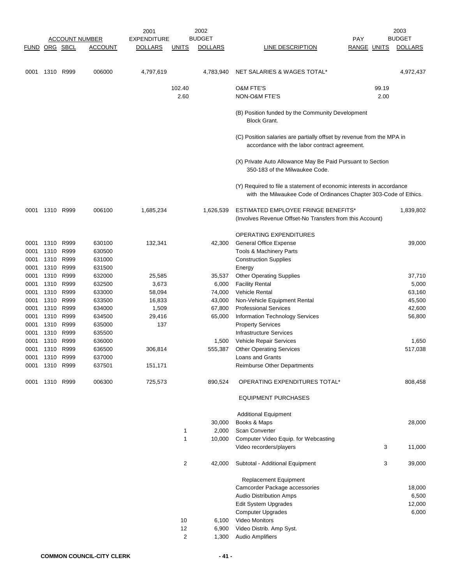|               | <b>ACCOUNT NUMBER</b> |                        | 2002<br>2001     |                    |                   | 2003             |                                                                                                                                           |                    |       |                |
|---------------|-----------------------|------------------------|------------------|--------------------|-------------------|------------------|-------------------------------------------------------------------------------------------------------------------------------------------|--------------------|-------|----------------|
|               |                       |                        |                  | <b>EXPENDITURE</b> |                   | <b>BUDGET</b>    |                                                                                                                                           | <b>PAY</b>         |       | <b>BUDGET</b>  |
| FUND ORG SBCL |                       |                        | <b>ACCOUNT</b>   | <b>DOLLARS</b>     | <b>UNITS</b>      | <b>DOLLARS</b>   | LINE DESCRIPTION                                                                                                                          | <b>RANGE UNITS</b> |       | <b>DOLLARS</b> |
| 0001          |                       | 1310 R999              | 006000           | 4,797,619          |                   | 4,783,940        | NET SALARIES & WAGES TOTAL*                                                                                                               |                    |       | 4,972,437      |
|               |                       |                        |                  |                    | 102.40            |                  | <b>O&amp;M FTE'S</b>                                                                                                                      |                    | 99.19 |                |
|               |                       |                        |                  |                    | 2.60              |                  | NON-O&M FTE'S                                                                                                                             |                    | 2.00  |                |
|               |                       |                        |                  |                    |                   |                  | (B) Position funded by the Community Development<br><b>Block Grant.</b>                                                                   |                    |       |                |
|               |                       |                        |                  |                    |                   |                  | (C) Position salaries are partially offset by revenue from the MPA in<br>accordance with the labor contract agreement.                    |                    |       |                |
|               |                       |                        |                  |                    |                   |                  | (X) Private Auto Allowance May Be Paid Pursuant to Section<br>350-183 of the Milwaukee Code.                                              |                    |       |                |
|               |                       |                        |                  |                    |                   |                  | (Y) Required to file a statement of economic interests in accordance<br>with the Milwaukee Code of Ordinances Chapter 303-Code of Ethics. |                    |       |                |
| 0001          | 1310 R999             |                        | 006100           | 1,685,234          |                   | 1,626,539        | <b>ESTIMATED EMPLOYEE FRINGE BENEFITS*</b><br>(Involves Revenue Offset-No Transfers from this Account)                                    |                    |       | 1,839,802      |
|               |                       |                        |                  |                    |                   |                  | <b>OPERATING EXPENDITURES</b>                                                                                                             |                    |       |                |
| 0001          | 1310                  | R999                   | 630100           | 132,341            |                   | 42,300           | <b>General Office Expense</b>                                                                                                             |                    |       | 39,000         |
| 0001          | 1310                  | R999                   | 630500           |                    |                   |                  | Tools & Machinery Parts                                                                                                                   |                    |       |                |
| 0001          |                       | 1310 R999              | 631000           |                    |                   |                  | <b>Construction Supplies</b>                                                                                                              |                    |       |                |
| 0001          |                       | 1310 R999              | 631500           |                    |                   |                  | Energy                                                                                                                                    |                    |       |                |
| 0001          | 1310                  | R999                   | 632000           | 25,585             |                   | 35,537           | <b>Other Operating Supplies</b>                                                                                                           |                    |       | 37,710         |
| 0001          |                       | 1310 R999              | 632500           | 3,673              |                   | 6,000            | <b>Facility Rental</b>                                                                                                                    |                    |       | 5,000          |
| 0001          | 1310                  | R999                   | 633000           | 58,094             |                   | 74,000           | <b>Vehicle Rental</b>                                                                                                                     |                    |       | 63,160         |
| 0001          |                       | 1310 R999              | 633500           | 16,833             |                   | 43,000           | Non-Vehicle Equipment Rental                                                                                                              |                    |       | 45,500         |
| 0001          |                       | 1310 R999<br>1310 R999 | 634000           | 1,509              |                   | 67,800<br>65,000 | <b>Professional Services</b>                                                                                                              |                    |       | 42,600         |
| 0001<br>0001  |                       | 1310 R999              | 634500<br>635000 | 29,416<br>137      |                   |                  | Information Technology Services<br><b>Property Services</b>                                                                               |                    |       | 56,800         |
| 0001          | 1310                  | R999                   | 635500           |                    |                   |                  | Infrastructure Services                                                                                                                   |                    |       |                |
| 0001          | 1310                  | R999                   | 636000           |                    |                   | 1,500            | <b>Vehicle Repair Services</b>                                                                                                            |                    |       | 1,650          |
| 0001          |                       | 1310 R999              | 636500           | 306,814            |                   | 555,387          | <b>Other Operating Services</b>                                                                                                           |                    |       | 517,038        |
| 0001          | 1310                  | R999                   | 637000           |                    |                   |                  | Loans and Grants                                                                                                                          |                    |       |                |
|               | 0001 1310 R999        |                        | 637501           | 151,171            |                   |                  | Reimburse Other Departments                                                                                                               |                    |       |                |
| 0001          |                       | 1310 R999              | 006300           | 725,573            |                   | 890,524          | OPERATING EXPENDITURES TOTAL*                                                                                                             |                    |       | 808,458        |
|               |                       |                        |                  |                    |                   |                  | <b>EQUIPMENT PURCHASES</b>                                                                                                                |                    |       |                |
|               |                       |                        |                  |                    |                   |                  | <b>Additional Equipment</b>                                                                                                               |                    |       |                |
|               |                       |                        |                  |                    |                   | 30,000           | Books & Maps                                                                                                                              |                    |       | 28,000         |
|               |                       |                        |                  |                    | 1<br>$\mathbf{1}$ | 2,000            | Scan Converter                                                                                                                            |                    |       |                |
|               |                       |                        |                  |                    |                   | 10,000           | Computer Video Equip. for Webcasting<br>Video recorders/players                                                                           |                    | 3     | 11,000         |
|               |                       |                        |                  |                    | $\overline{2}$    | 42,000           | Subtotal - Additional Equipment                                                                                                           |                    | 3     | 39,000         |
|               |                       |                        |                  |                    |                   |                  | Replacement Equipment                                                                                                                     |                    |       |                |
|               |                       |                        |                  |                    |                   |                  | Camcorder Package accessories                                                                                                             |                    |       | 18,000         |
|               |                       |                        |                  |                    |                   |                  | <b>Audio Distribution Amps</b>                                                                                                            |                    |       | 6,500          |
|               |                       |                        |                  |                    |                   |                  | Edit System Upgrades                                                                                                                      |                    |       | 12,000         |
|               |                       |                        |                  |                    |                   |                  | Computer Upgrades                                                                                                                         |                    |       | 6,000          |
|               |                       |                        |                  |                    | 10                | 6,100            | Video Monitors                                                                                                                            |                    |       |                |
|               |                       |                        |                  |                    | 12                | 6,900            | Video Distrib. Amp Syst.                                                                                                                  |                    |       |                |
|               |                       |                        |                  |                    | 2                 | 1,300            | Audio Amplifiers                                                                                                                          |                    |       |                |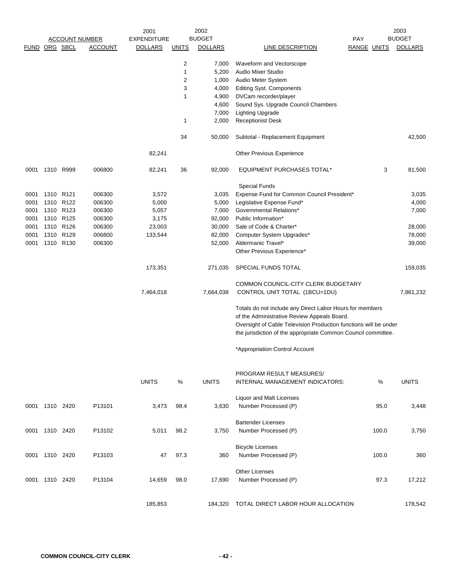| <b>BUDGET</b><br><b>BUDGET</b><br><b>ACCOUNT NUMBER</b><br><b>EXPENDITURE</b><br><b>PAY</b><br>FUND ORG SBCL<br><b>ACCOUNT</b><br><b>DOLLARS</b><br><b>DOLLARS</b><br><b>LINE DESCRIPTION</b><br><b>RANGE UNITS</b><br><b>UNITS</b><br>$\overline{c}$<br>Waveform and Vectorscope<br>7,000<br>1<br>5,200<br>Audio Mixer Studio<br>$\overline{c}$<br>1,000<br>Audio Meter System<br>3<br>4,000<br><b>Editing Syst. Components</b><br>DVCam recorder/player<br>1<br>4,900<br>Sound Sys. Upgrade Council Chambers<br>4,600<br><b>Lighting Upgrade</b><br>7,000<br><b>Receptionist Desk</b><br>1<br>2,000<br>34<br>Subtotal - Replacement Equipment<br>50,000<br>82,241<br>Other Previous Experience<br>3<br>1310 R999<br>006800<br>82,241<br>36<br>92,000<br><b>EQUIPMENT PURCHASES TOTAL*</b><br>0001<br><b>Special Funds</b><br>1310 R121<br>Expense Fund for Common Council President*<br>0001<br>006300<br>3,572<br>3,035<br>1310 R122<br>006300<br>5,000<br>5,000<br>Legislative Expense Fund*<br>0001<br>1310 R123<br>006300<br>5,057<br>7,000<br>Governmental Relations*<br>0001<br>1310 R125<br>Public Information*<br>0001<br>006300<br>3,175<br>92,000<br>1310 R126<br>0001<br>006300<br>23,003<br>30,000<br>Sale of Code & Charter*<br>1310 R129<br>006800<br>0001<br>133,544<br>82,000<br>Computer System Upgrades*<br>1310 R130<br>006300<br>Aldermanic Travel*<br>0001<br>52,000<br>Other Previous Experience*<br>173,351<br>SPECIAL FUNDS TOTAL<br>271,035<br>COMMON COUNCIL-CITY CLERK BUDGETARY<br>7,464,018<br>7,664,038<br>CONTROL UNIT TOTAL (1BCU=1DU)<br>Totals do not include any Direct Labor Hours for members<br>of the Administrative Review Appeals Board.<br>Oversight of Cable Television Production functions will be under<br>the jurisdiction of the appropriate Common Council committee.<br>*Appropriation Control Account<br>PROGRAM RESULT MEASURES/<br><b>UNITS</b><br>%<br><b>UNITS</b><br>%<br>INTERNAL MANAGEMENT INDICATORS:<br>Liquor and Malt Licenses<br>Number Processed (P)<br>0001 1310 2420<br>P13101<br>3,473<br>98.4<br>3,630<br>95.0<br><b>Bartender Licenses</b><br>0001 1310 2420<br>P13102<br>5,011<br>98.2<br>3,750<br>Number Processed (P)<br>100.0<br><b>Bicycle Licenses</b><br>Number Processed (P)<br>0001 1310 2420<br>P13103<br>47<br>97.3<br>360<br>100.0<br><b>Other Licenses</b><br>Number Processed (P)<br>1310 2420<br>P13104<br>14,659<br>98.0<br>17,690<br>97.3<br>0001 |  |  | 2001 | 2002 |  | 2003           |
|--------------------------------------------------------------------------------------------------------------------------------------------------------------------------------------------------------------------------------------------------------------------------------------------------------------------------------------------------------------------------------------------------------------------------------------------------------------------------------------------------------------------------------------------------------------------------------------------------------------------------------------------------------------------------------------------------------------------------------------------------------------------------------------------------------------------------------------------------------------------------------------------------------------------------------------------------------------------------------------------------------------------------------------------------------------------------------------------------------------------------------------------------------------------------------------------------------------------------------------------------------------------------------------------------------------------------------------------------------------------------------------------------------------------------------------------------------------------------------------------------------------------------------------------------------------------------------------------------------------------------------------------------------------------------------------------------------------------------------------------------------------------------------------------------------------------------------------------------------------------------------------------------------------------------------------------------------------------------------------------------------------------------------------------------------------------------------------------------------------------------------------------------------------------------------------------------------------------------------------------------------------------------------------------------------------------------------------------------------------------------------------------------------------------------------------------|--|--|------|------|--|----------------|
|                                                                                                                                                                                                                                                                                                                                                                                                                                                                                                                                                                                                                                                                                                                                                                                                                                                                                                                                                                                                                                                                                                                                                                                                                                                                                                                                                                                                                                                                                                                                                                                                                                                                                                                                                                                                                                                                                                                                                                                                                                                                                                                                                                                                                                                                                                                                                                                                                                            |  |  |      |      |  |                |
|                                                                                                                                                                                                                                                                                                                                                                                                                                                                                                                                                                                                                                                                                                                                                                                                                                                                                                                                                                                                                                                                                                                                                                                                                                                                                                                                                                                                                                                                                                                                                                                                                                                                                                                                                                                                                                                                                                                                                                                                                                                                                                                                                                                                                                                                                                                                                                                                                                            |  |  |      |      |  | <b>DOLLARS</b> |
|                                                                                                                                                                                                                                                                                                                                                                                                                                                                                                                                                                                                                                                                                                                                                                                                                                                                                                                                                                                                                                                                                                                                                                                                                                                                                                                                                                                                                                                                                                                                                                                                                                                                                                                                                                                                                                                                                                                                                                                                                                                                                                                                                                                                                                                                                                                                                                                                                                            |  |  |      |      |  |                |
|                                                                                                                                                                                                                                                                                                                                                                                                                                                                                                                                                                                                                                                                                                                                                                                                                                                                                                                                                                                                                                                                                                                                                                                                                                                                                                                                                                                                                                                                                                                                                                                                                                                                                                                                                                                                                                                                                                                                                                                                                                                                                                                                                                                                                                                                                                                                                                                                                                            |  |  |      |      |  |                |
|                                                                                                                                                                                                                                                                                                                                                                                                                                                                                                                                                                                                                                                                                                                                                                                                                                                                                                                                                                                                                                                                                                                                                                                                                                                                                                                                                                                                                                                                                                                                                                                                                                                                                                                                                                                                                                                                                                                                                                                                                                                                                                                                                                                                                                                                                                                                                                                                                                            |  |  |      |      |  |                |
|                                                                                                                                                                                                                                                                                                                                                                                                                                                                                                                                                                                                                                                                                                                                                                                                                                                                                                                                                                                                                                                                                                                                                                                                                                                                                                                                                                                                                                                                                                                                                                                                                                                                                                                                                                                                                                                                                                                                                                                                                                                                                                                                                                                                                                                                                                                                                                                                                                            |  |  |      |      |  |                |
|                                                                                                                                                                                                                                                                                                                                                                                                                                                                                                                                                                                                                                                                                                                                                                                                                                                                                                                                                                                                                                                                                                                                                                                                                                                                                                                                                                                                                                                                                                                                                                                                                                                                                                                                                                                                                                                                                                                                                                                                                                                                                                                                                                                                                                                                                                                                                                                                                                            |  |  |      |      |  |                |
|                                                                                                                                                                                                                                                                                                                                                                                                                                                                                                                                                                                                                                                                                                                                                                                                                                                                                                                                                                                                                                                                                                                                                                                                                                                                                                                                                                                                                                                                                                                                                                                                                                                                                                                                                                                                                                                                                                                                                                                                                                                                                                                                                                                                                                                                                                                                                                                                                                            |  |  |      |      |  |                |
|                                                                                                                                                                                                                                                                                                                                                                                                                                                                                                                                                                                                                                                                                                                                                                                                                                                                                                                                                                                                                                                                                                                                                                                                                                                                                                                                                                                                                                                                                                                                                                                                                                                                                                                                                                                                                                                                                                                                                                                                                                                                                                                                                                                                                                                                                                                                                                                                                                            |  |  |      |      |  |                |
|                                                                                                                                                                                                                                                                                                                                                                                                                                                                                                                                                                                                                                                                                                                                                                                                                                                                                                                                                                                                                                                                                                                                                                                                                                                                                                                                                                                                                                                                                                                                                                                                                                                                                                                                                                                                                                                                                                                                                                                                                                                                                                                                                                                                                                                                                                                                                                                                                                            |  |  |      |      |  |                |
|                                                                                                                                                                                                                                                                                                                                                                                                                                                                                                                                                                                                                                                                                                                                                                                                                                                                                                                                                                                                                                                                                                                                                                                                                                                                                                                                                                                                                                                                                                                                                                                                                                                                                                                                                                                                                                                                                                                                                                                                                                                                                                                                                                                                                                                                                                                                                                                                                                            |  |  |      |      |  | 42,500         |
|                                                                                                                                                                                                                                                                                                                                                                                                                                                                                                                                                                                                                                                                                                                                                                                                                                                                                                                                                                                                                                                                                                                                                                                                                                                                                                                                                                                                                                                                                                                                                                                                                                                                                                                                                                                                                                                                                                                                                                                                                                                                                                                                                                                                                                                                                                                                                                                                                                            |  |  |      |      |  |                |
|                                                                                                                                                                                                                                                                                                                                                                                                                                                                                                                                                                                                                                                                                                                                                                                                                                                                                                                                                                                                                                                                                                                                                                                                                                                                                                                                                                                                                                                                                                                                                                                                                                                                                                                                                                                                                                                                                                                                                                                                                                                                                                                                                                                                                                                                                                                                                                                                                                            |  |  |      |      |  | 81,500         |
|                                                                                                                                                                                                                                                                                                                                                                                                                                                                                                                                                                                                                                                                                                                                                                                                                                                                                                                                                                                                                                                                                                                                                                                                                                                                                                                                                                                                                                                                                                                                                                                                                                                                                                                                                                                                                                                                                                                                                                                                                                                                                                                                                                                                                                                                                                                                                                                                                                            |  |  |      |      |  |                |
|                                                                                                                                                                                                                                                                                                                                                                                                                                                                                                                                                                                                                                                                                                                                                                                                                                                                                                                                                                                                                                                                                                                                                                                                                                                                                                                                                                                                                                                                                                                                                                                                                                                                                                                                                                                                                                                                                                                                                                                                                                                                                                                                                                                                                                                                                                                                                                                                                                            |  |  |      |      |  | 3,035          |
|                                                                                                                                                                                                                                                                                                                                                                                                                                                                                                                                                                                                                                                                                                                                                                                                                                                                                                                                                                                                                                                                                                                                                                                                                                                                                                                                                                                                                                                                                                                                                                                                                                                                                                                                                                                                                                                                                                                                                                                                                                                                                                                                                                                                                                                                                                                                                                                                                                            |  |  |      |      |  |                |
|                                                                                                                                                                                                                                                                                                                                                                                                                                                                                                                                                                                                                                                                                                                                                                                                                                                                                                                                                                                                                                                                                                                                                                                                                                                                                                                                                                                                                                                                                                                                                                                                                                                                                                                                                                                                                                                                                                                                                                                                                                                                                                                                                                                                                                                                                                                                                                                                                                            |  |  |      |      |  | 4,000          |
|                                                                                                                                                                                                                                                                                                                                                                                                                                                                                                                                                                                                                                                                                                                                                                                                                                                                                                                                                                                                                                                                                                                                                                                                                                                                                                                                                                                                                                                                                                                                                                                                                                                                                                                                                                                                                                                                                                                                                                                                                                                                                                                                                                                                                                                                                                                                                                                                                                            |  |  |      |      |  | 7,000          |
|                                                                                                                                                                                                                                                                                                                                                                                                                                                                                                                                                                                                                                                                                                                                                                                                                                                                                                                                                                                                                                                                                                                                                                                                                                                                                                                                                                                                                                                                                                                                                                                                                                                                                                                                                                                                                                                                                                                                                                                                                                                                                                                                                                                                                                                                                                                                                                                                                                            |  |  |      |      |  |                |
|                                                                                                                                                                                                                                                                                                                                                                                                                                                                                                                                                                                                                                                                                                                                                                                                                                                                                                                                                                                                                                                                                                                                                                                                                                                                                                                                                                                                                                                                                                                                                                                                                                                                                                                                                                                                                                                                                                                                                                                                                                                                                                                                                                                                                                                                                                                                                                                                                                            |  |  |      |      |  | 28,000         |
|                                                                                                                                                                                                                                                                                                                                                                                                                                                                                                                                                                                                                                                                                                                                                                                                                                                                                                                                                                                                                                                                                                                                                                                                                                                                                                                                                                                                                                                                                                                                                                                                                                                                                                                                                                                                                                                                                                                                                                                                                                                                                                                                                                                                                                                                                                                                                                                                                                            |  |  |      |      |  | 78,000         |
|                                                                                                                                                                                                                                                                                                                                                                                                                                                                                                                                                                                                                                                                                                                                                                                                                                                                                                                                                                                                                                                                                                                                                                                                                                                                                                                                                                                                                                                                                                                                                                                                                                                                                                                                                                                                                                                                                                                                                                                                                                                                                                                                                                                                                                                                                                                                                                                                                                            |  |  |      |      |  | 39,000         |
|                                                                                                                                                                                                                                                                                                                                                                                                                                                                                                                                                                                                                                                                                                                                                                                                                                                                                                                                                                                                                                                                                                                                                                                                                                                                                                                                                                                                                                                                                                                                                                                                                                                                                                                                                                                                                                                                                                                                                                                                                                                                                                                                                                                                                                                                                                                                                                                                                                            |  |  |      |      |  | 159,035        |
|                                                                                                                                                                                                                                                                                                                                                                                                                                                                                                                                                                                                                                                                                                                                                                                                                                                                                                                                                                                                                                                                                                                                                                                                                                                                                                                                                                                                                                                                                                                                                                                                                                                                                                                                                                                                                                                                                                                                                                                                                                                                                                                                                                                                                                                                                                                                                                                                                                            |  |  |      |      |  |                |
|                                                                                                                                                                                                                                                                                                                                                                                                                                                                                                                                                                                                                                                                                                                                                                                                                                                                                                                                                                                                                                                                                                                                                                                                                                                                                                                                                                                                                                                                                                                                                                                                                                                                                                                                                                                                                                                                                                                                                                                                                                                                                                                                                                                                                                                                                                                                                                                                                                            |  |  |      |      |  | 7,861,232      |
|                                                                                                                                                                                                                                                                                                                                                                                                                                                                                                                                                                                                                                                                                                                                                                                                                                                                                                                                                                                                                                                                                                                                                                                                                                                                                                                                                                                                                                                                                                                                                                                                                                                                                                                                                                                                                                                                                                                                                                                                                                                                                                                                                                                                                                                                                                                                                                                                                                            |  |  |      |      |  |                |
|                                                                                                                                                                                                                                                                                                                                                                                                                                                                                                                                                                                                                                                                                                                                                                                                                                                                                                                                                                                                                                                                                                                                                                                                                                                                                                                                                                                                                                                                                                                                                                                                                                                                                                                                                                                                                                                                                                                                                                                                                                                                                                                                                                                                                                                                                                                                                                                                                                            |  |  |      |      |  |                |
|                                                                                                                                                                                                                                                                                                                                                                                                                                                                                                                                                                                                                                                                                                                                                                                                                                                                                                                                                                                                                                                                                                                                                                                                                                                                                                                                                                                                                                                                                                                                                                                                                                                                                                                                                                                                                                                                                                                                                                                                                                                                                                                                                                                                                                                                                                                                                                                                                                            |  |  |      |      |  |                |
|                                                                                                                                                                                                                                                                                                                                                                                                                                                                                                                                                                                                                                                                                                                                                                                                                                                                                                                                                                                                                                                                                                                                                                                                                                                                                                                                                                                                                                                                                                                                                                                                                                                                                                                                                                                                                                                                                                                                                                                                                                                                                                                                                                                                                                                                                                                                                                                                                                            |  |  |      |      |  |                |
|                                                                                                                                                                                                                                                                                                                                                                                                                                                                                                                                                                                                                                                                                                                                                                                                                                                                                                                                                                                                                                                                                                                                                                                                                                                                                                                                                                                                                                                                                                                                                                                                                                                                                                                                                                                                                                                                                                                                                                                                                                                                                                                                                                                                                                                                                                                                                                                                                                            |  |  |      |      |  |                |
|                                                                                                                                                                                                                                                                                                                                                                                                                                                                                                                                                                                                                                                                                                                                                                                                                                                                                                                                                                                                                                                                                                                                                                                                                                                                                                                                                                                                                                                                                                                                                                                                                                                                                                                                                                                                                                                                                                                                                                                                                                                                                                                                                                                                                                                                                                                                                                                                                                            |  |  |      |      |  | <b>UNITS</b>   |
|                                                                                                                                                                                                                                                                                                                                                                                                                                                                                                                                                                                                                                                                                                                                                                                                                                                                                                                                                                                                                                                                                                                                                                                                                                                                                                                                                                                                                                                                                                                                                                                                                                                                                                                                                                                                                                                                                                                                                                                                                                                                                                                                                                                                                                                                                                                                                                                                                                            |  |  |      |      |  |                |
|                                                                                                                                                                                                                                                                                                                                                                                                                                                                                                                                                                                                                                                                                                                                                                                                                                                                                                                                                                                                                                                                                                                                                                                                                                                                                                                                                                                                                                                                                                                                                                                                                                                                                                                                                                                                                                                                                                                                                                                                                                                                                                                                                                                                                                                                                                                                                                                                                                            |  |  |      |      |  | 3,448          |
|                                                                                                                                                                                                                                                                                                                                                                                                                                                                                                                                                                                                                                                                                                                                                                                                                                                                                                                                                                                                                                                                                                                                                                                                                                                                                                                                                                                                                                                                                                                                                                                                                                                                                                                                                                                                                                                                                                                                                                                                                                                                                                                                                                                                                                                                                                                                                                                                                                            |  |  |      |      |  |                |
|                                                                                                                                                                                                                                                                                                                                                                                                                                                                                                                                                                                                                                                                                                                                                                                                                                                                                                                                                                                                                                                                                                                                                                                                                                                                                                                                                                                                                                                                                                                                                                                                                                                                                                                                                                                                                                                                                                                                                                                                                                                                                                                                                                                                                                                                                                                                                                                                                                            |  |  |      |      |  | 3,750          |
|                                                                                                                                                                                                                                                                                                                                                                                                                                                                                                                                                                                                                                                                                                                                                                                                                                                                                                                                                                                                                                                                                                                                                                                                                                                                                                                                                                                                                                                                                                                                                                                                                                                                                                                                                                                                                                                                                                                                                                                                                                                                                                                                                                                                                                                                                                                                                                                                                                            |  |  |      |      |  |                |
|                                                                                                                                                                                                                                                                                                                                                                                                                                                                                                                                                                                                                                                                                                                                                                                                                                                                                                                                                                                                                                                                                                                                                                                                                                                                                                                                                                                                                                                                                                                                                                                                                                                                                                                                                                                                                                                                                                                                                                                                                                                                                                                                                                                                                                                                                                                                                                                                                                            |  |  |      |      |  | 360            |
|                                                                                                                                                                                                                                                                                                                                                                                                                                                                                                                                                                                                                                                                                                                                                                                                                                                                                                                                                                                                                                                                                                                                                                                                                                                                                                                                                                                                                                                                                                                                                                                                                                                                                                                                                                                                                                                                                                                                                                                                                                                                                                                                                                                                                                                                                                                                                                                                                                            |  |  |      |      |  |                |
|                                                                                                                                                                                                                                                                                                                                                                                                                                                                                                                                                                                                                                                                                                                                                                                                                                                                                                                                                                                                                                                                                                                                                                                                                                                                                                                                                                                                                                                                                                                                                                                                                                                                                                                                                                                                                                                                                                                                                                                                                                                                                                                                                                                                                                                                                                                                                                                                                                            |  |  |      |      |  | 17,212         |
| TOTAL DIRECT LABOR HOUR ALLOCATION<br>185,853<br>184,320                                                                                                                                                                                                                                                                                                                                                                                                                                                                                                                                                                                                                                                                                                                                                                                                                                                                                                                                                                                                                                                                                                                                                                                                                                                                                                                                                                                                                                                                                                                                                                                                                                                                                                                                                                                                                                                                                                                                                                                                                                                                                                                                                                                                                                                                                                                                                                                   |  |  |      |      |  | 178,542        |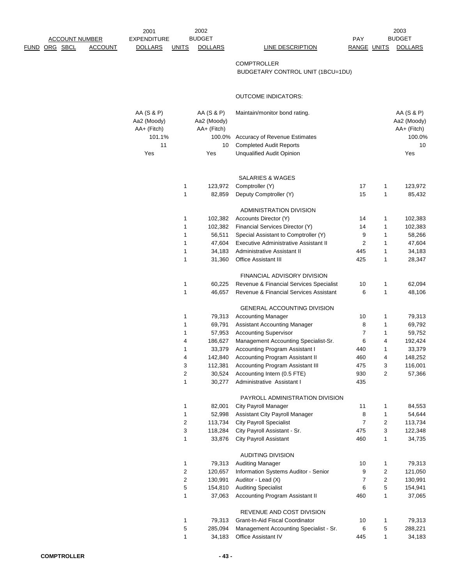|                       |                | 2001               |              | 2002           |                                         |                |                | 2003           |
|-----------------------|----------------|--------------------|--------------|----------------|-----------------------------------------|----------------|----------------|----------------|
| <b>ACCOUNT NUMBER</b> |                | <b>EXPENDITURE</b> |              | <b>BUDGET</b>  |                                         | PAY            |                | <b>BUDGET</b>  |
| <u>FUND ORG SBCL</u>  | <b>ACCOUNT</b> | <b>DOLLARS</b>     | <b>UNITS</b> | <b>DOLLARS</b> | <b>LINE DESCRIPTION</b>                 | RANGE UNITS    |                | <b>DOLLARS</b> |
|                       |                |                    |              |                | <b>COMPTROLLER</b>                      |                |                |                |
|                       |                |                    |              |                | BUDGETARY CONTROL UNIT (1BCU=1DU)       |                |                |                |
|                       |                |                    |              |                |                                         |                |                |                |
|                       |                |                    |              |                | <b>OUTCOME INDICATORS:</b>              |                |                |                |
|                       |                | AA (S & P)         |              | AA (S & P)     | Maintain/monitor bond rating.           |                |                | AA (S & P)     |
|                       |                | Aa2 (Moody)        |              | Aa2 (Moody)    |                                         |                |                | Aa2 (Moody)    |
|                       |                | AA+ (Fitch)        |              | AA+ (Fitch)    |                                         |                |                | AA+ (Fitch)    |
|                       |                | 101.1%             |              | 100.0%         | Accuracy of Revenue Estimates           |                |                | 100.0%         |
|                       |                | 11                 |              | 10             | <b>Completed Audit Reports</b>          |                |                | 10             |
|                       |                | Yes                |              | Yes            | <b>Unqualified Audit Opinion</b>        |                |                | Yes            |
|                       |                |                    |              |                |                                         |                |                |                |
|                       |                |                    |              |                | SALARIES & WAGES                        |                |                |                |
|                       |                |                    | 1            | 123,972        | Comptroller (Y)                         | 17             | 1              | 123,972        |
|                       |                |                    | 1            | 82,859         | Deputy Comptroller (Y)                  | 15             | $\mathbf{1}$   | 85,432         |
|                       |                |                    |              |                | ADMINISTRATION DIVISION                 |                |                |                |
|                       |                |                    | 1            | 102,382        | Accounts Director (Y)                   | 14             | 1              | 102,383        |
|                       |                |                    | 1            | 102,382        | Financial Services Director (Y)         | 14             | 1              | 102,383        |
|                       |                |                    | 1            | 56,511         | Special Assistant to Comptroller (Y)    | 9              | 1              | 58,266         |
|                       |                |                    | 1            | 47,604         | Executive Administrative Assistant II   | $\overline{2}$ | 1              | 47,604         |
|                       |                |                    | 1            | 34,183         | Administrative Assistant II             | 445            | 1              | 34,183         |
|                       |                |                    | 1            | 31,360         | <b>Office Assistant III</b>             | 425            | 1              | 28,347         |
|                       |                |                    |              |                | FINANCIAL ADVISORY DIVISION             |                |                |                |
|                       |                |                    | 1            | 60,225         | Revenue & Financial Services Specialist | 10             | 1              | 62,094         |
|                       |                |                    | 1            | 46,657         | Revenue & Financial Services Assistant  | 6              | 1              | 48,106         |
|                       |                |                    |              |                | GENERAL ACCOUNTING DIVISION             |                |                |                |
|                       |                |                    | 1            | 79,313         | <b>Accounting Manager</b>               | 10             | 1              | 79,313         |
|                       |                |                    | 1            | 69,791         | Assistant Accounting Manager            | 8              | 1              | 69,792         |
|                       |                |                    | 1            | 57,953         | <b>Accounting Supervisor</b>            | $\overline{7}$ | $\mathbf{1}$   | 59,752         |
|                       |                |                    | 4            | 186,627        | Management Accounting Specialist-Sr.    | 6              | 4              | 192,424        |
|                       |                |                    | 1            | 33,379         | Accounting Program Assistant I          | 440            | 1              | 33,379         |
|                       |                |                    | 4            | 142,840        | Accounting Program Assistant II         | 460            | 4              | 148,252        |
|                       |                |                    | 3            | 112,381        | Accounting Program Assistant III        | 475            | 3              | 116,001        |
|                       |                |                    | 2            | 30,524         | Accounting Intern (0.5 FTE)             | 930            | $\overline{2}$ | 57,366         |
|                       |                |                    | 1            | 30,277         | Administrative Assistant I              | 435            |                |                |
|                       |                |                    |              |                | PAYROLL ADMINISTRATION DIVISION         |                |                |                |
|                       |                |                    | 1            | 82,001         | City Payroll Manager                    | 11             | 1              | 84,553         |
|                       |                |                    | 1            | 52,998         | Assistant City Payroll Manager          | 8              | 1              | 54,644         |
|                       |                |                    | 2            | 113,734        | <b>City Payroll Specialist</b>          | $\overline{7}$ | 2              | 113,734        |
|                       |                |                    | 3            | 118,284        | City Payroll Assistant - Sr.            | 475            | 3              | 122,348        |
|                       |                |                    | 1            | 33,876         | <b>City Payroll Assistant</b>           | 460            | $\mathbf{1}$   | 34,735         |
|                       |                |                    |              |                | <b>AUDITING DIVISION</b>                |                |                |                |
|                       |                |                    | 1            | 79,313         | <b>Auditing Manager</b>                 | 10             | 1              | 79,313         |
|                       |                |                    | 2            | 120,657        | Information Systems Auditor - Senior    | 9              | 2              | 121,050        |
|                       |                |                    | $\mathbf 2$  | 130,991        | Auditor - Lead (X)                      | $\overline{7}$ | $\overline{c}$ | 130,991        |
|                       |                |                    | 5            | 154,810        | <b>Auditing Specialist</b>              | 6              | 5              | 154,941        |
|                       |                |                    | 1            | 37,063         | Accounting Program Assistant II         | 460            | 1              | 37,065         |
|                       |                |                    |              |                | REVENUE AND COST DIVISION               |                |                |                |
|                       |                |                    | 1            | 79,313         | Grant-In-Aid Fiscal Coordinator         | 10             | 1              | 79,313         |
|                       |                |                    | 5            | 285,094        | Management Accounting Specialist - Sr.  | 6              | 5              | 288,221        |
|                       |                |                    | $\mathbf{1}$ | 34,183         | Office Assistant IV                     | 445            | $\mathbf{1}$   | 34,183         |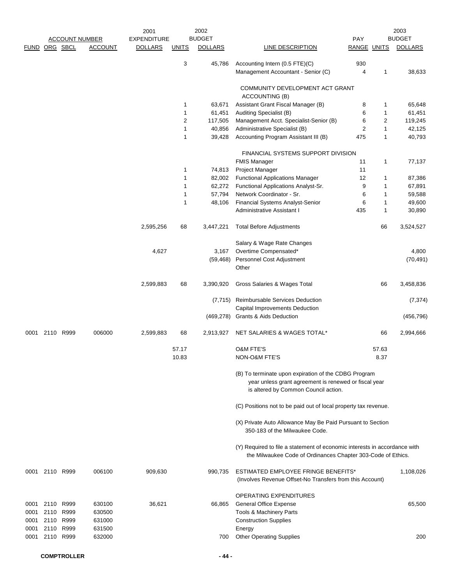|                              | <b>ACCOUNT NUMBER</b> |                                        |                                      | 2002<br>2001<br><b>BUDGET</b><br><b>EXPENDITURE</b> |              |                  | <b>PAY</b>                                                                                                                                            |                    |              | 2003<br><b>BUDGET</b> |  |
|------------------------------|-----------------------|----------------------------------------|--------------------------------------|-----------------------------------------------------|--------------|------------------|-------------------------------------------------------------------------------------------------------------------------------------------------------|--------------------|--------------|-----------------------|--|
|                              | FUND ORG SBCL         |                                        | <b>ACCOUNT</b>                       | <b>DOLLARS</b>                                      | <u>UNITS</u> | <b>DOLLARS</b>   | LINE DESCRIPTION                                                                                                                                      | <b>RANGE UNITS</b> |              | <b>DOLLARS</b>        |  |
|                              |                       |                                        |                                      |                                                     | 3            | 45.786           | Accounting Intern (0.5 FTE)(C)<br>Management Accountant - Senior (C)                                                                                  | 930<br>4           | 1            | 38,633                |  |
|                              |                       |                                        |                                      |                                                     |              |                  | COMMUNITY DEVELOPMENT ACT GRANT<br>ACCOUNTING (B)                                                                                                     |                    |              |                       |  |
|                              |                       |                                        |                                      |                                                     | 1            | 63,671           | Assistant Grant Fiscal Manager (B)                                                                                                                    | 8                  | 1            | 65,648                |  |
|                              |                       |                                        |                                      |                                                     | 1            | 61,451           | Auditing Specialist (B)                                                                                                                               | 6                  | 1            | 61,451                |  |
|                              |                       |                                        |                                      |                                                     | 2            | 117,505          | Management Acct. Specialist-Senior (B)                                                                                                                | 6                  | 2            | 119,245               |  |
|                              |                       |                                        |                                      |                                                     | 1            | 40,856           | Administrative Specialist (B)                                                                                                                         | $\overline{2}$     | $\mathbf{1}$ | 42,125                |  |
|                              |                       |                                        |                                      |                                                     | 1            | 39,428           | Accounting Program Assistant III (B)                                                                                                                  | 475                | 1            | 40,793                |  |
|                              |                       |                                        |                                      |                                                     |              |                  | FINANCIAL SYSTEMS SUPPORT DIVISION                                                                                                                    |                    |              |                       |  |
|                              |                       |                                        |                                      |                                                     |              |                  | <b>FMIS Manager</b>                                                                                                                                   | 11                 | 1            | 77,137                |  |
|                              |                       |                                        |                                      |                                                     | 1            | 74,813           | Project Manager                                                                                                                                       | 11                 |              |                       |  |
|                              |                       |                                        |                                      |                                                     | 1            | 82,002           | <b>Functional Applications Manager</b>                                                                                                                | 12                 | 1<br>1       | 87,386                |  |
|                              |                       |                                        |                                      |                                                     | 1<br>1       | 62,272<br>57,794 | Functional Applications Analyst-Sr.<br>Network Coordinator - Sr.                                                                                      | 9<br>6             | 1            | 67,891<br>59,588      |  |
|                              |                       |                                        |                                      |                                                     | 1            | 48,106           | Financial Systems Analyst-Senior                                                                                                                      | 6                  | 1            | 49,600                |  |
|                              |                       |                                        |                                      |                                                     |              |                  | Administrative Assistant I                                                                                                                            | 435                | 1            | 30,890                |  |
|                              |                       |                                        |                                      | 2,595,256                                           | 68           | 3,447,221        | <b>Total Before Adjustments</b>                                                                                                                       |                    | 66           | 3,524,527             |  |
|                              |                       |                                        |                                      |                                                     |              |                  | Salary & Wage Rate Changes                                                                                                                            |                    |              |                       |  |
|                              |                       |                                        |                                      | 4,627                                               |              | 3,167            | Overtime Compensated*                                                                                                                                 |                    |              | 4,800                 |  |
|                              |                       |                                        |                                      |                                                     |              | (59, 468)        | Personnel Cost Adjustment<br>Other                                                                                                                    |                    |              | (70, 491)             |  |
|                              |                       |                                        |                                      | 2,599,883                                           | 68           | 3,390,920        | Gross Salaries & Wages Total                                                                                                                          |                    | 66           | 3,458,836             |  |
|                              |                       |                                        |                                      |                                                     |              | (7, 715)         | Reimbursable Services Deduction                                                                                                                       |                    |              | (7, 374)              |  |
|                              |                       |                                        |                                      |                                                     |              | (469, 278)       | Capital Improvements Deduction<br>Grants & Aids Deduction                                                                                             |                    |              | (456, 796)            |  |
| 0001                         | 2110 R999             |                                        | 006000                               | 2,599,883                                           | 68           | 2,913,927        | NET SALARIES & WAGES TOTAL*                                                                                                                           |                    | 66           | 2,994,666             |  |
|                              |                       |                                        |                                      |                                                     | 57.17        |                  | <b>O&amp;M FTE'S</b>                                                                                                                                  |                    | 57.63        |                       |  |
|                              |                       |                                        |                                      |                                                     | 10.83        |                  | NON-O&M FTE'S                                                                                                                                         |                    | 8.37         |                       |  |
|                              |                       |                                        |                                      |                                                     |              |                  | (B) To terminate upon expiration of the CDBG Program<br>year unless grant agreement is renewed or fiscal year<br>is altered by Common Council action. |                    |              |                       |  |
|                              |                       |                                        |                                      |                                                     |              |                  | (C) Positions not to be paid out of local property tax revenue.                                                                                       |                    |              |                       |  |
|                              |                       |                                        |                                      |                                                     |              |                  | (X) Private Auto Allowance May Be Paid Pursuant to Section<br>350-183 of the Milwaukee Code.                                                          |                    |              |                       |  |
|                              |                       |                                        |                                      |                                                     |              |                  | (Y) Required to file a statement of economic interests in accordance with<br>the Milwaukee Code of Ordinances Chapter 303-Code of Ethics.             |                    |              |                       |  |
|                              | 0001 2110 R999        |                                        | 006100                               | 909,630                                             |              | 990,735          | ESTIMATED EMPLOYEE FRINGE BENEFITS*<br>(Involves Revenue Offset-No Transfers from this Account)                                                       |                    |              | 1,108,026             |  |
| 0001<br>0001<br>0001<br>0001 | 2110<br>2110          | 2110 R999<br>R999<br>R999<br>2110 R999 | 630100<br>630500<br>631000<br>631500 | 36,621                                              |              | 66,865           | OPERATING EXPENDITURES<br><b>General Office Expense</b><br>Tools & Machinery Parts<br><b>Construction Supplies</b><br>Energy                          |                    |              | 65,500                |  |
| 0001                         | 2110 R999             |                                        | 632000                               |                                                     |              | 700              | <b>Other Operating Supplies</b>                                                                                                                       |                    |              | 200                   |  |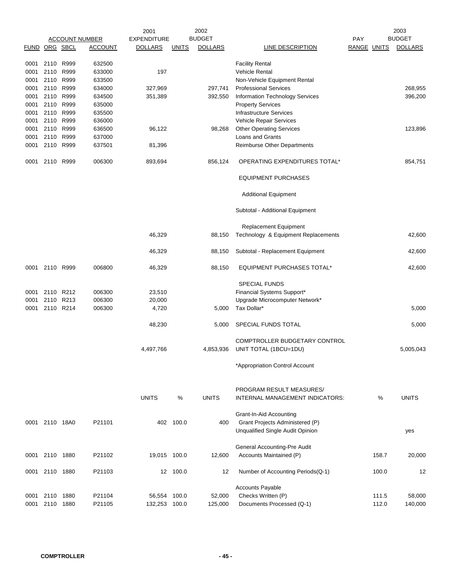|               |                |      |                       | 2001               |              | 2002           |                                                             |             |       | 2003           |
|---------------|----------------|------|-----------------------|--------------------|--------------|----------------|-------------------------------------------------------------|-------------|-------|----------------|
|               |                |      | <b>ACCOUNT NUMBER</b> | <b>EXPENDITURE</b> |              | <b>BUDGET</b>  |                                                             | PAY         |       | <b>BUDGET</b>  |
| FUND ORG SBCL |                |      | <b>ACCOUNT</b>        | <b>DOLLARS</b>     | <b>UNITS</b> | <b>DOLLARS</b> | LINE DESCRIPTION                                            | RANGE UNITS |       | <b>DOLLARS</b> |
|               |                |      |                       |                    |              |                |                                                             |             |       |                |
| 0001          | 2110           | R999 | 632500                |                    |              |                | <b>Facility Rental</b>                                      |             |       |                |
| 0001          | 2110           | R999 | 633000                | 197                |              |                | <b>Vehicle Rental</b>                                       |             |       |                |
| 0001          | 2110           | R999 | 633500                |                    |              |                | Non-Vehicle Equipment Rental                                |             |       |                |
| 0001          | 2110           | R999 | 634000                | 327,969            |              | 297,741        | <b>Professional Services</b>                                |             |       | 268,955        |
| 0001          | 2110           | R999 | 634500                | 351,389            |              | 392,550        | Information Technology Services                             |             |       | 396,200        |
| 0001          | 2110           | R999 | 635000                |                    |              |                | <b>Property Services</b>                                    |             |       |                |
| 0001          | 2110 R999      |      | 635500                |                    |              |                | <b>Infrastructure Services</b>                              |             |       |                |
| 0001          | 2110           | R999 | 636000                |                    |              |                | Vehicle Repair Services                                     |             |       |                |
| 0001          | 2110           | R999 | 636500                | 96,122             |              | 98,268         | <b>Other Operating Services</b>                             |             |       | 123,896        |
| 0001          | 2110           | R999 | 637000                |                    |              |                | Loans and Grants                                            |             |       |                |
| 0001          | 2110           | R999 | 637501                | 81,396             |              |                | Reimburse Other Departments                                 |             |       |                |
| 0001          | 2110           | R999 | 006300                | 893,694            |              | 856,124        | OPERATING EXPENDITURES TOTAL*                               |             |       | 854,751        |
|               |                |      |                       |                    |              |                | <b>EQUIPMENT PURCHASES</b>                                  |             |       |                |
|               |                |      |                       |                    |              |                | <b>Additional Equipment</b>                                 |             |       |                |
|               |                |      |                       |                    |              |                | Subtotal - Additional Equipment                             |             |       |                |
|               |                |      |                       |                    |              |                | <b>Replacement Equipment</b>                                |             |       |                |
|               |                |      |                       | 46,329             |              | 88,150         | Technology & Equipment Replacements                         |             |       | 42,600         |
|               |                |      |                       | 46,329             |              | 88,150         | Subtotal - Replacement Equipment                            |             |       | 42,600         |
| 0001          | 2110 R999      |      | 006800                | 46,329             |              | 88,150         | <b>EQUIPMENT PURCHASES TOTAL*</b>                           |             |       | 42,600         |
|               |                |      |                       |                    |              |                | <b>SPECIAL FUNDS</b>                                        |             |       |                |
|               |                |      |                       |                    |              |                |                                                             |             |       |                |
| 0001          | 2110           | R212 | 006300                | 23,510             |              |                | Financial Systems Support*                                  |             |       |                |
| 0001          | 2110           | R213 | 006300                | 20,000             |              |                | Upgrade Microcomputer Network*                              |             |       |                |
| 0001          | 2110 R214      |      | 006300                | 4,720              |              | 5,000          | Tax Dollar*                                                 |             |       | 5,000          |
|               |                |      |                       | 48,230             |              | 5.000          | SPECIAL FUNDS TOTAL                                         |             |       | 5,000          |
|               |                |      |                       |                    |              |                | COMPTROLLER BUDGETARY CONTROL                               |             |       |                |
|               |                |      |                       | 4,497,766          |              | 4,853,936      | UNIT TOTAL (1BCU=1DU)                                       |             |       | 5,005,043      |
|               |                |      |                       |                    |              |                |                                                             |             |       |                |
|               |                |      |                       |                    |              |                | *Appropriation Control Account                              |             |       |                |
|               |                |      |                       |                    |              |                |                                                             |             |       |                |
|               |                |      |                       | <b>UNITS</b>       | ℅            | <b>UNITS</b>   | PROGRAM RESULT MEASURES/<br>INTERNAL MANAGEMENT INDICATORS: |             | $\%$  | <b>UNITS</b>   |
|               |                |      |                       |                    |              |                | Grant-In-Aid Accounting                                     |             |       |                |
|               | 0001 2110 18A0 |      | P21101                |                    | 402 100.0    | 400            | Grant Projects Administered (P)                             |             |       |                |
|               |                |      |                       |                    |              |                | Unqualified Single Audit Opinion                            |             |       | yes            |
|               |                |      |                       |                    |              |                |                                                             |             |       |                |
|               |                |      |                       |                    |              |                | General Accounting-Pre Audit                                |             |       |                |
| 0001          | 2110           | 1880 | P21102                | 19,015 100.0       |              | 12,600         | Accounts Maintained (P)                                     |             | 158.7 | 20,000         |
| 0001          | 2110 1880      |      | P21103                |                    | 12 100.0     | 12             | Number of Accounting Periods(Q-1)                           |             | 100.0 | 12             |
|               |                |      |                       |                    |              |                | <b>Accounts Payable</b>                                     |             |       |                |
|               | 2110           | 1880 | P21104                | 56,554             | 100.0        | 52,000         | Checks Written (P)                                          |             | 111.5 | 58,000         |
| 0001<br>0001  | 2110           | 1880 | P21105                | 132,253            | 100.0        | 125,000        | Documents Processed (Q-1)                                   |             | 112.0 | 140,000        |
|               |                |      |                       |                    |              |                |                                                             |             |       |                |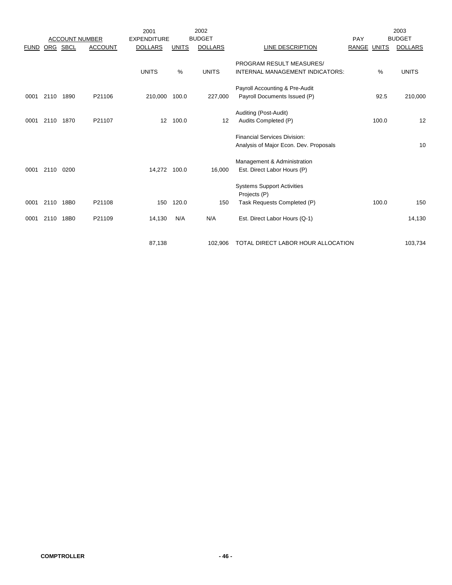|             |      | <b>ACCOUNT NUMBER</b> |                | 2001<br><b>EXPENDITURE</b> |              | 2002<br><b>BUDGET</b> |                                                   | PAY         |       | 2003<br><b>BUDGET</b> |
|-------------|------|-----------------------|----------------|----------------------------|--------------|-----------------------|---------------------------------------------------|-------------|-------|-----------------------|
| <b>FUND</b> |      | ORG SBCL              | <b>ACCOUNT</b> | <b>DOLLARS</b>             | <b>UNITS</b> | <b>DOLLARS</b>        | LINE DESCRIPTION                                  | RANGE UNITS |       | <b>DOLLARS</b>        |
|             |      |                       |                |                            |              |                       | PROGRAM RESULT MEASURES/                          |             |       |                       |
|             |      |                       |                | <b>UNITS</b>               | %            | <b>UNITS</b>          | INTERNAL MANAGEMENT INDICATORS:                   |             | %     | <b>UNITS</b>          |
|             |      |                       |                |                            |              |                       | Payroll Accounting & Pre-Audit                    |             |       |                       |
| 0001        | 2110 | 1890                  | P21106         | 210,000                    | 100.0        | 227,000               | Payroll Documents Issued (P)                      |             | 92.5  | 210,000               |
|             |      |                       |                |                            |              |                       | Auditing (Post-Audit)                             |             |       |                       |
| 0001        | 2110 | 1870                  | P21107         | 12                         | 100.0        | 12                    | Audits Completed (P)                              |             | 100.0 | 12                    |
|             |      |                       |                |                            |              |                       | Financial Services Division:                      |             |       |                       |
|             |      |                       |                |                            |              |                       | Analysis of Major Econ. Dev. Proposals            |             |       | 10                    |
|             |      |                       |                |                            |              |                       | Management & Administration                       |             |       |                       |
| 0001        | 2110 | 0200                  |                | 14,272 100.0               |              | 16,000                | Est. Direct Labor Hours (P)                       |             |       |                       |
|             |      |                       |                |                            |              |                       | <b>Systems Support Activities</b><br>Projects (P) |             |       |                       |
| 0001        | 2110 | 18B0                  | P21108         | 150                        | 120.0        | 150                   | Task Requests Completed (P)                       |             | 100.0 | 150                   |
| 0001        | 2110 | 18B0                  | P21109         | 14,130                     | N/A          | N/A                   | Est. Direct Labor Hours (Q-1)                     |             |       | 14,130                |
|             |      |                       |                | 87,138                     |              | 102,906               | TOTAL DIRECT LABOR HOUR ALLOCATION                |             |       | 103,734               |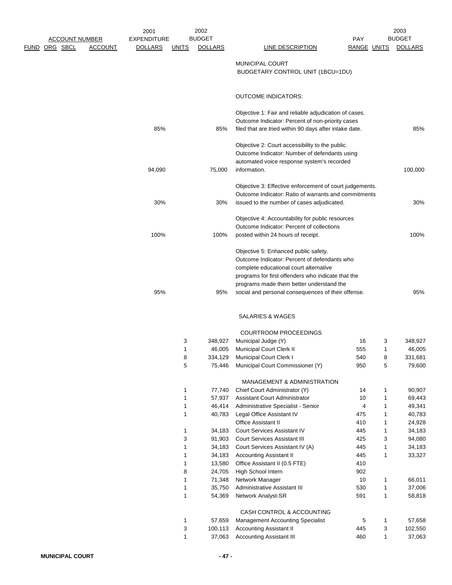|      |                       |                | 2001               |                   | 2002              |                                                                                                |                    |              | 2003              |
|------|-----------------------|----------------|--------------------|-------------------|-------------------|------------------------------------------------------------------------------------------------|--------------------|--------------|-------------------|
|      | <b>ACCOUNT NUMBER</b> |                | <b>EXPENDITURE</b> |                   | <b>BUDGET</b>     |                                                                                                | PAY                |              | <b>BUDGET</b>     |
| FUND | ORG SBCL              | <b>ACCOUNT</b> | <b>DOLLARS</b>     | <u>UNITS</u>      | <b>DOLLARS</b>    | <b>LINE DESCRIPTION</b>                                                                        | <b>RANGE UNITS</b> |              | <b>DOLLARS</b>    |
|      |                       |                |                    |                   |                   | <b>MUNICIPAL COURT</b>                                                                         |                    |              |                   |
|      |                       |                |                    |                   |                   | BUDGETARY CONTROL UNIT (1BCU=1DU)                                                              |                    |              |                   |
|      |                       |                |                    |                   |                   |                                                                                                |                    |              |                   |
|      |                       |                |                    |                   |                   |                                                                                                |                    |              |                   |
|      |                       |                |                    |                   |                   | <b>OUTCOME INDICATORS:</b>                                                                     |                    |              |                   |
|      |                       |                |                    |                   |                   | Objective 1: Fair and reliable adjudication of cases.                                          |                    |              |                   |
|      |                       |                |                    |                   |                   | Outcome Indicator: Percent of non-priority cases                                               |                    |              |                   |
|      |                       |                | 85%                |                   | 85%               | filed that are tried within 90 days after intake date.                                         |                    |              | 85%               |
|      |                       |                |                    |                   |                   | Objective 2: Court accessibility to the public.                                                |                    |              |                   |
|      |                       |                |                    |                   |                   | Outcome Indicator: Number of defendants using                                                  |                    |              |                   |
|      |                       |                |                    |                   |                   | automated voice response system's recorded                                                     |                    |              |                   |
|      |                       |                | 94,090             |                   | 75,000            | information.                                                                                   |                    |              | 100,000           |
|      |                       |                |                    |                   |                   |                                                                                                |                    |              |                   |
|      |                       |                |                    |                   |                   | Objective 3: Effective enforcement of court judgements.                                        |                    |              |                   |
|      |                       |                |                    |                   |                   | Outcome Indicator: Ratio of warrants and commitments                                           |                    |              |                   |
|      |                       |                | 30%                |                   | 30%               | issued to the number of cases adjudicated.                                                     |                    |              | 30%               |
|      |                       |                |                    |                   |                   | Objective 4: Accountability for public resources                                               |                    |              |                   |
|      |                       |                |                    |                   |                   | Outcome Indicator: Percent of collections                                                      |                    |              |                   |
|      |                       |                | 100%               |                   | 100%              | posted within 24 hours of receipt.                                                             |                    |              | 100%              |
|      |                       |                |                    |                   |                   |                                                                                                |                    |              |                   |
|      |                       |                |                    |                   |                   | Objective 5: Enhanced public safety.                                                           |                    |              |                   |
|      |                       |                |                    |                   |                   | Outcome Indicator: Percent of defendants who                                                   |                    |              |                   |
|      |                       |                |                    |                   |                   | complete educational court alternative                                                         |                    |              |                   |
|      |                       |                |                    |                   |                   | programs for first offenders who indicate that the                                             |                    |              |                   |
|      |                       |                | 95%                |                   | 95%               | programs made them better understand the<br>social and personal consequences of their offense. |                    |              | 95%               |
|      |                       |                |                    |                   |                   |                                                                                                |                    |              |                   |
|      |                       |                |                    |                   |                   | <b>SALARIES &amp; WAGES</b>                                                                    |                    |              |                   |
|      |                       |                |                    |                   |                   |                                                                                                |                    |              |                   |
|      |                       |                |                    |                   |                   | <b>COURTROOM PROCEEDINGS</b>                                                                   |                    |              |                   |
|      |                       |                |                    | 3<br>1            | 348,927<br>46,005 | Municipal Judge (Y)<br>Municipal Court Clerk II                                                | 16<br>555          | 3<br>1       | 348,927<br>46,005 |
|      |                       |                |                    | 8                 | 334,129           | Municipal Court Clerk I                                                                        | 540                | 8            | 331,681           |
|      |                       |                |                    | 5                 | 75,446            | Municipal Court Commissioner (Y)                                                               | 950                | 5            | 79,600            |
|      |                       |                |                    |                   |                   |                                                                                                |                    |              |                   |
|      |                       |                |                    |                   |                   | MANAGEMENT & ADMINISTRATION                                                                    |                    |              |                   |
|      |                       |                |                    | 1                 | 77,740            | Chief Court Administrator (Y)                                                                  | 14                 | 1            | 90,907            |
|      |                       |                |                    | $\mathbf{1}$      | 57,937            | Assistant Court Administrator                                                                  | 10                 | 1            | 69,443            |
|      |                       |                |                    | $\mathbf{1}$<br>1 | 46,414<br>40,783  | Administrative Specialist - Senior<br>Legal Office Assistant IV                                | 4<br>475           | 1<br>1       | 49,341<br>40,783  |
|      |                       |                |                    |                   |                   | Office Assistant II                                                                            | 410                | $\mathbf{1}$ | 24,928            |
|      |                       |                |                    | 1                 | 34,183            | Court Services Assistant IV                                                                    | 445                | 1            | 34,183            |
|      |                       |                |                    | 3                 | 91,903            | <b>Court Services Assistant III</b>                                                            | 425                | 3            | 94,080            |
|      |                       |                |                    | 1                 | 34,183            | Court Services Assistant IV (A)                                                                | 445                | 1            | 34,183            |
|      |                       |                |                    | 1                 | 34,183            | <b>Accounting Assistant II</b>                                                                 | 445                | $\mathbf{1}$ | 33,327            |
|      |                       |                |                    | 1                 | 13,580            | Office Assistant II (0.5 FTE)                                                                  | 410                |              |                   |
|      |                       |                |                    | 8                 | 24,705            | High School Intern                                                                             | 902                |              |                   |
|      |                       |                |                    | 1                 | 71,348            | Network Manager                                                                                | 10                 | 1            | 66,011            |
|      |                       |                |                    | 1                 | 35,750            | Administrative Assistant III                                                                   | 530                | 1            | 37,006            |
|      |                       |                |                    | 1                 | 54,369            | Network Analyst-SR                                                                             | 591                | 1            | 58,818            |
|      |                       |                |                    |                   |                   | CASH CONTROL & ACCOUNTING                                                                      |                    |              |                   |
|      |                       |                |                    | 1                 | 57,659            | <b>Management Accounting Specialist</b>                                                        | 5                  | 1            | 57,658            |
|      |                       |                |                    | 3                 | 100,113           | <b>Accounting Assistant II</b>                                                                 | 445                | 3            | 102,550           |
|      |                       |                |                    | 1                 | 37,063            | <b>Accounting Assistant III</b>                                                                | 460                | 1            | 37,063            |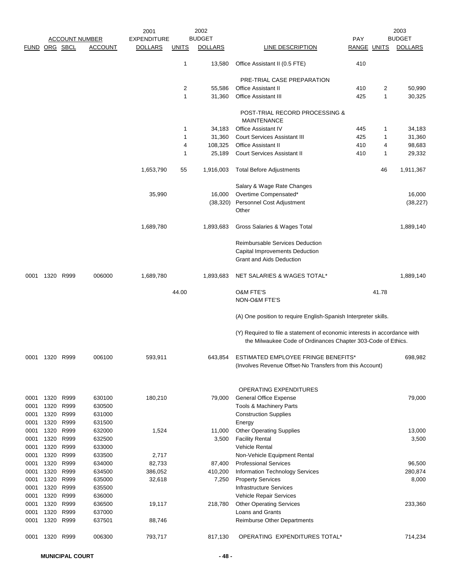|               |              |              |                       | 2001               |              | 2002           |                                                                                                                                           |                    |       | 2003           |
|---------------|--------------|--------------|-----------------------|--------------------|--------------|----------------|-------------------------------------------------------------------------------------------------------------------------------------------|--------------------|-------|----------------|
|               |              |              | <b>ACCOUNT NUMBER</b> | <b>EXPENDITURE</b> |              | <b>BUDGET</b>  |                                                                                                                                           | <b>PAY</b>         |       | <b>BUDGET</b>  |
| FUND ORG SBCL |              |              | <b>ACCOUNT</b>        | <b>DOLLARS</b>     | <u>UNITS</u> | <b>DOLLARS</b> | LINE DESCRIPTION                                                                                                                          | <b>RANGE UNITS</b> |       | <b>DOLLARS</b> |
|               |              |              |                       |                    | 1            | 13,580         | Office Assistant II (0.5 FTE)                                                                                                             | 410                |       |                |
|               |              |              |                       |                    |              |                | PRE-TRIAL CASE PREPARATION                                                                                                                |                    |       |                |
|               |              |              |                       |                    | 2            | 55,586         | <b>Office Assistant II</b>                                                                                                                | 410                | 2     | 50,990         |
|               |              |              |                       |                    | 1            | 31,360         | <b>Office Assistant III</b>                                                                                                               | 425                | 1     | 30,325         |
|               |              |              |                       |                    |              |                | POST-TRIAL RECORD PROCESSING &<br><b>MAINTENANCE</b>                                                                                      |                    |       |                |
|               |              |              |                       |                    | 1            | 34,183         | <b>Office Assistant IV</b>                                                                                                                | 445                | 1     | 34,183         |
|               |              |              |                       |                    | 1            | 31,360         | <b>Court Services Assistant III</b>                                                                                                       | 425                | 1     | 31,360         |
|               |              |              |                       |                    | 4            | 108,325        | <b>Office Assistant II</b>                                                                                                                | 410                | 4     | 98,683         |
|               |              |              |                       |                    | 1            | 25,189         | Court Services Assistant II                                                                                                               | 410                | 1     | 29,332         |
|               |              |              |                       | 1,653,790          | 55           | 1,916,003      | <b>Total Before Adjustments</b>                                                                                                           |                    | 46    | 1,911,367      |
|               |              |              |                       |                    |              |                | Salary & Wage Rate Changes                                                                                                                |                    |       |                |
|               |              |              |                       | 35,990             |              | 16,000         | Overtime Compensated*                                                                                                                     |                    |       | 16,000         |
|               |              |              |                       |                    |              |                | (38,320) Personnel Cost Adjustment                                                                                                        |                    |       | (38, 227)      |
|               |              |              |                       |                    |              |                | Other                                                                                                                                     |                    |       |                |
|               |              |              |                       | 1,689,780          |              | 1,893,683      | Gross Salaries & Wages Total                                                                                                              |                    |       | 1,889,140      |
|               |              |              |                       |                    |              |                | Reimbursable Services Deduction<br>Capital Improvements Deduction<br><b>Grant and Aids Deduction</b>                                      |                    |       |                |
| 0001          | 1320 R999    |              | 006000                | 1,689,780          |              | 1,893,683      | NET SALARIES & WAGES TOTAL*                                                                                                               |                    |       | 1,889,140      |
|               |              |              |                       |                    | 44.00        |                | <b>O&amp;M FTE'S</b><br>NON-O&M FTE'S                                                                                                     |                    | 41.78 |                |
|               |              |              |                       |                    |              |                | (A) One position to require English-Spanish Interpreter skills.                                                                           |                    |       |                |
|               |              |              |                       |                    |              |                | (Y) Required to file a statement of economic interests in accordance with<br>the Milwaukee Code of Ordinances Chapter 303-Code of Ethics. |                    |       |                |
|               | 0001 1320    | R999         | 006100                | 593,911            |              | 643,854        | ESTIMATED EMPLOYEE FRINGE BENEFITS*<br>(Involves Revenue Offset-No Transfers from this Account)                                           |                    |       | 698,982        |
|               |              |              |                       |                    |              |                |                                                                                                                                           |                    |       |                |
| 0001          | 1320         | R999         | 630100                | 180,210            |              | 79,000         | OPERATING EXPENDITURES<br><b>General Office Expense</b>                                                                                   |                    |       | 79,000         |
| 0001          | 1320         | R999         | 630500                |                    |              |                | Tools & Machinery Parts                                                                                                                   |                    |       |                |
| 0001          | 1320         | R999         | 631000                |                    |              |                | <b>Construction Supplies</b>                                                                                                              |                    |       |                |
| 0001          | 1320         | R999         | 631500                |                    |              |                | Energy                                                                                                                                    |                    |       |                |
| 0001          | 1320 R999    |              | 632000                | 1,524              |              | 11,000         | <b>Other Operating Supplies</b>                                                                                                           |                    |       | 13,000         |
| 0001          | 1320         | R999         | 632500                |                    |              | 3,500          | <b>Facility Rental</b>                                                                                                                    |                    |       | 3,500          |
| 0001          | 1320         | R999         | 633000                |                    |              |                | <b>Vehicle Rental</b>                                                                                                                     |                    |       |                |
| 0001          | 1320         | R999         | 633500                | 2,717              |              |                | Non-Vehicle Equipment Rental                                                                                                              |                    |       |                |
| 0001          | 1320         | R999         | 634000                | 82,733             |              | 87,400         | <b>Professional Services</b>                                                                                                              |                    |       | 96,500         |
| 0001          | 1320         | R999         | 634500                | 386,052            |              | 410,200        | Information Technology Services                                                                                                           |                    |       | 280,874        |
| 0001          | 1320         | R999         | 635000                | 32,618             |              | 7,250          | <b>Property Services</b>                                                                                                                  |                    |       | 8,000          |
| 0001          |              | 1320 R999    | 635500                |                    |              |                | <b>Infrastructure Services</b>                                                                                                            |                    |       |                |
| 0001          | 1320         | R999         | 636000                |                    |              |                | Vehicle Repair Services                                                                                                                   |                    |       |                |
| 0001          | 1320<br>1320 | R999<br>R999 | 636500<br>637000      | 19,117             |              | 218,780        | <b>Other Operating Services</b><br>Loans and Grants                                                                                       |                    |       | 233,360        |
| 0001<br>0001  | 1320         | R999         | 637501                | 88,746             |              |                | Reimburse Other Departments                                                                                                               |                    |       |                |
| 0001          | 1320 R999    |              | 006300                | 793,717            |              | 817,130        | OPERATING EXPENDITURES TOTAL*                                                                                                             |                    |       | 714,234        |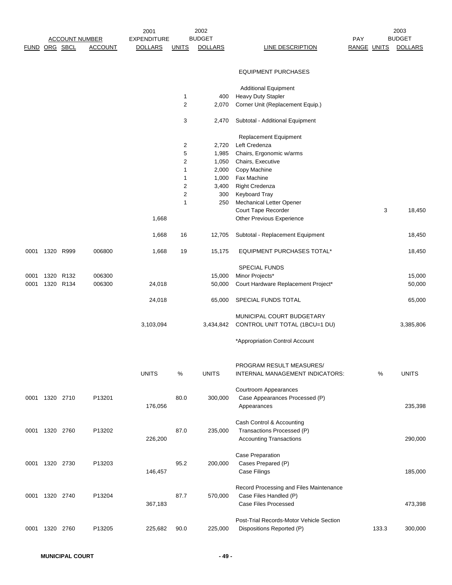|                |           |                  |                       | 2001               |                | 2002           |                                          |                    |       | 2003           |
|----------------|-----------|------------------|-----------------------|--------------------|----------------|----------------|------------------------------------------|--------------------|-------|----------------|
|                |           |                  | <b>ACCOUNT NUMBER</b> | <b>EXPENDITURE</b> |                | <b>BUDGET</b>  |                                          | <b>PAY</b>         |       | <b>BUDGET</b>  |
| FUND ORG SBCL  |           |                  | <b>ACCOUNT</b>        | <b>DOLLARS</b>     | <b>UNITS</b>   | <b>DOLLARS</b> | <b>LINE DESCRIPTION</b>                  | <b>RANGE UNITS</b> |       | <b>DOLLARS</b> |
|                |           |                  |                       |                    |                |                | <b>EQUIPMENT PURCHASES</b>               |                    |       |                |
|                |           |                  |                       |                    |                |                | <b>Additional Equipment</b>              |                    |       |                |
|                |           |                  |                       |                    | $\mathbf{1}$   | 400            | <b>Heavy Duty Stapler</b>                |                    |       |                |
|                |           |                  |                       |                    | $\overline{2}$ | 2,070          | Corner Unit (Replacement Equip.)         |                    |       |                |
|                |           |                  |                       |                    | 3              | 2,470          | Subtotal - Additional Equipment          |                    |       |                |
|                |           |                  |                       |                    |                |                | <b>Replacement Equipment</b>             |                    |       |                |
|                |           |                  |                       |                    | $\overline{2}$ | 2,720          | Left Credenza                            |                    |       |                |
|                |           |                  |                       |                    | 5              | 1,985          | Chairs, Ergonomic w/arms                 |                    |       |                |
|                |           |                  |                       |                    | $\overline{c}$ | 1,050          | Chairs, Executive                        |                    |       |                |
|                |           |                  |                       |                    | 1              | 2,000          | Copy Machine                             |                    |       |                |
|                |           |                  |                       |                    | 1              | 1,000          | Fax Machine                              |                    |       |                |
|                |           |                  |                       |                    | $\overline{2}$ | 3,400          | Right Credenza                           |                    |       |                |
|                |           |                  |                       |                    | $\overline{2}$ | 300            | Keyboard Tray                            |                    |       |                |
|                |           |                  |                       |                    | 1              | 250            | <b>Mechanical Letter Opener</b>          |                    |       |                |
|                |           |                  |                       |                    |                |                | Court Tape Recorder                      |                    | 3     | 18,450         |
|                |           |                  |                       | 1,668              |                |                | Other Previous Experience                |                    |       |                |
|                |           |                  |                       | 1,668              | 16             | 12,705         | Subtotal - Replacement Equipment         |                    |       | 18,450         |
| 0001           | 1320      | R999             | 006800                | 1,668              | 19             | 15,175         | <b>EQUIPMENT PURCHASES TOTAL*</b>        |                    |       | 18,450         |
|                |           |                  |                       |                    |                |                | <b>SPECIAL FUNDS</b>                     |                    |       |                |
| 0001           | 1320      | R <sub>132</sub> | 006300                |                    |                | 15,000         | Minor Projects*                          |                    |       | 15,000         |
| 0001           | 1320      | R <sub>134</sub> | 006300                | 24,018             |                | 50,000         | Court Hardware Replacement Project*      |                    |       | 50,000         |
|                |           |                  |                       | 24,018             |                | 65,000         | SPECIAL FUNDS TOTAL                      |                    |       | 65,000         |
|                |           |                  |                       |                    |                |                | MUNICIPAL COURT BUDGETARY                |                    |       |                |
|                |           |                  |                       | 3,103,094          |                | 3,434,842      | CONTROL UNIT TOTAL (1BCU=1 DU)           |                    |       | 3,385,806      |
|                |           |                  |                       |                    |                |                |                                          |                    |       |                |
|                |           |                  |                       |                    |                |                | *Appropriation Control Account           |                    |       |                |
|                |           |                  |                       |                    |                |                | PROGRAM RESULT MEASURES/                 |                    |       |                |
|                |           |                  |                       | <b>UNITS</b>       | %              | <b>UNITS</b>   | INTERNAL MANAGEMENT INDICATORS:          |                    | %     | <b>UNITS</b>   |
|                |           |                  |                       |                    |                |                | Courtroom Appearances                    |                    |       |                |
| 0001           | 1320 2710 |                  | P13201                |                    | 80.0           | 300,000        | Case Appearances Processed (P)           |                    |       |                |
|                |           |                  |                       | 176,056            |                |                | Appearances                              |                    |       | 235,398        |
|                |           |                  |                       |                    |                |                |                                          |                    |       |                |
|                |           |                  |                       |                    |                |                | Cash Control & Accounting                |                    |       |                |
| 0001           | 1320 2760 |                  | P13202                |                    | 87.0           | 235,000        | Transactions Processed (P)               |                    |       |                |
|                |           |                  |                       | 226,200            |                |                | <b>Accounting Transactions</b>           |                    |       | 290,000        |
|                |           |                  |                       |                    |                |                | Case Preparation                         |                    |       |                |
| 0001 1320 2730 |           |                  | P13203                |                    | 95.2           | 200,000        | Cases Prepared (P)                       |                    |       |                |
|                |           |                  |                       | 146,457            |                |                | Case Filings                             |                    |       | 185,000        |
|                |           |                  |                       |                    |                |                |                                          |                    |       |                |
|                |           |                  |                       |                    |                |                | Record Processing and Files Maintenance  |                    |       |                |
| 0001           | 1320 2740 |                  | P13204                |                    | 87.7           | 570,000        | Case Files Handled (P)                   |                    |       |                |
|                |           |                  |                       | 367,183            |                |                | Case Files Processed                     |                    |       | 473,398        |
|                |           |                  |                       |                    |                |                |                                          |                    |       |                |
|                |           |                  |                       |                    |                |                | Post-Trial Records-Motor Vehicle Section |                    |       |                |
| 0001           | 1320      | 2760             | P13205                | 225,682            | 90.0           | 225,000        | Dispositions Reported (P)                |                    | 133.3 | 300,000        |
|                |           |                  |                       |                    |                |                |                                          |                    |       |                |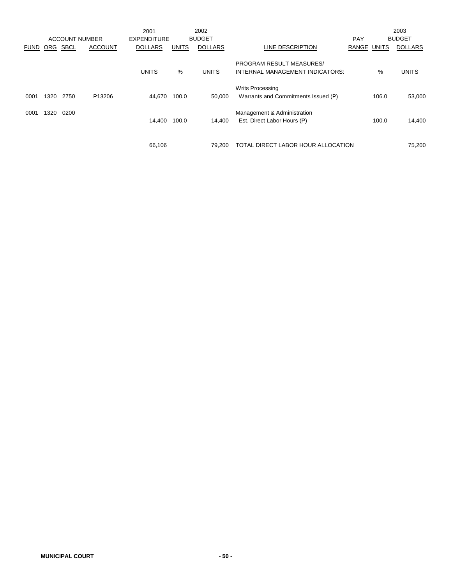|             |            | <b>ACCOUNT NUMBER</b> |                | 2001<br><b>EXPENDITURE</b> |              | 2002<br><b>BUDGET</b> |                                                                    | <b>PAY</b>         |       | 2003<br><b>BUDGET</b> |
|-------------|------------|-----------------------|----------------|----------------------------|--------------|-----------------------|--------------------------------------------------------------------|--------------------|-------|-----------------------|
| <b>FUND</b> | <b>ORG</b> | <b>SBCL</b>           | <b>ACCOUNT</b> | <b>DOLLARS</b>             | <b>UNITS</b> | <b>DOLLARS</b>        | LINE DESCRIPTION                                                   | <b>RANGE UNITS</b> |       | <b>DOLLARS</b>        |
|             |            |                       |                | <b>UNITS</b>               | %            | <b>UNITS</b>          | <b>PROGRAM RESULT MEASURES/</b><br>INTERNAL MANAGEMENT INDICATORS: |                    | %     | <b>UNITS</b>          |
| 0001        | 1320       | 2750                  | P13206         | 44.670                     | 100.0        | 50.000                | <b>Writs Processing</b><br>Warrants and Commitments Issued (P)     |                    | 106.0 | 53,000                |
| 0001        | 1320       | 0200                  |                | 14.400                     | 100.0        | 14.400                | Management & Administration<br>Est. Direct Labor Hours (P)         |                    | 100.0 | 14,400                |
|             |            |                       |                | 66,106                     |              | 79.200                | TOTAL DIRECT LABOR HOUR ALLOCATION                                 |                    |       | 75.200                |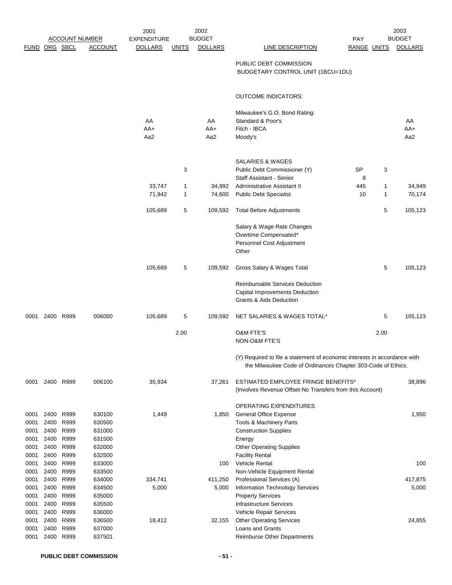|              |                |                       |                  | 2001               |              | 2002           |                                                                           |             |      | 2003           |
|--------------|----------------|-----------------------|------------------|--------------------|--------------|----------------|---------------------------------------------------------------------------|-------------|------|----------------|
|              |                | <b>ACCOUNT NUMBER</b> |                  | <b>EXPENDITURE</b> |              | <b>BUDGET</b>  |                                                                           | <b>PAY</b>  |      | <b>BUDGET</b>  |
|              | FUND ORG SBCL  |                       | <b>ACCOUNT</b>   | <b>DOLLARS</b>     | <b>UNITS</b> | <b>DOLLARS</b> | <b>LINE DESCRIPTION</b>                                                   | RANGE UNITS |      | <b>DOLLARS</b> |
|              |                |                       |                  |                    |              |                | PUBLIC DEBT COMMISSION                                                    |             |      |                |
|              |                |                       |                  |                    |              |                | BUDGETARY CONTROL UNIT (1BCU=1DU)                                         |             |      |                |
|              |                |                       |                  |                    |              |                |                                                                           |             |      |                |
|              |                |                       |                  |                    |              |                |                                                                           |             |      |                |
|              |                |                       |                  |                    |              |                | <b>OUTCOME INDICATORS:</b>                                                |             |      |                |
|              |                |                       |                  |                    |              |                |                                                                           |             |      |                |
|              |                |                       |                  | AA                 |              | AA             | Milwaukee's G.O. Bond Rating:<br>Standard & Poor's                        |             |      | AA             |
|              |                |                       |                  | AA+                |              | AA+            | Fitch - IBCA                                                              |             |      | AA+            |
|              |                |                       |                  | Aa2                |              | Aa2            | Moody's                                                                   |             |      | Aa2            |
|              |                |                       |                  |                    |              |                |                                                                           |             |      |                |
|              |                |                       |                  |                    |              |                |                                                                           |             |      |                |
|              |                |                       |                  |                    |              |                | SALARIES & WAGES                                                          |             |      |                |
|              |                |                       |                  |                    | 3            |                | Public Debt Commissioner (Y)                                              | <b>SP</b>   | 3    |                |
|              |                |                       |                  |                    |              |                | Staff Assistant - Senior                                                  | 8           |      |                |
|              |                |                       |                  | 33,747             | 1            | 34,992         | Administrative Assistant II                                               | 445         | 1    | 34,949         |
|              |                |                       |                  | 71,942             | $\mathbf{1}$ | 74,600         | <b>Public Debt Specialist</b>                                             | 10          | 1    | 70,174         |
|              |                |                       |                  | 105,689            | 5            | 109,592        | <b>Total Before Adjustments</b>                                           |             | 5    | 105,123        |
|              |                |                       |                  |                    |              |                |                                                                           |             |      |                |
|              |                |                       |                  |                    |              |                | Salary & Wage Rate Changes                                                |             |      |                |
|              |                |                       |                  |                    |              |                | Overtime Compensated*                                                     |             |      |                |
|              |                |                       |                  |                    |              |                | Personnel Cost Adjustment                                                 |             |      |                |
|              |                |                       |                  |                    |              |                | Other                                                                     |             |      |                |
|              |                |                       |                  | 105,689            | 5            | 109,592        | Gross Salary & Wages Total                                                |             | 5    | 105,123        |
|              |                |                       |                  |                    |              |                |                                                                           |             |      |                |
|              |                |                       |                  |                    |              |                | Reimbursable Services Deduction                                           |             |      |                |
|              |                |                       |                  |                    |              |                | <b>Capital Improvements Deduction</b>                                     |             |      |                |
|              |                |                       |                  |                    |              |                | <b>Grants &amp; Aids Deduction</b>                                        |             |      |                |
|              | 0001 2400 R999 |                       | 006000           | 105,689            | 5            | 109,592        | NET SALARIES & WAGES TOTAL*                                               |             | 5    | 105,123        |
|              |                |                       |                  |                    |              |                |                                                                           |             |      |                |
|              |                |                       |                  |                    | 2.00         |                | <b>O&amp;M FTE'S</b>                                                      |             | 2.00 |                |
|              |                |                       |                  |                    |              |                | NON-O&M FTE'S                                                             |             |      |                |
|              |                |                       |                  |                    |              |                | (Y) Required to file a statement of economic interests in accordance with |             |      |                |
|              |                |                       |                  |                    |              |                | the Milwaukee Code of Ordinances Chapter 303-Code of Ethics.              |             |      |                |
|              |                |                       |                  |                    |              |                |                                                                           |             |      |                |
| 0001         |                | 2400 R999             | 006100           | 35,934             |              | 37,261         | ESTIMATED EMPLOYEE FRINGE BENEFITS*                                       |             |      | 38,896         |
|              |                |                       |                  |                    |              |                | (Involves Revenue Offset-No Transfers from this Account)                  |             |      |                |
|              |                |                       |                  |                    |              |                |                                                                           |             |      |                |
| 0001         | 2400           | R999                  | 630100           | 1,449              |              | 1,850          | OPERATING EXPENDITURES<br><b>General Office Expense</b>                   |             |      | 1,950          |
| 0001         | 2400           | R999                  | 630500           |                    |              |                | <b>Tools &amp; Machinery Parts</b>                                        |             |      |                |
| 0001         | 2400           | R999                  | 631000           |                    |              |                | <b>Construction Supplies</b>                                              |             |      |                |
| 0001         | 2400           | R999                  | 631500           |                    |              |                | Energy                                                                    |             |      |                |
| 0001         | 2400           | R999                  | 632000           |                    |              |                | <b>Other Operating Supplies</b>                                           |             |      |                |
| 0001         | 2400           | R999                  | 632500           |                    |              |                | <b>Facility Rental</b>                                                    |             |      |                |
| 0001         | 2400           | R999                  | 633000           |                    |              | 100            | Vehicle Rental                                                            |             |      | 100            |
| 0001         | 2400           | R999                  | 633500           |                    |              |                | Non-Vehicle Equipment Rental                                              |             |      |                |
| 0001         | 2400           | R999                  | 634000           | 334,741            |              | 411,250        | Professional Services (A)                                                 |             |      | 417,875        |
| 0001         | 2400           | R999                  | 634500           | 5,000              |              | 5,000          | Information Technology Services                                           |             |      | 5,000          |
| 0001         | 2400<br>2400   | R999<br>R999          | 635000           |                    |              |                | <b>Property Services</b>                                                  |             |      |                |
| 0001<br>0001 | 2400           | R999                  | 635500<br>636000 |                    |              |                | Infrastructure Services<br>Vehicle Repair Services                        |             |      |                |
| 0001         | 2400           | R999                  | 636500           | 18,412             |              | 32,155         | <b>Other Operating Services</b>                                           |             |      | 24,855         |
| 0001         | 2400           | R999                  | 637000           |                    |              |                | Loans and Grants                                                          |             |      |                |
| 0001         | 2400           | R999                  | 637501           |                    |              |                | Reimburse Other Departments                                               |             |      |                |
|              |                |                       |                  |                    |              |                |                                                                           |             |      |                |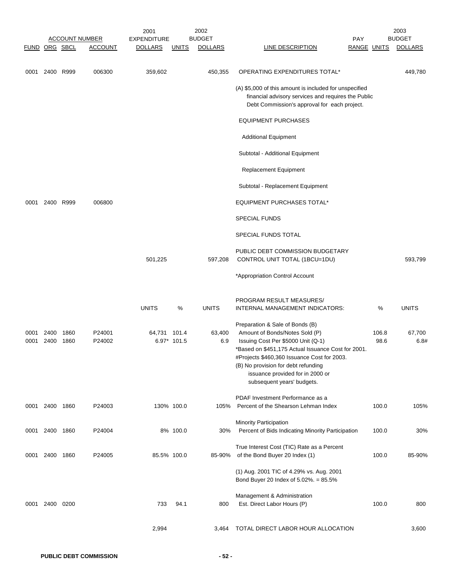|               |                |              | <b>ACCOUNT NUMBER</b> | 2001<br><b>EXPENDITURE</b> |              | 2002<br><b>BUDGET</b> | PAY                                                                                                                                                                                                                                                                                                                   |                    | 2003<br><b>BUDGET</b> |
|---------------|----------------|--------------|-----------------------|----------------------------|--------------|-----------------------|-----------------------------------------------------------------------------------------------------------------------------------------------------------------------------------------------------------------------------------------------------------------------------------------------------------------------|--------------------|-----------------------|
| FUND ORG SBCL |                |              | <b>ACCOUNT</b>        | <b>DOLLARS</b>             | <u>UNITS</u> | <b>DOLLARS</b>        | <b>LINE DESCRIPTION</b>                                                                                                                                                                                                                                                                                               | <b>RANGE UNITS</b> | <b>DOLLARS</b>        |
| 0001          | 2400 R999      |              | 006300                | 359,602                    |              | 450,355               | OPERATING EXPENDITURES TOTAL*                                                                                                                                                                                                                                                                                         |                    | 449,780               |
|               |                |              |                       |                            |              |                       | (A) \$5,000 of this amount is included for unspecified<br>financial advisory services and requires the Public<br>Debt Commission's approval for each project.                                                                                                                                                         |                    |                       |
|               |                |              |                       |                            |              |                       | <b>EQUIPMENT PURCHASES</b>                                                                                                                                                                                                                                                                                            |                    |                       |
|               |                |              |                       |                            |              |                       | <b>Additional Equipment</b>                                                                                                                                                                                                                                                                                           |                    |                       |
|               |                |              |                       |                            |              |                       | Subtotal - Additional Equipment                                                                                                                                                                                                                                                                                       |                    |                       |
|               |                |              |                       |                            |              |                       | Replacement Equipment                                                                                                                                                                                                                                                                                                 |                    |                       |
|               |                |              |                       |                            |              |                       | Subtotal - Replacement Equipment                                                                                                                                                                                                                                                                                      |                    |                       |
| 0001          | 2400 R999      |              | 006800                |                            |              |                       | EQUIPMENT PURCHASES TOTAL*                                                                                                                                                                                                                                                                                            |                    |                       |
|               |                |              |                       |                            |              |                       | <b>SPECIAL FUNDS</b>                                                                                                                                                                                                                                                                                                  |                    |                       |
|               |                |              |                       |                            |              |                       | SPECIAL FUNDS TOTAL                                                                                                                                                                                                                                                                                                   |                    |                       |
|               |                |              |                       | 501,225                    |              | 597,208               | PUBLIC DEBT COMMISSION BUDGETARY<br>CONTROL UNIT TOTAL (1BCU=1DU)                                                                                                                                                                                                                                                     |                    | 593,799               |
|               |                |              |                       |                            |              |                       | *Appropriation Control Account                                                                                                                                                                                                                                                                                        |                    |                       |
|               |                |              |                       | <b>UNITS</b>               | %            | <b>UNITS</b>          | PROGRAM RESULT MEASURES/<br>INTERNAL MANAGEMENT INDICATORS:                                                                                                                                                                                                                                                           | %                  | <b>UNITS</b>          |
| 0001<br>0001  | 2400<br>2400   | 1860<br>1860 | P24001<br>P24002      | 64,731 101.4               | 6.97* 101.5  | 63,400<br>6.9         | Preparation & Sale of Bonds (B)<br>Amount of Bonds/Notes Sold (P)<br>Issuing Cost Per \$5000 Unit (Q-1)<br>*Based on \$451,175 Actual Issuance Cost for 2001.<br>#Projects \$460,360 Issuance Cost for 2003.<br>(B) No provision for debt refunding<br>issuance provided for in 2000 or<br>subsequent years' budgets. | 106.8<br>98.6      | 67,700<br>6.8#        |
|               | 0001 2400 1860 |              | P24003                |                            | 130% 100.0   | 105%                  | PDAF Investment Performance as a<br>Percent of the Shearson Lehman Index                                                                                                                                                                                                                                              | 100.0              | 105%                  |
|               |                |              |                       |                            |              |                       | <b>Minority Participation</b>                                                                                                                                                                                                                                                                                         |                    |                       |
|               | 0001 2400 1860 |              | P24004                |                            | 8% 100.0     | 30%                   | Percent of Bids Indicating Minority Participation                                                                                                                                                                                                                                                                     | 100.0              | 30%                   |
| 0001          | 2400           | 1860         | P24005                | 85.5% 100.0                |              | 85-90%                | True Interest Cost (TIC) Rate as a Percent<br>of the Bond Buyer 20 Index (1)                                                                                                                                                                                                                                          | 100.0              | 85-90%                |
|               |                |              |                       |                            |              |                       | (1) Aug. 2001 TIC of 4.29% vs. Aug. 2001<br>Bond Buyer 20 Index of 5.02%. = 85.5%                                                                                                                                                                                                                                     |                    |                       |
| 0001          | 2400           | 0200         |                       | 733                        | 94.1         | 800                   | Management & Administration<br>Est. Direct Labor Hours (P)                                                                                                                                                                                                                                                            | 100.0              | 800                   |
|               |                |              |                       | 2,994                      |              | 3,464                 | TOTAL DIRECT LABOR HOUR ALLOCATION                                                                                                                                                                                                                                                                                    |                    | 3,600                 |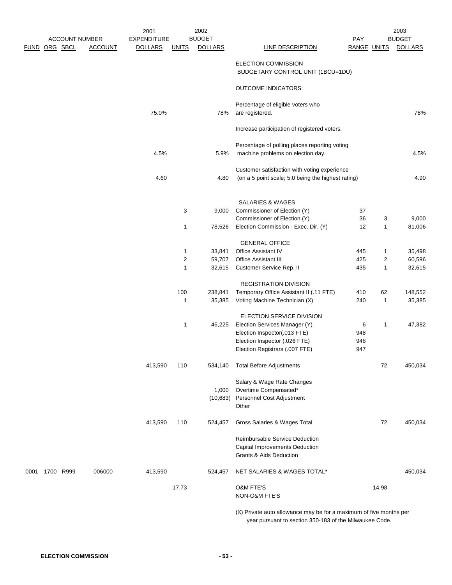|      |          |                       |                | 2001                                 |                | 2002                            |                                                                                                                               |                           |                | 2003            |
|------|----------|-----------------------|----------------|--------------------------------------|----------------|---------------------------------|-------------------------------------------------------------------------------------------------------------------------------|---------------------------|----------------|-----------------|
|      |          | <b>ACCOUNT NUMBER</b> | <b>ACCOUNT</b> | <b>EXPENDITURE</b><br><b>DOLLARS</b> |                | <b>BUDGET</b><br><b>DOLLARS</b> | LINE DESCRIPTION                                                                                                              | <b>PAY</b><br>RANGE UNITS |                | <b>BUDGET</b>   |
| FUND | ORG SBCL |                       |                |                                      | <b>UNITS</b>   |                                 |                                                                                                                               |                           |                | <b>DOLLARS</b>  |
|      |          |                       |                |                                      |                |                                 | <b>ELECTION COMMISSION</b><br>BUDGETARY CONTROL UNIT (1BCU=1DU)                                                               |                           |                |                 |
|      |          |                       |                |                                      |                |                                 | <b>OUTCOME INDICATORS:</b>                                                                                                    |                           |                |                 |
|      |          |                       |                | 75.0%                                |                | 78%                             | Percentage of eligible voters who<br>are registered.                                                                          |                           |                | 78%             |
|      |          |                       |                |                                      |                |                                 | Increase participation of registered voters.                                                                                  |                           |                |                 |
|      |          |                       |                |                                      |                |                                 | Percentage of polling places reporting voting                                                                                 |                           |                |                 |
|      |          |                       |                | 4.5%                                 |                | 5.9%                            | machine problems on election day.                                                                                             |                           |                | 4.5%            |
|      |          |                       |                |                                      |                |                                 | Customer satisfaction with voting experience                                                                                  |                           |                |                 |
|      |          |                       |                | 4.60                                 |                | 4.80                            | (on a 5 point scale; 5.0 being the highest rating)                                                                            |                           |                | 4.90            |
|      |          |                       |                |                                      |                |                                 | <b>SALARIES &amp; WAGES</b>                                                                                                   |                           |                |                 |
|      |          |                       |                |                                      | 3              | 9,000                           | Commissioner of Election (Y)                                                                                                  | 37                        |                |                 |
|      |          |                       |                |                                      | 1              | 78,526                          | Commissioner of Election (Y)<br>Election Commission - Exec. Dir. (Y)                                                          | 36<br>12                  | 3<br>1         | 9,000<br>81,006 |
|      |          |                       |                |                                      |                |                                 | <b>GENERAL OFFICE</b>                                                                                                         |                           |                |                 |
|      |          |                       |                |                                      | 1              | 33,841                          | Office Assistant IV                                                                                                           | 445                       | 1              | 35,498          |
|      |          |                       |                |                                      | $\overline{2}$ | 59,707                          | Office Assistant III                                                                                                          | 425                       | $\overline{c}$ | 60,596          |
|      |          |                       |                |                                      | 1              | 32,615                          | Customer Service Rep. II                                                                                                      | 435                       | 1              | 32,615          |
|      |          |                       |                |                                      |                |                                 | <b>REGISTRATION DIVISION</b>                                                                                                  |                           |                |                 |
|      |          |                       |                |                                      | 100            | 238,841                         | Temporary Office Assistant II (.11 FTE)                                                                                       | 410                       | 62             | 148,552         |
|      |          |                       |                |                                      | 1              | 35,385                          | Voting Machine Technician (X)                                                                                                 | 240                       | 1              | 35,385          |
|      |          |                       |                |                                      |                |                                 | <b>ELECTION SERVICE DIVISION</b>                                                                                              |                           |                |                 |
|      |          |                       |                |                                      | 1              | 46,225                          | Election Services Manager (Y)                                                                                                 | 6                         | 1              | 47,382          |
|      |          |                       |                |                                      |                |                                 | Election Inspector(.013 FTE)                                                                                                  | 948                       |                |                 |
|      |          |                       |                |                                      |                |                                 | Election Inspector (.026 FTE)                                                                                                 | 948                       |                |                 |
|      |          |                       |                |                                      |                |                                 | Election Registrars (.007 FTE)                                                                                                | 947                       |                |                 |
|      |          |                       |                | 413,590                              | 110            | 534,140                         | <b>Total Before Adjustments</b>                                                                                               |                           | 72             | 450,034         |
|      |          |                       |                |                                      |                |                                 | Salary & Wage Rate Changes                                                                                                    |                           |                |                 |
|      |          |                       |                |                                      |                | 1,000                           | Overtime Compensated*                                                                                                         |                           |                |                 |
|      |          |                       |                |                                      |                | (10, 683)                       | Personnel Cost Adjustment<br>Other                                                                                            |                           |                |                 |
|      |          |                       |                | 413,590                              | 110            | 524,457                         | Gross Salaries & Wages Total                                                                                                  |                           | 72             | 450,034         |
|      |          |                       |                |                                      |                |                                 | Reimbursable Service Deduction                                                                                                |                           |                |                 |
|      |          |                       |                |                                      |                |                                 | Capital Improvements Deduction                                                                                                |                           |                |                 |
|      |          |                       |                |                                      |                |                                 | Grants & Aids Deduction                                                                                                       |                           |                |                 |
| 0001 |          | 1700 R999             | 006000         | 413,590                              |                | 524,457                         | NET SALARIES & WAGES TOTAL*                                                                                                   |                           |                | 450,034         |
|      |          |                       |                |                                      | 17.73          |                                 | O&M FTE'S                                                                                                                     |                           | 14.98          |                 |
|      |          |                       |                |                                      |                |                                 | NON-O&M FTE'S                                                                                                                 |                           |                |                 |
|      |          |                       |                |                                      |                |                                 | (X) Private auto allowance may be for a maximum of five months per<br>year pursuant to section 350-183 of the Milwaukee Code. |                           |                |                 |

**ELECTION COMMISSION - 53 -**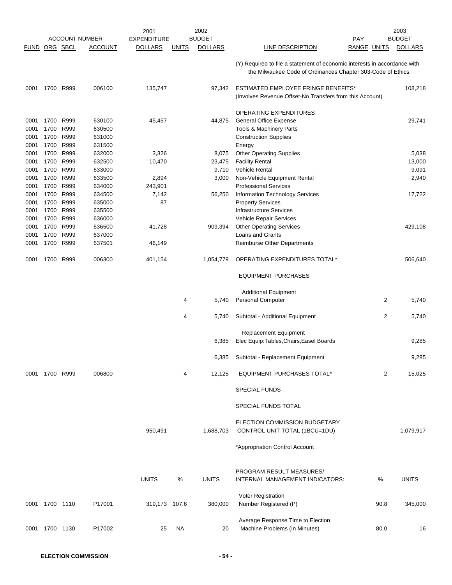|               |                |              |                                         | 2001               |              | 2002                            |                                                                                                                                           |                | 2003           |
|---------------|----------------|--------------|-----------------------------------------|--------------------|--------------|---------------------------------|-------------------------------------------------------------------------------------------------------------------------------------------|----------------|----------------|
|               |                |              | <b>ACCOUNT NUMBER</b><br><b>ACCOUNT</b> | <b>EXPENDITURE</b> |              | <b>BUDGET</b><br><b>DOLLARS</b> | <b>PAY</b><br>LINE DESCRIPTION                                                                                                            | RANGE UNITS    | <b>BUDGET</b>  |
| FUND ORG SBCL |                |              |                                         | <b>DOLLARS</b>     | <b>UNITS</b> |                                 |                                                                                                                                           |                | <b>DOLLARS</b> |
|               |                |              |                                         |                    |              |                                 | (Y) Required to file a statement of economic interests in accordance with<br>the Milwaukee Code of Ordinances Chapter 303-Code of Ethics. |                |                |
| 0001          |                | 1700 R999    | 006100                                  | 135,747            |              | 97,342                          | ESTIMATED EMPLOYEE FRINGE BENEFITS*<br>(Involves Revenue Offset-No Transfers from this Account)                                           |                | 108,218        |
|               |                |              |                                         |                    |              |                                 | OPERATING EXPENDITURES                                                                                                                    |                |                |
| 0001          | 1700           | R999         | 630100                                  | 45,457             |              | 44,875                          | General Office Expense                                                                                                                    |                | 29,741         |
| 0001          | 1700           | R999         | 630500                                  |                    |              |                                 | Tools & Machinery Parts                                                                                                                   |                |                |
| 0001          | 1700           | R999         | 631000                                  |                    |              |                                 | <b>Construction Supplies</b>                                                                                                              |                |                |
| 0001          | 1700           | R999         | 631500                                  |                    |              |                                 | Energy                                                                                                                                    |                |                |
| 0001          | 1700           | R999         | 632000                                  | 3,326              |              | 8,075                           | <b>Other Operating Supplies</b>                                                                                                           |                | 5,038          |
| 0001          | 1700           | R999         | 632500                                  | 10,470             |              | 23,475                          | <b>Facility Rental</b>                                                                                                                    |                | 13,000         |
| 0001          | 1700           | R999         | 633000                                  |                    |              | 9,710                           | <b>Vehicle Rental</b>                                                                                                                     |                | 9,091          |
| 0001          | 1700           | R999         | 633500                                  | 2,894              |              | 3,000                           | Non-Vehicle Equipment Rental                                                                                                              |                | 2,940          |
| 0001          | 1700           | R999         | 634000                                  | 243,901            |              |                                 | <b>Professional Services</b>                                                                                                              |                |                |
| 0001          | 1700           | R999         | 634500                                  | 7,142              |              | 56,250                          | Information Technology Services                                                                                                           |                | 17,722         |
| 0001          | 1700           | R999         | 635000                                  | 87                 |              |                                 | <b>Property Services</b>                                                                                                                  |                |                |
| 0001          | 1700           | R999         | 635500                                  |                    |              |                                 | <b>Infrastructure Services</b>                                                                                                            |                |                |
| 0001          | 1700           | R999         | 636000                                  |                    |              |                                 | Vehicle Repair Services                                                                                                                   |                |                |
| 0001          | 1700           | R999         | 636500                                  | 41,728             |              | 909,394                         | <b>Other Operating Services</b>                                                                                                           |                | 429,108        |
| 0001<br>0001  | 1700<br>1700   | R999<br>R999 | 637000<br>637501                        |                    |              |                                 | Loans and Grants<br>Reimburse Other Departments                                                                                           |                |                |
|               |                |              |                                         | 46,149             |              |                                 |                                                                                                                                           |                |                |
| 0001          | 1700           | R999         | 006300                                  | 401,154            |              | 1,054,779                       | OPERATING EXPENDITURES TOTAL*                                                                                                             |                | 506,640        |
|               |                |              |                                         |                    |              |                                 | <b>EQUIPMENT PURCHASES</b>                                                                                                                |                |                |
|               |                |              |                                         |                    |              |                                 | <b>Additional Equipment</b>                                                                                                               |                |                |
|               |                |              |                                         |                    | 4            | 5,740                           | Personal Computer                                                                                                                         | $\overline{c}$ | 5,740          |
|               |                |              |                                         |                    | 4            | 5,740                           | Subtotal - Additional Equipment                                                                                                           | $\overline{c}$ | 5,740          |
|               |                |              |                                         |                    |              | 6,385                           | <b>Replacement Equipment</b><br>Elec Equip: Tables, Chairs, Easel Boards                                                                  |                | 9,285          |
|               |                |              |                                         |                    |              |                                 | 6,385 Subtotal - Replacement Equipment                                                                                                    |                | 9,285          |
|               | 0001 1700 R999 |              | 006800                                  |                    | 4            | 12,125                          | <b>EQUIPMENT PURCHASES TOTAL*</b>                                                                                                         | $\overline{2}$ | 15,025         |
|               |                |              |                                         |                    |              |                                 | <b>SPECIAL FUNDS</b>                                                                                                                      |                |                |
|               |                |              |                                         |                    |              |                                 | SPECIAL FUNDS TOTAL                                                                                                                       |                |                |
|               |                |              |                                         | 950,491            |              | 1,688,703                       | ELECTION COMMISSION BUDGETARY<br>CONTROL UNIT TOTAL (1BCU=1DU)                                                                            |                | 1,079,917      |
|               |                |              |                                         |                    |              |                                 | *Appropriation Control Account                                                                                                            |                |                |
|               |                |              |                                         |                    |              |                                 |                                                                                                                                           |                |                |
|               |                |              |                                         | <b>UNITS</b>       | %            | <b>UNITS</b>                    | PROGRAM RESULT MEASURES/<br>INTERNAL MANAGEMENT INDICATORS:                                                                               | $\%$           | <b>UNITS</b>   |
|               |                |              |                                         |                    |              |                                 | Voter Registration                                                                                                                        |                |                |
|               | 0001 1700 1110 |              | P17001                                  | 319,173 107.6      |              | 380,000                         | Number Registered (P)                                                                                                                     | 90.8           | 345,000        |
|               | 0001 1700 1130 |              | P17002                                  | 25                 | NA           | 20                              | Average Response Time to Election<br>Machine Problems (In Minutes)                                                                        | 80.0           | 16             |
|               |                |              |                                         |                    |              |                                 |                                                                                                                                           |                |                |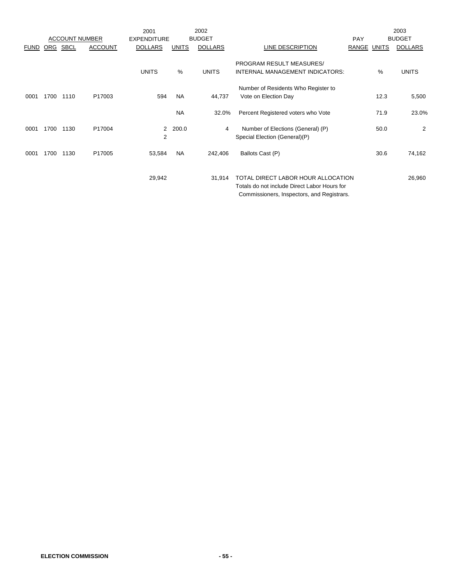|             |      |                       |                | 2001               |              | 2002           |                                                                                                                                  |            |       | 2003           |
|-------------|------|-----------------------|----------------|--------------------|--------------|----------------|----------------------------------------------------------------------------------------------------------------------------------|------------|-------|----------------|
|             |      | <b>ACCOUNT NUMBER</b> |                | <b>EXPENDITURE</b> |              | <b>BUDGET</b>  |                                                                                                                                  | <b>PAY</b> |       | <b>BUDGET</b>  |
| <b>FUND</b> | ORG  | <b>SBCL</b>           | <b>ACCOUNT</b> | <b>DOLLARS</b>     | <b>UNITS</b> | <b>DOLLARS</b> | LINE DESCRIPTION                                                                                                                 | RANGE      | UNITS | <b>DOLLARS</b> |
|             |      |                       |                |                    |              |                | PROGRAM RESULT MEASURES/                                                                                                         |            |       |                |
|             |      |                       |                | <b>UNITS</b>       | %            | <b>UNITS</b>   | INTERNAL MANAGEMENT INDICATORS:                                                                                                  |            | %     | <b>UNITS</b>   |
|             |      |                       |                |                    |              |                | Number of Residents Who Register to                                                                                              |            |       |                |
| 0001        | 1700 | 1110                  | P17003         | 594                | <b>NA</b>    | 44,737         | Vote on Election Day                                                                                                             |            | 12.3  | 5,500          |
|             |      |                       |                |                    | <b>NA</b>    | 32.0%          | Percent Registered voters who Vote                                                                                               |            | 71.9  | 23.0%          |
| 0001        | 1700 | 1130                  | P17004         | $\overline{2}$     | 200.0        | 4              | Number of Elections (General) (P)                                                                                                |            | 50.0  | 2              |
|             |      |                       |                | $\overline{2}$     |              |                | Special Election (General)(P)                                                                                                    |            |       |                |
| 0001        | 1700 | 1130                  | P17005         | 53,584             | <b>NA</b>    | 242,406        | Ballots Cast (P)                                                                                                                 |            | 30.6  | 74,162         |
|             |      |                       |                | 29,942             |              | 31,914         | TOTAL DIRECT LABOR HOUR ALLOCATION<br>Totals do not include Direct Labor Hours for<br>Commissioners, Inspectors, and Registrars. |            |       | 26,960         |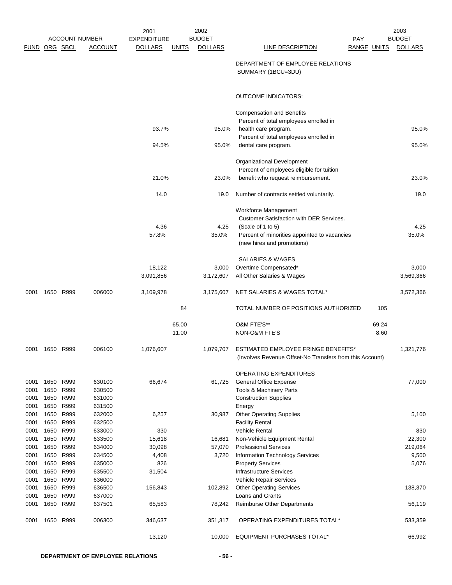|               |              |                       |                  | 2001               |              | 2002           |                                                                                                 |                    | 2003           |
|---------------|--------------|-----------------------|------------------|--------------------|--------------|----------------|-------------------------------------------------------------------------------------------------|--------------------|----------------|
|               |              | <b>ACCOUNT NUMBER</b> |                  | <b>EXPENDITURE</b> |              | <b>BUDGET</b>  | <b>PAY</b>                                                                                      |                    | <b>BUDGET</b>  |
| FUND ORG SBCL |              |                       | <b>ACCOUNT</b>   | <b>DOLLARS</b>     | <u>UNITS</u> | <b>DOLLARS</b> | LINE DESCRIPTION                                                                                | <b>RANGE UNITS</b> | <b>DOLLARS</b> |
|               |              |                       |                  |                    |              |                | DEPARTMENT OF EMPLOYEE RELATIONS<br>SUMMARY (1BCU=3DU)                                          |                    |                |
|               |              |                       |                  |                    |              |                | <b>OUTCOME INDICATORS:</b>                                                                      |                    |                |
|               |              |                       |                  |                    |              |                | <b>Compensation and Benefits</b>                                                                |                    |                |
|               |              |                       |                  | 93.7%              |              | 95.0%          | Percent of total employees enrolled in<br>health care program.                                  |                    | 95.0%          |
|               |              |                       |                  |                    |              |                | Percent of total employees enrolled in                                                          |                    |                |
|               |              |                       |                  | 94.5%              |              | 95.0%          | dental care program.                                                                            |                    | 95.0%          |
|               |              |                       |                  |                    |              |                | Organizational Development                                                                      |                    |                |
|               |              |                       |                  |                    |              |                | Percent of employees eligible for tuition                                                       |                    |                |
|               |              |                       |                  | 21.0%              |              | 23.0%          | benefit who request reimbursement.                                                              |                    | 23.0%          |
|               |              |                       |                  | 14.0               |              | 19.0           | Number of contracts settled voluntarily.                                                        |                    | 19.0           |
|               |              |                       |                  |                    |              |                | Workforce Management                                                                            |                    |                |
|               |              |                       |                  |                    |              |                | Customer Satisfaction with DER Services.                                                        |                    |                |
|               |              |                       |                  | 4.36               |              | 4.25           | (Scale of 1 to 5)                                                                               |                    | 4.25           |
|               |              |                       |                  | 57.8%              |              | 35.0%          | Percent of minorities appointed to vacancies<br>(new hires and promotions)                      |                    | 35.0%          |
|               |              |                       |                  |                    |              |                | SALARIES & WAGES                                                                                |                    |                |
|               |              |                       |                  | 18,122             |              | 3,000          | Overtime Compensated*                                                                           |                    | 3,000          |
|               |              |                       |                  | 3,091,856          |              | 3,172,607      | All Other Salaries & Wages                                                                      |                    | 3,569,366      |
| 0001          | 1650 R999    |                       | 006000           | 3,109,978          |              | 3,175,607      | NET SALARIES & WAGES TOTAL*                                                                     |                    | 3,572,366      |
|               |              |                       |                  |                    | 84           |                | TOTAL NUMBER OF POSITIONS AUTHORIZED                                                            | 105                |                |
|               |              |                       |                  |                    | 65.00        |                | O&M FTE'S**                                                                                     | 69.24              |                |
|               |              |                       |                  |                    | 11.00        |                | NON-O&M FTE'S                                                                                   | 8.60               |                |
| 0001          | 1650 R999    |                       | 006100           | 1,076,607          |              | 1,079,707      | ESTIMATED EMPLOYEE FRINGE BENEFITS*<br>(Involves Revenue Offset-No Transfers from this Account) |                    | 1,321,776      |
|               |              |                       |                  |                    |              |                | <b>OPERATING EXPENDITURES</b>                                                                   |                    |                |
| 0001          | 1650         | R999                  | 630100           | 66,674             |              | 61,725         | General Office Expense                                                                          |                    | 77,000         |
| 0001          | 1650         | R999                  | 630500           |                    |              |                | <b>Tools &amp; Machinery Parts</b>                                                              |                    |                |
| 0001          | 1650         | R999                  | 631000           |                    |              |                | <b>Construction Supplies</b>                                                                    |                    |                |
| 0001          | 1650         | R999                  | 631500           |                    |              |                | Energy                                                                                          |                    |                |
| 0001          | 1650         | R999                  | 632000           | 6,257              |              | 30,987         | <b>Other Operating Supplies</b>                                                                 |                    | 5,100          |
| 0001          | 1650         | R999                  | 632500           |                    |              |                | <b>Facility Rental</b>                                                                          |                    |                |
| 0001<br>0001  | 1650<br>1650 | R999<br>R999          | 633000<br>633500 | 330<br>15,618      |              | 16,681         | <b>Vehicle Rental</b><br>Non-Vehicle Equipment Rental                                           |                    | 830<br>22,300  |
| 0001          | 1650         | R999                  | 634000           | 30,098             |              | 57,070         | <b>Professional Services</b>                                                                    |                    | 219,064        |
| 0001          | 1650         | R999                  | 634500           | 4,408              |              | 3,720          | Information Technology Services                                                                 |                    | 9,500          |
| 0001          | 1650         | R999                  | 635000           | 826                |              |                | <b>Property Services</b>                                                                        |                    | 5,076          |
| 0001          | 1650         | R999                  | 635500           | 31,504             |              |                | Infrastructure Services                                                                         |                    |                |
| 0001          | 1650         | R999                  | 636000           |                    |              |                | Vehicle Repair Services                                                                         |                    |                |
| 0001          | 1650         | R999                  | 636500           | 156,843            |              | 102,892        | <b>Other Operating Services</b>                                                                 |                    | 138,370        |
| 0001          | 1650         | R999                  | 637000           |                    |              |                | Loans and Grants                                                                                |                    |                |
| 0001          | 1650         | R999                  | 637501           | 65,583             |              | 78,242         | <b>Reimburse Other Departments</b>                                                              |                    | 56,119         |
| 0001          | 1650 R999    |                       | 006300           | 346,637            |              | 351,317        | OPERATING EXPENDITURES TOTAL*                                                                   |                    | 533,359        |
|               |              |                       |                  | 13,120             |              | 10,000         | <b>EQUIPMENT PURCHASES TOTAL*</b>                                                               |                    | 66,992         |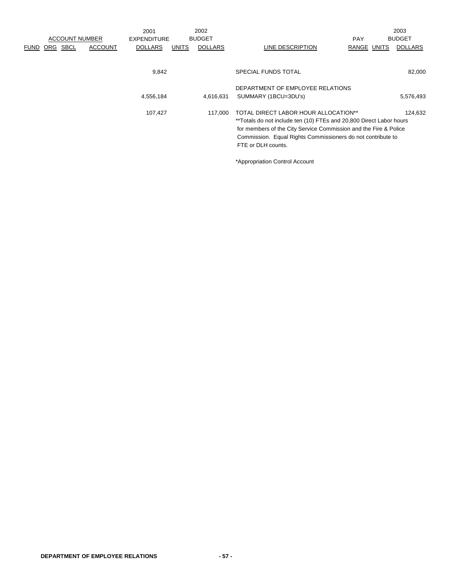|          |                | 2001                  |              | 2002                              |                      |                    |                                                                          | 2003                                                                                                                                                                                                                  |
|----------|----------------|-----------------------|--------------|-----------------------------------|----------------------|--------------------|--------------------------------------------------------------------------|-----------------------------------------------------------------------------------------------------------------------------------------------------------------------------------------------------------------------|
|          |                |                       |              |                                   |                      | <b>PAY</b>         |                                                                          | <b>BUDGET</b>                                                                                                                                                                                                         |
| FUND ORG | <b>ACCOUNT</b> | <b>DOLLARS</b>        | <b>UNITS</b> | <b>DOLLARS</b>                    | LINE DESCRIPTION     |                    |                                                                          | <b>DOLLARS</b>                                                                                                                                                                                                        |
|          |                |                       |              |                                   |                      |                    |                                                                          |                                                                                                                                                                                                                       |
|          |                |                       |              |                                   | SPECIAL FUNDS TOTAL  |                    |                                                                          | 82,000                                                                                                                                                                                                                |
|          |                |                       |              |                                   |                      |                    |                                                                          |                                                                                                                                                                                                                       |
|          |                |                       |              | 4,616,631                         | SUMMARY (1BCU=3DU's) |                    |                                                                          | 5,576,493                                                                                                                                                                                                             |
|          |                | 107,427               |              | 117.000                           |                      |                    |                                                                          | 124.632                                                                                                                                                                                                               |
|          |                |                       |              |                                   |                      |                    |                                                                          |                                                                                                                                                                                                                       |
|          |                |                       |              |                                   |                      |                    |                                                                          |                                                                                                                                                                                                                       |
|          |                |                       |              |                                   |                      |                    |                                                                          |                                                                                                                                                                                                                       |
|          |                |                       |              |                                   |                      |                    |                                                                          |                                                                                                                                                                                                                       |
|          | SBCL           | <b>ACCOUNT NUMBER</b> |              | EXPENDITURE<br>9,842<br>4,556,184 | <b>BUDGET</b>        | FTE or DLH counts. | DEPARTMENT OF EMPLOYEE RELATIONS<br>TOTAL DIRECT LABOR HOUR ALLOCATION** | RANGE UNITS<br>**Totals do not include ten (10) FTEs and 20,800 Direct Labor hours<br>for members of the City Service Commission and the Fire & Police<br>Commission. Equal Rights Commissioners do not contribute to |

\*Appropriation Control Account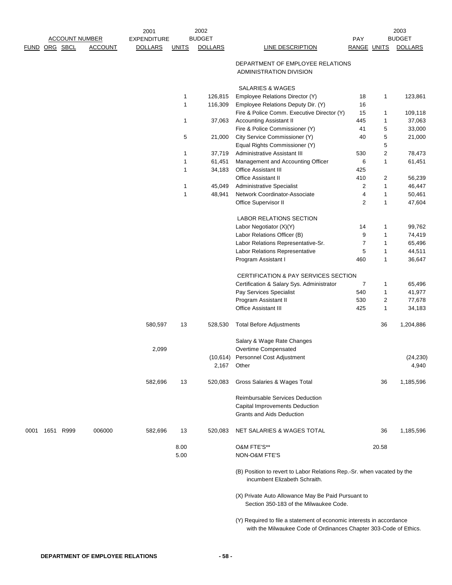|  |                | <b>ACCOUNT NUMBER</b> | 2001<br>EXPENDITURE |              | 2002<br><b>BUDGET</b> |                                                                                                                                           | <b>PAY</b>     |                | 2003<br><b>BUDGET</b> |
|--|----------------|-----------------------|---------------------|--------------|-----------------------|-------------------------------------------------------------------------------------------------------------------------------------------|----------------|----------------|-----------------------|
|  | FUND ORG SBCL  | <b>ACCOUNT</b>        | <b>DOLLARS</b>      | <b>UNITS</b> | <b>DOLLARS</b>        | LINE DESCRIPTION                                                                                                                          | RANGE UNITS    |                | <b>DOLLARS</b>        |
|  |                |                       |                     |              |                       | DEPARTMENT OF EMPLOYEE RELATIONS<br>ADMINISTRATION DIVISION                                                                               |                |                |                       |
|  |                |                       |                     |              |                       | <b>SALARIES &amp; WAGES</b>                                                                                                               |                |                |                       |
|  |                |                       |                     | 1            | 126,815               | Employee Relations Director (Y)                                                                                                           | 18             | 1              | 123,861               |
|  |                |                       |                     | 1            | 116,309               | Employee Relations Deputy Dir. (Y)                                                                                                        | 16             |                |                       |
|  |                |                       |                     |              |                       | Fire & Police Comm. Executive Director (Y)                                                                                                | 15             | 1              | 109,118               |
|  |                |                       |                     | 1            | 37,063                | <b>Accounting Assistant II</b>                                                                                                            | 445            | 1              | 37,063                |
|  |                |                       |                     | 5            |                       | Fire & Police Commissioner (Y)                                                                                                            | 41<br>40       | 5<br>5         | 33,000                |
|  |                |                       |                     |              | 21,000                | City Service Commissioner (Y)<br>Equal Rights Commissioner (Y)                                                                            |                | 5              | 21,000                |
|  |                |                       |                     | 1            | 37,719                | Administrative Assistant III                                                                                                              | 530            | $\overline{2}$ | 78,473                |
|  |                |                       |                     | 1            | 61,451                | Management and Accounting Officer                                                                                                         | 6              | 1              | 61,451                |
|  |                |                       |                     | 1            | 34,183                | Office Assistant III                                                                                                                      | 425            |                |                       |
|  |                |                       |                     |              |                       | <b>Office Assistant II</b>                                                                                                                | 410            | 2              | 56,239                |
|  |                |                       |                     | 1            | 45,049                | <b>Administrative Specialist</b>                                                                                                          | 2              | 1              | 46,447                |
|  |                |                       |                     | $\mathbf{1}$ | 48,941                | Network Coordinator-Associate                                                                                                             | 4              | 1              | 50,461                |
|  |                |                       |                     |              |                       | Office Supervisor II                                                                                                                      | $\overline{2}$ | 1              | 47,604                |
|  |                |                       |                     |              |                       | LABOR RELATIONS SECTION                                                                                                                   |                |                |                       |
|  |                |                       |                     |              |                       | Labor Negotiator (X)(Y)                                                                                                                   | 14             | 1              | 99,762                |
|  |                |                       |                     |              |                       | Labor Relations Officer (B)                                                                                                               | 9              | 1              | 74,419                |
|  |                |                       |                     |              |                       | Labor Relations Representative-Sr.                                                                                                        | $\overline{7}$ | 1              | 65,496                |
|  |                |                       |                     |              |                       | Labor Relations Representative                                                                                                            | 5              | 1              | 44,511                |
|  |                |                       |                     |              |                       | Program Assistant I                                                                                                                       | 460            | 1              | 36,647                |
|  |                |                       |                     |              |                       | CERTIFICATION & PAY SERVICES SECTION                                                                                                      |                |                |                       |
|  |                |                       |                     |              |                       | Certification & Salary Sys. Administrator                                                                                                 | 7              | 1              | 65,496                |
|  |                |                       |                     |              |                       | Pay Services Specialist                                                                                                                   | 540            | 1              | 41,977                |
|  |                |                       |                     |              |                       | Program Assistant II                                                                                                                      | 530            | $\overline{c}$ | 77,678                |
|  |                |                       |                     |              |                       | <b>Office Assistant III</b>                                                                                                               | 425            | 1              | 34,183                |
|  |                |                       | 580,597             | 13           | 528,530               | <b>Total Before Adjustments</b>                                                                                                           |                | 36             | 1,204,886             |
|  |                |                       |                     |              |                       | Salary & Wage Rate Changes                                                                                                                |                |                |                       |
|  |                |                       | 2,099               |              |                       | Overtime Compensated<br>(10,614) Personnel Cost Adjustment                                                                                |                |                | (24, 230)             |
|  |                |                       |                     |              |                       | 2,167 Other                                                                                                                               |                |                | 4,940                 |
|  |                |                       | 582,696             | 13           | 520,083               | Gross Salaries & Wages Total                                                                                                              |                | 36             | 1,185,596             |
|  |                |                       |                     |              |                       | <b>Reimbursable Services Deduction</b><br>Capital Improvements Deduction<br><b>Grants and Aids Deduction</b>                              |                |                |                       |
|  | 0001 1651 R999 | 006000                | 582,696             | 13           | 520,083               | NET SALARIES & WAGES TOTAL                                                                                                                |                | 36             | 1,185,596             |
|  |                |                       |                     | 8.00<br>5.00 |                       | O&M FTE'S**<br>NON-O&M FTE'S                                                                                                              |                | 20.58          |                       |
|  |                |                       |                     |              |                       | (B) Position to revert to Labor Relations Rep.-Sr. when vacated by the<br>incumbent Elizabeth Schraith.                                   |                |                |                       |
|  |                |                       |                     |              |                       | (X) Private Auto Allowance May Be Paid Pursuant to<br>Section 350-183 of the Milwaukee Code.                                              |                |                |                       |
|  |                |                       |                     |              |                       | (Y) Required to file a statement of economic interests in accordance<br>with the Milwaukee Code of Ordinances Chapter 303-Code of Ethics. |                |                |                       |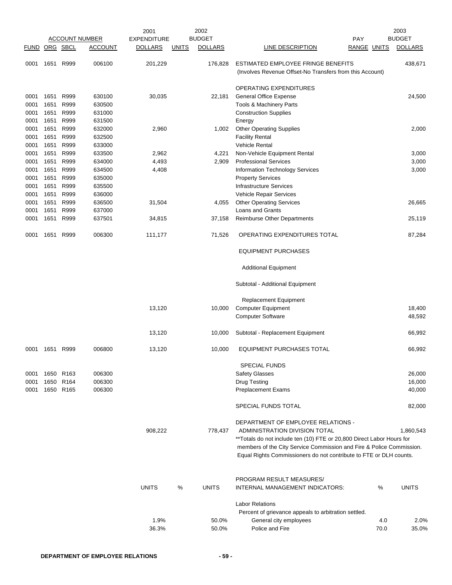|               |      |           |                       | 2001               |              | 2002           |                                                                                                                                            |                    | 2003           |
|---------------|------|-----------|-----------------------|--------------------|--------------|----------------|--------------------------------------------------------------------------------------------------------------------------------------------|--------------------|----------------|
|               |      |           | <b>ACCOUNT NUMBER</b> | <b>EXPENDITURE</b> |              | <b>BUDGET</b>  |                                                                                                                                            | PAY                | <b>BUDGET</b>  |
| FUND ORG SBCL |      |           | <b>ACCOUNT</b>        | <b>DOLLARS</b>     | <b>UNITS</b> | <b>DOLLARS</b> | LINE DESCRIPTION                                                                                                                           | <b>RANGE UNITS</b> | <b>DOLLARS</b> |
| 0001          | 1651 | R999      | 006100                | 201,229            |              | 176,828        | ESTIMATED EMPLOYEE FRINGE BENEFITS<br>(Involves Revenue Offset-No Transfers from this Account)                                             |                    | 438,671        |
|               |      |           |                       |                    |              |                | OPERATING EXPENDITURES                                                                                                                     |                    |                |
| 0001          | 1651 | R999      | 630100                | 30,035             |              | 22,181         | <b>General Office Expense</b>                                                                                                              |                    | 24,500         |
| 0001          | 1651 | R999      | 630500                |                    |              |                | <b>Tools &amp; Machinery Parts</b>                                                                                                         |                    |                |
| 0001          | 1651 | R999      | 631000                |                    |              |                | <b>Construction Supplies</b>                                                                                                               |                    |                |
| 0001          | 1651 | R999      | 631500                |                    |              |                | Energy                                                                                                                                     |                    |                |
| 0001          | 1651 | R999      | 632000                | 2,960              |              | 1,002          | <b>Other Operating Supplies</b>                                                                                                            |                    | 2,000          |
| 0001          | 1651 | R999      | 632500                |                    |              |                | <b>Facility Rental</b>                                                                                                                     |                    |                |
| 0001          | 1651 | R999      | 633000                |                    |              |                | <b>Vehicle Rental</b>                                                                                                                      |                    |                |
| 0001          | 1651 | R999      | 633500                | 2,962              |              | 4,221          | Non-Vehicle Equipment Rental                                                                                                               |                    | 3,000          |
| 0001          | 1651 | R999      | 634000                | 4,493              |              | 2,909          | <b>Professional Services</b>                                                                                                               |                    | 3,000          |
| 0001          | 1651 | R999      | 634500                | 4,408              |              |                | Information Technology Services                                                                                                            |                    | 3,000          |
| 0001          | 1651 | R999      | 635000                |                    |              |                | <b>Property Services</b>                                                                                                                   |                    |                |
| 0001          | 1651 | R999      | 635500                |                    |              |                | <b>Infrastructure Services</b>                                                                                                             |                    |                |
| 0001          | 1651 | R999      | 636000                |                    |              |                | Vehicle Repair Services                                                                                                                    |                    |                |
| 0001          | 1651 | R999      | 636500                | 31,504             |              | 4,055          | <b>Other Operating Services</b>                                                                                                            |                    | 26,665         |
| 0001          | 1651 | R999      | 637000                |                    |              |                | Loans and Grants                                                                                                                           |                    |                |
| 0001          | 1651 | R999      | 637501                | 34,815             |              | 37,158         | Reimburse Other Departments                                                                                                                |                    | 25,119         |
| 0001          | 1651 | R999      | 006300                | 111,177            |              | 71,526         | OPERATING EXPENDITURES TOTAL                                                                                                               |                    | 87,284         |
|               |      |           |                       |                    |              |                | <b>EQUIPMENT PURCHASES</b>                                                                                                                 |                    |                |
|               |      |           |                       |                    |              |                | <b>Additional Equipment</b>                                                                                                                |                    |                |
|               |      |           |                       |                    |              |                | Subtotal - Additional Equipment                                                                                                            |                    |                |
|               |      |           |                       |                    |              |                | <b>Replacement Equipment</b>                                                                                                               |                    |                |
|               |      |           |                       | 13,120             |              | 10,000         | <b>Computer Equipment</b>                                                                                                                  |                    | 18,400         |
|               |      |           |                       |                    |              |                | <b>Computer Software</b>                                                                                                                   |                    | 48,592         |
|               |      |           |                       | 13,120             |              | 10,000         | Subtotal - Replacement Equipment                                                                                                           |                    | 66,992         |
| 0001          | 1651 | R999      | 006800                | 13,120             |              | 10,000         | <b>EQUIPMENT PURCHASES TOTAL</b>                                                                                                           |                    | 66,992         |
|               |      |           |                       |                    |              |                | SPECIAL FUNDS                                                                                                                              |                    |                |
| 0001          |      | 1650 R163 | 006300                |                    |              |                | <b>Safety Glasses</b>                                                                                                                      |                    | 26,000         |
| 0001          |      | 1650 R164 | 006300                |                    |              |                | <b>Drug Testing</b>                                                                                                                        |                    | 16,000         |
| 0001          |      | 1650 R165 | 006300                |                    |              |                | <b>Preplacement Exams</b>                                                                                                                  |                    | 40,000         |
|               |      |           |                       |                    |              |                | SPECIAL FUNDS TOTAL                                                                                                                        |                    | 82,000         |
|               |      |           |                       |                    |              |                | DEPARTMENT OF EMPLOYEE RELATIONS -                                                                                                         |                    |                |
|               |      |           |                       | 908,222            |              | 778,437        | ADMINISTRATION DIVISION TOTAL                                                                                                              |                    | 1,860,543      |
|               |      |           |                       |                    |              |                | **Totals do not include ten (10) FTE or 20,800 Direct Labor Hours for                                                                      |                    |                |
|               |      |           |                       |                    |              |                | members of the City Service Commission and Fire & Police Commission.<br>Equal Rights Commissioners do not contribute to FTE or DLH counts. |                    |                |
|               |      |           |                       |                    |              |                | PROGRAM RESULT MEASURES/                                                                                                                   |                    |                |
|               |      |           |                       | <b>UNITS</b>       | $\%$         | <b>UNITS</b>   | INTERNAL MANAGEMENT INDICATORS:                                                                                                            | %                  | <b>UNITS</b>   |
|               |      |           |                       |                    |              |                | <b>Labor Relations</b>                                                                                                                     |                    |                |
|               |      |           |                       |                    |              |                | Percent of grievance appeals to arbitration settled.                                                                                       |                    |                |
|               |      |           |                       | 1.9%               |              | 50.0%          | General city employees                                                                                                                     | 4.0                | 2.0%           |
|               |      |           |                       | 36.3%              |              | 50.0%          | Police and Fire                                                                                                                            | 70.0               | 35.0%          |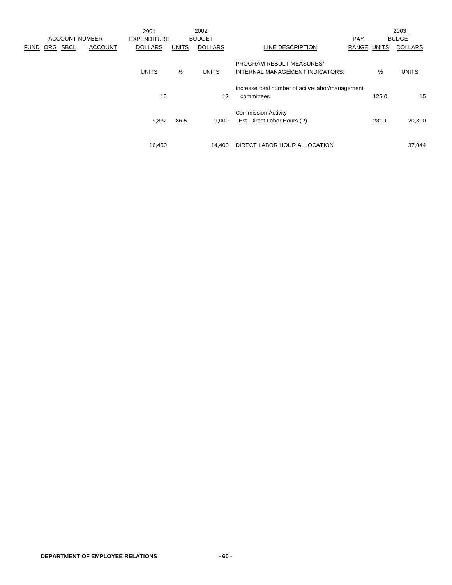|             |     |                       |                | 2001               |              | 2002           |                                                  |             |       | 2003           |
|-------------|-----|-----------------------|----------------|--------------------|--------------|----------------|--------------------------------------------------|-------------|-------|----------------|
|             |     | <b>ACCOUNT NUMBER</b> |                | <b>EXPENDITURE</b> |              | <b>BUDGET</b>  |                                                  | <b>PAY</b>  |       | <b>BUDGET</b>  |
| <b>FUND</b> | ORG | <b>SBCL</b>           | <b>ACCOUNT</b> | <b>DOLLARS</b>     | <b>UNITS</b> | <b>DOLLARS</b> | LINE DESCRIPTION                                 | RANGE UNITS |       | <b>DOLLARS</b> |
|             |     |                       |                |                    |              |                | <b>PROGRAM RESULT MEASURES/</b>                  |             |       |                |
|             |     |                       |                | <b>UNITS</b>       | $\%$         | <b>UNITS</b>   | INTERNAL MANAGEMENT INDICATORS:                  |             | %     | <b>UNITS</b>   |
|             |     |                       |                |                    |              |                | Increase total number of active labor/management |             |       |                |
|             |     |                       |                | 15                 |              | 12             | committees                                       |             | 125.0 | 15             |
|             |     |                       |                |                    |              |                | <b>Commission Activity</b>                       |             |       |                |
|             |     |                       |                | 9,832              | 86.5         | 9,000          | Est. Direct Labor Hours (P)                      |             | 231.1 | 20,800         |
|             |     |                       |                |                    |              |                |                                                  |             |       |                |
|             |     |                       |                | 16,450             |              | 14.400         | DIRECT LABOR HOUR ALLOCATION                     |             |       | 37,044         |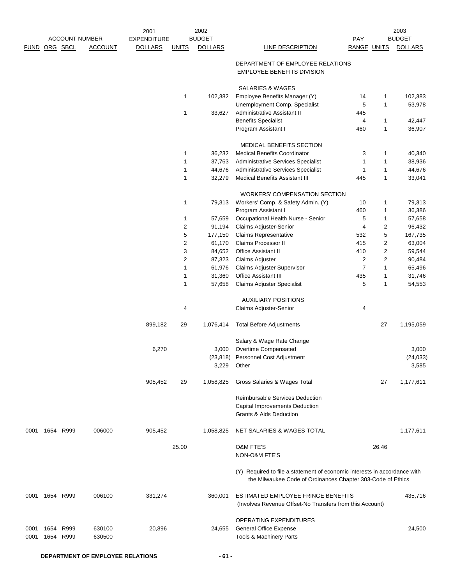|               |      |           |                       | 2001               |              | 2002           |                                                                                                                                           |                    |                | 2003           |
|---------------|------|-----------|-----------------------|--------------------|--------------|----------------|-------------------------------------------------------------------------------------------------------------------------------------------|--------------------|----------------|----------------|
|               |      |           | <b>ACCOUNT NUMBER</b> | <b>EXPENDITURE</b> |              | <b>BUDGET</b>  |                                                                                                                                           | <b>PAY</b>         |                | <b>BUDGET</b>  |
| FUND ORG SBCL |      |           | <b>ACCOUNT</b>        | <b>DOLLARS</b>     | <b>UNITS</b> | <b>DOLLARS</b> | <b>LINE DESCRIPTION</b>                                                                                                                   | <b>RANGE UNITS</b> |                | <b>DOLLARS</b> |
|               |      |           |                       |                    |              |                | DEPARTMENT OF EMPLOYEE RELATIONS<br><b>EMPLOYEE BENEFITS DIVISION</b>                                                                     |                    |                |                |
|               |      |           |                       |                    |              |                | SALARIES & WAGES                                                                                                                          |                    |                |                |
|               |      |           |                       |                    | 1            | 102,382        | Employee Benefits Manager (Y)                                                                                                             | 14                 | 1              | 102,383        |
|               |      |           |                       |                    |              |                | Unemployment Comp. Specialist                                                                                                             | 5                  | 1              | 53,978         |
|               |      |           |                       |                    | 1            | 33,627         | Administrative Assistant II                                                                                                               | 445                |                |                |
|               |      |           |                       |                    |              |                | <b>Benefits Specialist</b>                                                                                                                | 4                  | 1              | 42,447         |
|               |      |           |                       |                    |              |                | Program Assistant I                                                                                                                       | 460                | 1              | 36,907         |
|               |      |           |                       |                    |              |                | <b>MEDICAL BENEFITS SECTION</b>                                                                                                           |                    |                |                |
|               |      |           |                       |                    | 1            | 36,232         | <b>Medical Benefits Coordinator</b>                                                                                                       | 3                  | 1              | 40,340         |
|               |      |           |                       |                    | 1            | 37,763         | Administrative Services Specialist                                                                                                        | $\mathbf{1}$       | 1              | 38,936         |
|               |      |           |                       |                    | $\mathbf{1}$ | 44,676         | Administrative Services Specialist                                                                                                        | 1                  | 1              | 44,676         |
|               |      |           |                       |                    | 1            | 32,279         | <b>Medical Benefits Assistant III</b>                                                                                                     | 445                | 1              | 33,041         |
|               |      |           |                       |                    |              |                | <b>WORKERS' COMPENSATION SECTION</b>                                                                                                      |                    |                |                |
|               |      |           |                       |                    | 1            | 79,313         | Workers' Comp. & Safety Admin. (Y)                                                                                                        | 10                 | 1              | 79,313         |
|               |      |           |                       |                    |              |                | Program Assistant I                                                                                                                       | 460                | 1              | 36,386         |
|               |      |           |                       |                    | 1            | 57,659         | Occupational Health Nurse - Senior                                                                                                        | 5                  | 1              | 57,658         |
|               |      |           |                       |                    | $\sqrt{2}$   | 91,194         | Claims Adjuster-Senior                                                                                                                    | 4                  | 2              | 96,432         |
|               |      |           |                       |                    | 5            | 177,150        | <b>Claims Representative</b>                                                                                                              | 532                | 5              | 167,735        |
|               |      |           |                       |                    | $\sqrt{2}$   | 61,170         | Claims Processor II                                                                                                                       | 415                | $\overline{2}$ | 63,004         |
|               |      |           |                       |                    | 3            | 84,652         | <b>Office Assistant II</b>                                                                                                                | 410                | 2              | 59,544         |
|               |      |           |                       |                    | $\sqrt{2}$   | 87,323         | <b>Claims Adjuster</b>                                                                                                                    | 2                  | $\overline{2}$ | 90,484         |
|               |      |           |                       |                    | 1            | 61,976         | Claims Adjuster Supervisor                                                                                                                | $\overline{7}$     | 1              | 65,496         |
|               |      |           |                       |                    | 1            | 31,360         | Office Assistant III                                                                                                                      | 435                | 1              | 31,746         |
|               |      |           |                       |                    | 1            | 57,658         | Claims Adjuster Specialist                                                                                                                | 5                  | 1              | 54,553         |
|               |      |           |                       |                    |              |                | <b>AUXILIARY POSITIONS</b>                                                                                                                |                    |                |                |
|               |      |           |                       |                    | 4            |                | Claims Adjuster-Senior                                                                                                                    | 4                  |                |                |
|               |      |           |                       | 899,182            | 29           | 1,076,414      | <b>Total Before Adjustments</b>                                                                                                           |                    | 27             | 1,195,059      |
|               |      |           |                       |                    |              |                | Salary & Wage Rate Change                                                                                                                 |                    |                |                |
|               |      |           |                       | 6,270              |              | 3,000          | Overtime Compensated                                                                                                                      |                    |                | 3,000          |
|               |      |           |                       |                    |              |                | (23,818) Personnel Cost Adjustment                                                                                                        |                    |                | (24, 033)      |
|               |      |           |                       |                    |              | 3,229          | Other                                                                                                                                     |                    |                | 3,585          |
|               |      |           |                       | 905,452            | 29           | 1,058,825      | Gross Salaries & Wages Total                                                                                                              |                    | 27             | 1,177,611      |
|               |      |           |                       |                    |              |                | Reimbursable Services Deduction                                                                                                           |                    |                |                |
|               |      |           |                       |                    |              |                | Capital Improvements Deduction                                                                                                            |                    |                |                |
|               |      |           |                       |                    |              |                | <b>Grants &amp; Aids Deduction</b>                                                                                                        |                    |                |                |
| 0001          |      | 1654 R999 | 006000                | 905,452            |              | 1,058,825      | NET SALARIES & WAGES TOTAL                                                                                                                |                    |                | 1,177,611      |
|               |      |           |                       |                    | 25.00        |                | <b>O&amp;M FTE'S</b>                                                                                                                      |                    | 26.46          |                |
|               |      |           |                       |                    |              |                | NON-O&M FTE'S                                                                                                                             |                    |                |                |
|               |      |           |                       |                    |              |                | (Y) Required to file a statement of economic interests in accordance with<br>the Milwaukee Code of Ordinances Chapter 303-Code of Ethics. |                    |                |                |
| 0001          |      | 1654 R999 | 006100                | 331,274            |              | 360,001        | ESTIMATED EMPLOYEE FRINGE BENEFITS<br>(Involves Revenue Offset-No Transfers from this Account)                                            |                    |                | 435,716        |
|               |      |           |                       |                    |              |                | OPERATING EXPENDITURES                                                                                                                    |                    |                |                |
| 0001          | 1654 | R999      | 630100                | 20,896             |              | 24,655         | <b>General Office Expense</b>                                                                                                             |                    |                | 24,500         |
| 0001          | 1654 | R999      | 630500                |                    |              |                | Tools & Machinery Parts                                                                                                                   |                    |                |                |
|               |      |           |                       |                    |              |                |                                                                                                                                           |                    |                |                |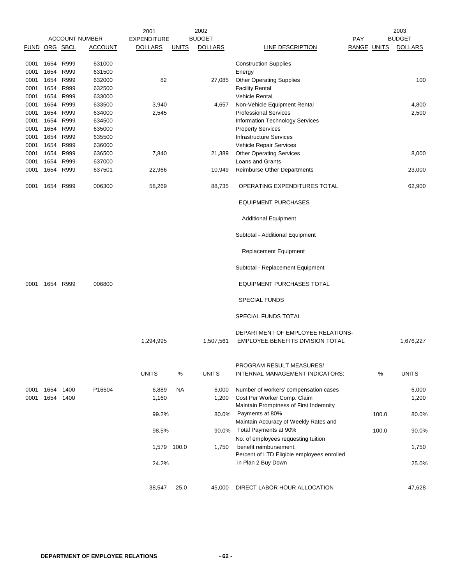| <b>BUDGET</b><br><b>ACCOUNT NUMBER</b><br><b>EXPENDITURE</b><br><b>PAY</b><br>FUND ORG SBCL<br><b>DOLLARS</b><br><b>DOLLARS</b><br>ACCOUNT<br><b>UNITS</b><br>LINE DESCRIPTION<br>1654<br>R999<br>631000<br><b>Construction Supplies</b><br>0001<br>1654<br>R999<br>631500<br>0001<br>Energy<br>1654<br>R999<br>632000<br>82<br><b>Other Operating Supplies</b><br>0001<br>27,085<br>1654<br>R999<br>632500<br>0001<br><b>Facility Rental</b><br>1654<br>R999<br>633000<br><b>Vehicle Rental</b><br>0001<br>1654 R999<br>633500<br>0001<br>3,940<br>Non-Vehicle Equipment Rental<br>4,657<br>1654 R999<br>634000<br>2,545<br>0001<br><b>Professional Services</b><br>1654<br>R999<br>634500<br>0001<br><b>Information Technology Services</b><br>1654<br>R999<br>635000<br>0001<br><b>Property Services</b><br>1654<br>R999<br>635500<br><b>Infrastructure Services</b><br>0001<br>1654<br>R999<br>636000<br>0001<br>Vehicle Repair Services<br>R999<br>636500<br><b>Other Operating Services</b><br>0001<br>1654<br>7,840<br>21,389<br>1654<br>R999<br>637000<br>Loans and Grants<br>0001 |                    |                |
|--------------------------------------------------------------------------------------------------------------------------------------------------------------------------------------------------------------------------------------------------------------------------------------------------------------------------------------------------------------------------------------------------------------------------------------------------------------------------------------------------------------------------------------------------------------------------------------------------------------------------------------------------------------------------------------------------------------------------------------------------------------------------------------------------------------------------------------------------------------------------------------------------------------------------------------------------------------------------------------------------------------------------------------------------------------------------------------------|--------------------|----------------|
|                                                                                                                                                                                                                                                                                                                                                                                                                                                                                                                                                                                                                                                                                                                                                                                                                                                                                                                                                                                                                                                                                            |                    | <b>BUDGET</b>  |
|                                                                                                                                                                                                                                                                                                                                                                                                                                                                                                                                                                                                                                                                                                                                                                                                                                                                                                                                                                                                                                                                                            | <b>RANGE UNITS</b> | <b>DOLLARS</b> |
|                                                                                                                                                                                                                                                                                                                                                                                                                                                                                                                                                                                                                                                                                                                                                                                                                                                                                                                                                                                                                                                                                            |                    |                |
|                                                                                                                                                                                                                                                                                                                                                                                                                                                                                                                                                                                                                                                                                                                                                                                                                                                                                                                                                                                                                                                                                            |                    |                |
|                                                                                                                                                                                                                                                                                                                                                                                                                                                                                                                                                                                                                                                                                                                                                                                                                                                                                                                                                                                                                                                                                            |                    |                |
|                                                                                                                                                                                                                                                                                                                                                                                                                                                                                                                                                                                                                                                                                                                                                                                                                                                                                                                                                                                                                                                                                            |                    | 100            |
|                                                                                                                                                                                                                                                                                                                                                                                                                                                                                                                                                                                                                                                                                                                                                                                                                                                                                                                                                                                                                                                                                            |                    |                |
|                                                                                                                                                                                                                                                                                                                                                                                                                                                                                                                                                                                                                                                                                                                                                                                                                                                                                                                                                                                                                                                                                            |                    |                |
|                                                                                                                                                                                                                                                                                                                                                                                                                                                                                                                                                                                                                                                                                                                                                                                                                                                                                                                                                                                                                                                                                            |                    | 4,800          |
|                                                                                                                                                                                                                                                                                                                                                                                                                                                                                                                                                                                                                                                                                                                                                                                                                                                                                                                                                                                                                                                                                            |                    | 2,500          |
|                                                                                                                                                                                                                                                                                                                                                                                                                                                                                                                                                                                                                                                                                                                                                                                                                                                                                                                                                                                                                                                                                            |                    |                |
|                                                                                                                                                                                                                                                                                                                                                                                                                                                                                                                                                                                                                                                                                                                                                                                                                                                                                                                                                                                                                                                                                            |                    |                |
|                                                                                                                                                                                                                                                                                                                                                                                                                                                                                                                                                                                                                                                                                                                                                                                                                                                                                                                                                                                                                                                                                            |                    |                |
|                                                                                                                                                                                                                                                                                                                                                                                                                                                                                                                                                                                                                                                                                                                                                                                                                                                                                                                                                                                                                                                                                            |                    |                |
|                                                                                                                                                                                                                                                                                                                                                                                                                                                                                                                                                                                                                                                                                                                                                                                                                                                                                                                                                                                                                                                                                            |                    | 8,000          |
|                                                                                                                                                                                                                                                                                                                                                                                                                                                                                                                                                                                                                                                                                                                                                                                                                                                                                                                                                                                                                                                                                            |                    |                |
| 1654<br>R999<br>637501<br>0001<br>22,966<br>10,949<br>Reimburse Other Departments                                                                                                                                                                                                                                                                                                                                                                                                                                                                                                                                                                                                                                                                                                                                                                                                                                                                                                                                                                                                          |                    | 23,000         |
| 006300<br>1654<br>R999<br>58,269<br>88,735<br>OPERATING EXPENDITURES TOTAL<br>0001                                                                                                                                                                                                                                                                                                                                                                                                                                                                                                                                                                                                                                                                                                                                                                                                                                                                                                                                                                                                         |                    | 62,900         |
| <b>EQUIPMENT PURCHASES</b>                                                                                                                                                                                                                                                                                                                                                                                                                                                                                                                                                                                                                                                                                                                                                                                                                                                                                                                                                                                                                                                                 |                    |                |
| <b>Additional Equipment</b>                                                                                                                                                                                                                                                                                                                                                                                                                                                                                                                                                                                                                                                                                                                                                                                                                                                                                                                                                                                                                                                                |                    |                |
| Subtotal - Additional Equipment                                                                                                                                                                                                                                                                                                                                                                                                                                                                                                                                                                                                                                                                                                                                                                                                                                                                                                                                                                                                                                                            |                    |                |
| <b>Replacement Equipment</b>                                                                                                                                                                                                                                                                                                                                                                                                                                                                                                                                                                                                                                                                                                                                                                                                                                                                                                                                                                                                                                                               |                    |                |
| Subtotal - Replacement Equipment                                                                                                                                                                                                                                                                                                                                                                                                                                                                                                                                                                                                                                                                                                                                                                                                                                                                                                                                                                                                                                                           |                    |                |
| 1654 R999<br>006800<br>EQUIPMENT PURCHASES TOTAL<br>0001                                                                                                                                                                                                                                                                                                                                                                                                                                                                                                                                                                                                                                                                                                                                                                                                                                                                                                                                                                                                                                   |                    |                |
| <b>SPECIAL FUNDS</b>                                                                                                                                                                                                                                                                                                                                                                                                                                                                                                                                                                                                                                                                                                                                                                                                                                                                                                                                                                                                                                                                       |                    |                |
| SPECIAL FUNDS TOTAL                                                                                                                                                                                                                                                                                                                                                                                                                                                                                                                                                                                                                                                                                                                                                                                                                                                                                                                                                                                                                                                                        |                    |                |
| DEPARTMENT OF EMPLOYEE RELATIONS-                                                                                                                                                                                                                                                                                                                                                                                                                                                                                                                                                                                                                                                                                                                                                                                                                                                                                                                                                                                                                                                          |                    |                |
| EMPLOYEE BENEFITS DIVISION TOTAL<br>1,294,995<br>1,507,561                                                                                                                                                                                                                                                                                                                                                                                                                                                                                                                                                                                                                                                                                                                                                                                                                                                                                                                                                                                                                                 |                    | 1,676,227      |
| PROGRAM RESULT MEASURES/                                                                                                                                                                                                                                                                                                                                                                                                                                                                                                                                                                                                                                                                                                                                                                                                                                                                                                                                                                                                                                                                   |                    |                |
| <b>UNITS</b><br>$\%$<br><b>UNITS</b><br>INTERNAL MANAGEMENT INDICATORS:                                                                                                                                                                                                                                                                                                                                                                                                                                                                                                                                                                                                                                                                                                                                                                                                                                                                                                                                                                                                                    | %                  | <b>UNITS</b>   |
| 1654 1400<br>P16504<br>6,889<br>NA.<br>Number of workers' compensation cases<br>0001<br>6,000                                                                                                                                                                                                                                                                                                                                                                                                                                                                                                                                                                                                                                                                                                                                                                                                                                                                                                                                                                                              |                    | 6,000          |
| 1654 1400<br>0001<br>1,160<br>Cost Per Worker Comp. Claim<br>1,200<br>Maintain Promptness of First Indemnity                                                                                                                                                                                                                                                                                                                                                                                                                                                                                                                                                                                                                                                                                                                                                                                                                                                                                                                                                                               |                    | 1,200          |
| Payments at 80%<br>99.2%<br>80.0%                                                                                                                                                                                                                                                                                                                                                                                                                                                                                                                                                                                                                                                                                                                                                                                                                                                                                                                                                                                                                                                          | 100.0              | 80.0%          |
| Maintain Accuracy of Weekly Rates and                                                                                                                                                                                                                                                                                                                                                                                                                                                                                                                                                                                                                                                                                                                                                                                                                                                                                                                                                                                                                                                      |                    |                |
| Total Payments at 90%<br>98.5%<br>90.0%                                                                                                                                                                                                                                                                                                                                                                                                                                                                                                                                                                                                                                                                                                                                                                                                                                                                                                                                                                                                                                                    | 100.0              | 90.0%          |
| No. of employees requesting tuition                                                                                                                                                                                                                                                                                                                                                                                                                                                                                                                                                                                                                                                                                                                                                                                                                                                                                                                                                                                                                                                        |                    |                |
| 100.0<br>1,750<br>benefit reimbursement.<br>1,579<br>Percent of LTD Eligible employees enrolled                                                                                                                                                                                                                                                                                                                                                                                                                                                                                                                                                                                                                                                                                                                                                                                                                                                                                                                                                                                            |                    | 1,750          |
| in Plan 2 Buy Down<br>24.2%                                                                                                                                                                                                                                                                                                                                                                                                                                                                                                                                                                                                                                                                                                                                                                                                                                                                                                                                                                                                                                                                |                    | 25.0%          |
| 38,547<br>25.0<br>DIRECT LABOR HOUR ALLOCATION<br>45,000                                                                                                                                                                                                                                                                                                                                                                                                                                                                                                                                                                                                                                                                                                                                                                                                                                                                                                                                                                                                                                   |                    | 47,628         |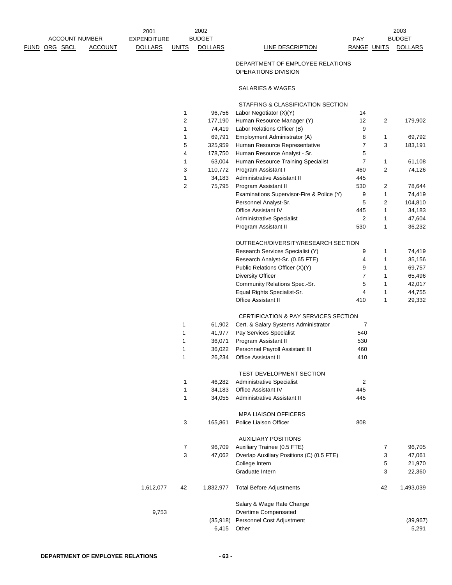# DEPARTMENT OF EMPLOYEE RELATIONS OPERATIONS DIVISION

# SALARIES & WAGES

# STAFFING & CLASSIFICATION SECTION

|           | 1  | 96,756    | Labor Negotiator (X)(Y)                         | 14  |              |           |
|-----------|----|-----------|-------------------------------------------------|-----|--------------|-----------|
|           | 2  | 177,190   | Human Resource Manager (Y)                      | 12  | 2            | 179,902   |
|           | 1  | 74,419    | Labor Relations Officer (B)                     | 9   |              |           |
|           | 1  | 69,791    | Employment Administrator (A)                    | 8   | 1            | 69,792    |
|           | 5  | 325,959   | Human Resource Representative                   | 7   | 3            | 183,191   |
|           | 4  | 178,750   | Human Resource Analyst - Sr.                    | 5   |              |           |
|           | 1  | 63,004    | Human Resource Training Specialist              | 7   | 1            | 61,108    |
|           | 3  | 110,772   | Program Assistant I                             | 460 | 2            | 74,126    |
|           | 1  | 34,183    | Administrative Assistant II                     | 445 |              |           |
|           | 2  | 75,795    | Program Assistant II                            | 530 | 2            | 78,644    |
|           |    |           | Examinations Supervisor-Fire & Police (Y)       | 9   | 1            | 74,419    |
|           |    |           | Personnel Analyst-Sr.                           | 5   | 2            | 104,810   |
|           |    |           | <b>Office Assistant IV</b>                      | 445 | 1            | 34,183    |
|           |    |           | <b>Administrative Specialist</b>                | 2   | 1            | 47,604    |
|           |    |           | Program Assistant II                            | 530 | 1            | 36,232    |
|           |    |           |                                                 |     |              |           |
|           |    |           | OUTREACH/DIVERSITY/RESEARCH SECTION             |     |              |           |
|           |    |           | Research Services Specialist (Y)                | 9   | 1            | 74,419    |
|           |    |           | Research Analyst-Sr. (0.65 FTE)                 | 4   | 1            | 35,156    |
|           |    |           | Public Relations Officer (X)(Y)                 | 9   | 1            | 69,757    |
|           |    |           | <b>Diversity Officer</b>                        | 7   | 1            | 65,496    |
|           |    |           | Community Relations Spec.-Sr.                   | 5   | $\mathbf{1}$ | 42,017    |
|           |    |           | Equal Rights Specialist-Sr.                     | 4   | $\mathbf{1}$ | 44,755    |
|           |    |           | <b>Office Assistant II</b>                      | 410 | $\mathbf{1}$ | 29,332    |
|           |    |           | <b>CERTIFICATION &amp; PAY SERVICES SECTION</b> |     |              |           |
|           | 1  | 61,902    | Cert. & Salary Systems Administrator            | 7   |              |           |
|           | 1  |           | Pay Services Specialist                         | 540 |              |           |
|           | 1  | 41,977    |                                                 | 530 |              |           |
|           | 1  | 36,071    | Program Assistant II                            |     |              |           |
|           |    | 36,022    | Personnel Payroll Assistant III                 | 460 |              |           |
|           | 1  | 26,234    | <b>Office Assistant II</b>                      | 410 |              |           |
|           |    |           | <b>TEST DEVELOPMENT SECTION</b>                 |     |              |           |
|           | 1  | 46,282    | <b>Administrative Specialist</b>                | 2   |              |           |
|           | 1  | 34,183    | <b>Office Assistant IV</b>                      | 445 |              |           |
|           | 1  | 34,055    | Administrative Assistant II                     | 445 |              |           |
|           |    |           | <b>MPA LIAISON OFFICERS</b>                     |     |              |           |
|           | 3  | 165,861   | Police Liaison Officer                          |     |              |           |
|           |    |           |                                                 | 808 |              |           |
|           |    |           | <b>AUXILIARY POSITIONS</b>                      |     |              |           |
|           | 7  | 96,709    | Auxiliary Trainee (0.5 FTE)                     |     | 7            | 96,705    |
|           | 3  | 47,062    | Overlap Auxiliary Positions (C) (0.5 FTE)       |     | 3            | 47,061    |
|           |    |           | College Intern                                  |     | 5            | 21,970    |
|           |    |           | Graduate Intern                                 |     | 3            | 22,360    |
| 1,612,077 | 42 | 1,832,977 | <b>Total Before Adjustments</b>                 |     | 42           | 1,493,039 |
|           |    |           | Salary & Wage Rate Change                       |     |              |           |
| 9,753     |    |           | Overtime Compensated                            |     |              |           |
|           |    | (35, 918) | Personnel Cost Adjustment                       |     |              | (39, 967) |
|           |    | 6,415     | Other                                           |     |              | 5,291     |
|           |    |           |                                                 |     |              |           |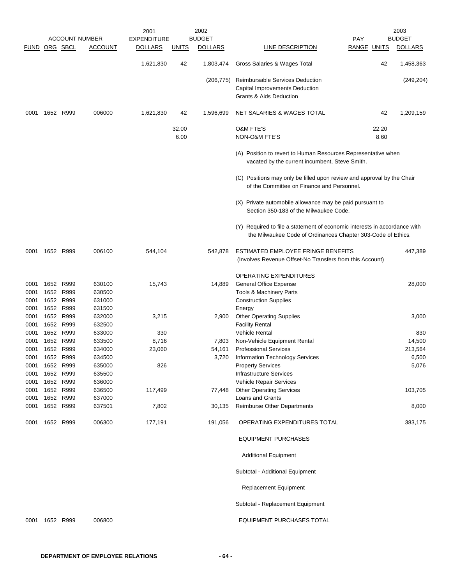|                      |           |           |                       | 2001               |              | 2002           |                                                                                                                                           |                    |       | 2003           |
|----------------------|-----------|-----------|-----------------------|--------------------|--------------|----------------|-------------------------------------------------------------------------------------------------------------------------------------------|--------------------|-------|----------------|
|                      |           |           | <b>ACCOUNT NUMBER</b> | <b>EXPENDITURE</b> |              | <b>BUDGET</b>  |                                                                                                                                           | PAY                |       | <b>BUDGET</b>  |
| <b>FUND ORG SBCL</b> |           |           | <b>ACCOUNT</b>        | <b>DOLLARS</b>     | <b>UNITS</b> | <b>DOLLARS</b> | LINE DESCRIPTION                                                                                                                          | <b>RANGE UNITS</b> |       | <b>DOLLARS</b> |
|                      |           |           |                       | 1,621,830          | 42           | 1,803,474      | Gross Salaries & Wages Total                                                                                                              |                    | 42    | 1,458,363      |
|                      |           |           |                       |                    |              | (206, 775)     | <b>Reimbursable Services Deduction</b><br>Capital Improvements Deduction<br><b>Grants &amp; Aids Deduction</b>                            |                    |       | (249, 204)     |
| 0001                 | 1652 R999 |           | 006000                | 1,621,830          | 42           | 1,596,699      | NET SALARIES & WAGES TOTAL                                                                                                                |                    | 42    | 1,209,159      |
|                      |           |           |                       |                    | 32.00        |                | <b>O&amp;M FTE'S</b>                                                                                                                      |                    | 22.20 |                |
|                      |           |           |                       |                    | 6.00         |                | NON-O&M FTE'S                                                                                                                             |                    | 8.60  |                |
|                      |           |           |                       |                    |              |                | (A) Position to revert to Human Resources Representative when<br>vacated by the current incumbent, Steve Smith.                           |                    |       |                |
|                      |           |           |                       |                    |              |                | (C) Positions may only be filled upon review and approval by the Chair<br>of the Committee on Finance and Personnel.                      |                    |       |                |
|                      |           |           |                       |                    |              |                | (X) Private automobile allowance may be paid pursuant to<br>Section 350-183 of the Milwaukee Code.                                        |                    |       |                |
|                      |           |           |                       |                    |              |                | (Y) Required to file a statement of economic interests in accordance with<br>the Milwaukee Code of Ordinances Chapter 303-Code of Ethics. |                    |       |                |
| 0001                 | 1652 R999 |           | 006100                | 544,104            |              | 542,878        | ESTIMATED EMPLOYEE FRINGE BENEFITS<br>(Involves Revenue Offset-No Transfers from this Account)                                            |                    |       | 447,389        |
|                      |           |           |                       |                    |              |                | <b>OPERATING EXPENDITURES</b>                                                                                                             |                    |       |                |
| 0001                 | 1652      | R999      | 630100                | 15,743             |              | 14,889         | <b>General Office Expense</b>                                                                                                             |                    |       | 28,000         |
| 0001                 | 1652      | R999      | 630500                |                    |              |                | Tools & Machinery Parts                                                                                                                   |                    |       |                |
| 0001                 |           | 1652 R999 | 631000                |                    |              |                | <b>Construction Supplies</b>                                                                                                              |                    |       |                |
| 0001                 | 1652      | R999      | 631500                |                    |              |                | Energy                                                                                                                                    |                    |       |                |
| 0001                 | 1652      | R999      | 632000                | 3,215              |              | 2,900          | <b>Other Operating Supplies</b>                                                                                                           |                    |       | 3,000          |
| 0001                 |           | 1652 R999 | 632500                |                    |              |                | <b>Facility Rental</b>                                                                                                                    |                    |       |                |
| 0001                 | 1652      | R999      | 633000                | 330                |              |                | Vehicle Rental                                                                                                                            |                    |       | 830            |
| 0001                 | 1652      | R999      | 633500                | 8,716              |              | 7,803          | Non-Vehicle Equipment Rental                                                                                                              |                    |       | 14,500         |
| 0001                 | 1652      | R999      | 634000                | 23,060             |              | 54,161         | <b>Professional Services</b>                                                                                                              |                    |       | 213,564        |
| 0001                 | 1652      | R999      | 634500                |                    |              | 3,720          | Information Technology Services                                                                                                           |                    |       | 6,500          |
| 0001                 | 1652 R999 |           | 635000                | 826                |              |                | <b>Property Services</b>                                                                                                                  |                    |       | 5,076          |
| 0001                 | 1652      | R999      | 635500                |                    |              |                | Infrastructure Services                                                                                                                   |                    |       |                |
| 0001                 | 1652 R999 |           | 636000                |                    |              |                | Vehicle Repair Services                                                                                                                   |                    |       |                |
| 0001                 | 1652      | R999      | 636500                | 117,499            |              | 77,448         | <b>Other Operating Services</b>                                                                                                           |                    |       | 103,705        |
| 0001                 | 1652 R999 |           | 637000                |                    |              |                | Loans and Grants                                                                                                                          |                    |       |                |
| 0001                 | 1652 R999 |           | 637501                | 7,802              |              | 30,135         | <b>Reimburse Other Departments</b>                                                                                                        |                    |       | 8,000          |
| 0001                 |           | 1652 R999 | 006300                | 177,191            |              | 191,056        | OPERATING EXPENDITURES TOTAL                                                                                                              |                    |       | 383,175        |
|                      |           |           |                       |                    |              |                | <b>EQUIPMENT PURCHASES</b>                                                                                                                |                    |       |                |
|                      |           |           |                       |                    |              |                | <b>Additional Equipment</b>                                                                                                               |                    |       |                |
|                      |           |           |                       |                    |              |                | Subtotal - Additional Equipment                                                                                                           |                    |       |                |
|                      |           |           |                       |                    |              |                | Replacement Equipment                                                                                                                     |                    |       |                |
|                      |           |           |                       |                    |              |                | Subtotal - Replacement Equipment                                                                                                          |                    |       |                |
| 0001                 | 1652 R999 |           | 006800                |                    |              |                | EQUIPMENT PURCHASES TOTAL                                                                                                                 |                    |       |                |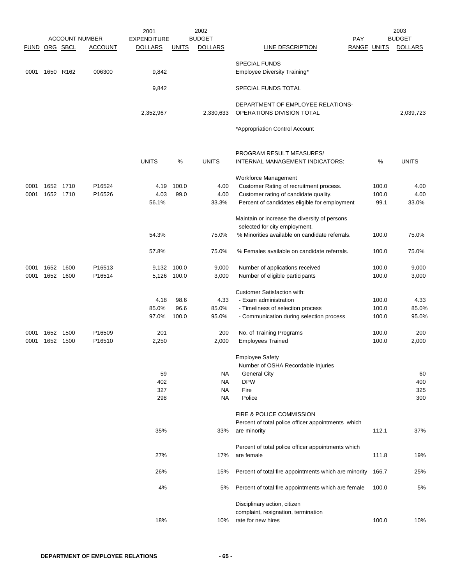|               |      |           | <b>ACCOUNT NUMBER</b> | 2001<br><b>EXPENDITURE</b> |              | 2002<br><b>BUDGET</b> | PAY                                                                            |             | 2003<br><b>BUDGET</b> |
|---------------|------|-----------|-----------------------|----------------------------|--------------|-----------------------|--------------------------------------------------------------------------------|-------------|-----------------------|
| FUND ORG SBCL |      |           | <b>ACCOUNT</b>        | <b>DOLLARS</b>             | <u>UNITS</u> | <b>DOLLARS</b>        | LINE DESCRIPTION                                                               | RANGE UNITS | <b>DOLLARS</b>        |
|               |      |           |                       |                            |              |                       |                                                                                |             |                       |
| 0001          |      | 1650 R162 | 006300                | 9,842                      |              |                       | <b>SPECIAL FUNDS</b><br>Employee Diversity Training*                           |             |                       |
|               |      |           |                       | 9,842                      |              |                       | SPECIAL FUNDS TOTAL                                                            |             |                       |
|               |      |           |                       | 2,352,967                  |              | 2,330,633             | DEPARTMENT OF EMPLOYEE RELATIONS-<br>OPERATIONS DIVISION TOTAL                 |             | 2,039,723             |
|               |      |           |                       |                            |              |                       | *Appropriation Control Account                                                 |             |                       |
|               |      |           |                       |                            |              |                       |                                                                                |             |                       |
|               |      |           |                       | <b>UNITS</b>               | %            | <b>UNITS</b>          | PROGRAM RESULT MEASURES/<br>INTERNAL MANAGEMENT INDICATORS:                    | %           | <b>UNITS</b>          |
| 0001          |      | 1652 1710 | P16524                | 4.19                       | 100.0        | 4.00                  | Workforce Management<br>Customer Rating of recruitment process.                | 100.0       | 4.00                  |
| 0001          |      | 1652 1710 | P16526                | 4.03                       | 99.0         | 4.00                  | Customer rating of candidate quality.                                          | 100.0       | 4.00                  |
|               |      |           |                       | 56.1%                      |              | 33.3%                 | Percent of candidates eligible for employment                                  | 99.1        | 33.0%                 |
|               |      |           |                       |                            |              |                       | Maintain or increase the diversity of persons<br>selected for city employment. |             |                       |
|               |      |           |                       | 54.3%                      |              | 75.0%                 | % Minorities available on candidate referrals.                                 | 100.0       | 75.0%                 |
|               |      |           |                       | 57.8%                      |              | 75.0%                 | % Females available on candidate referrals.                                    | 100.0       | 75.0%                 |
| 0001          | 1652 | 1600      | P16513                | 9,132                      | 100.0        | 9,000                 | Number of applications received                                                | 100.0       | 9,000                 |
| 0001          | 1652 | 1600      | P16514                |                            | 5,126 100.0  | 3,000                 | Number of eligible participants                                                | 100.0       | 3,000                 |
|               |      |           |                       |                            |              |                       | <b>Customer Satisfaction with:</b>                                             |             |                       |
|               |      |           |                       | 4.18                       | 98.6         | 4.33                  | - Exam administration                                                          | 100.0       | 4.33                  |
|               |      |           |                       | 85.0%                      | 96.6         | 85.0%                 | - Timeliness of selection process                                              | 100.0       | 85.0%                 |
|               |      |           |                       | 97.0%                      | 100.0        | 95.0%                 | - Communication during selection process                                       | 100.0       | 95.0%                 |
| 0001          | 1652 | 1500      | P16509                | 201                        |              | 200                   | No. of Training Programs                                                       | 100.0       | 200                   |
| 0001          | 1652 | 1500      | P16510                | 2,250                      |              | 2,000                 | <b>Employees Trained</b>                                                       | 100.0       | 2,000                 |
|               |      |           |                       |                            |              |                       | <b>Employee Safety</b><br>Number of OSHA Recordable Injuries                   |             |                       |
|               |      |           |                       | 59                         |              | NA                    | <b>General City</b>                                                            |             | 60                    |
|               |      |           |                       | 402                        |              | <b>NA</b>             | <b>DPW</b>                                                                     |             | 400                   |
|               |      |           |                       | 327                        |              | <b>NA</b>             | Fire                                                                           |             | 325                   |
|               |      |           |                       | 298                        |              | NA                    | Police                                                                         |             | 300                   |
|               |      |           |                       |                            |              |                       | FIRE & POLICE COMMISSION                                                       |             |                       |
|               |      |           |                       |                            |              |                       | Percent of total police officer appointments which                             |             |                       |
|               |      |           |                       | 35%                        |              | 33%                   | are minority                                                                   | 112.1       | 37%                   |
|               |      |           |                       |                            |              |                       | Percent of total police officer appointments which                             |             |                       |
|               |      |           |                       | 27%                        |              | 17%                   | are female                                                                     | 111.8       | 19%                   |
|               |      |           |                       | 26%                        |              | 15%                   | Percent of total fire appointments which are minority                          | 166.7       | 25%                   |
|               |      |           |                       | 4%                         |              | 5%                    | Percent of total fire appointments which are female                            | 100.0       | 5%                    |
|               |      |           |                       |                            |              |                       | Disciplinary action, citizen                                                   |             |                       |
|               |      |           |                       |                            |              |                       | complaint, resignation, termination                                            |             |                       |
|               |      |           |                       | 18%                        |              | 10%                   | rate for new hires                                                             | 100.0       | 10%                   |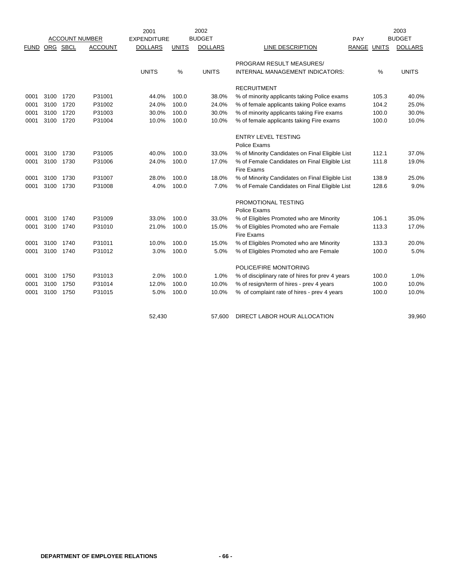|             |           |      |                       | 2001               |              | 2002           |                                                      |                    |       | 2003           |
|-------------|-----------|------|-----------------------|--------------------|--------------|----------------|------------------------------------------------------|--------------------|-------|----------------|
|             |           |      | <b>ACCOUNT NUMBER</b> | <b>EXPENDITURE</b> |              | <b>BUDGET</b>  |                                                      | PAY                |       | <b>BUDGET</b>  |
| <b>FUND</b> | ORG SBCL  |      | <b>ACCOUNT</b>        | <b>DOLLARS</b>     | <b>UNITS</b> | <b>DOLLARS</b> | LINE DESCRIPTION                                     | <b>RANGE UNITS</b> |       | <b>DOLLARS</b> |
|             |           |      |                       |                    |              |                | PROGRAM RESULT MEASURES/                             |                    |       |                |
|             |           |      |                       | <b>UNITS</b>       | %            | <b>UNITS</b>   | INTERNAL MANAGEMENT INDICATORS:                      |                    | %     | <b>UNITS</b>   |
|             |           |      |                       |                    |              |                | <b>RECRUITMENT</b>                                   |                    |       |                |
| 0001        | 3100      | 1720 | P31001                | 44.0%              | 100.0        | 38.0%          | % of minority applicants taking Police exams         |                    | 105.3 | 40.0%          |
| 0001        | 3100      | 1720 | P31002                | 24.0%              | 100.0        | 24.0%          | % of female applicants taking Police exams           |                    | 104.2 | 25.0%          |
| 0001        | 3100 1720 |      | P31003                | 30.0%              | 100.0        | 30.0%          | % of minority applicants taking Fire exams           |                    | 100.0 | 30.0%          |
| 0001        | 3100 1720 |      | P31004                | 10.0%              | 100.0        | 10.0%          | % of female applicants taking Fire exams             |                    | 100.0 | 10.0%          |
|             |           |      |                       |                    |              |                | <b>ENTRY LEVEL TESTING</b>                           |                    |       |                |
|             |           |      |                       |                    |              |                | Police Exams                                         |                    |       |                |
| 0001        | 3100      | 1730 | P31005                | 40.0%              | 100.0        | 33.0%          | % of Minority Candidates on Final Eligible List      |                    | 112.1 | 37.0%          |
| 0001        | 3100 1730 |      | P31006                | 24.0%              | 100.0        | 17.0%          | % of Female Candidates on Final Eligible List        |                    | 111.8 | 19.0%          |
|             |           |      |                       |                    |              |                | Fire Exams                                           |                    |       |                |
| 0001        | 3100      | 1730 | P31007                | 28.0%              | 100.0        | 18.0%          | % of Minority Candidates on Final Eligible List      |                    | 138.9 | 25.0%          |
| 0001        | 3100      | 1730 | P31008                | 4.0%               | 100.0        | 7.0%           | % of Female Candidates on Final Eligible List        |                    | 128.6 | 9.0%           |
|             |           |      |                       |                    |              |                | PROMOTIONAL TESTING                                  |                    |       |                |
|             |           |      |                       |                    |              |                | Police Exams                                         |                    |       |                |
| 0001        | 3100      | 1740 | P31009                | 33.0%              | 100.0        | 33.0%          | % of Eligibles Promoted who are Minority             |                    | 106.1 | 35.0%          |
| 0001        | 3100 1740 |      | P31010                | 21.0%              | 100.0        | 15.0%          | % of Eligibles Promoted who are Female<br>Fire Exams |                    | 113.3 | 17.0%          |
| 0001        | 3100 1740 |      | P31011                | 10.0%              | 100.0        | 15.0%          | % of Eligibles Promoted who are Minority             |                    | 133.3 | 20.0%          |
| 0001        | 3100 1740 |      | P31012                | 3.0%               | 100.0        | 5.0%           | % of Eligibles Promoted who are Female               |                    | 100.0 | 5.0%           |
|             |           |      |                       |                    |              |                | POLICE/FIRE MONITORING                               |                    |       |                |
| 0001        | 3100 1750 |      | P31013                | 2.0%               | 100.0        | 1.0%           | % of disciplinary rate of hires for prev 4 years     |                    | 100.0 | 1.0%           |
| 0001        | 3100      | 1750 | P31014                | 12.0%              | 100.0        | 10.0%          | % of resign/term of hires - prev 4 years             |                    | 100.0 | 10.0%          |
| 0001        | 3100 1750 |      | P31015                | 5.0%               | 100.0        | 10.0%          | % of complaint rate of hires - prev 4 years          |                    | 100.0 | 10.0%          |
|             |           |      |                       |                    |              |                |                                                      |                    |       |                |
|             |           |      |                       | 52,430             |              | 57,600         | DIRECT LABOR HOUR ALLOCATION                         |                    |       | 39,960         |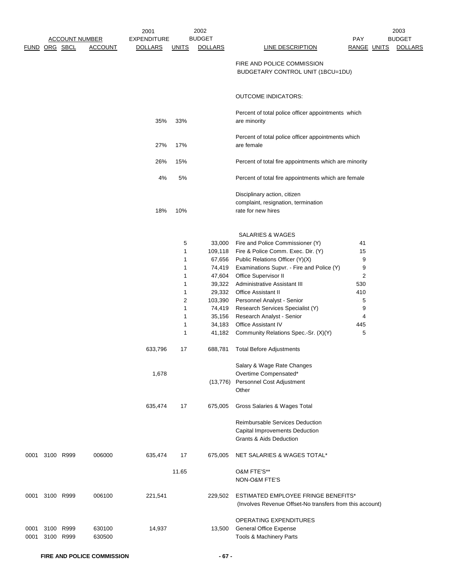|              |                | <b>ACCOUNT NUMBER</b> |                  | 2001<br><b>EXPENDITURE</b>  |                                                                                   | 2002<br><b>BUDGET</b>                                                                                                                                     |                                                                                                                                                                                                                                                                                                                                                                                                                                                                                                                                                                                                                                                                                       | <b>PAY</b>                                                       | 2003<br><b>BUDGET</b> |
|--------------|----------------|-----------------------|------------------|-----------------------------|-----------------------------------------------------------------------------------|-----------------------------------------------------------------------------------------------------------------------------------------------------------|---------------------------------------------------------------------------------------------------------------------------------------------------------------------------------------------------------------------------------------------------------------------------------------------------------------------------------------------------------------------------------------------------------------------------------------------------------------------------------------------------------------------------------------------------------------------------------------------------------------------------------------------------------------------------------------|------------------------------------------------------------------|-----------------------|
|              | FUND ORG SBCL  |                       | <b>ACCOUNT</b>   | <b>DOLLARS</b>              | <b>UNITS</b>                                                                      | <b>DOLLARS</b>                                                                                                                                            | LINE DESCRIPTION                                                                                                                                                                                                                                                                                                                                                                                                                                                                                                                                                                                                                                                                      | RANGE UNITS                                                      | <b>DOLLARS</b>        |
|              |                |                       |                  |                             |                                                                                   |                                                                                                                                                           | FIRE AND POLICE COMMISSION<br>BUDGETARY CONTROL UNIT (1BCU=1DU)                                                                                                                                                                                                                                                                                                                                                                                                                                                                                                                                                                                                                       |                                                                  |                       |
|              |                |                       |                  |                             |                                                                                   |                                                                                                                                                           | <b>OUTCOME INDICATORS:</b>                                                                                                                                                                                                                                                                                                                                                                                                                                                                                                                                                                                                                                                            |                                                                  |                       |
|              |                |                       |                  | 35%                         | 33%                                                                               |                                                                                                                                                           | Percent of total police officer appointments which<br>are minority                                                                                                                                                                                                                                                                                                                                                                                                                                                                                                                                                                                                                    |                                                                  |                       |
|              |                |                       |                  | 27%                         | 17%                                                                               |                                                                                                                                                           | Percent of total police officer appointments which<br>are female                                                                                                                                                                                                                                                                                                                                                                                                                                                                                                                                                                                                                      |                                                                  |                       |
|              |                |                       |                  | 26%                         | 15%                                                                               |                                                                                                                                                           | Percent of total fire appointments which are minority                                                                                                                                                                                                                                                                                                                                                                                                                                                                                                                                                                                                                                 |                                                                  |                       |
|              |                |                       |                  | 4%                          | 5%                                                                                |                                                                                                                                                           | Percent of total fire appointments which are female                                                                                                                                                                                                                                                                                                                                                                                                                                                                                                                                                                                                                                   |                                                                  |                       |
|              |                |                       |                  | 18%                         | 10%                                                                               |                                                                                                                                                           | Disciplinary action, citizen<br>complaint, resignation, termination<br>rate for new hires                                                                                                                                                                                                                                                                                                                                                                                                                                                                                                                                                                                             |                                                                  |                       |
|              |                |                       |                  | 633,796<br>1,678<br>635,474 | 5<br>1<br>1<br>1<br>1<br>1<br>1<br>$\overline{c}$<br>1<br>1<br>1<br>1<br>17<br>17 | 33,000<br>109,118<br>67,656<br>74,419<br>47,604<br>39,322<br>29,332<br>103,390<br>74,419<br>35,156<br>34,183<br>41,182<br>688,781<br>(13, 776)<br>675,005 | <b>SALARIES &amp; WAGES</b><br>Fire and Police Commissioner (Y)<br>Fire & Police Comm. Exec. Dir. (Y)<br>Public Relations Officer (Y)(X)<br>Examinations Supvr. - Fire and Police (Y)<br>Office Supervisor II<br>Administrative Assistant III<br><b>Office Assistant II</b><br>Personnel Analyst - Senior<br>Research Services Specialist (Y)<br>Research Analyst - Senior<br><b>Office Assistant IV</b><br>Community Relations Spec.-Sr. (X)(Y)<br><b>Total Before Adjustments</b><br>Salary & Wage Rate Changes<br>Overtime Compensated*<br>Personnel Cost Adjustment<br>Other<br>Gross Salaries & Wages Total<br>Reimbursable Services Deduction<br>Capital Improvements Deduction | 41<br>15<br>9<br>9<br>2<br>530<br>410<br>5<br>9<br>4<br>445<br>5 |                       |
| 0001         | 3100 R999      |                       | 006000           | 635,474                     | 17                                                                                | 675,005                                                                                                                                                   | Grants & Aids Deduction<br>NET SALARIES & WAGES TOTAL*                                                                                                                                                                                                                                                                                                                                                                                                                                                                                                                                                                                                                                |                                                                  |                       |
|              |                |                       |                  |                             | 11.65                                                                             |                                                                                                                                                           | O&M FTE'S**<br>NON-O&M FTE'S                                                                                                                                                                                                                                                                                                                                                                                                                                                                                                                                                                                                                                                          |                                                                  |                       |
|              | 0001 3100 R999 |                       | 006100           | 221,541                     |                                                                                   | 229,502                                                                                                                                                   | ESTIMATED EMPLOYEE FRINGE BENEFITS*<br>(Involves Revenue Offset-No transfers from this account)                                                                                                                                                                                                                                                                                                                                                                                                                                                                                                                                                                                       |                                                                  |                       |
| 0001<br>0001 | 3100<br>3100   | R999<br>R999          | 630100<br>630500 | 14,937                      |                                                                                   | 13,500                                                                                                                                                    | OPERATING EXPENDITURES<br><b>General Office Expense</b><br>Tools & Machinery Parts                                                                                                                                                                                                                                                                                                                                                                                                                                                                                                                                                                                                    |                                                                  |                       |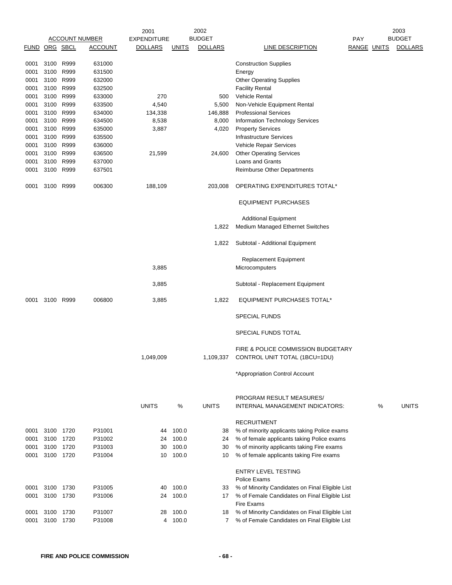|      |               |      |                       | 2001               |              | 2002           | 2003                                                            |             |   |                |  |
|------|---------------|------|-----------------------|--------------------|--------------|----------------|-----------------------------------------------------------------|-------------|---|----------------|--|
|      |               |      | <b>ACCOUNT NUMBER</b> | <b>EXPENDITURE</b> |              | BUDGET         |                                                                 | PAY         |   | <b>BUDGET</b>  |  |
|      | FUND ORG SBCL |      | <u>ACCOUNT</u>        | <u>DOLLARS</u>     | <u>UNITS</u> | <b>DOLLARS</b> | <b>LINE DESCRIPTION</b>                                         | RANGE UNITS |   | <b>DOLLARS</b> |  |
| 0001 | 3100          | R999 | 631000                |                    |              |                | <b>Construction Supplies</b>                                    |             |   |                |  |
| 0001 | 3100          | R999 | 631500                |                    |              |                | Energy                                                          |             |   |                |  |
| 0001 | 3100          | R999 | 632000                |                    |              |                | <b>Other Operating Supplies</b>                                 |             |   |                |  |
| 0001 | 3100          | R999 | 632500                |                    |              |                | <b>Facility Rental</b>                                          |             |   |                |  |
| 0001 | 3100          | R999 | 633000                | 270                |              | 500            | <b>Vehicle Rental</b>                                           |             |   |                |  |
| 0001 | 3100 R999     |      | 633500                | 4,540              |              | 5,500          | Non-Vehicle Equipment Rental                                    |             |   |                |  |
| 0001 | 3100          | R999 | 634000                | 134,338            |              | 146,888        | <b>Professional Services</b>                                    |             |   |                |  |
| 0001 | 3100          | R999 | 634500                | 8,538              |              | 8,000          | Information Technology Services                                 |             |   |                |  |
| 0001 | 3100          | R999 | 635000                | 3,887              |              | 4,020          | <b>Property Services</b>                                        |             |   |                |  |
| 0001 | 3100          | R999 | 635500                |                    |              |                | <b>Infrastructure Services</b>                                  |             |   |                |  |
|      |               |      |                       |                    |              |                |                                                                 |             |   |                |  |
| 0001 | 3100          | R999 | 636000                |                    |              |                | Vehicle Repair Services                                         |             |   |                |  |
| 0001 | 3100          | R999 | 636500                | 21,599             |              | 24,600         | <b>Other Operating Services</b>                                 |             |   |                |  |
| 0001 | 3100          | R999 | 637000                |                    |              |                | Loans and Grants                                                |             |   |                |  |
| 0001 | 3100          | R999 | 637501                |                    |              |                | Reimburse Other Departments                                     |             |   |                |  |
| 0001 | 3100 R999     |      | 006300                | 188,109            |              | 203,008        | OPERATING EXPENDITURES TOTAL*                                   |             |   |                |  |
|      |               |      |                       |                    |              |                | <b>EQUIPMENT PURCHASES</b>                                      |             |   |                |  |
|      |               |      |                       |                    |              |                |                                                                 |             |   |                |  |
|      |               |      |                       |                    |              |                | <b>Additional Equipment</b><br>Medium Managed Ethernet Switches |             |   |                |  |
|      |               |      |                       |                    |              | 1,822          |                                                                 |             |   |                |  |
|      |               |      |                       |                    |              | 1,822          | Subtotal - Additional Equipment                                 |             |   |                |  |
|      |               |      |                       |                    |              |                | <b>Replacement Equipment</b>                                    |             |   |                |  |
|      |               |      |                       | 3,885              |              |                | Microcomputers                                                  |             |   |                |  |
|      |               |      |                       |                    |              |                |                                                                 |             |   |                |  |
|      |               |      |                       | 3,885              |              |                | Subtotal - Replacement Equipment                                |             |   |                |  |
| 0001 | 3100 R999     |      | 006800                | 3,885              |              | 1,822          | EQUIPMENT PURCHASES TOTAL*                                      |             |   |                |  |
|      |               |      |                       |                    |              |                | <b>SPECIAL FUNDS</b>                                            |             |   |                |  |
|      |               |      |                       |                    |              |                | SPECIAL FUNDS TOTAL                                             |             |   |                |  |
|      |               |      |                       |                    |              |                | FIRE & POLICE COMMISSION BUDGETARY                              |             |   |                |  |
|      |               |      |                       | 1,049,009          |              | 1,109,337      | CONTROL UNIT TOTAL (1BCU=1DU)                                   |             |   |                |  |
|      |               |      |                       |                    |              |                | *Appropriation Control Account                                  |             |   |                |  |
|      |               |      |                       |                    |              |                |                                                                 |             |   |                |  |
|      |               |      |                       | <b>UNITS</b>       | %            | <b>UNITS</b>   | PROGRAM RESULT MEASURES/<br>INTERNAL MANAGEMENT INDICATORS:     |             | % | <b>UNITS</b>   |  |
|      |               |      |                       |                    |              |                |                                                                 |             |   |                |  |
|      |               |      |                       |                    |              |                | <b>RECRUITMENT</b>                                              |             |   |                |  |
| 0001 | 3100          | 1720 | P31001                | 44                 | 100.0        | 38             | % of minority applicants taking Police exams                    |             |   |                |  |
| 0001 | 3100          | 1720 | P31002                | 24                 | 100.0        | 24             | % of female applicants taking Police exams                      |             |   |                |  |
| 0001 | 3100          | 1720 | P31003                | 30                 | 100.0        | 30             | % of minority applicants taking Fire exams                      |             |   |                |  |
| 0001 | 3100 1720     |      | P31004                | 10                 | 100.0        | 10             | % of female applicants taking Fire exams                        |             |   |                |  |
|      |               |      |                       |                    |              |                |                                                                 |             |   |                |  |
|      |               |      |                       |                    |              |                | <b>ENTRY LEVEL TESTING</b>                                      |             |   |                |  |
|      |               |      |                       |                    |              |                | Police Exams                                                    |             |   |                |  |
| 0001 | 3100          | 1730 | P31005                | 40                 | 100.0        | 33             | % of Minority Candidates on Final Eligible List                 |             |   |                |  |
| 0001 | 3100          | 1730 | P31006                | 24                 | 100.0        | 17             | % of Female Candidates on Final Eligible List                   |             |   |                |  |
|      |               |      |                       |                    |              |                | <b>Fire Exams</b>                                               |             |   |                |  |
| 0001 | 3100          | 1730 | P31007                | 28                 | 100.0        | 18             | % of Minority Candidates on Final Eligible List                 |             |   |                |  |
| 0001 | 3100          | 1730 | P31008                | 4                  | 100.0        | 7              | % of Female Candidates on Final Eligible List                   |             |   |                |  |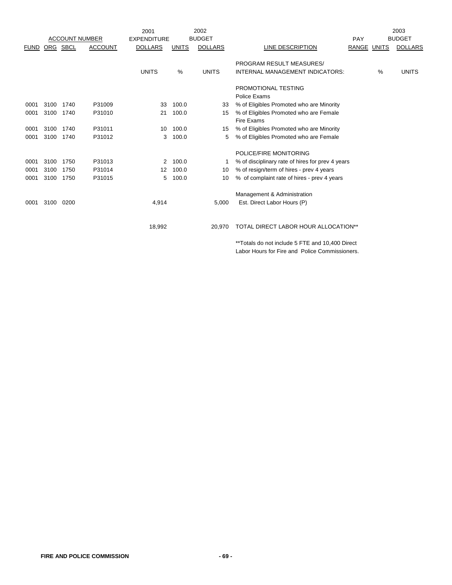|             |          |      |                       | 2001               |              | 2002           |                                                  |             |      | 2003           |
|-------------|----------|------|-----------------------|--------------------|--------------|----------------|--------------------------------------------------|-------------|------|----------------|
|             |          |      | <b>ACCOUNT NUMBER</b> | <b>EXPENDITURE</b> |              | <b>BUDGET</b>  |                                                  | <b>PAY</b>  |      | <b>BUDGET</b>  |
| <b>FUND</b> | ORG SBCL |      | <b>ACCOUNT</b>        | <b>DOLLARS</b>     | <b>UNITS</b> | <b>DOLLARS</b> | LINE DESCRIPTION                                 | RANGE UNITS |      | <b>DOLLARS</b> |
|             |          |      |                       |                    |              |                | PROGRAM RESULT MEASURES/                         |             |      |                |
|             |          |      |                       | <b>UNITS</b>       | $\%$         | <b>UNITS</b>   | INTERNAL MANAGEMENT INDICATORS:                  |             | $\%$ | <b>UNITS</b>   |
|             |          |      |                       |                    |              |                | PROMOTIONAL TESTING                              |             |      |                |
|             |          |      |                       |                    |              |                | Police Exams                                     |             |      |                |
| 0001        | 3100     | 1740 | P31009                | 33                 | 100.0        | 33             | % of Eligibles Promoted who are Minority         |             |      |                |
| 0001        | 3100     | 1740 | P31010                | 21                 | 100.0        | 15             | % of Eligibles Promoted who are Female           |             |      |                |
|             |          |      |                       |                    |              |                | <b>Fire Exams</b>                                |             |      |                |
| 0001        | 3100     | 1740 | P31011                | 10                 | 100.0        | 15             | % of Eligibles Promoted who are Minority         |             |      |                |
| 0001        | 3100     | 1740 | P31012                | 3                  | 100.0        | 5              | % of Eligibles Promoted who are Female           |             |      |                |
|             |          |      |                       |                    |              |                | POLICE/FIRE MONITORING                           |             |      |                |
| 0001        | 3100     | 1750 | P31013                | 2                  | 100.0        |                | % of disciplinary rate of hires for prev 4 years |             |      |                |
| 0001        | 3100     | 1750 | P31014                | 12                 | 100.0        | 10             | % of resign/term of hires - prev 4 years         |             |      |                |
| 0001        | 3100     | 1750 | P31015                | 5                  | 100.0        | 10             | % of complaint rate of hires - prev 4 years      |             |      |                |
|             |          |      |                       |                    |              |                | Management & Administration                      |             |      |                |
| 0001        | 3100     | 0200 |                       | 4,914              |              | 5,000          | Est. Direct Labor Hours (P)                      |             |      |                |
|             |          |      |                       |                    |              |                |                                                  |             |      |                |
|             |          |      |                       | 18,992             |              | 20.970         | TOTAL DIRECT LABOR HOUR ALLOCATION**             |             |      |                |
|             |          |      |                       |                    |              |                | _________________                                |             |      |                |

\*\*Totals do not include 5 FTE and 10,400 Direct Labor Hours for Fire and Police Commissioners.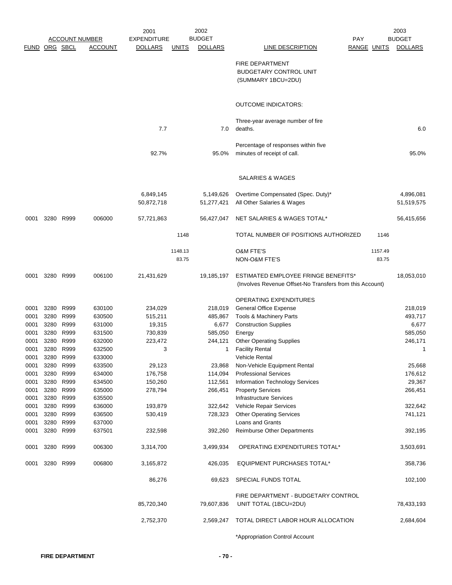|             |      |           |                       | 2002<br>2001       |              |                |                                                          |                    | 2003    |                |
|-------------|------|-----------|-----------------------|--------------------|--------------|----------------|----------------------------------------------------------|--------------------|---------|----------------|
|             |      |           | <b>ACCOUNT NUMBER</b> | <b>EXPENDITURE</b> |              | <b>BUDGET</b>  | PAY                                                      |                    |         | <b>BUDGET</b>  |
| <b>FUND</b> |      | ORG SBCL  | ACCOUNT               | <b>DOLLARS</b>     | <u>UNITS</u> | <b>DOLLARS</b> | <b>LINE DESCRIPTION</b>                                  | <b>RANGE UNITS</b> |         | <b>DOLLARS</b> |
|             |      |           |                       |                    |              |                | FIRE DEPARTMENT                                          |                    |         |                |
|             |      |           |                       |                    |              |                | <b>BUDGETARY CONTROL UNIT</b>                            |                    |         |                |
|             |      |           |                       |                    |              |                |                                                          |                    |         |                |
|             |      |           |                       |                    |              |                | (SUMMARY 1BCU=2DU)                                       |                    |         |                |
|             |      |           |                       |                    |              |                | <b>OUTCOME INDICATORS:</b>                               |                    |         |                |
|             |      |           |                       |                    |              |                | Three-year average number of fire                        |                    |         |                |
|             |      |           |                       | 7.7                |              | 7.0            | deaths.                                                  |                    |         | 6.0            |
|             |      |           |                       |                    |              |                | Percentage of responses within five                      |                    |         |                |
|             |      |           |                       | 92.7%              |              | 95.0%          | minutes of receipt of call.                              |                    |         | 95.0%          |
|             |      |           |                       |                    |              |                |                                                          |                    |         |                |
|             |      |           |                       |                    |              |                | SALARIES & WAGES                                         |                    |         |                |
|             |      |           |                       | 6,849,145          |              | 5,149,626      | Overtime Compensated (Spec. Duty)*                       |                    |         | 4,896,081      |
|             |      |           |                       | 50,872,718         |              | 51,277,421     | All Other Salaries & Wages                               |                    |         | 51,519,575     |
| 0001        | 3280 | R999      | 006000                | 57,721,863         |              | 56,427,047     | NET SALARIES & WAGES TOTAL*                              |                    |         | 56,415,656     |
|             |      |           |                       |                    | 1148         |                | TOTAL NUMBER OF POSITIONS AUTHORIZED                     |                    | 1146    |                |
|             |      |           |                       |                    | 1148.13      |                | <b>O&amp;M FTE'S</b>                                     |                    | 1157.49 |                |
|             |      |           |                       |                    | 83.75        |                | NON-O&M FTE'S                                            |                    | 83.75   |                |
| 0001        |      | 3280 R999 | 006100                | 21,431,629         |              | 19,185,197     | <b>ESTIMATED EMPLOYEE FRINGE BENEFITS*</b>               |                    |         | 18,053,010     |
|             |      |           |                       |                    |              |                | (Involves Revenue Offset-No Transfers from this Account) |                    |         |                |
|             |      |           |                       |                    |              |                | <b>OPERATING EXPENDITURES</b>                            |                    |         |                |
| 0001        | 3280 | R999      | 630100                | 234,029            |              | 218,019        | <b>General Office Expense</b>                            |                    |         | 218,019        |
| 0001        |      | 3280 R999 | 630500                | 515,211            |              | 485,867        | Tools & Machinery Parts                                  |                    |         | 493,717        |
| 0001        |      | 3280 R999 | 631000                | 19,315             |              | 6,677          | <b>Construction Supplies</b>                             |                    |         | 6,677          |
| 0001        | 3280 | R999      | 631500                | 730,839            |              | 585,050        | Energy                                                   |                    |         | 585,050        |
| 0001        |      | 3280 R999 | 632000                | 223,472            |              | 244,121        | <b>Other Operating Supplies</b>                          |                    |         | 246,171        |
| 0001        | 3280 | R999      | 632500                | 3                  |              | 1              | <b>Facility Rental</b>                                   |                    |         | 1              |
| 0001        | 3280 | R999      | 633000                |                    |              |                | <b>Vehicle Rental</b>                                    |                    |         |                |
| 0001        | 3280 | R999      | 633500                | 29,123             |              | 23,868         | Non-Vehicle Equipment Rental                             |                    |         | 25,668         |
| 0001        | 3280 | R999      | 634000                | 176,758            |              | 114,094        | <b>Professional Services</b>                             |                    |         | 176,612        |
| 0001        |      | 3280 R999 | 634500                | 150,260            |              | 112,561        | Information Technology Services                          |                    |         | 29,367         |
| 0001        |      | 3280 R999 | 635000                | 278,794            |              | 266,451        | <b>Property Services</b>                                 |                    |         | 266,451        |
| 0001        |      | 3280 R999 | 635500                |                    |              |                | Infrastructure Services                                  |                    |         |                |
| 0001        |      | 3280 R999 | 636000                | 193,879            |              | 322,642        | Vehicle Repair Services                                  |                    |         | 322,642        |
| 0001        |      | 3280 R999 | 636500                | 530,419            |              | 728,323        | <b>Other Operating Services</b>                          |                    |         | 741,121        |
| 0001        |      | 3280 R999 | 637000                |                    |              |                | Loans and Grants                                         |                    |         |                |
| 0001        |      | 3280 R999 | 637501                | 232,598            |              | 392,260        | Reimburse Other Departments                              |                    |         | 392,195        |
| 0001        |      | 3280 R999 | 006300                | 3,314,700          |              | 3,499,934      | OPERATING EXPENDITURES TOTAL*                            |                    |         | 3,503,691      |
| 0001        |      | 3280 R999 | 006800                | 3,165,872          |              | 426,035        | <b>EQUIPMENT PURCHASES TOTAL*</b>                        |                    |         | 358,736        |
|             |      |           |                       | 86,276             |              | 69,623         | SPECIAL FUNDS TOTAL                                      |                    |         | 102,100        |
|             |      |           |                       |                    |              |                | FIRE DEPARTMENT - BUDGETARY CONTROL                      |                    |         |                |
|             |      |           |                       | 85,720,340         |              | 79,607,836     | UNIT TOTAL (1BCU=2DU)                                    |                    |         | 78,433,193     |
|             |      |           |                       | 2,752,370          |              | 2,569,247      | TOTAL DIRECT LABOR HOUR ALLOCATION                       |                    |         | 2,684,604      |
|             |      |           |                       |                    |              |                | *Appropriation Control Account                           |                    |         |                |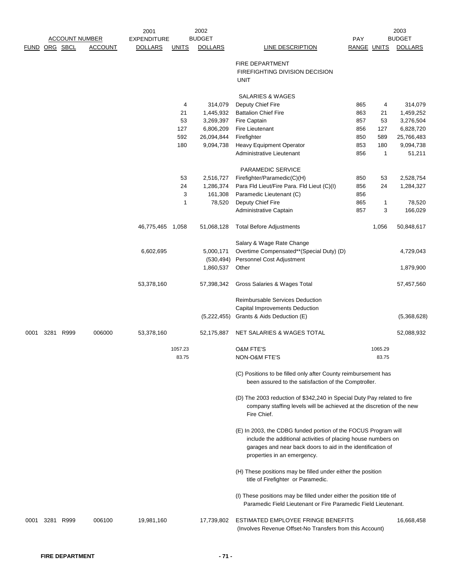|      |               | <b>ACCOUNT NUMBER</b> |                | 2001<br><b>EXPENDITURE</b> |              | 2002<br><b>BUDGET</b>   |                                                                                                                                                                                                | PAY         |              | 2003<br><b>BUDGET</b>  |
|------|---------------|-----------------------|----------------|----------------------------|--------------|-------------------------|------------------------------------------------------------------------------------------------------------------------------------------------------------------------------------------------|-------------|--------------|------------------------|
|      | FUND ORG SBCL |                       | <b>ACCOUNT</b> | <b>DOLLARS</b>             | <b>UNITS</b> | <b>DOLLARS</b>          | LINE DESCRIPTION                                                                                                                                                                               | RANGE UNITS |              | <b>DOLLARS</b>         |
|      |               |                       |                |                            |              |                         |                                                                                                                                                                                                |             |              |                        |
|      |               |                       |                |                            |              |                         | FIRE DEPARTMENT                                                                                                                                                                                |             |              |                        |
|      |               |                       |                |                            |              |                         | FIREFIGHTING DIVISION DECISION<br><b>UNIT</b>                                                                                                                                                  |             |              |                        |
|      |               |                       |                |                            |              |                         |                                                                                                                                                                                                |             |              |                        |
|      |               |                       |                |                            |              |                         | <b>SALARIES &amp; WAGES</b>                                                                                                                                                                    |             |              |                        |
|      |               |                       |                |                            | 4            | 314,079                 | Deputy Chief Fire                                                                                                                                                                              | 865         | 4            | 314,079                |
|      |               |                       |                |                            | 21<br>53     | 1,445,932<br>3,269,397  | <b>Battalion Chief Fire</b><br>Fire Captain                                                                                                                                                    | 863<br>857  | 21<br>53     | 1,459,252<br>3,276,504 |
|      |               |                       |                |                            | 127          | 6,806,209               | <b>Fire Lieutenant</b>                                                                                                                                                                         | 856         | 127          | 6,828,720              |
|      |               |                       |                |                            | 592          | 26,094,844              | Firefighter                                                                                                                                                                                    | 850         | 589          | 25,766,483             |
|      |               |                       |                |                            | 180          | 9,094,738               | <b>Heavy Equipment Operator</b>                                                                                                                                                                | 853         | 180          | 9,094,738              |
|      |               |                       |                |                            |              |                         | Administrative Lieutenant                                                                                                                                                                      | 856         | $\mathbf{1}$ | 51,211                 |
|      |               |                       |                |                            |              |                         | PARAMEDIC SERVICE                                                                                                                                                                              |             |              |                        |
|      |               |                       |                |                            | 53           | 2,516,727               | Firefighter/Paramedic(C)(H)                                                                                                                                                                    | 850         | 53           | 2,528,754              |
|      |               |                       |                |                            | 24           | 1,286,374               | Para Fld Lieut/Fire Para. Fld Lieut (C)(I)                                                                                                                                                     | 856         | 24           | 1,284,327              |
|      |               |                       |                |                            | 3            | 161,308                 | Paramedic Lieutenant (C)                                                                                                                                                                       | 856         |              |                        |
|      |               |                       |                |                            | 1            | 78,520                  | Deputy Chief Fire                                                                                                                                                                              | 865         | 1            | 78,520                 |
|      |               |                       |                |                            |              |                         | Administrative Captain                                                                                                                                                                         | 857         | 3            | 166,029                |
|      |               |                       |                | 46,775,465 1,058           |              | 51,068,128              | <b>Total Before Adjustments</b>                                                                                                                                                                |             | 1,056        | 50,848,617             |
|      |               |                       |                |                            |              |                         | Salary & Wage Rate Change                                                                                                                                                                      |             |              |                        |
|      |               |                       |                | 6,602,695                  |              | 5,000,171               | Overtime Compensated**(Special Duty) (D)                                                                                                                                                       |             |              | 4,729,043              |
|      |               |                       |                |                            |              | (530, 494)<br>1,860,537 | Personnel Cost Adjustment<br>Other                                                                                                                                                             |             |              | 1,879,900              |
|      |               |                       |                | 53,378,160                 |              | 57,398,342              | Gross Salaries & Wages Total                                                                                                                                                                   |             |              | 57,457,560             |
|      |               |                       |                |                            |              |                         |                                                                                                                                                                                                |             |              |                        |
|      |               |                       |                |                            |              |                         | Reimbursable Services Deduction                                                                                                                                                                |             |              |                        |
|      |               |                       |                |                            |              |                         | Capital Improvements Deduction<br>(5,222,455) Grants & Aids Deduction (E)                                                                                                                      |             |              | (5,368,628)            |
|      |               |                       |                |                            |              |                         |                                                                                                                                                                                                |             |              |                        |
| 0001 | 3281 R999     |                       | 006000         | 53,378,160                 |              | 52,175,887              | NET SALARIES & WAGES TOTAL                                                                                                                                                                     |             |              | 52,088,932             |
|      |               |                       |                |                            | 1057.23      |                         | <b>O&amp;M FTE'S</b>                                                                                                                                                                           |             | 1065.29      |                        |
|      |               |                       |                |                            | 83.75        |                         | NON-O&M FTE'S                                                                                                                                                                                  |             | 83.75        |                        |
|      |               |                       |                |                            |              |                         | (C) Positions to be filled only after County reimbursement has<br>been assured to the satisfaction of the Comptroller.                                                                         |             |              |                        |
|      |               |                       |                |                            |              |                         |                                                                                                                                                                                                |             |              |                        |
|      |               |                       |                |                            |              |                         | (D) The 2003 reduction of \$342,240 in Special Duty Pay related to fire<br>company staffing levels will be achieved at the discretion of the new<br>Fire Chief.                                |             |              |                        |
|      |               |                       |                |                            |              |                         | (E) In 2003, the CDBG funded portion of the FOCUS Program will<br>include the additional activities of placing house numbers on<br>garages and near back doors to aid in the identification of |             |              |                        |
|      |               |                       |                |                            |              |                         | properties in an emergency.                                                                                                                                                                    |             |              |                        |
|      |               |                       |                |                            |              |                         | (H) These positions may be filled under either the position<br>title of Firefighter or Paramedic.                                                                                              |             |              |                        |
|      |               |                       |                |                            |              |                         | (I) These positions may be filled under either the position title of<br>Paramedic Field Lieutenant or Fire Paramedic Field Lieutenant.                                                         |             |              |                        |
| 0001 | 3281          | R999                  | 006100         | 19,981,160                 |              | 17,739,802              | ESTIMATED EMPLOYEE FRINGE BENEFITS<br>(Involves Revenue Offset-No Transfers from this Account)                                                                                                 |             |              | 16,668,458             |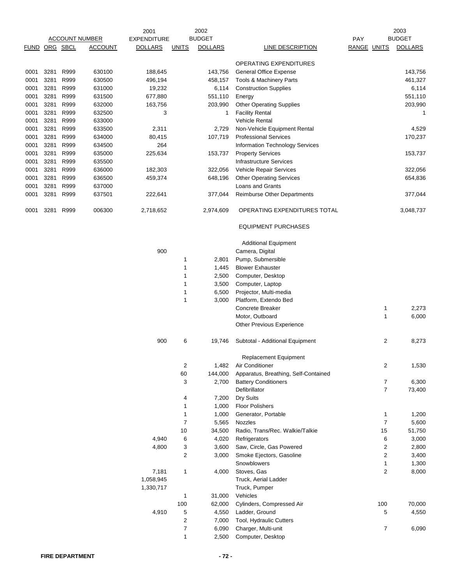|              |              |              | <b>ACCOUNT NUMBER</b> | 2001<br><b>EXPENDITURE</b> |                  | 2002<br><b>BUDGET</b> |                                                       | PAY                |                       | 2003<br><b>BUDGET</b> |
|--------------|--------------|--------------|-----------------------|----------------------------|------------------|-----------------------|-------------------------------------------------------|--------------------|-----------------------|-----------------------|
| FUND         |              | ORG SBCL     | <b>ACCOUNT</b>        | <b>DOLLARS</b>             | <b>UNITS</b>     | <b>DOLLARS</b>        | <b>LINE DESCRIPTION</b>                               | <b>RANGE UNITS</b> |                       | <b>DOLLARS</b>        |
|              |              |              |                       |                            |                  |                       | OPERATING EXPENDITURES                                |                    |                       |                       |
| 0001         | 3281         | R999         | 630100                | 188,645                    |                  | 143,756               | <b>General Office Expense</b>                         |                    |                       | 143,756               |
| 0001         | 3281         | R999         | 630500                | 496,194                    |                  | 458,157               | Tools & Machinery Parts                               |                    |                       | 461,327               |
| 0001         | 3281         | R999         | 631000                | 19,232                     |                  | 6,114                 | <b>Construction Supplies</b>                          |                    |                       | 6,114                 |
| 0001         | 3281         | R999         | 631500                | 677,880                    |                  | 551,110               | Energy                                                |                    |                       | 551,110               |
| 0001         | 3281         | R999         | 632000                | 163,756                    |                  | 203,990               | <b>Other Operating Supplies</b>                       |                    |                       | 203,990               |
| 0001         | 3281         | R999         | 632500                | 3                          |                  | 1                     | <b>Facility Rental</b>                                |                    |                       | 1                     |
| 0001<br>0001 | 3281<br>3281 | R999<br>R999 | 633000<br>633500      | 2,311                      |                  | 2,729                 | <b>Vehicle Rental</b><br>Non-Vehicle Equipment Rental |                    |                       |                       |
| 0001         | 3281         | R999         | 634000                | 80,415                     |                  | 107,719               | <b>Professional Services</b>                          |                    |                       | 4,529<br>170,237      |
| 0001         | 3281         | R999         | 634500                | 264                        |                  |                       | Information Technology Services                       |                    |                       |                       |
| 0001         | 3281         | R999         | 635000                | 225,634                    |                  | 153,737               | <b>Property Services</b>                              |                    |                       | 153,737               |
| 0001         | 3281         | R999         | 635500                |                            |                  |                       | <b>Infrastructure Services</b>                        |                    |                       |                       |
| 0001         | 3281         | R999         | 636000                | 182,303                    |                  | 322,056               | Vehicle Repair Services                               |                    |                       | 322,056               |
| 0001         | 3281         | R999         | 636500                | 459,374                    |                  | 648,196               | <b>Other Operating Services</b>                       |                    |                       | 654,836               |
| 0001         | 3281         | R999         | 637000                |                            |                  |                       | Loans and Grants                                      |                    |                       |                       |
| 0001         | 3281         | R999         | 637501                | 222,641                    |                  | 377,044               | Reimburse Other Departments                           |                    |                       | 377,044               |
| 0001         | 3281         | R999         | 006300                | 2,718,652                  |                  | 2,974,609             | OPERATING EXPENDITURES TOTAL                          |                    |                       | 3,048,737             |
|              |              |              |                       |                            |                  |                       | <b>EQUIPMENT PURCHASES</b>                            |                    |                       |                       |
|              |              |              |                       |                            |                  |                       | <b>Additional Equipment</b>                           |                    |                       |                       |
|              |              |              |                       | 900                        |                  |                       | Camera, Digital                                       |                    |                       |                       |
|              |              |              |                       |                            | $\mathbf 1$      | 2,801                 | Pump, Submersible                                     |                    |                       |                       |
|              |              |              |                       |                            | 1                | 1,445                 | <b>Blower Exhauster</b>                               |                    |                       |                       |
|              |              |              |                       |                            | 1                | 2,500                 | Computer, Desktop                                     |                    |                       |                       |
|              |              |              |                       |                            | 1                | 3,500                 | Computer, Laptop                                      |                    |                       |                       |
|              |              |              |                       |                            | $\mathbf 1$      | 6,500                 | Projector, Multi-media                                |                    |                       |                       |
|              |              |              |                       |                            | $\mathbf{1}$     | 3,000                 | Platform, Extendo Bed                                 |                    |                       |                       |
|              |              |              |                       |                            |                  |                       | <b>Concrete Breaker</b>                               |                    | 1                     | 2,273                 |
|              |              |              |                       |                            |                  |                       | Motor, Outboard                                       |                    | 1                     | 6,000                 |
|              |              |              |                       |                            |                  |                       | <b>Other Previous Experience</b>                      |                    |                       |                       |
|              |              |              |                       | 900                        | 6                | 19,746                | Subtotal - Additional Equipment                       |                    | 2                     | 8,273                 |
|              |              |              |                       |                            |                  |                       | Replacement Equipment                                 |                    |                       |                       |
|              |              |              |                       |                            | $\sqrt{2}$       | 1,482                 | Air Conditioner                                       |                    | 2                     | 1,530                 |
|              |              |              |                       |                            | 60               | 144,000               | Apparatus, Breathing, Self-Contained                  |                    |                       |                       |
|              |              |              |                       |                            | 3                | 2,700                 | <b>Battery Conditioners</b><br>Defibrillator          |                    | 7<br>$\boldsymbol{7}$ | 6,300<br>73,400       |
|              |              |              |                       |                            | 4                | 7,200                 | Dry Suits                                             |                    |                       |                       |
|              |              |              |                       |                            | 1                | 1,000                 | <b>Floor Polishers</b>                                |                    |                       |                       |
|              |              |              |                       |                            | $\mathbf{1}$     | 1,000                 | Generator, Portable                                   |                    | 1                     | 1,200                 |
|              |              |              |                       |                            | $\overline{7}$   | 5,565                 | Nozzles                                               |                    | $\boldsymbol{7}$      | 5,600                 |
|              |              |              |                       |                            | 10               | 34,500                | Radio, Trans/Rec. Walkie/Talkie                       |                    | 15                    | 51,750                |
|              |              |              |                       | 4,940                      | 6                | 4,020                 | Refrigerators                                         |                    | 6                     | 3,000                 |
|              |              |              |                       | 4,800                      | 3                | 3,600                 | Saw, Circle, Gas Powered                              |                    | 2                     | 2,800                 |
|              |              |              |                       |                            | $\sqrt{2}$       | 3,000                 | Smoke Ejectors, Gasoline                              |                    | 2                     | 3,400                 |
|              |              |              |                       |                            |                  |                       | Snowblowers                                           |                    | 1                     | 1,300                 |
|              |              |              |                       | 7,181                      | $\mathbf{1}$     | 4,000                 | Stoves, Gas                                           |                    | 2                     | 8,000                 |
|              |              |              |                       | 1,058,945<br>1,330,717     |                  |                       | Truck, Aerial Ladder<br>Truck, Pumper                 |                    |                       |                       |
|              |              |              |                       |                            | 1                | 31,000                | Vehicles                                              |                    |                       |                       |
|              |              |              |                       |                            | 100              | 62,000                | Cylinders, Compressed Air                             |                    | 100                   | 70,000                |
|              |              |              |                       | 4,910                      | 5                | 4,550                 | Ladder, Ground                                        |                    | 5                     | 4,550                 |
|              |              |              |                       |                            | $\boldsymbol{2}$ | 7,000                 | Tool, Hydraulic Cutters                               |                    |                       |                       |
|              |              |              |                       |                            | $\boldsymbol{7}$ | 6,090                 | Charger, Multi-unit                                   |                    | 7                     | 6,090                 |
|              |              |              |                       |                            | $\mathbf{1}$     | 2,500                 | Computer, Desktop                                     |                    |                       |                       |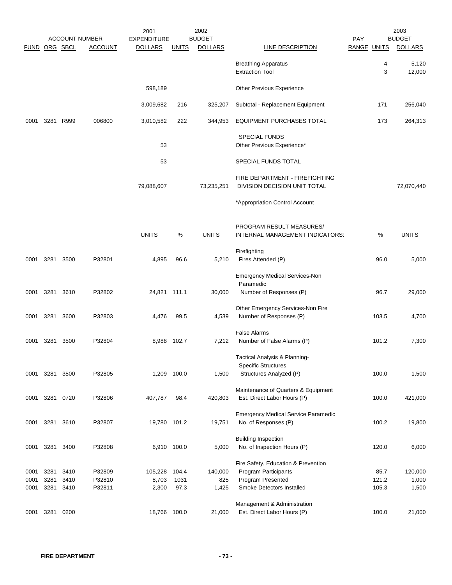|               |                |              | <b>ACCOUNT NUMBER</b> | 2001<br><b>EXPENDITURE</b> |               | 2002<br><b>BUDGET</b> |                                                                                        | <b>PAY</b>  |        | 2003<br><b>BUDGET</b> |
|---------------|----------------|--------------|-----------------------|----------------------------|---------------|-----------------------|----------------------------------------------------------------------------------------|-------------|--------|-----------------------|
| FUND ORG SBCL |                |              | <b>ACCOUNT</b>        | <b>DOLLARS</b>             | <b>UNITS</b>  | <b>DOLLARS</b>        | <b>LINE DESCRIPTION</b>                                                                | RANGE UNITS |        | <b>DOLLARS</b>        |
|               |                |              |                       |                            |               |                       | <b>Breathing Apparatus</b><br><b>Extraction Tool</b>                                   |             | 4<br>3 | 5,120<br>12,000       |
|               |                |              |                       | 598,189                    |               |                       | Other Previous Experience                                                              |             |        |                       |
|               |                |              |                       | 3,009,682                  | 216           | 325,207               | Subtotal - Replacement Equipment                                                       |             | 171    | 256,040               |
| 0001          | 3281           | R999         | 006800                | 3,010,582                  | 222           | 344,953               | EQUIPMENT PURCHASES TOTAL                                                              |             | 173    | 264,313               |
|               |                |              |                       | 53                         |               |                       | <b>SPECIAL FUNDS</b><br>Other Previous Experience*                                     |             |        |                       |
|               |                |              |                       | 53                         |               |                       | SPECIAL FUNDS TOTAL                                                                    |             |        |                       |
|               |                |              |                       | 79,088,607                 |               | 73,235,251            | FIRE DEPARTMENT - FIREFIGHTING<br>DIVISION DECISION UNIT TOTAL                         |             |        | 72,070,440            |
|               |                |              |                       |                            |               |                       | *Appropriation Control Account                                                         |             |        |                       |
|               |                |              |                       | <b>UNITS</b>               | %             | <b>UNITS</b>          | PROGRAM RESULT MEASURES/<br>INTERNAL MANAGEMENT INDICATORS:                            |             | %      | <b>UNITS</b>          |
| 0001          | 3281           | 3500         | P32801                | 4,895                      | 96.6          | 5,210                 | Firefighting<br>Fires Attended (P)                                                     |             | 96.0   | 5,000                 |
| 0001          | 3281 3610      |              | P32802                | 24,821 111.1               |               | 30,000                | <b>Emergency Medical Services-Non</b><br>Paramedic<br>Number of Responses (P)          |             | 96.7   | 29,000                |
| 0001          | 3281           | 3600         | P32803                | 4,476                      | 99.5          | 4,539                 | Other Emergency Services-Non Fire<br>Number of Responses (P)                           | 103.5       |        | 4,700                 |
| 0001          | 3281           | 3500         | P32804                |                            | 8,988 102.7   | 7,212                 | <b>False Alarms</b><br>Number of False Alarms (P)                                      | 101.2       |        | 7,300                 |
| 0001          | 3281           | 3500         | P32805                |                            | 1,209 100.0   | 1,500                 | Tactical Analysis & Planning-<br><b>Specific Structures</b><br>Structures Analyzed (P) | 100.0       |        | 1,500                 |
| 0001          | 3281           | 0720         | P32806                | 407,787                    | 98.4          | 420,803               | Maintenance of Quarters & Equipment<br>Est. Direct Labor Hours (P)                     | 100.0       |        | 421,000               |
| 0001          | 3281           | 3610         | P32807                | 19,780 101.2               |               | 19,751                | <b>Emergency Medical Service Paramedic</b><br>No. of Responses (P)                     | 100.2       |        | 19,800                |
| 0001          | 3281           | 3400         | P32808                |                            | 6,910 100.0   | 5,000                 | <b>Building Inspection</b><br>No. of Inspection Hours (P)                              | 120.0       |        | 6,000                 |
| 0001<br>0001  | 3281<br>3281   | 3410<br>3410 | P32809<br>P32810      | 105,228<br>8,703           | 104.4<br>1031 | 140,000<br>825        | Fire Safety, Education & Prevention<br>Program Participants<br>Program Presented       | 121.2       | 85.7   | 120,000<br>1,000      |
| 0001          | 3281           | 3410         | P32811                | 2,300                      | 97.3          | 1,425                 | Smoke Detectors Installed                                                              | 105.3       |        | 1,500                 |
|               | 0001 3281 0200 |              |                       | 18,766 100.0               |               | 21,000                | Management & Administration<br>Est. Direct Labor Hours (P)                             | 100.0       |        | 21,000                |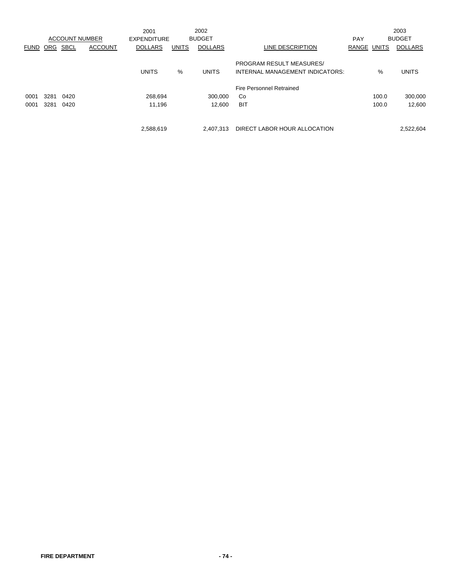|             |      |                       |                | 2001               |              | 2002           |                                 |       |       | 2003           |
|-------------|------|-----------------------|----------------|--------------------|--------------|----------------|---------------------------------|-------|-------|----------------|
|             |      | <b>ACCOUNT NUMBER</b> |                | <b>EXPENDITURE</b> |              | <b>BUDGET</b>  |                                 | PAY   |       | <b>BUDGET</b>  |
| <b>FUND</b> | ORG  | <b>SBCL</b>           | <b>ACCOUNT</b> | <b>DOLLARS</b>     | <b>UNITS</b> | <b>DOLLARS</b> | LINE DESCRIPTION                | RANGE | UNITS | <b>DOLLARS</b> |
|             |      |                       |                |                    |              |                | <b>PROGRAM RESULT MEASURES/</b> |       |       |                |
|             |      |                       |                | <b>UNITS</b>       | %            | <b>UNITS</b>   | INTERNAL MANAGEMENT INDICATORS: |       | %     | <b>UNITS</b>   |
|             |      |                       |                |                    |              |                | <b>Fire Personnel Retrained</b> |       |       |                |
| 0001        | 3281 | 0420                  |                | 268,694            |              | 300.000        | Co                              |       | 100.0 | 300.000        |
| 0001        | 3281 | 0420                  |                | 11.196             |              | 12.600         | <b>BIT</b>                      |       | 100.0 | 12,600         |
|             |      |                       |                |                    |              |                |                                 |       |       |                |
|             |      |                       |                | 2,588,619          |              | 2.407.313      | DIRECT LABOR HOUR ALLOCATION    |       |       | 2,522,604      |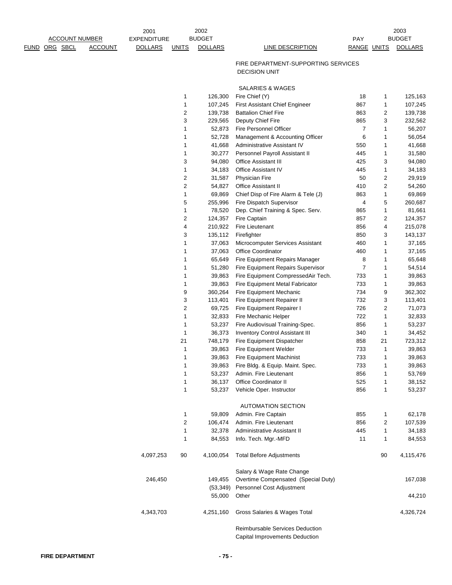|                                                             | 2001                                 |              | 2002                            |                                                                   |                    |                   | 2003                            |
|-------------------------------------------------------------|--------------------------------------|--------------|---------------------------------|-------------------------------------------------------------------|--------------------|-------------------|---------------------------------|
| <b>ACCOUNT NUMBER</b><br>ORG SBCL<br><b>ACCOUNT</b><br>FUND | <b>EXPENDITURE</b><br><b>DOLLARS</b> | <b>UNITS</b> | <b>BUDGET</b><br><b>DOLLARS</b> | <b>LINE DESCRIPTION</b>                                           | PAY<br>RANGE UNITS |                   | <b>BUDGET</b><br><b>DOLLARS</b> |
|                                                             |                                      |              |                                 |                                                                   |                    |                   |                                 |
|                                                             |                                      |              |                                 | FIRE DEPARTMENT-SUPPORTING SERVICES                               |                    |                   |                                 |
|                                                             |                                      |              |                                 | <b>DECISION UNIT</b>                                              |                    |                   |                                 |
|                                                             |                                      |              |                                 |                                                                   |                    |                   |                                 |
|                                                             |                                      |              |                                 | SALARIES & WAGES                                                  |                    |                   |                                 |
|                                                             |                                      | 1<br>1       | 126,300<br>107,245              | Fire Chief (Y)<br><b>First Assistant Chief Engineer</b>           | 18<br>867          | 1<br>$\mathbf{1}$ | 125,163<br>107,245              |
|                                                             |                                      | 2            | 139,738                         | <b>Battalion Chief Fire</b>                                       | 863                | $\overline{2}$    | 139,738                         |
|                                                             |                                      | 3            | 229,565                         | Deputy Chief Fire                                                 | 865                | 3                 | 232,562                         |
|                                                             |                                      | 1            | 52,873                          | Fire Personnel Officer                                            | 7                  | 1                 | 56,207                          |
|                                                             |                                      | 1            | 52,728                          | Management & Accounting Officer                                   | 6                  | 1                 | 56,054                          |
|                                                             |                                      | 1            | 41,668                          | Administrative Assistant IV                                       | 550                | 1                 | 41,668                          |
|                                                             |                                      | 1            | 30,277                          | Personnel Payroll Assistant II                                    | 445                | 1                 | 31,580                          |
|                                                             |                                      | 3            | 94,080                          | Office Assistant III                                              | 425                | 3                 | 94,080                          |
|                                                             |                                      | 1            | 34,183                          | Office Assistant IV                                               | 445                | 1                 | 34,183                          |
|                                                             |                                      | 2            | 31,587                          | <b>Physician Fire</b>                                             | 50                 | $\overline{2}$    | 29,919                          |
|                                                             |                                      | 2            | 54,827                          | <b>Office Assistant II</b>                                        | 410                | $\overline{2}$    | 54,260                          |
|                                                             |                                      | 1            | 69,869                          | Chief Disp of Fire Alarm & Tele (J)                               | 863                | $\mathbf{1}$      | 69,869                          |
|                                                             |                                      | 5            | 255,996                         | Fire Dispatch Supervisor                                          | 4                  | 5                 | 260,687                         |
|                                                             |                                      | 1            | 78,520                          | Dep. Chief Training & Spec. Serv.                                 | 865                | $\mathbf{1}$      | 81,661                          |
|                                                             |                                      | 2            | 124,357                         | Fire Captain                                                      | 857                | 2                 | 124,357                         |
|                                                             |                                      | 4            | 210,922                         | <b>Fire Lieutenant</b>                                            | 856                | 4                 | 215,078                         |
|                                                             |                                      | 3            | 135,112                         | Firefighter                                                       | 850                | 3                 | 143,137                         |
|                                                             |                                      | 1            | 37,063                          | Microcomputer Services Assistant                                  | 460                | $\mathbf{1}$      | 37,165                          |
|                                                             |                                      | 1<br>1       | 37,063<br>65,649                | Office Coordinator<br>Fire Equipment Repairs Manager              | 460<br>8           | 1<br>1            | 37,165<br>65,648                |
|                                                             |                                      | 1            | 51,280                          | Fire Equipment Repairs Supervisor                                 | $\overline{7}$     | 1                 | 54,514                          |
|                                                             |                                      | 1            | 39,863                          | Fire Equipment CompressedAir Tech.                                | 733                | 1                 | 39,863                          |
|                                                             |                                      | 1            | 39,863                          | Fire Equipment Metal Fabricator                                   | 733                | 1                 | 39,863                          |
|                                                             |                                      | 9            | 360,264                         | Fire Equipment Mechanic                                           | 734                | 9                 | 362,302                         |
|                                                             |                                      | 3            | 113,401                         | Fire Equipment Repairer II                                        | 732                | 3                 | 113,401                         |
|                                                             |                                      | 2            | 69,725                          | Fire Equipment Repairer I                                         | 726                | $\overline{2}$    | 71,073                          |
|                                                             |                                      | 1            | 32,833                          | Fire Mechanic Helper                                              | 722                | 1                 | 32,833                          |
|                                                             |                                      | 1            | 53,237                          | Fire Audiovisual Training-Spec.                                   | 856                | 1                 | 53,237                          |
|                                                             |                                      | 1            | 36,373                          | <b>Inventory Control Assistant III</b>                            | 340                | 1                 | 34,452                          |
|                                                             |                                      | 21           | 748,179                         | Fire Equipment Dispatcher                                         | 858                | 21                | 723,312                         |
|                                                             |                                      | 1            | 39,863                          | Fire Equipment Welder                                             | 733                | 1                 | 39,863                          |
|                                                             |                                      | 1            | 39,863                          | Fire Equipment Machinist                                          | 733                | 1                 | 39,863                          |
|                                                             |                                      | 1            | 39,863                          | Fire Bldg. & Equip. Maint. Spec.                                  | 733                | 1                 | 39,863                          |
|                                                             |                                      | 1            | 53,237                          | Admin. Fire Lieutenant                                            | 856                | 1                 | 53,769                          |
|                                                             |                                      | 1            | 36,137                          | Office Coordinator II                                             | 525                | 1                 | 38,152                          |
|                                                             |                                      | 1            | 53,237                          | Vehicle Oper. Instructor                                          | 856                | 1                 | 53,237                          |
|                                                             |                                      |              |                                 |                                                                   |                    |                   |                                 |
|                                                             |                                      | 1            | 59,809                          | <b>AUTOMATION SECTION</b><br>Admin. Fire Captain                  | 855                | 1                 | 62,178                          |
|                                                             |                                      | 2            | 106,474                         | Admin. Fire Lieutenant                                            | 856                | 2                 | 107,539                         |
|                                                             |                                      | 1            | 32,378                          | Administrative Assistant II                                       | 445                | 1                 | 34,183                          |
|                                                             |                                      | 1            | 84,553                          | Info. Tech. Mgr.-MFD                                              | 11                 | 1                 | 84,553                          |
|                                                             |                                      |              |                                 |                                                                   |                    |                   |                                 |
|                                                             | 4,097,253                            | 90           | 4,100,054                       | <b>Total Before Adjustments</b>                                   |                    | 90                | 4,115,476                       |
|                                                             |                                      |              |                                 | Salary & Wage Rate Change                                         |                    |                   |                                 |
|                                                             | 246,450                              |              | 149,455<br>(53, 349)            | Overtime Compensated (Special Duty)<br>Personnel Cost Adjustment  |                    |                   | 167,038                         |
|                                                             |                                      |              | 55,000                          | Other                                                             |                    |                   | 44,210                          |
|                                                             | 4,343,703                            |              | 4,251,160                       | Gross Salaries & Wages Total                                      |                    |                   | 4,326,724                       |
|                                                             |                                      |              |                                 | Reimbursable Services Deduction<br>Capital Improvements Deduction |                    |                   |                                 |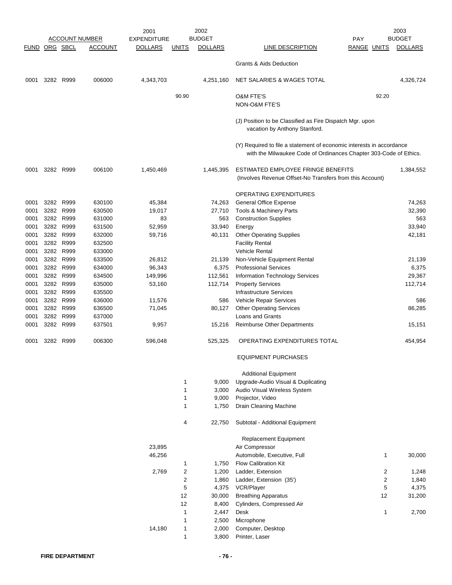|               |      |           |                       | 2001               |                | 2002           |                                                                                                                                           |                    |                | 2003           |
|---------------|------|-----------|-----------------------|--------------------|----------------|----------------|-------------------------------------------------------------------------------------------------------------------------------------------|--------------------|----------------|----------------|
|               |      |           | <u>ACCOUNT NUMBER</u> | <b>EXPENDITURE</b> |                | <b>BUDGET</b>  |                                                                                                                                           | PAY                |                | <b>BUDGET</b>  |
| FUND ORG SBCL |      |           | <b>ACCOUNT</b>        | <b>DOLLARS</b>     | <b>UNITS</b>   | <b>DOLLARS</b> | LINE DESCRIPTION                                                                                                                          | <b>RANGE UNITS</b> |                | <b>DOLLARS</b> |
|               |      |           |                       |                    |                |                |                                                                                                                                           |                    |                |                |
|               |      |           |                       |                    |                |                | <b>Grants &amp; Aids Deduction</b>                                                                                                        |                    |                |                |
| 0001          |      | 3282 R999 | 006000                | 4,343,703          |                | 4,251,160      | NET SALARIES & WAGES TOTAL                                                                                                                |                    |                | 4,326,724      |
|               |      |           |                       |                    | 90.90          |                | <b>O&amp;M FTE'S</b>                                                                                                                      |                    | 92.20          |                |
|               |      |           |                       |                    |                |                | NON-O&M FTE'S                                                                                                                             |                    |                |                |
|               |      |           |                       |                    |                |                | (J) Position to be Classified as Fire Dispatch Mgr. upon<br>vacation by Anthony Stanford.                                                 |                    |                |                |
|               |      |           |                       |                    |                |                | (Y) Required to file a statement of economic interests in accordance<br>with the Milwaukee Code of Ordinances Chapter 303-Code of Ethics. |                    |                |                |
| 0001          |      | 3282 R999 | 006100                | 1,450,469          |                | 1,445,395      | ESTIMATED EMPLOYEE FRINGE BENEFITS<br>(Involves Revenue Offset-No Transfers from this Account)                                            |                    |                | 1,384,552      |
|               |      |           |                       |                    |                |                | OPERATING EXPENDITURES                                                                                                                    |                    |                |                |
| 0001          | 3282 | R999      | 630100                | 45,384             |                | 74,263         | General Office Expense                                                                                                                    |                    |                | 74,263         |
| 0001          |      | 3282 R999 | 630500                | 19,017             |                | 27,710         | Tools & Machinery Parts                                                                                                                   |                    |                | 32,390         |
| 0001          |      | 3282 R999 | 631000                | 83                 |                | 563            | <b>Construction Supplies</b>                                                                                                              |                    |                | 563            |
| 0001          | 3282 | R999      | 631500                | 52,959             |                | 33,940         | Energy                                                                                                                                    |                    |                | 33,940         |
| 0001          |      | 3282 R999 | 632000                | 59,716             |                | 40,131         | <b>Other Operating Supplies</b>                                                                                                           |                    |                | 42,181         |
| 0001          |      | 3282 R999 | 632500                |                    |                |                | <b>Facility Rental</b>                                                                                                                    |                    |                |                |
| 0001          |      | 3282 R999 | 633000                |                    |                |                | Vehicle Rental                                                                                                                            |                    |                |                |
| 0001          | 3282 | R999      | 633500                | 26,812             |                | 21,139         | Non-Vehicle Equipment Rental                                                                                                              |                    |                | 21,139         |
| 0001          |      | 3282 R999 | 634000                | 96,343             |                | 6,375          | <b>Professional Services</b>                                                                                                              |                    |                | 6,375          |
| 0001          | 3282 | R999      | 634500                | 149,996            |                | 112,561        | Information Technology Services                                                                                                           |                    |                | 29,367         |
| 0001          |      | 3282 R999 | 635000                | 53,160             |                | 112,714        | <b>Property Services</b>                                                                                                                  |                    |                | 112,714        |
| 0001          |      | 3282 R999 | 635500                |                    |                |                | <b>Infrastructure Services</b>                                                                                                            |                    |                |                |
| 0001          | 3282 | R999      | 636000                | 11,576             |                | 586            | Vehicle Repair Services                                                                                                                   |                    |                | 586            |
| 0001          | 3282 | R999      | 636500                | 71,045             |                | 80,127         | <b>Other Operating Services</b>                                                                                                           |                    |                | 86,285         |
| 0001          |      | 3282 R999 | 637000                |                    |                |                | Loans and Grants                                                                                                                          |                    |                |                |
| 0001          |      | 3282 R999 | 637501                | 9,957              |                | 15,216         | <b>Reimburse Other Departments</b>                                                                                                        |                    |                | 15,151         |
| 0001          |      | 3282 R999 | 006300                | 596,048            |                | 525,325        | OPERATING EXPENDITURES TOTAL                                                                                                              |                    |                | 454,954        |
|               |      |           |                       |                    |                |                | <b>EQUIPMENT PURCHASES</b>                                                                                                                |                    |                |                |
|               |      |           |                       |                    |                |                | <b>Additional Equipment</b>                                                                                                               |                    |                |                |
|               |      |           |                       |                    | 1              | 9,000          | Upgrade-Audio Visual & Duplicating                                                                                                        |                    |                |                |
|               |      |           |                       |                    | $\mathbf{1}$   | 3,000          | Audio Visual Wireless System                                                                                                              |                    |                |                |
|               |      |           |                       |                    | 1              | 9,000          | Projector, Video                                                                                                                          |                    |                |                |
|               |      |           |                       |                    | 1              | 1,750          | Drain Cleaning Machine                                                                                                                    |                    |                |                |
|               |      |           |                       |                    | 4              | 22,750         | Subtotal - Additional Equipment                                                                                                           |                    |                |                |
|               |      |           |                       | 23,895             |                |                | Replacement Equipment<br>Air Compressor                                                                                                   |                    |                |                |
|               |      |           |                       | 46,256             |                |                | Automobile, Executive, Full                                                                                                               |                    | $\mathbf{1}$   | 30,000         |
|               |      |           |                       |                    | 1              | 1,750          | <b>Flow Calibration Kit</b>                                                                                                               |                    |                |                |
|               |      |           |                       | 2,769              | 2              | 1,200          | Ladder, Extension                                                                                                                         |                    | 2              | 1,248          |
|               |      |           |                       |                    | $\overline{c}$ | 1,860          | Ladder, Extension (35')                                                                                                                   |                    | $\overline{2}$ | 1,840          |
|               |      |           |                       |                    | $\mathbf 5$    | 4,375          | VCR/Player                                                                                                                                |                    | 5              | 4,375          |
|               |      |           |                       |                    | 12             | 30,000         | <b>Breathing Apparatus</b>                                                                                                                |                    | 12             | 31,200         |
|               |      |           |                       |                    | 12             | 8,400          | Cylinders, Compressed Air                                                                                                                 |                    |                |                |
|               |      |           |                       |                    | 1              | 2,447          | Desk                                                                                                                                      |                    | 1              | 2,700          |
|               |      |           |                       |                    | 1              | 2,500          | Microphone                                                                                                                                |                    |                |                |
|               |      |           |                       | 14,180             | $\mathbf{1}$   | 2,000          | Computer, Desktop                                                                                                                         |                    |                |                |
|               |      |           |                       |                    | $\mathbf{1}$   | 3,800          | Printer, Laser                                                                                                                            |                    |                |                |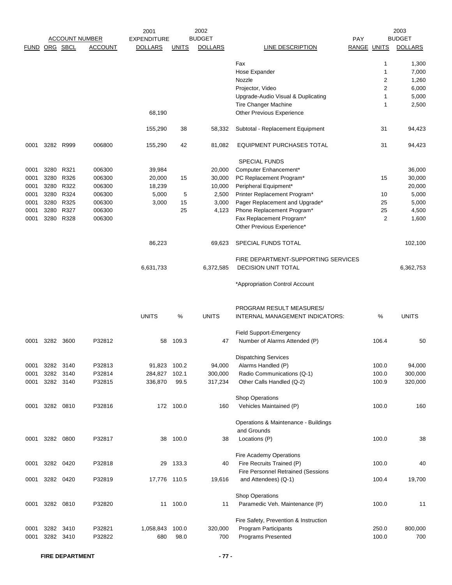|               |      |           |                       | 2001               |              | 2002           |                                       |             |                | 2003           |
|---------------|------|-----------|-----------------------|--------------------|--------------|----------------|---------------------------------------|-------------|----------------|----------------|
|               |      |           | <b>ACCOUNT NUMBER</b> | <b>EXPENDITURE</b> |              | <b>BUDGET</b>  |                                       | <b>PAY</b>  |                | <b>BUDGET</b>  |
| FUND ORG SBCL |      |           | <b>ACCOUNT</b>        | <b>DOLLARS</b>     | <b>UNITS</b> | <b>DOLLARS</b> | LINE DESCRIPTION                      | RANGE UNITS |                | <b>DOLLARS</b> |
|               |      |           |                       |                    |              |                |                                       |             |                |                |
|               |      |           |                       |                    |              |                | Fax                                   |             | 1              | 1,300          |
|               |      |           |                       |                    |              |                | Hose Expander                         |             | 1              | 7,000          |
|               |      |           |                       |                    |              |                | Nozzle                                |             | $\overline{2}$ | 1,260          |
|               |      |           |                       |                    |              |                | Projector, Video                      |             | $\overline{2}$ | 6,000          |
|               |      |           |                       |                    |              |                | Upgrade-Audio Visual & Duplicating    |             | 1              | 5,000          |
|               |      |           |                       |                    |              |                | Tire Changer Machine                  |             | 1              | 2,500          |
|               |      |           |                       | 68,190             |              |                | <b>Other Previous Experience</b>      |             |                |                |
|               |      |           |                       | 155,290            | 38           | 58,332         | Subtotal - Replacement Equipment      |             | 31             | 94,423         |
| 0001          |      | 3282 R999 | 006800                | 155,290            | 42           | 81,082         | <b>EQUIPMENT PURCHASES TOTAL</b>      |             | 31             | 94,423         |
|               |      |           |                       |                    |              |                | <b>SPECIAL FUNDS</b>                  |             |                |                |
|               |      |           |                       |                    |              |                |                                       |             |                |                |
| 0001          | 3280 | R321      | 006300                | 39,984             |              | 20,000         | Computer Enhancement*                 |             |                | 36,000         |
| 0001          | 3280 | R326      | 006300                | 20,000             | 15           | 30,000         | PC Replacement Program*               |             | 15             | 30,000         |
| 0001          |      | 3280 R322 | 006300                | 18,239             |              | 10,000         | Peripheral Equipment*                 |             |                | 20,000         |
| 0001          | 3280 | R324      | 006300                | 5,000              | 5            | 2,500          | Printer Replacement Program*          |             | 10             | 5,000          |
| 0001          | 3280 | R325      | 006300                | 3,000              | 15           | 3,000          | Pager Replacement and Upgrade*        |             | 25             | 5,000          |
| 0001          |      | 3280 R327 | 006300                |                    | 25           | 4,123          | Phone Replacement Program*            |             | 25             | 4,500          |
| 0001          |      | 3280 R328 | 006300                |                    |              |                | Fax Replacement Program*              |             | 2              | 1,600          |
|               |      |           |                       |                    |              |                | Other Previous Experience*            |             |                |                |
|               |      |           |                       | 86,223             |              | 69,623         | SPECIAL FUNDS TOTAL                   |             |                | 102,100        |
|               |      |           |                       |                    |              |                |                                       |             |                |                |
|               |      |           |                       |                    |              |                | FIRE DEPARTMENT-SUPPORTING SERVICES   |             |                |                |
|               |      |           |                       | 6,631,733          |              | 6,372,585      | <b>DECISION UNIT TOTAL</b>            |             |                | 6,362,753      |
|               |      |           |                       |                    |              |                | *Appropriation Control Account        |             |                |                |
|               |      |           |                       |                    |              |                | PROGRAM RESULT MEASURES/              |             |                |                |
|               |      |           |                       | <b>UNITS</b>       | $\%$         | <b>UNITS</b>   | INTERNAL MANAGEMENT INDICATORS:       |             | $\%$           | <b>UNITS</b>   |
|               |      |           |                       |                    |              |                |                                       |             |                |                |
|               |      |           |                       |                    |              |                | Field Support-Emergency               |             |                |                |
| 0001          | 3282 | 3600      | P32812                | 58                 | 109.3        | 47             | Number of Alarms Attended (P)         |             | 106.4          | 50             |
|               |      |           |                       |                    |              |                | <b>Dispatching Services</b>           |             |                |                |
| 0001          |      | 3282 3140 | P32813                | 91,823 100.2       |              | 94,000         | Alarms Handled (P)                    |             | 100.0          | 94,000         |
| 0001          |      | 3282 3140 | P32814                | 284,827            | 102.1        | 300,000        | Radio Communications (Q-1)            |             | 100.0          | 300,000        |
|               |      |           |                       |                    |              |                |                                       |             |                |                |
| 0001          |      | 3282 3140 | P32815                | 336,870            | 99.5         | 317,234        | Other Calls Handled (Q-2)             |             | 100.9          | 320,000        |
|               |      |           |                       |                    |              |                | Shop Operations                       |             |                |                |
| 0001          |      | 3282 0810 | P32816                |                    | 172 100.0    | 160            | Vehicles Maintained (P)               |             | 100.0          | 160            |
|               |      |           |                       |                    |              |                | Operations & Maintenance - Buildings  |             |                |                |
|               |      |           |                       |                    |              |                | and Grounds                           |             |                |                |
| 0001          |      | 3282 0800 | P32817                | 38                 | 100.0        | 38             | Locations (P)                         |             | 100.0          | 38             |
|               |      |           |                       |                    |              |                |                                       |             |                |                |
|               |      |           |                       |                    |              |                | Fire Academy Operations               |             |                |                |
| 0001          |      | 3282 0420 | P32818                | 29                 | 133.3        | 40             | Fire Recruits Trained (P)             |             | 100.0          | 40             |
|               |      |           |                       |                    |              |                | Fire Personnel Retrained (Sessions    |             |                |                |
| 0001          |      | 3282 0420 | P32819                | 17,776 110.5       |              | 19,616         | and Attendees) (Q-1)                  |             | 100.4          | 19,700         |
|               |      |           |                       |                    |              |                | Shop Operations                       |             |                |                |
| 0001          |      | 3282 0810 | P32820                | 11                 | 100.0        | 11             | Paramedic Veh. Maintenance (P)        |             | 100.0          | 11             |
|               |      |           |                       |                    |              |                |                                       |             |                |                |
|               |      |           |                       |                    |              |                | Fire Safety, Prevention & Instruction |             |                |                |
| 0001          |      | 3282 3410 | P32821                | 1,058,843          | 100.0        | 320,000        | Program Participants                  |             | 250.0          | 800,000        |
| 0001          |      | 3282 3410 | P32822                | 680                | 98.0         | 700            | Programs Presented                    |             | 100.0          | 700            |
|               |      |           |                       |                    |              |                |                                       |             |                |                |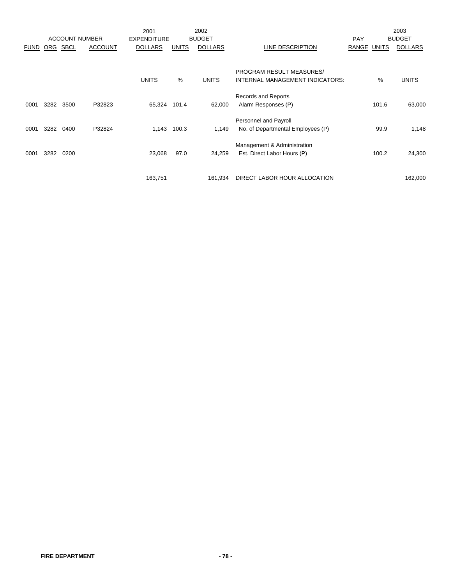|             |      |                       |                | 2001               |              | 2002           |                                   |             |       | 2003           |
|-------------|------|-----------------------|----------------|--------------------|--------------|----------------|-----------------------------------|-------------|-------|----------------|
|             |      | <b>ACCOUNT NUMBER</b> |                | <b>EXPENDITURE</b> |              | <b>BUDGET</b>  |                                   | <b>PAY</b>  |       | <b>BUDGET</b>  |
| <b>FUND</b> | ORG  | SBCL                  | <b>ACCOUNT</b> | <b>DOLLARS</b>     | <b>UNITS</b> | <b>DOLLARS</b> | LINE DESCRIPTION                  | RANGE UNITS |       | <b>DOLLARS</b> |
|             |      |                       |                |                    |              |                |                                   |             |       |                |
|             |      |                       |                |                    |              |                | <b>PROGRAM RESULT MEASURES/</b>   |             |       |                |
|             |      |                       |                | <b>UNITS</b>       | %            | <b>UNITS</b>   | INTERNAL MANAGEMENT INDICATORS:   |             | %     | <b>UNITS</b>   |
|             |      |                       |                |                    |              |                | Records and Reports               |             |       |                |
| 0001        | 3282 | 3500                  | P32823         | 65,324             | 101.4        | 62,000         | Alarm Responses (P)               |             | 101.6 | 63,000         |
|             |      |                       |                |                    |              |                | Personnel and Payroll             |             |       |                |
| 0001        | 3282 | 0400                  | P32824         | 1,143              | 100.3        | 1,149          | No. of Departmental Employees (P) |             | 99.9  | 1,148          |
|             |      |                       |                |                    |              |                | Management & Administration       |             |       |                |
| 0001        | 3282 | 0200                  |                | 23,068             | 97.0         | 24,259         | Est. Direct Labor Hours (P)       |             | 100.2 | 24,300         |
|             |      |                       |                |                    |              |                |                                   |             |       |                |
|             |      |                       |                | 163,751            |              | 161,934        | DIRECT LABOR HOUR ALLOCATION      |             |       | 162,000        |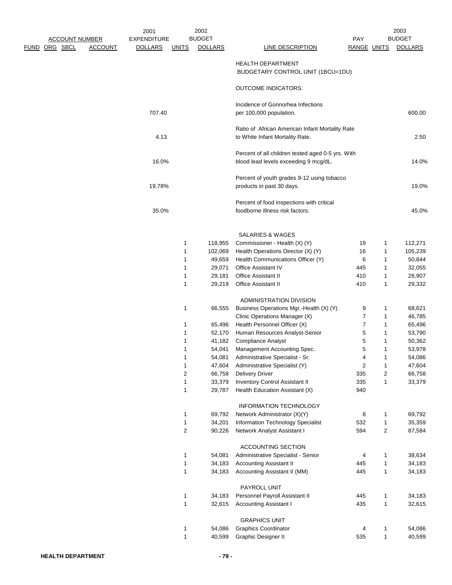|                                        | 2001                           | 2002           |                                                                                            |                         |                         | 2003           |
|----------------------------------------|--------------------------------|----------------|--------------------------------------------------------------------------------------------|-------------------------|-------------------------|----------------|
| <b>ACCOUNT NUMBER</b>                  | <b>EXPENDITURE</b>             | <b>BUDGET</b>  |                                                                                            | <b>PAY</b>              |                         | <b>BUDGET</b>  |
| <u>FUND ORG SBCL</u><br><b>ACCOUNT</b> | <b>DOLLARS</b><br><b>UNITS</b> | <b>DOLLARS</b> | LINE DESCRIPTION                                                                           | RANGE UNITS             |                         | <b>DOLLARS</b> |
|                                        |                                |                | <b>HEALTH DEPARTMENT</b><br>BUDGETARY CONTROL UNIT (1BCU=1DU)                              |                         |                         |                |
|                                        |                                |                | <b>OUTCOME INDICATORS:</b>                                                                 |                         |                         |                |
|                                        | 707.40                         |                | Incidence of Gonnorhea Infections<br>per 100,000 population.                               |                         |                         | 600.00         |
|                                        |                                |                | Ratio of African American Infant Mortality Rate                                            |                         |                         |                |
|                                        | 4.13                           |                | to White Infant Mortality Rate.                                                            |                         |                         | 2.50           |
|                                        | 16.0%                          |                | Percent of all children tested aged 0-5 yrs. With<br>blood lead levels exceeding 9 mcg/dL. |                         |                         | 14.0%          |
|                                        | 19.78%                         |                | Percent of youth grades 9-12 using tobacco<br>products in past 30 days.                    |                         |                         | 19.0%          |
|                                        |                                |                | Percent of food inspections with critical                                                  |                         |                         |                |
|                                        | 35.0%                          |                | foodborne illness risk factors.                                                            |                         |                         | 45.0%          |
|                                        |                                |                | <b>SALARIES &amp; WAGES</b>                                                                |                         |                         |                |
|                                        |                                | 118,955<br>1   | Commissioner - Health (X) (Y)                                                              | 19                      | 1                       | 112,271        |
|                                        |                                | 1<br>102,069   | Health Operations Director (X) (Y)                                                         | 16                      | 1                       | 105,239        |
|                                        |                                | 49,659<br>1    | Health Communications Officer (Y)                                                          | 6                       | 1                       | 50,844         |
|                                        |                                | 29,071<br>1    | Office Assistant IV                                                                        | 445                     | 1                       | 32,055         |
|                                        |                                | 29,181<br>1    | <b>Office Assistant II</b>                                                                 | 410                     | 1                       | 26,907         |
|                                        |                                | 1<br>29,219    | <b>Office Assistant II</b>                                                                 | 410                     | 1                       | 29,332         |
|                                        |                                |                | ADMINISTRATION DIVISION                                                                    |                         |                         |                |
|                                        |                                | 1<br>66,555    | Business Operations Mgr.-Health (X) (Y)                                                    | 9                       | 1                       | 68,621         |
|                                        |                                |                | Clinic Operations Manager (X)                                                              | 7                       | 1                       | 46,785         |
|                                        |                                | 1<br>65,496    | Health Personnel Officer (X)                                                               | 7                       | 1                       | 65,496         |
|                                        |                                | 52,170<br>1    | Human Resources Analyst-Senior                                                             | 5                       | 1                       | 53,790         |
|                                        |                                | 41,182<br>1    | <b>Compliance Analyst</b>                                                                  | 5                       | 1                       | 50,362         |
|                                        |                                | 1<br>54,041    | Management Accounting Spec.                                                                | 5                       | 1                       | 53,978         |
|                                        |                                | 54,081<br>1    | Administrative Specialist - Sr.                                                            | 4                       | 1                       | 54,086         |
|                                        |                                | 1<br>47,604    | Administrative Specialist (Y)                                                              | $\overline{\mathbf{c}}$ | 1                       | 47,604         |
|                                        |                                | 2<br>66,758    | <b>Delivery Driver</b>                                                                     | 335                     | $\overline{\mathbf{c}}$ | 66,758         |
|                                        |                                | 33,379<br>1    | Inventory Control Assistant II                                                             | 335                     | 1                       | 33,379         |
|                                        |                                | 1<br>29,787    | Health Education Assistant (X)                                                             | 940                     |                         |                |
|                                        |                                |                | <b>INFORMATION TECHNOLOGY</b>                                                              |                         |                         |                |
|                                        |                                | 69,792<br>1    | Network Administrator (X)(Y)                                                               | 8                       | 1                       | 69,792         |
|                                        |                                | 34,201<br>1    | Information Technology Specialist                                                          | 532                     | 1                       | 35,359         |
|                                        |                                | 2<br>90,226    | Network Analyst Assistant I                                                                | 594                     | $\boldsymbol{2}$        | 87,584         |
|                                        |                                |                | ACCOUNTING SECTION                                                                         |                         |                         |                |
|                                        |                                | 54,081<br>1    | Administrative Specialist - Senior                                                         | 4                       | 1                       | 38,634         |
|                                        |                                | 1<br>34,183    | <b>Accounting Assistant II</b>                                                             | 445                     | 1                       | 34,183         |
|                                        |                                | 1<br>34,183    | Accounting Assistant II (MM)                                                               | 445                     | 1                       | 34,183         |
|                                        |                                |                | PAYROLL UNIT                                                                               |                         |                         |                |
|                                        |                                | 1<br>34,183    | Personnel Payroll Assistant II                                                             | 445                     | 1                       | 34,183         |
|                                        |                                | 1<br>32,615    | <b>Accounting Assistant I</b>                                                              | 435                     | 1                       | 32,615         |
|                                        |                                |                | <b>GRAPHICS UNIT</b>                                                                       |                         |                         |                |
|                                        |                                | 1<br>54,086    | <b>Graphics Coordinator</b>                                                                | 4                       | 1                       | 54,086         |
|                                        |                                | 1<br>40,599    | Graphic Designer II                                                                        | 535                     | $\mathbf{1}$            | 40,599         |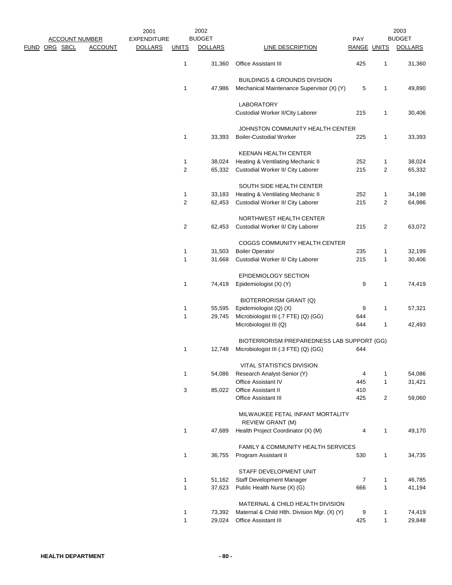|                       |                | 2001               |                         | 2002           |                                               |             |                | 2003           |
|-----------------------|----------------|--------------------|-------------------------|----------------|-----------------------------------------------|-------------|----------------|----------------|
| <b>ACCOUNT NUMBER</b> |                | <b>EXPENDITURE</b> |                         | <b>BUDGET</b>  |                                               | PAY         |                | <b>BUDGET</b>  |
| <u>FUND ORG SBCL</u>  | <b>ACCOUNT</b> | <b>DOLLARS</b>     | <b>UNITS</b>            | <b>DOLLARS</b> | <b>LINE DESCRIPTION</b>                       | RANGE UNITS |                | <b>DOLLARS</b> |
|                       |                |                    | 1                       | 31,360         | <b>Office Assistant III</b>                   | 425         | 1              | 31,360         |
|                       |                |                    |                         |                | <b>BUILDINGS &amp; GROUNDS DIVISION</b>       |             |                |                |
|                       |                |                    | 1                       | 47,986         | Mechanical Maintenance Supervisor (X) (Y)     | 5           | 1              | 49,890         |
|                       |                |                    |                         |                | LABORATORY                                    |             |                |                |
|                       |                |                    |                         |                | Custodial Worker II/City Laborer              | 215         | 1              | 30,406         |
|                       |                |                    |                         |                | JOHNSTON COMMUNITY HEALTH CENTER              |             |                |                |
|                       |                |                    | 1                       | 33,393         | <b>Boiler-Custodial Worker</b>                | 225         | 1              | 33,393         |
|                       |                |                    |                         |                | <b>KEENAN HEALTH CENTER</b>                   |             |                |                |
|                       |                |                    | 1                       | 38,024         | Heating & Ventilating Mechanic II             | 252         | 1              | 38,024         |
|                       |                |                    | $\overline{\mathbf{c}}$ | 65,332         | Custodial Worker II/ City Laborer             | 215         | 2              | 65,332         |
|                       |                |                    |                         |                | SOUTH SIDE HEALTH CENTER                      |             |                |                |
|                       |                |                    | 1                       | 33,183         | Heating & Ventilating Mechanic II             | 252         | 1              | 34,198         |
|                       |                |                    | $\overline{\mathbf{c}}$ | 62,453         | Custodial Worker II/ City Laborer             | 215         | 2              | 64,986         |
|                       |                |                    |                         |                | NORTHWEST HEALTH CENTER                       |             |                |                |
|                       |                |                    | $\overline{c}$          | 62,453         | Custodial Worker II/ City Laborer             | 215         | $\overline{2}$ | 63,072         |
|                       |                |                    |                         |                | COGGS COMMUNITY HEALTH CENTER                 |             |                |                |
|                       |                |                    | $\mathbf{1}$            | 31,503         | <b>Boiler Operator</b>                        | 235         | 1              | 32,199         |
|                       |                |                    | 1                       | 31,668         | Custodial Worker II/ City Laborer             | 215         | 1              | 30,406         |
|                       |                |                    |                         |                | EPIDEMIOLOGY SECTION                          |             |                |                |
|                       |                |                    | 1                       | 74,419         | Epidemiologist (X) (Y)                        | 9           | $\mathbf{1}$   | 74,419         |
|                       |                |                    |                         |                | <b>BIOTERRORISM GRANT (Q)</b>                 |             |                |                |
|                       |                |                    | 1                       | 55,595         | Epidemiologist (Q) (X)                        | 9           | 1              | 57,321         |
|                       |                |                    | 1                       | 29,745         | Microbiologist III (.7 FTE) (Q) (GG)          | 644         |                |                |
|                       |                |                    |                         |                | Microbiologist III (Q)                        | 644         | 1              | 42,493         |
|                       |                |                    |                         |                | BIOTERRORISM PREPAREDNESS LAB SUPPORT (GG)    |             |                |                |
|                       |                |                    | $\mathbf{1}$            | 12,748         | Microbiologist III (.3 FTE) (Q) (GG)          | 644         |                |                |
|                       |                |                    |                         |                | <b>VITAL STATISTICS DIVISION</b>              |             |                |                |
|                       |                |                    | 1                       | 54,086         | Research Analyst-Senior (Y)                   | 4           | 1              | 54,086         |
|                       |                |                    |                         |                | Office Assistant IV                           | 445         | $\mathbf{1}$   | 31,421         |
|                       |                |                    | 3                       | 85,022         | Office Assistant II                           | 410         |                |                |
|                       |                |                    |                         |                | <b>Office Assistant III</b>                   | 425         | $\overline{2}$ | 59,060         |
|                       |                |                    |                         |                | MILWAUKEE FETAL INFANT MORTALITY              |             |                |                |
|                       |                |                    |                         |                | <b>REVIEW GRANT (M)</b>                       |             |                |                |
|                       |                |                    | $\mathbf{1}$            | 47,689         | Health Project Coordinator (X) (M)            | 4           | $\mathbf{1}$   | 49,170         |
|                       |                |                    |                         |                | <b>FAMILY &amp; COMMUNITY HEALTH SERVICES</b> |             |                |                |
|                       |                |                    | $\mathbf{1}$            | 36,755         | Program Assistant II                          | 530         | $\mathbf{1}$   | 34,735         |
|                       |                |                    |                         |                | STAFF DEVELOPMENT UNIT                        |             |                |                |
|                       |                |                    | 1                       | 51,162         | Staff Development Manager                     | 7           | 1              | 46,785         |
|                       |                |                    | 1                       | 37,623         | Public Health Nurse (X) (G)                   | 666         | $\mathbf{1}$   | 41,194         |
|                       |                |                    |                         |                | MATERNAL & CHILD HEALTH DIVISION              |             |                |                |
|                       |                |                    | $\mathbf{1}$            | 73,392         | Maternal & Child Hlth. Division Mgr. (X) (Y)  | 9           | 1              | 74,419         |
|                       |                |                    | 1                       | 29,024         | Office Assistant III                          | 425         | $\mathbf{1}$   | 29,848         |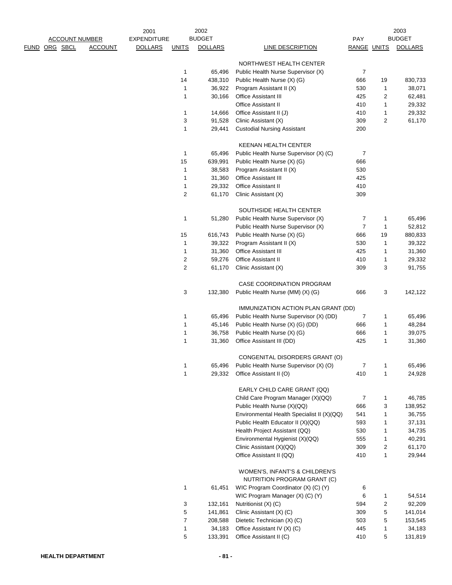|      |                       |                | 2001               |                  | 2002           |                                                               |                    |                | 2003           |
|------|-----------------------|----------------|--------------------|------------------|----------------|---------------------------------------------------------------|--------------------|----------------|----------------|
|      | <b>ACCOUNT NUMBER</b> |                | <b>EXPENDITURE</b> |                  | <b>BUDGET</b>  |                                                               | <b>PAY</b>         |                | <b>BUDGET</b>  |
| FUND | ORG SBCL              | <b>ACCOUNT</b> | <b>DOLLARS</b>     | <b>UNITS</b>     | <b>DOLLARS</b> | <b>LINE DESCRIPTION</b>                                       | <b>RANGE UNITS</b> |                | <b>DOLLARS</b> |
|      |                       |                |                    |                  |                | NORTHWEST HEALTH CENTER                                       |                    |                |                |
|      |                       |                |                    | 1                | 65,496         | Public Health Nurse Supervisor (X)                            | $\overline{7}$     |                |                |
|      |                       |                |                    | 14               | 438,310        | Public Health Nurse (X) (G)                                   | 666                | 19             | 830,733        |
|      |                       |                |                    | 1                | 36,922         | Program Assistant II (X)                                      | 530                | 1              | 38,071         |
|      |                       |                |                    | 1                | 30,166         | Office Assistant III                                          | 425                | $\overline{2}$ | 62,481         |
|      |                       |                |                    |                  |                | <b>Office Assistant II</b>                                    | 410                | 1              | 29,332         |
|      |                       |                |                    | 1                | 14,666         | Office Assistant II (J)                                       | 410                | $\mathbf{1}$   | 29,332         |
|      |                       |                |                    | 3                | 91,528         | Clinic Assistant (X)                                          | 309                | $\overline{c}$ | 61,170         |
|      |                       |                |                    | 1                | 29,441         | <b>Custodial Nursing Assistant</b>                            | 200                |                |                |
|      |                       |                |                    |                  |                | <b>KEENAN HEALTH CENTER</b>                                   |                    |                |                |
|      |                       |                |                    | 1                | 65,496         | Public Health Nurse Supervisor (X) (C)                        | 7                  |                |                |
|      |                       |                |                    | 15               | 639,991        | Public Health Nurse (X) (G)                                   | 666                |                |                |
|      |                       |                |                    | $\mathbf{1}$     | 38,583         | Program Assistant II (X)                                      | 530                |                |                |
|      |                       |                |                    | 1                | 31,360         | <b>Office Assistant III</b>                                   | 425                |                |                |
|      |                       |                |                    | 1                | 29,332         | Office Assistant II                                           | 410                |                |                |
|      |                       |                |                    | $\overline{2}$   | 61,170         | Clinic Assistant (X)                                          | 309                |                |                |
|      |                       |                |                    |                  |                | SOUTHSIDE HEALTH CENTER                                       |                    |                |                |
|      |                       |                |                    | 1                | 51,280         | Public Health Nurse Supervisor (X)                            | $\overline{7}$     | 1              | 65,496         |
|      |                       |                |                    |                  |                | Public Health Nurse Supervisor (X)                            | $\overline{7}$     | 1              | 52,812         |
|      |                       |                |                    | 15               | 616,743        | Public Health Nurse (X) (G)                                   | 666                | 19             | 880,833        |
|      |                       |                |                    | 1                | 39,322         | Program Assistant II (X)                                      | 530                | 1              | 39,322         |
|      |                       |                |                    | 1                | 31,360         | Office Assistant III                                          | 425                | 1              | 31,360         |
|      |                       |                |                    | $\overline{c}$   | 59,276         | <b>Office Assistant II</b>                                    | 410                | 1              | 29,332         |
|      |                       |                |                    | $\overline{2}$   | 61,170         | Clinic Assistant (X)                                          | 309                | 3              | 91,755         |
|      |                       |                |                    |                  |                | CASE COORDINATION PROGRAM                                     |                    |                |                |
|      |                       |                |                    | 3                | 132,380        | Public Health Nurse (MM) (X) (G)                              | 666                | 3              | 142,122        |
|      |                       |                |                    |                  |                | IMMUNIZATION ACTION PLAN GRANT (DD)                           |                    |                |                |
|      |                       |                |                    | 1                | 65,496         | Public Health Nurse Supervisor (X) (DD)                       | 7                  | 1              | 65,496         |
|      |                       |                |                    | 1                | 45,146         | Public Health Nurse (X) (G) (DD)                              | 666                | 1              | 48,284         |
|      |                       |                |                    | 1                | 36,758         | Public Health Nurse (X) (G)                                   | 666                | 1              | 39,075         |
|      |                       |                |                    | 1                | 31,360         | Office Assistant III (DD)                                     | 425                | 1              | 31,360         |
|      |                       |                |                    |                  |                | CONGENITAL DISORDERS GRANT (O)                                |                    |                |                |
|      |                       |                |                    | 1                | 65,496         | Public Health Nurse Supervisor (X) (O)                        | 7                  | 1              | 65,496         |
|      |                       |                |                    | 1                | 29,332         | Office Assistant II (O)                                       | 410                | 1              | 24,928         |
|      |                       |                |                    |                  |                | EARLY CHILD CARE GRANT (QQ)                                   |                    |                |                |
|      |                       |                |                    |                  |                | Child Care Program Manager (X)(QQ)                            | 7                  | 1              | 46,785         |
|      |                       |                |                    |                  |                | Public Health Nurse (X)(QQ)                                   | 666                | 3              | 138,952        |
|      |                       |                |                    |                  |                | Environmental Health Specialist II (X)(QQ)                    | 541                | $\mathbf{1}$   | 36,755         |
|      |                       |                |                    |                  |                | Public Health Educator II (X)(QQ)                             | 593                | 1              | 37,131         |
|      |                       |                |                    |                  |                | Health Project Assistant (QQ)                                 | 530                | 1              | 34,735         |
|      |                       |                |                    |                  |                | Environmental Hygienist (X)(QQ)                               | 555                | 1              | 40,291         |
|      |                       |                |                    |                  |                | Clinic Assistant (X)(QQ)                                      | 309                | 2              | 61,170         |
|      |                       |                |                    |                  |                | Office Assistant II (QQ)                                      | 410                | 1              | 29,944         |
|      |                       |                |                    |                  |                | WOMEN'S, INFANT'S & CHILDREN'S<br>NUTRITION PROGRAM GRANT (C) |                    |                |                |
|      |                       |                |                    |                  |                |                                                               |                    |                |                |
|      |                       |                |                    | 1                | 61,451         | WIC Program Coordinator (X) (C) (Y)                           | 6                  |                |                |
|      |                       |                |                    |                  |                | WIC Program Manager (X) (C) (Y)                               | 6                  | 1              | 54,514         |
|      |                       |                |                    | 3                | 132,161        | Nutritionist (X) (C)                                          | 594                | 2              | 92,209         |
|      |                       |                |                    | 5                | 141,861        | Clinic Assistant (X) (C)                                      | 309                | 5              | 141,014        |
|      |                       |                |                    | $\boldsymbol{7}$ | 208,588        | Dietetic Technician (X) (C)                                   | 503                | 5              | 153,545        |
|      |                       |                |                    | 1                | 34,183         | Office Assistant IV (X) (C)                                   | 445                | 1              | 34,183         |
|      |                       |                |                    | 5                | 133,391        | Office Assistant II (C)                                       | 410                | 5              | 131,819        |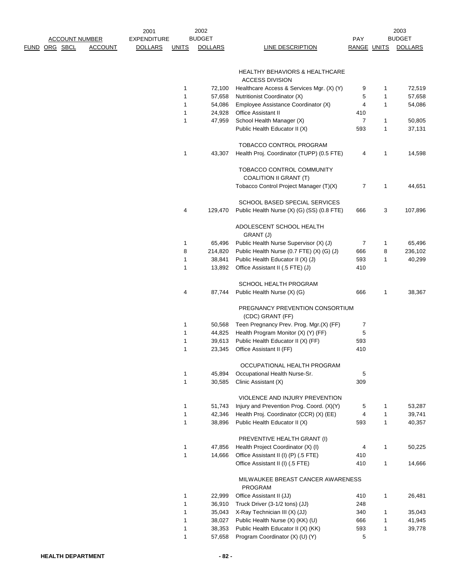|                       |                | 2001               |              | 2002           |                                              |                    |              | 2003           |
|-----------------------|----------------|--------------------|--------------|----------------|----------------------------------------------|--------------------|--------------|----------------|
| <b>ACCOUNT NUMBER</b> |                | <b>EXPENDITURE</b> |              | <b>BUDGET</b>  |                                              | <b>PAY</b>         |              | <b>BUDGET</b>  |
| FUND ORG SBCL         | <b>ACCOUNT</b> | <b>DOLLARS</b>     | <u>UNITS</u> | <b>DOLLARS</b> | <b>LINE DESCRIPTION</b>                      | <b>RANGE UNITS</b> |              | <b>DOLLARS</b> |
|                       |                |                    |              |                | <b>HEALTHY BEHAVIORS &amp; HEALTHCARE</b>    |                    |              |                |
|                       |                |                    |              |                | <b>ACCESS DIVISION</b>                       |                    |              |                |
|                       |                |                    | 1            | 72,100         | Healthcare Access & Services Mgr. (X) (Y)    | 9                  | 1            | 72,519         |
|                       |                |                    | $\mathbf{1}$ | 57,658         | Nutritionist Coordinator (X)                 | 5                  | 1            | 57,658         |
|                       |                |                    | 1            | 54,086         | Employee Assistance Coordinator (X)          | 4                  | $\mathbf{1}$ | 54,086         |
|                       |                |                    | 1            | 24,928         | Office Assistant II                          | 410                |              |                |
|                       |                |                    | 1            | 47,959         | School Health Manager (X)                    | 7                  | 1            | 50,805         |
|                       |                |                    |              |                | Public Health Educator II (X)                | 593                | 1            | 37,131         |
|                       |                |                    |              |                | TOBACCO CONTROL PROGRAM                      |                    |              |                |
|                       |                |                    | 1            | 43,307         | Health Proj. Coordinator (TUPP) (0.5 FTE)    | 4                  | 1            | 14,598         |
|                       |                |                    |              |                | TOBACCO CONTROL COMMUNITY                    |                    |              |                |
|                       |                |                    |              |                | <b>COALITION II GRANT (T)</b>                |                    |              |                |
|                       |                |                    |              |                | Tobacco Control Project Manager (T)(X)       | 7                  | 1            | 44,651         |
|                       |                |                    |              |                | <b>SCHOOL BASED SPECIAL SERVICES</b>         |                    |              |                |
|                       |                |                    | 4            | 129,470        | Public Health Nurse (X) (G) (SS) (0.8 FTE)   | 666                | 3            | 107,896        |
|                       |                |                    |              |                | ADOLESCENT SCHOOL HEALTH                     |                    |              |                |
|                       |                |                    |              |                | GRANT (J)                                    |                    |              |                |
|                       |                |                    | 1            | 65,496         | Public Health Nurse Supervisor (X) (J)       | 7                  | 1            | 65,496         |
|                       |                |                    | 8            | 214,820        | Public Health Nurse (0.7 FTE) (X) (G) (J)    | 666                | 8            | 236,102        |
|                       |                |                    | $\mathbf{1}$ | 38,841         | Public Health Educator II (X) (J)            | 593                | 1            | 40,299         |
|                       |                |                    | 1            | 13,892         | Office Assistant II (.5 FTE) (J)             | 410                |              |                |
|                       |                |                    |              |                | SCHOOL HEALTH PROGRAM                        |                    |              |                |
|                       |                |                    | 4            | 87,744         | Public Health Nurse (X) (G)                  | 666                | 1            | 38,367         |
|                       |                |                    |              |                | PREGNANCY PREVENTION CONSORTIUM              |                    |              |                |
|                       |                |                    |              |                | (CDC) GRANT (FF)                             |                    |              |                |
|                       |                |                    | 1            | 50,568         | Teen Pregnancy Prev. Prog. Mgr.(X) (FF)      | 7                  |              |                |
|                       |                |                    | 1            | 44,825         | Health Program Monitor (X) (Y) (FF)          | 5                  |              |                |
|                       |                |                    | 1            | 39,613         | Public Health Educator II (X) (FF)           | 593                |              |                |
|                       |                |                    | 1            | 23,345         | Office Assistant II (FF)                     | 410                |              |                |
|                       |                |                    |              |                | OCCUPATIONAL HEALTH PROGRAM                  |                    |              |                |
|                       |                |                    | 1            | 45,894         | Occupational Health Nurse-Sr.                | 5                  |              |                |
|                       |                |                    | $\mathbf{1}$ | 30,585         | Clinic Assistant (X)                         | 309                |              |                |
|                       |                |                    |              |                | VIOLENCE AND INJURY PREVENTION               |                    |              |                |
|                       |                |                    | 1            | 51,743         | Injury and Prevention Prog. Coord. (X)(Y)    | 5                  | 1            | 53,287         |
|                       |                |                    | $\mathbf{1}$ | 42,346         | Health Proj. Coordinator (CCR) (X) (EE)      | 4                  | 1            | 39,741         |
|                       |                |                    | $\mathbf{1}$ | 38,896         | Public Health Educator II (X)                | 593                | $\mathbf{1}$ | 40,357         |
|                       |                |                    |              |                | PREVENTIVE HEALTH GRANT (I)                  |                    |              |                |
|                       |                |                    | 1            | 47,856         | Health Project Coordinator (X) (I)           | 4                  | 1            | 50,225         |
|                       |                |                    | $\mathbf{1}$ | 14,666         | Office Assistant II (I) (P) (.5 FTE)         | 410                |              |                |
|                       |                |                    |              |                | Office Assistant II (I) (.5 FTE)             | 410                | $\mathbf{1}$ | 14,666         |
|                       |                |                    |              |                | MILWAUKEE BREAST CANCER AWARENESS<br>PROGRAM |                    |              |                |
|                       |                |                    | 1            | 22,999         | Office Assistant II (JJ)                     | 410                | 1            | 26,481         |
|                       |                |                    | 1            | 36,910         | Truck Driver (3-1/2 tons) (JJ)               | 248                |              |                |
|                       |                |                    | $\mathbf{1}$ | 35,043         | X-Ray Technician III (X) (JJ)                | 340                | 1            | 35,043         |
|                       |                |                    | $\mathbf{1}$ | 38,027         | Public Health Nurse (X) (KK) (U)             | 666                | 1            | 41,945         |
|                       |                |                    | $\mathbf{1}$ | 38,353         | Public Health Educator II (X) (KK)           | 593                | 1            | 39,778         |
|                       |                |                    | $\mathbf{1}$ | 57,658         | Program Coordinator (X) (U) (Y)              | 5                  |              |                |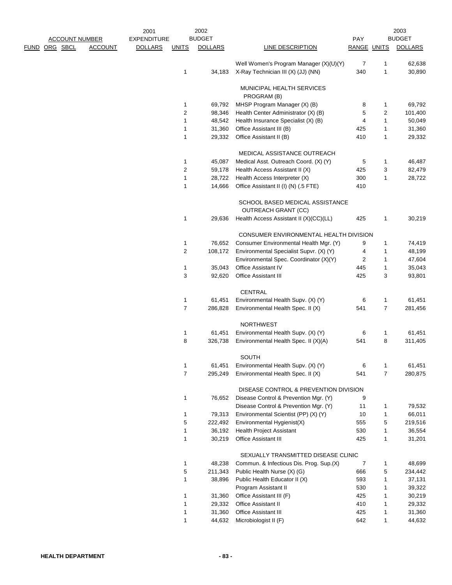|               |                       |                | 2001               |                | 2002           |                                                               |                    |              | 2003           |
|---------------|-----------------------|----------------|--------------------|----------------|----------------|---------------------------------------------------------------|--------------------|--------------|----------------|
|               | <b>ACCOUNT NUMBER</b> |                | <b>EXPENDITURE</b> |                | <b>BUDGET</b>  |                                                               | PAY                |              | <b>BUDGET</b>  |
| FUND ORG SBCL |                       | <b>ACCOUNT</b> | <b>DOLLARS</b>     | <b>UNITS</b>   | <b>DOLLARS</b> | <b>LINE DESCRIPTION</b>                                       | <b>RANGE UNITS</b> |              | <b>DOLLARS</b> |
|               |                       |                |                    |                |                | Well Women's Program Manager (X)(U)(Y)                        | 7                  | 1            | 62,638         |
|               |                       |                |                    | 1              | 34,183         | X-Ray Technician III (X) (JJ) (NN)                            | 340                | 1            | 30,890         |
|               |                       |                |                    |                |                | MUNICIPAL HEALTH SERVICES<br>PROGRAM (B)                      |                    |              |                |
|               |                       |                |                    | 1              | 69,792         | MHSP Program Manager (X) (B)                                  | 8                  | 1            | 69,792         |
|               |                       |                |                    | $\overline{c}$ | 98,346         | Health Center Administrator (X) (B)                           | 5                  | 2            | 101,400        |
|               |                       |                |                    | $\mathbf{1}$   | 48,542         | Health Insurance Specialist (X) (B)                           | 4                  | 1            | 50,049         |
|               |                       |                |                    | $\mathbf 1$    | 31,360         | Office Assistant III (B)                                      | 425                | 1            | 31,360         |
|               |                       |                |                    | 1              | 29,332         | Office Assistant II (B)                                       | 410                | 1            | 29,332         |
|               |                       |                |                    |                |                | MEDICAL ASSISTANCE OUTREACH                                   |                    |              |                |
|               |                       |                |                    | 1              | 45,087         | Medical Asst. Outreach Coord. (X) (Y)                         | 5                  | 1            | 46,487         |
|               |                       |                |                    | $\overline{2}$ | 59,178         | Health Access Assistant II (X)                                | 425                | 3            | 82,479         |
|               |                       |                |                    | 1              | 28,722         | Health Access Interpreter (X)                                 | 300                | 1            | 28,722         |
|               |                       |                |                    | 1              | 14,666         | Office Assistant II (I) (N) (.5 FTE)                          | 410                |              |                |
|               |                       |                |                    |                |                | SCHOOL BASED MEDICAL ASSISTANCE<br><b>OUTREACH GRANT (CC)</b> |                    |              |                |
|               |                       |                |                    | 1              | 29,636         | Health Access Assistant II (X)(CC)(LL)                        | 425                | 1            | 30,219         |
|               |                       |                |                    |                |                | CONSUMER ENVIRONMENTAL HEALTH DIVISION                        |                    |              |                |
|               |                       |                |                    | 1              | 76,652         | Consumer Environmental Health Mgr. (Y)                        | 9                  | 1            | 74,419         |
|               |                       |                |                    | 2              | 108,172        | Environmental Specialist Supvr. (X) (Y)                       | 4                  | 1            | 48,199         |
|               |                       |                |                    |                |                | Environmental Spec. Coordinator (X)(Y)                        | $\overline{2}$     | 1            | 47,604         |
|               |                       |                |                    | 1              | 35,043         | <b>Office Assistant IV</b>                                    | 445                | 1            | 35,043         |
|               |                       |                |                    | 3              | 92,620         | <b>Office Assistant III</b>                                   | 425                | 3            | 93,801         |
|               |                       |                |                    |                |                | CENTRAL                                                       |                    |              |                |
|               |                       |                |                    | 1              | 61,451         | Environmental Health Supv. (X) (Y)                            | 6                  | 1            | 61,451         |
|               |                       |                |                    | $\overline{7}$ | 286,828        | Environmental Health Spec. II (X)                             | 541                | 7            | 281,456        |
|               |                       |                |                    |                |                | <b>NORTHWEST</b>                                              |                    |              |                |
|               |                       |                |                    | 1              | 61,451         | Environmental Health Supv. (X) (Y)                            | 6                  | 1            | 61,451         |
|               |                       |                |                    | 8              | 326,738        | Environmental Health Spec. II (X)(A)                          | 541                | 8            | 311,405        |
|               |                       |                |                    |                |                | <b>SOUTH</b>                                                  |                    |              |                |
|               |                       |                |                    | 1              | 61,451         | Environmental Health Supv. (X) (Y)                            | 6                  | 1            | 61,451         |
|               |                       |                |                    | $\overline{7}$ | 295,249        | Environmental Health Spec. II (X)                             | 541                | 7            | 280,875        |
|               |                       |                |                    |                |                | DISEASE CONTROL & PREVENTION DIVISION                         |                    |              |                |
|               |                       |                |                    | 1              | 76,652         | Disease Control & Prevention Mgr. (Y)                         | 9                  |              |                |
|               |                       |                |                    |                |                | Disease Control & Prevention Mgr. (Y)                         | 11                 | 1            | 79,532         |
|               |                       |                |                    | 1              | 79,313         | Environmental Scientist (PP) (X) (Y)                          | 10                 | 1            | 66,011         |
|               |                       |                |                    | 5              | 222,492        | Environmental Hygienist(X)                                    | 555                | 5            | 219,516        |
|               |                       |                |                    | 1              | 36,192         | <b>Health Project Assistant</b>                               | 530                | 1            | 36,554         |
|               |                       |                |                    | 1              | 30,219         | <b>Office Assistant III</b>                                   | 425                | $\mathbf{1}$ | 31,201         |
|               |                       |                |                    |                |                | SEXUALLY TRANSMITTED DISEASE CLINIC                           |                    |              |                |
|               |                       |                |                    | 1              | 48,238         | Commun. & Infectious Dis. Prog. Sup.(X)                       | 7                  | 1            | 48,699         |
|               |                       |                |                    | 5              | 211,343        | Public Health Nurse (X) (G)                                   | 666                | 5            | 234,442        |
|               |                       |                |                    | 1              | 38,896         | Public Health Educator II (X)                                 | 593                | 1            | 37,131         |
|               |                       |                |                    |                |                | Program Assistant II                                          | 530                | $\mathbf{1}$ | 39,322         |
|               |                       |                |                    | 1              | 31,360         | Office Assistant III (F)                                      | 425                | $\mathbf{1}$ | 30,219         |
|               |                       |                |                    | 1              | 29,332         | Office Assistant II                                           | 410                | 1            | 29,332         |
|               |                       |                |                    | 1              | 31,360         | Office Assistant III                                          | 425                | 1            | 31,360         |
|               |                       |                |                    | 1              | 44,632         | Microbiologist II (F)                                         | 642                | 1            | 44,632         |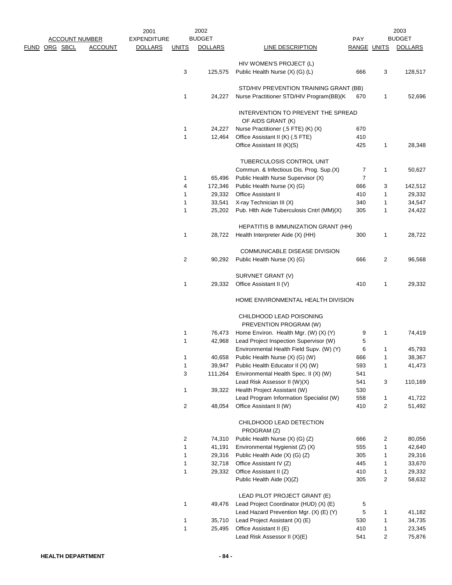|                      |                       |                | 2001               |                | 2002           |                                                                                    |                |              | 2003           |
|----------------------|-----------------------|----------------|--------------------|----------------|----------------|------------------------------------------------------------------------------------|----------------|--------------|----------------|
|                      | <b>ACCOUNT NUMBER</b> |                | <b>EXPENDITURE</b> |                | <b>BUDGET</b>  |                                                                                    | PAY            |              | <b>BUDGET</b>  |
| <u>FUND ORG SBCL</u> |                       | <b>ACCOUNT</b> | <b>DOLLARS</b>     | <b>UNITS</b>   | <b>DOLLARS</b> | LINE DESCRIPTION                                                                   | RANGE UNITS    |              | <b>DOLLARS</b> |
|                      |                       |                |                    |                |                | HIV WOMEN'S PROJECT (L)                                                            |                |              |                |
|                      |                       |                |                    | 3              | 125,575        | Public Health Nurse (X) (G) (L)                                                    | 666            | 3            | 128,517        |
|                      |                       |                |                    |                |                |                                                                                    |                |              |                |
|                      |                       |                |                    | 1              | 24,227         | STD/HIV PREVENTION TRAINING GRANT (BB)<br>Nurse Practitioner STD/HIV Program(BB)(K | 670            |              | 52,696         |
|                      |                       |                |                    |                |                |                                                                                    |                | 1            |                |
|                      |                       |                |                    |                |                | INTERVENTION TO PREVENT THE SPREAD                                                 |                |              |                |
|                      |                       |                |                    | 1              | 24,227         | OF AIDS GRANT (K)<br>Nurse Practitioner (.5 FTE) (K) (X)                           | 670            |              |                |
|                      |                       |                |                    | 1              | 12,464         | Office Assistant II (K) (.5 FTE)                                                   | 410            |              |                |
|                      |                       |                |                    |                |                | Office Assistant III (K)(S)                                                        | 425            | 1            | 28,348         |
|                      |                       |                |                    |                |                |                                                                                    |                |              |                |
|                      |                       |                |                    |                |                | TUBERCULOSIS CONTROL UNIT                                                          |                |              |                |
|                      |                       |                |                    |                |                | Commun. & Infectious Dis. Prog. Sup.(X)                                            | 7              | 1            | 50,627         |
|                      |                       |                |                    | 1              | 65,496         | Public Health Nurse Supervisor (X)                                                 | $\overline{7}$ |              |                |
|                      |                       |                |                    | 4              | 172,346        | Public Health Nurse (X) (G)                                                        | 666            | 3            | 142,512        |
|                      |                       |                |                    | 1              | 29,332         | <b>Office Assistant II</b>                                                         | 410            | 1            | 29,332         |
|                      |                       |                |                    | 1              | 33,541         | X-ray Technician III (X)                                                           | 340            | 1            | 34,547         |
|                      |                       |                |                    | 1              | 25,202         | Pub. Hith Aide Tuberculosis Cntrl (MM)(X)                                          | 305            | 1            | 24,422         |
|                      |                       |                |                    |                |                | <b>HEPATITIS B IMMUNIZATION GRANT (HH)</b>                                         |                |              |                |
|                      |                       |                |                    | 1              | 28,722         | Health Interpreter Aide (X) (HH)                                                   | 300            | 1            | 28,722         |
|                      |                       |                |                    |                |                |                                                                                    |                |              |                |
|                      |                       |                |                    |                |                | <b>COMMUNICABLE DISEASE DIVISION</b>                                               |                |              |                |
|                      |                       |                |                    | $\overline{2}$ | 90,292         | Public Health Nurse (X) (G)                                                        | 666            | 2            | 96,568         |
|                      |                       |                |                    |                |                | SURVNET GRANT (V)                                                                  |                |              |                |
|                      |                       |                |                    | 1              | 29,332         | Office Assistant II (V)                                                            | 410            | 1            | 29,332         |
|                      |                       |                |                    |                |                | HOME ENVIRONMENTAL HEALTH DIVISION                                                 |                |              |                |
|                      |                       |                |                    |                |                |                                                                                    |                |              |                |
|                      |                       |                |                    |                |                | CHILDHOOD LEAD POISONING<br>PREVENTION PROGRAM (W)                                 |                |              |                |
|                      |                       |                |                    | 1              | 76,473         | Home Environ. Health Mgr. (W) (X) (Y)                                              | 9              | 1            | 74,419         |
|                      |                       |                |                    | 1              | 42,968         | Lead Project Inspection Supervisor (W)                                             | 5              |              |                |
|                      |                       |                |                    |                |                | Environmental Health Field Supv. (W) (Y)                                           | 6              | 1            | 45,793         |
|                      |                       |                |                    | 1              | 40.658         | Public Health Nurse (X) (G) (W)                                                    | 666            | 1            | 38,367         |
|                      |                       |                |                    | 1              | 39,947         | Public Health Educator II (X) (W)                                                  | 593            | 1            | 41,473         |
|                      |                       |                |                    | 3              | 111,264        | Environmental Health Spec. II (X) (W)                                              | 541            |              |                |
|                      |                       |                |                    |                |                | Lead Risk Assessor II (W)(X)                                                       | 541            | 3            | 110,169        |
|                      |                       |                |                    | 1              | 39,322         | Health Project Assistant (W)                                                       | 530            |              |                |
|                      |                       |                |                    |                |                | Lead Program Information Specialist (W)                                            | 558            | $\mathbf{1}$ | 41,722         |
|                      |                       |                |                    | $\overline{c}$ | 48,054         | Office Assistant II (W)                                                            | 410            | 2            | 51,492         |
|                      |                       |                |                    |                |                | CHILDHOOD LEAD DETECTION                                                           |                |              |                |
|                      |                       |                |                    |                |                | PROGRAM (Z)                                                                        |                |              |                |
|                      |                       |                |                    | 2              | 74,310         | Public Health Nurse (X) (G) (Z)                                                    | 666            | 2            | 80,056         |
|                      |                       |                |                    | 1              | 41,191         | Environmental Hygienist (Z) (X)                                                    | 555            | 1            | 42,640         |
|                      |                       |                |                    | 1              | 29,316         | Public Health Aide (X) (G) (Z)                                                     | 305            | 1            | 29,316         |
|                      |                       |                |                    | 1              | 32,718         | Office Assistant IV (Z)                                                            | 445            | 1            | 33,670         |
|                      |                       |                |                    | 1              | 29,332         | Office Assistant II (Z)                                                            | 410            | 1            | 29,332         |
|                      |                       |                |                    |                |                | Public Health Aide (X)(Z)                                                          | 305            | 2            | 58,632         |
|                      |                       |                |                    |                |                |                                                                                    |                |              |                |
|                      |                       |                |                    | 1              | 49,476         | LEAD PILOT PROJECT GRANT (E)<br>Lead Project Coordinator (HUD) (X) (E)             | 5              |              |                |
|                      |                       |                |                    |                |                | Lead Hazard Prevention Mgr. (X) (E) (Y)                                            | 5              | 1            | 41,182         |
|                      |                       |                |                    | 1              | 35,710         | Lead Project Assistant (X) (E)                                                     | 530            | 1            | 34,735         |
|                      |                       |                |                    | 1              |                | Office Assistant II (E)                                                            | 410            | 1            | 23,345         |
|                      |                       |                |                    |                | 25,495         | Lead Risk Assessor II (X)(E)                                                       | 541            | 2            | 75,876         |
|                      |                       |                |                    |                |                |                                                                                    |                |              |                |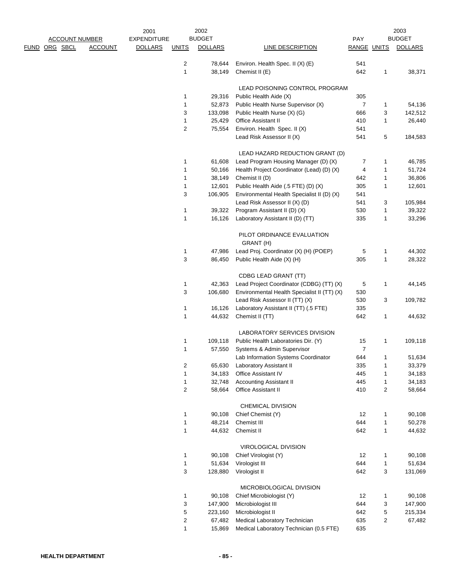|               |                       |                | 2001               |                         | 2002             |                                                                                   |                |                | 2003             |
|---------------|-----------------------|----------------|--------------------|-------------------------|------------------|-----------------------------------------------------------------------------------|----------------|----------------|------------------|
|               | <b>ACCOUNT NUMBER</b> |                | <b>EXPENDITURE</b> |                         | <b>BUDGET</b>    |                                                                                   | <b>PAY</b>     |                | <b>BUDGET</b>    |
| FUND ORG SBCL |                       | <b>ACCOUNT</b> | <b>DOLLARS</b>     | <b>UNITS</b>            | <b>DOLLARS</b>   | LINE DESCRIPTION                                                                  | RANGE UNITS    |                | <b>DOLLARS</b>   |
|               |                       |                |                    |                         |                  |                                                                                   |                |                |                  |
|               |                       |                |                    | 2<br>$\mathbf{1}$       | 78,644<br>38,149 | Environ. Health Spec. II (X) (E)<br>Chemist II (E)                                | 541<br>642     | 1              | 38,371           |
|               |                       |                |                    |                         |                  |                                                                                   |                |                |                  |
|               |                       |                |                    |                         |                  | LEAD POISONING CONTROL PROGRAM                                                    |                |                |                  |
|               |                       |                |                    | 1                       | 29,316           | Public Health Aide (X)                                                            | 305            |                |                  |
|               |                       |                |                    | $\mathbf{1}$            | 52,873           | Public Health Nurse Supervisor (X)                                                | 7              | 1              | 54,136           |
|               |                       |                |                    | 3                       | 133,098          | Public Health Nurse (X) (G)                                                       | 666            | 3              | 142,512          |
|               |                       |                |                    | 1                       | 25,429           | Office Assistant II                                                               | 410            | 1              | 26,440           |
|               |                       |                |                    | 2                       | 75,554           | Environ. Health Spec. II (X)                                                      | 541            |                |                  |
|               |                       |                |                    |                         |                  | Lead Risk Assessor II (X)                                                         | 541            | 5              | 184,583          |
|               |                       |                |                    |                         |                  |                                                                                   |                |                |                  |
|               |                       |                |                    |                         |                  | LEAD HAZARD REDUCTION GRANT (D)                                                   |                |                |                  |
|               |                       |                |                    | 1<br>$\mathbf{1}$       | 61,608<br>50,166 | Lead Program Housing Manager (D) (X)<br>Health Project Coordinator (Lead) (D) (X) | 7<br>4         | 1<br>1         | 46,785<br>51,724 |
|               |                       |                |                    | $\mathbf{1}$            | 38,149           | Chemist II (D)                                                                    | 642            | 1              | 36,806           |
|               |                       |                |                    | $\mathbf{1}$            | 12,601           | Public Health Aide (.5 FTE) (D) (X)                                               | 305            | 1              | 12,601           |
|               |                       |                |                    | 3                       | 106,905          | Environmental Health Specialist II (D) (X)                                        | 541            |                |                  |
|               |                       |                |                    |                         |                  | Lead Risk Assessor II (X) (D)                                                     | 541            | 3              | 105,984          |
|               |                       |                |                    | $\mathbf{1}$            | 39,322           | Program Assistant II (D) (X)                                                      | 530            | 1              | 39,322           |
|               |                       |                |                    | $\mathbf{1}$            | 16,126           | Laboratory Assistant II (D) (TT)                                                  | 335            | 1              | 33,296           |
|               |                       |                |                    |                         |                  |                                                                                   |                |                |                  |
|               |                       |                |                    |                         |                  | PILOT ORDINANCE EVALUATION                                                        |                |                |                  |
|               |                       |                |                    |                         |                  | GRANT (H)                                                                         |                |                |                  |
|               |                       |                |                    | 1<br>3                  | 47,986<br>86,450 | Lead Proj. Coordinator (X) (H) (POEP)<br>Public Health Aide (X) (H)               | 5<br>305       | 1<br>1         | 44,302<br>28,322 |
|               |                       |                |                    |                         |                  |                                                                                   |                |                |                  |
|               |                       |                |                    |                         |                  | CDBG LEAD GRANT (TT)                                                              |                |                |                  |
|               |                       |                |                    | 1                       | 42,363           | Lead Project Coordinator (CDBG) (TT) (X)                                          | 5              | 1              | 44,145           |
|               |                       |                |                    | 3                       | 106,680          | Environmental Health Specialist II (TT) (X)                                       | 530            |                |                  |
|               |                       |                |                    |                         |                  | Lead Risk Assessor II (TT) (X)                                                    | 530            | 3              | 109,782          |
|               |                       |                |                    | 1                       | 16,126           | Laboratory Assistant II (TT) (.5 FTE)                                             | 335            |                |                  |
|               |                       |                |                    | $\mathbf{1}$            | 44,632           | Chemist II (TT)                                                                   | 642            | 1              | 44,632           |
|               |                       |                |                    |                         |                  | LABORATORY SERVICES DIVISION                                                      |                |                |                  |
|               |                       |                |                    | 1                       | 109,118          | Public Health Laboratories Dir. (Y)                                               | 15             | 1              | 109,118          |
|               |                       |                |                    | 1                       | 57,550           | Systems & Admin Supervisor                                                        | $\overline{7}$ |                |                  |
|               |                       |                |                    |                         |                  | Lab Information Systems Coordinator                                               | 644            | 1              | 51,634           |
|               |                       |                |                    | 2                       | 65,630           | Laboratory Assistant II                                                           | 335            | 1              | 33,379           |
|               |                       |                |                    | 1                       | 34,183           | Office Assistant IV                                                               | 445            | 1              | 34,183           |
|               |                       |                |                    | $\mathbf{1}$            | 32,748           | <b>Accounting Assistant II</b>                                                    | 445            | 1              | 34,183           |
|               |                       |                |                    | $\overline{c}$          | 58,664           | Office Assistant II                                                               | 410            | $\overline{c}$ | 58,664           |
|               |                       |                |                    |                         |                  | CHEMICAL DIVISION                                                                 |                |                |                  |
|               |                       |                |                    | 1                       | 90,108           | Chief Chemist (Y)                                                                 | 12             | 1              | 90,108           |
|               |                       |                |                    | 1                       | 48,214           | Chemist III                                                                       | 644            | 1              | 50,278           |
|               |                       |                |                    | 1                       | 44,632           | Chemist II                                                                        | 642            | 1              | 44,632           |
|               |                       |                |                    |                         |                  |                                                                                   |                |                |                  |
|               |                       |                |                    |                         |                  | VIROLOGICAL DIVISION                                                              |                |                |                  |
|               |                       |                |                    | 1                       | 90,108           | Chief Virologist (Y)                                                              | 12             | 1              | 90,108           |
|               |                       |                |                    | 1                       | 51,634           | Virologist III                                                                    | 644            | 1              | 51,634           |
|               |                       |                |                    | 3                       | 128,880          | Virologist II                                                                     | 642            | 3              | 131,069          |
|               |                       |                |                    |                         |                  | MICROBIOLOGICAL DIVISION                                                          |                |                |                  |
|               |                       |                |                    | $\mathbf{1}$            | 90,108           | Chief Microbiologist (Y)                                                          | 12             | 1              | 90,108           |
|               |                       |                |                    | 3                       | 147,900          | Microbiologist III                                                                | 644            | 3              | 147,900          |
|               |                       |                |                    | 5                       | 223,160          | Microbiologist II                                                                 | 642            | 5              | 215,334          |
|               |                       |                |                    | $\overline{\mathbf{c}}$ | 67,482           | Medical Laboratory Technician                                                     | 635            | 2              | 67,482           |
|               |                       |                |                    | 1                       | 15,869           | Medical Laboratory Technician (0.5 FTE)                                           | 635            |                |                  |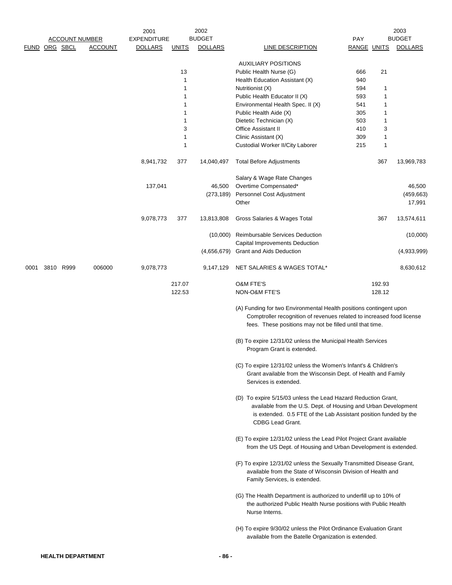|      | FUND ORG SBCL | <b>ACCOUNT NUMBER</b><br><b>ACCOUNT</b> | 2001<br><b>EXPENDITURE</b><br><b>DOLLARS</b> | <u>UNITS</u>     | 2002<br><b>BUDGET</b><br><b>DOLLARS</b> | LINE DESCRIPTION                                                                                                                                                                                                               | PAY<br>RANGE UNITS |                  | 2003<br><b>BUDGET</b><br><b>DOLLARS</b> |
|------|---------------|-----------------------------------------|----------------------------------------------|------------------|-----------------------------------------|--------------------------------------------------------------------------------------------------------------------------------------------------------------------------------------------------------------------------------|--------------------|------------------|-----------------------------------------|
|      |               |                                         |                                              |                  |                                         |                                                                                                                                                                                                                                |                    |                  |                                         |
|      |               |                                         |                                              |                  |                                         | <b>AUXILIARY POSITIONS</b>                                                                                                                                                                                                     |                    |                  |                                         |
|      |               |                                         |                                              | 13<br>1          |                                         | Public Health Nurse (G)<br>Health Education Assistant (X)                                                                                                                                                                      | 666<br>940         | 21               |                                         |
|      |               |                                         |                                              | 1                |                                         | Nutritionist (X)                                                                                                                                                                                                               | 594                | 1                |                                         |
|      |               |                                         |                                              | 1                |                                         | Public Health Educator II (X)                                                                                                                                                                                                  | 593                | 1                |                                         |
|      |               |                                         |                                              | 1                |                                         | Environmental Health Spec. II (X)                                                                                                                                                                                              | 541                | 1                |                                         |
|      |               |                                         |                                              | 1<br>1           |                                         | Public Health Aide (X)                                                                                                                                                                                                         | 305<br>503         | 1<br>1           |                                         |
|      |               |                                         |                                              | 3                |                                         | Dietetic Technician (X)<br><b>Office Assistant II</b>                                                                                                                                                                          | 410                | 3                |                                         |
|      |               |                                         |                                              | 1                |                                         | Clinic Assistant (X)                                                                                                                                                                                                           | 309                | 1                |                                         |
|      |               |                                         |                                              | 1                |                                         | Custodial Worker II/City Laborer                                                                                                                                                                                               | 215                | 1                |                                         |
|      |               |                                         | 8,941,732                                    | 377              | 14,040,497                              | <b>Total Before Adjustments</b>                                                                                                                                                                                                |                    | 367              | 13,969,783                              |
|      |               |                                         |                                              |                  |                                         | Salary & Wage Rate Changes                                                                                                                                                                                                     |                    |                  |                                         |
|      |               |                                         | 137,041                                      |                  | 46,500<br>(273, 189)                    | Overtime Compensated*<br>Personnel Cost Adjustment                                                                                                                                                                             |                    |                  | 46,500<br>(459, 663)                    |
|      |               |                                         |                                              |                  |                                         | Other                                                                                                                                                                                                                          |                    |                  | 17,991                                  |
|      |               |                                         | 9,078,773                                    | 377              | 13,813,808                              | Gross Salaries & Wages Total                                                                                                                                                                                                   |                    | 367              | 13,574,611                              |
|      |               |                                         |                                              |                  | (10,000)                                | <b>Reimbursable Services Deduction</b>                                                                                                                                                                                         |                    |                  | (10,000)                                |
|      |               |                                         |                                              |                  | (4,656,679)                             | Capital Improvements Deduction<br><b>Grant and Aids Deduction</b>                                                                                                                                                              |                    |                  | (4,933,999)                             |
| 0001 | 3810 R999     | 006000                                  | 9,078,773                                    |                  | 9,147,129                               | NET SALARIES & WAGES TOTAL*                                                                                                                                                                                                    |                    |                  | 8,630,612                               |
|      |               |                                         |                                              | 217.07<br>122.53 |                                         | <b>O&amp;M FTE'S</b><br>NON-O&M FTE'S                                                                                                                                                                                          |                    | 192.93<br>128.12 |                                         |
|      |               |                                         |                                              |                  |                                         |                                                                                                                                                                                                                                |                    |                  |                                         |
|      |               |                                         |                                              |                  |                                         | (A) Funding for two Environmental Health positions contingent upon<br>Comptroller recognition of revenues related to increased food license<br>fees. These positions may not be filled until that time.                        |                    |                  |                                         |
|      |               |                                         |                                              |                  |                                         | (B) To expire 12/31/02 unless the Municipal Health Services<br>Program Grant is extended.                                                                                                                                      |                    |                  |                                         |
|      |               |                                         |                                              |                  |                                         | (C) To expire 12/31/02 unless the Women's Infant's & Children's<br>Grant available from the Wisconsin Dept. of Health and Family<br>Services is extended.                                                                      |                    |                  |                                         |
|      |               |                                         |                                              |                  |                                         | (D) To expire 5/15/03 unless the Lead Hazard Reduction Grant,<br>available from the U.S. Dept. of Housing and Urban Development<br>is extended. 0.5 FTE of the Lab Assistant position funded by the<br><b>CDBG Lead Grant.</b> |                    |                  |                                         |
|      |               |                                         |                                              |                  |                                         | (E) To expire 12/31/02 unless the Lead Pilot Project Grant available<br>from the US Dept. of Housing and Urban Development is extended.                                                                                        |                    |                  |                                         |
|      |               |                                         |                                              |                  |                                         | (F) To expire 12/31/02 unless the Sexually Transmitted Disease Grant,<br>available from the State of Wisconsin Division of Health and<br>Family Services, is extended.                                                         |                    |                  |                                         |
|      |               |                                         |                                              |                  |                                         | (G) The Health Department is authorized to underfill up to 10% of<br>the authorized Public Health Nurse positions with Public Health<br>Nurse Interns.                                                                         |                    |                  |                                         |
|      |               |                                         |                                              |                  |                                         | (H) To expire 9/30/02 unless the Pilot Ordinance Evaluation Grant<br>available from the Batelle Organization is extended.                                                                                                      |                    |                  |                                         |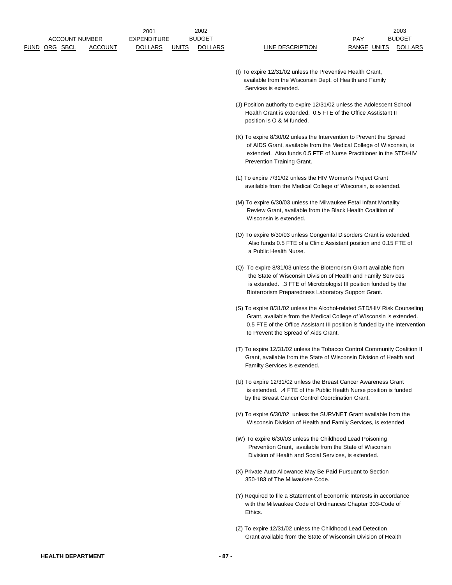- (I) To expire 12/31/02 unless the Preventive Health Grant, available from the Wisconsin Dept. of Health and Family Services is extended.
- (J) Position authority to expire 12/31/02 unless the Adolescent School Health Grant is extended. 0.5 FTE of the Office Asstistant II position is O & M funded.
- (K) To expire 8/30/02 unless the Intervention to Prevent the Spread of AIDS Grant, available from the Medical College of Wisconsin, is extended. Also funds 0.5 FTE of Nurse Practitioner in the STD/HIV Prevention Training Grant.
- (L) To expire 7/31/02 unless the HIV Women's Project Grant available from the Medical College of Wisconsin, is extended.
- (M) To expire 6/30/03 unless the Milwaukee Fetal Infant Mortality Review Grant, available from the Black Health Coalition of Wisconsin is extended.
- (O) To expire 6/30/03 unless Congenital Disorders Grant is extended. Also funds 0.5 FTE of a Clinic Assistant position and 0.15 FTE of a Public Health Nurse.
- (Q) To expire 8/31/03 unless the Bioterrorism Grant available from the State of Wisconsin Division of Health and Family Services is extended. .3 FTE of Microbiologist III position funded by the Bioterrorism Preparedness Laboratory Support Grant.
- (S) To expire 8/31/02 unless the Alcohol-related STD/HIV Risk Counseling Grant, available from the Medical College of Wisconsin is extended. 0.5 FTE of the Office Assistant III position is funded by the Intervention to Prevent the Spread of Aids Grant.
- (T) To expire 12/31/02 unless the Tobacco Control Community Coalition II Grant, available from the State of Wisconsin Division of Health and Familty Services is extended.
- (U) To expire 12/31/02 unless the Breast Cancer Awareness Grant is extended. .4 FTE of the Public Health Nurse position is funded by the Breast Cancer Control Coordination Grant.
- (V) To expire 6/30/02 unless the SURVNET Grant available from the Wisconsin Division of Health and Family Services, is extended.
- (W) To expire 6/30/03 unless the Childhood Lead Poisoning Prevention Grant, available from the State of Wisconsin Division of Health and Social Services, is extended.
- (X) Private Auto Allowance May Be Paid Pursuant to Section 350-183 of The Milwaukee Code.
- (Y) Required to file a Statement of Economic Interests in accordance with the Milwaukee Code of Ordinances Chapter 303-Code of **Ethics**
- (Z) To expire 12/31/02 unless the Childhood Lead Detection Grant available from the State of Wisconsin Division of Health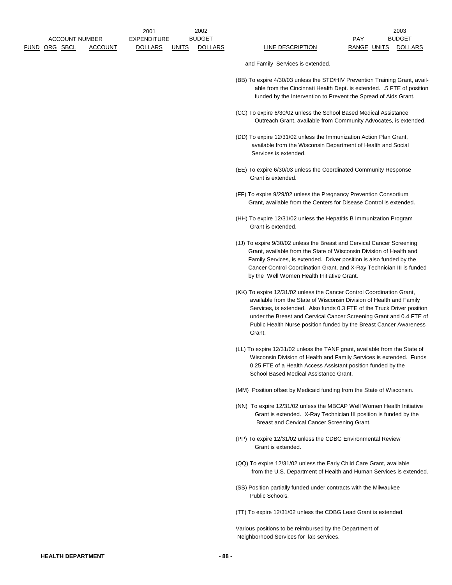and Family Services is extended.

- (BB) To expire 4/30/03 unless the STD/HIV Prevention Training Grant, avail able from the Cincinnati Health Dept. is extended. .5 FTE of position funded by the Intervention to Prevent the Spread of Aids Grant.
- (CC) To expire 6/30/02 unless the School Based Medical Assistance Outreach Grant, available from Community Advocates, is extended.
- (DD) To expire 12/31/02 unless the Immunization Action Plan Grant, available from the Wisconsin Department of Health and Social Services is extended.
- (EE) To expire 6/30/03 unless the Coordinated Community Response Grant is extended.
- (FF) To expire 9/29/02 unless the Pregnancy Prevention Consortium Grant, available from the Centers for Disease Control is extended.
- (HH) To expire 12/31/02 unless the Hepatitis B Immunization Program Grant is extended.
- (JJ) To expire 9/30/02 unless the Breast and Cervical Cancer Screening Grant, available from the State of Wisconsin Division of Health and Family Services, is extended. Driver position is also funded by the Cancer Control Coordination Grant, and X-Ray Technician III is funded by the Well Women Health Initiative Grant.
- (KK) To expire 12/31/02 unless the Cancer Control Coordination Grant, available from the State of Wisconsin Division of Health and Family Services, is extended. Also funds 0.3 FTE of the Truck Driver position under the Breast and Cervical Cancer Screening Grant and 0.4 FTE of Public Health Nurse position funded by the Breast Cancer Awareness Grant.
- (LL) To expire 12/31/02 unless the TANF grant, available from the State of Wisconsin Division of Health and Family Services is extended. Funds 0.25 FTE of a Health Access Assistant position funded by the School Based Medical Assistance Grant.
- (MM) Position offset by Medicaid funding from the State of Wisconsin.
- (NN) To expire 12/31/02 unless the MBCAP Well Women Health Initiative Grant is extended. X-Ray Technician III position is funded by the Breast and Cervical Cancer Screening Grant.
- (PP) To expire 12/31/02 unless the CDBG Environmental Review Grant is extended.
- (QQ) To expire 12/31/02 unless the Early Child Care Grant, available from the U.S. Department of Health and Human Services is extended.
- (SS) Position partially funded under contracts with the Milwaukee Public Schools.
- (TT) To expire 12/31/02 unless the CDBG Lead Grant is extended.

Various positions to be reimbursed by the Department of Neighborhood Services for lab services.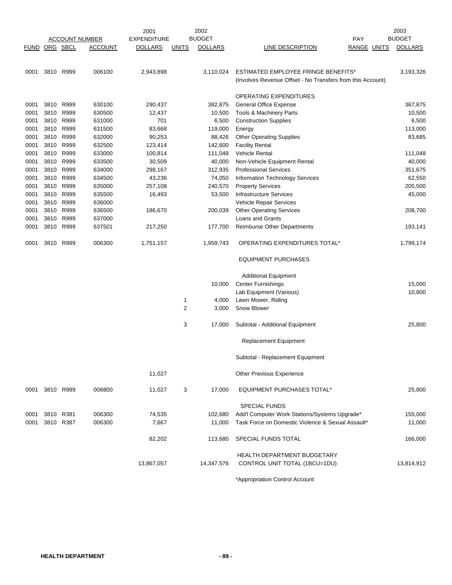|                      | <b>ACCOUNT NUMBER</b> |      |                | 2001               |              | 2002           | 2003                                                                |                    |  |                |
|----------------------|-----------------------|------|----------------|--------------------|--------------|----------------|---------------------------------------------------------------------|--------------------|--|----------------|
|                      |                       |      |                | <b>EXPENDITURE</b> |              | <b>BUDGET</b>  |                                                                     | <b>PAY</b>         |  | <b>BUDGET</b>  |
| <b>FUND ORG SBCL</b> |                       |      | <b>ACCOUNT</b> | <b>DOLLARS</b>     | <b>UNITS</b> | <b>DOLLARS</b> | LINE DESCRIPTION                                                    | <b>RANGE UNITS</b> |  | <b>DOLLARS</b> |
|                      |                       |      |                |                    |              |                |                                                                     |                    |  |                |
|                      |                       |      |                |                    |              |                |                                                                     |                    |  |                |
| 0001                 | 3810 R999             |      | 006100         | 2,943,898          |              | 3,110,024      | ESTIMATED EMPLOYEE FRINGE BENEFITS*                                 |                    |  | 3,193,326      |
|                      |                       |      |                |                    |              |                | (Involves Revenue Offset - No Transfers from this Account)          |                    |  |                |
|                      |                       |      |                |                    |              |                | OPERATING EXPENDITURES                                              |                    |  |                |
| 0001                 | 3810 R999             |      | 630100         | 290,437            |              | 382,875        | <b>General Office Expense</b>                                       |                    |  | 367,875        |
| 0001                 | 3810 R999             |      | 630500         | 12,437             |              | 10,500         | Tools & Machinery Parts                                             |                    |  | 10,500         |
| 0001                 | 3810 R999             |      | 631000         | 701                |              | 6,500          | <b>Construction Supplies</b>                                        |                    |  | 6,500          |
| 0001                 | 3810 R999             |      | 631500         | 83,668             |              | 119,000        | Energy                                                              |                    |  | 113,000        |
| 0001                 | 3810 R999             |      | 632000         | 90,253             |              | 88,426         | <b>Other Operating Supplies</b>                                     |                    |  | 83,685         |
| 0001                 | 3810 R999             |      | 632500         | 123,414            |              | 142,600        | <b>Facility Rental</b>                                              |                    |  |                |
| 0001                 | 3810 R999             |      | 633000         | 100,814            |              | 111,048        | <b>Vehicle Rental</b>                                               |                    |  | 111,048        |
| 0001                 | 3810 R999             |      | 633500         | 30,509             |              | 40,000         | Non-Vehicle Equipment Rental                                        |                    |  | 40,000         |
| 0001                 | 3810                  | R999 | 634000         | 298,167            |              | 312,935        | <b>Professional Services</b>                                        |                    |  | 351,675        |
| 0001                 | 3810                  | R999 | 634500         | 43,236             |              | 74,050         | Information Technology Services                                     |                    |  | 62,550         |
| 0001                 | 3810 R999             |      | 635000         | 257,108            |              | 240,570        | <b>Property Services</b>                                            |                    |  | 205,500        |
| 0001                 | 3810 R999             |      | 635500         | 16,493             |              | 53,500         | <b>Infrastructure Services</b>                                      |                    |  | 45,000         |
| 0001                 | 3810                  | R999 | 636000         |                    |              |                | Vehicle Repair Services                                             |                    |  |                |
| 0001                 | 3810 R999             |      | 636500         | 186,670            |              | 200,039        | <b>Other Operating Services</b>                                     |                    |  | 208,700        |
| 0001                 | 3810 R999             |      | 637000         |                    |              |                | Loans and Grants                                                    |                    |  |                |
| 0001                 | 3810 R999             |      | 637501         | 217,250            |              | 177,700        | <b>Reimburse Other Departments</b>                                  |                    |  | 193,141        |
|                      |                       |      |                |                    |              |                |                                                                     |                    |  |                |
| 0001                 | 3810 R999             |      | 006300         | 1,751,157          |              | 1,959,743      | OPERATING EXPENDITURES TOTAL*                                       |                    |  | 1,799,174      |
|                      |                       |      |                |                    |              |                | <b>EQUIPMENT PURCHASES</b>                                          |                    |  |                |
|                      |                       |      |                |                    |              |                |                                                                     |                    |  |                |
|                      |                       |      |                |                    |              |                | <b>Additional Equipment</b>                                         |                    |  |                |
|                      |                       |      |                |                    |              | 10,000         | <b>Center Furnishings</b>                                           |                    |  | 15,000         |
|                      |                       |      |                |                    |              |                | Lab Equipment (Various)                                             |                    |  | 10,800         |
|                      |                       |      |                |                    | 1            | 4,000          | Lawn Mower, Riding                                                  |                    |  |                |
|                      |                       |      |                |                    | 2            | 3,000          | Snow Blower                                                         |                    |  |                |
|                      |                       |      |                |                    | 3            | 17,000         | Subtotal - Additional Equipment                                     |                    |  | 25,800         |
|                      |                       |      |                |                    |              |                | Replacement Equipment                                               |                    |  |                |
|                      |                       |      |                |                    |              |                |                                                                     |                    |  |                |
|                      |                       |      |                |                    |              |                | Subtotal - Replacement Equipment                                    |                    |  |                |
|                      |                       |      |                | 11,027             |              |                | <b>Other Previous Experience</b>                                    |                    |  |                |
| 0001                 | 3810 R999             |      | 006800         | 11,027             | 3            | 17,000         | <b>EQUIPMENT PURCHASES TOTAL*</b>                                   |                    |  | 25,800         |
|                      |                       |      |                |                    |              |                |                                                                     |                    |  |                |
|                      |                       |      |                |                    |              |                | <b>SPECIAL FUNDS</b>                                                |                    |  |                |
| 0001                 | 3810 R381             |      | 006300         | 74,535             |              | 102,680        | Add'l Computer Work Stations/Systems Upgrade*                       |                    |  | 155,000        |
| 0001                 | 3810 R387             |      | 006300         | 7,667              |              | 11,000         | Task Force on Domestic Violence & Sexual Assault*                   |                    |  | 11,000         |
|                      |                       |      |                | 82,202             |              | 113,680        | SPECIAL FUNDS TOTAL                                                 |                    |  | 166,000        |
|                      |                       |      |                |                    |              |                |                                                                     |                    |  |                |
|                      |                       |      |                | 13,867,057         |              | 14,347,576     | <b>HEALTH DEPARTMENT BUDGETARY</b><br>CONTROL UNIT TOTAL (1BCU=1DU) |                    |  | 13,814,912     |
|                      |                       |      |                |                    |              |                |                                                                     |                    |  |                |
|                      |                       |      |                |                    |              |                |                                                                     |                    |  |                |

\*Appropriation Control Account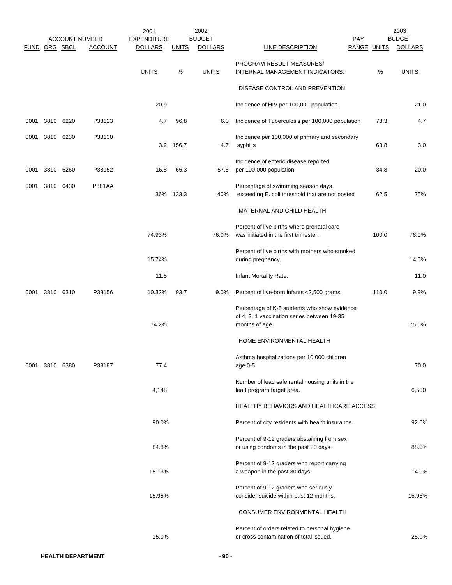|               |           |                       | 2001               |              | 2002           |                                                                                                               |     |                    | 2003           |
|---------------|-----------|-----------------------|--------------------|--------------|----------------|---------------------------------------------------------------------------------------------------------------|-----|--------------------|----------------|
|               |           | <b>ACCOUNT NUMBER</b> | <b>EXPENDITURE</b> |              | <b>BUDGET</b>  |                                                                                                               | PAY |                    | <b>BUDGET</b>  |
| FUND ORG SBCL |           | <b>ACCOUNT</b>        | <b>DOLLARS</b>     | <b>UNITS</b> | <b>DOLLARS</b> | LINE DESCRIPTION                                                                                              |     | <b>RANGE UNITS</b> | <b>DOLLARS</b> |
|               |           |                       | <b>UNITS</b>       | $\%$         | <b>UNITS</b>   | PROGRAM RESULT MEASURES/<br>INTERNAL MANAGEMENT INDICATORS:                                                   |     | %                  | <b>UNITS</b>   |
|               |           |                       |                    |              |                | DISEASE CONTROL AND PREVENTION                                                                                |     |                    |                |
|               |           |                       | 20.9               |              |                | Incidence of HIV per 100,000 population                                                                       |     |                    | 21.0           |
| 0001          | 3810 6220 | P38123                | 4.7                | 96.8         | 6.0            | Incidence of Tuberculosis per 100,000 population                                                              |     | 78.3               | 4.7            |
| 0001          | 3810 6230 | P38130                |                    | 3.2 156.7    | 4.7            | Incidence per 100,000 of primary and secondary<br>syphilis                                                    |     | 63.8               | 3.0            |
| 0001          | 3810 6260 | P38152                | 16.8               | 65.3         | 57.5           | Incidence of enteric disease reported<br>per 100,000 population                                               |     | 34.8               | 20.0           |
| 0001          | 3810 6430 | <b>P381AA</b>         |                    | 36% 133.3    | 40%            | Percentage of swimming season days<br>exceeding E. coli threshold that are not posted                         |     | 62.5               | 25%            |
|               |           |                       |                    |              |                | MATERNAL AND CHILD HEALTH                                                                                     |     |                    |                |
|               |           |                       | 74.93%             |              | 76.0%          | Percent of live births where prenatal care<br>was initiated in the first trimester.                           |     | 100.0              | 76.0%          |
|               |           |                       | 15.74%             |              |                | Percent of live births with mothers who smoked<br>during pregnancy.                                           |     |                    | 14.0%          |
|               |           |                       | 11.5               |              |                | Infant Mortality Rate.                                                                                        |     |                    | 11.0           |
| 0001          | 3810 6310 | P38156                | 10.32%             | 93.7         | 9.0%           | Percent of live-born infants <2,500 grams                                                                     |     | 110.0              | 9.9%           |
|               |           |                       | 74.2%              |              |                | Percentage of K-5 students who show evidence<br>of 4, 3, 1 vaccination series between 19-35<br>months of age. |     |                    | 75.0%          |
|               |           |                       |                    |              |                | HOME ENVIRONMENTAL HEALTH                                                                                     |     |                    |                |
| 0001          | 3810 6380 | P38187                | 77.4               |              |                | Asthma hospitalizations per 10,000 children<br>age 0-5                                                        |     |                    | 70.0           |
|               |           |                       | 4,148              |              |                | Number of lead safe rental housing units in the<br>lead program target area.                                  |     |                    | 6,500          |
|               |           |                       |                    |              |                | HEALTHY BEHAVIORS AND HEALTHCARE ACCESS                                                                       |     |                    |                |
|               |           |                       | 90.0%              |              |                | Percent of city residents with health insurance.                                                              |     |                    | 92.0%          |
|               |           |                       | 84.8%              |              |                | Percent of 9-12 graders abstaining from sex<br>or using condoms in the past 30 days.                          |     |                    | 88.0%          |
|               |           |                       | 15.13%             |              |                | Percent of 9-12 graders who report carrying<br>a weapon in the past 30 days.                                  |     |                    | 14.0%          |
|               |           |                       | 15.95%             |              |                | Percent of 9-12 graders who seriously<br>consider suicide within past 12 months.                              |     |                    | 15.95%         |
|               |           |                       |                    |              |                | CONSUMER ENVIRONMENTAL HEALTH                                                                                 |     |                    |                |
|               |           |                       | 15.0%              |              |                | Percent of orders related to personal hygiene<br>or cross contamination of total issued.                      |     |                    | 25.0%          |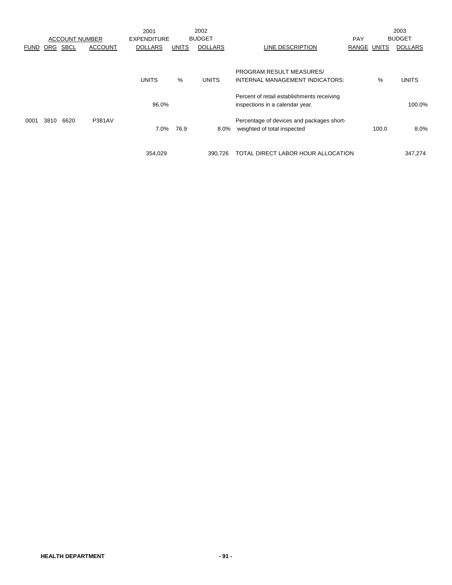|             |      |             |                       | 2001               |              | 2002           |                                            |             |       | 2003           |
|-------------|------|-------------|-----------------------|--------------------|--------------|----------------|--------------------------------------------|-------------|-------|----------------|
|             |      |             | <b>ACCOUNT NUMBER</b> | <b>EXPENDITURE</b> |              | <b>BUDGET</b>  |                                            | <b>PAY</b>  |       | <b>BUDGET</b>  |
| <b>FUND</b> | ORG  | <b>SBCL</b> | <b>ACCOUNT</b>        | <b>DOLLARS</b>     | <b>UNITS</b> | <b>DOLLARS</b> | LINE DESCRIPTION                           | RANGE UNITS |       | <b>DOLLARS</b> |
|             |      |             |                       |                    |              |                |                                            |             |       |                |
|             |      |             |                       |                    |              |                | <b>PROGRAM RESULT MEASURES/</b>            |             |       |                |
|             |      |             |                       | <b>UNITS</b>       | %            | <b>UNITS</b>   | INTERNAL MANAGEMENT INDICATORS:            |             | %     | <b>UNITS</b>   |
|             |      |             |                       |                    |              |                | Percent of retail establishments receiving |             |       |                |
|             |      |             |                       | 96.0%              |              |                | inspections in a calendar year.            |             |       | 100.0%         |
| 0001        | 3810 | 6620        | <b>P381AV</b>         |                    |              |                | Percentage of devices and packages short-  |             |       |                |
|             |      |             |                       | 7.0%               | 76.9         | 8.0%           | weighted of total inspected                |             | 100.0 | 8.0%           |
|             |      |             |                       |                    |              |                |                                            |             |       |                |
|             |      |             |                       | 354,029            |              | 390.726        | TOTAL DIRECT LABOR HOUR ALLOCATION         |             |       | 347,274        |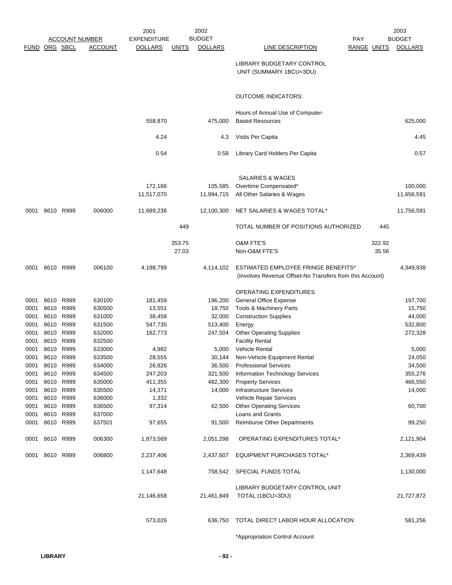|               |                |                       |                  | 2001               |              | 2002           |                                                                                                 |                    | 2003           |
|---------------|----------------|-----------------------|------------------|--------------------|--------------|----------------|-------------------------------------------------------------------------------------------------|--------------------|----------------|
|               |                | <b>ACCOUNT NUMBER</b> |                  | <b>EXPENDITURE</b> |              | <b>BUDGET</b>  | <b>PAY</b>                                                                                      |                    | <b>BUDGET</b>  |
| FUND ORG SBCL |                |                       | <b>ACCOUNT</b>   | <b>DOLLARS</b>     | <u>UNITS</u> | <b>DOLLARS</b> | <b>LINE DESCRIPTION</b>                                                                         | <b>RANGE UNITS</b> | <b>DOLLARS</b> |
|               |                |                       |                  |                    |              |                | LIBRARY BUDGETARY CONTROL<br>UNIT (SUMMARY 1BCU=3DU)                                            |                    |                |
|               |                |                       |                  |                    |              |                | <b>OUTCOME INDICATORS:</b>                                                                      |                    |                |
|               |                |                       |                  |                    |              |                | Hours of Annual Use of Computer-                                                                |                    |                |
|               |                |                       |                  | 558,870            |              | 475,000        | <b>Based Resources</b>                                                                          |                    | 625,000        |
|               |                |                       |                  | 4.24               |              | 4.3            | Visits Per Capita                                                                               |                    | 4.45           |
|               |                |                       |                  | 0.54               |              | 0.58           | Library Card Holders Per Capita                                                                 |                    | 0.57           |
|               |                |                       |                  |                    |              |                | <b>SALARIES &amp; WAGES</b>                                                                     |                    |                |
|               |                |                       |                  | 172,166            |              | 105,585        | Overtime Compensated*                                                                           |                    | 100,000        |
|               |                |                       |                  | 11,517,070         |              | 11,994,715     | All Other Salaries & Wages                                                                      |                    | 11,656,591     |
| 0001          |                | 8610 R999             | 006000           | 11,689,236         |              | 12,100,300     | NET SALARIES & WAGES TOTAL*                                                                     |                    | 11,756,591     |
|               |                |                       |                  |                    | 449          |                | TOTAL NUMBER OF POSITIONS AUTHORIZED                                                            | 445                |                |
|               |                |                       |                  |                    | 353.75       |                | <b>O&amp;M FTE'S</b>                                                                            | 322.92             |                |
|               |                |                       |                  |                    | 27.03        |                | Non-O&M FTE'S                                                                                   | 35.56              |                |
|               | 0001 8610 R999 |                       | 006100           | 4,198,799          |              | 4,114,102      | ESTIMATED EMPLOYEE FRINGE BENEFITS*<br>(Involves Revenue Offset-No Transfers from this Account) |                    | 4,349,938      |
|               |                |                       |                  |                    |              |                | OPERATING EXPENDITURES                                                                          |                    |                |
| 0001          | 8610           | R999                  | 630100           | 181,459            |              | 196,200        | General Office Expense                                                                          |                    | 197,700        |
| 0001          | 8610           | R999                  | 630500           | 13,551             |              | 18,750         | <b>Tools &amp; Machinery Parts</b>                                                              |                    | 15,750         |
| 0001          | 8610           | R999                  | 631000           | 38,458             |              | 32,000         | <b>Construction Supplies</b>                                                                    |                    | 44,000         |
| 0001          | 8610           | R999                  | 631500           | 547,735            |              | 513,400        | Energy                                                                                          |                    | 532,800        |
| 0001          | 8610           | R999                  | 632000           | 162,773            |              | 247,504        | <b>Other Operating Supplies</b>                                                                 |                    | 272,328        |
| 0001          | 8610           | R999                  | 632500           |                    |              |                | <b>Facility Rental</b>                                                                          |                    |                |
| 0001          | 8610           | R999                  | 633000           | 4,982              |              | 5,000          | <b>Vehicle Rental</b>                                                                           |                    | 5,000          |
| 0001          | 8610           | R999                  | 633500           | 28,555             |              | 30,144         | Non-Vehicle Equipment Rental                                                                    |                    | 24,050         |
| 0001          | 8610           | R999                  | 634000           | 26,826             |              | 36,500         | <b>Professional Services</b>                                                                    |                    | 34,500         |
| 0001          | 8610           | R999                  | 634500           | 247,203            |              | 321,500        | Information Technology Services                                                                 |                    | 355,276        |
| 0001          | 8610           | R999                  | 635000           | 411,355            |              | 482,300        | <b>Property Services</b>                                                                        |                    | 466,550        |
| 0001          | 8610           | R999                  | 635500           | 14,371             |              | 14,000         | <b>Infrastructure Services</b><br>Vehicle Repair Services                                       |                    | 14,000         |
| 0001          | 8610           | R999<br>R999          | 636000           | 1,332              |              |                | <b>Other Operating Services</b>                                                                 |                    |                |
| 0001<br>0001  | 8610<br>8610   | R999                  | 636500<br>637000 | 97,314             |              | 62,500         | Loans and Grants                                                                                |                    | 60,700         |
| 0001          | 8610 R999      |                       | 637501           | 97,655             |              | 91,500         | Reimburse Other Departments                                                                     |                    | 99,250         |
| 0001          | 8610           | R999                  | 006300           | 1,873,569          |              | 2,051,298      | OPERATING EXPENDITURES TOTAL*                                                                   |                    | 2,121,904      |
|               | 0001 8610 R999 |                       | 006800           | 2,237,406          |              | 2,437,607      | EQUIPMENT PURCHASES TOTAL*                                                                      |                    | 2,369,439      |
|               |                |                       |                  | 1,147,648          |              | 758,542        | SPECIAL FUNDS TOTAL                                                                             |                    | 1,130,000      |
|               |                |                       |                  |                    |              |                | LIBRARY BUDGETARY CONTROL UNIT                                                                  |                    |                |
|               |                |                       |                  | 21,146,658         |              | 21,461,849     | TOTAL (1BCU=3DU)                                                                                |                    | 21,727,872     |
|               |                |                       |                  | 573,026            |              | 636,750        | TOTAL DIRECT LABOR HOUR ALLOCATION                                                              |                    | 581,256        |
|               |                |                       |                  |                    |              |                | *Appropriation Control Account                                                                  |                    |                |
|               |                |                       |                  |                    |              |                |                                                                                                 |                    |                |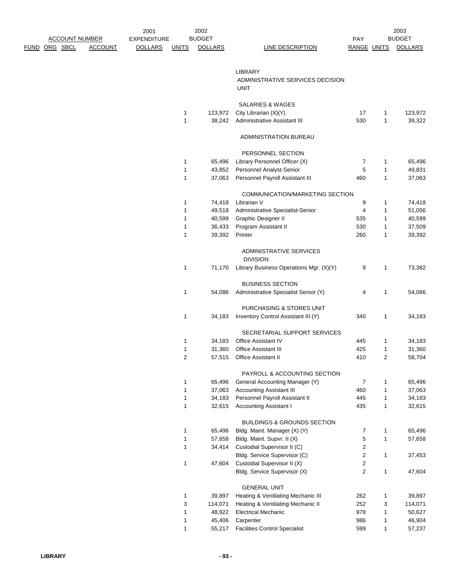|                       |                | 2001               |              | 2002           |                                                 |                         |              | 2003           |
|-----------------------|----------------|--------------------|--------------|----------------|-------------------------------------------------|-------------------------|--------------|----------------|
| <b>ACCOUNT NUMBER</b> |                | <b>EXPENDITURE</b> |              | <b>BUDGET</b>  |                                                 | PAY                     |              | <b>BUDGET</b>  |
| <u>FUND ORG SBCL</u>  | <b>ACCOUNT</b> | <b>DOLLARS</b>     | <b>UNITS</b> | <b>DOLLARS</b> | <b>LINE DESCRIPTION</b>                         | RANGE UNITS             |              | <b>DOLLARS</b> |
|                       |                |                    |              |                |                                                 |                         |              |                |
|                       |                |                    |              |                | <b>LIBRARY</b>                                  |                         |              |                |
|                       |                |                    |              |                | ADMINISTRATIVE SERVICES DECISION<br><b>UNIT</b> |                         |              |                |
|                       |                |                    |              |                | <b>SALARIES &amp; WAGES</b>                     |                         |              |                |
|                       |                |                    | 1            | 123,972        | City Librarian (X)(Y)                           | 17                      | 1            | 123,972        |
|                       |                |                    | 1            | 38,242         | Administrative Assistant III                    | 530                     | 1            | 39,322         |
|                       |                |                    |              |                | ADMINISTRATION BUREAU                           |                         |              |                |
|                       |                |                    |              |                | PERSONNEL SECTION                               |                         |              |                |
|                       |                |                    | 1            | 65,496         | Library Personnel Officer (X)                   | 7                       | 1            | 65,496         |
|                       |                |                    | 1            | 43,852         | Personnel Analyst-Senior                        | 5                       | 1            | 49,831         |
|                       |                |                    | $\mathbf{1}$ | 37,063         | Personnel Payroll Assistant III                 | 460                     | 1            | 37,063         |
|                       |                |                    |              |                | COMMUNICATION/MARKETING SECTION                 |                         |              |                |
|                       |                |                    | 1            | 74,418         | Librarian V                                     | 9                       | 1            | 74,418         |
|                       |                |                    | 1            | 49,518         | Administrative Specialist-Senior                | 4                       | 1            | 51,056         |
|                       |                |                    | 1            | 40,599         | Graphic Designer II                             | 535                     | 1            | 40,599         |
|                       |                |                    | 1            | 36,433         | Program Assistant II                            | 530                     | 1            | 37,509         |
|                       |                |                    | 1            | 39,392         | Printer                                         | 260                     | 1            | 39,392         |
|                       |                |                    |              |                |                                                 |                         |              |                |
|                       |                |                    |              |                | ADMINISTRATIVE SERVICES<br><b>DIVISION</b>      |                         |              |                |
|                       |                |                    | 1            | 71,170         | Library Business Operations Mgr. (X)(Y)         | 9                       | 1            | 73,382         |
|                       |                |                    |              |                | <b>BUSINESS SECTION</b>                         |                         |              |                |
|                       |                |                    | 1            | 54,086         | Administrative Specialist Senior (Y)            | 4                       | 1            | 54,086         |
|                       |                |                    |              |                |                                                 |                         |              |                |
|                       |                |                    |              |                | PURCHASING & STORES UNIT                        |                         |              |                |
|                       |                |                    | 1            | 34,183         | Inventory Control Assistant III (Y)             | 340                     | 1            | 34,183         |
|                       |                |                    |              |                | SECRETARIAL SUPPORT SERVICES                    |                         |              |                |
|                       |                |                    | 1            | 34,183         | Office Assistant IV                             | 445                     | 1            | 34,183         |
|                       |                |                    | 1            | 31,360         | Office Assistant III                            | 425                     | 1            | 31,360         |
|                       |                |                    | 2            |                | 57,515 Office Assistant II                      | 410                     | 2            | 58,704         |
|                       |                |                    |              |                | PAYROLL & ACCOUNTING SECTION                    |                         |              |                |
|                       |                |                    | 1            | 65,496         | General Accounting Manager (Y)                  | $\overline{7}$          | $\mathbf{1}$ | 65,496         |
|                       |                |                    | 1            | 37,063         | <b>Accounting Assistant III</b>                 | 460                     | $\mathbf{1}$ | 37,063         |
|                       |                |                    | 1            | 34,183         | Personnel Payroll Assistant II                  | 445                     | $\mathbf{1}$ | 34,183         |
|                       |                |                    | 1            | 32,615         | <b>Accounting Assistant I</b>                   | 435                     | 1            | 32,615         |
|                       |                |                    |              |                | <b>BUILDINGS &amp; GROUNDS SECTION</b>          |                         |              |                |
|                       |                |                    | 1            | 65,496         | Bldg. Maint. Manager (X) (Y)                    | 7                       | 1            | 65,496         |
|                       |                |                    | 1            | 57,658         | Bldg. Maint. Supvr. II (X)                      | 5                       | $\mathbf{1}$ | 57,658         |
|                       |                |                    | 1            | 34,414         | Custodial Supervisor II (C)                     | $\overline{\mathbf{c}}$ |              |                |
|                       |                |                    |              |                | Bldg. Service Supervisor (C)                    | $\overline{\mathbf{c}}$ | $\mathbf{1}$ | 37,453         |
|                       |                |                    | 1            | 47,604         | Custodial Supervisor II (X)                     | $\overline{\mathbf{c}}$ |              |                |
|                       |                |                    |              |                | Bldg. Service Supervisor (X)                    | $\overline{c}$          | 1            | 47,604         |
|                       |                |                    |              |                | <b>GENERAL UNIT</b>                             |                         |              |                |
|                       |                |                    | 1            | 39,897         | Heating & Ventilating Mechanic III              | 262                     | 1            | 39,897         |
|                       |                |                    | 3            | 114,071        | Heating & Ventilating Mechanic II               | 252                     | 3            | 114,071        |
|                       |                |                    | 1            | 48,922         | <b>Electrical Mechanic</b>                      | 978                     | 1            | 50,627         |
|                       |                |                    | 1            | 45,406         | Carpenter                                       | 986                     | 1            | 46,904         |
|                       |                |                    | 1            | 55,217         | <b>Facilities Control Specialist</b>            | 599                     | $\mathbf 1$  | 57,237         |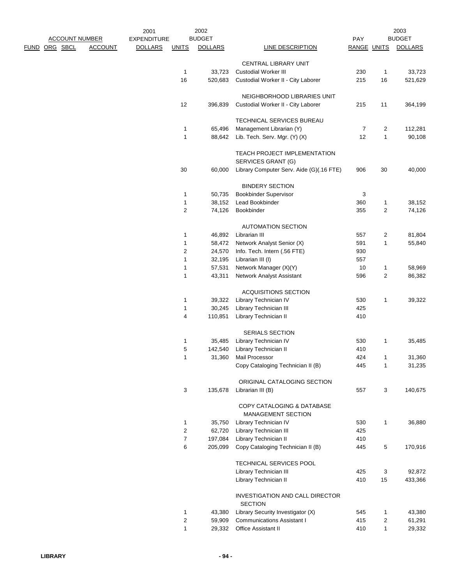|                       | 2001                             |                  | 2002           |                                                    |                    |                | 2003           |
|-----------------------|----------------------------------|------------------|----------------|----------------------------------------------------|--------------------|----------------|----------------|
| <b>ACCOUNT NUMBER</b> | <b>EXPENDITURE</b>               |                  | <b>BUDGET</b>  |                                                    | PAY                |                | <b>BUDGET</b>  |
| <u>FUND ORG SBCL</u>  | <b>ACCOUNT</b><br><b>DOLLARS</b> | <b>UNITS</b>     | <b>DOLLARS</b> | LINE DESCRIPTION                                   | <b>RANGE UNITS</b> |                | <b>DOLLARS</b> |
|                       |                                  |                  |                | CENTRAL LIBRARY UNIT                               |                    |                |                |
|                       |                                  | 1                | 33,723         | <b>Custodial Worker III</b>                        | 230                | 1              | 33,723         |
|                       |                                  | 16               | 520,683        | Custodial Worker II - City Laborer                 | 215                | 16             | 521,629        |
|                       |                                  |                  |                | NEIGHBORHOOD LIBRARIES UNIT                        |                    |                |                |
|                       |                                  | 12               | 396,839        | Custodial Worker II - City Laborer                 | 215                | 11             | 364,199        |
|                       |                                  |                  |                | TECHNICAL SERVICES BUREAU                          |                    |                |                |
|                       |                                  | 1                | 65,496         | Management Librarian (Y)                           | $\overline{7}$     | 2              | 112,281        |
|                       |                                  | 1                | 88,642         | Lib. Tech. Serv. Mgr. (Y) (X)                      | 12                 | 1              | 90,108         |
|                       |                                  |                  |                | TEACH PROJECT IMPLEMENTATION<br>SERVICES GRANT (G) |                    |                |                |
|                       |                                  | 30               | 60,000         | Library Computer Serv. Aide (G)(.16 FTE)           | 906                | 30             | 40,000         |
|                       |                                  |                  |                | <b>BINDERY SECTION</b>                             |                    |                |                |
|                       |                                  | 1                | 50,735         | <b>Bookbinder Supervisor</b>                       | 3                  |                |                |
|                       |                                  | 1                | 38,152         | Lead Bookbinder                                    | 360                | 1              | 38,152         |
|                       |                                  | 2                | 74,126         | Bookbinder                                         | 355                | $\overline{c}$ | 74,126         |
|                       |                                  |                  |                | <b>AUTOMATION SECTION</b>                          |                    |                |                |
|                       |                                  | 1                | 46,892         | Librarian III                                      | 557                | 2              | 81,804         |
|                       |                                  | 1                | 58,472         | Network Analyst Senior (X)                         | 591                | 1              | 55,840         |
|                       |                                  | 2                | 24,570         | Info. Tech. Intern (.56 FTE)                       | 930                |                |                |
|                       |                                  | 1                | 32,195         | Librarian III (I)                                  | 557                |                |                |
|                       |                                  | 1                | 57,531         | Network Manager (X)(Y)                             | 10                 | 1              | 58,969         |
|                       |                                  | 1                | 43,311         | Network Analyst Assistant                          | 596                | 2              | 86,382         |
|                       |                                  |                  |                | <b>ACQUISITIONS SECTION</b>                        |                    |                |                |
|                       |                                  | 1                | 39,322         | Library Technician IV                              | 530                | 1              | 39,322         |
|                       |                                  | 1                | 30,245         | Library Technician III                             | 425                |                |                |
|                       |                                  | 4                | 110,851        | Library Technician II                              | 410                |                |                |
|                       |                                  |                  |                | SERIALS SECTION                                    |                    |                |                |
|                       |                                  | 1                | 35,485         | Library Technician IV                              | 530                | 1              | 35,485         |
|                       |                                  | 5                | 142,540        | Library Technician II                              | 410                |                |                |
|                       |                                  | 1                | 31,360         | Mail Processor                                     | 424                | 1              | 31,360         |
|                       |                                  |                  |                | Copy Cataloging Technician II (B)                  | 445                | 1              | 31,235         |
|                       |                                  |                  |                | ORIGINAL CATALOGING SECTION                        |                    |                |                |
|                       |                                  | 3                | 135,678        | Librarian III (B)                                  | 557                | 3              | 140,675        |
|                       |                                  |                  |                | COPY CATALOGING & DATABASE<br>MANAGEMENT SECTION   |                    |                |                |
|                       |                                  | 1                | 35,750         | Library Technician IV                              | 530                | 1              | 36,880         |
|                       |                                  | $\boldsymbol{2}$ | 62,720         | Library Technician III                             | 425                |                |                |
|                       |                                  | $\boldsymbol{7}$ | 197,084        | Library Technician II                              | 410                |                |                |
|                       |                                  | 6                | 205,099        | Copy Cataloging Technician II (B)                  | 445                | 5              | 170,916        |
|                       |                                  |                  |                | TECHNICAL SERVICES POOL                            |                    |                |                |
|                       |                                  |                  |                | Library Technician III                             | 425                | 3              | 92,872         |
|                       |                                  |                  |                | Library Technician II                              | 410                | 15             | 433,366        |
|                       |                                  |                  |                | INVESTIGATION AND CALL DIRECTOR<br><b>SECTION</b>  |                    |                |                |
|                       |                                  | $\mathbf{1}$     | 43,380         | Library Security Investigator (X)                  | 545                | 1              | 43,380         |
|                       |                                  | $\boldsymbol{2}$ | 59,909         | <b>Communications Assistant I</b>                  | 415                | 2              | 61,291         |
|                       |                                  | $\mathbf{1}$     | 29,332         | Office Assistant II                                | 410                | $\mathbf{1}$   | 29,332         |
|                       |                                  |                  |                |                                                    |                    |                |                |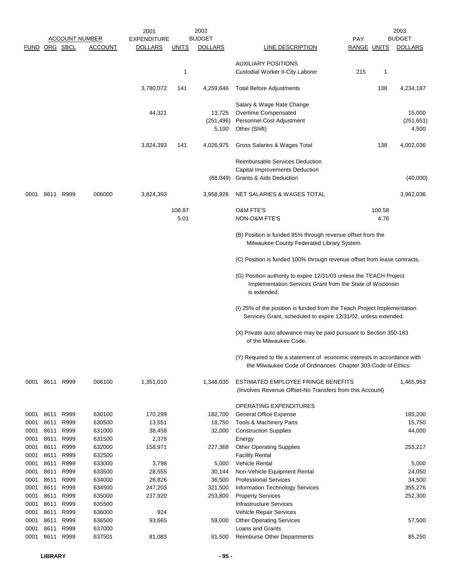|               |              |              | <b>ACCOUNT NUMBER</b> | 2001<br>EXPENDITURE |              | 2002<br><b>BUDGET</b> |                                                                                                                                                 | <b>PAY</b>         |        | 2003<br><b>BUDGET</b> |
|---------------|--------------|--------------|-----------------------|---------------------|--------------|-----------------------|-------------------------------------------------------------------------------------------------------------------------------------------------|--------------------|--------|-----------------------|
| FUND ORG SBCL |              |              | <b>ACCOUNT</b>        | <b>DOLLARS</b>      | <u>UNITS</u> | <b>DOLLARS</b>        | <b>LINE DESCRIPTION</b>                                                                                                                         | <b>RANGE UNITS</b> |        | <b>DOLLARS</b>        |
|               |              |              |                       |                     |              |                       |                                                                                                                                                 |                    |        |                       |
|               |              |              |                       |                     |              |                       | <b>AUXILIARY POSITIONS</b>                                                                                                                      |                    |        |                       |
|               |              |              |                       |                     | 1            |                       | Custodial Worker II-City Laborer                                                                                                                | 215                | 1      |                       |
|               |              |              |                       | 3,780,072           | 141          | 4,259,646             | <b>Total Before Adjustments</b>                                                                                                                 |                    | 138    | 4,234,187             |
|               |              |              |                       |                     |              |                       | Salary & Wage Rate Change                                                                                                                       |                    |        |                       |
|               |              |              |                       | 44,321              |              | 13,725                | Overtime Compensated                                                                                                                            |                    |        | 15,000                |
|               |              |              |                       |                     |              | (251, 496)            | Personnel Cost Adjustment                                                                                                                       |                    |        | (251, 651)            |
|               |              |              |                       |                     |              | 5,100                 | Other (Shift)                                                                                                                                   |                    |        | 4,500                 |
|               |              |              |                       | 3,824,393           | 141          | 4,026,975             | Gross Salaries & Wages Total                                                                                                                    |                    | 138    | 4,002,036             |
|               |              |              |                       |                     |              |                       | <b>Reimbursable Services Deduction</b>                                                                                                          |                    |        |                       |
|               |              |              |                       |                     |              |                       | Capital Improvements Deduction                                                                                                                  |                    |        |                       |
|               |              |              |                       |                     |              | (68, 049)             | <b>Grants &amp; Aids Deduction</b>                                                                                                              |                    |        | (40,000)              |
| 0001          | 8611         | R999         | 006000                | 3,824,393           |              | 3,958,926             | NET SALARIES & WAGES TOTAL                                                                                                                      |                    |        | 3,962,036             |
|               |              |              |                       |                     | 108.87       |                       | <b>O&amp;M FTE'S</b>                                                                                                                            |                    | 100.58 |                       |
|               |              |              |                       |                     | 5.01         |                       | NON-O&M FTE'S                                                                                                                                   |                    | 4.76   |                       |
|               |              |              |                       |                     |              |                       | (B) Position is funded 85% through revenue offset from the<br>Milwaukee County Federated Library System.                                        |                    |        |                       |
|               |              |              |                       |                     |              |                       | (C) Position is funded 100% through revenue offset from lease contracts.                                                                        |                    |        |                       |
|               |              |              |                       |                     |              |                       | (G) Position authority to expire 12/31/03 unless the TEACH Project<br>Implementation Services Grant from the State of Wisconsin<br>is extended. |                    |        |                       |
|               |              |              |                       |                     |              |                       | (I) 25% of the position is funded from the Teach Project Implementation<br>Services Grant, scheduled to expire 12/31/02, unless extended.       |                    |        |                       |
|               |              |              |                       |                     |              |                       | (X) Private auto allowance may be paid pursuant to Section 350-183<br>of the Milwaukee Code.                                                    |                    |        |                       |
|               |              |              |                       |                     |              |                       |                                                                                                                                                 |                    |        |                       |
|               |              |              |                       |                     |              |                       | (Y) Required to file a statement of economic interests in accordance with<br>the Milwaukee Code of Ordinances Chapter 303-Code of Ethics.       |                    |        |                       |
|               | 0001 8611    | R999         | 006100                | 1,351,010           |              | 1,346,035             | ESTIMATED EMPLOYEE FRINGE BENEFITS                                                                                                              |                    |        | 1,465,953             |
|               |              |              |                       |                     |              |                       | (Involves Revenue Offset-No Transfers from this Account)                                                                                        |                    |        |                       |
|               |              |              |                       |                     |              |                       |                                                                                                                                                 |                    |        |                       |
| 0001          | 8611         | R999         | 630100                | 170,299             |              | 182,700               | OPERATING EXPENDITURES<br><b>General Office Expense</b>                                                                                         |                    |        | 185,200               |
| 0001          | 8611         | R999         | 630500                | 13,551              |              | 18,750                | Tools & Machinery Parts                                                                                                                         |                    |        | 15,750                |
| 0001          | 8611         | R999         | 631000                | 38,458              |              | 32,000                | <b>Construction Supplies</b>                                                                                                                    |                    |        | 44,000                |
| 0001          | 8611         | R999         | 631500                | 2,378               |              |                       | Energy                                                                                                                                          |                    |        |                       |
| 0001          | 8611         | R999         | 632000                | 158,971             |              | 227,368               | <b>Other Operating Supplies</b>                                                                                                                 |                    |        | 255,217               |
| 0001          | 8611         | R999         | 632500                |                     |              |                       | <b>Facility Rental</b>                                                                                                                          |                    |        |                       |
| 0001          | 8611         | R999         | 633000                | 3,798               |              | 5,000                 | <b>Vehicle Rental</b>                                                                                                                           |                    |        | 5,000                 |
| 0001          | 8611         | R999         | 633500                | 28,555              |              | 30,144                | Non-Vehicle Equipment Rental                                                                                                                    |                    |        | 24,050                |
| 0001          | 8611         | R999         | 634000                | 26,826              |              | 36,500                | <b>Professional Services</b>                                                                                                                    |                    |        | 34,500                |
| 0001          | 8611         | R999         | 634500                | 247,203             |              | 321,500               | Information Technology Services                                                                                                                 |                    |        | 355,276               |
| 0001          | 8611         | R999         | 635000                | 237,920             |              | 253,800               | <b>Property Services</b>                                                                                                                        |                    |        | 252,300               |
| 0001<br>0001  | 8611<br>8611 | R999<br>R999 | 635500<br>636000      | 924                 |              |                       | <b>Infrastructure Services</b><br>Vehicle Repair Services                                                                                       |                    |        |                       |
| 0001          | 8611         | R999         | 636500                | 93,665              |              | 59,000                | <b>Other Operating Services</b>                                                                                                                 |                    |        | 57,500                |
| 0001          | 8611         | R999         | 637000                |                     |              |                       | Loans and Grants                                                                                                                                |                    |        |                       |
| 0001          | 8611         | R999         | 637501                | 81,083              |              | 81,500                | Reimburse Other Departments                                                                                                                     |                    |        | 85,250                |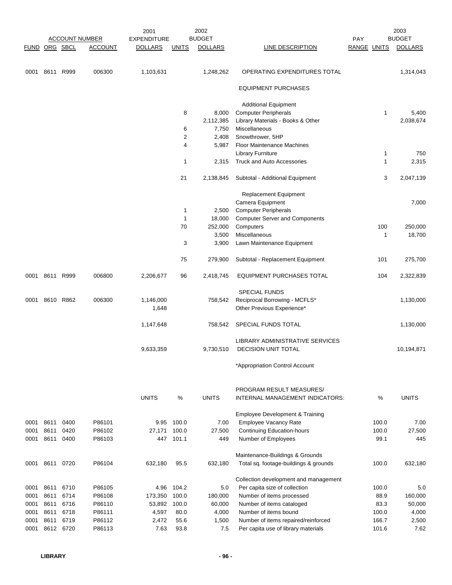|               |                |           | <b>ACCOUNT NUMBER</b> | 2001<br><b>EXPENDITURE</b> |                | 2002<br><b>BUDGET</b> |                                                               | <b>PAY</b>         | 2003<br><b>BUDGET</b> |
|---------------|----------------|-----------|-----------------------|----------------------------|----------------|-----------------------|---------------------------------------------------------------|--------------------|-----------------------|
| FUND ORG SBCL |                |           | <b>ACCOUNT</b>        | <b>DOLLARS</b>             | <b>UNITS</b>   | <b>DOLLARS</b>        | <b>LINE DESCRIPTION</b>                                       | <b>RANGE UNITS</b> | <b>DOLLARS</b>        |
|               |                |           |                       |                            |                |                       |                                                               |                    |                       |
|               | 0001 8611 R999 |           | 006300                | 1,103,631                  |                | 1,248,262             | OPERATING EXPENDITURES TOTAL                                  |                    | 1,314,043             |
|               |                |           |                       |                            |                |                       | <b>EQUIPMENT PURCHASES</b>                                    |                    |                       |
|               |                |           |                       |                            |                |                       | <b>Additional Equipment</b>                                   |                    |                       |
|               |                |           |                       |                            | 8              | 8,000                 | <b>Computer Peripherals</b>                                   | $\mathbf{1}$       | 5,400                 |
|               |                |           |                       |                            |                | 2,112,385             | Library Materials - Books & Other                             |                    | 2,038,674             |
|               |                |           |                       |                            | 6              | 7,750                 | Miscellaneous                                                 |                    |                       |
|               |                |           |                       |                            | $\overline{c}$ | 2,408                 | Snowthrower, 5HP                                              |                    |                       |
|               |                |           |                       |                            | 4              | 5,987                 | <b>Floor Maintenance Machines</b><br><b>Library Furniture</b> | 1                  | 750                   |
|               |                |           |                       |                            | 1              | 2,315                 | Truck and Auto Accessories                                    | 1                  | 2,315                 |
|               |                |           |                       |                            |                |                       |                                                               |                    |                       |
|               |                |           |                       |                            | 21             | 2,138,845             | Subtotal - Additional Equipment                               | 3                  | 2,047,139             |
|               |                |           |                       |                            |                |                       | Replacement Equipment                                         |                    |                       |
|               |                |           |                       |                            |                |                       | Camera Equipment                                              |                    | 7,000                 |
|               |                |           |                       |                            | 1              | 2,500                 | <b>Computer Peripherals</b>                                   |                    |                       |
|               |                |           |                       |                            | 1              | 18,000                | <b>Computer Server and Components</b>                         |                    |                       |
|               |                |           |                       |                            | 70             | 252,000               | Computers                                                     | 100                | 250,000               |
|               |                |           |                       |                            |                | 3,500                 | Miscellaneous                                                 | 1                  | 18,700                |
|               |                |           |                       |                            | 3              | 3,900                 | Lawn Maintenance Equipment                                    |                    |                       |
|               |                |           |                       |                            | 75             | 279,900               | Subtotal - Replacement Equipment                              | 101                | 275,700               |
|               | 0001 8611 R999 |           | 006800                | 2,206,677                  | 96             | 2,418,745             | EQUIPMENT PURCHASES TOTAL                                     | 104                | 2,322,839             |
|               |                |           |                       |                            |                |                       | <b>SPECIAL FUNDS</b>                                          |                    |                       |
| 0001          |                | 8610 R862 | 006300                | 1,146,000                  |                | 758,542               | Reciprocal Borrowing - MCFLS*                                 |                    | 1,130,000             |
|               |                |           |                       | 1,648                      |                |                       | Other Previous Experience*                                    |                    |                       |
|               |                |           |                       | 1,147,648                  |                | 758,542               | SPECIAL FUNDS TOTAL                                           |                    | 1,130,000             |
|               |                |           |                       |                            |                |                       | LIBRARY ADMINISTRATIVE SERVICES                               |                    |                       |
|               |                |           |                       | 9,633,359                  |                | 9,730,510             | <b>DECISION UNIT TOTAL</b>                                    |                    | 10,194,871            |
|               |                |           |                       |                            |                |                       | *Appropriation Control Account                                |                    |                       |
|               |                |           |                       |                            |                |                       |                                                               |                    |                       |
|               |                |           |                       | <b>UNITS</b>               | %              | <b>UNITS</b>          | PROGRAM RESULT MEASURES/<br>INTERNAL MANAGEMENT INDICATORS:   | %                  | <b>UNITS</b>          |
|               |                |           |                       |                            |                |                       | Employee Development & Training                               |                    |                       |
| 0001          | 8611           | 0400      | P86101                | 9.95                       | 100.0          | 7.00                  | Employee Vacancy Rate                                         | 100.0              | 7.00                  |
| 0001          | 8611           | 0420      | P86102                | 27,171                     | 100.0          | 27,500                | <b>Continuing Education-hours</b>                             | 100.0              | 27,500                |
| 0001          | 8611           | 0400      | P86103                | 447                        | 101.1          | 449                   | Number of Employees                                           | 99.1               | 445                   |
|               |                |           |                       |                            |                |                       | Maintenance-Buildings & Grounds                               |                    |                       |
| 0001          | 8611 0720      |           | P86104                | 632,180                    | 95.5           | 632,180               | Total sq. footage-buildings & grounds                         | 100.0              | 632,180               |
|               |                |           |                       |                            |                |                       | Collection development and management                         |                    |                       |
| 0001          | 8611           | 6710      | P86105                | 4.96                       | 104.2          | 5.0                   | Per capita size of collection                                 | 100.0              | 5.0                   |
| 0001          | 8611           | 6714      | P86108                | 173,350                    | 100.0          | 180,000               | Number of items processed                                     | 88.9               | 160,000               |
| 0001          | 8611           | 6716      | P86110                | 53,892                     | 100.0          | 60,000                | Number of items cataloged                                     | 83.3               | 50,000                |
| 0001          |                | 8611 6718 | P86111                | 4,597                      | 80.0           | 4,000                 | Number of items bound                                         | 100.0              | 4,000                 |
| 0001          | 8611           | 6719      | P86112                | 2,472                      | 55.6           | 1,500                 | Number of items repaired/reinforced                           | 166.7              | 2,500                 |
| 0001          |                | 8612 6720 | P86113                | 7.63                       | 93.8           | 7.5                   | Per capita use of library materials                           | 101.6              | 7.62                  |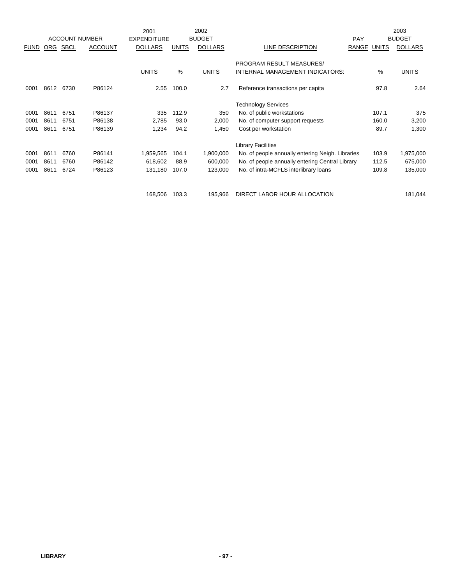|             |      |                       |                | 2001               |              | 2002           |                                                  |            |              | 2003           |
|-------------|------|-----------------------|----------------|--------------------|--------------|----------------|--------------------------------------------------|------------|--------------|----------------|
|             |      | <b>ACCOUNT NUMBER</b> |                | <b>EXPENDITURE</b> |              | <b>BUDGET</b>  |                                                  | <b>PAY</b> |              | <b>BUDGET</b>  |
| <b>FUND</b> | ORG  | <b>SBCL</b>           | <b>ACCOUNT</b> | <b>DOLLARS</b>     | <b>UNITS</b> | <b>DOLLARS</b> | LINE DESCRIPTION                                 | RANGE      | <b>UNITS</b> | <b>DOLLARS</b> |
|             |      |                       |                |                    |              |                |                                                  |            |              |                |
|             |      |                       |                |                    |              |                | PROGRAM RESULT MEASURES/                         |            |              |                |
|             |      |                       |                | <b>UNITS</b>       | %            | <b>UNITS</b>   | INTERNAL MANAGEMENT INDICATORS:                  |            | $\%$         | <b>UNITS</b>   |
| 0001        | 8612 | 6730                  | P86124         | 2.55               | 100.0        | 2.7            | Reference transactions per capita                |            | 97.8         | 2.64           |
|             |      |                       |                |                    |              |                |                                                  |            |              |                |
|             |      |                       |                |                    |              |                | <b>Technology Services</b>                       |            |              |                |
| 0001        | 8611 | 6751                  | P86137         | 335                | 112.9        | 350            | No. of public workstations                       |            | 107.1        | 375            |
| 0001        | 8611 | 6751                  | P86138         | 2,785              | 93.0         | 2,000          | No. of computer support requests                 |            | 160.0        | 3,200          |
| 0001        | 8611 | 6751                  | P86139         | 1,234              | 94.2         | 1,450          | Cost per workstation                             |            | 89.7         | 1,300          |
|             |      |                       |                |                    |              |                | <b>Library Facilities</b>                        |            |              |                |
| 0001        | 8611 | 6760                  | P86141         | 1,959,565          | 104.1        | 1,900,000      | No. of people annually entering Neigh. Libraries |            | 103.9        | 1,975,000      |
| 0001        | 8611 | 6760                  | P86142         | 618,602            | 88.9         | 600,000        | No. of people annually entering Central Library  |            | 112.5        | 675,000        |
| 0001        | 8611 | 6724                  | P86123         | 131,180            | 107.0        | 123,000        | No. of intra-MCFLS interlibrary loans            |            | 109.8        | 135,000        |
|             |      |                       |                |                    |              |                |                                                  |            |              |                |
|             |      |                       |                | 168,506            | 103.3        | 195,966        | DIRECT LABOR HOUR ALLOCATION                     |            |              | 181,044        |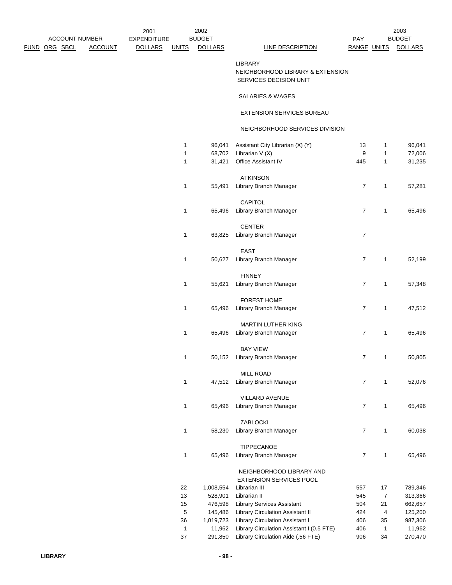LIBRARY NEIGHBORHOOD LIBRARY & EXTENSION SERVICES DECISION UNIT

## SALARIES & WAGES

## EXTENSION SERVICES BUREAU

## NEIGHBORHOOD SERVICES DIVISION

| 1<br>1 | 96,041<br>68,702 | Assistant City Librarian (X) (Y)<br>Librarian V (X) | 13<br>9 | 1<br>1 | 96,041<br>72,006 |
|--------|------------------|-----------------------------------------------------|---------|--------|------------------|
| 1      | 31,421           | Office Assistant IV                                 | 445     | 1      | 31,235           |
|        |                  |                                                     |         |        |                  |
|        |                  | <b>ATKINSON</b>                                     |         |        |                  |
| 1      | 55,491           | Library Branch Manager                              | 7       | 1      | 57,281           |
|        |                  |                                                     |         |        |                  |
|        |                  | CAPITOL                                             |         |        |                  |
| 1      | 65,496           | Library Branch Manager                              | 7       | 1      | 65,496           |
|        |                  |                                                     |         |        |                  |
|        |                  | <b>CENTER</b>                                       |         |        |                  |
| 1      | 63,825           | Library Branch Manager                              | 7       |        |                  |
|        |                  | <b>EAST</b>                                         |         |        |                  |
| 1      | 50,627           | Library Branch Manager                              | 7       | 1      | 52,199           |
|        |                  |                                                     |         |        |                  |
|        |                  | <b>FINNEY</b>                                       |         |        |                  |
| 1      | 55,621           | Library Branch Manager                              | 7       | 1      | 57,348           |
|        |                  |                                                     |         |        |                  |
|        |                  | <b>FOREST HOME</b>                                  |         |        |                  |
| 1      | 65,496           | Library Branch Manager                              | 7       | 1      | 47,512           |
|        |                  |                                                     |         |        |                  |
|        |                  | <b>MARTIN LUTHER KING</b>                           |         |        |                  |
| 1      | 65,496           | Library Branch Manager                              | 7       | 1      | 65,496           |
|        |                  | BAY VIEW                                            |         |        |                  |
| 1      | 50,152           | Library Branch Manager                              | 7       | 1      | 50,805           |
|        |                  |                                                     |         |        |                  |
|        |                  | MILL ROAD                                           |         |        |                  |
| 1      | 47,512           | Library Branch Manager                              | 7       | 1      | 52,076           |
|        |                  |                                                     |         |        |                  |
|        |                  | <b>VILLARD AVENUE</b>                               |         |        |                  |
| 1      | 65,496           | Library Branch Manager                              | 7       | 1      | 65,496           |
|        |                  |                                                     |         |        |                  |
|        |                  | ZABLOCKI                                            |         |        |                  |
| 1      | 58,230           | Library Branch Manager                              | 7       | 1      | 60,038           |
|        |                  | TIPPECANOE                                          |         |        |                  |
| 1      | 65,496           | Library Branch Manager                              | 7       | 1      | 65,496           |
|        |                  |                                                     |         |        |                  |
|        |                  | NEIGHBORHOOD LIBRARY AND                            |         |        |                  |
|        |                  | <b>EXTENSION SERVICES POOL</b>                      |         |        |                  |
| 22     | 1,008,554        | Librarian III                                       | 557     | 17     | 789,346          |
| 13     | 528,901          | Librarian II                                        | 545     | 7      | 313,366          |
| 15     | 476,598          | <b>Library Services Assistant</b>                   | 504     | 21     | 662,657          |
| 5      | 145,486          | Library Circulation Assistant II                    | 424     | 4      | 125,200          |
| 36     | 1,019,723        | Library Circulation Assistant I                     | 406     | 35     | 987,306          |
| 1      | 11,962           | Library Circulation Assistant I (0.5 FTE)           | 406     | 1      | 11,962           |
| 37     | 291,850          | Library Circulation Aide (.56 FTE)                  | 906     | 34     | 270,470          |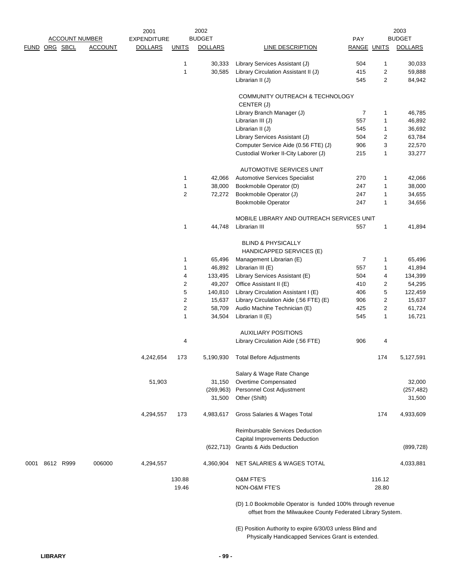|                |                       | 2001               |                | 2002           |                                                                                                                          |                    |                | 2003           |
|----------------|-----------------------|--------------------|----------------|----------------|--------------------------------------------------------------------------------------------------------------------------|--------------------|----------------|----------------|
|                | <b>ACCOUNT NUMBER</b> | <b>EXPENDITURE</b> |                | <b>BUDGET</b>  |                                                                                                                          | PAY                |                | <b>BUDGET</b>  |
| FUND ORG SBCL  | <b>ACCOUNT</b>        | <b>DOLLARS</b>     | <b>UNITS</b>   | <b>DOLLARS</b> | LINE DESCRIPTION                                                                                                         | <b>RANGE UNITS</b> |                | <b>DOLLARS</b> |
|                |                       |                    | 1              | 30,333         | Library Services Assistant (J)                                                                                           | 504                | $\mathbf{1}$   | 30,033         |
|                |                       |                    | 1              | 30,585         | Library Circulation Assistant II (J)                                                                                     | 415                | 2              | 59,888         |
|                |                       |                    |                |                | Librarian II (J)                                                                                                         | 545                | $\overline{2}$ | 84,942         |
|                |                       |                    |                |                | COMMUNITY OUTREACH & TECHNOLOGY<br>CENTER (J)                                                                            |                    |                |                |
|                |                       |                    |                |                | Library Branch Manager (J)                                                                                               | 7                  | $\mathbf{1}$   | 46,785         |
|                |                       |                    |                |                | Librarian III (J)                                                                                                        | 557                | 1              | 46,892         |
|                |                       |                    |                |                | Librarian II (J)                                                                                                         | 545                | 1              | 36,692         |
|                |                       |                    |                |                | Library Services Assistant (J)                                                                                           | 504                | 2              | 63,784         |
|                |                       |                    |                |                | Computer Service Aide (0.56 FTE) (J)                                                                                     | 906                | 3              | 22,570         |
|                |                       |                    |                |                | Custodial Worker II-City Laborer (J)                                                                                     | 215                | $\mathbf{1}$   | 33,277         |
|                |                       |                    |                |                |                                                                                                                          |                    |                |                |
|                |                       |                    |                |                | AUTOMOTIVE SERVICES UNIT                                                                                                 |                    |                |                |
|                |                       |                    | 1              | 42,066         | Automotive Services Specialist                                                                                           | 270                | 1              | 42,066         |
|                |                       |                    | 1              | 38,000         | Bookmobile Operator (D)                                                                                                  | 247                | 1              | 38,000         |
|                |                       |                    | $\overline{c}$ | 72,272         | Bookmobile Operator (J)                                                                                                  | 247                | 1              | 34,655         |
|                |                       |                    |                |                | <b>Bookmobile Operator</b>                                                                                               | 247                | 1              | 34,656         |
|                |                       |                    |                |                | MOBILE LIBRARY AND OUTREACH SERVICES UNIT                                                                                |                    |                |                |
|                |                       |                    | 1              | 44.748         | Librarian III                                                                                                            | 557                | 1              | 41,894         |
|                |                       |                    |                |                | <b>BLIND &amp; PHYSICALLY</b>                                                                                            |                    |                |                |
|                |                       |                    |                |                | HANDICAPPED SERVICES (E)                                                                                                 |                    |                |                |
|                |                       |                    | 1              | 65,496         | Management Librarian (E)                                                                                                 | $\overline{7}$     | 1              | 65,496         |
|                |                       |                    | 1              | 46,892         | Librarian III (E)                                                                                                        | 557                | 1              | 41,894         |
|                |                       |                    | 4              | 133,495        | Library Services Assistant (E)                                                                                           | 504                | 4              | 134,399        |
|                |                       |                    | $\overline{c}$ | 49,207         | Office Assistant II (E)                                                                                                  | 410                | 2              | 54,295         |
|                |                       |                    | 5              | 140,810        | Library Circulation Assistant I (E)                                                                                      | 406                | 5              | 122,459        |
|                |                       |                    | $\overline{c}$ | 15,637         | Library Circulation Aide (.56 FTE) (E)                                                                                   | 906                | $\overline{c}$ | 15,637         |
|                |                       |                    | 2              | 58,709         | Audio Machine Technician (E)                                                                                             | 425                | 2              | 61,724         |
|                |                       |                    | 1              | 34,504         | Librarian II (E)                                                                                                         | 545                | 1              | 16,721         |
|                |                       |                    |                |                | <b>AUXILIARY POSITIONS</b>                                                                                               |                    |                |                |
|                |                       |                    | 4              |                | Library Circulation Aide (.56 FTE)                                                                                       | 906                | 4              |                |
|                |                       |                    |                |                |                                                                                                                          |                    |                |                |
|                |                       | 4,242,654          | 173            |                | 5,190,930 Total Before Adjustments                                                                                       |                    | 174            | 5,127,591      |
|                |                       |                    |                |                | Salary & Wage Rate Change                                                                                                |                    |                |                |
|                |                       | 51,903             |                | 31,150         | Overtime Compensated                                                                                                     |                    |                | 32,000         |
|                |                       |                    |                | (269, 963)     | Personnel Cost Adjustment                                                                                                |                    |                | (257, 482)     |
|                |                       |                    |                | 31,500         | Other (Shift)                                                                                                            |                    |                | 31,500         |
|                |                       | 4,294,557          | 173            | 4,983,617      | Gross Salaries & Wages Total                                                                                             |                    | 174            | 4,933,609      |
|                |                       |                    |                |                | <b>Reimbursable Services Deduction</b>                                                                                   |                    |                |                |
|                |                       |                    |                |                | <b>Capital Improvements Deduction</b>                                                                                    |                    |                |                |
|                |                       |                    |                | (622, 713)     | <b>Grants &amp; Aids Deduction</b>                                                                                       |                    |                | (899, 728)     |
| 0001 8612 R999 | 006000                | 4,294,557          |                | 4,360,904      | NET SALARIES & WAGES TOTAL                                                                                               |                    |                | 4,033,881      |
|                |                       |                    | 130.88         |                | <b>O&amp;M FTE'S</b>                                                                                                     |                    | 116.12         |                |
|                |                       |                    | 19.46          |                | NON-O&M FTE'S                                                                                                            |                    | 28.80          |                |
|                |                       |                    |                |                | (D) 1.0 Bookmobile Operator is funded 100% through revenue<br>offset from the Milwaukee County Federated Library System. |                    |                |                |

(E) Position Authority to expire 6/30/03 unless Blind and Physically Handicapped Services Grant is extended.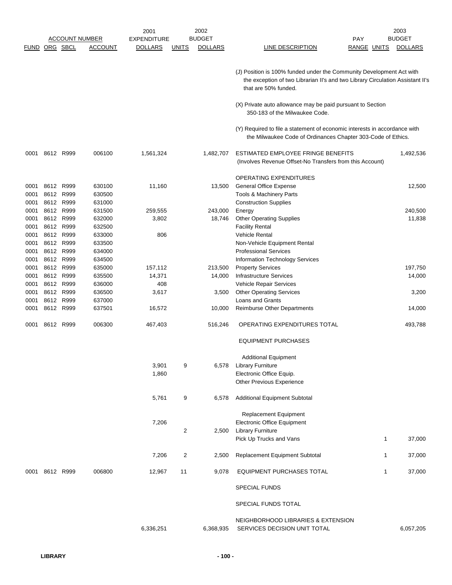|                      |      |           |                       | 2001               |              | 2002           |                                                                                                                                                                                | 2003           |
|----------------------|------|-----------|-----------------------|--------------------|--------------|----------------|--------------------------------------------------------------------------------------------------------------------------------------------------------------------------------|----------------|
|                      |      |           | <b>ACCOUNT NUMBER</b> | <b>EXPENDITURE</b> |              | <b>BUDGET</b>  | <b>PAY</b>                                                                                                                                                                     | <b>BUDGET</b>  |
| <b>FUND ORG SBCL</b> |      |           | <b>ACCOUNT</b>        | <b>DOLLARS</b>     | <u>UNITS</u> | <b>DOLLARS</b> | LINE DESCRIPTION<br>RANGE UNITS                                                                                                                                                | <b>DOLLARS</b> |
|                      |      |           |                       |                    |              |                | (J) Position is 100% funded under the Community Development Act with<br>the exception of two Librarian II's and two Library Circulation Assistant II's<br>that are 50% funded. |                |
|                      |      |           |                       |                    |              |                | (X) Private auto allowance may be paid pursuant to Section<br>350-183 of the Milwaukee Code.                                                                                   |                |
|                      |      |           |                       |                    |              |                | (Y) Required to file a statement of economic interests in accordance with<br>the Milwaukee Code of Ordinances Chapter 303-Code of Ethics.                                      |                |
| 0001                 |      | 8612 R999 | 006100                | 1,561,324          |              | 1,482,707      | ESTIMATED EMPLOYEE FRINGE BENEFITS<br>(Involves Revenue Offset-No Transfers from this Account)                                                                                 | 1,492,536      |
|                      |      |           |                       |                    |              |                | <b>OPERATING EXPENDITURES</b>                                                                                                                                                  |                |
| 0001                 |      | 8612 R999 | 630100                | 11,160             |              | 13,500         | <b>General Office Expense</b>                                                                                                                                                  | 12,500         |
| 0001                 |      | 8612 R999 | 630500                |                    |              |                | Tools & Machinery Parts                                                                                                                                                        |                |
| 0001                 |      | 8612 R999 | 631000                |                    |              |                | <b>Construction Supplies</b>                                                                                                                                                   |                |
| 0001                 |      | 8612 R999 | 631500                | 259,555            |              | 243,000        | Energy                                                                                                                                                                         | 240,500        |
| 0001                 |      | 8612 R999 | 632000                | 3,802              |              | 18,746         | <b>Other Operating Supplies</b>                                                                                                                                                | 11,838         |
| 0001                 |      | 8612 R999 | 632500                |                    |              |                | <b>Facility Rental</b>                                                                                                                                                         |                |
| 0001                 |      | 8612 R999 | 633000                | 806                |              |                | <b>Vehicle Rental</b>                                                                                                                                                          |                |
| 0001                 |      | 8612 R999 | 633500                |                    |              |                | Non-Vehicle Equipment Rental                                                                                                                                                   |                |
| 0001                 |      | 8612 R999 | 634000                |                    |              |                | <b>Professional Services</b>                                                                                                                                                   |                |
| 0001                 |      | 8612 R999 | 634500                |                    |              |                | Information Technology Services                                                                                                                                                |                |
| 0001                 |      | 8612 R999 | 635000                | 157,112            |              | 213,500        | <b>Property Services</b>                                                                                                                                                       | 197,750        |
| 0001                 | 8612 | R999      | 635500                | 14,371             |              | 14,000         | Infrastructure Services                                                                                                                                                        | 14,000         |
| 0001                 |      | 8612 R999 | 636000                | 408                |              |                | Vehicle Repair Services                                                                                                                                                        |                |
| 0001                 | 8612 | R999      | 636500                | 3,617              |              | 3,500          | <b>Other Operating Services</b>                                                                                                                                                |                |
| 0001                 |      | 8612 R999 | 637000                |                    |              |                | <b>Loans and Grants</b>                                                                                                                                                        | 3,200          |
|                      |      |           |                       |                    |              |                |                                                                                                                                                                                |                |
| 0001                 |      | 8612 R999 | 637501                | 16,572             |              | 10,000         | <b>Reimburse Other Departments</b>                                                                                                                                             | 14,000         |
| 0001                 |      | 8612 R999 | 006300                | 467,403            |              | 516,246        | OPERATING EXPENDITURES TOTAL                                                                                                                                                   | 493,788        |
|                      |      |           |                       |                    |              |                | <b>EQUIPMENT PURCHASES</b>                                                                                                                                                     |                |
|                      |      |           |                       |                    |              |                | <b>Additional Equipment</b>                                                                                                                                                    |                |
|                      |      |           |                       | 3,901              | 9            | 6,578          | <b>Library Furniture</b>                                                                                                                                                       |                |
|                      |      |           |                       | 1,860              |              |                | Electronic Office Equip.                                                                                                                                                       |                |
|                      |      |           |                       |                    |              |                | <b>Other Previous Experience</b>                                                                                                                                               |                |
|                      |      |           |                       | 5,761              | 9            | 6,578          | <b>Additional Equipment Subtotal</b>                                                                                                                                           |                |
|                      |      |           |                       |                    |              |                | Replacement Equipment                                                                                                                                                          |                |
|                      |      |           |                       | 7,206              |              |                | <b>Electronic Office Equipment</b>                                                                                                                                             |                |
|                      |      |           |                       |                    | 2            | 2,500          | <b>Library Furniture</b>                                                                                                                                                       |                |
|                      |      |           |                       |                    |              |                | Pick Up Trucks and Vans                                                                                                                                                        | 37,000<br>1    |
|                      |      |           |                       | 7,206              | 2            | 2,500          | Replacement Equipment Subtotal                                                                                                                                                 | 37,000<br>1    |
| 0001                 |      | 8612 R999 | 006800                | 12,967             | 11           | 9,078          | EQUIPMENT PURCHASES TOTAL                                                                                                                                                      | 37,000<br>1    |
|                      |      |           |                       |                    |              |                | SPECIAL FUNDS                                                                                                                                                                  |                |
|                      |      |           |                       |                    |              |                | SPECIAL FUNDS TOTAL                                                                                                                                                            |                |
|                      |      |           |                       | 6,336,251          |              | 6,368,935      | NEIGHBORHOOD LIBRARIES & EXTENSION<br>SERVICES DECISION UNIT TOTAL                                                                                                             | 6,057,205      |
|                      |      |           |                       |                    |              |                |                                                                                                                                                                                |                |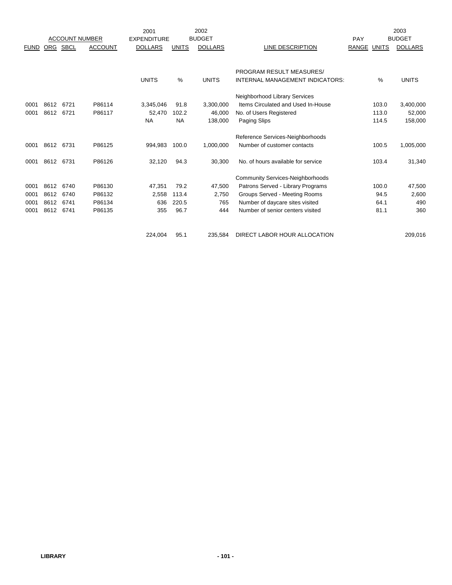|             |      |      |                       | 2001               |              | 2002           |                                         |                              | 2003           |
|-------------|------|------|-----------------------|--------------------|--------------|----------------|-----------------------------------------|------------------------------|----------------|
|             |      |      | <b>ACCOUNT NUMBER</b> | <b>EXPENDITURE</b> |              | <b>BUDGET</b>  |                                         | PAY                          | <b>BUDGET</b>  |
| <b>FUND</b> | ORG  | SBCL | <b>ACCOUNT</b>        | <b>DOLLARS</b>     | <b>UNITS</b> | <b>DOLLARS</b> | LINE DESCRIPTION                        | <b>RANGE</b><br><b>UNITS</b> | <b>DOLLARS</b> |
|             |      |      |                       |                    |              |                |                                         |                              |                |
|             |      |      |                       |                    |              |                | PROGRAM RESULT MEASURES/                |                              |                |
|             |      |      |                       | <b>UNITS</b>       | $\%$         | <b>UNITS</b>   | INTERNAL MANAGEMENT INDICATORS:         | %                            | <b>UNITS</b>   |
|             |      |      |                       |                    |              |                | Neighborhood Library Services           |                              |                |
| 0001        | 8612 | 6721 | P86114                | 3,345,046          | 91.8         | 3,300,000      | Items Circulated and Used In-House      | 103.0                        | 3,400,000      |
| 0001        | 8612 | 6721 | P86117                | 52,470             | 102.2        | 46.000         | No. of Users Registered                 | 113.0                        | 52,000         |
|             |      |      |                       | <b>NA</b>          | <b>NA</b>    | 138,000        | Paging Slips                            | 114.5                        | 158,000        |
|             |      |      |                       |                    |              |                | Reference Services-Neighborhoods        |                              |                |
| 0001        | 8612 | 6731 | P86125                | 994,983            | 100.0        | 1,000,000      | Number of customer contacts             | 100.5                        | 1,005,000      |
| 0001        | 8612 | 6731 | P86126                | 32,120             | 94.3         | 30,300         | No. of hours available for service      | 103.4                        | 31,340         |
|             |      |      |                       |                    |              |                | <b>Community Services-Neighborhoods</b> |                              |                |
| 0001        | 8612 | 6740 | P86130                | 47,351             | 79.2         | 47,500         | Patrons Served - Library Programs       | 100.0                        | 47,500         |
| 0001        | 8612 | 6740 | P86132                | 2,558              | 113.4        | 2,750          | Groups Served - Meeting Rooms           | 94.5                         | 2,600          |
| 0001        | 8612 | 6741 | P86134                | 636                | 220.5        | 765            | Number of daycare sites visited         | 64.1                         | 490            |
| 0001        | 8612 | 6741 | P86135                | 355                | 96.7         | 444            | Number of senior centers visited        | 81.1                         | 360            |
|             |      |      |                       | 224,004            | 95.1         | 235.584        | DIRECT LABOR HOUR ALLOCATION            |                              | 209,016        |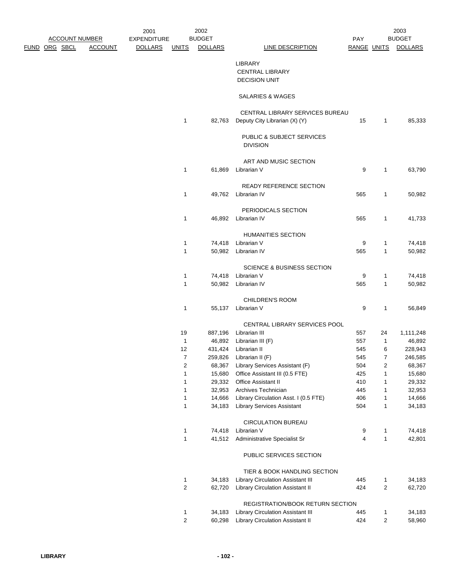| <u>ACCOUNT NUMBER</u><br><u>RG SBCL</u><br><b>ACCOUNT</b> |  | 2001<br><b>EXPENDITURE</b> |                | 2002<br><b>BUDGET</b> |                                                                  | PAY                 |                | 2003<br><b>BUDGET</b> |
|-----------------------------------------------------------|--|----------------------------|----------------|-----------------------|------------------------------------------------------------------|---------------------|----------------|-----------------------|
|                                                           |  | <b>DOLLARS</b>             | <u>UNITS</u>   | <b>DOLLARS</b>        | <b>LINE DESCRIPTION</b>                                          | RANGE UNITS         |                | <b>DOLLARS</b>        |
|                                                           |  |                            |                |                       | <b>LIBRARY</b><br><b>CENTRAL LIBRARY</b><br><b>DECISION UNIT</b> |                     |                |                       |
|                                                           |  |                            |                |                       | SALARIES & WAGES                                                 |                     |                |                       |
|                                                           |  |                            | 1              | 82,763                | CENTRAL LIBRARY SERVICES BUREAU<br>Deputy City Librarian (X) (Y) | 15                  | 1              | 85,333                |
|                                                           |  |                            |                |                       | PUBLIC & SUBJECT SERVICES<br><b>DIVISION</b>                     |                     |                |                       |
|                                                           |  |                            |                |                       | ART AND MUSIC SECTION                                            |                     |                |                       |
|                                                           |  |                            | 1              | 61,869                | Librarian V                                                      | 9                   | 1              | 63,790                |
|                                                           |  |                            | 1              |                       | READY REFERENCE SECTION<br>49,762 Librarian IV                   | 565                 | 1              | 50,982                |
|                                                           |  |                            |                |                       |                                                                  |                     |                |                       |
|                                                           |  |                            |                |                       | PERIODICALS SECTION                                              |                     |                |                       |
|                                                           |  |                            | 1              |                       | 46,892 Librarian IV                                              | 565                 | 1              | 41,733                |
|                                                           |  |                            |                |                       | HUMANITIES SECTION                                               |                     |                |                       |
|                                                           |  |                            | 1              |                       | 74,418 Librarian V                                               | 9                   | 1              | 74,418                |
|                                                           |  |                            | 1              |                       | 50,982 Librarian IV                                              | 565                 | 1              | 50,982                |
|                                                           |  |                            |                |                       | <b>SCIENCE &amp; BUSINESS SECTION</b>                            |                     |                |                       |
|                                                           |  |                            | 1              |                       | 74,418 Librarian V                                               | 9                   | 1              | 74,418                |
|                                                           |  |                            | $\mathbf{1}$   |                       | 50,982 Librarian IV                                              | 565                 | $\mathbf{1}$   | 50,982                |
|                                                           |  |                            |                |                       |                                                                  |                     |                |                       |
|                                                           |  |                            | 1              |                       | <b>CHILDREN'S ROOM</b><br>55,137 Librarian V                     | 9                   | $\mathbf{1}$   | 56,849                |
|                                                           |  |                            |                |                       |                                                                  |                     |                |                       |
|                                                           |  |                            |                |                       | CENTRAL LIBRARY SERVICES POOL                                    |                     |                |                       |
|                                                           |  |                            | 19             |                       | 887,196 Librarian III                                            | 557                 | 24             | 1,111,248             |
|                                                           |  |                            | $\mathbf{1}$   |                       | 46,892 Librarian III (F)                                         | 557                 | 1              | 46,892                |
|                                                           |  |                            | 12             |                       | 431,424 Librarian II                                             | 545                 | 6              | 228,943               |
|                                                           |  |                            | $\overline{7}$ |                       | 259,826 Librarian II (F)                                         | 545                 | 7              | 246,585               |
|                                                           |  |                            | 2              | 68,367                | Library Services Assistant (F)                                   | 504                 | 2              | 68,367                |
|                                                           |  |                            | 1              | 15,680                | Office Assistant III (0.5 FTE)<br>Office Assistant II            | 425                 | 1              | 15,680                |
|                                                           |  |                            | 1<br>1         | 29,332<br>32,953      | Archives Technician                                              | 410<br>445          | 1<br>1         | 29,332                |
|                                                           |  |                            | 1              | 14,666                | Library Circulation Asst. I (0.5 FTE)                            | 406                 | 1              | 32,953<br>14,666      |
|                                                           |  |                            | 1              | 34,183                | <b>Library Services Assistant</b>                                | 504                 | 1              | 34,183                |
|                                                           |  |                            |                |                       |                                                                  |                     |                |                       |
|                                                           |  |                            |                |                       | <b>CIRCULATION BUREAU</b><br>Librarian V                         |                     |                |                       |
|                                                           |  |                            | 1<br>1         | 74,418<br>41,512      | Administrative Specialist Sr                                     | 9<br>$\overline{4}$ | 1<br>1         | 74,418<br>42,801      |
|                                                           |  |                            |                |                       |                                                                  |                     |                |                       |
|                                                           |  |                            |                |                       | PUBLIC SERVICES SECTION                                          |                     |                |                       |
|                                                           |  |                            |                |                       | TIER & BOOK HANDLING SECTION                                     |                     |                |                       |
|                                                           |  |                            | 1              | 34,183                | Library Circulation Assistant III                                | 445                 | 1              | 34,183                |
|                                                           |  |                            | $\overline{c}$ | 62,720                | Library Circulation Assistant II                                 | 424                 | 2              | 62,720                |
|                                                           |  |                            |                |                       | REGISTRATION/BOOK RETURN SECTION                                 |                     |                |                       |
|                                                           |  |                            | 1              | 34,183                | Library Circulation Assistant III                                | 445                 | 1              | 34,183                |
|                                                           |  |                            | $\overline{c}$ | 60,298                | Library Circulation Assistant II                                 | 424                 | $\overline{c}$ | 58,960                |

FUND ORG SBCL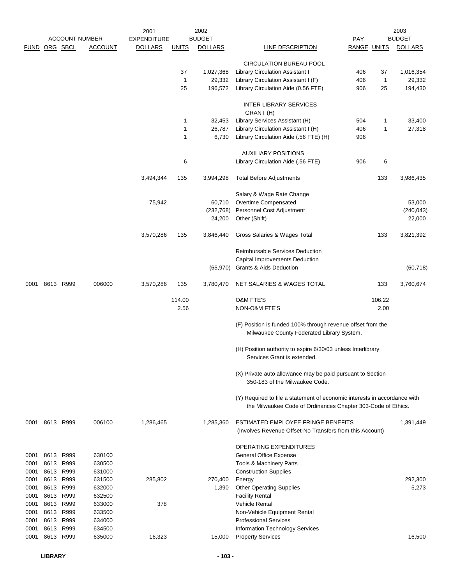|      |                |      |                       | 2001               |              | 2002           |                                                                                                                                           |             |              | 2003           |
|------|----------------|------|-----------------------|--------------------|--------------|----------------|-------------------------------------------------------------------------------------------------------------------------------------------|-------------|--------------|----------------|
|      |                |      | <b>ACCOUNT NUMBER</b> | <b>EXPENDITURE</b> |              | <b>BUDGET</b>  |                                                                                                                                           | PAY         |              | <b>BUDGET</b>  |
|      | FUND ORG SBCL  |      | <b>ACCOUNT</b>        | <b>DOLLARS</b>     | <b>UNITS</b> | <b>DOLLARS</b> | LINE DESCRIPTION                                                                                                                          | RANGE UNITS |              | <b>DOLLARS</b> |
|      |                |      |                       |                    |              |                | <b>CIRCULATION BUREAU POOL</b>                                                                                                            |             |              |                |
|      |                |      |                       |                    | 37           | 1,027,368      | Library Circulation Assistant I                                                                                                           | 406         | 37           | 1,016,354      |
|      |                |      |                       |                    | 1            | 29,332         | Library Circulation Assistant I (F)                                                                                                       | 406         | 1            | 29,332         |
|      |                |      |                       |                    | 25           | 196,572        | Library Circulation Aide (0.56 FTE)                                                                                                       | 906         | 25           | 194,430        |
|      |                |      |                       |                    |              |                | <b>INTER LIBRARY SERVICES</b>                                                                                                             |             |              |                |
|      |                |      |                       |                    |              |                | GRANT (H)                                                                                                                                 |             |              |                |
|      |                |      |                       |                    | 1            | 32,453         | Library Services Assistant (H)                                                                                                            | 504         | 1            | 33,400         |
|      |                |      |                       |                    | 1            | 26,787         | Library Circulation Assistant I (H)                                                                                                       | 406         | $\mathbf{1}$ | 27,318         |
|      |                |      |                       |                    | 1            | 6,730          | Library Circulation Aide (.56 FTE) (H)                                                                                                    | 906         |              |                |
|      |                |      |                       |                    |              |                | <b>AUXILIARY POSITIONS</b>                                                                                                                |             |              |                |
|      |                |      |                       |                    | 6            |                | Library Circulation Aide (.56 FTE)                                                                                                        | 906         | 6            |                |
|      |                |      |                       | 3,494,344          | 135          | 3,994,298      | <b>Total Before Adjustments</b>                                                                                                           |             | 133          | 3,986,435      |
|      |                |      |                       |                    |              |                | Salary & Wage Rate Change                                                                                                                 |             |              |                |
|      |                |      |                       | 75,942             |              | 60,710         | Overtime Compensated                                                                                                                      |             |              | 53,000         |
|      |                |      |                       |                    |              | (232, 768)     | Personnel Cost Adjustment                                                                                                                 |             |              | (240, 043)     |
|      |                |      |                       |                    |              | 24,200         | Other (Shift)                                                                                                                             |             |              | 22,000         |
|      |                |      |                       | 3,570,286          | 135          | 3,846,440      | Gross Salaries & Wages Total                                                                                                              |             | 133          | 3,821,392      |
|      |                |      |                       |                    |              |                | Reimbursable Services Deduction                                                                                                           |             |              |                |
|      |                |      |                       |                    |              |                | Capital Improvements Deduction                                                                                                            |             |              |                |
|      |                |      |                       |                    |              | (65, 970)      | <b>Grants &amp; Aids Deduction</b>                                                                                                        |             |              | (60, 718)      |
| 0001 | 8613 R999      |      | 006000                | 3,570,286          | 135          | 3,780,470      | NET SALARIES & WAGES TOTAL                                                                                                                |             | 133          | 3,760,674      |
|      |                |      |                       |                    |              |                |                                                                                                                                           |             |              |                |
|      |                |      |                       |                    | 114.00       |                | O&M FTE'S                                                                                                                                 |             | 106.22       |                |
|      |                |      |                       |                    | 2.56         |                | NON-O&M FTE'S                                                                                                                             |             | 2.00         |                |
|      |                |      |                       |                    |              |                | (F) Position is funded 100% through revenue offset from the<br>Milwaukee County Federated Library System.                                 |             |              |                |
|      |                |      |                       |                    |              |                | (H) Position authority to expire 6/30/03 unless Interlibrary<br>Services Grant is extended.                                               |             |              |                |
|      |                |      |                       |                    |              |                |                                                                                                                                           |             |              |                |
|      |                |      |                       |                    |              |                | (X) Private auto allowance may be paid pursuant to Section<br>350-183 of the Milwaukee Code.                                              |             |              |                |
|      |                |      |                       |                    |              |                |                                                                                                                                           |             |              |                |
|      |                |      |                       |                    |              |                | (Y) Required to file a statement of economic interests in accordance with<br>the Milwaukee Code of Ordinances Chapter 303-Code of Ethics. |             |              |                |
|      | 0001 8613 R999 |      | 006100                | 1,286,465          |              | 1,285,360      | ESTIMATED EMPLOYEE FRINGE BENEFITS<br>(Involves Revenue Offset-No Transfers from this Account)                                            |             |              | 1,391,449      |
|      |                |      |                       |                    |              |                | OPERATING EXPENDITURES                                                                                                                    |             |              |                |
| 0001 | 8613 R999      |      | 630100                |                    |              |                | General Office Expense                                                                                                                    |             |              |                |
| 0001 | 8613           | R999 | 630500                |                    |              |                | <b>Tools &amp; Machinery Parts</b>                                                                                                        |             |              |                |
| 0001 | 8613           | R999 | 631000                |                    |              |                | <b>Construction Supplies</b>                                                                                                              |             |              |                |
| 0001 | 8613 R999      |      | 631500                | 285,802            |              | 270,400        | Energy                                                                                                                                    |             |              | 292,300        |
| 0001 | 8613           | R999 | 632000                |                    |              | 1,390          | <b>Other Operating Supplies</b>                                                                                                           |             |              | 5,273          |
| 0001 | 8613           | R999 | 632500                |                    |              |                | <b>Facility Rental</b>                                                                                                                    |             |              |                |
| 0001 | 8613 R999      |      | 633000                | 378                |              |                | <b>Vehicle Rental</b>                                                                                                                     |             |              |                |
| 0001 | 8613           | R999 | 633500                |                    |              |                | Non-Vehicle Equipment Rental                                                                                                              |             |              |                |
| 0001 | 8613           | R999 | 634000                |                    |              |                | <b>Professional Services</b>                                                                                                              |             |              |                |
| 0001 | 8613           | R999 | 634500                |                    |              |                | Information Technology Services                                                                                                           |             |              |                |
| 0001 | 8613 R999      |      | 635000                | 16,323             |              | 15,000         | <b>Property Services</b>                                                                                                                  |             |              | 16,500         |
|      |                |      |                       |                    |              |                |                                                                                                                                           |             |              |                |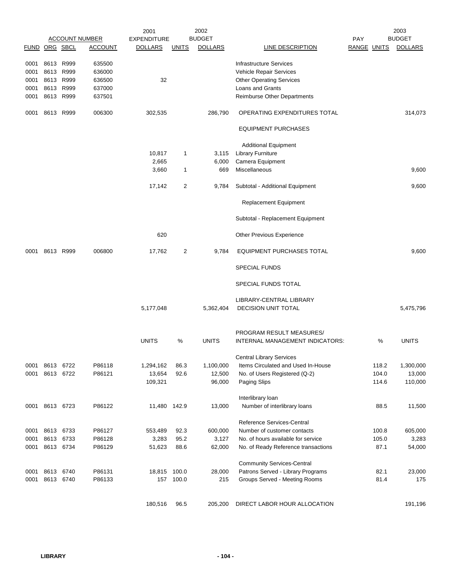|               |           |           |                       | 2001               |              | 2002           |                                     |             |       | 2003           |
|---------------|-----------|-----------|-----------------------|--------------------|--------------|----------------|-------------------------------------|-------------|-------|----------------|
|               |           |           | <b>ACCOUNT NUMBER</b> | <b>EXPENDITURE</b> |              | <b>BUDGET</b>  |                                     | PAY         |       | <b>BUDGET</b>  |
| FUND ORG SBCL |           |           | <b>ACCOUNT</b>        | <b>DOLLARS</b>     | <b>UNITS</b> | <b>DOLLARS</b> | LINE DESCRIPTION                    | RANGE UNITS |       | <b>DOLLARS</b> |
|               |           |           |                       |                    |              |                |                                     |             |       |                |
| 0001          | 8613      | R999      | 635500                |                    |              |                | <b>Infrastructure Services</b>      |             |       |                |
| 0001          | 8613      | R999      | 636000                |                    |              |                | Vehicle Repair Services             |             |       |                |
| 0001          | 8613      | R999      | 636500                | 32                 |              |                | <b>Other Operating Services</b>     |             |       |                |
| 0001          | 8613      | R999      | 637000                |                    |              |                | Loans and Grants                    |             |       |                |
| 0001          | 8613      | R999      | 637501                |                    |              |                | Reimburse Other Departments         |             |       |                |
| 0001          | 8613 R999 |           | 006300                | 302,535            |              | 286,790        | OPERATING EXPENDITURES TOTAL        |             |       | 314,073        |
|               |           |           |                       |                    |              |                | <b>EQUIPMENT PURCHASES</b>          |             |       |                |
|               |           |           |                       |                    |              |                |                                     |             |       |                |
|               |           |           |                       |                    |              |                | <b>Additional Equipment</b>         |             |       |                |
|               |           |           |                       | 10,817             | 1            | 3,115          | <b>Library Furniture</b>            |             |       |                |
|               |           |           |                       | 2,665              |              | 6,000          | Camera Equipment                    |             |       |                |
|               |           |           |                       | 3,660              | 1            | 669            | Miscellaneous                       |             |       | 9,600          |
|               |           |           |                       | 17,142             | 2            | 9,784          | Subtotal - Additional Equipment     |             |       | 9,600          |
|               |           |           |                       |                    |              |                |                                     |             |       |                |
|               |           |           |                       |                    |              |                | <b>Replacement Equipment</b>        |             |       |                |
|               |           |           |                       |                    |              |                | Subtotal - Replacement Equipment    |             |       |                |
|               |           |           |                       | 620                |              |                | <b>Other Previous Experience</b>    |             |       |                |
| 0001          |           | 8613 R999 | 006800                | 17,762             | 2            | 9,784          | EQUIPMENT PURCHASES TOTAL           |             |       | 9,600          |
|               |           |           |                       |                    |              |                | <b>SPECIAL FUNDS</b>                |             |       |                |
|               |           |           |                       |                    |              |                | SPECIAL FUNDS TOTAL                 |             |       |                |
|               |           |           |                       |                    |              |                | LIBRARY-CENTRAL LIBRARY             |             |       |                |
|               |           |           |                       | 5,177,048          |              | 5,362,404      | <b>DECISION UNIT TOTAL</b>          |             |       | 5,475,796      |
|               |           |           |                       |                    |              |                | PROGRAM RESULT MEASURES/            |             |       |                |
|               |           |           |                       | <b>UNITS</b>       | %            | <b>UNITS</b>   | INTERNAL MANAGEMENT INDICATORS:     |             | %     | <b>UNITS</b>   |
|               |           |           |                       |                    |              |                | <b>Central Library Services</b>     |             |       |                |
| 0001          |           | 8613 6722 | P86118                | 1,294,162          | 86.3         | 1,100,000      | Items Circulated and Used In-House  |             | 118.2 | 1,300,000      |
| 0001          | 8613      | 6722      | P86121                | 13,654             | 92.6         | 12,500         | No. of Users Registered (Q-2)       |             | 104.0 | 13,000         |
|               |           |           |                       | 109,321            |              | 96,000         | Paging Slips                        |             | 114.6 | 110,000        |
|               |           |           |                       |                    |              |                | Interlibrary loan                   |             |       |                |
| 0001          |           | 8613 6723 | P86122                | 11,480 142.9       |              | 13,000         | Number of interlibrary loans        |             | 88.5  | 11,500         |
|               |           |           |                       |                    |              |                | Reference Services-Central          |             |       |                |
| 0001          | 8613      | 6733      | P86127                | 553,489            | 92.3         | 600,000        | Number of customer contacts         |             | 100.8 | 605,000        |
| 0001          | 8613      | 6733      | P86128                | 3,283              | 95.2         | 3,127          | No. of hours available for service  |             | 105.0 | 3,283          |
| 0001          | 8613 6734 |           | P86129                | 51,623             | 88.6         | 62,000         | No. of Ready Reference transactions |             | 87.1  | 54,000         |
|               |           |           |                       |                    |              |                |                                     |             |       |                |
|               |           |           |                       |                    |              |                | <b>Community Services-Central</b>   |             |       |                |
| 0001          |           | 8613 6740 | P86131                | 18,815 100.0       |              | 28,000         | Patrons Served - Library Programs   |             | 82.1  | 23,000         |
| 0001          |           | 8613 6740 | P86133                |                    | 157 100.0    | 215            | Groups Served - Meeting Rooms       |             | 81.4  | 175            |
|               |           |           |                       | 180,516            | 96.5         | 205,200        | DIRECT LABOR HOUR ALLOCATION        |             |       | 191,196        |
|               |           |           |                       |                    |              |                |                                     |             |       |                |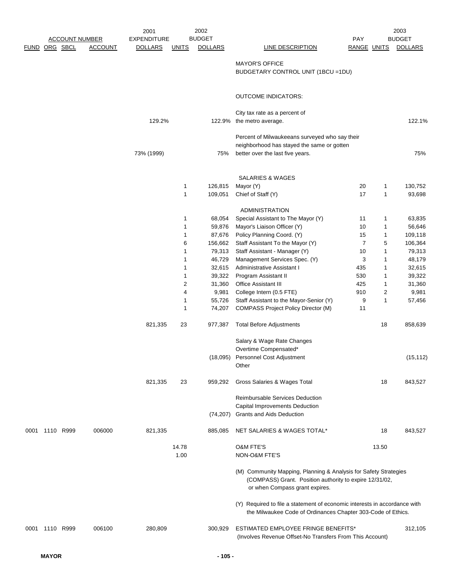|      |           |                       |                | 2001               |                | 2002           |                                                                                                                                                               |                    | 2003  |                |
|------|-----------|-----------------------|----------------|--------------------|----------------|----------------|---------------------------------------------------------------------------------------------------------------------------------------------------------------|--------------------|-------|----------------|
|      |           | <b>ACCOUNT NUMBER</b> |                | <b>EXPENDITURE</b> |                | <b>BUDGET</b>  |                                                                                                                                                               | <b>PAY</b>         |       | <b>BUDGET</b>  |
|      |           | FUND ORG SBCL         | <b>ACCOUNT</b> | <b>DOLLARS</b>     | <b>UNITS</b>   | <b>DOLLARS</b> | LINE DESCRIPTION                                                                                                                                              | <b>RANGE UNITS</b> |       | <b>DOLLARS</b> |
|      |           |                       |                |                    |                |                |                                                                                                                                                               |                    |       |                |
|      |           |                       |                |                    |                |                | <b>MAYOR'S OFFICE</b>                                                                                                                                         |                    |       |                |
|      |           |                       |                |                    |                |                | BUDGETARY CONTROL UNIT (1BCU = 1DU)                                                                                                                           |                    |       |                |
|      |           |                       |                |                    |                |                | <b>OUTCOME INDICATORS:</b>                                                                                                                                    |                    |       |                |
|      |           |                       |                |                    |                |                | City tax rate as a percent of                                                                                                                                 |                    |       |                |
|      |           |                       |                | 129.2%             |                |                | 122.9% the metro average.                                                                                                                                     |                    |       | 122.1%         |
|      |           |                       |                |                    |                |                | Percent of Milwaukeeans surveyed who say their<br>neighborhood has stayed the same or gotten                                                                  |                    |       |                |
|      |           |                       |                | 73% (1999)         |                | 75%            | better over the last five years.                                                                                                                              |                    |       | 75%            |
|      |           |                       |                |                    |                |                |                                                                                                                                                               |                    |       |                |
|      |           |                       |                |                    |                |                | <b>SALARIES &amp; WAGES</b>                                                                                                                                   |                    |       |                |
|      |           |                       |                |                    | $\mathbf{1}$   | 126,815        | Mayor (Y)                                                                                                                                                     | 20                 | 1     | 130,752        |
|      |           |                       |                |                    | $\mathbf{1}$   | 109,051        | Chief of Staff (Y)                                                                                                                                            | 17                 | 1     | 93,698         |
|      |           |                       |                |                    |                |                | ADMINISTRATION                                                                                                                                                |                    |       |                |
|      |           |                       |                |                    | 1              | 68,054         | Special Assistant to The Mayor (Y)                                                                                                                            | 11                 | 1     | 63,835         |
|      |           |                       |                |                    | $\mathbf 1$    | 59,876         | Mayor's Liaison Officer (Y)                                                                                                                                   | 10                 | 1     | 56,646         |
|      |           |                       |                |                    | 1              | 87,676         | Policy Planning Coord. (Y)                                                                                                                                    | 15                 | 1     | 109,118        |
|      |           |                       |                |                    | 6              | 156,662        | Staff Assistant To the Mayor (Y)                                                                                                                              | $\overline{7}$     | 5     | 106,364        |
|      |           |                       |                |                    | 1              | 79,313         | Staff Assistant - Manager (Y)                                                                                                                                 | 10                 | 1     | 79,313         |
|      |           |                       |                |                    | 1              | 46,729         | Management Services Spec. (Y)                                                                                                                                 | 3                  | 1     | 48,179         |
|      |           |                       |                |                    | $\mathbf 1$    | 32,615         | Administrative Assistant I                                                                                                                                    | 435                | 1     | 32,615         |
|      |           |                       |                |                    | $\mathbf{1}$   | 39,322         | Program Assistant II                                                                                                                                          | 530                | 1     | 39,322         |
|      |           |                       |                |                    | $\overline{c}$ | 31,360         | <b>Office Assistant III</b>                                                                                                                                   | 425                | 1     | 31,360         |
|      |           |                       |                |                    | 4              | 9,981          | College Intern (0.5 FTE)                                                                                                                                      | 910                | 2     | 9,981          |
|      |           |                       |                |                    | $\mathbf{1}$   | 55,726         | Staff Assistant to the Mayor-Senior (Y)                                                                                                                       | 9                  | 1     | 57,456         |
|      |           |                       |                |                    | $\mathbf 1$    | 74,207         | <b>COMPASS Project Policy Director (M)</b>                                                                                                                    | 11                 |       |                |
|      |           |                       |                | 821,335            | 23             | 977,387        | <b>Total Before Adjustments</b>                                                                                                                               |                    | 18    | 858,639        |
|      |           |                       |                |                    |                |                | Salary & Wage Rate Changes                                                                                                                                    |                    |       |                |
|      |           |                       |                |                    |                |                | Overtime Compensated*                                                                                                                                         |                    |       |                |
|      |           |                       |                |                    |                | (18,095)       | Personnel Cost Adjustment                                                                                                                                     |                    |       | (15, 112)      |
|      |           |                       |                |                    |                |                | Other                                                                                                                                                         |                    |       |                |
|      |           |                       |                | 821,335            | 23             | 959,292        | Gross Salaries & Wages Total                                                                                                                                  |                    | 18    | 843,527        |
|      |           |                       |                |                    |                |                | <b>Reimbursable Services Deduction</b>                                                                                                                        |                    |       |                |
|      |           |                       |                |                    |                |                | Capital Improvements Deduction                                                                                                                                |                    |       |                |
|      |           |                       |                |                    |                | (74, 207)      | Grants and Aids Deduction                                                                                                                                     |                    |       |                |
| 0001 | 1110 R999 |                       | 006000         | 821,335            |                | 885,085        | NET SALARIES & WAGES TOTAL*                                                                                                                                   |                    | 18    | 843,527        |
|      |           |                       |                |                    | 14.78          |                | <b>O&amp;M FTE'S</b>                                                                                                                                          |                    | 13.50 |                |
|      |           |                       |                |                    | 1.00           |                | NON-O&M FTE'S                                                                                                                                                 |                    |       |                |
|      |           |                       |                |                    |                |                | (M) Community Mapping, Planning & Analysis for Safety Strategies<br>(COMPASS) Grant. Position authority to expire 12/31/02,<br>or when Compass grant expires. |                    |       |                |
|      |           |                       |                |                    |                |                | (Y) Required to file a statement of economic interests in accordance with<br>the Milwaukee Code of Ordinances Chapter 303-Code of Ethics.                     |                    |       |                |
| 0001 | 1110 R999 |                       | 006100         | 280,809            |                | 300,929        | <b>ESTIMATED EMPLOYEE FRINGE BENEFITS*</b><br>(Involves Revenue Offset-No Transfers From This Account)                                                        |                    |       | 312,105        |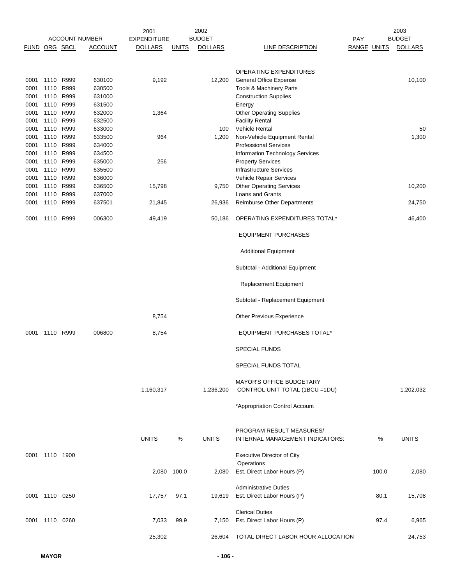|             |                |      |                       | 2001               |              | 2002           |                                                                    |                    |       | 2003           |
|-------------|----------------|------|-----------------------|--------------------|--------------|----------------|--------------------------------------------------------------------|--------------------|-------|----------------|
|             |                |      | <b>ACCOUNT NUMBER</b> | <b>EXPENDITURE</b> |              | <b>BUDGET</b>  |                                                                    | <b>PAY</b>         |       | <b>BUDGET</b>  |
| <b>FUND</b> | ORG SBCL       |      | <u>ACCOUNT</u>        | <b>DOLLARS</b>     | <u>UNITS</u> | <b>DOLLARS</b> | <b>LINE DESCRIPTION</b>                                            | <b>RANGE UNITS</b> |       | <b>DOLLARS</b> |
|             |                |      |                       |                    |              |                |                                                                    |                    |       |                |
|             |                |      |                       |                    |              |                | <b>OPERATING EXPENDITURES</b>                                      |                    |       |                |
| 0001        | 1110 R999      |      | 630100                | 9,192              |              | 12,200         | <b>General Office Expense</b>                                      |                    |       | 10,100         |
| 0001        | 1110           | R999 | 630500                |                    |              |                | Tools & Machinery Parts                                            |                    |       |                |
| 0001        | 1110 R999      |      | 631000                |                    |              |                | <b>Construction Supplies</b>                                       |                    |       |                |
| 0001        | 1110 R999      |      | 631500                |                    |              |                | Energy                                                             |                    |       |                |
| 0001        | 1110           | R999 | 632000                | 1,364              |              |                | <b>Other Operating Supplies</b>                                    |                    |       |                |
| 0001        | 1110           | R999 | 632500                |                    |              |                | <b>Facility Rental</b>                                             |                    |       |                |
| 0001        | 1110 R999      |      | 633000                |                    |              | 100            | Vehicle Rental                                                     |                    |       | 50             |
| 0001        | 1110 R999      |      | 633500                | 964                |              | 1,200          | Non-Vehicle Equipment Rental                                       |                    |       | 1,300          |
| 0001        | 1110 R999      |      | 634000                |                    |              |                | <b>Professional Services</b>                                       |                    |       |                |
| 0001        | 1110           | R999 | 634500                |                    |              |                | Information Technology Services                                    |                    |       |                |
| 0001        | 1110           | R999 | 635000                | 256                |              |                | <b>Property Services</b>                                           |                    |       |                |
| 0001        | 1110           | R999 | 635500                |                    |              |                | <b>Infrastructure Services</b>                                     |                    |       |                |
| 0001        | 1110           | R999 | 636000                |                    |              |                | Vehicle Repair Services                                            |                    |       |                |
| 0001        | 1110 R999      |      | 636500                | 15,798             |              | 9,750          | <b>Other Operating Services</b>                                    |                    |       | 10,200         |
| 0001        | 1110 R999      |      | 637000                |                    |              |                | Loans and Grants                                                   |                    |       |                |
| 0001        | 1110 R999      |      | 637501                | 21,845             |              | 26,936         | <b>Reimburse Other Departments</b>                                 |                    |       | 24,750         |
| 0001        | 1110 R999      |      | 006300                | 49,419             |              | 50,186         | OPERATING EXPENDITURES TOTAL*                                      |                    |       | 46,400         |
|             |                |      |                       |                    |              |                | <b>EQUIPMENT PURCHASES</b>                                         |                    |       |                |
|             |                |      |                       |                    |              |                | <b>Additional Equipment</b>                                        |                    |       |                |
|             |                |      |                       |                    |              |                | Subtotal - Additional Equipment                                    |                    |       |                |
|             |                |      |                       |                    |              |                | <b>Replacement Equipment</b>                                       |                    |       |                |
|             |                |      |                       |                    |              |                | Subtotal - Replacement Equipment                                   |                    |       |                |
|             |                |      |                       | 8,754              |              |                | Other Previous Experience                                          |                    |       |                |
| 0001        | 1110 R999      |      | 006800                | 8,754              |              |                | <b>EQUIPMENT PURCHASES TOTAL*</b>                                  |                    |       |                |
|             |                |      |                       |                    |              |                | <b>SPECIAL FUNDS</b>                                               |                    |       |                |
|             |                |      |                       |                    |              |                | SPECIAL FUNDS TOTAL                                                |                    |       |                |
|             |                |      |                       | 1,160,317          |              | 1,236,200      | <b>MAYOR'S OFFICE BUDGETARY</b><br>CONTROL UNIT TOTAL (1BCU = 1DU) |                    |       | 1,202,032      |
|             |                |      |                       |                    |              |                | *Appropriation Control Account                                     |                    |       |                |
|             |                |      |                       | <b>UNITS</b>       | %            | <b>UNITS</b>   | PROGRAM RESULT MEASURES/<br>INTERNAL MANAGEMENT INDICATORS:        |                    | %     | <b>UNITS</b>   |
|             | 0001 1110 1900 |      |                       |                    |              |                | <b>Executive Director of City</b>                                  |                    |       |                |
|             |                |      |                       |                    |              |                | Operations                                                         |                    |       |                |
|             |                |      |                       | 2,080 100.0        |              | 2,080          | Est. Direct Labor Hours (P)                                        |                    | 100.0 | 2,080          |
|             |                |      |                       |                    |              |                |                                                                    |                    |       |                |
|             |                |      |                       |                    |              |                | <b>Administrative Duties</b>                                       |                    |       |                |
|             | 0001 1110 0250 |      |                       | 17,757             | 97.1         | 19,619         | Est. Direct Labor Hours (P)                                        |                    | 80.1  | 15,708         |
|             |                |      |                       |                    |              |                | <b>Clerical Duties</b>                                             |                    |       |                |
|             | 0001 1110 0260 |      |                       | 7,033              | 99.9         | 7,150          | Est. Direct Labor Hours (P)                                        |                    | 97.4  | 6,965          |
|             |                |      |                       |                    |              |                |                                                                    |                    |       |                |
|             |                |      |                       | 25,302             |              |                | 26,604 TOTAL DIRECT LABOR HOUR ALLOCATION                          |                    |       | 24,753         |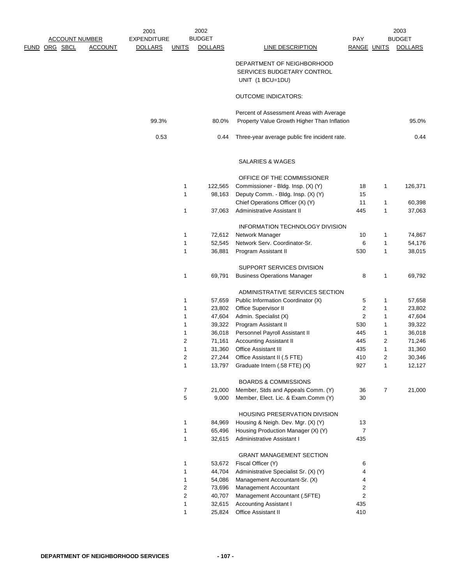| FUND | <b>ACCOUNT NUMBER</b><br>ORG SBCL | <b>ACCOUNT</b> | 2001<br><b>EXPENDITURE</b><br><b>DOLLARS</b> | <b>UNITS</b>   | 2002<br><b>BUDGET</b><br><b>DOLLARS</b> | LINE DESCRIPTION                                                             | <b>PAY</b><br>RANGE UNITS |                | 2003<br><b>BUDGET</b><br><b>DOLLARS</b> |
|------|-----------------------------------|----------------|----------------------------------------------|----------------|-----------------------------------------|------------------------------------------------------------------------------|---------------------------|----------------|-----------------------------------------|
|      |                                   |                |                                              |                |                                         | DEPARTMENT OF NEIGHBORHOOD<br>SERVICES BUDGETARY CONTROL<br>UNIT (1 BCU=1DU) |                           |                |                                         |
|      |                                   |                |                                              |                |                                         | <b>OUTCOME INDICATORS:</b>                                                   |                           |                |                                         |
|      |                                   |                |                                              |                |                                         |                                                                              |                           |                |                                         |
|      |                                   |                |                                              |                |                                         | Percent of Assessment Areas with Average                                     |                           |                |                                         |
|      |                                   |                | 99.3%                                        |                | 80.0%                                   | Property Value Growth Higher Than Inflation                                  |                           |                | 95.0%                                   |
|      |                                   |                | 0.53                                         |                | 0.44                                    | Three-year average public fire incident rate.                                |                           |                | 0.44                                    |
|      |                                   |                |                                              |                |                                         | SALARIES & WAGES                                                             |                           |                |                                         |
|      |                                   |                |                                              |                |                                         | OFFICE OF THE COMMISSIONER                                                   |                           |                |                                         |
|      |                                   |                |                                              | 1              | 122,565                                 | Commissioner - Bldg. Insp. (X) (Y)                                           | 18                        | $\mathbf{1}$   | 126,371                                 |
|      |                                   |                |                                              | 1              | 98,163                                  | Deputy Comm. - Bldg. Insp. (X) (Y)                                           | 15                        |                |                                         |
|      |                                   |                |                                              |                |                                         | Chief Operations Officer (X) (Y)                                             | 11                        | $\mathbf 1$    | 60,398                                  |
|      |                                   |                |                                              | 1              | 37,063                                  | Administrative Assistant II                                                  | 445                       | $\mathbf{1}$   | 37,063                                  |
|      |                                   |                |                                              |                |                                         | INFORMATION TECHNOLOGY DIVISION                                              |                           |                |                                         |
|      |                                   |                |                                              | 1              | 72,612                                  | Network Manager                                                              | 10                        | $\mathbf 1$    | 74,867                                  |
|      |                                   |                |                                              | 1              | 52,545                                  | Network Serv. Coordinator-Sr.                                                | 6                         | $\mathbf 1$    | 54,176                                  |
|      |                                   |                |                                              | 1              | 36,881                                  | Program Assistant II                                                         | 530                       | $\mathbf{1}$   | 38,015                                  |
|      |                                   |                |                                              |                |                                         |                                                                              |                           |                |                                         |
|      |                                   |                |                                              |                |                                         | SUPPORT SERVICES DIVISION                                                    |                           |                |                                         |
|      |                                   |                |                                              | 1              | 69,791                                  | <b>Business Operations Manager</b>                                           | 8                         | $\mathbf{1}$   | 69,792                                  |
|      |                                   |                |                                              |                |                                         | ADMINISTRATIVE SERVICES SECTION                                              |                           |                |                                         |
|      |                                   |                |                                              | 1              | 57,659                                  | Public Information Coordinator (X)                                           | 5                         | $\mathbf 1$    | 57,658                                  |
|      |                                   |                |                                              | 1              | 23,802                                  | Office Supervisor II                                                         | $\overline{2}$            | $\mathbf 1$    | 23,802                                  |
|      |                                   |                |                                              | 1              | 47,604                                  | Admin. Specialist (X)                                                        | 2                         | $\mathbf{1}$   | 47,604                                  |
|      |                                   |                |                                              | 1              | 39,322                                  | Program Assistant II                                                         | 530                       | $\mathbf 1$    | 39,322                                  |
|      |                                   |                |                                              | 1              | 36,018                                  | Personnel Payroll Assistant II                                               | 445                       | $\mathbf 1$    | 36,018                                  |
|      |                                   |                |                                              | $\overline{2}$ | 71,161                                  | <b>Accounting Assistant II</b>                                               | 445                       | 2              | 71,246                                  |
|      |                                   |                |                                              | 1              | 31,360                                  | <b>Office Assistant III</b>                                                  | 435                       | $\mathbf 1$    | 31,360                                  |
|      |                                   |                |                                              | 2              | 27,244                                  | Office Assistant II (.5 FTE)                                                 | 410                       | 2              | 30,346                                  |
|      |                                   |                |                                              | $\mathbf{1}$   | 13,797                                  | Graduate Intern (.58 FTE) (X)                                                | 927                       | $\mathbf{1}$   | 12,127                                  |
|      |                                   |                |                                              |                |                                         | <b>BOARDS &amp; COMMISSIONS</b>                                              |                           |                |                                         |
|      |                                   |                |                                              | 7              | 21,000                                  | Member, Stds and Appeals Comm. (Y)                                           | 36                        | $\overline{7}$ | 21,000                                  |
|      |                                   |                |                                              | 5              | 9,000                                   | Member, Elect. Lic. & Exam.Comm (Y)                                          | 30                        |                |                                         |
|      |                                   |                |                                              |                |                                         | HOUSING PRESERVATION DIVISION                                                |                           |                |                                         |
|      |                                   |                |                                              | 1              | 84,969                                  | Housing & Neigh. Dev. Mgr. (X) (Y)                                           | 13                        |                |                                         |
|      |                                   |                |                                              | 1              | 65,496                                  | Housing Production Manager (X) (Y)                                           | 7                         |                |                                         |
|      |                                   |                |                                              | 1              | 32,615                                  | Administrative Assistant I                                                   | 435                       |                |                                         |
|      |                                   |                |                                              |                |                                         | <b>GRANT MANAGEMENT SECTION</b>                                              |                           |                |                                         |
|      |                                   |                |                                              | 1              | 53,672                                  | Fiscal Officer (Y)                                                           | 6                         |                |                                         |
|      |                                   |                |                                              | 1              | 44,704                                  | Administrative Specialist Sr. (X) (Y)                                        | 4                         |                |                                         |
|      |                                   |                |                                              | 1              | 54,086                                  | Management Accountant-Sr. (X)                                                | 4                         |                |                                         |
|      |                                   |                |                                              | 2              | 73,696                                  | Management Accountant                                                        | 2                         |                |                                         |
|      |                                   |                |                                              | 2              | 40,707                                  | Management Accountant (.5FTE)                                                | 2                         |                |                                         |
|      |                                   |                |                                              | $\mathbf 1$    | 32,615                                  | Accounting Assistant I                                                       | 435                       |                |                                         |
|      |                                   |                |                                              | $\mathbf{1}$   | 25,824                                  | Office Assistant II                                                          | 410                       |                |                                         |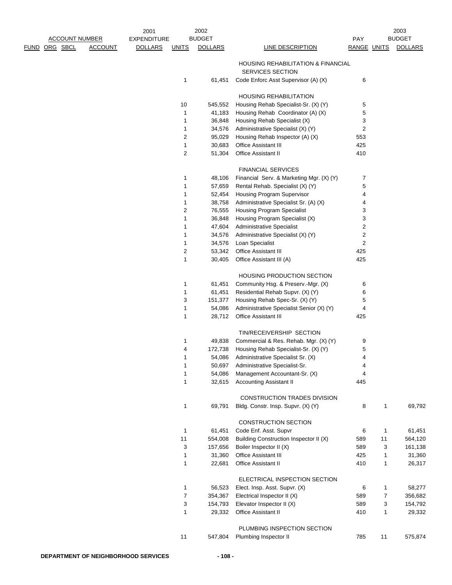|                       |                | 2001               |                | 2002           |                                               |                |              | 2003           |
|-----------------------|----------------|--------------------|----------------|----------------|-----------------------------------------------|----------------|--------------|----------------|
| <b>ACCOUNT NUMBER</b> |                | <b>EXPENDITURE</b> |                | <b>BUDGET</b>  |                                               | <b>PAY</b>     |              | <b>BUDGET</b>  |
| FUND ORG SBCL         | <b>ACCOUNT</b> | <b>DOLLARS</b>     | <b>UNITS</b>   | <b>DOLLARS</b> | <b>LINE DESCRIPTION</b>                       | RANGE UNITS    |              | <b>DOLLARS</b> |
|                       |                |                    |                |                | <b>HOUSING REHABILITATION &amp; FINANCIAL</b> |                |              |                |
|                       |                |                    |                |                | <b>SERVICES SECTION</b>                       |                |              |                |
|                       |                |                    | 1              | 61.451         | Code Enforc Asst Supervisor (A) (X)           | 6              |              |                |
|                       |                |                    |                |                | <b>HOUSING REHABILITATION</b>                 |                |              |                |
|                       |                |                    | 10             | 545,552        | Housing Rehab Specialist-Sr. (X) (Y)          | 5              |              |                |
|                       |                |                    | 1              | 41,183         | Housing Rehab Coordinator (A) (X)             | 5              |              |                |
|                       |                |                    | 1              | 36,848         | Housing Rehab Specialist (X)                  | 3              |              |                |
|                       |                |                    | 1              | 34,576         | Administrative Specialist (X) (Y)             | 2              |              |                |
|                       |                |                    | $\overline{2}$ | 95,029         | Housing Rehab Inspector (A) (X)               | 553            |              |                |
|                       |                |                    | $\mathbf{1}$   | 30,683         | Office Assistant III                          | 425            |              |                |
|                       |                |                    | 2              | 51,304         | <b>Office Assistant II</b>                    | 410            |              |                |
|                       |                |                    |                |                | <b>FINANCIAL SERVICES</b>                     |                |              |                |
|                       |                |                    | 1              | 48,106         | Financial Serv. & Marketing Mgr. (X) (Y)      | 7              |              |                |
|                       |                |                    | 1              | 57,659         | Rental Rehab. Specialist (X) (Y)              | 5              |              |                |
|                       |                |                    | 1              | 52,454         | <b>Housing Program Supervisor</b>             | 4              |              |                |
|                       |                |                    | 1              | 38,758         | Administrative Specialist Sr. (A) (X)         | 4              |              |                |
|                       |                |                    | 2              | 76,555         | Housing Program Specialist                    | 3              |              |                |
|                       |                |                    | 1              | 36,848         | Housing Program Specialist (X)                | 3              |              |                |
|                       |                |                    | 1              | 47,604         | Administrative Specialist                     | 2              |              |                |
|                       |                |                    | 1              | 34,576         | Administrative Specialist (X) (Y)             | $\overline{c}$ |              |                |
|                       |                |                    | 1              | 34,576         | Loan Specialist                               | $\overline{c}$ |              |                |
|                       |                |                    | 2              | 53,342         | Office Assistant III                          | 425            |              |                |
|                       |                |                    | 1              | 30,405         | Office Assistant III (A)                      | 425            |              |                |
|                       |                |                    |                |                | HOUSING PRODUCTION SECTION                    |                |              |                |
|                       |                |                    | 1              | 61,451         | Community Hsg. & Preserv.-Mgr. (X)            | 6              |              |                |
|                       |                |                    | 1              | 61,451         | Residential Rehab Supvr. (X) (Y)              | 6              |              |                |
|                       |                |                    | 3              | 151,377        | Housing Rehab Spec-Sr. (X) (Y)                | 5              |              |                |
|                       |                |                    | 1              | 54,086         | Administrative Specialist Senior (X) (Y)      | 4              |              |                |
|                       |                |                    | 1              | 28,712         | <b>Office Assistant III</b>                   | 425            |              |                |
|                       |                |                    |                |                | TIN/RECEIVERSHIP SECTION                      |                |              |                |
|                       |                |                    | 1              | 49,838         | Commercial & Res. Rehab. Mgr. (X) (Y)         | 9              |              |                |
|                       |                |                    | 4              | 172,738        | Housing Rehab Specialist-Sr. (X) (Y)          | 5              |              |                |
|                       |                |                    | 1              |                | 54,086 Administrative Specialist Sr. (X)      | 4              |              |                |
|                       |                |                    | 1              | 50,697         | Administrative Specialist-Sr.                 | 4              |              |                |
|                       |                |                    | 1              | 54,086         | Management Accountant-Sr. (X)                 | 4              |              |                |
|                       |                |                    | 1              | 32,615         | <b>Accounting Assistant II</b>                | 445            |              |                |
|                       |                |                    |                |                | CONSTRUCTION TRADES DIVISION                  |                |              |                |
|                       |                |                    | $\mathbf{1}$   | 69,791         | Bldg. Constr. Insp. Supvr. (X) (Y)            | 8              | 1            | 69,792         |
|                       |                |                    |                |                | CONSTRUCTION SECTION                          |                |              |                |
|                       |                |                    | 1              | 61,451         | Code Enf. Asst. Supvr                         | 6              | 1            | 61,451         |
|                       |                |                    | 11             | 554,008        | Building Construction Inspector II (X)        | 589            | 11           | 564,120        |
|                       |                |                    | 3              | 157,656        | Boiler Inspector II (X)                       | 589            | 3            | 161,138        |
|                       |                |                    | 1              | 31,360         | <b>Office Assistant III</b>                   | 425            | 1            | 31,360         |
|                       |                |                    | 1              | 22,681         | <b>Office Assistant II</b>                    | 410            | 1            | 26,317         |
|                       |                |                    |                |                | ELECTRICAL INSPECTION SECTION                 |                |              |                |
|                       |                |                    | 1              | 56,523         | Elect. Insp. Asst. Supvr. (X)                 | 6              | $\mathbf{1}$ | 58,277         |
|                       |                |                    | 7              | 354,367        | Electrical Inspector II (X)                   | 589            | 7            | 356,682        |
|                       |                |                    | 3              | 154,793        | Elevator Inspector II (X)                     | 589            | 3            | 154,792        |
|                       |                |                    | 1              | 29,332         | Office Assistant II                           | 410            | 1            | 29,332         |
|                       |                |                    |                |                | PLUMBING INSPECTION SECTION                   |                |              |                |
|                       |                |                    | 11             | 547,804        | Plumbing Inspector II                         | 785            | 11           | 575,874        |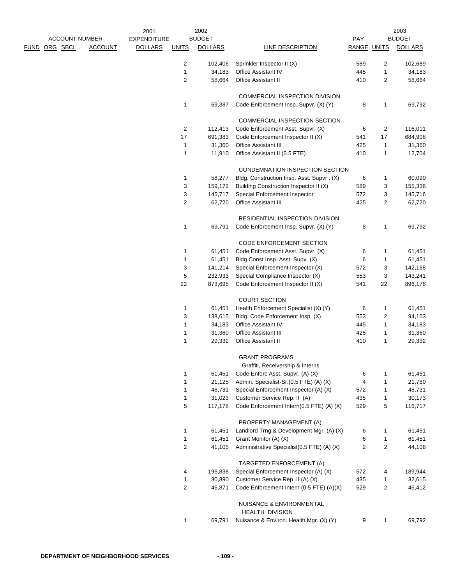|  |                       |                | 2001               |                  | 2002              |                                                                       |                    |        | 2003              |
|--|-----------------------|----------------|--------------------|------------------|-------------------|-----------------------------------------------------------------------|--------------------|--------|-------------------|
|  | <b>ACCOUNT NUMBER</b> |                | <b>EXPENDITURE</b> |                  | <b>BUDGET</b>     |                                                                       | <b>PAY</b>         |        | <b>BUDGET</b>     |
|  | FUND ORG SBCL         | <b>ACCOUNT</b> | <b>DOLLARS</b>     | <b>UNITS</b>     | <b>DOLLARS</b>    | LINE DESCRIPTION                                                      | <b>RANGE UNITS</b> |        | <b>DOLLARS</b>    |
|  |                       |                |                    | 2                | 102,406           | Sprinkler Inspector II (X)                                            | 589                | 2      | 102,689           |
|  |                       |                |                    | 1                | 34,183            | Office Assistant IV                                                   | 445                | 1      | 34,183            |
|  |                       |                |                    | $\overline{2}$   | 58,664            | <b>Office Assistant II</b>                                            | 410                | 2      | 58,664            |
|  |                       |                |                    |                  |                   | COMMERCIAL INSPECTION DIVISION                                        |                    |        |                   |
|  |                       |                |                    | 1                | 69,387            | Code Enforcement Insp. Supvr. (X) (Y)                                 | 8                  | 1      | 69,792            |
|  |                       |                |                    |                  |                   | COMMERCIAL INSPECTION SECTION                                         |                    |        |                   |
|  |                       |                |                    | 2                | 112,413           | Code Enforcement Asst. Supvr. (X)                                     | 6                  | 2      | 116,011           |
|  |                       |                |                    | 17               | 691,383           | Code Enforcement Inspector II (X)                                     | 541                | 17     | 684,908           |
|  |                       |                |                    | 1                | 31,360            | Office Assistant III                                                  | 425                | 1      | 31,360            |
|  |                       |                |                    | 1                | 11,910            | Office Assistant II (0.5 FTE)                                         | 410                | 1      | 12,704            |
|  |                       |                |                    |                  |                   | CONDEMNATION INSPECTION SECTION                                       |                    |        |                   |
|  |                       |                |                    | 1                | 58,277            | Bldg. Construction Insp. Asst. Supvr. (X)                             | 6                  | 1      | 60,090            |
|  |                       |                |                    | 3                | 159,173           | Building Construction Inspector II (X)                                | 589                | 3      | 155,336           |
|  |                       |                |                    | 3<br>2           | 145,717<br>62,720 | Special Enforcement Inspector<br><b>Office Assistant III</b>          | 572<br>425         | 3<br>2 | 145,716<br>62,720 |
|  |                       |                |                    |                  |                   |                                                                       |                    |        |                   |
|  |                       |                |                    |                  |                   | <b>RESIDENTIAL INSPECTION DIVISION</b>                                |                    |        |                   |
|  |                       |                |                    | 1                | 69,791            | Code Enforcement Insp. Supvr. (X) (Y)                                 | 8                  | 1      | 69,792            |
|  |                       |                |                    |                  |                   | CODE ENFORCEMENT SECTION                                              |                    |        |                   |
|  |                       |                |                    | 1                | 61,451            | Code Enforcement Asst. Supvr. (X)                                     | 6                  | 1      | 61,451            |
|  |                       |                |                    | $\mathbf 1$      | 61,451            | Bldg Const Insp. Asst. Supv. (X)                                      | 6                  | 1      | 61,451            |
|  |                       |                |                    | 3                | 141,214           | Special Enforcement Inspector (X)                                     | 572                | 3      | 142,168           |
|  |                       |                |                    | 5                | 232,933           | Special Compliance Inspector (X)                                      | 553                | 3      | 143,241           |
|  |                       |                |                    | 22               | 873,695           | Code Enforcement Inspector II (X)                                     | 541                | 22     | 896,176           |
|  |                       |                |                    |                  |                   | <b>COURT SECTION</b>                                                  |                    |        |                   |
|  |                       |                |                    | 1                | 61,451            | Health Enforcement Specialist (X) (Y)                                 | 6                  | 1      | 61,451            |
|  |                       |                |                    | 3                | 138,615           | Bldg. Code Enforcement Insp. (X)                                      | 553                | 2      | 94,103            |
|  |                       |                |                    | 1                | 34,183            | Office Assistant IV                                                   | 445                | 1      | 34,183            |
|  |                       |                |                    | 1                | 31,360            | <b>Office Assistant III</b>                                           | 425                | 1      | 31,360            |
|  |                       |                |                    | 1                | 29,332            | <b>Office Assistant II</b>                                            | 410                | 1      | 29,332            |
|  |                       |                |                    |                  |                   | <b>GRANT PROGRAMS</b>                                                 |                    |        |                   |
|  |                       |                |                    |                  |                   | Graffiti, Receivership & Interns                                      |                    |        |                   |
|  |                       |                |                    | 1                | 61,451            | Code Enforc Asst. Supvr. (A) (X)                                      | 6                  | 1      | 61,451            |
|  |                       |                |                    | $\mathbf 1$<br>1 | 21,125<br>48,731  | Admin. Specialist-Sr.(0.5 FTE) (A) (X)                                | 4                  | 1      | 21,780            |
|  |                       |                |                    | 1                | 31,023            | Special Enforcement Inspector (A) (X)<br>Customer Service Rep. II (A) | 572<br>435         | 1<br>1 | 48,731<br>30,173  |
|  |                       |                |                    | 5                | 117,178           | Code Enforcement Intern(0.5 FTE) (A) (X)                              | 529                | 5      | 116,717           |
|  |                       |                |                    |                  |                   | PROPERTY MANAGEMENT (A)                                               |                    |        |                   |
|  |                       |                |                    | 1                | 61,451            | Landlord Trng & Development Mgr. (A) (X)                              | 6                  | 1      | 61,451            |
|  |                       |                |                    | $\mathbf 1$      | 61,451            | Grant Monitor (A) (X)                                                 | 6                  | 1      | 61,451            |
|  |                       |                |                    | 2                | 41,105            | Administrative Specialist(0.5 FTE) (A) (X)                            | 2                  | 2      | 44,108            |
|  |                       |                |                    |                  |                   |                                                                       |                    |        |                   |
|  |                       |                |                    | 4                | 196,838           | TARGETED ENFORCEMENT (A)<br>Special Enforcement Inspector (A) (X)     | 572                | 4      | 189,944           |
|  |                       |                |                    | 1                | 30,890            | Customer Service Rep. II (A) (X)                                      | 435                | 1      | 32,615            |
|  |                       |                |                    | $\overline{c}$   | 46,871            | Code Enforcement Intern (0.5 FTE) (A)(X)                              | 529                | 2      | 46,412            |
|  |                       |                |                    |                  |                   |                                                                       |                    |        |                   |
|  |                       |                |                    |                  |                   | NUISANCE & ENVIRONMENTAL<br><b>HEALTH DIVISION</b>                    |                    |        |                   |
|  |                       |                |                    | 1                | 69,791            | Nuisance & Environ. Health Mgr. (X) (Y)                               | 9                  | 1      | 69,792            |
|  |                       |                |                    |                  |                   |                                                                       |                    |        |                   |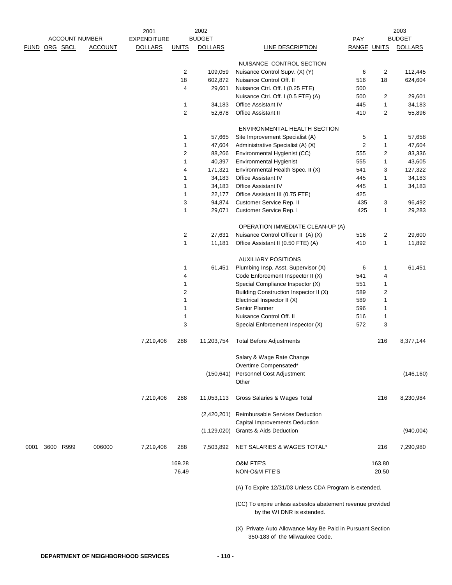|               |           |                       |                | 2001               |                     | 2002           |                                                                                              |                    |                | 2003           |
|---------------|-----------|-----------------------|----------------|--------------------|---------------------|----------------|----------------------------------------------------------------------------------------------|--------------------|----------------|----------------|
|               |           | <b>ACCOUNT NUMBER</b> |                | <b>EXPENDITURE</b> |                     | <b>BUDGET</b>  |                                                                                              | PAY                |                | <b>BUDGET</b>  |
| FUND ORG SBCL |           |                       | <b>ACCOUNT</b> | <b>DOLLARS</b>     | <b>UNITS</b>        | <b>DOLLARS</b> | LINE DESCRIPTION                                                                             | <b>RANGE UNITS</b> |                | <b>DOLLARS</b> |
|               |           |                       |                |                    |                     |                | NUISANCE CONTROL SECTION                                                                     |                    |                |                |
|               |           |                       |                |                    | 2                   | 109,059        | Nuisance Control Supv. (X) (Y)                                                               | 6                  | 2              | 112,445        |
|               |           |                       |                |                    | 18                  | 602,872        | Nuisance Control Off. II                                                                     | 516                | 18             | 624,604        |
|               |           |                       |                |                    | 4                   | 29,601         | Nuisance Ctrl. Off. I (0.25 FTE)                                                             | 500                |                |                |
|               |           |                       |                |                    |                     |                | Nuisance Ctrl. Off. I (0.5 FTE) (A)                                                          | 500                | 2              | 29,601         |
|               |           |                       |                |                    |                     | 34,183         | Office Assistant IV                                                                          | 445                | $\mathbf{1}$   |                |
|               |           |                       |                |                    | 1<br>$\overline{c}$ | 52,678         | Office Assistant II                                                                          | 410                |                | 34,183         |
|               |           |                       |                |                    |                     |                |                                                                                              |                    | 2              | 55,896         |
|               |           |                       |                |                    |                     |                | ENVIRONMENTAL HEALTH SECTION                                                                 |                    |                |                |
|               |           |                       |                |                    | 1                   | 57,665         | Site Improvement Specialist (A)                                                              | 5                  | 1              | 57,658         |
|               |           |                       |                |                    | 1                   | 47,604         | Administrative Specialist (A) (X)                                                            | 2                  | 1              | 47,604         |
|               |           |                       |                |                    | 2                   | 88,266         | Environmental Hygienist (CC)                                                                 | 555                | 2              | 83,336         |
|               |           |                       |                |                    | 1                   | 40,397         | Environmental Hygienist                                                                      | 555                | 1              | 43,605         |
|               |           |                       |                |                    | 4                   | 171,321        | Environmental Health Spec. II (X)                                                            | 541                | 3              | 127,322        |
|               |           |                       |                |                    | 1                   | 34,183         | Office Assistant IV                                                                          | 445                | $\mathbf{1}$   | 34,183         |
|               |           |                       |                |                    | 1                   | 34,183         | Office Assistant IV                                                                          | 445                | 1              | 34,183         |
|               |           |                       |                |                    | 1                   | 22,177         | Office Assistant III (0.75 FTE)                                                              | 425                |                |                |
|               |           |                       |                |                    | 3                   | 94,874         | Customer Service Rep. II                                                                     | 435                | 3              | 96,492         |
|               |           |                       |                |                    | 1                   | 29,071         | Customer Service Rep. I                                                                      | 425                | 1              | 29,283         |
|               |           |                       |                |                    |                     |                |                                                                                              |                    |                |                |
|               |           |                       |                |                    |                     |                | OPERATION IMMEDIATE CLEAN-UP (A)                                                             |                    |                |                |
|               |           |                       |                |                    | $\overline{c}$      | 27,631         | Nuisance Control Officer II (A) (X)                                                          | 516                | 2              | 29,600         |
|               |           |                       |                |                    | 1                   | 11,181         | Office Assistant II (0.50 FTE) (A)                                                           | 410                | $\mathbf{1}$   | 11,892         |
|               |           |                       |                |                    |                     |                | <b>AUXILIARY POSITIONS</b>                                                                   |                    |                |                |
|               |           |                       |                |                    | 1                   | 61,451         | Plumbing Insp. Asst. Supervisor (X)                                                          | 6                  | 1              | 61,451         |
|               |           |                       |                |                    | 4                   |                | Code Enforcement Inspector II (X)                                                            | 541                | 4              |                |
|               |           |                       |                |                    | 1                   |                | Special Compliance Inspector (X)                                                             | 551                | 1              |                |
|               |           |                       |                |                    | 2                   |                | Building Construction Inspector II (X)                                                       | 589                | $\overline{c}$ |                |
|               |           |                       |                |                    | 1                   |                | Electrical Inspector II (X)                                                                  | 589                | 1              |                |
|               |           |                       |                |                    | 1                   |                | Senior Planner                                                                               | 596                | 1              |                |
|               |           |                       |                |                    | 1                   |                | Nuisance Control Off. II                                                                     | 516                | 1              |                |
|               |           |                       |                |                    | 3                   |                | Special Enforcement Inspector (X)                                                            | 572                | 3              |                |
|               |           |                       |                |                    |                     |                |                                                                                              |                    |                |                |
|               |           |                       |                | 7,219,406          | 288                 | 11,203,754     | <b>Total Before Adjustments</b>                                                              |                    | 216            | 8,377,144      |
|               |           |                       |                |                    |                     |                | Salary & Wage Rate Change                                                                    |                    |                |                |
|               |           |                       |                |                    |                     |                | Overtime Compensated*                                                                        |                    |                |                |
|               |           |                       |                |                    |                     | (150, 641)     | Personnel Cost Adjustment                                                                    |                    |                | (146, 160)     |
|               |           |                       |                |                    |                     |                | Other                                                                                        |                    |                |                |
|               |           |                       |                | 7,219,406          | 288                 | 11,053,113     | Gross Salaries & Wages Total                                                                 |                    | 216            | 8,230,984      |
|               |           |                       |                |                    |                     |                | (2,420,201) Reimbursable Services Deduction                                                  |                    |                |                |
|               |           |                       |                |                    |                     |                | Capital Improvements Deduction                                                               |                    |                |                |
|               |           |                       |                |                    |                     |                | (1,129,020) Grants & Aids Deduction                                                          |                    |                | (940,004)      |
| 0001          | 3600 R999 |                       | 006000         | 7,219,406          | 288                 | 7,503,892      | NET SALARIES & WAGES TOTAL*                                                                  |                    | 216            | 7,290,980      |
|               |           |                       |                |                    | 169.28              |                | O&M FTE'S                                                                                    |                    | 163.80         |                |
|               |           |                       |                |                    | 76.49               |                | NON-O&M FTE'S                                                                                |                    | 20.50          |                |
|               |           |                       |                |                    |                     |                | (A) To Expire 12/31/03 Unless CDA Program is extended.                                       |                    |                |                |
|               |           |                       |                |                    |                     |                | (CC) To expire unless asbestos abatement revenue provided<br>by the WI DNR is extended.      |                    |                |                |
|               |           |                       |                |                    |                     |                | (X) Private Auto Allowance May Be Paid in Pursuant Section<br>350-183 of the Milwaukee Code. |                    |                |                |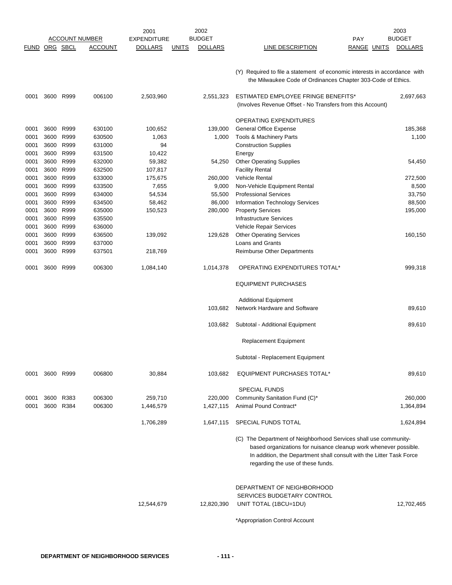|               |      |           |                       | 2001               |              | 2002           |                                                                                                                                                                                                                                                   |             | 2003           |
|---------------|------|-----------|-----------------------|--------------------|--------------|----------------|---------------------------------------------------------------------------------------------------------------------------------------------------------------------------------------------------------------------------------------------------|-------------|----------------|
|               |      |           | <b>ACCOUNT NUMBER</b> | <b>EXPENDITURE</b> |              | <b>BUDGET</b>  |                                                                                                                                                                                                                                                   | <b>PAY</b>  | <b>BUDGET</b>  |
| FUND ORG SBCL |      |           | <b>ACCOUNT</b>        | <b>DOLLARS</b>     | <b>UNITS</b> | <b>DOLLARS</b> | LINE DESCRIPTION                                                                                                                                                                                                                                  | RANGE UNITS | <b>DOLLARS</b> |
|               |      |           |                       |                    |              |                | (Y) Required to file a statement of economic interests in accordance with<br>the Milwaukee Code of Ordinances Chapter 303-Code of Ethics.                                                                                                         |             |                |
| 0001          |      | 3600 R999 | 006100                | 2,503,960          |              | 2,551,323      | ESTIMATED EMPLOYEE FRINGE BENEFITS*<br>(Involves Revenue Offset - No Transfers from this Account)                                                                                                                                                 |             | 2,697,663      |
|               |      |           |                       |                    |              |                | <b>OPERATING EXPENDITURES</b>                                                                                                                                                                                                                     |             |                |
| 0001          |      | 3600 R999 | 630100                | 100,652            |              | 139,000        | <b>General Office Expense</b>                                                                                                                                                                                                                     |             | 185,368        |
| 0001          |      | 3600 R999 | 630500                | 1,063              |              | 1,000          | Tools & Machinery Parts                                                                                                                                                                                                                           |             | 1,100          |
| 0001          |      | 3600 R999 | 631000                | 94                 |              |                | <b>Construction Supplies</b>                                                                                                                                                                                                                      |             |                |
| 0001          |      | 3600 R999 | 631500                | 10,422             |              |                | Energy                                                                                                                                                                                                                                            |             |                |
| 0001          | 3600 | R999      | 632000                | 59,382             |              | 54,250         | <b>Other Operating Supplies</b>                                                                                                                                                                                                                   |             | 54,450         |
| 0001          |      | 3600 R999 | 632500                | 107,817            |              |                | <b>Facility Rental</b>                                                                                                                                                                                                                            |             |                |
| 0001          |      | 3600 R999 | 633000                | 175,675            |              | 260,000        | <b>Vehicle Rental</b>                                                                                                                                                                                                                             |             | 272,500        |
| 0001          | 3600 | R999      | 633500                | 7,655              |              | 9,000          | Non-Vehicle Equipment Rental                                                                                                                                                                                                                      |             | 8,500          |
| 0001          | 3600 | R999      | 634000                | 54,534             |              | 55,500         | <b>Professional Services</b>                                                                                                                                                                                                                      |             | 33,750         |
| 0001          | 3600 | R999      | 634500                | 58,462             |              | 86,000         | <b>Information Technology Services</b>                                                                                                                                                                                                            |             | 88,500         |
| 0001          | 3600 | R999      | 635000                | 150,523            |              | 280,000        | <b>Property Services</b>                                                                                                                                                                                                                          |             | 195,000        |
| 0001          | 3600 | R999      | 635500                |                    |              |                | <b>Infrastructure Services</b>                                                                                                                                                                                                                    |             |                |
| 0001          |      | 3600 R999 | 636000                |                    |              |                | Vehicle Repair Services                                                                                                                                                                                                                           |             |                |
| 0001          | 3600 | R999      | 636500                | 139,092            |              | 129,628        | <b>Other Operating Services</b>                                                                                                                                                                                                                   |             | 160,150        |
| 0001          | 3600 | R999      | 637000                |                    |              |                | Loans and Grants                                                                                                                                                                                                                                  |             |                |
| 0001          |      | 3600 R999 | 637501                | 218,769            |              |                | Reimburse Other Departments                                                                                                                                                                                                                       |             |                |
| 0001          | 3600 | R999      | 006300                | 1,084,140          |              | 1,014,378      | OPERATING EXPENDITURES TOTAL*                                                                                                                                                                                                                     |             | 999,318        |
|               |      |           |                       |                    |              |                | <b>EQUIPMENT PURCHASES</b>                                                                                                                                                                                                                        |             |                |
|               |      |           |                       |                    |              |                | <b>Additional Equipment</b>                                                                                                                                                                                                                       |             |                |
|               |      |           |                       |                    |              | 103,682        | Network Hardware and Software                                                                                                                                                                                                                     |             | 89,610         |
|               |      |           |                       |                    |              | 103,682        | Subtotal - Additional Equipment                                                                                                                                                                                                                   |             | 89,610         |
|               |      |           |                       |                    |              |                | <b>Replacement Equipment</b>                                                                                                                                                                                                                      |             |                |
|               |      |           |                       |                    |              |                | Subtotal - Replacement Equipment                                                                                                                                                                                                                  |             |                |
| 0001          |      | 3600 R999 | 006800                | 30,884             |              | 103,682        | <b>EQUIPMENT PURCHASES TOTAL*</b>                                                                                                                                                                                                                 |             | 89,610         |
|               |      |           |                       |                    |              |                | <b>SPECIAL FUNDS</b>                                                                                                                                                                                                                              |             |                |
| 0001          |      | 3600 R383 | 006300                | 259,710            |              | 220,000        | Community Sanitation Fund (C)*                                                                                                                                                                                                                    |             | 260,000        |
| 0001          | 3600 | R384      | 006300                | 1,446,579          |              | 1,427,115      | Animal Pound Contract*                                                                                                                                                                                                                            |             | 1,364,894      |
|               |      |           |                       | 1,706,289          |              | 1,647,115      | SPECIAL FUNDS TOTAL                                                                                                                                                                                                                               |             | 1,624,894      |
|               |      |           |                       |                    |              |                | (C) The Department of Neighborhood Services shall use community-<br>based organizations for nuisance cleanup work whenever possible.<br>In addition, the Department shall consult with the Litter Task Force<br>regarding the use of these funds. |             |                |
|               |      |           |                       | 12,544,679         |              | 12,820,390     | DEPARTMENT OF NEIGHBORHOOD<br>SERVICES BUDGETARY CONTROL<br>UNIT TOTAL (1BCU=1DU)                                                                                                                                                                 |             | 12,702,465     |
|               |      |           |                       |                    |              |                | *Appropriation Control Account                                                                                                                                                                                                                    |             |                |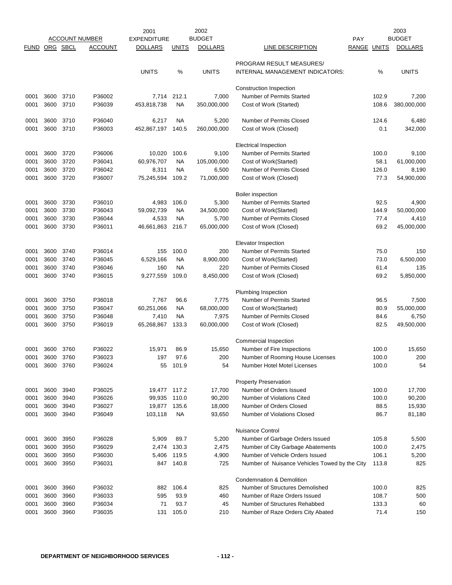|             |          |           |                       | 2001               |              | 2002           |                                               |             | 2003           |
|-------------|----------|-----------|-----------------------|--------------------|--------------|----------------|-----------------------------------------------|-------------|----------------|
|             |          |           | <b>ACCOUNT NUMBER</b> | <b>EXPENDITURE</b> |              | <b>BUDGET</b>  |                                               | <b>PAY</b>  | <b>BUDGET</b>  |
| <b>FUND</b> | ORG SBCL |           | ACCOUNT               | <b>DOLLARS</b>     | <b>UNITS</b> | <b>DOLLARS</b> | LINE DESCRIPTION                              | RANGE UNITS | <b>DOLLARS</b> |
|             |          |           |                       |                    |              |                |                                               |             |                |
|             |          |           |                       |                    |              |                | PROGRAM RESULT MEASURES/                      |             |                |
|             |          |           |                       | <b>UNITS</b>       | %            | <b>UNITS</b>   | INTERNAL MANAGEMENT INDICATORS:               | %           | <b>UNITS</b>   |
|             |          |           |                       |                    |              |                | Construction Inspection                       |             |                |
| 0001        | 3600     | 3710      | P36002                | 7,714              | 212.1        | 7,000          | <b>Number of Permits Started</b>              | 102.9       | 7,200          |
| 0001        | 3600     | 3710      | P36039                | 453,818,738        | <b>NA</b>    | 350,000,000    | Cost of Work (Started)                        | 108.6       | 380,000,000    |
|             |          |           |                       |                    |              |                |                                               |             |                |
| 0001        |          | 3600 3710 | P36040                | 6,217              | NA.          | 5,200          | <b>Number of Permits Closed</b>               | 124.6       | 6,480          |
| 0001        |          | 3600 3710 | P36003                | 452,867,197        | 140.5        | 260,000,000    | Cost of Work (Closed)                         | 0.1         | 342,000        |
|             |          |           |                       |                    |              |                |                                               |             |                |
|             |          |           |                       |                    |              |                | <b>Electrical Inspection</b>                  |             |                |
| 0001        | 3600     | 3720      | P36006                | 10,020             | 100.6        | 9,100          | <b>Number of Permits Started</b>              | 100.0       | 9,100          |
| 0001        | 3600     | 3720      | P36041                | 60,976,707         | <b>NA</b>    | 105,000,000    | Cost of Work(Started)                         | 58.1        | 61,000,000     |
| 0001        | 3600     | 3720      | P36042                | 8,311              | NA           | 6,500          | Number of Permits Closed                      | 126.0       | 8,190          |
| 0001        | 3600     | 3720      | P36007                | 75,245,594         | 109.2        | 71,000,000     | Cost of Work (Closed)                         | 77.3        | 54,900,000     |
|             |          |           |                       |                    |              |                |                                               |             |                |
|             |          |           |                       |                    |              |                | Boiler inspection                             |             |                |
| 0001        | 3600     | 3730      | P36010                | 4,983              | 106.0        | 5,300          | Number of Permits Started                     | 92.5        | 4,900          |
| 0001        | 3600     | 3730      | P36043                | 59,092,739         | <b>NA</b>    | 34,500,000     | Cost of Work(Started)                         | 144.9       | 50,000,000     |
| 0001        | 3600     | 3730      | P36044                | 4,533              | NA.          | 5,700          | Number of Permits Closed                      | 77.4        | 4,410          |
| 0001        | 3600     | 3730      | P36011                | 46,661,863         | 216.7        | 65,000,000     | Cost of Work (Closed)                         | 69.2        | 45,000,000     |
|             |          |           |                       |                    |              |                |                                               |             |                |
|             |          |           |                       |                    |              |                | Elevator Inspection                           |             |                |
| 0001        | 3600     | 3740      | P36014                | 155                | 100.0        | 200            | Number of Permits Started                     | 75.0        | 150            |
| 0001        | 3600     | 3740      | P36045                | 6,529,166          | <b>NA</b>    | 8,900,000      | Cost of Work(Started)                         | 73.0        | 6,500,000      |
| 0001        | 3600     | 3740      | P36046                | 160                | NA.          | 220            | Number of Permits Closed                      | 61.4        | 135            |
| 0001        | 3600     | 3740      | P36015                | 9,277,559          | 109.0        | 8,450,000      | Cost of Work (Closed)                         | 69.2        | 5,850,000      |
|             |          |           |                       |                    |              |                |                                               |             |                |
|             |          |           |                       |                    |              |                | Plumbing Inspection                           |             |                |
| 0001        | 3600     | 3750      | P36018                | 7,767              | 96.6         | 7,775          | Number of Permits Started                     | 96.5        | 7,500          |
| 0001        | 3600     | 3750      | P36047                | 60,251,066         | NA.          | 68,000,000     | Cost of Work(Started)                         | 80.9        | 55,000,000     |
| 0001        | 3600     | 3750      | P36048                | 7,410              | NA.          | 7,975          | Number of Permits Closed                      | 84.6        | 6,750          |
| 0001        | 3600     | 3750      | P36019                | 65,268,867         | 133.3        | 60,000,000     | Cost of Work (Closed)                         | 82.5        | 49,500,000     |
|             |          |           |                       |                    |              |                |                                               |             |                |
|             |          |           |                       |                    |              |                | Commercial Inspection                         |             |                |
| 0001        | 3600     | 3760      | P36022                | 15,971             | 86.9         | 15,650         | Number of Fire Inspections                    | 100.0       | 15,650         |
| 0001        |          | 3600 3760 | P36023                | 197                | 97.6         | 200            | Number of Rooming House Licenses              | 100.0       | 200            |
| 0001        |          | 3600 3760 | P36024                | 55                 | 101.9        | 54             | Number Hotel Motel Licenses                   | 100.0       | 54             |
|             |          |           |                       |                    |              |                |                                               |             |                |
|             |          |           |                       |                    |              |                | <b>Property Preservation</b>                  |             |                |
| 0001        | 3600     | 3940      | P36025                | 19,477             | 117.2        | 17,700         | Number of Orders Issued                       | 100.0       | 17,700         |
| 0001        | 3600     | 3940      | P36026                | 99,935             | 110.0        | 90,200         | Number of Violations Cited                    | 100.0       | 90,200         |
| 0001        | 3600     | 3940      | P36027                | 19,877             | 135.6        | 18,000         | Number of Orders Closed                       | 88.5        | 15,930         |
| 0001        | 3600     | 3940      | P36049                | 103,118            | <b>NA</b>    | 93,650         | Number of Violations Closed                   | 86.7        | 81,180         |
|             |          |           |                       |                    |              |                |                                               |             |                |
|             |          |           |                       |                    |              |                | <b>Nuisance Control</b>                       |             |                |
| 0001        | 3600     | 3950      | P36028                | 5,909              | 89.7         | 5,200          | Number of Garbage Orders Issued               | 105.8       | 5,500          |
| 0001        | 3600     | 3950      | P36029                | 2,474              | 130.3        | 2,475          | Number of City Garbage Abatements             | 100.0       | 2,475          |
| 0001        | 3600     | 3950      | P36030                | 5,406              | 119.5        | 4,900          | Number of Vehicle Orders Issued               | 106.1       | 5,200          |
| 0001        | 3600     | 3950      | P36031                | 847                | 140.8        | 725            | Number of Nuisance Vehicles Towed by the City | 113.8       | 825            |
|             |          |           |                       |                    |              |                |                                               |             |                |
|             |          |           |                       |                    |              |                | Condemnation & Demolition                     |             |                |
| 0001        | 3600     | 3960      | P36032                | 882                | 106.4        | 825            | Number of Structures Demolished               | 100.0       | 825            |
| 0001        | 3600     | 3960      | P36033                | 595                | 93.9         | 460            | Number of Raze Orders Issued                  | 108.7       | 500            |
| 0001        | 3600     | 3960      | P36034                | 71                 | 93.7         | 45             | Number of Structures Rehabbed                 | 133.3       | 60             |
| 0001        | 3600     | 3960      | P36035                | 131                | 105.0        | 210            | Number of Raze Orders City Abated             | 71.4        | 150            |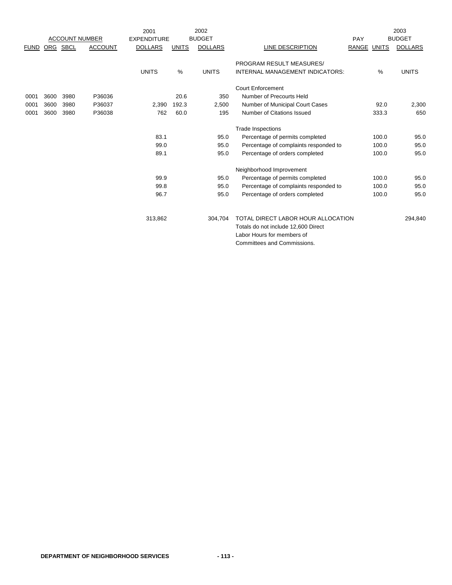|             |      |      |                       | 2001               |              | 2002           |                                       |             |       | 2003           |
|-------------|------|------|-----------------------|--------------------|--------------|----------------|---------------------------------------|-------------|-------|----------------|
|             |      |      | <b>ACCOUNT NUMBER</b> | <b>EXPENDITURE</b> |              | <b>BUDGET</b>  |                                       | PAY         |       | <b>BUDGET</b>  |
| <b>FUND</b> | ORG  | SBCL | <b>ACCOUNT</b>        | <b>DOLLARS</b>     | <b>UNITS</b> | <b>DOLLARS</b> | LINE DESCRIPTION                      | RANGE UNITS |       | <b>DOLLARS</b> |
|             |      |      |                       |                    |              |                | <b>PROGRAM RESULT MEASURES/</b>       |             |       |                |
|             |      |      |                       | <b>UNITS</b>       | $\%$         | <b>UNITS</b>   | INTERNAL MANAGEMENT INDICATORS:       |             | $\%$  | <b>UNITS</b>   |
|             |      |      |                       |                    |              |                | Court Enforcement                     |             |       |                |
| 0001        | 3600 | 3980 | P36036                |                    | 20.6         | 350            | Number of Precourts Held              |             |       |                |
| 0001        | 3600 | 3980 | P36037                | 2,390              | 192.3        | 2,500          | Number of Municipal Court Cases       |             | 92.0  | 2,300          |
| 0001        | 3600 | 3980 | P36038                | 762                | 60.0         | 195            | Number of Citations Issued            |             | 333.3 | 650            |
|             |      |      |                       |                    |              |                | <b>Trade Inspections</b>              |             |       |                |
|             |      |      |                       | 83.1               |              | 95.0           | Percentage of permits completed       |             | 100.0 | 95.0           |
|             |      |      |                       | 99.0               |              | 95.0           | Percentage of complaints responded to |             | 100.0 | 95.0           |
|             |      |      |                       | 89.1               |              | 95.0           | Percentage of orders completed        |             | 100.0 | 95.0           |
|             |      |      |                       |                    |              |                | Neighborhood Improvement              |             |       |                |
|             |      |      |                       | 99.9               |              | 95.0           | Percentage of permits completed       |             | 100.0 | 95.0           |
|             |      |      |                       | 99.8               |              | 95.0           | Percentage of complaints responded to |             | 100.0 | 95.0           |
|             |      |      |                       | 96.7               |              | 95.0           | Percentage of orders completed        |             | 100.0 | 95.0           |
|             |      |      |                       | 313,862            |              | 304,704        | TOTAL DIRECT LABOR HOUR ALLOCATION    |             |       | 294,840        |
|             |      |      |                       |                    |              |                | Totals do not include 12,600 Direct   |             |       |                |
|             |      |      |                       |                    |              |                | Labor Hours for members of            |             |       |                |
|             |      |      |                       |                    |              |                | Committees and Commissions.           |             |       |                |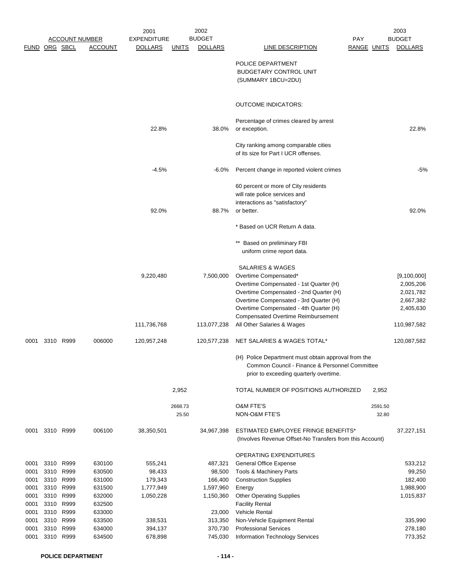|                      |           |                       |                  | 2001                     |                  | 2002                     |                                                                                                                                                                                                                                                                                              |             |                  | 2003                                                                           |
|----------------------|-----------|-----------------------|------------------|--------------------------|------------------|--------------------------|----------------------------------------------------------------------------------------------------------------------------------------------------------------------------------------------------------------------------------------------------------------------------------------------|-------------|------------------|--------------------------------------------------------------------------------|
|                      |           | <b>ACCOUNT NUMBER</b> |                  | EXPENDITURE              |                  | <b>BUDGET</b>            |                                                                                                                                                                                                                                                                                              | <b>PAY</b>  |                  | <b>BUDGET</b>                                                                  |
| <b>FUND ORG SBCL</b> |           |                       | <b>ACCOUNT</b>   | <b>DOLLARS</b>           | <b>UNITS</b>     | <b>DOLLARS</b>           | <b>LINE DESCRIPTION</b>                                                                                                                                                                                                                                                                      | RANGE UNITS |                  | <b>DOLLARS</b>                                                                 |
|                      |           |                       |                  |                          |                  |                          | POLICE DEPARTMENT<br><b>BUDGETARY CONTROL UNIT</b><br>(SUMMARY 1BCU=2DU)                                                                                                                                                                                                                     |             |                  |                                                                                |
|                      |           |                       |                  |                          |                  |                          | <b>OUTCOME INDICATORS:</b>                                                                                                                                                                                                                                                                   |             |                  |                                                                                |
|                      |           |                       |                  | 22.8%                    |                  | 38.0%                    | Percentage of crimes cleared by arrest<br>or exception.                                                                                                                                                                                                                                      |             |                  | 22.8%                                                                          |
|                      |           |                       |                  |                          |                  |                          | City ranking among comparable cities<br>of its size for Part I UCR offenses.                                                                                                                                                                                                                 |             |                  |                                                                                |
|                      |           |                       |                  | $-4.5%$                  |                  | $-6.0%$                  | Percent change in reported violent crimes                                                                                                                                                                                                                                                    |             |                  | -5%                                                                            |
|                      |           |                       |                  |                          |                  |                          | 60 percent or more of City residents<br>will rate police services and<br>interactions as "satisfactory"                                                                                                                                                                                      |             |                  |                                                                                |
|                      |           |                       |                  | 92.0%                    |                  | 88.7%                    | or better.                                                                                                                                                                                                                                                                                   |             |                  | 92.0%                                                                          |
|                      |           |                       |                  |                          |                  |                          | * Based on UCR Return A data.                                                                                                                                                                                                                                                                |             |                  |                                                                                |
|                      |           |                       |                  |                          |                  |                          | Based on preliminary FBI<br>$***$<br>uniform crime report data.                                                                                                                                                                                                                              |             |                  |                                                                                |
|                      |           |                       |                  | 9,220,480<br>111,736,768 |                  | 7,500,000<br>113,077,238 | SALARIES & WAGES<br>Overtime Compensated*<br>Overtime Compensated - 1st Quarter (H)<br>Overtime Compensated - 2nd Quarter (H)<br>Overtime Compensated - 3rd Quarter (H)<br>Overtime Compensated - 4th Quarter (H)<br><b>Compensated Overtime Reimbursement</b><br>All Other Salaries & Wages |             |                  | [9,100,000]<br>2,005,206<br>2,021,782<br>2,667,382<br>2,405,630<br>110,987,582 |
| 0001                 |           | 3310 R999             | 006000           | 120,957,248              |                  | 120,577,238              | NET SALARIES & WAGES TOTAL*                                                                                                                                                                                                                                                                  |             |                  | 120,087,582                                                                    |
|                      |           |                       |                  |                          |                  |                          | (H) Police Department must obtain approval from the<br>Common Council - Finance & Personnel Committee<br>prior to exceeding quarterly overtime.                                                                                                                                              |             |                  |                                                                                |
|                      |           |                       |                  |                          | 2,952            |                          | TOTAL NUMBER OF POSITIONS AUTHORIZED                                                                                                                                                                                                                                                         |             | 2,952            |                                                                                |
|                      |           |                       |                  |                          | 2668.73<br>25.50 |                          | <b>O&amp;M FTE'S</b><br>NON-O&M FTE'S                                                                                                                                                                                                                                                        |             | 2591.50<br>32.80 |                                                                                |
| 0001                 | 3310 R999 |                       | 006100           | 38,350,501               |                  | 34,967,398               | ESTIMATED EMPLOYEE FRINGE BENEFITS*<br>(Involves Revenue Offset-No Transfers from this Account)                                                                                                                                                                                              |             |                  | 37,227,151                                                                     |
| 0001                 | 3310 R999 |                       | 630100           | 555,241                  |                  | 487,321                  | OPERATING EXPENDITURES<br><b>General Office Expense</b>                                                                                                                                                                                                                                      |             |                  | 533,212                                                                        |
| 0001                 |           | 3310 R999             | 630500           | 98,433                   |                  | 98,500                   | Tools & Machinery Parts                                                                                                                                                                                                                                                                      |             |                  | 99,250                                                                         |
| 0001                 |           | 3310 R999             | 631000           | 179,343                  |                  | 166,400                  | <b>Construction Supplies</b>                                                                                                                                                                                                                                                                 |             |                  | 182,400                                                                        |
| 0001                 | 3310      | R999                  | 631500           | 1,777,949                |                  | 1,597,960                | Energy                                                                                                                                                                                                                                                                                       |             |                  | 1,988,900                                                                      |
| 0001                 |           | 3310 R999             | 632000           | 1,050,228                |                  | 1,150,360                | <b>Other Operating Supplies</b>                                                                                                                                                                                                                                                              |             |                  | 1,015,837                                                                      |
| 0001                 | 3310      | R999                  | 632500           |                          |                  |                          | <b>Facility Rental</b>                                                                                                                                                                                                                                                                       |             |                  |                                                                                |
| 0001                 | 3310      | R999                  | 633000           |                          |                  | 23,000                   | Vehicle Rental                                                                                                                                                                                                                                                                               |             |                  |                                                                                |
| 0001                 |           | 3310 R999<br>R999     | 633500<br>634000 | 338,531                  |                  | 313,350<br>370,730       | Non-Vehicle Equipment Rental<br><b>Professional Services</b>                                                                                                                                                                                                                                 |             |                  | 335,990<br>278,180                                                             |
| 0001<br>0001         | 3310      | 3310 R999             | 634500           | 394,137<br>678,898       |                  | 745,030                  | Information Technology Services                                                                                                                                                                                                                                                              |             |                  | 773,352                                                                        |
|                      |           |                       |                  |                          |                  |                          |                                                                                                                                                                                                                                                                                              |             |                  |                                                                                |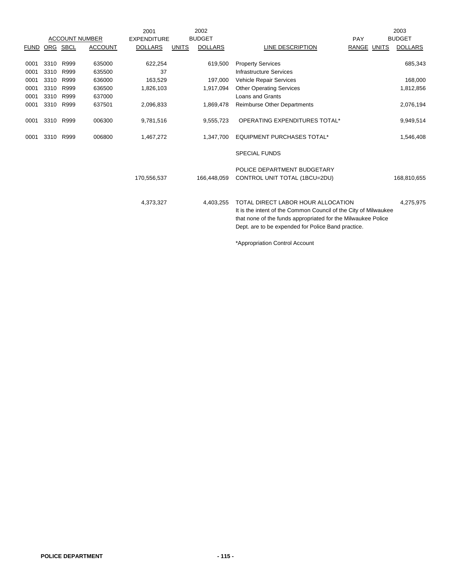|               |      |      |                       | 2001               |              | 2002           |                                                                                                                                                                                                                             |             | 2003           |
|---------------|------|------|-----------------------|--------------------|--------------|----------------|-----------------------------------------------------------------------------------------------------------------------------------------------------------------------------------------------------------------------------|-------------|----------------|
|               |      |      | <b>ACCOUNT NUMBER</b> | <b>EXPENDITURE</b> |              | <b>BUDGET</b>  |                                                                                                                                                                                                                             | PAY         | <b>BUDGET</b>  |
| FUND ORG SBCL |      |      | <b>ACCOUNT</b>        | <b>DOLLARS</b>     | <b>UNITS</b> | <b>DOLLARS</b> | LINE DESCRIPTION                                                                                                                                                                                                            | RANGE UNITS | <b>DOLLARS</b> |
| 0001          | 3310 | R999 | 635000                | 622,254            |              | 619,500        | <b>Property Services</b>                                                                                                                                                                                                    |             | 685,343        |
| 0001          | 3310 | R999 | 635500                | 37                 |              |                | Infrastructure Services                                                                                                                                                                                                     |             |                |
| 0001          | 3310 | R999 | 636000                | 163,529            |              | 197,000        | Vehicle Repair Services                                                                                                                                                                                                     |             | 168,000        |
| 0001          | 3310 | R999 | 636500                | 1,826,103          |              | 1,917,094      | <b>Other Operating Services</b>                                                                                                                                                                                             |             | 1,812,856      |
| 0001          | 3310 | R999 | 637000                |                    |              |                | <b>Loans and Grants</b>                                                                                                                                                                                                     |             |                |
| 0001          | 3310 | R999 | 637501                | 2,096,833          |              | 1,869,478      | <b>Reimburse Other Departments</b>                                                                                                                                                                                          |             | 2,076,194      |
| 0001          | 3310 | R999 | 006300                | 9,781,516          |              | 9,555,723      | OPERATING EXPENDITURES TOTAL*                                                                                                                                                                                               |             | 9,949,514      |
| 0001          | 3310 | R999 | 006800                | 1,467,272          |              | 1,347,700      | <b>EQUIPMENT PURCHASES TOTAL*</b>                                                                                                                                                                                           |             | 1,546,408      |
|               |      |      |                       |                    |              |                | <b>SPECIAL FUNDS</b>                                                                                                                                                                                                        |             |                |
|               |      |      |                       |                    |              |                | POLICE DEPARTMENT BUDGETARY                                                                                                                                                                                                 |             |                |
|               |      |      |                       | 170,556,537        |              | 166,448,059    | CONTROL UNIT TOTAL (1BCU=2DU)                                                                                                                                                                                               |             | 168,810,655    |
|               |      |      |                       |                    |              |                |                                                                                                                                                                                                                             |             |                |
|               |      |      |                       | 4,373,327          |              | 4,403,255      | TOTAL DIRECT LABOR HOUR ALLOCATION<br>It is the intent of the Common Council of the City of Milwaukee<br>that none of the funds appropriated for the Milwaukee Police<br>Dept. are to be expended for Police Band practice. |             | 4.275.975      |
|               |      |      |                       |                    |              |                | *Appropriation Control Account                                                                                                                                                                                              |             |                |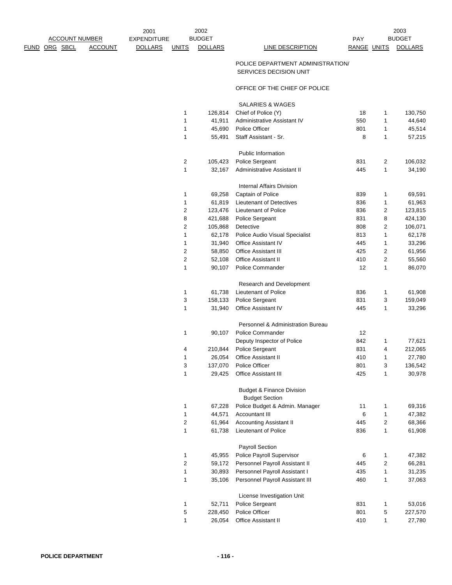## POLICE DEPARTMENT ADMINISTRATION/ SERVICES DECISION UNIT

## OFFICE OF THE CHIEF OF POLICE

SALARIES & WAGES

| 1 | 126,814 | Chief of Police (Y)                                           | 18  | 1              | 130,750 |
|---|---------|---------------------------------------------------------------|-----|----------------|---------|
| 1 | 41,911  | Administrative Assistant IV                                   | 550 | 1              | 44,640  |
| 1 | 45,690  | Police Officer                                                | 801 | 1              | 45,514  |
| 1 | 55,491  | Staff Assistant - Sr.                                         | 8   | 1              | 57,215  |
|   |         | Public Information                                            |     |                |         |
| 2 | 105,423 | Police Sergeant                                               | 831 | 2              | 106,032 |
| 1 | 32,167  | Administrative Assistant II                                   | 445 | 1              | 34,190  |
|   |         | Internal Affairs Division                                     |     |                |         |
| 1 | 69,258  | Captain of Police                                             | 839 | 1              | 69,591  |
| 1 | 61,819  | <b>Lieutenant of Detectives</b>                               | 836 | 1              | 61,963  |
| 2 | 123,476 | Lieutenant of Police                                          | 836 | 2              | 123,815 |
| 8 | 421,688 | Police Sergeant                                               | 831 | 8              | 424,130 |
| 2 | 105,868 | Detective                                                     | 808 | 2              | 106,071 |
| 1 | 62,178  | Police Audio Visual Specialist                                | 813 | 1              | 62,178  |
| 1 | 31,940  | Office Assistant IV                                           | 445 | 1              | 33,296  |
| 2 | 58,850  | <b>Office Assistant III</b>                                   | 425 | 2              | 61,956  |
| 2 | 52,108  | Office Assistant II                                           | 410 | 2              | 55,560  |
| 1 | 90,107  | Police Commander                                              | 12  | 1              | 86,070  |
|   |         | Research and Development                                      |     |                |         |
| 1 | 61,738  | Lieutenant of Police                                          | 836 | 1              | 61,908  |
| 3 | 158,133 | Police Sergeant                                               | 831 | 3              | 159,049 |
| 1 | 31,940  | Office Assistant IV                                           | 445 | 1              | 33,296  |
|   |         | Personnel & Administration Bureau                             |     |                |         |
| 1 | 90,107  | Police Commander                                              | 12  |                |         |
|   |         | Deputy Inspector of Police                                    | 842 | 1              | 77,621  |
| 4 | 210,844 | Police Sergeant                                               | 831 | 4              | 212,065 |
| 1 | 26,054  | <b>Office Assistant II</b>                                    | 410 | 1              | 27,780  |
| 3 | 137,070 | Police Officer                                                | 801 | 3              | 136,542 |
| 1 | 29,425  | <b>Office Assistant III</b>                                   | 425 | 1              | 30,978  |
|   |         | <b>Budget &amp; Finance Division</b><br><b>Budget Section</b> |     |                |         |
| 1 | 67,228  | Police Budget & Admin. Manager                                | 11  | 1              | 69,316  |
| 1 | 44,571  | Accountant III                                                | 6   | 1              | 47,382  |
| 2 | 61,964  | <b>Accounting Assistant II</b>                                | 445 | $\overline{c}$ | 68,366  |
| 1 | 61,738  | <b>Lieutenant of Police</b>                                   | 836 | 1              | 61,908  |
|   |         | <b>Payroll Section</b>                                        |     |                |         |
| 1 | 45,955  | Police Payroll Supervisor                                     | 6   | 1              | 47,382  |
| 2 | 59,172  | Personnel Payroll Assistant II                                | 445 | $\overline{c}$ | 66,281  |
| 1 | 30,893  | Personnel Payroll Assistant I                                 | 435 | 1              | 31,235  |
| 1 | 35,106  | Personnel Payroll Assistant III                               | 460 | 1              | 37,063  |
|   |         | License Investigation Unit                                    |     |                |         |
| 1 | 52,711  | Police Sergeant                                               | 831 | 1              | 53,016  |
| 5 | 228,450 | Police Officer                                                | 801 | 5              | 227,570 |
| 1 | 26,054  | <b>Office Assistant II</b>                                    | 410 | 1              | 27,780  |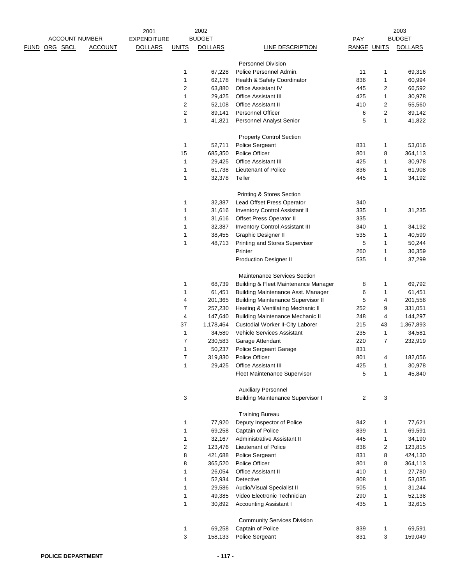|      |          |                       |                | 2001               |                          | 2002           |                                           |                         |              | 2003           |
|------|----------|-----------------------|----------------|--------------------|--------------------------|----------------|-------------------------------------------|-------------------------|--------------|----------------|
|      |          | <b>ACCOUNT NUMBER</b> |                | <b>EXPENDITURE</b> |                          | <b>BUDGET</b>  |                                           | PAY                     |              | <b>BUDGET</b>  |
| FUND | ORG SBCL |                       | <b>ACCOUNT</b> | <b>DOLLARS</b>     | <b>UNITS</b>             | <b>DOLLARS</b> | LINE DESCRIPTION                          | RANGE UNITS             |              | <b>DOLLARS</b> |
|      |          |                       |                |                    |                          |                |                                           |                         |              |                |
|      |          |                       |                |                    |                          |                | <b>Personnel Division</b>                 |                         |              |                |
|      |          |                       |                |                    | 1                        | 67,228         | Police Personnel Admin.                   | 11                      | 1            | 69,316         |
|      |          |                       |                |                    | 1                        | 62,178         | Health & Safety Coordinator               | 836                     | 1            | 60,994         |
|      |          |                       |                |                    | 2                        | 63,880         | <b>Office Assistant IV</b>                | 445                     | 2            | 66,592         |
|      |          |                       |                |                    | 1                        | 29,425         | <b>Office Assistant III</b>               | 425                     | 1            | 30,978         |
|      |          |                       |                |                    | 2                        | 52,108         | <b>Office Assistant II</b>                | 410                     | 2            | 55,560         |
|      |          |                       |                |                    | 2                        | 89,141         | Personnel Officer                         | 6                       | 2            | 89,142         |
|      |          |                       |                |                    | $\mathbf{1}$             | 41,821         | Personnel Analyst Senior                  | 5                       | $\mathbf{1}$ | 41,822         |
|      |          |                       |                |                    |                          |                |                                           |                         |              |                |
|      |          |                       |                |                    |                          |                | <b>Property Control Section</b>           |                         |              |                |
|      |          |                       |                |                    | $\mathbf{1}$             | 52,711         | Police Sergeant                           | 831                     | 1            | 53,016         |
|      |          |                       |                |                    | 15                       | 685,350        | Police Officer                            | 801                     | 8            | 364,113        |
|      |          |                       |                |                    | 1                        | 29,425         | Office Assistant III                      | 425                     | 1            | 30,978         |
|      |          |                       |                |                    | $\mathbf{1}$             | 61,738         | Lieutenant of Police                      | 836                     | 1            | 61,908         |
|      |          |                       |                |                    | 1                        | 32,378         | Teller                                    | 445                     | 1            | 34,192         |
|      |          |                       |                |                    |                          |                |                                           |                         |              |                |
|      |          |                       |                |                    |                          |                | Printing & Stores Section                 |                         |              |                |
|      |          |                       |                |                    | 1                        | 32,387         | Lead Offset Press Operator                | 340                     |              |                |
|      |          |                       |                |                    | 1                        | 31,616         | Inventory Control Assistant II            | 335                     | 1            | 31,235         |
|      |          |                       |                |                    | 1                        | 31,616         | Offset Press Operator II                  | 335                     |              |                |
|      |          |                       |                |                    | 1                        | 32,387         | <b>Inventory Control Assistant III</b>    | 340                     | 1            | 34,192         |
|      |          |                       |                |                    |                          | 38,455         | Graphic Designer II                       | 535                     |              |                |
|      |          |                       |                |                    | 1                        |                |                                           |                         | 1            | 40,599         |
|      |          |                       |                |                    | 1                        | 48,713         | Printing and Stores Supervisor            | 5                       | 1            | 50,244         |
|      |          |                       |                |                    |                          |                | Printer                                   | 260                     | 1            | 36,359         |
|      |          |                       |                |                    |                          |                | <b>Production Designer II</b>             | 535                     | 1            | 37,299         |
|      |          |                       |                |                    |                          |                |                                           |                         |              |                |
|      |          |                       |                |                    |                          |                | <b>Maintenance Services Section</b>       |                         |              |                |
|      |          |                       |                |                    | 1                        | 68,739         | Building & Fleet Maintenance Manager      | 8                       | 1            | 69,792         |
|      |          |                       |                |                    | 1                        | 61,451         | Building Maintenance Asst. Manager        | 6                       | 1            | 61,451         |
|      |          |                       |                |                    | 4                        | 201,365        | <b>Building Maintenance Supervisor II</b> | 5                       | 4            | 201,556        |
|      |          |                       |                |                    | $\overline{7}$           | 257,230        | Heating & Ventilating Mechanic II         | 252                     | 9            | 331,051        |
|      |          |                       |                |                    | $\overline{4}$           | 147,640        | <b>Building Maintenance Mechanic II</b>   | 248                     | 4            | 144,297        |
|      |          |                       |                |                    | 37                       | 1,178,464      | Custodial Worker II-City Laborer          | 215                     | 43           | 1,367,893      |
|      |          |                       |                |                    | $\mathbf{1}$             | 34,580         | Vehicle Services Assistant                | 235                     | 1            | 34,581         |
|      |          |                       |                |                    | $\overline{\mathcal{I}}$ | 230,583        | Garage Attendant                          | 220                     | 7            | 232,919        |
|      |          |                       |                |                    | 1                        | 50,237         | <b>Police Sergeant Garage</b>             | 831                     |              |                |
|      |          |                       |                |                    | 7                        | 319,830        | Police Officer                            | 801                     | 4            | 182,056        |
|      |          |                       |                |                    | 1                        | 29,425         | Office Assistant III                      | 425                     | 1            | 30,978         |
|      |          |                       |                |                    |                          |                | Fleet Maintenance Supervisor              | 5                       | 1            | 45,840         |
|      |          |                       |                |                    |                          |                |                                           |                         |              |                |
|      |          |                       |                |                    |                          |                | <b>Auxiliary Personnel</b>                |                         |              |                |
|      |          |                       |                |                    | 3                        |                | <b>Building Maintenance Supervisor I</b>  | $\overline{\mathbf{c}}$ | 3            |                |
|      |          |                       |                |                    |                          |                |                                           |                         |              |                |
|      |          |                       |                |                    |                          |                | <b>Training Bureau</b>                    |                         |              |                |
|      |          |                       |                |                    | 1                        | 77,920         | Deputy Inspector of Police                | 842                     | 1            | 77,621         |
|      |          |                       |                |                    | 1                        | 69,258         | Captain of Police                         | 839                     | 1            | 69,591         |
|      |          |                       |                |                    | 1                        | 32,167         | Administrative Assistant II               | 445                     | 1            | 34,190         |
|      |          |                       |                |                    | 2                        | 123,476        | Lieutenant of Police                      | 836                     | 2            | 123,815        |
|      |          |                       |                |                    | 8                        | 421,688        | Police Sergeant                           | 831                     | 8            | 424,130        |
|      |          |                       |                |                    | 8                        | 365,520        | Police Officer                            | 801                     | 8            | 364,113        |
|      |          |                       |                |                    | 1                        | 26,054         | <b>Office Assistant II</b>                | 410                     | 1            | 27,780         |
|      |          |                       |                |                    | 1                        | 52,934         | Detective                                 | 808                     | 1            | 53,035         |
|      |          |                       |                |                    | 1                        | 29,586         | Audio/Visual Specialist II                | 505                     | 1            | 31,244         |
|      |          |                       |                |                    | 1                        | 49,385         | Video Electronic Technician               | 290                     | 1            | 52,138         |
|      |          |                       |                |                    | 1                        | 30,892         | Accounting Assistant I                    | 435                     | 1            | 32,615         |
|      |          |                       |                |                    |                          |                |                                           |                         |              |                |
|      |          |                       |                |                    |                          |                | <b>Community Services Division</b>        |                         |              |                |
|      |          |                       |                |                    | 1                        | 69,258         | Captain of Police                         | 839                     | 1            | 69,591         |
|      |          |                       |                |                    | 3                        | 158,133        | Police Sergeant                           | 831                     | 3            | 159,049        |
|      |          |                       |                |                    |                          |                |                                           |                         |              |                |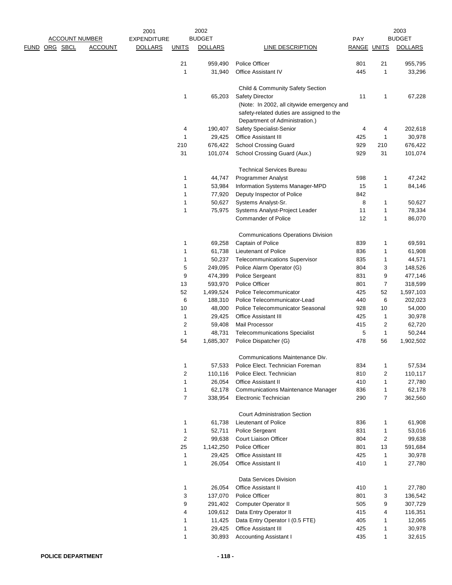|                       |                | 2001               |                | 2002                 |                                                                                                                           |                    |                | 2003                 |
|-----------------------|----------------|--------------------|----------------|----------------------|---------------------------------------------------------------------------------------------------------------------------|--------------------|----------------|----------------------|
| <b>ACCOUNT NUMBER</b> |                | <b>EXPENDITURE</b> |                | <b>BUDGET</b>        |                                                                                                                           | <b>PAY</b>         |                | <b>BUDGET</b>        |
| <u>FUND ORG SBCL</u>  | <b>ACCOUNT</b> | <b>DOLLARS</b>     | <b>UNITS</b>   | <b>DOLLARS</b>       | LINE DESCRIPTION                                                                                                          | <b>RANGE UNITS</b> |                | <b>DOLLARS</b>       |
|                       |                |                    | 21             | 959,490              | Police Officer                                                                                                            | 801                | 21             | 955,795              |
|                       |                |                    | 1              | 31,940               | <b>Office Assistant IV</b>                                                                                                | 445                | 1              | 33,296               |
|                       |                |                    |                |                      | Child & Community Safety Section                                                                                          |                    |                |                      |
|                       |                |                    | 1              | 65,203               | <b>Safety Director</b>                                                                                                    | 11                 | 1              | 67,228               |
|                       |                |                    |                |                      | (Note: In 2002, all citywide emergency and<br>safety-related duties are assigned to the<br>Department of Administration.) |                    |                |                      |
|                       |                |                    | 4              | 190,407              | Safety Specialist-Senior                                                                                                  | 4                  | 4              | 202,618              |
|                       |                |                    | 1              | 29,425               | <b>Office Assistant III</b>                                                                                               | 425                | 1              | 30,978               |
|                       |                |                    | 210            | 676,422              | <b>School Crossing Guard</b>                                                                                              | 929                | 210            | 676,422              |
|                       |                |                    | 31             | 101,074              | School Crossing Guard (Aux.)                                                                                              | 929                | 31             | 101,074              |
|                       |                |                    |                |                      | <b>Technical Services Bureau</b>                                                                                          |                    |                |                      |
|                       |                |                    | 1              | 44,747               | <b>Programmer Analyst</b>                                                                                                 | 598                | 1              | 47,242               |
|                       |                |                    | 1              | 53,984               | Information Systems Manager-MPD                                                                                           | 15                 | 1              | 84,146               |
|                       |                |                    | 1              | 77,920               | Deputy Inspector of Police                                                                                                | 842                |                |                      |
|                       |                |                    | 1              | 50,627               | Systems Analyst-Sr.                                                                                                       | 8                  | 1              | 50,627               |
|                       |                |                    | 1              | 75,975               | Systems Analyst-Project Leader                                                                                            | 11                 | 1              | 78,334               |
|                       |                |                    |                |                      | <b>Commander of Police</b>                                                                                                | 12                 | 1              | 86,070               |
|                       |                |                    |                |                      | <b>Communications Operations Division</b>                                                                                 |                    |                |                      |
|                       |                |                    | 1              | 69,258               | Captain of Police                                                                                                         | 839                | 1              | 69,591               |
|                       |                |                    | 1              | 61,738               | Lieutenant of Police                                                                                                      | 836                | 1              | 61,908               |
|                       |                |                    | 1              | 50,237               | <b>Telecommunications Supervisor</b>                                                                                      | 835                | 1              | 44,571               |
|                       |                |                    | 5              | 249,095              | Police Alarm Operator (G)                                                                                                 | 804                | 3              | 148,526              |
|                       |                |                    | 9              | 474,399              | Police Sergeant                                                                                                           | 831                | 9              | 477,146              |
|                       |                |                    | 13<br>52       | 593,970              | Police Officer                                                                                                            | 801                | 7<br>52        | 318,599              |
|                       |                |                    | 6              | 1,499,524<br>188,310 | Police Telecommunicator<br>Police Telecommunicator-Lead                                                                   | 425<br>440         | 6              | 1,597,103<br>202,023 |
|                       |                |                    | 10             | 48,000               | Police Telecommunicator Seasonal                                                                                          | 928                | 10             | 54,000               |
|                       |                |                    | 1              | 29,425               | <b>Office Assistant III</b>                                                                                               | 425                | 1              | 30,978               |
|                       |                |                    | 2              | 59,408               | Mail Processor                                                                                                            | 415                | 2              | 62,720               |
|                       |                |                    | 1              | 48,731               | <b>Telecommunications Specialist</b>                                                                                      | 5                  | 1              | 50,244               |
|                       |                |                    | 54             | 1,685,307            | Police Dispatcher (G)                                                                                                     | 478                | 56             | 1,902,502            |
|                       |                |                    |                |                      | Communications Maintenance Div.                                                                                           |                    |                |                      |
|                       |                |                    | 1              | 57,533               | Police Elect. Technician Foreman                                                                                          | 834                | 1              | 57,534               |
|                       |                |                    | 2              | 110,116              | Police Elect. Technician                                                                                                  | 810                | 2              | 110,117              |
|                       |                |                    | 1              | 26,054               | <b>Office Assistant II</b>                                                                                                | 410                | 1              | 27,780               |
|                       |                |                    | 1              | 62,178               | <b>Communications Maintenance Manager</b>                                                                                 | 836                | 1              | 62,178               |
|                       |                |                    | $\overline{7}$ | 338,954              | Electronic Technician                                                                                                     | 290                | 7              | 362,560              |
|                       |                |                    |                |                      | <b>Court Administration Section</b>                                                                                       |                    |                |                      |
|                       |                |                    | 1              | 61,738               | Lieutenant of Police                                                                                                      | 836                | 1              | 61,908               |
|                       |                |                    | 1              | 52,711               | Police Sergeant                                                                                                           | 831                | 1              | 53,016               |
|                       |                |                    | 2              | 99,638               | Court Liaison Officer                                                                                                     | 804                | $\overline{c}$ | 99,638               |
|                       |                |                    | 25             | 1,142,250            | Police Officer                                                                                                            | 801                | 13             | 591,684              |
|                       |                |                    | 1              | 29,425               | <b>Office Assistant III</b>                                                                                               | 425                | 1              | 30,978               |
|                       |                |                    | 1              | 26,054               | <b>Office Assistant II</b>                                                                                                | 410                | 1              | 27,780               |
|                       |                |                    |                |                      | Data Services Division                                                                                                    |                    |                |                      |
|                       |                |                    | 1              | 26,054               | <b>Office Assistant II</b>                                                                                                | 410                | 1              | 27,780               |
|                       |                |                    | 3              | 137,070              | Police Officer                                                                                                            | 801                | 3              | 136,542              |
|                       |                |                    | 9              | 291,402<br>109,612   | Computer Operator II                                                                                                      | 505<br>415         | 9              | 307,729              |
|                       |                |                    | 4<br>1         | 11,425               | Data Entry Operator II<br>Data Entry Operator I (0.5 FTE)                                                                 | 405                | 4<br>1         | 116,351<br>12,065    |
|                       |                |                    | 1              | 29,425               | Office Assistant III                                                                                                      | 425                | 1              | 30,978               |
|                       |                |                    | 1              | 30,893               | <b>Accounting Assistant I</b>                                                                                             | 435                | 1              | 32,615               |
|                       |                |                    |                |                      |                                                                                                                           |                    |                |                      |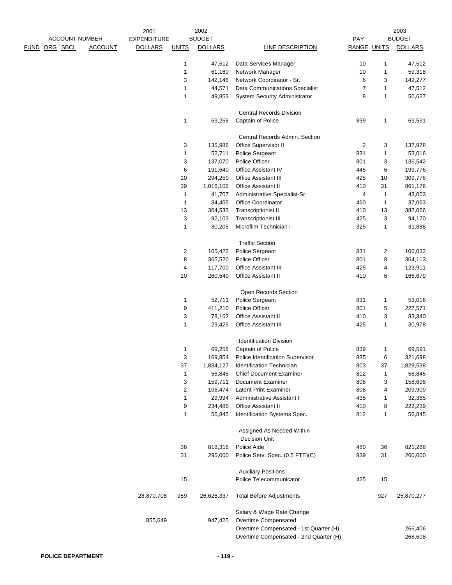|                       |                | 2001               |                         | 2002               |                                                      |                |              | 2003               |
|-----------------------|----------------|--------------------|-------------------------|--------------------|------------------------------------------------------|----------------|--------------|--------------------|
| <b>ACCOUNT NUMBER</b> |                | <b>EXPENDITURE</b> |                         | <b>BUDGET</b>      |                                                      | PAY            |              | <b>BUDGET</b>      |
| ORG SBCL<br>FUND      | <b>ACCOUNT</b> | <b>DOLLARS</b>     | <b>UNITS</b>            | <b>DOLLARS</b>     | LINE DESCRIPTION                                     | RANGE UNITS    |              | <b>DOLLARS</b>     |
|                       |                |                    | 1                       | 47,512             | Data Services Manager                                | 10             | 1            | 47,512             |
|                       |                |                    | 1                       | 61,160             | Network Manager                                      | 10             | 1            | 59,318             |
|                       |                |                    | 3                       | 142,146            | Network Coordinator - Sr.                            | 6              | 3            | 142,277            |
|                       |                |                    | 1                       | 44,571             | Data Communications Specialist                       | $\overline{7}$ | $\mathbf{1}$ | 47,512             |
|                       |                |                    | 1                       | 49,853             | <b>System Security Administrator</b>                 | 8              | $\mathbf{1}$ | 50,627             |
|                       |                |                    |                         |                    |                                                      |                |              |                    |
|                       |                |                    | 1                       | 69,258             | <b>Central Records Division</b><br>Captain of Police | 839            | 1            | 69,591             |
|                       |                |                    |                         |                    |                                                      |                |              |                    |
|                       |                |                    |                         |                    | Central Records Admin. Section                       |                |              |                    |
|                       |                |                    | 3                       | 135,986            | Office Supervisor II                                 | $\overline{2}$ | 3            | 137,978            |
|                       |                |                    | 1                       | 52,711             | Police Sergeant                                      | 831            | $\mathbf{1}$ | 53,016             |
|                       |                |                    | 3                       | 137,070            | Police Officer                                       | 801            | 3            | 136,542            |
|                       |                |                    | 6                       | 191,640            | Office Assistant IV                                  | 445            | 6            | 199,776            |
|                       |                |                    | 10                      | 294,250            | Office Assistant III                                 | 425            | 10           | 309,778            |
|                       |                |                    | 39                      | 1,016,106          | <b>Office Assistant II</b>                           | 410            | 31           | 861,176            |
|                       |                |                    | $\mathbf{1}$            | 41,707             | Administrative Specialist-Sr.                        | 4              | $\mathbf{1}$ | 43,003             |
|                       |                |                    | $\mathbf{1}$            | 34,465             | <b>Office Coordinator</b>                            | 460            | $\mathbf{1}$ | 37,063             |
|                       |                |                    | 13                      | 364,533            | Transcriptionist II                                  | 410            | 13           | 382,066            |
|                       |                |                    | 3                       | 92,103             | Transcriptionist III                                 | 425            | 3            | 94,170             |
|                       |                |                    | 1                       | 30,205             | Microfilm Technician I                               | 325            | 1            | 31,888             |
|                       |                |                    |                         |                    | <b>Traffic Section</b>                               |                |              |                    |
|                       |                |                    | $\overline{\mathbf{c}}$ | 105,422            | Police Sergeant                                      | 831            | 2            | 106,032            |
|                       |                |                    | 8                       | 365,520            | Police Officer                                       | 801            | 8            | 364,113            |
|                       |                |                    | 4                       | 117,700            | Office Assistant III                                 | 425            | 4            | 123,911            |
|                       |                |                    | 10                      | 260,540            | Office Assistant II                                  | 410            | 6            | 166,679            |
|                       |                |                    |                         |                    | Open Records Section                                 |                |              |                    |
|                       |                |                    | 1                       | 52,711             | Police Sergeant                                      | 831            | 1            | 53,016             |
|                       |                |                    | 9                       | 411,210            | Police Officer                                       | 801            | 5            | 227,571            |
|                       |                |                    | 3                       | 78,162             | Office Assistant II                                  | 410            | 3            | 83,340             |
|                       |                |                    | 1                       | 29,425             | Office Assistant III                                 | 425            | 1            | 30,978             |
|                       |                |                    |                         |                    |                                                      |                |              |                    |
|                       |                |                    |                         |                    | <b>Identification Division</b><br>Captain of Police  |                |              |                    |
|                       |                |                    | 1                       | 69,258             |                                                      | 839<br>835     | 1            | 69,591             |
|                       |                |                    | 3                       | 169,854            | Police Identification Supervisor                     | 803            | 6            | 321,698            |
|                       |                |                    | 37                      | 1,834,127          | Identification Technician                            | 812            | 37           | 1,829,538          |
|                       |                |                    | 1                       | 56,845             | <b>Chief Document Examiner</b>                       |                | 1            | 56,845             |
|                       |                |                    | 3<br>2                  | 159,711<br>106,474 | Document Examiner<br><b>Latent Print Examiner</b>    | 808<br>808     | 3<br>4       | 158,698<br>209,909 |
|                       |                |                    | 1                       | 29,994             | Administrative Assistant I                           | 435            | 1            | 32,365             |
|                       |                |                    | 9                       | 234,486            | <b>Office Assistant II</b>                           | 410            | 8            | 222,239            |
|                       |                |                    | 1                       | 56,845             | Identification Systems Spec.                         | 812            | 1            | 56,845             |
|                       |                |                    |                         |                    |                                                      |                |              |                    |
|                       |                |                    |                         |                    | Assigned As Needed Within<br><b>Decision Unit</b>    |                |              |                    |
|                       |                |                    | 36                      | 818,316            | Police Aide                                          | 480            | 36           | 821,268            |
|                       |                |                    | 31                      | 295,000            | Police Serv. Spec. (0.5 FTE)(C)                      | 939            | 31           | 260,000            |
|                       |                |                    |                         |                    |                                                      |                |              |                    |
|                       |                |                    |                         |                    | <b>Auxiliary Positions</b>                           |                |              |                    |
|                       |                |                    | 15                      |                    | Police Telecommunicator                              | 425            | 15           |                    |
|                       |                | 28,870,708         | 959                     | 26,626,337         | <b>Total Before Adjustments</b>                      |                | 927          | 25,870,277         |
|                       |                |                    |                         |                    | Salary & Wage Rate Change                            |                |              |                    |
|                       |                | 855,649            |                         | 947,425            | Overtime Compensated                                 |                |              |                    |
|                       |                |                    |                         |                    | Overtime Compensated - 1st Quarter (H)               |                |              | 266,406            |
|                       |                |                    |                         |                    | Overtime Compensated - 2nd Quarter (H)               |                |              | 268,608            |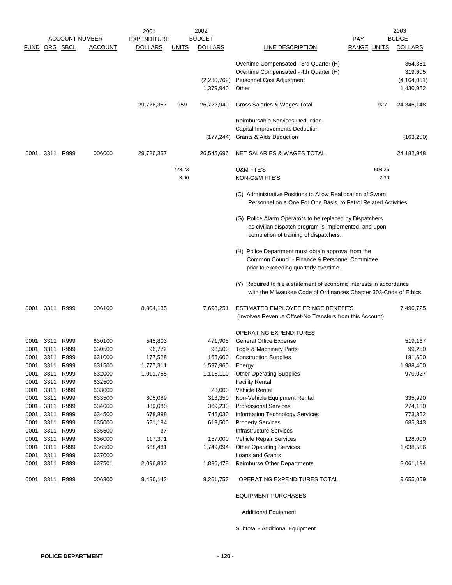|               |                   |                       |                  | 2001               |              | 2002                     |                                                                                                                                                             |             |        | 2003                                             |
|---------------|-------------------|-----------------------|------------------|--------------------|--------------|--------------------------|-------------------------------------------------------------------------------------------------------------------------------------------------------------|-------------|--------|--------------------------------------------------|
|               |                   | <b>ACCOUNT NUMBER</b> |                  | <b>EXPENDITURE</b> |              | <b>BUDGET</b>            |                                                                                                                                                             | <b>PAY</b>  |        | <b>BUDGET</b>                                    |
| FUND ORG SBCL |                   |                       | ACCOUNT          | <b>DOLLARS</b>     | <u>UNITS</u> | <b>DOLLARS</b>           | LINE DESCRIPTION                                                                                                                                            | RANGE UNITS |        | <b>DOLLARS</b>                                   |
|               |                   |                       |                  |                    |              | (2,230,762)<br>1,379,940 | Overtime Compensated - 3rd Quarter (H)<br>Overtime Compensated - 4th Quarter (H)<br>Personnel Cost Adjustment<br>Other                                      |             |        | 354,381<br>319,605<br>(4, 164, 081)<br>1,430,952 |
|               |                   |                       |                  | 29,726,357         | 959          | 26,722,940               | Gross Salaries & Wages Total                                                                                                                                |             | 927    | 24,346,148                                       |
|               |                   |                       |                  |                    |              | (177, 244)               | <b>Reimbursable Services Deduction</b><br>Capital Improvements Deduction<br>Grants & Aids Deduction                                                         |             |        | (163, 200)                                       |
| 0001          | 3311              | R999                  | 006000           | 29,726,357         |              | 26,545,696               | NET SALARIES & WAGES TOTAL                                                                                                                                  |             |        | 24,182,948                                       |
|               |                   |                       |                  |                    |              |                          |                                                                                                                                                             |             |        |                                                  |
|               |                   |                       |                  |                    | 723.23       |                          | <b>O&amp;M FTE'S</b>                                                                                                                                        |             | 608.26 |                                                  |
|               |                   |                       |                  |                    | 3.00         |                          | NON-O&M FTE'S                                                                                                                                               |             | 2.30   |                                                  |
|               |                   |                       |                  |                    |              |                          | (C) Administrative Positions to Allow Reallocation of Sworn<br>Personnel on a One For One Basis, to Patrol Related Activities.                              |             |        |                                                  |
|               |                   |                       |                  |                    |              |                          | (G) Police Alarm Operators to be replaced by Dispatchers<br>as civilian dispatch program is implemented, and upon<br>completion of training of dispatchers. |             |        |                                                  |
|               |                   |                       |                  |                    |              |                          | (H) Police Department must obtain approval from the<br>Common Council - Finance & Personnel Committee<br>prior to exceeding quarterly overtime.             |             |        |                                                  |
|               |                   |                       |                  |                    |              |                          | (Y) Required to file a statement of economic interests in accordance<br>with the Milwaukee Code of Ordinances Chapter 303-Code of Ethics.                   |             |        |                                                  |
| 0001          | 3311 R999         |                       | 006100           | 8,804,135          |              | 7,698,251                | ESTIMATED EMPLOYEE FRINGE BENEFITS<br>(Involves Revenue Offset-No Transfers from this Account)                                                              |             |        | 7,496,725                                        |
|               |                   |                       |                  |                    |              |                          | <b>OPERATING EXPENDITURES</b>                                                                                                                               |             |        |                                                  |
| 0001          | 3311              | R999                  | 630100           | 545,803            |              | 471,905                  | <b>General Office Expense</b>                                                                                                                               |             |        | 519,167                                          |
| 0001          | 3311              | R999                  | 630500           | 96,772             |              | 98,500                   | Tools & Machinery Parts                                                                                                                                     |             |        | 99,250                                           |
| 0001          | 3311              | R999                  | 631000           | 177,528            |              |                          | 165,600 Construction Supplies                                                                                                                               |             |        | 181,600                                          |
| 0001          | 3311 R999         |                       | 631500           | 1,777,311          |              | 1,597,960                | Energy                                                                                                                                                      |             |        | 1,988,400                                        |
| 0001          | 3311 R999         |                       | 632000           | 1,011,755          |              | 1,115,110                | <b>Other Operating Supplies</b>                                                                                                                             |             |        | 970,027                                          |
| 0001          | 3311 R999         |                       | 632500           |                    |              |                          | <b>Facility Rental</b>                                                                                                                                      |             |        |                                                  |
| 0001          | 3311              | R999                  | 633000           |                    |              | 23,000                   | <b>Vehicle Rental</b>                                                                                                                                       |             |        |                                                  |
| 0001          | 3311              | R999                  | 633500           | 305,089            |              | 313,350                  | Non-Vehicle Equipment Rental                                                                                                                                |             |        | 335,990                                          |
| 0001          | 3311 R999         |                       | 634000           | 389,080            |              | 369,230                  | <b>Professional Services</b>                                                                                                                                |             |        | 274,180                                          |
| 0001          | 3311              | R999                  | 634500           | 678,898            |              | 745,030                  | Information Technology Services                                                                                                                             |             |        | 773,352                                          |
| 0001          | 3311              | R999                  | 635000           | 621,184            |              | 619,500                  | <b>Property Services</b>                                                                                                                                    |             |        | 685,343                                          |
| 0001          | 3311 R999         |                       | 635500           | 37                 |              |                          | <b>Infrastructure Services</b>                                                                                                                              |             |        |                                                  |
| 0001          | 3311              | R999                  | 636000           | 117,371            |              | 157,000                  | <b>Vehicle Repair Services</b>                                                                                                                              |             |        | 128,000                                          |
| 0001          | 3311              | R999                  | 636500           | 668,481            |              | 1,749,094                | <b>Other Operating Services</b>                                                                                                                             |             |        | 1,638,556                                        |
| 0001<br>0001  | 3311 R999<br>3311 | R999                  | 637000<br>637501 | 2,096,833          |              |                          | Loans and Grants<br><b>Reimburse Other Departments</b>                                                                                                      |             |        | 2,061,194                                        |
|               |                   |                       |                  |                    |              | 1,836,478                |                                                                                                                                                             |             |        |                                                  |
| 0001          | 3311 R999         |                       | 006300           | 8,486,142          |              | 9,261,757                | OPERATING EXPENDITURES TOTAL                                                                                                                                |             |        | 9,655,059                                        |
|               |                   |                       |                  |                    |              |                          | <b>EQUIPMENT PURCHASES</b>                                                                                                                                  |             |        |                                                  |

Additional Equipment

Subtotal - Additional Equipment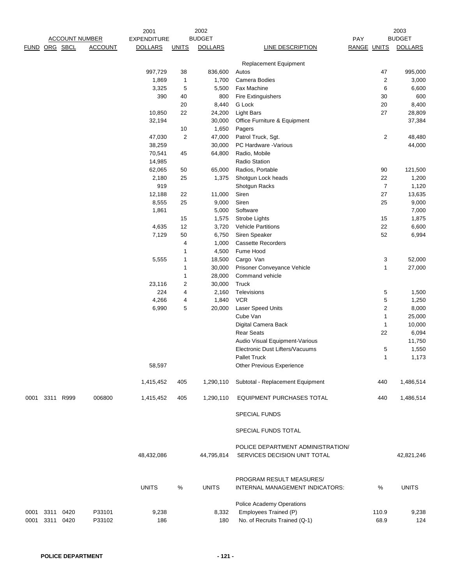|      |               |                       |                | 2001               |                | 2002            |                                                                   |             |                    | 2003            |
|------|---------------|-----------------------|----------------|--------------------|----------------|-----------------|-------------------------------------------------------------------|-------------|--------------------|-----------------|
|      |               | <b>ACCOUNT NUMBER</b> |                | <b>EXPENDITURE</b> |                | <b>BUDGET</b>   |                                                                   | PAY         |                    | <b>BUDGET</b>   |
|      | FUND ORG SBCL |                       | <b>ACCOUNT</b> | <b>DOLLARS</b>     | <b>UNITS</b>   | <b>DOLLARS</b>  | LINE DESCRIPTION                                                  | RANGE UNITS |                    | <b>DOLLARS</b>  |
|      |               |                       |                |                    |                |                 | <b>Replacement Equipment</b>                                      |             |                    |                 |
|      |               |                       |                | 997,729            | 38             | 836,600         | Autos                                                             |             | 47                 | 995,000         |
|      |               |                       |                | 1,869              | $\mathbf{1}$   | 1,700           | Camera Bodies                                                     |             | 2                  | 3,000           |
|      |               |                       |                | 3,325              | 5              | 5,500           | Fax Machine                                                       |             | 6                  | 6,600           |
|      |               |                       |                | 390                | 40             | 800             | <b>Fire Extinguishers</b>                                         |             | 30                 | 600             |
|      |               |                       |                |                    | 20             | 8,440           | G Lock                                                            |             | 20                 | 8,400           |
|      |               |                       |                | 10,850             | 22             | 24,200          | <b>Light Bars</b>                                                 |             | 27                 | 28,809          |
|      |               |                       |                | 32,194             | 10             | 30,000<br>1,650 | Office Furniture & Equipment<br>Pagers                            |             |                    | 37,384          |
|      |               |                       |                | 47,030             | $\overline{2}$ | 47,000          | Patrol Truck, Sgt.                                                |             | $\sqrt{2}$         | 48,480          |
|      |               |                       |                | 38,259             |                | 30,000          | PC Hardware -Various                                              |             |                    | 44,000          |
|      |               |                       |                | 70,541             | 45             | 64,800          | Radio, Mobile                                                     |             |                    |                 |
|      |               |                       |                | 14,985             |                |                 | Radio Station                                                     |             |                    |                 |
|      |               |                       |                | 62,065             | 50             | 65,000          | Radios, Portable                                                  |             | 90                 | 121,500         |
|      |               |                       |                | 2,180              | 25             | 1,375           | Shotgun Lock heads                                                |             | 22                 | 1,200           |
|      |               |                       |                | 919                |                |                 | Shotgun Racks                                                     |             | $\overline{7}$     | 1,120           |
|      |               |                       |                | 12,188             | 22             | 11,000          | Siren                                                             |             | 27                 | 13,635          |
|      |               |                       |                | 8,555              | 25             | 9,000           | Siren                                                             |             | 25                 | 9,000           |
|      |               |                       |                | 1,861              |                | 5,000           | Software                                                          |             |                    | 7,000           |
|      |               |                       |                |                    | 15             | 1,575           | Strobe Lights                                                     |             | 15                 | 1,875           |
|      |               |                       |                | 4,635              | 12             | 3,720           | <b>Vehicle Partitions</b>                                         |             | 22                 | 6,600           |
|      |               |                       |                | 7,129              | 50             | 6,750           | Siren Speaker                                                     |             | 52                 | 6,994           |
|      |               |                       |                |                    | 4              | 1,000           | <b>Cassette Recorders</b>                                         |             |                    |                 |
|      |               |                       |                |                    | 1              | 4,500           | Fume Hood                                                         |             |                    |                 |
|      |               |                       |                | 5,555              | 1              | 18,500          | Cargo Van                                                         |             | 3                  | 52,000          |
|      |               |                       |                |                    | 1              | 30,000          | Prisoner Conveyance Vehicle                                       |             | 1                  | 27,000          |
|      |               |                       |                |                    | 1              | 28,000          | Command vehicle                                                   |             |                    |                 |
|      |               |                       |                | 23,116             | $\overline{c}$ | 30,000          | Truck                                                             |             |                    |                 |
|      |               |                       |                | 224                | 4              |                 | Televisions                                                       |             |                    |                 |
|      |               |                       |                | 4,266              | 4              | 2,160<br>1,840  | <b>VCR</b>                                                        |             | 5<br>5             | 1,500<br>1,250  |
|      |               |                       |                |                    |                | 20,000          |                                                                   |             | $\overline{c}$     |                 |
|      |               |                       |                | 6,990              | 5              |                 | Laser Speed Units<br>Cube Van                                     |             | 1                  | 8,000           |
|      |               |                       |                |                    |                |                 |                                                                   |             |                    | 25,000          |
|      |               |                       |                |                    |                |                 | Digital Camera Back<br><b>Rear Seats</b>                          |             | $\mathbf{1}$<br>22 | 10,000          |
|      |               |                       |                |                    |                |                 | Audio Visual Equipment-Various                                    |             |                    | 6,094<br>11,750 |
|      |               |                       |                |                    |                |                 |                                                                   |             |                    |                 |
|      |               |                       |                |                    |                |                 | Electronic Dust Lifters/Vacuums<br>Pallet Truck                   |             | 5<br>1             | 1,550           |
|      |               |                       |                |                    |                |                 |                                                                   |             |                    | 1,173           |
|      |               |                       |                | 58,597             |                |                 | <b>Other Previous Experience</b>                                  |             |                    |                 |
|      |               |                       |                | 1,415,452          | 405            | 1,290,110       | Subtotal - Replacement Equipment                                  |             | 440                | 1,486,514       |
| 0001 | 3311          | R999                  | 006800         | 1,415,452          | 405            | 1,290,110       | EQUIPMENT PURCHASES TOTAL                                         |             | 440                | 1,486,514       |
|      |               |                       |                |                    |                |                 | <b>SPECIAL FUNDS</b>                                              |             |                    |                 |
|      |               |                       |                |                    |                |                 | SPECIAL FUNDS TOTAL                                               |             |                    |                 |
|      |               |                       |                | 48,432,086         |                | 44,795,814      | POLICE DEPARTMENT ADMINISTRATION/<br>SERVICES DECISION UNIT TOTAL |             |                    | 42,821,246      |
|      |               |                       |                | <b>UNITS</b>       | $\%$           | <b>UNITS</b>    | PROGRAM RESULT MEASURES/<br>INTERNAL MANAGEMENT INDICATORS:       |             | %                  | <b>UNITS</b>    |
| 0001 | 3311          | 0420                  | P33101         | 9,238              |                | 8,332           | Police Academy Operations<br>Employees Trained (P)                |             | 110.9              | 9,238           |
| 0001 | 3311          | 0420                  | P33102         | 186                |                | 180             | No. of Recruits Trained (Q-1)                                     |             | 68.9               | 124             |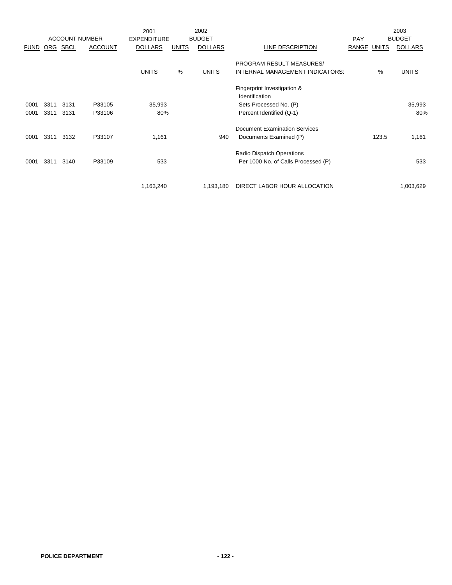|             |      |                       |                | 2001               |              | 2002           |                                      |            |       | 2003           |
|-------------|------|-----------------------|----------------|--------------------|--------------|----------------|--------------------------------------|------------|-------|----------------|
|             |      | <b>ACCOUNT NUMBER</b> |                | <b>EXPENDITURE</b> |              | <b>BUDGET</b>  |                                      | <b>PAY</b> |       | <b>BUDGET</b>  |
| <b>FUND</b> | ORG  | <b>SBCL</b>           | <b>ACCOUNT</b> | <b>DOLLARS</b>     | <b>UNITS</b> | <b>DOLLARS</b> | LINE DESCRIPTION                     | RANGE      | UNITS | <b>DOLLARS</b> |
|             |      |                       |                |                    |              |                |                                      |            |       |                |
|             |      |                       |                |                    |              |                | PROGRAM RESULT MEASURES/             |            |       |                |
|             |      |                       |                | <b>UNITS</b>       | %            | <b>UNITS</b>   | INTERNAL MANAGEMENT INDICATORS:      |            | %     | <b>UNITS</b>   |
|             |      |                       |                |                    |              |                | Fingerprint Investigation &          |            |       |                |
|             |      |                       |                |                    |              |                | Identification                       |            |       |                |
| 0001        | 3311 | 3131                  | P33105         | 35,993             |              |                | Sets Processed No. (P)               |            |       | 35,993         |
| 0001        | 3311 | 3131                  | P33106         | 80%                |              |                | Percent Identified (Q-1)             |            |       | 80%            |
|             |      |                       |                |                    |              |                | <b>Document Examination Services</b> |            |       |                |
| 0001        | 3311 | 3132                  | P33107         | 1,161              |              | 940            | Documents Examined (P)               |            | 123.5 | 1,161          |
|             |      |                       |                |                    |              |                | Radio Dispatch Operations            |            |       |                |
| 0001        | 3311 | 3140                  | P33109         | 533                |              |                |                                      |            |       | 533            |
|             |      |                       |                |                    |              |                | Per 1000 No. of Calls Processed (P)  |            |       |                |
|             |      |                       |                |                    |              |                |                                      |            |       |                |
|             |      |                       |                | 1,163,240          |              | 1,193,180      | DIRECT LABOR HOUR ALLOCATION         |            |       | 1,003,629      |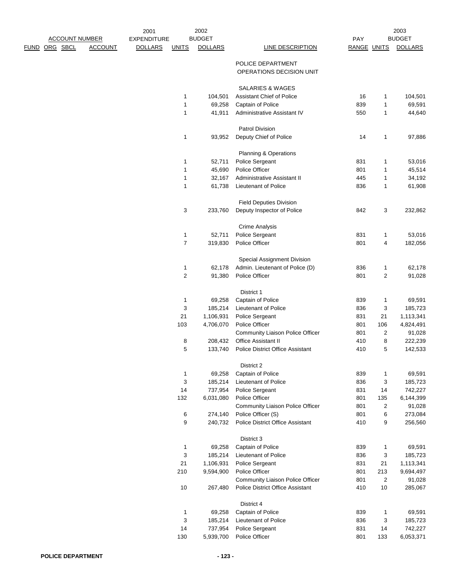|               |                       |                | 2001               |              | 2002           |                                                        |             |                | 2003              |
|---------------|-----------------------|----------------|--------------------|--------------|----------------|--------------------------------------------------------|-------------|----------------|-------------------|
|               | <b>ACCOUNT NUMBER</b> |                | <b>EXPENDITURE</b> |              | <b>BUDGET</b>  |                                                        | PAY         |                | <b>BUDGET</b>     |
| FUND ORG SBCL |                       | <b>ACCOUNT</b> | <b>DOLLARS</b>     | <b>UNITS</b> | <b>DOLLARS</b> | <b>LINE DESCRIPTION</b>                                | RANGE UNITS |                | <b>DOLLARS</b>    |
|               |                       |                |                    |              |                | POLICE DEPARTMENT<br>OPERATIONS DECISION UNIT          |             |                |                   |
|               |                       |                |                    |              |                | <b>SALARIES &amp; WAGES</b>                            |             |                |                   |
|               |                       |                |                    | 1            | 104,501        | Assistant Chief of Police                              | 16          | 1              | 104,501           |
|               |                       |                |                    | 1            | 69,258         | Captain of Police                                      | 839         | $\mathbf 1$    | 69,591            |
|               |                       |                |                    | 1            | 41,911         | Administrative Assistant IV                            | 550         | 1              | 44,640            |
|               |                       |                |                    |              |                | <b>Patrol Division</b>                                 |             |                |                   |
|               |                       |                |                    | 1            | 93,952         | Deputy Chief of Police                                 | 14          | 1              | 97,886            |
|               |                       |                |                    |              |                | Planning & Operations                                  |             |                |                   |
|               |                       |                |                    | 1            | 52,711         | Police Sergeant                                        | 831         | 1              | 53,016            |
|               |                       |                |                    | 1            | 45,690         | Police Officer                                         | 801         | 1              | 45,514            |
|               |                       |                |                    | 1            | 32,167         | Administrative Assistant II                            | 445         | 1              | 34,192            |
|               |                       |                |                    | 1            | 61,738         | Lieutenant of Police                                   | 836         | $\mathbf 1$    | 61,908            |
|               |                       |                |                    |              |                | <b>Field Deputies Division</b>                         |             |                |                   |
|               |                       |                |                    | 3            | 233,760        | Deputy Inspector of Police                             | 842         | 3              | 232,862           |
|               |                       |                |                    |              |                | <b>Crime Analysis</b>                                  |             |                |                   |
|               |                       |                |                    | 1            | 52,711         | Police Sergeant                                        | 831         | 1              | 53,016            |
|               |                       |                |                    | 7            | 319,830        | Police Officer                                         | 801         | 4              | 182,056           |
|               |                       |                |                    |              |                | Special Assignment Division                            |             |                |                   |
|               |                       |                |                    | 1            | 62,178         | Admin. Lieutenant of Police (D)                        | 836         | 1              | 62,178            |
|               |                       |                |                    | 2            | 91,380         | Police Officer                                         | 801         | 2              | 91,028            |
|               |                       |                |                    |              |                | District 1                                             |             |                |                   |
|               |                       |                |                    | 1            | 69,258         | Captain of Police                                      | 839         | 1              | 69,591            |
|               |                       |                |                    | 3            | 185,214        | Lieutenant of Police                                   | 836         | 3              | 185,723           |
|               |                       |                |                    | 21           | 1,106,931      | Police Sergeant                                        | 831         | 21             | 1,113,341         |
|               |                       |                |                    | 103          | 4,706,070      | Police Officer                                         | 801         | 106            | 4,824,491         |
|               |                       |                |                    |              |                | Community Liaison Police Officer                       | 801         | $\overline{c}$ | 91,028            |
|               |                       |                |                    | 8            | 208,432        | Office Assistant II                                    | 410         | 8              | 222,239           |
|               |                       |                |                    | 5            | 133,740        | <b>Police District Office Assistant</b>                | 410         | 5              | 142,533           |
|               |                       |                |                    |              |                | District 2                                             |             |                |                   |
|               |                       |                |                    | 1            | 69,258         | Captain of Police                                      | 839         | 1              | 69,591            |
|               |                       |                |                    | 3            | 185,214        | Lieutenant of Police                                   | 836         | 3              | 185,723           |
|               |                       |                |                    | 14           | 737,954        | Police Sergeant                                        | 831         | 14             | 742,227           |
|               |                       |                |                    | 132          | 6,031,080      | Police Officer                                         | 801<br>801  | 135            | 6,144,399         |
|               |                       |                |                    | 6            | 274,140        | Community Liaison Police Officer<br>Police Officer (S) | 801         | 2<br>6         | 91,028<br>273,084 |
|               |                       |                |                    | 9            | 240,732        | <b>Police District Office Assistant</b>                | 410         | 9              | 256,560           |
|               |                       |                |                    |              |                | District 3                                             |             |                |                   |
|               |                       |                |                    | 1            | 69,258         | Captain of Police                                      | 839         | 1              | 69,591            |
|               |                       |                |                    | 3            | 185,214        | Lieutenant of Police                                   | 836         | 3              | 185,723           |
|               |                       |                |                    | 21           | 1,106,931      | Police Sergeant                                        | 831         | 21             | 1,113,341         |
|               |                       |                |                    | 210          | 9,594,900      | Police Officer                                         | 801         | 213            | 9,694,497         |
|               |                       |                |                    |              |                | Community Liaison Police Officer                       | 801         | $\overline{c}$ | 91,028            |
|               |                       |                |                    | 10           | 267,480        | <b>Police District Office Assistant</b>                | 410         | $10$           | 285,067           |
|               |                       |                |                    |              |                | District 4                                             |             |                |                   |
|               |                       |                |                    | 1            | 69,258         | Captain of Police                                      | 839         | 1              | 69,591            |
|               |                       |                |                    | 3            | 185,214        | Lieutenant of Police                                   | 836         | 3              | 185,723           |
|               |                       |                |                    | 14           | 737,954        | Police Sergeant                                        | 831         | 14             | 742,227           |
|               |                       |                |                    | 130          | 5,939,700      | Police Officer                                         | 801         | 133            | 6,053,371         |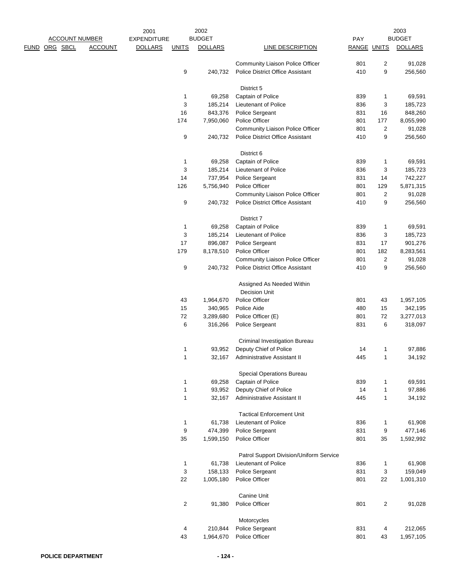|                       |                | 2001               |              | 2002           |                                                                             |             |                         | 2003                 |
|-----------------------|----------------|--------------------|--------------|----------------|-----------------------------------------------------------------------------|-------------|-------------------------|----------------------|
| <b>ACCOUNT NUMBER</b> |                | <b>EXPENDITURE</b> |              | <b>BUDGET</b>  |                                                                             | PAY         |                         | <b>BUDGET</b>        |
| ORG SBCL<br>FUND      | <b>ACCOUNT</b> | <b>DOLLARS</b>     | <b>UNITS</b> | <b>DOLLARS</b> | <b>LINE DESCRIPTION</b>                                                     | RANGE UNITS |                         | <b>DOLLARS</b>       |
|                       |                |                    |              |                | Community Liaison Police Officer                                            | 801         | 2                       | 91,028               |
|                       |                |                    | 9            | 240,732        | <b>Police District Office Assistant</b>                                     | 410         | 9                       | 256,560              |
|                       |                |                    |              |                |                                                                             |             |                         |                      |
|                       |                |                    | $\mathbf 1$  | 69,258         | District 5<br>Captain of Police                                             | 839         | 1                       | 69,591               |
|                       |                |                    | 3            | 185,214        |                                                                             | 836         | 3                       |                      |
|                       |                |                    | 16           | 843,376        | Lieutenant of Police                                                        |             |                         | 185,723<br>848,260   |
|                       |                |                    |              |                | Police Sergeant                                                             | 831         | 16                      |                      |
|                       |                |                    | 174          | 7,950,060      | Police Officer                                                              | 801         | 177                     | 8,055,990            |
|                       |                |                    | 9            |                | Community Liaison Police Officer<br><b>Police District Office Assistant</b> | 801<br>410  | 2<br>9                  | 91,028               |
|                       |                |                    |              | 240,732        |                                                                             |             |                         | 256,560              |
|                       |                |                    |              |                | District 6                                                                  |             |                         |                      |
|                       |                |                    | $\mathbf{1}$ | 69,258         | Captain of Police                                                           | 839         | 1                       | 69,591               |
|                       |                |                    | 3            | 185,214        | Lieutenant of Police                                                        | 836         | 3                       | 185,723              |
|                       |                |                    | 14           | 737,954        | Police Sergeant                                                             | 831         | 14                      | 742,227              |
|                       |                |                    | 126          | 5,756,940      | Police Officer                                                              | 801         | 129                     | 5,871,315            |
|                       |                |                    |              |                | Community Liaison Police Officer                                            | 801         | 2                       | 91,028               |
|                       |                |                    | 9            | 240,732        | <b>Police District Office Assistant</b>                                     | 410         | 9                       | 256,560              |
|                       |                |                    |              |                | District 7                                                                  |             |                         |                      |
|                       |                |                    | $\mathbf{1}$ | 69,258         | Captain of Police                                                           | 839         | 1                       | 69,591               |
|                       |                |                    | 3            | 185,214        | Lieutenant of Police                                                        | 836         | 3                       | 185,723              |
|                       |                |                    | 17           | 896,087        | Police Sergeant                                                             | 831         | 17                      | 901,276              |
|                       |                |                    | 179          | 8,178,510      | Police Officer                                                              | 801         | 182                     | 8,283,561            |
|                       |                |                    |              |                | Community Liaison Police Officer                                            | 801         | 2                       | 91,028               |
|                       |                |                    | 9            | 240,732        | Police District Office Assistant                                            | 410         | 9                       | 256,560              |
|                       |                |                    |              |                | Assigned As Needed Within<br><b>Decision Unit</b>                           |             |                         |                      |
|                       |                |                    | 43           | 1,964,670      | Police Officer                                                              | 801         | 43                      | 1,957,105            |
|                       |                |                    | 15           |                | Police Aide                                                                 | 480         | 15                      |                      |
|                       |                |                    | 72           | 340,965        |                                                                             |             |                         | 342,195<br>3,277,013 |
|                       |                |                    | 6            | 3,289,680      | Police Officer (E)                                                          | 801<br>831  | 72                      |                      |
|                       |                |                    |              | 316,266        | Police Sergeant                                                             |             | 6                       | 318,097              |
|                       |                |                    |              |                | Criminal Investigation Bureau                                               |             |                         |                      |
|                       |                |                    | 1            | 93,952         | Deputy Chief of Police                                                      | 14          | 1                       | 97,886               |
|                       |                |                    | 1            |                | 32,167 Administrative Assistant II                                          | 445         | 1                       | 34,192               |
|                       |                |                    |              |                | Special Operations Bureau                                                   |             |                         |                      |
|                       |                |                    | $\mathbf{1}$ | 69,258         | Captain of Police                                                           | 839         | $\mathbf 1$             | 69,591               |
|                       |                |                    | $\mathbf{1}$ | 93,952         | Deputy Chief of Police                                                      | 14          | $\mathbf 1$             | 97,886               |
|                       |                |                    | $\mathbf{1}$ | 32,167         | Administrative Assistant II                                                 | 445         | $\mathbf{1}$            | 34,192               |
|                       |                |                    |              |                | <b>Tactical Enforcement Unit</b>                                            |             |                         |                      |
|                       |                |                    | $\mathbf{1}$ | 61,738         | <b>Lieutenant of Police</b>                                                 | 836         | $\mathbf{1}$            | 61,908               |
|                       |                |                    | 9            | 474,399        | Police Sergeant                                                             | 831         | 9                       | 477,146              |
|                       |                |                    | 35           | 1,599,150      | Police Officer                                                              | 801         | 35                      | 1,592,992            |
|                       |                |                    |              |                | Patrol Support Division/Uniform Service                                     |             |                         |                      |
|                       |                |                    | $\mathbf{1}$ | 61,738         | Lieutenant of Police                                                        | 836         | $\mathbf{1}$            | 61,908               |
|                       |                |                    | 3            | 158,133        | Police Sergeant                                                             | 831         | 3                       | 159,049              |
|                       |                |                    | 22           | 1,005,180      | Police Officer                                                              | 801         | 22                      | 1,001,310            |
|                       |                |                    |              |                |                                                                             |             |                         |                      |
|                       |                |                    | $\sqrt{2}$   | 91,380         | <b>Canine Unit</b><br>Police Officer                                        | 801         | $\overline{\mathbf{c}}$ | 91,028               |
|                       |                |                    |              |                |                                                                             |             |                         |                      |
|                       |                |                    |              |                | Motorcycles                                                                 |             |                         |                      |
|                       |                |                    | 4            | 210,844        | Police Sergeant                                                             | 831         | 4                       | 212,065              |
|                       |                |                    | 43           | 1,964,670      | Police Officer                                                              | 801         | 43                      | 1,957,105            |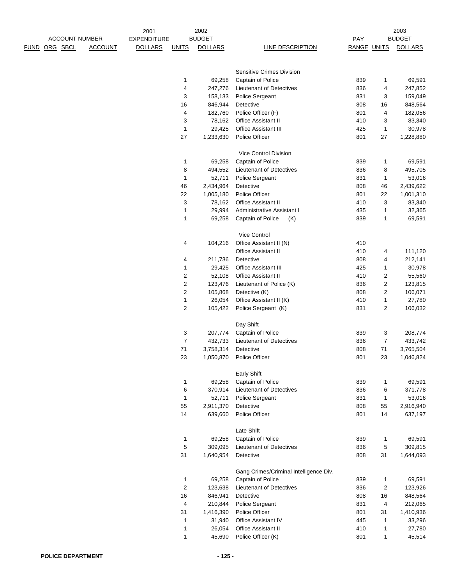|               | <b>ACCOUNT NUMBER</b> |                | 2001<br><b>EXPENDITURE</b> |                         | 2002<br><b>BUDGET</b> |                                        | PAY         |                | 2003<br><b>BUDGET</b> |
|---------------|-----------------------|----------------|----------------------------|-------------------------|-----------------------|----------------------------------------|-------------|----------------|-----------------------|
| FUND ORG SBCL |                       | <b>ACCOUNT</b> | <b>DOLLARS</b>             | <b>UNITS</b>            | <b>DOLLARS</b>        | LINE DESCRIPTION                       | RANGE UNITS |                | <b>DOLLARS</b>        |
|               |                       |                |                            |                         |                       |                                        |             |                |                       |
|               |                       |                |                            |                         |                       |                                        |             |                |                       |
|               |                       |                |                            |                         |                       | Sensitive Crimes Division              |             |                |                       |
|               |                       |                |                            | 1                       | 69,258                | Captain of Police                      | 839         | 1              | 69,591                |
|               |                       |                |                            | 4                       | 247,276               | Lieutenant of Detectives               | 836         | 4              | 247,852               |
|               |                       |                |                            | 3                       | 158,133               | Police Sergeant                        | 831         | 3              | 159,049               |
|               |                       |                |                            | 16                      | 846,944               | Detective                              | 808         | 16             | 848,564               |
|               |                       |                |                            | $\overline{\mathbf{4}}$ | 182,760               | Police Officer (F)                     | 801         | 4              | 182,056               |
|               |                       |                |                            | 3                       | 78,162                | Office Assistant II                    | 410         | 3              | 83,340                |
|               |                       |                |                            | $\mathbf{1}$            | 29,425                | <b>Office Assistant III</b>            | 425         | $\mathbf{1}$   | 30,978                |
|               |                       |                |                            | 27                      | 1,233,630             | Police Officer                         | 801         | 27             | 1,228,880             |
|               |                       |                |                            |                         |                       |                                        |             |                |                       |
|               |                       |                |                            |                         |                       | Vice Control Division                  |             |                |                       |
|               |                       |                |                            | 1                       | 69,258                | Captain of Police                      | 839         | 1              | 69,591                |
|               |                       |                |                            | 8                       | 494,552               | <b>Lieutenant of Detectives</b>        | 836         | 8              | 495,705               |
|               |                       |                |                            | $\mathbf{1}$            | 52,711                | Police Sergeant                        | 831         | 1              | 53,016                |
|               |                       |                |                            | 46                      | 2,434,964             | Detective                              | 808         | 46             | 2,439,622             |
|               |                       |                |                            | 22                      | 1,005,180             | Police Officer                         | 801         | 22             | 1,001,310             |
|               |                       |                |                            | 3                       | 78,162                | <b>Office Assistant II</b>             | 410         | 3              | 83,340                |
|               |                       |                |                            | 1                       | 29,994                | Administrative Assistant I             | 435         | 1              | 32,365                |
|               |                       |                |                            | 1                       | 69,258                | Captain of Police<br>(K)               | 839         | 1              | 69,591                |
|               |                       |                |                            |                         |                       |                                        |             |                |                       |
|               |                       |                |                            |                         |                       | Vice Control                           |             |                |                       |
|               |                       |                |                            | 4                       | 104,216               | Office Assistant II (N)                | 410         |                |                       |
|               |                       |                |                            |                         |                       | Office Assistant II                    | 410         | 4              | 111,120               |
|               |                       |                |                            | 4                       | 211,736               | Detective                              | 808         | 4              | 212,141               |
|               |                       |                |                            | 1                       | 29,425                | Office Assistant III                   | 425         | 1              | 30,978                |
|               |                       |                |                            | $\overline{c}$          | 52,108                | Office Assistant II                    | 410         | 2              | 55,560                |
|               |                       |                |                            | $\sqrt{2}$              | 123,476               | Lieutenant of Police (K)               | 836         | $\overline{c}$ | 123,815               |
|               |                       |                |                            | 2                       | 105,868               | Detective (K)                          | 808         | $\overline{2}$ | 106,071               |
|               |                       |                |                            | 1                       | 26,054                | Office Assistant II (K)                | 410         | $\mathbf{1}$   | 27,780                |
|               |                       |                |                            | $\overline{c}$          | 105,422               | Police Sergeant (K)                    | 831         | 2              | 106,032               |
|               |                       |                |                            |                         |                       |                                        |             |                |                       |
|               |                       |                |                            |                         |                       | Day Shift                              |             |                |                       |
|               |                       |                |                            | 3                       | 207,774               | Captain of Police                      | 839         | 3              | 208,774               |
|               |                       |                |                            | $\boldsymbol{7}$        | 432,733               | <b>Lieutenant of Detectives</b>        | 836         | $\overline{7}$ | 433,742               |
|               |                       |                |                            | 71                      | 3,758,314             | Detective                              | 808         | 71             | 3,765,504             |
|               |                       |                |                            | 23                      |                       | 1,050,870 Police Officer               | 801         | 23             | 1,046,824             |
|               |                       |                |                            |                         |                       |                                        |             |                |                       |
|               |                       |                |                            |                         |                       | <b>Early Shift</b>                     |             |                |                       |
|               |                       |                |                            | $\mathbf 1$             | 69,258                | Captain of Police                      | 839         | $\mathbf 1$    | 69,591                |
|               |                       |                |                            | 6                       | 370,914               | Lieutenant of Detectives               | 836         | 6              | 371,778               |
|               |                       |                |                            | $\mathbf{1}$            | 52,711                | Police Sergeant                        | 831         | $\mathbf{1}$   | 53,016                |
|               |                       |                |                            | 55                      | 2,911,370             | Detective                              | 808         | 55             | 2,916,940             |
|               |                       |                |                            | 14                      | 639,660               | Police Officer                         | 801         | 14             | 637,197               |
|               |                       |                |                            |                         |                       |                                        |             |                |                       |
|               |                       |                |                            |                         |                       | Late Shift                             |             |                |                       |
|               |                       |                |                            | 1                       | 69,258                | Captain of Police                      | 839         | 1              | 69,591                |
|               |                       |                |                            | $\,$ 5 $\,$             | 309,095               | Lieutenant of Detectives               | 836         | 5              | 309,815               |
|               |                       |                |                            | 31                      | 1,640,954             | Detective                              | 808         | 31             | 1,644,093             |
|               |                       |                |                            |                         |                       |                                        |             |                |                       |
|               |                       |                |                            |                         |                       | Gang Crimes/Criminal Intelligence Div. |             |                |                       |
|               |                       |                |                            | $\mathbf{1}$            | 69,258                | Captain of Police                      | 839         | 1              | 69,591                |
|               |                       |                |                            | $\overline{c}$          | 123,638               | Lieutenant of Detectives               | 836         | $\overline{2}$ | 123,926               |
|               |                       |                |                            | $16\,$                  | 846,941               | Detective                              | 808         | 16             | 848,564               |
|               |                       |                |                            | 4                       | 210,844               | Police Sergeant                        | 831         | 4              | 212,065               |
|               |                       |                |                            | 31                      | 1,416,390             | Police Officer                         | 801         | 31             | 1,410,936             |
|               |                       |                |                            | $\mathbf 1$             | 31,940                | Office Assistant IV                    | 445         | $\mathbf{1}$   | 33,296                |
|               |                       |                |                            | $\mathbf{1}$            | 26,054                | Office Assistant II                    | 410         | $\mathbf{1}$   | 27,780                |
|               |                       |                |                            | 1                       | 45,690                | Police Officer (K)                     | 801         | $\mathbf 1$    | 45,514                |
|               |                       |                |                            |                         |                       |                                        |             |                |                       |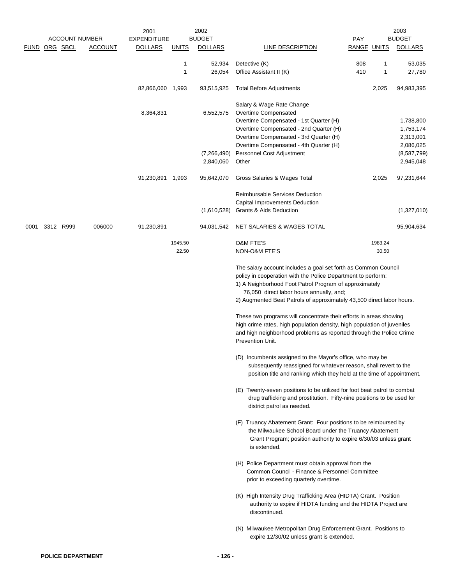|               |                       |                | 2002<br>2001       |                  |                          |                                                                                                                                                                                                                                                                                                               |                    | 2003             |                                                  |  |
|---------------|-----------------------|----------------|--------------------|------------------|--------------------------|---------------------------------------------------------------------------------------------------------------------------------------------------------------------------------------------------------------------------------------------------------------------------------------------------------------|--------------------|------------------|--------------------------------------------------|--|
|               | <b>ACCOUNT NUMBER</b> |                | <b>EXPENDITURE</b> |                  | <b>BUDGET</b>            |                                                                                                                                                                                                                                                                                                               | PAY                |                  | <b>BUDGET</b>                                    |  |
| FUND ORG SBCL |                       | <b>ACCOUNT</b> | <b>DOLLARS</b>     | <b>UNITS</b>     | <b>DOLLARS</b>           | LINE DESCRIPTION                                                                                                                                                                                                                                                                                              | <b>RANGE UNITS</b> |                  | <b>DOLLARS</b>                                   |  |
|               |                       |                |                    | 1<br>1           | 52,934<br>26,054         | Detective (K)<br>Office Assistant II (K)                                                                                                                                                                                                                                                                      | 808<br>410         | 1<br>1           | 53,035<br>27,780                                 |  |
|               |                       |                | 82,866,060 1,993   |                  | 93,515,925               | <b>Total Before Adjustments</b>                                                                                                                                                                                                                                                                               |                    | 2,025            | 94,983,395                                       |  |
|               |                       |                | 8,364,831          |                  | 6,552,575                | Salary & Wage Rate Change<br>Overtime Compensated<br>Overtime Compensated - 1st Quarter (H)<br>Overtime Compensated - 2nd Quarter (H)<br>Overtime Compensated - 3rd Quarter (H)<br>Overtime Compensated - 4th Quarter (H)                                                                                     |                    |                  | 1,738,800<br>1,753,174<br>2,313,001<br>2,086,025 |  |
|               |                       |                |                    |                  | (7,266,490)<br>2,840,060 | Personnel Cost Adjustment<br>Other                                                                                                                                                                                                                                                                            |                    |                  | (8,587,799)<br>2,945,048                         |  |
|               |                       |                | 91,230,891         | 1,993            | 95,642,070               | Gross Salaries & Wages Total                                                                                                                                                                                                                                                                                  |                    | 2,025            | 97,231,644                                       |  |
|               |                       |                |                    |                  | (1,610,528)              | <b>Reimbursable Services Deduction</b><br>Capital Improvements Deduction<br>Grants & Aids Deduction                                                                                                                                                                                                           |                    |                  | (1,327,010)                                      |  |
| 0001          | 3312 R999             | 006000         | 91,230,891         |                  | 94,031,542               | NET SALARIES & WAGES TOTAL                                                                                                                                                                                                                                                                                    |                    |                  | 95,904,634                                       |  |
|               |                       |                |                    | 1945.50<br>22.50 |                          | <b>O&amp;M FTE'S</b><br>NON-O&M FTE'S                                                                                                                                                                                                                                                                         |                    | 1983.24<br>30.50 |                                                  |  |
|               |                       |                |                    |                  |                          | The salary account includes a goal set forth as Common Council<br>policy in cooperation with the Police Department to perform:<br>1) A Neighborhood Foot Patrol Program of approximately<br>76,050 direct labor hours annually, and;<br>2) Augmented Beat Patrols of approximately 43,500 direct labor hours. |                    |                  |                                                  |  |
|               |                       |                |                    |                  |                          | These two programs will concentrate their efforts in areas showing<br>high crime rates, high population density, high population of juveniles<br>and high neighborhood problems as reported through the Police Crime<br>Prevention Unit.                                                                      |                    |                  |                                                  |  |
|               |                       |                |                    |                  |                          | (D) Incumbents assigned to the Mayor's office, who may be<br>subsequently reassigned for whatever reason, shall revert to the<br>position title and ranking which they held at the time of appointment.                                                                                                       |                    |                  |                                                  |  |
|               |                       |                |                    |                  |                          | (E) Twenty-seven positions to be utilized for foot beat patrol to combat<br>drug trafficking and prostitution. Fifty-nine positions to be used for<br>district patrol as needed.                                                                                                                              |                    |                  |                                                  |  |
|               |                       |                |                    |                  |                          | (F) Truancy Abatement Grant: Four positions to be reimbursed by<br>the Milwaukee School Board under the Truancy Abatement<br>Grant Program; position authority to expire 6/30/03 unless grant<br>is extended.                                                                                                 |                    |                  |                                                  |  |
|               |                       |                |                    |                  |                          | (H) Police Department must obtain approval from the<br>Common Council - Finance & Personnel Committee<br>prior to exceeding quarterly overtime.                                                                                                                                                               |                    |                  |                                                  |  |
|               |                       |                |                    |                  |                          | (K) High Intensity Drug Trafficking Area (HIDTA) Grant. Position<br>authority to expire if HIDTA funding and the HIDTA Project are<br>discontinued.                                                                                                                                                           |                    |                  |                                                  |  |
|               |                       |                |                    |                  |                          | (N) Milwaukee Metropolitan Drug Enforcement Grant. Positions to<br>expire 12/30/02 unless grant is extended.                                                                                                                                                                                                  |                    |                  |                                                  |  |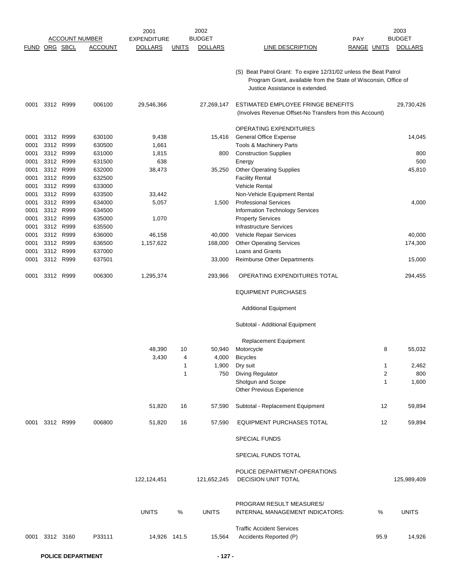|                      |                |           |                       | 2001               |                | 2002           |                                                                                                                                                                        |                    | 2003           |
|----------------------|----------------|-----------|-----------------------|--------------------|----------------|----------------|------------------------------------------------------------------------------------------------------------------------------------------------------------------------|--------------------|----------------|
|                      |                |           | <b>ACCOUNT NUMBER</b> | <b>EXPENDITURE</b> |                | <b>BUDGET</b>  |                                                                                                                                                                        | PAY                | <b>BUDGET</b>  |
| <b>FUND ORG SBCL</b> |                |           | <b>ACCOUNT</b>        | <b>DOLLARS</b>     | <u>UNITS</u>   | <b>DOLLARS</b> | LINE DESCRIPTION                                                                                                                                                       | <b>RANGE UNITS</b> | <b>DOLLARS</b> |
|                      |                |           |                       |                    |                |                | (S) Beat Patrol Grant: To expire 12/31/02 unless the Beat Patrol<br>Program Grant, available from the State of Wisconsin, Office of<br>Justice Assistance is extended. |                    |                |
| 0001                 |                | 3312 R999 | 006100                | 29,546,366         |                | 27,269,147     | ESTIMATED EMPLOYEE FRINGE BENEFITS<br>(Involves Revenue Offset-No Transfers from this Account)                                                                         |                    | 29,730,426     |
|                      |                |           |                       |                    |                |                | OPERATING EXPENDITURES                                                                                                                                                 |                    |                |
| 0001                 |                | 3312 R999 | 630100                | 9,438              |                | 15,416         | General Office Expense                                                                                                                                                 |                    | 14,045         |
| 0001                 | 3312 R999      |           | 630500                | 1,661              |                |                | Tools & Machinery Parts                                                                                                                                                |                    |                |
| 0001                 |                | 3312 R999 | 631000                | 1,815              |                | 800            | <b>Construction Supplies</b>                                                                                                                                           |                    | 800            |
| 0001                 | 3312 R999      |           | 631500                | 638                |                |                | Energy                                                                                                                                                                 |                    | 500            |
| 0001                 | 3312 R999      |           | 632000                | 38,473             |                | 35,250         | <b>Other Operating Supplies</b>                                                                                                                                        |                    | 45,810         |
| 0001                 | 3312 R999      |           | 632500                |                    |                |                | <b>Facility Rental</b>                                                                                                                                                 |                    |                |
| 0001                 | 3312 R999      |           | 633000                |                    |                |                | <b>Vehicle Rental</b>                                                                                                                                                  |                    |                |
| 0001                 | 3312 R999      |           | 633500                | 33,442             |                |                | Non-Vehicle Equipment Rental                                                                                                                                           |                    |                |
| 0001                 | 3312 R999      |           | 634000                | 5,057              |                | 1,500          | <b>Professional Services</b>                                                                                                                                           |                    | 4,000          |
| 0001                 | 3312           | R999      | 634500                |                    |                |                | Information Technology Services                                                                                                                                        |                    |                |
| 0001                 | 3312 R999      |           | 635000                | 1,070              |                |                | <b>Property Services</b>                                                                                                                                               |                    |                |
| 0001                 | 3312 R999      |           | 635500                |                    |                |                | <b>Infrastructure Services</b>                                                                                                                                         |                    |                |
| 0001                 | 3312 R999      |           | 636000                | 46,158             |                | 40,000         | Vehicle Repair Services                                                                                                                                                |                    | 40,000         |
| 0001                 |                | 3312 R999 | 636500                | 1,157,622          |                | 168,000        | <b>Other Operating Services</b>                                                                                                                                        |                    | 174,300        |
| 0001                 |                | 3312 R999 | 637000                |                    |                |                | Loans and Grants                                                                                                                                                       |                    |                |
| 0001                 | 3312 R999      |           | 637501                |                    |                | 33,000         | Reimburse Other Departments                                                                                                                                            |                    | 15,000         |
| 0001                 |                | 3312 R999 | 006300                | 1,295,374          |                | 293,966        | OPERATING EXPENDITURES TOTAL                                                                                                                                           |                    | 294,455        |
|                      |                |           |                       |                    |                |                | <b>EQUIPMENT PURCHASES</b>                                                                                                                                             |                    |                |
|                      |                |           |                       |                    |                |                | <b>Additional Equipment</b>                                                                                                                                            |                    |                |
|                      |                |           |                       |                    |                |                | Subtotal - Additional Equipment                                                                                                                                        |                    |                |
|                      |                |           |                       |                    |                |                | <b>Replacement Equipment</b>                                                                                                                                           |                    |                |
|                      |                |           |                       | 48,390             | 10             | 50,940         | Motorcycle                                                                                                                                                             | 8                  | 55,032         |
|                      |                |           |                       | 3,430              | $\overline{4}$ | 4,000          | <b>Bicycles</b>                                                                                                                                                        |                    |                |
|                      |                |           |                       |                    | 1              | 1,900          | Dry suit                                                                                                                                                               | $\mathbf 1$        | 2,462          |
|                      |                |           |                       |                    | $\mathbf{1}$   | 750            | Diving Regulator                                                                                                                                                       | $\overline{2}$     | 800            |
|                      |                |           |                       |                    |                |                | Shotgun and Scope                                                                                                                                                      | 1                  | 1,600          |
|                      |                |           |                       |                    |                |                | Other Previous Experience                                                                                                                                              |                    |                |
|                      |                |           |                       | 51,820             | 16             | 57,590         | Subtotal - Replacement Equipment                                                                                                                                       | 12                 | 59,894         |
|                      | 0001 3312 R999 |           | 006800                | 51,820             | 16             | 57,590         | EQUIPMENT PURCHASES TOTAL                                                                                                                                              | 12                 | 59,894         |
|                      |                |           |                       |                    |                |                | <b>SPECIAL FUNDS</b>                                                                                                                                                   |                    |                |
|                      |                |           |                       |                    |                |                | SPECIAL FUNDS TOTAL                                                                                                                                                    |                    |                |
|                      |                |           |                       |                    |                |                | POLICE DEPARTMENT-OPERATIONS                                                                                                                                           |                    |                |
|                      |                |           |                       | 122,124,451        |                | 121,652,245    | <b>DECISION UNIT TOTAL</b>                                                                                                                                             |                    | 125,989,409    |
|                      |                |           |                       |                    |                |                | PROGRAM RESULT MEASURES/                                                                                                                                               |                    |                |
|                      |                |           |                       | <b>UNITS</b>       | %              | <b>UNITS</b>   | INTERNAL MANAGEMENT INDICATORS:                                                                                                                                        | %                  | <b>UNITS</b>   |
|                      |                |           |                       |                    |                |                | <b>Traffic Accident Services</b>                                                                                                                                       |                    |                |
|                      | 0001 3312 3160 |           | P33111                | 14,926 141.5       |                | 15,564         | Accidents Reported (P)                                                                                                                                                 | 95.9               | 14,926         |
|                      |                |           |                       |                    |                |                |                                                                                                                                                                        |                    |                |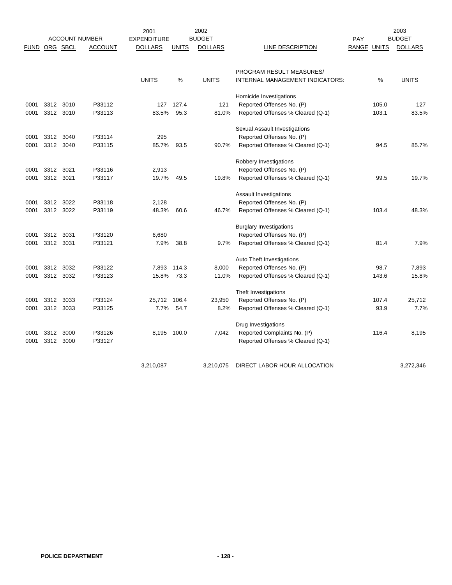|               |           |      | <b>ACCOUNT NUMBER</b> | 2001<br><b>EXPENDITURE</b> |              | 2002<br><b>BUDGET</b> |                                   | PAY   |              | 2003<br><b>BUDGET</b> |
|---------------|-----------|------|-----------------------|----------------------------|--------------|-----------------------|-----------------------------------|-------|--------------|-----------------------|
| FUND ORG SBCL |           |      | ACCOUNT               | <b>DOLLARS</b>             | <b>UNITS</b> | <b>DOLLARS</b>        | LINE DESCRIPTION                  | RANGE | <b>UNITS</b> | <b>DOLLARS</b>        |
|               |           |      |                       |                            |              |                       |                                   |       |              |                       |
|               |           |      |                       |                            |              |                       | PROGRAM RESULT MEASURES/          |       |              |                       |
|               |           |      |                       | <b>UNITS</b>               | %            | <b>UNITS</b>          | INTERNAL MANAGEMENT INDICATORS:   |       | $\%$         | <b>UNITS</b>          |
|               |           |      |                       |                            |              |                       | Homicide Investigations           |       |              |                       |
| 0001          | 3312      | 3010 | P33112                | 127                        | 127.4        | 121                   | Reported Offenses No. (P)         |       | 105.0        | 127                   |
| 0001          | 3312 3010 |      | P33113                | 83.5%                      | 95.3         | 81.0%                 | Reported Offenses % Cleared (Q-1) |       | 103.1        | 83.5%                 |
|               |           |      |                       |                            |              |                       | Sexual Assault Investigations     |       |              |                       |
| 0001          | 3312      | 3040 | P33114                | 295                        |              |                       | Reported Offenses No. (P)         |       |              |                       |
| 0001          | 3312 3040 |      | P33115                | 85.7%                      | 93.5         | 90.7%                 | Reported Offenses % Cleared (Q-1) |       | 94.5         | 85.7%                 |
|               |           |      |                       |                            |              |                       | Robbery Investigations            |       |              |                       |
| 0001          | 3312 3021 |      | P33116                | 2,913                      |              |                       | Reported Offenses No. (P)         |       |              |                       |
| 0001          | 3312 3021 |      | P33117                | 19.7%                      | 49.5         | 19.8%                 | Reported Offenses % Cleared (Q-1) |       | 99.5         | 19.7%                 |
|               |           |      |                       |                            |              |                       | Assault Investigations            |       |              |                       |
| 0001          | 3312 3022 |      | P33118                | 2,128                      |              |                       | Reported Offenses No. (P)         |       |              |                       |
| 0001          | 3312 3022 |      | P33119                | 48.3%                      | 60.6         | 46.7%                 | Reported Offenses % Cleared (Q-1) |       | 103.4        | 48.3%                 |
|               |           |      |                       |                            |              |                       | <b>Burglary Investigations</b>    |       |              |                       |
| 0001          | 3312      | 3031 | P33120                | 6,680                      |              |                       | Reported Offenses No. (P)         |       |              |                       |
| 0001          | 3312 3031 |      | P33121                | 7.9%                       | 38.8         | 9.7%                  | Reported Offenses % Cleared (Q-1) |       | 81.4         | 7.9%                  |
|               |           |      |                       |                            |              |                       | Auto Theft Investigations         |       |              |                       |
| 0001          | 3312      | 3032 | P33122                | 7,893                      | 114.3        | 8,000                 | Reported Offenses No. (P)         |       | 98.7         | 7,893                 |
| 0001          | 3312 3032 |      | P33123                | 15.8%                      | 73.3         | 11.0%                 | Reported Offenses % Cleared (Q-1) |       | 143.6        | 15.8%                 |
|               |           |      |                       |                            |              |                       | Theft Investigations              |       |              |                       |
| 0001          | 3312      | 3033 | P33124                | 25,712 106.4               |              | 23,950                | Reported Offenses No. (P)         |       | 107.4        | 25,712                |
| 0001          | 3312      | 3033 | P33125                | 7.7%                       | 54.7         | 8.2%                  | Reported Offenses % Cleared (Q-1) |       | 93.9         | 7.7%                  |
|               |           |      |                       |                            |              |                       | Drug Investigations               |       |              |                       |
| 0001          | 3312      | 3000 | P33126                | 8,195 100.0                |              | 7,042                 | Reported Complaints No. (P)       |       | 116.4        | 8,195                 |
| 0001          | 3312      | 3000 | P33127                |                            |              |                       | Reported Offenses % Cleared (Q-1) |       |              |                       |
|               |           |      |                       | 3,210,087                  |              | 3,210,075             | DIRECT LABOR HOUR ALLOCATION      |       |              | 3,272,346             |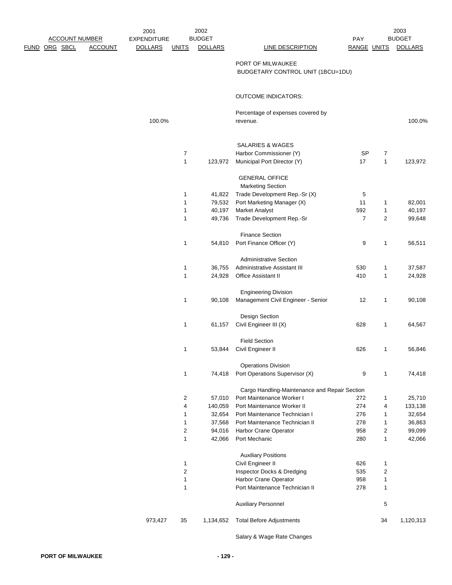| <b>ACCOUNT NUMBER</b> |                | 2001<br><b>EXPENDITURE</b> |                     | 2002<br><b>BUDGET</b> |                                                           | PAY            |                     | 2003<br><b>BUDGET</b> |
|-----------------------|----------------|----------------------------|---------------------|-----------------------|-----------------------------------------------------------|----------------|---------------------|-----------------------|
| <u>FUND ORG SBCL</u>  | <b>ACCOUNT</b> | <b>DOLLARS</b>             | <b>UNITS</b>        | <b>DOLLARS</b>        | LINE DESCRIPTION                                          | RANGE UNITS    |                     | <b>DOLLARS</b>        |
|                       |                |                            |                     |                       |                                                           |                |                     |                       |
|                       |                |                            |                     |                       | PORT OF MILWAUKEE<br>BUDGETARY CONTROL UNIT (1BCU=1DU)    |                |                     |                       |
|                       |                |                            |                     |                       |                                                           |                |                     |                       |
|                       |                |                            |                     |                       | <b>OUTCOME INDICATORS:</b>                                |                |                     |                       |
|                       |                |                            |                     |                       | Percentage of expenses covered by                         |                |                     |                       |
|                       |                | 100.0%                     |                     |                       | revenue.                                                  |                |                     | 100.0%                |
|                       |                |                            |                     |                       |                                                           |                |                     |                       |
|                       |                |                            | $\overline{7}$      |                       | <b>SALARIES &amp; WAGES</b><br>Harbor Commissioner (Y)    | <b>SP</b>      | $\overline{7}$      |                       |
|                       |                |                            | 1                   | 123,972               | Municipal Port Director (Y)                               | 17             | $\mathbf{1}$        | 123,972               |
|                       |                |                            |                     |                       |                                                           |                |                     |                       |
|                       |                |                            |                     |                       | <b>GENERAL OFFICE</b>                                     |                |                     |                       |
|                       |                |                            | 1                   | 41,822                | <b>Marketing Section</b><br>Trade Development Rep.-Sr (X) |                |                     |                       |
|                       |                |                            | 1                   | 79,532                | Port Marketing Manager (X)                                | 5<br>11        | $\mathbf{1}$        | 82,001                |
|                       |                |                            | 1                   | 40,197                | <b>Market Analyst</b>                                     | 592            | 1                   | 40,197                |
|                       |                |                            | 1                   | 49,736                | Trade Development Rep.-Sr                                 | $\overline{7}$ | $\overline{2}$      | 99,648                |
|                       |                |                            |                     |                       |                                                           |                |                     |                       |
|                       |                |                            | 1                   | 54,810                | <b>Finance Section</b><br>Port Finance Officer (Y)        | 9              | $\mathbf{1}$        | 56,511                |
|                       |                |                            |                     |                       | <b>Administrative Section</b>                             |                |                     |                       |
|                       |                |                            | 1                   | 36,755                | Administrative Assistant III                              | 530            | $\mathbf 1$         | 37,587                |
|                       |                |                            | 1                   | 24,928                | Office Assistant II                                       | 410            | 1                   | 24,928                |
|                       |                |                            |                     |                       |                                                           |                |                     |                       |
|                       |                |                            |                     |                       | <b>Engineering Division</b>                               |                |                     |                       |
|                       |                |                            | 1                   | 90,108                | Management Civil Engineer - Senior                        | 12             | 1                   | 90,108                |
|                       |                |                            |                     |                       | Design Section                                            |                |                     |                       |
|                       |                |                            | 1                   | 61,157                | Civil Engineer III (X)                                    | 628            | 1                   | 64,567                |
|                       |                |                            |                     |                       | <b>Field Section</b>                                      |                |                     |                       |
|                       |                |                            | 1                   | 53,844                | Civil Engineer II                                         | 626            | $\mathbf{1}$        | 56,846                |
|                       |                |                            |                     |                       | <b>Operations Division</b>                                |                |                     |                       |
|                       |                |                            | 1                   | 74,418                | Port Operations Supervisor (X)                            | 9              | 1                   | 74,418                |
|                       |                |                            |                     |                       | Cargo Handling-Maintenance and Repair Section             |                |                     |                       |
|                       |                |                            | 2                   | 57,010                | Port Maintenance Worker I                                 | 272            | $\mathbf{1}$        | 25,710                |
|                       |                |                            | 4                   | 140,059               | Port Maintenance Worker II                                | 274            | 4                   | 133,138               |
|                       |                |                            | 1                   | 32,654                | Port Maintenance Technician I                             | 276            | 1                   | 32,654                |
|                       |                |                            | 1                   | 37,568                | Port Maintenance Technician II                            | 278            | $\mathbf 1$         | 36,863                |
|                       |                |                            | $\overline{c}$<br>1 | 94,016<br>42,066      | Harbor Crane Operator<br>Port Mechanic                    | 958<br>280     | $\overline{2}$<br>1 | 99,099                |
|                       |                |                            |                     |                       |                                                           |                |                     | 42,066                |
|                       |                |                            |                     |                       | <b>Auxiliary Positions</b>                                |                |                     |                       |
|                       |                |                            | 1<br>$\overline{c}$ |                       | Civil Engineer II<br>Inspector Docks & Dredging           | 626<br>535     | 1<br>$\overline{2}$ |                       |
|                       |                |                            | 1                   |                       | Harbor Crane Operator                                     | 958            | 1                   |                       |
|                       |                |                            | 1                   |                       | Port Maintenance Technician II                            | 278            | 1                   |                       |
|                       |                |                            |                     |                       | <b>Auxiliary Personnel</b>                                |                | 5                   |                       |
|                       |                |                            |                     |                       |                                                           |                |                     |                       |
|                       |                | 973,427                    | 35                  | 1,134,652             | <b>Total Before Adjustments</b>                           |                | 34                  | 1,120,313             |

Salary & Wage Rate Changes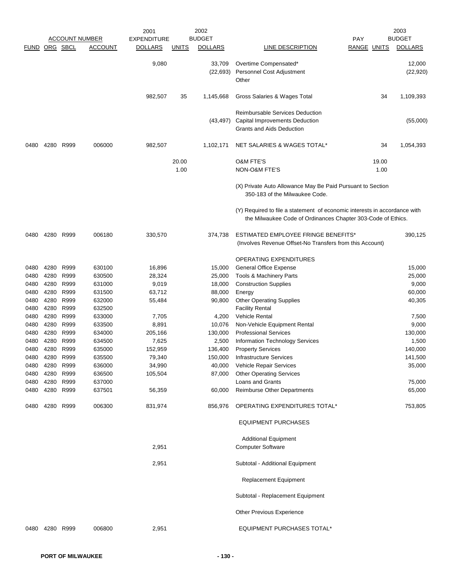|               |           |           |                       | 2001               |               | 2002                |                                                                                                                                           |                    | 2003                |
|---------------|-----------|-----------|-----------------------|--------------------|---------------|---------------------|-------------------------------------------------------------------------------------------------------------------------------------------|--------------------|---------------------|
|               |           |           | <b>ACCOUNT NUMBER</b> | <b>EXPENDITURE</b> |               | <b>BUDGET</b>       |                                                                                                                                           | <b>PAY</b>         | <b>BUDGET</b>       |
| FUND ORG SBCL |           |           | <b>ACCOUNT</b>        | <b>DOLLARS</b>     | <b>UNITS</b>  | <b>DOLLARS</b>      | LINE DESCRIPTION                                                                                                                          | <b>RANGE UNITS</b> | <b>DOLLARS</b>      |
|               |           |           |                       | 9,080              |               | 33,709<br>(22, 693) | Overtime Compensated*<br>Personnel Cost Adjustment<br>Other                                                                               |                    | 12,000<br>(22, 920) |
|               |           |           |                       | 982,507            | 35            | 1,145,668           | Gross Salaries & Wages Total                                                                                                              | 34                 | 1,109,393           |
|               |           |           |                       |                    |               | (43, 497)           | <b>Reimbursable Services Deduction</b><br><b>Capital Improvements Deduction</b><br>Grants and Aids Deduction                              |                    | (55,000)            |
| 0480          | 4280      | R999      | 006000                | 982,507            |               | 1,102,171           | NET SALARIES & WAGES TOTAL*                                                                                                               | 34                 | 1,054,393           |
|               |           |           |                       |                    | 20.00<br>1.00 |                     | <b>O&amp;M FTE'S</b><br>NON-O&M FTE'S                                                                                                     | 19.00<br>1.00      |                     |
|               |           |           |                       |                    |               |                     | (X) Private Auto Allowance May Be Paid Pursuant to Section<br>350-183 of the Milwaukee Code.                                              |                    |                     |
|               |           |           |                       |                    |               |                     | (Y) Required to file a statement of economic interests in accordance with<br>the Milwaukee Code of Ordinances Chapter 303-Code of Ethics. |                    |                     |
| 0480          |           | 4280 R999 | 006180                | 330,570            |               | 374,738             | ESTIMATED EMPLOYEE FRINGE BENEFITS*<br>(Involves Revenue Offset-No Transfers from this Account)                                           |                    | 390,125             |
|               |           |           |                       |                    |               |                     | OPERATING EXPENDITURES                                                                                                                    |                    |                     |
| 0480          | 4280      | R999      | 630100                | 16,896             |               | 15,000              | <b>General Office Expense</b>                                                                                                             |                    | 15,000              |
| 0480          | 4280      | R999      | 630500                | 28,324             |               | 25,000              | Tools & Machinery Parts                                                                                                                   |                    | 25,000              |
| 0480          | 4280      | R999      | 631000                | 9,019              |               | 18,000              | <b>Construction Supplies</b>                                                                                                              |                    | 9,000               |
| 0480          | 4280      | R999      | 631500                | 63,712             |               | 88,000              | Energy                                                                                                                                    |                    | 60,000              |
| 0480          | 4280      | R999      | 632000                | 55,484             |               | 90,800              | <b>Other Operating Supplies</b>                                                                                                           |                    | 40,305              |
| 0480          | 4280      | R999      | 632500                |                    |               |                     | <b>Facility Rental</b>                                                                                                                    |                    |                     |
| 0480          | 4280      | R999      | 633000                | 7,705              |               | 4,200               | <b>Vehicle Rental</b>                                                                                                                     |                    | 7,500               |
| 0480          |           | 4280 R999 | 633500                | 8,891              |               | 10,076              | Non-Vehicle Equipment Rental                                                                                                              |                    | 9,000               |
| 0480          | 4280      | R999      | 634000                | 205,166            |               | 130,000             | <b>Professional Services</b>                                                                                                              |                    | 130,000             |
| 0480          | 4280      | R999      | 634500                | 7,625              |               | 2,500               | Information Technology Services                                                                                                           |                    | 1,500               |
| 0480          | 4280      | R999      | 635000                | 152,959            |               | 136,400             | <b>Property Services</b>                                                                                                                  |                    | 140,000             |
| 0480          | 4280      | R999      | 635500                | 79,340             |               | 150,000             | <b>Infrastructure Services</b>                                                                                                            |                    | 141,500             |
| 0480          |           | 4280 R999 | 636000                | 34,990             |               |                     | 40,000 Vehicle Repair Services                                                                                                            |                    | 35,000              |
| 0480          | 4280 R999 |           | 636500                | 105,504            |               | 87,000              | <b>Other Operating Services</b>                                                                                                           |                    |                     |
| 0480          |           | 4280 R999 | 637000                |                    |               |                     | Loans and Grants                                                                                                                          |                    | 75,000              |
| 0480          | 4280 R999 |           | 637501                | 56,359             |               | 60,000              | <b>Reimburse Other Departments</b>                                                                                                        |                    | 65,000              |
| 0480          |           | 4280 R999 | 006300                | 831,974            |               | 856,976             | OPERATING EXPENDITURES TOTAL*                                                                                                             |                    | 753,805             |
|               |           |           |                       |                    |               |                     | <b>EQUIPMENT PURCHASES</b>                                                                                                                |                    |                     |
|               |           |           |                       |                    |               |                     | <b>Additional Equipment</b>                                                                                                               |                    |                     |
|               |           |           |                       | 2,951              |               |                     | <b>Computer Software</b>                                                                                                                  |                    |                     |
|               |           |           |                       | 2,951              |               |                     | Subtotal - Additional Equipment                                                                                                           |                    |                     |
|               |           |           |                       |                    |               |                     | <b>Replacement Equipment</b>                                                                                                              |                    |                     |
|               |           |           |                       |                    |               |                     | Subtotal - Replacement Equipment                                                                                                          |                    |                     |
|               |           |           |                       |                    |               |                     | Other Previous Experience                                                                                                                 |                    |                     |
| 0480          | 4280 R999 |           | 006800                | 2,951              |               |                     | <b>EQUIPMENT PURCHASES TOTAL*</b>                                                                                                         |                    |                     |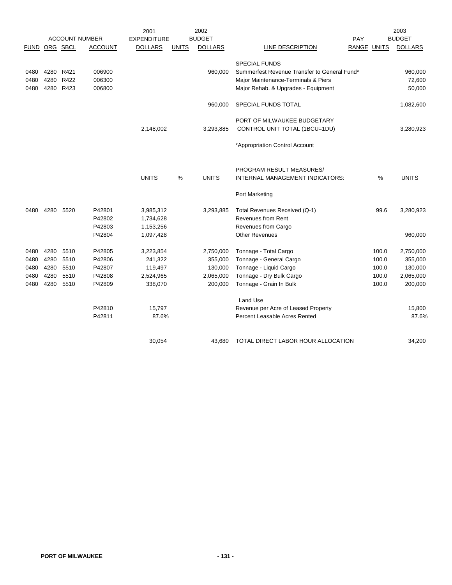|               |      |           |                       | 2001               |              | 2002           |                                              |                    |       | 2003           |
|---------------|------|-----------|-----------------------|--------------------|--------------|----------------|----------------------------------------------|--------------------|-------|----------------|
|               |      |           | <b>ACCOUNT NUMBER</b> | <b>EXPENDITURE</b> |              | <b>BUDGET</b>  |                                              | <b>PAY</b>         |       | <b>BUDGET</b>  |
| FUND ORG SBCL |      |           | <b>ACCOUNT</b>        | <b>DOLLARS</b>     | <b>UNITS</b> | <b>DOLLARS</b> | LINE DESCRIPTION                             | <b>RANGE UNITS</b> |       | <b>DOLLARS</b> |
|               |      |           |                       |                    |              |                | <b>SPECIAL FUNDS</b>                         |                    |       |                |
| 0480          | 4280 | R421      | 006900                |                    |              | 960,000        | Summerfest Revenue Transfer to General Fund* |                    |       | 960,000        |
| 0480          | 4280 | R422      | 006300                |                    |              |                | Major Maintenance-Terminals & Piers          |                    |       | 72,600         |
| 0480          |      | 4280 R423 | 006800                |                    |              |                | Major Rehab. & Upgrades - Equipment          |                    |       | 50,000         |
|               |      |           |                       |                    |              |                |                                              |                    |       |                |
|               |      |           |                       |                    |              | 960.000        | SPECIAL FUNDS TOTAL                          |                    |       | 1,082,600      |
|               |      |           |                       |                    |              |                | PORT OF MILWAUKEE BUDGETARY                  |                    |       |                |
|               |      |           |                       | 2,148,002          |              | 3,293,885      | CONTROL UNIT TOTAL (1BCU=1DU)                |                    |       | 3,280,923      |
|               |      |           |                       |                    |              |                |                                              |                    |       |                |
|               |      |           |                       |                    |              |                | *Appropriation Control Account               |                    |       |                |
|               |      |           |                       |                    |              |                |                                              |                    |       |                |
|               |      |           |                       |                    |              |                | PROGRAM RESULT MEASURES/                     |                    |       |                |
|               |      |           |                       | <b>UNITS</b>       | %            | <b>UNITS</b>   | INTERNAL MANAGEMENT INDICATORS:              |                    | %     | <b>UNITS</b>   |
|               |      |           |                       |                    |              |                | Port Marketing                               |                    |       |                |
| 0480          | 4280 | 5520      | P42801                | 3,985,312          |              | 3,293,885      | Total Revenues Received (Q-1)                |                    | 99.6  | 3,280,923      |
|               |      |           | P42802                | 1,734,628          |              |                | <b>Revenues from Rent</b>                    |                    |       |                |
|               |      |           | P42803                | 1,153,256          |              |                | Revenues from Cargo                          |                    |       |                |
|               |      |           | P42804                | 1,097,428          |              |                | <b>Other Revenues</b>                        |                    |       | 960,000        |
| 0480          | 4280 | 5510      | P42805                | 3,223,854          |              | 2,750,000      | Tonnage - Total Cargo                        |                    | 100.0 | 2,750,000      |
| 0480          | 4280 | 5510      | P42806                | 241,322            |              | 355,000        | Tonnage - General Cargo                      |                    | 100.0 | 355,000        |
| 0480          | 4280 | 5510      | P42807                | 119,497            |              | 130,000        | Tonnage - Liquid Cargo                       |                    | 100.0 | 130,000        |
| 0480          | 4280 | 5510      | P42808                | 2,524,965          |              | 2,065,000      | Tonnage - Dry Bulk Cargo                     |                    | 100.0 | 2,065,000      |
| 0480          | 4280 | 5510      | P42809                | 338,070            |              | 200,000        | Tonnage - Grain In Bulk                      |                    | 100.0 | 200,000        |
|               |      |           |                       |                    |              |                | Land Use                                     |                    |       |                |
|               |      |           | P42810                | 15,797             |              |                | Revenue per Acre of Leased Property          |                    |       | 15,800         |
|               |      |           | P42811                | 87.6%              |              |                | Percent Leasable Acres Rented                |                    |       | 87.6%          |
|               |      |           |                       |                    |              |                |                                              |                    |       |                |
|               |      |           |                       | 30,054             |              | 43,680         | TOTAL DIRECT LABOR HOUR ALLOCATION           |                    |       | 34,200         |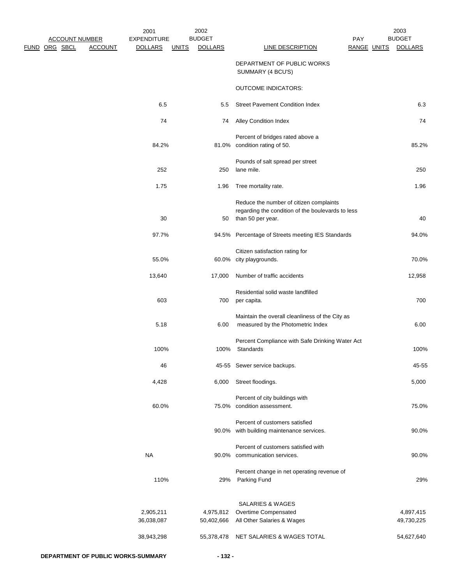| 2003                            |                           |                                                                                                                   | 2002                            |              | 2001                                 |                |                                   |      |
|---------------------------------|---------------------------|-------------------------------------------------------------------------------------------------------------------|---------------------------------|--------------|--------------------------------------|----------------|-----------------------------------|------|
| <b>BUDGET</b><br><b>DOLLARS</b> | PAY<br><b>RANGE UNITS</b> | <b>LINE DESCRIPTION</b>                                                                                           | <b>BUDGET</b><br><b>DOLLARS</b> | <b>UNITS</b> | <b>EXPENDITURE</b><br><b>DOLLARS</b> | <b>ACCOUNT</b> | <b>ACCOUNT NUMBER</b><br>ORG SBCL | FUND |
|                                 |                           | DEPARTMENT OF PUBLIC WORKS<br>SUMMARY (4 BCU'S)                                                                   |                                 |              |                                      |                |                                   |      |
|                                 |                           | <b>OUTCOME INDICATORS:</b>                                                                                        |                                 |              |                                      |                |                                   |      |
| 6.3                             |                           | <b>Street Pavement Condition Index</b>                                                                            | 5.5                             |              | 6.5                                  |                |                                   |      |
| 74                              |                           | <b>Alley Condition Index</b>                                                                                      | 74                              |              | 74                                   |                |                                   |      |
|                                 |                           | Percent of bridges rated above a                                                                                  |                                 |              |                                      |                |                                   |      |
| 85.2%                           |                           | 81.0% condition rating of 50.                                                                                     |                                 |              | 84.2%                                |                |                                   |      |
| 250                             |                           | Pounds of salt spread per street<br>lane mile.                                                                    | 250                             |              | 252                                  |                |                                   |      |
| 1.96                            |                           | Tree mortality rate.                                                                                              | 1.96                            |              | 1.75                                 |                |                                   |      |
| 40                              |                           | Reduce the number of citizen complaints<br>regarding the condition of the boulevards to less<br>than 50 per year. | 50                              |              | 30                                   |                |                                   |      |
| 94.0%                           |                           | 94.5% Percentage of Streets meeting IES Standards                                                                 |                                 |              | 97.7%                                |                |                                   |      |
| 70.0%                           |                           | Citizen satisfaction rating for<br>60.0% city playgrounds.                                                        |                                 |              | 55.0%                                |                |                                   |      |
| 12,958                          |                           | Number of traffic accidents                                                                                       | 17,000                          |              | 13,640                               |                |                                   |      |
| 700                             |                           | Residential solid waste landfilled<br>per capita.                                                                 | 700                             |              | 603                                  |                |                                   |      |
| 6.00                            |                           | Maintain the overall cleanliness of the City as<br>measured by the Photometric Index                              | 6.00                            |              | 5.18                                 |                |                                   |      |
| 100%                            |                           | Percent Compliance with Safe Drinking Water Act<br>Standards                                                      | 100%                            |              | 100%                                 |                |                                   |      |
| 45-55                           |                           | 45-55 Sewer service backups.                                                                                      |                                 |              | 46                                   |                |                                   |      |
| 5,000                           |                           | Street floodings.                                                                                                 | 6,000                           |              | 4,428                                |                |                                   |      |
| 75.0%                           |                           | Percent of city buildings with<br>75.0% condition assessment.                                                     |                                 |              | 60.0%                                |                |                                   |      |
| 90.0%                           |                           | Percent of customers satisfied<br>90.0% with building maintenance services.                                       |                                 |              |                                      |                |                                   |      |
| 90.0%                           |                           | Percent of customers satisfied with<br>90.0% communication services.                                              |                                 |              | <b>NA</b>                            |                |                                   |      |
| 29%                             |                           | Percent change in net operating revenue of<br>29% Parking Fund                                                    |                                 |              | 110%                                 |                |                                   |      |
| 4,897,415<br>49,730,225         |                           | <b>SALARIES &amp; WAGES</b><br>4,975,812 Overtime Compensated<br>50,402,666 All Other Salaries & Wages            |                                 |              | 2,905,211<br>36,038,087              |                |                                   |      |
| 54,627,640                      |                           | 55,378,478 NET SALARIES & WAGES TOTAL                                                                             |                                 |              | 38,943,298                           |                |                                   |      |
|                                 |                           |                                                                                                                   | $-132-$                         |              | DEPARTMENT OF PUBLIC WORKS-SUMMARY   |                |                                   |      |
|                                 |                           |                                                                                                                   |                                 |              |                                      |                |                                   |      |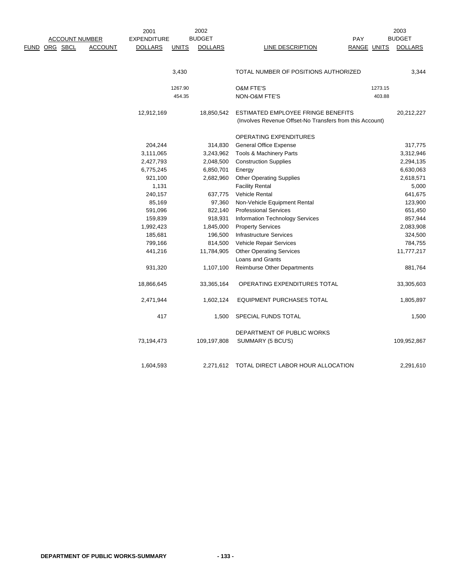|                                 | 2001               |              | 2002           |                                                          |             |         | 2003           |
|---------------------------------|--------------------|--------------|----------------|----------------------------------------------------------|-------------|---------|----------------|
| <b>ACCOUNT NUMBER</b>           | <b>EXPENDITURE</b> |              | <b>BUDGET</b>  |                                                          | PAY         |         | <b>BUDGET</b>  |
| FUND ORG SBCL<br><b>ACCOUNT</b> | <b>DOLLARS</b>     | <b>UNITS</b> | <b>DOLLARS</b> | LINE DESCRIPTION                                         | RANGE UNITS |         | <b>DOLLARS</b> |
|                                 |                    |              |                |                                                          |             |         |                |
|                                 |                    | 3,430        |                | TOTAL NUMBER OF POSITIONS AUTHORIZED                     |             |         | 3,344          |
|                                 |                    | 1267.90      |                | <b>O&amp;M FTE'S</b>                                     |             | 1273.15 |                |
|                                 |                    | 454.35       |                | NON-O&M FTE'S                                            |             | 403.88  |                |
|                                 | 12,912,169         |              | 18,850,542     | ESTIMATED EMPLOYEE FRINGE BENEFITS                       |             |         | 20,212,227     |
|                                 |                    |              |                | (Involves Revenue Offset-No Transfers from this Account) |             |         |                |
|                                 |                    |              |                | OPERATING EXPENDITURES                                   |             |         |                |
|                                 | 204,244            |              | 314,830        | <b>General Office Expense</b>                            |             |         | 317,775        |
|                                 | 3,111,065          |              | 3,243,962      | Tools & Machinery Parts                                  |             |         | 3,312,946      |
|                                 | 2,427,793          |              | 2,048,500      | <b>Construction Supplies</b>                             |             |         | 2,294,135      |
|                                 | 6,775,245          |              | 6,850,701      | Energy                                                   |             |         | 6,630,063      |
|                                 | 921,100            |              | 2,682,960      | <b>Other Operating Supplies</b>                          |             |         | 2,618,571      |
|                                 | 1,131              |              |                | <b>Facility Rental</b>                                   |             |         | 5,000          |
|                                 | 240,157            |              | 637,775        | Vehicle Rental                                           |             |         | 641,675        |
|                                 | 85,169             |              | 97,360         | Non-Vehicle Equipment Rental                             |             |         | 123,900        |
|                                 | 591,096            |              | 822,140        | <b>Professional Services</b>                             |             |         | 651,450        |
|                                 | 159,839            |              | 918,931        | Information Technology Services                          |             |         | 857,944        |
|                                 | 1,992,423          |              | 1,845,000      | <b>Property Services</b>                                 |             |         | 2,083,908      |
|                                 | 185,681            |              | 196,500        | <b>Infrastructure Services</b>                           |             |         | 324,500        |
|                                 | 799,166            |              | 814,500        | Vehicle Repair Services                                  |             |         | 784,755        |
|                                 | 441,216            |              | 11,784,905     | <b>Other Operating Services</b>                          |             |         | 11,777,217     |
|                                 |                    |              |                | Loans and Grants                                         |             |         |                |
|                                 | 931,320            |              | 1,107,100      | Reimburse Other Departments                              |             |         | 881,764        |
|                                 | 18,866,645         |              | 33,365,164     | OPERATING EXPENDITURES TOTAL                             |             |         | 33,305,603     |
|                                 | 2,471,944          |              | 1,602,124      | <b>EQUIPMENT PURCHASES TOTAL</b>                         |             |         | 1,805,897      |
|                                 | 417                |              | 1,500          | SPECIAL FUNDS TOTAL                                      |             |         | 1,500          |
|                                 |                    |              |                | DEPARTMENT OF PUBLIC WORKS                               |             |         |                |
|                                 | 73,194,473         |              | 109,197,808    | SUMMARY (5 BCU'S)                                        |             |         | 109,952,867    |
|                                 | 1.604.593          |              | 2.271.612      | TOTAL DIRECT LABOR HOUR ALLOCATION                       |             |         | 2,291,610      |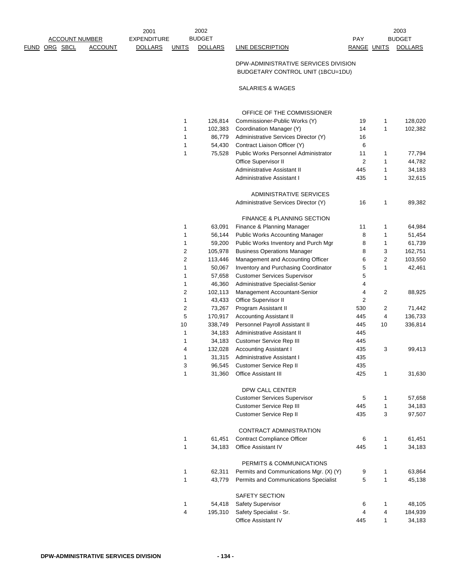| <b>ACCOUNT NUMBER</b> |                | 2001<br><b>EXPENDITURE</b> |              | 2002<br><b>BUDGET</b> |                                                                           | <b>PAY</b>  |                | 2003<br><b>BUDGET</b> |
|-----------------------|----------------|----------------------------|--------------|-----------------------|---------------------------------------------------------------------------|-------------|----------------|-----------------------|
| <u>FUND ORG SBCL</u>  | <b>ACCOUNT</b> | <b>DOLLARS</b>             | <b>UNITS</b> | <b>DOLLARS</b>        | <b>LINE DESCRIPTION</b>                                                   | RANGE UNITS |                | <b>DOLLARS</b>        |
|                       |                |                            |              |                       | DPW-ADMINISTRATIVE SERVICES DIVISION<br>BUDGETARY CONTROL UNIT (1BCU=1DU) |             |                |                       |
|                       |                |                            |              |                       | SALARIES & WAGES                                                          |             |                |                       |
|                       |                |                            |              |                       | OFFICE OF THE COMMISSIONER                                                |             |                |                       |
|                       |                |                            | 1            | 126,814               | Commissioner-Public Works (Y)                                             | 19          | 1              | 128,020               |
|                       |                |                            | 1            | 102,383               | Coordination Manager (Y)                                                  | 14          | 1              | 102,382               |
|                       |                |                            | 1            | 86,779                | Administrative Services Director (Y)                                      | 16          |                |                       |
|                       |                |                            | 1            | 54,430                | Contract Liaison Officer (Y)                                              | 6           |                |                       |
|                       |                |                            | 1            | 75,528                | Public Works Personnel Administrator                                      | 11          | 1              | 77,794                |
|                       |                |                            |              |                       | Office Supervisor II                                                      | 2           | 1              | 44,782                |
|                       |                |                            |              |                       | Administrative Assistant II                                               | 445         | 1              | 34,183                |
|                       |                |                            |              |                       | Administrative Assistant I                                                | 435         | 1              | 32,615                |
|                       |                |                            |              |                       | ADMINISTRATIVE SERVICES                                                   |             |                |                       |
|                       |                |                            |              |                       | Administrative Services Director (Y)                                      | 16          | 1              | 89,382                |
|                       |                |                            |              |                       | <b>FINANCE &amp; PLANNING SECTION</b>                                     |             |                |                       |
|                       |                |                            | 1            | 63,091                | Finance & Planning Manager                                                | 11          | 1              | 64,984                |
|                       |                |                            | 1            | 56,144                | <b>Public Works Accounting Manager</b>                                    | 8           | 1              | 51,454                |
|                       |                |                            | 1            | 59,200                | Public Works Inventory and Purch Mgr                                      | 8           | 1              | 61,739                |
|                       |                |                            | 2            | 105,978               | <b>Business Operations Manager</b>                                        | 8           | 3              | 162,751               |
|                       |                |                            | 2            | 113,446               | Management and Accounting Officer                                         | 6           | $\overline{c}$ | 103,550               |
|                       |                |                            | 1            | 50,067                | Inventory and Purchasing Coordinator                                      | 5           | 1              | 42,461                |
|                       |                |                            | 1            | 57,658                | <b>Customer Services Supervisor</b>                                       | 5           |                |                       |
|                       |                |                            | 1            | 46,360                | Administrative Specialist-Senior                                          | 4           |                |                       |
|                       |                |                            | 2            | 102,113               | Management Accountant-Senior                                              | 4           | 2              | 88,925                |
|                       |                |                            | 1            | 43,433                | Office Supervisor II                                                      | 2           |                |                       |
|                       |                |                            | 2            | 73,267                | Program Assistant II                                                      | 530         | 2              | 71,442                |
|                       |                |                            | 5            | 170,917               | <b>Accounting Assistant II</b>                                            | 445         | 4              | 136,733               |
|                       |                |                            | 10           | 338,749               | Personnel Payroll Assistant II                                            | 445         | 10             | 336,814               |
|                       |                |                            | 1            | 34,183                | Administrative Assistant II                                               | 445         |                |                       |
|                       |                |                            | 1            | 34,183                | <b>Customer Service Rep III</b>                                           | 445         |                |                       |
|                       |                |                            | 4            | 132,028               | <b>Accounting Assistant I</b>                                             | 435         | 3              | 99,413                |
|                       |                |                            | 1            |                       | 31,315 Administrative Assistant I                                         | 435         |                |                       |
|                       |                |                            | 3            | 96,545                | Customer Service Rep II                                                   | 435         |                |                       |
|                       |                |                            | 1            | 31,360                | <b>Office Assistant III</b>                                               | 425         | 1              | 31,630                |
|                       |                |                            |              |                       | DPW CALL CENTER                                                           |             |                |                       |
|                       |                |                            |              |                       | <b>Customer Services Supervisor</b>                                       | 5           | 1              | 57,658                |
|                       |                |                            |              |                       | <b>Customer Service Rep III</b>                                           | 445         | 1              | 34,183                |
|                       |                |                            |              |                       | Customer Service Rep II                                                   | 435         | 3              | 97,507                |
|                       |                |                            |              |                       | CONTRACT ADMINISTRATION                                                   |             |                |                       |
|                       |                |                            | 1            | 61,451                | Contract Compliance Officer                                               | 6           | 1              | 61,451                |
|                       |                |                            | 1            | 34,183                | Office Assistant IV                                                       | 445         | 1              | 34,183                |
|                       |                |                            |              |                       |                                                                           |             |                |                       |
|                       |                |                            | 1            | 62,311                | PERMITS & COMMUNICATIONS<br>Permits and Communications Mgr. (X) (Y)       | 9           | 1              | 63,864                |
|                       |                |                            | 1            | 43,779                | Permits and Communications Specialist                                     | 5           | 1              | 45,138                |
|                       |                |                            |              |                       |                                                                           |             |                |                       |
|                       |                |                            |              |                       | SAFETY SECTION                                                            |             |                |                       |
|                       |                |                            | 1            | 54,418                | Safety Supervisor                                                         | 6           | 1              | 48,105                |
|                       |                |                            | 4            | 195,310               | Safety Specialist - Sr.<br>Office Assistant IV                            | 4<br>445    | 4              | 184,939               |
|                       |                |                            |              |                       |                                                                           |             | 1              | 34,183                |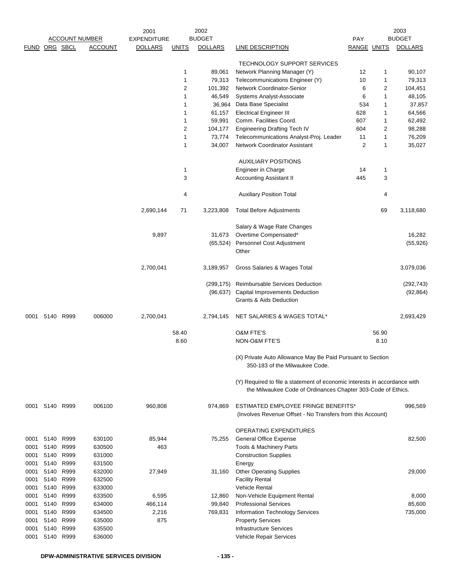|      |                |      | <b>ACCOUNT NUMBER</b> | 2001<br><b>EXPENDITURE</b> |              | 2002<br><b>BUDGET</b> |                                                                           | PAY                |                | 2003<br><b>BUDGET</b> |
|------|----------------|------|-----------------------|----------------------------|--------------|-----------------------|---------------------------------------------------------------------------|--------------------|----------------|-----------------------|
|      | FUND ORG SBCL  |      | <b>ACCOUNT</b>        | <b>DOLLARS</b>             | <b>UNITS</b> | <b>DOLLARS</b>        | LINE DESCRIPTION                                                          | <b>RANGE UNITS</b> |                | <b>DOLLARS</b>        |
|      |                |      |                       |                            |              |                       |                                                                           |                    |                |                       |
|      |                |      |                       |                            |              |                       | <b>TECHNOLOGY SUPPORT SERVICES</b>                                        |                    |                |                       |
|      |                |      |                       |                            | 1            | 89,061                | Network Planning Manager (Y)                                              | 12                 | 1              | 90,107                |
|      |                |      |                       |                            | 1            | 79,313                | Telecommunications Engineer (Y)                                           | 10                 | 1              | 79,313                |
|      |                |      |                       |                            | 2            | 101,392               | Network Coordinator-Senior                                                | 6                  | $\overline{c}$ | 104,451               |
|      |                |      |                       |                            | 1            | 46,549                | Systems Analyst-Associate                                                 | 6                  | $\mathbf{1}$   | 48,105                |
|      |                |      |                       |                            | 1            | 36,964                | Data Base Specialist                                                      | 534                | 1              | 37,857                |
|      |                |      |                       |                            | 1            | 61,157                | <b>Electrical Engineer III</b>                                            | 628                | 1              | 64,566                |
|      |                |      |                       |                            | 1            | 59,991                | Comm. Facilities Coord.                                                   | 607                | 1              | 62,492                |
|      |                |      |                       |                            | 2            | 104,177               | <b>Engineering Drafting Tech IV</b>                                       | 604                | $\overline{2}$ | 98,288                |
|      |                |      |                       |                            | 1            | 73,774                | Telecommunications Analyst-Proj. Leader                                   | 11                 | 1              | 76,209                |
|      |                |      |                       |                            | 1            | 34,007                | Network Coordinator Assistant                                             | 2                  | 1              | 35,027                |
|      |                |      |                       |                            |              |                       |                                                                           |                    |                |                       |
|      |                |      |                       |                            |              |                       | <b>AUXILIARY POSITIONS</b>                                                |                    |                |                       |
|      |                |      |                       |                            | 1            |                       | Engineer in Charge                                                        | 14                 | 1              |                       |
|      |                |      |                       |                            | 3            |                       | <b>Accounting Assistant II</b>                                            | 445                | 3              |                       |
|      |                |      |                       |                            |              |                       |                                                                           |                    |                |                       |
|      |                |      |                       |                            | 4            |                       | <b>Auxiliary Position Total</b>                                           |                    | 4              |                       |
|      |                |      |                       |                            |              |                       |                                                                           |                    |                |                       |
|      |                |      |                       | 2,690,144                  | 71           | 3,223,808             | <b>Total Before Adjustments</b>                                           |                    | 69             | 3,118,680             |
|      |                |      |                       |                            |              |                       |                                                                           |                    |                |                       |
|      |                |      |                       |                            |              |                       | Salary & Wage Rate Changes                                                |                    |                |                       |
|      |                |      |                       | 9,897                      |              | 31,673                | Overtime Compensated*                                                     |                    |                | 16,282                |
|      |                |      |                       |                            |              | (65, 524)             | Personnel Cost Adjustment                                                 |                    |                | (55, 926)             |
|      |                |      |                       |                            |              |                       | Other                                                                     |                    |                |                       |
|      |                |      |                       |                            |              |                       |                                                                           |                    |                |                       |
|      |                |      |                       | 2,700,041                  |              | 3,189,957             | Gross Salaries & Wages Total                                              |                    |                | 3,079,036             |
|      |                |      |                       |                            |              |                       |                                                                           |                    |                |                       |
|      |                |      |                       |                            |              |                       | (299,175) Reimbursable Services Deduction                                 |                    |                | (292, 743)            |
|      |                |      |                       |                            |              |                       | (96,637) Capital Improvements Deduction                                   |                    |                | (92, 864)             |
|      |                |      |                       |                            |              |                       | <b>Grants &amp; Aids Deduction</b>                                        |                    |                |                       |
|      |                |      |                       |                            |              |                       |                                                                           |                    |                |                       |
| 0001 | 5140           | R999 | 006000                | 2,700,041                  |              | 2,794,145             | NET SALARIES & WAGES TOTAL*                                               |                    |                | 2,693,429             |
|      |                |      |                       |                            |              |                       |                                                                           |                    |                |                       |
|      |                |      |                       |                            | 58.40        |                       | O&M FTE'S                                                                 |                    | 56.90          |                       |
|      |                |      |                       |                            | 8.60         |                       | NON-O&M FTE'S                                                             |                    | 8.10           |                       |
|      |                |      |                       |                            |              |                       |                                                                           |                    |                |                       |
|      |                |      |                       |                            |              |                       | (X) Private Auto Allowance May Be Paid Pursuant to Section                |                    |                |                       |
|      |                |      |                       |                            |              |                       | 350-183 of the Milwaukee Code.                                            |                    |                |                       |
|      |                |      |                       |                            |              |                       |                                                                           |                    |                |                       |
|      |                |      |                       |                            |              |                       | (Y) Required to file a statement of economic interests in accordance with |                    |                |                       |
|      |                |      |                       |                            |              |                       | the Milwaukee Code of Ordinances Chapter 303-Code of Ethics.              |                    |                |                       |
|      |                |      |                       |                            |              |                       |                                                                           |                    |                |                       |
| 0001 | 5140           | R999 | 006100                | 960,808                    |              | 974,869               | ESTIMATED EMPLOYEE FRINGE BENEFITS*                                       |                    |                | 996,569               |
|      |                |      |                       |                            |              |                       | (Involves Revenue Offset - No Transfers from this Account)                |                    |                |                       |
|      |                |      |                       |                            |              |                       |                                                                           |                    |                |                       |
|      |                |      |                       |                            |              |                       | <b>OPERATING EXPENDITURES</b>                                             |                    |                |                       |
| 0001 | 5140           | R999 | 630100                | 85,944                     |              | 75,255                | <b>General Office Expense</b>                                             |                    |                | 82,500                |
| 0001 | 5140           | R999 | 630500                | 463                        |              |                       | Tools & Machinery Parts                                                   |                    |                |                       |
| 0001 | 5140           | R999 | 631000                |                            |              |                       | <b>Construction Supplies</b>                                              |                    |                |                       |
| 0001 | 5140           | R999 | 631500                |                            |              |                       | Energy                                                                    |                    |                |                       |
| 0001 | 5140           | R999 | 632000                | 27,949                     |              | 31,160                | <b>Other Operating Supplies</b>                                           |                    |                | 29,000                |
| 0001 | 5140           | R999 | 632500                |                            |              |                       | <b>Facility Rental</b>                                                    |                    |                |                       |
| 0001 | 5140           | R999 | 633000                |                            |              |                       | Vehicle Rental                                                            |                    |                |                       |
| 0001 | 5140           | R999 | 633500                | 6,595                      |              | 12,860                | Non-Vehicle Equipment Rental                                              |                    |                | 8,000                 |
| 0001 | 5140           | R999 | 634000                | 466,114                    |              | 99,840                | <b>Professional Services</b>                                              |                    |                | 85,600                |
| 0001 | 5140           | R999 | 634500                | 2,216                      |              | 769,831               | Information Technology Services                                           |                    |                | 735,000               |
| 0001 | 5140           | R999 | 635000                | 875                        |              |                       | <b>Property Services</b>                                                  |                    |                |                       |
| 0001 | 5140           | R999 | 635500                |                            |              |                       | <b>Infrastructure Services</b>                                            |                    |                |                       |
|      | 0001 5140 R999 |      | 636000                |                            |              |                       | Vehicle Repair Services                                                   |                    |                |                       |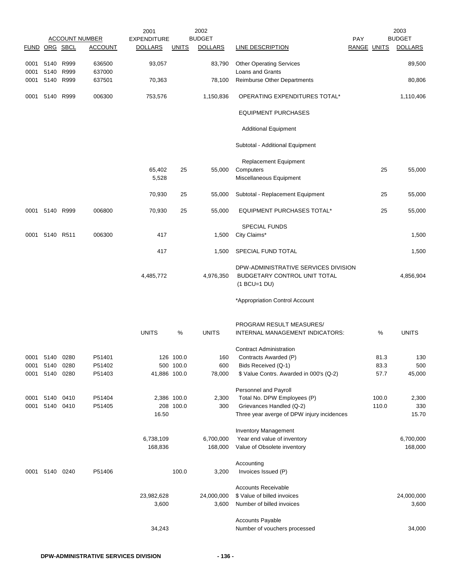|               |                |      | <b>ACCOUNT NUMBER</b> | 2001<br><b>EXPENDITURE</b> |              | 2002<br><b>BUDGET</b> |                                            | PAY                |       | 2003<br><b>BUDGET</b> |
|---------------|----------------|------|-----------------------|----------------------------|--------------|-----------------------|--------------------------------------------|--------------------|-------|-----------------------|
| FUND ORG SBCL |                |      | <b>ACCOUNT</b>        | <b>DOLLARS</b>             | <b>UNITS</b> | <b>DOLLARS</b>        | <b>LINE DESCRIPTION</b>                    | <b>RANGE UNITS</b> |       | <b>DOLLARS</b>        |
|               |                |      |                       |                            |              |                       |                                            |                    |       |                       |
| 0001          | 5140           | R999 | 636500                | 93,057                     |              | 83,790                | <b>Other Operating Services</b>            |                    |       | 89,500                |
| 0001          | 5140           | R999 | 637000                |                            |              |                       | Loans and Grants                           |                    |       |                       |
| 0001          | 5140           | R999 | 637501                | 70,363                     |              | 78,100                | Reimburse Other Departments                |                    |       | 80,806                |
| 0001          | 5140           | R999 | 006300                | 753,576                    |              | 1,150,836             | OPERATING EXPENDITURES TOTAL*              |                    |       | 1,110,406             |
|               |                |      |                       |                            |              |                       | <b>EQUIPMENT PURCHASES</b>                 |                    |       |                       |
|               |                |      |                       |                            |              |                       | <b>Additional Equipment</b>                |                    |       |                       |
|               |                |      |                       |                            |              |                       | Subtotal - Additional Equipment            |                    |       |                       |
|               |                |      |                       |                            |              |                       |                                            |                    |       |                       |
|               |                |      |                       | 65,402                     | 25           | 55,000                | Replacement Equipment<br>Computers         |                    | 25    | 55,000                |
|               |                |      |                       | 5,528                      |              |                       | Miscellaneous Equipment                    |                    |       |                       |
|               |                |      |                       |                            |              |                       |                                            |                    |       |                       |
|               |                |      |                       | 70,930                     | 25           | 55,000                | Subtotal - Replacement Equipment           |                    | 25    | 55,000                |
|               | 0001 5140 R999 |      | 006800                | 70,930                     | 25           | 55,000                | <b>EQUIPMENT PURCHASES TOTAL*</b>          |                    | 25    | 55,000                |
|               |                |      |                       |                            |              |                       | <b>SPECIAL FUNDS</b>                       |                    |       |                       |
| 0001          | 5140 R511      |      | 006300                | 417                        |              | 1,500                 | City Claims*                               |                    |       | 1,500                 |
|               |                |      |                       | 417                        |              | 1,500                 | SPECIAL FUND TOTAL                         |                    |       | 1,500                 |
|               |                |      |                       |                            |              |                       | DPW-ADMINISTRATIVE SERVICES DIVISION       |                    |       |                       |
|               |                |      |                       | 4,485,772                  |              | 4,976,350             | BUDGETARY CONTROL UNIT TOTAL               |                    |       | 4,856,904             |
|               |                |      |                       |                            |              |                       | $(1$ BCU=1 DU)                             |                    |       |                       |
|               |                |      |                       |                            |              |                       | *Appropriation Control Account             |                    |       |                       |
|               |                |      |                       |                            |              |                       |                                            |                    |       |                       |
|               |                |      |                       |                            |              |                       | PROGRAM RESULT MEASURES/                   |                    |       |                       |
|               |                |      |                       | <b>UNITS</b>               | $\%$         | <b>UNITS</b>          | INTERNAL MANAGEMENT INDICATORS:            |                    | %     | <b>UNITS</b>          |
|               |                |      |                       |                            |              |                       | <b>Contract Administration</b>             |                    |       |                       |
| 0001 5140     |                | 0280 | P51401                |                            | 126 100.0    | 160                   | Contracts Awarded (P)                      |                    | 81.3  | 130                   |
| 0001          | 5140           | 0280 | P51402                |                            | 500 100.0    | 600                   | Bids Received (Q-1)                        |                    | 83.3  | 500                   |
| 0001          | 5140           | 0280 | P51403                | 41,886 100.0               |              | 78,000                | \$ Value Contrs. Awarded in 000's (Q-2)    |                    | 57.7  | 45,000                |
|               |                |      |                       |                            |              |                       |                                            |                    |       |                       |
|               |                |      |                       |                            |              |                       | Personnel and Payroll                      |                    |       |                       |
| 0001          | 5140           | 0410 | P51404                | 2,386 100.0                |              | 2,300                 | Total No. DPW Employees (P)                |                    | 100.0 | 2,300                 |
| 0001          | 5140 0410      |      | P51405                |                            | 208 100.0    | 300                   | Grievances Handled (Q-2)                   |                    | 110.0 | 330                   |
|               |                |      |                       | 16.50                      |              |                       | Three year averge of DPW injury incidences |                    |       | 15.70                 |
|               |                |      |                       |                            |              |                       | <b>Inventory Management</b>                |                    |       |                       |
|               |                |      |                       | 6,738,109                  |              | 6,700,000             | Year end value of inventory                |                    |       | 6,700,000             |
|               |                |      |                       | 168,836                    |              | 168,000               | Value of Obsolete inventory                |                    |       | 168,000               |
|               |                |      |                       |                            |              |                       | Accounting                                 |                    |       |                       |
| 0001          | 5140           | 0240 | P51406                |                            | 100.0        | 3,200                 | Invoices Issued (P)                        |                    |       |                       |
|               |                |      |                       |                            |              |                       | <b>Accounts Receivable</b>                 |                    |       |                       |
|               |                |      |                       |                            |              |                       | \$ Value of billed invoices                |                    |       |                       |
|               |                |      |                       | 23,982,628<br>3,600        |              | 24,000,000            | Number of billed invoices                  |                    |       | 24,000,000<br>3,600   |
|               |                |      |                       |                            |              | 3,600                 |                                            |                    |       |                       |
|               |                |      |                       |                            |              |                       | <b>Accounts Payable</b>                    |                    |       |                       |
|               |                |      |                       | 34,243                     |              |                       | Number of vouchers processed               |                    |       | 34,000                |
|               |                |      |                       |                            |              |                       |                                            |                    |       |                       |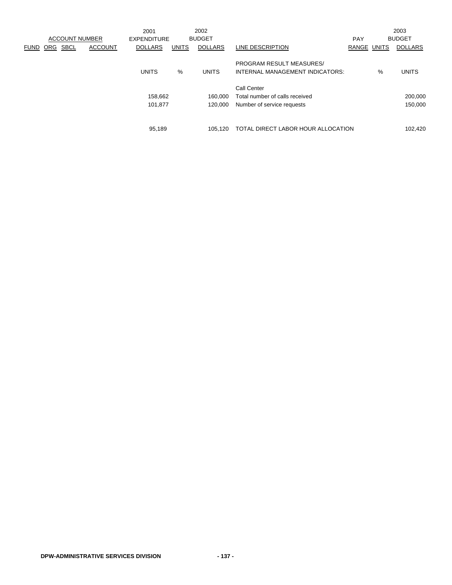|             |            |                       |                | 2001           |              | 2002           |                                                                    |            |              | 2003           |
|-------------|------------|-----------------------|----------------|----------------|--------------|----------------|--------------------------------------------------------------------|------------|--------------|----------------|
|             |            | <b>ACCOUNT NUMBER</b> |                | EXPENDITURE    |              | <b>BUDGET</b>  |                                                                    | <b>PAY</b> |              | <b>BUDGET</b>  |
| <b>FUND</b> | <b>ORG</b> | <b>SBCL</b>           | <b>ACCOUNT</b> | <b>DOLLARS</b> | <b>UNITS</b> | <b>DOLLARS</b> | LINE DESCRIPTION                                                   | RANGE      | <b>UNITS</b> | <b>DOLLARS</b> |
|             |            |                       |                | <b>UNITS</b>   | %            | <b>UNITS</b>   | <b>PROGRAM RESULT MEASURES/</b><br>INTERNAL MANAGEMENT INDICATORS: |            | %            | <b>UNITS</b>   |
|             |            |                       |                |                |              |                | Call Center                                                        |            |              |                |
|             |            |                       |                | 158.662        |              | 160.000        | Total number of calls received                                     |            |              | 200,000        |
|             |            |                       |                | 101,877        |              | 120.000        | Number of service requests                                         |            |              | 150,000        |
|             |            |                       |                |                |              |                |                                                                    |            |              |                |
|             |            |                       |                | 95,189         |              | 105.120        | TOTAL DIRECT LABOR HOUR ALLOCATION                                 |            |              | 102,420        |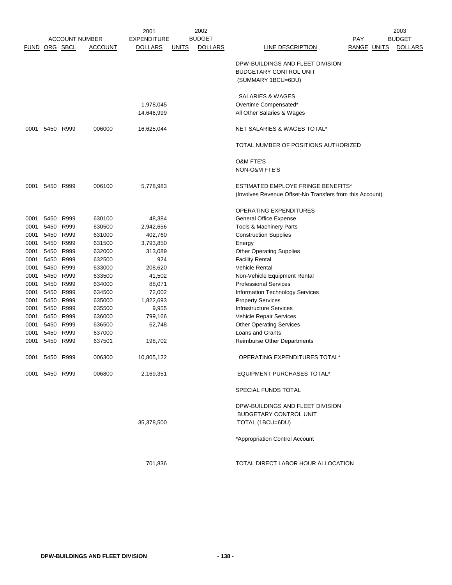|      |                |           | <b>ACCOUNT NUMBER</b> | 2001               |              | 2002<br><b>BUDGET</b> |                                                                                         |                    | 2003           |
|------|----------------|-----------|-----------------------|--------------------|--------------|-----------------------|-----------------------------------------------------------------------------------------|--------------------|----------------|
|      |                |           |                       | <b>EXPENDITURE</b> |              |                       |                                                                                         | <b>PAY</b>         | <b>BUDGET</b>  |
|      | FUND ORG SBCL  |           | <b>ACCOUNT</b>        | <b>DOLLARS</b>     | <u>UNITS</u> | <b>DOLLARS</b>        | LINE DESCRIPTION                                                                        | <b>RANGE UNITS</b> | <b>DOLLARS</b> |
|      |                |           |                       |                    |              |                       | DPW-BUILDINGS AND FLEET DIVISION<br><b>BUDGETARY CONTROL UNIT</b><br>(SUMMARY 1BCU=6DU) |                    |                |
|      |                |           |                       |                    |              |                       | SALARIES & WAGES                                                                        |                    |                |
|      |                |           |                       | 1,978,045          |              |                       | Overtime Compensated*                                                                   |                    |                |
|      |                |           |                       | 14,646,999         |              |                       | All Other Salaries & Wages                                                              |                    |                |
| 0001 | 5450 R999      |           | 006000                | 16,625,044         |              |                       | NET SALARIES & WAGES TOTAL*                                                             |                    |                |
|      |                |           |                       |                    |              |                       | TOTAL NUMBER OF POSITIONS AUTHORIZED                                                    |                    |                |
|      |                |           |                       |                    |              |                       | O&M FTE'S<br>NON-O&M FTE'S                                                              |                    |                |
|      | 0001 5450 R999 |           | 006100                | 5,778,983          |              |                       | <b>ESTIMATED EMPLOYE FRINGE BENEFITS*</b>                                               |                    |                |
|      |                |           |                       |                    |              |                       | (Involves Revenue Offset-No Transfers from this Account)                                |                    |                |
|      |                |           |                       |                    |              |                       | OPERATING EXPENDITURES                                                                  |                    |                |
| 0001 | 5450           | R999      | 630100                | 48,384             |              |                       | General Office Expense                                                                  |                    |                |
| 0001 | 5450 R999      |           | 630500                | 2,942,656          |              |                       | Tools & Machinery Parts                                                                 |                    |                |
| 0001 | 5450 R999      |           | 631000                | 402,760            |              |                       | <b>Construction Supplies</b>                                                            |                    |                |
| 0001 | 5450           | R999      | 631500                | 3,793,850          |              |                       | Energy                                                                                  |                    |                |
| 0001 | 5450 R999      |           | 632000                | 313,089            |              |                       | <b>Other Operating Supplies</b>                                                         |                    |                |
| 0001 | 5450 R999      |           | 632500                | 924                |              |                       | <b>Facility Rental</b>                                                                  |                    |                |
| 0001 | 5450 R999      |           | 633000                | 208,620            |              |                       | <b>Vehicle Rental</b>                                                                   |                    |                |
| 0001 | 5450 R999      |           | 633500                | 41,502             |              |                       | Non-Vehicle Equipment Rental                                                            |                    |                |
| 0001 | 5450 R999      |           | 634000                | 88,071             |              |                       | <b>Professional Services</b>                                                            |                    |                |
| 0001 | 5450 R999      |           | 634500                | 72,002             |              |                       | Information Technology Services                                                         |                    |                |
| 0001 | 5450 R999      |           | 635000                | 1,822,693          |              |                       | <b>Property Services</b>                                                                |                    |                |
| 0001 | 5450 R999      |           | 635500                | 9,955              |              |                       | <b>Infrastructure Services</b>                                                          |                    |                |
| 0001 |                | 5450 R999 | 636000                | 799,166            |              |                       | Vehicle Repair Services                                                                 |                    |                |
| 0001 |                | 5450 R999 | 636500                | 62,748             |              |                       | <b>Other Operating Services</b>                                                         |                    |                |
| 0001 | 5450           | R999      | 637000                |                    |              |                       | Loans and Grants                                                                        |                    |                |
| 0001 | 5450 R999      |           | 637501                | 198,702            |              |                       | <b>Reimburse Other Departments</b>                                                      |                    |                |
| 0001 | 5450           | R999      | 006300                | 10,805,122         |              |                       | OPERATING EXPENDITURES TOTAL*                                                           |                    |                |
|      | 0001 5450 R999 |           | 006800                | 2,169,351          |              |                       | <b>EQUIPMENT PURCHASES TOTAL*</b>                                                       |                    |                |
|      |                |           |                       |                    |              |                       | SPECIAL FUNDS TOTAL                                                                     |                    |                |
|      |                |           |                       |                    |              |                       | DPW-BUILDINGS AND FLEET DIVISION                                                        |                    |                |
|      |                |           |                       |                    |              |                       | <b>BUDGETARY CONTROL UNIT</b>                                                           |                    |                |
|      |                |           |                       | 35,378,500         |              |                       | TOTAL (1BCU=6DU)                                                                        |                    |                |
|      |                |           |                       |                    |              |                       | *Appropriation Control Account                                                          |                    |                |
|      |                |           |                       | 701,836            |              |                       | TOTAL DIRECT LABOR HOUR ALLOCATION                                                      |                    |                |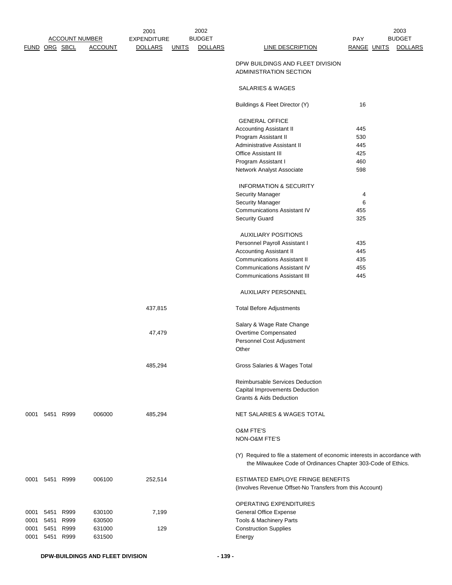|      | FUND ORG SBCL |           | <b>ACCOUNT NUMBER</b><br><b>ACCOUNT</b> | 2001<br><b>EXPENDITURE</b><br><b>DOLLARS</b> | <b>UNITS</b> | 2002<br><b>BUDGET</b><br><b>DOLLARS</b> | <b>LINE DESCRIPTION</b>                                                                                                                   | <b>PAY</b><br>RANGE UNITS | 2003<br><b>BUDGET</b><br><b>DOLLARS</b> |
|------|---------------|-----------|-----------------------------------------|----------------------------------------------|--------------|-----------------------------------------|-------------------------------------------------------------------------------------------------------------------------------------------|---------------------------|-----------------------------------------|
|      |               |           |                                         |                                              |              |                                         |                                                                                                                                           |                           |                                         |
|      |               |           |                                         |                                              |              |                                         | DPW BUILDINGS AND FLEET DIVISION<br>ADMINISTRATION SECTION                                                                                |                           |                                         |
|      |               |           |                                         |                                              |              |                                         | SALARIES & WAGES                                                                                                                          |                           |                                         |
|      |               |           |                                         |                                              |              |                                         | Buildings & Fleet Director (Y)                                                                                                            | 16                        |                                         |
|      |               |           |                                         |                                              |              |                                         | <b>GENERAL OFFICE</b>                                                                                                                     |                           |                                         |
|      |               |           |                                         |                                              |              |                                         | <b>Accounting Assistant II</b>                                                                                                            | 445                       |                                         |
|      |               |           |                                         |                                              |              |                                         | Program Assistant II                                                                                                                      | 530                       |                                         |
|      |               |           |                                         |                                              |              |                                         | Administrative Assistant II<br><b>Office Assistant III</b>                                                                                | 445<br>425                |                                         |
|      |               |           |                                         |                                              |              |                                         | Program Assistant I                                                                                                                       | 460                       |                                         |
|      |               |           |                                         |                                              |              |                                         | Network Analyst Associate                                                                                                                 | 598                       |                                         |
|      |               |           |                                         |                                              |              |                                         | <b>INFORMATION &amp; SECURITY</b>                                                                                                         |                           |                                         |
|      |               |           |                                         |                                              |              |                                         | Security Manager                                                                                                                          | 4                         |                                         |
|      |               |           |                                         |                                              |              |                                         | <b>Security Manager</b>                                                                                                                   | 6                         |                                         |
|      |               |           |                                         |                                              |              |                                         | <b>Communications Assistant IV</b>                                                                                                        | 455                       |                                         |
|      |               |           |                                         |                                              |              |                                         | <b>Security Guard</b>                                                                                                                     | 325                       |                                         |
|      |               |           |                                         |                                              |              |                                         | <b>AUXILIARY POSITIONS</b>                                                                                                                |                           |                                         |
|      |               |           |                                         |                                              |              |                                         | Personnel Payroll Assistant I                                                                                                             | 435                       |                                         |
|      |               |           |                                         |                                              |              |                                         | <b>Accounting Assistant II</b>                                                                                                            | 445                       |                                         |
|      |               |           |                                         |                                              |              |                                         | <b>Communications Assistant II</b>                                                                                                        | 435                       |                                         |
|      |               |           |                                         |                                              |              |                                         | <b>Communications Assistant IV</b><br><b>Communications Assistant III</b>                                                                 | 455<br>445                |                                         |
|      |               |           |                                         |                                              |              |                                         |                                                                                                                                           |                           |                                         |
|      |               |           |                                         |                                              |              |                                         | AUXILIARY PERSONNEL                                                                                                                       |                           |                                         |
|      |               |           |                                         | 437,815                                      |              |                                         | <b>Total Before Adjustments</b>                                                                                                           |                           |                                         |
|      |               |           |                                         |                                              |              |                                         | Salary & Wage Rate Change                                                                                                                 |                           |                                         |
|      |               |           |                                         | 47,479                                       |              |                                         | Overtime Compensated                                                                                                                      |                           |                                         |
|      |               |           |                                         |                                              |              |                                         | Personnel Cost Adjustment                                                                                                                 |                           |                                         |
|      |               |           |                                         |                                              |              |                                         | Other                                                                                                                                     |                           |                                         |
|      |               |           |                                         | 485,294                                      |              |                                         | Gross Salaries & Wages Total                                                                                                              |                           |                                         |
|      |               |           |                                         |                                              |              |                                         | Reimbursable Services Deduction                                                                                                           |                           |                                         |
|      |               |           |                                         |                                              |              |                                         | Capital Improvements Deduction                                                                                                            |                           |                                         |
|      |               |           |                                         |                                              |              |                                         | <b>Grants &amp; Aids Deduction</b>                                                                                                        |                           |                                         |
| 0001 |               | 5451 R999 | 006000                                  | 485,294                                      |              |                                         | NET SALARIES & WAGES TOTAL                                                                                                                |                           |                                         |
|      |               |           |                                         |                                              |              |                                         | <b>O&amp;M FTE'S</b>                                                                                                                      |                           |                                         |
|      |               |           |                                         |                                              |              |                                         | NON-O&M FTE'S                                                                                                                             |                           |                                         |
|      |               |           |                                         |                                              |              |                                         | (Y) Required to file a statement of economic interests in accordance with<br>the Milwaukee Code of Ordinances Chapter 303-Code of Ethics. |                           |                                         |
| 0001 |               | 5451 R999 | 006100                                  | 252,514                                      |              |                                         | ESTIMATED EMPLOYE FRINGE BENEFITS                                                                                                         |                           |                                         |
|      |               |           |                                         |                                              |              |                                         | (Involves Revenue Offset-No Transfers from this Account)                                                                                  |                           |                                         |
|      |               |           |                                         |                                              |              |                                         | OPERATING EXPENDITURES                                                                                                                    |                           |                                         |
| 0001 | 5451          | R999      | 630100                                  | 7,199                                        |              |                                         | General Office Expense                                                                                                                    |                           |                                         |
| 0001 | 5451          | R999      | 630500                                  |                                              |              |                                         | Tools & Machinery Parts                                                                                                                   |                           |                                         |
| 0001 | 5451          | R999      | 631000                                  | 129                                          |              |                                         | <b>Construction Supplies</b>                                                                                                              |                           |                                         |
| 0001 | 5451          | R999      | 631500                                  |                                              |              |                                         | Energy                                                                                                                                    |                           |                                         |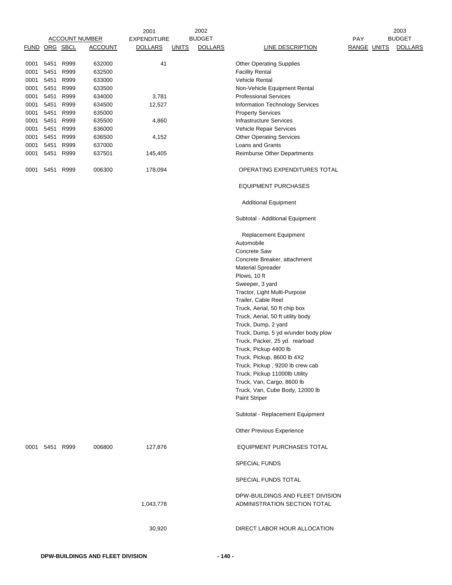|               |                |      |                       | 2001               |              | 2002           |                                                                  |             | 2003           |
|---------------|----------------|------|-----------------------|--------------------|--------------|----------------|------------------------------------------------------------------|-------------|----------------|
|               |                |      | <b>ACCOUNT NUMBER</b> | <b>EXPENDITURE</b> |              | <b>BUDGET</b>  |                                                                  | PAY         | <b>BUDGET</b>  |
| FUND ORG SBCL |                |      | <b>ACCOUNT</b>        | <b>DOLLARS</b>     | <u>UNITS</u> | <b>DOLLARS</b> | <b>LINE DESCRIPTION</b>                                          | RANGE UNITS | <b>DOLLARS</b> |
| 0001          | 5451           | R999 | 632000                | 41                 |              |                | <b>Other Operating Supplies</b>                                  |             |                |
| 0001          | 5451           | R999 | 632500                |                    |              |                | <b>Facility Rental</b>                                           |             |                |
| 0001          | 5451 R999      |      | 633000                |                    |              |                | <b>Vehicle Rental</b>                                            |             |                |
| 0001          | 5451           | R999 | 633500                |                    |              |                | Non-Vehicle Equipment Rental                                     |             |                |
| 0001          | 5451 R999      |      | 634000                | 3,781              |              |                | <b>Professional Services</b>                                     |             |                |
| 0001          | 5451           | R999 | 634500                | 12,527             |              |                | Information Technology Services                                  |             |                |
| 0001          | 5451 R999      |      | 635000                |                    |              |                | <b>Property Services</b>                                         |             |                |
| 0001          | 5451           | R999 | 635500                | 4,860              |              |                | <b>Infrastructure Services</b>                                   |             |                |
| 0001          | 5451           | R999 | 636000                |                    |              |                | Vehicle Repair Services                                          |             |                |
| 0001          | 5451           | R999 | 636500                | 4,152              |              |                | <b>Other Operating Services</b>                                  |             |                |
| 0001          | 5451 R999      |      | 637000                |                    |              |                | Loans and Grants                                                 |             |                |
| 0001          | 5451 R999      |      | 637501                | 145,405            |              |                | Reimburse Other Departments                                      |             |                |
| 0001          | 5451           | R999 | 006300                | 178,094            |              |                | OPERATING EXPENDITURES TOTAL                                     |             |                |
|               |                |      |                       |                    |              |                | <b>EQUIPMENT PURCHASES</b>                                       |             |                |
|               |                |      |                       |                    |              |                | <b>Additional Equipment</b>                                      |             |                |
|               |                |      |                       |                    |              |                | Subtotal - Additional Equipment                                  |             |                |
|               |                |      |                       |                    |              |                | <b>Replacement Equipment</b>                                     |             |                |
|               |                |      |                       |                    |              |                | Automobile<br><b>Concrete Saw</b>                                |             |                |
|               |                |      |                       |                    |              |                | Concrete Breaker, attachment                                     |             |                |
|               |                |      |                       |                    |              |                | <b>Material Spreader</b>                                         |             |                |
|               |                |      |                       |                    |              |                | Plows, 10 ft                                                     |             |                |
|               |                |      |                       |                    |              |                | Sweeper, 3 yard                                                  |             |                |
|               |                |      |                       |                    |              |                | Tractor, Light Multi-Purpose                                     |             |                |
|               |                |      |                       |                    |              |                | Trailer, Cable Reel                                              |             |                |
|               |                |      |                       |                    |              |                | Truck, Aerial, 50 ft chip box                                    |             |                |
|               |                |      |                       |                    |              |                | Truck, Aerial, 50 ft utility body                                |             |                |
|               |                |      |                       |                    |              |                | Truck, Dump, 2 yard                                              |             |                |
|               |                |      |                       |                    |              |                | Truck, Dump, 5 yd w/under body plow                              |             |                |
|               |                |      |                       |                    |              |                | Truck, Packer, 25 yd. rearload                                   |             |                |
|               |                |      |                       |                    |              |                | Truck, Pickup 4400 lb                                            |             |                |
|               |                |      |                       |                    |              |                | Truck, Pickup, 8600 lb 4X2                                       |             |                |
|               |                |      |                       |                    |              |                | Truck, Pickup, 9200 lb crew cab                                  |             |                |
|               |                |      |                       |                    |              |                | Truck, Pickup 11000lb Utility                                    |             |                |
|               |                |      |                       |                    |              |                | Truck, Van, Cargo, 8600 lb                                       |             |                |
|               |                |      |                       |                    |              |                | Truck, Van, Cube Body, 12000 lb                                  |             |                |
|               |                |      |                       |                    |              |                | Paint Striper                                                    |             |                |
|               |                |      |                       |                    |              |                | Subtotal - Replacement Equipment                                 |             |                |
|               |                |      |                       |                    |              |                | Other Previous Experience                                        |             |                |
|               | 0001 5451 R999 |      | 006800                | 127,876            |              |                | EQUIPMENT PURCHASES TOTAL                                        |             |                |
|               |                |      |                       |                    |              |                | <b>SPECIAL FUNDS</b>                                             |             |                |
|               |                |      |                       |                    |              |                | SPECIAL FUNDS TOTAL                                              |             |                |
|               |                |      |                       | 1,043,778          |              |                | DPW-BUILDINGS AND FLEET DIVISION<br>ADMINISTRATION SECTION TOTAL |             |                |
|               |                |      |                       | 30,920             |              |                | DIRECT LABOR HOUR ALLOCATION                                     |             |                |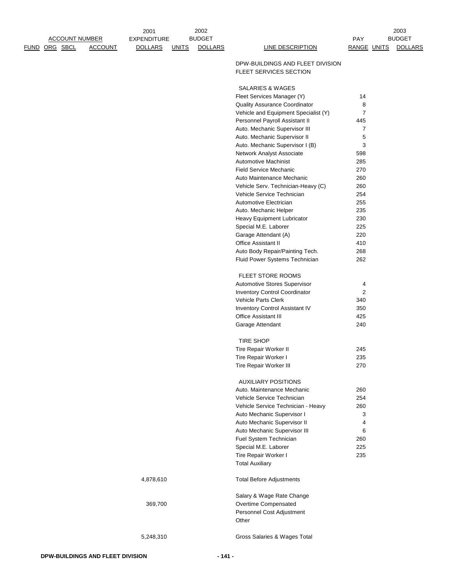| <u>FUND ORG SBCL</u> | <b>ACCOUNT</b> | <b>DOLLARS</b> | <b>UNITS</b> | <b>DOLLARS</b> | <b>LINE DESCRIPTION</b>                                           | RANGE UNITS      | <b>DOLLARS</b> |
|----------------------|----------------|----------------|--------------|----------------|-------------------------------------------------------------------|------------------|----------------|
|                      |                |                |              |                | DPW-BUILDINGS AND FLEET DIVISION<br><b>FLEET SERVICES SECTION</b> |                  |                |
|                      |                |                |              |                | SALARIES & WAGES                                                  |                  |                |
|                      |                |                |              |                | Fleet Services Manager (Y)                                        | 14               |                |
|                      |                |                |              |                | Quality Assurance Coordinator                                     | 8                |                |
|                      |                |                |              |                | Vehicle and Equipment Specialist (Y)                              | $\overline{7}$   |                |
|                      |                |                |              |                | Personnel Payroll Assistant II                                    | 445              |                |
|                      |                |                |              |                | Auto. Mechanic Supervisor III                                     | $\boldsymbol{7}$ |                |
|                      |                |                |              |                | Auto. Mechanic Supervisor II                                      | 5                |                |
|                      |                |                |              |                | Auto. Mechanic Supervisor I (B)                                   | 3                |                |
|                      |                |                |              |                |                                                                   | 598              |                |
|                      |                |                |              |                | Network Analyst Associate                                         |                  |                |
|                      |                |                |              |                | Automotive Machinist                                              | 285              |                |
|                      |                |                |              |                | <b>Field Service Mechanic</b>                                     | 270              |                |
|                      |                |                |              |                | Auto Maintenance Mechanic                                         | 260              |                |
|                      |                |                |              |                | Vehicle Serv. Technician-Heavy (C)                                | 260              |                |
|                      |                |                |              |                | Vehicle Service Technician                                        | 254              |                |
|                      |                |                |              |                | Automotive Electrician                                            | 255              |                |
|                      |                |                |              |                | Auto. Mechanic Helper                                             | 235              |                |
|                      |                |                |              |                | Heavy Equipment Lubricator                                        | 230              |                |
|                      |                |                |              |                | Special M.E. Laborer                                              | 225              |                |
|                      |                |                |              |                | Garage Attendant (A)                                              | 220              |                |
|                      |                |                |              |                | Office Assistant II                                               | 410              |                |
|                      |                |                |              |                | Auto Body Repair/Painting Tech.                                   | 268              |                |
|                      |                |                |              |                | Fluid Power Systems Technician                                    | 262              |                |
|                      |                |                |              |                | FLEET STORE ROOMS                                                 |                  |                |
|                      |                |                |              |                | Automotive Stores Supervisor                                      | 4                |                |
|                      |                |                |              |                | Inventory Control Coordinator                                     | $\overline{c}$   |                |
|                      |                |                |              |                | <b>Vehicle Parts Clerk</b>                                        | 340              |                |
|                      |                |                |              |                | Inventory Control Assistant IV                                    | 350              |                |
|                      |                |                |              |                | Office Assistant III                                              | 425              |                |
|                      |                |                |              |                | Garage Attendant                                                  | 240              |                |
|                      |                |                |              |                |                                                                   |                  |                |
|                      |                |                |              |                | TIRE SHOP                                                         |                  |                |
|                      |                |                |              |                | Tire Repair Worker II                                             | 245              |                |
|                      |                |                |              |                | Tire Repair Worker I                                              | 235              |                |
|                      |                |                |              |                | Tire Repair Worker III                                            | 270              |                |
|                      |                |                |              |                | <b>AUXILIARY POSITIONS</b>                                        |                  |                |
|                      |                |                |              |                | Auto. Maintenance Mechanic                                        | 260              |                |
|                      |                |                |              |                | Vehicle Service Technician                                        | 254              |                |
|                      |                |                |              |                | Vehicle Service Technician - Heavy                                | 260              |                |
|                      |                |                |              |                | Auto Mechanic Supervisor I                                        | 3                |                |
|                      |                |                |              |                | Auto Mechanic Supervisor II                                       | 4                |                |
|                      |                |                |              |                | Auto Mechanic Supervisor III                                      | 6                |                |
|                      |                |                |              |                | Fuel System Technician                                            | 260              |                |
|                      |                |                |              |                | Special M.E. Laborer                                              | 225              |                |
|                      |                |                |              |                | Tire Repair Worker I                                              | 235              |                |
|                      |                |                |              |                | <b>Total Auxiliary</b>                                            |                  |                |
|                      |                | 4,878,610      |              |                | <b>Total Before Adjustments</b>                                   |                  |                |
|                      |                |                |              |                |                                                                   |                  |                |
|                      |                |                |              |                | Salary & Wage Rate Change                                         |                  |                |
|                      |                | 369,700        |              |                | Overtime Compensated                                              |                  |                |
|                      |                |                |              |                | Personnel Cost Adjustment<br>Other                                |                  |                |
|                      |                |                |              |                |                                                                   |                  |                |
|                      |                | 5,248,310      |              |                | Gross Salaries & Wages Total                                      |                  |                |

EXPENDITURE BUDGET AND RESERVE THE PAY

ACCOUNT NUMBER BUDGET BUDGET

2002

2003

2001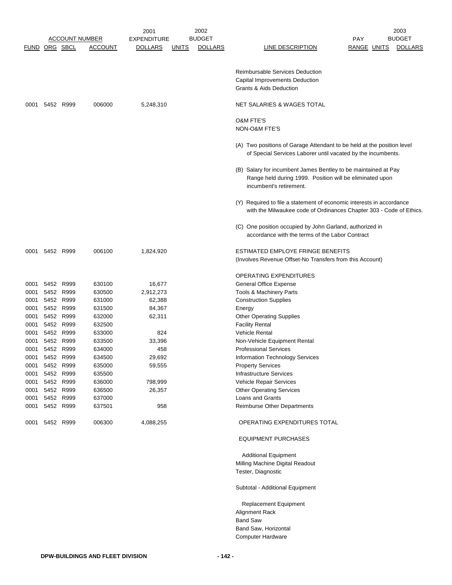|                      |                |           |                       | 2001           |              | 2002           |                                                                                                                                                       |                    | 2003           |
|----------------------|----------------|-----------|-----------------------|----------------|--------------|----------------|-------------------------------------------------------------------------------------------------------------------------------------------------------|--------------------|----------------|
|                      |                |           | <b>ACCOUNT NUMBER</b> | EXPENDITURE    |              | <b>BUDGET</b>  |                                                                                                                                                       | <b>PAY</b>         | <b>BUDGET</b>  |
| <b>FUND ORG SBCL</b> |                |           | <b>ACCOUNT</b>        | <b>DOLLARS</b> | <b>UNITS</b> | <b>DOLLARS</b> | LINE DESCRIPTION                                                                                                                                      | <b>RANGE UNITS</b> | <b>DOLLARS</b> |
|                      |                |           |                       |                |              |                | <b>Reimbursable Services Deduction</b><br>Capital Improvements Deduction<br><b>Grants &amp; Aids Deduction</b>                                        |                    |                |
|                      | 0001 5452 R999 |           | 006000                | 5,248,310      |              |                | NET SALARIES & WAGES TOTAL                                                                                                                            |                    |                |
|                      |                |           |                       |                |              |                | <b>O&amp;M FTE'S</b><br><b>NON-O&amp;M FTE'S</b>                                                                                                      |                    |                |
|                      |                |           |                       |                |              |                | (A) Two positions of Garage Attendant to be held at the position level<br>of Special Services Laborer until vacated by the incumbents.                |                    |                |
|                      |                |           |                       |                |              |                | (B) Salary for incumbent James Bentley to be maintained at Pay<br>Range held during 1999. Position will be eliminated upon<br>incumbent's retirement. |                    |                |
|                      |                |           |                       |                |              |                | (Y) Required to file a statement of economic interests in accordance<br>with the Milwaukee code of Ordinances Chapter 303 - Code of Ethics.           |                    |                |
|                      |                |           |                       |                |              |                | (C) One position occupied by John Garland, authorized in<br>accordance with the terms of the Labor Contract                                           |                    |                |
| 0001                 | 5452 R999      |           | 006100                | 1,824,920      |              |                | ESTIMATED EMPLOYE FRINGE BENEFITS<br>(Involves Revenue Offset-No Transfers from this Account)                                                         |                    |                |
|                      |                |           |                       |                |              |                | OPERATING EXPENDITURES                                                                                                                                |                    |                |
| 0001                 |                | 5452 R999 | 630100                | 16,677         |              |                | General Office Expense                                                                                                                                |                    |                |
| 0001                 |                | 5452 R999 | 630500                | 2,912,273      |              |                | Tools & Machinery Parts                                                                                                                               |                    |                |
| 0001                 |                | 5452 R999 | 631000                | 62,388         |              |                | <b>Construction Supplies</b>                                                                                                                          |                    |                |
| 0001                 | 5452           | R999      | 631500                | 84,367         |              |                | Energy                                                                                                                                                |                    |                |
| 0001                 |                | 5452 R999 | 632000                | 62,311         |              |                | <b>Other Operating Supplies</b>                                                                                                                       |                    |                |
| 0001                 |                | 5452 R999 | 632500                |                |              |                | <b>Facility Rental</b>                                                                                                                                |                    |                |
| 0001                 | 5452           | R999      | 633000                | 824            |              |                | <b>Vehicle Rental</b>                                                                                                                                 |                    |                |
| 0001                 |                | 5452 R999 | 633500                | 33,396         |              |                | Non-Vehicle Equipment Rental                                                                                                                          |                    |                |
| 0001                 |                | 5452 R999 | 634000                | 458            |              |                | <b>Professional Services</b>                                                                                                                          |                    |                |
| 0001                 |                | 5452 R999 | 634500                | 29,692         |              |                | Information Technology Services                                                                                                                       |                    |                |
|                      | 0001 5452 R999 |           | 635000                | 59,555         |              |                | <b>Property Services</b>                                                                                                                              |                    |                |
|                      | 0001 5452 R999 |           | 635500                |                |              |                | <b>Infrastructure Services</b>                                                                                                                        |                    |                |
| 0001                 |                | 5452 R999 | 636000                | 798,999        |              |                | Vehicle Repair Services                                                                                                                               |                    |                |
| 0001                 |                | 5452 R999 | 636500                | 26,357         |              |                | <b>Other Operating Services</b>                                                                                                                       |                    |                |
|                      | 0001 5452 R999 |           | 637000                |                |              |                | Loans and Grants                                                                                                                                      |                    |                |
| 0001                 |                | 5452 R999 | 637501                | 958            |              |                | Reimburse Other Departments                                                                                                                           |                    |                |
| 0001                 |                | 5452 R999 | 006300                | 4,088,255      |              |                | OPERATING EXPENDITURES TOTAL                                                                                                                          |                    |                |
|                      |                |           |                       |                |              |                | <b>EQUIPMENT PURCHASES</b>                                                                                                                            |                    |                |
|                      |                |           |                       |                |              |                | <b>Additional Equipment</b>                                                                                                                           |                    |                |
|                      |                |           |                       |                |              |                | Milling Machine Digital Readout                                                                                                                       |                    |                |
|                      |                |           |                       |                |              |                | Tester, Diagnostic                                                                                                                                    |                    |                |
|                      |                |           |                       |                |              |                | Subtotal - Additional Equipment                                                                                                                       |                    |                |
|                      |                |           |                       |                |              |                | Replacement Equipment                                                                                                                                 |                    |                |
|                      |                |           |                       |                |              |                | Alignment Rack                                                                                                                                        |                    |                |
|                      |                |           |                       |                |              |                | <b>Band Saw</b>                                                                                                                                       |                    |                |
|                      |                |           |                       |                |              |                | Band Saw, Horizontal                                                                                                                                  |                    |                |
|                      |                |           |                       |                |              |                | Computer Hardware                                                                                                                                     |                    |                |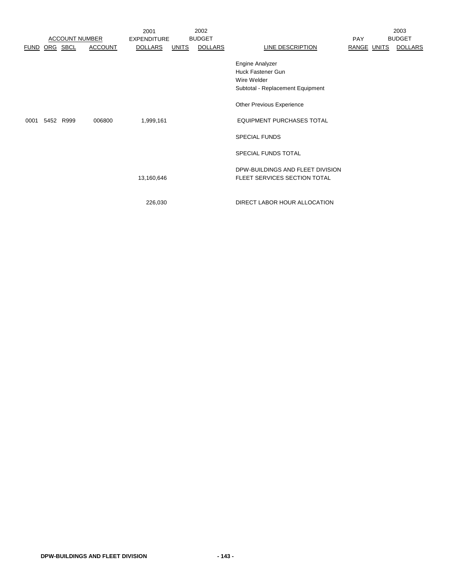|             |                       |                | 2001               |              | 2002           |                                                                                                |             | 2003           |
|-------------|-----------------------|----------------|--------------------|--------------|----------------|------------------------------------------------------------------------------------------------|-------------|----------------|
|             | <b>ACCOUNT NUMBER</b> |                | <b>EXPENDITURE</b> |              | <b>BUDGET</b>  |                                                                                                | <b>PAY</b>  | <b>BUDGET</b>  |
| <b>FUND</b> | ORG SBCL              | <b>ACCOUNT</b> | <b>DOLLARS</b>     | <b>UNITS</b> | <b>DOLLARS</b> | LINE DESCRIPTION                                                                               | RANGE UNITS | <b>DOLLARS</b> |
|             |                       |                |                    |              |                | Engine Analyzer<br><b>Huck Fastener Gun</b><br>Wire Welder<br>Subtotal - Replacement Equipment |             |                |
|             |                       |                |                    |              |                | Other Previous Experience                                                                      |             |                |
| 0001        | 5452 R999             | 006800         | 1,999,161          |              |                | <b>EQUIPMENT PURCHASES TOTAL</b>                                                               |             |                |
|             |                       |                |                    |              |                | <b>SPECIAL FUNDS</b>                                                                           |             |                |
|             |                       |                |                    |              |                | SPECIAL FUNDS TOTAL                                                                            |             |                |
|             |                       |                | 13,160,646         |              |                | DPW-BUILDINGS AND FLEET DIVISION<br>FLEET SERVICES SECTION TOTAL                               |             |                |
|             |                       |                | 226,030            |              |                | DIRECT LABOR HOUR ALLOCATION                                                                   |             |                |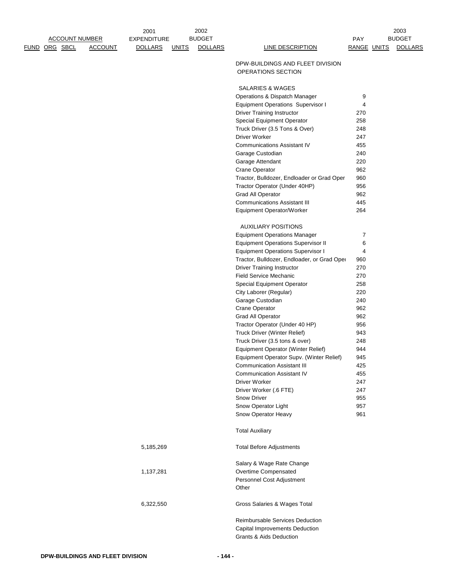|                       |                | 2001               | 2002          |                |                                                        |             | 2003           |
|-----------------------|----------------|--------------------|---------------|----------------|--------------------------------------------------------|-------------|----------------|
| <b>ACCOUNT NUMBER</b> |                | <b>EXPENDITURE</b> | <b>BUDGET</b> |                |                                                        | PAY         | <b>BUDGET</b>  |
| FUND ORG SBCL         | <b>ACCOUNT</b> | <b>DOLLARS</b>     | <u>UNITS</u>  | <b>DOLLARS</b> | <b>LINE DESCRIPTION</b>                                | RANGE UNITS | <b>DOLLARS</b> |
|                       |                |                    |               |                | DPW-BUILDINGS AND FLEET DIVISION<br>OPERATIONS SECTION |             |                |
|                       |                |                    |               |                | <b>SALARIES &amp; WAGES</b>                            |             |                |
|                       |                |                    |               |                | Operations & Dispatch Manager                          | 9           |                |
|                       |                |                    |               |                | <b>Equipment Operations Supervisor I</b>               | 4           |                |
|                       |                |                    |               |                | <b>Driver Training Instructor</b>                      | 270         |                |
|                       |                |                    |               |                | Special Equipment Operator                             | 258         |                |
|                       |                |                    |               |                | Truck Driver (3.5 Tons & Over)                         | 248         |                |
|                       |                |                    |               |                | Driver Worker                                          | 247         |                |
|                       |                |                    |               |                | <b>Communications Assistant IV</b>                     | 455         |                |
|                       |                |                    |               |                | Garage Custodian                                       | 240         |                |
|                       |                |                    |               |                | Garage Attendant                                       | 220         |                |
|                       |                |                    |               |                | <b>Crane Operator</b>                                  | 962         |                |
|                       |                |                    |               |                | Tractor, Bulldozer, Endloader or Grad Oper             | 960         |                |
|                       |                |                    |               |                | Tractor Operator (Under 40HP)                          | 956         |                |
|                       |                |                    |               |                | Grad All Operator                                      | 962         |                |
|                       |                |                    |               |                | <b>Communications Assistant III</b>                    | 445         |                |
|                       |                |                    |               |                | Equipment Operator/Worker                              | 264         |                |
|                       |                |                    |               |                | <b>AUXILIARY POSITIONS</b>                             |             |                |
|                       |                |                    |               |                | <b>Equipment Operations Manager</b>                    | 7           |                |
|                       |                |                    |               |                | <b>Equipment Operations Supervisor II</b>              | 6           |                |
|                       |                |                    |               |                | <b>Equipment Operations Supervisor I</b>               | 4           |                |
|                       |                |                    |               |                | Tractor, Bulldozer, Endloader, or Grad Oper            | 960         |                |
|                       |                |                    |               |                | Driver Training Instructor                             | 270         |                |
|                       |                |                    |               |                | <b>Field Service Mechanic</b>                          | 270         |                |
|                       |                |                    |               |                | Special Equipment Operator                             | 258         |                |
|                       |                |                    |               |                | City Laborer (Regular)                                 | 220         |                |
|                       |                |                    |               |                | Garage Custodian                                       | 240         |                |
|                       |                |                    |               |                | <b>Crane Operator</b>                                  | 962<br>962  |                |
|                       |                |                    |               |                | Grad All Operator<br>Tractor Operator (Under 40 HP)    | 956         |                |
|                       |                |                    |               |                | Truck Driver (Winter Relief)                           | 943         |                |
|                       |                |                    |               |                | Truck Driver (3.5 tons & over)                         | 248         |                |
|                       |                |                    |               |                | Equipment Operator (Winter Relief)                     | 944         |                |
|                       |                |                    |               |                | Equipment Operator Supv. (Winter Relief)               | 945         |                |
|                       |                |                    |               |                | <b>Communication Assistant III</b>                     | 425         |                |
|                       |                |                    |               |                | <b>Communication Assistant IV</b>                      | 455         |                |
|                       |                |                    |               |                | Driver Worker                                          | 247         |                |
|                       |                |                    |               |                | Driver Worker (.6 FTE)                                 | 247         |                |
|                       |                |                    |               |                | Snow Driver                                            | 955         |                |
|                       |                |                    |               |                | Snow Operator Light                                    | 957         |                |
|                       |                |                    |               |                | Snow Operator Heavy                                    | 961         |                |
|                       |                |                    |               |                | <b>Total Auxiliary</b>                                 |             |                |
|                       |                | 5,185,269          |               |                | <b>Total Before Adjustments</b>                        |             |                |
|                       |                |                    |               |                | Salary & Wage Rate Change                              |             |                |
|                       |                | 1,137,281          |               |                | Overtime Compensated                                   |             |                |
|                       |                |                    |               |                | Personnel Cost Adjustment<br>Other                     |             |                |
|                       |                | 6,322,550          |               |                | Gross Salaries & Wages Total                           |             |                |
|                       |                |                    |               |                | Reimbursable Services Deduction                        |             |                |
|                       |                |                    |               |                | Capital Improvements Deduction                         |             |                |
|                       |                |                    |               |                | <b>Grants &amp; Aids Deduction</b>                     |             |                |
|                       |                |                    |               |                |                                                        |             |                |

2002

2003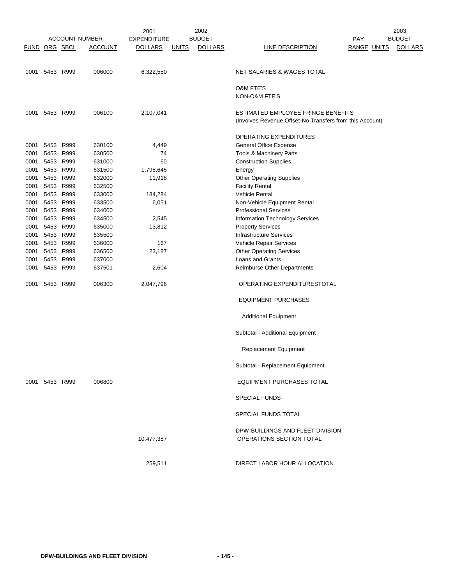|               |                |           |                       | 2001               |              | 2002           |                                                          |             | 2003           |
|---------------|----------------|-----------|-----------------------|--------------------|--------------|----------------|----------------------------------------------------------|-------------|----------------|
|               |                |           | <b>ACCOUNT NUMBER</b> | <b>EXPENDITURE</b> |              | <b>BUDGET</b>  |                                                          | PAY         | <b>BUDGET</b>  |
| FUND ORG SBCL |                |           | <b>ACCOUNT</b>        | <b>DOLLARS</b>     | <b>UNITS</b> | <b>DOLLARS</b> | <b>LINE DESCRIPTION</b>                                  | RANGE UNITS | <b>DOLLARS</b> |
|               | 0001 5453 R999 |           | 006000                | 6,322,550          |              |                | <b>NET SALARIES &amp; WAGES TOTAL</b>                    |             |                |
|               |                |           |                       |                    |              |                |                                                          |             |                |
|               |                |           |                       |                    |              |                | <b>O&amp;M FTE'S</b><br>NON-O&M FTE'S                    |             |                |
| 0001          |                | 5453 R999 | 006100                | 2,107,041          |              |                | ESTIMATED EMPLOYEE FRINGE BENEFITS                       |             |                |
|               |                |           |                       |                    |              |                | (Involves Revenue Offset-No Transfers from this Account) |             |                |
|               |                |           |                       |                    |              |                | OPERATING EXPENDITURES                                   |             |                |
| 0001          | 5453 R999      |           | 630100                | 4,449              |              |                | General Office Expense                                   |             |                |
| 0001          | 5453           | R999      | 630500                | 74                 |              |                | Tools & Machinery Parts                                  |             |                |
| 0001          | 5453 R999      |           | 631000                | 60                 |              |                | <b>Construction Supplies</b>                             |             |                |
| 0001          | 5453 R999      |           | 631500                | 1,798,645          |              |                | Energy                                                   |             |                |
| 0001          | 5453           | R999      | 632000                | 11,918             |              |                | <b>Other Operating Supplies</b>                          |             |                |
| 0001          | 5453           | R999      | 632500                |                    |              |                | <b>Facility Rental</b>                                   |             |                |
| 0001          | 5453 R999      |           | 633000                | 184,284            |              |                | <b>Vehicle Rental</b>                                    |             |                |
| 0001          |                | 5453 R999 | 633500                | 6,051              |              |                | Non-Vehicle Equipment Rental                             |             |                |
| 0001          | 5453           | R999      | 634000                |                    |              |                | <b>Professional Services</b>                             |             |                |
| 0001          | 5453 R999      |           | 634500                | 2,545              |              |                | Information Technology Services                          |             |                |
| 0001          | 5453           | R999      | 635000                | 13,812             |              |                | <b>Property Services</b>                                 |             |                |
| 0001          | 5453           | R999      | 635500                |                    |              |                | <b>Infrastructure Services</b>                           |             |                |
| 0001          |                | 5453 R999 | 636000                | 167                |              |                | Vehicle Repair Services                                  |             |                |
| 0001          | 5453           | R999      | 636500                | 23,187             |              |                | <b>Other Operating Services</b>                          |             |                |
| 0001          | 5453           | R999      | 637000                |                    |              |                | Loans and Grants                                         |             |                |
| 0001          | 5453           | R999      | 637501                | 2,604              |              |                | Reimburse Other Departments                              |             |                |
|               |                |           |                       |                    |              |                |                                                          |             |                |
| 0001          |                | 5453 R999 | 006300                | 2,047,796          |              |                | OPERATING EXPENDITURESTOTAL                              |             |                |
|               |                |           |                       |                    |              |                | <b>EQUIPMENT PURCHASES</b>                               |             |                |
|               |                |           |                       |                    |              |                | <b>Additional Equipment</b>                              |             |                |
|               |                |           |                       |                    |              |                | Subtotal - Additional Equipment                          |             |                |
|               |                |           |                       |                    |              |                | <b>Replacement Equipment</b>                             |             |                |
|               |                |           |                       |                    |              |                | Subtotal - Replacement Equipment                         |             |                |
|               | 0001 5453 R999 |           | 006800                |                    |              |                | EQUIPMENT PURCHASES TOTAL                                |             |                |
|               |                |           |                       |                    |              |                | <b>SPECIAL FUNDS</b>                                     |             |                |
|               |                |           |                       |                    |              |                | SPECIAL FUNDS TOTAL                                      |             |                |
|               |                |           |                       |                    |              |                | DPW-BUILDINGS AND FLEET DIVISION                         |             |                |
|               |                |           |                       | 10,477,387         |              |                | OPERATIONS SECTION TOTAL                                 |             |                |
|               |                |           |                       | 259,511            |              |                | DIRECT LABOR HOUR ALLOCATION                             |             |                |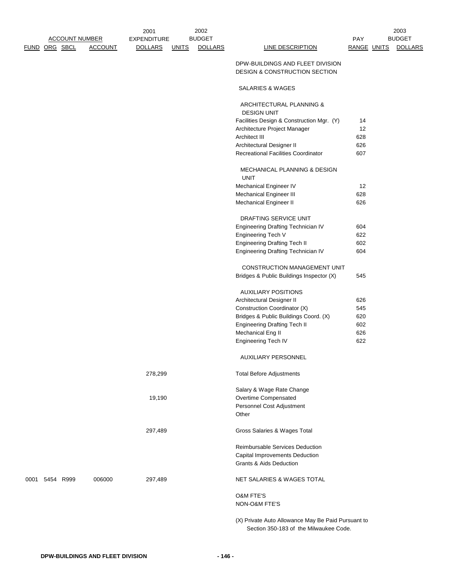|                |                       | 2001               |              | 2002           |                                                                  |                    | 2003           |
|----------------|-----------------------|--------------------|--------------|----------------|------------------------------------------------------------------|--------------------|----------------|
|                | <b>ACCOUNT NUMBER</b> | <b>EXPENDITURE</b> |              | <b>BUDGET</b>  |                                                                  | <b>PAY</b>         | <b>BUDGET</b>  |
| FUND ORG SBCL  | <b>ACCOUNT</b>        | <b>DOLLARS</b>     | <b>UNITS</b> | <b>DOLLARS</b> | LINE DESCRIPTION                                                 | <b>RANGE UNITS</b> | <b>DOLLARS</b> |
|                |                       |                    |              |                | DPW-BUILDINGS AND FLEET DIVISION                                 |                    |                |
|                |                       |                    |              |                | <b>DESIGN &amp; CONSTRUCTION SECTION</b>                         |                    |                |
|                |                       |                    |              |                | SALARIES & WAGES                                                 |                    |                |
|                |                       |                    |              |                | ARCHITECTURAL PLANNING &                                         |                    |                |
|                |                       |                    |              |                | <b>DESIGN UNIT</b>                                               |                    |                |
|                |                       |                    |              |                | Facilities Design & Construction Mgr. (Y)                        | 14                 |                |
|                |                       |                    |              |                | Architecture Project Manager                                     | 12                 |                |
|                |                       |                    |              |                | Architect III                                                    | 628                |                |
|                |                       |                    |              |                | Architectural Designer II<br>Recreational Facilities Coordinator | 626<br>607         |                |
|                |                       |                    |              |                |                                                                  |                    |                |
|                |                       |                    |              |                | <b>MECHANICAL PLANNING &amp; DESIGN</b><br><b>UNIT</b>           |                    |                |
|                |                       |                    |              |                | Mechanical Engineer IV                                           | 12                 |                |
|                |                       |                    |              |                | Mechanical Engineer III                                          | 628                |                |
|                |                       |                    |              |                | Mechanical Engineer II                                           | 626                |                |
|                |                       |                    |              |                | DRAFTING SERVICE UNIT                                            |                    |                |
|                |                       |                    |              |                | Engineering Drafting Technician IV                               | 604                |                |
|                |                       |                    |              |                | Engineering Tech V                                               | 622                |                |
|                |                       |                    |              |                | <b>Engineering Drafting Tech II</b>                              | 602                |                |
|                |                       |                    |              |                | Engineering Drafting Technician IV                               | 604                |                |
|                |                       |                    |              |                | CONSTRUCTION MANAGEMENT UNIT                                     |                    |                |
|                |                       |                    |              |                | Bridges & Public Buildings Inspector (X)                         | 545                |                |
|                |                       |                    |              |                | <b>AUXILIARY POSITIONS</b>                                       |                    |                |
|                |                       |                    |              |                | Architectural Designer II                                        | 626                |                |
|                |                       |                    |              |                | Construction Coordinator (X)                                     | 545                |                |
|                |                       |                    |              |                | Bridges & Public Buildings Coord. (X)                            | 620                |                |
|                |                       |                    |              |                | <b>Engineering Drafting Tech II</b>                              | 602                |                |
|                |                       |                    |              |                | Mechanical Eng II                                                | 626                |                |
|                |                       |                    |              |                | <b>Engineering Tech IV</b>                                       | 622                |                |
|                |                       |                    |              |                | AUXILIARY PERSONNEL                                              |                    |                |
|                |                       | 278,299            |              |                | <b>Total Before Adjustments</b>                                  |                    |                |
|                |                       |                    |              |                | Salary & Wage Rate Change                                        |                    |                |
|                |                       | 19,190             |              |                | Overtime Compensated                                             |                    |                |
|                |                       |                    |              |                | Personnel Cost Adjustment                                        |                    |                |
|                |                       |                    |              |                | Other                                                            |                    |                |
|                |                       | 297,489            |              |                | Gross Salaries & Wages Total                                     |                    |                |
|                |                       |                    |              |                | Reimbursable Services Deduction                                  |                    |                |
|                |                       |                    |              |                | Capital Improvements Deduction                                   |                    |                |
|                |                       |                    |              |                | <b>Grants &amp; Aids Deduction</b>                               |                    |                |
| 0001 5454 R999 | 006000                | 297,489            |              |                | NET SALARIES & WAGES TOTAL                                       |                    |                |
|                |                       |                    |              |                | O&M FTE'S                                                        |                    |                |
|                |                       |                    |              |                | NON-O&M FTE'S                                                    |                    |                |
|                |                       |                    |              |                | (X) Private Auto Allowance May Be Paid Pursuant to               |                    |                |
|                |                       |                    |              |                | Section 350-183 of the Milwaukee Code.                           |                    |                |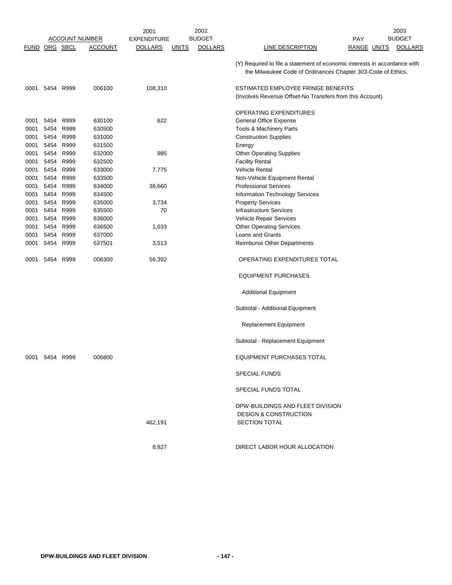|                      |           |           |                       | 2001               |              | 2002           |                                                                                                                                           |            |             | 2003           |
|----------------------|-----------|-----------|-----------------------|--------------------|--------------|----------------|-------------------------------------------------------------------------------------------------------------------------------------------|------------|-------------|----------------|
|                      |           |           | <b>ACCOUNT NUMBER</b> | <b>EXPENDITURE</b> |              | <b>BUDGET</b>  |                                                                                                                                           | <b>PAY</b> |             | <b>BUDGET</b>  |
| <b>FUND ORG SBCL</b> |           |           | <b>ACCOUNT</b>        | <b>DOLLARS</b>     | <b>UNITS</b> | <b>DOLLARS</b> | LINE DESCRIPTION                                                                                                                          |            | RANGE UNITS | <b>DOLLARS</b> |
|                      |           |           |                       |                    |              |                | (Y) Required to file a statement of economic interests in accordance with<br>the Milwaukee Code of Ordinances Chapter 303-Code of Ethics. |            |             |                |
| 0001                 |           | 5454 R999 | 006100                | 108,310            |              |                | ESTIMATED EMPLOYEE FRINGE BENEFITS<br>(Involves Revenue Offset-No Transfers from this Account)                                            |            |             |                |
|                      |           |           |                       |                    |              |                | OPERATING EXPENDITURES                                                                                                                    |            |             |                |
| 0001                 | 5454 R999 |           | 630100                | 622                |              |                | General Office Expense                                                                                                                    |            |             |                |
| 0001                 | 5454      | R999      | 630500                |                    |              |                | Tools & Machinery Parts                                                                                                                   |            |             |                |
| 0001                 | 5454      | R999      | 631000                |                    |              |                | <b>Construction Supplies</b>                                                                                                              |            |             |                |
| 0001                 | 5454      | R999      | 631500                |                    |              |                | Energy                                                                                                                                    |            |             |                |
| 0001                 | 5454      | R999      | 632000                | 985                |              |                | <b>Other Operating Supplies</b>                                                                                                           |            |             |                |
| 0001                 | 5454      | R999      | 632500                |                    |              |                | <b>Facility Rental</b>                                                                                                                    |            |             |                |
| 0001                 | 5454      | R999      | 633000                | 7,775              |              |                | <b>Vehicle Rental</b>                                                                                                                     |            |             |                |
| 0001                 | 5454      | R999      | 633500                |                    |              |                | Non-Vehicle Equipment Rental                                                                                                              |            |             |                |
| 0001                 | 5454      | R999      | 634000                | 38,660             |              |                | <b>Professional Services</b>                                                                                                              |            |             |                |
| 0001                 | 5454      | R999      | 634500                |                    |              |                | Information Technology Services                                                                                                           |            |             |                |
| 0001                 | 5454      | R999      | 635000                | 3,734              |              |                | <b>Property Services</b>                                                                                                                  |            |             |                |
| 0001                 | 5454      | R999      | 635500                | 70                 |              |                | <b>Infrastructure Services</b>                                                                                                            |            |             |                |
| 0001                 | 5454      | R999      | 636000                |                    |              |                | Vehicle Repair Services                                                                                                                   |            |             |                |
| 0001                 | 5454      | R999      | 636500                | 1,033              |              |                | <b>Other Operating Services</b>                                                                                                           |            |             |                |
| 0001                 | 5454      | R999      | 637000                |                    |              |                | Loans and Grants                                                                                                                          |            |             |                |
| 0001                 | 5454      | R999      | 637501                | 3,513              |              |                | Reimburse Other Departments                                                                                                               |            |             |                |
| 0001                 | 5454      | R999      | 006300                | 56,392             |              |                | OPERATING EXPENDITURES TOTAL                                                                                                              |            |             |                |
|                      |           |           |                       |                    |              |                | <b>EQUIPMENT PURCHASES</b>                                                                                                                |            |             |                |
|                      |           |           |                       |                    |              |                | <b>Additional Equipment</b>                                                                                                               |            |             |                |
|                      |           |           |                       |                    |              |                | Subtotal - Additional Equipment                                                                                                           |            |             |                |
|                      |           |           |                       |                    |              |                | <b>Replacement Equipment</b>                                                                                                              |            |             |                |
|                      |           |           |                       |                    |              |                | Subtotal - Replacement Equipment                                                                                                          |            |             |                |
| 0001                 | 5454      | R999      | 006800                |                    |              |                | EQUIPMENT PURCHASES TOTAL                                                                                                                 |            |             |                |
|                      |           |           |                       |                    |              |                | <b>SPECIAL FUNDS</b>                                                                                                                      |            |             |                |
|                      |           |           |                       |                    |              |                | SPECIAL FUNDS TOTAL                                                                                                                       |            |             |                |
|                      |           |           |                       |                    |              |                | DPW-BUILDINGS AND FLEET DIVISION<br><b>DESIGN &amp; CONSTRUCTION</b>                                                                      |            |             |                |
|                      |           |           |                       | 462,191            |              |                | <b>SECTION TOTAL</b>                                                                                                                      |            |             |                |
|                      |           |           |                       | 8,827              |              |                | DIRECT LABOR HOUR ALLOCATION                                                                                                              |            |             |                |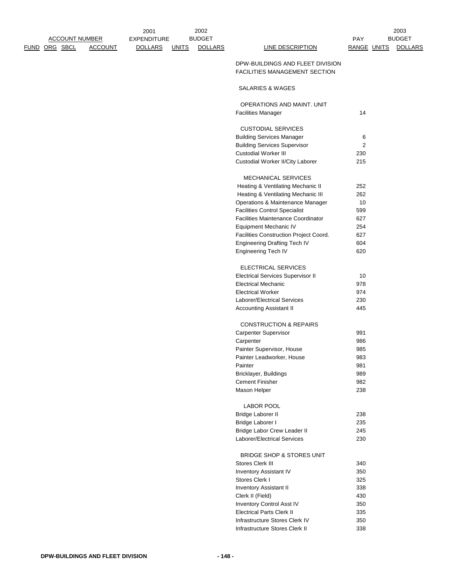|                      | <b>ACCOUNT NUMBER</b> |                | <b>EXPENDITURE</b> |              | <b>BUDGET</b>  |                                                                          | <b>PAY</b>  | <b>BUDGET</b>  |
|----------------------|-----------------------|----------------|--------------------|--------------|----------------|--------------------------------------------------------------------------|-------------|----------------|
| <u>FUND ORG SBCL</u> |                       | <b>ACCOUNT</b> | <b>DOLLARS</b>     | <b>UNITS</b> | <b>DOLLARS</b> | <b>LINE DESCRIPTION</b>                                                  | RANGE UNITS | <b>DOLLARS</b> |
|                      |                       |                |                    |              |                | DPW-BUILDINGS AND FLEET DIVISION<br><b>FACILITIES MANAGEMENT SECTION</b> |             |                |
|                      |                       |                |                    |              |                | SALARIES & WAGES                                                         |             |                |
|                      |                       |                |                    |              |                | OPERATIONS AND MAINT. UNIT                                               |             |                |
|                      |                       |                |                    |              |                | <b>Facilities Manager</b>                                                | 14          |                |
|                      |                       |                |                    |              |                | <b>CUSTODIAL SERVICES</b>                                                |             |                |
|                      |                       |                |                    |              |                | <b>Building Services Manager</b>                                         | 6           |                |
|                      |                       |                |                    |              |                | <b>Building Services Supervisor</b>                                      | 2           |                |
|                      |                       |                |                    |              |                | <b>Custodial Worker III</b>                                              | 230         |                |
|                      |                       |                |                    |              |                | Custodial Worker II/City Laborer                                         | 215         |                |
|                      |                       |                |                    |              |                | <b>MECHANICAL SERVICES</b>                                               |             |                |
|                      |                       |                |                    |              |                | Heating & Ventilating Mechanic II                                        | 252         |                |
|                      |                       |                |                    |              |                | Heating & Ventilating Mechanic III                                       | 262         |                |
|                      |                       |                |                    |              |                | Operations & Maintenance Manager                                         | 10          |                |
|                      |                       |                |                    |              |                | <b>Facilities Control Specialist</b>                                     | 599         |                |
|                      |                       |                |                    |              |                | <b>Facilities Maintenance Coordinator</b>                                | 627         |                |
|                      |                       |                |                    |              |                | Equipment Mechanic IV                                                    | 254         |                |
|                      |                       |                |                    |              |                | Facilities Construction Project Coord.                                   | 627         |                |
|                      |                       |                |                    |              |                | Engineering Drafting Tech IV                                             | 604         |                |
|                      |                       |                |                    |              |                | <b>Engineering Tech IV</b>                                               | 620         |                |
|                      |                       |                |                    |              |                | ELECTRICAL SERVICES                                                      |             |                |
|                      |                       |                |                    |              |                | <b>Electrical Services Supervisor II</b>                                 | 10          |                |
|                      |                       |                |                    |              |                | <b>Electrical Mechanic</b>                                               | 978         |                |
|                      |                       |                |                    |              |                | <b>Electrical Worker</b>                                                 | 974         |                |
|                      |                       |                |                    |              |                | Laborer/Electrical Services                                              | 230         |                |
|                      |                       |                |                    |              |                | Accounting Assistant II                                                  | 445         |                |
|                      |                       |                |                    |              |                | <b>CONSTRUCTION &amp; REPAIRS</b>                                        |             |                |
|                      |                       |                |                    |              |                | Carpenter Supervisor                                                     | 991         |                |
|                      |                       |                |                    |              |                | Carpenter                                                                | 986         |                |
|                      |                       |                |                    |              |                | Painter Supervisor, House                                                | 985         |                |
|                      |                       |                |                    |              |                | Painter Leadworker, House                                                | 983         |                |
|                      |                       |                |                    |              |                | Painter                                                                  | 981         |                |
|                      |                       |                |                    |              |                | Bricklayer, Buildings                                                    | 989         |                |
|                      |                       |                |                    |              |                | <b>Cement Finisher</b>                                                   | 982         |                |
|                      |                       |                |                    |              |                | Mason Helper                                                             | 238         |                |
|                      |                       |                |                    |              |                | <b>LABOR POOL</b>                                                        |             |                |
|                      |                       |                |                    |              |                | Bridge Laborer II                                                        | 238         |                |
|                      |                       |                |                    |              |                | Bridge Laborer I                                                         | 235         |                |
|                      |                       |                |                    |              |                | Bridge Labor Crew Leader II                                              | 245         |                |
|                      |                       |                |                    |              |                | Laborer/Electrical Services                                              | 230         |                |
|                      |                       |                |                    |              |                | BRIDGE SHOP & STORES UNIT                                                |             |                |
|                      |                       |                |                    |              |                | Stores Clerk III                                                         | 340         |                |
|                      |                       |                |                    |              |                | <b>Inventory Assistant IV</b>                                            | 350         |                |
|                      |                       |                |                    |              |                | Stores Clerk I                                                           | 325         |                |
|                      |                       |                |                    |              |                | <b>Inventory Assistant II</b>                                            | 338         |                |
|                      |                       |                |                    |              |                | Clerk II (Field)                                                         | 430         |                |
|                      |                       |                |                    |              |                | Inventory Control Asst IV                                                | 350         |                |
|                      |                       |                |                    |              |                | <b>Electrical Parts Clerk II</b>                                         | 335         |                |
|                      |                       |                |                    |              |                | Infrastructure Stores Clerk IV                                           | 350         |                |
|                      |                       |                |                    |              |                | Infrastructure Stores Clerk II                                           | 338         |                |

2003

2001

2002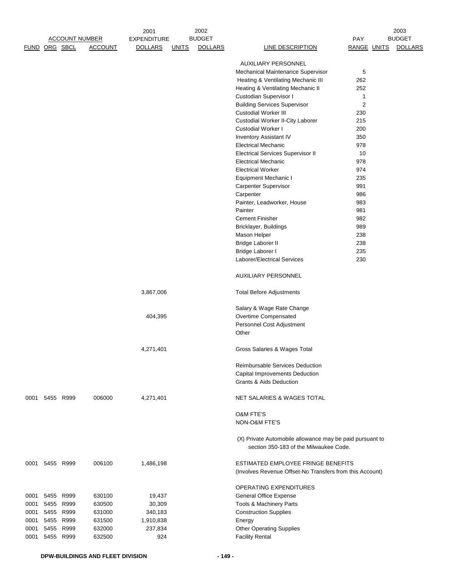|      |                | <b>ACCOUNT NUMBER</b><br>FUND ORG SBCL | <b>ACCOUNT</b>   | 2001<br><b>EXPENDITURE</b><br><b>DOLLARS</b> | <u>UNITS</u> | 2002<br><b>BUDGET</b><br><b>DOLLARS</b> | <b>LINE DESCRIPTION</b>                                                                            | PAY<br><b>RANGE UNITS</b> | 2003<br><b>BUDGET</b><br><b>DOLLARS</b> |
|------|----------------|----------------------------------------|------------------|----------------------------------------------|--------------|-----------------------------------------|----------------------------------------------------------------------------------------------------|---------------------------|-----------------------------------------|
|      |                |                                        |                  |                                              |              |                                         |                                                                                                    |                           |                                         |
|      |                |                                        |                  |                                              |              |                                         | <b>AUXILIARY PERSONNEL</b>                                                                         | 5                         |                                         |
|      |                |                                        |                  |                                              |              |                                         | Mechanical Maintenance Supervisor<br>Heating & Ventilating Mechanic III                            | 262                       |                                         |
|      |                |                                        |                  |                                              |              |                                         | Heating & Ventilating Mechanic II                                                                  | 252                       |                                         |
|      |                |                                        |                  |                                              |              |                                         | Custodian Supervisor I                                                                             | 1                         |                                         |
|      |                |                                        |                  |                                              |              |                                         | <b>Building Services Supervisor</b>                                                                | 2                         |                                         |
|      |                |                                        |                  |                                              |              |                                         | <b>Custodial Worker III</b>                                                                        | 230                       |                                         |
|      |                |                                        |                  |                                              |              |                                         | Custodial Worker II-City Laborer                                                                   | 215                       |                                         |
|      |                |                                        |                  |                                              |              |                                         | Custodial Worker I                                                                                 | 200                       |                                         |
|      |                |                                        |                  |                                              |              |                                         | <b>Inventory Assistant IV</b>                                                                      | 350                       |                                         |
|      |                |                                        |                  |                                              |              |                                         | <b>Electrical Mechanic</b>                                                                         | 978                       |                                         |
|      |                |                                        |                  |                                              |              |                                         | <b>Electrical Services Supervisor II</b>                                                           | 10                        |                                         |
|      |                |                                        |                  |                                              |              |                                         | <b>Electrical Mechanic</b><br><b>Electrical Worker</b>                                             | 978<br>974                |                                         |
|      |                |                                        |                  |                                              |              |                                         | Equipment Mechanic I                                                                               | 235                       |                                         |
|      |                |                                        |                  |                                              |              |                                         | Carpenter Supervisor                                                                               | 991                       |                                         |
|      |                |                                        |                  |                                              |              |                                         | Carpenter                                                                                          | 986                       |                                         |
|      |                |                                        |                  |                                              |              |                                         | Painter, Leadworker, House                                                                         | 983                       |                                         |
|      |                |                                        |                  |                                              |              |                                         | Painter                                                                                            | 981                       |                                         |
|      |                |                                        |                  |                                              |              |                                         | <b>Cement Finisher</b>                                                                             | 982                       |                                         |
|      |                |                                        |                  |                                              |              |                                         | Bricklayer, Buildings                                                                              | 989                       |                                         |
|      |                |                                        |                  |                                              |              |                                         | Mason Helper                                                                                       | 238                       |                                         |
|      |                |                                        |                  |                                              |              |                                         | Bridge Laborer II                                                                                  | 238                       |                                         |
|      |                |                                        |                  |                                              |              |                                         | Bridge Laborer I                                                                                   | 235                       |                                         |
|      |                |                                        |                  |                                              |              |                                         | Laborer/Electrical Services                                                                        | 230                       |                                         |
|      |                |                                        |                  |                                              |              |                                         | <b>AUXILIARY PERSONNEL</b>                                                                         |                           |                                         |
|      |                |                                        |                  | 3,867,006                                    |              |                                         | <b>Total Before Adjustments</b>                                                                    |                           |                                         |
|      |                |                                        |                  |                                              |              |                                         | Salary & Wage Rate Change                                                                          |                           |                                         |
|      |                |                                        |                  | 404,395                                      |              |                                         | Overtime Compensated                                                                               |                           |                                         |
|      |                |                                        |                  |                                              |              |                                         | Personnel Cost Adjustment<br>Other                                                                 |                           |                                         |
|      |                |                                        |                  | 4,271,401                                    |              |                                         | Gross Salaries & Wages Total                                                                       |                           |                                         |
|      |                |                                        |                  |                                              |              |                                         | <b>Reimbursable Services Deduction</b>                                                             |                           |                                         |
|      |                |                                        |                  |                                              |              |                                         | <b>Capital Improvements Deduction</b>                                                              |                           |                                         |
|      |                |                                        |                  |                                              |              |                                         | <b>Grants &amp; Aids Deduction</b>                                                                 |                           |                                         |
|      | 0001 5455 R999 |                                        | 006000           | 4,271,401                                    |              |                                         | NET SALARIES & WAGES TOTAL                                                                         |                           |                                         |
|      |                |                                        |                  |                                              |              |                                         | <b>O&amp;M FTE'S</b>                                                                               |                           |                                         |
|      |                |                                        |                  |                                              |              |                                         | NON-O&M FTE'S                                                                                      |                           |                                         |
|      |                |                                        |                  |                                              |              |                                         | (X) Private Automobile allowance may be paid pursuant to<br>section 350-183 of the Milwaukee Code. |                           |                                         |
| 0001 |                | 5455 R999                              | 006100           | 1,486,198                                    |              |                                         | ESTIMATED EMPLOYEE FRINGE BENEFITS<br>(Involves Revenue Offset-No Transfers from this Account)     |                           |                                         |
|      |                |                                        |                  |                                              |              |                                         | OPERATING EXPENDITURES                                                                             |                           |                                         |
| 0001 |                | 5455 R999                              | 630100           | 19,437                                       |              |                                         | <b>General Office Expense</b>                                                                      |                           |                                         |
| 0001 | 5455           | R999                                   | 630500           | 30,309                                       |              |                                         | Tools & Machinery Parts                                                                            |                           |                                         |
| 0001 |                | 5455 R999                              | 631000           | 340,183                                      |              |                                         | <b>Construction Supplies</b>                                                                       |                           |                                         |
| 0001 |                | 5455 R999                              | 631500           | 1,910,838                                    |              |                                         | Energy                                                                                             |                           |                                         |
| 0001 |                | 5455 R999<br>5455 R999                 | 632000<br>632500 | 237,834<br>924                               |              |                                         | <b>Other Operating Supplies</b>                                                                    |                           |                                         |
| 0001 |                |                                        |                  |                                              |              |                                         | <b>Facility Rental</b>                                                                             |                           |                                         |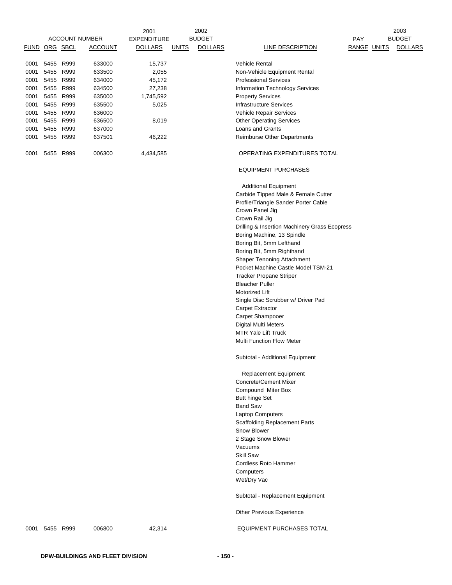| FUND ORG SBCL |                        |           | <b>ACCOUNT NUMBER</b><br><u>ACCOUNT</u> | 2001<br><b>EXPENDITURE</b><br><b>DOLLARS</b> | <u>UNITS</u> | 2002<br><b>BUDGET</b><br><b>DOLLARS</b> | <b>LINE DESCRIPTION</b>                                         | <b>PAY</b><br>RANGE UNITS | 2003<br><b>BUDGET</b><br><b>DOLLARS</b> |
|---------------|------------------------|-----------|-----------------------------------------|----------------------------------------------|--------------|-----------------------------------------|-----------------------------------------------------------------|---------------------------|-----------------------------------------|
|               |                        |           |                                         |                                              |              |                                         |                                                                 |                           |                                         |
| 0001          | 5455 R999              |           | 633000                                  | 15,737                                       |              |                                         | <b>Vehicle Rental</b>                                           |                           |                                         |
| 0001          |                        | 5455 R999 | 633500                                  | 2,055                                        |              |                                         | Non-Vehicle Equipment Rental                                    |                           |                                         |
| 0001          | 5455 R999              |           | 634000                                  | 45,172                                       |              |                                         | <b>Professional Services</b>                                    |                           |                                         |
| 0001          | 5455 R999              |           | 634500                                  | 27,238                                       |              |                                         | Information Technology Services                                 |                           |                                         |
| 0001          |                        | 5455 R999 | 635000                                  | 1,745,592                                    |              |                                         | <b>Property Services</b>                                        |                           |                                         |
| 0001          | 5455 R999<br>5455 R999 |           | 635500<br>636000                        | 5,025                                        |              |                                         | <b>Infrastructure Services</b><br>Vehicle Repair Services       |                           |                                         |
| 0001<br>0001  | 5455 R999              |           | 636500                                  | 8,019                                        |              |                                         | <b>Other Operating Services</b>                                 |                           |                                         |
| 0001          | 5455 R999              |           | 637000                                  |                                              |              |                                         | Loans and Grants                                                |                           |                                         |
| 0001          |                        | 5455 R999 | 637501                                  | 46,222                                       |              |                                         | <b>Reimburse Other Departments</b>                              |                           |                                         |
| 0001          | 5455 R999              |           | 006300                                  | 4,434,585                                    |              |                                         | OPERATING EXPENDITURES TOTAL                                    |                           |                                         |
|               |                        |           |                                         |                                              |              |                                         | <b>EQUIPMENT PURCHASES</b>                                      |                           |                                         |
|               |                        |           |                                         |                                              |              |                                         | <b>Additional Equipment</b>                                     |                           |                                         |
|               |                        |           |                                         |                                              |              |                                         | Carbide Tipped Male & Female Cutter                             |                           |                                         |
|               |                        |           |                                         |                                              |              |                                         | Profile/Triangle Sander Porter Cable<br>Crown Panel Jig         |                           |                                         |
|               |                        |           |                                         |                                              |              |                                         | Crown Rail Jig                                                  |                           |                                         |
|               |                        |           |                                         |                                              |              |                                         | Drilling & Insertion Machinery Grass Ecopress                   |                           |                                         |
|               |                        |           |                                         |                                              |              |                                         | Boring Machine, 13 Spindle                                      |                           |                                         |
|               |                        |           |                                         |                                              |              |                                         | Boring Bit, 5mm Lefthand                                        |                           |                                         |
|               |                        |           |                                         |                                              |              |                                         | Boring Bit, 5mm Righthand                                       |                           |                                         |
|               |                        |           |                                         |                                              |              |                                         | <b>Shaper Tenoning Attachment</b>                               |                           |                                         |
|               |                        |           |                                         |                                              |              |                                         | Pocket Machine Castle Model TSM-21                              |                           |                                         |
|               |                        |           |                                         |                                              |              |                                         | <b>Tracker Propane Striper</b>                                  |                           |                                         |
|               |                        |           |                                         |                                              |              |                                         | <b>Bleacher Puller</b>                                          |                           |                                         |
|               |                        |           |                                         |                                              |              |                                         | Motorized Lift<br>Single Disc Scrubber w/ Driver Pad            |                           |                                         |
|               |                        |           |                                         |                                              |              |                                         | <b>Carpet Extractor</b>                                         |                           |                                         |
|               |                        |           |                                         |                                              |              |                                         | Carpet Shampooer                                                |                           |                                         |
|               |                        |           |                                         |                                              |              |                                         | <b>Digital Multi Meters</b>                                     |                           |                                         |
|               |                        |           |                                         |                                              |              |                                         | <b>MTR Yale Lift Truck</b>                                      |                           |                                         |
|               |                        |           |                                         |                                              |              |                                         | <b>Multi Function Flow Meter</b>                                |                           |                                         |
|               |                        |           |                                         |                                              |              |                                         | Subtotal - Additional Equipment                                 |                           |                                         |
|               |                        |           |                                         |                                              |              |                                         | Replacement Equipment                                           |                           |                                         |
|               |                        |           |                                         |                                              |              |                                         | <b>Concrete/Cement Mixer</b>                                    |                           |                                         |
|               |                        |           |                                         |                                              |              |                                         | Compound Miter Box                                              |                           |                                         |
|               |                        |           |                                         |                                              |              |                                         | <b>Butt hinge Set</b>                                           |                           |                                         |
|               |                        |           |                                         |                                              |              |                                         | <b>Band Saw</b>                                                 |                           |                                         |
|               |                        |           |                                         |                                              |              |                                         | <b>Laptop Computers</b><br><b>Scaffolding Replacement Parts</b> |                           |                                         |
|               |                        |           |                                         |                                              |              |                                         | Snow Blower                                                     |                           |                                         |
|               |                        |           |                                         |                                              |              |                                         | 2 Stage Snow Blower                                             |                           |                                         |
|               |                        |           |                                         |                                              |              |                                         | Vacuums                                                         |                           |                                         |
|               |                        |           |                                         |                                              |              |                                         | Skill Saw                                                       |                           |                                         |
|               |                        |           |                                         |                                              |              |                                         | Cordless Roto Hammer                                            |                           |                                         |
|               |                        |           |                                         |                                              |              |                                         | Computers                                                       |                           |                                         |
|               |                        |           |                                         |                                              |              |                                         | Wet/Dry Vac                                                     |                           |                                         |
|               |                        |           |                                         |                                              |              |                                         | Subtotal - Replacement Equipment                                |                           |                                         |
|               |                        |           |                                         |                                              |              |                                         | Other Previous Experience                                       |                           |                                         |
|               | 0001 5455 R999         |           | 006800                                  | 42,314                                       |              |                                         | <b>EQUIPMENT PURCHASES TOTAL</b>                                |                           |                                         |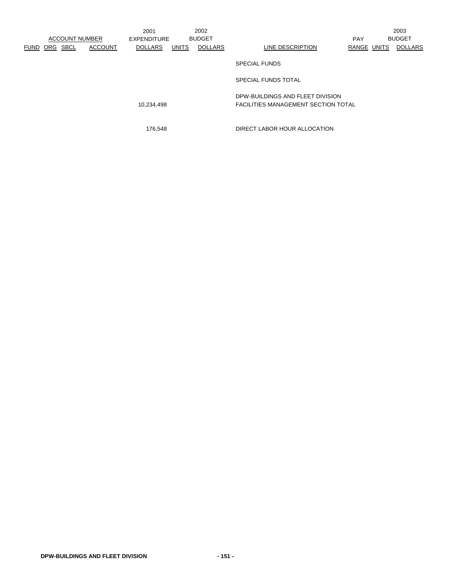|                            |                       | 2001               |              | 2002           |                                                                                |             | 2003           |
|----------------------------|-----------------------|--------------------|--------------|----------------|--------------------------------------------------------------------------------|-------------|----------------|
|                            | <b>ACCOUNT NUMBER</b> | <b>EXPENDITURE</b> |              | <b>BUDGET</b>  |                                                                                | <b>PAY</b>  | <b>BUDGET</b>  |
| SBCL<br>ORG<br><b>FUND</b> | <b>ACCOUNT</b>        | <b>DOLLARS</b>     | <b>UNITS</b> | <b>DOLLARS</b> | LINE DESCRIPTION                                                               | RANGE UNITS | <b>DOLLARS</b> |
|                            |                       |                    |              |                | <b>SPECIAL FUNDS</b>                                                           |             |                |
|                            |                       |                    |              |                | SPECIAL FUNDS TOTAL                                                            |             |                |
|                            |                       | 10,234,498         |              |                | DPW-BUILDINGS AND FLEET DIVISION<br><b>FACILITIES MANAGEMENT SECTION TOTAL</b> |             |                |

176,548 DIRECT LABOR HOUR ALLOCATION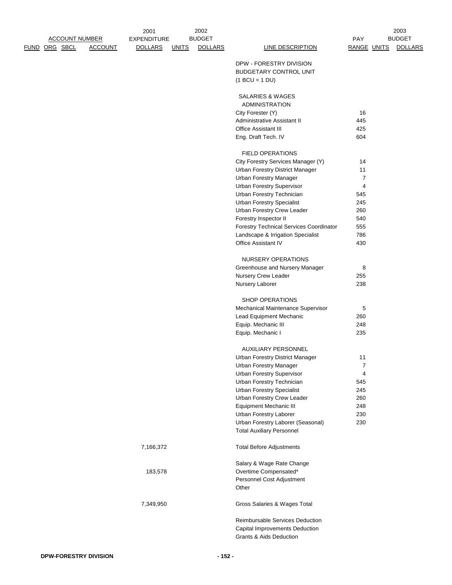|  |               | <b>ACCOUNT NUMBER</b> | 2001<br><b>EXPENDITURE</b> |              | 2002<br><b>BUDGET</b> |                                                                       | <b>PAY</b>            | 2003<br><b>BUDGET</b> |
|--|---------------|-----------------------|----------------------------|--------------|-----------------------|-----------------------------------------------------------------------|-----------------------|-----------------------|
|  | FUND ORG SBCL | <b>ACCOUNT</b>        | <b>DOLLARS</b>             | <u>UNITS</u> | <b>DOLLARS</b>        | LINE DESCRIPTION                                                      | RANGE UNITS           | <b>DOLLARS</b>        |
|  |               |                       |                            |              |                       | DPW - FORESTRY DIVISION<br>BUDGETARY CONTROL UNIT<br>$(1 BCU = 1 DU)$ |                       |                       |
|  |               |                       |                            |              |                       | SALARIES & WAGES                                                      |                       |                       |
|  |               |                       |                            |              |                       | <b>ADMINISTRATION</b>                                                 |                       |                       |
|  |               |                       |                            |              |                       | City Forester (Y)                                                     | 16                    |                       |
|  |               |                       |                            |              |                       | Administrative Assistant II                                           | 445                   |                       |
|  |               |                       |                            |              |                       | Office Assistant III                                                  | 425                   |                       |
|  |               |                       |                            |              |                       | Eng. Draft Tech. IV                                                   | 604                   |                       |
|  |               |                       |                            |              |                       | <b>FIELD OPERATIONS</b>                                               |                       |                       |
|  |               |                       |                            |              |                       | City Forestry Services Manager (Y)                                    | 14                    |                       |
|  |               |                       |                            |              |                       | <b>Urban Forestry District Manager</b>                                | 11                    |                       |
|  |               |                       |                            |              |                       | <b>Urban Forestry Manager</b>                                         | 7                     |                       |
|  |               |                       |                            |              |                       | Urban Forestry Supervisor<br>Urban Forestry Technician                | $\overline{4}$<br>545 |                       |
|  |               |                       |                            |              |                       | <b>Urban Forestry Specialist</b>                                      | 245                   |                       |
|  |               |                       |                            |              |                       | Urban Forestry Crew Leader                                            | 260                   |                       |
|  |               |                       |                            |              |                       | Forestry Inspector II                                                 | 540                   |                       |
|  |               |                       |                            |              |                       | Forestry Technical Services Coordinator                               | 555                   |                       |
|  |               |                       |                            |              |                       | Landscape & Irrigation Specialist                                     | 786                   |                       |
|  |               |                       |                            |              |                       | Office Assistant IV                                                   | 430                   |                       |
|  |               |                       |                            |              |                       | NURSERY OPERATIONS                                                    |                       |                       |
|  |               |                       |                            |              |                       | Greenhouse and Nursery Manager                                        | 8                     |                       |
|  |               |                       |                            |              |                       | Nursery Crew Leader                                                   | 255                   |                       |
|  |               |                       |                            |              |                       | Nursery Laborer                                                       | 238                   |                       |
|  |               |                       |                            |              |                       | SHOP OPERATIONS                                                       |                       |                       |
|  |               |                       |                            |              |                       | Mechanical Maintenance Supervisor                                     | 5                     |                       |
|  |               |                       |                            |              |                       | Lead Equipment Mechanic                                               | 260                   |                       |
|  |               |                       |                            |              |                       | Equip. Mechanic III                                                   | 248                   |                       |
|  |               |                       |                            |              |                       | Equip. Mechanic I                                                     | 235                   |                       |
|  |               |                       |                            |              |                       | <b>AUXILIARY PERSONNEL</b>                                            |                       |                       |
|  |               |                       |                            |              |                       | Urban Forestry District Manager                                       | 11                    |                       |
|  |               |                       |                            |              |                       | <b>Urban Forestry Manager</b>                                         | $\overline{7}$        |                       |
|  |               |                       |                            |              |                       | <b>Urban Forestry Supervisor</b>                                      | 4                     |                       |
|  |               |                       |                            |              |                       | Urban Forestry Technician                                             | 545                   |                       |
|  |               |                       |                            |              |                       | <b>Urban Forestry Specialist</b><br>Urban Forestry Crew Leader        | 245<br>260            |                       |
|  |               |                       |                            |              |                       | Equipment Mechanic III                                                | 248                   |                       |
|  |               |                       |                            |              |                       | Urban Forestry Laborer                                                | 230                   |                       |
|  |               |                       |                            |              |                       | Urban Forestry Laborer (Seasonal)                                     | 230                   |                       |
|  |               |                       |                            |              |                       | <b>Total Auxiliary Personnel</b>                                      |                       |                       |
|  |               |                       | 7,166,372                  |              |                       | <b>Total Before Adjustments</b>                                       |                       |                       |
|  |               |                       |                            |              |                       | Salary & Wage Rate Change                                             |                       |                       |
|  |               |                       | 183,578                    |              |                       | Overtime Compensated*                                                 |                       |                       |
|  |               |                       |                            |              |                       | Personnel Cost Adjustment                                             |                       |                       |
|  |               |                       |                            |              |                       | Other                                                                 |                       |                       |
|  |               |                       | 7,349,950                  |              |                       | Gross Salaries & Wages Total                                          |                       |                       |
|  |               |                       |                            |              |                       | Reimbursable Services Deduction                                       |                       |                       |
|  |               |                       |                            |              |                       | Capital Improvements Deduction                                        |                       |                       |
|  |               |                       |                            |              |                       | <b>Grants &amp; Aids Deduction</b>                                    |                       |                       |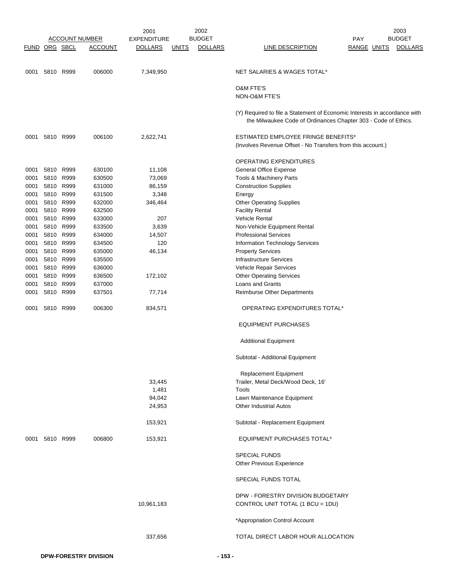|               |                |                       |                | 2001               | 2002                           |                                                                                                                                             |                    | 2003           |
|---------------|----------------|-----------------------|----------------|--------------------|--------------------------------|---------------------------------------------------------------------------------------------------------------------------------------------|--------------------|----------------|
|               |                | <b>ACCOUNT NUMBER</b> |                | <b>EXPENDITURE</b> | <b>BUDGET</b>                  |                                                                                                                                             | <b>PAY</b>         | <b>BUDGET</b>  |
| FUND ORG SBCL |                |                       | <b>ACCOUNT</b> | <b>DOLLARS</b>     | <b>DOLLARS</b><br><b>UNITS</b> | <b>LINE DESCRIPTION</b>                                                                                                                     | <b>RANGE UNITS</b> | <b>DOLLARS</b> |
|               |                |                       |                |                    |                                |                                                                                                                                             |                    |                |
| 0001          | 5810 R999      |                       | 006000         | 7,349,950          |                                | NET SALARIES & WAGES TOTAL*                                                                                                                 |                    |                |
|               |                |                       |                |                    |                                | <b>O&amp;M FTE'S</b><br>NON-O&M FTE'S                                                                                                       |                    |                |
|               |                |                       |                |                    |                                | (Y) Required to file a Statement of Economic Interests in accordance with<br>the Milwaukee Code of Ordinances Chapter 303 - Code of Ethics. |                    |                |
| 0001          | 5810 R999      |                       | 006100         |                    |                                | ESTIMATED EMPLOYEE FRINGE BENEFITS*                                                                                                         |                    |                |
|               |                |                       |                | 2,622,741          |                                | (Involves Revenue Offset - No Transfers from this account.)                                                                                 |                    |                |
|               |                |                       |                |                    |                                | OPERATING EXPENDITURES                                                                                                                      |                    |                |
| 0001          | 5810 R999      |                       | 630100         | 11,108             |                                | <b>General Office Expense</b>                                                                                                               |                    |                |
| 0001          |                | 5810 R999             | 630500         | 73,069             |                                | Tools & Machinery Parts                                                                                                                     |                    |                |
| 0001          | 5810 R999      |                       | 631000         | 86,159             |                                |                                                                                                                                             |                    |                |
|               |                |                       |                |                    |                                | <b>Construction Supplies</b>                                                                                                                |                    |                |
| 0001          |                | 5810 R999             | 631500         | 3,348              |                                | Energy                                                                                                                                      |                    |                |
| 0001          | 5810 R999      |                       | 632000         | 346,464            |                                | <b>Other Operating Supplies</b>                                                                                                             |                    |                |
| 0001          | 5810 R999      |                       | 632500         |                    |                                | <b>Facility Rental</b>                                                                                                                      |                    |                |
| 0001          |                | 5810 R999             | 633000         | 207                |                                | <b>Vehicle Rental</b>                                                                                                                       |                    |                |
| 0001          | 5810 R999      |                       | 633500         | 3,639              |                                | Non-Vehicle Equipment Rental                                                                                                                |                    |                |
| 0001          |                | 5810 R999             | 634000         | 14,507             |                                | <b>Professional Services</b>                                                                                                                |                    |                |
| 0001          |                | 5810 R999             | 634500         | 120                |                                | Information Technology Services                                                                                                             |                    |                |
| 0001          | 5810 R999      |                       | 635000         | 46,134             |                                | <b>Property Services</b>                                                                                                                    |                    |                |
| 0001          | 5810 R999      |                       | 635500         |                    |                                | Infrastructure Services                                                                                                                     |                    |                |
| 0001          |                | 5810 R999             | 636000         |                    |                                | Vehicle Repair Services                                                                                                                     |                    |                |
| 0001          | 5810 R999      |                       | 636500         | 172,102            |                                | <b>Other Operating Services</b>                                                                                                             |                    |                |
| 0001          |                | 5810 R999             | 637000         |                    |                                | Loans and Grants                                                                                                                            |                    |                |
| 0001          | 5810 R999      |                       | 637501         | 77,714             |                                | Reimburse Other Departments                                                                                                                 |                    |                |
| 0001          |                | 5810 R999             | 006300         | 834,571            |                                | OPERATING EXPENDITURES TOTAL*                                                                                                               |                    |                |
|               |                |                       |                |                    |                                | <b>EQUIPMENT PURCHASES</b>                                                                                                                  |                    |                |
|               |                |                       |                |                    |                                | <b>Additional Equipment</b>                                                                                                                 |                    |                |
|               |                |                       |                |                    |                                | Subtotal - Additional Equipment                                                                                                             |                    |                |
|               |                |                       |                |                    |                                |                                                                                                                                             |                    |                |
|               |                |                       |                |                    |                                | <b>Replacement Equipment</b>                                                                                                                |                    |                |
|               |                |                       |                | 33,445             |                                | Trailer, Metal Deck/Wood Deck, 16'                                                                                                          |                    |                |
|               |                |                       |                | 1,481              |                                | Tools                                                                                                                                       |                    |                |
|               |                |                       |                | 94,042             |                                | Lawn Maintenance Equipment                                                                                                                  |                    |                |
|               |                |                       |                | 24,953             |                                | <b>Other Industrial Autos</b>                                                                                                               |                    |                |
|               |                |                       |                | 153,921            |                                | Subtotal - Replacement Equipment                                                                                                            |                    |                |
|               | 0001 5810 R999 |                       | 006800         | 153,921            |                                | <b>EQUIPMENT PURCHASES TOTAL*</b>                                                                                                           |                    |                |
|               |                |                       |                |                    |                                | <b>SPECIAL FUNDS</b>                                                                                                                        |                    |                |
|               |                |                       |                |                    |                                | Other Previous Experience                                                                                                                   |                    |                |
|               |                |                       |                |                    |                                |                                                                                                                                             |                    |                |
|               |                |                       |                |                    |                                | SPECIAL FUNDS TOTAL                                                                                                                         |                    |                |
|               |                |                       |                | 10,961,183         |                                | DPW - FORESTRY DIVISION BUDGETARY<br>CONTROL UNIT TOTAL (1 BCU = 1DU)                                                                       |                    |                |
|               |                |                       |                |                    |                                |                                                                                                                                             |                    |                |
|               |                |                       |                |                    |                                | *Appropriation Control Account                                                                                                              |                    |                |
|               |                |                       |                | 337,656            |                                | TOTAL DIRECT LABOR HOUR ALLOCATION                                                                                                          |                    |                |
|               |                |                       |                |                    |                                |                                                                                                                                             |                    |                |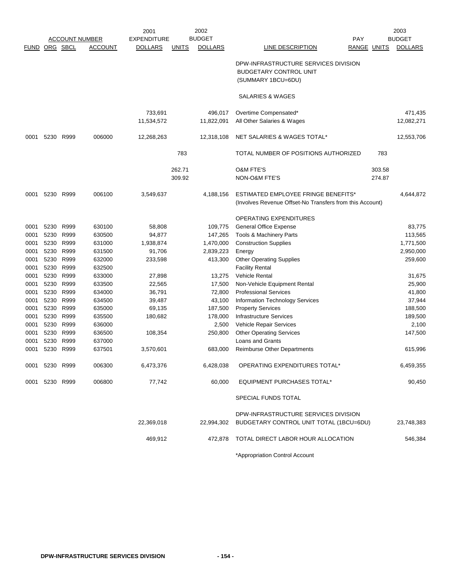|                      | 2002<br>2001   |      |                       |                    | 2003         |                |                                                          |        |                |
|----------------------|----------------|------|-----------------------|--------------------|--------------|----------------|----------------------------------------------------------|--------|----------------|
|                      |                |      | <b>ACCOUNT NUMBER</b> | <b>EXPENDITURE</b> |              | <b>BUDGET</b>  | <b>PAY</b>                                               |        | <b>BUDGET</b>  |
| <b>FUND ORG SBCL</b> |                |      | <b>ACCOUNT</b>        | <b>DOLLARS</b>     | <b>UNITS</b> | <b>DOLLARS</b> | LINE DESCRIPTION<br>RANGE UNITS                          |        | <b>DOLLARS</b> |
|                      |                |      |                       |                    |              |                | DPW-INFRASTRUCTURE SERVICES DIVISION                     |        |                |
|                      |                |      |                       |                    |              |                | <b>BUDGETARY CONTROL UNIT</b>                            |        |                |
|                      |                |      |                       |                    |              |                | (SUMMARY 1BCU=6DU)                                       |        |                |
|                      |                |      |                       |                    |              |                |                                                          |        |                |
|                      |                |      |                       |                    |              |                | SALARIES & WAGES                                         |        |                |
|                      |                |      |                       | 733,691            |              | 496,017        | Overtime Compensated*                                    |        | 471,435        |
|                      |                |      |                       | 11,534,572         |              | 11,822,091     | All Other Salaries & Wages                               |        | 12,082,271     |
| 0001                 | 5230           | R999 | 006000                | 12,268,263         |              | 12,318,108     | NET SALARIES & WAGES TOTAL*                              |        | 12,553,706     |
|                      |                |      |                       |                    |              |                |                                                          |        |                |
|                      |                |      |                       |                    | 783          |                | TOTAL NUMBER OF POSITIONS AUTHORIZED                     | 783    |                |
|                      |                |      |                       |                    | 262.71       |                | <b>O&amp;M FTE'S</b>                                     | 303.58 |                |
|                      |                |      |                       |                    | 309.92       |                | NON-O&M FTE'S                                            | 274.87 |                |
|                      |                |      |                       |                    |              |                |                                                          |        |                |
| 0001                 | 5230           | R999 | 006100                | 3,549,637          |              | 4,188,156      | ESTIMATED EMPLOYEE FRINGE BENEFITS*                      |        | 4,644,872      |
|                      |                |      |                       |                    |              |                | (Involves Revenue Offset-No Transfers from this Account) |        |                |
|                      |                |      |                       |                    |              |                | OPERATING EXPENDITURES                                   |        |                |
| 0001                 | 5230           | R999 | 630100                | 58,808             |              | 109,775        | General Office Expense                                   |        | 83,775         |
| 0001                 | 5230           | R999 | 630500                | 94,877             |              | 147,265        | <b>Tools &amp; Machinery Parts</b>                       |        | 113,565        |
| 0001                 | 5230           | R999 | 631000                | 1,938,874          |              | 1,470,000      | <b>Construction Supplies</b>                             |        | 1,771,500      |
| 0001                 | 5230           | R999 | 631500                | 91,706             |              | 2,839,223      | Energy                                                   |        | 2,950,000      |
| 0001                 | 5230           | R999 | 632000                | 233,598            |              | 413,300        | <b>Other Operating Supplies</b>                          |        | 259,600        |
| 0001                 | 5230           | R999 | 632500                |                    |              |                | <b>Facility Rental</b>                                   |        |                |
| 0001                 | 5230           | R999 | 633000                | 27,898             |              | 13,275         | Vehicle Rental                                           |        | 31,675         |
| 0001                 | 5230           | R999 | 633500                | 22,565             |              | 17,500         | Non-Vehicle Equipment Rental                             |        | 25,900         |
| 0001                 | 5230           | R999 | 634000                | 36,791             |              | 72,800         | <b>Professional Services</b>                             |        | 41,800         |
| 0001                 | 5230           | R999 | 634500                | 39,487             |              | 43,100         | Information Technology Services                          |        | 37,944         |
| 0001                 | 5230           | R999 | 635000                | 69,135             |              | 187,500        | <b>Property Services</b>                                 |        | 188,500        |
| 0001                 | 5230           | R999 | 635500                | 180,682            |              | 178,000        | <b>Infrastructure Services</b>                           |        | 189,500        |
| 0001                 | 5230           | R999 | 636000                |                    |              | 2,500          | Vehicle Repair Services                                  |        | 2,100          |
| 0001                 | 5230           | R999 | 636500                | 108,354            |              | 250,800        | <b>Other Operating Services</b>                          |        | 147,500        |
| 0001                 | 5230           | R999 | 637000                |                    |              |                | <b>Loans and Grants</b>                                  |        |                |
| 0001                 | 5230           | R999 | 637501                | 3,570,601          |              | 683,000        | <b>Reimburse Other Departments</b>                       |        | 615,996        |
| 0001                 | 5230 R999      |      | 006300                | 6,473,376          |              | 6,428,038      | OPERATING EXPENDITURES TOTAL*                            |        | 6,459,355      |
|                      | 0001 5230 R999 |      | 006800                | 77,742             |              | 60,000         | <b>EQUIPMENT PURCHASES TOTAL*</b>                        |        | 90,450         |
|                      |                |      |                       |                    |              |                |                                                          |        |                |
|                      |                |      |                       |                    |              |                | SPECIAL FUNDS TOTAL                                      |        |                |
|                      |                |      |                       |                    |              |                | DPW-INFRASTRUCTURE SERVICES DIVISION                     |        |                |
|                      |                |      |                       | 22,369,018         |              | 22,994,302     | BUDGETARY CONTROL UNIT TOTAL (1BCU=6DU)                  |        | 23,748,383     |
|                      |                |      |                       | 469,912            |              | 472,878        | TOTAL DIRECT LABOR HOUR ALLOCATION                       |        | 546,384        |
|                      |                |      |                       |                    |              |                | *Appropriation Control Account                           |        |                |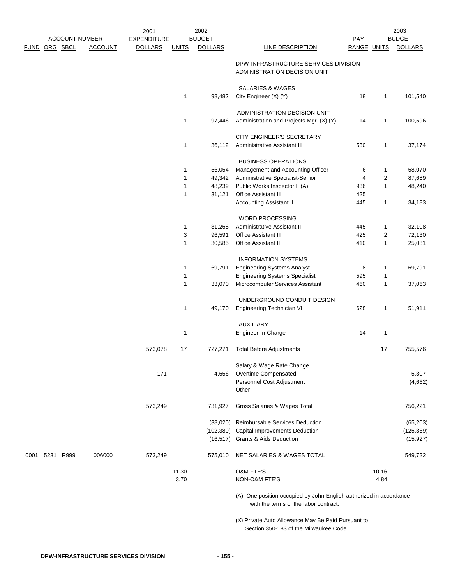|                |                       |                | 2001               |              | 2002           |                                                                                                             |             |                | 2003           |
|----------------|-----------------------|----------------|--------------------|--------------|----------------|-------------------------------------------------------------------------------------------------------------|-------------|----------------|----------------|
|                | <b>ACCOUNT NUMBER</b> |                | <b>EXPENDITURE</b> |              | <b>BUDGET</b>  |                                                                                                             | PAY         |                | <b>BUDGET</b>  |
| FUND ORG SBCL  |                       | <b>ACCOUNT</b> | <b>DOLLARS</b>     | <b>UNITS</b> | <b>DOLLARS</b> | <b>LINE DESCRIPTION</b>                                                                                     | RANGE UNITS |                | <b>DOLLARS</b> |
|                |                       |                |                    |              |                | DPW-INFRASTRUCTURE SERVICES DIVISION<br>ADMINISTRATION DECISION UNIT                                        |             |                |                |
|                |                       |                |                    |              |                | <b>SALARIES &amp; WAGES</b>                                                                                 |             |                |                |
|                |                       |                |                    | 1            | 98,482         | City Engineer (X) (Y)                                                                                       | 18          | 1              | 101,540        |
|                |                       |                |                    |              |                | ADMINISTRATION DECISION UNIT                                                                                |             |                |                |
|                |                       |                |                    | 1            | 97,446         | Administration and Projects Mgr. (X) (Y)                                                                    | 14          | 1              | 100,596        |
|                |                       |                |                    |              |                |                                                                                                             |             |                |                |
|                |                       |                |                    |              |                | CITY ENGINEER'S SECRETARY                                                                                   |             |                |                |
|                |                       |                |                    | 1            | 36,112         | Administrative Assistant III                                                                                | 530         | 1              | 37,174         |
|                |                       |                |                    |              |                | <b>BUSINESS OPERATIONS</b>                                                                                  |             |                |                |
|                |                       |                |                    | 1            | 56,054         | Management and Accounting Officer                                                                           | 6           | 1              | 58,070         |
|                |                       |                |                    | 1            | 49,342         | Administrative Specialist-Senior                                                                            | 4           | 2              | 87,689         |
|                |                       |                |                    | 1            | 48,239         | Public Works Inspector II (A)                                                                               | 936         | 1              | 48,240         |
|                |                       |                |                    | 1            | 31,121         | Office Assistant III                                                                                        | 425         |                |                |
|                |                       |                |                    |              |                | Accounting Assistant II                                                                                     | 445         | 1              | 34,183         |
|                |                       |                |                    |              |                | <b>WORD PROCESSING</b>                                                                                      |             |                |                |
|                |                       |                |                    | 1            | 31,268         | Administrative Assistant II                                                                                 | 445         | 1              | 32,108         |
|                |                       |                |                    | 3            | 96,591         | Office Assistant III                                                                                        | 425         | $\overline{c}$ | 72,130         |
|                |                       |                |                    | 1            | 30,585         | Office Assistant II                                                                                         | 410         | $\mathbf{1}$   | 25,081         |
|                |                       |                |                    |              |                | <b>INFORMATION SYSTEMS</b>                                                                                  |             |                |                |
|                |                       |                |                    | 1            | 69,791         | <b>Engineering Systems Analyst</b>                                                                          | 8           | 1              | 69,791         |
|                |                       |                |                    | 1            |                | <b>Engineering Systems Specialist</b>                                                                       | 595         | 1              |                |
|                |                       |                |                    | 1            | 33,070         | Microcomputer Services Assistant                                                                            | 460         | 1              | 37,063         |
|                |                       |                |                    |              |                | UNDERGROUND CONDUIT DESIGN                                                                                  |             |                |                |
|                |                       |                |                    | 1            | 49,170         | Engineering Technician VI                                                                                   | 628         | 1              | 51,911         |
|                |                       |                |                    |              |                | <b>AUXILIARY</b>                                                                                            |             |                |                |
|                |                       |                |                    | 1            |                | Engineer-In-Charge                                                                                          | 14          | 1              |                |
|                |                       |                | 573,078            | 17           | 727,271        | <b>Total Before Adjustments</b>                                                                             |             | 17             | 755,576        |
|                |                       |                |                    |              |                | Salary & Wage Rate Change                                                                                   |             |                |                |
|                |                       |                | 171                |              | 4,656          | Overtime Compensated                                                                                        |             |                | 5,307          |
|                |                       |                |                    |              |                | Personnel Cost Adjustment                                                                                   |             |                | (4,662)        |
|                |                       |                |                    |              |                | Other                                                                                                       |             |                |                |
|                |                       |                | 573,249            |              | 731,927        | Gross Salaries & Wages Total                                                                                |             |                | 756,221        |
|                |                       |                |                    |              |                | (38,020) Reimbursable Services Deduction                                                                    |             |                | (65, 203)      |
|                |                       |                |                    |              |                | (102,380) Capital Improvements Deduction                                                                    |             |                | (125, 369)     |
|                |                       |                |                    |              |                | (16,517) Grants & Aids Deduction                                                                            |             |                | (15, 927)      |
| 0001 5231 R999 |                       | 006000         | 573,249            |              | 575,010        | NET SALARIES & WAGES TOTAL                                                                                  |             |                | 549,722        |
|                |                       |                |                    | 11.30        |                | O&M FTE'S                                                                                                   |             | 10.16          |                |
|                |                       |                |                    | 3.70         |                | NON-O&M FTE'S                                                                                               |             | 4.84           |                |
|                |                       |                |                    |              |                | (A) One position occupied by John English authorized in accordance<br>with the terms of the labor contract. |             |                |                |
|                |                       |                |                    |              |                | (X) Private Auto Allowance May Be Paid Pursuant to<br>Section 350-183 of the Milwaukee Code.                |             |                |                |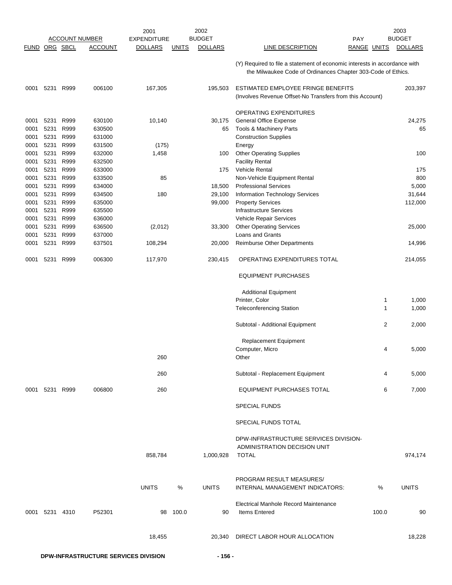|               |           |      |                       | 2001               | 2002                           |        |                                                                                                                                           |                | 2003           |
|---------------|-----------|------|-----------------------|--------------------|--------------------------------|--------|-------------------------------------------------------------------------------------------------------------------------------------------|----------------|----------------|
|               |           |      | <b>ACCOUNT NUMBER</b> | <b>EXPENDITURE</b> | <b>BUDGET</b>                  |        | <b>PAY</b>                                                                                                                                |                | <b>BUDGET</b>  |
| FUND ORG SBCL |           |      | <b>ACCOUNT</b>        | <b>DOLLARS</b>     | <b>DOLLARS</b><br><b>UNITS</b> |        | LINE DESCRIPTION                                                                                                                          | RANGE UNITS    | <b>DOLLARS</b> |
|               |           |      |                       |                    |                                |        | (Y) Required to file a statement of economic interests in accordance with<br>the Milwaukee Code of Ordinances Chapter 303-Code of Ethics. |                |                |
| 0001          | 5231      | R999 | 006100                | 167,305            | 195,503                        |        | ESTIMATED EMPLOYEE FRINGE BENEFITS<br>(Involves Revenue Offset-No Transfers from this Account)                                            |                | 203,397        |
|               |           |      |                       |                    |                                |        | OPERATING EXPENDITURES                                                                                                                    |                |                |
| 0001          | 5231      | R999 | 630100                | 10,140             |                                | 30,175 | <b>General Office Expense</b>                                                                                                             |                | 24,275         |
| 0001          | 5231      | R999 | 630500                |                    |                                | 65     | Tools & Machinery Parts                                                                                                                   |                | 65             |
| 0001          | 5231      | R999 | 631000                |                    |                                |        | <b>Construction Supplies</b>                                                                                                              |                |                |
| 0001          | 5231      | R999 | 631500                | (175)              |                                |        | Energy                                                                                                                                    |                |                |
| 0001          | 5231      | R999 | 632000                | 1,458              |                                | 100    | <b>Other Operating Supplies</b>                                                                                                           |                | 100            |
| 0001          | 5231      | R999 | 632500                |                    |                                |        | <b>Facility Rental</b>                                                                                                                    |                |                |
| 0001          | 5231      | R999 | 633000                |                    |                                | 175    | <b>Vehicle Rental</b>                                                                                                                     |                | 175            |
| 0001          | 5231      | R999 | 633500                | 85                 |                                |        | Non-Vehicle Equipment Rental                                                                                                              |                | 800            |
| 0001          | 5231      | R999 | 634000                |                    |                                | 18,500 | <b>Professional Services</b>                                                                                                              |                | 5,000          |
| 0001          | 5231      | R999 | 634500                | 180                |                                | 29,100 | Information Technology Services                                                                                                           |                | 31,644         |
| 0001          | 5231      | R999 | 635000                |                    |                                | 99,000 | <b>Property Services</b>                                                                                                                  |                | 112,000        |
| 0001          | 5231      | R999 | 635500                |                    |                                |        | <b>Infrastructure Services</b>                                                                                                            |                |                |
| 0001          | 5231      | R999 | 636000                |                    |                                |        | Vehicle Repair Services                                                                                                                   |                |                |
| 0001          | 5231      | R999 | 636500                | (2,012)            |                                | 33,300 | <b>Other Operating Services</b>                                                                                                           |                | 25,000         |
| 0001          | 5231      | R999 | 637000                |                    |                                |        | Loans and Grants                                                                                                                          |                |                |
| 0001          | 5231      | R999 | 637501                | 108,294            |                                | 20,000 | <b>Reimburse Other Departments</b>                                                                                                        |                | 14,996         |
|               |           |      |                       |                    |                                |        |                                                                                                                                           |                |                |
| 0001          | 5231      | R999 | 006300                | 117,970            | 230,415                        |        | OPERATING EXPENDITURES TOTAL                                                                                                              |                | 214,055        |
|               |           |      |                       |                    |                                |        | <b>EQUIPMENT PURCHASES</b>                                                                                                                |                |                |
|               |           |      |                       |                    |                                |        | <b>Additional Equipment</b>                                                                                                               |                |                |
|               |           |      |                       |                    |                                |        | Printer, Color                                                                                                                            | 1              | 1,000          |
|               |           |      |                       |                    |                                |        | <b>Teleconferencing Station</b>                                                                                                           | 1              | 1,000          |
|               |           |      |                       |                    |                                |        | Subtotal - Additional Equipment                                                                                                           | $\overline{2}$ | 2,000          |
|               |           |      |                       |                    |                                |        | Replacement Equipment                                                                                                                     |                |                |
|               |           |      |                       |                    |                                |        | Computer, Micro                                                                                                                           | 4              | 5,000          |
|               |           |      |                       | 260                |                                |        | Other                                                                                                                                     |                |                |
|               |           |      |                       | 260                |                                |        | Subtotal - Replacement Equipment                                                                                                          | 4              | 5,000          |
| 0001          | 5231 R999 |      | 006800                | 260                |                                |        | EQUIPMENT PURCHASES TOTAL                                                                                                                 | 6              | 7,000          |
|               |           |      |                       |                    |                                |        | <b>SPECIAL FUNDS</b>                                                                                                                      |                |                |
|               |           |      |                       |                    |                                |        | <b>SPECIAL FUNDS TOTAL</b>                                                                                                                |                |                |
|               |           |      |                       |                    |                                |        | DPW-INFRASTRUCTURE SERVICES DIVISION-                                                                                                     |                |                |
|               |           |      |                       | 858,784            | 1,000,928                      |        | ADMINISTRATION DECISION UNIT<br><b>TOTAL</b>                                                                                              |                | 974,174        |
|               |           |      |                       | <b>UNITS</b>       | <b>UNITS</b><br>%              |        | PROGRAM RESULT MEASURES/<br>INTERNAL MANAGEMENT INDICATORS:                                                                               | %              | <b>UNITS</b>   |
| 0001 5231     |           | 4310 | P52301                | 98                 | 100.0                          | 90     | <b>Electrical Manhole Record Maintenance</b><br><b>Items Entered</b>                                                                      | 100.0          | 90             |
|               |           |      |                       | 18,455             |                                | 20,340 | DIRECT LABOR HOUR ALLOCATION                                                                                                              |                | 18,228         |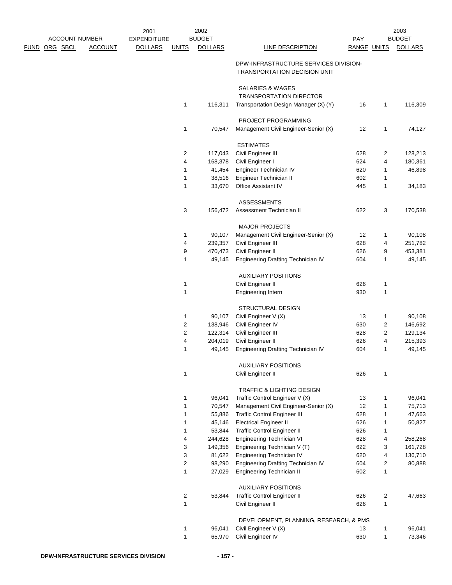|               |                       |                | 2001               |                         | 2002           |                                        |                    |                         | 2003           |
|---------------|-----------------------|----------------|--------------------|-------------------------|----------------|----------------------------------------|--------------------|-------------------------|----------------|
|               | <b>ACCOUNT NUMBER</b> |                | <b>EXPENDITURE</b> |                         | <b>BUDGET</b>  |                                        | <b>PAY</b>         |                         | <b>BUDGET</b>  |
| FUND ORG SBCL |                       | <b>ACCOUNT</b> | <b>DOLLARS</b>     | <b>UNITS</b>            | <b>DOLLARS</b> | LINE DESCRIPTION                       | <b>RANGE UNITS</b> |                         | <b>DOLLARS</b> |
|               |                       |                |                    |                         |                | DPW-INFRASTRUCTURE SERVICES DIVISION-  |                    |                         |                |
|               |                       |                |                    |                         |                | <b>TRANSPORTATION DECISION UNIT</b>    |                    |                         |                |
|               |                       |                |                    |                         |                | <b>SALARIES &amp; WAGES</b>            |                    |                         |                |
|               |                       |                |                    |                         |                | <b>TRANSPORTATION DIRECTOR</b>         |                    |                         |                |
|               |                       |                |                    | 1                       | 116,311        | Transportation Design Manager (X) (Y)  | 16                 | 1                       | 116,309        |
|               |                       |                |                    |                         |                | PROJECT PROGRAMMING                    |                    |                         |                |
|               |                       |                |                    | 1                       | 70,547         | Management Civil Engineer-Senior (X)   | 12                 | 1                       | 74,127         |
|               |                       |                |                    |                         |                | <b>ESTIMATES</b>                       |                    |                         |                |
|               |                       |                |                    | 2                       | 117,043        | Civil Engineer III                     | 628                | 2                       | 128,213        |
|               |                       |                |                    | 4                       | 168,378        | Civil Engineer I                       | 624                | 4                       | 180,361        |
|               |                       |                |                    | 1                       | 41,454         | Engineer Technician IV                 | 620                | 1                       | 46,898         |
|               |                       |                |                    | 1                       | 38,516         | Engineer Technician II                 | 602                | 1                       |                |
|               |                       |                |                    | 1                       | 33,670         | Office Assistant IV                    | 445                | 1                       | 34,183         |
|               |                       |                |                    |                         |                | <b>ASSESSMENTS</b>                     |                    |                         |                |
|               |                       |                |                    | 3                       | 156,472        | Assessment Technician II               | 622                | 3                       | 170,538        |
|               |                       |                |                    |                         |                | <b>MAJOR PROJECTS</b>                  |                    |                         |                |
|               |                       |                |                    | 1                       | 90,107         | Management Civil Engineer-Senior (X)   | 12                 | 1                       | 90,108         |
|               |                       |                |                    | 4                       | 239,357        | Civil Engineer III                     | 628                | 4                       | 251,782        |
|               |                       |                |                    | 9                       | 470,473        | Civil Engineer II                      | 626                | 9                       | 453,381        |
|               |                       |                |                    | 1                       | 49,145         | Engineering Drafting Technician IV     | 604                | 1                       | 49,145         |
|               |                       |                |                    |                         |                | <b>AUXILIARY POSITIONS</b>             |                    |                         |                |
|               |                       |                |                    | 1                       |                | Civil Engineer II                      | 626                | 1                       |                |
|               |                       |                |                    | $\mathbf{1}$            |                | Engineering Intern                     | 930                | 1                       |                |
|               |                       |                |                    |                         |                | <b>STRUCTURAL DESIGN</b>               |                    |                         |                |
|               |                       |                |                    | 1                       | 90,107         | Civil Engineer V (X)                   | 13                 | 1                       | 90,108         |
|               |                       |                |                    | 2                       | 138,946        | Civil Engineer IV                      | 630                | 2                       | 146,692        |
|               |                       |                |                    | 2                       | 122,314        | Civil Engineer III                     | 628                | 2                       | 129,134        |
|               |                       |                |                    | 4                       | 204,019        | Civil Engineer II                      | 626                | 4                       | 215,393        |
|               |                       |                |                    | 1                       | 49,145         | Engineering Drafting Technician IV     | 604                | 1                       | 49,145         |
|               |                       |                |                    |                         |                | <b>AUXILIARY POSITIONS</b>             |                    |                         |                |
|               |                       |                |                    | 1                       |                | Civil Engineer II                      | 626                | 1                       |                |
|               |                       |                |                    |                         |                | TRAFFIC & LIGHTING DESIGN              |                    |                         |                |
|               |                       |                |                    | 1                       | 96,041         | Traffic Control Engineer V (X)         | 13                 | 1                       | 96,041         |
|               |                       |                |                    | 1                       | 70,547         | Management Civil Engineer-Senior (X)   | 12                 | 1                       | 75,713         |
|               |                       |                |                    | 1                       | 55,886         | <b>Traffic Control Engineer III</b>    | 628                | 1                       | 47,663         |
|               |                       |                |                    | 1                       | 45,146         | <b>Electrical Engineer II</b>          | 626                | 1                       | 50,827         |
|               |                       |                |                    | 1                       | 53,844         | Traffic Control Engineer II            | 626                | 1                       |                |
|               |                       |                |                    | 4                       | 244,628        | Engineering Technician VI              | 628                | 4                       | 258,268        |
|               |                       |                |                    | 3                       | 149,356        | Engineering Technician V (T)           | 622                | 3                       | 161,728        |
|               |                       |                |                    | 3                       | 81,622         | Engineering Technician IV              | 620                | 4                       | 136,710        |
|               |                       |                |                    | 2                       | 98,290         | Engineering Drafting Technician IV     | 604                | 2                       | 80,888         |
|               |                       |                |                    | 1                       | 27,029         | Engineering Technician II              | 602                | 1                       |                |
|               |                       |                |                    |                         |                | <b>AUXILIARY POSITIONS</b>             |                    |                         |                |
|               |                       |                |                    | $\overline{\mathbf{c}}$ | 53,844         | Traffic Control Engineer II            | 626                | $\overline{\mathbf{c}}$ | 47,663         |
|               |                       |                |                    | 1                       |                | Civil Engineer II                      | 626                | 1                       |                |
|               |                       |                |                    |                         |                | DEVELOPMENT, PLANNING, RESEARCH, & PMS |                    |                         |                |
|               |                       |                |                    | 1                       | 96,041         | Civil Engineer V (X)                   | 13                 | 1                       | 96,041         |
|               |                       |                |                    | 1                       | 65,970         | Civil Engineer IV                      | 630                | 1                       | 73,346         |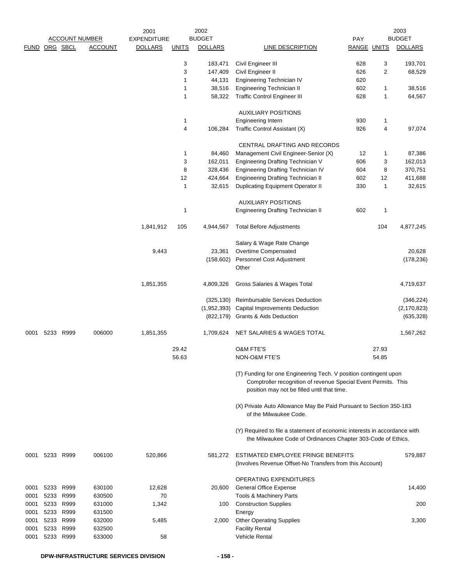|              |               |                        |                                         | 2001               |              | 2002           |                                                                                                                                                                                   |                    |       | 2003<br><b>BUDGET</b> |
|--------------|---------------|------------------------|-----------------------------------------|--------------------|--------------|----------------|-----------------------------------------------------------------------------------------------------------------------------------------------------------------------------------|--------------------|-------|-----------------------|
|              |               |                        | <b>ACCOUNT NUMBER</b><br><b>ACCOUNT</b> | <b>EXPENDITURE</b> |              | <b>BUDGET</b>  |                                                                                                                                                                                   | PAY                |       |                       |
|              | FUND ORG SBCL |                        |                                         | <b>DOLLARS</b>     | <b>UNITS</b> | <b>DOLLARS</b> | <b>LINE DESCRIPTION</b>                                                                                                                                                           | <b>RANGE UNITS</b> |       | <b>DOLLARS</b>        |
|              |               |                        |                                         |                    | 3            | 183,471        | Civil Engineer III                                                                                                                                                                | 628                | 3     | 193,701               |
|              |               |                        |                                         |                    | 3            | 147,409        | Civil Engineer II                                                                                                                                                                 | 626                | 2     | 68,529                |
|              |               |                        |                                         |                    | 1            | 44,131         | Engineering Technician IV                                                                                                                                                         | 620                |       |                       |
|              |               |                        |                                         |                    | 1            | 38,516         | Engineering Technician II                                                                                                                                                         | 602                | 1     | 38,516                |
|              |               |                        |                                         |                    | 1            | 58,322         | <b>Traffic Control Engineer III</b>                                                                                                                                               | 628                | 1     | 64,567                |
|              |               |                        |                                         |                    |              |                |                                                                                                                                                                                   |                    |       |                       |
|              |               |                        |                                         |                    |              |                | <b>AUXILIARY POSITIONS</b>                                                                                                                                                        |                    |       |                       |
|              |               |                        |                                         |                    | 1            |                | Engineering Intern                                                                                                                                                                | 930                | 1     |                       |
|              |               |                        |                                         |                    | 4            | 106,284        | Traffic Control Assistant (X)                                                                                                                                                     | 926                | 4     | 97,074                |
|              |               |                        |                                         |                    |              |                | CENTRAL DRAFTING AND RECORDS                                                                                                                                                      |                    |       |                       |
|              |               |                        |                                         |                    | 1            | 84,460         | Management Civil Engineer-Senior (X)                                                                                                                                              | 12                 | 1     | 87,386                |
|              |               |                        |                                         |                    | 3            | 162,011        | Engineering Drafting Technician V                                                                                                                                                 | 606                | 3     | 162,013               |
|              |               |                        |                                         |                    | 8            | 328,436        | Engineering Drafting Technician IV                                                                                                                                                | 604                | 8     | 370,751               |
|              |               |                        |                                         |                    | 12           | 424,664        | Engineering Drafting Technician II                                                                                                                                                | 602                | 12    | 411,688               |
|              |               |                        |                                         |                    | 1            | 32,615         | <b>Duplicating Equipment Operator II</b>                                                                                                                                          | 330                | 1     | 32,615                |
|              |               |                        |                                         |                    |              |                |                                                                                                                                                                                   |                    |       |                       |
|              |               |                        |                                         |                    |              |                | <b>AUXILIARY POSITIONS</b>                                                                                                                                                        |                    |       |                       |
|              |               |                        |                                         |                    | 1            |                | <b>Engineering Drafting Technician II</b>                                                                                                                                         | 602                | 1     |                       |
|              |               |                        |                                         | 1,841,912          | 105          | 4,944,567      | <b>Total Before Adjustments</b>                                                                                                                                                   |                    | 104   | 4,877,245             |
|              |               |                        |                                         |                    |              |                | Salary & Wage Rate Change                                                                                                                                                         |                    |       |                       |
|              |               |                        |                                         | 9,443              |              | 23,361         | Overtime Compensated                                                                                                                                                              |                    |       | 20,628                |
|              |               |                        |                                         |                    |              | (158, 602)     | Personnel Cost Adjustment                                                                                                                                                         |                    |       | (178, 236)            |
|              |               |                        |                                         |                    |              |                | Other                                                                                                                                                                             |                    |       |                       |
|              |               |                        |                                         | 1,851,355          |              | 4,809,326      | Gross Salaries & Wages Total                                                                                                                                                      |                    |       | 4,719,637             |
|              |               |                        |                                         |                    |              | (325, 130)     | Reimbursable Services Deduction                                                                                                                                                   |                    |       | (346, 224)            |
|              |               |                        |                                         |                    |              | (1,952,393)    | Capital Improvements Deduction                                                                                                                                                    |                    |       | (2, 170, 823)         |
|              |               |                        |                                         |                    |              |                | (822,179) Grants & Aids Deduction                                                                                                                                                 |                    |       | (635, 328)            |
|              |               |                        |                                         |                    |              |                |                                                                                                                                                                                   |                    |       |                       |
| 0001         |               | 5233 R999              | 006000                                  | 1,851,355          |              | 1,709,624      | NET SALARIES & WAGES TOTAL                                                                                                                                                        |                    |       | 1,567,262             |
|              |               |                        |                                         |                    | 29.42        |                | <b>O&amp;M FTE'S</b>                                                                                                                                                              |                    | 27.93 |                       |
|              |               |                        |                                         |                    | 56.63        |                | NON-O&M FTE'S                                                                                                                                                                     |                    | 54.85 |                       |
|              |               |                        |                                         |                    |              |                | (T) Funding for one Engineering Tech. V position contingent upon<br>Comptroller recognition of revenue Special Event Permits. This<br>position may not be filled until that time. |                    |       |                       |
|              |               |                        |                                         |                    |              |                | (X) Private Auto Allowance May Be Paid Pursuant to Section 350-183<br>of the Milwaukee Code.                                                                                      |                    |       |                       |
|              |               |                        |                                         |                    |              |                | (Y) Required to file a statement of economic interests in accordance with<br>the Milwaukee Code of Ordinances Chapter 303-Code of Ethics.                                         |                    |       |                       |
| 0001         |               | 5233 R999              | 006100                                  | 520,866            |              | 581,272        | ESTIMATED EMPLOYEE FRINGE BENEFITS<br>(Involves Revenue Offset-No Transfers from this Account)                                                                                    |                    |       | 579,887               |
|              |               |                        |                                         |                    |              |                |                                                                                                                                                                                   |                    |       |                       |
|              |               |                        |                                         |                    |              |                | OPERATING EXPENDITURES                                                                                                                                                            |                    |       |                       |
| 0001         |               | 5233 R999              | 630100                                  | 12,628             |              | 20,600         | <b>General Office Expense</b>                                                                                                                                                     |                    |       | 14,400                |
| 0001         |               | 5233 R999<br>5233 R999 | 630500                                  | 70                 |              |                | Tools & Machinery Parts                                                                                                                                                           |                    |       |                       |
| 0001         |               | 5233 R999              | 631000                                  | 1,342              |              | 100            | <b>Construction Supplies</b>                                                                                                                                                      |                    |       | 200                   |
| 0001         |               | 5233 R999              | 631500<br>632000                        |                    |              |                | Energy<br><b>Other Operating Supplies</b>                                                                                                                                         |                    |       | 3,300                 |
| 0001<br>0001 |               | 5233 R999              | 632500                                  | 5,485              |              | 2,000          | <b>Facility Rental</b>                                                                                                                                                            |                    |       |                       |
| 0001         |               | 5233 R999              | 633000                                  | 58                 |              |                | <b>Vehicle Rental</b>                                                                                                                                                             |                    |       |                       |
|              |               |                        |                                         |                    |              |                |                                                                                                                                                                                   |                    |       |                       |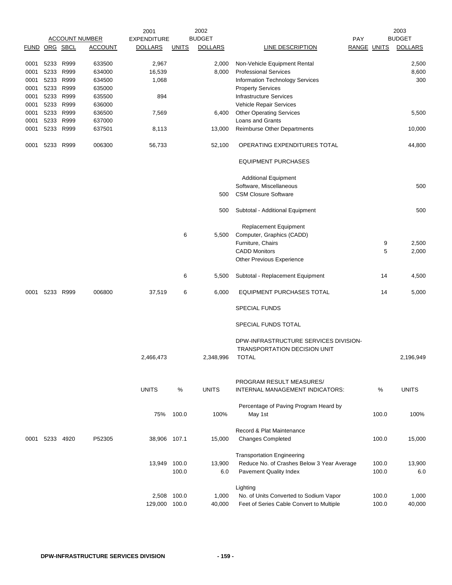|               |           |      |                       | 2001               |                | 2002           |                                                                      |     |                | 2003           |
|---------------|-----------|------|-----------------------|--------------------|----------------|----------------|----------------------------------------------------------------------|-----|----------------|----------------|
|               |           |      | <b>ACCOUNT NUMBER</b> | <b>EXPENDITURE</b> |                | <b>BUDGET</b>  |                                                                      | PAY |                | <b>BUDGET</b>  |
| FUND ORG SBCL |           |      | <b>ACCOUNT</b>        | <b>DOLLARS</b>     | <u>UNITS</u>   | <b>DOLLARS</b> | LINE DESCRIPTION                                                     |     | RANGE UNITS    | <b>DOLLARS</b> |
| 0001          | 5233 R999 |      | 633500                | 2,967              |                | 2,000          | Non-Vehicle Equipment Rental                                         |     |                | 2,500          |
| 0001          | 5233 R999 |      | 634000                | 16,539             |                | 8,000          | <b>Professional Services</b>                                         |     |                | 8,600          |
| 0001          | 5233      | R999 | 634500                | 1,068              |                |                | Information Technology Services                                      |     |                | 300            |
| 0001          | 5233      | R999 | 635000                |                    |                |                | <b>Property Services</b>                                             |     |                |                |
| 0001          | 5233      | R999 | 635500                | 894                |                |                | <b>Infrastructure Services</b>                                       |     |                |                |
| 0001          | 5233      | R999 | 636000                |                    |                |                | Vehicle Repair Services                                              |     |                |                |
| 0001          | 5233 R999 |      | 636500                | 7,569              |                | 6,400          | <b>Other Operating Services</b>                                      |     |                | 5,500          |
| 0001          | 5233 R999 |      | 637000                |                    |                |                | Loans and Grants                                                     |     |                |                |
|               | 5233 R999 |      |                       |                    |                |                |                                                                      |     |                | 10,000         |
| 0001          |           |      | 637501                | 8,113              |                | 13,000         | Reimburse Other Departments                                          |     |                |                |
| 0001          | 5233 R999 |      | 006300                | 56,733             |                | 52,100         | OPERATING EXPENDITURES TOTAL                                         |     |                | 44,800         |
|               |           |      |                       |                    |                |                | <b>EQUIPMENT PURCHASES</b>                                           |     |                |                |
|               |           |      |                       |                    |                |                | <b>Additional Equipment</b>                                          |     |                |                |
|               |           |      |                       |                    |                |                | Software, Miscellaneous                                              |     |                | 500            |
|               |           |      |                       |                    |                | 500            | <b>CSM Closure Software</b>                                          |     |                |                |
|               |           |      |                       |                    |                | 500            | Subtotal - Additional Equipment                                      |     |                | 500            |
|               |           |      |                       |                    |                |                | Replacement Equipment                                                |     |                |                |
|               |           |      |                       |                    | 6              | 5,500          | Computer, Graphics (CADD)                                            |     |                |                |
|               |           |      |                       |                    |                |                | Furniture, Chairs                                                    |     | 9              | 2,500          |
|               |           |      |                       |                    |                |                | <b>CADD Monitors</b>                                                 |     | 5              | 2,000          |
|               |           |      |                       |                    |                |                |                                                                      |     |                |                |
|               |           |      |                       |                    |                |                | Other Previous Experience                                            |     |                |                |
|               |           |      |                       |                    | 6              | 5,500          | Subtotal - Replacement Equipment                                     |     | 14             | 4,500          |
| 0001          | 5233      | R999 | 006800                | 37,519             | 6              | 6,000          | EQUIPMENT PURCHASES TOTAL                                            |     | 14             | 5,000          |
|               |           |      |                       |                    |                |                | <b>SPECIAL FUNDS</b>                                                 |     |                |                |
|               |           |      |                       |                    |                |                | SPECIAL FUNDS TOTAL                                                  |     |                |                |
|               |           |      |                       |                    |                |                | DPW-INFRASTRUCTURE SERVICES DIVISION-                                |     |                |                |
|               |           |      |                       |                    |                |                | <b>TRANSPORTATION DECISION UNIT</b>                                  |     |                |                |
|               |           |      |                       | 2,466,473          |                | 2,348,996      | TOTAL                                                                |     |                | 2,196,949      |
|               |           |      |                       |                    |                |                |                                                                      |     |                |                |
|               |           |      |                       |                    |                |                | PROGRAM RESULT MEASURES/                                             |     |                |                |
|               |           |      |                       | <b>UNITS</b>       | %              | <b>UNITS</b>   | INTERNAL MANAGEMENT INDICATORS:                                      |     | %              | <b>UNITS</b>   |
|               |           |      |                       |                    |                |                |                                                                      |     |                |                |
|               |           |      |                       |                    |                |                | Percentage of Paving Program Heard by                                |     |                |                |
|               |           |      |                       | 75%                | 100.0          | 100%           | May 1st                                                              |     | 100.0          | 100%           |
|               |           |      |                       |                    |                |                | Record & Plat Maintenance                                            |     |                |                |
| 0001          | 5233 4920 |      | P52305                | 38,906 107.1       |                | 15,000         | <b>Changes Completed</b>                                             |     | 100.0          | 15,000         |
|               |           |      |                       |                    |                |                |                                                                      |     |                |                |
|               |           |      |                       |                    |                |                | <b>Transportation Engineering</b>                                    |     |                |                |
|               |           |      |                       | 13,949             | 100.0<br>100.0 | 13,900<br>6.0  | Reduce No. of Crashes Below 3 Year Average<br>Pavement Quality Index |     | 100.0<br>100.0 | 13,900<br>6.0  |
|               |           |      |                       |                    |                |                |                                                                      |     |                |                |
|               |           |      |                       |                    |                |                | Lighting                                                             |     |                |                |
|               |           |      |                       | 2,508              | 100.0          | 1,000          | No. of Units Converted to Sodium Vapor                               |     | 100.0          | 1,000          |
|               |           |      |                       | 129,000            | 100.0          | 40,000         | Feet of Series Cable Convert to Multiple                             |     | 100.0          | 40,000         |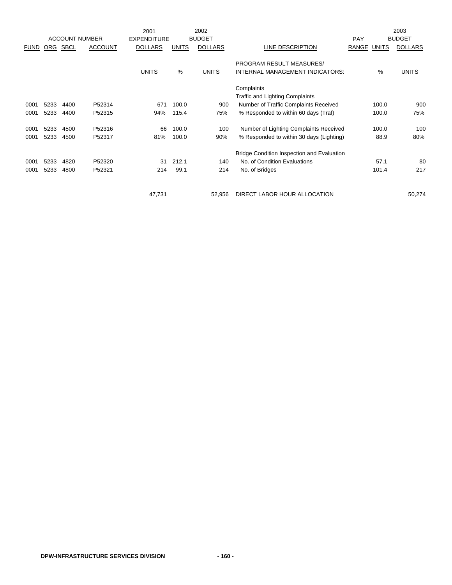|             |            |                       |                | 2001               |              | 2002           |                                            |                       | 2003           |
|-------------|------------|-----------------------|----------------|--------------------|--------------|----------------|--------------------------------------------|-----------------------|----------------|
|             |            | <b>ACCOUNT NUMBER</b> |                | <b>EXPENDITURE</b> |              | <b>BUDGET</b>  |                                            | PAY                   | <b>BUDGET</b>  |
| <b>FUND</b> | <b>ORG</b> | <b>SBCL</b>           | <b>ACCOUNT</b> | <b>DOLLARS</b>     | <b>UNITS</b> | <b>DOLLARS</b> | LINE DESCRIPTION                           | RANGE<br><b>UNITS</b> | <b>DOLLARS</b> |
|             |            |                       |                |                    |              |                |                                            |                       |                |
|             |            |                       |                |                    |              |                | PROGRAM RESULT MEASURES/                   |                       |                |
|             |            |                       |                | <b>UNITS</b>       | %            | <b>UNITS</b>   | INTERNAL MANAGEMENT INDICATORS:            | %                     | <b>UNITS</b>   |
|             |            |                       |                |                    |              |                | Complaints                                 |                       |                |
|             |            |                       |                |                    |              |                | <b>Traffic and Lighting Complaints</b>     |                       |                |
| 0001        | 5233       | 4400                  | P52314         | 671                | 100.0        | 900            | Number of Traffic Complaints Received      | 100.0                 | 900            |
| 0001        | 5233       | 4400                  | P52315         | 94%                | 115.4        | 75%            | % Responded to within 60 days (Traf)       | 100.0                 | 75%            |
| 0001        | 5233       | 4500                  | P52316         | 66                 | 100.0        | 100            | Number of Lighting Complaints Received     | 100.0                 | 100            |
| 0001        | 5233       | 4500                  | P52317         | 81%                | 100.0        | 90%            | % Responded to within 30 days (Lighting)   | 88.9                  | 80%            |
|             |            |                       |                |                    |              |                |                                            |                       |                |
|             |            |                       |                |                    |              |                | Bridge Condition Inspection and Evaluation |                       |                |
| 0001        | 5233       | 4820                  | P52320         | 31                 | 212.1        | 140            | No. of Condition Evaluations               | 57.1                  | 80             |
| 0001        | 5233       | 4800                  | P52321         | 214                | 99.1         | 214            | No. of Bridges                             | 101.4                 | 217            |
|             |            |                       |                |                    |              |                |                                            |                       |                |
|             |            |                       |                | 47,731             |              | 52,956         | DIRECT LABOR HOUR ALLOCATION               |                       | 50,274         |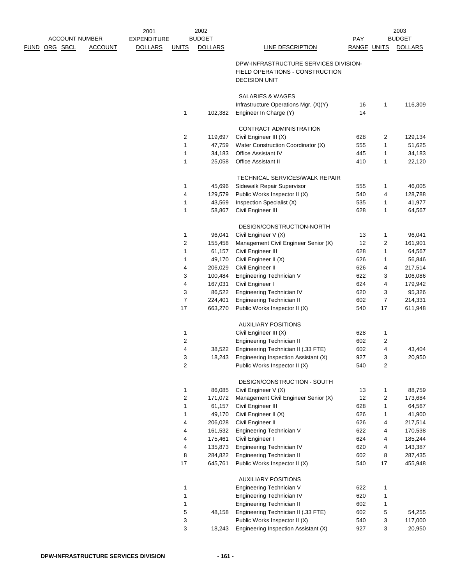|               |                       |                | 2001               |                              | 2002             |                                             |             |                                | 2003              |
|---------------|-----------------------|----------------|--------------------|------------------------------|------------------|---------------------------------------------|-------------|--------------------------------|-------------------|
|               | <b>ACCOUNT NUMBER</b> |                | <b>EXPENDITURE</b> |                              | <b>BUDGET</b>    |                                             | <b>PAY</b>  |                                | <b>BUDGET</b>     |
| FUND ORG SBCL |                       | <b>ACCOUNT</b> | <b>DOLLARS</b>     | <b>UNITS</b>                 | <b>DOLLARS</b>   | <b>LINE DESCRIPTION</b>                     | RANGE UNITS |                                | <b>DOLLARS</b>    |
|               |                       |                |                    |                              |                  | DPW-INFRASTRUCTURE SERVICES DIVISION-       |             |                                |                   |
|               |                       |                |                    |                              |                  | FIELD OPERATIONS - CONSTRUCTION             |             |                                |                   |
|               |                       |                |                    |                              |                  | <b>DECISION UNIT</b>                        |             |                                |                   |
|               |                       |                |                    |                              |                  |                                             |             |                                |                   |
|               |                       |                |                    |                              |                  | SALARIES & WAGES                            |             |                                |                   |
|               |                       |                |                    |                              |                  | Infrastructure Operations Mgr. (X)(Y)       | 16          | $\mathbf{1}$                   | 116,309           |
|               |                       |                |                    | 1                            | 102,382          | Engineer In Charge (Y)                      | 14          |                                |                   |
|               |                       |                |                    |                              |                  | CONTRACT ADMINISTRATION                     |             |                                |                   |
|               |                       |                |                    | $\overline{2}$               | 119,697          | Civil Engineer III (X)                      | 628         | 2                              | 129,134           |
|               |                       |                |                    | 1                            | 47,759           | Water Construction Coordinator (X)          | 555         | $\mathbf{1}$                   | 51,625            |
|               |                       |                |                    | 1                            | 34,183           | Office Assistant IV                         | 445         | $\mathbf{1}$                   | 34,183            |
|               |                       |                |                    | 1                            | 25,058           | Office Assistant II                         | 410         | $\mathbf{1}$                   | 22,120            |
|               |                       |                |                    |                              |                  |                                             |             |                                |                   |
|               |                       |                |                    |                              |                  | TECHNICAL SERVICES/WALK REPAIR              |             |                                |                   |
|               |                       |                |                    | 1                            | 45,696           | Sidewalk Repair Supervisor                  | 555         | 1                              | 46,005            |
|               |                       |                |                    | 4                            | 129,579          | Public Works Inspector II (X)               | 540         | 4                              | 128,788           |
|               |                       |                |                    | 1                            | 43,569           | Inspection Specialist (X)                   | 535         | 1                              | 41,977            |
|               |                       |                |                    | 1                            | 58,867           | Civil Engineer III                          | 628         | $\mathbf{1}$                   | 64,567            |
|               |                       |                |                    |                              |                  | DESIGN/CONSTRUCTION-NORTH                   |             |                                |                   |
|               |                       |                |                    | 1                            | 96,041           | Civil Engineer V (X)                        | 13          | $\mathbf{1}$                   | 96,041            |
|               |                       |                |                    | $\overline{2}$               | 155,458          | Management Civil Engineer Senior (X)        | 12          | 2                              | 161,901           |
|               |                       |                |                    | 1                            | 61,157           | Civil Engineer III                          | 628         | $\mathbf{1}$                   | 64,567            |
|               |                       |                |                    | 1                            | 49,170           | Civil Engineer II (X)                       | 626         | $\mathbf{1}$                   | 56,846            |
|               |                       |                |                    | 4                            | 206,029          | Civil Engineer II                           | 626         | 4                              | 217,514           |
|               |                       |                |                    | 3                            | 100,484          | Engineering Technician V                    | 622         | 3                              | 106,086           |
|               |                       |                |                    | 4                            | 167,031          | Civil Engineer I                            | 624         | 4                              | 179,942           |
|               |                       |                |                    | 3                            | 86,522           | Engineering Technician IV                   | 620         | 3                              | 95,326            |
|               |                       |                |                    | $\overline{7}$               | 224,401          | Engineering Technician II                   | 602         | $\overline{7}$                 | 214,331           |
|               |                       |                |                    | 17                           | 663,270          | Public Works Inspector II (X)               | 540         | 17                             | 611,948           |
|               |                       |                |                    |                              |                  | <b>AUXILIARY POSITIONS</b>                  |             |                                |                   |
|               |                       |                |                    | 1                            |                  | Civil Engineer III (X)                      | 628         | $\mathbf{1}$                   |                   |
|               |                       |                |                    | $\boldsymbol{2}$             |                  | <b>Engineering Technician II</b>            | 602         | 2                              |                   |
|               |                       |                |                    | 4                            | 38,522           | Engineering Technician II (.33 FTE)         | 602         | $\overline{4}$                 | 43,404            |
|               |                       |                |                    | 3                            | 18,243           | Engineering Inspection Assistant (X)        | 927         | 3                              | 20,950            |
|               |                       |                |                    | $\overline{c}$               |                  | Public Works Inspector II (X)               | 540         | 2                              |                   |
|               |                       |                |                    |                              |                  |                                             |             |                                |                   |
|               |                       |                |                    |                              |                  | DESIGN/CONSTRUCTION - SOUTH                 |             |                                |                   |
|               |                       |                |                    | 1                            | 86,085           | Civil Engineer V (X)                        | 13<br>12    | $\mathbf{1}$<br>$\overline{c}$ | 88,759            |
|               |                       |                |                    | $\overline{\mathbf{c}}$<br>1 | 171,072          | Management Civil Engineer Senior (X)        | 628         |                                | 173,684<br>64,567 |
|               |                       |                |                    | 1                            | 61,157<br>49,170 | Civil Engineer III<br>Civil Engineer II (X) | 626         | $\mathbf{1}$<br>$\mathbf{1}$   | 41,900            |
|               |                       |                |                    | 4                            | 206,028          | Civil Engineer II                           | 626         | 4                              | 217,514           |
|               |                       |                |                    | 4                            | 161,532          | Engineering Technician V                    | 622         | 4                              | 170,538           |
|               |                       |                |                    | 4                            | 175,461          | Civil Engineer I                            | 624         | 4                              | 185,244           |
|               |                       |                |                    | 4                            | 135,873          | Engineering Technician IV                   | 620         | 4                              | 143,387           |
|               |                       |                |                    | 8                            | 284,822          | Engineering Technician II                   | 602         | 8                              | 287,435           |
|               |                       |                |                    | 17                           | 645,761          | Public Works Inspector II (X)               | 540         | 17                             | 455,948           |
|               |                       |                |                    |                              |                  |                                             |             |                                |                   |
|               |                       |                |                    |                              |                  | <b>AUXILIARY POSITIONS</b>                  |             |                                |                   |
|               |                       |                |                    | 1                            |                  | Engineering Technician V                    | 622         | $\mathbf{1}$                   |                   |
|               |                       |                |                    | 1                            |                  | Engineering Technician IV                   | 620         | $\mathbf{1}$                   |                   |
|               |                       |                |                    | 1                            |                  | Engineering Technician II                   | 602         | 1                              |                   |
|               |                       |                |                    | 5                            | 48,158           | Engineering Technician II (.33 FTE)         | 602         | 5                              | 54,255            |
|               |                       |                |                    | 3                            |                  | Public Works Inspector II (X)               | 540         | 3                              | 117,000           |
|               |                       |                |                    | 3                            | 18,243           | Engineering Inspection Assistant (X)        | 927         | 3                              | 20,950            |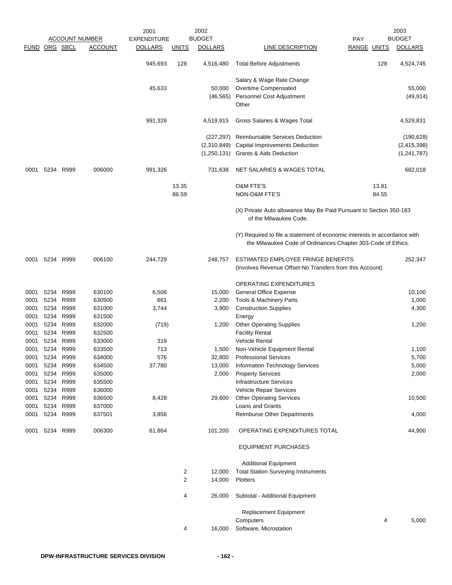|      |                |           |                       | 2001               |              | 2002           |                                                                                                                                           |                    |       | 2003           |
|------|----------------|-----------|-----------------------|--------------------|--------------|----------------|-------------------------------------------------------------------------------------------------------------------------------------------|--------------------|-------|----------------|
|      |                |           | <b>ACCOUNT NUMBER</b> | <b>EXPENDITURE</b> |              | <b>BUDGET</b>  |                                                                                                                                           | <b>PAY</b>         |       | <b>BUDGET</b>  |
|      | FUND ORG SBCL  |           | <b>ACCOUNT</b>        | <b>DOLLARS</b>     | <b>UNITS</b> | <b>DOLLARS</b> | LINE DESCRIPTION                                                                                                                          | <b>RANGE UNITS</b> |       | <b>DOLLARS</b> |
|      |                |           |                       | 945,693            | 128          | 4,516,480      | <b>Total Before Adjustments</b>                                                                                                           |                    | 128   | 4,524,745      |
|      |                |           |                       |                    |              |                | Salary & Wage Rate Change                                                                                                                 |                    |       |                |
|      |                |           |                       | 45,633             |              | 50,000         | Overtime Compensated                                                                                                                      |                    |       | 55,000         |
|      |                |           |                       |                    |              | (46, 565)      | Personnel Cost Adjustment                                                                                                                 |                    |       | (49, 914)      |
|      |                |           |                       |                    |              |                | Other                                                                                                                                     |                    |       |                |
|      |                |           |                       | 991,326            |              | 4,519,915      | Gross Salaries & Wages Total                                                                                                              |                    |       | 4,529,831      |
|      |                |           |                       |                    |              | (227, 297)     | Reimbursable Services Deduction                                                                                                           |                    |       | (190, 628)     |
|      |                |           |                       |                    |              | (2,310,849)    | Capital Improvements Deduction                                                                                                            |                    |       | (2,415,398)    |
|      |                |           |                       |                    |              | (1, 250, 131)  | <b>Grants &amp; Aids Deduction</b>                                                                                                        |                    |       | (1, 241, 787)  |
| 0001 | 5234 R999      |           | 006000                | 991,326            |              | 731,638        | NET SALARIES & WAGES TOTAL                                                                                                                |                    |       | 682,018        |
|      |                |           |                       |                    | 13.35        |                | <b>O&amp;M FTE'S</b>                                                                                                                      |                    | 13.81 |                |
|      |                |           |                       |                    | 86.59        |                | NON-O&M FTE'S                                                                                                                             |                    | 84.55 |                |
|      |                |           |                       |                    |              |                | (X) Private Auto allowance May Be Paid Pursuant to Section 350-183<br>of the Milwaukee Code.                                              |                    |       |                |
|      |                |           |                       |                    |              |                | (Y) Required to file a statement of economic interests in accordance with<br>the Milwaukee Code of Ordinances Chapter 303-Code of Ethics. |                    |       |                |
| 0001 | 5234 R999      |           | 006100                | 244,729            |              | 248,757        | ESTIMATED EMPLOYEE FRINGE BENEFITS                                                                                                        |                    |       | 252,347        |
|      |                |           |                       |                    |              |                | (Involves Revenue Offset-No Transfers from this Account)                                                                                  |                    |       |                |
|      |                |           |                       |                    |              |                | <b>OPERATING EXPENDITURES</b>                                                                                                             |                    |       |                |
| 0001 | 5234           | R999      | 630100                | 6,506              |              | 15,000         | <b>General Office Expense</b>                                                                                                             |                    |       | 10,100         |
| 0001 | 5234           | R999      | 630500                | 661                |              | 2,200          | Tools & Machinery Parts                                                                                                                   |                    |       | 1,000          |
| 0001 | 5234           | R999      | 631000                | 3,744              |              | 3,900          | <b>Construction Supplies</b>                                                                                                              |                    |       | 4,300          |
| 0001 | 5234           | R999      | 631500                |                    |              |                | Energy                                                                                                                                    |                    |       |                |
| 0001 |                | 5234 R999 | 632000                | (719)              |              | 1,200          | <b>Other Operating Supplies</b>                                                                                                           |                    |       | 1,200          |
| 0001 | 5234           | R999      | 632500                |                    |              |                | <b>Facility Rental</b>                                                                                                                    |                    |       |                |
| 0001 | 5234           | R999      | 633000                | 319                |              |                | <b>Vehicle Rental</b>                                                                                                                     |                    |       |                |
| 0001 | 5234           | R999      | 633500                | 713                |              | 1,500          | Non-Vehicle Equipment Rental                                                                                                              |                    |       | 1,100          |
| 0001 | 5234           | R999      | 634000                | 576                |              | 32,800         | <b>Professional Services</b>                                                                                                              |                    |       | 5,700          |
|      | 0001 5234 R999 |           | 634500                | 37,780             |              | 13,000         | <b>Information Technology Services</b>                                                                                                    |                    |       | 5,000          |
| 0001 | 5234 R999      |           | 635000                |                    |              | 2,000          | <b>Property Services</b>                                                                                                                  |                    |       | 2,000          |
| 0001 | 5234 R999      |           | 635500                |                    |              |                | <b>Infrastructure Services</b>                                                                                                            |                    |       |                |
| 0001 | 5234 R999      |           | 636000                |                    |              |                | Vehicle Repair Services                                                                                                                   |                    |       |                |
| 0001 | 5234           | R999      | 636500                | 8,428              |              | 29,600         | <b>Other Operating Services</b>                                                                                                           |                    |       | 10,500         |
| 0001 | 5234           | R999      | 637000                |                    |              |                | Loans and Grants                                                                                                                          |                    |       |                |
| 0001 | 5234 R999      |           | 637501                | 3,856              |              |                | <b>Reimburse Other Departments</b>                                                                                                        |                    |       | 4,000          |
| 0001 | 5234 R999      |           | 006300                | 61,864             |              | 101,200        | OPERATING EXPENDITURES TOTAL                                                                                                              |                    |       | 44,900         |
|      |                |           |                       |                    |              |                | <b>EQUIPMENT PURCHASES</b>                                                                                                                |                    |       |                |
|      |                |           |                       |                    |              |                | <b>Additional Equipment</b>                                                                                                               |                    |       |                |
|      |                |           |                       |                    | 2            | 12,000         | <b>Total Station Surveying Instruments</b>                                                                                                |                    |       |                |
|      |                |           |                       |                    | 2            | 14,000         | Plotters                                                                                                                                  |                    |       |                |
|      |                |           |                       |                    | 4            | 26,000         | Subtotal - Additional Equipment                                                                                                           |                    |       |                |
|      |                |           |                       |                    |              |                | <b>Replacement Equipment</b>                                                                                                              |                    |       |                |
|      |                |           |                       |                    |              |                | Computers                                                                                                                                 |                    | 4     | 5,000          |
|      |                |           |                       |                    | 4            | 16,000         | Software, Microstation                                                                                                                    |                    |       |                |
|      |                |           |                       |                    |              |                |                                                                                                                                           |                    |       |                |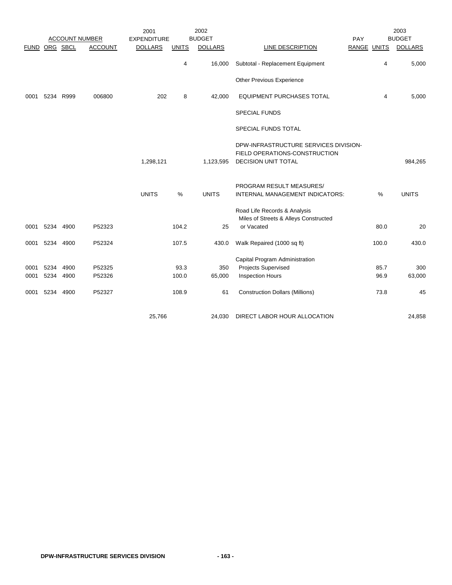|             |          |                       |                | 2001               |              | 2002           |                                                                        |     |                    | 2003           |
|-------------|----------|-----------------------|----------------|--------------------|--------------|----------------|------------------------------------------------------------------------|-----|--------------------|----------------|
|             |          | <b>ACCOUNT NUMBER</b> |                | <b>EXPENDITURE</b> |              | <b>BUDGET</b>  |                                                                        | PAY |                    | <b>BUDGET</b>  |
| <b>FUND</b> | ORG SBCL |                       | <b>ACCOUNT</b> | <b>DOLLARS</b>     | <b>UNITS</b> | <b>DOLLARS</b> | <b>LINE DESCRIPTION</b>                                                |     | <b>RANGE UNITS</b> | <b>DOLLARS</b> |
|             |          |                       |                |                    | 4            | 16,000         | Subtotal - Replacement Equipment                                       |     | 4                  | 5,000          |
|             |          |                       |                |                    |              |                | Other Previous Experience                                              |     |                    |                |
| 0001        | 5234     | R999                  | 006800         | 202                | 8            | 42,000         | <b>EQUIPMENT PURCHASES TOTAL</b>                                       |     | 4                  | 5,000          |
|             |          |                       |                |                    |              |                | <b>SPECIAL FUNDS</b>                                                   |     |                    |                |
|             |          |                       |                |                    |              |                | SPECIAL FUNDS TOTAL                                                    |     |                    |                |
|             |          |                       |                |                    |              |                | DPW-INFRASTRUCTURE SERVICES DIVISION-<br>FIELD OPERATIONS-CONSTRUCTION |     |                    |                |
|             |          |                       |                | 1,298,121          |              | 1,123,595      | <b>DECISION UNIT TOTAL</b>                                             |     |                    | 984,265        |
|             |          |                       |                |                    |              |                | PROGRAM RESULT MEASURES/                                               |     |                    |                |
|             |          |                       |                | <b>UNITS</b>       | $\%$         | <b>UNITS</b>   | INTERNAL MANAGEMENT INDICATORS:                                        |     | $\%$               | <b>UNITS</b>   |
|             |          |                       |                |                    |              |                | Road Life Records & Analysis                                           |     |                    |                |
|             | 5234     |                       |                |                    | 104.2        | 25             | Miles of Streets & Alleys Constructed<br>or Vacated                    |     | 80.0               |                |
| 0001        |          | 4900                  | P52323         |                    |              |                |                                                                        |     |                    | 20             |
| 0001        | 5234     | 4900                  | P52324         |                    | 107.5        | 430.0          | Walk Repaired (1000 sq ft)                                             |     | 100.0              | 430.0          |
|             |          |                       |                |                    |              |                | Capital Program Administration                                         |     |                    |                |
| 0001        | 5234     | 4900                  | P52325         |                    | 93.3         | 350            | <b>Projects Supervised</b>                                             |     | 85.7               | 300            |
| 0001        | 5234     | 4900                  | P52326         |                    | 100.0        | 65,000         | <b>Inspection Hours</b>                                                |     | 96.9               | 63,000         |
| 0001        | 5234     | 4900                  | P52327         |                    | 108.9        | 61             | <b>Construction Dollars (Millions)</b>                                 |     | 73.8               | 45             |
|             |          |                       |                | 25,766             |              | 24,030         | DIRECT LABOR HOUR ALLOCATION                                           |     |                    | 24,858         |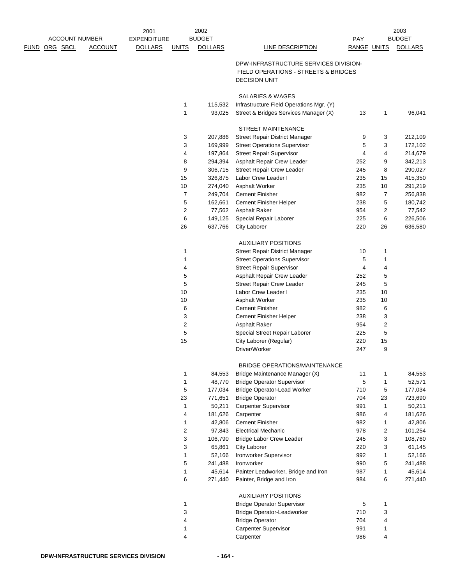|                       |                | 2001               |              | 2002           |                                                                               |                    |                | 2003           |
|-----------------------|----------------|--------------------|--------------|----------------|-------------------------------------------------------------------------------|--------------------|----------------|----------------|
| <b>ACCOUNT NUMBER</b> |                | <b>EXPENDITURE</b> |              | <b>BUDGET</b>  |                                                                               | PAY                |                | <b>BUDGET</b>  |
| FUND ORG SBCL         | <b>ACCOUNT</b> | <b>DOLLARS</b>     | <b>UNITS</b> | <b>DOLLARS</b> | <b>LINE DESCRIPTION</b>                                                       | <b>RANGE UNITS</b> |                | <b>DOLLARS</b> |
|                       |                |                    |              |                |                                                                               |                    |                |                |
|                       |                |                    |              |                | DPW-INFRASTRUCTURE SERVICES DIVISION-<br>FIELD OPERATIONS - STREETS & BRIDGES |                    |                |                |
|                       |                |                    |              |                | <b>DECISION UNIT</b>                                                          |                    |                |                |
|                       |                |                    |              |                |                                                                               |                    |                |                |
|                       |                |                    |              |                | SALARIES & WAGES                                                              |                    |                |                |
|                       |                |                    | 1            | 115,532        | Infrastructure Field Operations Mgr. (Y)                                      |                    |                |                |
|                       |                |                    | 1            | 93,025         | Street & Bridges Services Manager (X)                                         | 13                 | 1              | 96,041         |
|                       |                |                    |              |                |                                                                               |                    |                |                |
|                       |                |                    |              |                | <b>STREET MAINTENANCE</b>                                                     |                    |                |                |
|                       |                |                    | 3            | 207,886        | Street Repair District Manager                                                | 9                  | 3              | 212,109        |
|                       |                |                    | 3            | 169,999        | <b>Street Operations Supervisor</b>                                           | 5                  | 3              | 172,102        |
|                       |                |                    | 4            | 197,864        | <b>Street Repair Supervisor</b>                                               | 4                  | 4              | 214,679        |
|                       |                |                    | 8            | 294,394        | Asphalt Repair Crew Leader                                                    | 252                | 9              | 342,213        |
|                       |                |                    | 9            | 306,715        | <b>Street Repair Crew Leader</b>                                              | 245                | 8              | 290,027        |
|                       |                |                    | 15           | 326,875        | Labor Crew Leader I                                                           | 235                | 15             | 415,350        |
|                       |                |                    | 10           | 274,040        | Asphalt Worker                                                                | 235                | 10             | 291,219        |
|                       |                |                    | 7            | 249,704        | <b>Cement Finisher</b>                                                        | 982                | 7              | 256,838        |
|                       |                |                    | 5            | 162,661        | Cement Finisher Helper                                                        | 238                | 5              | 180,742        |
|                       |                |                    | 2            | 77,562         | Asphalt Raker                                                                 | 954                | $\overline{c}$ | 77,542         |
|                       |                |                    | 6            | 149,125        | Special Repair Laborer                                                        | 225                | 6              | 226,506        |
|                       |                |                    | 26           | 637,766        | <b>City Laborer</b>                                                           | 220                | 26             | 636,580        |
|                       |                |                    |              |                |                                                                               |                    |                |                |
|                       |                |                    |              |                | <b>AUXILIARY POSITIONS</b>                                                    |                    |                |                |
|                       |                |                    | 1            |                | Street Repair District Manager                                                | 10                 | 1              |                |
|                       |                |                    | 1            |                | <b>Street Operations Supervisor</b>                                           | 5                  | 1              |                |
|                       |                |                    | 4            |                | <b>Street Repair Supervisor</b>                                               | 4                  | 4              |                |
|                       |                |                    | 5            |                | Asphalt Repair Crew Leader                                                    | 252                | 5              |                |
|                       |                |                    | 5            |                | <b>Street Repair Crew Leader</b>                                              | 245                | 5              |                |
|                       |                |                    | 10           |                | Labor Crew Leader I                                                           | 235                | 10             |                |
|                       |                |                    | 10           |                | Asphalt Worker                                                                | 235                | 10             |                |
|                       |                |                    | 6            |                | <b>Cement Finisher</b>                                                        | 982                | 6              |                |
|                       |                |                    | 3            |                | Cement Finisher Helper                                                        | 238                | 3              |                |
|                       |                |                    | 2            |                | <b>Asphalt Raker</b>                                                          | 954                | $\overline{c}$ |                |
|                       |                |                    | 5            |                | Special Street Repair Laborer                                                 | 225                | 5              |                |
|                       |                |                    | 15           |                | City Laborer (Regular)                                                        | 220                | 15             |                |
|                       |                |                    |              |                | Driver/Worker                                                                 | 247                | 9              |                |
|                       |                |                    |              |                | BRIDGE OPERATIONS/MAINTENANCE                                                 |                    |                |                |
|                       |                |                    | 1            | 84,553         | Bridge Maintenance Manager (X)                                                | 11                 | 1              | 84,553         |
|                       |                |                    | 1            | 48,770         | <b>Bridge Operator Supervisor</b>                                             | 5                  | 1              | 52,571         |
|                       |                |                    | 5            | 177,034        | <b>Bridge Operator-Lead Worker</b>                                            | 710                | 5              | 177,034        |
|                       |                |                    | 23           | 771,651        | <b>Bridge Operator</b>                                                        | 704                | 23             | 723,690        |
|                       |                |                    | 1            | 50,211         | Carpenter Supervisor                                                          | 991                | 1              | 50,211         |
|                       |                |                    | 4            | 181,626        | Carpenter                                                                     | 986                | 4              | 181,626        |
|                       |                |                    | $\mathbf{1}$ | 42,806         | <b>Cement Finisher</b>                                                        | 982                | 1              | 42,806         |
|                       |                |                    | 2            | 97,843         | <b>Electrical Mechanic</b>                                                    | 978                | 2              | 101,254        |
|                       |                |                    | 3            | 106,790        | <b>Bridge Labor Crew Leader</b>                                               | 245                | 3              | 108,760        |
|                       |                |                    | 3            | 65,861         | <b>City Laborer</b>                                                           | 220                | 3              | 61,145         |
|                       |                |                    | 1            | 52,166         | Ironworker Supervisor                                                         | 992                | 1              | 52,166         |
|                       |                |                    | 5            | 241,488        | Ironworker                                                                    | 990                | 5              | 241,488        |
|                       |                |                    | $\mathbf{1}$ | 45,614         | Painter Leadworker, Bridge and Iron                                           | 987                | $\mathbf{1}$   | 45,614         |
|                       |                |                    | 6            | 271,440        | Painter, Bridge and Iron                                                      | 984                | 6              | 271,440        |
|                       |                |                    |              |                |                                                                               |                    |                |                |
|                       |                |                    |              |                | <b>AUXILIARY POSITIONS</b>                                                    |                    |                |                |
|                       |                |                    | 1            |                | <b>Bridge Operator Supervisor</b>                                             | 5                  | 1              |                |
|                       |                |                    | 3            |                | <b>Bridge Operator-Leadworker</b>                                             | 710                | 3              |                |
|                       |                |                    | 4            |                | <b>Bridge Operator</b>                                                        | 704                | 4              |                |
|                       |                |                    | 1            |                | <b>Carpenter Supervisor</b>                                                   | 991                | 1              |                |
|                       |                |                    | 4            |                | Carpenter                                                                     | 986                | 4              |                |
|                       |                |                    |              |                |                                                                               |                    |                |                |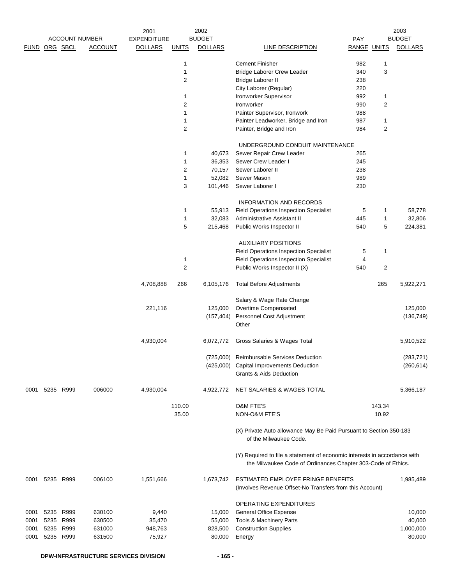|      |                |                       |                | 2001               |                | 2002           |                                                                                                                                           |                    |                | 2003           |
|------|----------------|-----------------------|----------------|--------------------|----------------|----------------|-------------------------------------------------------------------------------------------------------------------------------------------|--------------------|----------------|----------------|
|      |                | <b>ACCOUNT NUMBER</b> |                | <b>EXPENDITURE</b> |                | <b>BUDGET</b>  |                                                                                                                                           | <b>PAY</b>         |                | <b>BUDGET</b>  |
|      | FUND ORG SBCL  |                       | <b>ACCOUNT</b> | <b>DOLLARS</b>     | <b>UNITS</b>   | <b>DOLLARS</b> | <b>LINE DESCRIPTION</b>                                                                                                                   | <b>RANGE UNITS</b> |                | <b>DOLLARS</b> |
|      |                |                       |                |                    |                |                |                                                                                                                                           |                    |                |                |
|      |                |                       |                |                    | $\mathbf{1}$   |                | <b>Cement Finisher</b>                                                                                                                    | 982                | 1              |                |
|      |                |                       |                |                    | $\mathbf{1}$   |                | <b>Bridge Laborer Crew Leader</b>                                                                                                         | 340                | 3              |                |
|      |                |                       |                |                    | $\overline{2}$ |                | Bridge Laborer II                                                                                                                         | 238                |                |                |
|      |                |                       |                |                    |                |                | City Laborer (Regular)                                                                                                                    | 220                |                |                |
|      |                |                       |                |                    | $\mathbf{1}$   |                | Ironworker Supervisor                                                                                                                     | 992                | 1              |                |
|      |                |                       |                |                    | $\overline{2}$ |                | Ironworker                                                                                                                                | 990                | $\overline{2}$ |                |
|      |                |                       |                |                    | $\mathbf{1}$   |                | Painter Supervisor, Ironwork                                                                                                              | 988                |                |                |
|      |                |                       |                |                    | $\mathbf{1}$   |                | Painter Leadworker, Bridge and Iron                                                                                                       | 987                | 1              |                |
|      |                |                       |                |                    | $\overline{2}$ |                | Painter, Bridge and Iron                                                                                                                  | 984                | $\overline{2}$ |                |
|      |                |                       |                |                    |                |                | UNDERGROUND CONDUIT MAINTENANCE                                                                                                           |                    |                |                |
|      |                |                       |                |                    | $\mathbf{1}$   | 40,673         | Sewer Repair Crew Leader                                                                                                                  | 265                |                |                |
|      |                |                       |                |                    | $\mathbf{1}$   | 36,353         | Sewer Crew Leader I                                                                                                                       | 245                |                |                |
|      |                |                       |                |                    | $\sqrt{2}$     | 70,157         | Sewer Laborer II                                                                                                                          | 238                |                |                |
|      |                |                       |                |                    | $\mathbf{1}$   | 52,082         | Sewer Mason                                                                                                                               | 989                |                |                |
|      |                |                       |                |                    | 3              | 101,446        | Sewer Laborer I                                                                                                                           | 230                |                |                |
|      |                |                       |                |                    |                |                |                                                                                                                                           |                    |                |                |
|      |                |                       |                |                    |                |                | <b>INFORMATION AND RECORDS</b>                                                                                                            |                    |                |                |
|      |                |                       |                |                    | $\mathbf{1}$   | 55,913         | <b>Field Operations Inspection Specialist</b>                                                                                             | 5                  | 1              | 58,778         |
|      |                |                       |                |                    | $\mathbf{1}$   | 32,083         | Administrative Assistant II                                                                                                               | 445                | 1              | 32,806         |
|      |                |                       |                |                    | 5              | 215,468        | Public Works Inspector II                                                                                                                 | 540                | 5              | 224,381        |
|      |                |                       |                |                    |                |                | <b>AUXILIARY POSITIONS</b>                                                                                                                |                    |                |                |
|      |                |                       |                |                    |                |                | <b>Field Operations Inspection Specialist</b>                                                                                             | 5                  | 1              |                |
|      |                |                       |                |                    | $\mathbf{1}$   |                | <b>Field Operations Inspection Specialist</b>                                                                                             | 4                  |                |                |
|      |                |                       |                |                    | $\sqrt{2}$     |                | Public Works Inspector II (X)                                                                                                             | 540                | 2              |                |
|      |                |                       |                |                    |                |                |                                                                                                                                           |                    |                |                |
|      |                |                       |                | 4,708,888          | 266            | 6,105,176      | <b>Total Before Adjustments</b>                                                                                                           |                    | 265            | 5,922,271      |
|      |                |                       |                |                    |                |                | Salary & Wage Rate Change                                                                                                                 |                    |                |                |
|      |                |                       |                | 221,116            |                | 125,000        | Overtime Compensated                                                                                                                      |                    |                | 125,000        |
|      |                |                       |                |                    |                | (157, 404)     | Personnel Cost Adjustment                                                                                                                 |                    |                | (136, 749)     |
|      |                |                       |                |                    |                |                | Other                                                                                                                                     |                    |                |                |
|      |                |                       |                |                    |                |                |                                                                                                                                           |                    |                |                |
|      |                |                       |                | 4,930,004          |                | 6,072,772      | Gross Salaries & Wages Total                                                                                                              |                    |                | 5,910,522      |
|      |                |                       |                |                    |                |                | (725,000) Reimbursable Services Deduction                                                                                                 |                    |                | (283, 721)     |
|      |                |                       |                |                    |                |                | (425,000) Capital Improvements Deduction                                                                                                  |                    |                | (260, 614)     |
|      |                |                       |                |                    |                |                | <b>Grants &amp; Aids Deduction</b>                                                                                                        |                    |                |                |
| 0001 | 5235 R999      |                       | 006000         | 4,930,004          |                | 4,922,772      | NET SALARIES & WAGES TOTAL                                                                                                                |                    |                | 5,366,187      |
|      |                |                       |                |                    |                |                |                                                                                                                                           |                    |                |                |
|      |                |                       |                |                    | 110.00         |                | <b>O&amp;M FTE'S</b>                                                                                                                      |                    | 143.34         |                |
|      |                |                       |                |                    | 35.00          |                | NON-O&M FTE'S                                                                                                                             |                    | 10.92          |                |
|      |                |                       |                |                    |                |                | (X) Private Auto allowance May Be Paid Pursuant to Section 350-183<br>of the Milwaukee Code.                                              |                    |                |                |
|      |                |                       |                |                    |                |                | (Y) Required to file a statement of economic interests in accordance with<br>the Milwaukee Code of Ordinances Chapter 303-Code of Ethics. |                    |                |                |
|      | 0001 5235 R999 |                       | 006100         | 1,551,666          |                | 1,673,742      | ESTIMATED EMPLOYEE FRINGE BENEFITS                                                                                                        |                    |                | 1,985,489      |
|      |                |                       |                |                    |                |                | (Involves Revenue Offset-No Transfers from this Account)                                                                                  |                    |                |                |
|      |                |                       |                |                    |                |                | OPERATING EXPENDITURES                                                                                                                    |                    |                |                |
| 0001 | 5235 R999      |                       | 630100         | 9,440              |                | 15,000         | <b>General Office Expense</b>                                                                                                             |                    |                | 10,000         |
| 0001 |                | 5235 R999             | 630500         | 35,470             |                | 55,000         | Tools & Machinery Parts                                                                                                                   |                    |                | 40,000         |
| 0001 |                | 5235 R999             | 631000         | 948,763            |                | 828,500        | <b>Construction Supplies</b>                                                                                                              |                    |                | 1,000,000      |
| 0001 |                | 5235 R999             | 631500         | 75,927             |                | 80,000         | Energy                                                                                                                                    |                    |                | 80,000         |
|      |                |                       |                |                    |                |                |                                                                                                                                           |                    |                |                |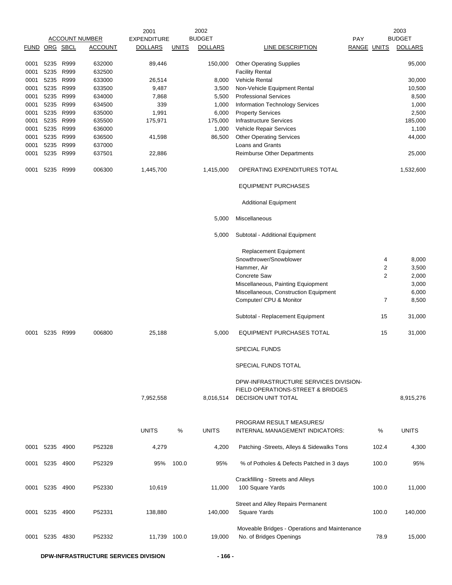|               |           |      |                       | 2001               |              | 2002           |                                                                                                   |                    |                | 2003           |
|---------------|-----------|------|-----------------------|--------------------|--------------|----------------|---------------------------------------------------------------------------------------------------|--------------------|----------------|----------------|
|               |           |      | <b>ACCOUNT NUMBER</b> | <b>EXPENDITURE</b> |              | <b>BUDGET</b>  |                                                                                                   | <b>PAY</b>         |                | <b>BUDGET</b>  |
| FUND ORG SBCL |           |      | <b>ACCOUNT</b>        | <b>DOLLARS</b>     | <u>UNITS</u> | <b>DOLLARS</b> | <b>LINE DESCRIPTION</b>                                                                           | <b>RANGE UNITS</b> |                | <b>DOLLARS</b> |
|               | 5235      | R999 | 632000                | 89,446             |              | 150,000        | <b>Other Operating Supplies</b>                                                                   |                    |                | 95,000         |
| 0001          |           |      |                       |                    |              |                |                                                                                                   |                    |                |                |
| 0001          | 5235      | R999 | 632500                |                    |              |                | <b>Facility Rental</b>                                                                            |                    |                |                |
| 0001          | 5235      | R999 | 633000                | 26,514             |              | 8,000          | <b>Vehicle Rental</b>                                                                             |                    |                | 30,000         |
| 0001          | 5235      | R999 | 633500                | 9,487              |              | 3,500          | Non-Vehicle Equipment Rental                                                                      |                    |                | 10,500         |
| 0001          | 5235      | R999 | 634000                | 7,868              |              | 5,500          | <b>Professional Services</b>                                                                      |                    |                | 8,500          |
| 0001          | 5235      | R999 | 634500                | 339                |              | 1,000          | Information Technology Services                                                                   |                    |                | 1,000          |
| 0001          | 5235 R999 |      | 635000                | 1,991              |              | 6,000          | <b>Property Services</b>                                                                          |                    |                | 2,500          |
| 0001          | 5235      | R999 | 635500                | 175,971            |              | 175,000        | <b>Infrastructure Services</b>                                                                    |                    |                | 185,000        |
| 0001          | 5235      | R999 | 636000                |                    |              | 1,000          | Vehicle Repair Services                                                                           |                    |                | 1,100          |
| 0001          | 5235      | R999 | 636500                | 41,598             |              | 86,500         | <b>Other Operating Services</b>                                                                   |                    |                | 44,000         |
| 0001          | 5235 R999 |      | 637000                |                    |              |                | Loans and Grants                                                                                  |                    |                |                |
| 0001          | 5235      | R999 | 637501                | 22,886             |              |                | Reimburse Other Departments                                                                       |                    |                | 25,000         |
| 0001          | 5235      | R999 | 006300                | 1,445,700          |              | 1,415,000      | OPERATING EXPENDITURES TOTAL                                                                      |                    |                | 1,532,600      |
|               |           |      |                       |                    |              |                | <b>EQUIPMENT PURCHASES</b>                                                                        |                    |                |                |
|               |           |      |                       |                    |              |                | <b>Additional Equipment</b>                                                                       |                    |                |                |
|               |           |      |                       |                    |              | 5,000          | Miscellaneous                                                                                     |                    |                |                |
|               |           |      |                       |                    |              | 5,000          | Subtotal - Additional Equipment                                                                   |                    |                |                |
|               |           |      |                       |                    |              |                | Replacement Equipment                                                                             |                    |                |                |
|               |           |      |                       |                    |              |                | Snowthrower/Snowblower                                                                            |                    | 4              | 8,000          |
|               |           |      |                       |                    |              |                | Hammer, Air                                                                                       |                    | 2              | 3,500          |
|               |           |      |                       |                    |              |                | <b>Concrete Saw</b>                                                                               |                    | $\overline{2}$ | 2,000          |
|               |           |      |                       |                    |              |                | Miscellaneous, Painting Equiopment                                                                |                    |                |                |
|               |           |      |                       |                    |              |                |                                                                                                   |                    |                | 3,000          |
|               |           |      |                       |                    |              |                | Miscellaneous, Construction Equipment<br>Computer/ CPU & Monitor                                  |                    | 7              | 6,000<br>8,500 |
|               |           |      |                       |                    |              |                |                                                                                                   |                    |                |                |
|               |           |      |                       |                    |              |                | Subtotal - Replacement Equipment                                                                  |                    | 15             | 31,000         |
| 0001          | 5235 R999 |      | 006800                | 25,188             |              | 5,000          | EQUIPMENT PURCHASES TOTAL                                                                         |                    | 15             | 31,000         |
|               |           |      |                       |                    |              |                | <b>SPECIAL FUNDS</b>                                                                              |                    |                |                |
|               |           |      |                       |                    |              |                | SPECIAL FUNDS TOTAL                                                                               |                    |                |                |
|               |           |      |                       | 7,952,558          |              | 8,016,514      | DPW-INFRASTRUCTURE SERVICES DIVISION-<br>FIELD OPERATIONS-STREET & BRIDGES<br>DECISION UNIT TOTAL |                    |                | 8,915,276      |
|               |           |      |                       | <b>UNITS</b>       | %            | <b>UNITS</b>   | PROGRAM RESULT MEASURES/<br>INTERNAL MANAGEMENT INDICATORS:                                       |                    | $\%$           | <b>UNITS</b>   |
| 0001          | 5235      | 4900 | P52328                | 4,279              |              | 4,200          | Patching -Streets, Alleys & Sidewalks Tons                                                        |                    | 102.4          | 4,300          |
| 0001          | 5235 4900 |      | P52329                | 95%                | 100.0        | 95%            | % of Potholes & Defects Patched in 3 days                                                         |                    | 100.0          | 95%            |
| 0001          | 5235 4900 |      | P52330                | 10,619             |              | 11,000         | Crackfilling - Streets and Alleys<br>100 Square Yards                                             |                    | 100.0          | 11,000         |
| 0001          | 5235      | 4900 | P52331                | 138,880            |              | 140,000        | Street and Alley Repairs Permanent<br><b>Square Yards</b>                                         |                    | 100.0          | 140,000        |
| 0001          | 5235      | 4830 | P52332                | 11,739 100.0       |              | 19,000         | Moveable Bridges - Operations and Maintenance<br>No. of Bridges Openings                          |                    | 78.9           | 15,000         |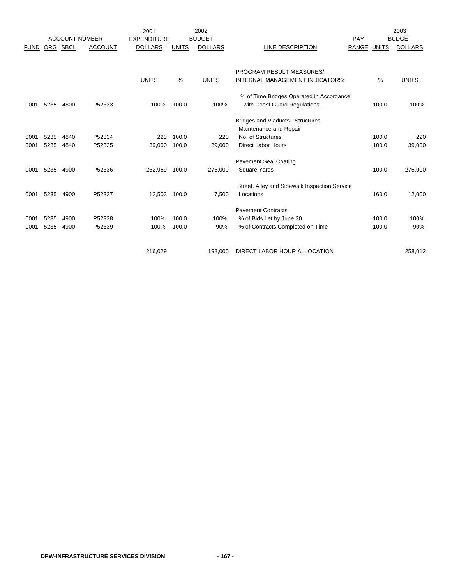|             |            |                       |                | 2001               |              | 2002           |                                               |                    |       | 2003           |
|-------------|------------|-----------------------|----------------|--------------------|--------------|----------------|-----------------------------------------------|--------------------|-------|----------------|
|             |            | <b>ACCOUNT NUMBER</b> |                | <b>EXPENDITURE</b> |              | <b>BUDGET</b>  |                                               | PAY                |       | <b>BUDGET</b>  |
| <b>FUND</b> | <b>ORG</b> | <b>SBCL</b>           | <b>ACCOUNT</b> | <b>DOLLARS</b>     | <b>UNITS</b> | <b>DOLLARS</b> | LINE DESCRIPTION                              | <b>RANGE UNITS</b> |       | <b>DOLLARS</b> |
|             |            |                       |                |                    |              |                |                                               |                    |       |                |
|             |            |                       |                |                    |              |                | PROGRAM RESULT MEASURES/                      |                    |       |                |
|             |            |                       |                | <b>UNITS</b>       | %            | <b>UNITS</b>   | INTERNAL MANAGEMENT INDICATORS:               |                    | %     | <b>UNITS</b>   |
|             |            |                       |                |                    |              |                | % of Time Bridges Operated in Accordance      |                    |       |                |
| 0001        | 5235       | 4800                  | P52333         | 100%               | 100.0        | 100%           | with Coast Guard Regulations                  |                    | 100.0 | 100%           |
|             |            |                       |                |                    |              |                | <b>Bridges and Viaducts - Structures</b>      |                    |       |                |
|             |            |                       |                |                    |              |                | Maintenance and Repair                        |                    |       |                |
| 0001        | 5235       | 4840                  | P52334         | 220                | 100.0        | 220            | No. of Structures                             |                    | 100.0 | 220            |
| 0001        | 5235       | 4840                  | P52335         | 39,000             | 100.0        | 39.000         | <b>Direct Labor Hours</b>                     |                    | 100.0 | 39,000         |
|             |            |                       |                |                    |              |                | <b>Pavement Seal Coating</b>                  |                    |       |                |
| 0001        | 5235       | 4900                  | P52336         | 262,969            | 100.0        | 275,000        | <b>Square Yards</b>                           |                    | 100.0 | 275,000        |
|             |            |                       |                |                    |              |                | Street, Alley and Sidewalk Inspection Service |                    |       |                |
| 0001        | 5235       | 4900                  | P52337         | 12,503             | 100.0        | 7,500          | Locations                                     |                    | 160.0 | 12,000         |
|             |            |                       |                |                    |              |                | <b>Pavement Contracts</b>                     |                    |       |                |
| 0001        | 5235       | 4900                  | P52338         | 100%               | 100.0        | 100%           | % of Bids Let by June 30                      |                    | 100.0 | 100%           |
| 0001        | 5235       | 4900                  | P52339         | 100%               | 100.0        | 90%            | % of Contracts Completed on Time              |                    | 100.0 | 90%            |
|             |            |                       |                |                    |              |                |                                               |                    |       |                |
|             |            |                       |                | 216,029            |              | 198,000        | DIRECT LABOR HOUR ALLOCATION                  |                    |       | 258,012        |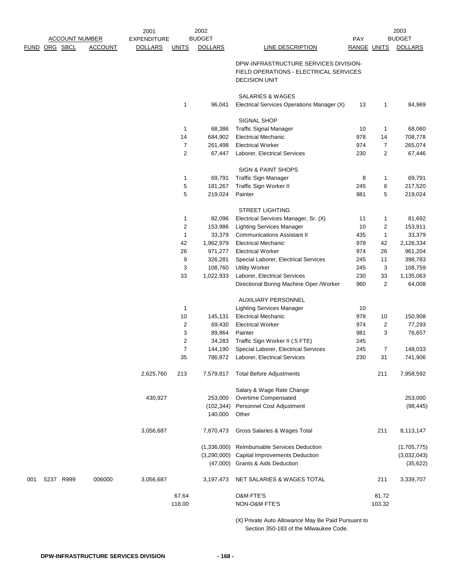|     |               |                       |                | 2001               |                | 2002           |                                                                         |                    |                      | 2003                |
|-----|---------------|-----------------------|----------------|--------------------|----------------|----------------|-------------------------------------------------------------------------|--------------------|----------------------|---------------------|
|     |               | <b>ACCOUNT NUMBER</b> |                | <b>EXPENDITURE</b> |                | <b>BUDGET</b>  |                                                                         | <b>PAY</b>         |                      | <b>BUDGET</b>       |
|     | FUND ORG SBCL |                       | <b>ACCOUNT</b> | <b>DOLLARS</b>     | <b>UNITS</b>   | <b>DOLLARS</b> | LINE DESCRIPTION                                                        | <b>RANGE UNITS</b> |                      | <b>DOLLARS</b>      |
|     |               |                       |                |                    |                |                | DPW-INFRASTRUCTURE SERVICES DIVISION-                                   |                    |                      |                     |
|     |               |                       |                |                    |                |                | FIELD OPERATIONS - ELECTRICAL SERVICES                                  |                    |                      |                     |
|     |               |                       |                |                    |                |                | <b>DECISION UNIT</b>                                                    |                    |                      |                     |
|     |               |                       |                |                    |                |                |                                                                         |                    |                      |                     |
|     |               |                       |                |                    |                |                | SALARIES & WAGES                                                        |                    |                      |                     |
|     |               |                       |                |                    | 1              | 96,041         | Electrical Services Operations Manager (X)                              | 13                 | 1                    | 84,969              |
|     |               |                       |                |                    |                |                | SIGNAL SHOP                                                             |                    |                      |                     |
|     |               |                       |                |                    | $\mathbf{1}$   | 68,386         | <b>Traffic Signal Manager</b>                                           | 10                 | 1                    | 68,060              |
|     |               |                       |                |                    | 14             | 684,902        | <b>Electrical Mechanic</b>                                              | 978                | 14                   | 708,778             |
|     |               |                       |                |                    | $\overline{7}$ | 261,498        | <b>Electrical Worker</b>                                                | 974                | $\overline{7}$       | 265,074             |
|     |               |                       |                |                    | 2              | 67,447         | Laborer, Electrical Services                                            | 230                | $\overline{2}$       | 67,446              |
|     |               |                       |                |                    |                |                | <b>SIGN &amp; PAINT SHOPS</b>                                           |                    |                      |                     |
|     |               |                       |                |                    | 1              | 69,791         | Traffic Sign Manager                                                    | 8                  | 1                    | 69,791              |
|     |               |                       |                |                    | 5              | 181,267        | Traffic Sign Worker II                                                  | 245                | 6                    | 217,520             |
|     |               |                       |                |                    | 5              | 219,024        | Painter                                                                 | 981                | 5                    | 219,024             |
|     |               |                       |                |                    |                |                |                                                                         |                    |                      |                     |
|     |               |                       |                |                    |                |                | <b>STREET LIGHTING</b>                                                  |                    |                      |                     |
|     |               |                       |                |                    | 1              | 82,096         | Electrical Services Manager, Sr. (X)                                    | 11                 | 1                    | 81,692              |
|     |               |                       |                |                    | 2              | 153,986        | <b>Lighting Services Manager</b>                                        | 10                 | 2                    | 153,911             |
|     |               |                       |                |                    | $\mathbf{1}$   | 33,379         | <b>Communications Assistant II</b>                                      | 435                | $\mathbf{1}$         | 33,379              |
|     |               |                       |                |                    | 42             | 1,962,979      | <b>Electrical Mechanic</b>                                              | 978                | 42                   | 2,126,334           |
|     |               |                       |                |                    | 26             | 971,277        | <b>Electrical Worker</b>                                                | 974                | 26                   | 961,204             |
|     |               |                       |                |                    | 9              | 326,281        | Special Laborer, Electrical Services                                    | 245                | 11                   | 398,783             |
|     |               |                       |                |                    | 3              | 108,760        | <b>Utility Worker</b>                                                   | 245                | 3                    | 108,759             |
|     |               |                       |                |                    | 33             | 1,022,933      | Laborer, Electrical Services<br>Directional Boring Machine Oper./Worker | 230<br>960         | 33<br>$\overline{2}$ | 1,135,063<br>64,008 |
|     |               |                       |                |                    |                |                |                                                                         |                    |                      |                     |
|     |               |                       |                |                    |                |                | AUXILIARY PERSONNEL                                                     |                    |                      |                     |
|     |               |                       |                |                    | $\mathbf{1}$   |                | <b>Lighting Services Manager</b>                                        | 10                 |                      |                     |
|     |               |                       |                |                    | 10             | 145,131        | <b>Electrical Mechanic</b>                                              | 978                | 10                   | 150,908             |
|     |               |                       |                |                    | 2              | 69,430         | <b>Electrical Worker</b>                                                | 974                | 2                    | 77,293              |
|     |               |                       |                |                    | 3              | 89,864         | Painter                                                                 | 981                | 3                    | 76,657              |
|     |               |                       |                |                    | $\overline{c}$ | 34,283         | Traffic Sign Worker II (.5 FTE)                                         | 245                |                      |                     |
|     |               |                       |                |                    | 7              | 144,190        | Special Laborer, Electrical Services                                    | 245                | $\overline{7}$       | 148,033             |
|     |               |                       |                |                    | 35             |                | 786,872 Laborer, Electrical Services                                    | 230                | 31                   | 741,906             |
|     |               |                       |                | 2,625,760          | 213            | 7,579,817      | <b>Total Before Adjustments</b>                                         |                    | 211                  | 7,958,592           |
|     |               |                       |                |                    |                |                | Salary & Wage Rate Change                                               |                    |                      |                     |
|     |               |                       |                | 430,927            |                | 253,000        | Overtime Compensated                                                    |                    |                      | 253,000             |
|     |               |                       |                |                    |                | (102, 344)     | Personnel Cost Adjustment                                               |                    |                      | (98, 445)           |
|     |               |                       |                |                    |                | 140,000        | Other                                                                   |                    |                      |                     |
|     |               |                       |                | 3,056,687          |                | 7,870,473      | Gross Salaries & Wages Total                                            |                    | 211                  | 8,113,147           |
|     |               |                       |                |                    |                | (1,336,000)    | Reimbursable Services Deduction                                         |                    |                      | (1,705,775)         |
|     |               |                       |                |                    |                | (3,290,000)    | Capital Improvements Deduction                                          |                    |                      | (3,032,043)         |
|     |               |                       |                |                    |                | (47,000)       | <b>Grants &amp; Aids Deduction</b>                                      |                    |                      | (35, 622)           |
| 001 |               | 5237 R999             | 006000         | 3,056,687          |                | 3,197,473      | NET SALARIES & WAGES TOTAL                                              |                    | 211                  | 3,339,707           |
|     |               |                       |                |                    |                |                |                                                                         |                    |                      |                     |
|     |               |                       |                |                    | 67.64          |                | <b>O&amp;M FTE'S</b>                                                    |                    | 81.72                |                     |
|     |               |                       |                |                    | 118.00         |                | NON-O&M FTE'S                                                           |                    | 103.32               |                     |
|     |               |                       |                |                    |                |                | (X) Private Auto Allowance May Be Paid Pursuant to                      |                    |                      |                     |

Section 350-183 of the Milwaukee Code.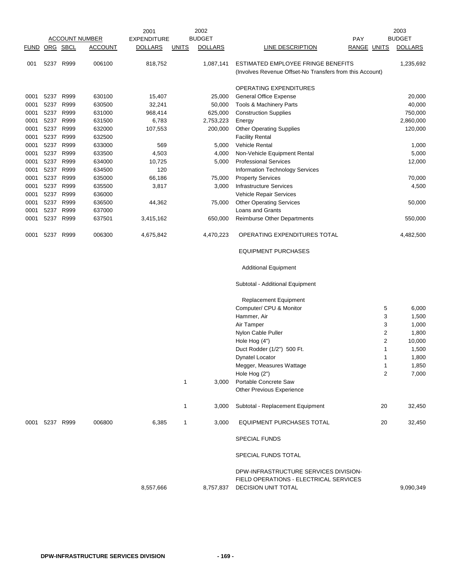|      |                |           |                       | 2001               |              | 2002           |                                                                                                        |                | 2003           |
|------|----------------|-----------|-----------------------|--------------------|--------------|----------------|--------------------------------------------------------------------------------------------------------|----------------|----------------|
|      |                |           | <b>ACCOUNT NUMBER</b> | <b>EXPENDITURE</b> |              | <b>BUDGET</b>  |                                                                                                        | <b>PAY</b>     | <b>BUDGET</b>  |
|      | FUND ORG SBCL  |           | <b>ACCOUNT</b>        | <b>DOLLARS</b>     | <b>UNITS</b> | <b>DOLLARS</b> | LINE DESCRIPTION                                                                                       | RANGE UNITS    | <b>DOLLARS</b> |
| 001  | 5237 R999      |           | 006100                | 818,752            |              | 1,087,141      | ESTIMATED EMPLOYEE FRINGE BENEFITS                                                                     |                | 1,235,692      |
|      |                |           |                       |                    |              |                | (Involves Revenue Offset-No Transfers from this Account)                                               |                |                |
|      |                |           |                       |                    |              |                | <b>OPERATING EXPENDITURES</b>                                                                          |                |                |
| 0001 | 5237 R999      |           | 630100                | 15,407             |              | 25,000         | <b>General Office Expense</b>                                                                          |                | 20,000         |
| 0001 | 5237           | R999      | 630500                | 32,241             |              | 50,000         | <b>Tools &amp; Machinery Parts</b>                                                                     |                | 40,000         |
| 0001 | 5237 R999      |           | 631000                | 968,414            |              | 625,000        | <b>Construction Supplies</b>                                                                           |                | 750,000        |
| 0001 |                | 5237 R999 | 631500                | 6,783              |              | 2,753,223      | Energy                                                                                                 |                | 2,860,000      |
| 0001 | 5237           | R999      | 632000                | 107,553            |              | 200,000        | <b>Other Operating Supplies</b>                                                                        |                | 120,000        |
| 0001 | 5237           | R999      | 632500                |                    |              |                | <b>Facility Rental</b>                                                                                 |                |                |
| 0001 |                | 5237 R999 | 633000                | 569                |              | 5,000          | Vehicle Rental                                                                                         |                | 1,000          |
| 0001 | 5237           | R999      | 633500                | 4,503              |              | 4,000          | Non-Vehicle Equipment Rental                                                                           |                | 5,000          |
| 0001 | 5237           | R999      | 634000                | 10,725             |              | 5,000          | <b>Professional Services</b>                                                                           |                | 12,000         |
| 0001 |                | 5237 R999 | 634500                | 120                |              |                | Information Technology Services                                                                        |                |                |
| 0001 | 5237           | R999      | 635000                | 66,186             |              | 75,000         | <b>Property Services</b>                                                                               |                | 70,000         |
| 0001 | 5237           | R999      | 635500                | 3,817              |              | 3,000          | <b>Infrastructure Services</b>                                                                         |                | 4,500          |
| 0001 | 5237           | R999      | 636000                |                    |              |                | Vehicle Repair Services                                                                                |                |                |
| 0001 | 5237           | R999      | 636500                | 44,362             |              | 75,000         | <b>Other Operating Services</b>                                                                        |                | 50,000         |
| 0001 | 5237           | R999      | 637000                |                    |              |                | Loans and Grants                                                                                       |                |                |
| 0001 | 5237 R999      |           | 637501                | 3,415,162          |              | 650,000        | Reimburse Other Departments                                                                            |                | 550,000        |
| 0001 | 5237           | R999      | 006300                | 4,675,842          |              | 4,470,223      | OPERATING EXPENDITURES TOTAL                                                                           |                | 4,482,500      |
|      |                |           |                       |                    |              |                | <b>EQUIPMENT PURCHASES</b>                                                                             |                |                |
|      |                |           |                       |                    |              |                | <b>Additional Equipment</b>                                                                            |                |                |
|      |                |           |                       |                    |              |                | Subtotal - Additional Equipment                                                                        |                |                |
|      |                |           |                       |                    |              |                | <b>Replacement Equipment</b>                                                                           |                |                |
|      |                |           |                       |                    |              |                | Computer/ CPU & Monitor                                                                                | 5              | 6,000          |
|      |                |           |                       |                    |              |                | Hammer, Air                                                                                            | 3              | 1,500          |
|      |                |           |                       |                    |              |                | Air Tamper                                                                                             | 3              | 1,000          |
|      |                |           |                       |                    |              |                | Nylon Cable Puller                                                                                     | $\overline{2}$ | 1,800          |
|      |                |           |                       |                    |              |                | Hole Hog (4")                                                                                          | $\overline{2}$ | 10,000         |
|      |                |           |                       |                    |              |                | Duct Rodder (1/2") 500 Ft.                                                                             | 1              | 1,500          |
|      |                |           |                       |                    |              |                | Dynatel Locator                                                                                        | 1              | 1,800          |
|      |                |           |                       |                    |              |                | Megger, Measures Wattage                                                                               | 1              | 1,850          |
|      |                |           |                       |                    |              |                | Hole Hog (2")                                                                                          | $\overline{2}$ | 7,000          |
|      |                |           |                       |                    | $\mathbf{1}$ | 3,000          | Portable Concrete Saw                                                                                  |                |                |
|      |                |           |                       |                    |              |                | <b>Other Previous Experience</b>                                                                       |                |                |
|      |                |           |                       |                    | 1            | 3,000          | Subtotal - Replacement Equipment                                                                       | 20             | 32,450         |
|      | 0001 5237 R999 |           | 006800                | 6,385              | $\mathbf{1}$ | 3,000          | <b>EQUIPMENT PURCHASES TOTAL</b>                                                                       | 20             | 32,450         |
|      |                |           |                       |                    |              |                | <b>SPECIAL FUNDS</b>                                                                                   |                |                |
|      |                |           |                       |                    |              |                | SPECIAL FUNDS TOTAL                                                                                    |                |                |
|      |                |           |                       | 8,557,666          |              | 8,757,837      | DPW-INFRASTRUCTURE SERVICES DIVISION-<br>FIELD OPERATIONS - ELECTRICAL SERVICES<br>DECISION UNIT TOTAL |                | 9,090,349      |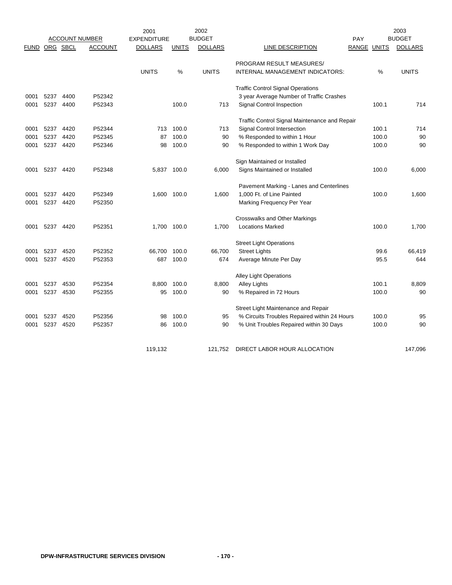|               |      |           | <b>ACCOUNT NUMBER</b> | 2001<br><b>EXPENDITURE</b> |              | 2002<br><b>BUDGET</b> |                                               | <b>PAY</b>  |       | 2003<br><b>BUDGET</b> |
|---------------|------|-----------|-----------------------|----------------------------|--------------|-----------------------|-----------------------------------------------|-------------|-------|-----------------------|
| FUND ORG SBCL |      |           | <b>ACCOUNT</b>        | <b>DOLLARS</b>             | <b>UNITS</b> | <b>DOLLARS</b>        | <b>LINE DESCRIPTION</b>                       | RANGE UNITS |       | <b>DOLLARS</b>        |
|               |      |           |                       |                            |              |                       | PROGRAM RESULT MEASURES/                      |             |       |                       |
|               |      |           |                       | <b>UNITS</b>               | %            | <b>UNITS</b>          | INTERNAL MANAGEMENT INDICATORS:               |             | %     | <b>UNITS</b>          |
|               |      |           |                       |                            |              |                       | <b>Traffic Control Signal Operations</b>      |             |       |                       |
| 0001          | 5237 | 4400      | P52342                |                            |              |                       | 3 year Average Number of Traffic Crashes      |             |       |                       |
| 0001          | 5237 | 4400      | P52343                |                            | 100.0        | 713                   | <b>Signal Control Inspection</b>              |             | 100.1 | 714                   |
|               |      |           |                       |                            |              |                       | Traffic Control Signal Maintenance and Repair |             |       |                       |
| 0001          | 5237 | 4420      | P52344                | 713                        | 100.0        | 713                   | Signal Control Intersection                   |             | 100.1 | 714                   |
| 0001          | 5237 | 4420      | P52345                | 87                         | 100.0        | 90                    | % Responded to within 1 Hour                  |             | 100.0 | 90                    |
| 0001          |      | 5237 4420 | P52346                | 98                         | 100.0        | 90                    | % Responded to within 1 Work Day              |             | 100.0 | 90                    |
|               |      |           |                       |                            |              |                       | Sign Maintained or Installed                  |             |       |                       |
| 0001          | 5237 | 4420      | P52348                | 5,837 100.0                |              | 6,000                 | Signs Maintained or Installed                 |             | 100.0 | 6,000                 |
|               |      |           |                       |                            |              |                       | Pavement Marking - Lanes and Centerlines      |             |       |                       |
| 0001          | 5237 | 4420      | P52349                | 1,600                      | 100.0        | 1,600                 | 1,000 Ft. of Line Painted                     |             | 100.0 | 1,600                 |
| 0001          |      | 5237 4420 | P52350                |                            |              |                       | Marking Frequency Per Year                    |             |       |                       |
|               |      |           |                       |                            |              |                       | <b>Crosswalks and Other Markings</b>          |             |       |                       |
| 0001          | 5237 | 4420      | P52351                | 1,700                      | 100.0        | 1,700                 | <b>Locations Marked</b>                       |             | 100.0 | 1,700                 |
|               |      |           |                       |                            |              |                       | <b>Street Light Operations</b>                |             |       |                       |
| 0001          | 5237 | 4520      | P52352                | 66,700                     | 100.0        | 66,700                | <b>Street Lights</b>                          |             | 99.6  | 66,419                |
| 0001          | 5237 | 4520      | P52353                | 687                        | 100.0        | 674                   | Average Minute Per Day                        |             | 95.5  | 644                   |
|               |      |           |                       |                            |              |                       | <b>Alley Light Operations</b>                 |             |       |                       |
| 0001          | 5237 | 4530      | P52354                | 8,800                      | 100.0        | 8,800                 | <b>Alley Lights</b>                           |             | 100.1 | 8,809                 |
| 0001          | 5237 | 4530      | P52355                | 95                         | 100.0        | 90                    | % Repaired in 72 Hours                        |             | 100.0 | 90                    |
|               |      |           |                       |                            |              |                       | Street Light Maintenance and Repair           |             |       |                       |
| 0001          | 5237 | 4520      | P52356                | 98                         | 100.0        | 95                    | % Circuits Troubles Repaired within 24 Hours  |             | 100.0 | 95                    |
| 0001          | 5237 | 4520      | P52357                | 86                         | 100.0        | 90                    | % Unit Troubles Repaired within 30 Days       |             | 100.0 | 90                    |
|               |      |           |                       | 119,132                    |              | 121,752               | DIRECT LABOR HOUR ALLOCATION                  |             |       | 147,096               |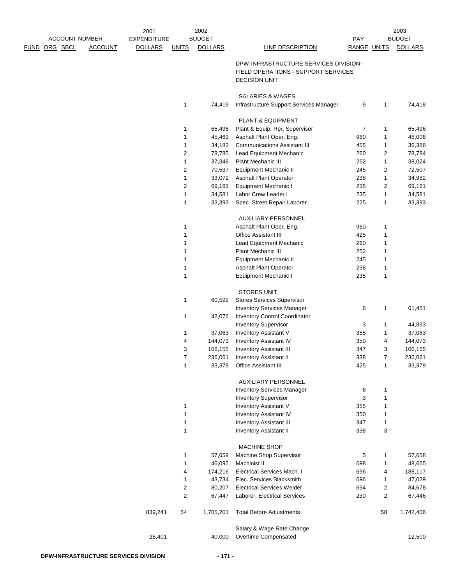|      |                       |                | 2001               |                | 2002           |                                                                           |             |                | 2003           |
|------|-----------------------|----------------|--------------------|----------------|----------------|---------------------------------------------------------------------------|-------------|----------------|----------------|
|      | <b>ACCOUNT NUMBER</b> |                | <b>EXPENDITURE</b> |                | <b>BUDGET</b>  |                                                                           | PAY         |                | <b>BUDGET</b>  |
| FUND | ORG SBCL              | <b>ACCOUNT</b> | <b>DOLLARS</b>     | <b>UNITS</b>   | <b>DOLLARS</b> | <b>LINE DESCRIPTION</b>                                                   | RANGE UNITS |                | <b>DOLLARS</b> |
|      |                       |                |                    |                |                | DPW-INFRASTRUCTURE SERVICES DIVISION-                                     |             |                |                |
|      |                       |                |                    |                |                | FIELD OPERATIONS - SUPPORT SERVICES                                       |             |                |                |
|      |                       |                |                    |                |                | <b>DECISION UNIT</b>                                                      |             |                |                |
|      |                       |                |                    |                |                |                                                                           |             |                |                |
|      |                       |                |                    |                |                | SALARIES & WAGES                                                          |             |                |                |
|      |                       |                |                    | 1              | 74,419         | Infrastructure Support Services Manager                                   | 9           | 1              | 74,418         |
|      |                       |                |                    |                |                |                                                                           |             |                |                |
|      |                       |                |                    |                |                | PLANT & EQUIPMENT                                                         |             |                |                |
|      |                       |                |                    | 1              | 65,496         | Plant & Equip. Rpr. Supervisor                                            | 7           | 1              | 65,496         |
|      |                       |                |                    | 1              | 45,469         | Asphalt Plant Oper. Eng.                                                  | 960         | 1              | 48,006         |
|      |                       |                |                    | 1              | 34,183         | <b>Communications Assistant III</b>                                       | 455         | 1              | 36,386         |
|      |                       |                |                    | $\overline{c}$ | 78,785         | Lead Equipment Mechanic                                                   | 260         | 2              | 78,784         |
|      |                       |                |                    | 1              | 37,348         | <b>Plant Mechanic III</b>                                                 | 252         | 1              | 38,024         |
|      |                       |                |                    | $\overline{c}$ | 70,537         | Equipment Mechanic II                                                     | 245         | $\overline{c}$ | 72,507         |
|      |                       |                |                    | 1              | 33,072         | <b>Asphalt Plant Operator</b>                                             | 238         | 1              | 34,982         |
|      |                       |                |                    | 2              | 69,161         | Equipment Mechanic I                                                      | 235         | 2              | 69,161         |
|      |                       |                |                    | 1              | 34,581         | Labor Crew Leader I                                                       | 235         | 1              | 34,581         |
|      |                       |                |                    | 1              | 33,393         | Spec. Street Repair Laborer                                               | 225         | 1              | 33,393         |
|      |                       |                |                    |                |                |                                                                           |             |                |                |
|      |                       |                |                    |                |                | <b>AUXILIARY PERSONNEL</b>                                                |             |                |                |
|      |                       |                |                    | 1              |                | Asphalt Plant Oper. Eng.                                                  | 960         | 1              |                |
|      |                       |                |                    | 1              |                | Office Assistant III                                                      | 425         | 1              |                |
|      |                       |                |                    | 1              |                | <b>Lead Equipment Mechanic</b>                                            | 260         | 1              |                |
|      |                       |                |                    | 1              |                | Plant Mechanic III                                                        | 252         | 1              |                |
|      |                       |                |                    | 1              |                | Equipment Mechanic II                                                     | 245         | 1              |                |
|      |                       |                |                    | 1              |                | Asphalt Plant Operator                                                    | 238         | 1              |                |
|      |                       |                |                    | 1              |                | Equipment Mechanic I                                                      | 235         | 1              |                |
|      |                       |                |                    |                |                |                                                                           |             |                |                |
|      |                       |                |                    | 1              |                | <b>STORES UNIT</b>                                                        |             |                |                |
|      |                       |                |                    |                | 60,592         | <b>Stores Services Supervisor</b>                                         |             |                |                |
|      |                       |                |                    | 1              | 42,076         | <b>Inventory Services Manager</b><br><b>Inventory Control Coordinator</b> | 6           | 1              | 61,451         |
|      |                       |                |                    |                |                | <b>Inventory Supervisor</b>                                               | 3           | 1              | 44,893         |
|      |                       |                |                    | 1              | 37,063         | <b>Inventory Assistant V</b>                                              | 355         | 1              | 37,063         |
|      |                       |                |                    | 4              | 144,073        | <b>Inventory Assistant IV</b>                                             | 350         | 4              | 144,073        |
|      |                       |                |                    | 3              | 106,155        | <b>Inventory Assistant III</b>                                            | 347         | 3              | 106,155        |
|      |                       |                |                    | $\overline{7}$ | 236,061        | <b>Inventory Assistant II</b>                                             | 338         | 7              | 236,061        |
|      |                       |                |                    | 1              | 33,379         | Office Assistant III                                                      | 425         | 1              | 33,379         |
|      |                       |                |                    |                |                |                                                                           |             |                |                |
|      |                       |                |                    |                |                | <b>AUXILIARY PERSONNEL</b>                                                |             |                |                |
|      |                       |                |                    |                |                | <b>Inventory Services Manager</b>                                         | 6           | 1              |                |
|      |                       |                |                    |                |                | <b>Inventory Supervisor</b>                                               | 3           | 1              |                |
|      |                       |                |                    | 1              |                | Inventory Assistant V                                                     | 355         | 1              |                |
|      |                       |                |                    | 1              |                | Inventory Assistant IV                                                    | 350         | 1              |                |
|      |                       |                |                    | 1              |                | <b>Inventory Assistant III</b>                                            | 347         | 1              |                |
|      |                       |                |                    | 1              |                | <b>Inventory Assistant II</b>                                             | 338         | 3              |                |
|      |                       |                |                    |                |                |                                                                           |             |                |                |
|      |                       |                |                    |                |                | <b>MACHINE SHOP</b>                                                       |             |                |                |
|      |                       |                |                    | 1              | 57,659         | Machine Shop Supervisor                                                   | 5           | 1              | 57,658         |
|      |                       |                |                    | 1              | 46,095         | Machinist II                                                              | 698         | 1              | 48,665         |
|      |                       |                |                    | 4              | 174,216        | Electrical Services Mach. I                                               | 696         | 4              | 188,117        |
|      |                       |                |                    | 1              | 43,734         | Elec. Services Blacksmith                                                 | 696         | 1              | 47,029         |
|      |                       |                |                    | $\overline{c}$ | 80,207         | <b>Electrical Services Welder</b>                                         | 694         | 2              | 84,678         |
|      |                       |                |                    | 2              | 67,447         | Laborer, Electrical Services                                              | 230         | 2              | 67,446         |
|      |                       |                | 839,241            | 54             | 1,705,201      | <b>Total Before Adjustments</b>                                           |             | 58             | 1,742,406      |
|      |                       |                |                    |                |                |                                                                           |             |                |                |
|      |                       |                |                    |                |                | Salary & Wage Rate Change                                                 |             |                |                |
|      |                       |                | 26,401             |                | 40,000         | Overtime Compensated                                                      |             |                | 12,500         |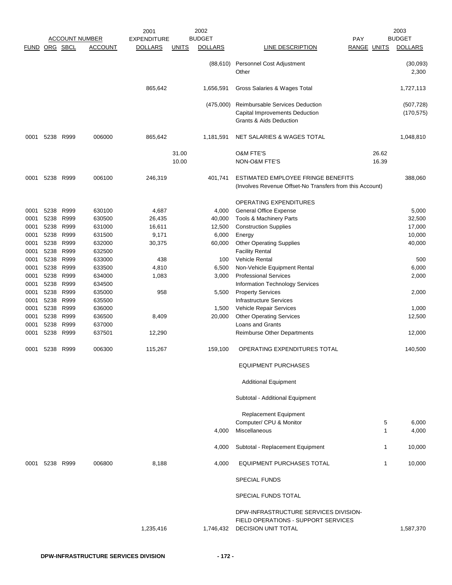|               |      |           |                       | 2001               |              | 2002           |                                                                                                               |                    |       | 2003                     |
|---------------|------|-----------|-----------------------|--------------------|--------------|----------------|---------------------------------------------------------------------------------------------------------------|--------------------|-------|--------------------------|
|               |      |           | <b>ACCOUNT NUMBER</b> | <b>EXPENDITURE</b> |              | <b>BUDGET</b>  |                                                                                                               | <b>PAY</b>         |       | <b>BUDGET</b>            |
| FUND ORG SBCL |      |           | <b>ACCOUNT</b>        | <b>DOLLARS</b>     | <b>UNITS</b> | <b>DOLLARS</b> | LINE DESCRIPTION                                                                                              | <b>RANGE UNITS</b> |       | <b>DOLLARS</b>           |
|               |      |           |                       |                    |              | (88, 610)      | Personnel Cost Adjustment<br>Other                                                                            |                    |       | (30,093)<br>2,300        |
|               |      |           |                       | 865,642            |              | 1,656,591      | Gross Salaries & Wages Total                                                                                  |                    |       | 1,727,113                |
|               |      |           |                       |                    |              | (475,000)      | Reimbursable Services Deduction<br>Capital Improvements Deduction<br><b>Grants &amp; Aids Deduction</b>       |                    |       | (507, 728)<br>(170, 575) |
| 0001          | 5238 | R999      | 006000                | 865,642            |              | 1,181,591      | NET SALARIES & WAGES TOTAL                                                                                    |                    |       | 1,048,810                |
|               |      |           |                       |                    | 31.00        |                | <b>O&amp;M FTE'S</b>                                                                                          |                    | 26.62 |                          |
|               |      |           |                       |                    | 10.00        |                | <b>NON-O&amp;M FTE'S</b>                                                                                      |                    | 16.39 |                          |
| 0001          | 5238 | R999      | 006100                | 246,319            |              | 401,741        | ESTIMATED EMPLOYEE FRINGE BENEFITS<br>(Involves Revenue Offset-No Transfers from this Account)                |                    |       | 388,060                  |
|               |      |           |                       |                    |              |                | <b>OPERATING EXPENDITURES</b>                                                                                 |                    |       |                          |
| 0001          | 5238 | R999      | 630100                | 4,687              |              | 4,000          | <b>General Office Expense</b>                                                                                 |                    |       | 5,000                    |
| 0001          | 5238 | R999      | 630500                | 26,435             |              | 40,000         | Tools & Machinery Parts                                                                                       |                    |       | 32,500                   |
| 0001          | 5238 | R999      | 631000                | 16,611             |              | 12,500         | <b>Construction Supplies</b>                                                                                  |                    |       | 17,000                   |
| 0001          | 5238 | R999      | 631500                | 9,171              |              | 6,000          | Energy                                                                                                        |                    |       | 10,000                   |
| 0001          | 5238 | R999      | 632000                | 30,375             |              | 60,000         | <b>Other Operating Supplies</b>                                                                               |                    |       | 40,000                   |
| 0001          | 5238 | R999      | 632500                |                    |              |                | <b>Facility Rental</b>                                                                                        |                    |       |                          |
| 0001          | 5238 | R999      | 633000                | 438                |              | 100            | <b>Vehicle Rental</b>                                                                                         |                    |       | 500                      |
| 0001          | 5238 | R999      | 633500                | 4,810              |              | 6,500          | Non-Vehicle Equipment Rental                                                                                  |                    |       | 6,000                    |
| 0001          | 5238 | R999      | 634000                | 1,083              |              | 3,000          | <b>Professional Services</b>                                                                                  |                    |       | 2,000                    |
| 0001          | 5238 | R999      | 634500                |                    |              |                | Information Technology Services                                                                               |                    |       |                          |
| 0001          | 5238 | R999      | 635000                | 958                |              | 5,500          | <b>Property Services</b>                                                                                      |                    |       | 2,000                    |
| 0001          | 5238 | R999      | 635500                |                    |              |                | <b>Infrastructure Services</b>                                                                                |                    |       |                          |
| 0001          | 5238 | R999      | 636000                |                    |              | 1,500          | Vehicle Repair Services                                                                                       |                    |       | 1,000                    |
| 0001          | 5238 | R999      | 636500                | 8,409              |              | 20,000         | <b>Other Operating Services</b>                                                                               |                    |       | 12,500                   |
| 0001          | 5238 | R999      | 637000                |                    |              |                | Loans and Grants                                                                                              |                    |       |                          |
| 0001          | 5238 | R999      | 637501                | 12,290             |              |                | Reimburse Other Departments                                                                                   |                    |       | 12,000                   |
| 0001          | 5238 | R999      | 006300                | 115,267            |              | 159,100        | OPERATING EXPENDITURES TOTAL                                                                                  |                    |       | 140,500                  |
|               |      |           |                       |                    |              |                | <b>EQUIPMENT PURCHASES</b>                                                                                    |                    |       |                          |
|               |      |           |                       |                    |              |                | <b>Additional Equipment</b>                                                                                   |                    |       |                          |
|               |      |           |                       |                    |              |                | Subtotal - Additional Equipment                                                                               |                    |       |                          |
|               |      |           |                       |                    |              |                | <b>Replacement Equipment</b>                                                                                  |                    |       |                          |
|               |      |           |                       |                    |              |                | Computer/ CPU & Monitor                                                                                       |                    | 5     | 6,000                    |
|               |      |           |                       |                    |              | 4,000          | Miscellaneous                                                                                                 |                    | 1     | 4,000                    |
|               |      |           |                       |                    |              | 4,000          | Subtotal - Replacement Equipment                                                                              |                    | 1     | 10,000                   |
| 0001          |      | 5238 R999 | 006800                | 8,188              |              | 4,000          | EQUIPMENT PURCHASES TOTAL                                                                                     |                    | 1     | 10,000                   |
|               |      |           |                       |                    |              |                | <b>SPECIAL FUNDS</b>                                                                                          |                    |       |                          |
|               |      |           |                       |                    |              |                | SPECIAL FUNDS TOTAL                                                                                           |                    |       |                          |
|               |      |           |                       |                    |              |                |                                                                                                               |                    |       |                          |
|               |      |           |                       | 1,235,416          |              |                | DPW-INFRASTRUCTURE SERVICES DIVISION-<br>FIELD OPERATIONS - SUPPORT SERVICES<br>1,746,432 DECISION UNIT TOTAL |                    |       | 1,587,370                |
|               |      |           |                       |                    |              |                |                                                                                                               |                    |       |                          |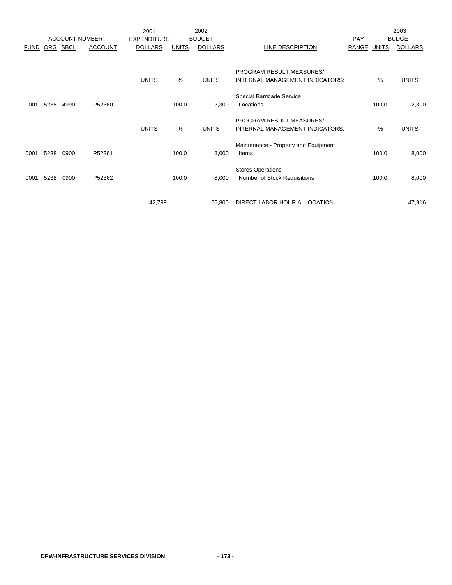|             |            |                       |                | 2001               |               | 2002                  |                                                                                                                                   |             |               | 2003                  |
|-------------|------------|-----------------------|----------------|--------------------|---------------|-----------------------|-----------------------------------------------------------------------------------------------------------------------------------|-------------|---------------|-----------------------|
|             |            | <b>ACCOUNT NUMBER</b> |                | <b>EXPENDITURE</b> |               | <b>BUDGET</b>         |                                                                                                                                   | PAY         |               | <b>BUDGET</b>         |
| <b>FUND</b> | <b>ORG</b> | <b>SBCL</b>           | <b>ACCOUNT</b> | <b>DOLLARS</b>     | <b>UNITS</b>  | <b>DOLLARS</b>        | LINE DESCRIPTION                                                                                                                  | RANGE UNITS |               | <b>DOLLARS</b>        |
| 0001        | 5238       | 4990                  | P52360         | <b>UNITS</b>       | $\%$<br>100.0 | <b>UNITS</b><br>2,300 | PROGRAM RESULT MEASURES/<br>INTERNAL MANAGEMENT INDICATORS:<br>Special Barricade Service<br>Locations<br>PROGRAM RESULT MEASURES/ |             | $\%$<br>100.0 | <b>UNITS</b><br>2,300 |
|             |            |                       |                | <b>UNITS</b>       | $\%$          | <b>UNITS</b>          | INTERNAL MANAGEMENT INDICATORS:                                                                                                   |             | %             | <b>UNITS</b>          |
| 0001        | 5238       | 0900                  | P52361         |                    | 100.0         | 8,000                 | Maintenance - Property and Equipment<br>Items                                                                                     |             | 100.0         | 8,000                 |
| 0001        | 5238       | 0900                  | P52362         |                    | 100.0         | 8,000                 | <b>Stores Operations</b><br>Number of Stock Requisitions                                                                          |             | 100.0         | 8,000                 |
|             |            |                       |                | 42,799             |               | 55,800                | DIRECT LABOR HOUR ALLOCATION                                                                                                      |             |               | 47,916                |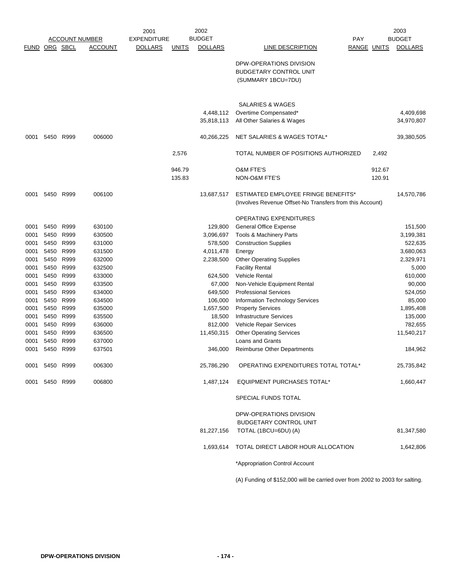|               | <b>ACCOUNT NUMBER</b> |              | 2002<br>2001     |                    |              | 2003           |                                                          |                    |        |                |
|---------------|-----------------------|--------------|------------------|--------------------|--------------|----------------|----------------------------------------------------------|--------------------|--------|----------------|
|               |                       |              |                  | <b>EXPENDITURE</b> |              | <b>BUDGET</b>  |                                                          | <b>PAY</b>         |        | <b>BUDGET</b>  |
| FUND ORG SBCL |                       |              | <b>ACCOUNT</b>   | <b>DOLLARS</b>     | <b>UNITS</b> | <b>DOLLARS</b> | LINE DESCRIPTION                                         | <b>RANGE UNITS</b> |        | <b>DOLLARS</b> |
|               |                       |              |                  |                    |              |                | DPW-OPERATIONS DIVISION                                  |                    |        |                |
|               |                       |              |                  |                    |              |                | BUDGETARY CONTROL UNIT                                   |                    |        |                |
|               |                       |              |                  |                    |              |                | (SUMMARY 1BCU=7DU)                                       |                    |        |                |
|               |                       |              |                  |                    |              |                |                                                          |                    |        |                |
|               |                       |              |                  |                    |              |                |                                                          |                    |        |                |
|               |                       |              |                  |                    |              |                | SALARIES & WAGES                                         |                    |        |                |
|               |                       |              |                  |                    |              | 4,448,112      | Overtime Compensated*                                    |                    |        | 4,409,698      |
|               |                       |              |                  |                    |              | 35,818,113     | All Other Salaries & Wages                               |                    |        | 34,970,807     |
| 0001          | 5450                  | R999         | 006000           |                    |              | 40,266,225     | NET SALARIES & WAGES TOTAL*                              |                    |        | 39,380,505     |
|               |                       |              |                  |                    |              |                |                                                          |                    |        |                |
|               |                       |              |                  |                    | 2,576        |                | TOTAL NUMBER OF POSITIONS AUTHORIZED                     |                    | 2,492  |                |
|               |                       |              |                  |                    | 946.79       |                | <b>O&amp;M FTE'S</b>                                     |                    | 912.67 |                |
|               |                       |              |                  |                    | 135.83       |                | NON-O&M FTE'S                                            |                    | 120.91 |                |
|               |                       |              |                  |                    |              |                |                                                          |                    |        |                |
| 0001          | 5450                  | R999         | 006100           |                    |              | 13,687,517     | <b>ESTIMATED EMPLOYEE FRINGE BENEFITS*</b>               |                    |        | 14,570,786     |
|               |                       |              |                  |                    |              |                | (Involves Revenue Offset-No Transfers from this Account) |                    |        |                |
|               |                       |              |                  |                    |              |                | <b>OPERATING EXPENDITURES</b>                            |                    |        |                |
| 0001          | 5450                  | R999         | 630100           |                    |              | 129,800        | <b>General Office Expense</b>                            |                    |        | 151,500        |
| 0001          | 5450                  | R999         | 630500           |                    |              | 3,096,697      | <b>Tools &amp; Machinery Parts</b>                       |                    |        | 3,199,381      |
| 0001          | 5450                  | R999         | 631000           |                    |              | 578,500        | <b>Construction Supplies</b>                             |                    |        | 522,635        |
| 0001          | 5450                  | R999         | 631500           |                    |              | 4,011,478      | Energy                                                   |                    |        | 3,680,063      |
| 0001          | 5450                  | R999         | 632000           |                    |              | 2,238,500      | <b>Other Operating Supplies</b>                          |                    |        | 2,329,971      |
| 0001          | 5450                  | R999         | 632500           |                    |              |                | <b>Facility Rental</b>                                   |                    |        | 5,000          |
| 0001          | 5450                  | R999         | 633000           |                    |              | 624,500        | Vehicle Rental                                           |                    |        | 610,000        |
| 0001          | 5450                  | R999         | 633500           |                    |              | 67,000         | Non-Vehicle Equipment Rental                             |                    |        | 90,000         |
| 0001          | 5450                  | R999         | 634000           |                    |              | 649,500        | <b>Professional Services</b>                             |                    |        | 524,050        |
| 0001          | 5450                  | R999         | 634500           |                    |              | 106,000        | Information Technology Services                          |                    |        | 85,000         |
| 0001          | 5450                  | R999         | 635000           |                    |              | 1,657,500      | <b>Property Services</b>                                 |                    |        | 1,895,408      |
| 0001          | 5450                  | R999         | 635500           |                    |              | 18,500         | Infrastructure Services                                  |                    |        | 135,000        |
| 0001          | 5450                  | R999         | 636000           |                    |              | 812,000        | Vehicle Repair Services                                  |                    |        | 782,655        |
| 0001          | 5450                  | R999         | 636500           |                    |              | 11,450,315     | <b>Other Operating Services</b>                          |                    |        | 11,540,217     |
| 0001          | 5450<br>5450          | R999<br>R999 | 637000<br>637501 |                    |              | 346,000        | Loans and Grants                                         |                    |        |                |
| 0001          |                       |              |                  |                    |              |                | <b>Reimburse Other Departments</b>                       |                    |        | 184,962        |
| 0001          | 5450 R999             |              | 006300           |                    |              | 25,786,290     | OPERATING EXPENDITURES TOTAL TOTAL*                      |                    |        | 25,735,842     |
| 0001          |                       | 5450 R999    | 006800           |                    |              | 1,487,124      | EQUIPMENT PURCHASES TOTAL*                               |                    |        | 1,660,447      |
|               |                       |              |                  |                    |              |                | SPECIAL FUNDS TOTAL                                      |                    |        |                |
|               |                       |              |                  |                    |              |                | DPW-OPERATIONS DIVISION                                  |                    |        |                |
|               |                       |              |                  |                    |              |                | <b>BUDGETARY CONTROL UNIT</b>                            |                    |        |                |
|               |                       |              |                  |                    |              | 81,227,156     | TOTAL (1BCU=6DU) (A)                                     |                    |        | 81,347,580     |
|               |                       |              |                  |                    |              |                | 1,693,614 TOTAL DIRECT LABOR HOUR ALLOCATION             |                    |        | 1,642,806      |
|               |                       |              |                  |                    |              |                | *Appropriation Control Account                           |                    |        |                |

(A) Funding of \$152,000 will be carried over from 2002 to 2003 for salting.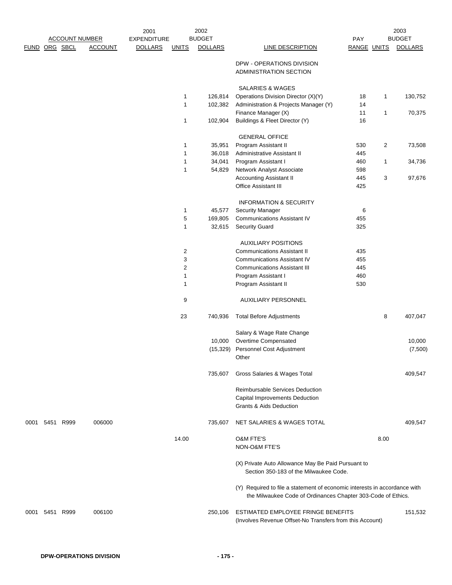| 2002<br>2001<br><b>BUDGET</b><br><b>ACCOUNT NUMBER</b><br><b>EXPENDITURE</b> |               |                |                | PAY                     |                | 2003<br><b>BUDGET</b>                                                                                                                     |                    |      |                |
|------------------------------------------------------------------------------|---------------|----------------|----------------|-------------------------|----------------|-------------------------------------------------------------------------------------------------------------------------------------------|--------------------|------|----------------|
|                                                                              | FUND ORG SBCL | <b>ACCOUNT</b> | <b>DOLLARS</b> | <b>UNITS</b>            | <b>DOLLARS</b> | <b>LINE DESCRIPTION</b>                                                                                                                   | <b>RANGE UNITS</b> |      | <b>DOLLARS</b> |
|                                                                              |               |                |                |                         |                | DPW - OPERATIONS DIVISION<br>ADMINISTRATION SECTION                                                                                       |                    |      |                |
|                                                                              |               |                |                |                         |                | <b>SALARIES &amp; WAGES</b>                                                                                                               |                    |      |                |
|                                                                              |               |                |                | 1                       | 126,814        | Operations Division Director (X)(Y)                                                                                                       | 18                 | 1    | 130,752        |
|                                                                              |               |                |                | $\mathbf{1}$            | 102,382        | Administration & Projects Manager (Y)<br>Finance Manager (X)                                                                              | 14<br>11           | 1    | 70,375         |
|                                                                              |               |                |                | 1                       | 102,904        | Buildings & Fleet Director (Y)                                                                                                            | 16                 |      |                |
|                                                                              |               |                |                |                         |                | <b>GENERAL OFFICE</b>                                                                                                                     |                    |      |                |
|                                                                              |               |                |                | $\mathbf{1}$            | 35,951         | Program Assistant II                                                                                                                      | 530                | 2    | 73,508         |
|                                                                              |               |                |                | $\mathbf{1}$            | 36,018         | Administrative Assistant II                                                                                                               | 445                |      |                |
|                                                                              |               |                |                | 1                       | 34,041         | Program Assistant I                                                                                                                       | 460                | 1    | 34,736         |
|                                                                              |               |                |                | 1                       | 54,829         | Network Analyst Associate                                                                                                                 | 598                |      |                |
|                                                                              |               |                |                |                         |                | Accounting Assistant II<br><b>Office Assistant III</b>                                                                                    | 445<br>425         | 3    | 97,676         |
|                                                                              |               |                |                |                         |                | <b>INFORMATION &amp; SECURITY</b>                                                                                                         |                    |      |                |
|                                                                              |               |                |                | 1                       | 45,577         | <b>Security Manager</b>                                                                                                                   | 6                  |      |                |
|                                                                              |               |                |                | 5                       | 169,805        | <b>Communications Assistant IV</b>                                                                                                        | 455                |      |                |
|                                                                              |               |                |                | 1                       | 32,615         | <b>Security Guard</b>                                                                                                                     | 325                |      |                |
|                                                                              |               |                |                |                         |                | <b>AUXILIARY POSITIONS</b>                                                                                                                |                    |      |                |
|                                                                              |               |                |                | $\overline{\mathbf{c}}$ |                | <b>Communications Assistant II</b>                                                                                                        | 435                |      |                |
|                                                                              |               |                |                | 3                       |                | <b>Communications Assistant IV</b>                                                                                                        | 455                |      |                |
|                                                                              |               |                |                | $\boldsymbol{2}$        |                | <b>Communications Assistant III</b>                                                                                                       | 445                |      |                |
|                                                                              |               |                |                | 1                       |                | Program Assistant I                                                                                                                       | 460                |      |                |
|                                                                              |               |                |                | 1                       |                | Program Assistant II                                                                                                                      | 530                |      |                |
|                                                                              |               |                |                | 9                       |                | AUXILIARY PERSONNEL                                                                                                                       |                    |      |                |
|                                                                              |               |                |                | 23                      | 740,936        | <b>Total Before Adjustments</b>                                                                                                           |                    | 8    | 407,047        |
|                                                                              |               |                |                |                         |                | Salary & Wage Rate Change                                                                                                                 |                    |      |                |
|                                                                              |               |                |                |                         | 10,000         | Overtime Compensated                                                                                                                      |                    |      | 10,000         |
|                                                                              |               |                |                |                         |                | (15,329) Personnel Cost Adjustment<br>Other                                                                                               |                    |      | (7,500)        |
|                                                                              |               |                |                |                         | 735,607        | Gross Salaries & Wages Total                                                                                                              |                    |      | 409,547        |
|                                                                              |               |                |                |                         |                | <b>Reimbursable Services Deduction</b>                                                                                                    |                    |      |                |
|                                                                              |               |                |                |                         |                | Capital Improvements Deduction                                                                                                            |                    |      |                |
|                                                                              |               |                |                |                         |                | <b>Grants &amp; Aids Deduction</b>                                                                                                        |                    |      |                |
| 0001                                                                         | 5451 R999     | 006000         |                |                         | 735,607        | NET SALARIES & WAGES TOTAL                                                                                                                |                    |      | 409,547        |
|                                                                              |               |                |                | 14.00                   |                | <b>O&amp;M FTE'S</b>                                                                                                                      |                    | 8.00 |                |
|                                                                              |               |                |                |                         |                | NON-O&M FTE'S                                                                                                                             |                    |      |                |
|                                                                              |               |                |                |                         |                | (X) Private Auto Allowance May Be Paid Pursuant to<br>Section 350-183 of the Milwaukee Code.                                              |                    |      |                |
|                                                                              |               |                |                |                         |                | (Y) Required to file a statement of economic interests in accordance with<br>the Milwaukee Code of Ordinances Chapter 303-Code of Ethics. |                    |      |                |
| 0001                                                                         | 5451 R999     | 006100         |                |                         | 250,106        | ESTIMATED EMPLOYEE FRINGE BENEFITS                                                                                                        |                    |      | 151,532        |
|                                                                              |               |                |                |                         |                | (Involves Revenue Offset-No Transfers from this Account)                                                                                  |                    |      |                |
|                                                                              |               |                |                |                         |                |                                                                                                                                           |                    |      |                |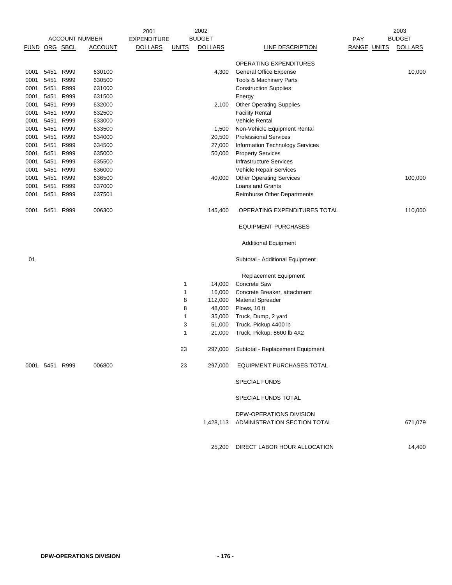|               |                |      |                       | 2001               |              | 2002           |                                        |                    | 2003           |
|---------------|----------------|------|-----------------------|--------------------|--------------|----------------|----------------------------------------|--------------------|----------------|
|               |                |      | <b>ACCOUNT NUMBER</b> | <b>EXPENDITURE</b> |              | <b>BUDGET</b>  |                                        | PAY                | <b>BUDGET</b>  |
| FUND ORG SBCL |                |      | <b>ACCOUNT</b>        | <b>DOLLARS</b>     | <b>UNITS</b> | <b>DOLLARS</b> | <b>LINE DESCRIPTION</b>                | <b>RANGE UNITS</b> | <b>DOLLARS</b> |
|               |                |      |                       |                    |              |                | OPERATING EXPENDITURES                 |                    |                |
| 0001          | 5451           | R999 | 630100                |                    |              | 4,300          | <b>General Office Expense</b>          |                    | 10,000         |
| 0001          | 5451           | R999 | 630500                |                    |              |                | Tools & Machinery Parts                |                    |                |
| 0001          | 5451           | R999 | 631000                |                    |              |                | <b>Construction Supplies</b>           |                    |                |
| 0001          | 5451           | R999 | 631500                |                    |              |                | Energy                                 |                    |                |
| 0001          | 5451           | R999 | 632000                |                    |              | 2,100          | <b>Other Operating Supplies</b>        |                    |                |
| 0001          | 5451           | R999 | 632500                |                    |              |                | <b>Facility Rental</b>                 |                    |                |
| 0001          | 5451           | R999 | 633000                |                    |              |                | Vehicle Rental                         |                    |                |
| 0001          | 5451           | R999 | 633500                |                    |              | 1,500          | Non-Vehicle Equipment Rental           |                    |                |
| 0001          | 5451           | R999 | 634000                |                    |              | 20,500         | <b>Professional Services</b>           |                    |                |
| 0001          | 5451           | R999 | 634500                |                    |              | 27,000         | <b>Information Technology Services</b> |                    |                |
| 0001          | 5451           | R999 | 635000                |                    |              | 50,000         | <b>Property Services</b>               |                    |                |
| 0001          | 5451           | R999 | 635500                |                    |              |                | Infrastructure Services                |                    |                |
| 0001          | 5451           | R999 | 636000                |                    |              |                | Vehicle Repair Services                |                    |                |
| 0001          | 5451           | R999 | 636500                |                    |              | 40,000         | <b>Other Operating Services</b>        |                    | 100,000        |
| 0001          | 5451           | R999 | 637000                |                    |              |                | Loans and Grants                       |                    |                |
| 0001          | 5451           | R999 | 637501                |                    |              |                | <b>Reimburse Other Departments</b>     |                    |                |
| 0001          | 5451           | R999 | 006300                |                    |              | 145,400        | OPERATING EXPENDITURES TOTAL           |                    | 110,000        |
|               |                |      |                       |                    |              |                | <b>EQUIPMENT PURCHASES</b>             |                    |                |
|               |                |      |                       |                    |              |                | <b>Additional Equipment</b>            |                    |                |
| 01            |                |      |                       |                    |              |                | Subtotal - Additional Equipment        |                    |                |
|               |                |      |                       |                    |              |                | <b>Replacement Equipment</b>           |                    |                |
|               |                |      |                       |                    | 1            | 14,000         | <b>Concrete Saw</b>                    |                    |                |
|               |                |      |                       |                    | 1            | 16,000         | Concrete Breaker, attachment           |                    |                |
|               |                |      |                       |                    | 8            | 112,000        | <b>Material Spreader</b>               |                    |                |
|               |                |      |                       |                    | 8            | 48,000         | Plows, 10 ft                           |                    |                |
|               |                |      |                       |                    | 1            | 35,000         | Truck, Dump, 2 yard                    |                    |                |
|               |                |      |                       |                    | 3            | 51,000         | Truck, Pickup 4400 lb                  |                    |                |
|               |                |      |                       |                    | 1            | 21,000         | Truck, Pickup, 8600 lb 4X2             |                    |                |
|               |                |      |                       |                    | 23           | 297,000        | Subtotal - Replacement Equipment       |                    |                |
|               | 0001 5451 R999 |      | 006800                |                    | 23           | 297,000        | <b>EQUIPMENT PURCHASES TOTAL</b>       |                    |                |
|               |                |      |                       |                    |              |                | <b>SPECIAL FUNDS</b>                   |                    |                |
|               |                |      |                       |                    |              |                | SPECIAL FUNDS TOTAL                    |                    |                |
|               |                |      |                       |                    |              |                | DPW-OPERATIONS DIVISION                |                    |                |
|               |                |      |                       |                    |              |                | 1,428,113 ADMINISTRATION SECTION TOTAL |                    | 671,079        |
|               |                |      |                       |                    |              | 25,200         | DIRECT LABOR HOUR ALLOCATION           |                    | 14,400         |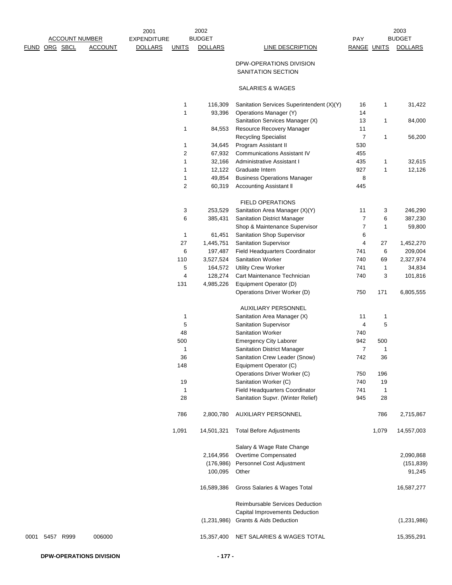|      | <b>ACCOUNT NUMBER</b> |                | 2001<br><b>EXPENDITURE</b> |                | 2002<br><b>BUDGET</b> |                                                                      | PAY            |              | 2003<br><b>BUDGET</b> |
|------|-----------------------|----------------|----------------------------|----------------|-----------------------|----------------------------------------------------------------------|----------------|--------------|-----------------------|
| FUND | ORG SBCL              | <b>ACCOUNT</b> | <b>DOLLARS</b>             | <b>UNITS</b>   | <b>DOLLARS</b>        | <b>LINE DESCRIPTION</b>                                              | RANGE UNITS    |              | <b>DOLLARS</b>        |
|      |                       |                |                            |                |                       | DPW-OPERATIONS DIVISION<br>SANITATION SECTION                        |                |              |                       |
|      |                       |                |                            |                |                       | <b>SALARIES &amp; WAGES</b>                                          |                |              |                       |
|      |                       |                |                            | 1              | 116,309               | Sanitation Services Superintendent (X)(Y)                            | 16             | 1            | 31,422                |
|      |                       |                |                            | 1              | 93,396                | Operations Manager (Y)                                               | 14             |              |                       |
|      |                       |                |                            |                |                       | Sanitation Services Manager (X)                                      | 13             | 1            | 84,000                |
|      |                       |                |                            | 1              | 84,553                | Resource Recovery Manager                                            | 11             |              |                       |
|      |                       |                |                            |                |                       | <b>Recycling Specialist</b>                                          | $\overline{7}$ | $\mathbf{1}$ | 56,200                |
|      |                       |                |                            | 1              | 34,645                | Program Assistant II                                                 | 530            |              |                       |
|      |                       |                |                            | 2              | 67,932                | <b>Communications Assistant IV</b>                                   | 455            |              |                       |
|      |                       |                |                            | 1              | 32,166                | Administrative Assistant I                                           | 435            | 1            | 32,615                |
|      |                       |                |                            | 1<br>1         | 12,122<br>49,854      | Graduate Intern<br><b>Business Operations Manager</b>                | 927<br>8       | 1            | 12,126                |
|      |                       |                |                            | $\overline{2}$ | 60,319                | Accounting Assistant II                                              | 445            |              |                       |
|      |                       |                |                            |                |                       | <b>FIELD OPERATIONS</b>                                              |                |              |                       |
|      |                       |                |                            | 3              | 253,529               | Sanitation Area Manager (X)(Y)                                       | 11             | 3            | 246,290               |
|      |                       |                |                            | 6              | 385,431               | Sanitation District Manager                                          | $\overline{7}$ | 6            | 387,230               |
|      |                       |                |                            |                |                       | Shop & Maintenance Supervisor                                        | 7              | 1            | 59,800                |
|      |                       |                |                            | $\mathbf{1}$   | 61,451                | Sanitation Shop Supervisor                                           | 6              |              |                       |
|      |                       |                |                            | 27             | 1,445,751             | Sanitation Supervisor                                                | 4              | 27           | 1,452,270             |
|      |                       |                |                            | 6              | 197,487<br>3,527,524  | Field Headquarters Coordinator<br>Sanitation Worker                  | 741<br>740     | 6<br>69      | 209,004               |
|      |                       |                |                            | 110<br>5       | 164,572               | <b>Utility Crew Worker</b>                                           | 741            | 1            | 2,327,974<br>34,834   |
|      |                       |                |                            | $\overline{4}$ | 128,274               | Cart Maintenance Technician                                          | 740            | 3            | 101,816               |
|      |                       |                |                            | 131            | 4,985,226             | Equipment Operator (D)                                               |                |              |                       |
|      |                       |                |                            |                |                       | Operations Driver Worker (D)                                         | 750            | 171          | 6,805,555             |
|      |                       |                |                            |                |                       | AUXILIARY PERSONNEL                                                  |                |              |                       |
|      |                       |                |                            | $\mathbf 1$    |                       | Sanitation Area Manager (X)                                          | 11             | 1            |                       |
|      |                       |                |                            | 5              |                       | <b>Sanitation Supervisor</b>                                         | 4              | 5            |                       |
|      |                       |                |                            | 48             |                       | Sanitation Worker                                                    | 740            |              |                       |
|      |                       |                |                            | 500            |                       | <b>Emergency City Laborer</b>                                        | 942            | 500          |                       |
|      |                       |                |                            | $\mathbf{1}$   |                       | <b>Sanitation District Manager</b>                                   | $\overline{7}$ | $\mathbf{1}$ |                       |
|      |                       |                |                            | 36             |                       | Sanitation Crew Leader (Snow)                                        | 742            | 36           |                       |
|      |                       |                |                            | 148            |                       | Equipment Operator (C)                                               |                |              |                       |
|      |                       |                |                            |                |                       | Operations Driver Worker (C)                                         | 750            | 196          |                       |
|      |                       |                |                            | 19             |                       | Sanitation Worker (C)                                                | 740            | 19           |                       |
|      |                       |                |                            | $\mathbf{1}$   |                       | Field Headquarters Coordinator                                       | 741            | $\mathbf{1}$ |                       |
|      |                       |                |                            | 28             |                       | Sanitation Supvr. (Winter Relief)                                    | 945            | 28           |                       |
|      |                       |                |                            | 786            | 2,800,780             | <b>AUXILIARY PERSONNEL</b>                                           |                | 786          | 2,715,867             |
|      |                       |                |                            | 1,091          | 14,501,321            | <b>Total Before Adjustments</b>                                      |                | 1,079        | 14,557,003            |
|      |                       |                |                            |                |                       | Salary & Wage Rate Change                                            |                |              |                       |
|      |                       |                |                            |                | 2,164,956             | Overtime Compensated                                                 |                |              | 2,090,868             |
|      |                       |                |                            |                | (176,986)<br>100,095  | Personnel Cost Adjustment<br>Other                                   |                |              | (151, 839)<br>91,245  |
|      |                       |                |                            |                | 16,589,386            | Gross Salaries & Wages Total                                         |                |              | 16,587,277            |
|      |                       |                |                            |                |                       | Reimbursable Services Deduction                                      |                |              |                       |
|      |                       |                |                            |                | (1,231,986)           | Capital Improvements Deduction<br><b>Grants &amp; Aids Deduction</b> |                |              | (1,231,986)           |
| 0001 | 5457 R999             | 006000         |                            |                | 15,357,400            | NET SALARIES & WAGES TOTAL                                           |                |              | 15,355,291            |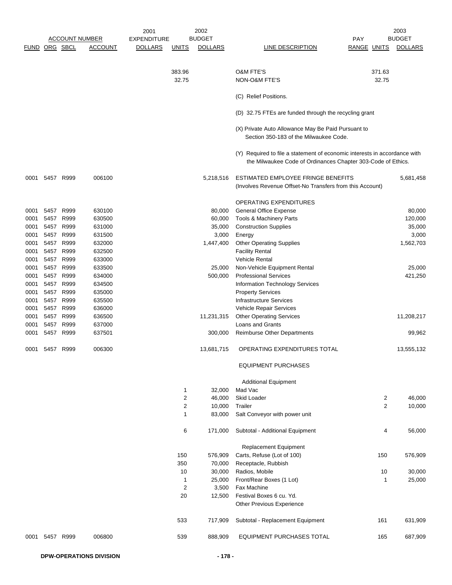|               |      |           |                       | 2001           |                | 2002           |                                                                                                                                           |             |        | 2003           |
|---------------|------|-----------|-----------------------|----------------|----------------|----------------|-------------------------------------------------------------------------------------------------------------------------------------------|-------------|--------|----------------|
|               |      |           | <b>ACCOUNT NUMBER</b> | EXPENDITURE    |                | <b>BUDGET</b>  |                                                                                                                                           | <b>PAY</b>  |        | <b>BUDGET</b>  |
| FUND ORG SBCL |      |           | <b>ACCOUNT</b>        | <b>DOLLARS</b> | <u>UNITS</u>   | <b>DOLLARS</b> | LINE DESCRIPTION                                                                                                                          | RANGE UNITS |        | <b>DOLLARS</b> |
|               |      |           |                       |                |                |                |                                                                                                                                           |             |        |                |
|               |      |           |                       |                |                |                |                                                                                                                                           |             |        |                |
|               |      |           |                       |                | 383.96         |                | <b>O&amp;M FTE'S</b>                                                                                                                      |             | 371.63 |                |
|               |      |           |                       |                | 32.75          |                | NON-O&M FTE'S                                                                                                                             |             | 32.75  |                |
|               |      |           |                       |                |                |                | (C) Relief Positions.                                                                                                                     |             |        |                |
|               |      |           |                       |                |                |                |                                                                                                                                           |             |        |                |
|               |      |           |                       |                |                |                | (D) 32.75 FTEs are funded through the recycling grant                                                                                     |             |        |                |
|               |      |           |                       |                |                |                | (X) Private Auto Allowance May Be Paid Pursuant to                                                                                        |             |        |                |
|               |      |           |                       |                |                |                | Section 350-183 of the Milwaukee Code.                                                                                                    |             |        |                |
|               |      |           |                       |                |                |                |                                                                                                                                           |             |        |                |
|               |      |           |                       |                |                |                | (Y) Required to file a statement of economic interests in accordance with<br>the Milwaukee Code of Ordinances Chapter 303-Code of Ethics. |             |        |                |
|               |      |           |                       |                |                |                |                                                                                                                                           |             |        |                |
| 0001          |      | 5457 R999 | 006100                |                |                | 5,218,516      | ESTIMATED EMPLOYEE FRINGE BENEFITS                                                                                                        |             |        | 5,681,458      |
|               |      |           |                       |                |                |                | (Involves Revenue Offset-No Transfers from this Account)                                                                                  |             |        |                |
|               |      |           |                       |                |                |                |                                                                                                                                           |             |        |                |
|               |      |           |                       |                |                |                | <b>OPERATING EXPENDITURES</b>                                                                                                             |             |        |                |
| 0001          |      | 5457 R999 | 630100                |                |                | 80,000         | <b>General Office Expense</b>                                                                                                             |             |        | 80,000         |
| 0001          |      | 5457 R999 | 630500                |                |                | 60,000         | Tools & Machinery Parts                                                                                                                   |             |        | 120,000        |
| 0001          |      | 5457 R999 | 631000                |                |                | 35,000         | <b>Construction Supplies</b>                                                                                                              |             |        | 35,000         |
| 0001          |      | 5457 R999 | 631500                |                |                | 3,000          | Energy                                                                                                                                    |             |        | 3,000          |
| 0001          |      | 5457 R999 | 632000                |                |                | 1,447,400      | <b>Other Operating Supplies</b>                                                                                                           |             |        | 1,562,703      |
| 0001          |      | 5457 R999 | 632500                |                |                |                | <b>Facility Rental</b>                                                                                                                    |             |        |                |
| 0001          | 5457 | R999      | 633000                |                |                |                | Vehicle Rental                                                                                                                            |             |        |                |
| 0001          |      | 5457 R999 | 633500                |                |                | 25,000         | Non-Vehicle Equipment Rental                                                                                                              |             |        | 25,000         |
| 0001          |      | 5457 R999 | 634000                |                |                | 500,000        | <b>Professional Services</b>                                                                                                              |             |        | 421,250        |
| 0001          |      | 5457 R999 | 634500                |                |                |                | Information Technology Services                                                                                                           |             |        |                |
| 0001          |      | 5457 R999 | 635000                |                |                |                | <b>Property Services</b>                                                                                                                  |             |        |                |
| 0001          |      | 5457 R999 | 635500                |                |                |                | Infrastructure Services                                                                                                                   |             |        |                |
| 0001          | 5457 | R999      | 636000                |                |                |                | Vehicle Repair Services                                                                                                                   |             |        |                |
| 0001          |      | 5457 R999 | 636500                |                |                | 11,231,315     | <b>Other Operating Services</b>                                                                                                           |             |        | 11,208,217     |
| 0001          |      | 5457 R999 | 637000                |                |                |                | Loans and Grants                                                                                                                          |             |        |                |
| 0001          |      | 5457 R999 | 637501                |                |                | 300,000        | <b>Reimburse Other Departments</b>                                                                                                        |             |        | 99,962         |
| 0001          |      | 5457 R999 | 006300                |                |                | 13,681,715     | OPERATING EXPENDITURES TOTAL                                                                                                              |             |        | 13,555,132     |
|               |      |           |                       |                |                |                | <b>EQUIPMENT PURCHASES</b>                                                                                                                |             |        |                |
|               |      |           |                       |                |                |                | <b>Additional Equipment</b>                                                                                                               |             |        |                |
|               |      |           |                       |                | 1              | 32,000         | Mad Vac                                                                                                                                   |             |        |                |
|               |      |           |                       |                | 2              | 46,000         | Skid Loader                                                                                                                               |             | 2      | 46,000         |
|               |      |           |                       |                | $\overline{c}$ | 10,000         | Trailer                                                                                                                                   |             | 2      | 10,000         |
|               |      |           |                       |                | 1              | 83,000         | Salt Conveyor with power unit                                                                                                             |             |        |                |
|               |      |           |                       |                | 6              | 171,000        | Subtotal - Additional Equipment                                                                                                           |             | 4      | 56,000         |
|               |      |           |                       |                |                |                |                                                                                                                                           |             |        |                |
|               |      |           |                       |                |                |                | Replacement Equipment                                                                                                                     |             |        |                |
|               |      |           |                       |                | 150            | 576,909        | Carts, Refuse (Lot of 100)                                                                                                                |             | 150    | 576,909        |
|               |      |           |                       |                | 350            | 70,000         | Receptacle, Rubbish                                                                                                                       |             |        |                |
|               |      |           |                       |                | 10             | 30,000         | Radios, Mobile                                                                                                                            |             | 10     | 30,000         |
|               |      |           |                       |                | 1              | 25,000         | Front/Rear Boxes (1 Lot)                                                                                                                  |             | 1      | 25,000         |
|               |      |           |                       |                | 2              | 3,500          | Fax Machine                                                                                                                               |             |        |                |
|               |      |           |                       |                | 20             | 12,500         | Festival Boxes 6 cu. Yd.                                                                                                                  |             |        |                |
|               |      |           |                       |                |                |                | Other Previous Experience                                                                                                                 |             |        |                |
|               |      |           |                       |                | 533            | 717,909        | Subtotal - Replacement Equipment                                                                                                          |             | 161    | 631,909        |
| 0001          |      | 5457 R999 | 006800                |                | 539            | 888,909        | EQUIPMENT PURCHASES TOTAL                                                                                                                 |             | 165    | 687,909        |
|               |      |           |                       |                |                |                |                                                                                                                                           |             |        |                |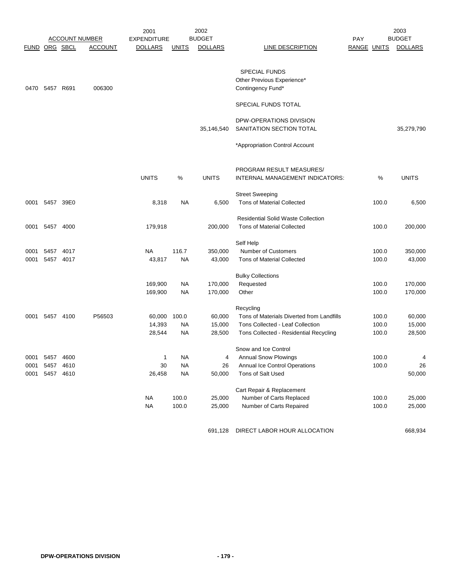|               |                |           |                       | 2001               |              | 2002           |                                                    |                    |       | 2003           |
|---------------|----------------|-----------|-----------------------|--------------------|--------------|----------------|----------------------------------------------------|--------------------|-------|----------------|
|               |                |           | <b>ACCOUNT NUMBER</b> | <b>EXPENDITURE</b> |              | <b>BUDGET</b>  |                                                    | <b>PAY</b>         |       | <b>BUDGET</b>  |
| FUND ORG SBCL |                |           | <b>ACCOUNT</b>        | <b>DOLLARS</b>     | <b>UNITS</b> | <b>DOLLARS</b> | LINE DESCRIPTION                                   | <b>RANGE UNITS</b> |       | <b>DOLLARS</b> |
|               |                |           |                       |                    |              |                | <b>SPECIAL FUNDS</b><br>Other Previous Experience* |                    |       |                |
| 0470          | 5457 R691      |           | 006300                |                    |              |                | Contingency Fund*                                  |                    |       |                |
|               |                |           |                       |                    |              |                | SPECIAL FUNDS TOTAL                                |                    |       |                |
|               |                |           |                       |                    |              |                | DPW-OPERATIONS DIVISION                            |                    |       |                |
|               |                |           |                       |                    |              | 35,146,540     | SANITATION SECTION TOTAL                           |                    |       | 35,279,790     |
|               |                |           |                       |                    |              |                | *Appropriation Control Account                     |                    |       |                |
|               |                |           |                       |                    |              |                | PROGRAM RESULT MEASURES/                           |                    |       |                |
|               |                |           |                       | <b>UNITS</b>       | %            | <b>UNITS</b>   | INTERNAL MANAGEMENT INDICATORS:                    |                    | %     | <b>UNITS</b>   |
|               |                |           |                       |                    |              |                | <b>Street Sweeping</b>                             |                    |       |                |
|               | 0001 5457 39E0 |           |                       | 8,318              | NA           | 6,500          | <b>Tons of Material Collected</b>                  |                    | 100.0 | 6,500          |
|               |                |           |                       |                    |              |                | <b>Residential Solid Waste Collection</b>          |                    |       |                |
| 0001          | 5457 4000      |           |                       | 179,918            |              | 200,000        | <b>Tons of Material Collected</b>                  |                    | 100.0 | 200,000        |
|               |                |           |                       |                    |              |                | Self Help                                          |                    |       |                |
| 0001          | 5457           | 4017      |                       | <b>NA</b>          | 116.7        | 350,000        | Number of Customers                                |                    | 100.0 | 350,000        |
| 0001          | 5457           | 4017      |                       | 43,817             | NA           | 43,000         | <b>Tons of Material Collected</b>                  |                    | 100.0 | 43,000         |
|               |                |           |                       |                    |              |                | <b>Bulky Collections</b>                           |                    |       |                |
|               |                |           |                       | 169,900            | NA           | 170,000        | Requested                                          |                    | 100.0 | 170,000        |
|               |                |           |                       | 169,900            | NA           | 170,000        | Other                                              |                    | 100.0 | 170,000        |
|               |                |           |                       |                    |              |                | Recycling                                          |                    |       |                |
| 0001          |                | 5457 4100 | P56503                | 60,000             | 100.0        | 60,000         | Tons of Materials Diverted from Landfills          |                    | 100.0 | 60,000         |
|               |                |           |                       | 14,393             | NA           | 15,000         | Tons Collected - Leaf Collection                   |                    | 100.0 | 15,000         |
|               |                |           |                       | 28,544             | NA           | 28,500         | Tons Collected - Residential Recycling             |                    | 100.0 | 28,500         |
|               |                |           |                       |                    |              |                | Snow and Ice Control                               |                    |       |                |
| 0001          | 5457           | 4600      |                       | 1                  | NA           | 4              | <b>Annual Snow Plowings</b>                        |                    | 100.0 | 4              |
|               | 0001 5457 4610 |           |                       | 30                 | <b>NA</b>    | 26             | Annual Ice Control Operations                      |                    | 100.0 | 26             |
|               | 0001 5457 4610 |           |                       | 26,458             | <b>NA</b>    | 50,000         | Tons of Salt Used                                  |                    |       | 50,000         |
|               |                |           |                       |                    |              |                | Cart Repair & Replacement                          |                    |       |                |
|               |                |           |                       | <b>NA</b>          | 100.0        | 25,000         | Number of Carts Replaced                           |                    | 100.0 | 25,000         |
|               |                |           |                       | <b>NA</b>          | 100.0        | 25,000         | Number of Carts Repaired                           |                    | 100.0 | 25,000         |
|               |                |           |                       |                    |              |                | 691,128 DIRECT LABOR HOUR ALLOCATION               |                    |       | 668,934        |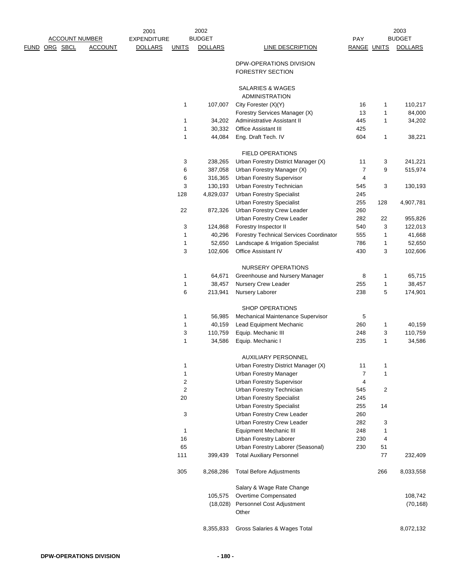|                       |                | 2001               |                | 2002              |                                                                |                |        | 2003              |
|-----------------------|----------------|--------------------|----------------|-------------------|----------------------------------------------------------------|----------------|--------|-------------------|
| <b>ACCOUNT NUMBER</b> |                | <b>EXPENDITURE</b> |                | <b>BUDGET</b>     |                                                                | PAY            |        | <b>BUDGET</b>     |
| <u>DRG SBCL</u>       | <b>ACCOUNT</b> | <b>DOLLARS</b>     | <b>UNITS</b>   | <b>DOLLARS</b>    | <b>LINE DESCRIPTION</b>                                        | RANGE UNITS    |        | <b>DOLLARS</b>    |
|                       |                |                    |                |                   | DPW-OPERATIONS DIVISION<br><b>FORESTRY SECTION</b>             |                |        |                   |
|                       |                |                    |                |                   | SALARIES & WAGES<br><b>ADMINISTRATION</b>                      |                |        |                   |
|                       |                |                    | 1              | 107,007           | City Forester (X)(Y)                                           | 16             | 1      | 110,217           |
|                       |                |                    |                |                   | Forestry Services Manager (X)                                  | 13             | 1      | 84,000            |
|                       |                |                    | 1              | 34,202            | Administrative Assistant II                                    | 445            | 1      | 34,202            |
|                       |                |                    | 1              | 30,332            | Office Assistant III                                           | 425            |        |                   |
|                       |                |                    | 1              | 44,084            | Eng. Draft Tech. IV                                            | 604            | 1      | 38,221            |
|                       |                |                    |                |                   | <b>FIELD OPERATIONS</b>                                        |                |        |                   |
|                       |                |                    | 3              | 238,265           | Urban Forestry District Manager (X)                            | 11             | 3      | 241,221           |
|                       |                |                    | 6              | 387,058           | Urban Forestry Manager (X)                                     | $\overline{7}$ | 9      | 515,974           |
|                       |                |                    | 6              | 316,365           | Urban Forestry Supervisor                                      | 4              |        |                   |
|                       |                |                    | 3              | 130,193           | Urban Forestry Technician                                      | 545            | 3      | 130,193           |
|                       |                |                    | 128            | 4,829,037         | <b>Urban Forestry Specialist</b>                               | 245            |        |                   |
|                       |                |                    |                |                   | <b>Urban Forestry Specialist</b>                               | 255            | 128    | 4,907,781         |
|                       |                |                    | 22             | 872,326           | Urban Forestry Crew Leader                                     | 260            |        |                   |
|                       |                |                    |                |                   | Urban Forestry Crew Leader                                     | 282            | 22     | 955,826           |
|                       |                |                    | 3              | 124,868           | Forestry Inspector II                                          | 540            | 3      | 122,013           |
|                       |                |                    | 1              | 40,296            | <b>Forestry Technical Services Coordinator</b>                 | 555            | 1      | 41,668            |
|                       |                |                    | 1              | 52,650            | Landscape & Irrigation Specialist                              | 786            | 1      | 52,650            |
|                       |                |                    | 3              | 102,606           | Office Assistant IV                                            | 430            | 3      | 102,606           |
|                       |                |                    |                |                   | NURSERY OPERATIONS                                             |                |        |                   |
|                       |                |                    | 1              | 64,671            | Greenhouse and Nursery Manager                                 | 8              | 1      | 65,715            |
|                       |                |                    | 1<br>6         | 38,457<br>213,941 | Nursery Crew Leader<br>Nursery Laborer                         | 255<br>238     | 1<br>5 | 38,457<br>174,901 |
|                       |                |                    |                |                   |                                                                |                |        |                   |
|                       |                |                    |                |                   | <b>SHOP OPERATIONS</b>                                         |                |        |                   |
|                       |                |                    | 1              | 56,985            | Mechanical Maintenance Supervisor                              | 5              |        |                   |
|                       |                |                    | 1              | 40,159            | Lead Equipment Mechanic                                        | 260            | 1      | 40,159            |
|                       |                |                    | 3              | 110,759           | Equip. Mechanic III                                            | 248            | 3      | 110,759           |
|                       |                |                    | 1              | 34,586            | Equip. Mechanic I                                              | 235            | 1      | 34,586            |
|                       |                |                    |                |                   | <b>AUXILIARY PERSONNEL</b>                                     |                |        |                   |
|                       |                |                    | 1              |                   | Urban Forestry District Manager (X)                            | 11             | 1      |                   |
|                       |                |                    | 1              |                   | <b>Urban Forestry Manager</b>                                  | 7              | 1      |                   |
|                       |                |                    | $\overline{c}$ |                   | Urban Forestry Supervisor                                      | 4              |        |                   |
|                       |                |                    | 2<br>20        |                   | Urban Forestry Technician<br><b>Urban Forestry Specialist</b>  | 545            | 2      |                   |
|                       |                |                    |                |                   |                                                                | 245<br>255     |        |                   |
|                       |                |                    | 3              |                   | <b>Urban Forestry Specialist</b><br>Urban Forestry Crew Leader | 260            | 14     |                   |
|                       |                |                    |                |                   | Urban Forestry Crew Leader                                     | 282            | 3      |                   |
|                       |                |                    | 1              |                   | Equipment Mechanic III                                         | 248            | 1      |                   |
|                       |                |                    | 16             |                   | Urban Forestry Laborer                                         | 230            | 4      |                   |
|                       |                |                    | 65             |                   | Urban Forestry Laborer (Seasonal)                              | 230            | 51     |                   |
|                       |                |                    | 111            | 399,439           | <b>Total Auxiliary Personnel</b>                               |                | 77     | 232,409           |
|                       |                |                    | 305            | 8,268,286         | <b>Total Before Adjustments</b>                                |                | 266    | 8,033,558         |
|                       |                |                    |                |                   | Salary & Wage Rate Change                                      |                |        |                   |
|                       |                |                    |                | 105,575           | Overtime Compensated                                           |                |        | 108,742           |
|                       |                |                    |                | (18,028)          | Personnel Cost Adjustment                                      |                |        | (70, 168)         |
|                       |                |                    |                |                   | Other                                                          |                |        |                   |
|                       |                |                    |                | 8,355,833         | Gross Salaries & Wages Total                                   |                |        | 8,072,132         |

FUND ORG SBCL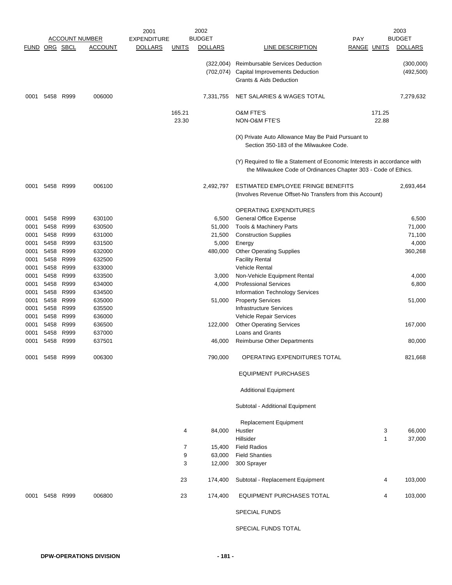|               |      |           |                       | 2001               |                | 2002           |                                                                                                                                             |                    | 2003           |
|---------------|------|-----------|-----------------------|--------------------|----------------|----------------|---------------------------------------------------------------------------------------------------------------------------------------------|--------------------|----------------|
|               |      |           | <b>ACCOUNT NUMBER</b> | <b>EXPENDITURE</b> |                | <b>BUDGET</b>  |                                                                                                                                             | <b>PAY</b>         | <b>BUDGET</b>  |
| FUND ORG SBCL |      |           | <b>ACCOUNT</b>        | <b>DOLLARS</b>     | <u>UNITS</u>   | <b>DOLLARS</b> | LINE DESCRIPTION                                                                                                                            | <b>RANGE UNITS</b> | <b>DOLLARS</b> |
|               |      |           |                       |                    |                | (322,004)      | <b>Reimbursable Services Deduction</b>                                                                                                      |                    | (300,000)      |
|               |      |           |                       |                    |                |                | (702,074) Capital Improvements Deduction                                                                                                    |                    | (492, 500)     |
|               |      |           |                       |                    |                |                | <b>Grants &amp; Aids Deduction</b>                                                                                                          |                    |                |
|               |      |           |                       |                    |                |                |                                                                                                                                             |                    |                |
| 0001          | 5458 | R999      | 006000                |                    |                | 7,331,755      | NET SALARIES & WAGES TOTAL                                                                                                                  |                    | 7,279,632      |
|               |      |           |                       |                    | 165.21         |                | <b>O&amp;M FTE'S</b>                                                                                                                        | 171.25             |                |
|               |      |           |                       |                    | 23.30          |                | NON-O&M FTE'S                                                                                                                               | 22.88              |                |
|               |      |           |                       |                    |                |                | (X) Private Auto Allowance May Be Paid Pursuant to<br>Section 350-183 of the Milwaukee Code.                                                |                    |                |
|               |      |           |                       |                    |                |                |                                                                                                                                             |                    |                |
|               |      |           |                       |                    |                |                | (Y) Required to file a Statement of Economic Interests in accordance with<br>the Milwaukee Code of Ordinances Chapter 303 - Code of Ethics. |                    |                |
| 0001          | 5458 | R999      | 006100                |                    |                | 2,492,797      | ESTIMATED EMPLOYEE FRINGE BENEFITS                                                                                                          |                    | 2,693,464      |
|               |      |           |                       |                    |                |                | (Involves Revenue Offset-No Transfers from this Account)                                                                                    |                    |                |
|               |      |           |                       |                    |                |                | <b>OPERATING EXPENDITURES</b>                                                                                                               |                    |                |
| 0001          | 5458 | R999      | 630100                |                    |                | 6,500          | <b>General Office Expense</b>                                                                                                               |                    | 6,500          |
| 0001          | 5458 | R999      | 630500                |                    |                | 51,000         | <b>Tools &amp; Machinery Parts</b>                                                                                                          |                    | 71,000         |
| 0001          | 5458 | R999      | 631000                |                    |                | 21,500         | <b>Construction Supplies</b>                                                                                                                |                    | 71,100         |
| 0001          | 5458 | R999      | 631500                |                    |                | 5,000          | Energy                                                                                                                                      |                    | 4,000          |
| 0001          | 5458 | R999      | 632000                |                    |                | 480,000        | <b>Other Operating Supplies</b>                                                                                                             |                    | 360,268        |
| 0001          | 5458 | R999      | 632500                |                    |                |                | <b>Facility Rental</b>                                                                                                                      |                    |                |
| 0001          | 5458 | R999      | 633000                |                    |                |                | <b>Vehicle Rental</b>                                                                                                                       |                    |                |
| 0001          | 5458 | R999      | 633500                |                    |                | 3,000          | Non-Vehicle Equipment Rental                                                                                                                |                    | 4,000          |
| 0001          | 5458 | R999      | 634000                |                    |                | 4,000          | <b>Professional Services</b>                                                                                                                |                    | 6,800          |
| 0001          | 5458 | R999      | 634500                |                    |                |                | Information Technology Services                                                                                                             |                    |                |
| 0001          | 5458 | R999      | 635000                |                    |                | 51,000         | <b>Property Services</b>                                                                                                                    |                    | 51,000         |
|               |      | R999      | 635500                |                    |                |                | <b>Infrastructure Services</b>                                                                                                              |                    |                |
| 0001          | 5458 |           | 636000                |                    |                |                |                                                                                                                                             |                    |                |
| 0001          | 5458 | R999      |                       |                    |                |                | Vehicle Repair Services                                                                                                                     |                    |                |
| 0001          | 5458 | R999      | 636500                |                    |                | 122,000        | <b>Other Operating Services</b><br><b>Loans and Grants</b>                                                                                  |                    | 167,000        |
| 0001          | 5458 | R999      | 637000                |                    |                |                |                                                                                                                                             |                    |                |
| 0001          | 5458 | R999      | 637501                |                    |                | 46,000         | Reimburse Other Departments                                                                                                                 |                    | 80,000         |
| 0001          | 5458 | R999      | 006300                |                    |                | 790,000        | OPERATING EXPENDITURES TOTAL                                                                                                                |                    | 821,668        |
|               |      |           |                       |                    |                |                | <b>EQUIPMENT PURCHASES</b>                                                                                                                  |                    |                |
|               |      |           |                       |                    |                |                | <b>Additional Equipment</b>                                                                                                                 |                    |                |
|               |      |           |                       |                    |                |                | Subtotal - Additional Equipment                                                                                                             |                    |                |
|               |      |           |                       |                    |                |                | <b>Replacement Equipment</b>                                                                                                                |                    |                |
|               |      |           |                       |                    | 4              | 84,000         | Hustler                                                                                                                                     | 3                  | 66,000         |
|               |      |           |                       |                    |                |                | Hillsider                                                                                                                                   | $\mathbf{1}$       | 37,000         |
|               |      |           |                       |                    | $\overline{7}$ | 15,400         | <b>Field Radios</b>                                                                                                                         |                    |                |
|               |      |           |                       |                    | 9              | 63,000         | <b>Field Shanties</b>                                                                                                                       |                    |                |
|               |      |           |                       |                    | 3              | 12,000         | 300 Sprayer                                                                                                                                 |                    |                |
|               |      |           |                       |                    | 23             | 174,400        | Subtotal - Replacement Equipment                                                                                                            | 4                  | 103,000        |
| 0001          |      | 5458 R999 | 006800                |                    | 23             | 174,400        | EQUIPMENT PURCHASES TOTAL                                                                                                                   | 4                  | 103,000        |
|               |      |           |                       |                    |                |                | <b>SPECIAL FUNDS</b>                                                                                                                        |                    |                |
|               |      |           |                       |                    |                |                |                                                                                                                                             |                    |                |

SPECIAL FUNDS TOTAL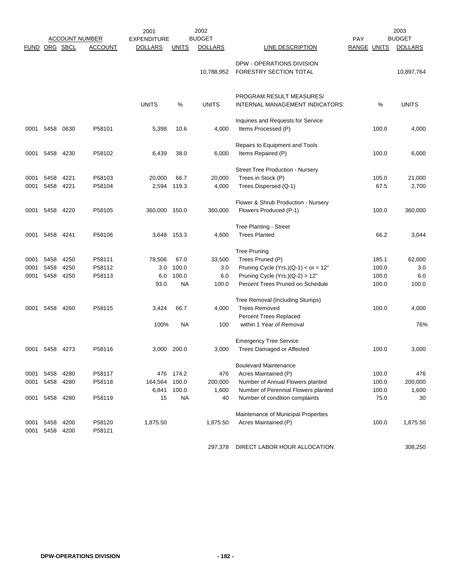|              | <b>ACCOUNT NUMBER</b><br>ORG SBCL |              |                  | 2002<br>2001<br><b>BUDGET</b><br><b>EXPENDITURE</b> |              |                |                                                               | PAY         | 2003<br><b>BUDGET</b> |
|--------------|-----------------------------------|--------------|------------------|-----------------------------------------------------|--------------|----------------|---------------------------------------------------------------|-------------|-----------------------|
| <b>FUND</b>  |                                   |              | <b>ACCOUNT</b>   | <b>DOLLARS</b>                                      | <b>UNITS</b> | <b>DOLLARS</b> | LINE DESCRIPTION                                              | RANGE UNITS | <b>DOLLARS</b>        |
|              |                                   |              |                  |                                                     |              | 10,788,952     | DPW - OPERATIONS DIVISION<br>FORESTRY SECTION TOTAL           |             | 10,897,764            |
|              |                                   |              |                  | <b>UNITS</b>                                        | %            | <b>UNITS</b>   | PROGRAM RESULT MEASURES/<br>INTERNAL MANAGEMENT INDICATORS:   | %           | <b>UNITS</b>          |
| 0001         | 5458                              | 0630         | P58101           | 5,398                                               | 10.6         | 4,000          | Inquiries and Requests for Service<br>Items Processed (P)     | 100.0       | 4,000                 |
| 0001         | 5458                              | 4230         | P58102           | 6,439                                               | 38.0         | 6,000          | Repairs to Equipment and Tools<br>Items Repaired (P)          | 100.0       | 6,000                 |
| 0001         | 5458                              | 4221         | P58103           | 20,000                                              | 66.7         | 20,000         | Street Tree Production - Nursery<br>Trees in Stock (P)        | 105.0       | 21,000                |
| 0001         | 5458                              | 4221         | P58104           | 2,594                                               | 119.3        | 4,000          | Trees Dispersed (Q-1)                                         | 67.5        | 2,700                 |
| 0001         | 5458                              | 4220         | P58105           | 360,000 150.0                                       |              | 360,000        | Flower & Shrub Production - Nursery<br>Flowers Produced (P-1) | 100.0       | 360,000               |
| 0001         | 5458 4241                         |              | P58106           | 3,648 153.3                                         |              | 4,600          | <b>Tree Planting - Street</b><br><b>Trees Planted</b>         | 66.2        | 3,044                 |
|              |                                   |              |                  |                                                     |              |                | <b>Tree Pruning</b>                                           |             |                       |
| 0001         | 5458                              | 4250         | P58111           | 78,506                                              | 67.0         | 33,500         | Trees Pruned (P)                                              | 185.1       | 62,000                |
| 0001         | 5458                              | 4250         | P58112           | 3.0                                                 | 100.0        | 3.0            | Pruning Cycle (Yrs.)( $Q-1$ ) < or = 12"                      | 100.0       | 3.0                   |
| 0001         | 5458                              | 4250         | P58113           | 6.0                                                 | 100.0        | 6.0            | Pruning Cycle $(Yrs.)(Q-2) > 12"$                             | 100.0       | 6.0                   |
|              |                                   |              |                  | 93.0                                                | NA           | 100.0          | Percent Trees Pruned on Schedule                              | 100.0       | 100.0                 |
|              |                                   |              |                  |                                                     |              |                | Tree Removal (Including Stumps)                               |             |                       |
| 0001         | 5458                              | 4260         | P58115           | 3,424                                               | 66.7         | 4,000          | <b>Trees Removed</b>                                          | 100.0       | 4,000                 |
|              |                                   |              |                  |                                                     |              |                | Percent Trees Replaced                                        |             |                       |
|              |                                   |              |                  | 100%                                                | <b>NA</b>    | 100            | within 1 Year of Removal                                      |             | 76%                   |
|              |                                   |              |                  |                                                     |              |                | <b>Emergency Tree Service</b>                                 |             |                       |
| 0001         | 5458 4273                         |              | P58116           | 3,000 200.0                                         |              | 3,000          | <b>Trees Damaged or Affected</b>                              | 100.0       | 3,000                 |
|              |                                   |              |                  |                                                     |              |                |                                                               |             |                       |
| 0001         | 5458                              | 4280         | P58117           | 476                                                 | 174.2        | 476            | <b>Boulevard Maintenance</b><br>Acres Maintained (P)          | 100.0       | 476                   |
| 0001         | 5458                              | 4280         | P58118           | 164,564                                             | 100.0        | 200,000        | Number of Annual Flowers planted                              | 100.0       | 200,000               |
|              |                                   |              |                  | 6,841                                               | 100.0        | 1,600          | Number of Perennial Flowers planted                           | 100.0       | 1,600                 |
| 0001         |                                   | 5458 4280    | P58119           | 15                                                  | <b>NA</b>    | 40             | Number of condition complaints                                | 75.0        | 30                    |
|              |                                   |              |                  |                                                     |              |                |                                                               |             |                       |
|              |                                   |              |                  |                                                     |              |                | Maintenance of Municipal Properties                           |             |                       |
| 0001<br>0001 | 5458<br>5458                      | 4200<br>4200 | P58120<br>P58121 | 1,875.50                                            |              | 1,875.50       | Acres Maintained (P)                                          | 100.0       | 1,875.50              |
|              |                                   |              |                  |                                                     |              |                | $DDEQT + ABQD + QHQ + R + QQA TQA$                            |             | 0.00000               |

297,378 DIRECT LABOR HOUR ALLOCATION 308,250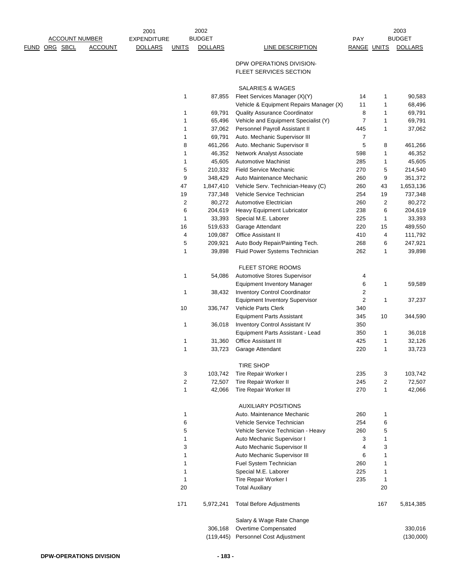| <b>ACCOUNT NUMBER</b> |                | 2001<br><b>EXPENDITURE</b> |              | 2002<br><b>BUDGET</b> |                                          | <b>PAY</b>              |              | 2003<br><b>BUDGET</b> |
|-----------------------|----------------|----------------------------|--------------|-----------------------|------------------------------------------|-------------------------|--------------|-----------------------|
| <u>FUND ORG SBCL</u>  | <b>ACCOUNT</b> | <b>DOLLARS</b>             | <b>UNITS</b> | <b>DOLLARS</b>        | LINE DESCRIPTION                         | RANGE UNITS             |              | <b>DOLLARS</b>        |
|                       |                |                            |              |                       |                                          |                         |              |                       |
|                       |                |                            |              |                       | DPW OPERATIONS DIVISION-                 |                         |              |                       |
|                       |                |                            |              |                       | FLEET SERVICES SECTION                   |                         |              |                       |
|                       |                |                            |              |                       | <b>SALARIES &amp; WAGES</b>              |                         |              |                       |
|                       |                |                            | 1            | 87,855                | Fleet Services Manager (X)(Y)            | 14                      | 1            | 90,583                |
|                       |                |                            |              |                       | Vehicle & Equipment Repairs Manager (X)  | 11                      | 1            | 68,496                |
|                       |                |                            | 1            | 69,791                | <b>Quality Assurance Coordinator</b>     | 8                       | 1            | 69,791                |
|                       |                |                            | 1            | 65,496                | Vehicle and Equipment Specialist (Y)     | 7                       | 1            | 69,791                |
|                       |                |                            | 1            | 37,062                | Personnel Payroll Assistant II           | 445                     | 1            | 37,062                |
|                       |                |                            | 1            | 69,791                | Auto. Mechanic Supervisor III            | $\overline{7}$          |              |                       |
|                       |                |                            | 8            | 461,266               | Auto. Mechanic Supervisor II             | 5                       | 8            | 461,266               |
|                       |                |                            | 1            | 46,352                | Network Analyst Associate                | 598                     | 1            | 46,352                |
|                       |                |                            | 1            | 45,605                | <b>Automotive Machinist</b>              | 285                     | 1            | 45,605                |
|                       |                |                            | 5            | 210,332               | <b>Field Service Mechanic</b>            | 270                     | 5            | 214,540               |
|                       |                |                            | 9            | 348,429               | Auto Maintenance Mechanic                | 260                     | 9            | 351,372               |
|                       |                |                            | 47           | 1,847,410             | Vehicle Serv. Technician-Heavy (C)       | 260                     | 43           | 1,653,136             |
|                       |                |                            | 19           | 737,348               | Vehicle Service Technician               | 254                     | 19           | 737,348               |
|                       |                |                            | 2            | 80,272                | Automotive Electrician                   | 260                     | 2            | 80,272                |
|                       |                |                            | 6            | 204,619               | <b>Heavy Equipment Lubricator</b>        | 238                     | 6            | 204,619               |
|                       |                |                            | 1<br>16      | 33,393<br>519,633     | Special M.E. Laborer<br>Garage Attendant | 225<br>220              | 1<br>15      | 33,393<br>489,550     |
|                       |                |                            | 4            | 109,087               | <b>Office Assistant II</b>               | 410                     | 4            | 111,792               |
|                       |                |                            | 5            | 209,921               | Auto Body Repair/Painting Tech.          | 268                     | 6            | 247,921               |
|                       |                |                            | 1            | 39,898                | Fluid Power Systems Technician           | 262                     | 1            | 39,898                |
|                       |                |                            |              |                       |                                          |                         |              |                       |
|                       |                |                            |              |                       | FLEET STORE ROOMS                        |                         |              |                       |
|                       |                |                            | 1            | 54,086                | Automotive Stores Supervisor             | 4                       |              |                       |
|                       |                |                            |              |                       | <b>Equipment Inventory Manager</b>       | 6                       | 1            | 59,589                |
|                       |                |                            | 1            | 38,432                | <b>Inventory Control Coordinator</b>     | 2                       |              |                       |
|                       |                |                            |              |                       | <b>Equipment Inventory Supervisor</b>    | $\overline{\mathbf{c}}$ | 1            | 37,237                |
|                       |                |                            | 10           | 336,747               | <b>Vehicle Parts Clerk</b>               | 340                     |              |                       |
|                       |                |                            |              |                       | <b>Equipment Parts Assistant</b>         | 345                     | 10           | 344,590               |
|                       |                |                            | 1            | 36,018                | Inventory Control Assistant IV           | 350                     |              |                       |
|                       |                |                            |              |                       | Equipment Parts Assistant - Lead         | 350                     | 1            | 36,018                |
|                       |                |                            | 1            | 31,360                | Office Assistant III                     | 425                     | 1            | 32,126                |
|                       |                |                            | 1            | 33,723                | Garage Attendant                         | 220                     | 1            | 33,723                |
|                       |                |                            |              |                       | <b>TIRE SHOP</b>                         |                         |              |                       |
|                       |                |                            | 3            | 103,742               | Tire Repair Worker I                     | 235                     | 3            | 103,742               |
|                       |                |                            | 2            | 72,507                | Tire Repair Worker II                    | 245                     | 2            | 72,507                |
|                       |                |                            | 1            | 42,066                | Tire Repair Worker III                   | 270                     | 1            | 42,066                |
|                       |                |                            |              |                       |                                          |                         |              |                       |
|                       |                |                            |              |                       | <b>AUXILIARY POSITIONS</b>               |                         |              |                       |
|                       |                |                            | 1            |                       | Auto. Maintenance Mechanic               | 260                     | 1            |                       |
|                       |                |                            | 6            |                       | Vehicle Service Technician               | 254                     | 6            |                       |
|                       |                |                            | 5            |                       | Vehicle Service Technician - Heavy       | 260                     | 5            |                       |
|                       |                |                            | 1            |                       | Auto Mechanic Supervisor I               | 3                       | 1            |                       |
|                       |                |                            | 3            |                       | Auto Mechanic Supervisor II              | 4                       | 3            |                       |
|                       |                |                            | 1            |                       | Auto Mechanic Supervisor III             | 6                       | 1            |                       |
|                       |                |                            | 1            |                       | Fuel System Technician                   | 260                     | $\mathbf{1}$ |                       |
|                       |                |                            | 1            |                       | Special M.E. Laborer                     | 225                     | 1            |                       |
|                       |                |                            | 1            |                       | Tire Repair Worker I                     | 235                     | 1            |                       |
|                       |                |                            | 20           |                       | <b>Total Auxiliary</b>                   |                         | 20           |                       |
|                       |                |                            | 171          | 5,972,241             | <b>Total Before Adjustments</b>          |                         | 167          | 5,814,385             |
|                       |                |                            |              |                       | Salary & Wage Rate Change                |                         |              |                       |
|                       |                |                            |              | 306,168               | Overtime Compensated                     |                         |              | 330,016               |
|                       |                |                            |              | (119, 445)            | Personnel Cost Adjustment                |                         |              | (130,000)             |
|                       |                |                            |              |                       |                                          |                         |              |                       |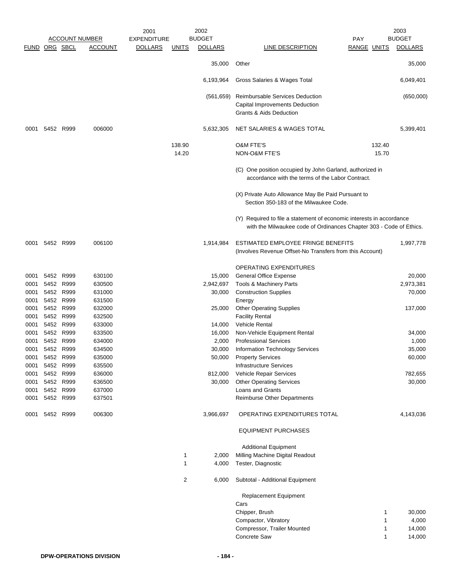|               |                |           |                       | 2001               |                 | 2002           |                                                                                                                                             |                    |                 | 2003           |
|---------------|----------------|-----------|-----------------------|--------------------|-----------------|----------------|---------------------------------------------------------------------------------------------------------------------------------------------|--------------------|-----------------|----------------|
|               |                |           | <b>ACCOUNT NUMBER</b> | <b>EXPENDITURE</b> |                 | <b>BUDGET</b>  |                                                                                                                                             | PAY                |                 | <b>BUDGET</b>  |
| FUND ORG SBCL |                |           | <b>ACCOUNT</b>        | <b>DOLLARS</b>     | <b>UNITS</b>    | <b>DOLLARS</b> | LINE DESCRIPTION                                                                                                                            | <b>RANGE UNITS</b> |                 | <b>DOLLARS</b> |
|               |                |           |                       |                    |                 | 35,000         | Other                                                                                                                                       |                    |                 | 35,000         |
|               |                |           |                       |                    |                 | 6,193,964      | Gross Salaries & Wages Total                                                                                                                |                    |                 | 6,049,401      |
|               |                |           |                       |                    |                 |                |                                                                                                                                             |                    |                 |                |
|               |                |           |                       |                    |                 | (561, 659)     | Reimbursable Services Deduction<br>Capital Improvements Deduction<br>Grants & Aids Deduction                                                |                    |                 | (650,000)      |
|               |                |           |                       |                    |                 |                |                                                                                                                                             |                    |                 |                |
| 0001          |                | 5452 R999 | 006000                |                    |                 | 5,632,305      | NET SALARIES & WAGES TOTAL                                                                                                                  |                    |                 | 5,399,401      |
|               |                |           |                       |                    | 138.90<br>14.20 |                | <b>O&amp;M FTE'S</b><br>NON-O&M FTE'S                                                                                                       |                    | 132.40<br>15.70 |                |
|               |                |           |                       |                    |                 |                | (C) One position occupied by John Garland, authorized in<br>accordance with the terms of the Labor Contract.                                |                    |                 |                |
|               |                |           |                       |                    |                 |                | (X) Private Auto Allowance May Be Paid Pursuant to<br>Section 350-183 of the Milwaukee Code.                                                |                    |                 |                |
|               |                |           |                       |                    |                 |                | (Y) Required to file a statement of economic interests in accordance<br>with the Milwaukee code of Ordinances Chapter 303 - Code of Ethics. |                    |                 |                |
| 0001          | 5452 R999      |           | 006100                |                    |                 | 1,914,984      | ESTIMATED EMPLOYEE FRINGE BENEFITS                                                                                                          |                    |                 | 1,997,778      |
|               |                |           |                       |                    |                 |                | (Involves Revenue Offset-No Transfers from this Account)                                                                                    |                    |                 |                |
|               |                |           |                       |                    |                 |                | <b>OPERATING EXPENDITURES</b>                                                                                                               |                    |                 |                |
| 0001          | 5452           | R999      | 630100                |                    |                 | 15,000         | <b>General Office Expense</b>                                                                                                               |                    |                 | 20,000         |
| 0001          |                | 5452 R999 | 630500                |                    |                 | 2,942,697      | Tools & Machinery Parts                                                                                                                     |                    |                 | 2,973,381      |
| 0001          |                | 5452 R999 | 631000                |                    |                 | 30,000         | <b>Construction Supplies</b>                                                                                                                |                    |                 | 70,000         |
| 0001          | 5452           | R999      | 631500                |                    |                 |                | Energy                                                                                                                                      |                    |                 |                |
| 0001          |                | 5452 R999 | 632000                |                    |                 | 25,000         | <b>Other Operating Supplies</b>                                                                                                             |                    |                 | 137,000        |
| 0001          |                | 5452 R999 | 632500                |                    |                 |                | <b>Facility Rental</b>                                                                                                                      |                    |                 |                |
| 0001          |                | 5452 R999 | 633000                |                    |                 | 14,000         | <b>Vehicle Rental</b>                                                                                                                       |                    |                 |                |
| 0001          |                | 5452 R999 | 633500                |                    |                 | 16,000         | Non-Vehicle Equipment Rental                                                                                                                |                    |                 | 34,000         |
| 0001          |                | 5452 R999 | 634000                |                    |                 | 2,000          | <b>Professional Services</b>                                                                                                                |                    |                 | 1,000          |
| 0001          |                | 5452 R999 | 634500                |                    |                 | 30,000         | <b>Information Technology Services</b>                                                                                                      |                    |                 | 35,000         |
| 0001          | 5452           | R999      | 635000                |                    |                 | 50,000         | <b>Property Services</b>                                                                                                                    |                    |                 | 60,000         |
|               | 0001 5452 R999 |           | 635500                |                    |                 |                | Infrastructure Services                                                                                                                     |                    |                 |                |
| 0001          |                | 5452 R999 | 636000                |                    |                 | 812,000        | Vehicle Repair Services                                                                                                                     |                    |                 | 782,655        |
| 0001          | 5452 R999      |           | 636500                |                    |                 | 30,000         | <b>Other Operating Services</b>                                                                                                             |                    |                 | 30,000         |
| 0001          | 5452 R999      |           | 637000                |                    |                 |                | Loans and Grants                                                                                                                            |                    |                 |                |
| 0001          | 5452 R999      |           | 637501                |                    |                 |                | <b>Reimburse Other Departments</b>                                                                                                          |                    |                 |                |
|               | 0001 5452 R999 |           | 006300                |                    |                 | 3,966,697      | OPERATING EXPENDITURES TOTAL                                                                                                                |                    |                 | 4,143,036      |
|               |                |           |                       |                    |                 |                | <b>EQUIPMENT PURCHASES</b>                                                                                                                  |                    |                 |                |
|               |                |           |                       |                    |                 |                | <b>Additional Equipment</b>                                                                                                                 |                    |                 |                |
|               |                |           |                       |                    | 1               | 2,000          | Milling Machine Digital Readout                                                                                                             |                    |                 |                |
|               |                |           |                       |                    | 1               | 4,000          | Tester, Diagnostic                                                                                                                          |                    |                 |                |
|               |                |           |                       |                    | 2               | 6,000          | Subtotal - Additional Equipment                                                                                                             |                    |                 |                |
|               |                |           |                       |                    |                 |                | Replacement Equipment<br>Cars                                                                                                               |                    |                 |                |
|               |                |           |                       |                    |                 |                |                                                                                                                                             |                    |                 |                |
|               |                |           |                       |                    |                 |                | Chipper, Brush                                                                                                                              |                    | 1<br>1          | 30,000         |
|               |                |           |                       |                    |                 |                | Compactor, Vibratory                                                                                                                        |                    |                 | 4,000          |
|               |                |           |                       |                    |                 |                | Compressor, Trailer Mounted                                                                                                                 |                    | 1               | 14,000         |
|               |                |           |                       |                    |                 |                | Concrete Saw                                                                                                                                |                    | 1               | 14,000         |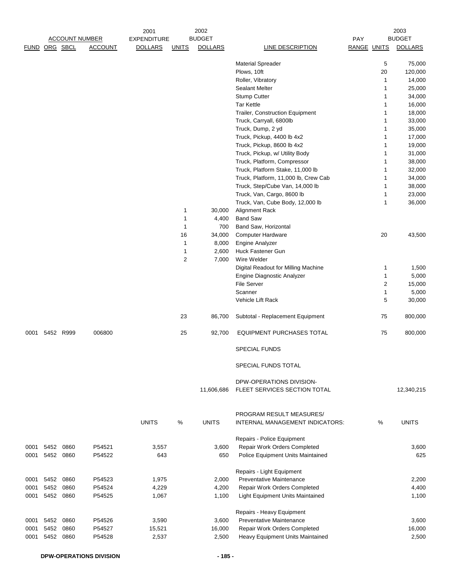|               |           |           |                       | 2001               |              | 2002           |                                                          |             |    | 2003           |
|---------------|-----------|-----------|-----------------------|--------------------|--------------|----------------|----------------------------------------------------------|-------------|----|----------------|
|               |           |           | <b>ACCOUNT NUMBER</b> | <b>EXPENDITURE</b> |              | <b>BUDGET</b>  |                                                          | PAY         |    | <b>BUDGET</b>  |
| FUND ORG SBCL |           |           | <b>ACCOUNT</b>        | <b>DOLLARS</b>     | <u>UNITS</u> | <b>DOLLARS</b> | LINE DESCRIPTION                                         | RANGE UNITS |    | <b>DOLLARS</b> |
|               |           |           |                       |                    |              |                | <b>Material Spreader</b>                                 |             | 5  | 75,000         |
|               |           |           |                       |                    |              |                | Plows, 10ft                                              |             | 20 | 120,000        |
|               |           |           |                       |                    |              |                | Roller, Vibratory                                        |             | 1  | 14,000         |
|               |           |           |                       |                    |              |                | <b>Sealant Melter</b>                                    |             | 1  | 25,000         |
|               |           |           |                       |                    |              |                | <b>Stump Cutter</b>                                      |             | 1  | 34,000         |
|               |           |           |                       |                    |              |                | <b>Tar Kettle</b>                                        |             | 1  | 16,000         |
|               |           |           |                       |                    |              |                | Trailer, Construction Equipment                          |             | 1  | 18,000         |
|               |           |           |                       |                    |              |                | Truck, Carryall, 6800lb                                  |             | 1  | 33,000         |
|               |           |           |                       |                    |              |                | Truck, Dump, 2 yd                                        |             | 1  | 35,000         |
|               |           |           |                       |                    |              |                | Truck, Pickup, 4400 lb 4x2                               |             | 1  | 17,000         |
|               |           |           |                       |                    |              |                | Truck, Pickup, 8600 lb 4x2                               |             | 1  | 19,000         |
|               |           |           |                       |                    |              |                | Truck, Pickup, w/ Utility Body                           |             | 1  | 31,000         |
|               |           |           |                       |                    |              |                | Truck, Platform, Compressor                              |             | 1  | 38,000         |
|               |           |           |                       |                    |              |                | Truck, Platform Stake, 11,000 lb                         |             | 1  | 32,000         |
|               |           |           |                       |                    |              |                | Truck, Platform, 11,000 lb, Crew Cab                     |             | 1  | 34,000         |
|               |           |           |                       |                    |              |                | Truck, Step/Cube Van, 14,000 lb                          |             | 1  | 38,000         |
|               |           |           |                       |                    |              |                | Truck, Van, Cargo, 8600 lb                               |             | 1  | 23,000         |
|               |           |           |                       |                    |              |                | Truck, Van, Cube Body, 12,000 lb                         |             | 1  | 36,000         |
|               |           |           |                       |                    | 1            | 30,000         | <b>Alignment Rack</b>                                    |             |    |                |
|               |           |           |                       |                    | 1            | 4,400          | <b>Band Saw</b>                                          |             |    |                |
|               |           |           |                       |                    | $\mathbf{1}$ | 700            | Band Saw, Horizontal                                     |             |    |                |
|               |           |           |                       |                    | 16           | 34,000         | Computer Hardware                                        |             | 20 | 43,500         |
|               |           |           |                       |                    | $\mathbf{1}$ | 8,000          | Engine Analyzer                                          |             |    |                |
|               |           |           |                       |                    | $\mathbf{1}$ | 2,600          | Huck Fastener Gun                                        |             |    |                |
|               |           |           |                       |                    | 2            | 7,000          | Wire Welder                                              |             |    |                |
|               |           |           |                       |                    |              |                | Digital Readout for Milling Machine                      |             | 1  | 1,500          |
|               |           |           |                       |                    |              |                | Engine Diagnostic Analyzer                               |             | 1  | 5,000          |
|               |           |           |                       |                    |              |                | <b>File Server</b>                                       |             | 2  | 15,000         |
|               |           |           |                       |                    |              |                | Scanner                                                  |             | 1  | 5,000          |
|               |           |           |                       |                    |              |                | Vehicle Lift Rack                                        |             | 5  | 30,000         |
|               |           |           |                       |                    | 23           | 86,700         | Subtotal - Replacement Equipment                         |             | 75 | 800,000        |
| 0001          | 5452 R999 |           | 006800                |                    | 25           | 92,700         | <b>EQUIPMENT PURCHASES TOTAL</b>                         |             | 75 | 800,000        |
|               |           |           |                       |                    |              |                | <b>SPECIAL FUNDS</b>                                     |             |    |                |
|               |           |           |                       |                    |              |                | SPECIAL FUNDS TOTAL                                      |             |    |                |
|               |           |           |                       |                    |              |                |                                                          |             |    |                |
|               |           |           |                       |                    |              | 11,606,686     | DPW-OPERATIONS DIVISION-<br>FLEET SERVICES SECTION TOTAL |             |    | 12,340,215     |
|               |           |           |                       |                    |              |                | PROGRAM RESULT MEASURES/                                 |             |    |                |
|               |           |           |                       | <b>UNITS</b>       | %            | <b>UNITS</b>   | INTERNAL MANAGEMENT INDICATORS:                          |             | %  | <b>UNITS</b>   |
|               |           |           |                       |                    |              |                | Repairs - Police Equipment                               |             |    |                |
| 0001          |           | 5452 0860 | P54521                | 3,557              |              | 3,600          | Repair Work Orders Completed                             |             |    | 3,600          |
| 0001          |           | 5452 0860 | P54522                | 643                |              | 650            | Police Equipment Units Maintained                        |             |    | 625            |
|               |           |           |                       |                    |              |                | Repairs - Light Equipment                                |             |    |                |
| 0001          |           | 5452 0860 | P54523                | 1,975              |              | 2,000          | <b>Preventative Maintenance</b>                          |             |    | 2,200          |
| 0001          | 5452      | 0860      | P54524                | 4,229              |              | 4,200          | Repair Work Orders Completed                             |             |    | 4,400          |
| 0001          |           | 5452 0860 | P54525                | 1,067              |              | 1,100          | Light Equipment Units Maintained                         |             |    | 1,100          |
|               |           |           |                       |                    |              |                | Repairs - Heavy Equipment                                |             |    |                |
| 0001          | 5452      | 0860      | P54526                | 3,590              |              | 3,600          | Preventative Maintenance                                 |             |    | 3,600          |
| 0001          | 5452      | 0860      | P54527                | 15,521             |              | 16,000         | Repair Work Orders Completed                             |             |    | 16,000         |
| 0001          |           | 5452 0860 | P54528                | 2,537              |              | 2,500          | Heavy Equipment Units Maintained                         |             |    | 2,500          |
|               |           |           |                       |                    |              |                |                                                          |             |    |                |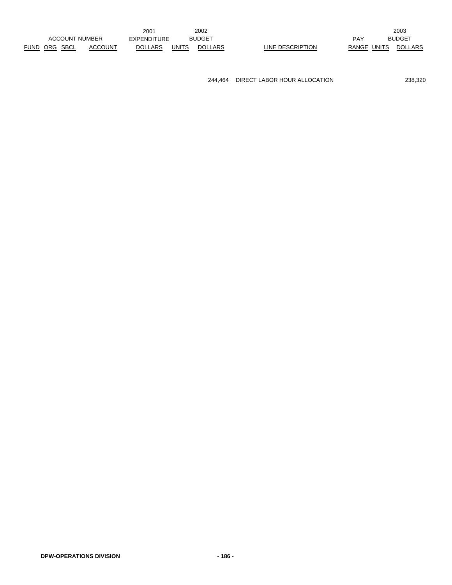244,464 DIRECT LABOR HOUR ALLOCATION 238,320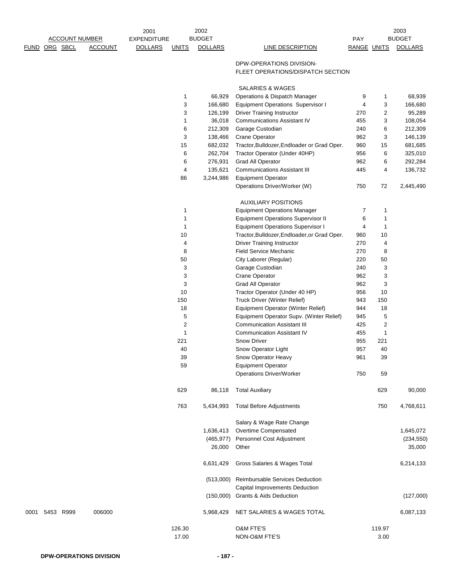|      |                      |                       |                | 2001               |                | 2002           |                                                                             |                    |                | 2003           |
|------|----------------------|-----------------------|----------------|--------------------|----------------|----------------|-----------------------------------------------------------------------------|--------------------|----------------|----------------|
|      |                      | <b>ACCOUNT NUMBER</b> |                | <b>EXPENDITURE</b> |                | <b>BUDGET</b>  |                                                                             | PAY                |                | <b>BUDGET</b>  |
|      | <b>FUND ORG SBCL</b> |                       | <b>ACCOUNT</b> | <b>DOLLARS</b>     | <b>UNITS</b>   | <b>DOLLARS</b> | <b>LINE DESCRIPTION</b>                                                     | <b>RANGE UNITS</b> |                | <b>DOLLARS</b> |
|      |                      |                       |                |                    |                |                | DPW-OPERATIONS DIVISION-                                                    |                    |                |                |
|      |                      |                       |                |                    |                |                | FLEET OPERATIONS/DISPATCH SECTION                                           |                    |                |                |
|      |                      |                       |                |                    |                |                | SALARIES & WAGES                                                            |                    |                |                |
|      |                      |                       |                |                    | 1              | 66,929         | Operations & Dispatch Manager                                               | 9                  | 1              | 68,939         |
|      |                      |                       |                |                    | 3              | 166,680        | <b>Equipment Operations Supervisor I</b>                                    | 4                  | 3              | 166,680        |
|      |                      |                       |                |                    | 3              | 126,199        | <b>Driver Training Instructor</b>                                           | 270                | 2              | 95,289         |
|      |                      |                       |                |                    | 1              | 36,018         | <b>Communications Assistant IV</b>                                          | 455                | 3              | 108,054        |
|      |                      |                       |                |                    | 6              | 212,309        | Garage Custodian                                                            | 240                | 6              | 212,309        |
|      |                      |                       |                |                    | 3              | 138,466        | <b>Crane Operator</b>                                                       | 962                | 3              | 146,139        |
|      |                      |                       |                |                    | 15             | 682,032        | Tractor, Bulldozer, Endloader or Grad Oper.                                 | 960                | 15             | 681,685        |
|      |                      |                       |                |                    | 6              | 262,704        | Tractor Operator (Under 40HP)                                               | 956                | 6              | 325,010        |
|      |                      |                       |                |                    | 6              | 276,931        | <b>Grad All Operator</b>                                                    | 962                | 6              | 292,284        |
|      |                      |                       |                |                    | 4              | 135,621        | <b>Communications Assistant III</b>                                         | 445                | 4              | 136,732        |
|      |                      |                       |                |                    | 86             | 3,244,986      | <b>Equipment Operator</b>                                                   |                    |                |                |
|      |                      |                       |                |                    |                |                | Operations Driver/Worker (W)                                                | 750                | 72             | 2,445,490      |
|      |                      |                       |                |                    |                |                | <b>AUXILIARY POSITIONS</b>                                                  |                    |                |                |
|      |                      |                       |                |                    | 1              |                | <b>Equipment Operations Manager</b>                                         | 7                  | 1              |                |
|      |                      |                       |                |                    | 1              |                | <b>Equipment Operations Supervisor II</b>                                   | 6                  | 1              |                |
|      |                      |                       |                |                    | 1              |                | <b>Equipment Operations Supervisor I</b>                                    | 4                  | 1              |                |
|      |                      |                       |                |                    | 10             |                | Tractor, Bulldozer, Endloader, or Grad Oper.                                | 960                | 10             |                |
|      |                      |                       |                |                    | 4              |                | <b>Driver Training Instructor</b>                                           | 270                | 4              |                |
|      |                      |                       |                |                    | 8              |                | <b>Field Service Mechanic</b>                                               | 270                | 8              |                |
|      |                      |                       |                |                    | 50             |                | City Laborer (Regular)                                                      | 220                | 50             |                |
|      |                      |                       |                |                    | 3              |                | Garage Custodian                                                            | 240                | 3              |                |
|      |                      |                       |                |                    | 3              |                | Crane Operator                                                              | 962                | 3              |                |
|      |                      |                       |                |                    | 3              |                | <b>Grad All Operator</b>                                                    | 962                | 3              |                |
|      |                      |                       |                |                    | 10             |                | Tractor Operator (Under 40 HP)                                              | 956                | 10             |                |
|      |                      |                       |                |                    | 150            |                | Truck Driver (Winter Relief)                                                | 943                | 150            |                |
|      |                      |                       |                |                    | 18             |                | Equipment Operator (Winter Relief)                                          | 944                | 18             |                |
|      |                      |                       |                |                    | 5              |                | Equipment Operator Supv. (Winter Relief)                                    | 945                | 5              |                |
|      |                      |                       |                |                    | $\overline{c}$ |                | <b>Communication Assistant III</b>                                          | 425                | $\overline{2}$ |                |
|      |                      |                       |                |                    | 1              |                | <b>Communication Assistant IV</b>                                           | 455                | $\mathbf{1}$   |                |
|      |                      |                       |                |                    | 221            |                | Snow Driver                                                                 | 955                | 221            |                |
|      |                      |                       |                |                    | 40             |                | Snow Operator Light                                                         | 957                | 40             |                |
|      |                      |                       |                |                    | 39             |                | Snow Operator Heavy                                                         | 961                | 39             |                |
|      |                      |                       |                |                    | 59             |                | <b>Equipment Operator</b>                                                   |                    |                |                |
|      |                      |                       |                |                    |                |                | Operations Driver/Worker                                                    | 750                | 59             |                |
|      |                      |                       |                |                    | 629            | 86,118         | <b>Total Auxiliary</b>                                                      |                    | 629            | 90,000         |
|      |                      |                       |                |                    | 763            | 5,434,993      | <b>Total Before Adjustments</b>                                             |                    | 750            | 4,768,611      |
|      |                      |                       |                |                    |                |                | Salary & Wage Rate Change                                                   |                    |                |                |
|      |                      |                       |                |                    |                | 1,636,413      | Overtime Compensated                                                        |                    |                | 1,645,072      |
|      |                      |                       |                |                    |                | (465, 977)     | Personnel Cost Adjustment                                                   |                    |                | (234, 550)     |
|      |                      |                       |                |                    |                | 26,000         | Other                                                                       |                    |                | 35,000         |
|      |                      |                       |                |                    |                | 6,631,429      | Gross Salaries & Wages Total                                                |                    |                | 6,214,133      |
|      |                      |                       |                |                    |                |                | (513,000) Reimbursable Services Deduction<br>Capital Improvements Deduction |                    |                |                |
|      |                      |                       |                |                    |                |                | (150,000) Grants & Aids Deduction                                           |                    |                | (127,000)      |
| 0001 |                      | 5453 R999             | 006000         |                    |                | 5,968,429      | NET SALARIES & WAGES TOTAL                                                  |                    |                | 6,087,133      |
|      |                      |                       |                |                    | 126.30         |                | O&M FTE'S                                                                   |                    | 119.97         |                |
|      |                      |                       |                |                    | 17.00          |                | NON-O&M FTE'S                                                               |                    | 3.00           |                |
|      |                      |                       |                |                    |                |                |                                                                             |                    |                |                |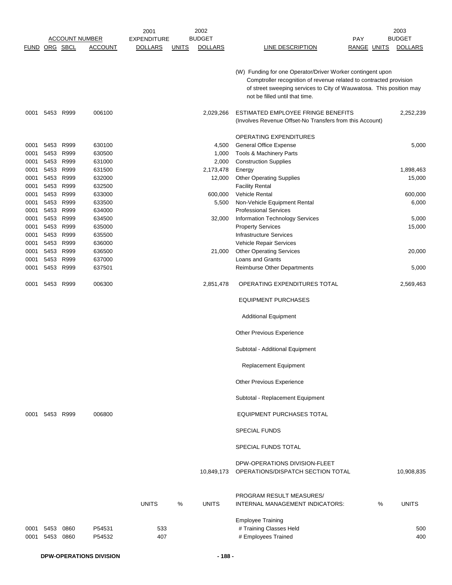|                              |                              |                              |                                      | 2001               |              | 2002                    |                                                                                                                                                                                                                                           |             |   | 2003                |
|------------------------------|------------------------------|------------------------------|--------------------------------------|--------------------|--------------|-------------------------|-------------------------------------------------------------------------------------------------------------------------------------------------------------------------------------------------------------------------------------------|-------------|---|---------------------|
|                              |                              |                              | <b>ACCOUNT NUMBER</b>                | <b>EXPENDITURE</b> |              | <b>BUDGET</b>           |                                                                                                                                                                                                                                           | PAY         |   | <b>BUDGET</b>       |
| FUND ORG SBCL                |                              |                              | <b>ACCOUNT</b>                       | <b>DOLLARS</b>     | <b>UNITS</b> | <b>DOLLARS</b>          | <b>LINE DESCRIPTION</b>                                                                                                                                                                                                                   | RANGE UNITS |   | <b>DOLLARS</b>      |
|                              |                              |                              |                                      |                    |              |                         | (W) Funding for one Operator/Driver Worker contingent upon<br>Comptroller recognition of revenue related to contracted provision<br>of street sweeping services to City of Wauwatosa. This position may<br>not be filled until that time. |             |   |                     |
| 0001                         |                              | 5453 R999                    | 006100                               |                    |              | 2,029,266               | ESTIMATED EMPLOYEE FRINGE BENEFITS<br>(Involves Revenue Offset-No Transfers from this Account)                                                                                                                                            |             |   | 2,252,239           |
| 0001<br>0001<br>0001         | 5453<br>5453<br>5453         | R999<br>R999<br>R999         | 630100<br>630500<br>631000           |                    |              | 4,500<br>1,000<br>2,000 | <b>OPERATING EXPENDITURES</b><br><b>General Office Expense</b><br>Tools & Machinery Parts<br><b>Construction Supplies</b>                                                                                                                 |             |   | 5,000               |
| 0001<br>0001<br>0001         | 5453<br>5453<br>5453         | R999<br>R999<br>R999         | 631500<br>632000<br>632500           |                    |              | 2,173,478<br>12,000     | Energy<br><b>Other Operating Supplies</b><br><b>Facility Rental</b>                                                                                                                                                                       |             |   | 1,898,463<br>15,000 |
| 0001<br>0001                 | 5453<br>5453                 | R999<br>R999                 | 633000<br>633500                     |                    |              | 600,000<br>5,500        | <b>Vehicle Rental</b><br>Non-Vehicle Equipment Rental                                                                                                                                                                                     |             |   | 600,000<br>6,000    |
| 0001<br>0001<br>0001<br>0001 | 5453<br>5453<br>5453<br>5453 | R999<br>R999<br>R999<br>R999 | 634000<br>634500<br>635000<br>635500 |                    |              | 32,000                  | <b>Professional Services</b><br>Information Technology Services<br><b>Property Services</b><br>Infrastructure Services                                                                                                                    |             |   | 5,000<br>15,000     |
| 0001<br>0001<br>0001         | 5453<br>5453<br>5453         | R999<br>R999<br>R999         | 636000<br>636500<br>637000           |                    |              | 21,000                  | Vehicle Repair Services<br><b>Other Operating Services</b><br>Loans and Grants                                                                                                                                                            |             |   | 20,000              |
| 0001                         | 5453                         | R999                         | 637501                               |                    |              |                         | <b>Reimburse Other Departments</b>                                                                                                                                                                                                        |             |   | 5,000               |
| 0001                         | 5453                         | R999                         | 006300                               |                    |              | 2,851,478               | OPERATING EXPENDITURES TOTAL                                                                                                                                                                                                              |             |   | 2,569,463           |
|                              |                              |                              |                                      |                    |              |                         | <b>EQUIPMENT PURCHASES</b>                                                                                                                                                                                                                |             |   |                     |
|                              |                              |                              |                                      |                    |              |                         | <b>Additional Equipment</b>                                                                                                                                                                                                               |             |   |                     |
|                              |                              |                              |                                      |                    |              |                         | <b>Other Previous Experience</b>                                                                                                                                                                                                          |             |   |                     |
|                              |                              |                              |                                      |                    |              |                         | Subtotal - Additional Equipment                                                                                                                                                                                                           |             |   |                     |
|                              |                              |                              |                                      |                    |              |                         | <b>Replacement Equipment</b>                                                                                                                                                                                                              |             |   |                     |
|                              |                              |                              |                                      |                    |              |                         | Other Previous Experience                                                                                                                                                                                                                 |             |   |                     |
|                              |                              |                              |                                      |                    |              |                         | Subtotal - Replacement Equipment                                                                                                                                                                                                          |             |   |                     |
|                              | 0001 5453 R999               |                              | 006800                               |                    |              |                         | <b>EQUIPMENT PURCHASES TOTAL</b>                                                                                                                                                                                                          |             |   |                     |
|                              |                              |                              |                                      |                    |              |                         | <b>SPECIAL FUNDS</b>                                                                                                                                                                                                                      |             |   |                     |
|                              |                              |                              |                                      |                    |              |                         | SPECIAL FUNDS TOTAL                                                                                                                                                                                                                       |             |   |                     |
|                              |                              |                              |                                      |                    |              | 10,849,173              | DPW-OPERATIONS DIVISION-FLEET<br>OPERATIONS/DISPATCH SECTION TOTAL                                                                                                                                                                        |             |   | 10,908,835          |
|                              |                              |                              |                                      | <b>UNITS</b>       | %            | <b>UNITS</b>            | PROGRAM RESULT MEASURES/<br>INTERNAL MANAGEMENT INDICATORS:                                                                                                                                                                               |             | % | <b>UNITS</b>        |
| 0001<br>0001                 | 5453<br>5453                 | 0860<br>0860                 | P54531<br>P54532                     | 533<br>407         |              |                         | <b>Employee Training</b><br># Training Classes Held<br># Employees Trained                                                                                                                                                                |             |   | 500<br>400          |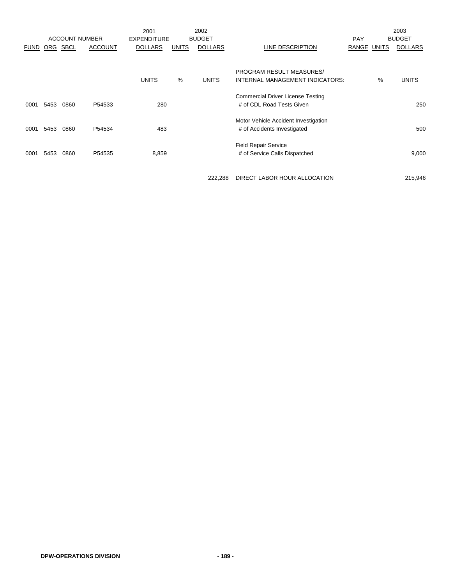|              |              |                       |                  | 2001                |              | 2002           |                                                                                                                                             |                    |   | 2003                |
|--------------|--------------|-----------------------|------------------|---------------------|--------------|----------------|---------------------------------------------------------------------------------------------------------------------------------------------|--------------------|---|---------------------|
|              |              | <b>ACCOUNT NUMBER</b> |                  | <b>EXPENDITURE</b>  |              | <b>BUDGET</b>  |                                                                                                                                             | <b>PAY</b>         |   | <b>BUDGET</b>       |
| <b>FUND</b>  | ORG          | <b>SBCL</b>           | <b>ACCOUNT</b>   | <b>DOLLARS</b>      | <b>UNITS</b> | <b>DOLLARS</b> | LINE DESCRIPTION                                                                                                                            | <b>RANGE UNITS</b> |   | <b>DOLLARS</b>      |
| 0001         | 5453         | 0860                  | P54533           | <b>UNITS</b><br>280 | %            | <b>UNITS</b>   | <b>PROGRAM RESULT MEASURES/</b><br>INTERNAL MANAGEMENT INDICATORS:<br><b>Commercial Driver License Testing</b><br># of CDL Road Tests Given |                    | % | <b>UNITS</b><br>250 |
| 0001<br>0001 | 5453<br>5453 | 0860<br>0860          | P54534<br>P54535 | 483<br>8,859        |              |                | Motor Vehicle Accident Investigation<br># of Accidents Investigated<br><b>Field Repair Service</b><br># of Service Calls Dispatched         |                    |   | 500<br>9,000        |
|              |              |                       |                  |                     |              |                |                                                                                                                                             |                    |   |                     |

222,288 DIRECT LABOR HOUR ALLOCATION 215,946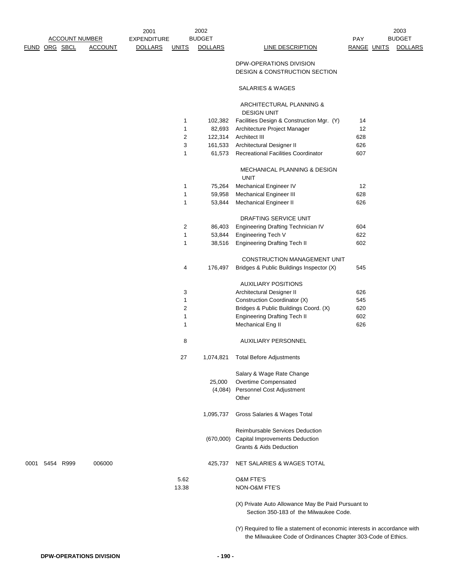2003

## DPW-OPERATIONS DIVISION DESIGN & CONSTRUCTION SECTION

## SALARIES & WAGES

## ARCHITECTURAL PLANNING &

 DESIGN UNIT 1 102,382 Facilities Design & Construction Mgr. (Y) 14 1 82,693 Architecture Project Manager 12 2 122,314 Architect III 628 3 161,533 Architectural Designer II 626 1 61,573 Recreational Facilities Coordinator 607 MECHANICAL PLANNING & DESIGN UNIT 1 75,264 Mechanical Engineer IV 12 1 59,958 Mechanical Engineer III 628 1 53,844 Mechanical Engineer II 626 DRAFTING SERVICE UNIT 2 86,403 Engineering Drafting Technician IV 604 1 53,844 Engineering Tech V 622 1 38,516 Engineering Drafting Tech II 602 CONSTRUCTION MANAGEMENT UNIT 4 176,497 Bridges & Public Buildings Inspector (X) 545 AUXILIARY POSITIONS 3 Architectural Designer II 626 1 **Construction Coordinator (X)** 545 2 Bridges & Public Buildings Coord. (X) 620 1 Engineering Drafting Tech II 602 1 Mechanical Eng II 626 8 AUXILIARY PERSONNEL 27 1,074,821 Total Before Adjustments Salary & Wage Rate Change 25,000 Overtime Compensated (4,084) Personnel Cost Adjustment **Other** 1,095,737 Gross Salaries & Wages Total Reimbursable Services Deduction (670,000) Capital Improvements Deduction Grants & Aids Deduction 0001 5454 R999 006000 425,737 NET SALARIES & WAGES TOTAL 5.62 O&M FTE'S 13.38 NON-O&M FTE'S (X) Private Auto Allowance May Be Paid Pursuant to Section 350-183 of the Milwaukee Code.

> (Y) Required to file a statement of economic interests in accordance with the Milwaukee Code of Ordinances Chapter 303-Code of Ethics.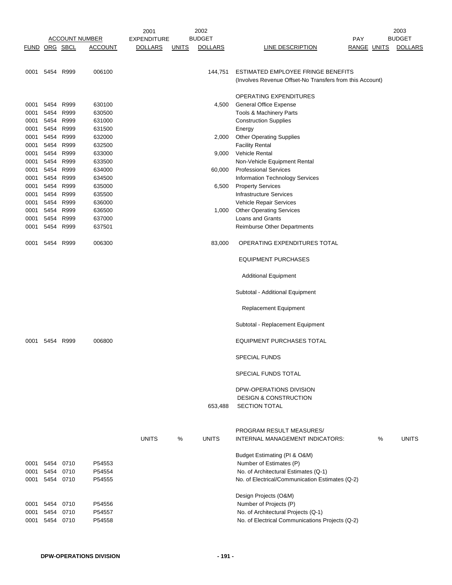|               |                |              |                       | 2001               |              | 2002           |                                                          |                    |   | 2003           |
|---------------|----------------|--------------|-----------------------|--------------------|--------------|----------------|----------------------------------------------------------|--------------------|---|----------------|
|               |                |              | <b>ACCOUNT NUMBER</b> | <b>EXPENDITURE</b> |              | <b>BUDGET</b>  |                                                          | PAY                |   | <b>BUDGET</b>  |
| FUND ORG SBCL |                |              | <b>ACCOUNT</b>        | <b>DOLLARS</b>     | <b>UNITS</b> | <b>DOLLARS</b> | <b>LINE DESCRIPTION</b>                                  | <b>RANGE UNITS</b> |   | <b>DOLLARS</b> |
|               |                |              |                       |                    |              |                |                                                          |                    |   |                |
|               |                |              |                       |                    |              |                |                                                          |                    |   |                |
| 0001          | 5454 R999      |              | 006100                |                    |              | 144,751        | ESTIMATED EMPLOYEE FRINGE BENEFITS                       |                    |   |                |
|               |                |              |                       |                    |              |                | (Involves Revenue Offset-No Transfers from this Account) |                    |   |                |
|               |                |              |                       |                    |              |                | OPERATING EXPENDITURES                                   |                    |   |                |
|               |                |              |                       |                    |              |                |                                                          |                    |   |                |
| 0001          | 5454           | R999         | 630100                |                    |              | 4,500          | <b>General Office Expense</b>                            |                    |   |                |
| 0001          | 5454           | R999<br>R999 | 630500                |                    |              |                | Tools & Machinery Parts<br><b>Construction Supplies</b>  |                    |   |                |
| 0001<br>0001  | 5454           | 5454 R999    | 631000<br>631500      |                    |              |                | Energy                                                   |                    |   |                |
| 0001          | 5454           | R999         | 632000                |                    |              | 2,000          | <b>Other Operating Supplies</b>                          |                    |   |                |
| 0001          | 5454           | R999         | 632500                |                    |              |                | <b>Facility Rental</b>                                   |                    |   |                |
| 0001          | 5454           | R999         | 633000                |                    |              | 9,000          | <b>Vehicle Rental</b>                                    |                    |   |                |
| 0001          | 5454           | R999         | 633500                |                    |              |                | Non-Vehicle Equipment Rental                             |                    |   |                |
| 0001          | 5454           | R999         | 634000                |                    |              | 60,000         | <b>Professional Services</b>                             |                    |   |                |
| 0001          | 5454           | R999         | 634500                |                    |              |                | Information Technology Services                          |                    |   |                |
| 0001          | 5454           | R999         | 635000                |                    |              | 6,500          | <b>Property Services</b>                                 |                    |   |                |
| 0001          | 5454           | R999         | 635500                |                    |              |                | <b>Infrastructure Services</b>                           |                    |   |                |
| 0001          | 5454           | R999         | 636000                |                    |              |                | Vehicle Repair Services                                  |                    |   |                |
| 0001          | 5454           | R999         | 636500                |                    |              | 1,000          | <b>Other Operating Services</b>                          |                    |   |                |
| 0001          | 5454           | R999         | 637000                |                    |              |                | Loans and Grants                                         |                    |   |                |
| 0001          | 5454 R999      |              | 637501                |                    |              |                | <b>Reimburse Other Departments</b>                       |                    |   |                |
|               |                |              |                       |                    |              |                |                                                          |                    |   |                |
| 0001          | 5454           | R999         | 006300                |                    |              | 83,000         | OPERATING EXPENDITURES TOTAL                             |                    |   |                |
|               |                |              |                       |                    |              |                | <b>EQUIPMENT PURCHASES</b>                               |                    |   |                |
|               |                |              |                       |                    |              |                | <b>Additional Equipment</b>                              |                    |   |                |
|               |                |              |                       |                    |              |                | Subtotal - Additional Equipment                          |                    |   |                |
|               |                |              |                       |                    |              |                | <b>Replacement Equipment</b>                             |                    |   |                |
|               |                |              |                       |                    |              |                |                                                          |                    |   |                |
|               |                |              |                       |                    |              |                | Subtotal - Replacement Equipment                         |                    |   |                |
| 0001          | 5454 R999      |              | 006800                |                    |              |                | EQUIPMENT PURCHASES TOTAL                                |                    |   |                |
|               |                |              |                       |                    |              |                | <b>SPECIAL FUNDS</b>                                     |                    |   |                |
|               |                |              |                       |                    |              |                | SPECIAL FUNDS TOTAL                                      |                    |   |                |
|               |                |              |                       |                    |              |                | DPW-OPERATIONS DIVISION                                  |                    |   |                |
|               |                |              |                       |                    |              |                | <b>DESIGN &amp; CONSTRUCTION</b>                         |                    |   |                |
|               |                |              |                       |                    |              | 653,488        | <b>SECTION TOTAL</b>                                     |                    |   |                |
|               |                |              |                       |                    |              |                |                                                          |                    |   |                |
|               |                |              |                       |                    |              |                |                                                          |                    |   |                |
|               |                |              |                       |                    |              |                | PROGRAM RESULT MEASURES/                                 |                    |   |                |
|               |                |              |                       | <b>UNITS</b>       | %            | <b>UNITS</b>   | INTERNAL MANAGEMENT INDICATORS:                          |                    | % | <b>UNITS</b>   |
|               |                |              |                       |                    |              |                |                                                          |                    |   |                |
|               |                |              |                       |                    |              |                | Budget Estimating (PI & O&M)                             |                    |   |                |
|               | 0001 5454 0710 |              | P54553                |                    |              |                | Number of Estimates (P)                                  |                    |   |                |
| 0001          | 5454 0710      |              | P54554                |                    |              |                | No. of Architectural Estimates (Q-1)                     |                    |   |                |
| 0001          | 5454 0710      |              | P54555                |                    |              |                | No. of Electrical/Communication Estimates (Q-2)          |                    |   |                |
|               |                |              |                       |                    |              |                |                                                          |                    |   |                |
| 0001          | 5454           | 0710         | P54556                |                    |              |                | Design Projects (O&M)<br>Number of Projects (P)          |                    |   |                |
| 0001          | 5454 0710      |              | P54557                |                    |              |                | No. of Architectural Projects (Q-1)                      |                    |   |                |
|               | 0001 5454 0710 |              | P54558                |                    |              |                | No. of Electrical Communications Projects (Q-2)          |                    |   |                |
|               |                |              |                       |                    |              |                |                                                          |                    |   |                |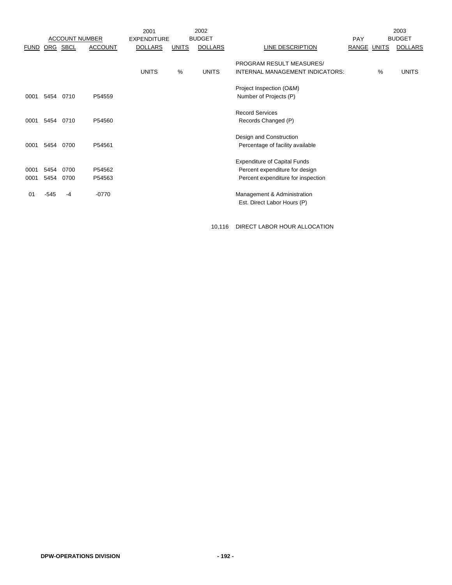|             |      |          |                       | 2001               |              | 2002           |                                     |             |      | 2003           |
|-------------|------|----------|-----------------------|--------------------|--------------|----------------|-------------------------------------|-------------|------|----------------|
|             |      |          | <b>ACCOUNT NUMBER</b> | <b>EXPENDITURE</b> |              | <b>BUDGET</b>  |                                     | <b>PAY</b>  |      | <b>BUDGET</b>  |
| <b>FUND</b> |      | ORG SBCL | <b>ACCOUNT</b>        | <b>DOLLARS</b>     | <b>UNITS</b> | <b>DOLLARS</b> | LINE DESCRIPTION                    | RANGE UNITS |      | <b>DOLLARS</b> |
|             |      |          |                       |                    |              |                | PROGRAM RESULT MEASURES/            |             |      |                |
|             |      |          |                       | <b>UNITS</b>       | %            | <b>UNITS</b>   | INTERNAL MANAGEMENT INDICATORS:     |             | $\%$ | <b>UNITS</b>   |
|             |      |          |                       |                    |              |                | Project Inspection (O&M)            |             |      |                |
| 0001        | 5454 | 0710     | P54559                |                    |              |                | Number of Projects (P)              |             |      |                |
|             |      |          |                       |                    |              |                | <b>Record Services</b>              |             |      |                |
| 0001        | 5454 | 0710     | P54560                |                    |              |                | Records Changed (P)                 |             |      |                |
|             |      |          |                       |                    |              |                | Design and Construction             |             |      |                |
| 0001        | 5454 | 0700     | P54561                |                    |              |                | Percentage of facility available    |             |      |                |
|             |      |          |                       |                    |              |                | <b>Expenditure of Capital Funds</b> |             |      |                |
| 0001        | 5454 | 0700     | P54562                |                    |              |                | Percent expenditure for design      |             |      |                |
| 0001        | 5454 | 0700     | P54563                |                    |              |                | Percent expenditure for inspection  |             |      |                |
| 01          | -545 | -4       | $-0770$               |                    |              |                | Management & Administration         |             |      |                |
|             |      |          |                       |                    |              |                | Est. Direct Labor Hours (P)         |             |      |                |

10,116 DIRECT LABOR HOUR ALLOCATION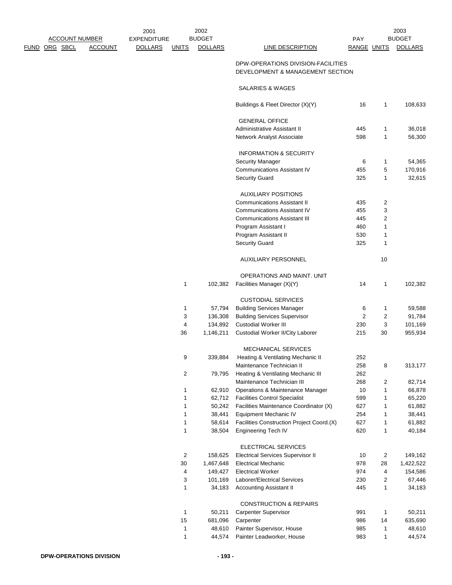|                       |                    | 2001           |                         | 2002           |                                                                        |                    |                | 2003           |
|-----------------------|--------------------|----------------|-------------------------|----------------|------------------------------------------------------------------------|--------------------|----------------|----------------|
| <b>ACCOUNT NUMBER</b> | <b>EXPENDITURE</b> |                | <b>BUDGET</b>           |                | <b>PAY</b>                                                             |                    | <b>BUDGET</b>  |                |
| <u>FUND ORG SBCL</u>  | <b>ACCOUNT</b>     | <b>DOLLARS</b> | <b>UNITS</b>            | <b>DOLLARS</b> | <b>LINE DESCRIPTION</b>                                                | <b>RANGE UNITS</b> |                | <b>DOLLARS</b> |
|                       |                    |                |                         |                | DPW-OPERATIONS DIVISION-FACILITIES<br>DEVELOPMENT & MANAGEMENT SECTION |                    |                |                |
|                       |                    |                |                         |                | SALARIES & WAGES                                                       |                    |                |                |
|                       |                    |                |                         |                | Buildings & Fleet Director (X)(Y)                                      | 16                 | 1              | 108,633        |
|                       |                    |                |                         |                | <b>GENERAL OFFICE</b>                                                  |                    |                |                |
|                       |                    |                |                         |                | Administrative Assistant II                                            | 445                | 1              | 36,018         |
|                       |                    |                |                         |                | Network Analyst Associate                                              | 598                | 1              | 56,300         |
|                       |                    |                |                         |                | <b>INFORMATION &amp; SECURITY</b>                                      |                    |                |                |
|                       |                    |                |                         |                | <b>Security Manager</b>                                                | 6                  | 1              | 54,365         |
|                       |                    |                |                         |                | <b>Communications Assistant IV</b>                                     | 455                | 5              | 170,916        |
|                       |                    |                |                         |                | <b>Security Guard</b>                                                  | 325                | 1              | 32,615         |
|                       |                    |                |                         |                | <b>AUXILIARY POSITIONS</b>                                             |                    |                |                |
|                       |                    |                |                         |                | <b>Communications Assistant II</b>                                     | 435                | 2              |                |
|                       |                    |                |                         |                | <b>Communications Assistant IV</b>                                     | 455                | 3              |                |
|                       |                    |                |                         |                | <b>Communications Assistant III</b>                                    | 445                | $\overline{2}$ |                |
|                       |                    |                |                         |                | Program Assistant I                                                    | 460                | $\mathbf{1}$   |                |
|                       |                    |                |                         |                | Program Assistant II                                                   |                    |                |                |
|                       |                    |                |                         |                |                                                                        | 530<br>325         | 1              |                |
|                       |                    |                |                         |                | <b>Security Guard</b>                                                  |                    | 1              |                |
|                       |                    |                |                         |                | <b>AUXILIARY PERSONNEL</b>                                             |                    | 10             |                |
|                       |                    |                |                         |                | OPERATIONS AND MAINT. UNIT                                             |                    |                |                |
|                       |                    |                | 1                       | 102,382        | Facilities Manager (X)(Y)                                              | 14                 | 1              | 102,382        |
|                       |                    |                |                         |                | <b>CUSTODIAL SERVICES</b>                                              |                    |                |                |
|                       |                    |                | 1                       | 57,794         | <b>Building Services Manager</b>                                       | 6                  | 1              | 59,588         |
|                       |                    |                | 3                       | 136,308        | <b>Building Services Supervisor</b>                                    | $\overline{2}$     | 2              | 91,784         |
|                       |                    |                | $\overline{\mathbf{4}}$ | 134,892        | <b>Custodial Worker III</b>                                            | 230                | 3              | 101,169        |
|                       |                    |                | 36                      | 1,146,211      | Custodial Worker II/City Laborer                                       | 215                | 30             | 955,934        |
|                       |                    |                |                         |                | MECHANICAL SERVICES                                                    |                    |                |                |
|                       |                    |                | 9                       | 339,884        | Heating & Ventilating Mechanic II                                      | 252                |                |                |
|                       |                    |                |                         |                | Maintenance Technician II                                              | 258                | 8              | 313,177        |
|                       |                    |                | 2                       | 79,795         | Heating & Ventilating Mechanic III                                     | 262                |                |                |
|                       |                    |                |                         |                | Maintenance Technician III                                             | 268                | 2              | 82,714         |
|                       |                    |                | 1                       | 62,910         | Operations & Maintenance Manager                                       | 10                 | $\mathbf{1}$   | 66,878         |
|                       |                    |                | 1                       | 62,712         | <b>Facilities Control Specialist</b>                                   | 599                | 1              | 65,220         |
|                       |                    |                | 1                       | 50,242         | Facilities Maintenance Coordinator (X)                                 | 627                | 1              | 61,882         |
|                       |                    |                | 1                       | 38,441         | <b>Equipment Mechanic IV</b>                                           | 254                | 1              | 38,441         |
|                       |                    |                | 1                       | 58,614         | Facilities Construction Project Coord.(X)                              | 627                | 1              | 61,882         |
|                       |                    |                | 1                       | 38,504         | <b>Engineering Tech IV</b>                                             | 620                | $\mathbf{1}$   | 40,184         |
|                       |                    |                |                         |                | ELECTRICAL SERVICES                                                    |                    |                |                |
|                       |                    |                | $\overline{c}$          | 158,625        | <b>Electrical Services Supervisor II</b>                               | 10                 | $\overline{c}$ | 149,162        |
|                       |                    |                | 30                      | 1,467,648      | <b>Electrical Mechanic</b>                                             | 978                | 28             | 1,422,522      |
|                       |                    |                | 4                       | 149,427        | <b>Electrical Worker</b>                                               | 974                | 4              | 154,586        |
|                       |                    |                | 3                       | 101,169        | Laborer/Electrical Services                                            | 230                | 2              | 67,446         |
|                       |                    |                | 1                       | 34,183         | <b>Accounting Assistant II</b>                                         | 445                | 1              | 34,183         |
|                       |                    |                |                         |                |                                                                        |                    |                |                |
|                       |                    |                |                         |                | <b>CONSTRUCTION &amp; REPAIRS</b>                                      |                    |                |                |
|                       |                    |                | 1                       | 50,211         | Carpenter Supervisor                                                   | 991                | $\mathbf{1}$   | 50,211         |
|                       |                    |                | 15                      | 681,096        | Carpenter                                                              | 986                | 14             | 635,690        |
|                       |                    |                | 1                       | 48,610         | Painter Supervisor, House                                              | 985                | $\mathbf{1}$   | 48,610         |
|                       |                    |                | $\mathbf{1}$            | 44,574         | Painter Leadworker, House                                              | 983                | 1              | 44,574         |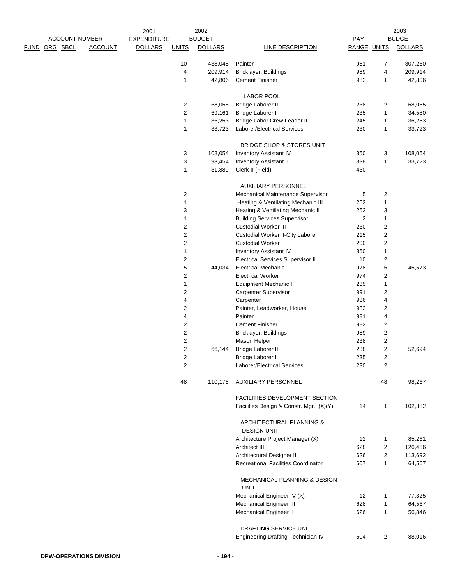|      |                       |                | 2001               |                | 2002           |                                                |                    |                | 2003           |
|------|-----------------------|----------------|--------------------|----------------|----------------|------------------------------------------------|--------------------|----------------|----------------|
|      | <b>ACCOUNT NUMBER</b> |                | <b>EXPENDITURE</b> |                | <b>BUDGET</b>  |                                                | PAY                |                | <b>BUDGET</b>  |
| FUND | ORG SBCL              | <b>ACCOUNT</b> | <b>DOLLARS</b>     | <b>UNITS</b>   | <b>DOLLARS</b> | <b>LINE DESCRIPTION</b>                        | <b>RANGE UNITS</b> |                | <b>DOLLARS</b> |
|      |                       |                |                    | 10             | 438,048        | Painter                                        | 981                | 7              | 307,260        |
|      |                       |                |                    | 4              | 209,914        | Bricklayer, Buildings                          | 989                | 4              | 209,914        |
|      |                       |                |                    | 1              | 42,806         | <b>Cement Finisher</b>                         | 982                | 1              | 42,806         |
|      |                       |                |                    |                |                | <b>LABOR POOL</b>                              |                    |                |                |
|      |                       |                |                    | 2              | 68,055         | <b>Bridge Laborer II</b>                       | 238                | 2              | 68,055         |
|      |                       |                |                    | $\overline{c}$ | 69,161         | Bridge Laborer I                               | 235                | $\mathbf 1$    | 34,580         |
|      |                       |                |                    |                |                |                                                |                    |                |                |
|      |                       |                |                    | 1              | 36,253         | Bridge Labor Crew Leader II                    | 245                | 1              | 36,253         |
|      |                       |                |                    | 1              | 33,723         | <b>Laborer/Electrical Services</b>             | 230                | 1              | 33,723         |
|      |                       |                |                    |                |                | BRIDGE SHOP & STORES UNIT                      |                    |                |                |
|      |                       |                |                    | 3              | 108,054        | <b>Inventory Assistant IV</b>                  | 350                | 3              | 108,054        |
|      |                       |                |                    | 3              | 93,454         | <b>Inventory Assistant II</b>                  | 338                | 1              | 33,723         |
|      |                       |                |                    | 1              | 31,889         | Clerk II (Field)                               | 430                |                |                |
|      |                       |                |                    |                |                | <b>AUXILIARY PERSONNEL</b>                     |                    |                |                |
|      |                       |                |                    | 2              |                | Mechanical Maintenance Supervisor              | 5                  | 2              |                |
|      |                       |                |                    | 1              |                | Heating & Ventilating Mechanic III             | 262                | 1              |                |
|      |                       |                |                    | 3              |                | Heating & Ventilating Mechanic II              | 252                | 3              |                |
|      |                       |                |                    | $\mathbf 1$    |                | <b>Building Services Supervisor</b>            | $\overline{c}$     | $\mathbf 1$    |                |
|      |                       |                |                    | $\overline{c}$ |                | <b>Custodial Worker III</b>                    | 230                | 2              |                |
|      |                       |                |                    | 2              |                | Custodial Worker II-City Laborer               | 215                | 2              |                |
|      |                       |                |                    | $\overline{c}$ |                | <b>Custodial Worker I</b>                      | 200                | 2              |                |
|      |                       |                |                    |                |                |                                                |                    |                |                |
|      |                       |                |                    | 1              |                | <b>Inventory Assistant IV</b>                  | 350                | $\mathbf 1$    |                |
|      |                       |                |                    | 2              |                | <b>Electrical Services Supervisor II</b>       | 10                 | 2              |                |
|      |                       |                |                    | 5              | 44,034         | <b>Electrical Mechanic</b>                     | 978                | 5              | 45,573         |
|      |                       |                |                    | 2              |                | <b>Electrical Worker</b>                       | 974                | 2              |                |
|      |                       |                |                    | 1              |                | Equipment Mechanic I                           | 235                | 1              |                |
|      |                       |                |                    | 2              |                | Carpenter Supervisor                           | 991                | 2              |                |
|      |                       |                |                    | 4              |                | Carpenter                                      | 986                | 4              |                |
|      |                       |                |                    | 2              |                | Painter, Leadworker, House                     | 983                | 2              |                |
|      |                       |                |                    | 4              |                | Painter                                        | 981                | 4              |                |
|      |                       |                |                    | 2              |                | <b>Cement Finisher</b>                         | 982                | 2              |                |
|      |                       |                |                    | 2              |                | Bricklayer, Buildings                          | 989                | 2              |                |
|      |                       |                |                    | $\overline{c}$ |                | Mason Helper                                   | 238                | $\overline{c}$ |                |
|      |                       |                |                    | 2              | 66,144         | <b>Bridge Laborer II</b>                       | 238                | 2              | 52,694         |
|      |                       |                |                    | 2              |                | Bridge Laborer I                               | 235                | 2              |                |
|      |                       |                |                    | 2              |                | Laborer/Electrical Services                    | 230                | 2              |                |
|      |                       |                |                    | 48             | 110,178        | AUXILIARY PERSONNEL                            |                    | 48             | 98,267         |
|      |                       |                |                    |                |                | <b>FACILITIES DEVELOPMENT SECTION</b>          |                    |                |                |
|      |                       |                |                    |                |                | Facilities Design & Constr. Mgr. (X)(Y)        | 14                 | 1              | 102,382        |
|      |                       |                |                    |                |                | ARCHITECTURAL PLANNING &<br><b>DESIGN UNIT</b> |                    |                |                |
|      |                       |                |                    |                |                | Architecture Project Manager (X)               | 12                 | 1              | 85,261         |
|      |                       |                |                    |                |                | Architect III                                  | 628                | 2              | 126,486        |
|      |                       |                |                    |                |                | Architectural Designer II                      | 626                | 2              | 113,692        |
|      |                       |                |                    |                |                | <b>Recreational Facilities Coordinator</b>     | 607                | 1              | 64,567         |
|      |                       |                |                    |                |                |                                                |                    |                |                |
|      |                       |                |                    |                |                | MECHANICAL PLANNING & DESIGN<br><b>UNIT</b>    |                    |                |                |
|      |                       |                |                    |                |                | Mechanical Engineer IV (X)                     | 12                 | 1              | 77,325         |
|      |                       |                |                    |                |                | <b>Mechanical Engineer III</b>                 | 628                | 1              | 64,567         |
|      |                       |                |                    |                |                | Mechanical Engineer II                         | 626                | 1              | 56,846         |
|      |                       |                |                    |                |                | DRAFTING SERVICE UNIT                          |                    |                |                |
|      |                       |                |                    |                |                | Engineering Drafting Technician IV             | 604                | 2              | 88,016         |
|      |                       |                |                    |                |                |                                                |                    |                |                |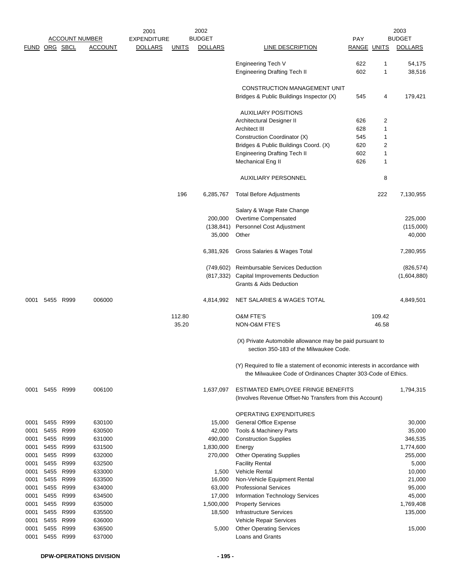|              |               |              | <b>ACCOUNT NUMBER</b> | 2001<br><b>EXPENDITURE</b> |              | 2002<br><b>BUDGET</b> |                                                                                                                                           | <b>PAY</b>         |                | 2003<br><b>BUDGET</b> |
|--------------|---------------|--------------|-----------------------|----------------------------|--------------|-----------------------|-------------------------------------------------------------------------------------------------------------------------------------------|--------------------|----------------|-----------------------|
|              | FUND ORG SBCL |              | <b>ACCOUNT</b>        | <b>DOLLARS</b>             | <u>UNITS</u> | <b>DOLLARS</b>        | <b>LINE DESCRIPTION</b>                                                                                                                   | <b>RANGE UNITS</b> |                | <b>DOLLARS</b>        |
|              |               |              |                       |                            |              |                       | Engineering Tech V                                                                                                                        | 622                | 1              | 54,175                |
|              |               |              |                       |                            |              |                       | <b>Engineering Drafting Tech II</b>                                                                                                       | 602                | 1              | 38,516                |
|              |               |              |                       |                            |              |                       | CONSTRUCTION MANAGEMENT UNIT                                                                                                              |                    |                |                       |
|              |               |              |                       |                            |              |                       | Bridges & Public Buildings Inspector (X)                                                                                                  | 545                | 4              | 179,421               |
|              |               |              |                       |                            |              |                       | <b>AUXILIARY POSITIONS</b>                                                                                                                |                    |                |                       |
|              |               |              |                       |                            |              |                       | Architectural Designer II                                                                                                                 | 626                | 2              |                       |
|              |               |              |                       |                            |              |                       | Architect III                                                                                                                             | 628                | 1              |                       |
|              |               |              |                       |                            |              |                       | Construction Coordinator (X)                                                                                                              | 545                | 1              |                       |
|              |               |              |                       |                            |              |                       | Bridges & Public Buildings Coord. (X)                                                                                                     | 620                | $\overline{2}$ |                       |
|              |               |              |                       |                            |              |                       | <b>Engineering Drafting Tech II</b>                                                                                                       | 602                | $\mathbf{1}$   |                       |
|              |               |              |                       |                            |              |                       | Mechanical Eng II                                                                                                                         | 626                | 1              |                       |
|              |               |              |                       |                            |              |                       | <b>AUXILIARY PERSONNEL</b>                                                                                                                |                    | 8              |                       |
|              |               |              |                       |                            | 196          | 6,285,767             | <b>Total Before Adjustments</b>                                                                                                           |                    | 222            | 7,130,955             |
|              |               |              |                       |                            |              |                       | Salary & Wage Rate Change                                                                                                                 |                    |                |                       |
|              |               |              |                       |                            |              | 200,000               | Overtime Compensated                                                                                                                      |                    |                | 225,000               |
|              |               |              |                       |                            |              | (138, 841)            | Personnel Cost Adjustment                                                                                                                 |                    |                | (115,000)             |
|              |               |              |                       |                            |              | 35,000                | Other                                                                                                                                     |                    |                | 40,000                |
|              |               |              |                       |                            |              | 6,381,926             | Gross Salaries & Wages Total                                                                                                              |                    |                | 7,280,955             |
|              |               |              |                       |                            |              | (749, 602)            | Reimbursable Services Deduction                                                                                                           |                    |                | (826, 574)            |
|              |               |              |                       |                            |              | (817,332)             | Capital Improvements Deduction                                                                                                            |                    |                | (1,604,880)           |
|              |               |              |                       |                            |              |                       | Grants & Aids Deduction                                                                                                                   |                    |                |                       |
| 0001         |               | 5455 R999    | 006000                |                            |              | 4,814,992             | NET SALARIES & WAGES TOTAL                                                                                                                |                    |                | 4,849,501             |
|              |               |              |                       |                            | 112.80       |                       | <b>O&amp;M FTE'S</b>                                                                                                                      |                    | 109.42         |                       |
|              |               |              |                       |                            | 35.20        |                       | NON-O&M FTE'S                                                                                                                             |                    | 46.58          |                       |
|              |               |              |                       |                            |              |                       | (X) Private Automobile allowance may be paid pursuant to<br>section 350-183 of the Milwaukee Code.                                        |                    |                |                       |
|              |               |              |                       |                            |              |                       | (Y) Required to file a statement of economic interests in accordance with<br>the Milwaukee Code of Ordinances Chapter 303-Code of Ethics. |                    |                |                       |
| 0001         |               | 5455 R999    | 006100                |                            |              | 1,637,097             | ESTIMATED EMPLOYEE FRINGE BENEFITS<br>(Involves Revenue Offset-No Transfers from this Account)                                            |                    |                | 1,794,315             |
|              |               |              |                       |                            |              |                       | OPERATING EXPENDITURES                                                                                                                    |                    |                |                       |
| 0001         |               | 5455 R999    | 630100                |                            |              | 15,000                | <b>General Office Expense</b>                                                                                                             |                    |                | 30,000                |
| 0001         |               | 5455 R999    | 630500                |                            |              | 42,000                | Tools & Machinery Parts                                                                                                                   |                    |                | 35,000                |
| 0001         | 5455          | R999         | 631000                |                            |              | 490,000               | <b>Construction Supplies</b>                                                                                                              |                    |                | 346,535               |
| 0001         | 5455          | R999         | 631500                |                            |              | 1,830,000             | Energy                                                                                                                                    |                    |                | 1,774,600             |
| 0001         | 5455          | R999         | 632000                |                            |              | 270,000               | <b>Other Operating Supplies</b>                                                                                                           |                    |                | 255,000               |
| 0001         | 5455          | R999         | 632500                |                            |              |                       | <b>Facility Rental</b>                                                                                                                    |                    |                | 5,000                 |
| 0001         | 5455          | R999         | 633000                |                            |              | 1,500                 | Vehicle Rental                                                                                                                            |                    |                | 10,000                |
| 0001         |               | 5455 R999    | 633500                |                            |              | 16,000                | Non-Vehicle Equipment Rental                                                                                                              |                    |                | 21,000                |
| 0001         | 5455<br>5455  | R999<br>R999 | 634000                |                            |              | 63,000<br>17,000      | <b>Professional Services</b>                                                                                                              |                    |                | 95,000                |
| 0001<br>0001 |               | 5455 R999    | 634500<br>635000      |                            |              | 1,500,000             | Information Technology Services<br><b>Property Services</b>                                                                               |                    |                | 45,000<br>1,769,408   |
| 0001         | 5455          | R999         | 635500                |                            |              | 18,500                | Infrastructure Services                                                                                                                   |                    |                | 135,000               |
| 0001         | 5455          | R999         | 636000                |                            |              |                       | Vehicle Repair Services                                                                                                                   |                    |                |                       |
| 0001         | 5455          | R999         | 636500                |                            |              | 5,000                 | <b>Other Operating Services</b>                                                                                                           |                    |                | 15,000                |
| 0001         | 5455          | R999         | 637000                |                            |              |                       | Loans and Grants                                                                                                                          |                    |                |                       |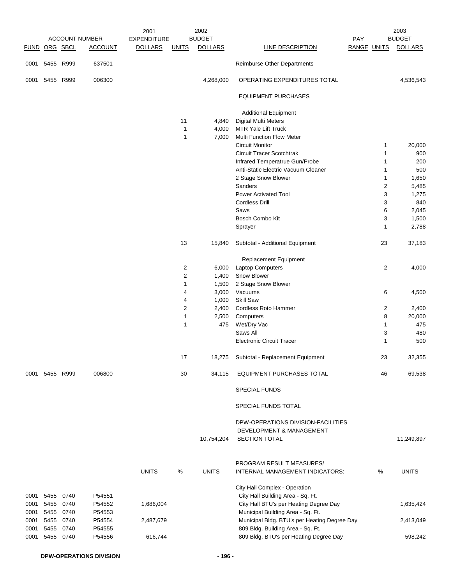|               |           |           |                       | 2001               |                | 2002           |                                              |                    | 2003                    |
|---------------|-----------|-----------|-----------------------|--------------------|----------------|----------------|----------------------------------------------|--------------------|-------------------------|
|               |           |           | <b>ACCOUNT NUMBER</b> | <b>EXPENDITURE</b> |                | <b>BUDGET</b>  |                                              | PAY                | <b>BUDGET</b>           |
| FUND ORG SBCL |           |           | <b>ACCOUNT</b>        | <b>DOLLARS</b>     | <b>UNITS</b>   | <b>DOLLARS</b> | LINE DESCRIPTION                             | <b>RANGE UNITS</b> | <b>DOLLARS</b>          |
| 0001          | 5455 R999 |           | 637501                |                    |                |                | Reimburse Other Departments                  |                    |                         |
| 0001          | 5455 R999 |           | 006300                |                    |                | 4,268,000      | OPERATING EXPENDITURES TOTAL                 |                    | 4,536,543               |
|               |           |           |                       |                    |                |                | <b>EQUIPMENT PURCHASES</b>                   |                    |                         |
|               |           |           |                       |                    |                |                | <b>Additional Equipment</b>                  |                    |                         |
|               |           |           |                       |                    | 11             | 4,840          | <b>Digital Multi Meters</b>                  |                    |                         |
|               |           |           |                       |                    | $\mathbf{1}$   | 4,000          | <b>MTR Yale Lift Truck</b>                   |                    |                         |
|               |           |           |                       |                    | 1              | 7,000          | Multi Function Flow Meter                    |                    |                         |
|               |           |           |                       |                    |                |                | <b>Circuit Monitor</b>                       |                    | $\mathbf{1}$<br>20,000  |
|               |           |           |                       |                    |                |                | <b>Circuit Tracer Scotchtrak</b>             |                    | 1<br>900                |
|               |           |           |                       |                    |                |                | Infrared Temperatrue Gun/Probe               |                    | 200<br>1                |
|               |           |           |                       |                    |                |                | Anti-Static Electric Vacuum Cleaner          |                    | 500<br>1                |
|               |           |           |                       |                    |                |                | 2 Stage Snow Blower                          |                    | 1<br>1,650              |
|               |           |           |                       |                    |                |                | Sanders                                      |                    | $\overline{2}$<br>5,485 |
|               |           |           |                       |                    |                |                | <b>Power Activated Tool</b>                  |                    | 3<br>1,275              |
|               |           |           |                       |                    |                |                | <b>Cordless Drill</b>                        |                    | 3<br>840                |
|               |           |           |                       |                    |                |                | Saws                                         |                    | 6<br>2,045              |
|               |           |           |                       |                    |                |                | Bosch Combo Kit                              |                    | 3<br>1,500              |
|               |           |           |                       |                    |                |                |                                              |                    | 1<br>2,788              |
|               |           |           |                       |                    |                |                | Sprayer                                      |                    |                         |
|               |           |           |                       |                    | 13             | 15,840         | Subtotal - Additional Equipment              | 23                 | 37,183                  |
|               |           |           |                       |                    |                |                | <b>Replacement Equipment</b>                 |                    |                         |
|               |           |           |                       |                    | 2              | 6,000          | <b>Laptop Computers</b>                      |                    | 2<br>4,000              |
|               |           |           |                       |                    | $\overline{c}$ | 1,400          | Snow Blower                                  |                    |                         |
|               |           |           |                       |                    | 1              | 1,500          | 2 Stage Snow Blower                          |                    |                         |
|               |           |           |                       |                    | 4              | 3,000          | Vacuums                                      |                    | 6<br>4,500              |
|               |           |           |                       |                    | 4              | 1,000          | Skill Saw                                    |                    |                         |
|               |           |           |                       |                    | 2              | 2,400          | Cordless Roto Hammer                         |                    | 2<br>2,400              |
|               |           |           |                       |                    | 1              | 2,500          | Computers                                    |                    | 8<br>20,000             |
|               |           |           |                       |                    | 1              | 475            | Wet/Dry Vac                                  |                    | 1<br>475                |
|               |           |           |                       |                    |                |                | Saws All                                     |                    | 3<br>480                |
|               |           |           |                       |                    |                |                | <b>Electronic Circuit Tracer</b>             |                    | 1<br>500                |
|               |           |           |                       |                    | 17             | 18,275         | Subtotal - Replacement Equipment             |                    | 32,355<br>23            |
| 0001          | 5455      | R999      | 006800                |                    | 30             | 34,115         | EQUIPMENT PURCHASES TOTAL                    | 46                 | 69,538                  |
|               |           |           |                       |                    |                |                | <b>SPECIAL FUNDS</b>                         |                    |                         |
|               |           |           |                       |                    |                |                | SPECIAL FUNDS TOTAL                          |                    |                         |
|               |           |           |                       |                    |                |                | DPW-OPERATIONS DIVISION-FACILITIES           |                    |                         |
|               |           |           |                       |                    |                |                | DEVELOPMENT & MANAGEMENT                     |                    |                         |
|               |           |           |                       |                    |                | 10,754,204     | <b>SECTION TOTAL</b>                         |                    | 11,249,897              |
|               |           |           |                       |                    |                |                |                                              |                    |                         |
|               |           |           |                       |                    |                |                | PROGRAM RESULT MEASURES/                     |                    |                         |
|               |           |           |                       | <b>UNITS</b>       | %              | <b>UNITS</b>   | INTERNAL MANAGEMENT INDICATORS:              | %                  | <b>UNITS</b>            |
|               |           |           |                       |                    |                |                | City Hall Complex - Operation                |                    |                         |
| 0001          | 5455      | 0740      | P54551                |                    |                |                | City Hall Building Area - Sq. Ft.            |                    |                         |
| 0001          | 5455 0740 |           | P54552                | 1,686,004          |                |                | City Hall BTU's per Heating Degree Day       |                    | 1,635,424               |
| 0001          | 5455 0740 |           | P54553                |                    |                |                | Municipal Building Area - Sq. Ft.            |                    |                         |
| 0001          |           | 5455 0740 | P54554                | 2,487,679          |                |                | Municipal Bldg. BTU's per Heating Degree Day |                    | 2,413,049               |
| 0001          | 5455      | 0740      | P54555                |                    |                |                | 809 Bldg. Building Area - Sq. Ft.            |                    |                         |
| 0001          |           | 5455 0740 | P54556                | 616,744            |                |                | 809 Bldg. BTU's per Heating Degree Day       |                    | 598,242                 |
|               |           |           |                       |                    |                |                |                                              |                    |                         |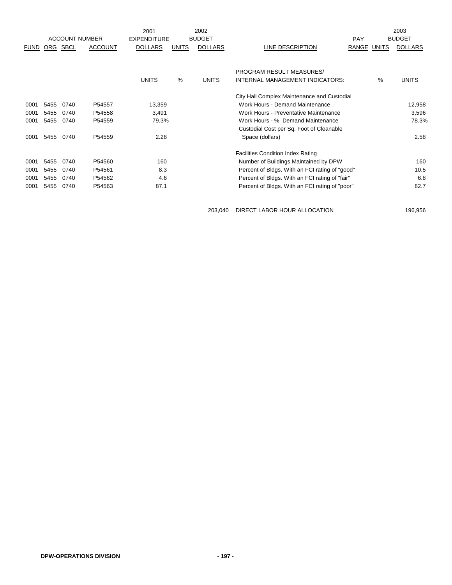|             |      |                       |                | 2001               |              | 2002           |                                                |             |               | 2003           |
|-------------|------|-----------------------|----------------|--------------------|--------------|----------------|------------------------------------------------|-------------|---------------|----------------|
|             |      | <b>ACCOUNT NUMBER</b> |                | <b>EXPENDITURE</b> |              | <b>BUDGET</b>  |                                                | <b>PAY</b>  |               | <b>BUDGET</b>  |
| <b>FUND</b> | ORG  | SBCL                  | <b>ACCOUNT</b> | <b>DOLLARS</b>     | <b>UNITS</b> | <b>DOLLARS</b> | LINE DESCRIPTION                               | RANGE UNITS |               | <b>DOLLARS</b> |
|             |      |                       |                |                    |              |                |                                                |             |               |                |
|             |      |                       |                |                    |              |                | <b>PROGRAM RESULT MEASURES/</b>                |             |               |                |
|             |      |                       |                | <b>UNITS</b>       | %            | <b>UNITS</b>   | INTERNAL MANAGEMENT INDICATORS:                |             | $\frac{0}{0}$ | <b>UNITS</b>   |
|             |      |                       |                |                    |              |                | City Hall Complex Maintenance and Custodial    |             |               |                |
| 0001        | 5455 | 0740                  | P54557         | 13,359             |              |                | Work Hours - Demand Maintenance                |             |               | 12,958         |
| 0001        | 5455 | 0740                  | P54558         | 3,491              |              |                | Work Hours - Preventative Maintenance          |             |               | 3,596          |
| 0001        | 5455 | 0740                  | P54559         | 79.3%              |              |                | Work Hours - % Demand Maintenance              |             |               | 78.3%          |
|             |      |                       |                |                    |              |                | Custodial Cost per Sq. Foot of Cleanable       |             |               |                |
| 0001        | 5455 | 0740                  | P54559         | 2.28               |              |                | Space (dollars)                                |             |               | 2.58           |
|             |      |                       |                |                    |              |                | <b>Facilities Condition Index Rating</b>       |             |               |                |
| 0001        | 5455 | 0740                  | P54560         | 160                |              |                | Number of Buildings Maintained by DPW          |             |               | 160            |
| 0001        | 5455 | 0740                  | P54561         | 8.3                |              |                | Percent of Bldgs. With an FCI rating of "good" |             |               | 10.5           |
| 0001        | 5455 | 0740                  | P54562         | 4.6                |              |                | Percent of Bldgs. With an FCI rating of "fair" |             |               | 6.8            |
| 0001        | 5455 | 0740                  | P54563         | 87.1               |              |                | Percent of Bldgs. With an FCI rating of "poor" |             |               | 82.7           |
|             |      |                       |                |                    |              |                |                                                |             |               |                |

203,040 DIRECT LABOR HOUR ALLOCATION 196,956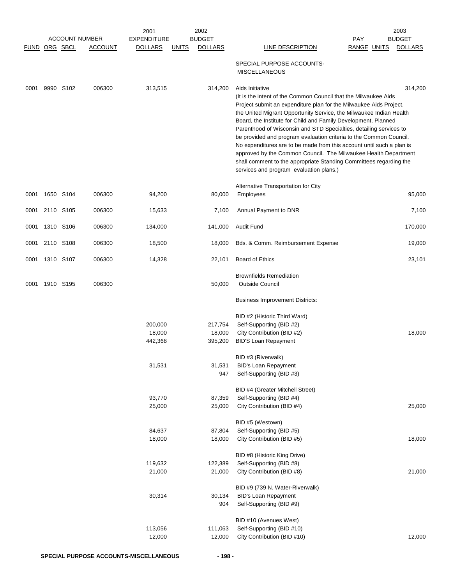|                      |           |           |                       | 2001                         |              | 2002                         |                                                                                                                                                                                                                                                                                                                                                                                                                                                                                                                                                                                                                                                                                                             |                    | 2003           |
|----------------------|-----------|-----------|-----------------------|------------------------------|--------------|------------------------------|-------------------------------------------------------------------------------------------------------------------------------------------------------------------------------------------------------------------------------------------------------------------------------------------------------------------------------------------------------------------------------------------------------------------------------------------------------------------------------------------------------------------------------------------------------------------------------------------------------------------------------------------------------------------------------------------------------------|--------------------|----------------|
|                      |           |           | <b>ACCOUNT NUMBER</b> | <b>EXPENDITURE</b>           |              | <b>BUDGET</b>                |                                                                                                                                                                                                                                                                                                                                                                                                                                                                                                                                                                                                                                                                                                             | <b>PAY</b>         | <b>BUDGET</b>  |
| <b>FUND ORG SBCL</b> |           |           | <b>ACCOUNT</b>        | <b>DOLLARS</b>               | <b>UNITS</b> | <b>DOLLARS</b>               | <b>LINE DESCRIPTION</b>                                                                                                                                                                                                                                                                                                                                                                                                                                                                                                                                                                                                                                                                                     | <b>RANGE UNITS</b> | <b>DOLLARS</b> |
|                      |           |           |                       |                              |              |                              | SPECIAL PURPOSE ACCOUNTS-<br><b>MISCELLANEOUS</b>                                                                                                                                                                                                                                                                                                                                                                                                                                                                                                                                                                                                                                                           |                    |                |
| 0001                 |           | 9990 S102 | 006300                | 313,515                      |              | 314,200                      | Aids Initiative<br>(It is the intent of the Common Council that the Milwaukee Aids)<br>Project submit an expenditure plan for the Milwaukee Aids Project,<br>the United Migrant Opportunity Service, the Milwaukee Indian Health<br>Board, the Institute for Child and Family Development, Planned<br>Parenthood of Wisconsin and STD Specialties, detailing services to<br>be provided and program evaluation criteria to the Common Council.<br>No expenditures are to be made from this account until such a plan is<br>approved by the Common Council. The Milwaukee Health Department<br>shall comment to the appropriate Standing Committees regarding the<br>services and program evaluation plans.) |                    | 314,200        |
| 0001                 |           | 1650 S104 | 006300                | 94,200                       |              | 80,000                       | Alternative Transportation for City<br><b>Employees</b>                                                                                                                                                                                                                                                                                                                                                                                                                                                                                                                                                                                                                                                     |                    | 95,000         |
| 0001                 | 2110 S105 |           | 006300                | 15,633                       |              | 7,100                        | Annual Payment to DNR                                                                                                                                                                                                                                                                                                                                                                                                                                                                                                                                                                                                                                                                                       |                    | 7,100          |
| 0001                 |           | 1310 S106 | 006300                | 134,000                      |              | 141,000                      | Audit Fund                                                                                                                                                                                                                                                                                                                                                                                                                                                                                                                                                                                                                                                                                                  |                    | 170,000        |
| 0001                 |           | 2110 S108 | 006300                | 18,500                       |              | 18,000                       | Bds. & Comm. Reimbursement Expense                                                                                                                                                                                                                                                                                                                                                                                                                                                                                                                                                                                                                                                                          |                    | 19,000         |
| 0001                 | 1310 S107 |           | 006300                | 14,328                       |              | 22,101                       | Board of Ethics                                                                                                                                                                                                                                                                                                                                                                                                                                                                                                                                                                                                                                                                                             |                    | 23,101         |
| 0001                 | 1910 S195 |           | 006300                |                              |              | 50,000                       | <b>Brownfields Remediation</b><br><b>Outside Council</b>                                                                                                                                                                                                                                                                                                                                                                                                                                                                                                                                                                                                                                                    |                    |                |
|                      |           |           |                       |                              |              |                              | <b>Business Improvement Districts:</b>                                                                                                                                                                                                                                                                                                                                                                                                                                                                                                                                                                                                                                                                      |                    |                |
|                      |           |           |                       | 200,000<br>18,000<br>442,368 |              | 217,754<br>18,000<br>395,200 | BID #2 (Historic Third Ward)<br>Self-Supporting (BID #2)<br>City Contribution (BID #2)<br><b>BID'S Loan Repayment</b>                                                                                                                                                                                                                                                                                                                                                                                                                                                                                                                                                                                       |                    | 18,000         |
|                      |           |           |                       | 31,531                       |              | 31,531<br>947                | BID #3 (Riverwalk)<br><b>BID's Loan Repayment</b><br>Self-Supporting (BID #3)                                                                                                                                                                                                                                                                                                                                                                                                                                                                                                                                                                                                                               |                    |                |
|                      |           |           |                       | 93,770<br>25,000             |              | 87,359<br>25,000             | BID #4 (Greater Mitchell Street)<br>Self-Supporting (BID #4)<br>City Contribution (BID #4)                                                                                                                                                                                                                                                                                                                                                                                                                                                                                                                                                                                                                  |                    | 25,000         |
|                      |           |           |                       | 84,637                       |              | 87,804                       | BID #5 (Westown)<br>Self-Supporting (BID #5)                                                                                                                                                                                                                                                                                                                                                                                                                                                                                                                                                                                                                                                                |                    |                |
|                      |           |           |                       | 18,000                       |              | 18,000                       | City Contribution (BID #5)<br>BID #8 (Historic King Drive)                                                                                                                                                                                                                                                                                                                                                                                                                                                                                                                                                                                                                                                  |                    | 18,000         |
|                      |           |           |                       | 119,632<br>21,000            |              | 122,389<br>21,000            | Self-Supporting (BID #8)<br>City Contribution (BID #8)                                                                                                                                                                                                                                                                                                                                                                                                                                                                                                                                                                                                                                                      |                    | 21,000         |
|                      |           |           |                       | 30,314                       |              | 30,134<br>904                | BID #9 (739 N. Water-Riverwalk)<br><b>BID's Loan Repayment</b><br>Self-Supporting (BID #9)                                                                                                                                                                                                                                                                                                                                                                                                                                                                                                                                                                                                                  |                    |                |
|                      |           |           |                       | 113,056<br>12,000            |              | 111,063<br>12,000            | BID #10 (Avenues West)<br>Self-Supporting (BID #10)<br>City Contribution (BID #10)                                                                                                                                                                                                                                                                                                                                                                                                                                                                                                                                                                                                                          |                    | 12,000         |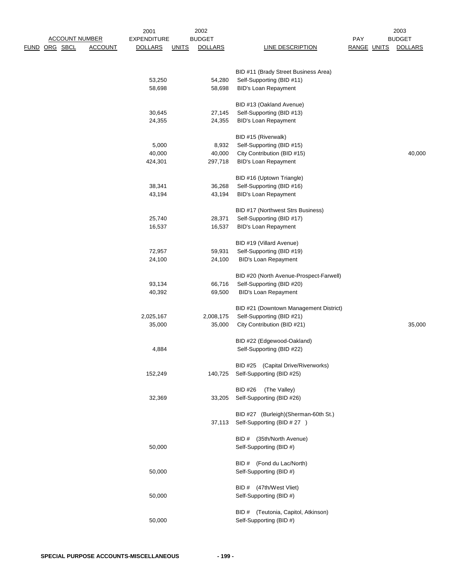| <b>ACCOUNT NUMBER</b><br>ORG SBCL<br>FUND | 2001<br><b>EXPENDITURE</b><br><b>ACCOUNT</b><br><b>DOLLARS</b> | 2002<br><b>BUDGET</b><br><b>DOLLARS</b><br><b>UNITS</b> | LINE DESCRIPTION                                                    | PAY<br><b>RANGE UNITS</b> | 2003<br><b>BUDGET</b><br><b>DOLLARS</b> |
|-------------------------------------------|----------------------------------------------------------------|---------------------------------------------------------|---------------------------------------------------------------------|---------------------------|-----------------------------------------|
|                                           |                                                                |                                                         |                                                                     |                           |                                         |
|                                           | 53,250                                                         | 54,280                                                  | BID #11 (Brady Street Business Area)<br>Self-Supporting (BID #11)   |                           |                                         |
|                                           | 58,698                                                         | 58,698                                                  | <b>BID's Loan Repayment</b>                                         |                           |                                         |
|                                           |                                                                |                                                         | BID #13 (Oakland Avenue)                                            |                           |                                         |
|                                           | 30,645<br>24,355                                               | 27,145<br>24,355                                        | Self-Supporting (BID #13)<br><b>BID's Loan Repayment</b>            |                           |                                         |
|                                           |                                                                |                                                         |                                                                     |                           |                                         |
|                                           | 5,000                                                          | 8,932                                                   | BID #15 (Riverwalk)<br>Self-Supporting (BID #15)                    |                           |                                         |
|                                           | 40,000                                                         | 40,000                                                  | City Contribution (BID #15)                                         |                           | 40,000                                  |
|                                           | 424,301                                                        | 297,718                                                 | <b>BID's Loan Repayment</b>                                         |                           |                                         |
|                                           |                                                                |                                                         | BID #16 (Uptown Triangle)                                           |                           |                                         |
|                                           | 38,341                                                         | 36,268                                                  | Self-Supporting (BID #16)                                           |                           |                                         |
|                                           | 43,194                                                         | 43,194                                                  | BID's Loan Repayment                                                |                           |                                         |
|                                           |                                                                |                                                         | BID #17 (Northwest Strs Business)                                   |                           |                                         |
|                                           | 25,740                                                         | 28,371                                                  | Self-Supporting (BID #17)                                           |                           |                                         |
|                                           | 16,537                                                         | 16,537                                                  | <b>BID's Loan Repayment</b>                                         |                           |                                         |
|                                           |                                                                |                                                         | BID #19 (Villard Avenue)                                            |                           |                                         |
|                                           | 72,957                                                         | 59,931                                                  | Self-Supporting (BID #19)                                           |                           |                                         |
|                                           | 24,100                                                         | 24,100                                                  | <b>BID's Loan Repayment</b>                                         |                           |                                         |
|                                           |                                                                |                                                         | BID #20 (North Avenue-Prospect-Farwell)                             |                           |                                         |
|                                           | 93,134<br>40,392                                               | 66,716<br>69,500                                        | Self-Supporting (BID #20)<br><b>BID's Loan Repayment</b>            |                           |                                         |
|                                           |                                                                |                                                         |                                                                     |                           |                                         |
|                                           | 2,025,167                                                      | 2,008,175                                               | BID #21 (Downtown Management District)<br>Self-Supporting (BID #21) |                           |                                         |
|                                           | 35,000                                                         | 35,000                                                  | City Contribution (BID #21)                                         |                           | 35,000                                  |
|                                           |                                                                |                                                         |                                                                     |                           |                                         |
|                                           | 4,884                                                          |                                                         | BID #22 (Edgewood-Oakland)<br>Self-Supporting (BID #22)             |                           |                                         |
|                                           |                                                                |                                                         | BID #25 (Capital Drive/Riverworks)                                  |                           |                                         |
|                                           | 152,249                                                        | 140,725                                                 | Self-Supporting (BID #25)                                           |                           |                                         |
|                                           |                                                                |                                                         | (The Valley)<br><b>BID #26</b>                                      |                           |                                         |
|                                           | 32,369                                                         | 33,205                                                  | Self-Supporting (BID #26)                                           |                           |                                         |
|                                           |                                                                |                                                         | BID #27 (Burleigh) (Sherman-60th St.)                               |                           |                                         |
|                                           |                                                                | 37,113                                                  | Self-Supporting (BID # 27 )                                         |                           |                                         |
|                                           |                                                                |                                                         | BID # (35th/North Avenue)                                           |                           |                                         |
|                                           | 50,000                                                         |                                                         | Self-Supporting (BID #)                                             |                           |                                         |
|                                           |                                                                |                                                         | BID # (Fond du Lac/North)                                           |                           |                                         |
|                                           | 50,000                                                         |                                                         | Self-Supporting (BID #)                                             |                           |                                         |
|                                           |                                                                |                                                         | BID # (47th/West Vliet)                                             |                           |                                         |
|                                           | 50,000                                                         |                                                         | Self-Supporting (BID #)                                             |                           |                                         |
|                                           |                                                                |                                                         | BID # (Teutonia, Capitol, Atkinson)                                 |                           |                                         |
|                                           | 50,000                                                         |                                                         | Self-Supporting (BID #)                                             |                           |                                         |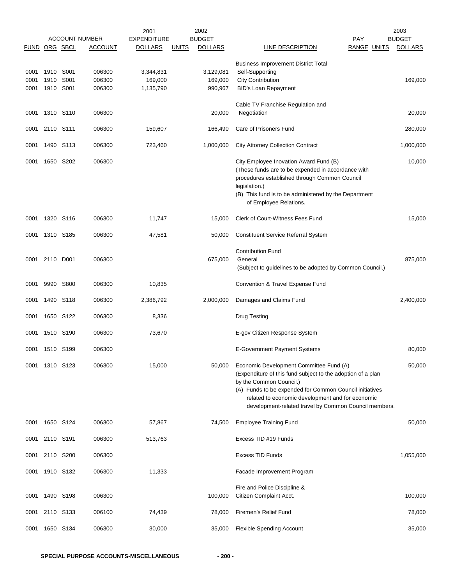|               |              |              |                                         | 2001                                 |              | 2002                            |                                                                                                                                                                      |                                  | 2003                            |
|---------------|--------------|--------------|-----------------------------------------|--------------------------------------|--------------|---------------------------------|----------------------------------------------------------------------------------------------------------------------------------------------------------------------|----------------------------------|---------------------------------|
| FUND ORG SBCL |              |              | <b>ACCOUNT NUMBER</b><br><b>ACCOUNT</b> | <b>EXPENDITURE</b><br><b>DOLLARS</b> | <b>UNITS</b> | <b>BUDGET</b><br><b>DOLLARS</b> | LINE DESCRIPTION                                                                                                                                                     | <b>PAY</b><br><b>RANGE UNITS</b> | <b>BUDGET</b><br><b>DOLLARS</b> |
|               |              |              |                                         |                                      |              |                                 |                                                                                                                                                                      |                                  |                                 |
|               |              |              |                                         |                                      |              |                                 | <b>Business Improvement District Total</b>                                                                                                                           |                                  |                                 |
| 0001<br>0001  | 1910<br>1910 | S001<br>S001 | 006300<br>006300                        | 3,344,831<br>169,000                 |              | 3,129,081<br>169,000            | Self-Supporting<br><b>City Contribution</b>                                                                                                                          |                                  | 169,000                         |
| 0001          | 1910 S001    |              | 006300                                  | 1,135,790                            |              | 990,967                         | <b>BID's Loan Repayment</b>                                                                                                                                          |                                  |                                 |
|               |              |              |                                         |                                      |              |                                 |                                                                                                                                                                      |                                  |                                 |
|               |              |              |                                         |                                      |              |                                 | Cable TV Franchise Regulation and                                                                                                                                    |                                  |                                 |
| 0001          | 1310 S110    |              | 006300                                  |                                      |              | 20,000                          | Negotiation                                                                                                                                                          |                                  | 20,000                          |
| 0001          | 2110 S111    |              | 006300                                  | 159,607                              |              | 166,490                         | Care of Prisoners Fund                                                                                                                                               |                                  | 280,000                         |
|               |              |              |                                         |                                      |              |                                 |                                                                                                                                                                      |                                  |                                 |
| 0001          | 1490         | S113         | 006300                                  | 723,460                              |              | 1,000,000                       | <b>City Attorney Collection Contract</b>                                                                                                                             |                                  | 1,000,000                       |
| 0001          |              | 1650 S202    | 006300                                  |                                      |              |                                 | City Employee Inovation Award Fund (B)<br>(These funds are to be expended in accordance with                                                                         |                                  | 10,000                          |
|               |              |              |                                         |                                      |              |                                 | procedures established through Common Council<br>legislation.)                                                                                                       |                                  |                                 |
|               |              |              |                                         |                                      |              |                                 | (B) This fund is to be administered by the Department<br>of Employee Relations.                                                                                      |                                  |                                 |
| 0001          |              | 1320 S116    | 006300                                  | 11,747                               |              | 15,000                          | Clerk of Court-Witness Fees Fund                                                                                                                                     |                                  | 15,000                          |
| 0001          | 1310 S185    |              | 006300                                  | 47,581                               |              | 50,000                          | <b>Constituent Service Referral System</b>                                                                                                                           |                                  |                                 |
|               |              |              |                                         |                                      |              |                                 | <b>Contribution Fund</b>                                                                                                                                             |                                  |                                 |
| 0001          | 2110 D001    |              | 006300                                  |                                      |              | 675,000                         | General                                                                                                                                                              |                                  | 875,000                         |
|               |              |              |                                         |                                      |              |                                 | (Subject to guidelines to be adopted by Common Council.)                                                                                                             |                                  |                                 |
| 0001          | 9990         | S800         | 006300                                  | 10,835                               |              |                                 | Convention & Travel Expense Fund                                                                                                                                     |                                  |                                 |
| 0001          | 1490         | S118         | 006300                                  | 2,386,792                            |              | 2,000,000                       | Damages and Claims Fund                                                                                                                                              |                                  | 2,400,000                       |
| 0001          |              | 1650 S122    | 006300                                  | 8,336                                |              |                                 | <b>Drug Testing</b>                                                                                                                                                  |                                  |                                 |
| 0001          |              | 1510 S190    | 006300                                  | 73,670                               |              |                                 | E-gov Citizen Response System                                                                                                                                        |                                  |                                 |
| 0001          | 1510         | S199         | 006300                                  |                                      |              |                                 | <b>E-Government Payment Systems</b>                                                                                                                                  |                                  | 80,000                          |
| 0001          | 1310 S123    |              | 006300                                  | 15,000                               |              | 50,000                          | Economic Development Committee Fund (A)<br>(Expenditure of this fund subject to the adoption of a plan                                                               |                                  | 50,000                          |
|               |              |              |                                         |                                      |              |                                 | by the Common Council.)                                                                                                                                              |                                  |                                 |
|               |              |              |                                         |                                      |              |                                 | (A) Funds to be expended for Common Council initiatives<br>related to economic development and for economic<br>development-related travel by Common Council members. |                                  |                                 |
| 0001          | 1650 S124    |              | 006300                                  | 57,867                               |              | 74,500                          | <b>Employee Training Fund</b>                                                                                                                                        |                                  | 50,000                          |
| 0001          | 2110 S191    |              | 006300                                  | 513,763                              |              |                                 | Excess TID #19 Funds                                                                                                                                                 |                                  |                                 |
| 0001          | 2110         | S200         | 006300                                  |                                      |              |                                 | Excess TID Funds                                                                                                                                                     |                                  | 1,055,000                       |
| 0001          | 1910 S132    |              | 006300                                  | 11,333                               |              |                                 | Facade Improvement Program                                                                                                                                           |                                  |                                 |
|               |              |              |                                         |                                      |              |                                 | Fire and Police Discipline &                                                                                                                                         |                                  |                                 |
| 0001          |              | 1490 S198    | 006300                                  |                                      |              | 100,000                         | Citizen Complaint Acct.                                                                                                                                              |                                  | 100,000                         |
| 0001          | 2110 S133    |              | 006100                                  | 74,439                               |              | 78,000                          | Firemen's Relief Fund                                                                                                                                                |                                  | 78,000                          |
| 0001          |              | 1650 S134    | 006300                                  | 30,000                               |              | 35,000                          | <b>Flexible Spending Account</b>                                                                                                                                     |                                  | 35,000                          |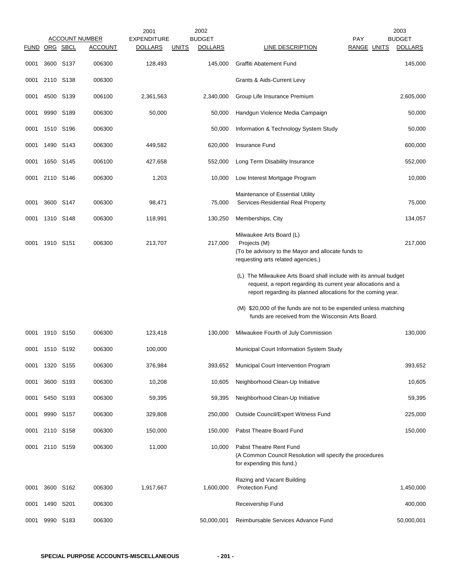|               |                |                  | <b>ACCOUNT NUMBER</b> | 2001<br><b>EXPENDITURE</b> |              | 2002<br><b>BUDGET</b> | <b>PAY</b>                                                                                                                                                                                           | 2003<br><b>BUDGET</b> |
|---------------|----------------|------------------|-----------------------|----------------------------|--------------|-----------------------|------------------------------------------------------------------------------------------------------------------------------------------------------------------------------------------------------|-----------------------|
| FUND ORG SBCL |                |                  | <b>ACCOUNT</b>        | <b>DOLLARS</b>             | <u>UNITS</u> | <b>DOLLARS</b>        | <b>LINE DESCRIPTION</b><br><b>RANGE UNITS</b>                                                                                                                                                        | <b>DOLLARS</b>        |
| 0001          |                | 3600 S137        | 006300                | 128,493                    |              | 145,000               | <b>Graffiti Abatement Fund</b>                                                                                                                                                                       | 145,000               |
| 0001          |                | 2110 S138        | 006300                |                            |              |                       | Grants & Aids-Current Levy                                                                                                                                                                           |                       |
| 0001          |                | 4500 S139        | 006100                | 2,361,563                  |              | 2,340,000             | Group Life Insurance Premium                                                                                                                                                                         | 2,605,000             |
| 0001          |                | 9990 S189        | 006300                | 50,000                     |              | 50,000                | Handgun Violence Media Campaign                                                                                                                                                                      | 50,000                |
| 0001          |                | 1510 S196        | 006300                |                            |              | 50,000                | Information & Technology System Study                                                                                                                                                                | 50,000                |
| 0001          | 1490           | S143             | 006300                | 449,582                    |              | 620,000               | Insurance Fund                                                                                                                                                                                       | 600,000               |
| 0001          | 1650           | S145             | 006100                | 427,658                    |              | 552,000               | Long Term Disability Insurance                                                                                                                                                                       | 552,000               |
| 0001          | 2110 S146      |                  | 006300                | 1,203                      |              | 10,000                | Low Interest Mortgage Program                                                                                                                                                                        | 10,000                |
| 0001          |                | 3600 S147        | 006300                | 98,471                     |              | 75,000                | Maintenance of Essential Utility<br>Services-Residential Real Property                                                                                                                               | 75,000                |
| 0001          | 1310 S148      |                  | 006300                | 118,991                    |              | 130,250               | Memberships, City                                                                                                                                                                                    | 134,057               |
| 0001          | 1910 S151      |                  | 006300                | 213,707                    |              | 217,000               | Milwaukee Arts Board (L)<br>Projects (M)<br>(To be advisory to the Mayor and allocate funds to<br>requesting arts related agencies.)                                                                 | 217,000               |
|               |                |                  |                       |                            |              |                       | (L) The Milwaukee Arts Board shall include with its annual budget<br>request, a report regarding its current year allocations and a<br>report regarding its planned allocations for the coming year. |                       |
|               |                |                  |                       |                            |              |                       | (M) \$20,000 of the funds are not to be expended unless matching<br>funds are received from the Wisconsin Arts Board.                                                                                |                       |
| 0001          |                | 1910 S150        | 006300                | 123,418                    |              | 130,000               | Milwaukee Fourth of July Commission                                                                                                                                                                  | 130,000               |
| 0001          |                | 1510 S192        | 006300                | 100,000                    |              |                       | Municipal Court Information System Study                                                                                                                                                             |                       |
| 0001          | 1320           | S <sub>155</sub> | 006300                | 376,984                    |              | 393,652               | Municipal Court Intervention Program                                                                                                                                                                 | 393,652               |
| 0001          |                | 3600 S193        | 006300                | 10,208                     |              | 10,605                | Neighborhood Clean-Up Initiative                                                                                                                                                                     | 10,605                |
| 0001          |                | 5450 S193        | 006300                | 59,395                     |              | 59,395                | Neighborhood Clean-Up Initiative                                                                                                                                                                     | 59,395                |
| 0001          | 9990           | S <sub>157</sub> | 006300                | 329,808                    |              | 250,000               | Outside Council/Expert Witness Fund                                                                                                                                                                  | 225,000               |
|               | 0001 2110 S158 |                  | 006300                | 150,000                    |              | 150,000               | Pabst Theatre Board Fund                                                                                                                                                                             | 150,000               |
| 0001          |                | 2110 S159        | 006300                | 11,000                     |              | 10,000                | Pabst Theatre Rent Fund<br>(A Common Council Resolution will specify the procedures<br>for expending this fund.)                                                                                     |                       |
| 0001          |                | 3600 S162        | 006300                | 1,917,667                  |              | 1,600,000             | Razing and Vacant Building<br><b>Protection Fund</b>                                                                                                                                                 | 1,450,000             |
| 0001          |                | 1490 S201        | 006300                |                            |              |                       | Receivership Fund                                                                                                                                                                                    | 400,000               |
| 0001          | 9990           | S <sub>183</sub> | 006300                |                            |              | 50,000,001            | Reimbursable Services Advance Fund                                                                                                                                                                   | 50,000,001            |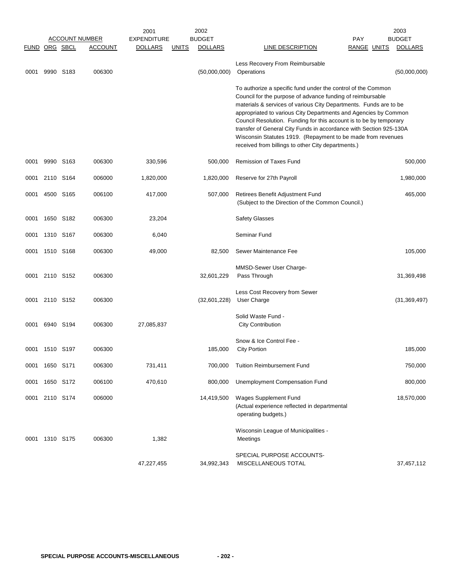|                      |                | <u>ACCOUNT NUMBER</u> |                | 2001<br><b>EXPENDITURE</b> |              | 2002<br><b>BUDGET</b> |                                                                                                                                                                                                                                                                                                                                                                                                                                                                                                                                      | <b>PAY</b>         | 2003<br><b>BUDGET</b> |
|----------------------|----------------|-----------------------|----------------|----------------------------|--------------|-----------------------|--------------------------------------------------------------------------------------------------------------------------------------------------------------------------------------------------------------------------------------------------------------------------------------------------------------------------------------------------------------------------------------------------------------------------------------------------------------------------------------------------------------------------------------|--------------------|-----------------------|
| <b>FUND ORG SBCL</b> |                |                       | <b>ACCOUNT</b> | <b>DOLLARS</b>             | <u>UNITS</u> | <b>DOLLARS</b>        | <b>LINE DESCRIPTION</b>                                                                                                                                                                                                                                                                                                                                                                                                                                                                                                              | <b>RANGE UNITS</b> | <b>DOLLARS</b>        |
| 0001                 | 9990 S183      |                       | 006300         |                            |              | (50,000,000)          | Less Recovery From Reimbursable<br>Operations                                                                                                                                                                                                                                                                                                                                                                                                                                                                                        |                    | (50,000,000)          |
|                      |                |                       |                |                            |              |                       | To authorize a specific fund under the control of the Common<br>Council for the purpose of advance funding of reimbursable<br>materials & services of various City Departments. Funds are to be<br>appropriated to various City Departments and Agencies by Common<br>Council Resolution. Funding for this account is to be by temporary<br>transfer of General City Funds in accordance with Section 925-130A<br>Wisconsin Statutes 1919. (Repayment to be made from revenues<br>received from billings to other City departments.) |                    |                       |
| 0001                 |                | 9990 S163             | 006300         | 330,596                    |              | 500,000               | <b>Remission of Taxes Fund</b>                                                                                                                                                                                                                                                                                                                                                                                                                                                                                                       |                    | 500,000               |
| 0001                 |                | 2110 S164             | 006000         | 1,820,000                  |              | 1,820,000             | Reserve for 27th Payroll                                                                                                                                                                                                                                                                                                                                                                                                                                                                                                             |                    | 1,980,000             |
| 0001                 | 4500 S165      |                       | 006100         | 417,000                    |              | 507,000               | Retirees Benefit Adjustment Fund<br>(Subject to the Direction of the Common Council.)                                                                                                                                                                                                                                                                                                                                                                                                                                                |                    | 465,000               |
| 0001                 | 1650 S182      |                       | 006300         | 23,204                     |              |                       | <b>Safety Glasses</b>                                                                                                                                                                                                                                                                                                                                                                                                                                                                                                                |                    |                       |
| 0001                 | 1310 S167      |                       | 006300         | 6,040                      |              |                       | Seminar Fund                                                                                                                                                                                                                                                                                                                                                                                                                                                                                                                         |                    |                       |
| 0001                 | 1510 S168      |                       | 006300         | 49,000                     |              | 82,500                | Sewer Maintenance Fee                                                                                                                                                                                                                                                                                                                                                                                                                                                                                                                |                    | 105,000               |
| 0001                 | 2110 S152      |                       | 006300         |                            |              | 32,601,229            | MMSD-Sewer User Charge-<br>Pass Through                                                                                                                                                                                                                                                                                                                                                                                                                                                                                              |                    | 31,369,498            |
| 0001                 | 2110 S152      |                       | 006300         |                            |              | (32,601,228)          | Less Cost Recovery from Sewer<br>User Charge                                                                                                                                                                                                                                                                                                                                                                                                                                                                                         |                    | (31, 369, 497)        |
| 0001                 | 6940 S194      |                       | 006300         | 27,085,837                 |              |                       | Solid Waste Fund -<br><b>City Contribution</b>                                                                                                                                                                                                                                                                                                                                                                                                                                                                                       |                    |                       |
| 0001                 | 1510 S197      |                       | 006300         |                            |              | 185,000               | Snow & Ice Control Fee -<br><b>City Portion</b>                                                                                                                                                                                                                                                                                                                                                                                                                                                                                      |                    | 185,000               |
| 0001                 | 1650 S171      |                       | 006300         | 731,411                    |              | 700,000               | <b>Tuition Reimbursement Fund</b>                                                                                                                                                                                                                                                                                                                                                                                                                                                                                                    |                    | 750,000               |
| 0001                 | 1650 S172      |                       | 006100         | 470,610                    |              | 800,000               | Unemployment Compensation Fund                                                                                                                                                                                                                                                                                                                                                                                                                                                                                                       |                    | 800,000               |
| 0001                 | 2110 S174      |                       | 006000         |                            |              | 14,419,500            | Wages Supplement Fund<br>(Actual experience reflected in departmental<br>operating budgets.)                                                                                                                                                                                                                                                                                                                                                                                                                                         |                    | 18,570,000            |
|                      | 0001 1310 S175 |                       | 006300         | 1,382                      |              |                       | Wisconsin League of Municipalities -<br>Meetings                                                                                                                                                                                                                                                                                                                                                                                                                                                                                     |                    |                       |
|                      |                |                       |                | 47,227,455                 |              | 34,992,343            | SPECIAL PURPOSE ACCOUNTS-<br>MISCELLANEOUS TOTAL                                                                                                                                                                                                                                                                                                                                                                                                                                                                                     |                    | 37,457,112            |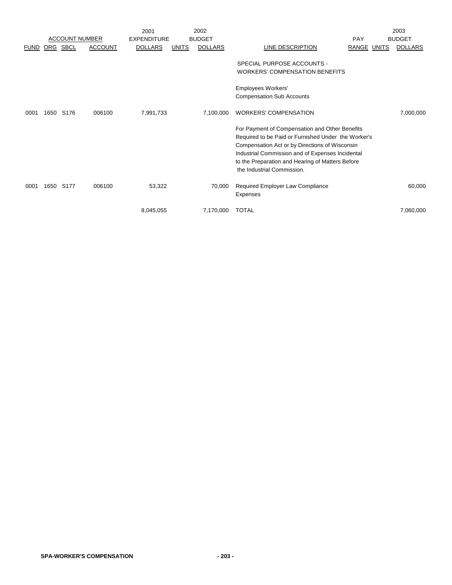|      |                                              | 2001                  |                     |                    |                                              |                                                                                                                 |                                                                                                                                                                                                                 | 2003                                                               |
|------|----------------------------------------------|-----------------------|---------------------|--------------------|----------------------------------------------|-----------------------------------------------------------------------------------------------------------------|-----------------------------------------------------------------------------------------------------------------------------------------------------------------------------------------------------------------|--------------------------------------------------------------------|
|      |                                              |                       |                     |                    |                                              |                                                                                                                 |                                                                                                                                                                                                                 | <b>BUDGET</b>                                                      |
|      | <b>ACCOUNT</b>                               | <b>DOLLARS</b>        | <b>UNITS</b>        | <b>DOLLARS</b>     | LINE DESCRIPTION                             |                                                                                                                 |                                                                                                                                                                                                                 | <b>DOLLARS</b>                                                     |
|      |                                              |                       |                     |                    | SPECIAL PURPOSE ACCOUNTS -                   |                                                                                                                 |                                                                                                                                                                                                                 |                                                                    |
|      |                                              |                       |                     |                    |                                              |                                                                                                                 |                                                                                                                                                                                                                 |                                                                    |
|      |                                              |                       |                     |                    |                                              |                                                                                                                 |                                                                                                                                                                                                                 |                                                                    |
|      |                                              |                       |                     |                    | <b>Compensation Sub Accounts</b>             |                                                                                                                 |                                                                                                                                                                                                                 |                                                                    |
| S176 | 006100                                       | 7,991,733             |                     | 7,100,000          | <b>WORKERS' COMPENSATION</b>                 |                                                                                                                 |                                                                                                                                                                                                                 | 7,000,000                                                          |
|      |                                              |                       |                     |                    |                                              |                                                                                                                 |                                                                                                                                                                                                                 |                                                                    |
|      |                                              |                       |                     |                    |                                              |                                                                                                                 |                                                                                                                                                                                                                 |                                                                    |
|      |                                              |                       |                     |                    |                                              |                                                                                                                 |                                                                                                                                                                                                                 |                                                                    |
|      |                                              |                       |                     |                    |                                              |                                                                                                                 |                                                                                                                                                                                                                 |                                                                    |
|      |                                              |                       |                     |                    |                                              |                                                                                                                 |                                                                                                                                                                                                                 |                                                                    |
|      |                                              |                       |                     |                    | the Industrial Commission.                   |                                                                                                                 |                                                                                                                                                                                                                 |                                                                    |
|      | 006100                                       |                       |                     |                    |                                              |                                                                                                                 |                                                                                                                                                                                                                 | 60,000                                                             |
|      |                                              |                       |                     |                    | Expenses                                     |                                                                                                                 |                                                                                                                                                                                                                 |                                                                    |
|      |                                              |                       |                     |                    |                                              |                                                                                                                 |                                                                                                                                                                                                                 | 7,060,000                                                          |
|      | ORG SBCL<br>1650<br>S <sub>177</sub><br>1650 | <b>ACCOUNT NUMBER</b> | 53,322<br>8,045,055 | <b>EXPENDITURE</b> | 2002<br><b>BUDGET</b><br>70,000<br>7,170,000 | <b>WORKERS' COMPENSATION BENEFITS</b><br>Employees Workers'<br>Required Employer Law Compliance<br><b>TOTAL</b> | PAY<br>For Payment of Compensation and Other Benefits<br>Compensation Act or by Directions of Wisconsin<br>Industrial Commission and of Expenses Incidental<br>to the Preparation and Hearing of Matters Before | RANGE UNITS<br>Required to be Paid or Furnished Under the Worker's |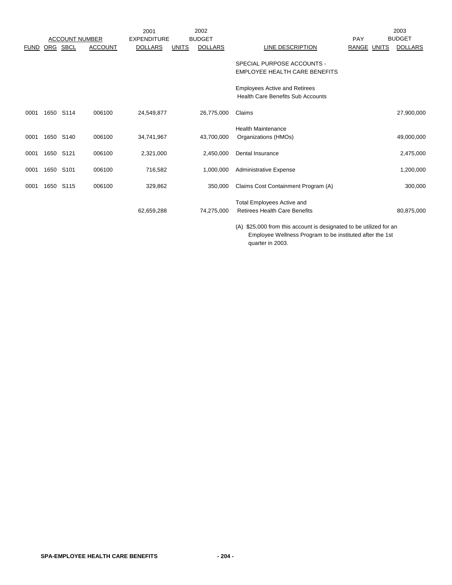|             |      |                       |                | 2001               |              | 2002           |                                                                                  |                       | 2003           |
|-------------|------|-----------------------|----------------|--------------------|--------------|----------------|----------------------------------------------------------------------------------|-----------------------|----------------|
|             |      | <b>ACCOUNT NUMBER</b> |                | <b>EXPENDITURE</b> |              | <b>BUDGET</b>  |                                                                                  | PAY                   | <b>BUDGET</b>  |
| <b>FUND</b> | ORG  | <b>SBCL</b>           | <b>ACCOUNT</b> | <b>DOLLARS</b>     | <b>UNITS</b> | <b>DOLLARS</b> | LINE DESCRIPTION                                                                 | RANGE<br><b>UNITS</b> | <b>DOLLARS</b> |
|             |      |                       |                |                    |              |                | SPECIAL PURPOSE ACCOUNTS -                                                       |                       |                |
|             |      |                       |                |                    |              |                | EMPLOYEE HEALTH CARE BENEFITS                                                    |                       |                |
|             |      |                       |                |                    |              |                | <b>Employees Active and Retirees</b><br><b>Health Care Benefits Sub Accounts</b> |                       |                |
| 0001        | 1650 | S114                  | 006100         | 24,549,877         |              | 26,775,000     | Claims                                                                           |                       | 27,900,000     |
|             |      |                       |                |                    |              |                | <b>Health Maintenance</b>                                                        |                       |                |
| 0001        |      | 1650 S140             | 006100         | 34,741,967         |              | 43,700,000     | Organizations (HMOs)                                                             |                       | 49,000,000     |
| 0001        | 1650 | S <sub>121</sub>      | 006100         | 2,321,000          |              | 2,450,000      | Dental Insurance                                                                 |                       | 2,475,000      |
| 0001        | 1650 | S <sub>101</sub>      | 006100         | 716,582            |              | 1,000,000      | <b>Administrative Expense</b>                                                    |                       | 1,200,000      |
| 0001        | 1650 | S115                  | 006100         | 329,862            |              | 350,000        | Claims Cost Containment Program (A)                                              |                       | 300,000        |
|             |      |                       |                | 62,659,288         |              | 74,275,000     | <b>Total Employees Active and</b><br><b>Retirees Health Care Benefits</b>        |                       | 80,875,000     |

(A) \$25,000 from this account is designated to be utilized for an Employee Wellness Program to be instituted after the 1st quarter in 2003.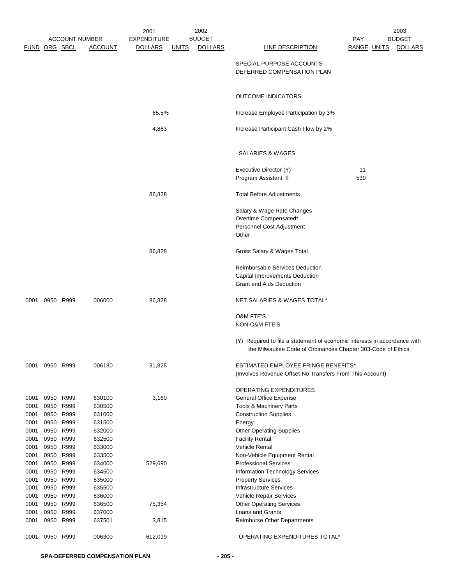|               |                |                       |                | 2001               |              | 2002           |                                                                                                                                           |             | 2003           |
|---------------|----------------|-----------------------|----------------|--------------------|--------------|----------------|-------------------------------------------------------------------------------------------------------------------------------------------|-------------|----------------|
|               |                | <b>ACCOUNT NUMBER</b> |                | <b>EXPENDITURE</b> |              | <b>BUDGET</b>  |                                                                                                                                           | PAY         | <b>BUDGET</b>  |
| FUND ORG SBCL |                |                       | <b>ACCOUNT</b> | <u>DOLLARS</u>     | <u>UNITS</u> | <b>DOLLARS</b> | LINE DESCRIPTION                                                                                                                          | RANGE UNITS | <b>DOLLARS</b> |
|               |                |                       |                |                    |              |                | SPECIAL PURPOSE ACCOUNTS-<br>DEFERRED COMPENSATION PLAN                                                                                   |             |                |
|               |                |                       |                |                    |              |                | <b>OUTCOME INDICATORS:</b>                                                                                                                |             |                |
|               |                |                       |                | 65.5%              |              |                | Increase Employee Participation by 3%                                                                                                     |             |                |
|               |                |                       |                | 4,863              |              |                | Increase Participant Cash Flow by 2%                                                                                                      |             |                |
|               |                |                       |                |                    |              |                |                                                                                                                                           |             |                |
|               |                |                       |                |                    |              |                | SALARIES & WAGES                                                                                                                          |             |                |
|               |                |                       |                |                    |              |                | Executive Director (Y)                                                                                                                    | 11          |                |
|               |                |                       |                |                    |              |                | Program Assistant II                                                                                                                      | 530         |                |
|               |                |                       |                | 86,828             |              |                | <b>Total Before Adjustments</b>                                                                                                           |             |                |
|               |                |                       |                |                    |              |                | Salary & Wage Rate Changes                                                                                                                |             |                |
|               |                |                       |                |                    |              |                | Overtime Compensated*                                                                                                                     |             |                |
|               |                |                       |                |                    |              |                | Personnel Cost Adjustment                                                                                                                 |             |                |
|               |                |                       |                |                    |              |                | Other                                                                                                                                     |             |                |
|               |                |                       |                | 86,828             |              |                | Gross Salary & Wages Total                                                                                                                |             |                |
|               |                |                       |                |                    |              |                | Reimbursable Services Deduction                                                                                                           |             |                |
|               |                |                       |                |                    |              |                | Capital Improvements Deduction                                                                                                            |             |                |
|               |                |                       |                |                    |              |                | <b>Grant and Aids Deduction</b>                                                                                                           |             |                |
| 0001          |                | 0950 R999             | 006000         | 86,828             |              |                | NET SALARIES & WAGES TOTAL*                                                                                                               |             |                |
|               |                |                       |                |                    |              |                | <b>O&amp;M FTE'S</b><br>NON-O&M FTE'S                                                                                                     |             |                |
|               |                |                       |                |                    |              |                | (Y) Required to file a statement of economic interests in accordance with<br>the Milwaukee Code of Ordinances Chapter 303-Code of Ethics. |             |                |
|               | 0001 0950 R999 |                       | 006180         | 31,825             |              |                | <b>ESTIMATED EMPLOYEE FRINGE BENEFITS*</b>                                                                                                |             |                |
|               |                |                       |                |                    |              |                | (Involves Revenue Offset-No Transfers From This Account)                                                                                  |             |                |
|               |                |                       |                |                    |              |                | OPERATING EXPENDITURES                                                                                                                    |             |                |
| 0001          |                | 0950 R999             | 630100         | 3,160              |              |                | <b>General Office Expense</b>                                                                                                             |             |                |
| 0001          | 0950           | R999                  | 630500         |                    |              |                | Tools & Machinery Parts                                                                                                                   |             |                |
| 0001          | 0950           | R999                  | 631000         |                    |              |                | <b>Construction Supplies</b>                                                                                                              |             |                |
| 0001          | 0950           | R999                  | 631500         |                    |              |                | Energy                                                                                                                                    |             |                |
| 0001          |                | 0950 R999             | 632000         |                    |              |                | <b>Other Operating Supplies</b>                                                                                                           |             |                |
| 0001          | 0950           | R999                  | 632500         |                    |              |                | <b>Facility Rental</b>                                                                                                                    |             |                |
| 0001          | 0950           | R999                  | 633000         |                    |              |                | <b>Vehicle Rental</b>                                                                                                                     |             |                |
| 0001          |                | 0950 R999             | 633500         |                    |              |                | Non-Vehicle Equipment Rental                                                                                                              |             |                |
| 0001          | 0950           | R999                  | 634000         | 529,690            |              |                | <b>Professional Services</b>                                                                                                              |             |                |
| 0001          | 0950           | R999                  | 634500         |                    |              |                | Information Technology Services                                                                                                           |             |                |
| 0001          |                | 0950 R999             | 635000         |                    |              |                | <b>Property Services</b>                                                                                                                  |             |                |
| 0001          | 0950           | R999                  | 635500         |                    |              |                | Infrastructure Services                                                                                                                   |             |                |
| 0001          | 0950           | R999                  | 636000         |                    |              |                | Vehicle Repair Services                                                                                                                   |             |                |
| 0001          | 0950           | R999                  | 636500         | 75,354             |              |                | <b>Other Operating Services</b>                                                                                                           |             |                |
| 0001          | 0950           | R999                  | 637000         |                    |              |                | Loans and Grants                                                                                                                          |             |                |
| 0001          | 0950           | R999                  | 637501         | 3,815              |              |                | <b>Reimburse Other Departments</b>                                                                                                        |             |                |
| 0001          |                | 0950 R999             | 006300         | 612,019            |              |                | OPERATING EXPENDITURES TOTAL*                                                                                                             |             |                |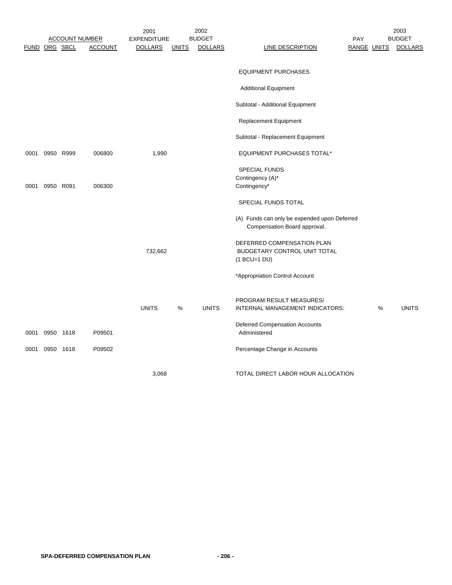|      |               | <b>ACCOUNT NUMBER</b> |                | 2001<br><b>EXPENDITURE</b> |              | 2002<br><b>BUDGET</b> |                                                                              | <b>PAY</b> |                    | 2003<br><b>BUDGET</b> |
|------|---------------|-----------------------|----------------|----------------------------|--------------|-----------------------|------------------------------------------------------------------------------|------------|--------------------|-----------------------|
|      | FUND ORG SBCL |                       | <b>ACCOUNT</b> | <b>DOLLARS</b>             | <b>UNITS</b> | <b>DOLLARS</b>        | LINE DESCRIPTION                                                             |            | <b>RANGE UNITS</b> | <b>DOLLARS</b>        |
|      |               |                       |                |                            |              |                       | <b>EQUIPMENT PURCHASES</b>                                                   |            |                    |                       |
|      |               |                       |                |                            |              |                       |                                                                              |            |                    |                       |
|      |               |                       |                |                            |              |                       | <b>Additional Equipment</b>                                                  |            |                    |                       |
|      |               |                       |                |                            |              |                       | Subtotal - Additional Equipment                                              |            |                    |                       |
|      |               |                       |                |                            |              |                       | Replacement Equipment                                                        |            |                    |                       |
|      |               |                       |                |                            |              |                       | Subtotal - Replacement Equipment                                             |            |                    |                       |
| 0001 |               | 0950 R999             | 006800         | 1,990                      |              |                       | <b>EQUIPMENT PURCHASES TOTAL*</b>                                            |            |                    |                       |
|      |               |                       |                |                            |              |                       | <b>SPECIAL FUNDS</b>                                                         |            |                    |                       |
| 0001 | 0950 R091     |                       | 006300         |                            |              |                       | Contingency (A)*<br>Contingency*                                             |            |                    |                       |
|      |               |                       |                |                            |              |                       |                                                                              |            |                    |                       |
|      |               |                       |                |                            |              |                       | SPECIAL FUNDS TOTAL                                                          |            |                    |                       |
|      |               |                       |                |                            |              |                       | (A) Funds can only be expended upon Deferred<br>Compensation Board approval. |            |                    |                       |
|      |               |                       |                |                            |              |                       | DEFERRED COMPENSATION PLAN                                                   |            |                    |                       |
|      |               |                       |                | 732,662                    |              |                       | BUDGETARY CONTROL UNIT TOTAL                                                 |            |                    |                       |
|      |               |                       |                |                            |              |                       | $(1 BCU=1 DU)$                                                               |            |                    |                       |
|      |               |                       |                |                            |              |                       | *Appropriation Control Account                                               |            |                    |                       |
|      |               |                       |                |                            |              |                       | PROGRAM RESULT MEASURES/                                                     |            |                    |                       |
|      |               |                       |                | <b>UNITS</b>               | %            | <b>UNITS</b>          | INTERNAL MANAGEMENT INDICATORS:                                              |            | %                  | <b>UNITS</b>          |
| 0001 | 0950 1618     |                       | P09501         |                            |              |                       | <b>Deferred Compensation Accounts</b><br>Administered                        |            |                    |                       |
| 0001 | 0950 1618     |                       | P09502         |                            |              |                       | Percentage Change in Accounts                                                |            |                    |                       |
|      |               |                       |                | 3,068                      |              |                       | TOTAL DIRECT LABOR HOUR ALLOCATION                                           |            |                    |                       |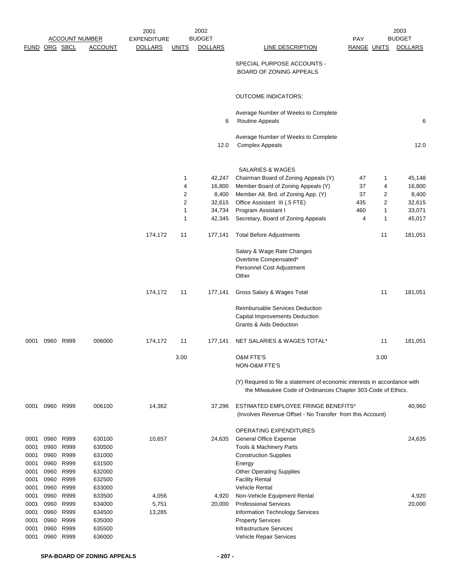|               |              |              | <u>ACCOUNT NUMBER</u> | 2001<br><b>EXPENDITURE</b> |                     | 2002<br><b>BUDGET</b> |                                                                                                                                           | <b>PAY</b>  |                     | 2003<br><b>BUDGET</b> |
|---------------|--------------|--------------|-----------------------|----------------------------|---------------------|-----------------------|-------------------------------------------------------------------------------------------------------------------------------------------|-------------|---------------------|-----------------------|
| FUND ORG SBCL |              |              | <b>ACCOUNT</b>        | <b>DOLLARS</b>             | <u>UNITS</u>        | <b>DOLLARS</b>        | <b>LINE DESCRIPTION</b>                                                                                                                   | RANGE UNITS |                     | <b>DOLLARS</b>        |
|               |              |              |                       |                            |                     |                       | SPECIAL PURPOSE ACCOUNTS -<br><b>BOARD OF ZONING APPEALS</b>                                                                              |             |                     |                       |
|               |              |              |                       |                            |                     |                       | <b>OUTCOME INDICATORS:</b>                                                                                                                |             |                     |                       |
|               |              |              |                       |                            |                     | 6                     | Average Number of Weeks to Complete<br>Routine Appeals                                                                                    |             |                     | 6                     |
|               |              |              |                       |                            |                     |                       | Average Number of Weeks to Complete                                                                                                       |             |                     |                       |
|               |              |              |                       |                            |                     | 12.0                  | <b>Complex Appeals</b>                                                                                                                    |             |                     | 12.0                  |
|               |              |              |                       |                            |                     |                       | <b>SALARIES &amp; WAGES</b>                                                                                                               |             |                     |                       |
|               |              |              |                       |                            | 1                   | 42,247                | Chairman Board of Zoning Appeals (Y)                                                                                                      | 47          | 1                   | 45,148                |
|               |              |              |                       |                            | 4                   | 16,800                | Member Board of Zoning Appeals (Y)                                                                                                        | 37          | 4                   | 16,800                |
|               |              |              |                       |                            | 2                   | 8,400                 | Member Alt. Brd. of Zoning App. (Y)                                                                                                       | 37          | 2                   | 8,400                 |
|               |              |              |                       |                            | $\overline{c}$<br>1 | 32,615                | Office Assistant III (.5 FTE)                                                                                                             | 435<br>460  | $\overline{2}$<br>1 | 32,615                |
|               |              |              |                       |                            | 1                   | 34,734<br>42,345      | Program Assistant I<br>Secretary, Board of Zoning Appeals                                                                                 | 4           | 1                   | 33,071<br>45,017      |
|               |              |              |                       |                            |                     |                       |                                                                                                                                           |             |                     |                       |
|               |              |              |                       | 174,172                    | 11                  | 177,141               | <b>Total Before Adjustments</b>                                                                                                           |             | 11                  | 181,051               |
|               |              |              |                       |                            |                     |                       | Salary & Wage Rate Changes                                                                                                                |             |                     |                       |
|               |              |              |                       |                            |                     |                       | Overtime Compensated*<br>Personnel Cost Adjustment                                                                                        |             |                     |                       |
|               |              |              |                       |                            |                     |                       | Other                                                                                                                                     |             |                     |                       |
|               |              |              |                       | 174,172                    | 11                  | 177,141               | Gross Salary & Wages Total                                                                                                                |             | 11                  | 181,051               |
|               |              |              |                       |                            |                     |                       | <b>Reimbursable Services Deduction</b>                                                                                                    |             |                     |                       |
|               |              |              |                       |                            |                     |                       | Capital Improvements Deduction                                                                                                            |             |                     |                       |
|               |              |              |                       |                            |                     |                       | <b>Grants &amp; Aids Deduction</b>                                                                                                        |             |                     |                       |
| 0001          |              | 0960 R999    | 006000                | 174,172                    | 11                  | 177,141               | NET SALARIES & WAGES TOTAL*                                                                                                               |             | 11                  | 181,051               |
|               |              |              |                       |                            | 3.00                |                       | O&M FTE'S<br>NON-O&M FTE'S                                                                                                                |             | 3.00                |                       |
|               |              |              |                       |                            |                     |                       | (Y) Required to file a statement of economic interests in accordance with<br>the Milwaukee Code of Ordinances Chapter 303-Code of Ethics. |             |                     |                       |
| 0001          |              | 0960 R999    | 006100                | 14,362                     |                     | 37,296                | <b>ESTIMATED EMPLOYEE FRINGE BENEFITS*</b><br>(Involves Revenue Offset - No Transfer from this Account)                                   |             |                     | 40,960                |
|               |              |              |                       |                            |                     |                       | OPERATING EXPENDITURES                                                                                                                    |             |                     |                       |
| 0001          | 0960         | R999         | 630100                | 10,657                     |                     | 24,635                | <b>General Office Expense</b>                                                                                                             |             |                     | 24,635                |
| 0001          | 0960         | R999         | 630500                |                            |                     |                       | Tools & Machinery Parts                                                                                                                   |             |                     |                       |
| 0001          | 0960         | R999         | 631000                |                            |                     |                       | <b>Construction Supplies</b>                                                                                                              |             |                     |                       |
| 0001          | 0960         | R999         | 631500                |                            |                     |                       | Energy                                                                                                                                    |             |                     |                       |
| 0001          | 0960         | R999         | 632000                |                            |                     |                       | <b>Other Operating Supplies</b>                                                                                                           |             |                     |                       |
| 0001          | 0960         | R999         | 632500                |                            |                     |                       | <b>Facility Rental</b>                                                                                                                    |             |                     |                       |
| 0001          | 0960         | R999         | 633000                |                            |                     |                       | <b>Vehicle Rental</b>                                                                                                                     |             |                     |                       |
| 0001<br>0001  | 0960<br>0960 | R999<br>R999 | 633500<br>634000      | 4,056<br>5,751             |                     | 4,920<br>20,000       | Non-Vehicle Equipment Rental<br><b>Professional Services</b>                                                                              |             |                     | 4,920<br>20,000       |
| 0001          | 0960         | R999         | 634500                | 13,285                     |                     |                       | Information Technology Services                                                                                                           |             |                     |                       |
| 0001          | 0960         | R999         | 635000                |                            |                     |                       | <b>Property Services</b>                                                                                                                  |             |                     |                       |
| 0001          | 0960         | R999         | 635500                |                            |                     |                       | <b>Infrastructure Services</b>                                                                                                            |             |                     |                       |
| 0001          | 0960         | R999         | 636000                |                            |                     |                       | Vehicle Repair Services                                                                                                                   |             |                     |                       |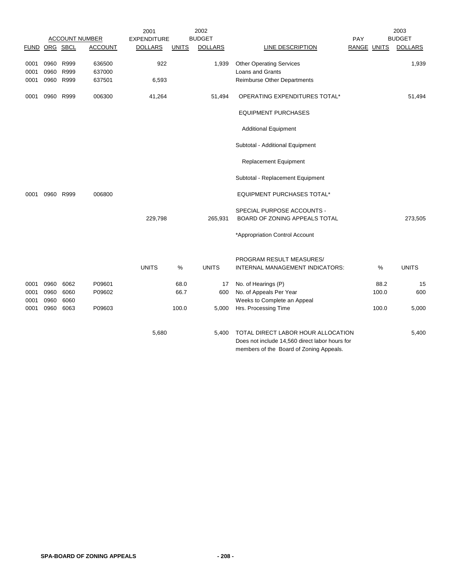|               |      |           |                       | 2001           |              | 2002           |                                                                                                                                 |             |       | 2003           |
|---------------|------|-----------|-----------------------|----------------|--------------|----------------|---------------------------------------------------------------------------------------------------------------------------------|-------------|-------|----------------|
|               |      |           | <b>ACCOUNT NUMBER</b> | EXPENDITURE    |              | <b>BUDGET</b>  |                                                                                                                                 | PAY         |       | <b>BUDGET</b>  |
| FUND ORG SBCL |      |           | <b>ACCOUNT</b>        | <b>DOLLARS</b> | <b>UNITS</b> | <b>DOLLARS</b> | <b>LINE DESCRIPTION</b>                                                                                                         | RANGE UNITS |       | <b>DOLLARS</b> |
| 0001          | 0960 | R999      | 636500                | 922            |              | 1,939          | <b>Other Operating Services</b>                                                                                                 |             |       | 1,939          |
| 0001          | 0960 | R999      | 637000                |                |              |                | <b>Loans and Grants</b>                                                                                                         |             |       |                |
| 0001          | 0960 | R999      | 637501                | 6,593          |              |                | Reimburse Other Departments                                                                                                     |             |       |                |
| 0001          |      | 0960 R999 | 006300                | 41,264         |              | 51,494         | OPERATING EXPENDITURES TOTAL*                                                                                                   |             |       | 51,494         |
|               |      |           |                       |                |              |                | <b>EQUIPMENT PURCHASES</b>                                                                                                      |             |       |                |
|               |      |           |                       |                |              |                | <b>Additional Equipment</b>                                                                                                     |             |       |                |
|               |      |           |                       |                |              |                | Subtotal - Additional Equipment                                                                                                 |             |       |                |
|               |      |           |                       |                |              |                | Replacement Equipment                                                                                                           |             |       |                |
|               |      |           |                       |                |              |                | Subtotal - Replacement Equipment                                                                                                |             |       |                |
| 0001          |      | 0960 R999 | 006800                |                |              |                | <b>EQUIPMENT PURCHASES TOTAL*</b>                                                                                               |             |       |                |
|               |      |           |                       |                |              |                | SPECIAL PURPOSE ACCOUNTS -                                                                                                      |             |       |                |
|               |      |           |                       | 229,798        |              | 265,931        | BOARD OF ZONING APPEALS TOTAL                                                                                                   |             |       | 273,505        |
|               |      |           |                       |                |              |                | *Appropriation Control Account                                                                                                  |             |       |                |
|               |      |           |                       |                |              |                | PROGRAM RESULT MEASURES/                                                                                                        |             |       |                |
|               |      |           |                       | <b>UNITS</b>   | %            | <b>UNITS</b>   | INTERNAL MANAGEMENT INDICATORS:                                                                                                 |             | %     | <b>UNITS</b>   |
| 0001          | 0960 | 6062      | P09601                |                | 68.0         | 17             | No. of Hearings (P)                                                                                                             |             | 88.2  | 15             |
| 0001          | 0960 | 6060      | P09602                |                | 66.7         | 600            | No. of Appeals Per Year                                                                                                         |             | 100.0 | 600            |
| 0001          | 0960 | 6060      |                       |                |              |                | Weeks to Complete an Appeal                                                                                                     |             |       |                |
| 0001          | 0960 | 6063      | P09603                |                | 100.0        | 5,000          | Hrs. Processing Time                                                                                                            |             | 100.0 | 5,000          |
|               |      |           |                       | 5,680          |              | 5,400          | TOTAL DIRECT LABOR HOUR ALLOCATION<br>Does not include 14,560 direct labor hours for<br>members of the Board of Zoning Appeals. |             |       | 5,400          |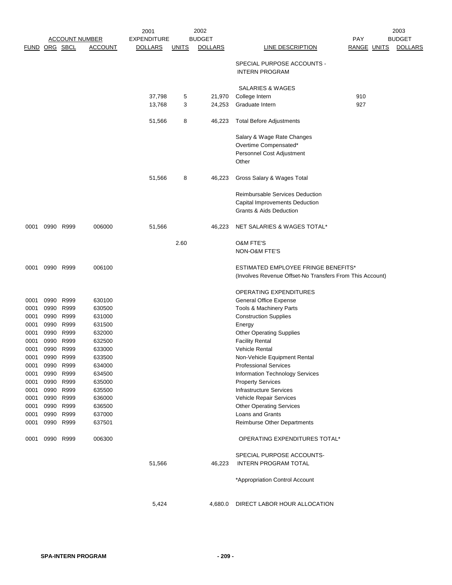|                      |                        |           |                       | 2001               |              | 2002           |                                                          |                    | 2003           |
|----------------------|------------------------|-----------|-----------------------|--------------------|--------------|----------------|----------------------------------------------------------|--------------------|----------------|
|                      |                        |           | <b>ACCOUNT NUMBER</b> | <b>EXPENDITURE</b> |              | <b>BUDGET</b>  |                                                          | <b>PAY</b>         | <b>BUDGET</b>  |
| <b>FUND ORG SBCL</b> |                        |           | <b>ACCOUNT</b>        | <b>DOLLARS</b>     | <b>UNITS</b> | <b>DOLLARS</b> | <b>LINE DESCRIPTION</b>                                  | <b>RANGE UNITS</b> | <b>DOLLARS</b> |
|                      |                        |           |                       |                    |              |                | SPECIAL PURPOSE ACCOUNTS -<br><b>INTERN PROGRAM</b>      |                    |                |
|                      |                        |           |                       |                    |              |                | SALARIES & WAGES                                         |                    |                |
|                      |                        |           |                       | 37,798             | 5            | 21,970         | College Intern                                           | 910                |                |
|                      |                        |           |                       | 13,768             | 3            | 24,253         | Graduate Intern                                          | 927                |                |
|                      |                        |           |                       | 51,566             | 8            | 46,223         | <b>Total Before Adjustments</b>                          |                    |                |
|                      |                        |           |                       |                    |              |                | Salary & Wage Rate Changes                               |                    |                |
|                      |                        |           |                       |                    |              |                | Overtime Compensated*                                    |                    |                |
|                      |                        |           |                       |                    |              |                | Personnel Cost Adjustment                                |                    |                |
|                      |                        |           |                       |                    |              |                | Other                                                    |                    |                |
|                      |                        |           |                       | 51,566             | 8            | 46,223         | Gross Salary & Wages Total                               |                    |                |
|                      |                        |           |                       |                    |              |                | <b>Reimbursable Services Deduction</b>                   |                    |                |
|                      |                        |           |                       |                    |              |                | Capital Improvements Deduction                           |                    |                |
|                      |                        |           |                       |                    |              |                | Grants & Aids Deduction                                  |                    |                |
| 0001                 |                        | 0990 R999 | 006000                | 51,566             |              | 46,223         | NET SALARIES & WAGES TOTAL*                              |                    |                |
|                      |                        |           |                       |                    | 2.60         |                | <b>O&amp;M FTE'S</b>                                     |                    |                |
|                      |                        |           |                       |                    |              |                | NON-O&M FTE'S                                            |                    |                |
| 0001                 |                        | 0990 R999 | 006100                |                    |              |                | <b>ESTIMATED EMPLOYEE FRINGE BENEFITS*</b>               |                    |                |
|                      |                        |           |                       |                    |              |                | (Involves Revenue Offset-No Transfers From This Account) |                    |                |
|                      |                        |           |                       |                    |              |                | OPERATING EXPENDITURES                                   |                    |                |
| 0001                 | 0990                   | R999      | 630100                |                    |              |                | General Office Expense                                   |                    |                |
| 0001                 | 0990                   | R999      | 630500                |                    |              |                | Tools & Machinery Parts                                  |                    |                |
| 0001                 | 0990                   | R999      | 631000                |                    |              |                | <b>Construction Supplies</b>                             |                    |                |
| 0001                 | 0990                   | R999      | 631500                |                    |              |                | Energy                                                   |                    |                |
| 0001                 | 0990                   | R999      | 632000                |                    |              |                | <b>Other Operating Supplies</b>                          |                    |                |
| 0001                 | 0990                   | R999      | 632500                |                    |              |                | <b>Facility Rental</b>                                   |                    |                |
| 0001                 | 0990                   | R999      | 633000                |                    |              |                | <b>Vehicle Rental</b>                                    |                    |                |
| 0001                 | 0990                   | R999      | 633500                |                    |              |                | Non-Vehicle Equipment Rental                             |                    |                |
|                      | 0001 0990 R999         |           | 634000                |                    |              |                | <b>Professional Services</b>                             |                    |                |
| 0001<br>0001         |                        | 0990 R999 | 634500<br>635000      |                    |              |                | Information Technology Services                          |                    |                |
| 0001                 | 0990 R999<br>0990 R999 |           | 635500                |                    |              |                | <b>Property Services</b><br>Infrastructure Services      |                    |                |
|                      | 0001 0990 R999         |           | 636000                |                    |              |                | Vehicle Repair Services                                  |                    |                |
|                      | 0001 0990              | R999      | 636500                |                    |              |                | <b>Other Operating Services</b>                          |                    |                |
|                      | 0001 0990 R999         |           | 637000                |                    |              |                | Loans and Grants                                         |                    |                |
|                      | 0001 0990 R999         |           | 637501                |                    |              |                | Reimburse Other Departments                              |                    |                |
|                      | 0001 0990 R999         |           | 006300                |                    |              |                | OPERATING EXPENDITURES TOTAL*                            |                    |                |
|                      |                        |           |                       |                    |              |                | SPECIAL PURPOSE ACCOUNTS-                                |                    |                |
|                      |                        |           |                       | 51,566             |              | 46,223         | <b>INTERN PROGRAM TOTAL</b>                              |                    |                |
|                      |                        |           |                       |                    |              |                | *Appropriation Control Account                           |                    |                |
|                      |                        |           |                       | 5,424              |              | 4,680.0        | DIRECT LABOR HOUR ALLOCATION                             |                    |                |
|                      |                        |           |                       |                    |              |                |                                                          |                    |                |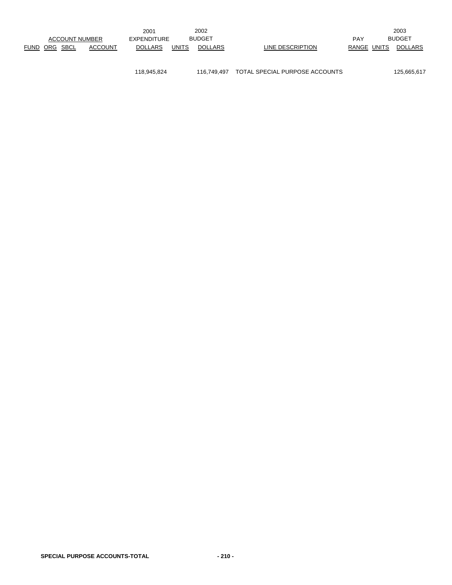|             |                       |  |         | 2001               |               | 2002    |                  |       |       | 2003           |
|-------------|-----------------------|--|---------|--------------------|---------------|---------|------------------|-------|-------|----------------|
|             | <b>ACCOUNT NUMBER</b> |  |         | <b>EXPENDITURE</b> | <b>BUDGET</b> |         |                  | PAY   |       | <b>BUDGET</b>  |
| <b>FUND</b> | ORG SBCL              |  | ACCOUNT | <b>DOLLARS</b>     | UNITS         | DOLLARS | LINE DESCRIPTION | RANGE | UNITS | <b>DOLLARS</b> |

118,945,824 116,749,497 TOTAL SPECIAL PURPOSE ACCOUNTS 125,665,617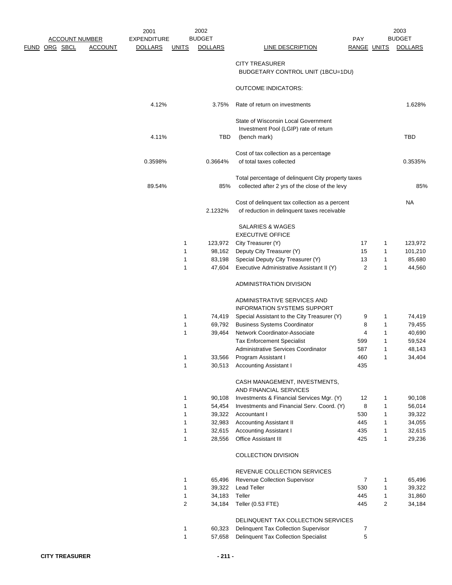|                                        | 2001               |              | 2002           |                                                                     |                    |                | 2003           |
|----------------------------------------|--------------------|--------------|----------------|---------------------------------------------------------------------|--------------------|----------------|----------------|
| <b>ACCOUNT NUMBER</b>                  | <b>EXPENDITURE</b> |              | <b>BUDGET</b>  |                                                                     | PAY                |                | <b>BUDGET</b>  |
| <u>FUND ORG SBCL</u><br><b>ACCOUNT</b> | <u>DOLLARS</u>     | <u>UNITS</u> | <b>DOLLARS</b> | <b>LINE DESCRIPTION</b>                                             | RANGE UNITS        |                | <b>DOLLARS</b> |
|                                        |                    |              |                | <b>CITY TREASURER</b>                                               |                    |                |                |
|                                        |                    |              |                | BUDGETARY CONTROL UNIT (1BCU=1DU)                                   |                    |                |                |
|                                        |                    |              |                |                                                                     |                    |                |                |
|                                        |                    |              |                | <b>OUTCOME INDICATORS:</b>                                          |                    |                |                |
|                                        |                    |              |                |                                                                     |                    |                |                |
|                                        | 4.12%              |              | 3.75%          | Rate of return on investments                                       |                    |                | 1.628%         |
|                                        |                    |              |                |                                                                     |                    |                |                |
|                                        |                    |              |                | State of Wisconsin Local Government                                 |                    |                |                |
|                                        |                    |              |                | Investment Pool (LGIP) rate of return                               |                    |                |                |
|                                        | 4.11%              |              | TBD            | (bench mark)                                                        |                    |                | TBD            |
|                                        |                    |              |                |                                                                     |                    |                |                |
|                                        | 0.3598%            |              | 0.3664%        | Cost of tax collection as a percentage<br>of total taxes collected  |                    |                | 0.3535%        |
|                                        |                    |              |                |                                                                     |                    |                |                |
|                                        |                    |              |                | Total percentage of delinquent City property taxes                  |                    |                |                |
|                                        | 89.54%             |              | 85%            | collected after 2 yrs of the close of the levy                      |                    |                | 85%            |
|                                        |                    |              |                |                                                                     |                    |                |                |
|                                        |                    |              |                | Cost of delinquent tax collection as a percent                      |                    |                | NA.            |
|                                        |                    |              | 2.1232%        | of reduction in delinquent taxes receivable                         |                    |                |                |
|                                        |                    |              |                |                                                                     |                    |                |                |
|                                        |                    |              |                | SALARIES & WAGES                                                    |                    |                |                |
|                                        |                    |              |                | <b>EXECUTIVE OFFICE</b>                                             |                    |                |                |
|                                        |                    | 1            | 123,972        | City Treasurer (Y)                                                  | 17                 | 1              | 123,972        |
|                                        |                    | 1            | 98,162         | Deputy City Treasurer (Y)                                           | 15                 | 1              | 101,210        |
|                                        |                    | 1<br>1       | 83,198         | Special Deputy City Treasurer (Y)                                   | 13<br>$\mathbf{2}$ | 1<br>1         | 85,680         |
|                                        |                    |              | 47,604         | Executive Administrative Assistant II (Y)                           |                    |                | 44,560         |
|                                        |                    |              |                | ADMINISTRATION DIVISION                                             |                    |                |                |
|                                        |                    |              |                |                                                                     |                    |                |                |
|                                        |                    |              |                | ADMINISTRATIVE SERVICES AND<br><b>INFORMATION SYSTEMS SUPPORT</b>   |                    |                |                |
|                                        |                    | 1            | 74,419         | Special Assistant to the City Treasurer (Y)                         | 9                  | 1              | 74,419         |
|                                        |                    | 1            | 69,792         | <b>Business Systems Coordinator</b>                                 | 8                  | 1              | 79,455         |
|                                        |                    | 1            | 39,464         | Network Coordinator-Associate                                       | 4                  | 1              | 40,690         |
|                                        |                    |              |                | <b>Tax Enforcement Specialist</b>                                   | 599                | 1              | 59,524         |
|                                        |                    |              |                | Administrative Services Coordinator                                 | 587                | 1              | 48,143         |
|                                        |                    | 1            | 33,566         | Program Assistant I                                                 | 460                | 1              | 34,404         |
|                                        |                    | 1            | 30,513         | <b>Accounting Assistant I</b>                                       | 435                |                |                |
|                                        |                    |              |                |                                                                     |                    |                |                |
|                                        |                    |              |                | CASH MANAGEMENT, INVESTMENTS,                                       |                    |                |                |
|                                        |                    |              | 90,108         | AND FINANCIAL SERVICES<br>Investments & Financial Services Mgr. (Y) | 12                 |                | 90,108         |
|                                        |                    | 1<br>1       | 54,454         | Investments and Financial Serv. Coord. (Y)                          | 8                  | 1<br>1         | 56,014         |
|                                        |                    | 1            | 39,322         | Accountant I                                                        | 530                | 1              | 39,322         |
|                                        |                    | 1            | 32,983         | <b>Accounting Assistant II</b>                                      | 445                | $\mathbf 1$    | 34,055         |
|                                        |                    | 1            | 32,615         | Accounting Assistant I                                              | 435                | 1              | 32,615         |
|                                        |                    | 1            | 28,556         | Office Assistant III                                                | 425                | 1              | 29,236         |
|                                        |                    |              |                |                                                                     |                    |                |                |
|                                        |                    |              |                | <b>COLLECTION DIVISION</b>                                          |                    |                |                |
|                                        |                    |              |                | REVENUE COLLECTION SERVICES                                         |                    |                |                |
|                                        |                    | 1            | 65,496         | Revenue Collection Supervisor                                       | $\overline{7}$     | 1              | 65,496         |
|                                        |                    | 1            | 39,322         | <b>Lead Teller</b>                                                  | 530                | 1              | 39,322         |
|                                        |                    | 1            | 34,183         | Teller                                                              | 445                | 1              | 31,860         |
|                                        |                    | 2            | 34,184         | Teller (0.53 FTE)                                                   | 445                | $\overline{2}$ | 34,184         |
|                                        |                    |              |                |                                                                     |                    |                |                |
|                                        |                    |              |                | DELINQUENT TAX COLLECTION SERVICES                                  |                    |                |                |
|                                        |                    | 1            | 60,323         | Delinquent Tax Collection Supervisor                                | 7                  |                |                |
|                                        |                    | $\mathbf{1}$ | 57,658         | Delinquent Tax Collection Specialist                                | 5                  |                |                |
|                                        |                    |              |                |                                                                     |                    |                |                |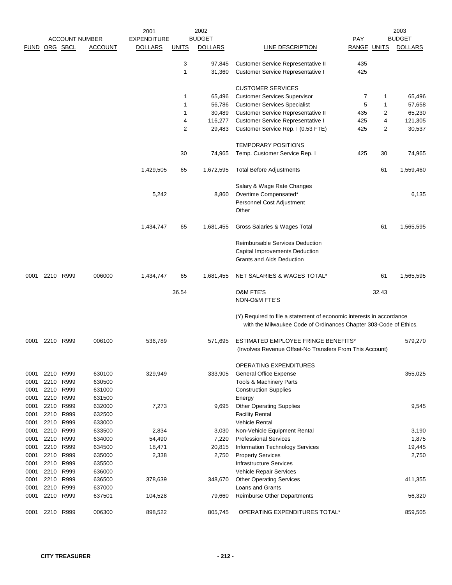| <b>BUDGET</b><br><b>DOLLARS</b><br>65,496<br>57,658                                                                                       |
|-------------------------------------------------------------------------------------------------------------------------------------------|
|                                                                                                                                           |
|                                                                                                                                           |
|                                                                                                                                           |
|                                                                                                                                           |
|                                                                                                                                           |
|                                                                                                                                           |
|                                                                                                                                           |
| 65,230                                                                                                                                    |
| 121,305                                                                                                                                   |
| 30,537                                                                                                                                    |
|                                                                                                                                           |
| 74,965                                                                                                                                    |
| 1,559,460                                                                                                                                 |
|                                                                                                                                           |
| 6,135                                                                                                                                     |
|                                                                                                                                           |
|                                                                                                                                           |
| 1,565,595                                                                                                                                 |
|                                                                                                                                           |
|                                                                                                                                           |
|                                                                                                                                           |
| 1,565,595                                                                                                                                 |
|                                                                                                                                           |
|                                                                                                                                           |
| (Y) Required to file a statement of economic interests in accordance<br>with the Milwaukee Code of Ordinances Chapter 303-Code of Ethics. |
| 579,270                                                                                                                                   |
|                                                                                                                                           |
| 355,025                                                                                                                                   |
|                                                                                                                                           |
|                                                                                                                                           |
|                                                                                                                                           |
| 9,545                                                                                                                                     |
|                                                                                                                                           |
|                                                                                                                                           |
| 3,190                                                                                                                                     |
| 1,875                                                                                                                                     |
| 19,445                                                                                                                                    |
| 2,750                                                                                                                                     |
|                                                                                                                                           |
|                                                                                                                                           |
|                                                                                                                                           |
| 411,355                                                                                                                                   |
| 56,320                                                                                                                                    |
|                                                                                                                                           |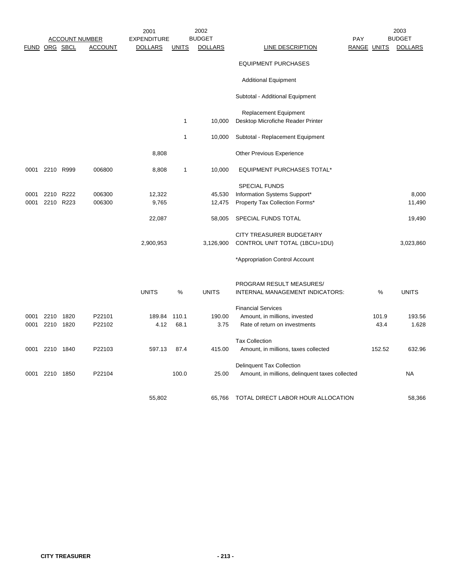|      |                |           |                       | 2001               |              | 2002           |                                                 | 2003       |                    |                |  |
|------|----------------|-----------|-----------------------|--------------------|--------------|----------------|-------------------------------------------------|------------|--------------------|----------------|--|
|      |                |           | <b>ACCOUNT NUMBER</b> | <b>EXPENDITURE</b> |              | <b>BUDGET</b>  |                                                 | <b>PAY</b> | <b>BUDGET</b>      |                |  |
|      | FUND ORG SBCL  |           | <b>ACCOUNT</b>        | <b>DOLLARS</b>     | <b>UNITS</b> | <b>DOLLARS</b> | LINE DESCRIPTION                                |            | <b>RANGE UNITS</b> | <b>DOLLARS</b> |  |
|      |                |           |                       |                    |              |                | <b>EQUIPMENT PURCHASES</b>                      |            |                    |                |  |
|      |                |           |                       |                    |              |                | <b>Additional Equipment</b>                     |            |                    |                |  |
|      |                |           |                       |                    |              |                | Subtotal - Additional Equipment                 |            |                    |                |  |
|      |                |           |                       |                    |              |                | <b>Replacement Equipment</b>                    |            |                    |                |  |
|      |                |           |                       |                    | 1            | 10,000         | Desktop Microfiche Reader Printer               |            |                    |                |  |
|      |                |           |                       |                    | 1            | 10,000         | Subtotal - Replacement Equipment                |            |                    |                |  |
|      |                |           |                       | 8,808              |              |                | Other Previous Experience                       |            |                    |                |  |
|      | 0001 2210 R999 |           | 006800                | 8,808              | 1            | 10,000         | <b>EQUIPMENT PURCHASES TOTAL*</b>               |            |                    |                |  |
|      |                |           |                       |                    |              |                | <b>SPECIAL FUNDS</b>                            |            |                    |                |  |
| 0001 |                | 2210 R222 | 006300                | 12,322             |              | 45,530         | Information Systems Support*                    |            |                    | 8,000          |  |
| 0001 |                | 2210 R223 | 006300                | 9,765              |              | 12,475         | Property Tax Collection Forms*                  |            |                    | 11,490         |  |
|      |                |           |                       | 22,087             |              | 58,005         | SPECIAL FUNDS TOTAL                             |            |                    | 19,490         |  |
|      |                |           |                       |                    |              |                | CITY TREASURER BUDGETARY                        |            |                    |                |  |
|      |                |           |                       | 2,900,953          |              | 3,126,900      | CONTROL UNIT TOTAL (1BCU=1DU)                   |            |                    | 3,023,860      |  |
|      |                |           |                       |                    |              |                | *Appropriation Control Account                  |            |                    |                |  |
|      |                |           |                       |                    |              |                | PROGRAM RESULT MEASURES/                        |            |                    |                |  |
|      |                |           |                       | <b>UNITS</b>       | $\%$         | <b>UNITS</b>   | INTERNAL MANAGEMENT INDICATORS:                 |            | %                  | <b>UNITS</b>   |  |
|      |                |           |                       |                    |              |                | <b>Financial Services</b>                       |            |                    |                |  |
| 0001 |                | 2210 1820 | P22101                | 189.84             | 110.1        | 190.00         | Amount, in millions, invested                   |            | 101.9              | 193.56         |  |
| 0001 |                | 2210 1820 | P22102                | 4.12               | 68.1         | 3.75           | Rate of return on investments                   |            | 43.4               | 1.628          |  |
|      |                |           |                       |                    |              |                | <b>Tax Collection</b>                           |            |                    |                |  |
| 0001 | 2210 1840      |           | P22103                | 597.13             | 87.4         | 415.00         | Amount, in millions, taxes collected            |            | 152.52             | 632.96         |  |
|      |                |           |                       |                    |              |                | <b>Delinquent Tax Collection</b>                |            |                    |                |  |
| 0001 | 2210 1850      |           | P22104                |                    | 100.0        | 25.00          | Amount, in millions, delinquent taxes collected |            |                    | <b>NA</b>      |  |
|      |                |           |                       | 55,802             |              | 65,766         | TOTAL DIRECT LABOR HOUR ALLOCATION              |            |                    | 58,366         |  |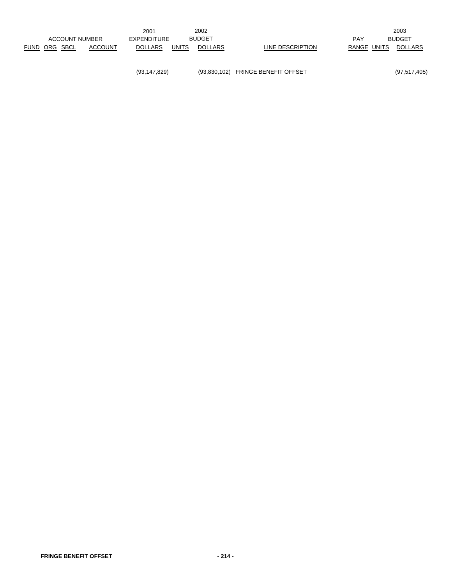(93,147,829) (93,830,102) FRINGE BENEFIT OFFSET (97,517,405)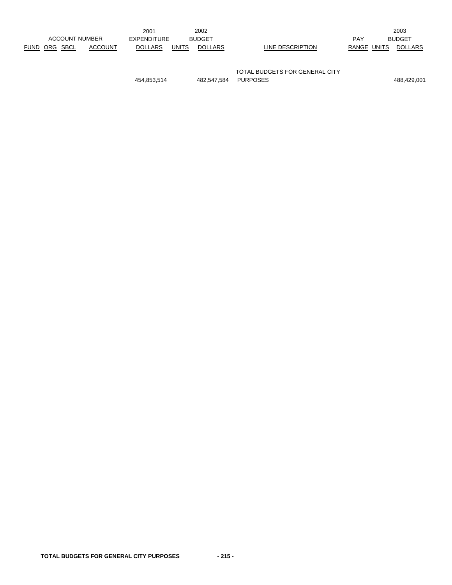|                       |  |                | 2001                         |              | 2002           |                  |             | 2003           |
|-----------------------|--|----------------|------------------------------|--------------|----------------|------------------|-------------|----------------|
| <b>ACCOUNT NUMBER</b> |  |                | <b>BUDGET</b><br>EXPENDITURE |              |                |                  | <b>PAY</b>  | <b>BUDGET</b>  |
| FUND ORG SBCL         |  | <b>ACCOUNT</b> | <b>DOLLARS</b>               | <b>UNITS</b> | <b>DOLLARS</b> | LINE DESCRIPTION | RANGE UNITS | <b>DOLLARS</b> |
|                       |  |                |                              |              |                |                  |             |                |

TOTAL BUDGETS FOR GENERAL CITY 454,853,514 482,547,584 PURPOSES 488,429,001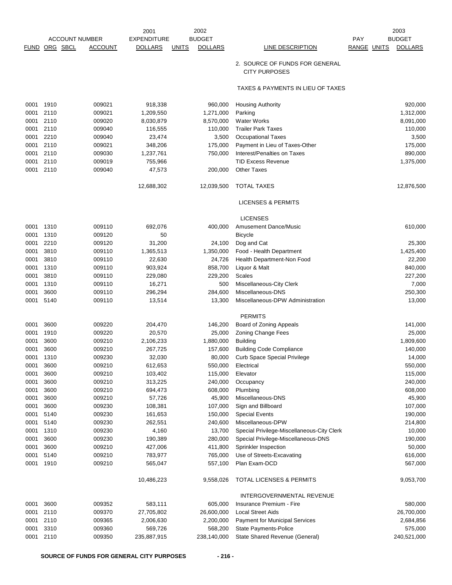|             |                       |                | 2001               | 2002                           |                                                        | 2003                          |
|-------------|-----------------------|----------------|--------------------|--------------------------------|--------------------------------------------------------|-------------------------------|
|             | <b>ACCOUNT NUMBER</b> |                | <b>EXPENDITURE</b> | <b>BUDGET</b>                  |                                                        | <b>BUDGET</b><br><b>PAY</b>   |
| <b>FUND</b> | ORG SBCL              | <b>ACCOUNT</b> | <b>DOLLARS</b>     | <b>DOLLARS</b><br><u>UNITS</u> | <b>LINE DESCRIPTION</b>                                | RANGE UNITS<br><b>DOLLARS</b> |
|             |                       |                |                    |                                | 2. SOURCE OF FUNDS FOR GENERAL<br><b>CITY PURPOSES</b> |                               |
|             |                       |                |                    |                                | TAXES & PAYMENTS IN LIEU OF TAXES                      |                               |
| 0001        | 1910                  | 009021         | 918,338            | 960,000                        | <b>Housing Authority</b>                               | 920,000                       |
| 0001        | 2110                  | 009021         | 1,209,550          | 1,271,000                      | Parking                                                | 1,312,000                     |
| 0001        | 2110                  | 009020         | 8,030,879          | 8,570,000                      | <b>Water Works</b>                                     | 8,091,000                     |
| 0001        | 2110                  | 009040         | 116,555            | 110,000                        | <b>Trailer Park Taxes</b>                              | 110,000                       |
| 0001        | 2210                  | 009040         | 23,474             | 3,500                          | <b>Occupational Taxes</b>                              | 3,500                         |
| 0001        | 2110                  | 009021         | 348,206            | 175,000                        | Payment in Lieu of Taxes-Other                         | 175,000                       |
| 0001        | 2110                  | 009030         | 1,237,761          | 750,000                        | Interest/Penalties on Taxes                            | 890,000                       |
| 0001        | 2110                  | 009019         | 755,966            |                                | <b>TID Excess Revenue</b>                              | 1,375,000                     |
| 0001        | 2110                  | 009040         | 47,573             | 200,000                        | <b>Other Taxes</b>                                     |                               |
|             |                       |                | 12,688,302         | 12,039,500                     | <b>TOTAL TAXES</b>                                     | 12,876,500                    |
|             |                       |                |                    |                                | <b>LICENSES &amp; PERMITS</b>                          |                               |
|             |                       |                |                    |                                | <b>LICENSES</b>                                        |                               |
| 0001        | 1310                  | 009110         | 692,076            | 400,000                        | Amusement Dance/Music                                  | 610,000                       |
| 0001        | 1310                  | 009120         | 50                 |                                | <b>Bicycle</b>                                         |                               |
| 0001        | 2210                  | 009120         | 31,200             | 24,100                         | Dog and Cat                                            | 25,300                        |
| 0001        | 3810                  | 009110         | 1,365,513          | 1,350,000                      | Food - Health Department                               | 1,425,400                     |
| 0001        | 3810                  | 009110         | 22,630             | 24,726                         | Health Department-Non Food                             | 22,200                        |
| 0001        | 1310                  | 009110         | 903,924            | 858,700                        | Liquor & Malt                                          | 840,000                       |
| 0001        | 3810                  | 009110         | 229,080            | 229,200                        | Scales                                                 | 227,200                       |
| 0001        | 1310                  | 009110         | 16,271             | 500                            | Miscellaneous-City Clerk                               | 7,000                         |
| 0001        | 3600                  | 009110         | 296,294            | 284,600                        | Miscellaneous-DNS                                      | 250,300                       |
| 0001        | 5140                  | 009110         | 13,514             | 13,300                         | Miscellaneous-DPW Administration                       | 13,000                        |
|             |                       |                |                    |                                | <b>PERMITS</b>                                         |                               |
| 0001        | 3600                  | 009220         | 204,470            | 146,200                        | Board of Zoning Appeals                                | 141,000                       |
| 0001        | 1910                  | 009220         | 20,570             | 25,000                         | Zoning Change Fees                                     | 25,000                        |
| 0001        | 3600                  | 009210         | 2,106,233          | 1,880,000                      | <b>Building</b>                                        | 1,809,600                     |
| 0001        | 3600                  | 009210         | 267,725            | 157,600                        | <b>Building Code Compliance</b>                        | 140,000                       |
| 0001        | 1310                  | 009230         | 32,030             | 80,000                         | <b>Curb Space Special Privilege</b>                    | 14,000                        |
| 0001        | 3600                  | 009210         | 612,653            | 550,000                        | Electrical                                             | 550,000                       |
| 0001        | 3600                  | 009210         | 103,402            | 115,000                        | Elevator                                               | 115,000                       |
| 0001        | 3600                  | 009210         | 313,225            | 240,000                        | Occupancy                                              | 240,000                       |
| 0001        | 3600                  | 009210         | 694,473            | 608,000                        | Plumbing                                               | 608,000                       |
| 0001        | 3600                  | 009210         | 57,726             | 45,900                         | Miscellaneous-DNS                                      | 45,900                        |
| 0001        | 3600                  | 009230         | 108,381            | 107,000                        | Sign and Billboard                                     | 107,000                       |
| 0001        | 5140                  | 009230         | 161,653            | 150,000                        | <b>Special Events</b>                                  | 190,000                       |
| 0001        | 5140                  | 009230         | 262,551            | 240,600                        | Miscellaneous-DPW                                      | 214,800                       |
| 0001        | 1310                  | 009230         | 4,160              | 13,700                         | Special Privilege-Miscellaneous-City Clerk             | 10,000                        |
| 0001        | 3600                  | 009230         | 190,389            | 280,000                        | Special Privilege-Miscellaneous-DNS                    | 190,000                       |
| 0001        | 3600                  | 009210         | 427,006            | 411,800                        | Sprinkler Inspection                                   | 50,000                        |
| 0001        | 5140                  | 009210         | 783,977            | 765,000                        | Use of Streets-Excavating                              | 616,000                       |
| 0001        | 1910                  | 009210         | 565,047            | 557,100                        | Plan Exam-DCD                                          | 567,000                       |
|             |                       |                | 10,486,223         | 9,558,026                      | <b>TOTAL LICENSES &amp; PERMITS</b>                    | 9,053,700                     |
|             |                       |                |                    |                                | INTERGOVERNMENTAL REVENUE                              |                               |
| 0001        | 3600                  | 009352         | 583,111            | 605,000                        | Insurance Premium - Fire                               | 580,000                       |
| 0001        | 2110                  | 009370         | 27,705,802         | 26,600,000                     | <b>Local Street Aids</b>                               | 26,700,000                    |
| 0001        | 2110                  | 009365         | 2,006,630          | 2,200,000                      | Payment for Municipal Services                         | 2,684,856                     |
| 0001        | 3310                  | 009360         | 569,726            | 568,200                        | State Payments-Police                                  | 575,000                       |
| 0001        | 2110                  | 009350         | 235,887,915        | 238,140,000                    | State Shared Revenue (General)                         | 240,521,000                   |
|             |                       |                |                    |                                |                                                        |                               |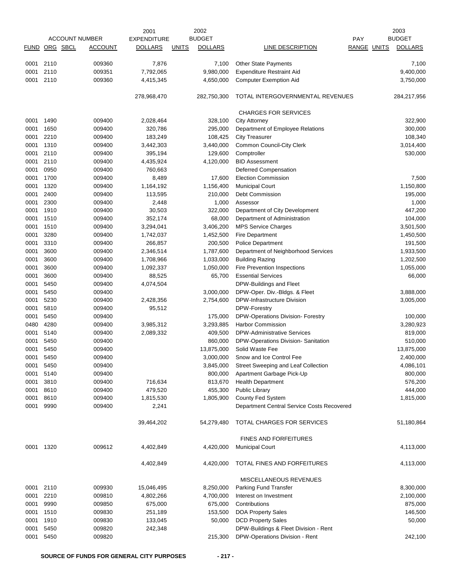|              |                       |                  | 2001               | 2002                           |                                                                 |                    | 2003           |
|--------------|-----------------------|------------------|--------------------|--------------------------------|-----------------------------------------------------------------|--------------------|----------------|
|              | <b>ACCOUNT NUMBER</b> |                  | <b>EXPENDITURE</b> | <b>BUDGET</b>                  |                                                                 | PAY                | <b>BUDGET</b>  |
| <b>FUND</b>  | ORG SBCL              | <b>ACCOUNT</b>   | <b>DOLLARS</b>     | <b>DOLLARS</b><br><b>UNITS</b> | LINE DESCRIPTION                                                | <b>RANGE UNITS</b> | <b>DOLLARS</b> |
|              |                       |                  |                    |                                |                                                                 |                    |                |
| 0001         | 2110                  | 009360           | 7,876              | 7,100                          | Other State Payments                                            |                    | 7,100          |
| 0001         | 2110                  | 009351           | 7,792,065          | 9,980,000                      | <b>Expenditure Restraint Aid</b>                                |                    | 9,400,000      |
| 0001         | 2110                  | 009360           | 4,415,345          | 4,650,000                      | <b>Computer Exemption Aid</b>                                   |                    | 3,750,000      |
|              |                       |                  | 278,968,470        | 282,750,300                    | TOTAL INTERGOVERNMENTAL REVENUES                                |                    | 284,217,956    |
|              |                       |                  |                    |                                |                                                                 |                    |                |
|              |                       |                  |                    |                                | <b>CHARGES FOR SERVICES</b>                                     |                    |                |
| 0001         | 1490                  | 009400           | 2,028,464          | 328,100                        | <b>City Attorney</b>                                            |                    | 322,900        |
| 0001         | 1650                  | 009400           | 320,786            | 295,000                        | Department of Employee Relations                                |                    | 300,000        |
| 0001         | 2210                  | 009400           | 183,249            | 108,425                        | <b>City Treasurer</b>                                           |                    | 108,340        |
| 0001         | 1310                  | 009400           | 3,442,303          | 3,440,000                      | Common Council-City Clerk                                       |                    | 3,014,400      |
| 0001         | 2110                  | 009400           | 395,194            | 129,600                        | Comptroller                                                     |                    | 530,000        |
| 0001         | 2110                  | 009400           | 4,435,924          | 4,120,000                      | <b>BID Assessment</b>                                           |                    |                |
| 0001         | 0950                  | 009400           | 760,663            |                                | Deferred Compensation                                           |                    |                |
| 0001         | 1700                  | 009400           | 8,489              | 17,600                         | <b>Election Commission</b>                                      |                    | 7,500          |
| 0001         | 1320                  | 009400           | 1,164,192          | 1,156,400                      | <b>Municipal Court</b>                                          |                    | 1,150,800      |
| 0001         | 2400                  | 009400           | 113,595            | 210,000                        | Debt Commission                                                 |                    | 195,000        |
| 0001         | 2300                  | 009400           | 2,448              | 1,000                          | Assessor                                                        |                    | 1,000          |
| 0001         | 1910                  | 009400           | 30,503             | 322,000                        | Department of City Development                                  |                    | 447,200        |
| 0001         | 1510                  | 009400           | 352,174            | 68,000                         | Department of Administration                                    |                    | 104,000        |
| 0001         | 1510                  | 009400           | 3,294,041          | 3,406,200                      | <b>MPS Service Charges</b>                                      |                    | 3,501,500      |
| 0001         | 3280                  | 009400           | 1,742,037          | 1,452,500                      | <b>Fire Department</b>                                          |                    | 1,450,500      |
| 0001         | 3310                  | 009400           | 266,857            | 200,500                        | <b>Police Department</b>                                        |                    | 191,500        |
| 0001         | 3600                  | 009400           | 2,346,514          | 1,787,600                      | Department of Neighborhood Services                             |                    | 1,933,500      |
| 0001         | 3600                  | 009400           | 1,708,966          | 1,033,000                      | <b>Building Razing</b>                                          |                    | 1,202,500      |
| 0001         | 3600                  | 009400           | 1,092,337          | 1,050,000                      | Fire Prevention Inspections                                     |                    | 1,055,000      |
| 0001         | 3600                  | 009400           | 88,525             | 65,700                         | <b>Essential Services</b>                                       |                    | 66,000         |
| 0001         | 5450                  | 009400           | 4,074,504          |                                | DPW-Buildings and Fleet                                         |                    |                |
| 0001         | 5450                  | 009400           |                    | 3,000,000                      | DPW-Oper. Div.-Bldgs. & Fleet                                   |                    | 3,888,000      |
| 0001         | 5230                  | 009400           | 2,428,356          | 2,754,600                      | DPW-Infrastructure Division                                     |                    | 3,005,000      |
| 0001         | 5810                  | 009400           | 95,512             |                                | DPW-Forestry                                                    |                    |                |
| 0001         | 5450                  | 009400           |                    | 175,000                        | DPW-Operations Division- Forestry                               |                    | 100,000        |
| 0480         | 4280                  | 009400           | 3,985,312          | 3,293,885                      | <b>Harbor Commission</b>                                        |                    | 3,280,923      |
| 0001         | 5140                  | 009400           | 2,089,332          | 409,500                        | <b>DPW-Administrative Services</b>                              |                    | 819,000        |
| 0001         | 5450                  | 009400           |                    | 860,000                        | DPW-Operations Division- Sanitation                             |                    | 510,000        |
| 0001         | 5450                  | 009400           |                    | 13,875,000                     | Solid Waste Fee                                                 |                    | 13,875,000     |
| 0001         | 5450                  | 009400           |                    | 3,000,000                      | Snow and Ice Control Fee                                        |                    | 2,400,000      |
| 0001         | 5450                  | 009400           |                    | 3,845,000                      | Street Sweeping and Leaf Collection                             |                    | 4,086,101      |
| 0001         | 5140                  | 009400           |                    | 800,000                        | Apartment Garbage Pick-Up                                       |                    | 800,000        |
| 0001         | 3810                  | 009400           | 716,634            | 813,670                        | <b>Health Department</b>                                        |                    | 576,200        |
| 0001         | 8610                  | 009400           | 479,520            | 455,300                        | <b>Public Library</b>                                           |                    | 444,000        |
|              |                       |                  |                    |                                |                                                                 |                    |                |
| 0001<br>0001 | 8610<br>9990          | 009400<br>009400 | 1,815,530<br>2,241 | 1,805,900                      | County Fed System<br>Department Central Service Costs Recovered |                    | 1,815,000      |
|              |                       |                  |                    |                                |                                                                 |                    |                |
|              |                       |                  | 39,464,202         | 54,279,480                     | TOTAL CHARGES FOR SERVICES                                      |                    | 51,180,864     |
|              |                       |                  |                    |                                | <b>FINES AND FORFEITURES</b>                                    |                    |                |
| 0001 1320    |                       | 009612           | 4,402,849          | 4,420,000                      | <b>Municipal Court</b>                                          |                    | 4,113,000      |
|              |                       |                  | 4,402,849          | 4,420,000                      | TOTAL FINES AND FORFEITURES                                     |                    | 4,113,000      |
|              |                       |                  |                    |                                | MISCELLANEOUS REVENUES                                          |                    |                |
| 0001         | 2110                  | 009930           | 15,046,495         | 8,250,000                      | Parking Fund Transfer                                           |                    | 8,300,000      |
| 0001         | 2210                  | 009810           | 4,802,266          | 4,700,000                      | Interest on Investment                                          |                    | 2,100,000      |
| 0001         | 9990                  | 009850           | 675,000            | 675,000                        | Contributions                                                   |                    | 875,000        |
| 0001         | 1510                  | 009830           | 251,189            | 153,500                        | <b>DOA Property Sales</b>                                       |                    | 146,500        |
| 0001         | 1910                  | 009830           | 133,045            | 50,000                         | <b>DCD Property Sales</b>                                       |                    | 50,000         |
| 0001         | 5450                  | 009820           | 242,348            |                                | DPW-Buildings & Fleet Division - Rent                           |                    |                |
| 0001         | 5450                  | 009820           |                    | 215,300                        | DPW-Operations Division - Rent                                  |                    | 242,100        |
|              |                       |                  |                    |                                |                                                                 |                    |                |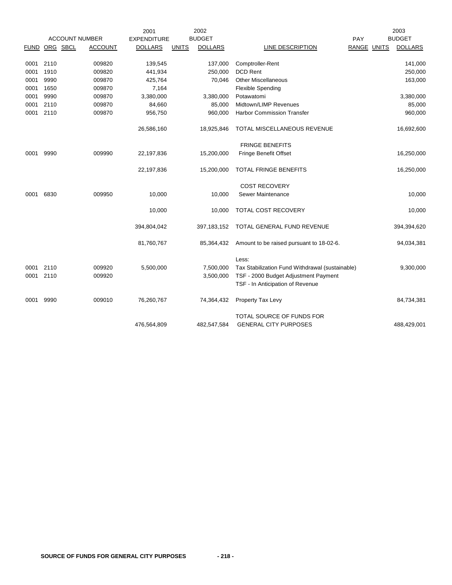|             |          |                       | 2001               |              | 2002           |                                                 |                    | 2003           |
|-------------|----------|-----------------------|--------------------|--------------|----------------|-------------------------------------------------|--------------------|----------------|
|             |          | <b>ACCOUNT NUMBER</b> | <b>EXPENDITURE</b> |              | <b>BUDGET</b>  |                                                 | PAY                | <b>BUDGET</b>  |
| <b>FUND</b> | ORG SBCL | <b>ACCOUNT</b>        | <b>DOLLARS</b>     | <b>UNITS</b> | <b>DOLLARS</b> | LINE DESCRIPTION                                | <b>RANGE UNITS</b> | <b>DOLLARS</b> |
| 0001        | 2110     | 009820                | 139,545            |              | 137,000        | Comptroller-Rent                                |                    | 141,000        |
| 0001        | 1910     | 009820                | 441,934            |              | 250,000        | <b>DCD Rent</b>                                 |                    | 250,000        |
| 0001        | 9990     | 009870                | 425,764            |              | 70,046         | <b>Other Miscellaneous</b>                      |                    | 163,000        |
| 0001        | 1650     | 009870                | 7,164              |              |                | <b>Flexible Spending</b>                        |                    |                |
| 0001        | 9990     | 009870                | 3,380,000          |              | 3,380,000      | Potawatomi                                      |                    | 3,380,000      |
| 0001        | 2110     | 009870                | 84,660             |              | 85,000         | Midtown/LIMP Revenues                           |                    | 85,000         |
| 0001        | 2110     | 009870                | 956,750            |              | 960,000        | <b>Harbor Commission Transfer</b>               |                    | 960,000        |
|             |          |                       | 26,586,160         |              | 18,925,846     | TOTAL MISCELLANEOUS REVENUE                     |                    | 16,692,600     |
|             |          |                       |                    |              |                | <b>FRINGE BENEFITS</b>                          |                    |                |
| 0001        | 9990     | 009990                | 22,197,836         |              | 15,200,000     | Fringe Benefit Offset                           |                    | 16,250,000     |
|             |          |                       | 22,197,836         |              | 15,200,000     | TOTAL FRINGE BENEFITS                           |                    | 16,250,000     |
|             |          |                       |                    |              |                | <b>COST RECOVERY</b>                            |                    |                |
| 0001        | 6830     | 009950                | 10,000             |              | 10,000         | Sewer Maintenance                               |                    | 10,000         |
|             |          |                       | 10,000             |              | 10,000         | TOTAL COST RECOVERY                             |                    | 10,000         |
|             |          |                       | 394,804,042        |              | 397, 183, 152  | TOTAL GENERAL FUND REVENUE                      |                    | 394,394,620    |
|             |          |                       | 81,760,767         |              | 85,364,432     | Amount to be raised pursuant to 18-02-6.        |                    | 94,034,381     |
|             |          |                       |                    |              |                | Less:                                           |                    |                |
| 0001        | 2110     | 009920                | 5,500,000          |              | 7,500,000      | Tax Stabilization Fund Withdrawal (sustainable) |                    | 9,300,000      |
| 0001        | 2110     | 009920                |                    |              | 3,500,000      | TSF - 2000 Budget Adjustment Payment            |                    |                |
|             |          |                       |                    |              |                | TSF - In Anticipation of Revenue                |                    |                |
| 0001        | 9990     | 009010                | 76,260,767         |              | 74,364,432     | Property Tax Levy                               |                    | 84,734,381     |
|             |          |                       |                    |              |                | TOTAL SOURCE OF FUNDS FOR                       |                    |                |
|             |          |                       | 476,564,809        |              | 482,547,584    | <b>GENERAL CITY PURPOSES</b>                    |                    | 488,429,001    |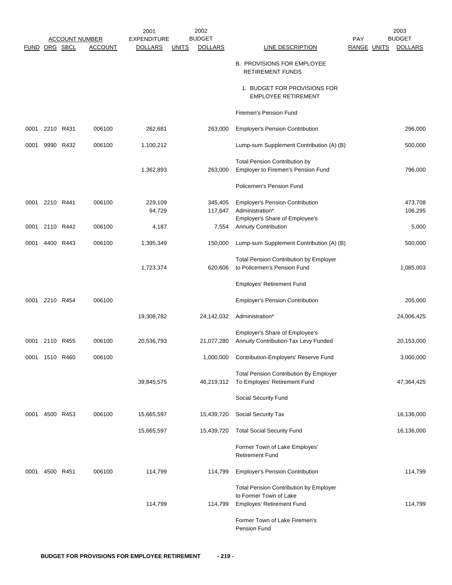|               |                |           |                       | 2001               |              | 2002           |                                                                              |             | 2003           |
|---------------|----------------|-----------|-----------------------|--------------------|--------------|----------------|------------------------------------------------------------------------------|-------------|----------------|
|               |                |           | <b>ACCOUNT NUMBER</b> | <b>EXPENDITURE</b> |              | <b>BUDGET</b>  |                                                                              | PAY         | <b>BUDGET</b>  |
| FUND ORG SBCL |                |           | <b>ACCOUNT</b>        | <b>DOLLARS</b>     | <b>UNITS</b> | <b>DOLLARS</b> | <b>LINE DESCRIPTION</b>                                                      | RANGE UNITS | <b>DOLLARS</b> |
|               |                |           |                       |                    |              |                | <b>B. PROVISIONS FOR EMPLOYEE</b><br><b>RETIREMENT FUNDS</b>                 |             |                |
|               |                |           |                       |                    |              |                | 1. BUDGET FOR PROVISIONS FOR<br><b>EMPLOYEE RETIREMENT</b>                   |             |                |
|               |                |           |                       |                    |              |                | Firemen's Pension Fund                                                       |             |                |
| 0001          | 2210           | R431      | 006100                | 262,681            |              | 263,000        | <b>Employer's Pension Contribution</b>                                       |             | 296,000        |
| 0001          |                | 9990 R432 | 006100                | 1,100,212          |              |                | Lump-sum Supplement Contribution (A) (B)                                     |             | 500,000        |
|               |                |           |                       |                    |              |                |                                                                              |             |                |
|               |                |           |                       | 1,362,893          |              | 263,000        | <b>Total Pension Contribution by</b><br>Employer to Firemen's Pension Fund   |             | 796,000        |
|               |                |           |                       |                    |              |                | Policemen's Pension Fund                                                     |             |                |
| 0001          | 2210 R441      |           | 006100                | 229,109            |              | 345,405        | <b>Employer's Pension Contribution</b>                                       |             | 473,708        |
|               |                |           |                       | 94,729             |              | 117,647        | Administration*                                                              |             | 106,295        |
| 0001          | 2110 R442      |           | 006100                | 4,187              |              | 7,554          | Employer's Share of Employee's<br><b>Annuity Contribution</b>                |             | 5,000          |
| 0001          |                | 4400 R443 | 006100                | 1,395,349          |              | 150,000        | Lump-sum Supplement Contribution (A) (B)                                     |             | 500,000        |
|               |                |           |                       |                    |              |                |                                                                              |             |                |
|               |                |           |                       | 1,723,374          |              | 620,606        | <b>Total Pension Contribution by Employer</b><br>to Policemen's Pension Fund |             | 1,085,003      |
|               |                |           |                       |                    |              |                | Employes' Retirement Fund                                                    |             |                |
| 0001          | 2210 R454      |           | 006100                |                    |              |                | <b>Employer's Pension Contribution</b>                                       |             | 205,000        |
|               |                |           |                       | 19,308,782         |              | 24,142,032     | Administration*                                                              |             | 24,006,425     |
|               |                |           |                       |                    |              |                |                                                                              |             |                |
|               |                |           |                       |                    |              |                | Employer's Share of Employee's                                               |             |                |
|               | 0001 2110 R455 |           | 006100                | 20,536,793         |              | 21,077,280     | Annuity Contribution-Tax Levy Funded                                         |             | 20,153,000     |
| 0001          | 1510           | R460      | 006100                |                    |              | 1,000,000      | Contribution-Employers' Reserve Fund                                         |             | 3,000,000      |
|               |                |           |                       |                    |              |                | <b>Total Pension Contribution By Employer</b>                                |             |                |
|               |                |           |                       | 39,845,575         |              | 46,219,312     | To Employes' Retirement Fund                                                 |             | 47,364,425     |
|               |                |           |                       |                    |              |                | Social Security Fund                                                         |             |                |
| 0001          |                | 4500 R453 | 006100                | 15,665,597         |              | 15,439,720     | Social Security Tax                                                          |             | 16,136,000     |
|               |                |           |                       | 15,665,597         |              | 15,439,720     | <b>Total Social Security Fund</b>                                            |             | 16,136,000     |
|               |                |           |                       |                    |              |                | Former Town of Lake Employes'<br><b>Retirement Fund</b>                      |             |                |
| 0001          |                | 4500 R451 | 006100                | 114,799            |              | 114,799        | <b>Employer's Pension Contribution</b>                                       |             | 114,799        |
|               |                |           |                       |                    |              |                | <b>Total Pension Contribution by Employer</b>                                |             |                |
|               |                |           |                       |                    |              |                | to Former Town of Lake                                                       |             |                |
|               |                |           |                       | 114,799            |              | 114,799        | <b>Employes' Retirement Fund</b>                                             |             | 114,799        |
|               |                |           |                       |                    |              |                | Former Town of Lake Firemen's<br>Pension Fund                                |             |                |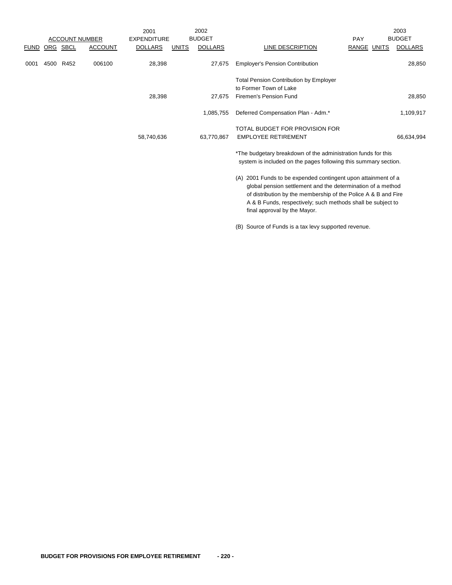|             |      |      |                       | 2001               |              | 2002           |                                                                                                                                                                                                                                                                                                  |                    | 2003           |
|-------------|------|------|-----------------------|--------------------|--------------|----------------|--------------------------------------------------------------------------------------------------------------------------------------------------------------------------------------------------------------------------------------------------------------------------------------------------|--------------------|----------------|
|             |      |      | <b>ACCOUNT NUMBER</b> | <b>EXPENDITURE</b> |              | <b>BUDGET</b>  |                                                                                                                                                                                                                                                                                                  | PAY                | <b>BUDGET</b>  |
| <b>FUND</b> | ORG  | SBCL | <b>ACCOUNT</b>        | <b>DOLLARS</b>     | <b>UNITS</b> | <b>DOLLARS</b> | LINE DESCRIPTION                                                                                                                                                                                                                                                                                 | <b>RANGE UNITS</b> | <b>DOLLARS</b> |
| 0001        | 4500 | R452 | 006100                | 28,398             |              | 27,675         | <b>Employer's Pension Contribution</b>                                                                                                                                                                                                                                                           |                    | 28,850         |
|             |      |      |                       |                    |              |                | <b>Total Pension Contribution by Employer</b><br>to Former Town of Lake                                                                                                                                                                                                                          |                    |                |
|             |      |      |                       | 28,398             |              | 27,675         | Firemen's Pension Fund                                                                                                                                                                                                                                                                           |                    | 28,850         |
|             |      |      |                       |                    |              | 1,085,755      | Deferred Compensation Plan - Adm.*                                                                                                                                                                                                                                                               |                    | 1,109,917      |
|             |      |      |                       | 58,740,636         |              | 63.770.867     | TOTAL BUDGET FOR PROVISION FOR<br><b>EMPLOYEE RETIREMENT</b>                                                                                                                                                                                                                                     |                    | 66,634,994     |
|             |      |      |                       |                    |              |                | *The budgetary breakdown of the administration funds for this<br>system is included on the pages following this summary section.                                                                                                                                                                 |                    |                |
|             |      |      |                       |                    |              |                | 2001 Funds to be expended contingent upon attainment of a<br>(A)<br>global pension settlement and the determination of a method<br>of distribution by the membership of the Police A & B and Fire<br>A & B Funds, respectively; such methods shall be subject to<br>final approval by the Mayor. |                    |                |

(B) Source of Funds is a tax levy supported revenue.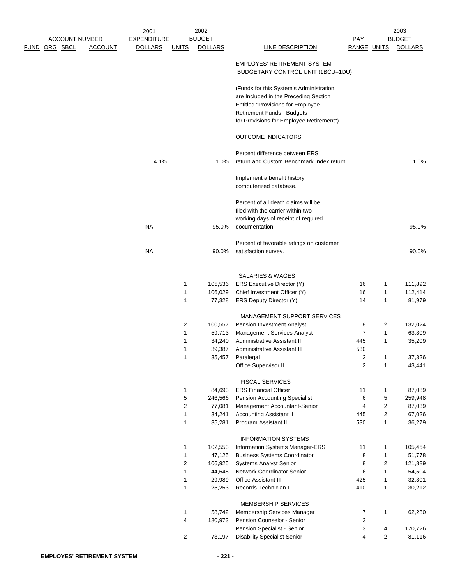|                       |                | 2001               |              | 2002              |                                                                                                                                                                                                               |                     |                         | 2003              |
|-----------------------|----------------|--------------------|--------------|-------------------|---------------------------------------------------------------------------------------------------------------------------------------------------------------------------------------------------------------|---------------------|-------------------------|-------------------|
| <b>ACCOUNT NUMBER</b> |                | <b>EXPENDITURE</b> |              | <b>BUDGET</b>     |                                                                                                                                                                                                               | PAY                 |                         | <b>BUDGET</b>     |
| <u>FUND ORG SBCL</u>  | <b>ACCOUNT</b> | <u>DOLLARS</u>     | <u>UNITS</u> | <b>DOLLARS</b>    | <b>LINE DESCRIPTION</b>                                                                                                                                                                                       | <b>RANGE UNITS</b>  |                         | <b>DOLLARS</b>    |
|                       |                |                    |              |                   | <b>EMPLOYES' RETIREMENT SYSTEM</b><br>BUDGETARY CONTROL UNIT (1BCU=1DU)                                                                                                                                       |                     |                         |                   |
|                       |                |                    |              |                   | (Funds for this System's Administration<br>are Included in the Preceding Section<br><b>Entitled "Provisions for Employee</b><br><b>Retirement Funds - Budgets</b><br>for Provisions for Employee Retirement") |                     |                         |                   |
|                       |                |                    |              |                   | <b>OUTCOME INDICATORS:</b>                                                                                                                                                                                    |                     |                         |                   |
|                       |                | 4.1%               |              | 1.0%              | Percent difference between ERS<br>return and Custom Benchmark Index return.                                                                                                                                   |                     |                         | 1.0%              |
|                       |                |                    |              |                   | Implement a benefit history<br>computerized database.                                                                                                                                                         |                     |                         |                   |
|                       |                |                    |              |                   | Percent of all death claims will be<br>filed with the carrier within two                                                                                                                                      |                     |                         |                   |
|                       |                | <b>NA</b>          |              | 95.0%             | working days of receipt of required<br>documentation.                                                                                                                                                         |                     |                         | 95.0%             |
|                       |                |                    |              |                   | Percent of favorable ratings on customer                                                                                                                                                                      |                     |                         |                   |
|                       |                | <b>NA</b>          |              | 90.0%             | satisfaction survey.                                                                                                                                                                                          |                     |                         | 90.0%             |
|                       |                |                    |              |                   | <b>SALARIES &amp; WAGES</b>                                                                                                                                                                                   |                     |                         |                   |
|                       |                |                    | 1            | 105,536           | ERS Executive Director (Y)                                                                                                                                                                                    | 16                  | 1                       | 111,892           |
|                       |                |                    | 1<br>1       | 106,029<br>77,328 | Chief Investment Officer (Y)<br>ERS Deputy Director (Y)                                                                                                                                                       | 16<br>14            | 1<br>$\mathbf{1}$       | 112,414<br>81,979 |
|                       |                |                    |              |                   |                                                                                                                                                                                                               |                     |                         |                   |
|                       |                |                    |              |                   | <b>MANAGEMENT SUPPORT SERVICES</b>                                                                                                                                                                            |                     |                         |                   |
|                       |                |                    | 2            | 100,557           | <b>Pension Investment Analyst</b>                                                                                                                                                                             | 8                   | 2                       | 132,024           |
|                       |                |                    | 1            | 59,713            | <b>Management Services Analyst</b>                                                                                                                                                                            | 7                   | 1                       | 63,309            |
|                       |                |                    | 1            | 34,240            | Administrative Assistant II                                                                                                                                                                                   | 445                 | 1                       | 35,209            |
|                       |                |                    | 1            | 39,387            | Administrative Assistant III                                                                                                                                                                                  | 530                 |                         |                   |
|                       |                |                    | 1            | 35,457            | Paralegal<br>Office Supervisor II                                                                                                                                                                             | 2<br>$\overline{2}$ | 1<br>$\mathbf{1}$       | 37,326<br>43,441  |
|                       |                |                    |              |                   |                                                                                                                                                                                                               |                     |                         |                   |
|                       |                |                    |              |                   | <b>FISCAL SERVICES</b>                                                                                                                                                                                        |                     |                         |                   |
|                       |                |                    | 1            | 84,693            | <b>ERS Financial Officer</b>                                                                                                                                                                                  | 11                  | $\mathbf{1}$            | 87,089            |
|                       |                |                    | 5<br>2       | 246,566           | Pension Accounting Specialist                                                                                                                                                                                 | 6<br>4              | 5<br>2                  | 259,948           |
|                       |                |                    | 1            | 77,081<br>34,241  | Management Accountant-Senior<br><b>Accounting Assistant II</b>                                                                                                                                                | 445                 | $\overline{\mathbf{c}}$ | 87,039<br>67,026  |
|                       |                |                    | 1            | 35,281            | Program Assistant II                                                                                                                                                                                          | 530                 | $\mathbf{1}$            | 36,279            |
|                       |                |                    |              |                   | <b>INFORMATION SYSTEMS</b>                                                                                                                                                                                    |                     |                         |                   |
|                       |                |                    | 1            | 102,553           | Information Systems Manager-ERS                                                                                                                                                                               | 11                  | 1                       | 105,454           |
|                       |                |                    | 1            | 47,125            | <b>Business Systems Coordinator</b>                                                                                                                                                                           | 8                   | 1                       | 51,778            |
|                       |                |                    | 2            | 106,925           | <b>Systems Analyst Senior</b>                                                                                                                                                                                 | 8                   | $\sqrt{2}$              | 121,889           |
|                       |                |                    | 1            | 44,645            | Network Coordinator Senior                                                                                                                                                                                    | 6                   | $\mathbf{1}$            | 54,504            |
|                       |                |                    | 1            | 29,989            | <b>Office Assistant III</b>                                                                                                                                                                                   | 425                 | $\mathbf{1}$            | 32,301            |
|                       |                |                    | 1            | 25,253            | Records Technician II                                                                                                                                                                                         | 410                 | $\mathbf{1}$            | 30,212            |
|                       |                |                    | 1            | 58,742            | MEMBERSHIP SERVICES<br>Membership Services Manager                                                                                                                                                            | 7                   | $\mathbf{1}$            | 62,280            |
|                       |                |                    | 4            | 180,973           | Pension Counselor - Senior                                                                                                                                                                                    | 3                   |                         |                   |
|                       |                |                    |              |                   | Pension Specialist - Senior                                                                                                                                                                                   | 3                   | 4                       | 170,726           |
|                       |                |                    | 2            | 73,197            | <b>Disability Specialist Senior</b>                                                                                                                                                                           | 4                   | $\overline{2}$          | 81,116            |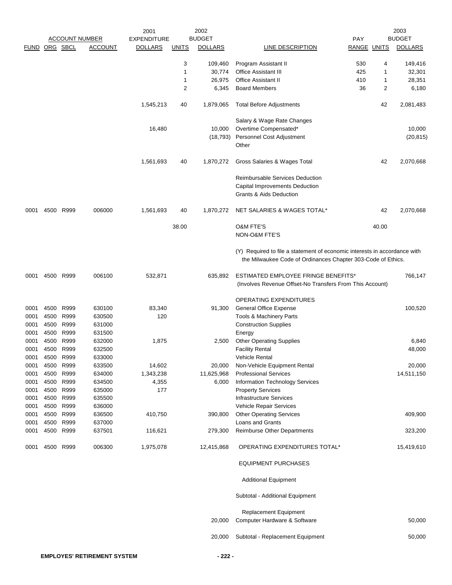|                      |      |           |                       | 2001               |              | 2002           |                                                                                                                                           |                    |       | 2003           |
|----------------------|------|-----------|-----------------------|--------------------|--------------|----------------|-------------------------------------------------------------------------------------------------------------------------------------------|--------------------|-------|----------------|
|                      |      |           | <b>ACCOUNT NUMBER</b> | <b>EXPENDITURE</b> |              | <b>BUDGET</b>  |                                                                                                                                           | <b>PAY</b>         |       | <b>BUDGET</b>  |
| <b>FUND ORG SBCL</b> |      |           | <b>ACCOUNT</b>        | <b>DOLLARS</b>     | <b>UNITS</b> | <b>DOLLARS</b> | <b>LINE DESCRIPTION</b>                                                                                                                   | <b>RANGE UNITS</b> |       | <b>DOLLARS</b> |
|                      |      |           |                       |                    | 3            | 109,460        | Program Assistant II                                                                                                                      | 530                | 4     | 149,416        |
|                      |      |           |                       |                    | 1            | 30,774         | <b>Office Assistant III</b>                                                                                                               | 425                | 1     | 32,301         |
|                      |      |           |                       |                    | 1            | 26,975         | <b>Office Assistant II</b>                                                                                                                | 410                | 1     | 28,351         |
|                      |      |           |                       |                    | 2            | 6,345          | <b>Board Members</b>                                                                                                                      | 36                 | 2     | 6,180          |
|                      |      |           |                       |                    |              |                |                                                                                                                                           |                    |       |                |
|                      |      |           |                       | 1,545,213          | 40           | 1,879,065      | <b>Total Before Adjustments</b>                                                                                                           |                    | 42    | 2,081,483      |
|                      |      |           |                       |                    |              |                | Salary & Wage Rate Changes                                                                                                                |                    |       |                |
|                      |      |           |                       | 16,480             |              | 10,000         | Overtime Compensated*                                                                                                                     |                    |       | 10,000         |
|                      |      |           |                       |                    |              | (18, 793)      | Personnel Cost Adjustment                                                                                                                 |                    |       | (20, 815)      |
|                      |      |           |                       |                    |              |                | Other                                                                                                                                     |                    |       |                |
|                      |      |           |                       | 1,561,693          | 40           | 1,870,272      | Gross Salaries & Wages Total                                                                                                              |                    | 42    | 2,070,668      |
|                      |      |           |                       |                    |              |                | <b>Reimbursable Services Deduction</b>                                                                                                    |                    |       |                |
|                      |      |           |                       |                    |              |                | Capital Improvements Deduction                                                                                                            |                    |       |                |
|                      |      |           |                       |                    |              |                | Grants & Aids Deduction                                                                                                                   |                    |       |                |
| 0001                 |      | 4500 R999 | 006000                | 1,561,693          | 40           | 1,870,272      | NET SALARIES & WAGES TOTAL*                                                                                                               |                    | 42    | 2,070,668      |
|                      |      |           |                       |                    |              |                |                                                                                                                                           |                    |       |                |
|                      |      |           |                       |                    | 38.00        |                | <b>O&amp;M FTE'S</b><br>NON-O&M FTE'S                                                                                                     |                    | 40.00 |                |
|                      |      |           |                       |                    |              |                |                                                                                                                                           |                    |       |                |
|                      |      |           |                       |                    |              |                | (Y) Required to file a statement of economic interests in accordance with<br>the Milwaukee Code of Ordinances Chapter 303-Code of Ethics. |                    |       |                |
| 0001                 |      | 4500 R999 | 006100                | 532,871            |              | 635,892        | ESTIMATED EMPLOYEE FRINGE BENEFITS*<br>(Involves Revenue Offset-No Transfers From This Account)                                           |                    |       | 766,147        |
|                      |      |           |                       |                    |              |                |                                                                                                                                           |                    |       |                |
|                      |      |           |                       |                    |              |                | <b>OPERATING EXPENDITURES</b>                                                                                                             |                    |       |                |
| 0001                 | 4500 | R999      | 630100                | 83,340             |              | 91,300         | <b>General Office Expense</b>                                                                                                             |                    |       | 100,520        |
| 0001                 | 4500 | R999      | 630500                | 120                |              |                | <b>Tools &amp; Machinery Parts</b>                                                                                                        |                    |       |                |
| 0001                 | 4500 | R999      | 631000                |                    |              |                | <b>Construction Supplies</b>                                                                                                              |                    |       |                |
| 0001                 | 4500 | R999      | 631500                |                    |              |                | Energy                                                                                                                                    |                    |       |                |
| 0001                 | 4500 | R999      | 632000                | 1,875              |              | 2,500          | <b>Other Operating Supplies</b>                                                                                                           |                    |       | 6,840          |
| 0001                 | 4500 | R999      | 632500                |                    |              |                | <b>Facility Rental</b>                                                                                                                    |                    |       | 48,000         |
| 0001                 | 4500 | R999      | 633000                |                    |              |                | Vehicle Rental                                                                                                                            |                    |       |                |
| 0001                 | 4500 | R999      | 633500                | 14,602             |              | 20,000         | Non-Vehicle Equipment Rental                                                                                                              |                    |       | 20,000         |
| 0001                 | 4500 | R999      | 634000                | 1,343,238          |              | 11,625,968     | <b>Professional Services</b>                                                                                                              |                    |       | 14,511,150     |
| 0001                 | 4500 | R999      | 634500                | 4,355              |              | 6,000          | Information Technology Services                                                                                                           |                    |       |                |
| 0001                 | 4500 | R999      | 635000                | 177                |              |                | <b>Property Services</b>                                                                                                                  |                    |       |                |
| 0001                 | 4500 | R999      | 635500                |                    |              |                | <b>Infrastructure Services</b>                                                                                                            |                    |       |                |
| 0001                 | 4500 | R999      | 636000                |                    |              |                | Vehicle Repair Services                                                                                                                   |                    |       |                |
| 0001                 | 4500 | R999      | 636500                | 410,750            |              | 390,800        | <b>Other Operating Services</b>                                                                                                           |                    |       | 409,900        |
| 0001                 | 4500 | R999      | 637000                |                    |              |                | <b>Loans and Grants</b>                                                                                                                   |                    |       |                |
| 0001                 | 4500 | R999      | 637501                | 116,621            |              | 279,300        | Reimburse Other Departments                                                                                                               |                    |       | 323,200        |
| 0001                 |      | 4500 R999 | 006300                | 1,975,078          |              | 12,415,868     | OPERATING EXPENDITURES TOTAL*                                                                                                             |                    |       | 15,419,610     |
|                      |      |           |                       |                    |              |                | <b>EQUIPMENT PURCHASES</b>                                                                                                                |                    |       |                |
|                      |      |           |                       |                    |              |                | <b>Additional Equipment</b>                                                                                                               |                    |       |                |
|                      |      |           |                       |                    |              |                | Subtotal - Additional Equipment                                                                                                           |                    |       |                |
|                      |      |           |                       |                    |              |                | <b>Replacement Equipment</b>                                                                                                              |                    |       |                |
|                      |      |           |                       |                    |              | 20,000         | Computer Hardware & Software                                                                                                              |                    |       | 50,000         |
|                      |      |           |                       |                    |              | 20,000         | Subtotal - Replacement Equipment                                                                                                          |                    |       | 50,000         |
|                      |      |           |                       |                    |              |                |                                                                                                                                           |                    |       |                |
|                      |      |           |                       |                    |              |                |                                                                                                                                           |                    |       |                |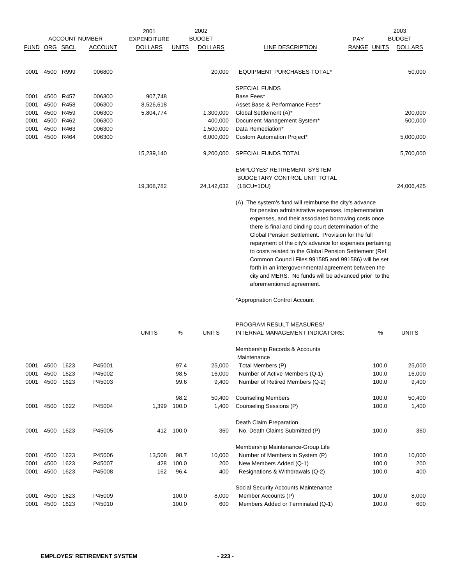|             |      |          |                       | 2001               |              | 2002           |                                                                                                                                                                                                                                                                                                                                                                                                                                                                                                                                                                                                               |             | 2003           |
|-------------|------|----------|-----------------------|--------------------|--------------|----------------|---------------------------------------------------------------------------------------------------------------------------------------------------------------------------------------------------------------------------------------------------------------------------------------------------------------------------------------------------------------------------------------------------------------------------------------------------------------------------------------------------------------------------------------------------------------------------------------------------------------|-------------|----------------|
|             |      |          | <b>ACCOUNT NUMBER</b> | <b>EXPENDITURE</b> |              | <b>BUDGET</b>  |                                                                                                                                                                                                                                                                                                                                                                                                                                                                                                                                                                                                               | <b>PAY</b>  | <b>BUDGET</b>  |
| <b>FUND</b> |      | ORG SBCL | <b>ACCOUNT</b>        | <b>DOLLARS</b>     | <b>UNITS</b> | <b>DOLLARS</b> | LINE DESCRIPTION                                                                                                                                                                                                                                                                                                                                                                                                                                                                                                                                                                                              | RANGE UNITS | <b>DOLLARS</b> |
|             |      |          |                       |                    |              |                |                                                                                                                                                                                                                                                                                                                                                                                                                                                                                                                                                                                                               |             |                |
| 0001        | 4500 | R999     | 006800                |                    |              | 20,000         | <b>EQUIPMENT PURCHASES TOTAL*</b>                                                                                                                                                                                                                                                                                                                                                                                                                                                                                                                                                                             |             | 50,000         |
|             |      |          |                       |                    |              |                | <b>SPECIAL FUNDS</b>                                                                                                                                                                                                                                                                                                                                                                                                                                                                                                                                                                                          |             |                |
| 0001        | 4500 | R457     | 006300                | 907,748            |              |                | Base Fees*                                                                                                                                                                                                                                                                                                                                                                                                                                                                                                                                                                                                    |             |                |
| 0001        | 4500 | R458     | 006300                | 8,526,618          |              |                | Asset Base & Performance Fees*                                                                                                                                                                                                                                                                                                                                                                                                                                                                                                                                                                                |             |                |
| 0001        | 4500 | R459     | 006300                | 5,804,774          |              | 1,300,000      | Global Settlement (A)*                                                                                                                                                                                                                                                                                                                                                                                                                                                                                                                                                                                        |             | 200,000        |
| 0001        | 4500 | R462     | 006300                |                    |              | 400,000        | Document Management System*                                                                                                                                                                                                                                                                                                                                                                                                                                                                                                                                                                                   |             | 500,000        |
| 0001        | 4500 | R463     | 006300                |                    |              | 1,500,000      | Data Remediation*                                                                                                                                                                                                                                                                                                                                                                                                                                                                                                                                                                                             |             |                |
| 0001        | 4500 | R464     | 006300                |                    |              | 6,000,000      | Custom Automation Project*                                                                                                                                                                                                                                                                                                                                                                                                                                                                                                                                                                                    |             | 5,000,000      |
|             |      |          |                       | 15,239,140         |              | 9,200,000      | SPECIAL FUNDS TOTAL                                                                                                                                                                                                                                                                                                                                                                                                                                                                                                                                                                                           |             | 5,700,000      |
|             |      |          |                       |                    |              |                | <b>EMPLOYES' RETIREMENT SYSTEM</b>                                                                                                                                                                                                                                                                                                                                                                                                                                                                                                                                                                            |             |                |
|             |      |          |                       |                    |              |                | <b>BUDGETARY CONTROL UNIT TOTAL</b>                                                                                                                                                                                                                                                                                                                                                                                                                                                                                                                                                                           |             |                |
|             |      |          |                       | 19,308,782         |              | 24,142,032     | $(1BCU=1DU)$                                                                                                                                                                                                                                                                                                                                                                                                                                                                                                                                                                                                  |             | 24,006,425     |
|             |      |          |                       |                    |              |                | (A) The system's fund will reimburse the city's advance<br>for pension administrative expenses, implementation<br>expenses, and their associated borrowing costs once<br>there is final and binding court determination of the<br>Global Pension Settlement. Provision for the full<br>repayment of the city's advance for expenses pertaining<br>to costs related to the Global Pension Settlement (Ref.<br>Common Council Files 991585 and 991586) will be set<br>forth in an intergovernmental agreement between the<br>city and MERS. No funds will be advanced prior to the<br>aforementioned agreement. |             |                |

\*Appropriation Control Account

|      |      |      |        |              |       |              | PROGRAM RESULT MEASURES/             |       |              |
|------|------|------|--------|--------------|-------|--------------|--------------------------------------|-------|--------------|
|      |      |      |        | <b>UNITS</b> | %     | <b>UNITS</b> | INTERNAL MANAGEMENT INDICATORS:      | %     | <b>UNITS</b> |
|      |      |      |        |              |       |              | Membership Records & Accounts        |       |              |
|      |      |      |        |              |       |              | Maintenance                          |       |              |
| 0001 | 4500 | 1623 | P45001 |              | 97.4  | 25,000       | Total Members (P)                    | 100.0 | 25,000       |
| 0001 | 4500 | 1623 | P45002 |              | 98.5  | 16,000       | Number of Active Members (Q-1)       | 100.0 | 16,000       |
| 0001 | 4500 | 1623 | P45003 |              | 99.6  | 9,400        | Number of Retired Members (Q-2)      | 100.0 | 9,400        |
|      |      |      |        |              | 98.2  | 50,400       | <b>Counseling Members</b>            | 100.0 | 50,400       |
| 0001 | 4500 | 1622 | P45004 | 1,399        | 100.0 | 1,400        | Counseling Sessions (P)              | 100.0 | 1,400        |
|      |      |      |        |              |       |              | Death Claim Preparation              |       |              |
| 0001 | 4500 | 1623 | P45005 | 412          | 100.0 | 360          | No. Death Claims Submitted (P)       | 100.0 | 360          |
|      |      |      |        |              |       |              | Membership Maintenance-Group Life    |       |              |
| 0001 | 4500 | 1623 | P45006 | 13,508       | 98.7  | 10,000       | Number of Members in System (P)      | 100.0 | 10,000       |
| 0001 | 4500 | 1623 | P45007 | 428          | 100.0 | 200          | New Members Added (Q-1)              | 100.0 | 200          |
| 0001 | 4500 | 1623 | P45008 | 162          | 96.4  | 400          | Resignations & Withdrawals (Q-2)     | 100.0 | 400          |
|      |      |      |        |              |       |              | Social Security Accounts Maintenance |       |              |
| 0001 | 4500 | 1623 | P45009 |              | 100.0 | 8,000        | Member Accounts (P)                  | 100.0 | 8,000        |
| 0001 | 4500 | 1623 | P45010 |              | 100.0 | 600          | Members Added or Terminated (Q-1)    | 100.0 | 600          |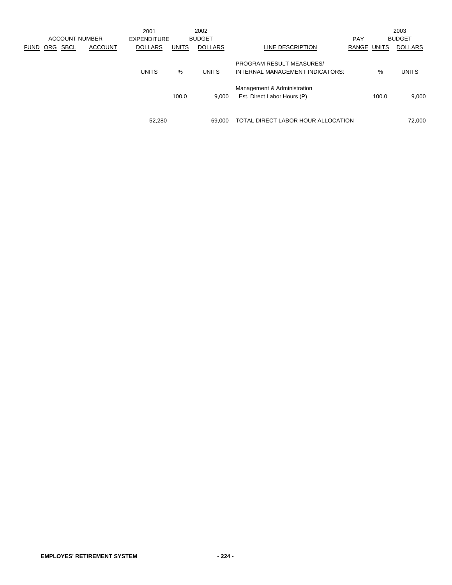|      |     | <b>ACCOUNT NUMBER</b> |                | 2001<br><b>EXPENDITURE</b> |              | 2002<br><b>BUDGET</b> |                                                                    | <b>PAY</b>  |       | 2003<br><b>BUDGET</b> |
|------|-----|-----------------------|----------------|----------------------------|--------------|-----------------------|--------------------------------------------------------------------|-------------|-------|-----------------------|
| FUND | ORG | SBCL                  | <b>ACCOUNT</b> | <b>DOLLARS</b>             | <b>UNITS</b> | <b>DOLLARS</b>        | LINE DESCRIPTION                                                   | RANGE UNITS |       | <b>DOLLARS</b>        |
|      |     |                       |                | <b>UNITS</b>               | %            | <b>UNITS</b>          | <b>PROGRAM RESULT MEASURES/</b><br>INTERNAL MANAGEMENT INDICATORS: |             | $\%$  | <b>UNITS</b>          |
|      |     |                       |                |                            | 100.0        | 9,000                 | Management & Administration<br>Est. Direct Labor Hours (P)         |             | 100.0 | 9,000                 |
|      |     |                       |                | 52,280                     |              | 69.000                | TOTAL DIRECT LABOR HOUR ALLOCATION                                 |             |       | 72,000                |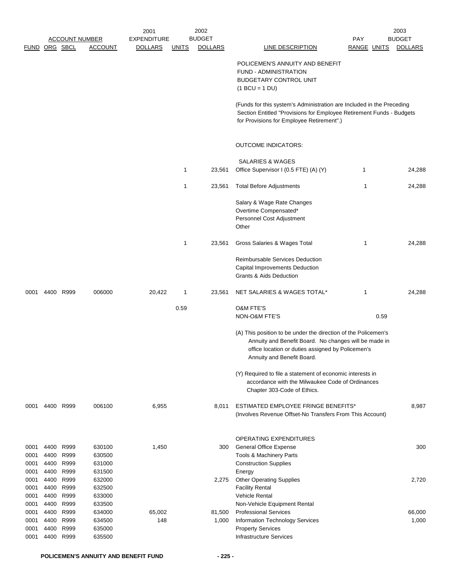|               |              |                       |                  | 2001               |              | 2002           |                                                                                                                                                                              |             |      | 2003           |
|---------------|--------------|-----------------------|------------------|--------------------|--------------|----------------|------------------------------------------------------------------------------------------------------------------------------------------------------------------------------|-------------|------|----------------|
|               |              | <b>ACCOUNT NUMBER</b> |                  | <b>EXPENDITURE</b> |              | <b>BUDGET</b>  |                                                                                                                                                                              | PAY         |      | <b>BUDGET</b>  |
| FUND ORG SBCL |              |                       | <b>ACCOUNT</b>   | <b>DOLLARS</b>     | <u>UNITS</u> | <b>DOLLARS</b> | <b>LINE DESCRIPTION</b>                                                                                                                                                      | RANGE UNITS |      | <b>DOLLARS</b> |
|               |              |                       |                  |                    |              |                | POLICEMEN'S ANNUITY AND BENEFIT                                                                                                                                              |             |      |                |
|               |              |                       |                  |                    |              |                | <b>FUND - ADMINISTRATION</b>                                                                                                                                                 |             |      |                |
|               |              |                       |                  |                    |              |                | BUDGETARY CONTROL UNIT                                                                                                                                                       |             |      |                |
|               |              |                       |                  |                    |              |                | $(1 BCU = 1 DU)$                                                                                                                                                             |             |      |                |
|               |              |                       |                  |                    |              |                | (Funds for this system's Administration are Included in the Preceding                                                                                                        |             |      |                |
|               |              |                       |                  |                    |              |                | Section Entitled "Provisions for Employee Retirement Funds - Budgets<br>for Provisions for Employee Retirement".)                                                            |             |      |                |
|               |              |                       |                  |                    |              |                | <b>OUTCOME INDICATORS:</b>                                                                                                                                                   |             |      |                |
|               |              |                       |                  |                    |              |                |                                                                                                                                                                              |             |      |                |
|               |              |                       |                  |                    |              |                | <b>SALARIES &amp; WAGES</b>                                                                                                                                                  |             |      |                |
|               |              |                       |                  |                    | $\mathbf{1}$ | 23,561         | Office Supervisor I (0.5 FTE) (A) (Y)                                                                                                                                        | 1           |      | 24,288         |
|               |              |                       |                  |                    | 1            | 23,561         | <b>Total Before Adjustments</b>                                                                                                                                              | 1           |      | 24,288         |
|               |              |                       |                  |                    |              |                | Salary & Wage Rate Changes                                                                                                                                                   |             |      |                |
|               |              |                       |                  |                    |              |                | Overtime Compensated*                                                                                                                                                        |             |      |                |
|               |              |                       |                  |                    |              |                | Personnel Cost Adjustment<br>Other                                                                                                                                           |             |      |                |
|               |              |                       |                  |                    | $\mathbf{1}$ | 23,561         | Gross Salaries & Wages Total                                                                                                                                                 | 1           |      | 24,288         |
|               |              |                       |                  |                    |              |                | Reimbursable Services Deduction                                                                                                                                              |             |      |                |
|               |              |                       |                  |                    |              |                | Capital Improvements Deduction                                                                                                                                               |             |      |                |
|               |              |                       |                  |                    |              |                | <b>Grants &amp; Aids Deduction</b>                                                                                                                                           |             |      |                |
| 0001          |              | 4400 R999             | 006000           | 20,422             | 1            | 23,561         | NET SALARIES & WAGES TOTAL*                                                                                                                                                  | 1           |      | 24,288         |
|               |              |                       |                  |                    | 0.59         |                | <b>O&amp;M FTE'S</b>                                                                                                                                                         |             |      |                |
|               |              |                       |                  |                    |              |                | NON-O&M FTE'S                                                                                                                                                                |             | 0.59 |                |
|               |              |                       |                  |                    |              |                | (A) This position to be under the direction of the Policemen's<br>Annuity and Benefit Board. No changes will be made in<br>office location or duties assigned by Policemen's |             |      |                |
|               |              |                       |                  |                    |              |                | Annuity and Benefit Board.                                                                                                                                                   |             |      |                |
|               |              |                       |                  |                    |              |                | (Y) Required to file a statement of economic interests in                                                                                                                    |             |      |                |
|               |              |                       |                  |                    |              |                | accordance with the Milwaukee Code of Ordinances<br>Chapter 303-Code of Ethics.                                                                                              |             |      |                |
| 0001          |              | 4400 R999             | 006100           | 6,955              |              | 8,011          | ESTIMATED EMPLOYEE FRINGE BENEFITS*                                                                                                                                          |             |      | 8,987          |
|               |              |                       |                  |                    |              |                | (Involves Revenue Offset-No Transfers From This Account)                                                                                                                     |             |      |                |
|               |              |                       |                  |                    |              |                | OPERATING EXPENDITURES                                                                                                                                                       |             |      |                |
| 0001          | 4400         | R999                  | 630100           | 1,450              |              | 300            | <b>General Office Expense</b>                                                                                                                                                |             |      | 300            |
| 0001          | 4400         | R999                  | 630500           |                    |              |                | Tools & Machinery Parts                                                                                                                                                      |             |      |                |
| 0001          | 4400         | R999                  | 631000           |                    |              |                | <b>Construction Supplies</b>                                                                                                                                                 |             |      |                |
| 0001          | 4400         | R999                  | 631500           |                    |              |                | Energy                                                                                                                                                                       |             |      |                |
| 0001          | 4400         | R999                  | 632000           |                    |              | 2,275          | <b>Other Operating Supplies</b>                                                                                                                                              |             |      | 2,720          |
| 0001          | 4400         | R999<br>R999          | 632500<br>633000 |                    |              |                | <b>Facility Rental</b><br>Vehicle Rental                                                                                                                                     |             |      |                |
| 0001<br>0001  | 4400<br>4400 | R999                  | 633500           |                    |              |                | Non-Vehicle Equipment Rental                                                                                                                                                 |             |      |                |
| 0001          | 4400         | R999                  | 634000           | 65,002             |              | 81,500         | <b>Professional Services</b>                                                                                                                                                 |             |      | 66,000         |
| 0001          | 4400         | R999                  | 634500           | 148                |              | 1,000          | Information Technology Services                                                                                                                                              |             |      | 1,000          |
| 0001          | 4400         | R999                  | 635000           |                    |              |                | <b>Property Services</b>                                                                                                                                                     |             |      |                |
| 0001          | 4400         | R999                  | 635500           |                    |              |                | <b>Infrastructure Services</b>                                                                                                                                               |             |      |                |
|               |              |                       |                  |                    |              |                |                                                                                                                                                                              |             |      |                |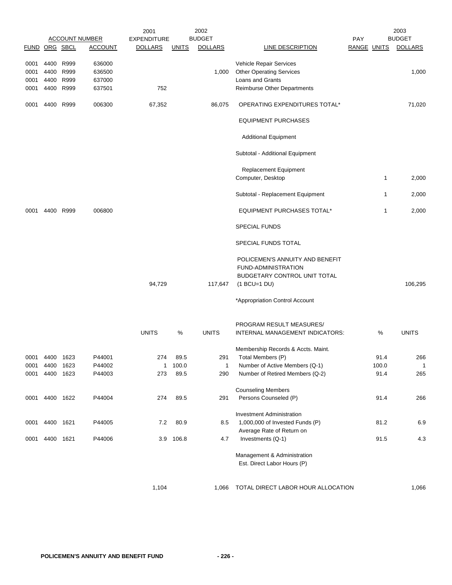|                |                |      | <b>ACCOUNT NUMBER</b> | 2001<br><b>EXPENDITURE</b> |              | 2002<br><b>BUDGET</b> |                                                               | <b>PAY</b>         |              | 2003<br><b>BUDGET</b> |
|----------------|----------------|------|-----------------------|----------------------------|--------------|-----------------------|---------------------------------------------------------------|--------------------|--------------|-----------------------|
| FUND ORG SBCL  |                |      | <b>ACCOUNT</b>        | <b>DOLLARS</b>             | <b>UNITS</b> | <b>DOLLARS</b>        | <b>LINE DESCRIPTION</b>                                       | <b>RANGE UNITS</b> |              | <b>DOLLARS</b>        |
| 0001           | 4400           | R999 | 636000                |                            |              |                       | Vehicle Repair Services                                       |                    |              |                       |
| 0001           | 4400           | R999 | 636500                |                            |              | 1,000                 | <b>Other Operating Services</b>                               |                    |              | 1,000                 |
| 0001           | 4400           | R999 | 637000                |                            |              |                       | Loans and Grants                                              |                    |              |                       |
| 0001           | 4400           | R999 | 637501                | 752                        |              |                       | Reimburse Other Departments                                   |                    |              |                       |
| 0001           | 4400 R999      |      | 006300                | 67,352                     |              | 86,075                | OPERATING EXPENDITURES TOTAL*                                 |                    |              | 71,020                |
|                |                |      |                       |                            |              |                       | <b>EQUIPMENT PURCHASES</b>                                    |                    |              |                       |
|                |                |      |                       |                            |              |                       | <b>Additional Equipment</b>                                   |                    |              |                       |
|                |                |      |                       |                            |              |                       | Subtotal - Additional Equipment                               |                    |              |                       |
|                |                |      |                       |                            |              |                       | <b>Replacement Equipment</b>                                  |                    |              |                       |
|                |                |      |                       |                            |              |                       | Computer, Desktop                                             |                    | $\mathbf{1}$ | 2,000                 |
|                |                |      |                       |                            |              |                       | Subtotal - Replacement Equipment                              |                    | 1            | 2,000                 |
| 0001           | 4400           | R999 | 006800                |                            |              |                       | <b>EQUIPMENT PURCHASES TOTAL*</b>                             |                    | 1            | 2,000                 |
|                |                |      |                       |                            |              |                       | <b>SPECIAL FUNDS</b>                                          |                    |              |                       |
|                |                |      |                       |                            |              |                       | SPECIAL FUNDS TOTAL                                           |                    |              |                       |
|                |                |      |                       |                            |              |                       | POLICEMEN'S ANNUITY AND BENEFIT<br><b>FUND-ADMINISTRATION</b> |                    |              |                       |
|                |                |      |                       |                            |              |                       | BUDGETARY CONTROL UNIT TOTAL                                  |                    |              |                       |
|                |                |      |                       | 94,729                     |              | 117,647               | $(1 BCU=1 DU)$                                                |                    |              | 106,295               |
|                |                |      |                       |                            |              |                       | *Appropriation Control Account                                |                    |              |                       |
|                |                |      |                       |                            |              |                       |                                                               |                    |              |                       |
|                |                |      |                       |                            |              |                       | PROGRAM RESULT MEASURES/                                      |                    |              |                       |
|                |                |      |                       | <b>UNITS</b>               | %            | <b>UNITS</b>          | INTERNAL MANAGEMENT INDICATORS:                               |                    | %            | <b>UNITS</b>          |
|                |                |      |                       |                            |              |                       | Membership Records & Accts. Maint.                            |                    |              |                       |
| 0001 4400 1623 |                |      | P44001                | 274                        | 89.5         | 291                   | Total Members (P)                                             |                    | 91.4         | 266                   |
|                | 0001 4400 1623 |      | P44002                | $\mathbf{1}$               | 100.0        | $\overline{1}$        | Number of Active Members (Q-1)                                |                    | 100.0        | $\mathbf{1}$          |
| 0001           | 4400 1623      |      | P44003                | 273                        | 89.5         | 290                   | Number of Retired Members (Q-2)                               |                    | 91.4         | 265                   |
|                |                |      |                       |                            |              |                       | <b>Counseling Members</b>                                     |                    |              |                       |
|                | 0001 4400 1622 |      | P44004                | 274                        | 89.5         | 291                   | Persons Counseled (P)                                         |                    | 91.4         | 266                   |
|                |                |      |                       |                            |              |                       | <b>Investment Administration</b>                              |                    |              |                       |
|                | 0001 4400 1621 |      | P44005                | 7.2                        | 80.9         | 8.5                   | 1,000,000 of Invested Funds (P)<br>Average Rate of Return on  |                    | 81.2         | 6.9                   |
|                | 0001 4400 1621 |      | P44006                |                            | 3.9 106.8    | 4.7                   | Investments (Q-1)                                             |                    | 91.5         | 4.3                   |
|                |                |      |                       |                            |              |                       | Management & Administration<br>Est. Direct Labor Hours (P)    |                    |              |                       |
|                |                |      |                       |                            |              |                       |                                                               |                    |              |                       |
|                |                |      |                       | 1,104                      |              | 1,066                 | TOTAL DIRECT LABOR HOUR ALLOCATION                            |                    |              | 1,066                 |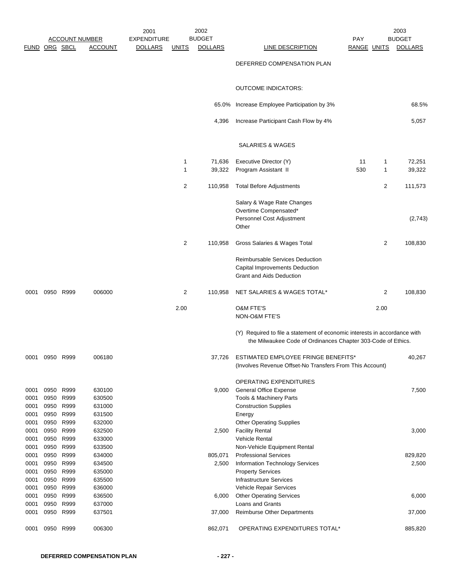| FUND ORG SBCL |           | <b>ACCOUNT NUMBER</b>  | <b>ACCOUNT</b>   | 2001<br><b>EXPENDITURE</b><br><b>DOLLARS</b> | <u>UNITS</u>   | 2002<br><b>BUDGET</b><br><b>DOLLARS</b> | LINE DESCRIPTION                                                                                                                          | <b>PAY</b><br>RANGE UNITS |      | 2003<br><b>BUDGET</b><br><b>DOLLARS</b> |
|---------------|-----------|------------------------|------------------|----------------------------------------------|----------------|-----------------------------------------|-------------------------------------------------------------------------------------------------------------------------------------------|---------------------------|------|-----------------------------------------|
|               |           |                        |                  |                                              |                |                                         | DEFERRED COMPENSATION PLAN                                                                                                                |                           |      |                                         |
|               |           |                        |                  |                                              |                |                                         | <b>OUTCOME INDICATORS:</b>                                                                                                                |                           |      |                                         |
|               |           |                        |                  |                                              |                | 65.0%                                   | Increase Employee Participation by 3%                                                                                                     |                           |      | 68.5%                                   |
|               |           |                        |                  |                                              |                | 4,396                                   | Increase Participant Cash Flow by 4%                                                                                                      |                           |      | 5,057                                   |
|               |           |                        |                  |                                              |                |                                         | SALARIES & WAGES                                                                                                                          |                           |      |                                         |
|               |           |                        |                  |                                              |                |                                         |                                                                                                                                           |                           |      |                                         |
|               |           |                        |                  |                                              | 1              | 71,636                                  | Executive Director (Y)                                                                                                                    | 11                        | 1    | 72,251                                  |
|               |           |                        |                  |                                              | 1              | 39,322                                  | Program Assistant II                                                                                                                      | 530                       | 1    | 39,322                                  |
|               |           |                        |                  |                                              | $\overline{c}$ | 110,958                                 | <b>Total Before Adjustments</b>                                                                                                           |                           | 2    | 111,573                                 |
|               |           |                        |                  |                                              |                |                                         | Salary & Wage Rate Changes                                                                                                                |                           |      |                                         |
|               |           |                        |                  |                                              |                |                                         | Overtime Compensated*                                                                                                                     |                           |      |                                         |
|               |           |                        |                  |                                              |                |                                         | Personnel Cost Adjustment<br>Other                                                                                                        |                           |      | (2,743)                                 |
|               |           |                        |                  |                                              | $\overline{2}$ | 110,958                                 | Gross Salaries & Wages Total                                                                                                              |                           | 2    | 108,830                                 |
|               |           |                        |                  |                                              |                |                                         | Reimbursable Services Deduction<br>Capital Improvements Deduction<br>Grant and Aids Deduction                                             |                           |      |                                         |
| 0001          |           | 0950 R999              | 006000           |                                              | $\overline{2}$ | 110,958                                 | NET SALARIES & WAGES TOTAL*                                                                                                               |                           | 2    | 108,830                                 |
|               |           |                        |                  |                                              | 2.00           |                                         | O&M FTE'S<br>NON-O&M FTE'S                                                                                                                |                           | 2.00 |                                         |
|               |           |                        |                  |                                              |                |                                         | (Y) Required to file a statement of economic interests in accordance with<br>the Milwaukee Code of Ordinances Chapter 303-Code of Ethics. |                           |      |                                         |
| 0001          | 0950 R999 |                        | 006180           |                                              |                | 37,726                                  | ESTIMATED EMPLOYEE FRINGE BENEFITS*<br>(Involves Revenue Offset-No Transfers From This Account)                                           |                           |      | 40,267                                  |
|               |           |                        |                  |                                              |                |                                         |                                                                                                                                           |                           |      |                                         |
|               |           |                        |                  |                                              |                |                                         | OPERATING EXPENDITURES                                                                                                                    |                           |      |                                         |
| 0001          |           | 0950 R999              | 630100           |                                              |                | 9,000                                   | <b>General Office Expense</b>                                                                                                             |                           |      | 7,500                                   |
| 0001          | 0950      | R999                   | 630500           |                                              |                |                                         | Tools & Machinery Parts                                                                                                                   |                           |      |                                         |
| 0001          |           | 0950 R999<br>0950 R999 | 631000<br>631500 |                                              |                |                                         | <b>Construction Supplies</b>                                                                                                              |                           |      |                                         |
| 0001<br>0001  | 0950      | R999                   | 632000           |                                              |                |                                         | Energy<br><b>Other Operating Supplies</b>                                                                                                 |                           |      |                                         |
| 0001          | 0950      | R999                   | 632500           |                                              |                | 2,500                                   | <b>Facility Rental</b>                                                                                                                    |                           |      | 3,000                                   |
| 0001          | 0950      | R999                   | 633000           |                                              |                |                                         | <b>Vehicle Rental</b>                                                                                                                     |                           |      |                                         |
| 0001          | 0950      | R999                   | 633500           |                                              |                |                                         | Non-Vehicle Equipment Rental                                                                                                              |                           |      |                                         |
| 0001          | 0950      | R999                   | 634000           |                                              |                | 805,071                                 | <b>Professional Services</b>                                                                                                              |                           |      | 829,820                                 |
| 0001          |           | 0950 R999              | 634500           |                                              |                | 2,500                                   | Information Technology Services                                                                                                           |                           |      | 2,500                                   |
| 0001          | 0950      | R999                   | 635000           |                                              |                |                                         | <b>Property Services</b>                                                                                                                  |                           |      |                                         |
| 0001          | 0950      | R999                   | 635500           |                                              |                |                                         | <b>Infrastructure Services</b>                                                                                                            |                           |      |                                         |
| 0001          | 0950      | 0950 R999<br>R999      | 636000           |                                              |                |                                         | Vehicle Repair Services                                                                                                                   |                           |      |                                         |
| 0001<br>0001  | 0950      | R999                   | 636500<br>637000 |                                              |                | 6,000                                   | <b>Other Operating Services</b><br>Loans and Grants                                                                                       |                           |      | 6,000                                   |
| 0001          |           | 0950 R999              | 637501           |                                              |                | 37,000                                  | <b>Reimburse Other Departments</b>                                                                                                        |                           |      | 37,000                                  |
| 0001          | 0950      | R999                   | 006300           |                                              |                | 862,071                                 | OPERATING EXPENDITURES TOTAL*                                                                                                             |                           |      | 885,820                                 |
|               |           |                        |                  |                                              |                |                                         |                                                                                                                                           |                           |      |                                         |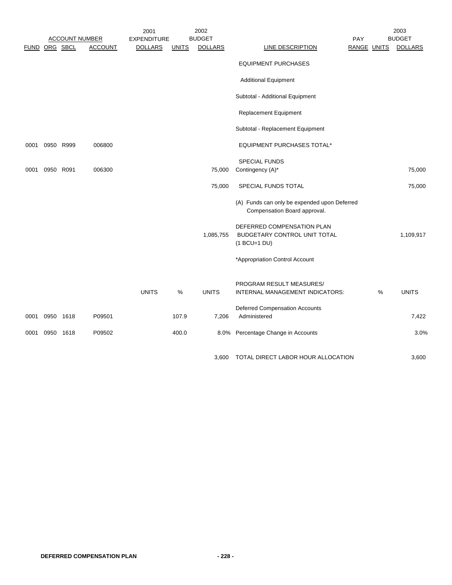|               |           |                       |                | 2001               |              | 2002           |                                                                              |            |             | 2003           |
|---------------|-----------|-----------------------|----------------|--------------------|--------------|----------------|------------------------------------------------------------------------------|------------|-------------|----------------|
|               |           | <b>ACCOUNT NUMBER</b> |                | <b>EXPENDITURE</b> |              | <b>BUDGET</b>  |                                                                              | <b>PAY</b> |             | <b>BUDGET</b>  |
| FUND ORG SBCL |           |                       | <b>ACCOUNT</b> | <b>DOLLARS</b>     | <b>UNITS</b> | <b>DOLLARS</b> | LINE DESCRIPTION                                                             |            | RANGE UNITS | <b>DOLLARS</b> |
|               |           |                       |                |                    |              |                | <b>EQUIPMENT PURCHASES</b>                                                   |            |             |                |
|               |           |                       |                |                    |              |                | <b>Additional Equipment</b>                                                  |            |             |                |
|               |           |                       |                |                    |              |                | Subtotal - Additional Equipment                                              |            |             |                |
|               |           |                       |                |                    |              |                | <b>Replacement Equipment</b>                                                 |            |             |                |
|               |           |                       |                |                    |              |                | Subtotal - Replacement Equipment                                             |            |             |                |
| 0001          | 0950 R999 |                       | 006800         |                    |              |                | EQUIPMENT PURCHASES TOTAL*                                                   |            |             |                |
|               |           |                       |                |                    |              |                | <b>SPECIAL FUNDS</b>                                                         |            |             |                |
| 0001          | 0950 R091 |                       | 006300         |                    |              | 75,000         | Contingency (A)*                                                             |            |             | 75,000         |
|               |           |                       |                |                    |              | 75,000         | SPECIAL FUNDS TOTAL                                                          |            |             | 75,000         |
|               |           |                       |                |                    |              |                | (A) Funds can only be expended upon Deferred<br>Compensation Board approval. |            |             |                |
|               |           |                       |                |                    |              | 1,085,755      | DEFERRED COMPENSATION PLAN<br>BUDGETARY CONTROL UNIT TOTAL<br>$(1 BCU=1 DU)$ |            |             | 1,109,917      |
|               |           |                       |                |                    |              |                | *Appropriation Control Account                                               |            |             |                |
|               |           |                       |                | <b>UNITS</b>       | %            | <b>UNITS</b>   | PROGRAM RESULT MEASURES/<br>INTERNAL MANAGEMENT INDICATORS:                  |            | %           | <b>UNITS</b>   |
| 0001          | 0950 1618 |                       | P09501         |                    | 107.9        | 7,206          | <b>Deferred Compensation Accounts</b><br>Administered                        |            |             | 7,422          |
| 0001          | 0950 1618 |                       | P09502         |                    | 400.0        | 8.0%           | Percentage Change in Accounts                                                |            |             | 3.0%           |
|               |           |                       |                |                    |              | 3.600          | TOTAL DIRECT LABOR HOUR ALLOCATION                                           |            |             | 3,600          |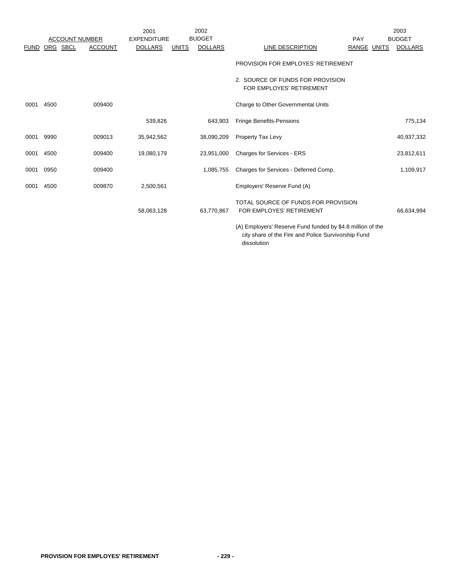|             |          |                       |                | 2001               |              | 2002           |                                                                    |                    | 2003           |
|-------------|----------|-----------------------|----------------|--------------------|--------------|----------------|--------------------------------------------------------------------|--------------------|----------------|
|             |          | <b>ACCOUNT NUMBER</b> |                | <b>EXPENDITURE</b> |              | <b>BUDGET</b>  |                                                                    | PAY                | <b>BUDGET</b>  |
| <b>FUND</b> | ORG SBCL |                       | <b>ACCOUNT</b> | <b>DOLLARS</b>     | <b>UNITS</b> | <b>DOLLARS</b> | LINE DESCRIPTION                                                   | <b>RANGE UNITS</b> | <b>DOLLARS</b> |
|             |          |                       |                |                    |              |                | PROVISION FOR EMPLOYES' RETIREMENT                                 |                    |                |
|             |          |                       |                |                    |              |                | 2. SOURCE OF FUNDS FOR PROVISION<br>FOR EMPLOYES' RETIREMENT       |                    |                |
| 0001        | 4500     |                       | 009400         |                    |              |                | Charge to Other Governmental Units                                 |                    |                |
|             |          |                       |                | 539,826            |              | 643,903        | <b>Fringe Benefits-Pensions</b>                                    |                    | 775,134        |
| 0001        | 9990     |                       | 009013         | 35,942,562         |              | 38,090,209     | Property Tax Levy                                                  |                    | 40,937,332     |
| 0001        | 4500     |                       | 009400         | 19,080,179         |              | 23,951,000     | Charges for Services - ERS                                         |                    | 23,812,611     |
| 0001        | 0950     |                       | 009400         |                    |              | 1,085,755      | Charges for Services - Deferred Comp.                              |                    | 1,109,917      |
| 0001        | 4500     |                       | 009870         | 2,500,561          |              |                | Employers' Reserve Fund (A)                                        |                    |                |
|             |          |                       |                | 58,063,128         |              | 63,770,867     | TOTAL SOURCE OF FUNDS FOR PROVISION<br>FOR EMPLOYES' RETIREMENT    |                    | 66,634,994     |
|             |          |                       |                |                    |              |                | $(4)$ Employers' Persons Eund funded by $A \cdot 9$ million of the |                    |                |

(A) Employers' Reserve Fund funded by \$4.8 million of the city share of the Fire and Police Survivorship Fund dissolution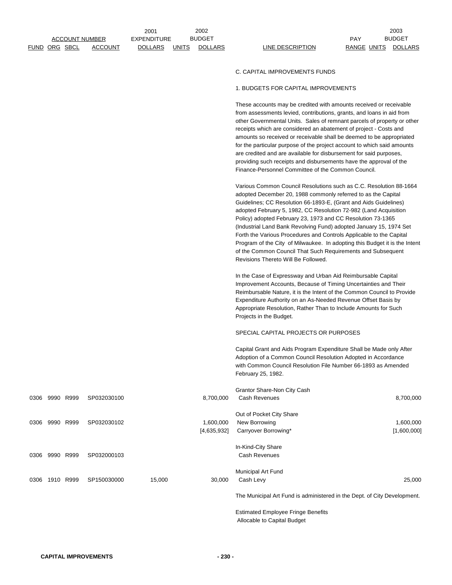|      |                      |           |                       | 2001               |              | 2002                     |                                                                                                                                                                                                                                                                                                                                                                                                                                                                                                                                                                                                                                                                                                                                   | 2003                          |
|------|----------------------|-----------|-----------------------|--------------------|--------------|--------------------------|-----------------------------------------------------------------------------------------------------------------------------------------------------------------------------------------------------------------------------------------------------------------------------------------------------------------------------------------------------------------------------------------------------------------------------------------------------------------------------------------------------------------------------------------------------------------------------------------------------------------------------------------------------------------------------------------------------------------------------------|-------------------------------|
|      |                      |           | <u>ACCOUNT NUMBER</u> | <b>EXPENDITURE</b> |              | <b>BUDGET</b>            |                                                                                                                                                                                                                                                                                                                                                                                                                                                                                                                                                                                                                                                                                                                                   | PAY<br><b>BUDGET</b>          |
|      | <u>FUND ORG SBCL</u> |           | <b>ACCOUNT</b>        | <b>DOLLARS</b>     | <u>UNITS</u> | <b>DOLLARS</b>           | <b>LINE DESCRIPTION</b>                                                                                                                                                                                                                                                                                                                                                                                                                                                                                                                                                                                                                                                                                                           | RANGE UNITS<br><b>DOLLARS</b> |
|      |                      |           |                       |                    |              |                          | C. CAPITAL IMPROVEMENTS FUNDS                                                                                                                                                                                                                                                                                                                                                                                                                                                                                                                                                                                                                                                                                                     |                               |
|      |                      |           |                       |                    |              |                          | 1. BUDGETS FOR CAPITAL IMPROVEMENTS                                                                                                                                                                                                                                                                                                                                                                                                                                                                                                                                                                                                                                                                                               |                               |
|      |                      |           |                       |                    |              |                          | These accounts may be credited with amounts received or receivable<br>from assessments levied, contributions, grants, and loans in aid from<br>other Governmental Units. Sales of remnant parcels of property or other<br>receipts which are considered an abatement of project - Costs and<br>amounts so received or receivable shall be deemed to be appropriated<br>for the particular purpose of the project account to which said amounts<br>are credited and are available for disbursement for said purposes,<br>providing such receipts and disbursements have the approval of the                                                                                                                                        |                               |
|      |                      |           |                       |                    |              |                          | Finance-Personnel Committee of the Common Council.<br>Various Common Council Resolutions such as C.C. Resolution 88-1664<br>adopted December 20, 1988 commonly referred to as the Capital<br>Guidelines; CC Resolution 66-1893-E, (Grant and Aids Guidelines)<br>adopted February 5, 1982, CC Resolution 72-982 (Land Acquisition<br>Policy) adopted February 23, 1973 and CC Resolution 73-1365<br>(Industrial Land Bank Revolving Fund) adopted January 15, 1974 Set<br>Forth the Various Procedures and Controls Applicable to the Capital<br>Program of the City of Milwaukee. In adopting this Budget it is the Intent<br>of the Common Council That Such Requirements and Subsequent<br>Revisions Thereto Will Be Followed. |                               |
|      |                      |           |                       |                    |              |                          | In the Case of Expressway and Urban Aid Reimbursable Capital<br>Improvement Accounts, Because of Timing Uncertainties and Their<br>Reimbursable Nature, it is the Intent of the Common Council to Provide<br>Expenditure Authority on an As-Needed Revenue Offset Basis by<br>Appropriate Resolution, Rather Than to Include Amounts for Such<br>Projects in the Budget.                                                                                                                                                                                                                                                                                                                                                          |                               |
|      |                      |           |                       |                    |              |                          | SPECIAL CAPITAL PROJECTS OR PURPOSES                                                                                                                                                                                                                                                                                                                                                                                                                                                                                                                                                                                                                                                                                              |                               |
|      |                      |           |                       |                    |              |                          | Capital Grant and Aids Program Expenditure Shall be Made only After<br>Adoption of a Common Council Resolution Adopted in Accordance<br>with Common Council Resolution File Number 66-1893 as Amended<br>February 25, 1982.                                                                                                                                                                                                                                                                                                                                                                                                                                                                                                       |                               |
|      |                      |           |                       |                    |              |                          | Grantor Share-Non City Cash                                                                                                                                                                                                                                                                                                                                                                                                                                                                                                                                                                                                                                                                                                       |                               |
|      | 0306 9990 R999       |           | SP032030100           |                    |              | 8,700,000                | Cash Revenues                                                                                                                                                                                                                                                                                                                                                                                                                                                                                                                                                                                                                                                                                                                     | 8,700,000                     |
| 0306 |                      | 9990 R999 | SP032030102           |                    |              | 1,600,000<br>[4,635,932] | Out of Pocket City Share<br>New Borrowing<br>Carryover Borrowing*                                                                                                                                                                                                                                                                                                                                                                                                                                                                                                                                                                                                                                                                 | 1,600,000<br>[1,600,000]      |
| 0306 |                      | 9990 R999 | SP032000103           |                    |              |                          | In-Kind-City Share<br><b>Cash Revenues</b>                                                                                                                                                                                                                                                                                                                                                                                                                                                                                                                                                                                                                                                                                        |                               |
| 0306 |                      | 1910 R999 | SP150030000           | 15,000             |              | 30,000                   | Municipal Art Fund<br>Cash Levy                                                                                                                                                                                                                                                                                                                                                                                                                                                                                                                                                                                                                                                                                                   | 25,000                        |
|      |                      |           |                       |                    |              |                          | The Municipal Art Fund is administered in the Dept. of City Development.                                                                                                                                                                                                                                                                                                                                                                                                                                                                                                                                                                                                                                                          |                               |
|      |                      |           |                       |                    |              |                          | <b>Estimated Employee Fringe Benefits</b><br>Allocable to Capital Budget                                                                                                                                                                                                                                                                                                                                                                                                                                                                                                                                                                                                                                                          |                               |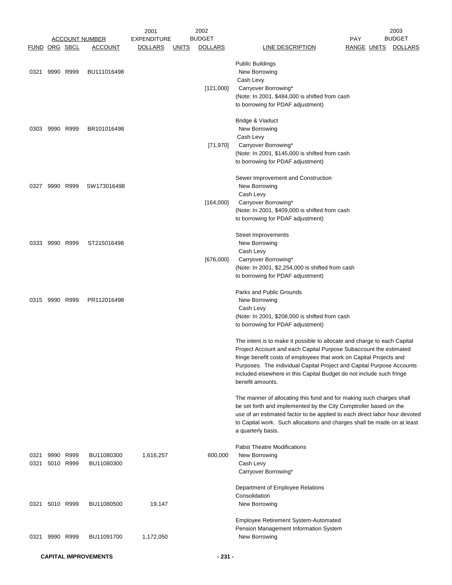|                      |                |                        |                          | 2001               |              | 2002           |                                                                                                                                                                                                                                                                                                                                                                                           |                    | 2003           |
|----------------------|----------------|------------------------|--------------------------|--------------------|--------------|----------------|-------------------------------------------------------------------------------------------------------------------------------------------------------------------------------------------------------------------------------------------------------------------------------------------------------------------------------------------------------------------------------------------|--------------------|----------------|
|                      |                |                        | <b>ACCOUNT NUMBER</b>    | <b>EXPENDITURE</b> |              | <b>BUDGET</b>  |                                                                                                                                                                                                                                                                                                                                                                                           | PAY                | <b>BUDGET</b>  |
| <b>FUND ORG SBCL</b> |                |                        | <b>ACCOUNT</b>           | <b>DOLLARS</b>     | <u>UNITS</u> | <b>DOLLARS</b> | <b>LINE DESCRIPTION</b>                                                                                                                                                                                                                                                                                                                                                                   | <b>RANGE UNITS</b> | <b>DOLLARS</b> |
| 0321                 | 9990 R999      |                        | BU111016498              |                    |              | [121,000]      | <b>Public Buildings</b><br>New Borrowing<br>Cash Levy<br>Carryover Borrowing*<br>(Note: In 2001, \$484,000 is shifted from cash<br>to borrowing for PDAF adjustment)                                                                                                                                                                                                                      |                    |                |
| 0303                 | 9990 R999      |                        | BR101016498              |                    |              | [71, 970]      | Bridge & Viaduct<br>New Borrowing<br>Cash Levy<br>Carryover Borrowing*<br>(Note: In 2001, \$145,000 is shifted from cash<br>to borrowing for PDAF adjustment)                                                                                                                                                                                                                             |                    |                |
|                      | 0327 9990 R999 |                        | SW173016498              |                    |              | [164,000]      | Sewer Improvement and Construction<br>New Borrowing<br>Cash Levy<br>Carryover Borrowing*<br>(Note: In 2001, \$409,000 is shifted from cash<br>to borrowing for PDAF adjustment)                                                                                                                                                                                                           |                    |                |
|                      | 0333 9990 R999 |                        | ST215016498              |                    |              | [676,000]      | Street Improvements<br>New Borrowing<br>Cash Levy<br>Carryover Borrowing*<br>(Note: In 2001, \$2,254,000 is shifted from cash<br>to borrowing for PDAF adjustment)                                                                                                                                                                                                                        |                    |                |
|                      | 0315 9990 R999 |                        | PR112016498              |                    |              |                | Parks and Public Grounds<br>New Borrowing<br>Cash Levy<br>(Note: In 2001, \$208,000 is shifted from cash<br>to borrowing for PDAF adjustment)                                                                                                                                                                                                                                             |                    |                |
|                      |                |                        |                          |                    |              |                | The intent is to make it possible to allocate and charge to each Capital<br>Project Account and each Capital Purpose Subaccount the estimated<br>fringe benefit costs of employees that work on Capital Projects and<br>Purposes. The individual Capital Project and Capital Purpose Accounts<br>included elsewhere in this Capital Budget do not include such fringe<br>benefit amounts. |                    |                |
|                      |                |                        |                          |                    |              |                | The manner of allocating this fund and for making such charges shall<br>be set forth and implemented by the City Comptroller based on the<br>use of an estimated factor to be applied to each direct labor hour devoted<br>to Capital work. Such allocations and charges shall be made on at least<br>a quarterly basis.                                                                  |                    |                |
| 0321<br>0321         |                | 9990 R999<br>5010 R999 | BU11080300<br>BU11080300 | 1,616,257          |              | 600,000        | <b>Pabst Theatre Modifications</b><br>New Borrowing<br>Cash Levy<br>Carryover Borrowing*                                                                                                                                                                                                                                                                                                  |                    |                |
| 0321                 |                | 5010 R999              | BU11080500               | 19,147             |              |                | Department of Employee Relations<br>Consolidation<br>New Borrowing                                                                                                                                                                                                                                                                                                                        |                    |                |
| 0321                 | 9990 R999      |                        | BU11091700               | 1,172,050          |              |                | Employee Retirement System-Automated<br>Pension Management Information System<br>New Borrowing                                                                                                                                                                                                                                                                                            |                    |                |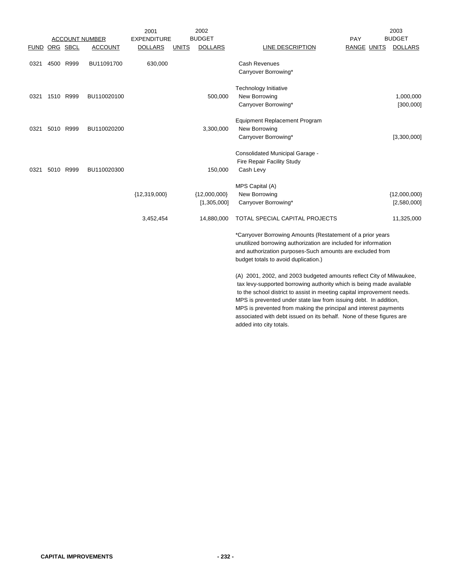|      |               |           |                       | 2001               |              | 2002           |                                                                                                                                                                                                                                                                                                                                                                                                                                                                   |                    | 2003           |
|------|---------------|-----------|-----------------------|--------------------|--------------|----------------|-------------------------------------------------------------------------------------------------------------------------------------------------------------------------------------------------------------------------------------------------------------------------------------------------------------------------------------------------------------------------------------------------------------------------------------------------------------------|--------------------|----------------|
|      |               |           | <b>ACCOUNT NUMBER</b> | <b>EXPENDITURE</b> |              | <b>BUDGET</b>  |                                                                                                                                                                                                                                                                                                                                                                                                                                                                   | PAY                | <b>BUDGET</b>  |
|      | FUND ORG SBCL |           | <b>ACCOUNT</b>        | <b>DOLLARS</b>     | <b>UNITS</b> | <b>DOLLARS</b> | <b>LINE DESCRIPTION</b>                                                                                                                                                                                                                                                                                                                                                                                                                                           | <b>RANGE UNITS</b> | <b>DOLLARS</b> |
| 0321 |               | 4500 R999 | BU11091700            | 630,000            |              |                | <b>Cash Revenues</b>                                                                                                                                                                                                                                                                                                                                                                                                                                              |                    |                |
|      |               |           |                       |                    |              |                | Carryover Borrowing*                                                                                                                                                                                                                                                                                                                                                                                                                                              |                    |                |
|      |               |           |                       |                    |              |                | Technology Initiative                                                                                                                                                                                                                                                                                                                                                                                                                                             |                    |                |
| 0321 |               | 1510 R999 | BU110020100           |                    |              | 500,000        | New Borrowing                                                                                                                                                                                                                                                                                                                                                                                                                                                     |                    | 1,000,000      |
|      |               |           |                       |                    |              |                | Carryover Borrowing*                                                                                                                                                                                                                                                                                                                                                                                                                                              |                    | [300,000]      |
|      |               |           |                       |                    |              |                | <b>Equipment Replacement Program</b>                                                                                                                                                                                                                                                                                                                                                                                                                              |                    |                |
| 0321 |               | 5010 R999 | BU110020200           |                    |              | 3,300,000      | New Borrowing                                                                                                                                                                                                                                                                                                                                                                                                                                                     |                    |                |
|      |               |           |                       |                    |              |                | Carryover Borrowing*                                                                                                                                                                                                                                                                                                                                                                                                                                              |                    | [3,300,000]    |
|      |               |           |                       |                    |              |                | Consolidated Municipal Garage -                                                                                                                                                                                                                                                                                                                                                                                                                                   |                    |                |
|      |               |           |                       |                    |              |                | Fire Repair Facility Study                                                                                                                                                                                                                                                                                                                                                                                                                                        |                    |                |
| 0321 |               | 5010 R999 | BU110020300           |                    |              | 150,000        | Cash Levy                                                                                                                                                                                                                                                                                                                                                                                                                                                         |                    |                |
|      |               |           |                       |                    |              |                | MPS Capital (A)                                                                                                                                                                                                                                                                                                                                                                                                                                                   |                    |                |
|      |               |           |                       | ${12,319,000}$     |              | ${12,000,000}$ | New Borrowing                                                                                                                                                                                                                                                                                                                                                                                                                                                     |                    | ${12,000,000}$ |
|      |               |           |                       |                    |              | [1,305,000]    | Carryover Borrowing*                                                                                                                                                                                                                                                                                                                                                                                                                                              |                    | [2,580,000]    |
|      |               |           |                       | 3,452,454          |              | 14,880,000     | TOTAL SPECIAL CAPITAL PROJECTS                                                                                                                                                                                                                                                                                                                                                                                                                                    |                    | 11,325,000     |
|      |               |           |                       |                    |              |                | *Carryover Borrowing Amounts (Restatement of a prior years<br>unutilized borrowing authorization are included for information<br>and authorization purposes-Such amounts are excluded from<br>budget totals to avoid duplication.)                                                                                                                                                                                                                                |                    |                |
|      |               |           |                       |                    |              |                | (A) 2001, 2002, and 2003 budgeted amounts reflect City of Milwaukee,<br>tax levy-supported borrowing authority which is being made available<br>to the school district to assist in meeting capital improvement needs.<br>MPS is prevented under state law from issuing debt. In addition,<br>MPS is prevented from making the principal and interest payments<br>associated with debt issued on its behalf. None of these figures are<br>added into city totals. |                    |                |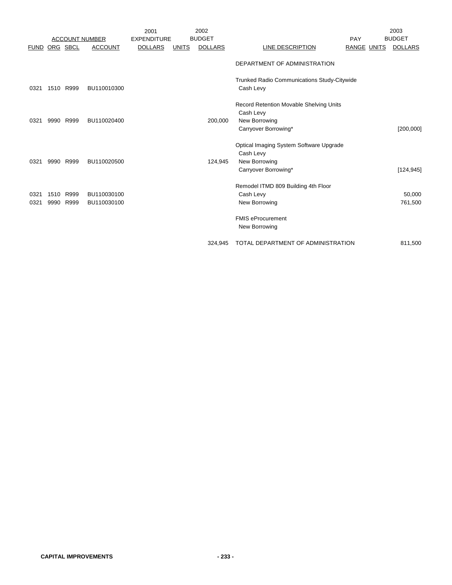|             |      |                       |                | 2001               |              | 2002           |                                             |                    | 2003           |
|-------------|------|-----------------------|----------------|--------------------|--------------|----------------|---------------------------------------------|--------------------|----------------|
|             |      | <b>ACCOUNT NUMBER</b> |                | <b>EXPENDITURE</b> |              | <b>BUDGET</b>  |                                             | PAY                | <b>BUDGET</b>  |
| <b>FUND</b> |      | ORG SBCL              | <b>ACCOUNT</b> | <b>DOLLARS</b>     | <b>UNITS</b> | <b>DOLLARS</b> | LINE DESCRIPTION                            | <b>RANGE UNITS</b> | <b>DOLLARS</b> |
|             |      |                       |                |                    |              |                | DEPARTMENT OF ADMINISTRATION                |                    |                |
|             |      |                       |                |                    |              |                | Trunked Radio Communications Study-Citywide |                    |                |
| 0321        |      | 1510 R999             | BU110010300    |                    |              |                | Cash Levy                                   |                    |                |
|             |      |                       |                |                    |              |                | Record Retention Movable Shelving Units     |                    |                |
|             |      |                       |                |                    |              |                | Cash Levy                                   |                    |                |
| 0321        | 9990 | R999                  | BU110020400    |                    |              | 200,000        | New Borrowing                               |                    |                |
|             |      |                       |                |                    |              |                | Carryover Borrowing*                        |                    | [200,000]      |
|             |      |                       |                |                    |              |                | Optical Imaging System Software Upgrade     |                    |                |
|             |      |                       |                |                    |              |                | Cash Levy                                   |                    |                |
| 0321        | 9990 | R999                  | BU110020500    |                    |              | 124,945        | New Borrowing                               |                    |                |
|             |      |                       |                |                    |              |                | Carryover Borrowing*                        |                    | [124, 945]     |
|             |      |                       |                |                    |              |                | Remodel ITMD 809 Building 4th Floor         |                    |                |
| 0321        | 1510 | R999                  | BU110030100    |                    |              |                | Cash Levy                                   |                    | 50,000         |
| 0321        | 9990 | R999                  | BU110030100    |                    |              |                | New Borrowing                               |                    | 761,500        |
|             |      |                       |                |                    |              |                | <b>FMIS eProcurement</b>                    |                    |                |
|             |      |                       |                |                    |              |                | New Borrowing                               |                    |                |
|             |      |                       |                |                    |              | 324.945        | TOTAL DEPARTMENT OF ADMINISTRATION          |                    | 811,500        |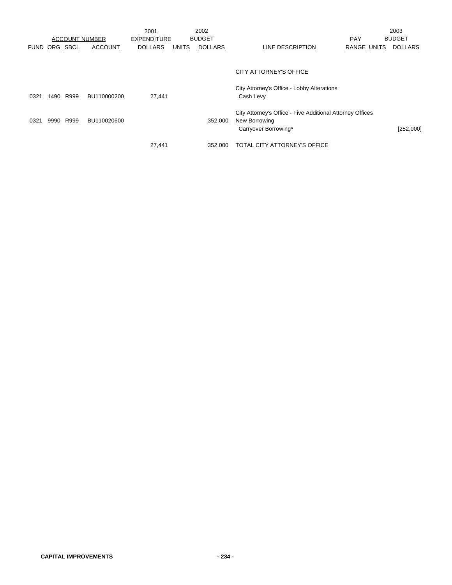|             |          |      | <b>ACCOUNT NUMBER</b> | 2001<br><b>EXPENDITURE</b> |              | 2002<br><b>BUDGET</b> |                                                           | <b>PAY</b>  | 2003<br><b>BUDGET</b> |
|-------------|----------|------|-----------------------|----------------------------|--------------|-----------------------|-----------------------------------------------------------|-------------|-----------------------|
| <b>FUND</b> | ORG SBCL |      | <b>ACCOUNT</b>        | <b>DOLLARS</b>             | <b>UNITS</b> | <b>DOLLARS</b>        | LINE DESCRIPTION                                          | RANGE UNITS | <b>DOLLARS</b>        |
|             |          |      |                       |                            |              |                       |                                                           |             |                       |
|             |          |      |                       |                            |              |                       | CITY ATTORNEY'S OFFICE                                    |             |                       |
|             |          |      |                       |                            |              |                       | City Attorney's Office - Lobby Alterations                |             |                       |
| 0321        | 1490     | R999 | BU110000200           | 27,441                     |              |                       | Cash Levy                                                 |             |                       |
|             |          |      |                       |                            |              |                       | City Attorney's Office - Five Additional Attorney Offices |             |                       |
| 0321        | 9990     | R999 | BU110020600           |                            |              | 352,000               | New Borrowing                                             |             |                       |
|             |          |      |                       |                            |              |                       | Carryover Borrowing*                                      |             | [252,000]             |
|             |          |      |                       | 27,441                     |              | 352,000               | TOTAL CITY ATTORNEY'S OFFICE                              |             |                       |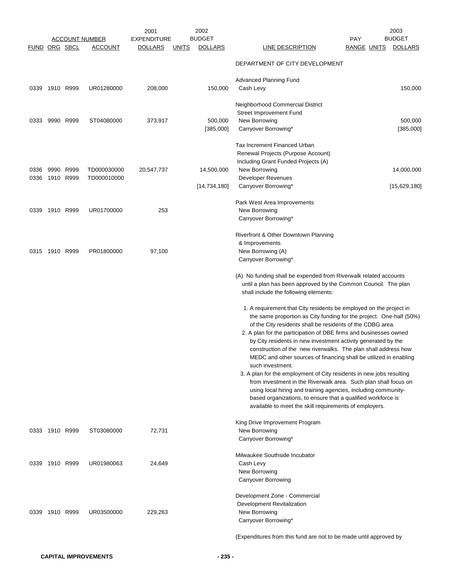|               |                | <u>ACCOUNT NUMBER</u> | 2001<br><b>EXPENDITURE</b> |              | 2002<br><b>BUDGET</b> |                                                                                                                                 | <b>PAY</b>         | 2003<br><b>BUDGET</b> |
|---------------|----------------|-----------------------|----------------------------|--------------|-----------------------|---------------------------------------------------------------------------------------------------------------------------------|--------------------|-----------------------|
| FUND ORG SBCL |                | <b>ACCOUNT</b>        | <b>DOLLARS</b>             | <u>UNITS</u> | <b>DOLLARS</b>        | LINE DESCRIPTION                                                                                                                | <b>RANGE UNITS</b> | <b>DOLLARS</b>        |
|               |                |                       |                            |              |                       | DEPARTMENT OF CITY DEVELOPMENT                                                                                                  |                    |                       |
|               |                |                       |                            |              |                       |                                                                                                                                 |                    |                       |
|               |                |                       |                            |              |                       | Advanced Planning Fund                                                                                                          |                    |                       |
|               | 0339 1910 R999 | UR01280000            | 208,000                    |              | 150,000               | Cash Levy                                                                                                                       |                    | 150,000               |
|               |                |                       |                            |              |                       | Neighborhood Commercial District                                                                                                |                    |                       |
|               |                |                       |                            |              |                       | Street Improvement Fund                                                                                                         |                    |                       |
| 0333          | 9990 R999      | ST04080000            | 373,917                    |              | 500,000               | New Borrowing                                                                                                                   |                    | 500,000               |
|               |                |                       |                            |              | [385,000]             | Carryover Borrowing*                                                                                                            |                    | [385,000]             |
|               |                |                       |                            |              |                       | Tax Increment Financed Urban                                                                                                    |                    |                       |
|               |                |                       |                            |              |                       | Renewal Projects (Purpose Account)                                                                                              |                    |                       |
|               |                |                       |                            |              |                       | Including Grant Funded Projects (A)                                                                                             |                    |                       |
|               | 0336 9990 R999 | TD000030000           | 20,547,737                 |              | 14,500,000            | New Borrowing                                                                                                                   |                    | 14,000,000            |
|               | 0336 1910 R999 | TD000010000           |                            |              |                       | Developer Revenues                                                                                                              |                    |                       |
|               |                |                       |                            |              | [14, 734, 180]        | Carryover Borrowing*                                                                                                            |                    | [15,629,180]          |
|               |                |                       |                            |              |                       | Park West Area Improvements                                                                                                     |                    |                       |
|               | 0339 1910 R999 | UR01700000            | 253                        |              |                       | New Borrowing                                                                                                                   |                    |                       |
|               |                |                       |                            |              |                       | Carryover Borrowing*                                                                                                            |                    |                       |
|               |                |                       |                            |              |                       | Riverfront & Other Downtown Planning                                                                                            |                    |                       |
|               |                |                       |                            |              |                       | & Improvements                                                                                                                  |                    |                       |
|               | 0315 1910 R999 | PR01800000            | 97,100                     |              |                       | New Borrowing (A)                                                                                                               |                    |                       |
|               |                |                       |                            |              |                       | Carryover Borrowing*                                                                                                            |                    |                       |
|               |                |                       |                            |              |                       | (A) No funding shall be expended from Riverwalk related accounts                                                                |                    |                       |
|               |                |                       |                            |              |                       | until a plan has been approved by the Common Council. The plan                                                                  |                    |                       |
|               |                |                       |                            |              |                       | shall include the following elements:                                                                                           |                    |                       |
|               |                |                       |                            |              |                       | 1. A requirement that City residents be employed on the project in                                                              |                    |                       |
|               |                |                       |                            |              |                       | the same proportion as City funding for the project. One-half (50%)                                                             |                    |                       |
|               |                |                       |                            |              |                       | of the City residents shall be residents of the CDBG area.                                                                      |                    |                       |
|               |                |                       |                            |              |                       | 2. A plan for the participation of DBE firms and businesses owned                                                               |                    |                       |
|               |                |                       |                            |              |                       | by City residents in new investment activity generated by the<br>construction of the new riverwalks. The plan shall address how |                    |                       |
|               |                |                       |                            |              |                       | MEDC and other sources of financing shall be utilized in enabling                                                               |                    |                       |
|               |                |                       |                            |              |                       | such investment.                                                                                                                |                    |                       |
|               |                |                       |                            |              |                       | 3. A plan for the employment of City residents in new jobs resulting                                                            |                    |                       |
|               |                |                       |                            |              |                       | from investment in the Riverwalk area. Such plan shall focus on                                                                 |                    |                       |
|               |                |                       |                            |              |                       | using local hiring and training agencies, including community-                                                                  |                    |                       |
|               |                |                       |                            |              |                       | based organizations, to ensure that a qualified workforce is<br>available to meet the skill requirements of employers.          |                    |                       |
|               |                |                       |                            |              |                       |                                                                                                                                 |                    |                       |
|               | 0333 1910 R999 | ST03080000            | 72,731                     |              |                       | King Drive Improvement Program<br>New Borrowing                                                                                 |                    |                       |
|               |                |                       |                            |              |                       | Carryover Borrowing*                                                                                                            |                    |                       |
|               |                |                       |                            |              |                       |                                                                                                                                 |                    |                       |
|               |                |                       |                            |              |                       | Milwaukee Southside Incubator                                                                                                   |                    |                       |
|               | 0339 1910 R999 | UR01980063            | 24,649                     |              |                       | Cash Levy<br>New Borrowing                                                                                                      |                    |                       |
|               |                |                       |                            |              |                       | Carryover Borrowing                                                                                                             |                    |                       |
|               |                |                       |                            |              |                       |                                                                                                                                 |                    |                       |
|               |                |                       |                            |              |                       | Development Zone - Commercial<br>Development Revitalization                                                                     |                    |                       |
|               | 0339 1910 R999 | UR03500000            | 229,263                    |              |                       | New Borrowing                                                                                                                   |                    |                       |
|               |                |                       |                            |              |                       | Carryover Borrowing*                                                                                                            |                    |                       |
|               |                |                       |                            |              |                       | (Expenditures from this fund are not to be made until approved by                                                               |                    |                       |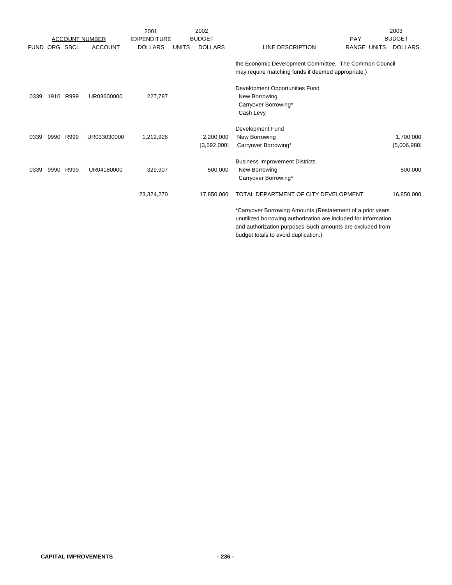|             |      |          |                       | 2001               |              | 2002                     |                                                                                                                                                                                            |                    | 2003                     |
|-------------|------|----------|-----------------------|--------------------|--------------|--------------------------|--------------------------------------------------------------------------------------------------------------------------------------------------------------------------------------------|--------------------|--------------------------|
|             |      |          | <b>ACCOUNT NUMBER</b> | <b>EXPENDITURE</b> |              | <b>BUDGET</b>            |                                                                                                                                                                                            | PAY                | <b>BUDGET</b>            |
| <b>FUND</b> |      | ORG SBCL | <b>ACCOUNT</b>        | <b>DOLLARS</b>     | <b>UNITS</b> | <b>DOLLARS</b>           | LINE DESCRIPTION                                                                                                                                                                           | <b>RANGE UNITS</b> | <b>DOLLARS</b>           |
|             |      |          |                       |                    |              |                          | the Economic Development Committee. The Common Council<br>may require matching funds if deemed appropriate.)                                                                               |                    |                          |
| 0339        | 1910 | R999     | UR03600000            | 227,787            |              |                          | Development Opportunities Fund<br>New Borrowing<br>Carryover Borrowing*<br>Cash Levy                                                                                                       |                    |                          |
| 0339        | 9990 | R999     | UR033030000           | 1,212,926          |              | 2,200,000<br>[3,592,000] | Development Fund<br>New Borrowing<br>Carryover Borrowing*                                                                                                                                  |                    | 1,700,000<br>[5,006,988] |
| 0339        | 9990 | R999     | UR04180000            | 329,907            |              | 500.000                  | <b>Business Improvement Districts</b><br>New Borrowing<br>Carryover Borrowing*                                                                                                             |                    | 500,000                  |
|             |      |          |                       | 23,324,270         |              | 17,850,000               | TOTAL DEPARTMENT OF CITY DEVELOPMENT                                                                                                                                                       |                    | 16,850,000               |
|             |      |          |                       |                    |              |                          | *Carryover Borrowing Amounts (Restatement of a prior years<br>unutilized borrowing authorization are included for information<br>and authorization purposes-Such amounts are excluded from |                    |                          |

budget totals to avoid duplication.)

**CAPITAL IMPROVEMENTS - 236 -**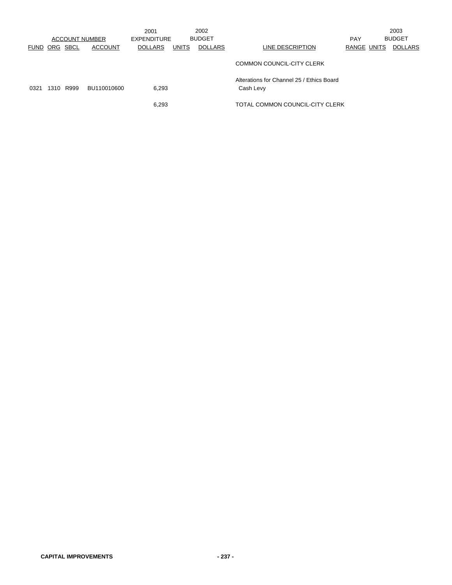|                      |      |      | <b>ACCOUNT NUMBER</b> | 2001<br><b>EXPENDITURE</b> |              | 2002<br><b>BUDGET</b> |                                                        | <b>PAY</b>  | 2003<br><b>BUDGET</b> |
|----------------------|------|------|-----------------------|----------------------------|--------------|-----------------------|--------------------------------------------------------|-------------|-----------------------|
| <b>FUND ORG SBCL</b> |      |      | <b>ACCOUNT</b>        | <b>DOLLARS</b>             | <b>UNITS</b> | <b>DOLLARS</b>        | LINE DESCRIPTION                                       | RANGE UNITS | <b>DOLLARS</b>        |
|                      |      |      |                       |                            |              |                       | COMMON COUNCIL-CITY CLERK                              |             |                       |
| 0321                 | 1310 | R999 | BU110010600           | 6,293                      |              |                       | Alterations for Channel 25 / Ethics Board<br>Cash Levy |             |                       |
|                      |      |      |                       | 6,293                      |              |                       | TOTAL COMMON COUNCIL-CITY CLERK                        |             |                       |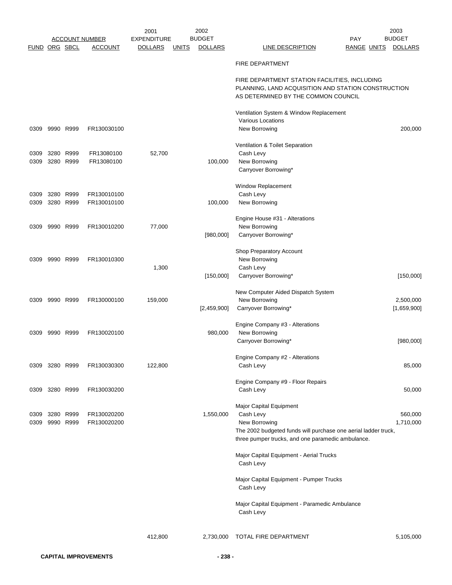|                      |                |                                  |                       | 2001               |              | 2002           |                                                                                                                                             |                    | 2003           |
|----------------------|----------------|----------------------------------|-----------------------|--------------------|--------------|----------------|---------------------------------------------------------------------------------------------------------------------------------------------|--------------------|----------------|
|                      |                |                                  | <b>ACCOUNT NUMBER</b> | <b>EXPENDITURE</b> |              | <b>BUDGET</b>  |                                                                                                                                             | PAY                | <b>BUDGET</b>  |
| <b>FUND ORG SBCL</b> |                |                                  | <b>ACCOUNT</b>        | <b>DOLLARS</b>     | <b>UNITS</b> | <b>DOLLARS</b> | <b>LINE DESCRIPTION</b>                                                                                                                     | <b>RANGE UNITS</b> | <b>DOLLARS</b> |
|                      |                |                                  |                       |                    |              |                | <b>FIRE DEPARTMENT</b>                                                                                                                      |                    |                |
|                      |                |                                  |                       |                    |              |                | FIRE DEPARTMENT STATION FACILITIES, INCLUDING<br>PLANNING, LAND ACQUISITION AND STATION CONSTRUCTION<br>AS DETERMINED BY THE COMMON COUNCIL |                    |                |
|                      |                |                                  |                       |                    |              |                | Ventilation System & Window Replacement<br>Various Locations                                                                                |                    |                |
| 0309                 | 9990 R999      |                                  | FR130030100           |                    |              |                | New Borrowing                                                                                                                               |                    | 200,000        |
| 0309                 |                | 3280 R999                        | FR13080100            | 52,700             |              |                | Ventilation & Toilet Separation<br>Cash Levy                                                                                                |                    |                |
| 0309                 |                | 3280 R999                        | FR13080100            |                    |              | 100,000        | New Borrowing<br>Carryover Borrowing*                                                                                                       |                    |                |
| 0309                 |                | 3280 R999                        | FR130010100           |                    |              |                | Window Replacement<br>Cash Levy                                                                                                             |                    |                |
| 0309                 |                | 3280 R999                        | FR130010100           |                    |              | 100,000        | New Borrowing                                                                                                                               |                    |                |
| 0309                 | 9990 R999      |                                  | FR130010200           | 77,000             |              |                | Engine House #31 - Alterations<br>New Borrowing                                                                                             |                    |                |
|                      |                |                                  |                       |                    |              | [980,000]      | Carryover Borrowing*                                                                                                                        |                    |                |
| 0309                 |                | 9990 R999                        | FR130010300           |                    |              |                | Shop Preparatory Account<br>New Borrowing                                                                                                   |                    |                |
|                      |                |                                  |                       | 1,300              |              |                | Cash Levy                                                                                                                                   |                    |                |
|                      |                |                                  |                       |                    |              | [150,000]      | Carryover Borrowing*                                                                                                                        |                    | [150,000]      |
| 0309                 | 9990 R999      |                                  | FR130000100           | 159,000            |              |                | New Computer Aided Dispatch System<br>New Borrowing                                                                                         |                    | 2,500,000      |
|                      |                |                                  |                       |                    |              | [2,459,900]    | Carryover Borrowing*                                                                                                                        |                    | [1,659,900]    |
| 0309                 |                | 9990 R999                        | FR130020100           |                    |              | 980,000        | Engine Company #3 - Alterations<br>New Borrowing                                                                                            |                    |                |
|                      |                |                                  |                       |                    |              |                | Carryover Borrowing*                                                                                                                        |                    | [980,000]      |
|                      |                |                                  |                       |                    |              |                | Engine Company #2 - Alterations                                                                                                             |                    |                |
|                      | 0309 3280 R999 |                                  | FR130030300           | 122,800            |              |                | Cash Levy                                                                                                                                   |                    | 85,000         |
|                      | 0309 3280 R999 |                                  | FR130030200           |                    |              |                | Engine Company #9 - Floor Repairs<br>Cash Levy                                                                                              |                    | 50,000         |
|                      |                |                                  |                       |                    |              |                | Major Capital Equipment                                                                                                                     |                    |                |
|                      |                | 0309 3280 R999<br>0309 9990 R999 | FR130020200           |                    |              | 1,550,000      | Cash Levy                                                                                                                                   |                    | 560,000        |
|                      |                |                                  | FR130020200           |                    |              |                | New Borrowing<br>The 2002 budgeted funds will purchase one aerial ladder truck,<br>three pumper trucks, and one paramedic ambulance.        |                    | 1,710,000      |
|                      |                |                                  |                       |                    |              |                | Major Capital Equipment - Aerial Trucks<br>Cash Levy                                                                                        |                    |                |
|                      |                |                                  |                       |                    |              |                | Major Capital Equipment - Pumper Trucks<br>Cash Levy                                                                                        |                    |                |
|                      |                |                                  |                       |                    |              |                | Major Capital Equipment - Paramedic Ambulance<br>Cash Levy                                                                                  |                    |                |
|                      |                |                                  |                       | 412,800            |              | 2,730,000      | TOTAL FIRE DEPARTMENT                                                                                                                       |                    | 5,105,000      |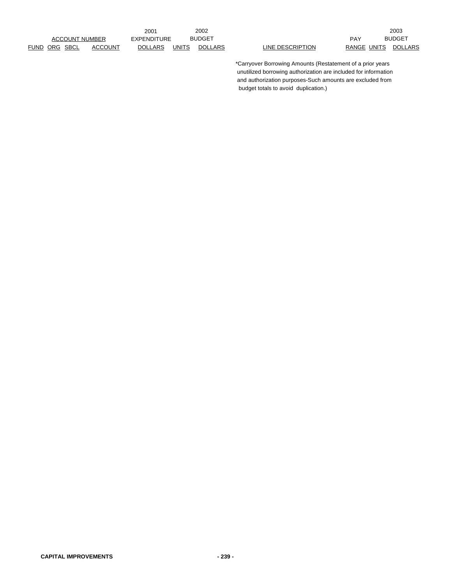2001 EXPENDITURE BUDGET PAY

2002 2003 BUDGET PAY BUDGET

> \*Carryover Borrowing Amounts (Restatement of a prior years unutilized borrowing authorization are included for information and authorization purposes-Such amounts are excluded from budget totals to avoid duplication.)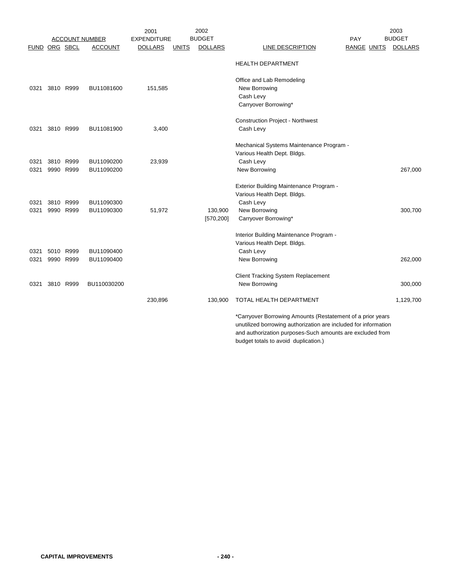|               |           |                       | 2001               |              | 2002           |                                                                 | 2003           |
|---------------|-----------|-----------------------|--------------------|--------------|----------------|-----------------------------------------------------------------|----------------|
|               |           | <b>ACCOUNT NUMBER</b> | <b>EXPENDITURE</b> |              | <b>BUDGET</b>  | PAY                                                             | <b>BUDGET</b>  |
| FUND ORG SBCL |           | <b>ACCOUNT</b>        | <b>DOLLARS</b>     | <b>UNITS</b> | <b>DOLLARS</b> | <b>LINE DESCRIPTION</b><br><b>RANGE UNITS</b>                   | <b>DOLLARS</b> |
|               |           |                       |                    |              |                | <b>HEALTH DEPARTMENT</b>                                        |                |
|               |           |                       |                    |              |                | Office and Lab Remodeling                                       |                |
| 0321          | 3810 R999 | BU11081600            | 151,585            |              |                | New Borrowing                                                   |                |
|               |           |                       |                    |              |                | Cash Levy                                                       |                |
|               |           |                       |                    |              |                | Carryover Borrowing*                                            |                |
|               |           |                       |                    |              |                | <b>Construction Project - Northwest</b>                         |                |
| 0321          | 3810 R999 | BU11081900            | 3,400              |              |                | Cash Levy                                                       |                |
|               |           |                       |                    |              |                | Mechanical Systems Maintenance Program -                        |                |
|               |           |                       |                    |              |                | Various Health Dept. Bldgs.                                     |                |
| 0321          | 3810 R999 | BU11090200            | 23,939             |              |                | Cash Levy                                                       |                |
| 0321          | 9990 R999 | BU11090200            |                    |              |                | New Borrowing                                                   | 267,000        |
|               |           |                       |                    |              |                | Exterior Building Maintenance Program -                         |                |
|               |           |                       |                    |              |                | Various Health Dept. Bldgs.                                     |                |
| 0321          | 3810 R999 | BU11090300            |                    |              |                | Cash Levy                                                       |                |
| 0321          | 9990 R999 | BU11090300            | 51,972             |              | 130,900        | New Borrowing                                                   | 300,700        |
|               |           |                       |                    |              | [570, 200]     | Carryover Borrowing*                                            |                |
|               |           |                       |                    |              |                | Interior Building Maintenance Program -                         |                |
|               |           |                       |                    |              |                | Various Health Dept. Bldgs.                                     |                |
| 0321          | 5010 R999 | BU11090400            |                    |              |                | Cash Levy                                                       |                |
| 0321          | 9990 R999 | BU11090400            |                    |              |                | New Borrowing                                                   | 262,000        |
|               |           |                       |                    |              |                | <b>Client Tracking System Replacement</b>                       |                |
| 0321          | 3810 R999 | BU110030200           |                    |              |                | New Borrowing                                                   | 300,000        |
|               |           |                       | 230,896            |              | 130,900        | TOTAL HEALTH DEPARTMENT                                         | 1,129,700      |
|               |           |                       |                    |              |                | *Carryover Borrowing Amounts (Restatement of a prior years      |                |
|               |           |                       |                    |              |                | unutilized borrowing authorization are included for information |                |
|               |           |                       |                    |              |                | and authorization purposes-Such amounts are excluded from       |                |
|               |           |                       |                    |              |                | budget totals to avoid duplication.)                            |                |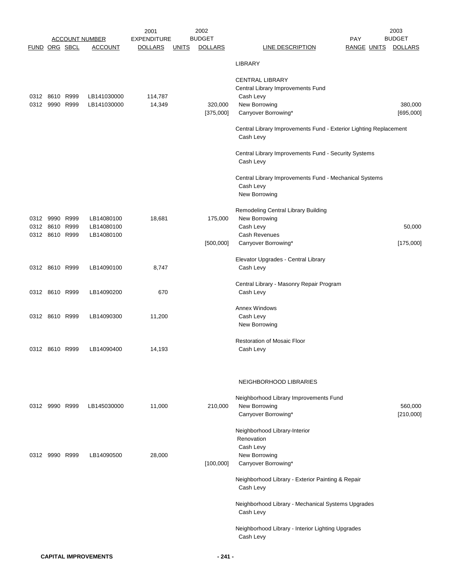|                      |                |                       | 2001               |              | 2002           |                                                                                |                    | 2003           |
|----------------------|----------------|-----------------------|--------------------|--------------|----------------|--------------------------------------------------------------------------------|--------------------|----------------|
|                      |                | <b>ACCOUNT NUMBER</b> | <b>EXPENDITURE</b> |              | <b>BUDGET</b>  |                                                                                | <b>PAY</b>         | <b>BUDGET</b>  |
| <b>FUND ORG SBCL</b> |                | <b>ACCOUNT</b>        | <b>DOLLARS</b>     | <b>UNITS</b> | <b>DOLLARS</b> | <b>LINE DESCRIPTION</b>                                                        | <b>RANGE UNITS</b> | <b>DOLLARS</b> |
|                      |                |                       |                    |              |                | LIBRARY                                                                        |                    |                |
|                      |                |                       |                    |              |                | <b>CENTRAL LIBRARY</b>                                                         |                    |                |
|                      |                |                       |                    |              |                | Central Library Improvements Fund                                              |                    |                |
| 0312 8610 R999       |                | LB141030000           | 114,787            |              |                | Cash Levy                                                                      |                    |                |
| 0312                 | 9990 R999      | LB141030000           | 14,349             |              | 320,000        | New Borrowing                                                                  |                    | 380,000        |
|                      |                |                       |                    |              | [375,000]      | Carryover Borrowing*                                                           |                    | [695,000]      |
|                      |                |                       |                    |              |                | Central Library Improvements Fund - Exterior Lighting Replacement<br>Cash Levy |                    |                |
|                      |                |                       |                    |              |                | Central Library Improvements Fund - Security Systems<br>Cash Levy              |                    |                |
|                      |                |                       |                    |              |                | Central Library Improvements Fund - Mechanical Systems                         |                    |                |
|                      |                |                       |                    |              |                | Cash Levy                                                                      |                    |                |
|                      |                |                       |                    |              |                | New Borrowing                                                                  |                    |                |
|                      |                |                       |                    |              |                | Remodeling Central Library Building                                            |                    |                |
|                      | 0312 9990 R999 | LB14080100            | 18,681             |              | 175,000        | New Borrowing                                                                  |                    |                |
| 0312 8610 R999       |                | LB14080100            |                    |              |                | Cash Levy                                                                      |                    | 50,000         |
|                      | 0312 8610 R999 | LB14080100            |                    |              |                | Cash Revenues                                                                  |                    |                |
|                      |                |                       |                    |              | [500,000]      | Carryover Borrowing*                                                           |                    | [175,000]      |
|                      |                |                       |                    |              |                |                                                                                |                    |                |
|                      | 0312 8610 R999 | LB14090100            | 8,747              |              |                | Elevator Upgrades - Central Library<br>Cash Levy                               |                    |                |
|                      |                |                       |                    |              |                |                                                                                |                    |                |
|                      |                |                       |                    |              |                | Central Library - Masonry Repair Program                                       |                    |                |
|                      | 0312 8610 R999 | LB14090200            | 670                |              |                | Cash Levy                                                                      |                    |                |
|                      |                |                       |                    |              |                | <b>Annex Windows</b>                                                           |                    |                |
|                      | 0312 8610 R999 | LB14090300            | 11,200             |              |                | Cash Levy                                                                      |                    |                |
|                      |                |                       |                    |              |                | New Borrowing                                                                  |                    |                |
|                      |                |                       |                    |              |                |                                                                                |                    |                |
|                      |                |                       |                    |              |                | <b>Restoration of Mosaic Floor</b>                                             |                    |                |
|                      | 0312 8610 R999 | LB14090400            | 14,193             |              |                | Cash Levy                                                                      |                    |                |
|                      |                |                       |                    |              |                |                                                                                |                    |                |
|                      |                |                       |                    |              |                | NEIGHBORHOOD LIBRARIES                                                         |                    |                |
|                      |                |                       |                    |              |                | Neighborhood Library Improvements Fund                                         |                    |                |
| 0312 9990 R999       |                | LB145030000           | 11,000             |              | 210.000        | New Borrowing                                                                  |                    | 560,000        |
|                      |                |                       |                    |              |                | Carryover Borrowing*                                                           |                    | [210,000]      |
|                      |                |                       |                    |              |                |                                                                                |                    |                |
|                      |                |                       |                    |              |                | Neighborhood Library-Interior                                                  |                    |                |
|                      |                |                       |                    |              |                | Renovation                                                                     |                    |                |
| 0312 9990 R999       |                | LB14090500            | 28,000             |              |                | Cash Levy                                                                      |                    |                |
|                      |                |                       |                    |              | [100,000]      | New Borrowing<br>Carryover Borrowing*                                          |                    |                |
|                      |                |                       |                    |              |                |                                                                                |                    |                |
|                      |                |                       |                    |              |                | Neighborhood Library - Exterior Painting & Repair<br>Cash Levy                 |                    |                |
|                      |                |                       |                    |              |                | Neighborhood Library - Mechanical Systems Upgrades                             |                    |                |
|                      |                |                       |                    |              |                | Cash Levy                                                                      |                    |                |
|                      |                |                       |                    |              |                | Neighborhood Library - Interior Lighting Upgrades                              |                    |                |
|                      |                |                       |                    |              |                | Cash Levy                                                                      |                    |                |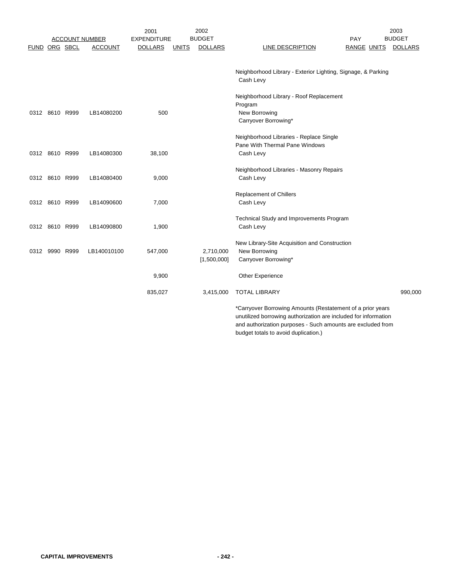|               |                |                       | 2001               |              | 2002           |                                                                 | 2003           |
|---------------|----------------|-----------------------|--------------------|--------------|----------------|-----------------------------------------------------------------|----------------|
|               |                | <b>ACCOUNT NUMBER</b> | <b>EXPENDITURE</b> |              | <b>BUDGET</b>  | PAY                                                             | <b>BUDGET</b>  |
| FUND ORG SBCL |                | <b>ACCOUNT</b>        | <b>DOLLARS</b>     | <b>UNITS</b> | <b>DOLLARS</b> | <b>LINE DESCRIPTION</b><br><b>RANGE UNITS</b>                   | <b>DOLLARS</b> |
|               |                |                       |                    |              |                |                                                                 |                |
|               |                |                       |                    |              |                | Neighborhood Library - Exterior Lighting, Signage, & Parking    |                |
|               |                |                       |                    |              |                | Cash Levy                                                       |                |
|               |                |                       |                    |              |                | Neighborhood Library - Roof Replacement                         |                |
|               |                |                       |                    |              |                | Program                                                         |                |
|               | 0312 8610 R999 | LB14080200            | 500                |              |                | New Borrowing                                                   |                |
|               |                |                       |                    |              |                | Carryover Borrowing*                                            |                |
|               |                |                       |                    |              |                | Neighborhood Libraries - Replace Single                         |                |
|               |                |                       |                    |              |                | Pane With Thermal Pane Windows                                  |                |
|               | 0312 8610 R999 | LB14080300            | 38,100             |              |                | Cash Levy                                                       |                |
|               |                |                       |                    |              |                |                                                                 |                |
|               |                |                       |                    |              |                | Neighborhood Libraries - Masonry Repairs                        |                |
|               | 0312 8610 R999 | LB14080400            | 9,000              |              |                | Cash Levy                                                       |                |
|               |                |                       |                    |              |                | Replacement of Chillers                                         |                |
|               | 0312 8610 R999 | LB14090600            | 7,000              |              |                | Cash Levy                                                       |                |
|               |                |                       |                    |              |                |                                                                 |                |
|               |                |                       |                    |              |                | Technical Study and Improvements Program                        |                |
|               | 0312 8610 R999 | LB14090800            | 1,900              |              |                | Cash Levy                                                       |                |
|               |                |                       |                    |              |                | New Library-Site Acquisition and Construction                   |                |
|               | 0312 9990 R999 | LB140010100           | 547,000            |              | 2,710,000      | New Borrowing                                                   |                |
|               |                |                       |                    |              | [1,500,000]    | Carryover Borrowing*                                            |                |
|               |                |                       |                    |              |                |                                                                 |                |
|               |                |                       | 9,900              |              |                | <b>Other Experience</b>                                         |                |
|               |                |                       | 835,027            |              | 3,415,000      | <b>TOTAL LIBRARY</b>                                            | 990,000        |
|               |                |                       |                    |              |                | *Carryover Borrowing Amounts (Restatement of a prior years      |                |
|               |                |                       |                    |              |                | unutilized borrowing authorization are included for information |                |
|               |                |                       |                    |              |                | and authorization purposes - Such amounts are excluded from     |                |

budget totals to avoid duplication.)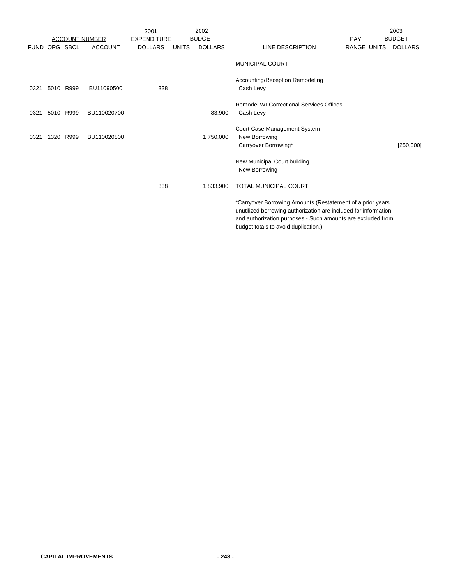|             |           |                       |                | 2001               |              | 2002           |                                                                                                                                                                                                                                      | 2003           |
|-------------|-----------|-----------------------|----------------|--------------------|--------------|----------------|--------------------------------------------------------------------------------------------------------------------------------------------------------------------------------------------------------------------------------------|----------------|
|             |           | <b>ACCOUNT NUMBER</b> |                | <b>EXPENDITURE</b> |              | <b>BUDGET</b>  | PAY                                                                                                                                                                                                                                  | <b>BUDGET</b>  |
| <b>FUND</b> | ORG SBCL  |                       | <b>ACCOUNT</b> | <b>DOLLARS</b>     | <b>UNITS</b> | <b>DOLLARS</b> | <b>LINE DESCRIPTION</b><br><b>RANGE UNITS</b>                                                                                                                                                                                        | <b>DOLLARS</b> |
|             |           |                       |                |                    |              |                | <b>MUNICIPAL COURT</b>                                                                                                                                                                                                               |                |
| 0321        | 5010 R999 |                       | BU11090500     | 338                |              |                | Accounting/Reception Remodeling<br>Cash Levy                                                                                                                                                                                         |                |
| 0321        | 5010 R999 |                       | BU110020700    |                    |              | 83,900         | <b>Remodel WI Correctional Services Offices</b><br>Cash Levy                                                                                                                                                                         |                |
| 0321        | 1320 R999 |                       | BU110020800    |                    |              | 1,750,000      | Court Case Management System<br>New Borrowing<br>Carryover Borrowing*                                                                                                                                                                | [250,000]      |
|             |           |                       |                |                    |              |                | New Municipal Court building<br>New Borrowing                                                                                                                                                                                        |                |
|             |           |                       |                | 338                |              | 1,833,900      | <b>TOTAL MUNICIPAL COURT</b>                                                                                                                                                                                                         |                |
|             |           |                       |                |                    |              |                | *Carryover Borrowing Amounts (Restatement of a prior years<br>unutilized borrowing authorization are included for information<br>and authorization purposes - Such amounts are excluded from<br>budget totals to avoid duplication.) |                |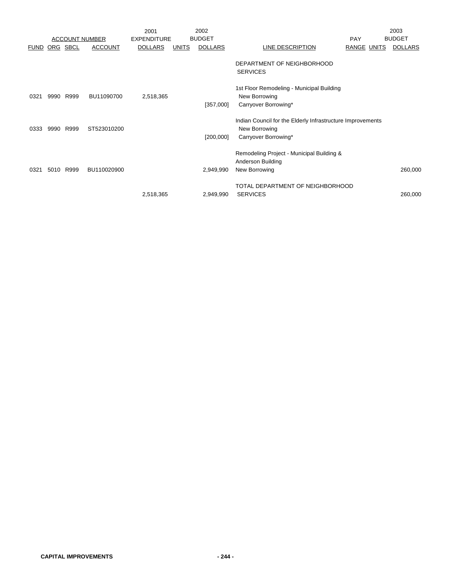|             |      |                       |                | 2001               |              | 2002           |                                                                                                     |                    | 2003           |
|-------------|------|-----------------------|----------------|--------------------|--------------|----------------|-----------------------------------------------------------------------------------------------------|--------------------|----------------|
|             |      | <b>ACCOUNT NUMBER</b> |                | <b>EXPENDITURE</b> |              | <b>BUDGET</b>  |                                                                                                     | <b>PAY</b>         | <b>BUDGET</b>  |
| <b>FUND</b> |      | ORG SBCL              | <b>ACCOUNT</b> | <b>DOLLARS</b>     | <b>UNITS</b> | <b>DOLLARS</b> | <u>LINE DESCRIPTION</u>                                                                             | <b>RANGE UNITS</b> | <b>DOLLARS</b> |
|             |      |                       |                |                    |              |                | DEPARTMENT OF NEIGHBORHOOD<br><b>SERVICES</b>                                                       |                    |                |
| 0321        |      | 9990 R999             | BU11090700     | 2,518,365          |              | [357,000]      | 1st Floor Remodeling - Municipal Building<br>New Borrowing<br>Carryover Borrowing*                  |                    |                |
| 0333        | 9990 | R999                  | ST523010200    |                    |              | [200,000]      | Indian Council for the Elderly Infrastructure Improvements<br>New Borrowing<br>Carryover Borrowing* |                    |                |
| 0321        |      | 5010 R999             | BU110020900    |                    |              | 2,949,990      | Remodeling Project - Municipal Building &<br>Anderson Building<br>New Borrowing                     |                    | 260,000        |
|             |      |                       |                | 2,518,365          |              | 2,949,990      | TOTAL DEPARTMENT OF NEIGHBORHOOD<br><b>SERVICES</b>                                                 |                    | 260,000        |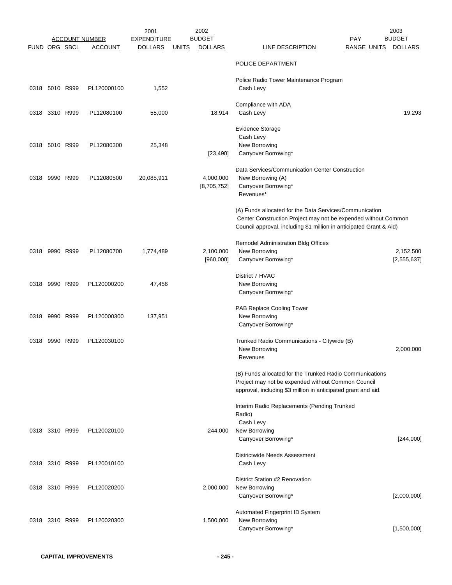|               |                | <b>ACCOUNT NUMBER</b> | 2001<br><b>EXPENDITURE</b> |              | 2002<br><b>BUDGET</b>    |                                                                                                                                                                                                  | <b>PAY</b>         | 2003<br><b>BUDGET</b>    |
|---------------|----------------|-----------------------|----------------------------|--------------|--------------------------|--------------------------------------------------------------------------------------------------------------------------------------------------------------------------------------------------|--------------------|--------------------------|
| FUND ORG SBCL |                | <b>ACCOUNT</b>        | <b>DOLLARS</b>             | <u>UNITS</u> | <b>DOLLARS</b>           | <b>LINE DESCRIPTION</b>                                                                                                                                                                          | <b>RANGE UNITS</b> | <b>DOLLARS</b>           |
|               |                |                       |                            |              |                          | POLICE DEPARTMENT                                                                                                                                                                                |                    |                          |
|               | 0318 5010 R999 | PL120000100           | 1,552                      |              |                          | Police Radio Tower Maintenance Program<br>Cash Levy                                                                                                                                              |                    |                          |
|               | 0318 3310 R999 | PL12080100            | 55,000                     |              | 18,914                   | Compliance with ADA<br>Cash Levy                                                                                                                                                                 |                    | 19,293                   |
|               | 0318 5010 R999 | PL12080300            | 25,348                     |              | [23, 490]                | <b>Evidence Storage</b><br>Cash Levy<br>New Borrowing<br>Carryover Borrowing*                                                                                                                    |                    |                          |
| 0318          | 9990 R999      | PL12080500            | 20,085,911                 |              | 4,000,000<br>[8,705,752] | Data Services/Communication Center Construction<br>New Borrowing (A)<br>Carryover Borrowing*<br>Revenues*                                                                                        |                    |                          |
|               |                |                       |                            |              |                          | (A) Funds allocated for the Data Services/Communication<br>Center Construction Project may not be expended without Common<br>Council approval, including \$1 million in anticipated Grant & Aid) |                    |                          |
|               | 0318 9990 R999 | PL12080700            | 1,774,489                  |              | 2,100,000<br>[960,000]   | Remodel Administration Bldg Offices<br>New Borrowing<br>Carryover Borrowing*                                                                                                                     |                    | 2,152,500<br>[2,555,637] |
|               | 0318 9990 R999 | PL120000200           | 47,456                     |              |                          | District 7 HVAC<br>New Borrowing<br>Carryover Borrowing*                                                                                                                                         |                    |                          |
|               | 0318 9990 R999 | PL120000300           | 137,951                    |              |                          | PAB Replace Cooling Tower<br>New Borrowing<br>Carryover Borrowing*                                                                                                                               |                    |                          |
| 0318          | 9990 R999      | PL120030100           |                            |              |                          | Trunked Radio Communications - Citywide (B)<br>New Borrowing<br>Revenues                                                                                                                         |                    | 2,000,000                |
|               |                |                       |                            |              |                          | (B) Funds allocated for the Trunked Radio Communications<br>Project may not be expended without Common Council<br>approval, including \$3 million in anticipated grant and aid.                  |                    |                          |
|               | 0318 3310 R999 | PL120020100           |                            |              | 244,000                  | Interim Radio Replacements (Pending Trunked<br>Radio)<br>Cash Levy<br>New Borrowing<br>Carryover Borrowing*                                                                                      |                    | [244,000]                |
|               | 0318 3310 R999 | PL120010100           |                            |              |                          | Districtwide Needs Assessment<br>Cash Levy                                                                                                                                                       |                    |                          |
|               | 0318 3310 R999 | PL120020200           |                            |              | 2,000,000                | District Station #2 Renovation<br>New Borrowing<br>Carryover Borrowing*                                                                                                                          |                    | [2,000,000]              |
|               | 0318 3310 R999 | PL120020300           |                            |              | 1,500,000                | Automated Fingerprint ID System<br>New Borrowing<br>Carryover Borrowing*                                                                                                                         |                    | [1,500,000]              |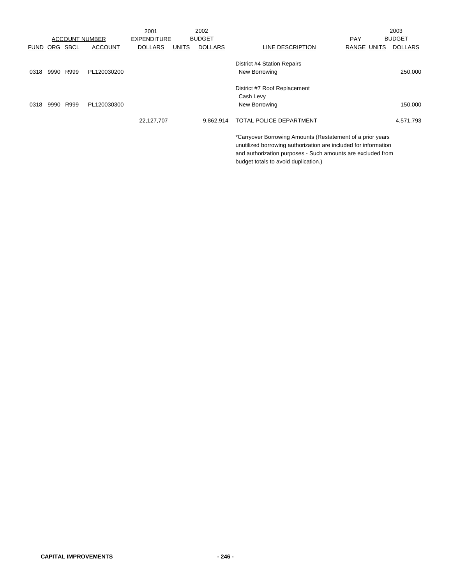|                      |      |                       |                | 2001               |              | 2002           |                                                                                                                                                                                                                                      |                    | 2003           |
|----------------------|------|-----------------------|----------------|--------------------|--------------|----------------|--------------------------------------------------------------------------------------------------------------------------------------------------------------------------------------------------------------------------------------|--------------------|----------------|
|                      |      | <b>ACCOUNT NUMBER</b> |                | <b>EXPENDITURE</b> |              | <b>BUDGET</b>  |                                                                                                                                                                                                                                      | <b>PAY</b>         | <b>BUDGET</b>  |
| <b>FUND ORG SBCL</b> |      |                       | <b>ACCOUNT</b> | <b>DOLLARS</b>     | <b>UNITS</b> | <b>DOLLARS</b> | LINE DESCRIPTION                                                                                                                                                                                                                     | <b>RANGE UNITS</b> | <b>DOLLARS</b> |
| 0318                 | 9990 | R999                  | PL120030200    |                    |              |                | District #4 Station Repairs<br>New Borrowing                                                                                                                                                                                         |                    | 250,000        |
|                      |      |                       |                |                    |              |                | District #7 Roof Replacement<br>Cash Levy                                                                                                                                                                                            |                    |                |
| 0318                 | 9990 | R999                  | PL120030300    |                    |              |                | New Borrowing                                                                                                                                                                                                                        |                    | 150,000        |
|                      |      |                       |                | 22,127,707         |              | 9.862.914      | TOTAL POLICE DEPARTMENT                                                                                                                                                                                                              |                    | 4,571,793      |
|                      |      |                       |                |                    |              |                | *Carryover Borrowing Amounts (Restatement of a prior years<br>unutilized borrowing authorization are included for information<br>and authorization purposes - Such amounts are excluded from<br>budget totals to avoid duplication.) |                    |                |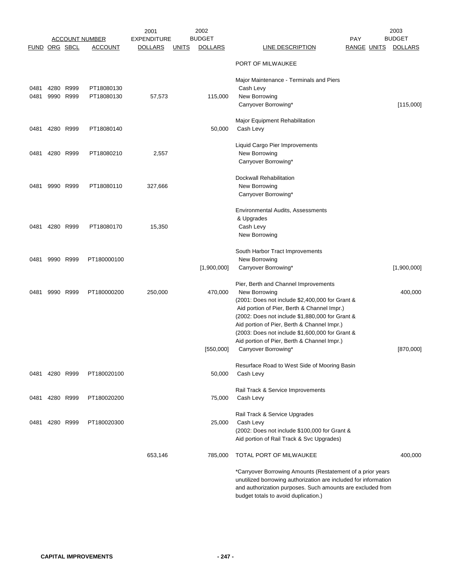|                      | <b>ACCOUNT NUMBER</b> |                |                | 2002<br>2001<br><b>BUDGET</b><br><b>EXPENDITURE</b> |              |                | 2003<br><b>BUDGET</b><br><b>PAY</b>                                                                                                                                                                                                                       |                |  |
|----------------------|-----------------------|----------------|----------------|-----------------------------------------------------|--------------|----------------|-----------------------------------------------------------------------------------------------------------------------------------------------------------------------------------------------------------------------------------------------------------|----------------|--|
| <b>FUND ORG SBCL</b> |                       |                | <b>ACCOUNT</b> | <b>DOLLARS</b>                                      | <b>UNITS</b> | <b>DOLLARS</b> | <b>LINE DESCRIPTION</b><br><b>RANGE UNITS</b>                                                                                                                                                                                                             | <b>DOLLARS</b> |  |
|                      |                       |                |                |                                                     |              |                | PORT OF MILWAUKEE                                                                                                                                                                                                                                         |                |  |
| 0481                 |                       | 4280 R999      | PT18080130     |                                                     |              |                | Major Maintenance - Terminals and Piers<br>Cash Levy                                                                                                                                                                                                      |                |  |
| 0481                 |                       | 9990 R999      | PT18080130     | 57,573                                              |              | 115,000        | New Borrowing<br>Carryover Borrowing*                                                                                                                                                                                                                     | [115,000]      |  |
| 0481                 |                       | 4280 R999      | PT18080140     |                                                     |              | 50,000         | Major Equipment Rehabilitation<br>Cash Levy                                                                                                                                                                                                               |                |  |
| 0481                 |                       | 4280 R999      | PT18080210     | 2,557                                               |              |                | Liquid Cargo Pier Improvements<br>New Borrowing<br>Carryover Borrowing*                                                                                                                                                                                   |                |  |
| 0481                 |                       | 9990 R999      | PT18080110     | 327,666                                             |              |                | <b>Dockwall Rehabilitation</b><br>New Borrowing<br>Carryover Borrowing*                                                                                                                                                                                   |                |  |
| 0481                 |                       | 4280 R999      | PT18080170     | 15,350                                              |              |                | Environmental Audits, Assessments<br>& Upgrades<br>Cash Levy<br>New Borrowing                                                                                                                                                                             |                |  |
| 0481                 |                       | 9990 R999      | PT180000100    |                                                     |              | [1,900,000]    | South Harbor Tract Improvements<br>New Borrowing<br>Carryover Borrowing*                                                                                                                                                                                  | [1,900,000]    |  |
| 0481                 |                       | 9990 R999      | PT180000200    | 250,000                                             |              | 470,000        | Pier, Berth and Channel Improvements<br>New Borrowing<br>(2001: Does not include \$2,400,000 for Grant &<br>Aid portion of Pier, Berth & Channel Impr.)<br>(2002: Does not include \$1,880,000 for Grant &<br>Aid portion of Pier, Berth & Channel Impr.) | 400,000        |  |
|                      |                       |                |                |                                                     |              |                | (2003: Does not include \$1,600,000 for Grant &<br>Aid portion of Pier, Berth & Channel Impr.)                                                                                                                                                            |                |  |
|                      |                       |                |                |                                                     |              | [550,000]      | Carryover Borrowing*<br>Resurface Road to West Side of Mooring Basin                                                                                                                                                                                      | [870,000]      |  |
|                      | 0481 4280 R999        |                | PT180020100    |                                                     |              | 50,000         | Cash Levy                                                                                                                                                                                                                                                 |                |  |
| 0481                 |                       | 4280 R999      | PT180020200    |                                                     |              | 75,000         | Rail Track & Service Improvements<br>Cash Levy                                                                                                                                                                                                            |                |  |
|                      |                       | 0481 4280 R999 | PT180020300    |                                                     |              | 25,000         | Rail Track & Service Upgrades<br>Cash Levy<br>(2002: Does not include \$100,000 for Grant &<br>Aid portion of Rail Track & Svc Upgrades)                                                                                                                  |                |  |
|                      |                       |                |                | 653,146                                             |              | 785,000        | TOTAL PORT OF MILWAUKEE                                                                                                                                                                                                                                   | 400,000        |  |
|                      |                       |                |                |                                                     |              |                | *Carryover Borrowing Amounts (Restatement of a prior years<br>unutilized borrowing authorization are included for information<br>and authorization purposes. Such amounts are excluded from<br>budget totals to avoid duplication.)                       |                |  |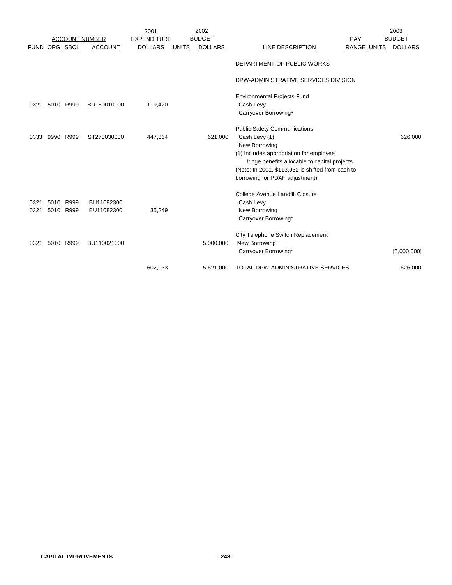|             |           |           |                       | 2001               |              | 2002           |                                                   |                    | 2003           |
|-------------|-----------|-----------|-----------------------|--------------------|--------------|----------------|---------------------------------------------------|--------------------|----------------|
|             |           |           | <b>ACCOUNT NUMBER</b> | <b>EXPENDITURE</b> |              | <b>BUDGET</b>  |                                                   | PAY                | <b>BUDGET</b>  |
| <b>FUND</b> |           | ORG SBCL  | <b>ACCOUNT</b>        | <b>DOLLARS</b>     | <b>UNITS</b> | <b>DOLLARS</b> | LINE DESCRIPTION                                  | <b>RANGE UNITS</b> | <b>DOLLARS</b> |
|             |           |           |                       |                    |              |                | DEPARTMENT OF PUBLIC WORKS                        |                    |                |
|             |           |           |                       |                    |              |                | DPW-ADMINISTRATIVE SERVICES DIVISION              |                    |                |
|             |           |           |                       |                    |              |                | <b>Environmental Projects Fund</b>                |                    |                |
| 0321        |           | 5010 R999 | BU150010000           | 119,420            |              |                | Cash Levy                                         |                    |                |
|             |           |           |                       |                    |              |                | Carryover Borrowing*                              |                    |                |
|             |           |           |                       |                    |              |                | <b>Public Safety Communications</b>               |                    |                |
| 0333        | 9990 R999 |           | ST270030000           | 447,364            |              | 621,000        | Cash Levy (1)                                     |                    | 626,000        |
|             |           |           |                       |                    |              |                | New Borrowing                                     |                    |                |
|             |           |           |                       |                    |              |                | (1) Includes appropriation for employee           |                    |                |
|             |           |           |                       |                    |              |                | fringe benefits allocable to capital projects.    |                    |                |
|             |           |           |                       |                    |              |                | (Note: In 2001, \$113,932 is shifted from cash to |                    |                |
|             |           |           |                       |                    |              |                | borrowing for PDAF adjustment)                    |                    |                |
|             |           |           |                       |                    |              |                | College Avenue Landfill Closure                   |                    |                |
| 0321        |           | 5010 R999 | BU11082300            |                    |              |                | Cash Levy                                         |                    |                |
| 0321        |           | 5010 R999 | BU11082300            | 35,249             |              |                | New Borrowing                                     |                    |                |
|             |           |           |                       |                    |              |                | Carryover Borrowing*                              |                    |                |
|             |           |           |                       |                    |              |                |                                                   |                    |                |
|             |           |           |                       |                    |              |                | City Telephone Switch Replacement                 |                    |                |
| 0321        |           | 5010 R999 | BU110021000           |                    |              | 5,000,000      | New Borrowing                                     |                    |                |
|             |           |           |                       |                    |              |                | Carryover Borrowing*                              |                    | [5,000,000]    |
|             |           |           |                       | 602,033            |              | 5,621,000      | TOTAL DPW-ADMINISTRATIVE SERVICES                 |                    | 626,000        |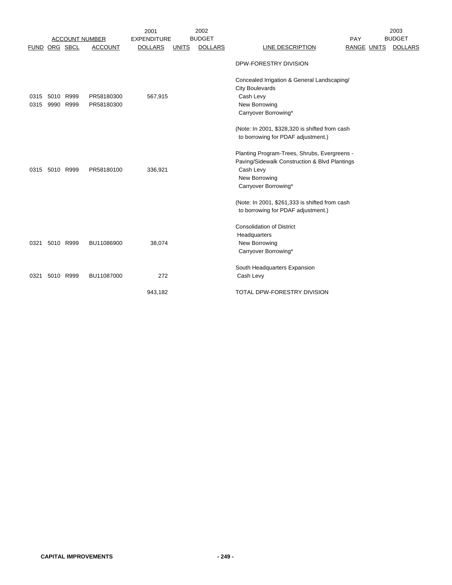|              |                        |                       |                          | 2001               |              | 2002           |                                                                                                                                                                                                                                             |                    | 2003           |
|--------------|------------------------|-----------------------|--------------------------|--------------------|--------------|----------------|---------------------------------------------------------------------------------------------------------------------------------------------------------------------------------------------------------------------------------------------|--------------------|----------------|
|              |                        | <b>ACCOUNT NUMBER</b> |                          | <b>EXPENDITURE</b> |              | <b>BUDGET</b>  |                                                                                                                                                                                                                                             | <b>PAY</b>         | <b>BUDGET</b>  |
| <b>FUND</b>  | ORG SBCL               |                       | <b>ACCOUNT</b>           | <b>DOLLARS</b>     | <b>UNITS</b> | <b>DOLLARS</b> | LINE DESCRIPTION                                                                                                                                                                                                                            | <b>RANGE UNITS</b> | <b>DOLLARS</b> |
|              |                        |                       |                          |                    |              |                | DPW-FORESTRY DIVISION                                                                                                                                                                                                                       |                    |                |
| 0315<br>0315 | 5010 R999<br>9990 R999 |                       | PR58180300<br>PR58180300 | 567,915            |              |                | Concealed Irrigation & General Landscaping/<br><b>City Boulevards</b><br>Cash Levy<br>New Borrowing<br>Carryover Borrowing*                                                                                                                 |                    |                |
|              | 0315 5010 R999         |                       | PR58180100               | 336,921            |              |                | (Note: In 2001, \$328,320 is shifted from cash<br>to borrowing for PDAF adjustment.)<br>Planting Program-Trees, Shrubs, Evergreens -<br>Paving/Sidewalk Construction & Blvd Plantings<br>Cash Levy<br>New Borrowing<br>Carryover Borrowing* |                    |                |
|              |                        |                       |                          |                    |              |                | (Note: In 2001, \$261,333 is shifted from cash<br>to borrowing for PDAF adjustment.)                                                                                                                                                        |                    |                |
| 0321         | 5010 R999              |                       | BU11086900               | 38,074             |              |                | <b>Consolidation of District</b><br>Headquarters<br>New Borrowing<br>Carryover Borrowing*                                                                                                                                                   |                    |                |
| 0321         | 5010 R999              |                       | BU11087000               | 272                |              |                | South Headquarters Expansion<br>Cash Levy                                                                                                                                                                                                   |                    |                |
|              |                        |                       |                          | 943,182            |              |                | TOTAL DPW-FORESTRY DIVISION                                                                                                                                                                                                                 |                    |                |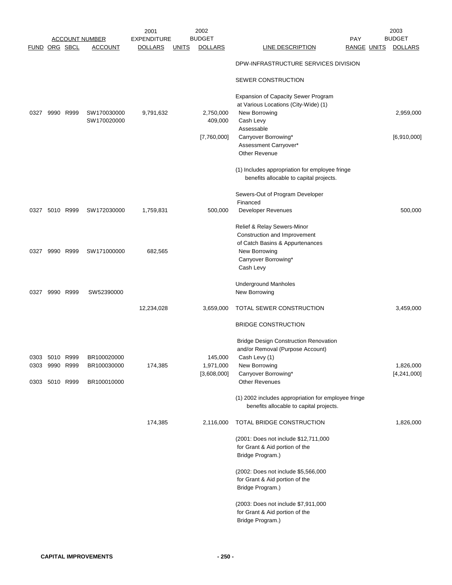|                        |                |           |                            | 2001               |              | 2002                 |                                                                                           |                    | 2003           |
|------------------------|----------------|-----------|----------------------------|--------------------|--------------|----------------------|-------------------------------------------------------------------------------------------|--------------------|----------------|
|                        |                |           | ACCOUNT NUMBER             | <b>EXPENDITURE</b> |              | <b>BUDGET</b>        |                                                                                           | <b>PAY</b>         | <b>BUDGET</b>  |
| <b>FUND ORG SBCL</b>   |                |           | <b>ACCOUNT</b>             | <b>DOLLARS</b>     | <u>UNITS</u> | <b>DOLLARS</b>       | <b>LINE DESCRIPTION</b>                                                                   | <b>RANGE UNITS</b> | <b>DOLLARS</b> |
|                        |                |           |                            |                    |              |                      | DPW-INFRASTRUCTURE SERVICES DIVISION                                                      |                    |                |
|                        |                |           |                            |                    |              |                      | SEWER CONSTRUCTION                                                                        |                    |                |
|                        |                |           |                            |                    |              |                      | Expansion of Capacity Sewer Program<br>at Various Locations (City-Wide) (1)               |                    |                |
| 0327                   |                | 9990 R999 | SW170030000                | 9,791,632          |              | 2,750,000            | New Borrowing                                                                             |                    | 2,959,000      |
|                        |                |           | SW170020000                |                    |              | 409,000              | Cash Levy                                                                                 |                    |                |
|                        |                |           |                            |                    |              |                      | Assessable                                                                                |                    |                |
|                        |                |           |                            |                    |              | [7,760,000]          | Carryover Borrowing*                                                                      |                    | [6,910,000]    |
|                        |                |           |                            |                    |              |                      | Assessment Carryover*                                                                     |                    |                |
|                        |                |           |                            |                    |              |                      | <b>Other Revenue</b>                                                                      |                    |                |
|                        |                |           |                            |                    |              |                      | (1) Includes appropriation for employee fringe<br>benefits allocable to capital projects. |                    |                |
|                        |                |           |                            |                    |              |                      | Sewers-Out of Program Developer                                                           |                    |                |
|                        | 0327 5010 R999 |           | SW172030000                | 1,759,831          |              | 500,000              | Financed<br><b>Developer Revenues</b>                                                     |                    | 500,000        |
|                        |                |           |                            |                    |              |                      | Relief & Relay Sewers-Minor                                                               |                    |                |
|                        |                |           |                            |                    |              |                      | Construction and Improvement                                                              |                    |                |
|                        |                |           |                            |                    |              |                      | of Catch Basins & Appurtenances                                                           |                    |                |
| 0327                   |                | 9990 R999 | SW171000000                | 682,565            |              |                      | New Borrowing                                                                             |                    |                |
|                        |                |           |                            |                    |              |                      | Carryover Borrowing*                                                                      |                    |                |
|                        |                |           |                            |                    |              |                      | Cash Levy                                                                                 |                    |                |
| 0327                   |                | 9990 R999 | SW52390000                 |                    |              |                      | <b>Underground Manholes</b><br>New Borrowing                                              |                    |                |
|                        |                |           |                            | 12,234,028         |              | 3,659,000            | TOTAL SEWER CONSTRUCTION                                                                  |                    | 3,459,000      |
|                        |                |           |                            |                    |              |                      |                                                                                           |                    |                |
|                        |                |           |                            |                    |              |                      | <b>BRIDGE CONSTRUCTION</b>                                                                |                    |                |
|                        |                |           |                            |                    |              |                      | <b>Bridge Design Construction Renovation</b>                                              |                    |                |
|                        |                |           |                            |                    |              |                      | and/or Removal (Purpose Account)                                                          |                    |                |
| 0303<br>0303 9990 R999 | 5010           | R999      | BR100020000<br>BR100030000 | 174,385            |              | 145,000<br>1,971,000 | Cash Levy (1)<br>New Borrowing                                                            |                    | 1,826,000      |
|                        |                |           |                            |                    |              | [3,608,000]          | Carryover Borrowing*                                                                      |                    | [4,241,000]    |
| 0303 5010 R999         |                |           | BR100010000                |                    |              |                      | <b>Other Revenues</b>                                                                     |                    |                |
|                        |                |           |                            |                    |              |                      | (1) 2002 includes appropriation for employee fringe                                       |                    |                |
|                        |                |           |                            |                    |              |                      | benefits allocable to capital projects.                                                   |                    |                |
|                        |                |           |                            | 174,385            |              | 2,116,000            | TOTAL BRIDGE CONSTRUCTION                                                                 |                    | 1,826,000      |
|                        |                |           |                            |                    |              |                      | (2001: Does not include \$12,711,000                                                      |                    |                |
|                        |                |           |                            |                    |              |                      | for Grant & Aid portion of the                                                            |                    |                |
|                        |                |           |                            |                    |              |                      | Bridge Program.)                                                                          |                    |                |
|                        |                |           |                            |                    |              |                      | (2002: Does not include \$5,566,000                                                       |                    |                |
|                        |                |           |                            |                    |              |                      | for Grant & Aid portion of the                                                            |                    |                |
|                        |                |           |                            |                    |              |                      | Bridge Program.)                                                                          |                    |                |
|                        |                |           |                            |                    |              |                      | (2003: Does not include \$7,911,000                                                       |                    |                |
|                        |                |           |                            |                    |              |                      | for Grant & Aid portion of the                                                            |                    |                |
|                        |                |           |                            |                    |              |                      | Bridge Program.)                                                                          |                    |                |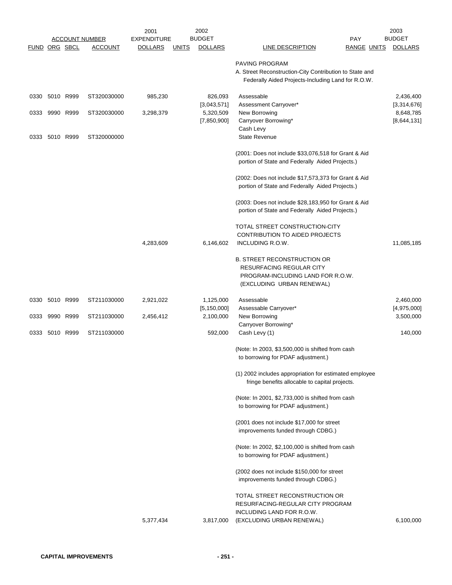|               |                |      | <u>ACCOUNT NUMBER</u> | 2001<br><b>EXPENDITURE</b> |              | 2002<br><b>BUDGET</b>      |                                                                                                                                  | <b>PAY</b>         | 2003<br><b>BUDGET</b>    |
|---------------|----------------|------|-----------------------|----------------------------|--------------|----------------------------|----------------------------------------------------------------------------------------------------------------------------------|--------------------|--------------------------|
| FUND ORG SBCL |                |      | <b>ACCOUNT</b>        | <b>DOLLARS</b>             | <u>UNITS</u> | <b>DOLLARS</b>             | <b>LINE DESCRIPTION</b>                                                                                                          | <b>RANGE UNITS</b> | <b>DOLLARS</b>           |
|               |                |      |                       |                            |              |                            | PAVING PROGRAM<br>A. Street Reconstruction-City Contribution to State and<br>Federally Aided Projects-Including Land for R.O.W.  |                    |                          |
|               | 0330 5010 R999 |      | ST320030000           | 985,230                    |              | 826,093<br>[3,043,571]     | Assessable<br>Assessment Carryover*                                                                                              |                    | 2,436,400<br>[3,314,676] |
| 0333          | 9990 R999      |      | ST320030000           | 3,298,379                  |              | 5,320,509<br>[7,850,900]   | New Borrowing<br>Carryover Borrowing*<br>Cash Levy                                                                               |                    | 8,648,785<br>[8,644,131] |
| 0333          | 5010 R999      |      | ST320000000           |                            |              |                            | <b>State Revenue</b>                                                                                                             |                    |                          |
|               |                |      |                       |                            |              |                            | (2001: Does not include \$33,076,518 for Grant & Aid<br>portion of State and Federally Aided Projects.)                          |                    |                          |
|               |                |      |                       |                            |              |                            | (2002: Does not include \$17,573,373 for Grant & Aid<br>portion of State and Federally Aided Projects.)                          |                    |                          |
|               |                |      |                       |                            |              |                            | (2003: Does not include \$28,183,950 for Grant & Aid<br>portion of State and Federally Aided Projects.)                          |                    |                          |
|               |                |      |                       |                            |              |                            | TOTAL STREET CONSTRUCTION-CITY<br><b>CONTRIBUTION TO AIDED PROJECTS</b>                                                          |                    |                          |
|               |                |      |                       | 4,283,609                  |              | 6,146,602                  | INCLUDING R.O.W.                                                                                                                 |                    | 11,085,185               |
|               |                |      |                       |                            |              |                            | <b>B. STREET RECONSTRUCTION OR</b><br>RESURFACING REGULAR CITY<br>PROGRAM-INCLUDING LAND FOR R.O.W.<br>(EXCLUDING URBAN RENEWAL) |                    |                          |
|               | 0330 5010 R999 |      | ST211030000           | 2,921,022                  |              | 1,125,000                  | Assessable                                                                                                                       |                    | 2,460,000                |
| 0333          | 9990           | R999 | ST211030000           | 2,456,412                  |              | [5, 150, 000]<br>2,100,000 | Assessable Carryover*<br>New Borrowing<br>Carryover Borrowing*                                                                   |                    | [4,975,000]<br>3,500,000 |
|               | 0333 5010 R999 |      | ST211030000           |                            |              | 592,000                    | Cash Levy (1)                                                                                                                    |                    | 140,000                  |
|               |                |      |                       |                            |              |                            | (Note: In 2003, \$3,500,000 is shifted from cash<br>to borrowing for PDAF adjustment.)                                           |                    |                          |
|               |                |      |                       |                            |              |                            | (1) 2002 includes appropriation for estimated employee<br>fringe benefits allocable to capital projects.                         |                    |                          |
|               |                |      |                       |                            |              |                            | (Note: In 2001, \$2,733,000 is shifted from cash<br>to borrowing for PDAF adjustment.)                                           |                    |                          |
|               |                |      |                       |                            |              |                            | (2001 does not include \$17,000 for street<br>improvements funded through CDBG.)                                                 |                    |                          |
|               |                |      |                       |                            |              |                            | (Note: In 2002, \$2,100,000 is shifted from cash<br>to borrowing for PDAF adjustment.)                                           |                    |                          |
|               |                |      |                       |                            |              |                            | (2002 does not include \$150,000 for street<br>improvements funded through CDBG.)                                                |                    |                          |
|               |                |      |                       |                            |              |                            | TOTAL STREET RECONSTRUCTION OR<br>RESURFACING-REGULAR CITY PROGRAM<br>INCLUDING LAND FOR R.O.W.                                  |                    |                          |
|               |                |      |                       | 5,377,434                  |              | 3,817,000                  | (EXCLUDING URBAN RENEWAL)                                                                                                        |                    | 6,100,000                |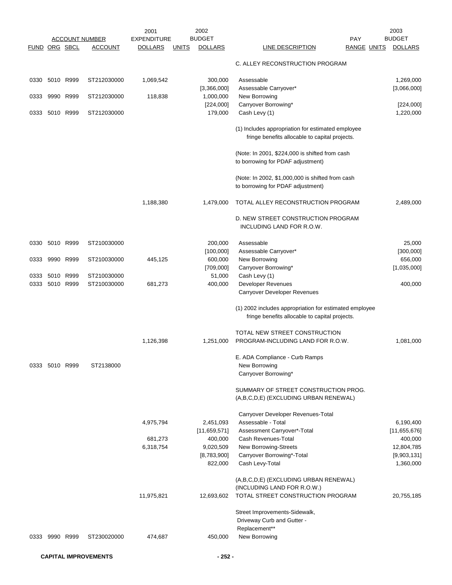|               |                |      |                       | 2001               |              | 2002                   |                                                                                                          |                    | 2003                     |
|---------------|----------------|------|-----------------------|--------------------|--------------|------------------------|----------------------------------------------------------------------------------------------------------|--------------------|--------------------------|
|               |                |      | <u>ACCOUNT NUMBER</u> | <b>EXPENDITURE</b> |              | <b>BUDGET</b>          |                                                                                                          | <b>PAY</b>         | <b>BUDGET</b>            |
| FUND ORG SBCL |                |      | <u>ACCOUNT</u>        | <b>DOLLARS</b>     | <b>UNITS</b> | <b>DOLLARS</b>         | <u>LINE DESCRIPTION</u>                                                                                  | <b>RANGE UNITS</b> | <b>DOLLARS</b>           |
|               |                |      |                       |                    |              |                        | C. ALLEY RECONSTRUCTION PROGRAM                                                                          |                    |                          |
| 0330          | 5010 R999      |      | ST212030000           | 1,069,542          |              | 300,000<br>[3,366,000] | Assessable<br>Assessable Carryover*                                                                      |                    | 1,269,000<br>[3,066,000] |
| 0333          | 9990           | R999 | ST212030000           | 118,838            |              | 1,000,000              | New Borrowing                                                                                            |                    |                          |
|               |                |      |                       |                    |              | [224,000]              | Carryover Borrowing*                                                                                     |                    | [224,000]                |
| 0333          | 5010 R999      |      | ST212030000           |                    |              | 179,000                | Cash Levy (1)                                                                                            |                    | 1,220,000                |
|               |                |      |                       |                    |              |                        | (1) Includes appropriation for estimated employee<br>fringe benefits allocable to capital projects.      |                    |                          |
|               |                |      |                       |                    |              |                        | (Note: In 2001, \$224,000 is shifted from cash<br>to borrowing for PDAF adjustment)                      |                    |                          |
|               |                |      |                       |                    |              |                        | (Note: In 2002, \$1,000,000 is shifted from cash<br>to borrowing for PDAF adjustment)                    |                    |                          |
|               |                |      |                       | 1,188,380          |              | 1,479,000              | TOTAL ALLEY RECONSTRUCTION PROGRAM                                                                       |                    | 2,489,000                |
|               |                |      |                       |                    |              |                        | D. NEW STREET CONSTRUCTION PROGRAM<br>INCLUDING LAND FOR R.O.W.                                          |                    |                          |
| 0330          | 5010 R999      |      | ST210030000           |                    |              | 200,000                | Assessable                                                                                               |                    | 25,000                   |
|               |                |      |                       |                    |              | [100,000]              | Assessable Carryover*                                                                                    |                    | [300,000]                |
| 0333          | 9990 R999      |      | ST210030000           | 445,125            |              | 600,000                | New Borrowing                                                                                            |                    | 656,000                  |
|               |                |      |                       |                    |              | [709,000]              | Carryover Borrowing*                                                                                     |                    | [1,035,000]              |
| 0333          | 5010 R999      |      | ST210030000           |                    |              | 51,000                 | Cash Levy (1)                                                                                            |                    |                          |
| 0333          | 5010 R999      |      | ST210030000           | 681,273            |              | 400,000                | Developer Revenues<br>Carryover Developer Revenues                                                       |                    | 400,000                  |
|               |                |      |                       |                    |              |                        |                                                                                                          |                    |                          |
|               |                |      |                       |                    |              |                        | (1) 2002 includes appropriation for estimated employee<br>fringe benefits allocable to capital projects. |                    |                          |
|               |                |      |                       |                    |              |                        | TOTAL NEW STREET CONSTRUCTION                                                                            |                    |                          |
|               |                |      |                       | 1,126,398          |              | 1,251,000              | PROGRAM-INCLUDING LAND FOR R.O.W.                                                                        |                    | 1,081,000                |
|               |                |      |                       |                    |              |                        | E. ADA Compliance - Curb Ramps                                                                           |                    |                          |
|               | 0333 5010 R999 |      | ST2138000             |                    |              |                        | New Borrowing                                                                                            |                    |                          |
|               |                |      |                       |                    |              |                        | Carryover Borrowing*                                                                                     |                    |                          |
|               |                |      |                       |                    |              |                        | SUMMARY OF STREET CONSTRUCTION PROG.<br>(A,B,C,D,E) (EXCLUDING URBAN RENEWAL)                            |                    |                          |
|               |                |      |                       |                    |              |                        | Carryover Developer Revenues-Total                                                                       |                    |                          |
|               |                |      |                       | 4,975,794          |              | 2,451,093              | Assessable - Total                                                                                       |                    | 6,190,400                |
|               |                |      |                       |                    |              | [11, 659, 571]         | Assessment Carryover*-Total                                                                              |                    | [11,655,676]             |
|               |                |      |                       | 681,273            |              | 400,000                | Cash Revenues-Total                                                                                      |                    | 400,000                  |
|               |                |      |                       | 6,318,754          |              | 9,020,509              | New Borrowing-Streets                                                                                    |                    | 12,804,785               |
|               |                |      |                       |                    |              | [8,783,900]<br>822,000 | Carryover Borrowing*-Total<br>Cash Levy-Total                                                            |                    | [9,903,131]<br>1,360,000 |
|               |                |      |                       |                    |              |                        |                                                                                                          |                    |                          |
|               |                |      |                       |                    |              |                        | (A,B,C,D,E) (EXCLUDING URBAN RENEWAL)<br>(INCLUDING LAND FOR R.O.W.)                                     |                    |                          |
|               |                |      |                       | 11,975,821         |              | 12,693,602             | TOTAL STREET CONSTRUCTION PROGRAM                                                                        |                    | 20,755,185               |
|               |                |      |                       |                    |              |                        | Street Improvements-Sidewalk,<br>Driveway Curb and Gutter -                                              |                    |                          |
|               | 0333 9990 R999 |      | ST230020000           | 474,687            |              | 450,000                | Replacement**<br>New Borrowing                                                                           |                    |                          |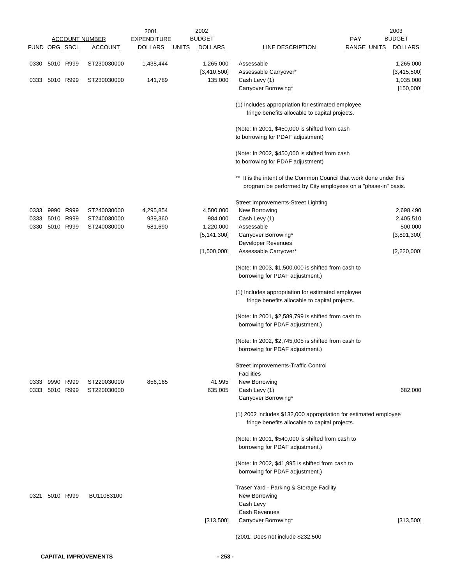|                      |                             |                            | 2001               |              | 2002              |                                                                                                                                   |                    | 2003           |
|----------------------|-----------------------------|----------------------------|--------------------|--------------|-------------------|-----------------------------------------------------------------------------------------------------------------------------------|--------------------|----------------|
|                      |                             | <b>ACCOUNT NUMBER</b>      | <b>EXPENDITURE</b> |              | <b>BUDGET</b>     |                                                                                                                                   | PAY                | <b>BUDGET</b>  |
| <b>FUND ORG SBCL</b> |                             | <b>ACCOUNT</b>             | <b>DOLLARS</b>     | <u>UNITS</u> | <b>DOLLARS</b>    | <b>LINE DESCRIPTION</b>                                                                                                           | <b>RANGE UNITS</b> | <b>DOLLARS</b> |
|                      | 0330 5010 R999              | ST230030000                | 1,438,444          |              | 1,265,000         | Assessable                                                                                                                        |                    | 1,265,000      |
|                      |                             |                            |                    |              | [3,410,500]       | Assessable Carryover*                                                                                                             |                    | [3,415,500]    |
|                      | 0333 5010 R999              | ST230030000                | 141,789            |              | 135,000           | Cash Levy (1)                                                                                                                     |                    | 1,035,000      |
|                      |                             |                            |                    |              |                   | Carryover Borrowing*                                                                                                              |                    | [150,000]      |
|                      |                             |                            |                    |              |                   | (1) Includes appropriation for estimated employee                                                                                 |                    |                |
|                      |                             |                            |                    |              |                   | fringe benefits allocable to capital projects.                                                                                    |                    |                |
|                      |                             |                            |                    |              |                   | (Note: In 2001, \$450,000 is shifted from cash                                                                                    |                    |                |
|                      |                             |                            |                    |              |                   | to borrowing for PDAF adjustment)                                                                                                 |                    |                |
|                      |                             |                            |                    |              |                   | (Note: In 2002, \$450,000 is shifted from cash                                                                                    |                    |                |
|                      |                             |                            |                    |              |                   | to borrowing for PDAF adjustment)                                                                                                 |                    |                |
|                      |                             |                            |                    |              |                   |                                                                                                                                   |                    |                |
|                      |                             |                            |                    |              |                   | It is the intent of the Common Council that work done under this<br>program be performed by City employees on a "phase-in" basis. |                    |                |
|                      |                             |                            |                    |              |                   | Street Improvements-Street Lighting                                                                                               |                    |                |
| 0333                 | 9990 R999                   | ST240030000                | 4,295,854          |              | 4,500,000         | New Borrowing                                                                                                                     |                    | 2,698,490      |
| 0333                 | 5010 R999                   | ST240030000                | 939,360            |              | 984,000           | Cash Levy (1)                                                                                                                     |                    | 2,405,510      |
| 0330                 | 5010 R999                   | ST240030000                | 581,690            |              | 1,220,000         | Assessable                                                                                                                        |                    | 500,000        |
|                      |                             |                            |                    |              | [5, 141, 300]     | Carryover Borrowing*                                                                                                              |                    | [3,891,300]    |
|                      |                             |                            |                    |              | [1,500,000]       | Developer Revenues<br>Assessable Carryover*                                                                                       |                    | [2,220,000]    |
|                      |                             |                            |                    |              |                   |                                                                                                                                   |                    |                |
|                      |                             |                            |                    |              |                   | (Note: In 2003, \$1,500,000 is shifted from cash to                                                                               |                    |                |
|                      |                             |                            |                    |              |                   | borrowing for PDAF adjustment.)                                                                                                   |                    |                |
|                      |                             |                            |                    |              |                   | (1) Includes appropriation for estimated employee<br>fringe benefits allocable to capital projects.                               |                    |                |
|                      |                             |                            |                    |              |                   | (Note: In 2001, \$2,589,799 is shifted from cash to<br>borrowing for PDAF adjustment.)                                            |                    |                |
|                      |                             |                            |                    |              |                   | (Note: In 2002, \$2,745,005 is shifted from cash to                                                                               |                    |                |
|                      |                             |                            |                    |              |                   | borrowing for PDAF adjustment.)                                                                                                   |                    |                |
|                      |                             |                            |                    |              |                   | Street Improvements-Traffic Control                                                                                               |                    |                |
|                      |                             |                            |                    |              |                   | Facilities                                                                                                                        |                    |                |
| 0333                 | 9990 R999<br>0333 5010 R999 | ST220030000<br>ST220030000 | 856,165            |              | 41,995<br>635,005 | New Borrowing<br>Cash Levy (1)                                                                                                    |                    | 682,000        |
|                      |                             |                            |                    |              |                   | Carryover Borrowing*                                                                                                              |                    |                |
|                      |                             |                            |                    |              |                   | (1) 2002 includes \$132,000 appropriation for estimated employee<br>fringe benefits allocable to capital projects.                |                    |                |
|                      |                             |                            |                    |              |                   | (Note: In 2001, \$540,000 is shifted from cash to<br>borrowing for PDAF adjustment.)                                              |                    |                |
|                      |                             |                            |                    |              |                   |                                                                                                                                   |                    |                |
|                      |                             |                            |                    |              |                   | (Note: In 2002, \$41,995 is shifted from cash to<br>borrowing for PDAF adjustment.)                                               |                    |                |
|                      |                             |                            |                    |              |                   | Traser Yard - Parking & Storage Facility                                                                                          |                    |                |
| 0321                 | 5010 R999                   | BU11083100                 |                    |              |                   | New Borrowing                                                                                                                     |                    |                |
|                      |                             |                            |                    |              |                   | Cash Levy                                                                                                                         |                    |                |
|                      |                             |                            |                    |              |                   | Cash Revenues                                                                                                                     |                    |                |
|                      |                             |                            |                    |              | [313,500]         | Carryover Borrowing*                                                                                                              |                    | [313,500]      |
|                      |                             |                            |                    |              |                   | (2001: Does not include \$232,500                                                                                                 |                    |                |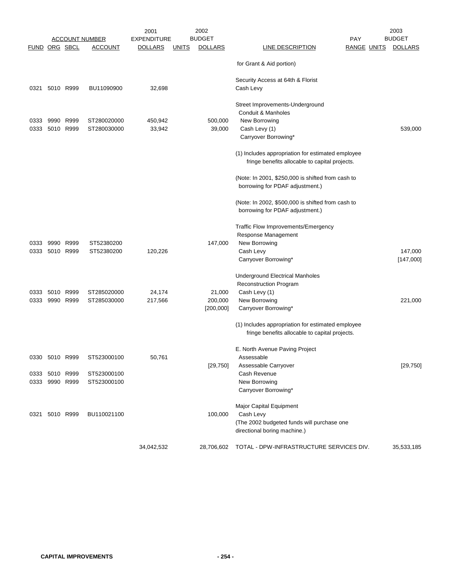|                      |                |           |                       | 2001               |              | 2002           |                                                                                                     |                    | 2003           |
|----------------------|----------------|-----------|-----------------------|--------------------|--------------|----------------|-----------------------------------------------------------------------------------------------------|--------------------|----------------|
|                      |                |           | <u>ACCOUNT NUMBER</u> | <b>EXPENDITURE</b> |              | <b>BUDGET</b>  |                                                                                                     | PAY                | <b>BUDGET</b>  |
| <b>FUND ORG SBCL</b> |                |           | <b>ACCOUNT</b>        | <b>DOLLARS</b>     | <u>UNITS</u> | <b>DOLLARS</b> | LINE DESCRIPTION                                                                                    | <b>RANGE UNITS</b> | <b>DOLLARS</b> |
|                      |                |           |                       |                    |              |                | for Grant & Aid portion)                                                                            |                    |                |
|                      |                |           |                       |                    |              |                | Security Access at 64th & Florist                                                                   |                    |                |
| 0321                 |                | 5010 R999 | BU11090900            | 32,698             |              |                | Cash Levy                                                                                           |                    |                |
|                      |                |           |                       |                    |              |                | Street Improvements-Underground                                                                     |                    |                |
|                      |                |           |                       |                    |              |                | Conduit & Manholes                                                                                  |                    |                |
| 0333                 |                | 9990 R999 | ST280020000           | 450,942            |              | 500,000        | New Borrowing                                                                                       |                    |                |
| 0333                 |                | 5010 R999 | ST280030000           | 33,942             |              | 39,000         | Cash Levy (1)                                                                                       |                    | 539,000        |
|                      |                |           |                       |                    |              |                | Carryover Borrowing*                                                                                |                    |                |
|                      |                |           |                       |                    |              |                | (1) Includes appropriation for estimated employee<br>fringe benefits allocable to capital projects. |                    |                |
|                      |                |           |                       |                    |              |                | (Note: In 2001, \$250,000 is shifted from cash to                                                   |                    |                |
|                      |                |           |                       |                    |              |                | borrowing for PDAF adjustment.)                                                                     |                    |                |
|                      |                |           |                       |                    |              |                | (Note: In 2002, \$500,000 is shifted from cash to                                                   |                    |                |
|                      |                |           |                       |                    |              |                | borrowing for PDAF adjustment.)                                                                     |                    |                |
|                      |                |           |                       |                    |              |                | Traffic Flow Improvements/Emergency                                                                 |                    |                |
|                      |                |           |                       |                    |              |                | Response Management                                                                                 |                    |                |
| 0333                 |                | 9990 R999 | ST52380200            |                    |              | 147,000        | New Borrowing                                                                                       |                    |                |
| 0333                 |                | 5010 R999 | ST52380200            | 120,226            |              |                | Cash Levy                                                                                           |                    | 147,000        |
|                      |                |           |                       |                    |              |                | Carryover Borrowing*                                                                                |                    | [147,000]      |
|                      |                |           |                       |                    |              |                | <b>Underground Electrical Manholes</b>                                                              |                    |                |
|                      |                |           |                       |                    |              |                | <b>Reconstruction Program</b>                                                                       |                    |                |
| 0333                 | 5010 R999      |           | ST285020000           | 24,174             |              | 21,000         | Cash Levy (1)                                                                                       |                    |                |
| 0333                 |                | 9990 R999 | ST285030000           | 217,566            |              | 200,000        | New Borrowing                                                                                       |                    | 221,000        |
|                      |                |           |                       |                    |              | [200,000]      | Carryover Borrowing*                                                                                |                    |                |
|                      |                |           |                       |                    |              |                | (1) Includes appropriation for estimated employee                                                   |                    |                |
|                      |                |           |                       |                    |              |                | fringe benefits allocable to capital projects.                                                      |                    |                |
|                      |                |           |                       |                    |              |                | E. North Avenue Paving Project                                                                      |                    |                |
| 0330                 | 5010           | R999      | ST523000100           | 50,761             |              |                | Assessable                                                                                          |                    |                |
|                      |                |           |                       |                    |              | [29, 750]      | Assessable Carryover                                                                                |                    | [29, 750]      |
|                      | 0333 5010 R999 |           | ST523000100           |                    |              |                | Cash Revenue                                                                                        |                    |                |
|                      | 0333 9990 R999 |           | ST523000100           |                    |              |                | New Borrowing                                                                                       |                    |                |
|                      |                |           |                       |                    |              |                | Carryover Borrowing*                                                                                |                    |                |
|                      |                |           |                       |                    |              |                | Major Capital Equipment                                                                             |                    |                |
|                      | 0321 5010 R999 |           | BU110021100           |                    |              | 100,000        | Cash Levy                                                                                           |                    |                |
|                      |                |           |                       |                    |              |                | (The 2002 budgeted funds will purchase one<br>directional boring machine.)                          |                    |                |
|                      |                |           |                       | 34,042,532         |              | 28,706,602     | TOTAL - DPW-INFRASTRUCTURE SERVICES DIV.                                                            |                    | 35,533,185     |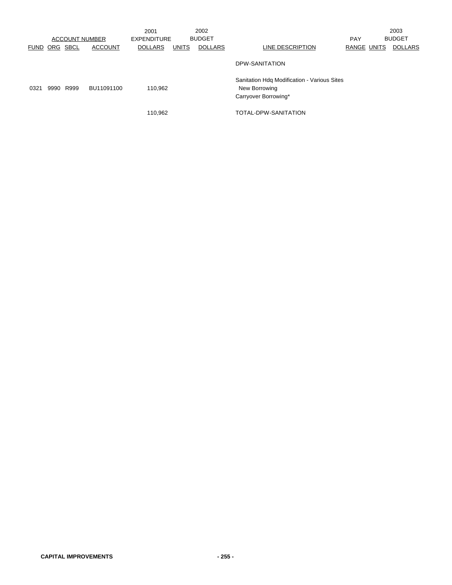|      |                      | <b>ACCOUNT NUMBER</b> |                | 2001<br><b>EXPENDITURE</b> |              | 2002<br><b>BUDGET</b> |                                                                                      | <b>PAY</b>         | 2003<br><b>BUDGET</b> |
|------|----------------------|-----------------------|----------------|----------------------------|--------------|-----------------------|--------------------------------------------------------------------------------------|--------------------|-----------------------|
|      | <b>FUND ORG SBCL</b> |                       | <b>ACCOUNT</b> | <b>DOLLARS</b>             | <b>UNITS</b> | <b>DOLLARS</b>        | LINE DESCRIPTION                                                                     | <b>RANGE UNITS</b> | <b>DOLLARS</b>        |
|      |                      |                       |                |                            |              |                       | DPW-SANITATION                                                                       |                    |                       |
| 0321 | 9990 R999            |                       | BU11091100     | 110.962                    |              |                       | Sanitation Hdg Modification - Various Sites<br>New Borrowing<br>Carryover Borrowing* |                    |                       |
|      |                      |                       |                | 110,962                    |              |                       | TOTAL-DPW-SANITATION                                                                 |                    |                       |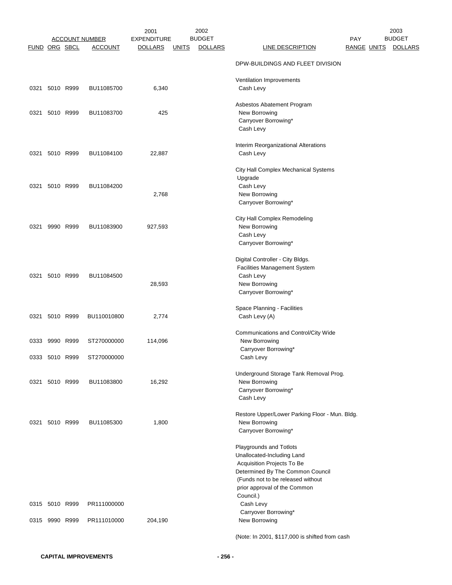|               |                | <b>ACCOUNT NUMBER</b> | 2001<br><b>EXPENDITURE</b> |              | 2002<br><b>BUDGET</b> |                                                                       | PAY         | 2003<br><b>BUDGET</b> |
|---------------|----------------|-----------------------|----------------------------|--------------|-----------------------|-----------------------------------------------------------------------|-------------|-----------------------|
| FUND ORG SBCL |                | <b>ACCOUNT</b>        | <b>DOLLARS</b>             | <u>UNITS</u> | <b>DOLLARS</b>        | <b>LINE DESCRIPTION</b>                                               | RANGE UNITS | <b>DOLLARS</b>        |
|               |                |                       |                            |              |                       | DPW-BUILDINGS AND FLEET DIVISION                                      |             |                       |
|               |                |                       |                            |              |                       | Ventilation Improvements                                              |             |                       |
|               | 0321 5010 R999 | BU11085700            | 6,340                      |              |                       | Cash Levy                                                             |             |                       |
|               |                |                       |                            |              |                       | Asbestos Abatement Program                                            |             |                       |
| 0321          | 5010 R999      | BU11083700            | 425                        |              |                       | New Borrowing<br>Carryover Borrowing*                                 |             |                       |
|               |                |                       |                            |              |                       | Cash Levy                                                             |             |                       |
|               |                |                       |                            |              |                       | Interim Reorganizational Alterations                                  |             |                       |
| 0321          | 5010 R999      | BU11084100            | 22,887                     |              |                       | Cash Levy                                                             |             |                       |
|               |                |                       |                            |              |                       | City Hall Complex Mechanical Systems                                  |             |                       |
| 0321          | 5010 R999      | BU11084200            |                            |              |                       | Upgrade<br>Cash Levy                                                  |             |                       |
|               |                |                       | 2,768                      |              |                       | New Borrowing                                                         |             |                       |
|               |                |                       |                            |              |                       | Carryover Borrowing*                                                  |             |                       |
|               |                |                       |                            |              |                       | City Hall Complex Remodeling                                          |             |                       |
| 0321          | 9990 R999      | BU11083900            | 927,593                    |              |                       | New Borrowing                                                         |             |                       |
|               |                |                       |                            |              |                       | Cash Levy<br>Carryover Borrowing*                                     |             |                       |
|               |                |                       |                            |              |                       | Digital Controller - City Bldgs.                                      |             |                       |
|               |                |                       |                            |              |                       | Facilities Management System                                          |             |                       |
| 0321          | 5010 R999      | BU11084500            |                            |              |                       | Cash Levy                                                             |             |                       |
|               |                |                       | 28,593                     |              |                       | New Borrowing                                                         |             |                       |
|               |                |                       |                            |              |                       | Carryover Borrowing*                                                  |             |                       |
|               | 5010 R999      |                       |                            |              |                       | Space Planning - Facilities                                           |             |                       |
| 0321          |                | BU110010800           | 2,774                      |              |                       | Cash Levy (A)                                                         |             |                       |
|               |                |                       |                            |              |                       | Communications and Control/City Wide                                  |             |                       |
| 0333          | 9990 R999      | ST270000000           | 114,096                    |              |                       | New Borrowing                                                         |             |                       |
|               | 0333 5010 R999 | ST270000000           |                            |              |                       | Carryover Borrowing*<br>Cash Levy                                     |             |                       |
|               |                |                       |                            |              |                       | Underground Storage Tank Removal Prog.                                |             |                       |
|               | 0321 5010 R999 | BU11083800            | 16,292                     |              |                       | New Borrowing                                                         |             |                       |
|               |                |                       |                            |              |                       | Carryover Borrowing*<br>Cash Levy                                     |             |                       |
|               |                |                       |                            |              |                       |                                                                       |             |                       |
|               | 0321 5010 R999 | BU11085300            | 1,800                      |              |                       | Restore Upper/Lower Parking Floor - Mun. Bldg.<br>New Borrowing       |             |                       |
|               |                |                       |                            |              |                       | Carryover Borrowing*                                                  |             |                       |
|               |                |                       |                            |              |                       | Playgrounds and Totlots                                               |             |                       |
|               |                |                       |                            |              |                       | Unallocated-Including Land                                            |             |                       |
|               |                |                       |                            |              |                       | Acquisition Projects To Be                                            |             |                       |
|               |                |                       |                            |              |                       | Determined By The Common Council<br>(Funds not to be released without |             |                       |
|               |                |                       |                            |              |                       | prior approval of the Common                                          |             |                       |
|               |                |                       |                            |              |                       | Council.)                                                             |             |                       |
|               | 0315 5010 R999 | PR111000000           |                            |              |                       | Cash Levy                                                             |             |                       |
|               | 0315 9990 R999 | PR111010000           | 204,190                    |              |                       | Carryover Borrowing*<br>New Borrowing                                 |             |                       |
|               |                |                       |                            |              |                       |                                                                       |             |                       |
|               |                |                       |                            |              |                       | (Note: In 2001, \$117,000 is shifted from cash                        |             |                       |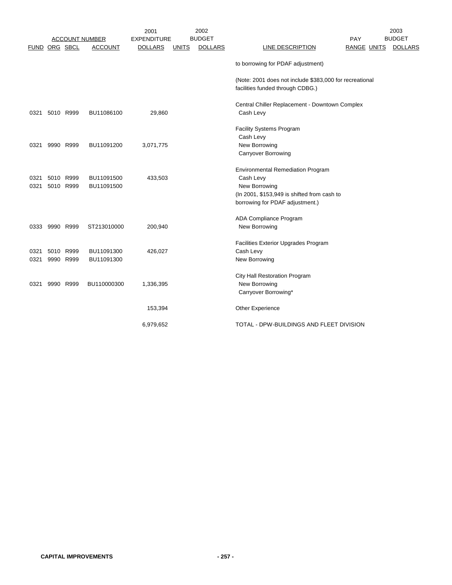|                      |                |           |                       | 2001               |              | 2002           |                                                                                             |                    | 2003           |
|----------------------|----------------|-----------|-----------------------|--------------------|--------------|----------------|---------------------------------------------------------------------------------------------|--------------------|----------------|
|                      |                |           | <b>ACCOUNT NUMBER</b> | <b>EXPENDITURE</b> |              | <b>BUDGET</b>  |                                                                                             | PAY                | <b>BUDGET</b>  |
| <b>FUND ORG SBCL</b> |                |           | <b>ACCOUNT</b>        | <b>DOLLARS</b>     | <u>UNITS</u> | <b>DOLLARS</b> | <b>LINE DESCRIPTION</b>                                                                     | <b>RANGE UNITS</b> | <b>DOLLARS</b> |
|                      |                |           |                       |                    |              |                | to borrowing for PDAF adjustment)                                                           |                    |                |
|                      |                |           |                       |                    |              |                | (Note: 2001 does not include \$383,000 for recreational<br>facilities funded through CDBG.) |                    |                |
|                      |                |           |                       |                    |              |                |                                                                                             |                    |                |
| 0321                 |                | 5010 R999 | BU11086100            | 29,860             |              |                | Central Chiller Replacement - Downtown Complex<br>Cash Levy                                 |                    |                |
|                      |                |           |                       |                    |              |                |                                                                                             |                    |                |
|                      |                |           |                       |                    |              |                | <b>Facility Systems Program</b>                                                             |                    |                |
|                      |                |           |                       |                    |              |                | Cash Levy                                                                                   |                    |                |
| 0321                 |                | 9990 R999 | BU11091200            | 3,071,775          |              |                | New Borrowing                                                                               |                    |                |
|                      |                |           |                       |                    |              |                | Carryover Borrowing                                                                         |                    |                |
|                      |                |           |                       |                    |              |                | <b>Environmental Remediation Program</b>                                                    |                    |                |
| 0321                 |                | 5010 R999 | BU11091500            | 433,503            |              |                | Cash Levy                                                                                   |                    |                |
| 0321                 |                | 5010 R999 | BU11091500            |                    |              |                | New Borrowing                                                                               |                    |                |
|                      |                |           |                       |                    |              |                | (In 2001, \$153,949 is shifted from cash to                                                 |                    |                |
|                      |                |           |                       |                    |              |                | borrowing for PDAF adjustment.)                                                             |                    |                |
|                      |                |           |                       |                    |              |                | ADA Compliance Program                                                                      |                    |                |
|                      | 0333 9990 R999 |           | ST213010000           | 200,940            |              |                | New Borrowing                                                                               |                    |                |
|                      |                |           |                       |                    |              |                |                                                                                             |                    |                |
|                      |                |           |                       |                    |              |                | Facilities Exterior Upgrades Program                                                        |                    |                |
| 0321                 |                | 5010 R999 | BU11091300            | 426,027            |              |                | Cash Levy                                                                                   |                    |                |
| 0321                 |                | 9990 R999 | BU11091300            |                    |              |                | New Borrowing                                                                               |                    |                |
|                      |                |           |                       |                    |              |                | City Hall Restoration Program                                                               |                    |                |
| 0321                 |                | 9990 R999 | BU110000300           | 1,336,395          |              |                | New Borrowing                                                                               |                    |                |
|                      |                |           |                       |                    |              |                | Carryover Borrowing*                                                                        |                    |                |
|                      |                |           |                       | 153,394            |              |                | Other Experience                                                                            |                    |                |
|                      |                |           |                       | 6,979,652          |              |                | TOTAL - DPW-BUILDINGS AND FLEET DIVISION                                                    |                    |                |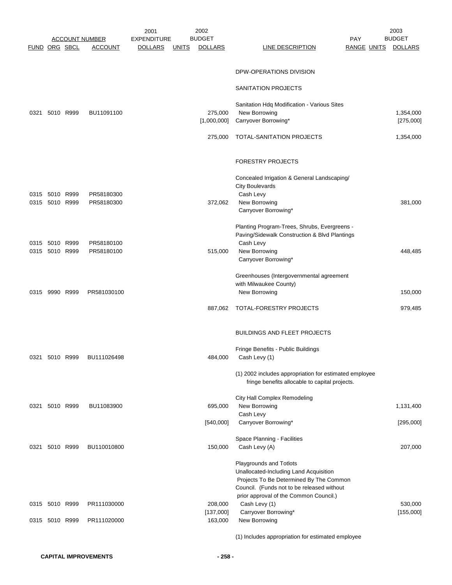|               |                |           |                          | 2001               |              | 2002           |                                                                    |                    | 2003           |
|---------------|----------------|-----------|--------------------------|--------------------|--------------|----------------|--------------------------------------------------------------------|--------------------|----------------|
|               |                |           | <b>ACCOUNT NUMBER</b>    | <b>EXPENDITURE</b> |              | <b>BUDGET</b>  |                                                                    | PAY                | <b>BUDGET</b>  |
| FUND ORG SBCL |                |           | <b>ACCOUNT</b>           | <b>DOLLARS</b>     | <u>UNITS</u> | <b>DOLLARS</b> | <b>LINE DESCRIPTION</b>                                            | <b>RANGE UNITS</b> | <b>DOLLARS</b> |
|               |                |           |                          |                    |              |                |                                                                    |                    |                |
|               |                |           |                          |                    |              |                | DPW-OPERATIONS DIVISION                                            |                    |                |
|               |                |           |                          |                    |              |                |                                                                    |                    |                |
|               |                |           |                          |                    |              |                | SANITATION PROJECTS                                                |                    |                |
|               |                |           |                          |                    |              |                |                                                                    |                    |                |
|               |                |           |                          |                    |              |                | Sanitation Hdq Modification - Various Sites                        |                    |                |
| 0321          | 5010 R999      |           | BU11091100               |                    |              | 275,000        | New Borrowing                                                      |                    | 1,354,000      |
|               |                |           |                          |                    |              | [1,000,000]    | Carryover Borrowing*                                               |                    | [275,000]      |
|               |                |           |                          |                    |              | 275,000        | TOTAL-SANITATION PROJECTS                                          |                    | 1,354,000      |
|               |                |           |                          |                    |              |                |                                                                    |                    |                |
|               |                |           |                          |                    |              |                |                                                                    |                    |                |
|               |                |           |                          |                    |              |                | <b>FORESTRY PROJECTS</b>                                           |                    |                |
|               |                |           |                          |                    |              |                |                                                                    |                    |                |
|               |                |           |                          |                    |              |                | Concealed Irrigation & General Landscaping/                        |                    |                |
|               | 0315 5010 R999 |           |                          |                    |              |                | <b>City Boulevards</b>                                             |                    |                |
|               | 0315 5010 R999 |           | PR58180300<br>PR58180300 |                    |              | 372,062        | Cash Levy<br>New Borrowing                                         |                    | 381,000        |
|               |                |           |                          |                    |              |                | Carryover Borrowing*                                               |                    |                |
|               |                |           |                          |                    |              |                |                                                                    |                    |                |
|               |                |           |                          |                    |              |                | Planting Program-Trees, Shrubs, Evergreens -                       |                    |                |
|               |                |           |                          |                    |              |                | Paving/Sidewalk Construction & Blvd Plantings                      |                    |                |
|               | 0315 5010 R999 |           | PR58180100               |                    |              |                | Cash Levy                                                          |                    |                |
|               | 0315 5010 R999 |           | PR58180100               |                    |              | 515,000        | New Borrowing                                                      |                    | 448,485        |
|               |                |           |                          |                    |              |                | Carryover Borrowing*                                               |                    |                |
|               |                |           |                          |                    |              |                |                                                                    |                    |                |
|               |                |           |                          |                    |              |                | Greenhouses (Intergovernmental agreement<br>with Milwaukee County) |                    |                |
| 0315          |                | 9990 R999 | PR581030100              |                    |              |                | New Borrowing                                                      |                    | 150,000        |
|               |                |           |                          |                    |              |                |                                                                    |                    |                |
|               |                |           |                          |                    |              | 887,062        | TOTAL-FORESTRY PROJECTS                                            |                    | 979,485        |
|               |                |           |                          |                    |              |                |                                                                    |                    |                |
|               |                |           |                          |                    |              |                |                                                                    |                    |                |
|               |                |           |                          |                    |              |                | <b>BUILDINGS AND FLEET PROJECTS</b>                                |                    |                |
|               |                |           |                          |                    |              |                |                                                                    |                    |                |
|               | 0321 5010 R999 |           | BU111026498              |                    |              | 484,000        | Fringe Benefits - Public Buildings<br>Cash Levy (1)                |                    |                |
|               |                |           |                          |                    |              |                |                                                                    |                    |                |
|               |                |           |                          |                    |              |                | (1) 2002 includes appropriation for estimated employee             |                    |                |
|               |                |           |                          |                    |              |                | fringe benefits allocable to capital projects.                     |                    |                |
|               |                |           |                          |                    |              |                |                                                                    |                    |                |
|               |                |           |                          |                    |              |                | City Hall Complex Remodeling                                       |                    |                |
|               | 0321 5010 R999 |           | BU11083900               |                    |              | 695,000        | New Borrowing                                                      |                    | 1,131,400      |
|               |                |           |                          |                    |              | [540,000]      | Cash Levy<br>Carryover Borrowing*                                  |                    |                |
|               |                |           |                          |                    |              |                |                                                                    |                    | [295,000]      |
|               |                |           |                          |                    |              |                | Space Planning - Facilities                                        |                    |                |
|               | 0321 5010 R999 |           | BU110010800              |                    |              | 150,000        | Cash Levy (A)                                                      |                    | 207,000        |
|               |                |           |                          |                    |              |                |                                                                    |                    |                |
|               |                |           |                          |                    |              |                | Playgrounds and Totlots                                            |                    |                |
|               |                |           |                          |                    |              |                | Unallocated-Including Land Acquisition                             |                    |                |
|               |                |           |                          |                    |              |                | Projects To Be Determined By The Common                            |                    |                |
|               |                |           |                          |                    |              |                | Council. (Funds not to be released without                         |                    |                |
|               | 0315 5010 R999 |           | PR111030000              |                    |              | 208,000        | prior approval of the Common Council.)<br>Cash Levy (1)            |                    | 530,000        |
|               |                |           |                          |                    |              | [137,000]      | Carryover Borrowing*                                               |                    | [155,000]      |
|               | 0315 5010 R999 |           | PR111020000              |                    |              | 163,000        | New Borrowing                                                      |                    |                |
|               |                |           |                          |                    |              |                |                                                                    |                    |                |
|               |                |           |                          |                    |              |                | (1) Includes appropriation for estimated employee                  |                    |                |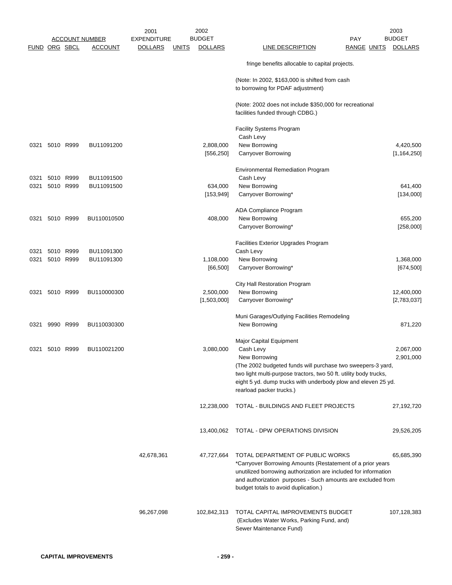|      |                      |           | <b>ACCOUNT NUMBER</b> | <b>EXPENDITURE</b>             | <b>BUDGET</b>           |                                                                                                                                                                                                                                  | PAY                | <b>BUDGET</b>              |
|------|----------------------|-----------|-----------------------|--------------------------------|-------------------------|----------------------------------------------------------------------------------------------------------------------------------------------------------------------------------------------------------------------------------|--------------------|----------------------------|
|      | <b>FUND ORG SBCL</b> |           | <b>ACCOUNT</b>        | <b>DOLLARS</b><br><u>UNITS</u> | <b>DOLLARS</b>          | <b>LINE DESCRIPTION</b>                                                                                                                                                                                                          | <b>RANGE UNITS</b> | <b>DOLLARS</b>             |
|      |                      |           |                       |                                |                         | fringe benefits allocable to capital projects.                                                                                                                                                                                   |                    |                            |
|      |                      |           |                       |                                |                         | (Note: In 2002, \$163,000 is shifted from cash<br>to borrowing for PDAF adjustment)                                                                                                                                              |                    |                            |
|      |                      |           |                       |                                |                         | (Note: 2002 does not include \$350,000 for recreational<br>facilities funded through CDBG.)                                                                                                                                      |                    |                            |
|      |                      |           |                       |                                |                         | <b>Facility Systems Program</b><br>Cash Levy                                                                                                                                                                                     |                    |                            |
|      |                      | 5010 R999 | BU11091200            |                                |                         |                                                                                                                                                                                                                                  |                    |                            |
| 0321 |                      |           |                       |                                | 2,808,000<br>[556, 250] | New Borrowing<br>Carryover Borrowing                                                                                                                                                                                             |                    | 4,420,500<br>[1, 164, 250] |
|      |                      |           |                       |                                |                         | Environmental Remediation Program                                                                                                                                                                                                |                    |                            |
| 0321 |                      | 5010 R999 | BU11091500            |                                |                         | Cash Levy                                                                                                                                                                                                                        |                    |                            |
|      |                      |           |                       |                                |                         |                                                                                                                                                                                                                                  |                    |                            |
| 0321 |                      | 5010 R999 | BU11091500            |                                | 634,000                 | New Borrowing                                                                                                                                                                                                                    |                    | 641,400                    |
|      |                      |           |                       |                                | [153, 949]              | Carryover Borrowing*                                                                                                                                                                                                             |                    | [134,000]                  |
|      |                      |           |                       |                                |                         | ADA Compliance Program                                                                                                                                                                                                           |                    |                            |
| 0321 |                      | 5010 R999 | BU110010500           |                                | 408,000                 | New Borrowing                                                                                                                                                                                                                    |                    | 655,200                    |
|      |                      |           |                       |                                |                         | Carryover Borrowing*                                                                                                                                                                                                             |                    | [258,000]                  |
|      |                      |           |                       |                                |                         | Facilities Exterior Upgrades Program                                                                                                                                                                                             |                    |                            |
| 0321 |                      | 5010 R999 | BU11091300            |                                |                         | Cash Levy                                                                                                                                                                                                                        |                    |                            |
| 0321 |                      | 5010 R999 | BU11091300            |                                | 1,108,000               | New Borrowing                                                                                                                                                                                                                    |                    | 1,368,000                  |
|      |                      |           |                       |                                | [66, 500]               | Carryover Borrowing*                                                                                                                                                                                                             |                    | [674, 500]                 |
|      |                      |           |                       |                                |                         | City Hall Restoration Program                                                                                                                                                                                                    |                    |                            |
| 0321 |                      | 5010 R999 | BU110000300           |                                | 2,500,000               | New Borrowing                                                                                                                                                                                                                    |                    | 12,400,000                 |
|      |                      |           |                       |                                | [1,503,000]             | Carryover Borrowing*                                                                                                                                                                                                             |                    | [2,783,037]                |
|      |                      |           |                       |                                |                         | Muni Garages/Outlying Facilities Remodeling                                                                                                                                                                                      |                    |                            |
|      | 0321 9990 R999       |           | BU110030300           |                                |                         | New Borrowing                                                                                                                                                                                                                    |                    | 871,220                    |
|      |                      |           |                       |                                |                         | Major Capital Equipment                                                                                                                                                                                                          |                    |                            |
| 0321 | 5010 R999            |           | BU110021200           |                                | 3,080,000               | Cash Levy                                                                                                                                                                                                                        |                    | 2,067,000                  |
|      |                      |           |                       |                                |                         | New Borrowing                                                                                                                                                                                                                    |                    | 2,901,000                  |
|      |                      |           |                       |                                |                         |                                                                                                                                                                                                                                  |                    |                            |
|      |                      |           |                       |                                |                         | (The 2002 budgeted funds will purchase two sweepers-3 yard,                                                                                                                                                                      |                    |                            |
|      |                      |           |                       |                                |                         | two light multi-purpose tractors, two 50 ft. utility body trucks,                                                                                                                                                                |                    |                            |
|      |                      |           |                       |                                |                         | eight 5 yd. dump trucks with underbody plow and eleven 25 yd.                                                                                                                                                                    |                    |                            |
|      |                      |           |                       |                                |                         | rearload packer trucks.)                                                                                                                                                                                                         |                    |                            |
|      |                      |           |                       |                                | 12,238,000              | TOTAL - BUILDINGS AND FLEET PROJECTS                                                                                                                                                                                             |                    | 27,192,720                 |
|      |                      |           |                       |                                |                         | 13,400,062 TOTAL - DPW OPERATIONS DIVISION                                                                                                                                                                                       |                    | 29,526,205                 |
|      |                      |           |                       |                                |                         |                                                                                                                                                                                                                                  |                    |                            |
|      |                      |           |                       | 42,678,361                     | 47,727,664              | TOTAL DEPARTMENT OF PUBLIC WORKS<br>*Carryover Borrowing Amounts (Restatement of a prior years<br>unutilized borrowing authorization are included for information<br>and authorization purposes - Such amounts are excluded from |                    | 65,685,390                 |
|      |                      |           |                       |                                |                         | budget totals to avoid duplication.)                                                                                                                                                                                             |                    |                            |
|      |                      |           |                       | 96,267,098                     | 102,842,313             | TOTAL CAPITAL IMPROVEMENTS BUDGET<br>(Excludes Water Works, Parking Fund, and)<br>Sewer Maintenance Fund)                                                                                                                        |                    | 107,128,383                |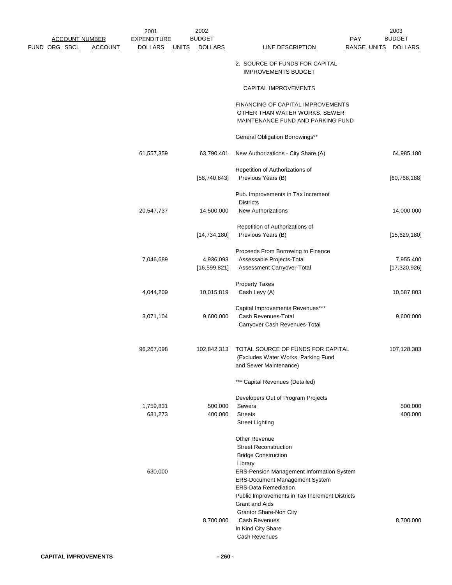|                       |                | 2001                 |              | 2002                        |                                                                                                         |                    | 2003                      |  |
|-----------------------|----------------|----------------------|--------------|-----------------------------|---------------------------------------------------------------------------------------------------------|--------------------|---------------------------|--|
| <u>ACCOUNT NUMBER</u> |                | <b>EXPENDITURE</b>   |              | <b>BUDGET</b>               |                                                                                                         | PAY                | <b>BUDGET</b>             |  |
| <u>FUND ORG SBCL</u>  | <b>ACCOUNT</b> | <b>DOLLARS</b>       | <b>UNITS</b> | <b>DOLLARS</b>              | <b>LINE DESCRIPTION</b>                                                                                 | <b>RANGE UNITS</b> | <b>DOLLARS</b>            |  |
|                       |                |                      |              |                             | 2. SOURCE OF FUNDS FOR CAPITAL<br><b>IMPROVEMENTS BUDGET</b>                                            |                    |                           |  |
|                       |                |                      |              |                             | CAPITAL IMPROVEMENTS                                                                                    |                    |                           |  |
|                       |                |                      |              |                             | FINANCING OF CAPITAL IMPROVEMENTS<br>OTHER THAN WATER WORKS, SEWER<br>MAINTENANCE FUND AND PARKING FUND |                    |                           |  |
|                       |                |                      |              |                             | General Obligation Borrowings**                                                                         |                    |                           |  |
|                       |                | 61,557,359           |              | 63,790,401                  | New Authorizations - City Share (A)                                                                     |                    | 64,985,180                |  |
|                       |                |                      |              | [58, 740, 643]              | Repetition of Authorizations of<br>Previous Years (B)                                                   |                    | [60, 768, 188]            |  |
|                       |                |                      |              |                             | Pub. Improvements in Tax Increment                                                                      |                    |                           |  |
|                       |                | 20,547,737           |              | 14,500,000                  | <b>Districts</b><br><b>New Authorizations</b>                                                           |                    | 14,000,000                |  |
|                       |                |                      |              | [14, 734, 180]              | Repetition of Authorizations of<br>Previous Years (B)                                                   |                    | [15,629,180]              |  |
|                       |                | 7,046,689            |              | 4,936,093<br>[16, 599, 821] | Proceeds From Borrowing to Finance<br>Assessable Projects-Total<br>Assessment Carryover-Total           |                    | 7,955,400<br>[17,320,926] |  |
|                       |                | 4,044,209            |              | 10,015,819                  | <b>Property Taxes</b><br>Cash Levy (A)                                                                  |                    | 10,587,803                |  |
|                       |                | 3,071,104            |              | 9,600,000                   | Capital Improvements Revenues***<br>Cash Revenues-Total<br>Carryover Cash Revenues-Total                |                    | 9,600,000                 |  |
|                       |                | 96,267,098           |              | 102,842,313                 | TOTAL SOURCE OF FUNDS FOR CAPITAL<br>(Excludes Water Works, Parking Fund<br>and Sewer Maintenance)      |                    | 107,128,383               |  |
|                       |                |                      |              |                             | *** Capital Revenues (Detailed)                                                                         |                    |                           |  |
|                       |                |                      |              |                             | Developers Out of Program Projects                                                                      |                    |                           |  |
|                       |                | 1,759,831<br>681,273 |              | 500,000<br>400,000          | <b>Sewers</b><br><b>Streets</b>                                                                         |                    | 500,000<br>400,000        |  |
|                       |                |                      |              |                             | <b>Street Lighting</b>                                                                                  |                    |                           |  |
|                       |                |                      |              |                             | Other Revenue<br><b>Street Reconstruction</b><br><b>Bridge Construction</b>                             |                    |                           |  |
|                       |                | 630,000              |              |                             | Library<br>ERS-Pension Management Information System<br>ERS-Document Management System                  |                    |                           |  |
|                       |                |                      |              |                             | <b>ERS-Data Remediation</b><br>Public Improvements in Tax Increment Districts                           |                    |                           |  |
|                       |                |                      |              |                             | <b>Grant and Aids</b><br>Grantor Share-Non City                                                         |                    |                           |  |
|                       |                |                      |              | 8,700,000                   | Cash Revenues<br>In Kind City Share<br>Cash Revenues                                                    |                    | 8,700,000                 |  |
|                       |                |                      |              |                             |                                                                                                         |                    |                           |  |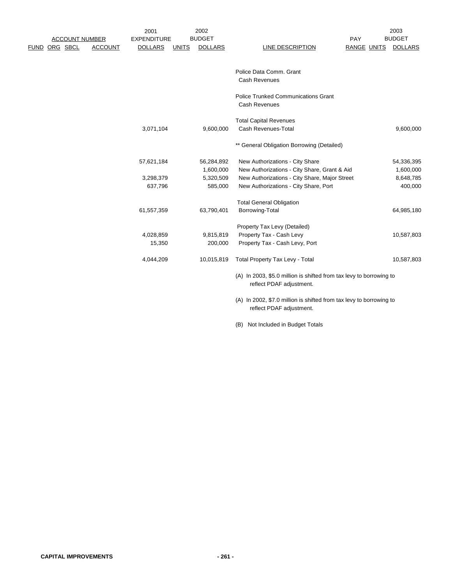|                                 | 2001               |              | 2002           |                                                                     |                    | 2003           |
|---------------------------------|--------------------|--------------|----------------|---------------------------------------------------------------------|--------------------|----------------|
| <b>ACCOUNT NUMBER</b>           | <b>EXPENDITURE</b> |              | <b>BUDGET</b>  |                                                                     | PAY                | <b>BUDGET</b>  |
| FUND ORG SBCL<br><b>ACCOUNT</b> | <b>DOLLARS</b>     | <b>UNITS</b> | <b>DOLLARS</b> | <b>LINE DESCRIPTION</b>                                             | <b>RANGE UNITS</b> | <b>DOLLARS</b> |
|                                 |                    |              |                |                                                                     |                    |                |
|                                 |                    |              |                |                                                                     |                    |                |
|                                 |                    |              |                | Police Data Comm. Grant                                             |                    |                |
|                                 |                    |              |                | <b>Cash Revenues</b>                                                |                    |                |
|                                 |                    |              |                |                                                                     |                    |                |
|                                 |                    |              |                | <b>Police Trunked Communications Grant</b>                          |                    |                |
|                                 |                    |              |                | <b>Cash Revenues</b>                                                |                    |                |
|                                 |                    |              |                |                                                                     |                    |                |
|                                 |                    |              |                | <b>Total Capital Revenues</b>                                       |                    |                |
|                                 | 3,071,104          |              | 9,600,000      | Cash Revenues-Total                                                 |                    | 9,600,000      |
|                                 |                    |              |                |                                                                     |                    |                |
|                                 |                    |              |                | ** General Obligation Borrowing (Detailed)                          |                    |                |
|                                 | 57,621,184         |              | 56,284,892     | New Authorizations - City Share                                     |                    | 54,336,395     |
|                                 |                    |              | 1,600,000      | New Authorizations - City Share, Grant & Aid                        |                    | 1,600,000      |
|                                 | 3,298,379          |              | 5,320,509      | New Authorizations - City Share, Major Street                       |                    | 8,648,785      |
|                                 | 637,796            |              | 585,000        | New Authorizations - City Share, Port                               |                    | 400,000        |
|                                 |                    |              |                |                                                                     |                    |                |
|                                 |                    |              |                | <b>Total General Obligation</b>                                     |                    |                |
|                                 | 61,557,359         |              | 63,790,401     | Borrowing-Total                                                     |                    | 64,985,180     |
|                                 |                    |              |                |                                                                     |                    |                |
|                                 |                    |              |                | Property Tax Levy (Detailed)                                        |                    |                |
|                                 | 4,028,859          |              | 9,815,819      | Property Tax - Cash Levy                                            |                    | 10,587,803     |
|                                 | 15,350             |              | 200,000        | Property Tax - Cash Levy, Port                                      |                    |                |
|                                 | 4,044,209          |              | 10,015,819     | <b>Total Property Tax Levy - Total</b>                              |                    | 10,587,803     |
|                                 |                    |              |                |                                                                     |                    |                |
|                                 |                    |              |                | (A) In 2003, \$5.0 million is shifted from tax levy to borrowing to |                    |                |
|                                 |                    |              |                | reflect PDAF adjustment.                                            |                    |                |
|                                 |                    |              |                | (A) In 2002, \$7.0 million is shifted from tax levy to borrowing to |                    |                |
|                                 |                    |              |                | reflect PDAF adjustment.                                            |                    |                |

(B) Not Included in Budget Totals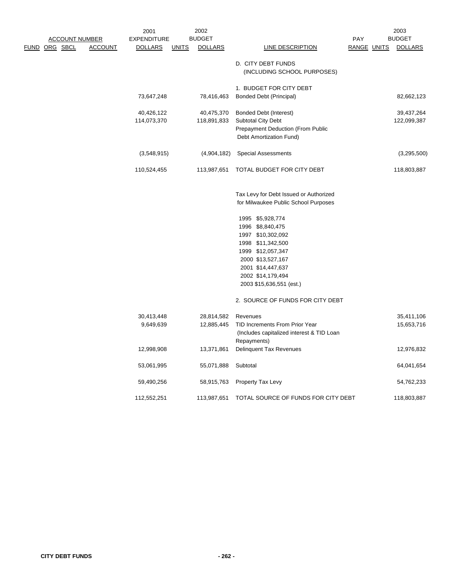|                       |                | 2001               |              | 2002           |                                           |             | 2003           |
|-----------------------|----------------|--------------------|--------------|----------------|-------------------------------------------|-------------|----------------|
| <b>ACCOUNT NUMBER</b> |                | <b>EXPENDITURE</b> |              | <b>BUDGET</b>  |                                           | PAY         | <b>BUDGET</b>  |
| <u>FUND ORG SBCL</u>  | <b>ACCOUNT</b> | <b>DOLLARS</b>     | <b>UNITS</b> | <b>DOLLARS</b> | <b>LINE DESCRIPTION</b>                   | RANGE UNITS | <u>DOLLARS</u> |
|                       |                |                    |              |                |                                           |             |                |
|                       |                |                    |              |                | D. CITY DEBT FUNDS                        |             |                |
|                       |                |                    |              |                | (INCLUDING SCHOOL PURPOSES)               |             |                |
|                       |                |                    |              |                |                                           |             |                |
|                       |                |                    |              |                | 1. BUDGET FOR CITY DEBT                   |             |                |
|                       |                | 73,647,248         |              | 78,416,463     | <b>Bonded Debt (Principal)</b>            |             | 82,662,123     |
|                       |                | 40,426,122         |              | 40,475,370     | Bonded Debt (Interest)                    |             | 39,437,264     |
|                       |                | 114,073,370        |              | 118,891,833    | <b>Subtotal City Debt</b>                 |             | 122,099,387    |
|                       |                |                    |              |                | <b>Prepayment Deduction (From Public</b>  |             |                |
|                       |                |                    |              |                | Debt Amortization Fund)                   |             |                |
|                       |                |                    |              |                |                                           |             |                |
|                       |                | (3,548,915)        |              | (4,904,182)    | <b>Special Assessments</b>                |             | (3,295,500)    |
|                       |                |                    |              |                |                                           |             |                |
|                       |                | 110,524,455        |              | 113,987,651    | TOTAL BUDGET FOR CITY DEBT                |             | 118,803,887    |
|                       |                |                    |              |                |                                           |             |                |
|                       |                |                    |              |                |                                           |             |                |
|                       |                |                    |              |                | Tax Levy for Debt Issued or Authorized    |             |                |
|                       |                |                    |              |                | for Milwaukee Public School Purposes      |             |                |
|                       |                |                    |              |                | 1995 \$5,928,774                          |             |                |
|                       |                |                    |              |                | 1996 \$8,840,475                          |             |                |
|                       |                |                    |              |                | 1997 \$10,302,092                         |             |                |
|                       |                |                    |              |                | 1998 \$11,342,500                         |             |                |
|                       |                |                    |              |                | 1999 \$12,057,347                         |             |                |
|                       |                |                    |              |                | 2000 \$13,527,167                         |             |                |
|                       |                |                    |              |                | 2001 \$14,447,637                         |             |                |
|                       |                |                    |              |                | 2002 \$14,179,494                         |             |                |
|                       |                |                    |              |                | 2003 \$15,636,551 (est.)                  |             |                |
|                       |                |                    |              |                |                                           |             |                |
|                       |                |                    |              |                | 2. SOURCE OF FUNDS FOR CITY DEBT          |             |                |
|                       |                |                    |              |                |                                           |             |                |
|                       |                | 30,413,448         |              | 28,814,582     | Revenues                                  |             | 35,411,106     |
|                       |                | 9,649,639          |              | 12,885,445     | TID Increments From Prior Year            |             | 15,653,716     |
|                       |                |                    |              |                | (Includes capitalized interest & TID Loan |             |                |
|                       |                |                    |              |                | Repayments)                               |             |                |
|                       |                | 12,998,908         |              | 13,371,861     | Delinquent Tax Revenues                   |             | 12,976,832     |
|                       |                | 53,061,995         |              | 55,071,888     | Subtotal                                  |             | 64,041,654     |
|                       |                |                    |              |                |                                           |             |                |
|                       |                | 59,490,256         |              | 58,915,763     | <b>Property Tax Levy</b>                  |             | 54,762,233     |
|                       |                |                    |              |                |                                           |             |                |
|                       |                | 112,552,251        |              | 113,987,651    | TOTAL SOURCE OF FUNDS FOR CITY DEBT       |             | 118,803,887    |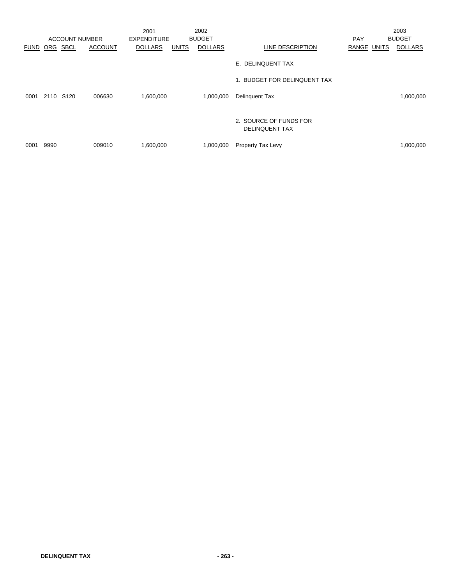|             |                       |                | 2001               |              | 2002           |                                                 |             | 2003           |
|-------------|-----------------------|----------------|--------------------|--------------|----------------|-------------------------------------------------|-------------|----------------|
|             | <b>ACCOUNT NUMBER</b> |                | <b>EXPENDITURE</b> |              | <b>BUDGET</b>  |                                                 | <b>PAY</b>  | <b>BUDGET</b>  |
| <b>FUND</b> | <b>SBCL</b><br>ORG    | <b>ACCOUNT</b> | <b>DOLLARS</b>     | <b>UNITS</b> | <b>DOLLARS</b> | LINE DESCRIPTION                                | RANGE UNITS | <b>DOLLARS</b> |
|             |                       |                |                    |              |                | E. DELINQUENT TAX                               |             |                |
|             |                       |                |                    |              |                | 1. BUDGET FOR DELINQUENT TAX                    |             |                |
| 0001        | 2110 S120             | 006630         | 1,600,000          |              | 1,000,000      | <b>Delinquent Tax</b>                           |             | 1,000,000      |
|             |                       |                |                    |              |                | 2. SOURCE OF FUNDS FOR<br><b>DELINQUENT TAX</b> |             |                |
| 0001        | 9990                  | 009010         | 1,600,000          |              | 1,000,000      | Property Tax Levy                               |             | 1,000,000      |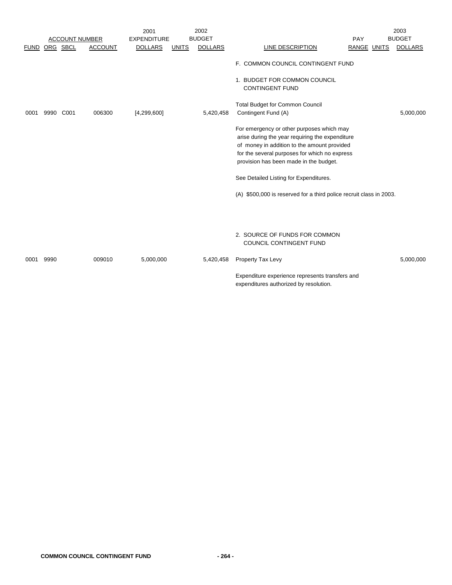|             |      |                       |                | 2001               |              | 2002           |                                                                                                                                                                                                                                        | 2003           |
|-------------|------|-----------------------|----------------|--------------------|--------------|----------------|----------------------------------------------------------------------------------------------------------------------------------------------------------------------------------------------------------------------------------------|----------------|
|             |      | <b>ACCOUNT NUMBER</b> |                | <b>EXPENDITURE</b> |              | <b>BUDGET</b>  | PAY                                                                                                                                                                                                                                    | <b>BUDGET</b>  |
| <b>FUND</b> |      | ORG SBCL              | <b>ACCOUNT</b> | <b>DOLLARS</b>     | <b>UNITS</b> | <b>DOLLARS</b> | RANGE UNITS<br>LINE DESCRIPTION                                                                                                                                                                                                        | <b>DOLLARS</b> |
|             |      |                       |                |                    |              |                | F. COMMON COUNCIL CONTINGENT FUND                                                                                                                                                                                                      |                |
|             |      |                       |                |                    |              |                | 1. BUDGET FOR COMMON COUNCIL<br><b>CONTINGENT FUND</b>                                                                                                                                                                                 |                |
| 0001        | 9990 | C001                  | 006300         | [4, 299, 600]      |              | 5,420,458      | <b>Total Budget for Common Council</b><br>Contingent Fund (A)                                                                                                                                                                          | 5,000,000      |
|             |      |                       |                |                    |              |                | For emergency or other purposes which may<br>arise during the year requiring the expenditure<br>of money in addition to the amount provided<br>for the several purposes for which no express<br>provision has been made in the budget. |                |
|             |      |                       |                |                    |              |                | See Detailed Listing for Expenditures.                                                                                                                                                                                                 |                |
|             |      |                       |                |                    |              |                | (A) \$500,000 is reserved for a third police recruit class in 2003.                                                                                                                                                                    |                |
|             |      |                       |                |                    |              |                |                                                                                                                                                                                                                                        |                |
|             |      |                       |                |                    |              |                | 2. SOURCE OF FUNDS FOR COMMON<br>COUNCIL CONTINGENT FUND                                                                                                                                                                               |                |
| 0001        | 9990 |                       | 009010         | 5,000,000          |              | 5,420,458      | Property Tax Levy                                                                                                                                                                                                                      | 5,000,000      |
|             |      |                       |                |                    |              |                | Expenditure experience represents transfers and<br>expenditures authorized by resolution.                                                                                                                                              |                |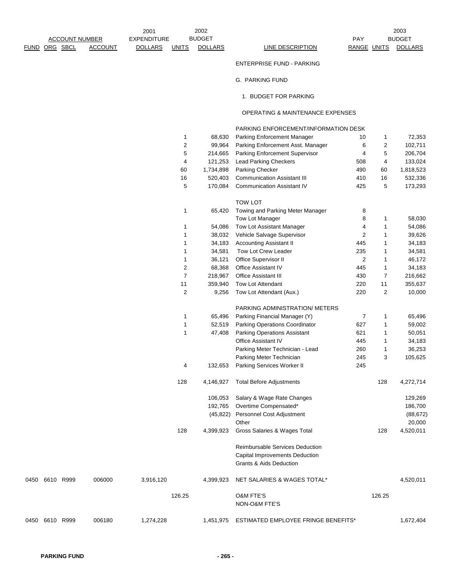2003

## ENTERPRISE FUND - PARKING

## G. PARKING FUND

1. BUDGET FOR PARKING

## OPERATING & MAINTENANCE EXPENSES

## PARKING ENFORCEMENT/INFORMATION DESK

|                |        |           | 1              | 68,630    | Parking Enforcement Manager                                          | 10             | 1           | 72,353    |
|----------------|--------|-----------|----------------|-----------|----------------------------------------------------------------------|----------------|-------------|-----------|
|                |        |           | 2              | 99,964    | Parking Enforcement Asst. Manager                                    | 6              | 2           | 102,711   |
|                |        |           | 5              | 214,665   | Parking Enforcement Supervisor                                       | 4              | 5           | 206,704   |
|                |        |           | 4              | 121,253   | <b>Lead Parking Checkers</b>                                         | 508            | 4           | 133,024   |
|                |        |           | 60             | 1,734,898 | Parking Checker                                                      | 490            | 60          | 1,818,523 |
|                |        |           | 16             | 520,403   | <b>Communication Assistant III</b>                                   | 410            | 16          | 532,336   |
|                |        |           | 5              | 170,084   | <b>Communication Assistant IV</b>                                    | 425            | 5           | 173,293   |
|                |        |           |                |           | TOW LOT                                                              |                |             |           |
|                |        |           | 1              | 65,420    | Towing and Parking Meter Manager                                     | 8              |             |           |
|                |        |           |                |           | Tow Lot Manager                                                      | 8              | 1           | 58,030    |
|                |        |           | 1              | 54,086    | Tow Lot Assistant Manager                                            | 4              | 1           | 54,086    |
|                |        |           | 1              | 38,032    | Vehicle Salvage Supervisor                                           | $\overline{c}$ | 1           | 39,626    |
|                |        |           |                | 34,183    | <b>Accounting Assistant II</b>                                       | 445            | 1           | 34,183    |
|                |        |           | 1              |           |                                                                      |                |             |           |
|                |        |           | 1              | 34,581    | Tow Lot Crew Leader                                                  | 235            | 1           | 34,581    |
|                |        |           | 1              | 36,121    | Office Supervisor II                                                 | $\sqrt{2}$     | $\mathbf 1$ | 46,172    |
|                |        |           | 2              | 68,368    | Office Assistant IV                                                  | 445            | 1           | 34,183    |
|                |        |           | $\overline{7}$ | 218,967   | <b>Office Assistant III</b>                                          | 430            | 7           | 216,662   |
|                |        |           | 11             | 359,940   | Tow Lot Attendant                                                    | 220            | 11          | 355,637   |
|                |        |           | 2              | 9,256     | Tow Lot Attendant (Aux.)                                             | 220            | 2           | 10,000    |
|                |        |           |                |           | PARKING ADMINISTRATION/ METERS                                       |                |             |           |
|                |        |           | 1              | 65,496    | Parking Financial Manager (Y)                                        | $\overline{7}$ | 1           | 65,496    |
|                |        |           | 1              | 52,519    | Parking Operations Coordinator                                       | 627            | 1           | 59,002    |
|                |        |           | 1              | 47,408    | Parking Operations Assistant                                         | 621            | 1           | 50,051    |
|                |        |           |                |           | Office Assistant IV                                                  | 445            | 1           | 34,183    |
|                |        |           |                |           | Parking Meter Technician - Lead                                      | 260            | 1           | 36,253    |
|                |        |           |                |           | Parking Meter Technician                                             | 245            | 3           | 105,625   |
|                |        |           | 4              | 132,653   | Parking Services Worker II                                           | 245            |             |           |
|                |        |           | 128            | 4,146,927 | <b>Total Before Adjustments</b>                                      |                | 128         | 4,272,714 |
|                |        |           |                | 106,053   | Salary & Wage Rate Changes                                           |                |             | 129,269   |
|                |        |           |                | 192,765   | Overtime Compensated*                                                |                |             | 186,700   |
|                |        |           |                | (45, 822) | Personnel Cost Adjustment                                            |                |             | (88, 672) |
|                |        |           |                |           | Other                                                                |                |             | 20,000    |
|                |        |           | 128            | 4,399,923 | Gross Salaries & Wages Total                                         |                | 128         | 4,520,011 |
|                |        |           |                |           | Reimbursable Services Deduction                                      |                |             |           |
|                |        |           |                |           |                                                                      |                |             |           |
|                |        |           |                |           | Capital Improvements Deduction<br><b>Grants &amp; Aids Deduction</b> |                |             |           |
| 0450 6610 R999 | 006000 | 3,916,120 |                | 4,399,923 | NET SALARIES & WAGES TOTAL*                                          |                |             | 4,520,011 |
|                |        |           |                |           |                                                                      |                |             |           |
|                |        |           | 126.25         |           | <b>O&amp;M FTE'S</b><br>NON-O&M FTE'S                                |                | 126.25      |           |
| 0450 6610 R999 | 006180 | 1,274,228 |                | 1,451,975 | ESTIMATED EMPLOYEE FRINGE BENEFITS*                                  |                |             | 1,672,404 |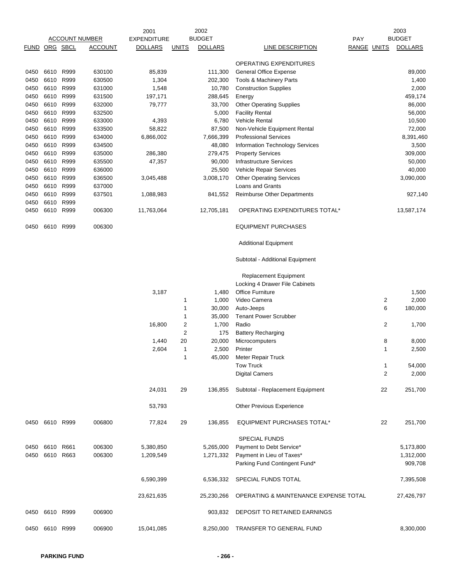|               |                |      |                       | 2001               |              | 2002           |                                       |            |             | 2003           |
|---------------|----------------|------|-----------------------|--------------------|--------------|----------------|---------------------------------------|------------|-------------|----------------|
|               |                |      | <b>ACCOUNT NUMBER</b> | <b>EXPENDITURE</b> |              | <b>BUDGET</b>  |                                       | <b>PAY</b> |             | <b>BUDGET</b>  |
| FUND ORG SBCL |                |      | <b>ACCOUNT</b>        | <b>DOLLARS</b>     | <b>UNITS</b> | <b>DOLLARS</b> | <b>LINE DESCRIPTION</b>               |            | RANGE UNITS | <b>DOLLARS</b> |
|               |                |      |                       |                    |              |                | OPERATING EXPENDITURES                |            |             |                |
| 0450          | 6610 R999      |      | 630100                | 85,839             |              | 111,300        | <b>General Office Expense</b>         |            |             | 89,000         |
| 0450          | 6610           | R999 | 630500                | 1,304              |              | 202,300        | Tools & Machinery Parts               |            |             | 1,400          |
| 0450          | 6610 R999      |      | 631000                | 1,548              |              | 10,780         | <b>Construction Supplies</b>          |            |             | 2,000          |
|               | 6610 R999      |      | 631500                |                    |              | 288,645        |                                       |            |             |                |
| 0450          |                |      |                       | 197,171            |              |                | Energy                                |            |             | 459,174        |
| 0450          | 6610 R999      |      | 632000                | 79,777             |              | 33,700         | <b>Other Operating Supplies</b>       |            |             | 86,000         |
| 0450          | 6610 R999      |      | 632500                |                    |              | 5,000          | <b>Facility Rental</b>                |            |             | 56,000         |
| 0450          | 6610 R999      |      | 633000                | 4,393              |              | 6,780          | Vehicle Rental                        |            |             | 10,500         |
| 0450          | 6610 R999      |      | 633500                | 58,822             |              | 87,500         | Non-Vehicle Equipment Rental          |            |             | 72,000         |
| 0450          | 6610 R999      |      | 634000                | 6,866,002          |              | 7,666,399      | <b>Professional Services</b>          |            |             | 8,391,460      |
| 0450          | 6610 R999      |      | 634500                |                    |              | 48,080         | Information Technology Services       |            |             | 3,500          |
| 0450          | 6610 R999      |      | 635000                | 286,380            |              | 279,475        | <b>Property Services</b>              |            |             | 309,000        |
| 0450          | 6610           | R999 | 635500                | 47,357             |              | 90,000         | <b>Infrastructure Services</b>        |            |             | 50,000         |
| 0450          | 6610           | R999 | 636000                |                    |              | 25,500         | Vehicle Repair Services               |            |             | 40,000         |
| 0450          | 6610 R999      |      | 636500                | 3,045,488          |              | 3,008,170      | <b>Other Operating Services</b>       |            |             | 3,090,000      |
|               |                |      |                       |                    |              |                |                                       |            |             |                |
| 0450          | 6610           | R999 | 637000                |                    |              |                | Loans and Grants                      |            |             |                |
| 0450          | 6610 R999      |      | 637501                | 1,088,983          |              | 841,552        | Reimburse Other Departments           |            |             | 927,140        |
| 0450          | 6610 R999      |      |                       |                    |              |                |                                       |            |             |                |
| 0450          | 6610 R999      |      | 006300                | 11,763,064         |              | 12,705,181     | OPERATING EXPENDITURES TOTAL*         |            |             | 13,587,174     |
| 0450          | 6610 R999      |      | 006300                |                    |              |                | <b>EQUIPMENT PURCHASES</b>            |            |             |                |
|               |                |      |                       |                    |              |                | <b>Additional Equipment</b>           |            |             |                |
|               |                |      |                       |                    |              |                | Subtotal - Additional Equipment       |            |             |                |
|               |                |      |                       |                    |              |                | Replacement Equipment                 |            |             |                |
|               |                |      |                       |                    |              |                | Locking 4 Drawer File Cabinets        |            |             |                |
|               |                |      |                       | 3,187              |              | 1,480          | <b>Office Furniture</b>               |            |             | 1,500          |
|               |                |      |                       |                    | 1            | 1,000          | Video Camera                          |            | 2           | 2,000          |
|               |                |      |                       |                    | 1            | 30,000         | Auto-Jeeps                            |            | 6           | 180,000        |
|               |                |      |                       |                    |              |                | <b>Tenant Power Scrubber</b>          |            |             |                |
|               |                |      |                       |                    | 1            | 35,000         |                                       |            |             |                |
|               |                |      |                       | 16,800             | 2            | 1,700          | Radio                                 |            | 2           | 1,700          |
|               |                |      |                       |                    | 2            | 175            | <b>Battery Recharging</b>             |            |             |                |
|               |                |      |                       | 1,440              | 20           | 20,000         | Microcomputers                        |            | 8           | 8,000          |
|               |                |      |                       | 2,604              | 1            | 2,500          | Printer                               |            | 1           | 2,500          |
|               |                |      |                       |                    | 1            | 45,000         | Meter Repair Truck                    |            |             |                |
|               |                |      |                       |                    |              |                | <b>Tow Truck</b>                      |            | 1           | 54,000         |
|               |                |      |                       |                    |              |                | <b>Digital Camers</b>                 |            | 2           | 2,000          |
|               |                |      |                       | 24,031             | 29           | 136,855        | Subtotal - Replacement Equipment      |            | 22          | 251,700        |
|               |                |      |                       | 53,793             |              |                | <b>Other Previous Experience</b>      |            |             |                |
|               | 0450 6610 R999 |      | 006800                | 77,824             | 29           | 136,855        | <b>EQUIPMENT PURCHASES TOTAL*</b>     |            | 22          | 251,700        |
|               |                |      |                       |                    |              |                | <b>SPECIAL FUNDS</b>                  |            |             |                |
| 0450          | 6610 R661      |      | 006300                | 5,380,850          |              | 5,265,000      | Payment to Debt Service*              |            |             | 5,173,800      |
| 0450          | 6610 R663      |      | 006300                | 1,209,549          |              | 1,271,332      | Payment in Lieu of Taxes*             |            |             | 1,312,000      |
|               |                |      |                       |                    |              |                | Parking Fund Contingent Fund*         |            |             | 909,708        |
|               |                |      |                       |                    |              |                |                                       |            |             |                |
|               |                |      |                       | 6,590,399          |              | 6,536,332      | SPECIAL FUNDS TOTAL                   |            |             | 7,395,508      |
|               |                |      |                       | 23,621,635         |              | 25,230,266     | OPERATING & MAINTENANCE EXPENSE TOTAL |            |             | 27,426,797     |
| 0450          | 6610 R999      |      | 006900                |                    |              | 903,832        | DEPOSIT TO RETAINED EARNINGS          |            |             |                |
|               | 0450 6610 R999 |      | 006900                | 15,041,085         |              | 8,250,000      | TRANSFER TO GENERAL FUND              |            |             | 8,300,000      |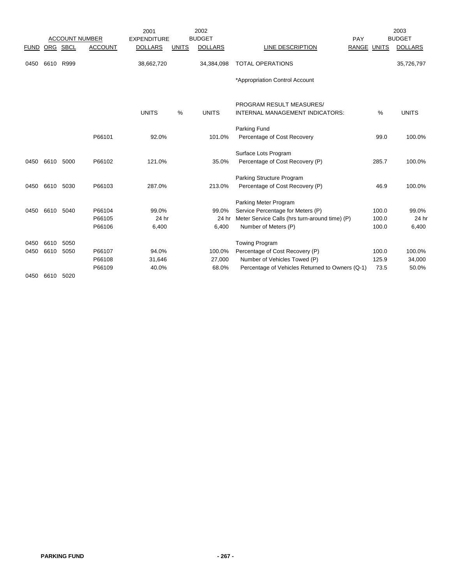|             |           |                       |                | 2001               |              | 2002           |                                                             |             | 2003           |
|-------------|-----------|-----------------------|----------------|--------------------|--------------|----------------|-------------------------------------------------------------|-------------|----------------|
|             |           | <b>ACCOUNT NUMBER</b> |                | <b>EXPENDITURE</b> |              | <b>BUDGET</b>  |                                                             | PAY         | <b>BUDGET</b>  |
| <b>FUND</b> |           | ORG SBCL              | <b>ACCOUNT</b> | <b>DOLLARS</b>     | <b>UNITS</b> | <b>DOLLARS</b> | LINE DESCRIPTION                                            | RANGE UNITS | <b>DOLLARS</b> |
| 0450        | 6610      | R999                  |                | 38,662,720         |              | 34,384,098     | <b>TOTAL OPERATIONS</b>                                     |             | 35,726,797     |
|             |           |                       |                |                    |              |                | *Appropriation Control Account                              |             |                |
|             |           |                       |                | <b>UNITS</b>       | %            | <b>UNITS</b>   | PROGRAM RESULT MEASURES/<br>INTERNAL MANAGEMENT INDICATORS: | %           | <b>UNITS</b>   |
|             |           |                       |                |                    |              |                |                                                             |             |                |
|             |           |                       | P66101         | 92.0%              |              | 101.0%         | Parking Fund<br>Percentage of Cost Recovery                 | 99.0        | 100.0%         |
|             |           |                       |                |                    |              |                |                                                             |             |                |
|             |           |                       |                |                    |              |                | Surface Lots Program                                        |             |                |
| 0450        | 6610      | 5000                  | P66102         | 121.0%             |              | 35.0%          | Percentage of Cost Recovery (P)                             | 285.7       | 100.0%         |
|             |           |                       |                |                    |              |                | Parking Structure Program                                   |             |                |
| 0450        | 6610      | 5030                  | P66103         | 287.0%             |              | 213.0%         | Percentage of Cost Recovery (P)                             | 46.9        | 100.0%         |
|             |           |                       |                |                    |              |                | Parking Meter Program                                       |             |                |
| 0450        | 6610 5040 |                       | P66104         | 99.0%              |              | 99.0%          | Service Percentage for Meters (P)                           | 100.0       | 99.0%          |
|             |           |                       | P66105         | 24 hr              |              | 24 hr          | Meter Service Calls (hrs turn-around time) (P)              | 100.0       | 24 hr          |
|             |           |                       | P66106         | 6,400              |              | 6,400          | Number of Meters (P)                                        | 100.0       | 6,400          |
| 0450        | 6610      | 5050                  |                |                    |              |                | <b>Towing Program</b>                                       |             |                |
| 0450        | 6610      | 5050                  | P66107         | 94.0%              |              | 100.0%         | Percentage of Cost Recovery (P)                             | 100.0       | 100.0%         |
|             |           |                       | P66108         | 31,646             |              | 27,000         | Number of Vehicles Towed (P)                                | 125.9       | 34,000         |
|             |           |                       | P66109         | 40.0%              |              | 68.0%          | Percentage of Vehicles Returned to Owners (Q-1)             | 73.5        | 50.0%          |
| 0450        | 6610      | 5020                  |                |                    |              |                |                                                             |             |                |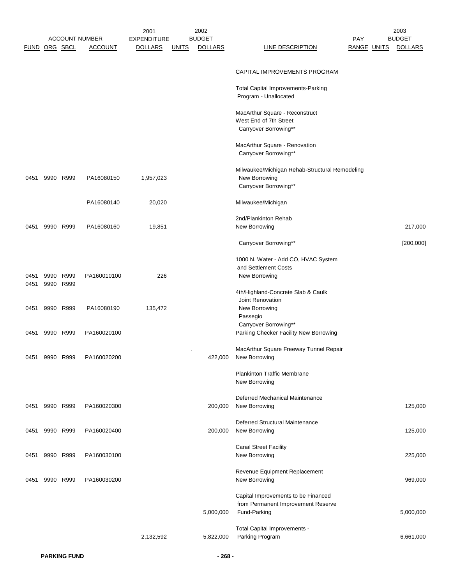|                      |           |           |                       | 2001               |              | 2002           |                                                                                          |                    | 2003           |
|----------------------|-----------|-----------|-----------------------|--------------------|--------------|----------------|------------------------------------------------------------------------------------------|--------------------|----------------|
|                      |           |           | <b>ACCOUNT NUMBER</b> | <b>EXPENDITURE</b> |              | <b>BUDGET</b>  |                                                                                          | <b>PAY</b>         | <b>BUDGET</b>  |
| <b>FUND ORG SBCL</b> |           |           | <b>ACCOUNT</b>        | <b>DOLLARS</b>     | <u>UNITS</u> | <b>DOLLARS</b> | <b>LINE DESCRIPTION</b>                                                                  | <b>RANGE UNITS</b> | <b>DOLLARS</b> |
|                      |           |           |                       |                    |              |                | CAPITAL IMPROVEMENTS PROGRAM                                                             |                    |                |
|                      |           |           |                       |                    |              |                | Total Capital Improvements-Parking<br>Program - Unallocated                              |                    |                |
|                      |           |           |                       |                    |              |                | MacArthur Square - Reconstruct<br>West End of 7th Street<br>Carryover Borrowing**        |                    |                |
|                      |           |           |                       |                    |              |                | MacArthur Square - Renovation<br>Carryover Borrowing**                                   |                    |                |
| 0451                 |           | 9990 R999 | PA16080150            | 1,957,023          |              |                | Milwaukee/Michigan Rehab-Structural Remodeling<br>New Borrowing<br>Carryover Borrowing** |                    |                |
|                      |           |           | PA16080140            | 20,020             |              |                | Milwaukee/Michigan                                                                       |                    |                |
|                      |           |           |                       |                    |              |                | 2nd/Plankinton Rehab                                                                     |                    |                |
| 0451                 | 9990 R999 |           | PA16080160            | 19,851             |              |                | New Borrowing                                                                            |                    | 217,000        |
|                      |           |           |                       |                    |              |                | Carryover Borrowing**                                                                    |                    | [200,000]      |
|                      |           |           |                       |                    |              |                | 1000 N. Water - Add CO, HVAC System                                                      |                    |                |
| 0451                 | 9990 R999 |           | PA160010100           | 226                |              |                | and Settlement Costs<br>New Borrowing                                                    |                    |                |
| 0451                 | 9990 R999 |           |                       |                    |              |                |                                                                                          |                    |                |
|                      |           |           |                       |                    |              |                | 4th/Highland-Concrete Slab & Caulk<br>Joint Renovation                                   |                    |                |
| 0451                 | 9990 R999 |           | PA16080190            | 135,472            |              |                | New Borrowing                                                                            |                    |                |
|                      |           |           |                       |                    |              |                | Passegio                                                                                 |                    |                |
| 0451                 | 9990 R999 |           | PA160020100           |                    |              |                | Carryover Borrowing**<br>Parking Checker Facility New Borrowing                          |                    |                |
|                      |           |           |                       |                    |              |                |                                                                                          |                    |                |
| 0451                 | 9990      | R999      | PA160020200           |                    |              | 422,000        | MacArthur Square Freeway Tunnel Repair<br>New Borrowing                                  |                    |                |
|                      |           |           |                       |                    |              |                | <b>Plankinton Traffic Membrane</b><br>New Borrowing                                      |                    |                |
|                      |           |           |                       |                    |              |                | Deferred Mechanical Maintenance                                                          |                    |                |
| 0451                 | 9990 R999 |           | PA160020300           |                    |              | 200,000        | New Borrowing                                                                            |                    | 125,000        |
| 0451                 | 9990 R999 |           | PA160020400           |                    |              | 200,000        | Deferred Structural Maintenance<br>New Borrowing                                         |                    | 125,000        |
| 0451                 | 9990 R999 |           | PA160030100           |                    |              |                | <b>Canal Street Facility</b><br>New Borrowing                                            |                    | 225,000        |
|                      |           |           |                       |                    |              |                |                                                                                          |                    |                |
| 0451                 | 9990 R999 |           | PA160030200           |                    |              |                | Revenue Equipment Replacement<br>New Borrowing                                           |                    | 969,000        |
|                      |           |           |                       |                    |              |                | Capital Improvements to be Financed                                                      |                    |                |
|                      |           |           |                       |                    |              | 5,000,000      | from Permanent Improvement Reserve<br>Fund-Parking                                       |                    | 5,000,000      |
|                      |           |           |                       |                    |              |                | Total Capital Improvements -                                                             |                    |                |
|                      |           |           |                       | 2,132,592          |              | 5,822,000      | Parking Program                                                                          |                    | 6,661,000      |
|                      |           |           |                       |                    |              |                |                                                                                          |                    |                |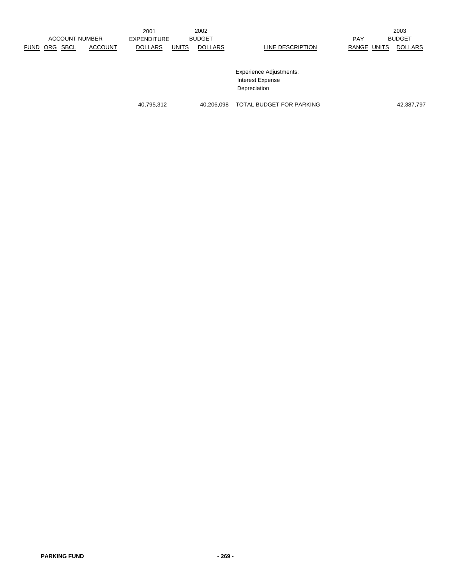|             |                       |             |                    | 2001           |               | 2002           |                                |               | 2003           |
|-------------|-----------------------|-------------|--------------------|----------------|---------------|----------------|--------------------------------|---------------|----------------|
|             | <b>ACCOUNT NUMBER</b> |             | <b>EXPENDITURE</b> |                | <b>BUDGET</b> |                | <b>PAY</b>                     | <b>BUDGET</b> |                |
| <b>FUND</b> | ORG                   | <b>SBCL</b> | <b>ACCOUNT</b>     | <b>DOLLARS</b> | <b>UNITS</b>  | <b>DOLLARS</b> | LINE DESCRIPTION               | RANGE UNITS   | <b>DOLLARS</b> |
|             |                       |             |                    |                |               |                |                                |               |                |
|             |                       |             |                    |                |               |                |                                |               |                |
|             |                       |             |                    |                |               |                | <b>Experience Adjustments:</b> |               |                |
|             |                       |             |                    |                |               |                | <b>Interest Expense</b>        |               |                |
|             |                       |             |                    |                |               |                | Depreciation                   |               |                |
|             |                       |             |                    |                |               |                |                                |               |                |

40,795,312 40,206,098 TOTAL BUDGET FOR PARKING 42,387,797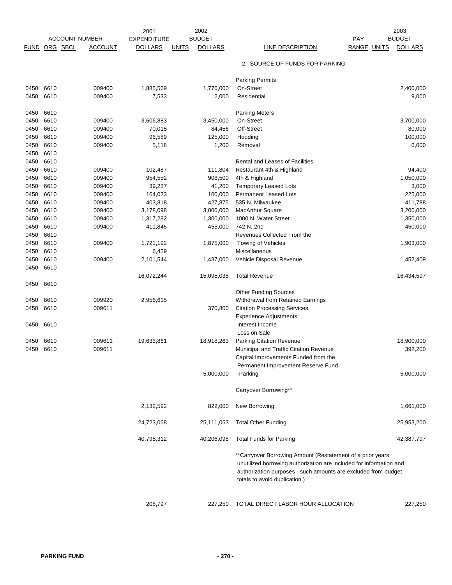|             |                       |                | 2001               |              | 2002           |                                                                                                                                                                                                                                      |                    | 2003           |
|-------------|-----------------------|----------------|--------------------|--------------|----------------|--------------------------------------------------------------------------------------------------------------------------------------------------------------------------------------------------------------------------------------|--------------------|----------------|
|             | <b>ACCOUNT NUMBER</b> |                | <b>EXPENDITURE</b> |              | <b>BUDGET</b>  |                                                                                                                                                                                                                                      | <b>PAY</b>         | <b>BUDGET</b>  |
| <b>FUND</b> | ORG SBCL              | <b>ACCOUNT</b> | <b>DOLLARS</b>     | <u>UNITS</u> | <b>DOLLARS</b> | <b>LINE DESCRIPTION</b>                                                                                                                                                                                                              | <b>RANGE UNITS</b> | <b>DOLLARS</b> |
|             |                       |                |                    |              |                | 2. SOURCE OF FUNDS FOR PARKING                                                                                                                                                                                                       |                    |                |
|             |                       |                |                    |              |                | <b>Parking Permits</b>                                                                                                                                                                                                               |                    |                |
| 0450        | 6610                  | 009400         | 1,885,569          |              | 1,776,000      | On-Street                                                                                                                                                                                                                            |                    | 2,400,000      |
| 0450        | 6610                  | 009400         | 7,533              |              | 2,000          | Residential                                                                                                                                                                                                                          |                    | 9,000          |
| 0450        | 6610                  |                |                    |              |                | <b>Parking Meters</b>                                                                                                                                                                                                                |                    |                |
| 0450        | 6610                  | 009400         | 3,606,883          |              | 3,450,000      | On-Street                                                                                                                                                                                                                            |                    | 3,700,000      |
| 0450        | 6610                  | 009400         | 70,015             |              | 84,456         | Off-Street                                                                                                                                                                                                                           |                    | 80,000         |
| 0450        | 6610                  | 009400         | 96,589             |              | 125,000        | Hooding                                                                                                                                                                                                                              |                    | 100,000        |
| 0450        | 6610                  | 009400         | 5,118              |              | 1,200          | Removal                                                                                                                                                                                                                              |                    | 6,000          |
| 0450        | 6610                  |                |                    |              |                |                                                                                                                                                                                                                                      |                    |                |
| 0450        | 6610                  |                |                    |              |                | Rental and Leases of Facilities                                                                                                                                                                                                      |                    |                |
| 0450        | 6610                  | 009400         | 102,487            |              | 111,804        | Restaurant 4th & Highland                                                                                                                                                                                                            |                    | 94,400         |
| 0450        | 6610                  | 009400         | 954,552            |              | 908,500        | 4th & Highland                                                                                                                                                                                                                       |                    | 1,050,000      |
| 0450        | 6610                  | 009400         | 39,237             |              | 41,200         | <b>Temporary Leased Lots</b>                                                                                                                                                                                                         |                    | 3,000          |
|             |                       |                |                    |              |                |                                                                                                                                                                                                                                      |                    |                |
| 0450        | 6610                  | 009400         | 164,023            |              | 100,000        | <b>Permanent Leased Lots</b>                                                                                                                                                                                                         |                    | 225,000        |
| 0450        | 6610                  | 009400         | 403,818            |              | 427,875        | 535 N. Milwaukee                                                                                                                                                                                                                     |                    | 411,788        |
| 0450        | 6610                  | 009400         | 3,178,098          |              | 3,000,000      | <b>MacArthur Square</b>                                                                                                                                                                                                              |                    | 3,200,000      |
| 0450        | 6610                  | 009400         | 1,317,282          |              | 1,300,000      | 1000 N. Water Street                                                                                                                                                                                                                 |                    | 1,350,000      |
| 0450        | 6610                  | 009400         | 411,845            |              | 455,000        | 742 N. 2nd                                                                                                                                                                                                                           |                    | 450,000        |
| 0450        | 6610                  |                |                    |              |                | Revenues Collected From the                                                                                                                                                                                                          |                    |                |
| 0450        | 6610                  | 009400         | 1,721,192          |              | 1,875,000      | Towing of Vehicles                                                                                                                                                                                                                   |                    | 1,903,000      |
| 0450        | 6610                  |                | 6,459              |              |                | Miscellaneous                                                                                                                                                                                                                        |                    |                |
| 0450        | 6610                  | 009400         | 2,101,544          |              | 1,437,000      | Vehicle Disposal Revenue                                                                                                                                                                                                             |                    | 1,452,409      |
| 0450        | 6610                  |                |                    |              |                |                                                                                                                                                                                                                                      |                    |                |
|             |                       |                | 16,072,244         |              | 15,095,035     | <b>Total Revenue</b>                                                                                                                                                                                                                 |                    | 16,434,597     |
| 0450        | 6610                  |                |                    |              |                |                                                                                                                                                                                                                                      |                    |                |
|             |                       |                |                    |              |                | <b>Other Funding Sources</b>                                                                                                                                                                                                         |                    |                |
| 0450        | 6610                  | 009920         | 2,956,615          |              |                | Withdrawal from Retained Earnings                                                                                                                                                                                                    |                    |                |
| 0450        | 6610                  | 009611         |                    |              | 370,800        | <b>Citation Processing Services</b>                                                                                                                                                                                                  |                    |                |
|             |                       |                |                    |              |                | <b>Experience Adjustments:</b>                                                                                                                                                                                                       |                    |                |
| 0450        | 6610                  |                |                    |              |                | Interest Income                                                                                                                                                                                                                      |                    |                |
|             |                       |                |                    |              |                | Loss on Sale                                                                                                                                                                                                                         |                    |                |
|             |                       |                |                    |              |                |                                                                                                                                                                                                                                      |                    |                |
| 0450        | 6610                  | 009611         | 19,633,861         |              | 18,918,263     | Parking Citation Revenue                                                                                                                                                                                                             |                    | 18,900,000     |
| 0450        | 6610                  | 009611         |                    |              |                | Municipal and Traffic Citation Revenue                                                                                                                                                                                               |                    | 392,200        |
|             |                       |                |                    |              |                | Capital Improvements Funded from the                                                                                                                                                                                                 |                    |                |
|             |                       |                |                    |              |                | Permanent Improvement Reserve Fund                                                                                                                                                                                                   |                    |                |
|             |                       |                |                    |              | 5,000,000      | -Parking                                                                                                                                                                                                                             |                    | 5,000,000      |
|             |                       |                |                    |              |                | Carryover Borrowing**                                                                                                                                                                                                                |                    |                |
|             |                       |                | 2,132,592          |              | 822,000        | New Borrowing                                                                                                                                                                                                                        |                    | 1,661,000      |
|             |                       |                | 24,723,068         |              | 25,111,063     | <b>Total Other Funding</b>                                                                                                                                                                                                           |                    | 25,953,200     |
|             |                       |                | 40,795,312         |              | 40,206,098     | <b>Total Funds for Parking</b>                                                                                                                                                                                                       |                    | 42,387,797     |
|             |                       |                |                    |              |                | **Carryover Borrowing Amount (Restatement of a prior years<br>unutilized borrowing authorization are included for information and<br>authorization purposes - such amounts are excluded from budget<br>totals to avoid duplication.) |                    |                |
|             |                       |                | 208,797            |              | 227,250        | TOTAL DIRECT LABOR HOUR ALLOCATION                                                                                                                                                                                                   |                    | 227,250        |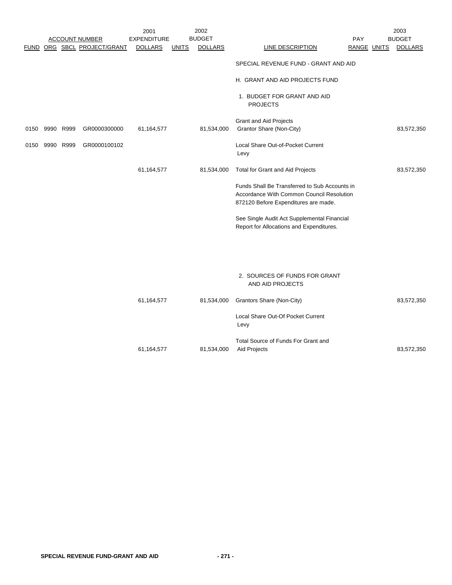|      |           |           |                             | 2001               |              | 2002           |                                                                                                                                    |             | 2003           |
|------|-----------|-----------|-----------------------------|--------------------|--------------|----------------|------------------------------------------------------------------------------------------------------------------------------------|-------------|----------------|
|      |           |           | <b>ACCOUNT NUMBER</b>       | <b>EXPENDITURE</b> |              | <b>BUDGET</b>  |                                                                                                                                    | <b>PAY</b>  | <b>BUDGET</b>  |
|      |           |           | FUND ORG SBCL PROJECT/GRANT | <b>DOLLARS</b>     | <b>UNITS</b> | <b>DOLLARS</b> | LINE DESCRIPTION                                                                                                                   | RANGE UNITS | <b>DOLLARS</b> |
|      |           |           |                             |                    |              |                | SPECIAL REVENUE FUND - GRANT AND AID                                                                                               |             |                |
|      |           |           |                             |                    |              |                | H. GRANT AND AID PROJECTS FUND                                                                                                     |             |                |
|      |           |           |                             |                    |              |                | 1. BUDGET FOR GRANT AND AID<br><b>PROJECTS</b>                                                                                     |             |                |
|      |           |           |                             |                    |              |                | Grant and Aid Projects                                                                                                             |             |                |
| 0150 | 9990 R999 |           | GR0000300000                | 61,164,577         |              | 81,534,000     | Grantor Share (Non-City)                                                                                                           |             | 83,572,350     |
| 0150 |           | 9990 R999 | GR0000100102                |                    |              |                | Local Share Out-of-Pocket Current<br>Levy                                                                                          |             |                |
|      |           |           |                             | 61,164,577         |              | 81,534,000     | Total for Grant and Aid Projects                                                                                                   |             | 83,572,350     |
|      |           |           |                             |                    |              |                | Funds Shall Be Transferred to Sub Accounts in<br>Accordance With Common Council Resolution<br>872120 Before Expenditures are made. |             |                |
|      |           |           |                             |                    |              |                | See Single Audit Act Supplemental Financial<br>Report for Allocations and Expenditures.                                            |             |                |
|      |           |           |                             |                    |              |                | 2. SOURCES OF FUNDS FOR GRANT<br>AND AID PROJECTS                                                                                  |             |                |
|      |           |           |                             | 61,164,577         |              | 81,534,000     | Grantors Share (Non-City)                                                                                                          |             | 83,572,350     |
|      |           |           |                             |                    |              |                | Local Share Out-Of Pocket Current<br>Levy                                                                                          |             |                |
|      |           |           |                             |                    |              |                | Total Source of Funds For Grant and                                                                                                |             |                |

61,164,577 81,534,000 Aid Projects 83,572,350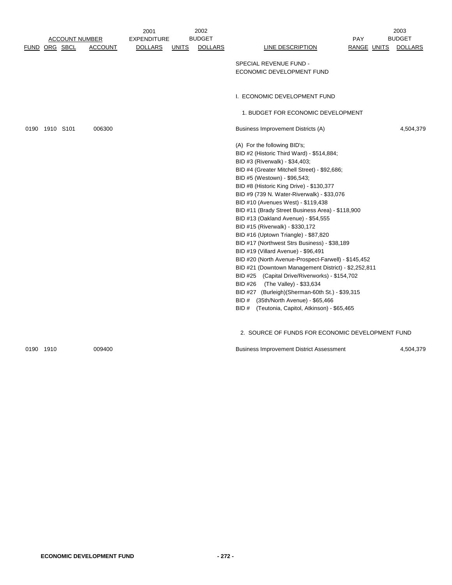|                |                       |                | 2001               |       | 2002           |                                                                                     |             | 2003           |
|----------------|-----------------------|----------------|--------------------|-------|----------------|-------------------------------------------------------------------------------------|-------------|----------------|
|                | <b>ACCOUNT NUMBER</b> |                | <b>EXPENDITURE</b> |       | <b>BUDGET</b>  |                                                                                     | PAY         | <b>BUDGET</b>  |
|                | FUND ORG SBCL         | <b>ACCOUNT</b> | <b>DOLLARS</b>     | UNITS | <b>DOLLARS</b> | LINE DESCRIPTION                                                                    | RANGE UNITS | <u>DOLLARS</u> |
|                |                       |                |                    |       |                |                                                                                     |             |                |
|                |                       |                |                    |       |                | SPECIAL REVENUE FUND -                                                              |             |                |
|                |                       |                |                    |       |                | ECONOMIC DEVELOPMENT FUND                                                           |             |                |
|                |                       |                |                    |       |                |                                                                                     |             |                |
|                |                       |                |                    |       |                | I. ECONOMIC DEVELOPMENT FUND                                                        |             |                |
|                |                       |                |                    |       |                | 1. BUDGET FOR ECONOMIC DEVELOPMENT                                                  |             |                |
| 0190 1910 S101 |                       | 006300         |                    |       |                | Business Improvement Districts (A)                                                  |             | 4,504,379      |
|                |                       |                |                    |       |                | (A) For the following BID's;                                                        |             |                |
|                |                       |                |                    |       |                | BID #2 (Historic Third Ward) - \$514,884;                                           |             |                |
|                |                       |                |                    |       |                | BID #3 (Riverwalk) - \$34,403;                                                      |             |                |
|                |                       |                |                    |       |                | BID #4 (Greater Mitchell Street) - \$92,686;                                        |             |                |
|                |                       |                |                    |       |                | BID #5 (Westown) - \$96,543;                                                        |             |                |
|                |                       |                |                    |       |                | BID #8 (Historic King Drive) - \$130,377                                            |             |                |
|                |                       |                |                    |       |                | BID #9 (739 N. Water-Riverwalk) - \$33,076                                          |             |                |
|                |                       |                |                    |       |                | BID #10 (Avenues West) - \$119,438                                                  |             |                |
|                |                       |                |                    |       |                | BID #11 (Brady Street Business Area) - \$118,900                                    |             |                |
|                |                       |                |                    |       |                | BID #13 (Oakland Avenue) - \$54,555                                                 |             |                |
|                |                       |                |                    |       |                | BID #15 (Riverwalk) - \$330,172                                                     |             |                |
|                |                       |                |                    |       |                | BID #16 (Uptown Triangle) - \$87,820                                                |             |                |
|                |                       |                |                    |       |                | BID #17 (Northwest Strs Business) - \$38,189<br>BID #19 (Villard Avenue) - \$96,491 |             |                |
|                |                       |                |                    |       |                | BID #20 (North Avenue-Prospect-Farwell) - \$145,452                                 |             |                |
|                |                       |                |                    |       |                | BID #21 (Downtown Management District) - \$2,252,811                                |             |                |
|                |                       |                |                    |       |                | BID #25 (Capital Drive/Riverworks) - \$154,702                                      |             |                |
|                |                       |                |                    |       |                | BID #26<br>(The Valley) - \$33,634                                                  |             |                |
|                |                       |                |                    |       |                | BID #27 (Burleigh) (Sherman-60th St.) - \$39,315                                    |             |                |
|                |                       |                |                    |       |                | BID # (35th/North Avenue) - \$65,466                                                |             |                |
|                |                       |                |                    |       |                | (Teutonia, Capitol, Atkinson) - \$65,465<br>BID#                                    |             |                |
|                |                       |                |                    |       |                | 2. SOURCE OF FUNDS FOR ECONOMIC DEVELOPMENT FUND                                    |             |                |
|                |                       |                |                    |       |                |                                                                                     |             |                |

0190 1910 009400 009400 000 000 Business Improvement District Assessment 0190 1910 4,504,379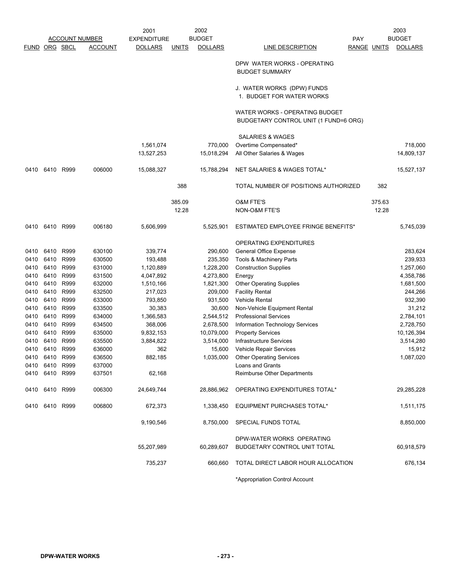|               |                |           |                       | 2001               |              | 2002           |                                                                         |                    | 2003           |
|---------------|----------------|-----------|-----------------------|--------------------|--------------|----------------|-------------------------------------------------------------------------|--------------------|----------------|
|               |                |           | <b>ACCOUNT NUMBER</b> | <b>EXPENDITURE</b> |              | <b>BUDGET</b>  | <b>PAY</b>                                                              |                    | <b>BUDGET</b>  |
| FUND ORG SBCL |                |           | <b>ACCOUNT</b>        | <b>DOLLARS</b>     | <b>UNITS</b> | <b>DOLLARS</b> | LINE DESCRIPTION                                                        | <b>RANGE UNITS</b> | <b>DOLLARS</b> |
|               |                |           |                       |                    |              |                | DPW WATER WORKS - OPERATING<br><b>BUDGET SUMMARY</b>                    |                    |                |
|               |                |           |                       |                    |              |                | J. WATER WORKS (DPW) FUNDS<br>1. BUDGET FOR WATER WORKS                 |                    |                |
|               |                |           |                       |                    |              |                | WATER WORKS - OPERATING BUDGET<br>BUDGETARY CONTROL UNIT (1 FUND=6 ORG) |                    |                |
|               |                |           |                       |                    |              |                | SALARIES & WAGES                                                        |                    |                |
|               |                |           |                       | 1,561,074          |              | 770,000        | Overtime Compensated*                                                   |                    | 718,000        |
|               |                |           |                       | 13,527,253         |              | 15,018,294     | All Other Salaries & Wages                                              |                    | 14,809,137     |
| 0410          |                | 6410 R999 | 006000                | 15,088,327         |              | 15,788,294     | NET SALARIES & WAGES TOTAL*                                             |                    | 15,527,137     |
|               |                |           |                       |                    |              |                |                                                                         |                    |                |
|               |                |           |                       |                    | 388          |                | TOTAL NUMBER OF POSITIONS AUTHORIZED                                    | 382                |                |
|               |                |           |                       |                    | 385.09       |                | <b>O&amp;M FTE'S</b>                                                    | 375.63             |                |
|               |                |           |                       |                    | 12.28        |                | NON-O&M FTE'S                                                           | 12.28              |                |
| 0410          | 6410 R999      |           | 006180                | 5,606,999          |              | 5,525,901      | ESTIMATED EMPLOYEE FRINGE BENEFITS*                                     |                    | 5,745,039      |
|               |                |           |                       |                    |              |                |                                                                         |                    |                |
|               |                |           |                       |                    |              |                | OPERATING EXPENDITURES                                                  |                    |                |
| 0410          | 6410 R999      |           | 630100                | 339,774            |              | 290,600        | <b>General Office Expense</b>                                           |                    | 283,624        |
| 0410          |                | 6410 R999 | 630500                | 193,488            |              | 235,350        | Tools & Machinery Parts                                                 |                    | 239,933        |
| 0410          |                | 6410 R999 | 631000                | 1,120,889          |              | 1,228,200      | <b>Construction Supplies</b>                                            |                    | 1,257,060      |
| 0410          | 6410           | R999      | 631500                | 4,047,892          |              | 4,273,800      | Energy                                                                  |                    | 4,358,786      |
| 0410          | 6410 R999      |           | 632000                | 1,510,166          |              | 1,821,300      | <b>Other Operating Supplies</b>                                         |                    | 1,681,500      |
| 0410          | 6410 R999      |           | 632500                | 217,023            |              | 209,000        | <b>Facility Rental</b>                                                  |                    | 244,266        |
| 0410          | 6410           | R999      | 633000                | 793,850            |              | 931,500        | <b>Vehicle Rental</b>                                                   |                    | 932,390        |
| 0410          | 6410 R999      |           | 633500                | 30,383             |              | 30,600         | Non-Vehicle Equipment Rental                                            |                    | 31,212         |
| 0410          |                | 6410 R999 | 634000                | 1,366,583          |              | 2,544,512      | <b>Professional Services</b>                                            |                    | 2,784,101      |
| 0410          |                | 6410 R999 | 634500                | 368,006            |              | 2,678,500      | Information Technology Services                                         |                    | 2,728,750      |
| 0410          | 6410 R999      |           | 635000                | 9,832,153          |              | 10,079,000     | <b>Property Services</b>                                                |                    | 10,126,394     |
| 0410          | 6410 R999      |           | 635500                | 3,884,822          |              | 3,514,000      | Infrastructure Services                                                 |                    | 3,514,280      |
| 0410          | 6410 R999      |           | 636000                | 362                |              | 15,600         | <b>Vehicle Repair Services</b>                                          |                    | 15,912         |
| 0410          | 6410           | R999      | 636500                | 882,185            |              | 1,035,000      | <b>Other Operating Services</b>                                         |                    | 1,087,020      |
|               | 0410 6410 R999 |           | 637000                |                    |              |                | Loans and Grants                                                        |                    |                |
|               | 0410 6410 R999 |           | 637501                | 62,168             |              |                | <b>Reimburse Other Departments</b>                                      |                    |                |
|               | 0410 6410 R999 |           | 006300                | 24,649,744         |              |                | 28,886,962 OPERATING EXPENDITURES TOTAL*                                |                    | 29,285,228     |
|               | 0410 6410 R999 |           | 006800                | 672,373            |              | 1,338,450      | EQUIPMENT PURCHASES TOTAL*                                              |                    | 1,511,175      |
|               |                |           |                       | 9,190,546          |              |                | 8,750,000 SPECIAL FUNDS TOTAL                                           |                    | 8,850,000      |
|               |                |           |                       |                    |              |                | DPW-WATER WORKS OPERATING                                               |                    |                |
|               |                |           |                       | 55,207,989         |              | 60,289,607     | <b>BUDGETARY CONTROL UNIT TOTAL</b>                                     |                    | 60,918,579     |
|               |                |           |                       |                    |              |                |                                                                         |                    |                |
|               |                |           |                       | 735,237            |              | 660,660        | TOTAL DIRECT LABOR HOUR ALLOCATION                                      |                    | 676,134        |
|               |                |           |                       |                    |              |                | *Appropriation Control Account                                          |                    |                |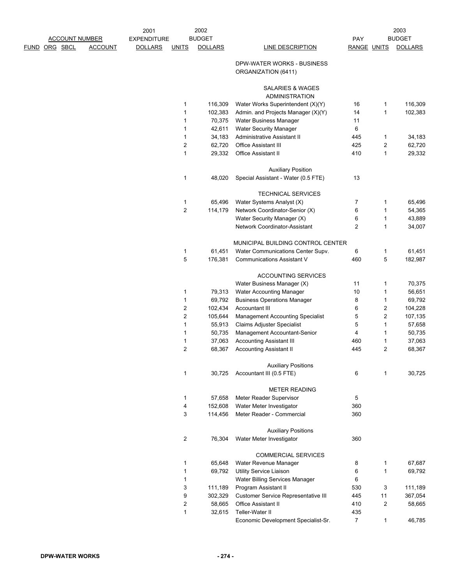|                       |                | 2001               |                         | 2002           |                                                   |                    |                         | 2003           |
|-----------------------|----------------|--------------------|-------------------------|----------------|---------------------------------------------------|--------------------|-------------------------|----------------|
| <b>ACCOUNT NUMBER</b> |                | <b>EXPENDITURE</b> |                         | <b>BUDGET</b>  |                                                   | PAY                |                         | <b>BUDGET</b>  |
| ORG SBCL<br>FUND      | <b>ACCOUNT</b> | <b>DOLLARS</b>     | <b>UNITS</b>            | <b>DOLLARS</b> | <b>LINE DESCRIPTION</b>                           | <b>RANGE UNITS</b> |                         | <b>DOLLARS</b> |
|                       |                |                    |                         |                | DPW-WATER WORKS - BUSINESS<br>ORGANIZATION (6411) |                    |                         |                |
|                       |                |                    |                         |                | SALARIES & WAGES                                  |                    |                         |                |
|                       |                |                    |                         |                | <b>ADMINISTRATION</b>                             |                    |                         |                |
|                       |                |                    | 1                       | 116,309        | Water Works Superintendent (X)(Y)                 | 16                 | 1                       | 116,309        |
|                       |                |                    | 1                       | 102,383        | Admin. and Projects Manager (X)(Y)                | 14                 | 1                       | 102,383        |
|                       |                |                    | 1                       | 70,375         | Water Business Manager                            | 11                 |                         |                |
|                       |                |                    | 1                       | 42,611         | <b>Water Security Manager</b>                     | 6                  |                         |                |
|                       |                |                    | 1                       | 34,183         | Administrative Assistant II                       | 445                | 1                       | 34,183         |
|                       |                |                    | 2                       | 62,720         | <b>Office Assistant III</b>                       | 425                | $\overline{c}$          | 62,720         |
|                       |                |                    | 1                       | 29,332         | Office Assistant II                               | 410                | 1                       | 29,332         |
|                       |                |                    |                         |                | <b>Auxiliary Position</b>                         |                    |                         |                |
|                       |                |                    | 1                       | 48,020         | Special Assistant - Water (0.5 FTE)               | 13                 |                         |                |
|                       |                |                    |                         |                | <b>TECHNICAL SERVICES</b>                         |                    |                         |                |
|                       |                |                    | 1                       | 65,496         | Water Systems Analyst (X)                         | 7                  | 1                       | 65,496         |
|                       |                |                    | $\overline{\mathbf{c}}$ | 114,179        | Network Coordinator-Senior (X)                    | 6                  | 1                       | 54,365         |
|                       |                |                    |                         |                | Water Security Manager (X)                        | 6                  | 1                       | 43,889         |
|                       |                |                    |                         |                | Network Coordinator-Assistant                     | $\overline{2}$     | 1                       | 34,007         |
|                       |                |                    |                         |                | MUNICIPAL BUILDING CONTROL CENTER                 |                    |                         |                |
|                       |                |                    | 1                       | 61,451         | Water Communications Center Supv.                 | 6                  | 1                       | 61,451         |
|                       |                |                    | 5                       | 176,381        | <b>Communications Assistant V</b>                 | 460                | 5                       | 182,987        |
|                       |                |                    |                         |                | <b>ACCOUNTING SERVICES</b>                        |                    |                         |                |
|                       |                |                    |                         |                | Water Business Manager (X)                        | 11                 | 1                       | 70,375         |
|                       |                |                    | 1                       | 79,313         | Water Accounting Manager                          | 10                 | 1                       | 56,651         |
|                       |                |                    | 1                       | 69,792         | <b>Business Operations Manager</b>                | 8                  | 1                       | 69,792         |
|                       |                |                    | 2                       | 102,434        | Accountant III                                    | 6                  | $\overline{\mathbf{c}}$ | 104,228        |
|                       |                |                    | $\overline{\mathbf{c}}$ | 105,644        | <b>Management Accounting Specialist</b>           | 5                  | $\overline{c}$          | 107,135        |
|                       |                |                    | 1                       | 55,913         | <b>Claims Adjuster Specialist</b>                 | 5                  | 1                       | 57,658         |
|                       |                |                    | 1                       | 50,735         | Management Accountant-Senior                      | 4                  | 1                       | 50,735         |
|                       |                |                    | 1                       | 37,063         | <b>Accounting Assistant III</b>                   | 460                | 1                       | 37,063         |
|                       |                |                    | 2                       | 68,367         | <b>Accounting Assistant II</b>                    | 445                | $\overline{2}$          | 68,367         |
|                       |                |                    |                         |                | <b>Auxiliary Positions</b>                        |                    |                         |                |
|                       |                |                    | 1                       | 30,725         | Accountant III (0.5 FTE)                          | 6                  | 1                       | 30,725         |
|                       |                |                    |                         |                | <b>METER READING</b>                              |                    |                         |                |
|                       |                |                    | 1                       | 57,658         | Meter Reader Supervisor                           | 5                  |                         |                |
|                       |                |                    | 4                       | 152,608        | Water Meter Investigator                          | 360                |                         |                |
|                       |                |                    | 3                       | 114,456        | Meter Reader - Commercial                         | 360                |                         |                |
|                       |                |                    |                         |                | <b>Auxiliary Positions</b>                        |                    |                         |                |
|                       |                |                    | 2                       | 76,304         | Water Meter Investigator                          | 360                |                         |                |
|                       |                |                    |                         |                | <b>COMMERCIAL SERVICES</b>                        |                    |                         |                |
|                       |                |                    | 1                       | 65,648         | Water Revenue Manager                             | 8                  | 1                       | 67,687         |
|                       |                |                    | 1                       | 69,792         | Utility Service Liaison                           | 6                  | 1                       | 69,792         |
|                       |                |                    | 1                       |                | Water Billing Services Manager                    | 6                  |                         |                |
|                       |                |                    | 3                       | 111,189        | Program Assistant II                              | 530                | 3                       | 111,189        |
|                       |                |                    | 9                       | 302,329        | Customer Service Representative III               | 445                | 11                      | 367,054        |
|                       |                |                    | 2                       | 58,665         | <b>Office Assistant II</b>                        | 410                | 2                       | 58,665         |
|                       |                |                    | 1                       | 32,615         | Teller-Water II                                   | 435                |                         |                |
|                       |                |                    |                         |                | Economic Development Specialist-Sr.               | $\overline{7}$     | 1                       | 46,785         |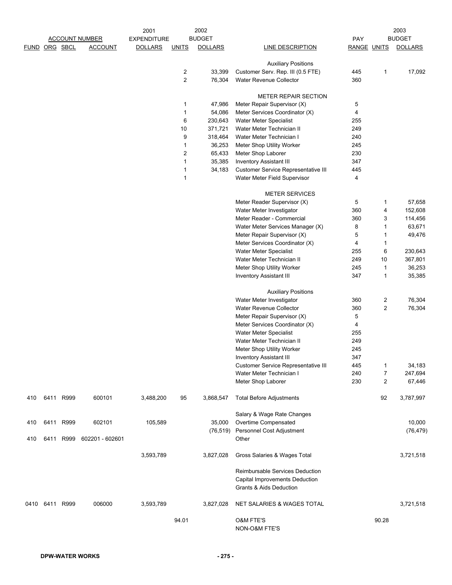|     |               |      |                                         | 2001                                 |                         | 2002                            |                                                                 |                    | 2003<br><b>BUDGET</b><br>PAY |                   |  |
|-----|---------------|------|-----------------------------------------|--------------------------------------|-------------------------|---------------------------------|-----------------------------------------------------------------|--------------------|------------------------------|-------------------|--|
|     | FUND ORG SBCL |      | <b>ACCOUNT NUMBER</b><br><b>ACCOUNT</b> | <b>EXPENDITURE</b><br><b>DOLLARS</b> | <b>UNITS</b>            | <b>BUDGET</b><br><b>DOLLARS</b> | LINE DESCRIPTION                                                | <b>RANGE UNITS</b> |                              | <b>DOLLARS</b>    |  |
|     |               |      |                                         |                                      |                         |                                 |                                                                 |                    |                              |                   |  |
|     |               |      |                                         |                                      |                         |                                 | <b>Auxiliary Positions</b>                                      |                    |                              |                   |  |
|     |               |      |                                         |                                      | 2                       | 33.399                          | Customer Serv. Rep. III (0.5 FTE)                               | 445                | 1                            | 17,092            |  |
|     |               |      |                                         |                                      | $\overline{2}$          | 76,304                          | Water Revenue Collector                                         | 360                |                              |                   |  |
|     |               |      |                                         |                                      |                         |                                 |                                                                 |                    |                              |                   |  |
|     |               |      |                                         |                                      |                         |                                 | <b>METER REPAIR SECTION</b>                                     |                    |                              |                   |  |
|     |               |      |                                         |                                      | 1                       | 47,986                          | Meter Repair Supervisor (X)                                     | 5                  |                              |                   |  |
|     |               |      |                                         |                                      | $\mathbf{1}$            | 54,086                          | Meter Services Coordinator (X)                                  | 4                  |                              |                   |  |
|     |               |      |                                         |                                      | 6                       | 230,643                         | Water Meter Specialist                                          | 255                |                              |                   |  |
|     |               |      |                                         |                                      | 10                      | 371,721                         | Water Meter Technician II                                       | 249                |                              |                   |  |
|     |               |      |                                         |                                      | 9                       | 318,464                         | Water Meter Technician I                                        | 240                |                              |                   |  |
|     |               |      |                                         |                                      | 1                       | 36,253                          | Meter Shop Utility Worker                                       | 245                |                              |                   |  |
|     |               |      |                                         |                                      | $\overline{\mathbf{c}}$ | 65,433                          | Meter Shop Laborer                                              | 230                |                              |                   |  |
|     |               |      |                                         |                                      | 1                       | 35,385                          | <b>Inventory Assistant III</b>                                  | 347                |                              |                   |  |
|     |               |      |                                         |                                      | 1                       | 34,183                          | Customer Service Representative III                             | 445                |                              |                   |  |
|     |               |      |                                         |                                      | $\mathbf{1}$            |                                 | Water Meter Field Supervisor                                    | 4                  |                              |                   |  |
|     |               |      |                                         |                                      |                         |                                 | <b>METER SERVICES</b>                                           |                    |                              |                   |  |
|     |               |      |                                         |                                      |                         |                                 | Meter Reader Supervisor (X)                                     | 5                  | 1                            | 57,658            |  |
|     |               |      |                                         |                                      |                         |                                 | Water Meter Investigator                                        | 360                | 4                            | 152,608           |  |
|     |               |      |                                         |                                      |                         |                                 | Meter Reader - Commercial                                       | 360                | 3                            | 114,456           |  |
|     |               |      |                                         |                                      |                         |                                 | Water Meter Services Manager (X)                                | 8                  | 1                            | 63,671            |  |
|     |               |      |                                         |                                      |                         |                                 | Meter Repair Supervisor (X)                                     | 5                  | 1                            | 49,476            |  |
|     |               |      |                                         |                                      |                         |                                 | Meter Services Coordinator (X)                                  | 4                  | 1                            |                   |  |
|     |               |      |                                         |                                      |                         |                                 | Water Meter Specialist                                          | 255                | 6                            | 230,643           |  |
|     |               |      |                                         |                                      |                         |                                 | Water Meter Technician II                                       | 249                | 10                           | 367,801           |  |
|     |               |      |                                         |                                      |                         |                                 | Meter Shop Utility Worker                                       | 245                | 1                            | 36,253            |  |
|     |               |      |                                         |                                      |                         |                                 | <b>Inventory Assistant III</b>                                  | 347                | 1                            | 35,385            |  |
|     |               |      |                                         |                                      |                         |                                 |                                                                 |                    |                              |                   |  |
|     |               |      |                                         |                                      |                         |                                 | <b>Auxiliary Positions</b>                                      |                    |                              |                   |  |
|     |               |      |                                         |                                      |                         |                                 | Water Meter Investigator                                        | 360                | 2                            | 76,304            |  |
|     |               |      |                                         |                                      |                         |                                 | <b>Water Revenue Collector</b>                                  | 360                | $\overline{2}$               | 76,304            |  |
|     |               |      |                                         |                                      |                         |                                 | Meter Repair Supervisor (X)                                     | 5                  |                              |                   |  |
|     |               |      |                                         |                                      |                         |                                 | Meter Services Coordinator (X)                                  | 4                  |                              |                   |  |
|     |               |      |                                         |                                      |                         |                                 | Water Meter Specialist                                          | 255                |                              |                   |  |
|     |               |      |                                         |                                      |                         |                                 | Water Meter Technician II                                       | 249                |                              |                   |  |
|     |               |      |                                         |                                      |                         |                                 | Meter Shop Utility Worker                                       | 245                |                              |                   |  |
|     |               |      |                                         |                                      |                         |                                 | <b>Inventory Assistant III</b>                                  | 347                |                              |                   |  |
|     |               |      |                                         |                                      |                         |                                 | Customer Service Representative III<br>Water Meter Technician I | 445<br>240         | 1<br>7                       | 34,183            |  |
|     |               |      |                                         |                                      |                         |                                 | Meter Shop Laborer                                              | 230                | $\overline{2}$               | 247,694<br>67,446 |  |
|     |               |      |                                         |                                      |                         |                                 |                                                                 |                    |                              |                   |  |
| 410 | 6411          | R999 | 600101                                  | 3,488,200                            | 95                      | 3,868,547                       | <b>Total Before Adjustments</b>                                 |                    | 92                           | 3,787,997         |  |
|     |               |      |                                         |                                      |                         |                                 |                                                                 |                    |                              |                   |  |
|     |               |      |                                         |                                      |                         |                                 | Salary & Wage Rate Changes                                      |                    |                              |                   |  |
| 410 | 6411          | R999 | 602101                                  | 105,589                              |                         | 35,000                          | Overtime Compensated                                            |                    |                              | 10,000            |  |
|     |               |      |                                         |                                      |                         | (76, 519)                       | Personnel Cost Adjustment                                       |                    |                              | (76, 479)         |  |
| 410 | 6411          | R999 | 602201 - 602601                         |                                      |                         |                                 | Other                                                           |                    |                              |                   |  |
|     |               |      |                                         |                                      |                         |                                 |                                                                 |                    |                              |                   |  |
|     |               |      |                                         | 3,593,789                            |                         | 3,827,028                       | Gross Salaries & Wages Total                                    |                    |                              | 3,721,518         |  |
|     |               |      |                                         |                                      |                         |                                 |                                                                 |                    |                              |                   |  |
|     |               |      |                                         |                                      |                         |                                 | Reimbursable Services Deduction                                 |                    |                              |                   |  |
|     |               |      |                                         |                                      |                         |                                 | Capital Improvements Deduction                                  |                    |                              |                   |  |
|     |               |      |                                         |                                      |                         |                                 | <b>Grants &amp; Aids Deduction</b>                              |                    |                              |                   |  |
|     |               |      |                                         |                                      |                         |                                 |                                                                 |                    |                              |                   |  |
|     | 0410 6411     | R999 | 006000                                  | 3,593,789                            |                         | 3,827,028                       | NET SALARIES & WAGES TOTAL                                      |                    |                              | 3,721,518         |  |
|     |               |      |                                         |                                      |                         |                                 |                                                                 |                    |                              |                   |  |
|     |               |      |                                         |                                      | 94.01                   |                                 | O&M FTE'S<br>NON-O&M FTE'S                                      |                    | 90.28                        |                   |  |
|     |               |      |                                         |                                      |                         |                                 |                                                                 |                    |                              |                   |  |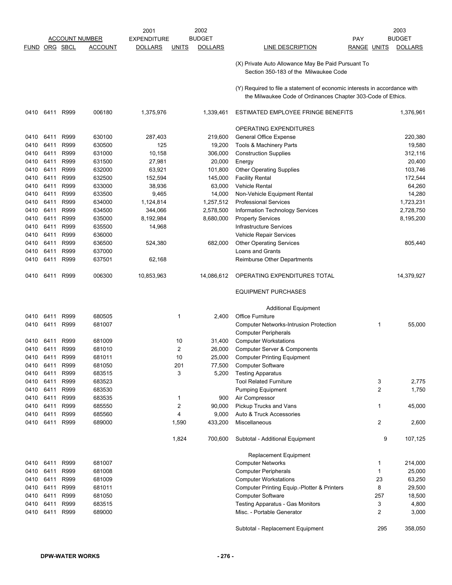|             |      |          |                       | 2001               |                | 2002           |                                                                                                                                           |             |                | 2003           |
|-------------|------|----------|-----------------------|--------------------|----------------|----------------|-------------------------------------------------------------------------------------------------------------------------------------------|-------------|----------------|----------------|
|             |      |          | <b>ACCOUNT NUMBER</b> | <b>EXPENDITURE</b> |                | <b>BUDGET</b>  |                                                                                                                                           | <b>PAY</b>  |                | <b>BUDGET</b>  |
| <b>FUND</b> |      | ORG SBCL | <b>ACCOUNT</b>        | <b>DOLLARS</b>     | <b>UNITS</b>   | <b>DOLLARS</b> | LINE DESCRIPTION                                                                                                                          | RANGE UNITS |                | <b>DOLLARS</b> |
|             |      |          |                       |                    |                |                | (X) Private Auto Allowance May Be Paid Pursuant To<br>Section 350-183 of the Milwaukee Code                                               |             |                |                |
|             |      |          |                       |                    |                |                | (Y) Required to file a statement of economic interests in accordance with<br>the Milwaukee Code of Ordinances Chapter 303-Code of Ethics. |             |                |                |
| 0410        | 6411 | R999     | 006180                | 1,375,976          |                | 1,339,461      | ESTIMATED EMPLOYEE FRINGE BENEFITS                                                                                                        |             |                | 1,376,961      |
|             |      |          |                       |                    |                |                | OPERATING EXPENDITURES                                                                                                                    |             |                |                |
| 0410        | 6411 | R999     | 630100                | 287,403            |                | 219,600        | General Office Expense                                                                                                                    |             |                | 220,380        |
| 0410        | 6411 | R999     | 630500                | 125                |                | 19,200         | Tools & Machinery Parts                                                                                                                   |             |                | 19,580         |
| 0410        | 6411 | R999     | 631000                | 10,158             |                | 306,000        | <b>Construction Supplies</b>                                                                                                              |             |                | 312,116        |
| 0410        | 6411 | R999     | 631500                | 27,981             |                | 20,000         | Energy                                                                                                                                    |             |                | 20,400         |
| 0410        | 6411 | R999     | 632000                | 63,921             |                | 101,800        | <b>Other Operating Supplies</b>                                                                                                           |             |                | 103,746        |
| 0410        | 6411 | R999     | 632500                | 152,594            |                | 145,000        | <b>Facility Rental</b>                                                                                                                    |             |                | 172,544        |
| 0410        | 6411 | R999     | 633000                | 38,936             |                | 63,000         | <b>Vehicle Rental</b>                                                                                                                     |             |                | 64,260         |
| 0410        | 6411 | R999     | 633500                | 9,465              |                | 14,000         | Non-Vehicle Equipment Rental                                                                                                              |             |                | 14,280         |
| 0410        | 6411 | R999     | 634000                | 1,124,814          |                | 1,257,512      | <b>Professional Services</b>                                                                                                              |             |                | 1,723,231      |
| 0410        | 6411 | R999     | 634500                | 344,066            |                | 2,578,500      | Information Technology Services                                                                                                           |             |                | 2,728,750      |
| 0410        | 6411 | R999     | 635000                | 8,192,984          |                | 8,680,000      | <b>Property Services</b>                                                                                                                  |             |                | 8,195,200      |
| 0410        | 6411 | R999     | 635500                | 14,968             |                |                | Infrastructure Services                                                                                                                   |             |                |                |
| 0410        | 6411 | R999     | 636000                |                    |                |                | <b>Vehicle Repair Services</b>                                                                                                            |             |                |                |
| 0410        | 6411 | R999     | 636500                | 524,380            |                | 682,000        | <b>Other Operating Services</b>                                                                                                           |             |                | 805,440        |
| 0410        | 6411 | R999     | 637000                |                    |                |                | Loans and Grants                                                                                                                          |             |                |                |
| 0410        | 6411 | R999     | 637501                | 62,168             |                |                | Reimburse Other Departments                                                                                                               |             |                |                |
| 0410        | 6411 | R999     | 006300                | 10,853,963         |                | 14,086,612     | OPERATING EXPENDITURES TOTAL                                                                                                              |             |                | 14,379,927     |
|             |      |          |                       |                    |                |                | <b>EQUIPMENT PURCHASES</b>                                                                                                                |             |                |                |
|             |      |          |                       |                    |                |                | <b>Additional Equipment</b>                                                                                                               |             |                |                |
| 0410        | 6411 | R999     | 680505                |                    | 1              | 2,400          | <b>Office Furniture</b>                                                                                                                   |             |                |                |
| 0410        | 6411 | R999     | 681007                |                    |                |                | <b>Computer Networks-Intrusion Protection</b>                                                                                             |             | 1              | 55,000         |
|             |      |          |                       |                    |                |                | <b>Computer Peripherals</b>                                                                                                               |             |                |                |
| 0410        | 6411 | R999     | 681009                |                    | 10             | 31,400         | <b>Computer Workstations</b>                                                                                                              |             |                |                |
| 0410        | 6411 | R999     | 681010                |                    | $\overline{2}$ | 26,000         | <b>Computer Server &amp; Components</b>                                                                                                   |             |                |                |
| 0410        | 6411 | R999     | 681011                |                    | 10             | 25,000         | <b>Computer Printing Equipment</b>                                                                                                        |             |                |                |
| 0410        | 6411 | R999     | 681050                |                    | 201            | 77,500         | <b>Computer Software</b>                                                                                                                  |             |                |                |
| 0410        | 6411 | R999     | 683515                |                    | 3              | 5,200          | <b>Testing Apparatus</b>                                                                                                                  |             |                |                |
| 0410        | 6411 | R999     | 683523                |                    |                |                | <b>Tool Related Furniture</b>                                                                                                             |             | 3              | 2,775          |
| 0410        | 6411 | R999     | 683530                |                    |                |                | <b>Pumping Equipment</b>                                                                                                                  |             | $\overline{c}$ | 1,750          |
| 0410        | 6411 | R999     | 683535                |                    | 1              | 900            | Air Compressor                                                                                                                            |             |                |                |
| 0410        | 6411 | R999     | 685550                |                    | 2              | 90,000         | Pickup Trucks and Vans                                                                                                                    |             | 1              | 45,000         |
| 0410        | 6411 | R999     | 685560                |                    | 4              | 9,000          | Auto & Truck Accessories                                                                                                                  |             |                |                |
| 0410        | 6411 | R999     | 689000                |                    | 1,590          | 433,200        | Miscellaneous                                                                                                                             |             | 2              | 2,600          |
|             |      |          |                       |                    | 1,824          | 700,600        | Subtotal - Additional Equipment                                                                                                           |             | 9              | 107,125        |
|             |      |          |                       |                    |                |                | Replacement Equipment                                                                                                                     |             |                |                |
| 0410        | 6411 | R999     | 681007                |                    |                |                | <b>Computer Networks</b>                                                                                                                  |             | 1              | 214,000        |
| 0410        | 6411 | R999     | 681008                |                    |                |                | <b>Computer Peripherals</b>                                                                                                               |             | 1              | 25,000         |
| 0410        | 6411 | R999     | 681009                |                    |                |                | <b>Computer Workstations</b>                                                                                                              |             | 23             | 63,250         |
| 0410        | 6411 | R999     | 681011                |                    |                |                | Computer Printing Equip.-Plotter & Printers                                                                                               |             | 8              | 29,500         |
| 0410        | 6411 | R999     | 681050                |                    |                |                | <b>Computer Software</b>                                                                                                                  |             | 257            | 18,500         |
| 0410        | 6411 | R999     | 683515                |                    |                |                | <b>Testing Apparatus - Gas Monitors</b>                                                                                                   |             | 3              | 4,800          |
| 0410        | 6411 | R999     | 689000                |                    |                |                | Misc. - Portable Generator                                                                                                                |             | 2              | 3,000          |
|             |      |          |                       |                    |                |                | Subtotal - Replacement Equipment                                                                                                          |             | 295            | 358,050        |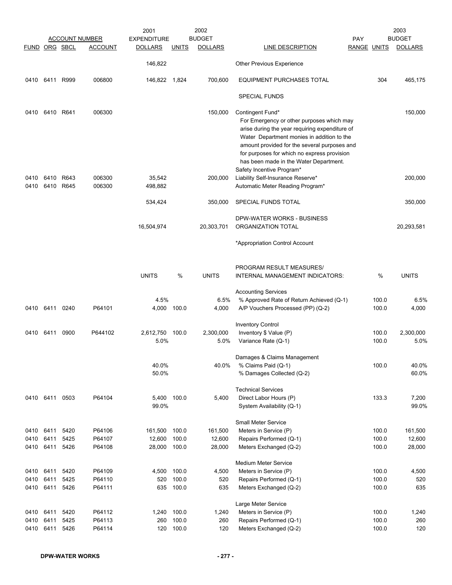|               |                |           | <b>ACCOUNT NUMBER</b> | 2001<br><b>EXPENDITURE</b> |              | 2002<br><b>BUDGET</b> |                                                                                                                                                                                                                                                                                                        | <b>PAY</b>         |                | 2003<br><b>BUDGET</b> |
|---------------|----------------|-----------|-----------------------|----------------------------|--------------|-----------------------|--------------------------------------------------------------------------------------------------------------------------------------------------------------------------------------------------------------------------------------------------------------------------------------------------------|--------------------|----------------|-----------------------|
| FUND ORG SBCL |                |           | <b>ACCOUNT</b>        | <b>DOLLARS</b>             | <u>UNITS</u> | <b>DOLLARS</b>        | <b>LINE DESCRIPTION</b>                                                                                                                                                                                                                                                                                | <b>RANGE UNITS</b> |                | <b>DOLLARS</b>        |
|               |                |           |                       | 146,822                    |              |                       | Other Previous Experience                                                                                                                                                                                                                                                                              |                    |                |                       |
|               | 0410 6411 R999 |           | 006800                | 146,822 1,824              |              | 700,600               | <b>EQUIPMENT PURCHASES TOTAL</b>                                                                                                                                                                                                                                                                       |                    | 304            | 465,175               |
|               |                |           |                       |                            |              |                       | <b>SPECIAL FUNDS</b>                                                                                                                                                                                                                                                                                   |                    |                |                       |
| 0410          | 6410 R641      |           | 006300                |                            |              | 150,000               | Contingent Fund*<br>For Emergency or other purposes which may<br>arise during the year requiring expenditure of<br>Water Department monies in addition to the<br>amount provided for the several purposes and<br>for purposes for which no express provision<br>has been made in the Water Department. |                    |                | 150,000               |
| 0410          | 6410           | R643      | 006300                | 35,542                     |              | 200,000               | Safety Incentive Program*<br>Liability Self-Insurance Reserve*                                                                                                                                                                                                                                         |                    |                | 200,000               |
| 0410          |                | 6410 R645 | 006300                | 498,882                    |              |                       | Automatic Meter Reading Program*                                                                                                                                                                                                                                                                       |                    |                |                       |
|               |                |           |                       | 534,424                    |              | 350,000               | SPECIAL FUNDS TOTAL                                                                                                                                                                                                                                                                                    |                    |                | 350,000               |
|               |                |           |                       |                            |              |                       | DPW-WATER WORKS - BUSINESS                                                                                                                                                                                                                                                                             |                    |                |                       |
|               |                |           |                       | 16,504,974                 |              | 20,303,701            | ORGANIZATION TOTAL                                                                                                                                                                                                                                                                                     |                    |                | 20,293,581            |
|               |                |           |                       |                            |              |                       | *Appropriation Control Account                                                                                                                                                                                                                                                                         |                    |                |                       |
|               |                |           |                       | <b>UNITS</b>               | %            | <b>UNITS</b>          | PROGRAM RESULT MEASURES/<br>INTERNAL MANAGEMENT INDICATORS:                                                                                                                                                                                                                                            |                    | %              | <b>UNITS</b>          |
|               |                |           |                       |                            |              |                       | <b>Accounting Services</b>                                                                                                                                                                                                                                                                             |                    |                |                       |
|               | 0410 6411      | 0240      | P64101                | 4.5%<br>4,000              | 100.0        | 6.5%<br>4,000         | % Approved Rate of Return Achieved (Q-1)<br>A/P Vouchers Processed (PP) (Q-2)                                                                                                                                                                                                                          |                    | 100.0<br>100.0 | 6.5%<br>4,000         |
|               |                |           |                       |                            |              |                       |                                                                                                                                                                                                                                                                                                        |                    |                |                       |
|               | 0410 6411      | 0900      | P644102               | 2,612,750                  | 100.0        | 2,300,000             | <b>Inventory Control</b><br>Inventory \$ Value (P)                                                                                                                                                                                                                                                     |                    | 100.0          | 2,300,000             |
|               |                |           |                       | 5.0%                       |              | 5.0%                  | Variance Rate (Q-1)                                                                                                                                                                                                                                                                                    |                    | 100.0          | 5.0%                  |
|               |                |           |                       |                            |              |                       | Damages & Claims Management                                                                                                                                                                                                                                                                            |                    |                |                       |
|               |                |           |                       | 40.0%<br>50.0%             |              | 40.0%                 | % Claims Paid (Q-1)<br>% Damages Collected (Q-2)                                                                                                                                                                                                                                                       |                    | 100.0          | 40.0%<br>60.0%        |
|               |                |           |                       |                            |              |                       |                                                                                                                                                                                                                                                                                                        |                    |                |                       |
|               |                |           |                       |                            |              |                       | <b>Technical Services</b>                                                                                                                                                                                                                                                                              |                    |                |                       |
| 0410          | 6411           | 0503      | P64104                | 5,400<br>99.0%             | 100.0        | 5,400                 | Direct Labor Hours (P)<br>System Availability (Q-1)                                                                                                                                                                                                                                                    |                    | 133.3          | 7,200<br>99.0%        |
|               |                |           |                       |                            |              |                       | <b>Small Meter Service</b>                                                                                                                                                                                                                                                                             |                    |                |                       |
| 0410 6411     |                | 5420      | P64106                | 161,500                    | 100.0        | 161,500               | Meters in Service (P)                                                                                                                                                                                                                                                                                  |                    | 100.0          | 161,500               |
| 0410          | 6411           | 5425      | P64107                | 12,600                     | 100.0        | 12,600                | Repairs Performed (Q-1)                                                                                                                                                                                                                                                                                |                    | 100.0          | 12,600                |
| 0410          | 6411           | 5426      | P64108                | 28,000                     | 100.0        | 28,000                | Meters Exchanged (Q-2)                                                                                                                                                                                                                                                                                 |                    | 100.0          | 28,000                |
|               |                |           |                       |                            |              |                       | <b>Medium Meter Service</b>                                                                                                                                                                                                                                                                            |                    |                |                       |
| 0410          | 6411           | 5420      | P64109                | 4,500                      | 100.0        | 4,500                 | Meters in Service (P)                                                                                                                                                                                                                                                                                  |                    | 100.0          | 4,500                 |
| 0410          | 6411           | 5425      | P64110                | 520                        | 100.0        | 520                   | Repairs Performed (Q-1)                                                                                                                                                                                                                                                                                |                    | 100.0          | 520                   |
| 0410          | 6411           | 5426      | P64111                | 635                        | 100.0        | 635                   | Meters Exchanged (Q-2)                                                                                                                                                                                                                                                                                 |                    | 100.0          | 635                   |
|               |                |           |                       |                            |              |                       | Large Meter Service                                                                                                                                                                                                                                                                                    |                    |                |                       |
| 0410          | 6411           | 5420      | P64112                | 1,240                      | 100.0        | 1,240                 | Meters in Service (P)                                                                                                                                                                                                                                                                                  |                    | 100.0          | 1,240                 |
| 0410          | 6411           | 5425      | P64113                | 260                        | 100.0        | 260                   | Repairs Performed (Q-1)                                                                                                                                                                                                                                                                                |                    | 100.0          | 260                   |
| 0410          | 6411           | 5426      | P64114                | 120                        | 100.0        | 120                   | Meters Exchanged (Q-2)                                                                                                                                                                                                                                                                                 |                    | 100.0          | 120                   |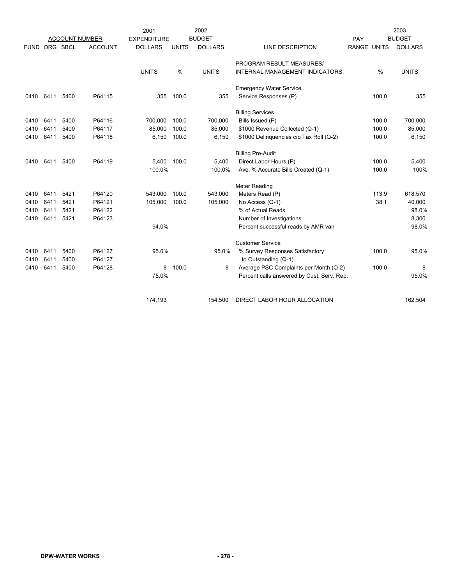|             |      |          |                       | 2001               |              | 2002           |                                            |             |       | 2003           |
|-------------|------|----------|-----------------------|--------------------|--------------|----------------|--------------------------------------------|-------------|-------|----------------|
|             |      |          | <b>ACCOUNT NUMBER</b> | <b>EXPENDITURE</b> |              | <b>BUDGET</b>  |                                            | PAY         |       | <b>BUDGET</b>  |
| <b>FUND</b> |      | ORG SBCL | <b>ACCOUNT</b>        | <b>DOLLARS</b>     | <b>UNITS</b> | <b>DOLLARS</b> | <b>LINE DESCRIPTION</b>                    | RANGE UNITS |       | <b>DOLLARS</b> |
|             |      |          |                       |                    |              |                | PROGRAM RESULT MEASURES/                   |             |       |                |
|             |      |          |                       | <b>UNITS</b>       | %            | <b>UNITS</b>   | INTERNAL MANAGEMENT INDICATORS:            |             | %     | <b>UNITS</b>   |
|             |      |          |                       |                    |              |                | <b>Emergency Water Service</b>             |             |       |                |
| 0410        | 6411 | 5400     | P64115                | 355                | 100.0        | 355            | Service Responses (P)                      |             | 100.0 | 355            |
|             |      |          |                       |                    |              |                | <b>Billing Services</b>                    |             |       |                |
| 0410        | 6411 | 5400     | P64116                | 700,000            | 100.0        | 700,000        | Bills Issued (P)                           |             | 100.0 | 700,000        |
| 0410        | 6411 | 5400     | P64117                | 85,000             | 100.0        | 85,000         | \$1000 Revenue Collected (Q-1)             |             | 100.0 | 85,000         |
| 0410        | 6411 | 5400     | P64118                | 6,150              | 100.0        | 6,150          | \$1000 Delinquencies c/o Tax Roll (Q-2)    |             | 100.0 | 6,150          |
|             |      |          |                       |                    |              |                | <b>Billing Pre-Audit</b>                   |             |       |                |
| 0410        | 6411 | 5400     | P64119                | 5,400              | 100.0        | 5,400          | Direct Labor Hours (P)                     |             | 100.0 | 5,400          |
|             |      |          |                       | 100.0%             |              | 100.0%         | Ave. % Accurate Bills Created (Q-1)        |             | 100.0 | 100%           |
|             |      |          |                       |                    |              |                | <b>Meter Reading</b>                       |             |       |                |
| 0410        | 6411 | 5421     | P64120                | 543,000            | 100.0        | 543,000        | Meters Read (P)                            |             | 113.9 | 618,570        |
| 0410        | 6411 | 5421     | P64121                | 105,000            | 100.0        | 105,000        | No Access (Q-1)                            |             | 38.1  | 40,000         |
| 0410        | 6411 | 5421     | P64122                |                    |              |                | % of Actual Reads                          |             |       | 98.0%          |
| 0410        | 6411 | 5421     | P64123                |                    |              |                | Number of Investigations                   |             |       | 8,300          |
|             |      |          |                       | 94.0%              |              |                | Percent successful reads by AMR van        |             |       | 98.0%          |
|             |      |          |                       |                    |              |                | <b>Customer Service</b>                    |             |       |                |
| 0410        | 6411 | 5400     | P64127                | 95.0%              |              | 95.0%          | % Survey Responses Satisfactory            |             | 100.0 | 95.0%          |
| 0410        | 6411 | 5400     | P64127                |                    |              |                | to Outstanding (Q-1)                       |             |       |                |
| 0410        | 6411 | 5400     | P64128                | 8                  | 100.0        | 8              | Average PSC Complaints per Month (Q-2)     |             | 100.0 | 8              |
|             |      |          |                       | 75.0%              |              |                | Percent calls answered by Cust. Serv. Rep. |             |       | 95.0%          |
|             |      |          |                       |                    |              |                |                                            |             |       |                |
|             |      |          |                       | 174,193            |              | 154,500        | DIRECT LABOR HOUR ALLOCATION               |             |       | 162.504        |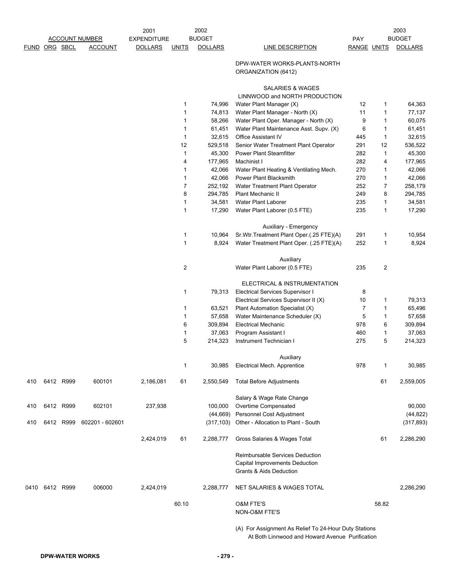|               |           |           |                       | 2001               |                         | 2002            |                                                                                                          |                    |        | 2003            |
|---------------|-----------|-----------|-----------------------|--------------------|-------------------------|-----------------|----------------------------------------------------------------------------------------------------------|--------------------|--------|-----------------|
|               |           |           | <b>ACCOUNT NUMBER</b> | <b>EXPENDITURE</b> |                         | <b>BUDGET</b>   |                                                                                                          | PAY                |        | <b>BUDGET</b>   |
| FUND ORG SBCL |           |           | <b>ACCOUNT</b>        | <b>DOLLARS</b>     | <b>UNITS</b>            | <b>DOLLARS</b>  | <b>LINE DESCRIPTION</b>                                                                                  | <b>RANGE UNITS</b> |        | <b>DOLLARS</b>  |
|               |           |           |                       |                    |                         |                 | DPW-WATER WORKS-PLANTS-NORTH<br>ORGANIZATION (6412)                                                      |                    |        |                 |
|               |           |           |                       |                    |                         |                 | SALARIES & WAGES<br>LINNWOOD and NORTH PRODUCTION                                                        |                    |        |                 |
|               |           |           |                       |                    | 1                       | 74,996          | Water Plant Manager (X)                                                                                  | 12                 | 1      | 64,363          |
|               |           |           |                       |                    | 1                       | 74,813          | Water Plant Manager - North (X)                                                                          | 11                 | 1      | 77,137          |
|               |           |           |                       |                    | 1                       | 58,266          | Water Plant Oper. Manager - North (X)                                                                    | 9                  | 1      | 60,075          |
|               |           |           |                       |                    | 1                       | 61,451          | Water Plant Maintenance Asst. Supv. (X)                                                                  | 6                  | 1      | 61,451          |
|               |           |           |                       |                    | 1                       | 32,615          | Office Assistant IV                                                                                      | 445                | 1      | 32,615          |
|               |           |           |                       |                    | 12                      | 529,518         | Senior Water Treatment Plant Operator                                                                    | 291                | 12     | 536,522         |
|               |           |           |                       |                    | 1                       | 45,300          | <b>Power Plant Steamfitter</b>                                                                           | 282                | 1      | 45,300          |
|               |           |           |                       |                    | 4                       | 177,965         | Machinist I                                                                                              | 282                | 4      | 177,965         |
|               |           |           |                       |                    | 1                       | 42,066          | Water Plant Heating & Ventilating Mech.                                                                  | 270                | 1      | 42,066          |
|               |           |           |                       |                    | 1                       | 42,066          | Power Plant Blacksmith                                                                                   | 270                | 1      | 42,066          |
|               |           |           |                       |                    | 7                       | 252,192         | Water Treatment Plant Operator                                                                           | 252                | 7      | 258,179         |
|               |           |           |                       |                    | 8                       | 294,785         | <b>Plant Mechanic II</b>                                                                                 | 249                | 8      | 294,785         |
|               |           |           |                       |                    | 1                       | 34,581          | Water Plant Laborer                                                                                      | 235                | 1      | 34,581          |
|               |           |           |                       |                    | 1                       | 17,290          | Water Plant Laborer (0.5 FTE)                                                                            | 235                | 1      | 17,290          |
|               |           |           |                       |                    |                         |                 |                                                                                                          |                    |        |                 |
|               |           |           |                       |                    |                         |                 | Auxiliary - Emergency                                                                                    |                    |        |                 |
|               |           |           |                       |                    | 1<br>1                  | 10,964<br>8,924 | Sr. Wtr. Treatment Plant Oper. (.25 FTE)(A)<br>Water Treatment Plant Oper. (.25 FTE)(A)                  | 291<br>252         | 1<br>1 | 10,954<br>8,924 |
|               |           |           |                       |                    |                         |                 |                                                                                                          |                    |        |                 |
|               |           |           |                       |                    | $\overline{\mathbf{c}}$ |                 | Auxiliary<br>Water Plant Laborer (0.5 FTE)                                                               | 235                | 2      |                 |
|               |           |           |                       |                    |                         |                 |                                                                                                          |                    |        |                 |
|               |           |           |                       |                    |                         |                 | ELECTRICAL & INSTRUMENTATION                                                                             |                    |        |                 |
|               |           |           |                       |                    | 1                       | 79,313          | Electrical Services Supervisor I                                                                         | 8                  |        |                 |
|               |           |           |                       |                    |                         |                 | Electrical Services Supervisor II (X)                                                                    | 10                 | 1      | 79,313          |
|               |           |           |                       |                    | 1                       | 63,521          | Plant Automation Specialist (X)                                                                          | $\overline{7}$     | 1      | 65,496          |
|               |           |           |                       |                    | 1                       | 57,658          | Water Maintenance Scheduler (X)                                                                          | 5                  | 1      | 57,658          |
|               |           |           |                       |                    | 6                       | 309,894         | <b>Electrical Mechanic</b>                                                                               | 978                | 6      | 309,894         |
|               |           |           |                       |                    | 1                       | 37,063          | Program Assistant I                                                                                      | 460                | 1      | 37,063          |
|               |           |           |                       |                    | 5                       | 214,323         | Instrument Technician I                                                                                  | 275                | 5      | 214,323         |
|               |           |           |                       |                    |                         |                 | Auxiliary                                                                                                |                    |        |                 |
|               |           |           |                       |                    | 1                       | 30,985          | Electrical Mech. Apprentice                                                                              | 978                | 1      | 30,985          |
| 410           |           | 6412 R999 | 600101                | 2,186,081          | 61                      | 2,550,549       | <b>Total Before Adjustments</b>                                                                          |                    | 61     | 2,559,005       |
|               |           |           |                       |                    |                         |                 | Salary & Wage Rate Change                                                                                |                    |        |                 |
| 410           |           | 6412 R999 | 602101                | 237,938            |                         | 100,000         | Overtime Compensated                                                                                     |                    |        | 90,000          |
|               |           |           |                       |                    |                         | (44,669)        | Personnel Cost Adjustment                                                                                |                    |        | (44, 822)       |
| 410           |           | 6412 R999 | 602201 - 602601       |                    |                         | (317, 103)      | Other - Allocation to Plant - South                                                                      |                    |        | (317, 893)      |
|               |           |           |                       | 2,424,019          | 61                      | 2,288,777       | Gross Salaries & Wages Total                                                                             |                    | 61     | 2,286,290       |
|               |           |           |                       |                    |                         |                 | Reimbursable Services Deduction<br>Capital Improvements Deduction                                        |                    |        |                 |
|               |           |           |                       |                    |                         |                 | Grants & Aids Deduction                                                                                  |                    |        |                 |
| 0410          | 6412 R999 |           | 006000                | 2,424,019          |                         | 2,288,777       | NET SALARIES & WAGES TOTAL                                                                               |                    |        | 2,286,290       |
|               |           |           |                       |                    | 60.10                   |                 | <b>O&amp;M FTE'S</b><br>NON-O&M FTE'S                                                                    |                    | 58.82  |                 |
|               |           |           |                       |                    |                         |                 | (A) For Assignment As Relief To 24-Hour Duty Stations<br>At Both Linnwood and Howard Avenue Purification |                    |        |                 |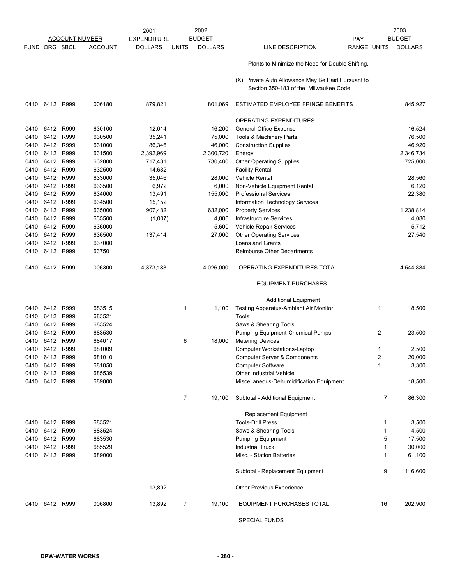|              |                |              |                       | 2001               | 2002                           |       |                                                                                              |                     | 2003            |
|--------------|----------------|--------------|-----------------------|--------------------|--------------------------------|-------|----------------------------------------------------------------------------------------------|---------------------|-----------------|
|              |                |              | <b>ACCOUNT NUMBER</b> | <b>EXPENDITURE</b> | <b>BUDGET</b>                  |       | PAY                                                                                          |                     | <b>BUDGET</b>   |
| <b>FUND</b>  |                | ORG SBCL     | <b>ACCOUNT</b>        | <b>DOLLARS</b>     | <b>DOLLARS</b><br><b>UNITS</b> |       | <b>LINE DESCRIPTION</b>                                                                      | <b>RANGE UNITS</b>  | <b>DOLLARS</b>  |
|              |                |              |                       |                    |                                |       | Plants to Minimize the Need for Double Shifting.                                             |                     |                 |
|              |                |              |                       |                    |                                |       | (X) Private Auto Allowance May Be Paid Pursuant to<br>Section 350-183 of the Milwaukee Code. |                     |                 |
| 0410         | 6412 R999      |              | 006180                | 879,821            | 801,069                        |       | ESTIMATED EMPLOYEE FRINGE BENEFITS                                                           |                     | 845,927         |
|              |                |              |                       |                    |                                |       | OPERATING EXPENDITURES                                                                       |                     |                 |
| 0410         | 6412           | R999         | 630100                | 12,014             | 16,200                         |       | <b>General Office Expense</b>                                                                |                     | 16,524          |
| 0410         | 6412           | R999         | 630500                | 35,241             | 75,000                         |       | Tools & Machinery Parts                                                                      |                     | 76,500          |
| 0410         | 6412           | R999         | 631000                | 86,346             | 46,000                         |       | <b>Construction Supplies</b>                                                                 |                     | 46,920          |
| 0410         | 6412           | R999         | 631500                | 2,392,969          | 2,300,720                      |       | Energy                                                                                       |                     | 2,346,734       |
| 0410         | 6412           | R999         | 632000                | 717,431            | 730,480                        |       | <b>Other Operating Supplies</b>                                                              |                     | 725,000         |
| 0410         | 6412           | R999         | 632500                | 14,632             |                                |       | <b>Facility Rental</b>                                                                       |                     |                 |
| 0410         | 6412           | R999         | 633000                | 35,046             | 28,000                         |       | <b>Vehicle Rental</b>                                                                        |                     | 28,560          |
| 0410         | 6412           | R999         | 633500                | 6,972              |                                | 6,000 | Non-Vehicle Equipment Rental                                                                 |                     | 6,120           |
| 0410         | 6412 R999      |              | 634000                | 13,491             | 155,000                        |       | <b>Professional Services</b>                                                                 |                     | 22,380          |
| 0410         | 6412           | R999         | 634500                | 15,152             |                                |       | Information Technology Services                                                              |                     |                 |
| 0410         | 6412           | R999         | 635000                | 907,482            | 632,000                        |       | <b>Property Services</b>                                                                     |                     | 1,238,814       |
| 0410         | 6412 R999      |              | 635500                | (1,007)            |                                | 4,000 | Infrastructure Services                                                                      |                     | 4,080           |
| 0410<br>0410 | 6412<br>6412   | R999<br>R999 | 636000                |                    | 27,000                         | 5,600 | Vehicle Repair Services                                                                      |                     | 5,712<br>27,540 |
| 0410         | 6412           | R999         | 636500<br>637000      | 137,414            |                                |       | <b>Other Operating Services</b><br>Loans and Grants                                          |                     |                 |
| 0410         | 6412           | R999         | 637501                |                    |                                |       | Reimburse Other Departments                                                                  |                     |                 |
|              |                |              |                       |                    |                                |       |                                                                                              |                     |                 |
| 0410         | 6412           | R999         | 006300                | 4,373,183          | 4,026,000                      |       | OPERATING EXPENDITURES TOTAL                                                                 |                     | 4,544,884       |
|              |                |              |                       |                    |                                |       | <b>EQUIPMENT PURCHASES</b>                                                                   |                     |                 |
|              |                |              |                       |                    |                                |       | <b>Additional Equipment</b>                                                                  |                     |                 |
| 0410         | 6412           | R999         | 683515                |                    | $\mathbf{1}$                   | 1,100 | Testing Apparatus-Ambient Air Monitor                                                        | 1                   | 18,500          |
| 0410         | 6412 R999      |              | 683521                |                    |                                |       | Tools                                                                                        |                     |                 |
| 0410         | 6412           | R999         | 683524                |                    |                                |       | Saws & Shearing Tools                                                                        |                     |                 |
| 0410         | 6412           | R999         | 683530                |                    |                                |       | Pumping Equipment-Chemical Pumps                                                             | $\overline{2}$      | 23,500          |
| 0410         | 6412           | R999         | 684017                |                    | 6<br>18,000                    |       | <b>Metering Devices</b>                                                                      |                     |                 |
| 0410<br>0410 | 6412<br>6412   | R999<br>R999 | 681009<br>681010      |                    |                                |       | <b>Computer Workstations-Laptop</b>                                                          | 1<br>$\overline{2}$ | 2,500<br>20.000 |
| 0410         | 6412 R999      |              | 681050                |                    |                                |       | Computer Server & Components<br><b>Computer Software</b>                                     | 1                   | 3,300           |
| 0410         | 6412 R999      |              | 685539                |                    |                                |       | Other Industrial Vehicle                                                                     |                     |                 |
| 0410         | 6412 R999      |              | 689000                |                    |                                |       | Miscellaneous-Dehumidification Equipment                                                     |                     | 18,500          |
|              |                |              |                       |                    |                                |       |                                                                                              |                     |                 |
|              |                |              |                       |                    | $\overline{7}$<br>19,100       |       | Subtotal - Additional Equipment                                                              | 7                   | 86,300          |
|              |                |              |                       |                    |                                |       | Replacement Equipment                                                                        |                     |                 |
|              | 0410 6412 R999 |              | 683521                |                    |                                |       | <b>Tools-Drill Press</b>                                                                     | 1                   | 3,500           |
| 0410         | 6412 R999      |              | 683524                |                    |                                |       | Saws & Shearing Tools                                                                        | 1                   | 4,500           |
| 0410         | 6412 R999      |              | 683530                |                    |                                |       | <b>Pumping Equipment</b>                                                                     | 5                   | 17,500          |
| 0410         | 6412 R999      |              | 685529                |                    |                                |       | <b>Industrial Truck</b>                                                                      | 1                   | 30,000          |
| 0410         | 6412 R999      |              | 689000                |                    |                                |       | Misc. - Station Batteries                                                                    | 1                   | 61,100          |
|              |                |              |                       |                    |                                |       | Subtotal - Replacement Equipment                                                             | 9                   | 116,600         |
|              |                |              |                       | 13,892             |                                |       | Other Previous Experience                                                                    |                     |                 |
|              | 0410 6412 R999 |              | 006800                | 13,892             | $\overline{7}$<br>19,100       |       | EQUIPMENT PURCHASES TOTAL                                                                    | 16                  | 202,900         |
|              |                |              |                       |                    |                                |       | <b>SPECIAL FUNDS</b>                                                                         |                     |                 |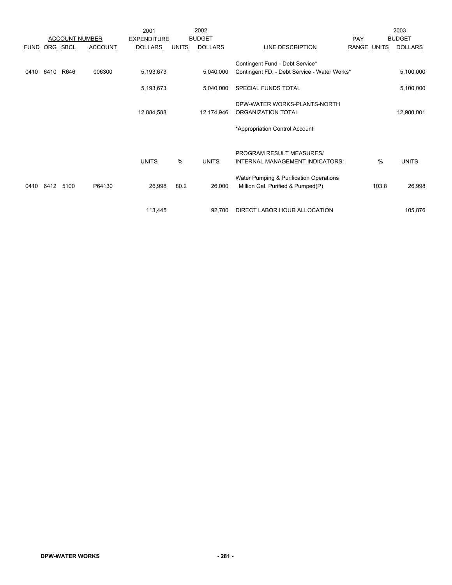|             |      |          |                       | 2001               |              | 2002           |                                              |             |       | 2003           |
|-------------|------|----------|-----------------------|--------------------|--------------|----------------|----------------------------------------------|-------------|-------|----------------|
|             |      |          | <b>ACCOUNT NUMBER</b> | <b>EXPENDITURE</b> |              | <b>BUDGET</b>  |                                              | PAY         |       | <b>BUDGET</b>  |
| <b>FUND</b> |      | ORG SBCL | <b>ACCOUNT</b>        | <b>DOLLARS</b>     | <b>UNITS</b> | <b>DOLLARS</b> | LINE DESCRIPTION                             | RANGE UNITS |       | <b>DOLLARS</b> |
|             |      |          |                       |                    |              |                | Contingent Fund - Debt Service*              |             |       |                |
| 0410        | 6410 | R646     | 006300                | 5,193,673          |              | 5,040,000      | Contingent FD. - Debt Service - Water Works* |             |       | 5,100,000      |
|             |      |          |                       | 5,193,673          |              | 5,040,000      | SPECIAL FUNDS TOTAL                          |             |       | 5,100,000      |
|             |      |          |                       |                    |              |                | DPW-WATER WORKS-PLANTS-NORTH                 |             |       |                |
|             |      |          |                       | 12,884,588         |              | 12,174,946     | ORGANIZATION TOTAL                           |             |       | 12,980,001     |
|             |      |          |                       |                    |              |                |                                              |             |       |                |
|             |      |          |                       |                    |              |                | *Appropriation Control Account               |             |       |                |
|             |      |          |                       |                    |              |                | PROGRAM RESULT MEASURES/                     |             |       |                |
|             |      |          |                       | <b>UNITS</b>       | %            | <b>UNITS</b>   | INTERNAL MANAGEMENT INDICATORS:              |             | $\%$  | <b>UNITS</b>   |
|             |      |          |                       |                    |              |                |                                              |             |       |                |
|             |      |          |                       |                    |              |                | Water Pumping & Purification Operations      |             |       |                |
| 0410        | 6412 | 5100     | P64130                | 26,998             | 80.2         | 26,000         | Million Gal. Purified & Pumped(P)            |             | 103.8 | 26,998         |
|             |      |          |                       |                    |              |                |                                              |             |       |                |
|             |      |          |                       | 113,445            |              | 92,700         | DIRECT LABOR HOUR ALLOCATION                 |             |       | 105,876        |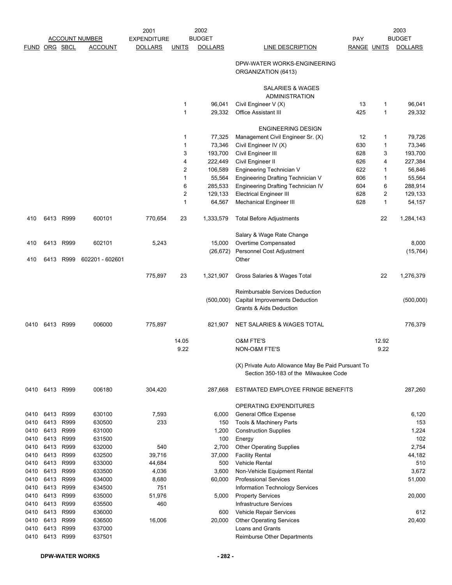|               |              |              | <b>ACCOUNT NUMBER</b> | 2001<br><b>EXPENDITURE</b> |                | 2002<br><b>BUDGET</b> |                                                                                             | PAY                |        | 2003<br><b>BUDGET</b> |
|---------------|--------------|--------------|-----------------------|----------------------------|----------------|-----------------------|---------------------------------------------------------------------------------------------|--------------------|--------|-----------------------|
| FUND ORG SBCL |              |              | <b>ACCOUNT</b>        | <b>DOLLARS</b>             | <b>UNITS</b>   | <b>DOLLARS</b>        | LINE DESCRIPTION                                                                            | <b>RANGE UNITS</b> |        | <b>DOLLARS</b>        |
|               |              |              |                       |                            |                |                       | DPW-WATER WORKS-ENGINEERING<br>ORGANIZATION (6413)                                          |                    |        |                       |
|               |              |              |                       |                            |                |                       | SALARIES & WAGES<br><b>ADMINISTRATION</b>                                                   |                    |        |                       |
|               |              |              |                       |                            | 1              | 96,041                | Civil Engineer V (X)                                                                        | 13                 | 1      | 96,041                |
|               |              |              |                       |                            | 1              | 29,332                | <b>Office Assistant III</b>                                                                 | 425                | 1      | 29,332                |
|               |              |              |                       |                            |                |                       | <b>ENGINEERING DESIGN</b>                                                                   |                    |        |                       |
|               |              |              |                       |                            | 1              | 77,325                | Management Civil Engineer Sr. (X)                                                           | 12                 | 1      | 79,726                |
|               |              |              |                       |                            | 1              | 73,346                | Civil Engineer IV (X)                                                                       | 630                | 1      | 73,346                |
|               |              |              |                       |                            | 3              | 193,700               | Civil Engineer III                                                                          | 628                | 3      | 193,700               |
|               |              |              |                       |                            | 4<br>2         | 222,449<br>106,589    | Civil Engineer II                                                                           | 626<br>622         | 4<br>1 | 227,384<br>56,846     |
|               |              |              |                       |                            | 1              | 55,564                | Engineering Technician V<br>Engineering Drafting Technician V                               | 606                | 1      | 55,564                |
|               |              |              |                       |                            | 6              | 285,533               | Engineering Drafting Technician IV                                                          | 604                | 6      | 288,914               |
|               |              |              |                       |                            | $\overline{c}$ | 129,133               | <b>Electrical Engineer III</b>                                                              | 628                | 2      | 129,133               |
|               |              |              |                       |                            | 1              | 64,567                | <b>Mechanical Engineer III</b>                                                              | 628                | 1      | 54,157                |
| 410           |              | 6413 R999    | 600101                | 770,654                    | 23             | 1,333,579             | <b>Total Before Adjustments</b>                                                             |                    | 22     | 1,284,143             |
|               |              |              |                       |                            |                |                       | Salary & Wage Rate Change                                                                   |                    |        |                       |
| 410           | 6413         | R999         | 602101                | 5,243                      |                | 15,000                | Overtime Compensated                                                                        |                    |        | 8,000                 |
|               |              |              |                       |                            |                | (26, 672)             | Personnel Cost Adjustment                                                                   |                    |        | (15, 764)             |
| 410           | 6413         | R999         | 602201 - 602601       |                            |                |                       | Other                                                                                       |                    |        |                       |
|               |              |              |                       | 775,897                    | 23             | 1,321,907             | Gross Salaries & Wages Total                                                                |                    | 22     | 1,276,379             |
|               |              |              |                       |                            |                |                       | Reimbursable Services Deduction                                                             |                    |        |                       |
|               |              |              |                       |                            |                | (500,000)             | Capital Improvements Deduction                                                              |                    |        | (500,000)             |
|               |              |              |                       |                            |                |                       | <b>Grants &amp; Aids Deduction</b>                                                          |                    |        |                       |
| 0410          |              | 6413 R999    | 006000                | 775,897                    |                | 821,907               | NET SALARIES & WAGES TOTAL                                                                  |                    |        | 776,379               |
|               |              |              |                       |                            | 14.05          |                       | <b>O&amp;M FTE'S</b>                                                                        |                    | 12.92  |                       |
|               |              |              |                       |                            | 9.22           |                       | NON-O&M FTE'S                                                                               |                    | 9.22   |                       |
|               |              |              |                       |                            |                |                       | (X) Private Auto Allowance May Be Paid Pursuant To<br>Section 350-183 of the Milwaukee Code |                    |        |                       |
| 0410          | 6413 R999    |              | 006180                | 304,420                    |                | 287,668               | ESTIMATED EMPLOYEE FRINGE BENEFITS                                                          |                    |        | 287,260               |
|               |              |              |                       |                            |                |                       | OPERATING EXPENDITURES                                                                      |                    |        |                       |
| 0410          | 6413         | R999         | 630100                | 7,593                      |                | 6,000                 | <b>General Office Expense</b>                                                               |                    |        | 6,120                 |
| 0410          | 6413         | R999         | 630500                | 233                        |                | 150                   | Tools & Machinery Parts                                                                     |                    |        | 153                   |
| 0410          | 6413         | R999         | 631000                |                            |                | 1,200                 | <b>Construction Supplies</b>                                                                |                    |        | 1,224                 |
| 0410          | 6413         | R999         | 631500                |                            |                | 100                   | Energy                                                                                      |                    |        | 102                   |
| 0410          | 6413         | R999         | 632000                | 540                        |                | 2,700                 | <b>Other Operating Supplies</b>                                                             |                    |        | 2,754                 |
| 0410          | 6413         | R999         | 632500                | 39,716                     |                | 37,000                | <b>Facility Rental</b>                                                                      |                    |        | 44,182                |
| 0410          | 6413         | R999         | 633000                | 44,684                     |                | 500                   | Vehicle Rental                                                                              |                    |        | 510                   |
| 0410          | 6413<br>6413 | R999<br>R999 | 633500<br>634000      | 4,036                      |                | 3,600                 | Non-Vehicle Equipment Rental                                                                |                    |        | 3,672                 |
| 0410<br>0410  | 6413         | R999         | 634500                | 8,680<br>751               |                | 60,000                | <b>Professional Services</b><br>Information Technology Services                             |                    |        | 51,000                |
| 0410          | 6413         | R999         | 635000                | 51,976                     |                | 5,000                 | <b>Property Services</b>                                                                    |                    |        | 20,000                |
| 0410          | 6413         | R999         | 635500                | 460                        |                |                       | Infrastructure Services                                                                     |                    |        |                       |
| 0410          | 6413         | R999         | 636000                |                            |                | 600                   | Vehicle Repair Services                                                                     |                    |        | 612                   |
| 0410          | 6413         | R999         | 636500                | 16,006                     |                | 20,000                | <b>Other Operating Services</b>                                                             |                    |        | 20,400                |
| 0410          | 6413         | R999         | 637000                |                            |                |                       | Loans and Grants                                                                            |                    |        |                       |
| 0410          | 6413         | R999         | 637501                |                            |                |                       | Reimburse Other Departments                                                                 |                    |        |                       |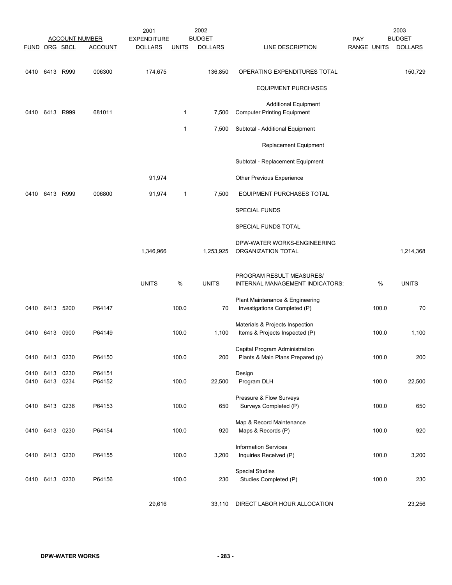| FUND ORG SBCL |                                  | <b>ACCOUNT NUMBER</b><br><b>ACCOUNT</b> | 2001<br><b>EXPENDITURE</b><br><b>DOLLARS</b> | <b>UNITS</b> | 2002<br><b>BUDGET</b><br><b>DOLLARS</b> | <b>LINE DESCRIPTION</b>                                                | PAY<br>RANGE UNITS |       | 2003<br><b>BUDGET</b><br><b>DOLLARS</b> |
|---------------|----------------------------------|-----------------------------------------|----------------------------------------------|--------------|-----------------------------------------|------------------------------------------------------------------------|--------------------|-------|-----------------------------------------|
|               | 0410 6413 R999                   | 006300                                  | 174,675                                      |              | 136,850                                 | OPERATING EXPENDITURES TOTAL                                           |                    |       | 150,729                                 |
|               |                                  |                                         |                                              |              |                                         | <b>EQUIPMENT PURCHASES</b>                                             |                    |       |                                         |
| 0410          | 6413 R999                        | 681011                                  |                                              | $\mathbf 1$  | 7,500                                   | <b>Additional Equipment</b><br><b>Computer Printing Equipment</b>      |                    |       |                                         |
|               |                                  |                                         |                                              | 1            | 7,500                                   | Subtotal - Additional Equipment                                        |                    |       |                                         |
|               |                                  |                                         |                                              |              |                                         | <b>Replacement Equipment</b>                                           |                    |       |                                         |
|               |                                  |                                         |                                              |              |                                         | Subtotal - Replacement Equipment                                       |                    |       |                                         |
|               |                                  |                                         | 91,974                                       |              |                                         | Other Previous Experience                                              |                    |       |                                         |
| 0410          | 6413 R999                        | 006800                                  | 91,974                                       | $\mathbf 1$  | 7,500                                   | EQUIPMENT PURCHASES TOTAL                                              |                    |       |                                         |
|               |                                  |                                         |                                              |              |                                         | <b>SPECIAL FUNDS</b>                                                   |                    |       |                                         |
|               |                                  |                                         |                                              |              |                                         | SPECIAL FUNDS TOTAL                                                    |                    |       |                                         |
|               |                                  |                                         | 1,346,966                                    |              | 1,253,925                               | DPW-WATER WORKS-ENGINEERING<br>ORGANIZATION TOTAL                      |                    |       | 1,214,368                               |
|               |                                  |                                         | <b>UNITS</b>                                 | %            | <b>UNITS</b>                            | PROGRAM RESULT MEASURES/<br>INTERNAL MANAGEMENT INDICATORS:            |                    | %     | <b>UNITS</b>                            |
|               | 0410 6413 5200                   | P64147                                  |                                              | 100.0        | 70                                      | Plant Maintenance & Engineering<br>Investigations Completed (P)        |                    | 100.0 | 70                                      |
|               | 0410 6413 0900                   | P64149                                  |                                              | 100.0        | 1,100                                   | Materials & Projects Inspection<br>Items & Projects Inspected (P)      |                    | 100.0 | 1,100                                   |
|               | 0410 6413 0230                   | P64150                                  |                                              | 100.0        |                                         | Capital Program Administration<br>200 Plants & Main Plans Prepared (p) |                    | 100.0 | 200                                     |
|               | 0410 6413 0230<br>0410 6413 0234 | P64151<br>P64152                        |                                              | 100.0        | 22,500                                  | Design<br>Program DLH                                                  |                    | 100.0 | 22,500                                  |
|               | 0410 6413 0236                   | P64153                                  |                                              | 100.0        | 650                                     | Pressure & Flow Surveys<br>Surveys Completed (P)                       |                    | 100.0 | 650                                     |
|               | 0410 6413 0230                   | P64154                                  |                                              | 100.0        | 920                                     | Map & Record Maintenance<br>Maps & Records (P)                         |                    | 100.0 | 920                                     |
|               | 0410 6413 0230                   | P64155                                  |                                              | 100.0        | 3,200                                   | <b>Information Services</b><br>Inquiries Received (P)                  |                    | 100.0 | 3,200                                   |
|               | 0410 6413 0230                   | P64156                                  |                                              | 100.0        | 230                                     | <b>Special Studies</b><br>Studies Completed (P)                        |                    | 100.0 | 230                                     |
|               |                                  |                                         | 29,616                                       |              |                                         | 33,110 DIRECT LABOR HOUR ALLOCATION                                    |                    |       | 23,256                                  |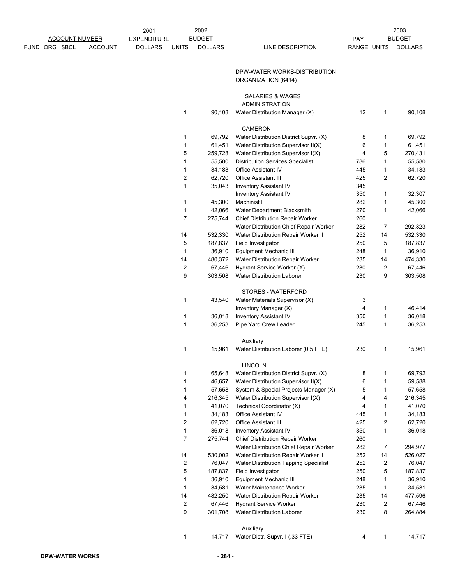|                       |                | 2001               |                         | 2002           |                                         |                    |    | 2003           |
|-----------------------|----------------|--------------------|-------------------------|----------------|-----------------------------------------|--------------------|----|----------------|
| <b>ACCOUNT NUMBER</b> |                | <b>EXPENDITURE</b> |                         | <b>BUDGET</b>  |                                         | PAY                |    | <b>BUDGET</b>  |
| <u>DRG</u> SBCL       | <b>ACCOUNT</b> | <b>DOLLARS</b>     | <b>UNITS</b>            | <b>DOLLARS</b> | <b>LINE DESCRIPTION</b>                 | <b>RANGE UNITS</b> |    | <b>DOLLARS</b> |
|                       |                |                    |                         |                |                                         |                    |    |                |
|                       |                |                    |                         |                |                                         |                    |    |                |
|                       |                |                    |                         |                | DPW-WATER WORKS-DISTRIBUTION            |                    |    |                |
|                       |                |                    |                         |                | ORGANIZATION (6414)                     |                    |    |                |
|                       |                |                    |                         |                |                                         |                    |    |                |
|                       |                |                    |                         |                | <b>SALARIES &amp; WAGES</b>             |                    |    |                |
|                       |                |                    |                         |                | ADMINISTRATION                          |                    |    |                |
|                       |                |                    | 1                       | 90,108         | Water Distribution Manager (X)          | 12                 | 1  | 90,108         |
|                       |                |                    |                         |                |                                         |                    |    |                |
|                       |                |                    |                         |                | <b>CAMERON</b>                          |                    |    |                |
|                       |                |                    | 1                       | 69,792         | Water Distribution District Supvr. (X)  | 8                  | 1  | 69,792         |
|                       |                |                    | 1                       | 61,451         | Water Distribution Supervisor II(X)     | 6                  | 1  | 61,451         |
|                       |                |                    | 5                       | 259,728        | Water Distribution Supervisor I(X)      | 4                  | 5  | 270,431        |
|                       |                |                    | 1                       | 55,580         | <b>Distribution Services Specialist</b> | 786                | 1  | 55,580         |
|                       |                |                    | 1                       | 34,183         | <b>Office Assistant IV</b>              | 445                | 1  | 34,183         |
|                       |                |                    | $\overline{\mathbf{c}}$ | 62,720         | <b>Office Assistant III</b>             | 425                | 2  | 62,720         |
|                       |                |                    | $\mathbf{1}$            | 35,043         | <b>Inventory Assistant IV</b>           | 345                |    |                |
|                       |                |                    |                         |                | <b>Inventory Assistant IV</b>           | 350                | 1  | 32,307         |
|                       |                |                    | 1                       | 45,300         | Machinist I                             | 282                | 1  | 45,300         |
|                       |                |                    | 1                       | 42,066         | Water Department Blacksmith             | 270                | 1  | 42,066         |
|                       |                |                    | $\overline{7}$          | 275,744        | Chief Distribution Repair Worker        | 260                |    |                |
|                       |                |                    |                         |                | Water Distribution Chief Repair Worker  | 282                | 7  | 292,323        |
|                       |                |                    | 14                      | 532,330        | Water Distribution Repair Worker II     | 252                | 14 | 532,330        |
|                       |                |                    | 5                       | 187,837        | Field Investigator                      | 250                | 5  | 187,837        |
|                       |                |                    | $\mathbf{1}$            | 36,910         | <b>Equipment Mechanic III</b>           | 248                | 1  | 36,910         |
|                       |                |                    | 14                      | 480,372        | Water Distribution Repair Worker I      | 235                | 14 | 474,330        |
|                       |                |                    | 2                       | 67,446         | Hydrant Service Worker (X)              | 230                | 2  | 67,446         |
|                       |                |                    | 9                       | 303,508        | <b>Water Distribution Laborer</b>       | 230                | 9  | 303,508        |
|                       |                |                    |                         |                |                                         |                    |    |                |
|                       |                |                    |                         |                | STORES - WATERFORD                      |                    |    |                |
|                       |                |                    | 1                       | 43,540         | Water Materials Supervisor (X)          | 3                  |    |                |
|                       |                |                    |                         |                | Inventory Manager (X)                   | 4                  | 1  | 46,414         |
|                       |                |                    | 1                       | 36,018         | <b>Inventory Assistant IV</b>           | 350                | 1  | 36,018         |
|                       |                |                    | $\mathbf{1}$            | 36,253         | Pipe Yard Crew Leader                   | 245                | 1  | 36,253         |
|                       |                |                    |                         |                |                                         |                    |    |                |
|                       |                |                    |                         |                | Auxiliary                               |                    |    |                |
|                       |                |                    | 1                       | 15,961         | Water Distribution Laborer (0.5 FTE)    | 230                | 1  | 15,961         |
|                       |                |                    |                         |                |                                         |                    |    |                |
|                       |                |                    |                         |                | <b>LINCOLN</b>                          |                    |    |                |
|                       |                |                    | 1                       | 65,648         | Water Distribution District Supvr. (X)  | 8                  | 1  | 69,792         |
|                       |                |                    | 1                       | 46,657         | Water Distribution Supervisor II(X)     | 6                  | 1  | 59,588         |
|                       |                |                    | 1                       | 57,658         | System & Special Projects Manager (X)   | 5                  | 1  | 57,658         |
|                       |                |                    | 4                       | 216,345        | Water Distribution Supervisor I(X)      | 4                  | 4  | 216,345        |
|                       |                |                    | 1                       | 41,070         | Technical Coordinator (X)               | 4                  | 1  | 41,070         |
|                       |                |                    | 1                       | 34,183         | <b>Office Assistant IV</b>              | 445                | 1  | 34,183         |
|                       |                |                    | $\overline{\mathbf{c}}$ | 62,720         | <b>Office Assistant III</b>             | 425                | 2  | 62,720         |
|                       |                |                    | 1                       | 36,018         | <b>Inventory Assistant IV</b>           | 350                | 1  | 36,018         |
|                       |                |                    | $\overline{7}$          | 275,744        | Chief Distribution Repair Worker        | 260                |    |                |
|                       |                |                    |                         |                | Water Distribution Chief Repair Worker  | 282                | 7  | 294,977        |
|                       |                |                    | 14                      | 530,002        | Water Distribution Repair Worker II     | 252                | 14 | 526,027        |
|                       |                |                    | $\overline{\mathbf{c}}$ | 76,047         | Water Distribution Tapping Specialist   | 252                | 2  | 76,047         |
|                       |                |                    | 5                       | 187,837        | Field Investigator                      | 250                | 5  | 187,837        |
|                       |                |                    | 1                       | 36,910         | Equipment Mechanic III                  | 248                | 1  | 36,910         |
|                       |                |                    | 1                       | 34,581         | Water Maintenance Worker                | 235                | 1  | 34,581         |
|                       |                |                    | 14                      | 482,250        | Water Distribution Repair Worker I      | 235                | 14 | 477,596        |
|                       |                |                    | 2                       | 67,446         | <b>Hydrant Service Worker</b>           | 230                | 2  | 67,446         |
|                       |                |                    | 9                       | 301,708        | <b>Water Distribution Laborer</b>       | 230                | 8  | 264,884        |
|                       |                |                    |                         |                |                                         |                    |    |                |
|                       |                |                    |                         |                | Auxiliary                               |                    |    |                |
|                       |                |                    | 1                       | 14,717         | Water Distr. Supvr. I (.33 FTE)         | 4                  | 1  | 14,717         |

FUND ORG SBCL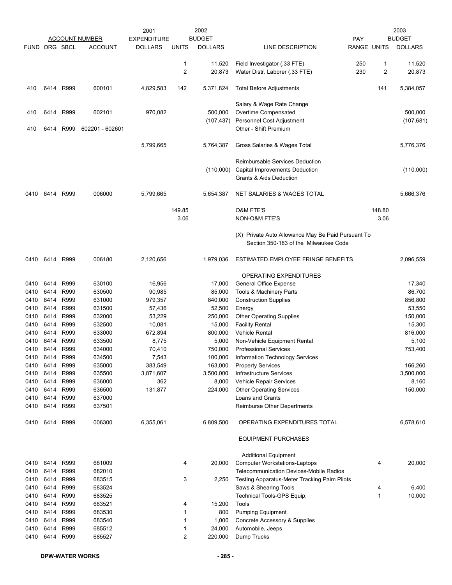|               |              |              |                       | 2001               |              | 2002              |                                                         |                    |        | 2003              |
|---------------|--------------|--------------|-----------------------|--------------------|--------------|-------------------|---------------------------------------------------------|--------------------|--------|-------------------|
|               |              |              | <b>ACCOUNT NUMBER</b> | <b>EXPENDITURE</b> |              | <b>BUDGET</b>     | PAY                                                     |                    |        | <b>BUDGET</b>     |
| FUND ORG SBCL |              |              | <b>ACCOUNT</b>        | <b>DOLLARS</b>     | <u>UNITS</u> | <b>DOLLARS</b>    | LINE DESCRIPTION                                        | <b>RANGE UNITS</b> |        | <b>DOLLARS</b>    |
|               |              |              |                       |                    | 1            | 11,520            | Field Investigator (.33 FTE)                            | 250                | 1      | 11,520            |
|               |              |              |                       |                    | 2            | 20,873            | Water Distr. Laborer (.33 FTE)                          | 230                | 2      | 20,873            |
|               |              |              |                       |                    |              |                   |                                                         |                    |        |                   |
| 410           | 6414         | R999         | 600101                | 4,829,583          | 142          | 5,371,824         | <b>Total Before Adjustments</b>                         |                    | 141    | 5,384,057         |
|               |              |              |                       |                    |              |                   | Salary & Wage Rate Change                               |                    |        |                   |
| 410           | 6414         | R999         | 602101                | 970,082            |              | 500,000           | Overtime Compensated                                    |                    |        | 500,000           |
|               |              |              |                       |                    |              | (107, 437)        | Personnel Cost Adjustment                               |                    |        | (107, 681)        |
| 410           | 6414         | R999         | 602201 - 602601       |                    |              |                   | Other - Shift Premium                                   |                    |        |                   |
|               |              |              |                       |                    |              |                   |                                                         |                    |        |                   |
|               |              |              |                       | 5,799,665          |              | 5,764,387         | Gross Salaries & Wages Total                            |                    |        | 5,776,376         |
|               |              |              |                       |                    |              |                   | Reimbursable Services Deduction                         |                    |        |                   |
|               |              |              |                       |                    |              | (110,000)         | Capital Improvements Deduction                          |                    |        | (110,000)         |
|               |              |              |                       |                    |              |                   | <b>Grants &amp; Aids Deduction</b>                      |                    |        |                   |
|               |              |              |                       |                    |              |                   |                                                         |                    |        |                   |
| 0410          | 6414         | R999         | 006000                | 5,799,665          |              | 5,654,387         | <b>NET SALARIES &amp; WAGES TOTAL</b>                   |                    |        | 5,666,376         |
|               |              |              |                       |                    | 149.85       |                   | <b>O&amp;M FTE'S</b>                                    |                    | 148.80 |                   |
|               |              |              |                       |                    | 3.06         |                   | NON-O&M FTE'S                                           |                    | 3.06   |                   |
|               |              |              |                       |                    |              |                   |                                                         |                    |        |                   |
|               |              |              |                       |                    |              |                   | (X) Private Auto Allowance May Be Paid Pursuant To      |                    |        |                   |
|               |              |              |                       |                    |              |                   | Section 350-183 of the Milwaukee Code                   |                    |        |                   |
| 0410          | 6414         | R999         | 006180                | 2,120,656          |              | 1,979,036         | ESTIMATED EMPLOYEE FRINGE BENEFITS                      |                    |        | 2,096,559         |
|               |              |              |                       |                    |              |                   |                                                         |                    |        |                   |
|               |              |              |                       |                    |              |                   | OPERATING EXPENDITURES                                  |                    |        |                   |
| 0410          | 6414         | R999         | 630100                | 16,956             |              | 17,000            | <b>General Office Expense</b>                           |                    |        | 17,340            |
| 0410<br>0410  | 6414<br>6414 | R999<br>R999 | 630500<br>631000      | 90,985<br>979,357  |              | 85,000<br>840,000 | Tools & Machinery Parts<br><b>Construction Supplies</b> |                    |        | 86,700<br>856,800 |
| 0410          | 6414         | R999         | 631500                | 57,436             |              | 52,500            | Energy                                                  |                    |        | 53,550            |
| 0410          | 6414         | R999         | 632000                | 53,229             |              | 250,000           | <b>Other Operating Supplies</b>                         |                    |        | 150,000           |
| 0410          | 6414         | R999         | 632500                | 10,081             |              | 15,000            | <b>Facility Rental</b>                                  |                    |        | 15,300            |
| 0410          | 6414         | R999         | 633000                | 672,894            |              | 800,000           | <b>Vehicle Rental</b>                                   |                    |        | 816,000           |
| 0410          | 6414         | R999         | 633500                | 8,775              |              | 5,000             | Non-Vehicle Equipment Rental                            |                    |        | 5,100             |
| 0410          | 6414         | R999         | 634000                | 70,410             |              | 750,000           | <b>Professional Services</b>                            |                    |        | 753,400           |
| 0410          | 6414         | R999         | 634500                | 7,543              |              |                   | 100,000 Information Technology Services                 |                    |        |                   |
| 0410          | 6414         | R999         | 635000                | 383,549            |              | 163,000           | <b>Property Services</b>                                |                    |        | 166,260           |
| 0410          | 6414         | R999         | 635500                | 3,871,607          |              | 3,500,000         | Infrastructure Services                                 |                    |        | 3,500,000         |
| 0410          | 6414         | R999         | 636000                | 362                |              | 8,000             | Vehicle Repair Services                                 |                    |        | 8,160             |
| 0410          | 6414<br>6414 | R999<br>R999 | 636500<br>637000      | 131,877            |              | 224,000           | <b>Other Operating Services</b>                         |                    |        | 150,000           |
| 0410<br>0410  | 6414         | R999         | 637501                |                    |              |                   | Loans and Grants<br>Reimburse Other Departments         |                    |        |                   |
|               |              |              |                       |                    |              |                   |                                                         |                    |        |                   |
| 0410          | 6414         | R999         | 006300                | 6,355,061          |              | 6,809,500         | OPERATING EXPENDITURES TOTAL                            |                    |        | 6,578,610         |
|               |              |              |                       |                    |              |                   | <b>EQUIPMENT PURCHASES</b>                              |                    |        |                   |
|               |              |              |                       |                    |              |                   |                                                         |                    |        |                   |
|               |              |              |                       |                    |              |                   | <b>Additional Equipment</b>                             |                    |        |                   |
| 0410          | 6414         | R999         | 681009                |                    | 4            | 20,000            | <b>Computer Workstations-Laptops</b>                    |                    | 4      | 20,000            |
| 0410          | 6414         | R999         | 682010                |                    |              |                   | <b>Telecommunication Devices-Mobile Radios</b>          |                    |        |                   |
| 0410          | 6414         | R999         | 683515                |                    | 3            | 2,250             | Testing Apparatus-Meter Tracking Palm Pilots            |                    |        |                   |
| 0410          | 6414         | R999         | 683524                |                    |              |                   | Saws & Shearing Tools                                   |                    | 4      | 6,400             |
| 0410          | 6414<br>6414 | R999         | 683525                |                    |              |                   | Technical Tools-GPS Equip.                              |                    | 1      | 10,000            |
| 0410<br>0410  | 6414         | R999<br>R999 | 683521<br>683530      |                    | 4<br>1       | 15,200<br>800     | Tools<br><b>Pumping Equipment</b>                       |                    |        |                   |
| 0410          | 6414         | R999         | 683540                |                    | 1            | 1,000             | Concrete Accessory & Supplies                           |                    |        |                   |
| 0410          | 6414         | R999         | 685512                |                    | 1            | 24,000            | Automobile, Jeeps                                       |                    |        |                   |
| 0410          | 6414         | R999         | 685527                |                    | 2            | 220,000           | Dump Trucks                                             |                    |        |                   |
|               |              |              |                       |                    |              |                   |                                                         |                    |        |                   |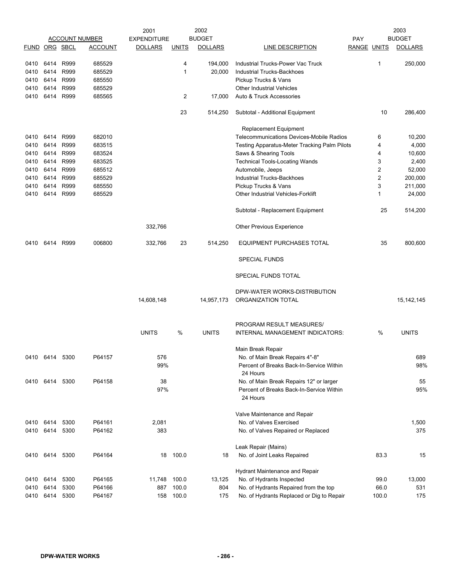|               |           |      |                       | 2001               |                | 2002           |                                                      |                    |                         | 2003           |
|---------------|-----------|------|-----------------------|--------------------|----------------|----------------|------------------------------------------------------|--------------------|-------------------------|----------------|
|               |           |      | <b>ACCOUNT NUMBER</b> | <b>EXPENDITURE</b> |                | <b>BUDGET</b>  |                                                      | <b>PAY</b>         |                         | <b>BUDGET</b>  |
| FUND ORG SBCL |           |      | <b>ACCOUNT</b>        | <b>DOLLARS</b>     | <b>UNITS</b>   | <b>DOLLARS</b> | LINE DESCRIPTION                                     | <b>RANGE UNITS</b> |                         | <b>DOLLARS</b> |
| 0410          | 6414      | R999 | 685529                |                    | 4              | 194,000        | Industrial Trucks-Power Vac Truck                    |                    | 1                       | 250,000        |
| 0410          | 6414      | R999 | 685529                |                    | $\mathbf{1}$   | 20,000         | <b>Industrial Trucks-Backhoes</b>                    |                    |                         |                |
| 0410          | 6414      | R999 | 685550                |                    |                |                | Pickup Trucks & Vans                                 |                    |                         |                |
| 0410          | 6414      | R999 | 685529                |                    |                |                | <b>Other Industrial Vehicles</b>                     |                    |                         |                |
| 0410          | 6414      | R999 | 685565                |                    | $\overline{c}$ | 17,000         | Auto & Truck Accessories                             |                    |                         |                |
|               |           |      |                       |                    | 23             | 514,250        | Subtotal - Additional Equipment                      |                    | 10                      | 286,400        |
|               |           |      |                       |                    |                |                | Replacement Equipment                                |                    |                         |                |
| 0410          | 6414      | R999 | 682010                |                    |                |                | Telecommunications Devices-Mobile Radios             |                    | 6                       | 10,200         |
| 0410          | 6414      | R999 | 683515                |                    |                |                | Testing Apparatus-Meter Tracking Palm Pilots         |                    | 4                       | 4,000          |
| 0410          | 6414      | R999 | 683524                |                    |                |                | Saws & Shearing Tools                                |                    | 4                       | 10,600         |
| 0410          | 6414      | R999 | 683525                |                    |                |                | <b>Technical Tools-Locating Wands</b>                |                    | 3                       | 2,400          |
| 0410          | 6414      | R999 | 685512                |                    |                |                | Automobile, Jeeps                                    |                    | $\overline{\mathbf{c}}$ | 52,000         |
| 0410          | 6414      | R999 | 685529                |                    |                |                | Industrial Trucks-Backhoes                           |                    | $\overline{c}$          | 200,000        |
| 0410          | 6414      | R999 | 685550                |                    |                |                | Pickup Trucks & Vans                                 |                    | 3                       | 211,000        |
| 0410          | 6414      | R999 | 685529                |                    |                |                | <b>Other Industrial Vehicles-Forklift</b>            |                    | 1                       | 24,000         |
|               |           |      |                       |                    |                |                | Subtotal - Replacement Equipment                     |                    | 25                      | 514,200        |
|               |           |      |                       | 332,766            |                |                | <b>Other Previous Experience</b>                     |                    |                         |                |
| 0410          | 6414      | R999 | 006800                | 332,766            | 23             | 514,250        | <b>EQUIPMENT PURCHASES TOTAL</b>                     |                    | 35                      | 800,600        |
|               |           |      |                       |                    |                |                | <b>SPECIAL FUNDS</b>                                 |                    |                         |                |
|               |           |      |                       |                    |                |                | SPECIAL FUNDS TOTAL                                  |                    |                         |                |
|               |           |      |                       |                    |                |                | DPW-WATER WORKS-DISTRIBUTION                         |                    |                         |                |
|               |           |      |                       | 14,608,148         |                | 14,957,173     | ORGANIZATION TOTAL                                   |                    |                         | 15, 142, 145   |
|               |           |      |                       |                    |                |                | PROGRAM RESULT MEASURES/                             |                    |                         |                |
|               |           |      |                       | <b>UNITS</b>       | %              | <b>UNITS</b>   | INTERNAL MANAGEMENT INDICATORS:                      |                    | %                       | <b>UNITS</b>   |
|               |           |      |                       |                    |                |                | Main Break Repair                                    |                    |                         |                |
| 0410 6414     |           | 5300 | P64157                | 576                |                |                | No. of Main Break Repairs 4"-8"                      |                    |                         | 689            |
|               |           |      |                       | 99%                |                |                | Percent of Breaks Back-In-Service Within             |                    |                         | 98%            |
|               |           |      |                       |                    |                |                | 24 Hours                                             |                    |                         |                |
| 0410 6414     |           | 5300 | P64158                | 38                 |                |                | No. of Main Break Repairs 12" or larger              |                    |                         | 55             |
|               |           |      |                       | 97%                |                |                | Percent of Breaks Back-In-Service Within<br>24 Hours |                    |                         | 95%            |
|               |           |      |                       |                    |                |                | Valve Maintenance and Repair                         |                    |                         |                |
| 0410 6414     |           | 5300 | P64161                | 2,081              |                |                | No. of Valves Exercised                              |                    |                         | 1,500          |
|               | 0410 6414 | 5300 | P64162                | 383                |                |                | No. of Valves Repaired or Replaced                   |                    |                         | 375            |
|               |           |      |                       |                    |                |                |                                                      |                    |                         |                |
|               |           |      |                       |                    |                |                | Leak Repair (Mains)                                  |                    |                         |                |
| 0410 6414     |           | 5300 | P64164                | 18                 | 100.0          | 18             | No. of Joint Leaks Repaired                          |                    | 83.3                    | 15             |
|               |           |      |                       |                    |                |                | Hydrant Maintenance and Repair                       |                    |                         |                |
| 0410          | 6414      | 5300 | P64165                | 11,748             | 100.0          | 13,125         | No. of Hydrants Inspected                            |                    | 99.0                    | 13,000         |
| 0410          | 6414      | 5300 | P64166                | 887                | 100.0          | 804            | No. of Hydrants Repaired from the top                |                    | 66.0                    | 531            |
| 0410          | 6414      | 5300 | P64167                | 158                | 100.0          | 175            | No. of Hydrants Replaced or Dig to Repair            |                    | 100.0                   | 175            |
|               |           |      |                       |                    |                |                |                                                      |                    |                         |                |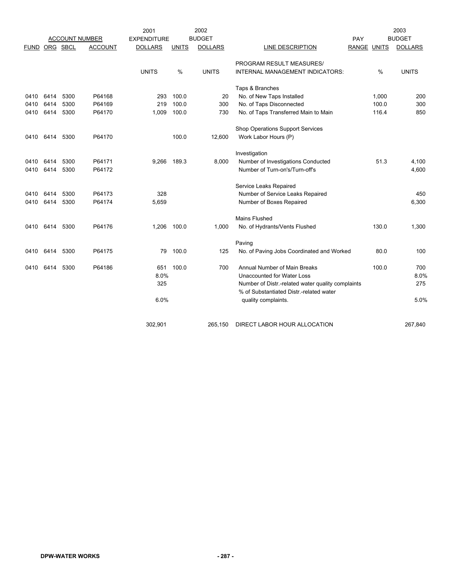|             |          |      |                       | 2001               |              | 2002           |                                                                                              |                    |       | 2003           |
|-------------|----------|------|-----------------------|--------------------|--------------|----------------|----------------------------------------------------------------------------------------------|--------------------|-------|----------------|
|             |          |      | <b>ACCOUNT NUMBER</b> | <b>EXPENDITURE</b> |              | <b>BUDGET</b>  |                                                                                              | PAY                |       | <b>BUDGET</b>  |
| <b>FUND</b> | ORG SBCL |      | <b>ACCOUNT</b>        | <b>DOLLARS</b>     | <b>UNITS</b> | <b>DOLLARS</b> | LINE DESCRIPTION                                                                             | <b>RANGE UNITS</b> |       | <b>DOLLARS</b> |
|             |          |      |                       |                    |              |                | PROGRAM RESULT MEASURES/                                                                     |                    |       |                |
|             |          |      |                       | <b>UNITS</b>       | %            | <b>UNITS</b>   | INTERNAL MANAGEMENT INDICATORS:                                                              |                    | $\%$  | <b>UNITS</b>   |
|             |          |      |                       |                    |              |                | Taps & Branches                                                                              |                    |       |                |
| 0410        | 6414     | 5300 | P64168                | 293                | 100.0        | 20             | No. of New Taps Installed                                                                    |                    | 1,000 | 200            |
| 0410        | 6414     | 5300 | P64169                | 219                | 100.0        | 300            | No. of Taps Disconnected                                                                     |                    | 100.0 | 300            |
| 0410        | 6414     | 5300 | P64170                | 1,009              | 100.0        | 730            | No. of Taps Transferred Main to Main                                                         |                    | 116.4 | 850            |
|             |          |      |                       |                    |              |                | Shop Operations Support Services                                                             |                    |       |                |
| 0410        | 6414     | 5300 | P64170                |                    | 100.0        | 12,600         | Work Labor Hours (P)                                                                         |                    |       |                |
|             |          |      |                       |                    |              |                | Investigation                                                                                |                    |       |                |
| 0410        | 6414     | 5300 | P64171                | 9,266              | 189.3        | 8,000          | Number of Investigations Conducted                                                           |                    | 51.3  | 4,100          |
| 0410        | 6414     | 5300 | P64172                |                    |              |                | Number of Turn-on's/Turn-off's                                                               |                    |       | 4,600          |
|             |          |      |                       |                    |              |                | Service Leaks Repaired                                                                       |                    |       |                |
| 0410        | 6414     | 5300 | P64173                | 328                |              |                | Number of Service Leaks Repaired                                                             |                    |       | 450            |
| 0410        | 6414     | 5300 | P64174                | 5,659              |              |                | Number of Boxes Repaired                                                                     |                    |       | 6,300          |
|             |          |      |                       |                    |              |                | <b>Mains Flushed</b>                                                                         |                    |       |                |
| 0410        | 6414     | 5300 | P64176                | 1,206              | 100.0        | 1,000          | No. of Hydrants/Vents Flushed                                                                |                    | 130.0 | 1,300          |
|             |          |      |                       |                    |              |                | Paving                                                                                       |                    |       |                |
| 0410        | 6414     | 5300 | P64175                | 79                 | 100.0        | 125            | No. of Paving Jobs Coordinated and Worked                                                    |                    | 80.0  | 100            |
| 0410        | 6414     | 5300 | P64186                | 651                | 100.0        | 700            | <b>Annual Number of Main Breaks</b>                                                          |                    | 100.0 | 700            |
|             |          |      |                       | 8.0%               |              |                | Unaccounted for Water Loss                                                                   |                    |       | 8.0%           |
|             |          |      |                       | 325                |              |                | Number of Distr.-related water quality complaints<br>% of Substantiated Distr.-related water |                    |       | 275            |
|             |          |      |                       | 6.0%               |              |                | quality complaints.                                                                          |                    |       | 5.0%           |
|             |          |      |                       |                    |              |                |                                                                                              |                    |       |                |
|             |          |      |                       | 302,901            |              | 265,150        | DIRECT LABOR HOUR ALLOCATION                                                                 |                    |       | 267,840        |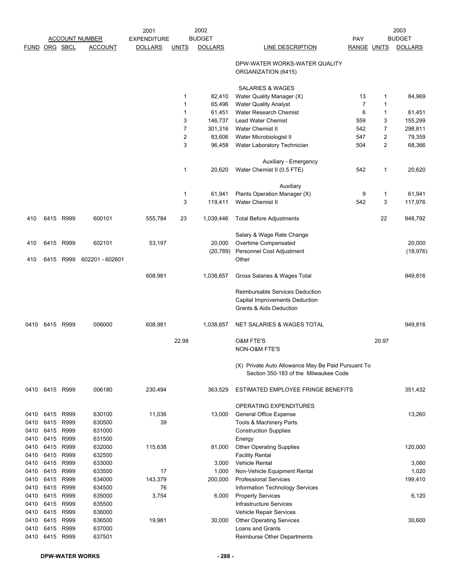|               |           |           |                       | 2001               |                         | 2002           |                                                                                                         |                    |                | 2003           |
|---------------|-----------|-----------|-----------------------|--------------------|-------------------------|----------------|---------------------------------------------------------------------------------------------------------|--------------------|----------------|----------------|
|               |           |           | <b>ACCOUNT NUMBER</b> | <b>EXPENDITURE</b> |                         | <b>BUDGET</b>  |                                                                                                         | PAY                |                | <b>BUDGET</b>  |
| FUND ORG SBCL |           |           | <b>ACCOUNT</b>        | <b>DOLLARS</b>     | <b>UNITS</b>            | <b>DOLLARS</b> | LINE DESCRIPTION                                                                                        | <b>RANGE UNITS</b> |                | <b>DOLLARS</b> |
|               |           |           |                       |                    |                         |                | DPW-WATER WORKS-WATER QUALITY<br>ORGANIZATION (6415)                                                    |                    |                |                |
|               |           |           |                       |                    |                         |                | <b>SALARIES &amp; WAGES</b>                                                                             |                    |                |                |
|               |           |           |                       |                    | 1                       | 82,410         | Water Quality Manager (X)                                                                               | 13                 | 1              | 84,969         |
|               |           |           |                       |                    | 1                       | 65,496         | <b>Water Quality Analyst</b>                                                                            | $\overline{7}$     | 1              |                |
|               |           |           |                       |                    | 1                       | 61,451         | Water Research Chemist                                                                                  | 6                  | 1              | 61,451         |
|               |           |           |                       |                    | 3                       | 146,737        | <b>Lead Water Chemist</b>                                                                               | 559                | 3              | 155,299        |
|               |           |           |                       |                    | 7                       | 301,316        | Water Chemist II                                                                                        | 542                | $\overline{7}$ | 298,811        |
|               |           |           |                       |                    | $\overline{\mathbf{c}}$ | 83,606         | Water Microbiologist II                                                                                 | 547                | $\overline{2}$ | 79,359         |
|               |           |           |                       |                    | 3                       | 96,458         | Water Laboratory Technician                                                                             | 504                | $\overline{2}$ | 68,366         |
|               |           |           |                       |                    |                         |                | Auxiliary - Emergency                                                                                   |                    |                |                |
|               |           |           |                       |                    | 1                       | 20,620         | Water Chemist II (0.5 FTE)                                                                              | 542                | 1              | 20,620         |
|               |           |           |                       |                    |                         |                | Auxiliary                                                                                               |                    |                |                |
|               |           |           |                       |                    | 1                       | 61,941         | Plants Operation Manager (X)                                                                            | 9                  | 1              | 61,941         |
|               |           |           |                       |                    | 3                       | 119,411        | Water Chemist II                                                                                        | 542                | 3              | 117,976        |
| 410           |           | 6415 R999 | 600101                | 555,784            | 23                      | 1,039,446      | <b>Total Before Adjustments</b>                                                                         |                    | 22             | 948,792        |
|               |           |           |                       |                    |                         |                | Salary & Wage Rate Change                                                                               |                    |                |                |
| 410           | 6415      | R999      | 602101                | 53,197             |                         | 20,000         | Overtime Compensated                                                                                    |                    |                | 20,000         |
|               |           |           |                       |                    |                         | (20, 789)      | Personnel Cost Adjustment                                                                               |                    |                | (18, 976)      |
| 410           | 6415      | R999      | 602201 - 602601       |                    |                         |                | Other                                                                                                   |                    |                |                |
|               |           |           |                       | 608,981            |                         | 1,038,657      | Gross Salaries & Wages Total                                                                            |                    |                | 949,816        |
|               |           |           |                       |                    |                         |                | Reimbursable Services Deduction<br>Capital Improvements Deduction<br><b>Grants &amp; Aids Deduction</b> |                    |                |                |
| 0410          | 6415 R999 |           | 006000                | 608,981            |                         | 1,038,657      | NET SALARIES & WAGES TOTAL                                                                              |                    |                | 949,816        |
|               |           |           |                       |                    | 22.98                   |                | <b>O&amp;M FTE'S</b><br>NON-O&M FTE'S                                                                   |                    | 20.97          |                |
|               |           |           |                       |                    |                         |                | (X) Private Auto Allowance May Be Paid Pursuant To<br>Section 350-183 of the Milwaukee Code             |                    |                |                |
| 0410          | 6415 R999 |           | 006180                | 230,494            |                         | 363,529        | ESTIMATED EMPLOYEE FRINGE BENEFITS                                                                      |                    |                | 351,432        |
|               |           |           |                       |                    |                         |                | OPERATING EXPENDITURES                                                                                  |                    |                |                |
| 0410          | 6415      | R999      | 630100                | 11,036             |                         | 13,000         | <b>General Office Expense</b>                                                                           |                    |                | 13,260         |
| 0410          | 6415      | R999      | 630500                | 39                 |                         |                | Tools & Machinery Parts                                                                                 |                    |                |                |
| 0410          | 6415      | R999      | 631000                |                    |                         |                | <b>Construction Supplies</b>                                                                            |                    |                |                |
| 0410          | 6415      | R999      | 631500                |                    |                         |                | Energy                                                                                                  |                    |                |                |
| 0410          | 6415      | R999      | 632000                | 115,638            |                         | 81,000         | <b>Other Operating Supplies</b>                                                                         |                    |                | 120,000        |
| 0410          | 6415      | R999      | 632500                |                    |                         |                | <b>Facility Rental</b>                                                                                  |                    |                |                |
| 0410          | 6415      | R999      | 633000                |                    |                         | 3,000          | <b>Vehicle Rental</b>                                                                                   |                    |                | 3,060          |
| 0410          | 6415      | R999      | 633500                | 17                 |                         | 1,000          | Non-Vehicle Equipment Rental                                                                            |                    |                | 1,020          |
| 0410          | 6415      | R999      | 634000                | 143,379            |                         | 200,000        | <b>Professional Services</b>                                                                            |                    |                | 199,410        |
| 0410          | 6415      | R999      | 634500                | 76                 |                         |                | Information Technology Services                                                                         |                    |                |                |
| 0410          | 6415      | R999      | 635000                | 3,754              |                         | 6,000          | <b>Property Services</b>                                                                                |                    |                | 6,120          |
| 0410          | 6415      | R999      | 635500                |                    |                         |                | Infrastructure Services                                                                                 |                    |                |                |
| 0410          | 6415      | R999      | 636000                |                    |                         |                | Vehicle Repair Services                                                                                 |                    |                |                |
| 0410          | 6415      | R999      | 636500                | 19,981             |                         | 30,000         | <b>Other Operating Services</b>                                                                         |                    |                | 30,600         |
| 0410          | 6415      | R999      | 637000                |                    |                         |                | Loans and Grants                                                                                        |                    |                |                |
| 0410          | 6415      | R999      | 637501                |                    |                         |                | Reimburse Other Departments                                                                             |                    |                |                |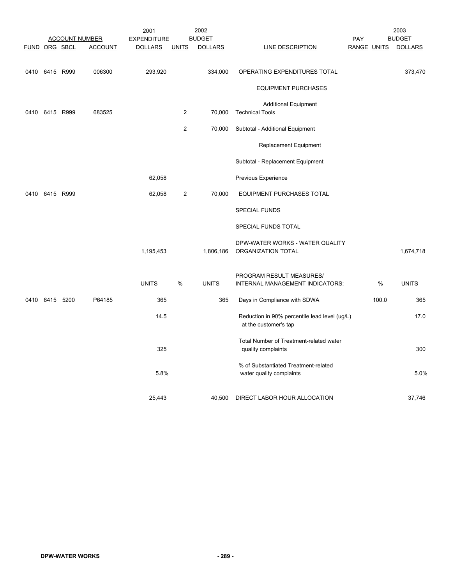|                      |                |                       | 2001               |                | 2002           |                                                                        |                    |       | 2003           |
|----------------------|----------------|-----------------------|--------------------|----------------|----------------|------------------------------------------------------------------------|--------------------|-------|----------------|
|                      |                | <b>ACCOUNT NUMBER</b> | <b>EXPENDITURE</b> |                | <b>BUDGET</b>  |                                                                        | PAY                |       | <b>BUDGET</b>  |
| <b>FUND ORG SBCL</b> |                | <b>ACCOUNT</b>        | <b>DOLLARS</b>     | <b>UNITS</b>   | <b>DOLLARS</b> | <b>LINE DESCRIPTION</b>                                                | <b>RANGE UNITS</b> |       | <b>DOLLARS</b> |
| 0410                 | 6415 R999      | 006300                | 293,920            |                | 334,000        | OPERATING EXPENDITURES TOTAL                                           |                    |       | 373,470        |
|                      |                |                       |                    |                |                | <b>EQUIPMENT PURCHASES</b>                                             |                    |       |                |
| 0410                 | 6415 R999      | 683525                |                    | $\overline{2}$ | 70,000         | <b>Additional Equipment</b><br><b>Technical Tools</b>                  |                    |       |                |
|                      |                |                       |                    | $\overline{c}$ | 70,000         | Subtotal - Additional Equipment                                        |                    |       |                |
|                      |                |                       |                    |                |                | Replacement Equipment                                                  |                    |       |                |
|                      |                |                       |                    |                |                | Subtotal - Replacement Equipment                                       |                    |       |                |
|                      |                |                       | 62,058             |                |                | Previous Experience                                                    |                    |       |                |
| 0410                 | 6415 R999      |                       | 62,058             | $\overline{c}$ | 70,000         | EQUIPMENT PURCHASES TOTAL                                              |                    |       |                |
|                      |                |                       |                    |                |                | <b>SPECIAL FUNDS</b>                                                   |                    |       |                |
|                      |                |                       |                    |                |                | SPECIAL FUNDS TOTAL                                                    |                    |       |                |
|                      |                |                       | 1,195,453          |                | 1,806,186      | DPW-WATER WORKS - WATER QUALITY<br>ORGANIZATION TOTAL                  |                    |       | 1,674,718      |
|                      |                |                       | <b>UNITS</b>       | %              | <b>UNITS</b>   | PROGRAM RESULT MEASURES/<br>INTERNAL MANAGEMENT INDICATORS:            |                    | %     | <b>UNITS</b>   |
|                      | 0410 6415 5200 | P64185                | 365                |                | 365            | Days in Compliance with SDWA                                           |                    | 100.0 | 365            |
|                      |                |                       | 14.5               |                |                | Reduction in 90% percentile lead level (ug/L)<br>at the customer's tap |                    |       | 17.0           |
|                      |                |                       | 325                |                |                | Total Number of Treatment-related water<br>quality complaints          |                    |       | 300            |
|                      |                |                       | 5.8%               |                |                | % of Substantiated Treatment-related<br>water quality complaints       |                    |       | 5.0%           |
|                      |                |                       | 25,443             |                | 40,500         | DIRECT LABOR HOUR ALLOCATION                                           |                    |       | 37,746         |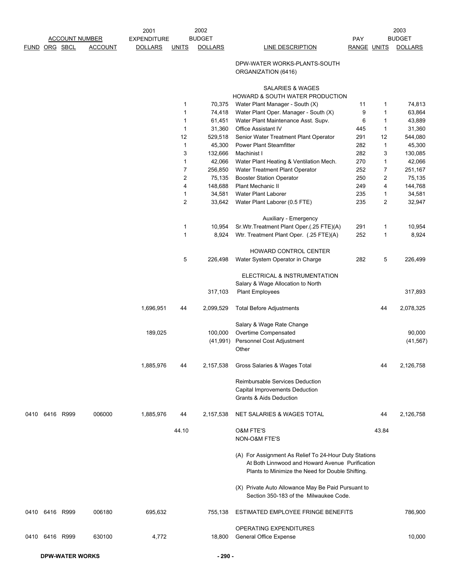|               |                |      |                       | 2001               |                         | 2002           |                                                                                                                                                              |                    |                | 2003           |
|---------------|----------------|------|-----------------------|--------------------|-------------------------|----------------|--------------------------------------------------------------------------------------------------------------------------------------------------------------|--------------------|----------------|----------------|
|               |                |      | <b>ACCOUNT NUMBER</b> | <b>EXPENDITURE</b> |                         | <b>BUDGET</b>  |                                                                                                                                                              | PAY                |                | <b>BUDGET</b>  |
| FUND ORG SBCL |                |      | <b>ACCOUNT</b>        | <b>DOLLARS</b>     | <b>UNITS</b>            | <b>DOLLARS</b> | LINE DESCRIPTION                                                                                                                                             | <b>RANGE UNITS</b> |                | <b>DOLLARS</b> |
|               |                |      |                       |                    |                         |                | DPW-WATER WORKS-PLANTS-SOUTH<br>ORGANIZATION (6416)                                                                                                          |                    |                |                |
|               |                |      |                       |                    |                         |                | SALARIES & WAGES<br>HOWARD & SOUTH WATER PRODUCTION                                                                                                          |                    |                |                |
|               |                |      |                       |                    | 1                       | 70,375         | Water Plant Manager - South (X)                                                                                                                              | 11                 | 1              | 74,813         |
|               |                |      |                       |                    | 1                       | 74,418         | Water Plant Oper. Manager - South (X)                                                                                                                        | 9                  | 1              | 63,864         |
|               |                |      |                       |                    | 1                       | 61,451         | Water Plant Maintenance Asst. Supv.                                                                                                                          | 6                  | 1              | 43,889         |
|               |                |      |                       |                    | 1                       | 31,360         | Office Assistant IV                                                                                                                                          | 445                | 1              | 31,360         |
|               |                |      |                       |                    | 12                      | 529,518        | Senior Water Treatment Plant Operator                                                                                                                        | 291                | 12             | 544,080        |
|               |                |      |                       |                    | 1                       | 45,300         | <b>Power Plant Steamfitter</b>                                                                                                                               | 282                | $\mathbf{1}$   | 45,300         |
|               |                |      |                       |                    | 3                       | 132,666        | Machinist I                                                                                                                                                  | 282                | 3              | 130,085        |
|               |                |      |                       |                    | 1                       | 42,066         | Water Plant Heating & Ventilation Mech.                                                                                                                      | 270                | 1              | 42,066         |
|               |                |      |                       |                    | $\overline{7}$          | 256,850        | Water Treatment Plant Operator                                                                                                                               | 252                | 7              | 251,167        |
|               |                |      |                       |                    | $\overline{\mathbf{c}}$ | 75,135         | <b>Booster Station Operator</b>                                                                                                                              | 250                | 2              | 75,135         |
|               |                |      |                       |                    | 4                       | 148,688        | <b>Plant Mechanic II</b>                                                                                                                                     | 249                | 4              | 144,768        |
|               |                |      |                       |                    | 1                       | 34,581         | Water Plant Laborer                                                                                                                                          | 235                | 1              | 34,581         |
|               |                |      |                       |                    | $\overline{c}$          | 33,642         | Water Plant Laborer (0.5 FTE)                                                                                                                                | 235                | $\overline{2}$ | 32,947         |
|               |                |      |                       |                    |                         |                |                                                                                                                                                              |                    |                |                |
|               |                |      |                       |                    |                         |                | Auxiliary - Emergency                                                                                                                                        |                    |                |                |
|               |                |      |                       |                    | 1                       | 10,954         | Sr. Wtr. Treatment Plant Oper. (.25 FTE)(A)                                                                                                                  | 291                | 1              | 10,954         |
|               |                |      |                       |                    | 1                       | 8,924          | Wtr. Treatment Plant Oper. (.25 FTE)(A)                                                                                                                      | 252                | 1              | 8,924          |
|               |                |      |                       |                    |                         |                | HOWARD CONTROL CENTER                                                                                                                                        |                    |                |                |
|               |                |      |                       |                    | 5                       | 226,498        | Water System Operator in Charge<br>ELECTRICAL & INSTRUMENTATION                                                                                              | 282                | 5              | 226,499        |
|               |                |      |                       |                    |                         |                | Salary & Wage Allocation to North                                                                                                                            |                    |                |                |
|               |                |      |                       |                    |                         | 317,103        | <b>Plant Employees</b>                                                                                                                                       |                    |                | 317,893        |
|               |                |      |                       | 1,696,951          | 44                      | 2,099,529      | <b>Total Before Adjustments</b>                                                                                                                              |                    | 44             | 2,078,325      |
|               |                |      |                       |                    |                         |                | Salary & Wage Rate Change                                                                                                                                    |                    |                |                |
|               |                |      |                       | 189,025            |                         | 100,000        | Overtime Compensated                                                                                                                                         |                    |                | 90,000         |
|               |                |      |                       |                    |                         | (41, 991)      | Personnel Cost Adjustment                                                                                                                                    |                    |                | (41, 567)      |
|               |                |      |                       |                    |                         |                | Other                                                                                                                                                        |                    |                |                |
|               |                |      |                       | 1,885,976          | 44                      | 2,157,538      | Gross Salaries & Wages Total                                                                                                                                 |                    | 44             | 2,126,758      |
|               |                |      |                       |                    |                         |                | Reimbursable Services Deduction<br>Capital Improvements Deduction                                                                                            |                    |                |                |
|               |                |      |                       |                    |                         |                | <b>Grants &amp; Aids Deduction</b>                                                                                                                           |                    |                |                |
| 0410          | 6416           | R999 | 006000                | 1,885,976          | 44                      | 2,157,538      | NET SALARIES & WAGES TOTAL                                                                                                                                   |                    | 44             | 2,126,758      |
|               |                |      |                       |                    | 44.10                   |                | <b>O&amp;M FTE'S</b>                                                                                                                                         |                    | 43.84          |                |
|               |                |      |                       |                    |                         |                | NON-O&M FTE'S                                                                                                                                                |                    |                |                |
|               |                |      |                       |                    |                         |                | (A) For Assignment As Relief To 24-Hour Duty Stations<br>At Both Linnwood and Howard Avenue Purification<br>Plants to Minimize the Need for Double Shifting. |                    |                |                |
|               |                |      |                       |                    |                         |                | (X) Private Auto Allowance May Be Paid Pursuant to<br>Section 350-183 of the Milwaukee Code.                                                                 |                    |                |                |
| 0410          | 6416 R999      |      | 006180                | 695,632            |                         | 755,138        | ESTIMATED EMPLOYEE FRINGE BENEFITS                                                                                                                           |                    |                | 786,900        |
|               |                |      |                       |                    |                         |                | OPERATING EXPENDITURES                                                                                                                                       |                    |                |                |
|               | 0410 6416 R999 |      | 630100                | 4,772              |                         | 18,800         | General Office Expense                                                                                                                                       |                    |                | 10,000         |
|               |                |      |                       |                    |                         |                |                                                                                                                                                              |                    |                |                |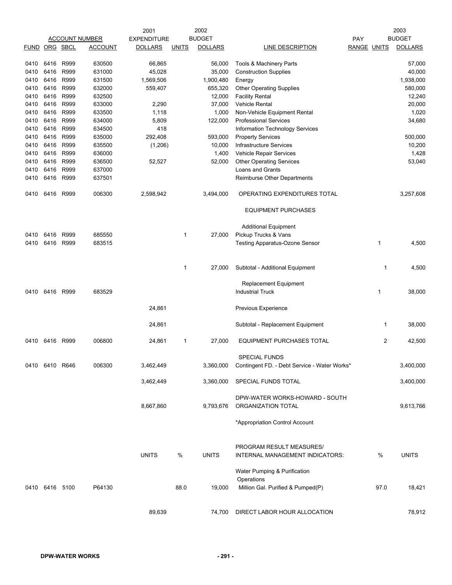|               |                |      |                       | 2001               |              | 2002           |                                              |                    |      | 2003           |
|---------------|----------------|------|-----------------------|--------------------|--------------|----------------|----------------------------------------------|--------------------|------|----------------|
|               |                |      | <b>ACCOUNT NUMBER</b> | <b>EXPENDITURE</b> |              | <b>BUDGET</b>  |                                              | <b>PAY</b>         |      | <b>BUDGET</b>  |
| FUND ORG SBCL |                |      | <b>ACCOUNT</b>        | <b>DOLLARS</b>     | <b>UNITS</b> | <b>DOLLARS</b> | LINE DESCRIPTION                             | <b>RANGE UNITS</b> |      | <b>DOLLARS</b> |
|               |                |      |                       |                    |              |                |                                              |                    |      |                |
| 0410          | 6416           | R999 | 630500                | 66,865             |              | 56,000         | Tools & Machinery Parts                      |                    |      | 57,000         |
| 0410          | 6416           | R999 | 631000                | 45,028             |              | 35,000         | <b>Construction Supplies</b>                 |                    |      | 40,000         |
| 0410          | 6416           | R999 | 631500                | 1,569,506          |              | 1,900,480      | Energy                                       |                    |      | 1,938,000      |
| 0410          | 6416           | R999 | 632000                | 559,407            |              | 655,320        | <b>Other Operating Supplies</b>              |                    |      | 580,000        |
| 0410          | 6416           | R999 | 632500                |                    |              | 12,000         | <b>Facility Rental</b>                       |                    |      | 12,240         |
| 0410          | 6416           | R999 | 633000                | 2,290              |              | 37,000         | Vehicle Rental                               |                    |      | 20,000         |
| 0410          | 6416           | R999 | 633500                | 1,118              |              | 1,000          | Non-Vehicle Equipment Rental                 |                    |      | 1,020          |
| 0410          | 6416           | R999 | 634000                | 5,809              |              | 122,000        | <b>Professional Services</b>                 |                    |      | 34,680         |
| 0410          | 6416           | R999 | 634500                | 418                |              |                | <b>Information Technology Services</b>       |                    |      |                |
| 0410          | 6416           | R999 | 635000                | 292,408            |              | 593,000        | <b>Property Services</b>                     |                    |      | 500,000        |
| 0410          | 6416           | R999 | 635500                | (1,206)            |              | 10,000         | <b>Infrastructure Services</b>               |                    |      | 10,200         |
| 0410          | 6416           | R999 | 636000                |                    |              | 1,400          | Vehicle Repair Services                      |                    |      | 1,428          |
| 0410          | 6416           | R999 | 636500                | 52,527             |              | 52,000         | <b>Other Operating Services</b>              |                    |      | 53,040         |
| 0410          | 6416           | R999 | 637000                |                    |              |                | Loans and Grants                             |                    |      |                |
| 0410          | 6416           | R999 | 637501                |                    |              |                | Reimburse Other Departments                  |                    |      |                |
| 0410          | 6416           | R999 | 006300                | 2,598,942          |              | 3,494,000      | OPERATING EXPENDITURES TOTAL                 |                    |      | 3,257,608      |
|               |                |      |                       |                    |              |                | <b>EQUIPMENT PURCHASES</b>                   |                    |      |                |
|               |                |      |                       |                    |              |                | <b>Additional Equipment</b>                  |                    |      |                |
| 0410          | 6416           | R999 | 685550                |                    | 1            | 27,000         | Pickup Trucks & Vans                         |                    |      |                |
| 0410          | 6416           | R999 | 683515                |                    |              |                | Testing Apparatus-Ozone Sensor               |                    | 1    | 4,500          |
|               |                |      |                       |                    |              |                |                                              |                    |      |                |
|               |                |      |                       |                    | 1            | 27,000         | Subtotal - Additional Equipment              |                    | 1    | 4,500          |
|               |                |      |                       |                    |              |                | Replacement Equipment                        |                    |      |                |
| 0410          | 6416           | R999 | 683529                |                    |              |                | <b>Industrial Truck</b>                      |                    | 1    | 38,000         |
|               |                |      |                       | 24,861             |              |                | Previous Experience                          |                    |      |                |
|               |                |      |                       |                    |              |                |                                              |                    |      |                |
|               |                |      |                       | 24,861             |              |                | Subtotal - Replacement Equipment             |                    | 1    | 38,000         |
| 0410          | 6416           | R999 | 006800                | 24,861             | 1            | 27,000         | <b>EQUIPMENT PURCHASES TOTAL</b>             |                    | 2    | 42,500         |
|               |                |      |                       |                    |              |                |                                              |                    |      |                |
|               |                |      |                       |                    |              |                | <b>SPECIAL FUNDS</b>                         |                    |      |                |
|               | 0410 6410 R646 |      | 006300                | 3,462,449          |              | 3,360,000      | Contingent FD. - Debt Service - Water Works* |                    |      | 3,400,000      |
|               |                |      |                       |                    |              |                |                                              |                    |      |                |
|               |                |      |                       | 3,462,449          |              | 3,360,000      | SPECIAL FUNDS TOTAL                          |                    |      | 3,400,000      |
|               |                |      |                       |                    |              |                | DPW-WATER WORKS-HOWARD - SOUTH               |                    |      |                |
|               |                |      |                       | 8,667,860          |              | 9,793,676      | ORGANIZATION TOTAL                           |                    |      | 9,613,766      |
|               |                |      |                       |                    |              |                |                                              |                    |      |                |
|               |                |      |                       |                    |              |                | *Appropriation Control Account               |                    |      |                |
|               |                |      |                       |                    |              |                |                                              |                    |      |                |
|               |                |      |                       |                    |              |                |                                              |                    |      |                |
|               |                |      |                       |                    |              |                | PROGRAM RESULT MEASURES/                     |                    |      |                |
|               |                |      |                       | <b>UNITS</b>       | $\%$         | <b>UNITS</b>   | INTERNAL MANAGEMENT INDICATORS:              |                    | $\%$ | <b>UNITS</b>   |
|               |                |      |                       |                    |              |                | Water Pumping & Purification                 |                    |      |                |
|               |                |      |                       |                    |              |                | Operations                                   |                    |      |                |
|               | 0410 6416 5100 |      | P64130                |                    | 88.0         | 19,000         | Million Gal. Purified & Pumped(P)            |                    | 97.0 | 18,421         |
|               |                |      |                       |                    |              |                |                                              |                    |      |                |
|               |                |      |                       |                    |              |                |                                              |                    |      |                |
|               |                |      |                       | 89,639             |              | 74,700         | DIRECT LABOR HOUR ALLOCATION                 |                    |      | 78,912         |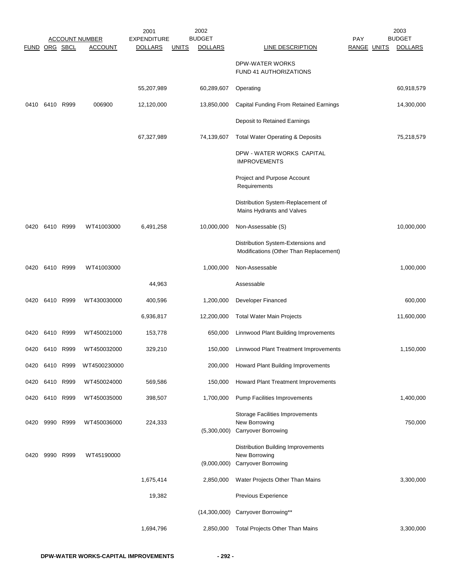|               |           |      | <b>ACCOUNT NUMBER</b> | 2001<br><b>EXPENDITURE</b> |              | 2002<br><b>BUDGET</b> |                                                                                          | <b>PAY</b>         | 2003<br><b>BUDGET</b> |
|---------------|-----------|------|-----------------------|----------------------------|--------------|-----------------------|------------------------------------------------------------------------------------------|--------------------|-----------------------|
| FUND ORG SBCL |           |      | <b>ACCOUNT</b>        | <b>DOLLARS</b>             | <u>UNITS</u> | <b>DOLLARS</b>        | <b>LINE DESCRIPTION</b>                                                                  | <b>RANGE UNITS</b> | <b>DOLLARS</b>        |
|               |           |      |                       |                            |              |                       | <b>DPW-WATER WORKS</b><br>FUND 41 AUTHORIZATIONS                                         |                    |                       |
|               |           |      |                       | 55,207,989                 |              | 60,289,607            | Operating                                                                                |                    | 60,918,579            |
| 0410          | 6410 R999 |      | 006900                | 12,120,000                 |              | 13,850,000            | <b>Capital Funding From Retained Earnings</b>                                            |                    | 14,300,000            |
|               |           |      |                       |                            |              |                       | Deposit to Retained Earnings                                                             |                    |                       |
|               |           |      |                       | 67,327,989                 |              | 74,139,607            | <b>Total Water Operating &amp; Deposits</b>                                              |                    | 75,218,579            |
|               |           |      |                       |                            |              |                       | DPW - WATER WORKS CAPITAL<br><b>IMPROVEMENTS</b>                                         |                    |                       |
|               |           |      |                       |                            |              |                       | Project and Purpose Account<br>Requirements                                              |                    |                       |
|               |           |      |                       |                            |              |                       | Distribution System-Replacement of<br>Mains Hydrants and Valves                          |                    |                       |
| 0420          | 6410 R999 |      | WT41003000            | 6,491,258                  |              | 10,000,000            | Non-Assessable (S)                                                                       |                    | 10,000,000            |
|               |           |      |                       |                            |              |                       | Distribution System-Extensions and<br>Modifications (Other Than Replacement)             |                    |                       |
| 0420          | 6410 R999 |      | WT41003000            |                            |              | 1,000,000             | Non-Assessable                                                                           |                    | 1,000,000             |
|               |           |      |                       | 44,963                     |              |                       | Assessable                                                                               |                    |                       |
| 0420          | 6410 R999 |      | WT430030000           | 400,596                    |              | 1,200,000             | Developer Financed                                                                       |                    | 600,000               |
|               |           |      |                       | 6,936,817                  |              | 12,200,000            | <b>Total Water Main Projects</b>                                                         |                    | 11,600,000            |
| 0420          | 6410 R999 |      | WT450021000           | 153,778                    |              | 650,000               | Linnwood Plant Building Improvements                                                     |                    |                       |
| 0420          | 6410 R999 |      | WT450032000           | 329,210                    |              | 150,000               | Linnwood Plant Treatment Improvements                                                    |                    | 1,150,000             |
| 0420          | 6410      | R999 | WT4500230000          |                            |              | 200,000               | Howard Plant Building Improvements                                                       |                    |                       |
| 0420          | 6410 R999 |      | WT450024000           | 569,586                    |              | 150,000               | Howard Plant Treatment Improvements                                                      |                    |                       |
| 0420          | 6410 R999 |      | WT450035000           | 398,507                    |              | 1,700,000             | <b>Pump Facilities Improvements</b>                                                      |                    | 1,400,000             |
| 0420          | 9990 R999 |      | WT450036000           | 224,333                    |              | (5,300,000)           | <b>Storage Facilities Improvements</b><br>New Borrowing<br>Carryover Borrowing           |                    | 750,000               |
| 0420          | 9990 R999 |      | WT45190000            |                            |              | (9,000,000)           | <b>Distribution Building Improvements</b><br>New Borrowing<br><b>Carryover Borrowing</b> |                    |                       |
|               |           |      |                       | 1,675,414                  |              | 2,850,000             | Water Projects Other Than Mains                                                          |                    | 3,300,000             |
|               |           |      |                       | 19,382                     |              |                       | Previous Experience                                                                      |                    |                       |
|               |           |      |                       |                            |              | (14,300,000)          | Carryover Borrowing**                                                                    |                    |                       |
|               |           |      |                       | 1,694,796                  |              | 2,850,000             | <b>Total Projects Other Than Mains</b>                                                   |                    | 3,300,000             |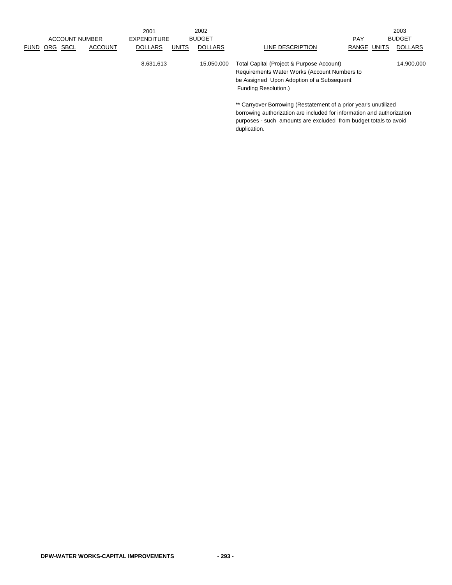|                                                     | 2001                           | 2002           |                                                                                                                                                                |             | 2003           |
|-----------------------------------------------------|--------------------------------|----------------|----------------------------------------------------------------------------------------------------------------------------------------------------------------|-------------|----------------|
| <b>ACCOUNT NUMBER</b>                               | EXPENDITURE                    | <b>BUDGET</b>  |                                                                                                                                                                | <b>PAY</b>  | <b>BUDGET</b>  |
| <b>SBCL</b><br><b>ACCOUNT</b><br>ORG<br><b>FUND</b> | <b>UNITS</b><br><b>DOLLARS</b> | <b>DOLLARS</b> | LINE DESCRIPTION                                                                                                                                               | RANGE UNITS | <b>DOLLARS</b> |
|                                                     | 8,631,613                      | 15.050.000     | Total Capital (Project & Purpose Account)<br>Requirements Water Works (Account Numbers to<br>be Assigned Upon Adoption of a Subsequent<br>Funding Resolution.) |             | 14,900,000     |
|                                                     |                                |                | ** Carryover Borrowing (Restatement of a prior year's unutilized                                                                                               |             |                |

borrowing authorization are included for information and authorization purposes - such amounts are excluded from budget totals to avoid duplication.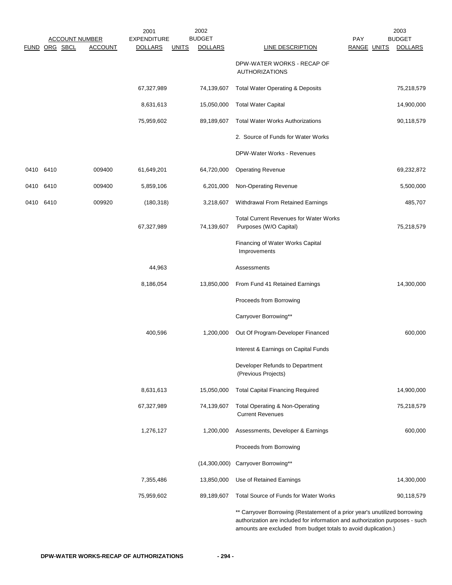|           |               |                                         | 2001                                 | 2002                                            |                                                                                                                                                                                                                              | 2003                                                         |
|-----------|---------------|-----------------------------------------|--------------------------------------|-------------------------------------------------|------------------------------------------------------------------------------------------------------------------------------------------------------------------------------------------------------------------------------|--------------------------------------------------------------|
|           | FUND ORG SBCL | <b>ACCOUNT NUMBER</b><br><b>ACCOUNT</b> | <b>EXPENDITURE</b><br><b>DOLLARS</b> | <b>BUDGET</b><br><b>UNITS</b><br><b>DOLLARS</b> | <b>LINE DESCRIPTION</b>                                                                                                                                                                                                      | <b>BUDGET</b><br><b>PAY</b><br>RANGE UNITS<br><b>DOLLARS</b> |
|           |               |                                         |                                      |                                                 | DPW-WATER WORKS - RECAP OF<br><b>AUTHORIZATIONS</b>                                                                                                                                                                          |                                                              |
|           |               |                                         | 67,327,989                           | 74,139,607                                      | <b>Total Water Operating &amp; Deposits</b>                                                                                                                                                                                  | 75,218,579                                                   |
|           |               |                                         | 8,631,613                            | 15,050,000                                      | <b>Total Water Capital</b>                                                                                                                                                                                                   | 14,900,000                                                   |
|           |               |                                         | 75,959,602                           | 89,189,607                                      | <b>Total Water Works Authorizations</b>                                                                                                                                                                                      | 90,118,579                                                   |
|           |               |                                         |                                      |                                                 | 2. Source of Funds for Water Works                                                                                                                                                                                           |                                                              |
|           |               |                                         |                                      |                                                 | DPW-Water Works - Revenues                                                                                                                                                                                                   |                                                              |
| 0410 6410 |               | 009400                                  | 61,649,201                           | 64,720,000                                      | <b>Operating Revenue</b>                                                                                                                                                                                                     | 69,232,872                                                   |
| 0410      | 6410          | 009400                                  | 5,859,106                            | 6,201,000                                       | Non-Operating Revenue                                                                                                                                                                                                        | 5,500,000                                                    |
| 0410 6410 |               | 009920                                  | (180, 318)                           | 3,218,607                                       | Withdrawal From Retained Earnings                                                                                                                                                                                            | 485,707                                                      |
|           |               |                                         | 67,327,989                           | 74,139,607                                      | <b>Total Current Revenues for Water Works</b><br>Purposes (W/O Capital)                                                                                                                                                      | 75,218,579                                                   |
|           |               |                                         |                                      |                                                 | Financing of Water Works Capital<br>Improvements                                                                                                                                                                             |                                                              |
|           |               |                                         | 44,963                               |                                                 | Assessments                                                                                                                                                                                                                  |                                                              |
|           |               |                                         | 8,186,054                            | 13,850,000                                      | From Fund 41 Retained Earnings                                                                                                                                                                                               | 14,300,000                                                   |
|           |               |                                         |                                      |                                                 | Proceeds from Borrowing                                                                                                                                                                                                      |                                                              |
|           |               |                                         |                                      |                                                 | Carryover Borrowing**                                                                                                                                                                                                        |                                                              |
|           |               |                                         | 400,596                              | 1,200,000                                       | Out Of Program-Developer Financed                                                                                                                                                                                            | 600,000                                                      |
|           |               |                                         |                                      |                                                 | Interest & Earnings on Capital Funds                                                                                                                                                                                         |                                                              |
|           |               |                                         |                                      |                                                 | Developer Refunds to Department<br>(Previous Projects)                                                                                                                                                                       |                                                              |
|           |               |                                         | 8,631,613                            | 15,050,000                                      | <b>Total Capital Financing Required</b>                                                                                                                                                                                      | 14,900,000                                                   |
|           |               |                                         | 67,327,989                           | 74,139,607                                      | Total Operating & Non-Operating<br><b>Current Revenues</b>                                                                                                                                                                   | 75,218,579                                                   |
|           |               |                                         | 1,276,127                            | 1,200,000                                       | Assessments, Developer & Earnings                                                                                                                                                                                            | 600,000                                                      |
|           |               |                                         |                                      |                                                 | Proceeds from Borrowing                                                                                                                                                                                                      |                                                              |
|           |               |                                         |                                      |                                                 | (14,300,000) Carryover Borrowing**                                                                                                                                                                                           |                                                              |
|           |               |                                         | 7,355,486                            | 13,850,000                                      | Use of Retained Earnings                                                                                                                                                                                                     | 14,300,000                                                   |
|           |               |                                         | 75,959,602                           | 89,189,607                                      | Total Source of Funds for Water Works                                                                                                                                                                                        | 90,118,579                                                   |
|           |               |                                         |                                      |                                                 | ** Carryover Borrowing (Restatement of a prior year's unutilized borrowing<br>authorization are included for information and authorization purposes - such<br>amounts are excluded from budget totals to avoid duplication.) |                                                              |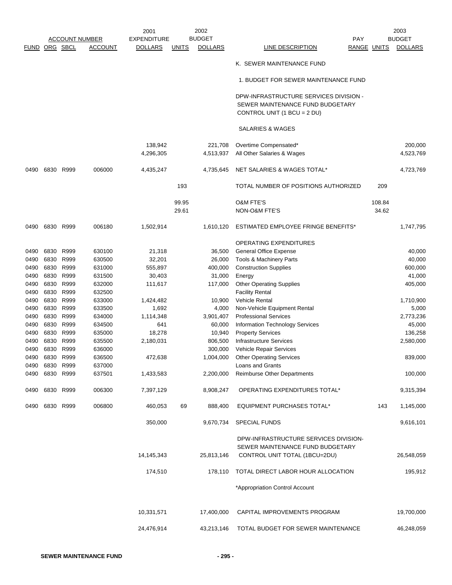|                      |                |           |                       | 2001               |              | 2002           |                                                                   |                    | 2003           |
|----------------------|----------------|-----------|-----------------------|--------------------|--------------|----------------|-------------------------------------------------------------------|--------------------|----------------|
|                      |                |           | <b>ACCOUNT NUMBER</b> | <b>EXPENDITURE</b> |              | <b>BUDGET</b>  | PAY                                                               |                    | <b>BUDGET</b>  |
| <b>FUND ORG SBCL</b> |                |           | <b>ACCOUNT</b>        | <b>DOLLARS</b>     | <u>UNITS</u> | <b>DOLLARS</b> | <b>LINE DESCRIPTION</b>                                           | <b>RANGE UNITS</b> | <b>DOLLARS</b> |
|                      |                |           |                       |                    |              |                | K. SEWER MAINTENANCE FUND                                         |                    |                |
|                      |                |           |                       |                    |              |                | 1. BUDGET FOR SEWER MAINTENANCE FUND                              |                    |                |
|                      |                |           |                       |                    |              |                |                                                                   |                    |                |
|                      |                |           |                       |                    |              |                | DPW-INFRASTRUCTURE SERVICES DIVISION -                            |                    |                |
|                      |                |           |                       |                    |              |                | SEWER MAINTENANCE FUND BUDGETARY                                  |                    |                |
|                      |                |           |                       |                    |              |                | CONTROL UNIT (1 BCU = 2 DU)                                       |                    |                |
|                      |                |           |                       |                    |              |                | SALARIES & WAGES                                                  |                    |                |
|                      |                |           |                       | 138,942            |              | 221,708        | Overtime Compensated*                                             |                    | 200,000        |
|                      |                |           |                       | 4,296,305          |              | 4,513,937      | All Other Salaries & Wages                                        |                    | 4,523,769      |
| 0490                 |                | 6830 R999 | 006000                | 4,435,247          |              | 4,735,645      | NET SALARIES & WAGES TOTAL*                                       |                    | 4,723,769      |
|                      |                |           |                       |                    | 193          |                | TOTAL NUMBER OF POSITIONS AUTHORIZED                              | 209                |                |
|                      |                |           |                       |                    |              |                |                                                                   |                    |                |
|                      |                |           |                       |                    | 99.95        |                | <b>O&amp;M FTE'S</b>                                              | 108.84             |                |
|                      |                |           |                       |                    | 29.61        |                | NON-O&M FTE'S                                                     | 34.62              |                |
| 0490                 | 6830 R999      |           | 006180                | 1,502,914          |              | 1,610,120      | ESTIMATED EMPLOYEE FRINGE BENEFITS*                               |                    | 1,747,795      |
|                      |                |           |                       |                    |              |                | OPERATING EXPENDITURES                                            |                    |                |
| 0490                 | 6830           | R999      | 630100                | 21,318             |              | 36,500         | <b>General Office Expense</b>                                     |                    | 40,000         |
| 0490                 | 6830 R999      |           | 630500                | 32,201             |              | 26,000         | Tools & Machinery Parts                                           |                    | 40,000         |
| 0490                 | 6830           | R999      | 631000                | 555,897            |              | 400,000        | <b>Construction Supplies</b>                                      |                    | 600,000        |
| 0490                 | 6830 R999      |           | 631500                | 30,403             |              | 31,000         | Energy                                                            |                    | 41,000         |
| 0490                 | 6830 R999      |           | 632000                | 111,617            |              | 117,000        | <b>Other Operating Supplies</b>                                   |                    | 405,000        |
| 0490                 | 6830           | R999      | 632500                |                    |              |                | <b>Facility Rental</b>                                            |                    |                |
| 0490                 | 6830 R999      |           | 633000                | 1,424,482          |              | 10,900         | <b>Vehicle Rental</b>                                             |                    | 1,710,900      |
| 0490                 | 6830 R999      |           | 633500                | 1,692              |              | 4,000          | Non-Vehicle Equipment Rental                                      |                    | 5,000          |
| 0490                 | 6830 R999      |           | 634000                | 1,114,348          |              | 3,901,407      | <b>Professional Services</b>                                      |                    | 2,773,236      |
| 0490                 | 6830 R999      |           | 634500                | 641                |              | 60,000         | Information Technology Services                                   |                    | 45,000         |
| 0490                 | 6830 R999      |           | 635000                | 18,278             |              | 10,940         | <b>Property Services</b>                                          |                    | 136,258        |
| 0490                 | 6830 R999      |           | 635500                | 2,180,031          |              | 806,500        | Infrastructure Services                                           |                    | 2,580,000      |
| 0490                 | 6830           | R999      | 636000                |                    |              | 300,000        | Vehicle Repair Services                                           |                    |                |
| 0490                 | 6830           | R999      | 636500                | 472,638            |              | 1,004,000      | <b>Other Operating Services</b>                                   |                    | 839,000        |
| 0490                 | 6830 R999      |           | 637000                |                    |              |                | Loans and Grants                                                  |                    |                |
| 0490                 | 6830 R999      |           | 637501                | 1,433,583          |              | 2,200,000      | <b>Reimburse Other Departments</b>                                |                    | 100,000        |
|                      | 0490 6830 R999 |           | 006300                | 7,397,129          |              | 8,908,247      | OPERATING EXPENDITURES TOTAL*                                     |                    | 9,315,394      |
|                      | 0490 6830 R999 |           | 006800                | 460,053            | 69           | 888,400        | <b>EQUIPMENT PURCHASES TOTAL*</b>                                 | 143                | 1,145,000      |
|                      |                |           |                       | 350,000            |              | 9,670,734      | <b>SPECIAL FUNDS</b>                                              |                    | 9,616,101      |
|                      |                |           |                       |                    |              |                | DPW-INFRASTRUCTURE SERVICES DIVISION-                             |                    |                |
|                      |                |           |                       | 14,145,343         |              | 25,813,146     | SEWER MAINTENANCE FUND BUDGETARY<br>CONTROL UNIT TOTAL (1BCU=2DU) |                    | 26,548,059     |
|                      |                |           |                       | 174,510            |              |                | 178,110 TOTAL DIRECT LABOR HOUR ALLOCATION                        |                    | 195,912        |
|                      |                |           |                       |                    |              |                |                                                                   |                    |                |
|                      |                |           |                       |                    |              |                | *Appropriation Control Account                                    |                    |                |
|                      |                |           |                       | 10,331,571         |              | 17,400,000     | CAPITAL IMPROVEMENTS PROGRAM                                      |                    | 19,700,000     |
|                      |                |           |                       | 24,476,914         |              | 43,213,146     | TOTAL BUDGET FOR SEWER MAINTENANCE                                |                    | 46,248,059     |
|                      |                |           |                       |                    |              |                |                                                                   |                    |                |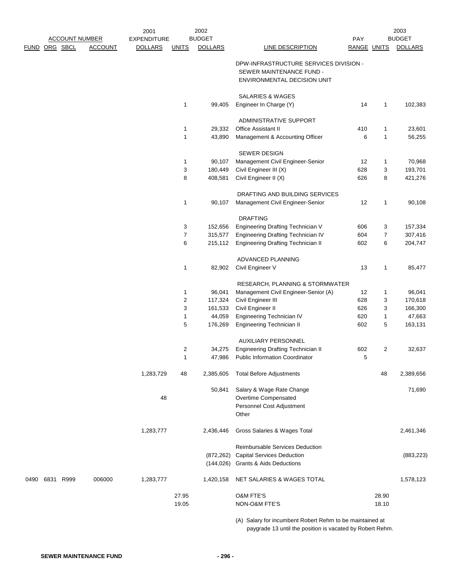|      |               |                       |                | 2001               |                  | 2002           |                                                                         |             |                   | 2003             |
|------|---------------|-----------------------|----------------|--------------------|------------------|----------------|-------------------------------------------------------------------------|-------------|-------------------|------------------|
|      |               | <b>ACCOUNT NUMBER</b> |                | <b>EXPENDITURE</b> |                  | <b>BUDGET</b>  |                                                                         | PAY         |                   | <b>BUDGET</b>    |
|      | FUND ORG SBCL |                       | <b>ACCOUNT</b> | <b>DOLLARS</b>     | <b>UNITS</b>     | <b>DOLLARS</b> | <b>LINE DESCRIPTION</b>                                                 | RANGE UNITS |                   | <b>DOLLARS</b>   |
|      |               |                       |                |                    |                  |                | DPW-INFRASTRUCTURE SERVICES DIVISION -                                  |             |                   |                  |
|      |               |                       |                |                    |                  |                | SEWER MAINTENANCE FUND -                                                |             |                   |                  |
|      |               |                       |                |                    |                  |                | ENVIRONMENTAL DECISION UNIT                                             |             |                   |                  |
|      |               |                       |                |                    |                  |                |                                                                         |             |                   |                  |
|      |               |                       |                |                    |                  |                | <b>SALARIES &amp; WAGES</b>                                             |             |                   |                  |
|      |               |                       |                |                    | $\mathbf{1}$     | 99,405         | Engineer In Charge (Y)                                                  | 14          | 1                 | 102,383          |
|      |               |                       |                |                    |                  |                |                                                                         |             |                   |                  |
|      |               |                       |                |                    |                  | 29,332         | ADMINISTRATIVE SUPPORT<br>Office Assistant II                           |             |                   |                  |
|      |               |                       |                |                    | 1<br>1           | 43,890         | Management & Accounting Officer                                         | 410<br>6    | 1<br>$\mathbf{1}$ | 23,601<br>56,255 |
|      |               |                       |                |                    |                  |                |                                                                         |             |                   |                  |
|      |               |                       |                |                    |                  |                | SEWER DESIGN                                                            |             |                   |                  |
|      |               |                       |                |                    | 1                | 90,107         | Management Civil Engineer-Senior                                        | 12          | 1                 | 70,968           |
|      |               |                       |                |                    | 3                | 180,449        | Civil Engineer III (X)                                                  | 628         | 3                 | 193,701          |
|      |               |                       |                |                    | 8                | 408,581        | Civil Engineer II (X)                                                   | 626         | 8                 | 421,276          |
|      |               |                       |                |                    |                  |                |                                                                         |             |                   |                  |
|      |               |                       |                |                    |                  |                | DRAFTING AND BUILDING SERVICES                                          |             |                   |                  |
|      |               |                       |                |                    | 1                | 90,107         | Management Civil Engineer-Senior                                        | 12          | 1                 | 90,108           |
|      |               |                       |                |                    |                  |                | <b>DRAFTING</b>                                                         |             |                   |                  |
|      |               |                       |                |                    | 3                | 152,656        | Engineering Drafting Technician V                                       | 606         | 3                 | 157,334          |
|      |               |                       |                |                    | $\overline{7}$   | 315,577        | Engineering Drafting Technician IV                                      | 604         | $\overline{7}$    | 307,416          |
|      |               |                       |                |                    | 6                | 215,112        | Engineering Drafting Technician II                                      | 602         | 6                 | 204,747          |
|      |               |                       |                |                    |                  |                |                                                                         |             |                   |                  |
|      |               |                       |                |                    |                  |                | ADVANCED PLANNING                                                       |             |                   |                  |
|      |               |                       |                |                    | 1                | 82,902         | Civil Engineer V                                                        | 13          | 1                 | 85,477           |
|      |               |                       |                |                    |                  |                |                                                                         |             |                   |                  |
|      |               |                       |                |                    | 1                | 96,041         | RESEARCH, PLANNING & STORMWATER<br>Management Civil Engineer-Senior (A) | 12          | 1                 | 96,041           |
|      |               |                       |                |                    | $\boldsymbol{2}$ | 117,324        | Civil Engineer III                                                      | 628         | 3                 | 170,618          |
|      |               |                       |                |                    | 3                | 161,533        | Civil Engineer II                                                       | 626         | 3                 | 166,300          |
|      |               |                       |                |                    | 1                | 44,059         | Engineering Technician IV                                               | 620         | 1                 | 47,663           |
|      |               |                       |                |                    | 5                | 176,269        | Engineering Technician II                                               | 602         | 5                 | 163,131          |
|      |               |                       |                |                    |                  |                |                                                                         |             |                   |                  |
|      |               |                       |                |                    |                  |                | <b>AUXILIARY PERSONNEL</b>                                              |             |                   |                  |
|      |               |                       |                |                    | $\overline{c}$   | 34,275         | <b>Engineering Drafting Technician II</b>                               | 602         | $\overline{2}$    | 32,637           |
|      |               |                       |                |                    | 1                |                | 47,986 Public Information Coordinator                                   | 5           |                   |                  |
|      |               |                       |                |                    |                  |                |                                                                         |             | 48                |                  |
|      |               |                       |                | 1,283,729          | 48               | 2,385,605      | <b>Total Before Adjustments</b>                                         |             |                   | 2,389,656        |
|      |               |                       |                |                    |                  | 50,841         | Salary & Wage Rate Change                                               |             |                   | 71,690           |
|      |               |                       |                | 48                 |                  |                | Overtime Compensated                                                    |             |                   |                  |
|      |               |                       |                |                    |                  |                | Personnel Cost Adjustment                                               |             |                   |                  |
|      |               |                       |                |                    |                  |                | Other                                                                   |             |                   |                  |
|      |               |                       |                |                    |                  |                |                                                                         |             |                   |                  |
|      |               |                       |                | 1,283,777          |                  | 2,436,446      | Gross Salaries & Wages Total                                            |             |                   | 2,461,346        |
|      |               |                       |                |                    |                  |                | <b>Reimbursable Services Deduction</b>                                  |             |                   |                  |
|      |               |                       |                |                    |                  | (872, 262)     | <b>Capital Services Deduction</b>                                       |             |                   | (883, 223)       |
|      |               |                       |                |                    |                  | (144, 026)     | <b>Grants &amp; Aids Deductions</b>                                     |             |                   |                  |
|      |               |                       |                |                    |                  |                |                                                                         |             |                   |                  |
| 0490 | 6831 R999     |                       | 006000         | 1,283,777          |                  | 1,420,158      | NET SALARIES & WAGES TOTAL                                              |             |                   | 1,578,123        |
|      |               |                       |                |                    |                  |                |                                                                         |             |                   |                  |
|      |               |                       |                |                    | 27.95            |                | <b>O&amp;M FTE'S</b>                                                    |             | 28.90             |                  |
|      |               |                       |                |                    | 19.05            |                | NON-O&M FTE'S                                                           |             | 18.10             |                  |
|      |               |                       |                |                    |                  |                |                                                                         |             |                   |                  |

(A) Salary for incumbent Robert Rehm to be maintained at paygrade 13 until the position is vacated by Robert Rehm.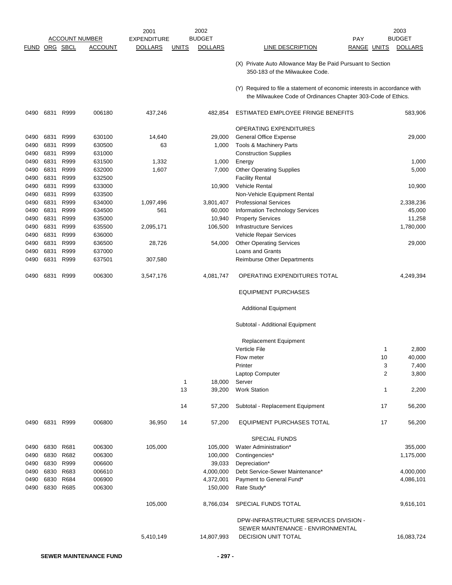|               |                |                |                       | 2001               |              | 2002           |                                                                                                                                           |                    | 2003           |
|---------------|----------------|----------------|-----------------------|--------------------|--------------|----------------|-------------------------------------------------------------------------------------------------------------------------------------------|--------------------|----------------|
|               |                |                | <b>ACCOUNT NUMBER</b> | <b>EXPENDITURE</b> |              | <b>BUDGET</b>  | <b>PAY</b>                                                                                                                                |                    | <b>BUDGET</b>  |
| FUND ORG SBCL |                |                | <b>ACCOUNT</b>        | <b>DOLLARS</b>     | <b>UNITS</b> | <b>DOLLARS</b> | LINE DESCRIPTION                                                                                                                          | <b>RANGE UNITS</b> | <b>DOLLARS</b> |
|               |                |                |                       |                    |              |                | (X) Private Auto Allowance May Be Paid Pursuant to Section<br>350-183 of the Milwaukee Code.                                              |                    |                |
|               |                |                |                       |                    |              |                | (Y) Required to file a statement of economic interests in accordance with<br>the Milwaukee Code of Ordinances Chapter 303-Code of Ethics. |                    |                |
| 0490          | 6831           | R999           | 006180                | 437,246            |              | 482,854        | ESTIMATED EMPLOYEE FRINGE BENEFITS                                                                                                        |                    | 583,906        |
|               |                |                |                       |                    |              |                | <b>OPERATING EXPENDITURES</b>                                                                                                             |                    |                |
| 0490          | 6831           | R999           | 630100                | 14,640             |              | 29,000         | <b>General Office Expense</b>                                                                                                             |                    | 29,000         |
| 0490          | 6831           | R999           | 630500                | 63                 |              | 1,000          | Tools & Machinery Parts                                                                                                                   |                    |                |
| 0490          | 6831           | R999           | 631000                |                    |              |                | <b>Construction Supplies</b>                                                                                                              |                    |                |
| 0490          | 6831           | R999           | 631500                | 1,332              |              | 1,000          | Energy                                                                                                                                    |                    | 1,000          |
| 0490          | 6831           | R999           | 632000                | 1,607              |              | 7,000          | <b>Other Operating Supplies</b>                                                                                                           |                    | 5,000          |
| 0490          | 6831           | R999           | 632500                |                    |              |                | <b>Facility Rental</b>                                                                                                                    |                    |                |
| 0490          | 6831           | R999           | 633000                |                    |              | 10,900         | <b>Vehicle Rental</b>                                                                                                                     |                    | 10,900         |
| 0490          | 6831           | R999           | 633500                |                    |              |                | Non-Vehicle Equipment Rental                                                                                                              |                    |                |
| 0490          | 6831           | R999           | 634000                | 1,097,496          |              | 3,801,407      | <b>Professional Services</b>                                                                                                              |                    | 2,338,236      |
| 0490          | 6831           | R999           | 634500                | 561                |              | 60,000         | <b>Information Technology Services</b>                                                                                                    |                    | 45,000         |
| 0490          | 6831           | R999           | 635000                |                    |              | 10,940         | <b>Property Services</b>                                                                                                                  |                    | 11,258         |
| 0490          | 6831           | R999           | 635500                | 2,095,171          |              | 106,500        | Infrastructure Services                                                                                                                   |                    | 1,780,000      |
| 0490          | 6831           | R999           | 636000                |                    |              |                | Vehicle Repair Services                                                                                                                   |                    |                |
| 0490          | 6831           | R999           | 636500                | 28,726             |              | 54,000         | <b>Other Operating Services</b>                                                                                                           |                    | 29,000         |
| 0490          | 6831           | R999           | 637000                |                    |              |                | Loans and Grants                                                                                                                          |                    |                |
| 0490          | 6831           | R999           | 637501                | 307,580            |              |                | Reimburse Other Departments                                                                                                               |                    |                |
| 0490          | 6831           | R999           | 006300                | 3,547,176          |              | 4,081,747      | OPERATING EXPENDITURES TOTAL                                                                                                              |                    | 4,249,394      |
|               |                |                |                       |                    |              |                | <b>EQUIPMENT PURCHASES</b>                                                                                                                |                    |                |
|               |                |                |                       |                    |              |                | <b>Additional Equipment</b>                                                                                                               |                    |                |
|               |                |                |                       |                    |              |                | Subtotal - Additional Equipment                                                                                                           |                    |                |
|               |                |                |                       |                    |              |                | <b>Replacement Equipment</b>                                                                                                              |                    |                |
|               |                |                |                       |                    |              |                | <b>Verticle File</b>                                                                                                                      | 1                  | 2,800          |
|               |                |                |                       |                    |              |                | Flow meter                                                                                                                                | 10                 | 40,000         |
|               |                |                |                       |                    |              |                | Printer                                                                                                                                   | 3                  | 7,400          |
|               |                |                |                       |                    |              |                | Laptop Computer                                                                                                                           | 2                  | 3,800          |
|               |                |                |                       |                    | $\mathbf{1}$ | 18,000         | Server                                                                                                                                    |                    |                |
|               |                |                |                       |                    | 13           | 39,200         | <b>Work Station</b>                                                                                                                       | 1                  | 2,200          |
|               |                |                |                       |                    | 14           | 57,200         | Subtotal - Replacement Equipment                                                                                                          | 17                 | 56,200         |
|               |                | 0490 6831 R999 | 006800                | 36,950             | 14           | 57,200         | EQUIPMENT PURCHASES TOTAL                                                                                                                 | 17                 | 56,200         |
|               |                |                |                       |                    |              |                | <b>SPECIAL FUNDS</b>                                                                                                                      |                    |                |
|               | 0490 6830 R681 |                | 006300                | 105,000            |              | 105,000        | Water Administration*                                                                                                                     |                    | 355,000        |
| 0490          | 6830           | R682           | 006300                |                    |              | 100,000        | Contingencies*                                                                                                                            |                    | 1,175,000      |
| 0490          |                | 6830 R999      | 006600                |                    |              | 39,033         | Depreciation*                                                                                                                             |                    |                |
| 0490          |                | 6830 R683      | 006610                |                    |              | 4,000,000      | Debt Service-Sewer Maintenance*                                                                                                           |                    | 4,000,000      |
| 0490          |                | 6830 R684      | 006900                |                    |              | 4,372,001      | Payment to General Fund*                                                                                                                  |                    | 4,086,101      |
| 0490          |                | 6830 R685      | 006300                |                    |              | 150,000        | Rate Study*                                                                                                                               |                    |                |
|               |                |                |                       | 105,000            |              | 8,766,034      | SPECIAL FUNDS TOTAL                                                                                                                       |                    | 9,616,101      |
|               |                |                |                       |                    |              |                | DPW-INFRASTRUCTURE SERVICES DIVISION -                                                                                                    |                    |                |
|               |                |                |                       |                    |              |                | SEWER MAINTENANCE - ENVIRONMENTAL                                                                                                         |                    |                |
|               |                |                |                       | 5,410,149          |              | 14,807,993     | <b>DECISION UNIT TOTAL</b>                                                                                                                |                    | 16,083,724     |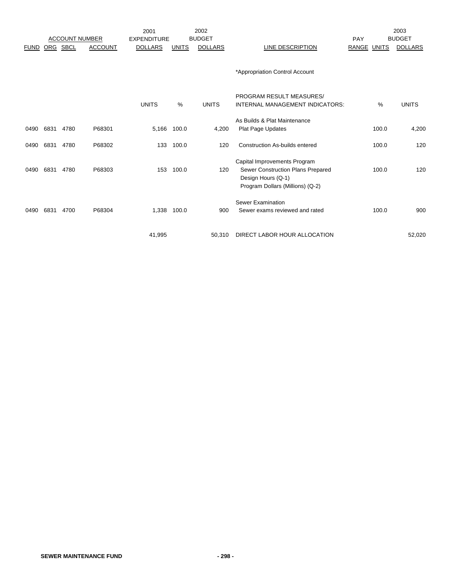|             |      |                       |                | 2001               |              | 2002           |                                                                                                                             |             |       | 2003           |
|-------------|------|-----------------------|----------------|--------------------|--------------|----------------|-----------------------------------------------------------------------------------------------------------------------------|-------------|-------|----------------|
|             |      | <b>ACCOUNT NUMBER</b> |                | <b>EXPENDITURE</b> |              | <b>BUDGET</b>  |                                                                                                                             | <b>PAY</b>  |       | <b>BUDGET</b>  |
| <b>FUND</b> |      | ORG SBCL              | <b>ACCOUNT</b> | <b>DOLLARS</b>     | <b>UNITS</b> | <b>DOLLARS</b> | LINE DESCRIPTION                                                                                                            | RANGE UNITS |       | <b>DOLLARS</b> |
|             |      |                       |                |                    |              |                | *Appropriation Control Account                                                                                              |             |       |                |
|             |      |                       |                |                    |              |                | <b>PROGRAM RESULT MEASURES/</b>                                                                                             |             |       |                |
|             |      |                       |                | <b>UNITS</b>       | %            | <b>UNITS</b>   | INTERNAL MANAGEMENT INDICATORS:                                                                                             |             | $\%$  | <b>UNITS</b>   |
| 0490        | 6831 | 4780                  | P68301         | 5,166              | 100.0        | 4,200          | As Builds & Plat Maintenance<br>Plat Page Updates                                                                           |             | 100.0 | 4,200          |
| 0490        | 6831 | 4780                  | P68302         | 133                | 100.0        | 120            | <b>Construction As-builds entered</b>                                                                                       |             | 100.0 | 120            |
| 0490        | 6831 | 4780                  | P68303         | 153                | 100.0        | 120            | Capital Improvements Program<br>Sewer Construction Plans Prepared<br>Design Hours (Q-1)<br>Program Dollars (Millions) (Q-2) |             | 100.0 | 120            |
| 0490        | 6831 | 4700                  | P68304         | 1,338              | 100.0        | 900            | Sewer Examination<br>Sewer exams reviewed and rated                                                                         |             | 100.0 | 900            |
|             |      |                       |                | 41,995             |              | 50,310         | DIRECT LABOR HOUR ALLOCATION                                                                                                |             |       | 52,020         |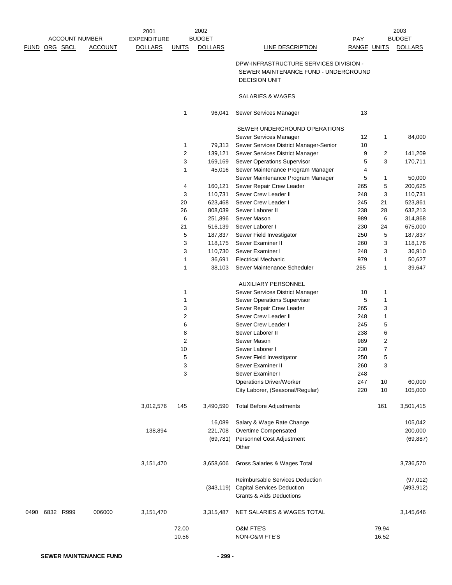|      |                       |                | 2001               |              | 2002           |                                                                                                        |             |                | 2003           |
|------|-----------------------|----------------|--------------------|--------------|----------------|--------------------------------------------------------------------------------------------------------|-------------|----------------|----------------|
|      | <b>ACCOUNT NUMBER</b> |                | <b>EXPENDITURE</b> |              | <b>BUDGET</b>  |                                                                                                        | <b>PAY</b>  |                | <b>BUDGET</b>  |
|      | FUND ORG SBCL         | <b>ACCOUNT</b> | <b>DOLLARS</b>     | <b>UNITS</b> | <b>DOLLARS</b> | LINE DESCRIPTION                                                                                       | RANGE UNITS |                | <b>DOLLARS</b> |
|      |                       |                |                    |              |                | DPW-INFRASTRUCTURE SERVICES DIVISION -<br>SEWER MAINTENANCE FUND - UNDERGROUND<br><b>DECISION UNIT</b> |             |                |                |
|      |                       |                |                    |              |                | SALARIES & WAGES                                                                                       |             |                |                |
|      |                       |                |                    | 1            | 96,041         | Sewer Services Manager                                                                                 | 13          |                |                |
|      |                       |                |                    |              |                | SEWER UNDERGROUND OPERATIONS                                                                           |             |                |                |
|      |                       |                |                    |              |                | Sewer Services Manager                                                                                 | 12          | 1              | 84,000         |
|      |                       |                |                    | 1            | 79,313         | Sewer Services District Manager-Senior                                                                 | 10          |                |                |
|      |                       |                |                    | 2            | 139,121        | Sewer Services District Manager                                                                        | 9           | $\overline{2}$ | 141,209        |
|      |                       |                |                    | 3            | 169,169        | Sewer Operations Supervisor                                                                            | 5           | 3              | 170,711        |
|      |                       |                |                    | 1            | 45,016         | Sewer Maintenance Program Manager                                                                      | 4           |                |                |
|      |                       |                |                    |              |                | Sewer Maintenance Program Manager                                                                      | 5           | 1              | 50,000         |
|      |                       |                |                    | 4            | 160,121        | Sewer Repair Crew Leader                                                                               | 265         | 5              | 200,625        |
|      |                       |                |                    | 3            | 110,731        | Sewer Crew Leader II                                                                                   | 248         | 3              | 110,731        |
|      |                       |                |                    | 20           | 623,468        | Sewer Crew Leader I                                                                                    | 245         | 21             | 523,861        |
|      |                       |                |                    | 26           | 808,039        | Sewer Laborer II                                                                                       | 238         | 28             | 632,213        |
|      |                       |                |                    | 6            | 251,896        | Sewer Mason                                                                                            | 989         | 6              | 314,868        |
|      |                       |                |                    | 21           | 516,139        | Sewer Laborer I                                                                                        | 230         | 24             | 675,000        |
|      |                       |                |                    | 5            | 187,837        | Sewer Field Investigator                                                                               | 250         | 5              | 187,837        |
|      |                       |                |                    | 3            | 118,175        | Sewer Examiner II                                                                                      | 260         | 3              | 118,176        |
|      |                       |                |                    | 3            | 110,730        | Sewer Examiner I                                                                                       | 248         | 3              | 36,910         |
|      |                       |                |                    | $\mathbf{1}$ | 36,691         | <b>Electrical Mechanic</b>                                                                             | 979         | $\mathbf{1}$   | 50,627         |
|      |                       |                |                    | $\mathbf{1}$ | 38,103         | Sewer Maintenance Scheduler                                                                            | 265         | 1              | 39,647         |
|      |                       |                |                    |              |                | AUXILIARY PERSONNEL                                                                                    |             |                |                |
|      |                       |                |                    | 1            |                | Sewer Services District Manager                                                                        | 10          | 1              |                |
|      |                       |                |                    | 1            |                | Sewer Operations Supervisor                                                                            | 5           | 1              |                |
|      |                       |                |                    | 3            |                | Sewer Repair Crew Leader                                                                               | 265         | 3              |                |
|      |                       |                |                    | 2            |                | Sewer Crew Leader II                                                                                   | 248         | $\mathbf{1}$   |                |
|      |                       |                |                    | 6            |                | Sewer Crew Leader I                                                                                    | 245         | 5              |                |
|      |                       |                |                    | 8            |                | Sewer Laborer II                                                                                       | 238         | 6              |                |
|      |                       |                |                    | 2            |                | Sewer Mason                                                                                            | 989         | 2              |                |
|      |                       |                |                    | 10           |                | Sewer Laborer I                                                                                        | 230         | $\overline{7}$ |                |
|      |                       |                |                    | 5            |                | Sewer Field Investigator                                                                               | 250         | 5              |                |
|      |                       |                |                    | 3            |                | Sewer Examiner II                                                                                      | 260         | 3              |                |
|      |                       |                |                    | 3            |                | Sewer Examiner I                                                                                       | 248         |                |                |
|      |                       |                |                    |              |                | <b>Operations Driver/Worker</b>                                                                        | 247         | 10             | 60,000         |
|      |                       |                |                    |              |                | City Laborer, (Seasonal/Regular)                                                                       | 220         | 10             | 105,000        |
|      |                       |                | 3,012,576          | 145          | 3,490,590      | <b>Total Before Adjustments</b>                                                                        |             | 161            | 3,501,415      |
|      |                       |                |                    |              | 16,089         | Salary & Wage Rate Change                                                                              |             |                | 105,042        |
|      |                       |                | 138,894            |              | 221,708        | Overtime Compensated                                                                                   |             |                | 200,000        |
|      |                       |                |                    |              |                | (69,781) Personnel Cost Adjustment                                                                     |             |                | (69, 887)      |
|      |                       |                |                    |              |                | Other                                                                                                  |             |                |                |
|      |                       |                | 3,151,470          |              | 3,658,606      | Gross Salaries & Wages Total                                                                           |             |                | 3,736,570      |
|      |                       |                |                    |              |                | Reimbursable Services Deduction                                                                        |             |                | (97, 012)      |
|      |                       |                |                    |              | (343, 119)     | <b>Capital Services Deduction</b><br><b>Grants &amp; Aids Deductions</b>                               |             |                | (493, 912)     |
| 0490 | 6832 R999             | 006000         | 3,151,470          |              | 3,315,487      | NET SALARIES & WAGES TOTAL                                                                             |             |                | 3,145,646      |
|      |                       |                |                    | 72.00        |                | O&M FTE'S                                                                                              |             | 79.94          |                |
|      |                       |                |                    | 10.56        |                | NON-O&M FTE'S                                                                                          |             | 16.52          |                |
|      |                       |                |                    |              |                |                                                                                                        |             |                |                |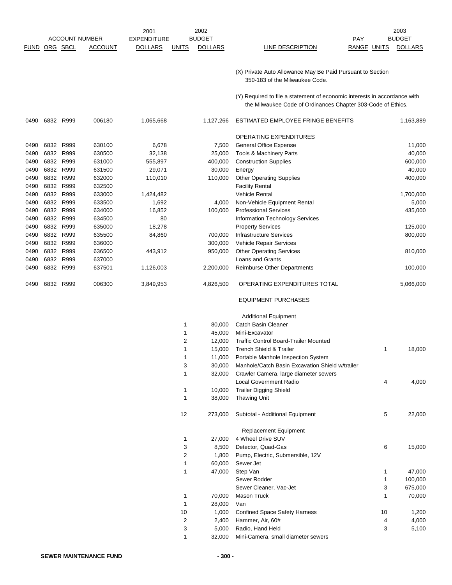| <b>FUND</b> |      | <b>ACCOUNT NUMBER</b><br>ORG SBCL | <b>ACCOUNT</b> | 2001<br><b>EXPENDITURE</b><br><b>DOLLARS</b> | <b>UNITS</b> | 2002<br><b>BUDGET</b><br><b>DOLLARS</b> | LINE DESCRIPTION                                                                                                                          | PAY<br>RANGE UNITS | 2003<br><b>BUDGET</b><br><b>DOLLARS</b> |
|-------------|------|-----------------------------------|----------------|----------------------------------------------|--------------|-----------------------------------------|-------------------------------------------------------------------------------------------------------------------------------------------|--------------------|-----------------------------------------|
|             |      |                                   |                |                                              |              |                                         | (X) Private Auto Allowance May Be Paid Pursuant to Section<br>350-183 of the Milwaukee Code.                                              |                    |                                         |
|             |      |                                   |                |                                              |              |                                         | (Y) Required to file a statement of economic interests in accordance with<br>the Milwaukee Code of Ordinances Chapter 303-Code of Ethics. |                    |                                         |
| 0490        |      | 6832 R999                         | 006180         | 1,065,668                                    |              | 1,127,266                               | ESTIMATED EMPLOYEE FRINGE BENEFITS                                                                                                        |                    | 1,163,889                               |
|             |      |                                   |                |                                              |              |                                         | <b>OPERATING EXPENDITURES</b>                                                                                                             |                    |                                         |
| 0490        | 6832 | R999                              | 630100         | 6,678                                        |              | 7,500                                   | <b>General Office Expense</b>                                                                                                             |                    | 11,000                                  |
| 0490        | 6832 | R999                              | 630500         | 32,138                                       |              | 25,000                                  | <b>Tools &amp; Machinery Parts</b>                                                                                                        |                    | 40,000                                  |
| 0490        | 6832 | R999                              | 631000         | 555,897                                      |              | 400,000                                 | <b>Construction Supplies</b>                                                                                                              |                    | 600,000                                 |
| 0490        | 6832 | R999                              | 631500         | 29,071                                       |              | 30,000                                  | Energy                                                                                                                                    |                    | 40,000                                  |
| 0490        | 6832 | R999                              | 632000         | 110,010                                      |              | 110,000                                 | <b>Other Operating Supplies</b>                                                                                                           |                    | 400,000                                 |
| 0490        | 6832 | R999                              | 632500         |                                              |              |                                         | <b>Facility Rental</b>                                                                                                                    |                    |                                         |
| 0490        | 6832 | R999                              | 633000         | 1,424,482                                    |              |                                         | <b>Vehicle Rental</b>                                                                                                                     |                    | 1,700,000                               |
| 0490        | 6832 | R999                              | 633500         | 1,692                                        |              | 4,000                                   | Non-Vehicle Equipment Rental                                                                                                              |                    | 5,000                                   |
| 0490        | 6832 | R999                              | 634000         | 16,852                                       |              | 100,000                                 | <b>Professional Services</b>                                                                                                              |                    | 435,000                                 |
| 0490        | 6832 | R999                              | 634500         | 80                                           |              |                                         | Information Technology Services                                                                                                           |                    |                                         |
| 0490        | 6832 | R999                              | 635000         | 18,278                                       |              |                                         | <b>Property Services</b>                                                                                                                  |                    | 125,000                                 |
| 0490        | 6832 | R999                              | 635500         | 84,860                                       |              | 700,000                                 | <b>Infrastructure Services</b>                                                                                                            |                    | 800,000                                 |
| 0490        | 6832 | R999                              | 636000         |                                              |              | 300,000                                 | Vehicle Repair Services                                                                                                                   |                    |                                         |
| 0490        | 6832 | R999                              | 636500         | 443,912                                      |              | 950,000                                 | <b>Other Operating Services</b>                                                                                                           |                    | 810,000                                 |
| 0490        | 6832 | R999                              | 637000         |                                              |              |                                         | <b>Loans and Grants</b>                                                                                                                   |                    |                                         |
| 0490        |      | 6832 R999                         | 637501         | 1,126,003                                    |              | 2,200,000                               | <b>Reimburse Other Departments</b>                                                                                                        |                    | 100,000                                 |
| 0490        | 6832 | R999                              | 006300         | 3,849,953                                    |              | 4,826,500                               | OPERATING EXPENDITURES TOTAL                                                                                                              |                    | 5,066,000                               |

#### EQUIPMENT PURCHASES

#### Additional Equipment

| 1  | 80,000  | Catch Basin Cleaner                             |    |         |
|----|---------|-------------------------------------------------|----|---------|
| 1  | 45,000  | Mini-Excavator                                  |    |         |
| 2  | 12,000  | <b>Traffic Control Board-Trailer Mounted</b>    |    |         |
| 1  | 15,000  | <b>Trench Shield &amp; Trailer</b>              | 1  | 18,000  |
| 1  | 11,000  | Portable Manhole Inspection System              |    |         |
| 3  | 30,000  | Manhole/Catch Basin Excavation Shield w/trailer |    |         |
| 1  | 32,000  | Crawler Camera, large diameter sewers           |    |         |
|    |         | <b>Local Government Radio</b>                   | 4  | 4,000   |
| 1  | 10,000  | <b>Trailer Digging Shield</b>                   |    |         |
| 1  | 38,000  | <b>Thawing Unit</b>                             |    |         |
| 12 | 273,000 | Subtotal - Additional Equipment                 | 5  | 22,000  |
|    |         | <b>Replacement Equipment</b>                    |    |         |
| 1  | 27,000  | 4 Wheel Drive SUV                               |    |         |
| 3  | 8,500   | Detector, Quad-Gas                              | 6  | 15,000  |
| 2  | 1,800   | Pump, Electric, Submersible, 12V                |    |         |
| 1  | 60,000  | Sewer Jet                                       |    |         |
| 1  | 47,000  | Step Van                                        | 1  | 47,000  |
|    |         | Sewer Rodder                                    | 1  | 100,000 |
|    |         | Sewer Cleaner, Vac-Jet                          | 3  | 675,000 |
| 1  | 70,000  | Mason Truck                                     | 1  | 70,000  |
| 1  | 28,000  | Van                                             |    |         |
| 10 | 1,000   | <b>Confined Space Safety Harness</b>            | 10 | 1,200   |
| 2  | 2,400   | Hammer, Air, 60#                                | 4  | 4,000   |
| 3  | 5,000   | Radio, Hand Held                                | 3  | 5,100   |
| 1  | 32,000  | Mini-Camera, small diameter sewers              |    |         |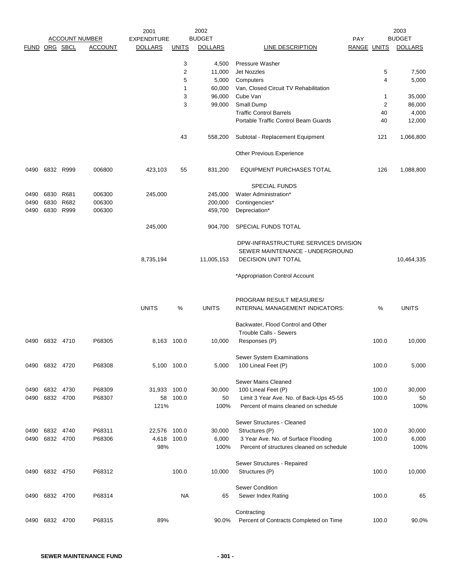| FUND ORG SBCL |                |           | <b>ACCOUNT NUMBER</b><br><b>ACCOUNT</b> | 2001<br><b>EXPENDITURE</b><br><b>DOLLARS</b> | <b>UNITS</b>   | 2002<br><b>BUDGET</b><br><b>DOLLARS</b> | LINE DESCRIPTION                             | <b>PAY</b><br>RANGE UNITS |                      | 2003<br><b>BUDGET</b><br><b>DOLLARS</b> |
|---------------|----------------|-----------|-----------------------------------------|----------------------------------------------|----------------|-----------------------------------------|----------------------------------------------|---------------------------|----------------------|-----------------------------------------|
|               |                |           |                                         |                                              |                |                                         |                                              |                           |                      |                                         |
|               |                |           |                                         |                                              | 3              | 4,500                                   | Pressure Washer                              |                           |                      |                                         |
|               |                |           |                                         |                                              | $\overline{2}$ | 11,000                                  | <b>Jet Nozzles</b>                           |                           | 5                    | 7,500                                   |
|               |                |           |                                         |                                              | 5              | 5,000                                   | Computers                                    |                           | 4                    | 5,000                                   |
|               |                |           |                                         |                                              | 1              | 60,000                                  | Van, Closed Circuit TV Rehabilitation        |                           |                      |                                         |
|               |                |           |                                         |                                              | 3<br>3         | 96,000                                  | Cube Van                                     |                           | 1                    | 35,000                                  |
|               |                |           |                                         |                                              |                | 99,000                                  | Small Dump<br><b>Traffic Control Barrels</b> |                           | $\overline{c}$<br>40 | 86,000                                  |
|               |                |           |                                         |                                              |                |                                         | Portable Traffic Control Beam Guards         |                           | 40                   | 4,000<br>12,000                         |
|               |                |           |                                         |                                              |                |                                         |                                              |                           |                      |                                         |
|               |                |           |                                         |                                              | 43             | 558,200                                 | Subtotal - Replacement Equipment             |                           | 121                  | 1,066,800                               |
|               |                |           |                                         |                                              |                |                                         | Other Previous Experience                    |                           |                      |                                         |
| 0490          |                | 6832 R999 | 006800                                  | 423,103                                      | 55             | 831,200                                 | <b>EQUIPMENT PURCHASES TOTAL</b>             |                           | 126                  | 1,088,800                               |
|               |                |           |                                         |                                              |                |                                         | <b>SPECIAL FUNDS</b>                         |                           |                      |                                         |
| 0490          | 6830           | R681      | 006300                                  | 245,000                                      |                | 245,000                                 | Water Administration*                        |                           |                      |                                         |
| 0490          | 6830           | R682      | 006300                                  |                                              |                | 200,000                                 | Contingencies*                               |                           |                      |                                         |
| 0490          | 6830           | R999      | 006300                                  |                                              |                | 459,700                                 | Depreciation*                                |                           |                      |                                         |
|               |                |           |                                         | 245,000                                      |                | 904,700                                 | SPECIAL FUNDS TOTAL                          |                           |                      |                                         |
|               |                |           |                                         |                                              |                |                                         | DPW-INFRASTRUCTURE SERVICES DIVISION         |                           |                      |                                         |
|               |                |           |                                         |                                              |                |                                         | SEWER MAINTENANCE - UNDERGROUND              |                           |                      |                                         |
|               |                |           |                                         | 8,735,194                                    |                | 11,005,153                              | <b>DECISION UNIT TOTAL</b>                   |                           |                      | 10,464,335                              |
|               |                |           |                                         |                                              |                |                                         | *Appropriation Control Account               |                           |                      |                                         |
|               |                |           |                                         |                                              |                |                                         | PROGRAM RESULT MEASURES/                     |                           |                      |                                         |
|               |                |           |                                         | <b>UNITS</b>                                 | %              | <b>UNITS</b>                            | INTERNAL MANAGEMENT INDICATORS:              |                           | %                    | <b>UNITS</b>                            |
|               |                |           |                                         |                                              |                |                                         | Backwater, Flood Control and Other           |                           |                      |                                         |
|               |                |           |                                         |                                              |                |                                         | <b>Trouble Calls - Sewers</b>                |                           |                      |                                         |
| 0490          |                | 6832 4710 | P68305                                  | 8,163 100.0                                  |                | 10,000                                  | Responses (P)                                |                           | 100.0                | 10,000                                  |
|               |                |           |                                         |                                              |                |                                         | Sewer System Examinations                    |                           |                      |                                         |
|               | 0490 6832 4720 |           | P68308                                  | 5,100 100.0                                  |                | 5,000                                   | 100 Lineal Feet (P)                          |                           | 100.0                | 5,000                                   |
|               |                |           |                                         |                                              |                |                                         | <b>Sewer Mains Cleaned</b>                   |                           |                      |                                         |
| 0490          |                | 6832 4730 | P68309                                  | 31,933                                       | 100.0          | 30,000                                  | 100 Lineal Feet (P)                          |                           | 100.0                | 30,000                                  |
| 0490          | 6832 4700      |           | P68307                                  | 58                                           | 100.0          | 50                                      | Limit 3 Year Ave. No. of Back-Ups 45-55      |                           | 100.0                | 50                                      |
|               |                |           |                                         | 121%                                         |                | 100%                                    | Percent of mains cleaned on schedule         |                           |                      | 100%                                    |
|               |                |           |                                         |                                              |                |                                         | Sewer Structures - Cleaned                   |                           |                      |                                         |
| 0490          | 6832 4740      |           | P68311                                  | 22,576 100.0                                 |                | 30,000                                  | Structures (P)                               |                           | 100.0                | 30,000                                  |
|               | 0490 6832 4700 |           | P68306                                  | 4,618 100.0                                  |                | 6,000                                   | 3 Year Ave. No. of Surface Flooding          |                           | 100.0                | 6,000                                   |
|               |                |           |                                         | 98%                                          |                | 100%                                    | Percent of structures cleaned on schedule    |                           |                      | 100%                                    |
|               |                |           |                                         |                                              |                |                                         | Sewer Structures - Repaired                  |                           |                      |                                         |
|               | 0490 6832 4750 |           | P68312                                  |                                              | 100.0          | 10,000                                  | Structures (P)                               |                           | 100.0                | 10,000                                  |
|               |                |           |                                         |                                              |                |                                         | Sewer Condition                              |                           |                      |                                         |
| 0490          | 6832 4700      |           | P68314                                  |                                              | NA.            | 65                                      | Sewer Index Rating                           |                           | 100.0                | 65                                      |
|               |                |           |                                         |                                              |                |                                         | Contracting                                  |                           |                      |                                         |
| 0490          | 6832 4700      |           | P68315                                  | 89%                                          |                | 90.0%                                   | Percent of Contracts Completed on Time       |                           | 100.0                | 90.0%                                   |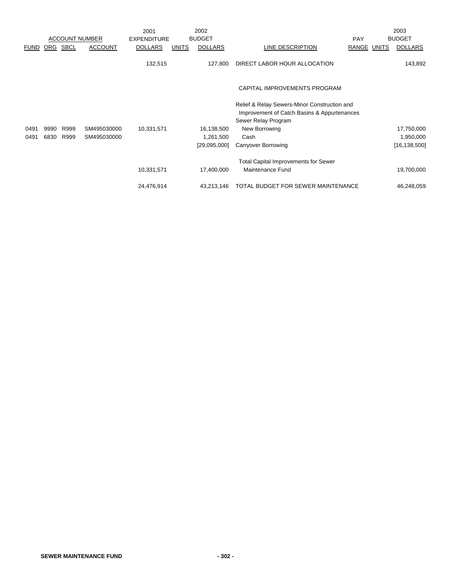|             |      |             |                       | 2001               |              | 2002           |                                                                                             |             | 2003           |
|-------------|------|-------------|-----------------------|--------------------|--------------|----------------|---------------------------------------------------------------------------------------------|-------------|----------------|
|             |      |             | <b>ACCOUNT NUMBER</b> | <b>EXPENDITURE</b> |              | <b>BUDGET</b>  |                                                                                             | PAY         | <b>BUDGET</b>  |
| <b>FUND</b> | ORG  | <b>SBCL</b> | <b>ACCOUNT</b>        | <b>DOLLARS</b>     | <b>UNITS</b> | <b>DOLLARS</b> | LINE DESCRIPTION                                                                            | RANGE UNITS | <b>DOLLARS</b> |
|             |      |             |                       | 132,515            |              | 127.800        | DIRECT LABOR HOUR ALLOCATION                                                                |             | 143,892        |
|             |      |             |                       |                    |              |                | CAPITAL IMPROVEMENTS PROGRAM                                                                |             |                |
|             |      |             |                       |                    |              |                | Relief & Relay Sewers-Minor Construction and<br>Improvement of Catch Basins & Appurtenances |             |                |
|             |      |             |                       |                    |              |                | Sewer Relay Program                                                                         |             |                |
| 0491        | 9990 | R999        | SM495030000           | 10,331,571         |              | 16,138,500     | New Borrowing                                                                               |             | 17,750,000     |
| 0491        | 6830 | R999        | SM495030000           |                    |              | 1,261,500      | Cash                                                                                        |             | 1,950,000      |
|             |      |             |                       |                    |              | [29,095,000]   | <b>Carryover Borrowing</b>                                                                  |             | [16, 138, 500] |
|             |      |             |                       |                    |              |                | <b>Total Capital Improvements for Sewer</b>                                                 |             |                |
|             |      |             |                       | 10,331,571         |              | 17,400,000     | Maintenance Fund                                                                            |             | 19,700,000     |
|             |      |             |                       | 24,476,914         |              | 43,213,146     | TOTAL BUDGET FOR SEWER MAINTENANCE                                                          |             | 46,248,059     |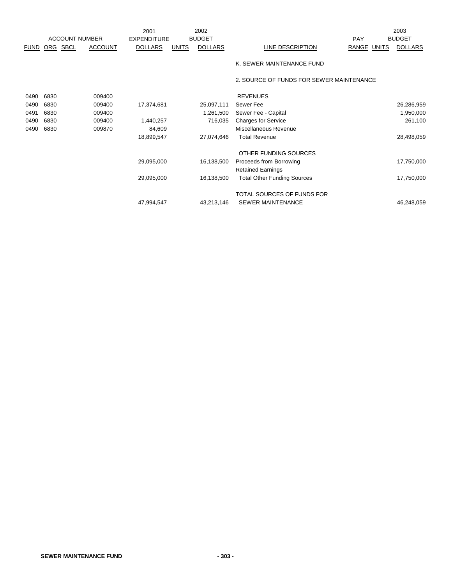|             |      |                       |                | 2001               |              | 2002           |                                          |             | 2003           |
|-------------|------|-----------------------|----------------|--------------------|--------------|----------------|------------------------------------------|-------------|----------------|
|             |      | <b>ACCOUNT NUMBER</b> |                | <b>EXPENDITURE</b> |              | <b>BUDGET</b>  |                                          | PAY         | <b>BUDGET</b>  |
| <b>FUND</b> |      | ORG SBCL              | <b>ACCOUNT</b> | <b>DOLLARS</b>     | <b>UNITS</b> | <b>DOLLARS</b> | LINE DESCRIPTION                         | RANGE UNITS | <b>DOLLARS</b> |
|             |      |                       |                |                    |              |                | K. SEWER MAINTENANCE FUND                |             |                |
|             |      |                       |                |                    |              |                | 2. SOURCE OF FUNDS FOR SEWER MAINTENANCE |             |                |
| 0490        | 6830 |                       | 009400         |                    |              |                | <b>REVENUES</b>                          |             |                |
| 0490        | 6830 |                       | 009400         | 17,374,681         |              | 25,097,111     | Sewer Fee                                |             | 26,286,959     |
| 0491        | 6830 |                       | 009400         |                    |              | 1,261,500      | Sewer Fee - Capital                      |             | 1,950,000      |
| 0490        | 6830 |                       | 009400         | 1,440,257          |              | 716,035        | <b>Charges for Service</b>               |             | 261,100        |
| 0490        | 6830 |                       | 009870         | 84,609             |              |                | Miscellaneous Revenue                    |             |                |
|             |      |                       |                | 18,899,547         |              | 27,074,646     | <b>Total Revenue</b>                     |             | 28,498,059     |
|             |      |                       |                |                    |              |                | OTHER FUNDING SOURCES                    |             |                |
|             |      |                       |                | 29,095,000         |              | 16,138,500     | Proceeds from Borrowing                  |             | 17,750,000     |
|             |      |                       |                |                    |              |                | <b>Retained Earnings</b>                 |             |                |
|             |      |                       |                | 29,095,000         |              | 16,138,500     | <b>Total Other Funding Sources</b>       |             | 17,750,000     |
|             |      |                       |                |                    |              |                | TOTAL SOURCES OF FUNDS FOR               |             |                |
|             |      |                       |                | 47,994,547         |              | 43,213,146     | <b>SEWER MAINTENANCE</b>                 |             | 46,248,059     |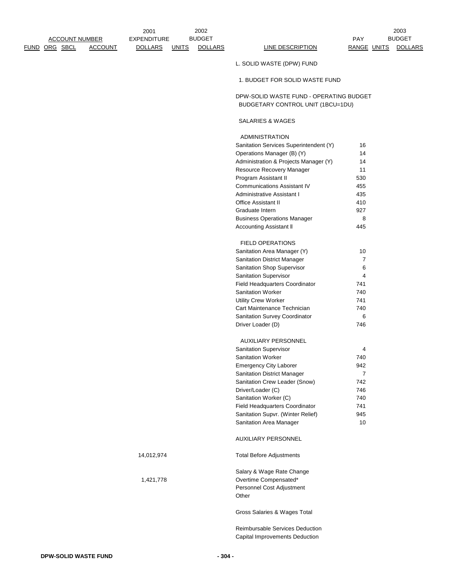| <b>ACCOUNT NUMBER</b> |                | <b>EXPENDITURE</b> |              | <b>BUDGET</b>  |                                                                              | <b>PAY</b>     | <b>BUDGET</b>  |
|-----------------------|----------------|--------------------|--------------|----------------|------------------------------------------------------------------------------|----------------|----------------|
| FUND ORG SBCL         | <b>ACCOUNT</b> | <b>DOLLARS</b>     | <b>UNITS</b> | <b>DOLLARS</b> | <b>LINE DESCRIPTION</b>                                                      | RANGE UNITS    | <b>DOLLARS</b> |
|                       |                |                    |              |                | L. SOLID WASTE (DPW) FUND                                                    |                |                |
|                       |                |                    |              |                | 1. BUDGET FOR SOLID WASTE FUND                                               |                |                |
|                       |                |                    |              |                | DPW-SOLID WASTE FUND - OPERATING BUDGET<br>BUDGETARY CONTROL UNIT (1BCU=1DU) |                |                |
|                       |                |                    |              |                | SALARIES & WAGES                                                             |                |                |
|                       |                |                    |              |                | <b>ADMINISTRATION</b>                                                        |                |                |
|                       |                |                    |              |                | Sanitation Services Superintendent (Y)                                       | 16             |                |
|                       |                |                    |              |                | Operations Manager (B) (Y)                                                   | 14             |                |
|                       |                |                    |              |                | Administration & Projects Manager (Y)                                        | 14             |                |
|                       |                |                    |              |                | Resource Recovery Manager                                                    | 11             |                |
|                       |                |                    |              |                | Program Assistant II                                                         | 530            |                |
|                       |                |                    |              |                | <b>Communications Assistant IV</b>                                           | 455            |                |
|                       |                |                    |              |                | Administrative Assistant I                                                   | 435            |                |
|                       |                |                    |              |                | <b>Office Assistant II</b>                                                   | 410            |                |
|                       |                |                    |              |                | Graduate Intern                                                              | 927            |                |
|                       |                |                    |              |                | <b>Business Operations Manager</b>                                           | 8              |                |
|                       |                |                    |              |                | Accounting Assistant II                                                      | 445            |                |
|                       |                |                    |              |                | <b>FIELD OPERATIONS</b>                                                      |                |                |
|                       |                |                    |              |                | Sanitation Area Manager (Y)                                                  | 10             |                |
|                       |                |                    |              |                | Sanitation District Manager                                                  | $\overline{7}$ |                |
|                       |                |                    |              |                | Sanitation Shop Supervisor                                                   | 6              |                |
|                       |                |                    |              |                | Sanitation Supervisor                                                        | 4              |                |
|                       |                |                    |              |                | Field Headquarters Coordinator                                               | 741            |                |
|                       |                |                    |              |                | Sanitation Worker                                                            | 740            |                |
|                       |                |                    |              |                | <b>Utility Crew Worker</b>                                                   | 741            |                |
|                       |                |                    |              |                | Cart Maintenance Technician                                                  | 740            |                |
|                       |                |                    |              |                | Sanitation Survey Coordinator                                                | 6              |                |
|                       |                |                    |              |                | Driver Loader (D)                                                            | 746            |                |
|                       |                |                    |              |                | <b>AUXILIARY PERSONNEL</b>                                                   |                |                |
|                       |                |                    |              |                | <b>Sanitation Supervisor</b>                                                 | 4              |                |
|                       |                |                    |              |                | <b>Sanitation Worker</b>                                                     | 740            |                |
|                       |                |                    |              |                | <b>Emergency City Laborer</b>                                                | 942            |                |
|                       |                |                    |              |                | Sanitation District Manager                                                  | $\overline{7}$ |                |
|                       |                |                    |              |                | Sanitation Crew Leader (Snow)                                                | 742            |                |
|                       |                |                    |              |                | Driver/Loader (C)                                                            | 746            |                |
|                       |                |                    |              |                | Sanitation Worker (C)                                                        | 740            |                |
|                       |                |                    |              |                | Field Headquarters Coordinator                                               | 741            |                |
|                       |                |                    |              |                | Sanitation Supvr. (Winter Relief)                                            | 945            |                |
|                       |                |                    |              |                | Sanitation Area Manager                                                      | 10             |                |
|                       |                |                    |              |                | AUXILIARY PERSONNEL                                                          |                |                |
|                       |                | 14,012,974         |              |                | <b>Total Before Adjustments</b>                                              |                |                |
|                       |                |                    |              |                | Salary & Wage Rate Change                                                    |                |                |
|                       |                | 1,421,778          |              |                | Overtime Compensated*                                                        |                |                |
|                       |                |                    |              |                | Personnel Cost Adjustment                                                    |                |                |
|                       |                |                    |              |                | Other                                                                        |                |                |
|                       |                |                    |              |                | Gross Salaries & Wages Total                                                 |                |                |
|                       |                |                    |              |                | Reimbursable Services Deduction                                              |                |                |

2002 2003

2001

Capital Improvements Deduction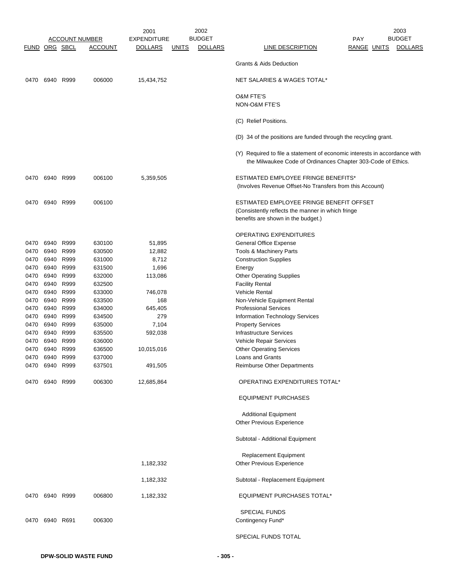|               |                |           |                       | 2001               |              | 2002           |                                                                                                                                           |     |                    | 2003           |
|---------------|----------------|-----------|-----------------------|--------------------|--------------|----------------|-------------------------------------------------------------------------------------------------------------------------------------------|-----|--------------------|----------------|
|               |                |           | <b>ACCOUNT NUMBER</b> | <b>EXPENDITURE</b> |              | <b>BUDGET</b>  |                                                                                                                                           | PAY |                    | <b>BUDGET</b>  |
| FUND ORG SBCL |                |           | <u>ACCOUNT</u>        | <b>DOLLARS</b>     | <b>UNITS</b> | <b>DOLLARS</b> | <b>LINE DESCRIPTION</b>                                                                                                                   |     | <b>RANGE UNITS</b> | <b>DOLLARS</b> |
|               |                |           |                       |                    |              |                | <b>Grants &amp; Aids Deduction</b>                                                                                                        |     |                    |                |
| 0470          |                | 6940 R999 | 006000                | 15,434,752         |              |                | <b>NET SALARIES &amp; WAGES TOTAL*</b>                                                                                                    |     |                    |                |
|               |                |           |                       |                    |              |                | O&M FTE'S                                                                                                                                 |     |                    |                |
|               |                |           |                       |                    |              |                | <b>NON-O&amp;M FTE'S</b>                                                                                                                  |     |                    |                |
|               |                |           |                       |                    |              |                | (C) Relief Positions.                                                                                                                     |     |                    |                |
|               |                |           |                       |                    |              |                | (D) 34 of the positions are funded through the recycling grant.                                                                           |     |                    |                |
|               |                |           |                       |                    |              |                | (Y) Required to file a statement of economic interests in accordance with<br>the Milwaukee Code of Ordinances Chapter 303-Code of Ethics. |     |                    |                |
| 0470          |                | 6940 R999 | 006100                | 5,359,505          |              |                | ESTIMATED EMPLOYEE FRINGE BENEFITS*<br>(Involves Revenue Offset-No Transfers from this Account)                                           |     |                    |                |
| 0470          | 6940 R999      |           | 006100                |                    |              |                | ESTIMATED EMPLOYEE FRINGE BENEFIT OFFSET<br>(Consistently reflects the manner in which fringe<br>benefits are shown in the budget.)       |     |                    |                |
|               |                |           |                       |                    |              |                | OPERATING EXPENDITURES                                                                                                                    |     |                    |                |
|               | 0470 6940 R999 |           | 630100                | 51,895             |              |                | General Office Expense                                                                                                                    |     |                    |                |
| 0470          | 6940           | R999      | 630500                | 12,882             |              |                | Tools & Machinery Parts                                                                                                                   |     |                    |                |
| 0470          | 6940           | R999      | 631000                | 8,712              |              |                | <b>Construction Supplies</b>                                                                                                              |     |                    |                |
| 0470          | 6940           | R999      | 631500                | 1,696              |              |                | Energy                                                                                                                                    |     |                    |                |
| 0470          | 6940 R999      |           | 632000                | 113,086            |              |                | <b>Other Operating Supplies</b>                                                                                                           |     |                    |                |
| 0470          | 6940           | R999      | 632500                |                    |              |                | <b>Facility Rental</b>                                                                                                                    |     |                    |                |
| 0470          | 6940           | R999      | 633000                | 746,078            |              |                | <b>Vehicle Rental</b>                                                                                                                     |     |                    |                |
| 0470          | 6940           | R999      | 633500                | 168                |              |                | Non-Vehicle Equipment Rental                                                                                                              |     |                    |                |
| 0470          | 6940           | R999      | 634000                | 645,405            |              |                | <b>Professional Services</b>                                                                                                              |     |                    |                |
| 0470          | 6940           | R999      | 634500                | 279                |              |                | Information Technology Services                                                                                                           |     |                    |                |
| 0470          | 6940 R999      |           | 635000                | 7,104              |              |                | <b>Property Services</b>                                                                                                                  |     |                    |                |
| 0470          | 6940           | R999      | 635500                | 592,038            |              |                | <b>Infrastructure Services</b>                                                                                                            |     |                    |                |
| 0470          | 6940           | R999      | 636000                |                    |              |                | Vehicle Repair Services                                                                                                                   |     |                    |                |
| 0470          | 6940           | R999      | 636500                | 10,015,016         |              |                | <b>Other Operating Services</b>                                                                                                           |     |                    |                |
| 0470          | 6940           | R999      | 637000                |                    |              |                | Loans and Grants                                                                                                                          |     |                    |                |
|               | 0470 6940 R999 |           | 637501                | 491,505            |              |                | <b>Reimburse Other Departments</b>                                                                                                        |     |                    |                |
| 0470          |                | 6940 R999 | 006300                | 12,685,864         |              |                | OPERATING EXPENDITURES TOTAL*                                                                                                             |     |                    |                |
|               |                |           |                       |                    |              |                | <b>EQUIPMENT PURCHASES</b>                                                                                                                |     |                    |                |
|               |                |           |                       |                    |              |                | <b>Additional Equipment</b>                                                                                                               |     |                    |                |
|               |                |           |                       |                    |              |                | Other Previous Experience                                                                                                                 |     |                    |                |
|               |                |           |                       |                    |              |                | Subtotal - Additional Equipment                                                                                                           |     |                    |                |
|               |                |           |                       |                    |              |                | <b>Replacement Equipment</b>                                                                                                              |     |                    |                |
|               |                |           |                       | 1,182,332          |              |                | Other Previous Experience                                                                                                                 |     |                    |                |
|               |                |           |                       | 1,182,332          |              |                | Subtotal - Replacement Equipment                                                                                                          |     |                    |                |
|               | 0470 6940 R999 |           | 006800                | 1,182,332          |              |                | EQUIPMENT PURCHASES TOTAL*                                                                                                                |     |                    |                |
|               |                |           |                       |                    |              |                | <b>SPECIAL FUNDS</b>                                                                                                                      |     |                    |                |
| 0470          | 6940 R691      |           | 006300                |                    |              |                | Contingency Fund*                                                                                                                         |     |                    |                |
|               |                |           |                       |                    |              |                | SPECIAL FUNDS TOTAL                                                                                                                       |     |                    |                |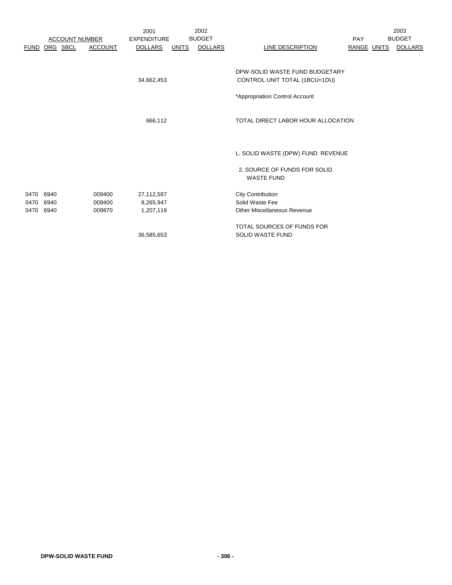|           |               | <b>ACCOUNT NUMBER</b> |                | 2001<br><b>EXPENDITURE</b> |              | 2002<br><b>BUDGET</b> |                                                                 | <b>PAY</b>  | 2003<br><b>BUDGET</b> |
|-----------|---------------|-----------------------|----------------|----------------------------|--------------|-----------------------|-----------------------------------------------------------------|-------------|-----------------------|
|           | FUND ORG SBCL |                       | <b>ACCOUNT</b> | <b>DOLLARS</b>             | <b>UNITS</b> | <b>DOLLARS</b>        | <b>LINE DESCRIPTION</b>                                         | RANGE UNITS | <b>DOLLARS</b>        |
|           |               |                       |                | 34,662,453                 |              |                       | DPW-SOLID WASTE FUND BUDGETARY<br>CONTROL UNIT TOTAL (1BCU=1DU) |             |                       |
|           |               |                       |                |                            |              |                       | *Appropriation Control Account                                  |             |                       |
|           |               |                       |                | 666,112                    |              |                       | TOTAL DIRECT LABOR HOUR ALLOCATION                              |             |                       |
|           |               |                       |                |                            |              |                       | L. SOLID WASTE (DPW) FUND REVENUE                               |             |                       |
|           |               |                       |                |                            |              |                       | 2. SOURCE OF FUNDS FOR SOLID<br><b>WASTE FUND</b>               |             |                       |
| 0470 6940 |               |                       | 009400         | 27,112,587                 |              |                       | <b>City Contribution</b>                                        |             |                       |
| 0470      | 6940          |                       | 009400         | 8,265,947                  |              |                       | Solid Waste Fee                                                 |             |                       |
| 0470      | 6940          |                       | 009870         | 1,207,119                  |              |                       | <b>Other Miscellaneous Revenue</b>                              |             |                       |
|           |               |                       |                |                            |              |                       | TOTAL SOURCES OF FUNDS FOR                                      |             |                       |
|           |               |                       |                | 36,585,653                 |              |                       | <b>SOLID WASTE FUND</b>                                         |             |                       |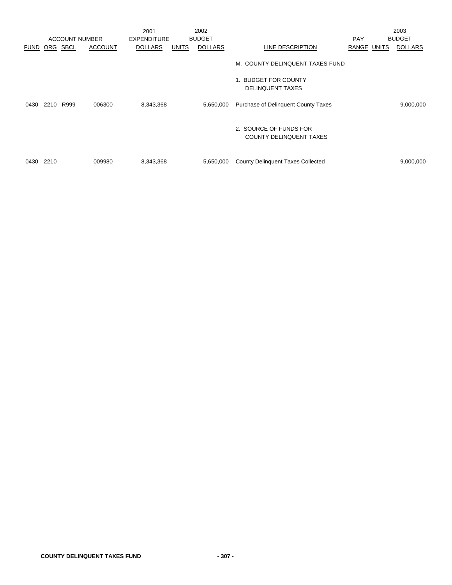|             |      |                       |                | 2001               |              | 2002           |                                                          |             | 2003           |
|-------------|------|-----------------------|----------------|--------------------|--------------|----------------|----------------------------------------------------------|-------------|----------------|
|             |      | <b>ACCOUNT NUMBER</b> |                | <b>EXPENDITURE</b> |              | <b>BUDGET</b>  |                                                          | <b>PAY</b>  | <b>BUDGET</b>  |
| <b>FUND</b> | ORG  | SBCL                  | <b>ACCOUNT</b> | <b>DOLLARS</b>     | <b>UNITS</b> | <b>DOLLARS</b> | LINE DESCRIPTION                                         | RANGE UNITS | <b>DOLLARS</b> |
|             |      |                       |                |                    |              |                | M. COUNTY DELINQUENT TAXES FUND                          |             |                |
|             |      |                       |                |                    |              |                | 1. BUDGET FOR COUNTY<br><b>DELINQUENT TAXES</b>          |             |                |
| 0430        | 2210 | R999                  | 006300         | 8,343,368          |              | 5,650,000      | <b>Purchase of Delinquent County Taxes</b>               |             | 9,000,000      |
|             |      |                       |                |                    |              |                | 2. SOURCE OF FUNDS FOR<br><b>COUNTY DELINQUENT TAXES</b> |             |                |
| 0430        | 2210 |                       | 009980         | 8,343,368          |              | 5,650,000      | <b>County Delinquent Taxes Collected</b>                 |             | 9,000,000      |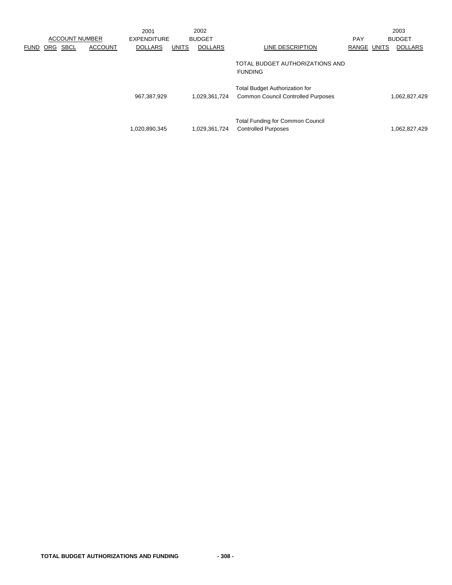|             |     |                       |                | 2001               |              | 2002           |                                                                                    |                    | 2003           |
|-------------|-----|-----------------------|----------------|--------------------|--------------|----------------|------------------------------------------------------------------------------------|--------------------|----------------|
|             |     | <b>ACCOUNT NUMBER</b> |                | <b>EXPENDITURE</b> |              | <b>BUDGET</b>  |                                                                                    | <b>PAY</b>         | <b>BUDGET</b>  |
| <b>FUND</b> | ORG | <b>SBCL</b>           | <b>ACCOUNT</b> | <b>DOLLARS</b>     | <b>UNITS</b> | <b>DOLLARS</b> | LINE DESCRIPTION                                                                   | <b>RANGE UNITS</b> | <b>DOLLARS</b> |
|             |     |                       |                |                    |              |                | TOTAL BUDGET AUTHORIZATIONS AND<br><b>FUNDING</b>                                  |                    |                |
|             |     |                       |                | 967,387,929        |              | 1,029,361,724  | <b>Total Budget Authorization for</b><br><b>Common Council Controlled Purposes</b> |                    | 1,062,827,429  |
|             |     |                       |                | 1,020,890,345      |              | 1,029,361,724  | <b>Total Funding for Common Council</b><br><b>Controlled Purposes</b>              |                    | 1,062,827,429  |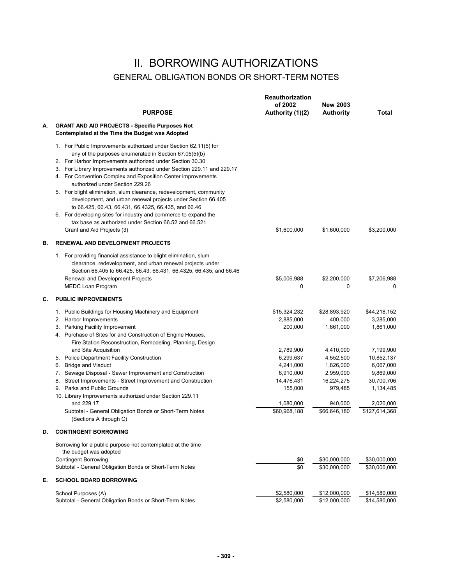### II. BORROWING AUTHORIZATIONS GENERAL OBLIGATION BONDS OR SHORT-TERM NOTES

|    | <b>PURPOSE</b>                                                                                                                                                                                                                                                                                                                                                                                                                                                                                                                                                                                                                                                                                                                | Reauthorization<br>of 2002<br>Authority (1)(2)                                                                                                 | <b>New 2003</b><br><b>Authority</b>                                                                                                          | Total                                                                                                                                                |
|----|-------------------------------------------------------------------------------------------------------------------------------------------------------------------------------------------------------------------------------------------------------------------------------------------------------------------------------------------------------------------------------------------------------------------------------------------------------------------------------------------------------------------------------------------------------------------------------------------------------------------------------------------------------------------------------------------------------------------------------|------------------------------------------------------------------------------------------------------------------------------------------------|----------------------------------------------------------------------------------------------------------------------------------------------|------------------------------------------------------------------------------------------------------------------------------------------------------|
| А. | <b>GRANT AND AID PROJECTS - Specific Purposes Not</b><br>Contemplated at the Time the Budget was Adopted                                                                                                                                                                                                                                                                                                                                                                                                                                                                                                                                                                                                                      |                                                                                                                                                |                                                                                                                                              |                                                                                                                                                      |
|    | 1. For Public Improvements authorized under Section 62.11(5) for<br>any of the purposes enumerated in Section 67.05(5)(b)<br>2. For Harbor Improvements authorized under Section 30.30<br>3. For Library Improvements authorized under Section 229.11 and 229.17<br>4. For Convention Complex and Exposition Center improvements<br>authorized under Section 229.26<br>5. For blight elimination, slum clearance, redevelopment, community<br>development, and urban renewal projects under Section 66.405<br>to 66.425, 66.43, 66.431, 66.4325, 66.435, and 66.46<br>6. For developing sites for industry and commerce to expand the<br>tax base as authorized under Section 66.52 and 66.521.<br>Grant and Aid Projects (3) | \$1,600,000                                                                                                                                    | \$1,600,000                                                                                                                                  | \$3,200,000                                                                                                                                          |
| В. | RENEWAL AND DEVELOPMENT PROJECTS                                                                                                                                                                                                                                                                                                                                                                                                                                                                                                                                                                                                                                                                                              |                                                                                                                                                |                                                                                                                                              |                                                                                                                                                      |
|    | 1. For providing financial assistance to blight elimination, slum<br>clearance, redevelopment, and urban renewal projects under<br>Section 66.405 to 66.425, 66.43, 66.431, 66.4325, 66.435, and 66.46<br>Renewal and Development Projects<br><b>MEDC Loan Program</b>                                                                                                                                                                                                                                                                                                                                                                                                                                                        | \$5,006,988<br>0                                                                                                                               | \$2,200,000<br>0                                                                                                                             | \$7,206,988<br>0                                                                                                                                     |
| C. | <b>PUBLIC IMPROVEMENTS</b>                                                                                                                                                                                                                                                                                                                                                                                                                                                                                                                                                                                                                                                                                                    |                                                                                                                                                |                                                                                                                                              |                                                                                                                                                      |
| D. | 1. Public Buildings for Housing Machinery and Equipment<br>2. Harbor Improvements<br>3. Parking Facility Improvement<br>4. Purchase of Sites for and Construction of Engine Houses,<br>Fire Station Reconstruction, Remodeling, Planning, Design<br>and Site Acquisition<br>5. Police Department Facility Construction<br>6. Bridge and Viaduct<br>7. Sewage Disposal - Sewer Improvement and Construction<br>8. Street Improvements - Street Improvement and Construction<br>9. Parks and Public Grounds<br>10. Library Improvements authorized under Section 229.11<br>and 229.17<br>Subtotal - General Obligation Bonds or Short-Term Notes<br>(Sections A through C)<br><b>CONTINGENT BORROWING</b>                       | \$15,324,232<br>2,885,000<br>200,000<br>2,789,900<br>6,299,637<br>4,241,000<br>6,910,000<br>14,476,431<br>155,000<br>1,080,000<br>\$60,968,188 | \$28,893,920<br>400,000<br>1,661,000<br>4,410,000<br>4,552,500<br>1,826,000<br>2,959,000<br>16,224,275<br>979,485<br>940,000<br>\$66,646,180 | \$44,218,152<br>3,285,000<br>1,861,000<br>7,199,900<br>10,852,137<br>6,067,000<br>9,869,000<br>30,700,706<br>1,134,485<br>2,020,000<br>\$127,614,368 |
|    |                                                                                                                                                                                                                                                                                                                                                                                                                                                                                                                                                                                                                                                                                                                               |                                                                                                                                                |                                                                                                                                              |                                                                                                                                                      |
|    | Borrowing for a public purpose not contemplated at the time<br>the budget was adopted<br><b>Contingent Borrowing</b><br>Subtotal - General Obligation Bonds or Short-Term Notes                                                                                                                                                                                                                                                                                                                                                                                                                                                                                                                                               | \$0<br>\$0                                                                                                                                     | \$30,000,000<br>\$30,000,000                                                                                                                 | \$30,000,000<br>\$30,000,000                                                                                                                         |
| Е. | <b>SCHOOL BOARD BORROWING</b>                                                                                                                                                                                                                                                                                                                                                                                                                                                                                                                                                                                                                                                                                                 |                                                                                                                                                |                                                                                                                                              |                                                                                                                                                      |
|    | School Purposes (A)<br>Subtotal - General Obligation Bonds or Short-Term Notes                                                                                                                                                                                                                                                                                                                                                                                                                                                                                                                                                                                                                                                | \$2,580,000<br>\$2,580,000                                                                                                                     | \$12,000,000<br>\$12,000,000                                                                                                                 | \$14,580,000<br>\$14,580,000                                                                                                                         |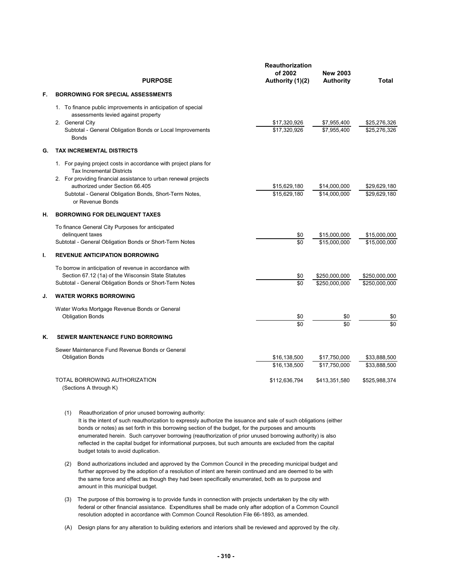|    | <b>PURPOSE</b>                                                                                                                                                                                                                                                                           | <b>Reauthorization</b><br>of 2002<br>Authority (1)(2) | <b>New 2003</b><br><b>Authority</b> | Total                          |
|----|------------------------------------------------------------------------------------------------------------------------------------------------------------------------------------------------------------------------------------------------------------------------------------------|-------------------------------------------------------|-------------------------------------|--------------------------------|
| F. | <b>BORROWING FOR SPECIAL ASSESSMENTS</b>                                                                                                                                                                                                                                                 |                                                       |                                     |                                |
|    | 1. To finance public improvements in anticipation of special<br>assessments levied against property<br>2. General City<br>Subtotal - General Obligation Bonds or Local Improvements<br><b>Bonds</b>                                                                                      | \$17,320,926<br>\$17,320,926                          | \$7,955,400<br>\$7,955,400          | \$25,276,326<br>\$25,276,326   |
| G. | <b>TAX INCREMENTAL DISTRICTS</b>                                                                                                                                                                                                                                                         |                                                       |                                     |                                |
|    | 1. For paying project costs in accordance with project plans for<br><b>Tax Incremental Districts</b><br>2. For providing financial assistance to urban renewal projects<br>authorized under Section 66.405<br>Subtotal - General Obligation Bonds, Short-Term Notes,<br>or Revenue Bonds | \$15,629,180<br>\$15,629,180                          | \$14,000,000<br>\$14.000.000        | \$29.629.180<br>\$29,629,180   |
| Н. | <b>BORROWING FOR DELINQUENT TAXES</b>                                                                                                                                                                                                                                                    |                                                       |                                     |                                |
|    | To finance General City Purposes for anticipated<br>delinquent taxes<br>Subtotal - General Obligation Bonds or Short-Term Notes                                                                                                                                                          | \$0<br>\$0                                            | \$15,000,000<br>\$15,000,000        | \$15,000,000<br>\$15,000,000   |
| ı. | <b>REVENUE ANTICIPATION BORROWING</b>                                                                                                                                                                                                                                                    |                                                       |                                     |                                |
|    | To borrow in anticipation of revenue in accordance with<br>Section 67.12 (1a) of the Wisconsin State Statutes<br>Subtotal - General Obligation Bonds or Short-Term Notes                                                                                                                 | \$0<br>\$0                                            | \$250,000,000<br>\$250,000,000      | \$250,000,000<br>\$250,000,000 |
| J. | <b>WATER WORKS BORROWING</b>                                                                                                                                                                                                                                                             |                                                       |                                     |                                |
|    | Water Works Mortgage Revenue Bonds or General<br><b>Obligation Bonds</b>                                                                                                                                                                                                                 | \$0<br>\$0                                            | \$0<br>\$0                          | \$0<br>\$0                     |
| K. | <b>SEWER MAINTENANCE FUND BORROWING</b>                                                                                                                                                                                                                                                  |                                                       |                                     |                                |
|    | Sewer Maintenance Fund Revenue Bonds or General<br><b>Obligation Bonds</b>                                                                                                                                                                                                               | \$16,138,500<br>\$16.138.500                          | \$17,750,000<br>\$17,750,000        | \$33,888,500<br>\$33,888,500   |
|    | TOTAL BORROWING AUTHORIZATION<br>(Sections A through K)                                                                                                                                                                                                                                  | \$112,636,794                                         | \$413,351,580                       | \$525,988,374                  |

- (1) Reauthorization of prior unused borrowing authority: It is the intent of such reauthorization to expressly authorize the issuance and sale of such obligations (either bonds or notes) as set forth in this borrowing section of the budget, for the purposes and amounts enumerated herein. Such carryover borrowing (reauthorization of prior unused borrowing authority) is also reflected in the capital budget for informational purposes, but such amounts are excluded from the capital budget totals to avoid duplication.
- (2) Bond authorizations included and approved by the Common Council in the preceding municipal budget and further approved by the adoption of a resolution of intent are herein continued and are deemed to be with the same force and effect as though they had been specifically enumerated, both as to purpose and amount in this municipal budget.
- (3) The purpose of this borrowing is to provide funds in connection with projects undertaken by the city with federal or other financial assistance. Expenditures shall be made only after adoption of a Common Council resolution adopted in accordance with Common Council Resolution File 66-1893, as amended.
- (A) Design plans for any alteration to building exteriors and interiors shall be reviewed and approved by the city.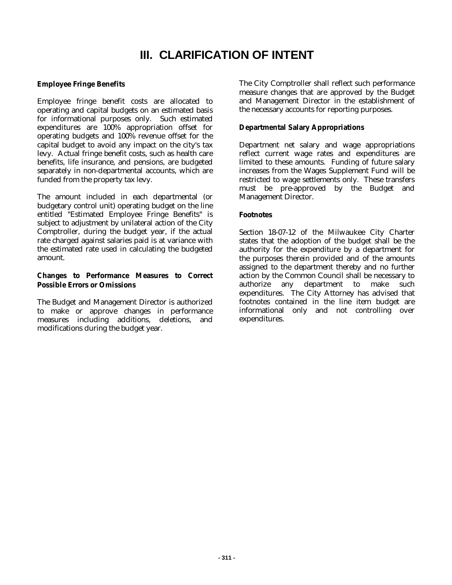# **III. CLARIFICATION OF INTENT**

### **Employee Fringe Benefits**

Employee fringe benefit costs are allocated to operating and capital budgets on an estimated basis for informational purposes only. Such estimated expenditures are 100% appropriation offset for operating budgets and 100% revenue offset for the capital budget to avoid any impact on the city's tax levy. Actual fringe benefit costs, such as health care benefits, life insurance, and pensions, are budgeted separately in non-departmental accounts, which are funded from the property tax levy.

The amount included in each departmental (or budgetary control unit) operating budget on the line entitled "Estimated Employee Fringe Benefits" is subject to adjustment by unilateral action of the City Comptroller, during the budget year, if the actual rate charged against salaries paid is at variance with the estimated rate used in calculating the budgeted amount.

#### **Changes to Performance Measures to Correct Possible Errors or Omissions**

The Budget and Management Director is authorized to make or approve changes in performance measures including additions, deletions, and modifications during the budget year.

The City Comptroller shall reflect such performance measure changes that are approved by the Budget and Management Director in the establishment of the necessary accounts for reporting purposes.

#### **Departmental Salary Appropriations**

Department net salary and wage appropriations reflect current wage rates and expenditures are limited to these amounts. Funding of future salary increases from the Wages Supplement Fund will be restricted to wage settlements only. These transfers must be pre-approved by the Budget and Management Director.

#### **Footnotes**

Section 18-07-12 of the Milwaukee City Charter states that the adoption of the budget shall be the authority for the expenditure by a department for the purposes therein provided and of the amounts assigned to the department thereby and no further action by the Common Council shall be necessary to authorize any department to make such expenditures. The City Attorney has advised that footnotes contained in the line item budget are informational only and not controlling over expenditures.